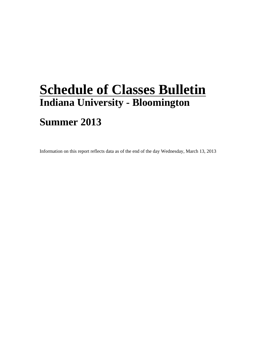## **Schedule of Classes Bulletin Indiana University - Bloomington**

## **Summer 2013**

Information on this report reflects data as of the end of the day Wednesday, March 13, 2013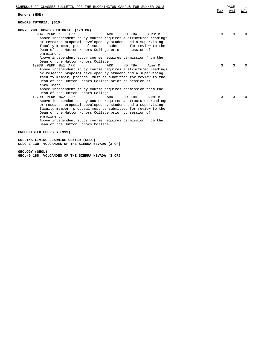| SCHEDULE OF CLASSES BULLETIN FOR THE BLOOMINGTON CAMPUS FOR SUMMER 2013<br>Honors (HON)                                                                                                                                                                                                                                                                                                                                                                                                                                              | Max | PAGE<br>Avl | 1<br>W/L |
|--------------------------------------------------------------------------------------------------------------------------------------------------------------------------------------------------------------------------------------------------------------------------------------------------------------------------------------------------------------------------------------------------------------------------------------------------------------------------------------------------------------------------------------|-----|-------------|----------|
| HONORS TUTORIAL (010)                                                                                                                                                                                                                                                                                                                                                                                                                                                                                                                |     |             |          |
| HON-H 299 HONORS TUTORIAL (1-3 CR)<br>8984 PERM 1<br>ARR<br>HD TBA<br>ARR<br>Auer M<br>Above independent study course requires a structured readings<br>or research proposal developed by student and a supervising<br>faculty member; proposal must be submitted for review to the<br>Dean of the Hutton Honors College prior to session of<br>enrollment                                                                                                                                                                           | 3   | 3           | $\Omega$ |
| Above independent study course requires permission from the<br>Dean of the Hutton Honors College<br>12938 PERM 8W1 ARR<br>ARR<br>HD TBA<br>Auer M<br>Above independent study course requires a structured readings<br>or research proposal developed by student and a supervising<br>faculty member; proposal must be submitted for review to the<br>Dean of the Hutton Honors College prior to session of<br>enrollment                                                                                                             | 3   | 3           | $\Omega$ |
| Above independent study course requires permission from the<br>Dean of the Hutton Honors College<br>12799 PERM 8W2 ARR<br><b>ARR</b><br>HD TBA<br>Auer M<br>Above independent study course requires a structured readings<br>or research proposal developed by student and a supervising<br>faculty member; proposal must be submitted for review to the<br>Dean of the Hutton Honors College prior to session of<br>enrollment.<br>Above independent study course requires permission from the<br>Dean of the Hutton Honors College | 3   | 3           | $\Omega$ |

## **CROSSLISTED COURSES (999)**

**COLLINS LIVING-LEARNING CENTER (CLLC) CLLC-L 130 VOLCANOES OF THE SIERRA NEVADA (3 CR)**

**GEOLOGY (GEOL) GEOL-G 188 VOLCANOES OF THE SIERRA NEVADA (3 CR)**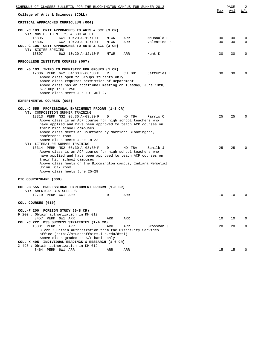| <u>SCHEDULE OF CLASSES BULLETIN FOR THE BLOOMINGTON CAMPUS FOR SUMMER 2013</u>                                                                                                                                                                                                                                                                                                                                                                                       |        |                  |                      | Max      | PAGE<br>Avl | 2<br>W/L                |
|----------------------------------------------------------------------------------------------------------------------------------------------------------------------------------------------------------------------------------------------------------------------------------------------------------------------------------------------------------------------------------------------------------------------------------------------------------------------|--------|------------------|----------------------|----------|-------------|-------------------------|
| College of Arts & Sciences (COLL)                                                                                                                                                                                                                                                                                                                                                                                                                                    |        |                  |                      |          |             |                         |
| CRITICAL APPROACHES CURRICULUM (004)                                                                                                                                                                                                                                                                                                                                                                                                                                 |        |                  |                      |          |             |                         |
| COLL-C 103 CRIT APPROACHES TO ARTS & SCI (3 CR)<br>VT: MUSIC, IDENTITY, & SOCIAL LIFE<br>15805<br>6W1 10:20 A-12:10 P                                                                                                                                                                                                                                                                                                                                                | MTWR   | ARR              | McDonald D           | 30       | 30          | 0                       |
| 15806<br>6W2 10:20 A-12:10 P<br>COLL-C 105 CRIT APPROACHES TO ARTS & SCI (3 CR)<br>VT: SISTER SPECIES                                                                                                                                                                                                                                                                                                                                                                | MTWR   | ARR              | Valentino R          | 30       | 30          | $\mathbf 0$<br>$\Omega$ |
| 15807<br>6W2 10:20 A-12:10 P                                                                                                                                                                                                                                                                                                                                                                                                                                         | MTWR   | ARR              | Hunt K               | 30       | 30          |                         |
| PRECOLLEGE INSTITUTE COURSES (007)                                                                                                                                                                                                                                                                                                                                                                                                                                   |        |                  |                      |          |             |                         |
| COLL-G 103 INTRO TO CHEMISTRY FOR GROUPS (1 CR)<br>12036 PERM 6W2 04:00 P-06:30 P<br>Above class open to Groups students only<br>Above class requires permission of Department<br>Above class has an additional meeting on Tuesday, June 18th,<br>6-7:00p in TE 256<br>Above class meets Jun 19- Jul 27                                                                                                                                                              | R      | CH 001           | Jefferies L          | 30       | 30          | O                       |
| EXPERIMENTAL COURSES (008)                                                                                                                                                                                                                                                                                                                                                                                                                                           |        |                  |                      |          |             |                         |
| COLL-C 555 PROFESSIONAL ENRICHMENT PROGRM (1-3 CR)<br>VT: COMPOSITION SUMMER TRAINING<br>13313 PERM NS2 08:30 A-03:30 P<br>Above class is an ACP course for high school teachers who<br>have applied and have been approved to teach ACP courses on<br>their high school campuses.<br>Above class meets at Courtyard by Marriott Bloomington,<br>conference room<br>Above class meets June 18-22<br>VT: LITERATURE SUMMER TRAINING<br>13314 PERM NS2 08:30 A-03:30 P | D<br>D | HD TBA<br>HD TBA | Farris C<br>Schilb J | 25<br>25 | 25<br>25    |                         |
| Above class is an ACP course for high school teachers who<br>have applied and have been approved to teach ACP courses on<br>their high school campuses.<br>Above class meets on the Bloomington campus, Indiana Memorial<br>Union, Oak room<br>Above class meets June 25-29                                                                                                                                                                                          |        |                  |                      |          |             |                         |
| CIC COURSESHARE (009)                                                                                                                                                                                                                                                                                                                                                                                                                                                |        |                  |                      |          |             |                         |
| COLL-C 555 PROFESSIONAL ENRICHMENT PROGRM (1-3 CR)<br>VT: AMERICAN BESTSELLERS                                                                                                                                                                                                                                                                                                                                                                                       |        |                  |                      |          |             |                         |
| 12719 PERM 6W1 ARR                                                                                                                                                                                                                                                                                                                                                                                                                                                   | D      | ARR              |                      | 10       | 10          | 0                       |
| COLL COURSES (010)                                                                                                                                                                                                                                                                                                                                                                                                                                                   |        |                  |                      |          |             |                         |
| COLL-F 200 FOREIGN STUDY (0-8 CR)<br>F 200: Obtain authorization in KH 012                                                                                                                                                                                                                                                                                                                                                                                           |        |                  |                      |          |             |                         |
| 8457 PERM 6W1 ARR<br>COLL-C 222 DSS SUCCESS STRATEGIES (1-4 CR)                                                                                                                                                                                                                                                                                                                                                                                                      | ARR    | ARR              |                      | 10       | 10          | $\Omega$                |
| 15801 PERM 1<br>ARR<br>C 222: Obtain authorization from the Disability Services<br>office (http://studenaffairs.iub.edu/dssl)<br>Above class graded on S/F basis only<br>COLL-X 495 INDIVIDUAL READINGS & RESEARCH (1-6 CR)                                                                                                                                                                                                                                          | ARR    | ARR              | Grossman J           | 20       | 20          | 0                       |
| X 495 : Obtain authorization in KH 012<br>8464 PERM 6W1 ARR                                                                                                                                                                                                                                                                                                                                                                                                          | ARR    | ARR              |                      | 15       | 15          | $\Omega$                |
|                                                                                                                                                                                                                                                                                                                                                                                                                                                                      |        |                  |                      |          |             |                         |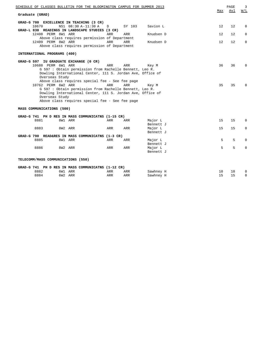| SCHEDULE OF CLASSES BULLETIN FOR THE BLOOMINGTON CAMPUS FOR SUMMER 2013                                               | Max | PAGE<br>Avl | 3<br>W/L    |
|-----------------------------------------------------------------------------------------------------------------------|-----|-------------|-------------|
| Graduate (GRAD)                                                                                                       |     |             |             |
| GRAD-G 700 EXCELLENCE IN TEACHING (3 CR)                                                                              |     |             |             |
| 10670<br>NS1 08:30 A-11:30 A<br>Savion L<br>D<br>SY 103<br>GRAD-L 830 READINGS IN LANDSCAPE STUDIES (3 CR)            | 12  | 12          | 0           |
| 12408 PERM 8W1 ARR<br>ARR<br>ARR<br>Knudsen D                                                                         | 12  | 12          | $\Omega$    |
| Above class requires permission of Department<br>12409 PERM 8W2 ARR<br>ARR<br>Knudsen D                               | 12  | 12          | $\mathbf 0$ |
| ARR<br>Above class requires permission of Department                                                                  |     |             |             |
| INTERNATIONAL PROGRAMS (400)                                                                                          |     |             |             |
| GRAD-G 597 IU GRADUATE EXCHANGE (0 CR)                                                                                |     |             |             |
| 10688 PERM 6W1 ARR<br>ARR<br>ARR<br>Key M                                                                             | 36  | 36          | $\Omega$    |
| G 597 : Obtain permission from Rachelle Bennett, Leo R.<br>Dowling International Center, 111 S. Jordan Ave, Office of |     |             |             |
| Overseas Study                                                                                                        |     |             |             |
| Above class requires special fee - See fee page                                                                       |     |             |             |
| 10762 PERM 6W2 ARR<br><b>ARR</b><br>ARR<br>Key M                                                                      | 35  | 35          | $\Omega$    |
| G 597 : Obtain permission from Rachelle Bennett, Leo R.<br>Dowling International Center, 111 S. Jordan Ave, Office of |     |             |             |
| Overseas Study                                                                                                        |     |             |             |
| Above class requires special fee - See fee page                                                                       |     |             |             |
| MASS COMMUNICATIONS (500)                                                                                             |     |             |             |
| GRAD-G 741 PH D RES IN MASS COMMUNICATNS (1-15 CR)                                                                    |     |             |             |
| 8881<br>8W1 ARR<br>Major L<br>ARR<br>ARR                                                                              | 15  | 15          | $\Omega$    |
| Bennett J                                                                                                             |     |             |             |
| 8883<br>ARR<br>8W2 ARR<br>ARR<br>Major L                                                                              | 15  | 15          | 0           |
| Bennett J<br>GRAD-G 790 READ&RES IN MASS COMMUNICATNS (1-3 CR)                                                        |     |             |             |
| 8885<br>8W1 ARR<br>ARR<br>ARR<br>Major L                                                                              | 5   | 5           | $\Omega$    |
| Bennett J                                                                                                             |     |             |             |
| 8886<br>8W2 ARR<br>ARR<br>ARR<br>Major L                                                                              | 5   | 5           | $\Omega$    |
| Bennett J                                                                                                             |     |             |             |
| TELECOMM/MASS COMMUNICATIONS (550)                                                                                    |     |             |             |
| GRAD-G 741 PH D RES IN MASS COMMUNICATNS (1-12 CR)                                                                    |     |             |             |
| 8882<br>6W1 ARR<br>ARR<br>ARR<br>Sawhney H                                                                            | 10  | 10          | 0           |
| 8884<br>6W2 ARR<br>ARR<br>ARR<br>Sawhney H                                                                            | 15  | 15          | $\Omega$    |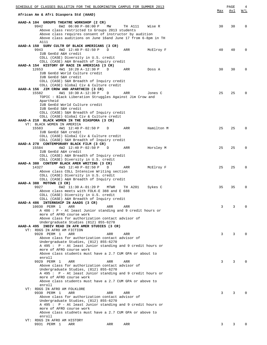| SCHEDULE OF CLASSES BULLETIN FOR THE BLOOMINGTON CAMPUS FOR SUMMER 2013                             |            |         |            |     | PAGE | 4        |
|-----------------------------------------------------------------------------------------------------|------------|---------|------------|-----|------|----------|
| African Am & Afri Diaspora Std (AAAD)                                                               |            |         |            | Max | Avl  | W/L      |
| AAAD-A 104 GROUPS THEATRE WORKSHOP (2 CR)                                                           |            |         |            |     |      |          |
| 9942<br>6W2 06:00 P-08:00 P                                                                         | MW         | TH A111 | Wise R     | 30  | 30   | $\Omega$ |
| Above class restricted to Groups 2013 students                                                      |            |         |            |     |      |          |
| Above class requires consent of instructor by audition                                              |            |         |            |     |      |          |
| Above class auditions on June 16and June 17 from 6-8pm in TH<br>A111                                |            |         |            |     |      |          |
| AAAD-A 150 SURV CULTR OF BLACK AMERICANS (3 CR)                                                     |            |         |            |     |      |          |
| 9943<br>4W2 12:40 P-02:50 P                                                                         | D          | ARR     | McElroy F  | 40  | 40   | $\Omega$ |
| IUB GenEd A&H credit                                                                                |            |         |            |     |      |          |
| COLL (CASE) Diversity in U.S. credit<br>COLL (CASE) A&H Breadth of Inquiry credit                   |            |         |            |     |      |          |
| AAAD-A 154 HISTORY OF RACE IN AMERICAS (3 CR)                                                       |            |         |            |     |      |          |
| 12653<br>4W1 10:20 A-12:30 P                                                                        | D          | ARR     | Doss A     | 30  | 30   | $\Omega$ |
| IUB GenEd World Culture credit                                                                      |            |         |            |     |      |          |
| IUB GenEd S&H credit                                                                                |            |         |            |     |      |          |
| COLL (CASE) S&H Breadth of Inquiry credit<br>COLL (CASE) Global Civ & Culture credit                |            |         |            |     |      |          |
| AAAD-A 156 JIM CROW AND APARTHEID (3 CR)                                                            |            |         |            |     |      |          |
| 15582<br>4W1 10:30 A-12:30 P                                                                        | D          | ARR     | Jones C    | 25  | 25   | $\Omega$ |
| TOPIC: Black Liberation Struggles Against Jim Crow and                                              |            |         |            |     |      |          |
| Apartheid                                                                                           |            |         |            |     |      |          |
| IUB GenEd World Culture credit<br>IUB GenEd S&H credit                                              |            |         |            |     |      |          |
| COLL (CASE) S&H Breadth of Inquiry credit                                                           |            |         |            |     |      |          |
| COLL (CASE) Global Civ & Culture credit                                                             |            |         |            |     |      |          |
| AAAD-A 210 BLACK WOMEN IN THE DIASPORA (3 CR)                                                       |            |         |            |     |      |          |
| VT: BLACK WOMEN IN AMERICA                                                                          |            |         |            |     |      |          |
| 15583<br>4W1 12:40 P-02:50 P<br>IUB GenEd S&H credit                                                | D          | ARR     | Hamilton M | 25  | 25   | $\Omega$ |
| COLL (CASE) Global Civ & Culture credit                                                             |            |         |            |     |      |          |
| COLL (CASE) S&H Breadth of Inquiry credit                                                           |            |         |            |     |      |          |
| AAAD-A 278 CONTEMPORARY BLACK FILM (3 CR)                                                           |            |         |            |     |      |          |
| 15584<br>$4W2$ 12:40 P-02:50 P<br>$\Box$                                                            |            | ARR     | Horsley M  | 25  | 25   | $\Omega$ |
| IUB GenEd A&H credit<br>COLL (CASE) A&H Breadth of Inquiry credit                                   |            |         |            |     |      |          |
| COLL (CASE) Diversity in U.S. credit                                                                |            |         |            |     |      |          |
| AAAD-A 380 CONTEMP BLACK AMER WRITING (3 CR)                                                        |            |         |            |     |      |          |
| 4W3 12:40 P-02:50 P<br>14327                                                                        | D          | ARR     | McElroy F  | 25  | 25   | $\Omega$ |
| Above class COLL Intensive Writing section                                                          |            |         |            |     |      |          |
| COLL (CASE) Diversity in U.S. credit<br>COLL (CASE) A&H Breadth of Inquiry credit                   |            |         |            |     |      |          |
| AAAD-A 388 MOTOWN (3 CR)                                                                            |            |         |            |     |      |          |
| 9927<br>6W2 11:30 A-01:20 P                                                                         | MTWR       | TH A201 | Sykes C    | 35  | 35   | $\Omega$ |
| Above class meets with FOLK-E 388 and E 688                                                         |            |         |            |     |      |          |
| COLL (CASE) Diversity in U.S. credit<br>COLL (CASE) A&H Breadth of Inquiry credit                   |            |         |            |     |      |          |
| AAAD-A 486 INTERNSHIP IN AAADS (3 CR)                                                               |            |         |            |     |      |          |
| 10030 PERM 1<br>ARR                                                                                 | ARR        | ARR     |            | 3   | 3    | $\Omega$ |
| A 486 : P - At least Junior standing and 9 credit hours or                                          |            |         |            |     |      |          |
| more of AFRO course work                                                                            |            |         |            |     |      |          |
| Above class for authorization contact advisor of<br>Undergraduate Studies (812) 855-6270            |            |         |            |     |      |          |
| AAAD-A 495 INDIV READ IN AFR AMER STUDIES (3 CR)                                                    |            |         |            |     |      |          |
| VT: RDGS IN AFRO AM FICTION                                                                         |            |         |            |     |      |          |
| 9928 PERM 1<br>ARR                                                                                  | <b>ARR</b> | ARR     |            | 3   | 3    | $\Omega$ |
| Above class for authorization contact advisor of                                                    |            |         |            |     |      |          |
| Undergraduate Studies, (812) 855-6270<br>A 495 : P - At least Junior standing and 9 credit hours or |            |         |            |     |      |          |
| more of AFRO course work                                                                            |            |         |            |     |      |          |
| Above class students must have a 2.7 CUM GPA or about to                                            |            |         |            |     |      |          |
| enroll                                                                                              |            |         |            |     |      |          |
| 9929 PERM 1<br>ARR                                                                                  | ARR        | ARR     |            | 3   | 3    | $\Omega$ |
| Above class for authorization contact advisor of<br>Undergraduate Studies, (812) 855-6270           |            |         |            |     |      |          |
| A 495 : P - At least Junior standing and 9 credit hours or                                          |            |         |            |     |      |          |
| more of AFRO course work                                                                            |            |         |            |     |      |          |
| Above class students must have a 2.7 CUM GPA or above to                                            |            |         |            |     |      |          |
| enroll                                                                                              |            |         |            |     |      |          |
| VT: RDGS IN AFRO AM FOLKLORE<br>9930 PERM 1<br>ARR                                                  | ARR        | ARR     |            | 3   | 3    | $\Omega$ |
| Above class for authorization contact advisor of                                                    |            |         |            |     |      |          |
| Undergraduate Studies, (812) 855-6270                                                               |            |         |            |     |      |          |
| A 495 : P - At least Junior standing and 9 credit hours or                                          |            |         |            |     |      |          |
| more of AFRO course work                                                                            |            |         |            |     |      |          |
| Above class studnets must have a 2.7 CUM GPA or above to<br>enroll                                  |            |         |            |     |      |          |
| VT: RDGS IN AFRO AM HISTORY                                                                         |            |         |            |     |      |          |
| 9931 PERM 1<br>ARR                                                                                  | ARR        | ARR     |            | 3   | 3    | $\Omega$ |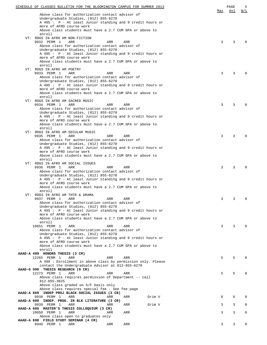| SCHEDULE OF CLASSES BULLETIN FOR THE BLOOMINGTON CAMPUS FOR SUMMER 2013                             |     | PAGE | 5           |
|-----------------------------------------------------------------------------------------------------|-----|------|-------------|
| Above class for authorization contact advisor of                                                    | Max | Avl  | W/L         |
| Undergraduate Studies, (812) 855-6270                                                               |     |      |             |
| A 495 : P - At least Junior standing and 9 credit hours or                                          |     |      |             |
| more of AFRO course work                                                                            |     |      |             |
| Above class students must have a 2.7 CUM GPA or above to                                            |     |      |             |
| enroll<br>VT: RDGS IN AFRO AM NON-FICTION                                                           |     |      |             |
| 9932 PERM 1<br>ARR<br>ARR<br>ARR                                                                    | 3   | 3    | $\Omega$    |
| Above class for authorization contact advisor of                                                    |     |      |             |
| Undergraduate Studies, (812) 855-6270                                                               |     |      |             |
| A 495 : P - At least Junior standing and 9 credit hours or                                          |     |      |             |
| more of AFRO course work                                                                            |     |      |             |
| Above class students must have a 2.7 CUM GPA or above to<br>enroll                                  |     |      |             |
| VT: RDGS IN AFRO AM POETRY                                                                          |     |      |             |
| 9933 PERM 1<br>ARR<br>ARR<br>ARR                                                                    | 3   | 3    | $\Omega$    |
| Above class for authorization contact advisor of                                                    |     |      |             |
| Undergraduate Studies, (812) 855-6270                                                               |     |      |             |
| A 495 : P - At least Junior standing and 9 credit hours or                                          |     |      |             |
| more of AFRO course work<br>Above class students must have a 2.7 CUM GPA or above to                |     |      |             |
| enroll                                                                                              |     |      |             |
| VT: RDGS IN AFRO AM SACRED MUSIC                                                                    |     |      |             |
| 9934 PERM 1<br>ARR<br>ARR<br>ARR                                                                    | 3   | 3    | $\Omega$    |
| Above class for authorization contact advisor of                                                    |     |      |             |
| Undergraduate Studies, (812) 855-6270<br>A 495 : P - At least Junior standing and 9 credit hours or |     |      |             |
| more of AFRO course work                                                                            |     |      |             |
| Above class students must have a 2.7 CUM GPA or above to                                            |     |      |             |
| enroll                                                                                              |     |      |             |
| VT: RDGS IN AFRO AM SECULAR MUSIC                                                                   |     |      |             |
| 9935 PERM 1<br>ARR<br>ARR<br>ARR                                                                    | 3   | 3    | $\Omega$    |
| Above class for authorization contact advisor of<br>Undergraduate Studies, (812) 855-6270           |     |      |             |
| A 495 : P - At least Junior standing and 9 credit hours or                                          |     |      |             |
| more of AFRO course work                                                                            |     |      |             |
| Above class students must have a 2.7 CUM GPA or above to                                            |     |      |             |
| enroll                                                                                              |     |      |             |
| VT: RDGS IN AFRO AM SOCIAL ISSUES<br>9936 PERM 1<br>ARR<br>ARR                                      | 3   | 3    | $\Omega$    |
| ARR<br>Above class for authorization contact advisor of                                             |     |      |             |
| Undergraduate Studies, (812) 855-6270                                                               |     |      |             |
| A 495 : P - At least Junior standing and 9 credit hours or                                          |     |      |             |
| more of AFRO course work                                                                            |     |      |             |
| Above class students must have a 2.7 CUM GPA or above to                                            |     |      |             |
| enroll<br>VT: RDGS IN AFRO AM THTR & DRAMA                                                          |     |      |             |
| 9937 PERM 1<br>ARR<br>ARR<br>ARR                                                                    | 3   | 3    | $\Omega$    |
| Above class for authorization contact advisor of                                                    |     |      |             |
| Undergraduate Studies, (812) 855-6270                                                               |     |      |             |
| A 495 : P - At least Junior standing and 9 credit hours or                                          |     |      |             |
| more of AFRO course work<br>Above class students must have a 2.7 CUM GPA or above to                |     |      |             |
| enroll                                                                                              |     |      |             |
| 10651 PERM 1<br>ARR<br>ARR<br>ARR                                                                   | 3   | 3    | $\Omega$    |
| Above class for authorization contact advisor of                                                    |     |      |             |
| Undergraduate Studies, (812) 855-6270                                                               |     |      |             |
| A 495 : P - At least Junior standing and 9 credit hours or                                          |     |      |             |
| more of AFRO course work<br>Above class students must have a 2.7 CUM GPA or above to                |     |      |             |
| enroll                                                                                              |     |      |             |
| AAAD-A 499 HONORS THESIS (3 CR)                                                                     |     |      |             |
| 12265 PERM 1<br>ARR<br>ARR<br>ARR                                                                   | 5   | 5    | $\Omega$    |
| A 499 : Enrollment in above class by permission only. Please                                        |     |      |             |
| contact the Undergraduate Advisor at 812-855-6270                                                   |     |      |             |
| AAAD-G 599 THESIS RESEARCH (0 CR)<br>12273 PERM 1<br>ARR<br>ARR<br>ARR                              | 5   | 5    | $\Omega$    |
| Above class requires permission of Department -- call                                               |     |      |             |
| 812-855-3825                                                                                        |     |      |             |
| Above class graded on S/F basis only                                                                |     |      |             |
| Above class requires special fee - See fee page                                                     |     |      |             |
| AAAD-A 669 INDEP PROJ BLACK SOCIAL ISSUES (3 CR)                                                    |     |      |             |
| 9938 PERM 1<br>ARR<br>Grim V<br>ARR<br>ARR<br>AAAD-A 689 INDEP. PROG. IN BLK LITERATURE (3 CR)      | 6   | 6    | 0           |
| 9939 PERM 1<br>Grim V<br>ARR<br>ARR<br>ARR                                                          | 3   | 3    | $\mathbf 0$ |
| AAAD-A 695 MASTER'S THESIS COLLOQUIUM (3 CR)                                                        |     |      |             |
| 10050 PERM 1<br>ARR<br>ARR<br>ARR                                                                   | 3   | 3    | $\mathbf 0$ |
| Above class open to graduates only                                                                  |     |      |             |
| AAAD-A 698 FIELD STUDY SEMINAR (4 CR)<br>9940 PERM 1<br>ARR<br>ARR<br>ARR                           | 3   | 3    | 0           |
|                                                                                                     |     |      |             |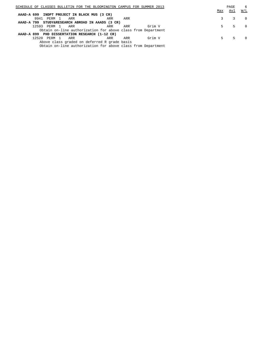| SCHEDULE OF CLASSES BULLETIN FOR THE BLOOMINGTON CAMPUS FOR SUMMER 2013 |     |     |        |     | PAGE | 6        |
|-------------------------------------------------------------------------|-----|-----|--------|-----|------|----------|
|                                                                         |     |     |        | Max | Avl  | W/L      |
| AAAD-A 699 INDPT PROJECT IN BLACK MUS (3 CR)                            |     |     |        |     |      |          |
| 9941<br>PERM 1<br>ARR                                                   | ARR | ARR |        |     |      | $\Omega$ |
| AAAD-A 799 STUDY&RESEARCH ABROAD IN AAADS (3 CR)                        |     |     |        |     |      |          |
| 12593 PERM 1<br>ARR                                                     | ARR | ARR | Grim V | .5  |      | $\Omega$ |
| Obtain on-line authorization for above class from Department            |     |     |        |     |      |          |
| AAAD-A 899 PHD DISSERTATION RESEARCH (1-12 CR)                          |     |     |        |     |      |          |
| 12520<br>PERM 1<br>ARR                                                  | ARR | ARR | Grim V | 5.  |      |          |
| Above class graded on deferred R grade basis                            |     |     |        |     |      |          |
| Obtain on-line authorization for above class from Department            |     |     |        |     |      |          |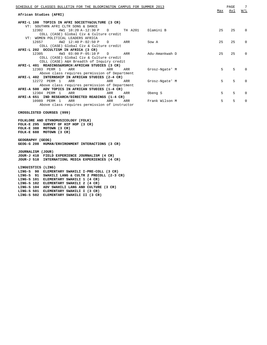| SCHEDULE OF CLASSES BULLETIN FOR THE BLOOMINGTON CAMPUS FOR SUMMER 2013 |        |           |                |     | PAGE | 7            |
|-------------------------------------------------------------------------|--------|-----------|----------------|-----|------|--------------|
| African Studies (AFRI)                                                  |        |           |                | Max | Avl  | W/L          |
|                                                                         |        |           |                |     |      |              |
| AFRI-L 100 TOPICS IN AFRI SOCIETY&CULTURE (3 CR)                        |        |           |                |     |      |              |
| VT: SOUTHRN AFRI CLTR SONG & DANCE                                      |        |           |                |     |      |              |
| 4W1 10:20 A-12:30 P<br>12302                                            |        | D TH A201 | Dlamini B      | 25  | 25   | <sup>n</sup> |
| COLL (CASE) Global Civ & Culture credit                                 |        |           |                |     |      |              |
| VT: WOMEN POLITICAL LEADERS AFRICA                                      |        |           |                |     |      |              |
| 4W2 12:40 P-02:50 P<br>12657                                            | $\Box$ | ARR       | Sow A          | 2.5 | 25   | $\Omega$     |
| COLL (CASE) Global Civ & Culture credit                                 |        |           |                |     |      |              |
| AFRI-L 202 OCCULTISM IN AFRICA (3 CR)                                   |        |           |                |     |      |              |
| 12305<br>$4W3$ 03:00 P-05:10 P                                          | D ARR  |           | Adu-Amankwah D | 25  | 25   | <sup>0</sup> |
| COLL (CASE) Global Civ & Culture credit                                 |        |           |                |     |      |              |
| COLL (CASE) A&H Breadth of Inquiry credit                               |        |           |                |     |      |              |
| AFRI-L 401 READINGS&RSRCH:AFRICAN STUDIES (3 CR)                        |        |           |                |     |      |              |
| 12303 PERM 1 ARR                                                        | ARR    | ARR       | Grosz-Ngate' M | 5   | 5    |              |
| Above class requires permission of Department                           |        |           |                |     |      |              |
| AFRI-L 402 INTERNSHIP IN AFRICAN STUDIES (2-4 CR)                       |        |           |                |     |      |              |
| 12272 PERM 1<br>ARR                                                     | ARR    | ARR       | Grosz-Ngate' M | 5   | 5    |              |
| Above class requires permission of Department                           |        |           |                |     |      |              |
| AFRI-A 500 ADV TOPICS IN AFRICAN STUDIES (1-4 CR)                       |        |           |                |     |      |              |
| 12304 PERM 1<br>ARR                                                     | ARR    | ARR       | Obeng S        | 5   | 5    | <sup>0</sup> |
| AFRI-A 651 IND RESEARCH/DIRECTED READINGS (1-4 CR)                      |        |           |                |     |      |              |
| 10989 PERM 1<br>ARR                                                     | ARR    | ARR       | Frank Wilson M | 5   | 5    | <sup>n</sup> |
| Above class requires permission of instructor                           |        |           |                |     |      |              |

## **CROSSLISTED COURSES (999)**

**FOLKLORE AND ETHNOMUSICOLOGY (FOLK) FOLK-E 295 SURVEY OF HIP HOP (3 CR) FOLK-E 388 MOTOWN (3 CR) FOLK-E 688 MOTOWN (3 CR) GEOGRAPHY (GEOG) GEOG-G 208 HUMAN/ENVIRONMENT INTERACTIONS (3 CR) JOURNALISM (JOUR) JOUR-J 418 FIELD EXPERIENCE JOURNALISM (4 CR) JOUR-J 518 INTERNATIONL MEDIA EXPERIENCES (4 CR) LINGUISTICS (LING) LING-S 90 ELEMENTARY SWAHILI I-PRE-COLL (3 CR) LING-S 91 SWAHILI LANG & CULTR 2 PRECOLL (2-3 CR) LING-S 101 ELEMENTARY SWAHILI 1 (4 CR) LING-S 102 ELEMENTARY SWAHILI 2 (4 CR) LING-S 104 ADV SWAHILI LANG AND CULTURE (3 CR) LING-S 501 ELEMENTARY SWAHILI I (3 CR) LING-S 502 ELEMENTARY SWAHILI II (3 CR)**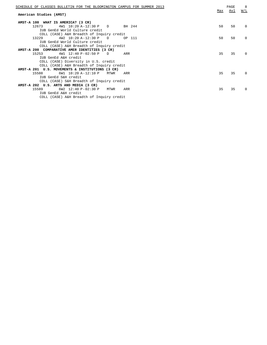| SCHEDULE OF CLASSES BULLETIN FOR THE BLOOMINGTON CAMPUS FOR SUMMER 2013 |     | PAGE | 8        |
|-------------------------------------------------------------------------|-----|------|----------|
| American Studies (AMST)                                                 | Max | Avl  | W/L      |
| AMST-A 100 WHAT IS AMERICA? (3 CR)                                      |     |      |          |
| 12673<br>$4W1$ 10:20 A-12:30 P<br>BH 244<br>$\Box$                      | 50  | 50   | $\Omega$ |
| IUB GenEd World Culture credit                                          |     |      |          |
| COLL (CASE) A&H Breadth of Inquiry credit                               |     |      |          |
| 4W2 10:20 A-12:30 P<br>13229<br>OP 111<br>$\Box$                        | 50  | 50   | $\Omega$ |
| IUB GenEd World Culture credit                                          |     |      |          |
| COLL (CASE) A&H Breadth of Inquiry credit                               |     |      |          |
| AMST-A 200 COMPARATIVE AMER IDENTITIES (3 CR)                           |     |      |          |
| 4W1 12:40 P-02:50 P<br>15253<br>ARR<br>$\Box$                           | 35  | 35   | $\Omega$ |
| IUB GenEd A&H credit                                                    |     |      |          |
| COLL (CASE) Diversity in U.S. credit                                    |     |      |          |
| COLL (CASE) A&H Breadth of Inquiry credit                               |     |      |          |
| AMST-A 201 U.S. MOVEMENTS & INSTITUTIONS (3 CR)                         |     |      |          |
| 15588<br>$6W1$ 10:20 A-12:10 P<br>MTWR<br>ARR                           | 35  | 35   | $\Omega$ |
| IUB GenEd S&H credit                                                    |     |      |          |
| COLL (CASE) S&H Breadth of Inquiry credit                               |     |      |          |
| AMST-A 202 U.S. ARTS AND MEDIA (3 CR)                                   |     |      |          |
| 6W2 12:40 P-02:30 P<br>15589<br>MTWR<br>ARR                             | 35  | 35   | $\Omega$ |
| IUB GenEd A&H credit                                                    |     |      |          |
| COLL (CASE) A&H Breadth of Inquiry credit                               |     |      |          |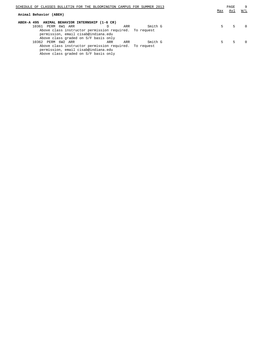| SCHEDULE OF CLASSES BULLETIN FOR THE BLOOMINGTON CAMPUS FOR SUMMER 2013 |     |     |         |     | PAGE | 9            |
|-------------------------------------------------------------------------|-----|-----|---------|-----|------|--------------|
|                                                                         |     |     |         | Max | Avl  | W/L          |
| Animal Behavior (ABEH)                                                  |     |     |         |     |      |              |
| ABEH-A 495 ANIMAL BEHAVIOR INTERNSHIP (1-6 CR)                          |     |     |         |     |      |              |
| 10361 PERM 6W1 ARR                                                      |     | ARR | Smith G | 5.  | 5    | <sup>0</sup> |
| Above class instructor permission required. To request                  |     |     |         |     |      |              |
| permission, email cisab@indiana.edu                                     |     |     |         |     |      |              |
| Above class graded on S/F basis only                                    |     |     |         |     |      |              |
| 10362 PERM 6W2 ARR                                                      | ARR | ARR | Smith G | 5.  |      |              |
| Above class instructor permission required. To request                  |     |     |         |     |      |              |
| permission, email cisab@indiana.edu                                     |     |     |         |     |      |              |

Above class graded on S/F basis only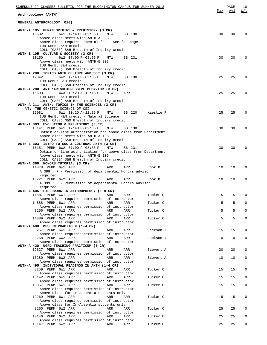| SCHEDULE OF CLASSES BULLETIN FOR THE BLOOMINGTON CAMPUS FOR SUMMER 2013                                                                                                                                                                                    | Max      | PAGE<br>Avl | 10<br>W/L         |
|------------------------------------------------------------------------------------------------------------------------------------------------------------------------------------------------------------------------------------------------------------|----------|-------------|-------------------|
| Anthropology (ANTH)                                                                                                                                                                                                                                        |          |             |                   |
| GENERAL ANTHROPOLOGY (010)                                                                                                                                                                                                                                 |          |             |                   |
| ANTH-A 105 HUMAN ORIGINS & PREHISTORY (3 CR)<br>6W1 12:40 P-02:35 P<br>15602<br>MTW<br>SB 138<br>Above class meets with ANTH-A 303<br>Above class requires special fee - See fee page<br>IUB GenEd S&H credit<br>COLL (CASE) S&H Breadth of Inquiry credit | 30       | 30          | $\Omega$          |
| ANTH-E 105 CULTURE & SOCIETY (3 CR)<br>6W2 07:00 P-08:55 P<br>10150<br>SB 231<br>MTW<br>Above class meets with ANTH-E 303                                                                                                                                  | 30       | 30          | $\Omega$          |
| IUB GenEd S&H credit<br>COLL (CASE) S&H Breadth of Inquiry credit<br>ANTH-A 200 TOPICS ANTH CULTURE AND SOC (3 CR)<br>6W2 12:40 P-02:35 P<br>12342<br>MTW<br>SB 138<br>IUB GenEd S&H credit                                                                | 25       | 25          | 0                 |
| COLL (CASE) S&H Breadth of Inquiry credit<br>ANTH-A 208 ANTH: ARTS&EXPRESSIVE BEHAVIOR (3 CR)<br>15603<br>4W3 10:20 A-12:15 P<br>MTW<br>ARR<br>IUB GenEd A&H credit                                                                                        | 25       | 25          | <sup>0</sup>      |
| COLL (CASE) A&H Breadth of Inquiry credit<br>ANTH-A 211 ANTH: TOPICS IN THE SCIENCES (3 CR)<br>VT: THE GENETIC SCIENCE OF CSI<br>12081<br>6W1 10:20 A-12:15 P<br>SB 220<br>MTW<br>Kaestle F                                                                | 25       | 25          | 0                 |
| IUB GenEd N&M credit - Natural Science<br>COLL (CASE) N&M Breadth of Inquiry credit<br>ANTH-A 303 EVOLUTION & PREHISTORY (3 CR)<br>10141 PERM 6W1 12:40 P-02:35 P<br>MTW<br>SB 138                                                                         | 30       | 30          | 0                 |
| Obtain on-line authorization for above class from Department<br>Above class meets with ANTH-A 105<br>COLL (CASE) S&H Breadth of Inquiry credit<br>ANTH-E 303 INTRO TO SOC & CULTURAL ANTH (3 CR)<br>10151 PERM 6W2 07:00 P-08:55 P<br>MTW<br>SB 231        | 30       | 30          | $\Omega$          |
| Obtain on-line authorization for above class from Department<br>Above class meets with ANTH-E 105<br>COLL (CASE) S&H Breadth of Inquiry credit<br>ANTH-A 399 HONORS TUTORIAL (3 CR)                                                                        |          |             |                   |
| 14878 PERM 6W1 ARR<br>ARR<br>ARR<br>Cook D<br>A 399 : P - Permission of departmental Honors advisor<br>required<br>10721 PERM 6W2 ARR<br>ARR<br>ARR<br>Cook D                                                                                              | 10<br>10 | 10<br>10    | $\Omega$<br>0     |
| A 399 : P - Permission of departmental Honors advisor<br>required<br>ANTH-A 406 FIELDWORK IN ANTHROPOLOGY (1-8 CR)<br>14887 PERM 6W1 ARR<br>ARR<br>ARR<br>Tucker C                                                                                         | 5        | 5           | $\Omega$          |
| Above class requires permission of instructor<br>Tucker C<br>14888 PERM 6W1 ARR<br>ARR<br>ARR                                                                                                                                                              | 5        | 5           | 0                 |
| Above class requires permission of instructor<br>8256 PERM 6W2 ARR<br>ARR<br>ARR<br>Tucker C<br>Above class requires permission of instructor                                                                                                              | 5        | 5           | $\Omega$          |
| 14889 PERM 6W2 ARR<br>ARR<br>ARR<br>Tucker C<br>Above class requires permission of instructor<br>ANTH-A 408 MUSEUM PRACTICUM (1-4 CR)                                                                                                                      | 5        | 5           | $\mathbf 0$       |
| 8257 PERM 6W1 ARR<br>Jackson J<br>ARR<br>ARR<br>Above class requires permission of instructor<br>8258 PERM 6W2 ARR<br>ARR<br>ARR<br>Jackson J                                                                                                              | 15<br>10 | 15<br>10    | 0<br>0            |
| Above class requires permission of instructor<br>ANTH-A 420 UGRD TEACHING PRACTICUM (3 CR)<br>12627 PERM 6W1 ARR<br>Sievert A<br>ARR<br>ARR<br>Above class requires permission of instructor                                                               | 20       | 20          | 0                 |
| 13280 PERM 6W2 ARR<br>ARR<br>ARR<br>Sievert A<br>Above class requires permission of instructor<br>ANTH-A 495 INDIVIDUAL READINGS IN ANTH (1-4 CR)                                                                                                          | 10       | 10          | 0                 |
| 8259 PERM 6W1 ARR<br>Tucker C<br>ARR<br>ARR<br>Above class requires permission of instructor                                                                                                                                                               | 15       | 15          | 0                 |
| 10142 PERM 6W1 ARR<br>ARR<br>ARR<br>Tucker C<br>Above class requires permission of instructor<br>10057 PERM 6W1 ARR<br>Tucker C<br>ARR<br>ARR                                                                                                              | 15<br>15 | 15<br>15    | $\mathbf{0}$<br>0 |
| Above class requires permission of instructor<br>Above class for In-Absentia students only<br>12269 PERM 6W1 ARR<br>ARR<br>ARR<br>Tucker C                                                                                                                 | 15       | 15          | 0                 |
| Above class requires permission of instructor<br>Above class for In-Absentia students only<br>8260 PERM 6W2 ARR<br>ARR<br>Tucker C<br>ARR                                                                                                                  | 25       | 25          | 0                 |
| Above class requires permission of instructor<br>10146 PERM 6W2 ARR<br>ARR<br><b>ARR</b><br>Tucker C<br>Above class requires permission of instructor                                                                                                      | 25       | 25          | 0                 |
| Tucker C<br>10147 PERM 6W2 ARR<br>ARR<br>ARR                                                                                                                                                                                                               | 25       | 25          | 0                 |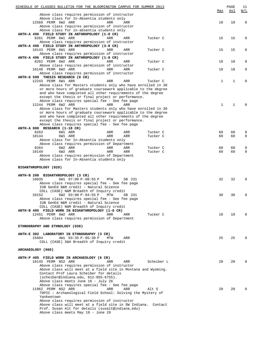| SCHEDULE OF CLASSES BULLETIN FOR THE BLOOMINGTON CAMPUS FOR SUMMER 2013                                                      | Max | PAGE<br>Avl | 11<br>W/L   |
|------------------------------------------------------------------------------------------------------------------------------|-----|-------------|-------------|
| Above class requires permission of instructor                                                                                |     |             |             |
| Above class for In-Absentia students only<br>12569 PERM 6W2 ARR<br>ARR<br>ARR                                                | 10  | 10          | $\mathbf 0$ |
| Above class requires permission of instructor                                                                                |     |             |             |
| Above class for in-absentia students only<br>ANTH-A 496 FIELD STUDY IN ANTHROPOLOGY (1-8 CR)                                 |     |             |             |
| 8261 PERM 6W1 ARR<br>ARR<br>Tucker C<br>ARR                                                                                  | 15  | 15          | 0           |
| Above class requires permission of instructor                                                                                |     |             |             |
| ANTH-A 496 FIELD STUDY IN ANTHROPOLOGY (3-8 CR)<br>10143 PERM 6W1 ARR<br>Tucker C<br>ARR<br>ARR                              | 15  | 15          | 0           |
| Above class requires permission of instructor                                                                                |     |             |             |
| ANTH-A 496 FIELD STUDY IN ANTHROPOLOGY (1-8 CR)<br>8262 PERM 6W2 ARR<br>Tucker C                                             | 10  | 10          | 0           |
| ARR<br>ARR<br>Above class requires permission of instructor                                                                  |     |             |             |
| 10148 PERM 6W2 ARR<br>ARR<br>Tucker C<br>ARR                                                                                 | 10  | 10          | 0           |
| Above class requires permission of instructor<br>ANTH-G 599 THESIS RESEARCH (0 CR)                                           |     |             |             |
| 12243 PERM 6W1 ARR<br>Tucker C<br>ARR<br>ARR                                                                                 | 1   | 1           | $\Omega$    |
| Above class for Masters students only who have enrolled in 30                                                                |     |             |             |
| or more hours of graduate coursework applicable to the degree<br>and who have completed all other requirements of the degree |     |             |             |
| except the thesis or final project or performance.                                                                           |     |             |             |
| Above class requires special fee - See fee page<br>12244 PERM 6W2 ARR<br>ARR<br>ARR                                          | 1   | 1           |             |
| Above class for Masters students only who have enrolled in 30                                                                |     |             |             |
| or more hours of graduate coursework applicable to the degree                                                                |     |             |             |
| and who have completed all other requirements of the degree<br>except the thesis or final project or performance.            |     |             |             |
| Above class requires special fee - See fee page                                                                              |     |             |             |
| ANTH-A 800 RESEARCH (1-18 CR)<br>8263<br>6W1 ARR<br>Tucker C<br>ARR<br>ARR                                                   | 60  | 60          | 0           |
| ARR<br>10144<br>6W1 ARR<br>ARR<br>Tucker C                                                                                   | 60  | 60          | $\mathbf 0$ |
| Above class for In-Absentia students only                                                                                    |     |             |             |
| Above class requires permission of Department<br>8264<br>6W2 ARR<br>ARR<br>ARR<br>Tucker C                                   | 60  | 60          | 0           |
| 10149<br>6W2 ARR<br>ARR<br>ARR<br>Tucker C                                                                                   | 60  | 60          | $\mathbf 0$ |
| Above class requires permission of Department<br>Above class for In-Absentia students only                                   |     |             |             |
|                                                                                                                              |     |             |             |
| BIOANTHROPOLOGY (020)                                                                                                        |     |             |             |
| ANTH-B 200 BIOANTHROPOLOGY (3 CR)                                                                                            |     |             |             |
| 10035<br>6W1 07:00 P-08:55 P<br>MTW<br>SB 231                                                                                | 32  | 32          | 0           |
| Above class requires special fee - See fee page<br>IUB GenEd N&M credit - Natural Science                                    |     |             |             |
| COLL (CASE) N&M Breadth of Inquiry credit                                                                                    |     |             |             |
| 10152<br>6W2 03:00 P-04:55 P<br>MTW<br>SB 231                                                                                | 30  | 30          | 0           |
| Above class requires special fee - See fee page<br>IUB GenEd N&M credit - Natural Science                                    |     |             |             |
| COLL (CASE) N&M Breadth of Inquiry credit                                                                                    |     |             |             |
| ANTH-B 405 FIELD WORK IN BIOANTHROPOLOGY (1-8 CR)                                                                            | 10  | 10          | $\Omega$    |
| 12451 PERM 6W2 ARR<br>Tucker C<br>ARR<br>ARR<br>Above class requires permission of Department                                |     |             |             |
|                                                                                                                              |     |             |             |
| ETHNOGRAPHY AND ETHNOLOGY (030)                                                                                              |     |             |             |
| ANTH-E 302 LABORATORY IN ETHNOGRAPHY (3 CR)                                                                                  |     |             |             |
| 4W1 03:35 P-05:30 P<br>15604<br>MTW<br>ARR<br>COLL (CASE) S&H Breadth of Inquiry credit                                      | 25  | 25          | $\Omega$    |
|                                                                                                                              |     |             |             |
| ARCHAEOLOGY (060)                                                                                                            |     |             |             |
| ANTH-P 405 FIELD WORK IN ARCHAEOLOGY (6 CR)                                                                                  |     |             |             |
| 10145 PERM NS2 ARR<br>Scheiber L<br>ARR<br>ARR                                                                               | 20  | 20          | $\Omega$    |
| Above class requires permission of instructor<br>Above class will meet at a field site in Montana and Wyoming.               |     |             |             |
| Contact Prof Laura Scheiber for details                                                                                      |     |             |             |
| (scheiber@indiana.edu, 812-855-6755).                                                                                        |     |             |             |
| Above class meets June 16 - July 26<br>Above class requires special fee - See fee page                                       |     |             |             |
| 11962 PERM NS2 ARR<br>ARR<br>Alt S<br>ARR                                                                                    | 20  | 20          | $\Omega$    |
| TOPIC : Archaeological Field School: Solving the Mystery of                                                                  |     |             |             |
| Yankeetown<br>Above class requires permission of instructor                                                                  |     |             |             |
| Above class will meet at a field site in SW Indiana.<br>Contact                                                              |     |             |             |
| Prof. Susan Alt for details (susalt@indiana.edu)                                                                             |     |             |             |
| Above class meets May 19 - June 29                                                                                           |     |             |             |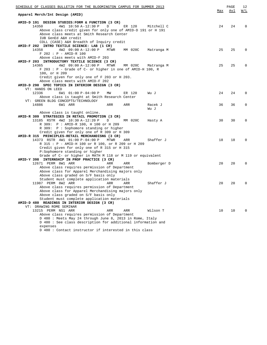| SCHEDULE OF CLASSES BULLETIN FOR THE BLOOMINGTON CAMPUS FOR SUMMER 2013                                                                                                                                                                                                                   |     | PAGE       | 12          |
|-------------------------------------------------------------------------------------------------------------------------------------------------------------------------------------------------------------------------------------------------------------------------------------------|-----|------------|-------------|
| Apparel Merch/Int Design (AMID)                                                                                                                                                                                                                                                           | Max | <u>Avl</u> | <u>W/L</u>  |
| AMID-D 191 DESIGN STUDIES: FORM & FUNCTION (3 CR)<br>4W1 10:50 A-12:30 P<br>14350<br>$\mathbb{D}$<br>ER 120<br>Mitchell C<br>Above class credit given for only one of AMID-D 191 or H 191<br>Above class meets at Smith Research Center<br>IUB GenEd A&H credit                           | 24  | 24         | $\Omega$    |
| COLL (CASE) A&H Breadth of Inquiry credit<br>AMID-F 202 INTRO TEXTILE SCIENCE: LAB (1 CR)<br>14358<br>4W2 09:00 A-12:00 P<br>MM 020C<br>MTWR<br>Matranga M<br>F 202 : P - AMID-R 100                                                                                                      | 25  | 25         | $\Omega$    |
| Above class meets with AMID-F 203<br>AMID-F 203 INTRODUCTORY TEXTILE SCIENCE (3 CR)<br>14365<br>4W2 09:00 A-12:00 P<br>MTWR<br>MM 020C<br>Matranga M<br>F 203 : P - Grade of C- or higher in one of AMID-H 100, R<br>100, or H 209                                                        | 25  | 25         | $\Omega$    |
| Credit given for only one of F 203 or H 203.<br>Above class meets with AMID-F 202<br>AMID-D 290 SPEC TOPICS IN INTERIOR DESIGN (3 CR)<br>VT: HANDS ON LEED                                                                                                                                |     |            |             |
| 12336<br>6W1 01:00 P-04:00 P<br>ER 120<br>MM<br>Wu J<br>Above class is taught at Smith Research Center                                                                                                                                                                                    | 24  | 24         | $\Omega$    |
| VT: GREEN BLDG CONCEPTS/TECHNOLOGY<br>14886<br>6W1 ARR<br>ARR<br>ARR<br>Racek J<br>Wu J                                                                                                                                                                                                   | 36  | 36         | $\mathbf 0$ |
| Above class is taught online.<br>AMID-R 309 STRATEGIES IN RETAIL PROMOTION (3 CR)<br>13185 RSTR 4W2 10:30 A-12:20 P<br>D<br>MM 020C<br>Hasty A<br>R 309: P : AMID-R 100, H 100 or H 209<br>R 309: P : Sophomore standing or higher                                                        | 30  | 30         | $\Omega$    |
| Credit given for only one of R 309 or H 309<br>AMID-R 315 PRINCIPLES-RETAIL MERCHANDISNG (3 CR)<br>14373 RSTR 4W1 01:00 P-04:00 P<br>MTWR<br>ARR<br>Shaffer J<br>R 315 : P - AMID-H 100 or R 100, or R 209 or H 209<br>Credit given for only one of R 315 or H 315                        | 18  | 18         | $\Omega$    |
| P:Sophomore standing or higher<br>Grade of C- or higher in MATH M 118 or M 119 or equivalent<br>AMID-Y 398 INTERNSHIP IN PROF PRACTICE (3 CR)                                                                                                                                             |     |            |             |
| 12671 PERM 8W1 ARR<br>ARR<br>ARR<br>Bomberger D<br>Above class requires permission of Department<br>Above class for Apparel Merchandising majors only<br>Above class graded on S/F basis only                                                                                             | 20  | 20         | $\Omega$    |
| Student must complete application materials<br>11987 PERM 8W2 ARR<br>Shaffer J<br>ARR<br>ARR<br>Above class requires permission of Department<br>Above class for Apparel Merchandising majors only<br>Above class graded on S/F basis only<br>Student must complete application materials | 20  | 20         | $\Omega$    |
| AMID-D 480 READINGS IN INTERIOR DESIGN (3 CR)<br>VT: DRAWING ROME SEMINAR<br>13215 PERM NS1 ARR<br>ARR<br>ARR<br>Wilson T                                                                                                                                                                 | 10  | 10         | $\Omega$    |
| Above class requires permission of Department<br>D 480 : Meets May 24 through June 8, 2013 in Rome, Italy<br>D 480 : See class description for additional information and<br>expenses<br>D 480 : Contact instructor if interested in this class                                           |     |            |             |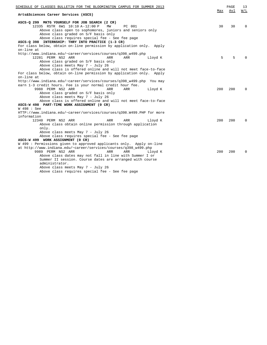| ASCS-Q 299 MKTG YOURSELF FOR JOB SEARCH (2 CR)<br>12335 RSTR 6W1 10:10 A-12:00 P<br>MW<br>PC 001<br>30<br>30<br>$\Omega$<br>Above class open to sophomores, juniors and seniors only<br>Above class graded on S/F basis only<br>Above class requires special fee - See fee page<br>ASCS-Q 398 INTERNSHIP: THRY INTO PRACTICE (1-3 CR)<br>For class below, obtain on-line permission by application only. Apply<br>on-line at<br>http://www.indiana.edu/~career/services/courses/q398_w499.php<br>5<br>12281 PERM NS2 ARR<br>5<br>ARR<br>Lloyd K<br>$\cap$<br>ARR<br>Above class graded on S/F basis only<br>Above class meets May 7 - July 26<br>Above class is offered online and will not meet face-to-face<br>For class below, obtain on-line permission by application only. Apply<br>on-line at<br>http://www.indiana.edu/~career/services/courses/q398_w499.php You may<br>earn 1-3 credit hours. Fee is your normal credit hour fee.<br>9988 PERM NS2 ARR<br>200<br>200<br>ARR<br>ARR<br>Lloyd K<br>$\Omega$<br>Above class graded on S/F basis only<br>Above class meets May 7 - July 26<br>Above class is offered online and will not meet face-to-face<br>ASCS-W 498 PART-TIME WORK ASSIGNMENT (0 CR)<br>W 498 : See<br>HTTP://www.indiana.edu/~career/services/courses/q398.W499.PHP for more<br>information<br>200<br>12340 PERM NS2 ARR<br>ARR<br>ARR<br>200<br>$\Omega$<br>Lloyd K<br>Above class obtain online permission through application<br>only.<br>Above class meets May 7 - July 26<br>Above class requires special fee - See fee page<br>ASCS-W 499 WORK ASSIGNMENT (0 CR)<br>W 499 : Permissions given to approved applicants only. Apply on-line<br>at http://www.indiana.edu/~career/services/courses/q398_w499.php<br>9989 PERM NS2 ARR<br>ARR<br>ARR<br>200<br>200<br>Lloyd K<br>$\Omega$<br>Above class dates may not fall in line with Summer I or<br>Summer II session. Course dates are arranged with course<br>administrator.<br>Above class meets May 7 - July 26 | SCHEDULE OF CLASSES BULLETIN FOR THE BLOOMINGTON CAMPUS FOR SUMMER 2013<br>Arts&Sciences Career Services (ASCS) | Max | PAGE<br>Avl | 13<br>W/L |
|------------------------------------------------------------------------------------------------------------------------------------------------------------------------------------------------------------------------------------------------------------------------------------------------------------------------------------------------------------------------------------------------------------------------------------------------------------------------------------------------------------------------------------------------------------------------------------------------------------------------------------------------------------------------------------------------------------------------------------------------------------------------------------------------------------------------------------------------------------------------------------------------------------------------------------------------------------------------------------------------------------------------------------------------------------------------------------------------------------------------------------------------------------------------------------------------------------------------------------------------------------------------------------------------------------------------------------------------------------------------------------------------------------------------------------------------------------------------------------------------------------------------------------------------------------------------------------------------------------------------------------------------------------------------------------------------------------------------------------------------------------------------------------------------------------------------------------------------------------------------------------------------------------------------------------------------------------------------------------------------------|-----------------------------------------------------------------------------------------------------------------|-----|-------------|-----------|
|                                                                                                                                                                                                                                                                                                                                                                                                                                                                                                                                                                                                                                                                                                                                                                                                                                                                                                                                                                                                                                                                                                                                                                                                                                                                                                                                                                                                                                                                                                                                                                                                                                                                                                                                                                                                                                                                                                                                                                                                      |                                                                                                                 |     |             |           |
|                                                                                                                                                                                                                                                                                                                                                                                                                                                                                                                                                                                                                                                                                                                                                                                                                                                                                                                                                                                                                                                                                                                                                                                                                                                                                                                                                                                                                                                                                                                                                                                                                                                                                                                                                                                                                                                                                                                                                                                                      |                                                                                                                 |     |             |           |
|                                                                                                                                                                                                                                                                                                                                                                                                                                                                                                                                                                                                                                                                                                                                                                                                                                                                                                                                                                                                                                                                                                                                                                                                                                                                                                                                                                                                                                                                                                                                                                                                                                                                                                                                                                                                                                                                                                                                                                                                      |                                                                                                                 |     |             |           |
|                                                                                                                                                                                                                                                                                                                                                                                                                                                                                                                                                                                                                                                                                                                                                                                                                                                                                                                                                                                                                                                                                                                                                                                                                                                                                                                                                                                                                                                                                                                                                                                                                                                                                                                                                                                                                                                                                                                                                                                                      |                                                                                                                 |     |             |           |
|                                                                                                                                                                                                                                                                                                                                                                                                                                                                                                                                                                                                                                                                                                                                                                                                                                                                                                                                                                                                                                                                                                                                                                                                                                                                                                                                                                                                                                                                                                                                                                                                                                                                                                                                                                                                                                                                                                                                                                                                      |                                                                                                                 |     |             |           |
|                                                                                                                                                                                                                                                                                                                                                                                                                                                                                                                                                                                                                                                                                                                                                                                                                                                                                                                                                                                                                                                                                                                                                                                                                                                                                                                                                                                                                                                                                                                                                                                                                                                                                                                                                                                                                                                                                                                                                                                                      |                                                                                                                 |     |             |           |
|                                                                                                                                                                                                                                                                                                                                                                                                                                                                                                                                                                                                                                                                                                                                                                                                                                                                                                                                                                                                                                                                                                                                                                                                                                                                                                                                                                                                                                                                                                                                                                                                                                                                                                                                                                                                                                                                                                                                                                                                      |                                                                                                                 |     |             |           |
|                                                                                                                                                                                                                                                                                                                                                                                                                                                                                                                                                                                                                                                                                                                                                                                                                                                                                                                                                                                                                                                                                                                                                                                                                                                                                                                                                                                                                                                                                                                                                                                                                                                                                                                                                                                                                                                                                                                                                                                                      |                                                                                                                 |     |             |           |
|                                                                                                                                                                                                                                                                                                                                                                                                                                                                                                                                                                                                                                                                                                                                                                                                                                                                                                                                                                                                                                                                                                                                                                                                                                                                                                                                                                                                                                                                                                                                                                                                                                                                                                                                                                                                                                                                                                                                                                                                      |                                                                                                                 |     |             |           |
|                                                                                                                                                                                                                                                                                                                                                                                                                                                                                                                                                                                                                                                                                                                                                                                                                                                                                                                                                                                                                                                                                                                                                                                                                                                                                                                                                                                                                                                                                                                                                                                                                                                                                                                                                                                                                                                                                                                                                                                                      |                                                                                                                 |     |             |           |
|                                                                                                                                                                                                                                                                                                                                                                                                                                                                                                                                                                                                                                                                                                                                                                                                                                                                                                                                                                                                                                                                                                                                                                                                                                                                                                                                                                                                                                                                                                                                                                                                                                                                                                                                                                                                                                                                                                                                                                                                      |                                                                                                                 |     |             |           |
|                                                                                                                                                                                                                                                                                                                                                                                                                                                                                                                                                                                                                                                                                                                                                                                                                                                                                                                                                                                                                                                                                                                                                                                                                                                                                                                                                                                                                                                                                                                                                                                                                                                                                                                                                                                                                                                                                                                                                                                                      |                                                                                                                 |     |             |           |
|                                                                                                                                                                                                                                                                                                                                                                                                                                                                                                                                                                                                                                                                                                                                                                                                                                                                                                                                                                                                                                                                                                                                                                                                                                                                                                                                                                                                                                                                                                                                                                                                                                                                                                                                                                                                                                                                                                                                                                                                      |                                                                                                                 |     |             |           |
|                                                                                                                                                                                                                                                                                                                                                                                                                                                                                                                                                                                                                                                                                                                                                                                                                                                                                                                                                                                                                                                                                                                                                                                                                                                                                                                                                                                                                                                                                                                                                                                                                                                                                                                                                                                                                                                                                                                                                                                                      |                                                                                                                 |     |             |           |
|                                                                                                                                                                                                                                                                                                                                                                                                                                                                                                                                                                                                                                                                                                                                                                                                                                                                                                                                                                                                                                                                                                                                                                                                                                                                                                                                                                                                                                                                                                                                                                                                                                                                                                                                                                                                                                                                                                                                                                                                      |                                                                                                                 |     |             |           |
|                                                                                                                                                                                                                                                                                                                                                                                                                                                                                                                                                                                                                                                                                                                                                                                                                                                                                                                                                                                                                                                                                                                                                                                                                                                                                                                                                                                                                                                                                                                                                                                                                                                                                                                                                                                                                                                                                                                                                                                                      |                                                                                                                 |     |             |           |
|                                                                                                                                                                                                                                                                                                                                                                                                                                                                                                                                                                                                                                                                                                                                                                                                                                                                                                                                                                                                                                                                                                                                                                                                                                                                                                                                                                                                                                                                                                                                                                                                                                                                                                                                                                                                                                                                                                                                                                                                      |                                                                                                                 |     |             |           |
|                                                                                                                                                                                                                                                                                                                                                                                                                                                                                                                                                                                                                                                                                                                                                                                                                                                                                                                                                                                                                                                                                                                                                                                                                                                                                                                                                                                                                                                                                                                                                                                                                                                                                                                                                                                                                                                                                                                                                                                                      |                                                                                                                 |     |             |           |
|                                                                                                                                                                                                                                                                                                                                                                                                                                                                                                                                                                                                                                                                                                                                                                                                                                                                                                                                                                                                                                                                                                                                                                                                                                                                                                                                                                                                                                                                                                                                                                                                                                                                                                                                                                                                                                                                                                                                                                                                      |                                                                                                                 |     |             |           |
|                                                                                                                                                                                                                                                                                                                                                                                                                                                                                                                                                                                                                                                                                                                                                                                                                                                                                                                                                                                                                                                                                                                                                                                                                                                                                                                                                                                                                                                                                                                                                                                                                                                                                                                                                                                                                                                                                                                                                                                                      |                                                                                                                 |     |             |           |
|                                                                                                                                                                                                                                                                                                                                                                                                                                                                                                                                                                                                                                                                                                                                                                                                                                                                                                                                                                                                                                                                                                                                                                                                                                                                                                                                                                                                                                                                                                                                                                                                                                                                                                                                                                                                                                                                                                                                                                                                      |                                                                                                                 |     |             |           |
|                                                                                                                                                                                                                                                                                                                                                                                                                                                                                                                                                                                                                                                                                                                                                                                                                                                                                                                                                                                                                                                                                                                                                                                                                                                                                                                                                                                                                                                                                                                                                                                                                                                                                                                                                                                                                                                                                                                                                                                                      |                                                                                                                 |     |             |           |
|                                                                                                                                                                                                                                                                                                                                                                                                                                                                                                                                                                                                                                                                                                                                                                                                                                                                                                                                                                                                                                                                                                                                                                                                                                                                                                                                                                                                                                                                                                                                                                                                                                                                                                                                                                                                                                                                                                                                                                                                      |                                                                                                                 |     |             |           |
|                                                                                                                                                                                                                                                                                                                                                                                                                                                                                                                                                                                                                                                                                                                                                                                                                                                                                                                                                                                                                                                                                                                                                                                                                                                                                                                                                                                                                                                                                                                                                                                                                                                                                                                                                                                                                                                                                                                                                                                                      |                                                                                                                 |     |             |           |
|                                                                                                                                                                                                                                                                                                                                                                                                                                                                                                                                                                                                                                                                                                                                                                                                                                                                                                                                                                                                                                                                                                                                                                                                                                                                                                                                                                                                                                                                                                                                                                                                                                                                                                                                                                                                                                                                                                                                                                                                      |                                                                                                                 |     |             |           |
|                                                                                                                                                                                                                                                                                                                                                                                                                                                                                                                                                                                                                                                                                                                                                                                                                                                                                                                                                                                                                                                                                                                                                                                                                                                                                                                                                                                                                                                                                                                                                                                                                                                                                                                                                                                                                                                                                                                                                                                                      |                                                                                                                 |     |             |           |
|                                                                                                                                                                                                                                                                                                                                                                                                                                                                                                                                                                                                                                                                                                                                                                                                                                                                                                                                                                                                                                                                                                                                                                                                                                                                                                                                                                                                                                                                                                                                                                                                                                                                                                                                                                                                                                                                                                                                                                                                      |                                                                                                                 |     |             |           |
|                                                                                                                                                                                                                                                                                                                                                                                                                                                                                                                                                                                                                                                                                                                                                                                                                                                                                                                                                                                                                                                                                                                                                                                                                                                                                                                                                                                                                                                                                                                                                                                                                                                                                                                                                                                                                                                                                                                                                                                                      |                                                                                                                 |     |             |           |
|                                                                                                                                                                                                                                                                                                                                                                                                                                                                                                                                                                                                                                                                                                                                                                                                                                                                                                                                                                                                                                                                                                                                                                                                                                                                                                                                                                                                                                                                                                                                                                                                                                                                                                                                                                                                                                                                                                                                                                                                      |                                                                                                                 |     |             |           |
|                                                                                                                                                                                                                                                                                                                                                                                                                                                                                                                                                                                                                                                                                                                                                                                                                                                                                                                                                                                                                                                                                                                                                                                                                                                                                                                                                                                                                                                                                                                                                                                                                                                                                                                                                                                                                                                                                                                                                                                                      |                                                                                                                 |     |             |           |
|                                                                                                                                                                                                                                                                                                                                                                                                                                                                                                                                                                                                                                                                                                                                                                                                                                                                                                                                                                                                                                                                                                                                                                                                                                                                                                                                                                                                                                                                                                                                                                                                                                                                                                                                                                                                                                                                                                                                                                                                      |                                                                                                                 |     |             |           |
|                                                                                                                                                                                                                                                                                                                                                                                                                                                                                                                                                                                                                                                                                                                                                                                                                                                                                                                                                                                                                                                                                                                                                                                                                                                                                                                                                                                                                                                                                                                                                                                                                                                                                                                                                                                                                                                                                                                                                                                                      |                                                                                                                 |     |             |           |
|                                                                                                                                                                                                                                                                                                                                                                                                                                                                                                                                                                                                                                                                                                                                                                                                                                                                                                                                                                                                                                                                                                                                                                                                                                                                                                                                                                                                                                                                                                                                                                                                                                                                                                                                                                                                                                                                                                                                                                                                      |                                                                                                                 |     |             |           |
|                                                                                                                                                                                                                                                                                                                                                                                                                                                                                                                                                                                                                                                                                                                                                                                                                                                                                                                                                                                                                                                                                                                                                                                                                                                                                                                                                                                                                                                                                                                                                                                                                                                                                                                                                                                                                                                                                                                                                                                                      |                                                                                                                 |     |             |           |
|                                                                                                                                                                                                                                                                                                                                                                                                                                                                                                                                                                                                                                                                                                                                                                                                                                                                                                                                                                                                                                                                                                                                                                                                                                                                                                                                                                                                                                                                                                                                                                                                                                                                                                                                                                                                                                                                                                                                                                                                      |                                                                                                                 |     |             |           |
|                                                                                                                                                                                                                                                                                                                                                                                                                                                                                                                                                                                                                                                                                                                                                                                                                                                                                                                                                                                                                                                                                                                                                                                                                                                                                                                                                                                                                                                                                                                                                                                                                                                                                                                                                                                                                                                                                                                                                                                                      |                                                                                                                 |     |             |           |
|                                                                                                                                                                                                                                                                                                                                                                                                                                                                                                                                                                                                                                                                                                                                                                                                                                                                                                                                                                                                                                                                                                                                                                                                                                                                                                                                                                                                                                                                                                                                                                                                                                                                                                                                                                                                                                                                                                                                                                                                      |                                                                                                                 |     |             |           |
|                                                                                                                                                                                                                                                                                                                                                                                                                                                                                                                                                                                                                                                                                                                                                                                                                                                                                                                                                                                                                                                                                                                                                                                                                                                                                                                                                                                                                                                                                                                                                                                                                                                                                                                                                                                                                                                                                                                                                                                                      |                                                                                                                 |     |             |           |
|                                                                                                                                                                                                                                                                                                                                                                                                                                                                                                                                                                                                                                                                                                                                                                                                                                                                                                                                                                                                                                                                                                                                                                                                                                                                                                                                                                                                                                                                                                                                                                                                                                                                                                                                                                                                                                                                                                                                                                                                      | Above class requires special fee - See fee page                                                                 |     |             |           |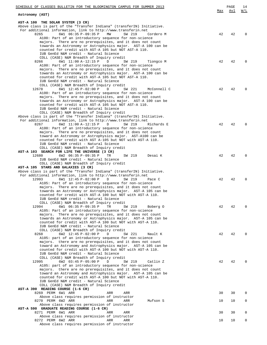| SCHEDULE OF CLASSES BULLETIN FOR THE BLOOMINGTON CAMPUS FOR SUMMER 2013                                                   |     | PAGE | 14       |
|---------------------------------------------------------------------------------------------------------------------------|-----|------|----------|
| Astronomy (AST)                                                                                                           | Max | Avl  | W/L      |
|                                                                                                                           |     |      |          |
| AST-A 100 THE SOLAR SYSTEM (3 CR)<br>Above class is part of the "Transfer Indiana" (transferIN) Initiative.               |     |      |          |
| For additional information, link to http://www.transferin.net                                                             |     |      |          |
| 8265<br>6W1 06:35 P-09:35 P<br>MW<br>SW 219<br>Cordero M                                                                  | 42  | 42   | $\Omega$ |
| A100: Part of an introductory sequence for non-science                                                                    |     |      |          |
| majors. There are no prerequisites, and it does not count<br>towards an Astronomy or Astrophysics major. AST-A 100 can be |     |      |          |
| counted for credit with AST-A 105 but NOT AST-A 110.                                                                      |     |      |          |
| IUB GenEd N&M credit - Natural Science                                                                                    |     |      |          |
| COLL (CASE) N&M Breadth of Inquiry credit                                                                                 |     |      |          |
| 6W1 11:00 A-12:15 P<br>D<br>SW 219<br>8266<br>Tiongco M<br>A100: Part of an introductory sequence for non-science         | 42  | 42   | $\Omega$ |
| majors. There are no prerequisites, and it does not count                                                                 |     |      |          |
| towards an Astronomy or Astrophysics major. AST-A 100 can be                                                              |     |      |          |
| counted for credit with AST-A 105 but NOT AST-A 110.                                                                      |     |      |          |
| IUB GenEd N&M credit - Natural Science<br>COLL (CASE) N&M Breadth of Inquiry credit                                       |     |      |          |
| 6W1 12:45 P-02:00 P<br>SW 221<br>12678<br>D<br>McConnell C                                                                | 42  | 42   | $\Omega$ |
| A100: Part of an introductory sequence for non-science                                                                    |     |      |          |
| majors. There are no prerequisites, and it does not count                                                                 |     |      |          |
| towards an Astronomy or Astrophysics major. AST-A 100 can be<br>counted for credit with AST-A 105 but NOT AST-A 110.      |     |      |          |
| IUB GenEd N&M credit - Natural Science                                                                                    |     |      |          |
| COLL (CASE) N&M Breadth of Inquiry credit                                                                                 |     |      |          |
| Above class is part of the "Transfer Indiana" (transferIN) Initiative.                                                    |     |      |          |
| For additional information, link to http://www.transferin.net<br>8267<br>6W2 11:00 A-12:15 P<br>D<br>SW 219<br>Richards E | 42  | 42   | $\Omega$ |
| A100: Part of an introductory sequence for non-science                                                                    |     |      |          |
| majors. There are no prerequisites, and it does not count                                                                 |     |      |          |
| toward an Astronomy or Astrophysics major. AST-A100 can be                                                                |     |      |          |
| counted for credit with AST A-105 but NOT with AST-A 110.<br>IUB GenEd N&M credit - Natural Science                       |     |      |          |
| COLL (CASE) N&M Breadth of Inquiry credit                                                                                 |     |      |          |
| AST-A 103 SEARCH FOR LIFE THE UNIVERSE (3 CR)                                                                             |     |      |          |
| 12680<br>6W2 06:35 P-09:35 P<br>TR<br>SW 219<br>Desai K                                                                   | 42  | 42   | $\Omega$ |
| IUB GenEd N&M credit - Natural Science<br>COLL (CASE) N&M Breadth of Inquiry credit                                       |     |      |          |
| AST-A 105 STARS AND GALAXIES (3 CR)                                                                                       |     |      |          |
| Above class is part of the "Transfer Indiana" (transferIN) Initiative.                                                    |     |      |          |
| For additional information, link to http://www.transferin.net                                                             |     |      |          |
| 12993<br>6W1 12:45 P-02:00 P<br>D<br>SW 219<br>Pace C<br>A105: Part of an introductory sequence for non-science           | 42  | 42   | $\Omega$ |
| majors. There are no prerequisites, and it does not count                                                                 |     |      |          |
| towards an Astronomy or Astrophysics major. AST-A 105 can be                                                              |     |      |          |
| counted for credit with AST-A 100 but NOT with AST-A 110.                                                                 |     |      |          |
| IUB GenEd N&M credit - Natural Science<br>COLL (CASE) N&M Breadth of Inquiry credit                                       |     |      |          |
| 6W1 06:35 P-09:35 P<br>TR<br>12994<br>SW 219<br>Boberg O                                                                  | 42  | 42   | $\Omega$ |
| A105: Part of an introductory sequence for non-science                                                                    |     |      |          |
| majors. There are no prerequisites, and it does not count                                                                 |     |      |          |
| towards an Astronomy or Astrophysics major. AST-A 105 can be<br>counted for credit with AST-A 100 but NOT with AST-A 110. |     |      |          |
| IUB GenEd N&M credit - Natural Science                                                                                    |     |      |          |
| COLL (CASE) N&M Breadth of Inquiry credit                                                                                 |     |      |          |
| 6W2 12:45 P-02:00 P<br>SW 221<br>8268<br>D<br>Nault K                                                                     | 42  | 42   | $\Omega$ |
| A105: part of an introductory sequence for non-science<br>majors. there are no prerequisites, and it does not count       |     |      |          |
| toward an Astronomy and Astrophysics major. AST-A 105 can be                                                              |     |      |          |
| counted for credit with AST-A 100 but NOT with AST-A 110.                                                                 |     |      |          |
| IUB GenEd N&M credit - Natural Science<br>COLL (CASE) N&M Breadth of Inquiry credit                                       |     |      |          |
| 12995<br>6W2 03:45 P-05:00 P<br>D<br>SW 219<br>Catlin Z                                                                   | 42  | 42   | $\Omega$ |
| A105: part of an introductory sequence for non-science                                                                    |     |      |          |
| majors. there are no prerequisites, and it does not count                                                                 |     |      |          |
| toward an Astronomy and Astrophysics major. AST-A 105 can be<br>counted for credit with AST-A 100 but NOT with AST-A 110. |     |      |          |
| IUB GenEd N&M credit - Natural Science                                                                                    |     |      |          |
| COLL (CASE) N&M Breadth of Inquiry credit                                                                                 |     |      |          |
| AST-A 390 READING COURSE (1-6 CR)                                                                                         |     |      |          |
| 8269 PERM 6W1 ARR<br>ARR<br>ARR<br>Above class requires permission of instructor                                          | 30  | 30   | 0        |
| 8270 PERM 6W2 ARR<br>ARR<br>Mufson S<br>ARR                                                                               | 10  | 10   | 0        |
| Above class requires permission of instructor                                                                             |     |      |          |
| AST-A 590 GRADUATE READING COURSE (1-6 CR)                                                                                |     |      |          |
| 8271 PERM 6W1 ARR<br>ARR<br>ARR<br>Above class requires permission of instructor                                          | 30  | 30   | 0        |
| 8272 PERM 6W2 ARR<br>ARR<br>ARR                                                                                           | 10  | 10   | 0        |
| Above class requires permission of instructor                                                                             |     |      |          |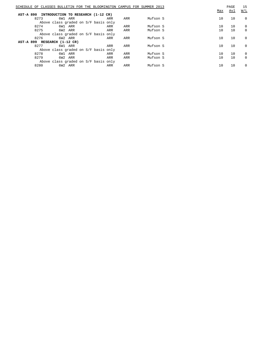|                  |      |                                      |     |     | SCHEDULE OF CLASSES BULLETIN FOR THE BLOOMINGTON CAMPUS FOR SUMMER 2013 | Max | PAGE<br>Avl | 15<br>W/L   |
|------------------|------|--------------------------------------|-----|-----|-------------------------------------------------------------------------|-----|-------------|-------------|
| <b>AST-A 890</b> |      | INTRODUCTION TO RESEARCH (1-12 CR)   |     |     |                                                                         |     |             |             |
|                  | 8273 | 6W1 ARR                              | ARR | ARR | Mufson S                                                                | 10  | 10          | $\mathbf 0$ |
|                  |      | Above class graded on S/F basis only |     |     |                                                                         |     |             |             |
|                  | 8274 | 6W1 ARR                              | ARR | ARR | Mufson S                                                                | 10  | 10          | $\mathbf 0$ |
|                  | 8275 | 6W2 ARR                              | ARR | ARR | Mufson S                                                                | 10  | 10          | $\mathbf 0$ |
|                  |      | Above class graded on S/F basis only |     |     |                                                                         |     |             |             |
|                  | 8276 | 6W2 ARR                              | ARR | ARR | Mufson S                                                                | 10  | 10          | $\mathbf 0$ |
|                  |      | AST-A 899 RESEARCH (1-12 CR)         |     |     |                                                                         |     |             |             |
|                  | 8277 | 6W1 ARR                              | ARR | ARR | Mufson S                                                                | 10  | 10          | $\Omega$    |
|                  |      | Above class graded on S/F basis only |     |     |                                                                         |     |             |             |
|                  | 8278 | 6W1 ARR                              | ARR | ARR | Mufson S                                                                | 10  | 10          | $\mathbf 0$ |
|                  | 8279 | 6W2 ARR                              | ARR | ARR | Mufson S                                                                | 10  | 10          | $\Omega$    |
|                  |      | Above class graded on S/F basis only |     |     |                                                                         |     |             |             |
|                  | 8280 | 6W2 ARR                              | ARR | ARR | Mufson S                                                                | 10  | 10          | $\Omega$    |
|                  |      |                                      |     |     |                                                                         |     |             |             |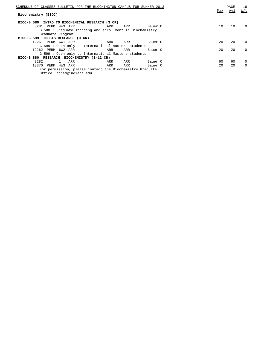| SCHEDULE OF CLASSES BULLETIN FOR THE BLOOMINGTON CAMPUS FOR SUMMER 2013 | PAGE | 16          |
|-------------------------------------------------------------------------|------|-------------|
| Max                                                                     | Avl  | W/L         |
| Biochemistry (BIOC)                                                     |      |             |
|                                                                         |      |             |
| BIOC-B 580 INTRO TO BIOCHEMICAL RESEARCH (3 CR)                         |      |             |
| 8281 PERM 4W3 ARR<br>10<br>ARR<br>ARR<br>Bauer C                        | 10   | $\Omega$    |
| B 580: Graduate standing and enrollment in Biochemistry                 |      |             |
| Graduate Program                                                        |      |             |
| BIOC-G 599 THESIS RESEARCH (0 CR)                                       |      |             |
| 12261 PERM 6W1 ARR<br>20<br>ARR<br>ARR<br>Bauer C                       | 20   | $\Omega$    |
| G 599 : Open only to International Masters students                     |      |             |
| 20<br>12262 PERM 6W2 ARR<br>ARR<br>ARR<br>Bauer C                       | 20   | $\Omega$    |
| G 599 : Open only to International Masters students                     |      |             |
| BIOC-B 880 RESEARCH: BIOCHEMISTRY (1-12 CR)                             |      |             |
| 8282<br>ARR<br>60<br>ARR<br>Bauer C<br>ARR                              | 60   | $\mathbf 0$ |
| 20<br>13370<br>PERM 4W3<br>ARR<br>ARR<br>ARR<br>Bauer C                 | 20   | $\Omega$    |
| For permission, please contact the Biochemistry Graduate                |      |             |
| Office, bchem@indiana.edu                                               |      |             |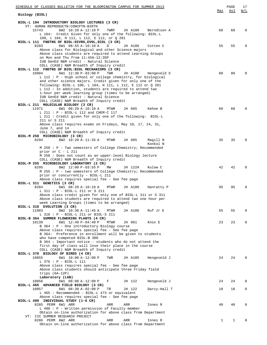| SCHEDULE OF CLASSES BULLETIN FOR THE BLOOMINGTON CAMPUS FOR SUMMER 2013                                                    |              | PAGE | 17          |
|----------------------------------------------------------------------------------------------------------------------------|--------------|------|-------------|
| Biology (BIOL)                                                                                                             | Max          | Avl  | W/L         |
|                                                                                                                            |              |      |             |
| BIOL-L 104 INTRODUCTORY BIOLOGY LECTURES (3 CR)<br>VT: HUMAN REPRODUCTN: CONCPTN-BIRTH                                     |              |      |             |
| 15743<br>6W2 10:20 A-12:10 P<br>TWRF<br>JH A100<br>Berndtson A                                                             | 60           | 60   | $\mathbf 0$ |
| L 104: Credit Given for only one of the following: BIOL-L<br>100, L 104, H 111, L 112, E 112, or Q 201                     |              |      |             |
| BIOL-L 111 FNDTNS OF BIOL:DIVRS, EVOL, ECOL (3 CR)                                                                         |              |      |             |
| 8283<br>6W1 08:55 A-10:10 A<br>D<br>JH A106<br>Cotten C                                                                    | 55           | 55   | $\mathbf 0$ |
| Above class for Biological and other Science majors<br>Above class students are required to attend Learning Groups         |              |      |             |
| on Mon and Thu from 11:45A-12:35P                                                                                          |              |      |             |
| IUB GenEd N&M credit - Natural Science                                                                                     |              |      |             |
| COLL (CASE) N&M Breadth of Inquiry credit<br>BIOL-L 112 FNDTNS OF BIOL: BIOL MECHANISMS (3 CR)                             |              |      |             |
| 10904<br>6W1 12:30 P-03:00 P<br>TWR<br>JH A100<br>Hengeveld S                                                              | 80           | 80   | $\Omega$    |
| L 112 : P - High school or college chemistry, for biological<br>and other science majors. Credit given for only one of the |              |      |             |
| following: BIOL-L 100, L 104, H 111, L 112, E 112 or Q 201                                                                 |              |      |             |
| L 112 : In addition, students are required to attend two                                                                   |              |      |             |
| 1-hour per week learning group (times to be arranged)<br>IUB GenEd N&M credit - Natural Science                            |              |      |             |
| COLL (CASE) N&M Breadth of Inquiry credit                                                                                  |              |      |             |
| BIOL-L 211 MOLECULAR BIOLOGY (3 CR)                                                                                        |              |      |             |
| 11971<br>6W1 08:20 A-10:10 A<br>JH 065<br>MTWR<br>Kehoe B<br>$L$ 211 : P - BIOL-L 112 and CHEM-C 117                       | 60           | 60   | $\Omega$    |
| L 211 : Credit given for only one of the following: BIOL-L                                                                 |              |      |             |
| 211 or S 211                                                                                                               |              |      |             |
| Above class requires exams on Fridays, May 10, 17, 24, 31,<br>June 7, and 14                                               |              |      |             |
| COLL (CASE) N&M Breadth of Inquiry credit                                                                                  |              |      |             |
| BIOL-M 250 MICROBIOLOGY (3 CR)                                                                                             |              |      |             |
| 8294<br>8W2 10:20 A-11:35 A<br>JH 065<br>Magill N<br>MTWR<br>Konkol N                                                      | 35           | 35   | $\Omega$    |
| M 250 : P - Two semesters of College Chemistry; Recommended                                                                |              |      |             |
| prior or $C - L$ 211                                                                                                       |              |      |             |
| M 250 : Does not count as an upper-level Biology lecture<br>COLL (CASE) N&M Breadth of Inquiry credit                      |              |      |             |
| BIOL-M 255 MICROBIOLOGY LABORATORY (2 CR)                                                                                  |              |      |             |
| 8295<br>8W2 12:00 P-03:55 P<br>МW<br>JH 122A<br>Kulow C                                                                    | 42           | 42   | $\Omega$    |
| M 255 : P - two semesters of College Chemistry; Recommended<br>prior or concurrently - BIOL-L 211                          |              |      |             |
| Above class requires special fee - See fee page                                                                            |              |      |             |
| BIOL-L 311 GENETICS (3 CR)<br>6W1 08:20 A-10:10 A<br>8284                                                                  |              |      | $\mathbf 0$ |
| MTWR<br>JH A100<br>Hanratty P<br>L 311 : P - BIOL-L 211 or S 211                                                           | 95           | 95   |             |
| Above class credit given for only one of BIOL-L 311 or S 311                                                               |              |      |             |
| Above class students are required to attend two one hour per                                                               |              |      |             |
| week Learning Groups (times to be arranged)<br>BIOL-L 318 EVOLUTION (3 CR)                                                 |              |      |             |
| 11083<br>8W2 10:30 A-11:45 A<br>MTWR<br>JH A106<br>Ruf Jr E                                                                | 55           | 55   | $\mathbf 0$ |
| L 318 : P - BIOL-L 211 or BIOL-S 211<br>BIOL-B 364 SUMMER FLOWERING PLANTS (4 CR)                                          |              |      |             |
| 10139<br>6W1 12:40 P-04:40 P<br>MTWR<br>JH 061<br>Knox E                                                                   | 23           | 23   | 0           |
| B 364 : P - One introductory Biology course                                                                                |              |      |             |
| Above class requires special fee - See fee page<br>B 364: Preference in enrollment will be given to students               |              |      |             |
| who have competed BIOL-B 300                                                                                               |              |      |             |
| B 364 : Important notice - students who do not attend the                                                                  |              |      |             |
| first day of class will lose their place in the course<br>COLL (CASE) N&M Breadth of Inquiry credit                        |              |      |             |
| BIOL-L 376 BIOLOGY OF BIRDS (4 CR)                                                                                         |              |      |             |
| 10855<br>6W1 10:00 A-12:00 P<br>TWR<br>JH A105<br>Hengeveld J                                                              | 24           | 24   | $\Omega$    |
| L 376 : P - BIOL-L 111<br>Above class requires special fee - See fee page                                                  |              |      |             |
| Above class students should anticipate three Friday field                                                                  |              |      |             |
| trips $(6A-12P)$<br>Laboratory (LAB)                                                                                       |              |      |             |
| 6W1 08:00 A-12:00 P<br>10856<br>JH 122<br>Hengeveld J<br>F                                                                 | 24           | 24   | 0           |
| BIOL-L 465 ADVANCED FIELD BIOLOGY (3 CR)                                                                                   |              |      |             |
| 10857<br>6W1 08:30 A-02:00 P<br>JH 122<br>Darcy-Hall T<br>TR<br>L 465 : Recommended - BIOL-L 473 or equivalent             | 18           | 18   | 0           |
| Above class requires special fee - See fee page                                                                            |              |      |             |
| BIOL-L 490 INDIVIDUAL STUDY (1-6 CR)                                                                                       |              |      |             |
| 8285 PERM 6W1 ARR<br>ARR<br>ARR<br>Innes R<br>$L$ 490 : P - Written permission of Faculty member                           | 40           | 40   | 0           |
| Obtain on-line authorization for above class from Department                                                               |              |      |             |
| VT: CIC SUMMER RESEARCH PROJECT                                                                                            |              |      |             |
| 8286 PERM 8W2 ARR<br>ARR<br>ARR<br>Innes R<br>Obtain on-line authorization for above class from Department                 | $\mathbf{1}$ | 1    | $\mathbf 0$ |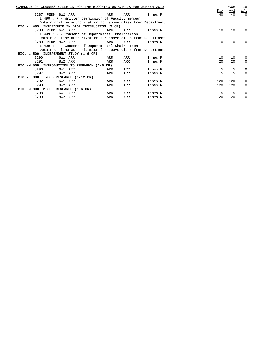|                                     | SCHEDULE OF CLASSES BULLETIN FOR THE BLOOMINGTON CAMPUS FOR SUMMER 2013 |     |     |         |     | PAGE       | 18                |
|-------------------------------------|-------------------------------------------------------------------------|-----|-----|---------|-----|------------|-------------------|
|                                     |                                                                         |     |     |         | Max | <u>Avl</u> | $\underline{W/L}$ |
| 8287 PERM 8W2 ARR                   |                                                                         | ARR | ARR | Innes R | 40  | 40         | $\Omega$          |
|                                     | $L$ 490 : P - Written permission of Faculty member                      |     |     |         |     |            |                   |
|                                     | Obtain on-line authorization for above class from Department            |     |     |         |     |            |                   |
|                                     | BIOL-L 499 INTERNSHIP IN BIOL INSTRUCTION (3 CR)                        |     |     |         |     |            |                   |
| 8288 PERM 6W1 ARR                   |                                                                         | ARR | ARR | Innes R | 10  | 10         | $\Omega$          |
|                                     | L 499 : P - Consent of Departmental Chairperson                         |     |     |         |     |            |                   |
|                                     | Obtain on-line authorization for above class from Department            |     |     |         |     |            |                   |
| 8289 PERM 8W2 ARR                   |                                                                         | ARR | ARR | Innes R | 10  | 10         | $\Omega$          |
|                                     | $L$ 499 : P - Consent of Departmental Chairperson                       |     |     |         |     |            |                   |
|                                     | Obtain on-line authorization for above class from Department            |     |     |         |     |            |                   |
|                                     | BIOL-L 500 INDEPENDENT STUDY (1-6 CR)                                   |     |     |         |     |            |                   |
| 8290                                | 6W1 ARR                                                                 | ARR | ARR | Innes R | 10  | 10         | 0                 |
| 8291                                | 8W2 ARR                                                                 | ARR | ARR | Innes R | 20  | 20         | $\Omega$          |
|                                     | BIOL-M 500 INTRODUCTION TO RESEARCH (1-6 CR)                            |     |     |         |     |            |                   |
| 8296                                | 6W1 ARR                                                                 | ARR | ARR | Innes R | 5   | 5          | 0                 |
| 8297                                | 8W2 ARR                                                                 | ARR | ARR | Innes R | 5   | 5          | $\Omega$          |
| BIOL-L 800 L-800 RESEARCH (1-12 CR) |                                                                         |     |     |         |     |            |                   |
| 8292                                | 6W1 ARR                                                                 | ARR | ARR | Innes R | 120 | 120        | 0                 |
| 8293                                | 8W2 ARR                                                                 | ARR | ARR | Innes R | 120 | 120        | 0                 |
| BIOL-M 800 M-800 RESEARCH (1-6 CR)  |                                                                         |     |     |         |     |            |                   |
| 8298                                | 6W1 ARR                                                                 | ARR | ARR | Innes R | 15  | 15         | 0                 |
| 8299                                | 8W2 ARR                                                                 | ARR | ARR | Innes R | 20  | 20         | $\Omega$          |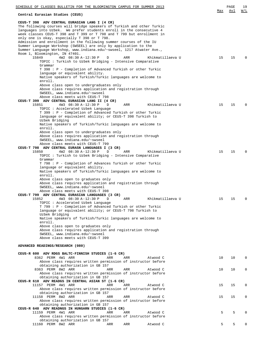| SCHEDULE OF CLASSES BULLETIN FOR THE BLOOMINGTON CAMPUS FOR SUMMER 2013                                                                        |     | PAGE | 19       |
|------------------------------------------------------------------------------------------------------------------------------------------------|-----|------|----------|
|                                                                                                                                                | Max | Avl  | W/L      |
| Central Eurasian Studies (CEUS)                                                                                                                |     |      |          |
| CEUS-T 398 ADV CENTRAL EURASIAN LANG I (4 CR)<br>The following courses will bridge speakers of Turkish and other Turkic                        |     |      |          |
| languages into Uzbek. We prefer students enroll in the consecutive 4<br>week classes CEUS-T 398 and T 399 or T 798 and T 799 but enrollment in |     |      |          |
| only one is okay, especially T 398 or T 798.<br>Admission and enrollment in the following summer courses of the IU                             |     |      |          |
| Summer Language Workshop (SWSEEL) are only by application to the                                                                               |     |      |          |
| Summer Language Workshop, www.indiana.edu/~swseel, 1217 Atwater Ave.,                                                                          |     |      |          |
| Room 1, Bloomington, IN 47401.<br>15849<br>4W2 08:30 A-12:30 P<br>D<br>ARR<br>Khikmatillaeva U                                                 | 15  | 15   | O        |
| TOPIC : Turkish to Uzbek Bridging - Intensive Comparative                                                                                      |     |      |          |
| Grammar                                                                                                                                        |     |      |          |
| T 398 : P - Completion of Advanced Turkish or other Turkic<br>language or equivalent ability.                                                  |     |      |          |
| Native speakers of Turkish/Turkic languages are welcome to                                                                                     |     |      |          |
| enroll.                                                                                                                                        |     |      |          |
| Above class open to undergraduates only                                                                                                        |     |      |          |
| Above class requires application and registration through<br>SWSEEL, www.indiana.edu/~swseel                                                   |     |      |          |
| Above class meets with CEUS-T 798                                                                                                              |     |      |          |
| CEUS-T 399 ADV CENTRAL EURASIAN LANG II (4 CR)                                                                                                 |     |      |          |
| 4W3 08:30 A-12:30 P<br>Khikmatillaeva U<br>15851<br>D<br>ARR<br>TOPIC: Accelerated Uzbek Language                                              | 15  | 15   | 0        |
| T 399 : P - Completion of Advanced Turkish or other Turkic                                                                                     |     |      |          |
| language or equivalent ability; or CEUS-T 398 Turkish to                                                                                       |     |      |          |
| Uzbek Bridging                                                                                                                                 |     |      |          |
| Native speakers of Turkish/Turkic languages are welcome to<br>enroll.                                                                          |     |      |          |
| Above class open to undergraduates only                                                                                                        |     |      |          |
| Above class requires application and registration through                                                                                      |     |      |          |
| SWSEEL, www.indiana.edu/~swseel<br>Above class meets with CEUS-T 799                                                                           |     |      |          |
| CEUS-T 798 ADV CENTRAL EURASN LANGUAGES I (3 CR)                                                                                               |     |      |          |
| 4W2 08:30 A-12:30 P<br>ARR<br>Khikmatillaeva U<br>15850<br>D                                                                                   | 15  | 15   | 0        |
| TOPIC : Turkish to Uzbek Bridging - Intensive Comparative                                                                                      |     |      |          |
| Grammar<br>T 798 : P - Completion of Advances Turkish or other Turkic                                                                          |     |      |          |
| language or equivalent ability.                                                                                                                |     |      |          |
| Native speakers of Turkish/Turkic languages are welcome to                                                                                     |     |      |          |
| enroll.<br>Above class open to graduates only                                                                                                  |     |      |          |
| Above class requires application and registration through                                                                                      |     |      |          |
| SWSEEL, www.indiana.edu/~swseel                                                                                                                |     |      |          |
| Above class meets with CEUS-T 398<br>CEUS-T 799 ADV CENTRAL EURASIAN LANGUAGES (3 CR)                                                          |     |      |          |
| 15852<br>Khikmatillaeva U<br>4W3 08:30 A-12:30 P<br>D<br>ARR                                                                                   | 15  | 15   | 0        |
| TOPIC : Accelerated Uzbek Language                                                                                                             |     |      |          |
| T 799 : P - Completion of Advanced Turkish or other Turkic<br>language or equivalent ability; or CEUS-T 798 Turkish to                         |     |      |          |
| Uzbek Bridging                                                                                                                                 |     |      |          |
| Native speakers of Turkish/Turkic languages are welcome to                                                                                     |     |      |          |
| enroll.                                                                                                                                        |     |      |          |
| Above class open to graduates only<br>Above class requires application and registration through                                                |     |      |          |
| SWSEEL, www.indiana.edu/~swseel                                                                                                                |     |      |          |
| Above class meets with CEUS-T 399                                                                                                              |     |      |          |
| ADVANCED READINGS/RESEARCH (080)                                                                                                               |     |      |          |
|                                                                                                                                                |     |      |          |
| CEUS-R 600 ADV RDGS BALTC-FINNISH STUDIES (1-6 CR)<br>8362 PERM 4W1 ARR<br>ARR<br>ARR<br>Atwood C                                              | 10  | 10   | $\Omega$ |
| Above class requires written permission of instructor before                                                                                   |     |      |          |
| obtaining authorization in GB 157                                                                                                              |     |      |          |
| 8363 PERM 8W2 ARR<br>ARR<br>ARR<br>Atwood C<br>Above class requires written permission of instructor before                                    | 10  | 10   | $\Omega$ |
| obtaining authorization in GB 157                                                                                                              |     |      |          |
| CEUS-R 610 ADV READGS IN CENTRAL ASIAN ST (1-6 CR)                                                                                             |     |      |          |
| 11157 PERM 4W1 ARR<br>ARR<br>ARR<br>Atwood C<br>Above class requires written permission of instructor before                                   | 15  | 15   | 0        |
| obtaining authorization in GB 157                                                                                                              |     |      |          |
| 11158 PERM 8W2 ARR<br>ARR<br>ARR<br>Atwood C                                                                                                   | 15  | 15   | 0        |
| Above class requires written permission of instructor before<br>obtaining authorization in GB 157                                              |     |      |          |
| CEUS-R 640 ADV READNGS IN HUNGARN STUDIES (1-6 CR)                                                                                             |     |      |          |
| 11159 PERM 4W1 ARR<br>ARR<br>ARR<br>Atwood C                                                                                                   | 5   | 5    | 0        |
| Above class requires written permission of instructor before                                                                                   |     |      |          |
| obtaining authorization in GB 157<br>11160 PERM 8W2 ARR<br>Atwood C<br>ARR<br>ARR                                                              | 5   | 5    | 0        |
|                                                                                                                                                |     |      |          |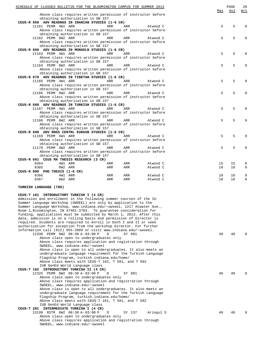| SCHEDULE OF CLASSES BULLETIN FOR THE BLOOMINGTON CAMPUS FOR SUMMER 2013                                                                   |     |        |           |     | PAGE | 20  |
|-------------------------------------------------------------------------------------------------------------------------------------------|-----|--------|-----------|-----|------|-----|
| Above class requires written permission of instructor before                                                                              |     |        |           | Max | Avl  | W/L |
| obtaining authorization in GB 157                                                                                                         |     |        |           |     |      |     |
| CEUS-R 650 ADV READNGS IN IRANIAN STUDIES (1-6 CR)                                                                                        |     |        |           |     |      |     |
| 11161 PERM 4W1 ARR                                                                                                                        | ARR | ARR    | Atwood C  | 5   | 5    | 0   |
| Above class requires written permission of instructor before<br>obtaining authorization in GB 157                                         |     |        |           |     |      |     |
| 11162 PERM 8W2 ARR                                                                                                                        | ARR | ARR    | Atwood C  | 5   | 5    | O   |
| Above class requires written permission of instructor before                                                                              |     |        |           |     |      |     |
| obtaining authorization in GB 157                                                                                                         |     |        |           |     |      |     |
| CEUS-R 660 ADV READNGS IN MONGOLN STUDIES (1-6 CR)<br>11163 PERM 4W1 ARR                                                                  | ARR | ARR    | Atwood C  | 5   | 5    | O   |
| Above class requires written permission of instructor before                                                                              |     |        |           |     |      |     |
| obtaining authorization in GB 157                                                                                                         |     |        |           |     |      |     |
| 11164 PERM 8W2 ARR                                                                                                                        | ARR | ARR    | Atwood C  | 5   | 5    | Ω   |
| Above class requires written permission of instructor before                                                                              |     |        |           |     |      |     |
| obtaining authorization in GB 157<br>CEUS-R 670 ADV READNGS IN TIBETAN STUDIES (1-6 CR)                                                   |     |        |           |     |      |     |
| 11165 PERM 4W1 ARR                                                                                                                        | ARR | ARR    | Atwood C  | 5   | 5    | N   |
| Above class requires written permission of instructor before                                                                              |     |        |           |     |      |     |
| obtaining authorization in GB 157                                                                                                         |     |        |           |     |      |     |
| 11166 PERM 8W2 ARR                                                                                                                        | ARR | ARR    | Atwood C  | 5   | 5    |     |
| Above class requires written permission of instructor before                                                                              |     |        |           |     |      |     |
| obtaining authorization in GB 157<br>CEUS-R 680 ADV READNGS IN TURKISH STUDIES (1-6 CR)                                                   |     |        |           |     |      |     |
| 11167 PERM 4W1 ARR                                                                                                                        | ARR | ARR    | Atwood C  | 5   | 5    |     |
| Above class requires written permission of instructor before                                                                              |     |        |           |     |      |     |
| obtaining authorization in GB 157                                                                                                         |     |        |           |     |      |     |
| 11168 PERM 8W2 ARR                                                                                                                        | ARR | ARR    | Atwood C  | 5   | 5    | 0   |
| Above class requires written permission of instructor before                                                                              |     |        |           |     |      |     |
| obtaining authorization in GB 157                                                                                                         |     |        |           |     |      |     |
| CEUS-R 690 ADV RDGS CENTRL EURASN STUDIES (1-6 CR)<br>11169 PERM 4W1 ARR                                                                  | ARR | ARR    | Atwood C  | 5   | 5    | 0   |
| Above class requires written permission of instructor before                                                                              |     |        |           |     |      |     |
| obtaining authorization in GB 157                                                                                                         |     |        |           |     |      |     |
| 11170 PERM 8W2 ARR                                                                                                                        | ARR | ARR    | Atwood C  | 5   | 5    | O   |
| Above class requires written permission of instructor before                                                                              |     |        |           |     |      |     |
| obtaining authorization in GB 157                                                                                                         |     |        |           |     |      |     |
| CEUS-R 691 CEUS MA THESIS RESEARCH (3 CR)<br>8364<br>4W1 ARR                                                                              | ARR | ARR    | Atwood C  | 15  | 15   | 0   |
| 8365<br>8W2 ARR                                                                                                                           | ARR | ARR    | Atwood C  | 10  | 10   | 0   |
| CEUS-R 890 PHD THESIS (1-6 CR)                                                                                                            |     |        |           |     |      |     |
| 8366<br>4W1 ARR                                                                                                                           | ARR | ARR    | Atwood C  | 10  | 10   | 0   |
| 8367<br>8W2 ARR                                                                                                                           | ARR | ARR    | Atwood C  | 10  | 10   | 0   |
| TURKISH LANGUAGE (780)                                                                                                                    |     |        |           |     |      |     |
|                                                                                                                                           |     |        |           |     |      |     |
| CEUS-T 181 INTRODUCTORY TURKISH I (4 CR)                                                                                                  |     |        |           |     |      |     |
| Admission and enrollment in the following summer courses of the IU                                                                        |     |        |           |     |      |     |
| Summer Language Workshop (SWSEEL) are only by application to the<br>Summer Language Workshop, www.indiana.edu/~swseel, 1217 Atwater Ave., |     |        |           |     |      |     |
| Room 1, Bloomington, IN 47401-3703. To guarantee consideration for                                                                        |     |        |           |     |      |     |
| funding, applications must be submitted by March 1, 2013. After this                                                                      |     |        |           |     |      |     |
| date, admission is on a rolling basis and permission of Director is                                                                       |     |        |           |     |      |     |
| required. Students are required to enroll in both I and II or seek                                                                        |     |        |           |     |      |     |
| authorization for exception from the workshop Director. For further<br>information call (812) 855-2889 or visit www.indiana.edu/~swseel.  |     |        |           |     |      |     |
| 12330 PERM 8W2 08:30 A-03:00 P                                                                                                            | D   | SY 001 |           | 40  | 40   |     |
| Above class open to undergraduates only                                                                                                   |     |        |           |     |      |     |
| Above class requires application and registration through                                                                                 |     |        |           |     |      |     |
| SWSEEL, www.indiana.edu/~swseel                                                                                                           |     |        |           |     |      |     |
| Above class is open to all undergraduates. It also meets an                                                                               |     |        |           |     |      |     |
| undergraduate language requirement for the Turkish Language                                                                               |     |        |           |     |      |     |
| Flagship Program, turkish.indiana.edu/home/<br>Above class meets with CEUS-T 182, T 581, and T 582                                        |     |        |           |     |      |     |
| IUB GenEd World Language class                                                                                                            |     |        |           |     |      |     |
| CEUS-T 182 INTRODUCTORY TURKISH II (4 CR)                                                                                                 |     |        |           |     |      |     |
| 12325 PERM 8W2 08:30 A-03:00 P                                                                                                            | D   | SY 001 |           | 40  | 40   |     |
| Above class open to undergraduates only                                                                                                   |     |        |           |     |      |     |
| Above class requires application and registration through                                                                                 |     |        |           |     |      |     |
| SWSEEL, www.indiana.edu/~swseel<br>Above class is open to all undergraduates. It also meets an                                            |     |        |           |     |      |     |
| undergraduate language requirement for the Turkish Language                                                                               |     |        |           |     |      |     |
| Flagship Program, turkish.indiana.edu/home/                                                                                               |     |        |           |     |      |     |
| Above class meets with CEUS-T 181, T 581, and T 582                                                                                       |     |        |           |     |      |     |
| IUB GenEd World Language class                                                                                                            |     |        |           |     |      |     |
| INTERMEDIATE TURKISH I (4 CR)<br>CEUS-T 281                                                                                               |     |        |           |     |      |     |
| 13199 RSTR 8W2 08:30 A-03:00 P                                                                                                            | D   | SY 137 | Ariogul S | 40  | 40   |     |
| Above class open to undergraduates only<br>Above class requires application and registration through                                      |     |        |           |     |      |     |
| SWSEEL, www.indiana.edu/~swseel                                                                                                           |     |        |           |     |      |     |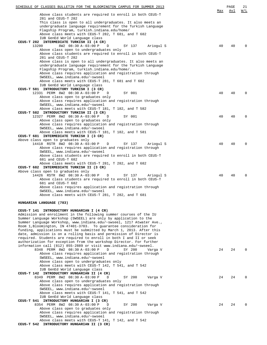| SCHEDULE OF CLASSES BULLETIN FOR THE BLOOMINGTON CAMPUS FOR SUMMER 2013                                                                     |     | PAGE | 21       |
|---------------------------------------------------------------------------------------------------------------------------------------------|-----|------|----------|
| Above class students are required to enroll in both CEUS-T                                                                                  | Max | Avl  | W/L      |
| 281 and CEUS-T 282<br>This class is open to all undergraduates. It also meets an                                                            |     |      |          |
| undergraduate language requirement for the Turkish Language                                                                                 |     |      |          |
| Flagship Program, turkish.indiana.edu/home/<br>Above class meets with CEUS-T 282, T 681, and T 682                                          |     |      |          |
| IUB GenEd World Language class                                                                                                              |     |      |          |
| CEUS-T 282 INTERMEDIATE TURKISH II (4 CR)<br>8W2 08:30 A-03:00 P<br>D<br>13200<br>SY 137<br>Ariogul S                                       | 40  | 40   |          |
| Above class open to undergraduates only                                                                                                     |     |      |          |
| Above class students are required to enroll in both CEUS-T<br>281 and CEUS-T 282                                                            |     |      |          |
| Above class is open to all undergraduates. It also meets an                                                                                 |     |      |          |
| undergraduate language requirement for the Turkish Language                                                                                 |     |      |          |
| Flagship Program, turkish.indiana.edu/home/.<br>Above class requires application and registration through                                   |     |      |          |
| SWSEEL, www.indiana.edu/~swseel                                                                                                             |     |      |          |
| Above class meets with CEUS-T 281, T 681 and T 682<br>IUB GenEd World Language class                                                        |     |      |          |
| CEUS-T 581 INTRODUCTORY TURKISH I (3 CR)                                                                                                    |     |      |          |
| 12331 PERM 8W2 08:30 A-03:00 P<br>SY 001<br>D<br>Above class open to graduates only                                                         | 40  | 40   |          |
| Above class requires application and registration through                                                                                   |     |      |          |
| SWSEEL, www.indiana.edu/~swseel<br>Above class meets with CEUS-T 181, T 182, and T 582                                                      |     |      |          |
| CEUS-T 582 INTRODUCTORY TURKISH II (3 CR)                                                                                                   |     |      |          |
| 12327 PERM 8W2 08:30 A-03:00 P<br>D<br>SY 001<br>Above class open to graduates only                                                         | 40  | 40   | $\Omega$ |
| Above class requires application and registration through                                                                                   |     |      |          |
| SWSEEL, www.indiana.edu/~swseel                                                                                                             |     |      |          |
| Above class meets with CEUS-T 181, T 182, and T 581<br>CEUS-T 681 INTERMEDIATE TURKISH I (3 CR)                                             |     |      |          |
| Above class open to graduates only                                                                                                          |     |      |          |
| 14418 RSTR 8W2 08:30 A-03:00 P<br>D<br>SY 137<br>Ariogul S<br>Above class requires application and registration through                     | 40  | 40   | $\Omega$ |
| SWSEEL, www.indiana.edu/~swseel                                                                                                             |     |      |          |
| Above class students are required to enroll in both CEUS-T<br>681 and CEUS-T 682                                                            |     |      |          |
| Above class meets with CEUS-T 281, T 282, and T 682                                                                                         |     |      |          |
| CEUS-T 682 INTERMEDIATE TURKISH II (3 CR)<br>Above class open to graduates only                                                             |     |      |          |
| 14426 RSTR 8W2 08:30 A-03:00 P<br>D<br>SY 137<br>Ariogul S                                                                                  | 40  | 40   |          |
| Above class students are required to enroll in both CEUS-T<br>681 and CEUS-T 682                                                            |     |      |          |
| Above class requires application and registration through                                                                                   |     |      |          |
| SWSEEL, www.indiana.edu/~swseel<br>Above class meets with CEUS-T 281, T 282, and T 681                                                      |     |      |          |
|                                                                                                                                             |     |      |          |
| HUNGARIAN LANGUAGE (783)                                                                                                                    |     |      |          |
| CEUS-T 141 INTRODUCTORY HUNGARIAN I (4 CR)                                                                                                  |     |      |          |
| Admission and enrollment in the following summer courses of the IU                                                                          |     |      |          |
| Summer Language Workshop (SWSEEL) are only by application to the<br>Summer Language Workshop, www.indiana.edu/~swseel, 1217 Atwater Ave.,   |     |      |          |
| Room 1, Bloomington, IN 47401-3703. To quarantee consideration for                                                                          |     |      |          |
| funding, applications must be submitted by March 1, 2013. After this<br>date, admission is on a rolling basis and permission of Director is |     |      |          |
| required. Students are required to enroll in both I and II or seek                                                                          |     |      |          |
| authorization for exception from the workshop Director. For further<br>information call (812) 855-2889 or visit www.indiana.edu/~swseel.    |     |      |          |
| 8348 PERM 8W2 08:30 A-03:00 P<br>D<br>SY 200<br>Varga V                                                                                     | 24  | 24   | $\Omega$ |
| Above class requires application and registration through<br>SWSEEL, www.indiana.edu/~swseel                                                |     |      |          |
| Above class open to undergraduates only                                                                                                     |     |      |          |
| Above class meets with CEUS-T 142, T 541, and T 542                                                                                         |     |      |          |
| IUB GenEd World Language class<br>CEUS-T 142 INTRODUCTORY HUNGARIAN II (4 CR)                                                               |     |      |          |
| 8349 PERM 8W2 08:30 A-03:00 P<br>D<br>SY 200<br>Varga V                                                                                     | 24  | 24   | $\Omega$ |
| Above class open to undergraduates only<br>Above class requires application and registration through                                        |     |      |          |
| SWSEEL, www.indiana.edu/~swseel                                                                                                             |     |      |          |
| Above class meets with CEUS-T 141, T 541, and T 542<br>IUB GenEd World Language class                                                       |     |      |          |
| CEUS-T 541 INTRODUCTORY HUNGARIAN I (3 CR)                                                                                                  |     |      |          |
| 8354 PERM 8W2 08:30 A-03:00 P<br>D<br>SY 200<br>Varga V<br>Above class open to graduates only                                               | 24  | 2.4  |          |
| Above class requires application and registration through                                                                                   |     |      |          |
| SWSEEL, www.indiana.edu/~swseel<br>Above class meets with CEUS-T 141, T 142, and T 542                                                      |     |      |          |
| CEUS-T 542 INTRODUCTORY HUNGARIAN II (3 CR)                                                                                                 |     |      |          |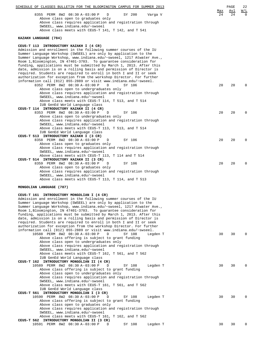| SCHEDULE OF CLASSES BULLETIN FOR THE BLOOMINGTON CAMPUS FOR SUMMER 2013                                                                     |           | PAGE             | 22                     |
|---------------------------------------------------------------------------------------------------------------------------------------------|-----------|------------------|------------------------|
| 8355 PERM 8W2 08:30 A-03:00 P<br>SY 200<br>D<br>Varga V                                                                                     | Max<br>24 | <u>Avl</u><br>24 | <u>W/L</u><br>$\Omega$ |
| Above class open to graduates only                                                                                                          |           |                  |                        |
| Above class requires application and registration through<br>SWSEEL, www.indiana.edu/~swseel                                                |           |                  |                        |
| Above class meets with CEUS-T 141, T 142, and T 541                                                                                         |           |                  |                        |
| KAZAKH LANGUAGE (784)                                                                                                                       |           |                  |                        |
| CEUS-T 113 INTRODUCTORY KAZAKH I (4 CR)                                                                                                     |           |                  |                        |
| Admission and enrollment in the following summer courses of the IU                                                                          |           |                  |                        |
| Summer Language Workshop (SWSEEL) are only by application to the<br>Summer Language Workshop, www.indiana.edu/~swseel, 1217 Atwater Ave.,   |           |                  |                        |
| Room 1, Bloomington, IN 47401-3703. To guarantee consideration for                                                                          |           |                  |                        |
| funding, applications must be submitted by March 1, 2013. After this<br>date, admission is on a rolling basis and permission of Director is |           |                  |                        |
| required. Students are required to enroll in both I and II or seek                                                                          |           |                  |                        |
| authorization for exception from the workshop Director. For further<br>information call (812) 855-2889 or visit www.indiana.edu/~swseel.    |           |                  |                        |
| 8352 PERM 8W2 08:30 A-03:00 P<br>D<br>SY 106                                                                                                | 20        | 20               | 0                      |
| Above class open to undergraduates only<br>Above class requires application and registration through                                        |           |                  |                        |
| SWSEEL, www.indiana.edu/~swseel                                                                                                             |           |                  |                        |
| Above class meets with CEUS-T 114, T 513, and T 514                                                                                         |           |                  |                        |
| IUB GenEd World Language class<br>CEUS-T 114 INTRODUCTORY KAZAKH II (4 CR)                                                                  |           |                  |                        |
| 8353 PERM 8W2 08:30 A-03:00 P<br>D<br>SY 106                                                                                                | 20        | 20               | 0                      |
| Above class open to undergraduates only<br>Above class requires application and registration through                                        |           |                  |                        |
| SWSEEL, www.indiana.edu/~swseel                                                                                                             |           |                  |                        |
| Above class meets with CEUS-T 113, T 513, and T 514<br>IUB GenEd World Language class                                                       |           |                  |                        |
| CEUS-T 513 INTRODUCTORY KAZAKH I (3 CR)                                                                                                     |           |                  |                        |
| 8358 PERM 8W2 08:30 A-03:00 P<br>SY 106<br>D<br>Above class open to graduates only                                                          | 20        | 20               | $\Omega$               |
| Above class requires application and registration through                                                                                   |           |                  |                        |
| SWSEEL, www.indiana.edu/~swseel<br>Above class meets with CEUS-T 113, T 114 and T 514                                                       |           |                  |                        |
| CEUS-T 514 INTRODUCTORY KAZAKH II (3 CR)                                                                                                    |           |                  |                        |
| 8359 PERM 8W2 08:30 A-03:00 P<br>D<br>SY 106                                                                                                | 20        | 20               | 0                      |
| Above class open to graduates only<br>Above class requires application and registration through                                             |           |                  |                        |
| SWSEEL, www.indiana.edu/~swseel<br>Above class meets with CEUS-T 113, T 114, and T 513                                                      |           |                  |                        |
|                                                                                                                                             |           |                  |                        |
| MONGOLIAN LANGUAGE (787)                                                                                                                    |           |                  |                        |
| CEUS-T 161 INTRODUCTORY MONGOLIAN I (4 CR)                                                                                                  |           |                  |                        |
| Admission and enrollment in the following summer courses of the IU<br>Summer Language Workshop (SWSEEL) are only by application to the      |           |                  |                        |
| Summer Language Workshop, www.indiana.edu/~swseel, 1217 Atwater Ave.,                                                                       |           |                  |                        |
| Room 1, Bloomington, IN 47401-3703. To guarantee consideration for<br>funding, applications must be submitted by March 1, 2013. After this  |           |                  |                        |
| date, admission is on a rolling basis and permission of Director is                                                                         |           |                  |                        |
| required. Students are required to enroll in both I and II or seek<br>authorization for exception from the workshop Director. For further   |           |                  |                        |
| information call (812) 855-2889 or visit www.indiana.edu/~swseel.                                                                           |           |                  |                        |
| 10588 PERM 8W2 08:30 A-03:00 P<br>D<br>SY 108<br>Legden T<br>Above class offering is subject to grant funding                               | 30        | 30               | $\Omega$               |
| Above class open to undergraduates only                                                                                                     |           |                  |                        |
| Above class requires application and registration through<br>SWSEEL, www.indiana.edu/~swseel                                                |           |                  |                        |
| Above class meets with CEUS-T 162, T 561, and T 562                                                                                         |           |                  |                        |
| IUB GenEd World Language class<br>CEUS-T 162 INTRODUCTORY MONGOLIAN II (4 CR)                                                               |           |                  |                        |
| 10589 PERM 8W2 08:30 A-03:00 P<br>D<br>SY 108<br>Legden T                                                                                   | 30        | 30               | 0                      |
| Above class offering is subject to grant funding                                                                                            |           |                  |                        |
| Above class open to undergraduates only<br>Above class requires application and registration through                                        |           |                  |                        |
| SWSEEL, www.indiana.edu/~swseel                                                                                                             |           |                  |                        |
| Above class meets with CEUS-T 161, T 561, and T 562<br>IUB GenEd World Language class                                                       |           |                  |                        |
| CEUS-T 561 INTRODUCTORY MONGOLIAN I (3 CR)                                                                                                  |           |                  |                        |
| 10590 PERM 8W2 08:30 A-03:00 P<br>D<br>SY 108<br>Legden T<br>Above class offering is subject to grant funding                               | 30        | 30               | $\Omega$               |
| Above class open to graduates only                                                                                                          |           |                  |                        |
| Above class requires application and registration through<br>SWSEEL, www.indiana.edu/~swseel                                                |           |                  |                        |
| Above class meets with CEUS-T 161, T 162, and T 562                                                                                         |           |                  |                        |
| CEUS-T 562 INTRODUCTORY MONGOLIAN II (3 CR)<br>10591 PERM 8W2 08:30 A-03:00 P<br>SY 108<br>Legden T<br>D                                    | 30        | 30               | 0                      |
|                                                                                                                                             |           |                  |                        |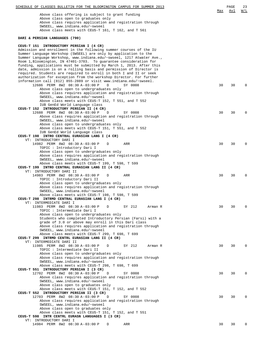| SCHEDULE OF CLASSES BULLETIN FOR THE BLOOMINGTON CAMPUS FOR SUMMER 2013                                                                   |            | PAGE | 23         |
|-------------------------------------------------------------------------------------------------------------------------------------------|------------|------|------------|
| Above class offering is subject to grant funding                                                                                          | <u>Max</u> | Avl  | <u>W/L</u> |
| Above class open to graduates only                                                                                                        |            |      |            |
| Above class requires application and registration through                                                                                 |            |      |            |
| SWSEEL, www.indiana.edu/~swseel<br>Above class meets with CEUS-T 161, T 162, and T 561                                                    |            |      |            |
|                                                                                                                                           |            |      |            |
| DARI & PERSIAN LANGUAGES (790)                                                                                                            |            |      |            |
| CEUS-T 151 INTRODUCTORY PERSIAN I (4 CR)                                                                                                  |            |      |            |
| Admission and enrollment in the following summer courses of the IU<br>Summer Language Workshop (SWSEEL) are only by application to the    |            |      |            |
| Summer Language Workshop, www.indiana.edu/~swseel, 1217 Atwater Ave.,                                                                     |            |      |            |
| Room 1, Bloomington, IN 47401-3703. To guarantee consideration for                                                                        |            |      |            |
| funding, applications must be submitted by March 1, 2013. After this                                                                      |            |      |            |
| date, admission is on a rolling basis and permission of Director is                                                                       |            |      |            |
| required. Students are required to enroll in both I and II or seek<br>authorization for exception from the workshop Director. For further |            |      |            |
| information call (812) 855-2889 or visit www.indiana.edu/~swseel.                                                                         |            |      |            |
| 12686 PERM 8W2 08:30 A-03:00 P<br>SY 0008<br>D                                                                                            | 30         | 30   | 0          |
| Above class open to undergraduates only                                                                                                   |            |      |            |
| Above class requires application and registration through<br>SWSEEL, www.indiana.edu/~swseel                                              |            |      |            |
| Above class meets with CEUS-T 152, T 551, and T 552                                                                                       |            |      |            |
| IUB GenEd World Language class                                                                                                            |            |      |            |
| CEUS-T 152 INTRODUCTORY PERSIAN II (4 CR)                                                                                                 |            |      |            |
| 12688 PERM 8W2 08:30 A-03:00 P<br>D<br>SY 0008                                                                                            | 30         | 30   | 0          |
| Above class requires application and registration through<br>SWSEEL, www.indiana.edu/~swseel                                              |            |      |            |
| Above class open to undergraduates only                                                                                                   |            |      |            |
| Above class meets with CEUS-T 151, T 551, and T 552                                                                                       |            |      |            |
| IUB GenEd World Language class                                                                                                            |            |      |            |
| CEUS-T 198 INTRO CENTRAL EURASIAN LANG I (4 CR)<br>VT: INTRODUCTORY DARI I                                                                |            |      |            |
| 14982 PERM 8W2 08:30 A-03:00 P<br>ARR<br>D                                                                                                | 30         | 30   | 0          |
| TOPIC : Introductory Dari I                                                                                                               |            |      |            |
| Above class open to undergraduates only                                                                                                   |            |      |            |
| Above class requires application and registration through                                                                                 |            |      |            |
| SWSEEL, www.indiana.edu/~swseel<br>Above class meets with CEUS-T 199, T 598, T 599                                                        |            |      |            |
| CEUS-T 199 INTRO CENTRAL EURASIAN LANG II (4 CR)                                                                                          |            |      |            |
| VT: INTRODUCTORY DARI II                                                                                                                  |            |      |            |
| 14983 PERM 8W2 08:30 A-03:00 P<br>ARR<br>D                                                                                                | 30         | 30   | 0          |
| TOPIC : Introductory Dari II<br>Above class open to undergraduates only                                                                   |            |      |            |
| Above class requires application and registration through                                                                                 |            |      |            |
| SWSEEL, www.indiana.edu/~swseel                                                                                                           |            |      |            |
| Above class meets with CEUS-T 198, T 598, T 599                                                                                           |            |      |            |
| CEUS-T 298 INTRMD CENTRAL EURASIAN LANG I (4 CR)<br>VT: INTERMEDIATE DARI I                                                               |            |      |            |
| 11983 PERM 8W2 08:30 A-03:00 P<br>D<br>SY 212<br>Arman R                                                                                  | 30         | 30   | 0          |
| TOPIC: Intermediate Dari I                                                                                                                |            |      |            |
| Above class open to undergraduates only                                                                                                   |            |      |            |
| Students who completed Introductory Persian (Farsi) with a                                                                                |            |      |            |
| grade of 3.0 or above may enroll in this Dari class<br>Above class requires application and registration through                          |            |      |            |
| SWSEEL, www.indiana.edu/~swseel                                                                                                           |            |      |            |
| Above class meets with CEUS-T 299, T 698, T 699                                                                                           |            |      |            |
| CEUS-T 299 INTRMD CENTRL EURASIAN LANG II (4 CR)                                                                                          |            |      |            |
| VT: INTERMEDIATE DARI II<br>11985 PERM 8W2 08:30 A-03:00 P<br>D<br>SY 212<br>Arman R                                                      | 30         | 30   | $\Omega$   |
| TOPIC : Intermediate Dari II                                                                                                              |            |      |            |
| Above class open to undergraduates only                                                                                                   |            |      |            |
| Above class requires application and registration through                                                                                 |            |      |            |
| SWSEEL, www.indiana.edu/~swseel                                                                                                           |            |      |            |
| Above class meets with CEUS-T 298, T 698, T 699<br>CEUS-T 551 INTRODUCTORY PERSIAN I (3 CR)                                               |            |      |            |
| 12702 PERM 8W2 08:30 A-03:00 P<br>D<br>SY 0008                                                                                            | 30         | 30   | $\Omega$   |
| Above class requires application and registration through                                                                                 |            |      |            |
| SWSEEL, www.indiana.edu/~swseel                                                                                                           |            |      |            |
| Above class open to graduates only                                                                                                        |            |      |            |
| Above class meets with CEUS-T 151, T 152, and T 552<br>CEUS-T 552 INTRODUCTORY PERSIAN II (3 CR)                                          |            |      |            |
| 12703 PERM 8W2 08:30 A-03:00 P<br>SY 0008<br>$\Box$                                                                                       | 30         | 30   | $\Omega$   |
| Above class requires application and registration through                                                                                 |            |      |            |
| SWSEEL, www.indiana.edu/~swseel                                                                                                           |            |      |            |
| Above class open to graduates only                                                                                                        |            |      |            |
| Above class meets with CEUS-T 151, T 152, and T 551<br>CEUS-T 598 INTR CENTRL EURASN LANGUAGES I (3 CR)                                   |            |      |            |
| VT: INTRODUCTORY DARI I                                                                                                                   |            |      |            |
| 14984 PERM 8W2 08:30 A-03:00 P<br>D<br>ARR                                                                                                | 30         | 30   | $\Omega$   |
|                                                                                                                                           |            |      |            |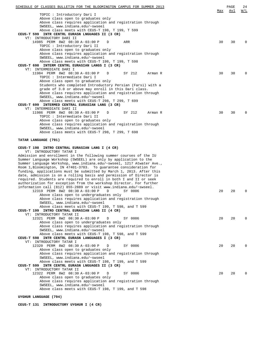| SCHEDULE OF CLASSES BULLETIN FOR THE BLOOMINGTON CAMPUS FOR SUMMER 2013                         |     | PAGE | 24          |
|-------------------------------------------------------------------------------------------------|-----|------|-------------|
|                                                                                                 | Max | Avl  | <u>W/L</u>  |
| TOPIC: Introductory Dari I                                                                      |     |      |             |
| Above class open to graduates only<br>Above class requires application and registration through |     |      |             |
| SWSEEL, www.indiana.edu/~swseel                                                                 |     |      |             |
| Above class meets with CEUS-T 198, T 199, T 599                                                 |     |      |             |
| CEUS-T 599 INTR CENTRL EURASN LNGUAGES II (3 CR)                                                |     |      |             |
| VT: INTRODUCTORY DARI II                                                                        |     |      |             |
| 14985 PERM 8W2 08:30 A-03:00 P<br>ARR<br>D                                                      | 30  | 30   | $\mathbf 0$ |
| TOPIC : Introductory Dari II                                                                    |     |      |             |
| Above class open to graduates only                                                              |     |      |             |
| Above class requires application and registration through                                       |     |      |             |
| SWSEEL, www.indiana.edu/~swseel                                                                 |     |      |             |
| Above class meets with CEUS-T 198, T 199, T 598                                                 |     |      |             |
| CEUS-T 698 INTERM CENTRL EURASIAN LANGS I (3 CR)                                                |     |      |             |
| VT: INTERMEDIATE DARI I                                                                         | 30  | 30   | $\Omega$    |
| 11984 PERM 8W2 08:30 A-03:00 P<br>SY 212<br>D<br>Arman R<br>TOPIC : Intermediate Dari I         |     |      |             |
| Above class open to graduates only                                                              |     |      |             |
| Students who completed Introductory Persian (Farsi) with a                                      |     |      |             |
| grade of 3.0 or above may enroll in this Dari class.                                            |     |      |             |
| Above class requires application and registration through                                       |     |      |             |
| SWSEEL, www.indiana.edu/~swseel                                                                 |     |      |             |
| Above class meets with CEUS-T 298, T 299, T 699                                                 |     |      |             |
| CEUS-T 699 INTERMED CENTRAL EURASIAN LANG (3 CR)                                                |     |      |             |
| VT: INTERMEDIATE DARI II                                                                        |     |      |             |
| 11986 PERM 8W2 08:30 A-03:00 P<br>D<br>SY 212<br>Arman R                                        | 30  | 30   | $\Omega$    |
| TOPIC : Intermediate Dari II                                                                    |     |      |             |
| Above class open to graduates only                                                              |     |      |             |
| Above class requires application and registration through                                       |     |      |             |
| SWSEEL, www.indiana.edu/~swseel                                                                 |     |      |             |
| Above class meets with CEUS-T 298, T 299, T 698                                                 |     |      |             |
|                                                                                                 |     |      |             |
| TATAR LANGUAGE (791)                                                                            |     |      |             |
| CEUS-T 198 INTRO CENTRAL EURASIAN LANG I (4 CR)                                                 |     |      |             |
| VT: INTRODUCTORY TATAR I                                                                        |     |      |             |
| Admission and enrollment in the following summer courses of the IU                              |     |      |             |
| Summer Language Workshop (SWSEEL) are only by application to the                                |     |      |             |
| Summer Language Workshop, www.indiana.edu/~swseel, 1217 Atwater Ave.,                           |     |      |             |
| Room 1, Bloomington, IN 47401-3703. To guarantee consideration for                              |     |      |             |
| funding, applications must be submitted by March 1, 2013. After this                            |     |      |             |
| date, admission is on a rolling basis and permission of Director is                             |     |      |             |
| required. Students are required to enroll in both I and II or seek                              |     |      |             |
| authorization for exception from the workshop Director. For further                             |     |      |             |
| information call (812) 855-2889 or visit www.indiana.edu/~swseel.                               |     |      |             |
| 12319 PERM 8W2 08:30 A-03:00 P<br>D<br>SY 0006                                                  | 20  | 20   | $\mathbf 0$ |
| Above class open to undergraduates only                                                         |     |      |             |
| Above class requires application and registration through                                       |     |      |             |
| SWSEEL, www.indiana.edu/~swseel<br>Above class meets with CEUS-T 199, T 598, and T 599          |     |      |             |
| CEUS-T 199 INTRO CENTRAL EURASIAN LANG II (4 CR)                                                |     |      |             |
| VT: INTRODUCTORY TATAR II                                                                       |     |      |             |
| 12321 PERM 8W2 08:30 A-03:00 P<br>SY 0006<br>D                                                  | 20  | 20   | $\Omega$    |
| Above class open to undergraduates only                                                         |     |      |             |
| Above class requires application and registration through                                       |     |      |             |
| SWSEEL, www.indiana.edu/~swseel                                                                 |     |      |             |
| Above class meets with CEUS-T 198, T 598, and T 599                                             |     |      |             |
| CEUS-T 598 INTR CENTRL EURASN LANGUAGES I (3 CR)                                                |     |      |             |
| VT: INTRODUCTORY TATAR I                                                                        |     |      |             |
| 12320 PERM 8W2 08:30 A-03:00 P<br>SY 0006<br>D                                                  | 20  | 20   | $\Omega$    |
| Above class open to graduates only                                                              |     |      |             |
| Above class requires application and registration through                                       |     |      |             |
| SWSEEL, www.indiana.edu/~swseel                                                                 |     |      |             |
| Above class meets with CEUS-T 198, T 199, and T 599                                             |     |      |             |
| CEUS-T 599 INTR CENTRL EURASN LNGUAGES II (3 CR)<br>VT: INTRODUCTORY TATAR II                   |     |      |             |
| 12322 PERM 8W2 08:30 A-03:00 P<br>SY 0006<br>D                                                  | 20  | 20   | $\Omega$    |
| Above class open to graduates only                                                              |     |      |             |
| Above class requires application and registration through                                       |     |      |             |
| SWSEEL, www.indiana.edu/~swseel                                                                 |     |      |             |
| Above class meets with CEUS-T 198, T 199, and T 598                                             |     |      |             |
|                                                                                                 |     |      |             |

**UYGHUR LANGUAGE (794)**

**CEUS-T 131 INTRODUCTORY UYGHUR I (4 CR)**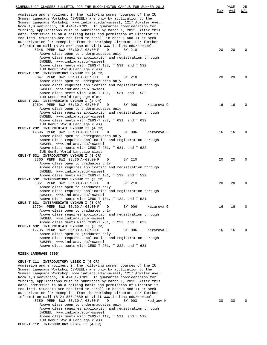| SCHEDULE OF CLASSES BULLETIN FOR THE BLOOMINGTON CAMPUS FOR SUMMER 2013                                                                     |     | PAGE | 25          |
|---------------------------------------------------------------------------------------------------------------------------------------------|-----|------|-------------|
| Admission and enrollment in the following summer courses of the IU                                                                          | Max | Avl  | W/L         |
| Summer Language Workshop (SWSEEL) are only by application to the                                                                            |     |      |             |
| Summer Language Workshop, www.indiana.edu/~swseel, 1217 Atwater Ave.,<br>Room 1, Bloomington, IN 47401-3703. To guarantee consideration for |     |      |             |
| funding, applications must be submitted by March 1, 2013. After this                                                                        |     |      |             |
| date, admission is on a rolling basis and permission of Director is                                                                         |     |      |             |
| required. Students are required to enroll in both I and II or seek<br>authorization for exception from the workshop Director. For further   |     |      |             |
| information call (812) 855-2889 or visit www.indiana.edu/~swseel.                                                                           |     |      |             |
| 8346 PERM 8W2 08:30 A-03:00 P<br>D<br>SY 210<br>Above class open to undergraduates only                                                     | 20  | 20   | $\Omega$    |
| Above class requires application and registration through                                                                                   |     |      |             |
| SWSEEL, www.indiana.edu/~swseel                                                                                                             |     |      |             |
| Above class meets with CEUS-T 132, T 531, and T 532<br>IUB GenEd World Language class                                                       |     |      |             |
| CEUS-T 132 INTRODUCTORY UYGHUR II (4 CR)                                                                                                    |     |      |             |
| 8347 PERM 8W2 08:30 A-03:00 P<br>SY 210<br>D                                                                                                | 20  | 20   | 0           |
| Above class open to undergraduates only<br>Above class requires application and registration through                                        |     |      |             |
| SWSEEL, www.indiana.edu/~swseel                                                                                                             |     |      |             |
| Above class meets with CEUS-T 131, T 531, and T 532                                                                                         |     |      |             |
| IUB GenEd World Language class<br>CEUS-T 231 INTERMEDIATE UYGHUR I (4 CR)                                                                   |     |      |             |
| 12694 PERM 8W2 08:30 A-03:00 P<br>SY 006<br>D<br>Nazarova G                                                                                 | 16  | 16   | 0           |
| Above class open to undergraduates only                                                                                                     |     |      |             |
| Above class requires application and registration through<br>SWSEEL, www.indiana.edu/~swseel                                                |     |      |             |
| Above class meets with CEUS-T 232, T 631, and T 632                                                                                         |     |      |             |
| IUB GenEd World Language class                                                                                                              |     |      |             |
| CEUS-T 232 INTERMEDIATE UYGHUR II (4 CR)<br>12696 PERM 8W2 08:30 A-03:00 P<br>SY 006<br>D<br>Nazarova G                                     | 16  | 16   | 0           |
| Above class open to undergraduates only                                                                                                     |     |      |             |
| Above class requires application and registration through                                                                                   |     |      |             |
| SWSEEL, www.indiana.edu/~swseel<br>Above class meets with CEUS-T 231, T 631, and T 632                                                      |     |      |             |
| IUB GenEd World Language class                                                                                                              |     |      |             |
| CEUS-T 531 INTRODUCTORY UYGHUR I (3 CR)                                                                                                     |     |      |             |
| 8360 PERM 8W2 08:30 A-03:00 P<br>SY 210<br>D<br>Above class open to graduates only                                                          | 20  | 20   | $\mathbf 0$ |
| Above class requires application and registration through                                                                                   |     |      |             |
| SWSEEL, www.indiana.edu/~swseel                                                                                                             |     |      |             |
| Above class meets with CEUS-T 131, T 132, and T 532<br>CEUS-T 532 INTRODUCTORY UYGHUR II (3 CR)                                             |     |      |             |
| 8361 PERM 8W2 08:30 A-03:00 P<br>D<br>SY 210                                                                                                | 20  | 20   | $\mathbf 0$ |
| Above class open to graduates only                                                                                                          |     |      |             |
| Above class requires application and registration through<br>SWSEEL, www.indiana.edu/~swseel                                                |     |      |             |
| Above class meets with CEUS-T 131, T 132, and T 531                                                                                         |     |      |             |
| CEUS-T 631 INTERMEDIATE UYGHUR I (3 CR)<br>12704 PERM 8W2 08:30 A-03:00 P<br>SY 006<br>D<br>Nazarova G                                      | 16  | 16   | 0           |
| Above class open to graduates only                                                                                                          |     |      |             |
| Above class requires application and registration through                                                                                   |     |      |             |
| SWSEEL, www.indiana.edu/~swseel<br>Above class meets with CEUS-T 231, T 232, and T 632                                                      |     |      |             |
| CEUS-T 632 INTERMEDIATE UYGHUR II (3 CR)                                                                                                    |     |      |             |
| 12705 PERM 8W2 08:30 A-03:00 P<br>D<br>SY 006<br>Nazarova G                                                                                 | 16  | 16   | 0           |
| Above class open to graduates only<br>Above class requires application and registration through                                             |     |      |             |
| SWSEEL, www.indiana.edu/~swseel                                                                                                             |     |      |             |
| Above class meets with CEUS-T 231, T 232, and T 631                                                                                         |     |      |             |
| UZBEK LANGUAGE (795)                                                                                                                        |     |      |             |
| CEUS-T 111 INTRODUCTORY UZBEK I (4 CR)                                                                                                      |     |      |             |
| Admission and enrollment in the following summer courses of the IU                                                                          |     |      |             |
| Summer Language Workshop (SWSEEL) are only by application to the                                                                            |     |      |             |
| Summer Language Workshop, www.indiana.edu/~swseel, 1217 Atwater Ave.,<br>Room 1, Bloomington, IN 47401-3703. To guarantee consideration for |     |      |             |
| funding, applications must be submitted by March 1, 2013. After this                                                                        |     |      |             |
| date, admission is on a rolling basis and permission of Director is<br>required. Students are required to enroll in both I and II or seek   |     |      |             |
| authorization for exception from the workshop Director. For further                                                                         |     |      |             |

information call (812) 855-2889 or visit www.indiana.edu/~swseel. 8350 PERM 8W2 08:30 A-03:00 P D SY 003 Hodjaev M 30 30 0 Above class open to undergraduates only Above class requires application and registration through SWSEEL, www.indiana.edu/~swseel Above class meets with CEUS-T 112, T 511, and T 512

IUB GenEd World Language class **CEUS-T 112 INTRODUCTORY UZBEK II (4 CR)**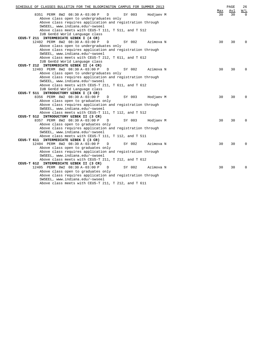| SCHEDULE OF CLASSES BULLETIN FOR THE BLOOMINGTON CAMPUS FOR SUMMER 2013                              |            | PAGE | 26                |
|------------------------------------------------------------------------------------------------------|------------|------|-------------------|
|                                                                                                      | <u>Max</u> | Av1  | $\underline{W/L}$ |
| 8351 PERM 8W2 08:30 A-03:00 P<br>$\mathbb{D}$<br>SY 003<br>Hodjaev M                                 | 30         | 30   | $\cap$            |
| Above class open to undergraduates only<br>Above class requires application and registration through |            |      |                   |
| SWSEEL, www.indiana.edu/~swseel                                                                      |            |      |                   |
| Above class meets with CEUS-T 111, T 511, and T 512                                                  |            |      |                   |
| IUB GenEd World Language class                                                                       |            |      |                   |
| CEUS-T 211 INTERMEDIATE UZBEK I (4 CR)                                                               |            |      |                   |
| 12402 PERM 8W2 08:30 A-03:00 P<br>SY 002<br>Azimova N<br>D                                           | 30         | 30   | $\Omega$          |
| Above class open to undergraduates only                                                              |            |      |                   |
| Above class requires application and registration through                                            |            |      |                   |
| SWSEEL, www.indiana.edu/~swseel                                                                      |            |      |                   |
| Above class meets with CEUS-T 212, T 611, and T 612                                                  |            |      |                   |
| IUB GenEd World Language class                                                                       |            |      |                   |
| CEUS-T 212 INTERMEDIATE UZBEK II (4 CR)                                                              |            |      |                   |
| 12403 PERM 8W2 08:30 A-03:00 P<br>D<br>SY 002<br>Azimova N                                           | 30         | 30   | $\Omega$          |
| Above class open to undergraduates only                                                              |            |      |                   |
| Above class requires application and registration through                                            |            |      |                   |
| SWSEEL, www.indiana.edu/~swseel                                                                      |            |      |                   |
| Above class meets with CEUS-T 211, T 611, and T 612                                                  |            |      |                   |
| IUB GenEd World Language class                                                                       |            |      |                   |
| CEUS-T 511 INTRODUCTORY UZBEK I (3 CR)                                                               |            |      |                   |
| 8356 PERM 8W2 08:30 A-03:00 P<br>$\mathbb D$<br>SY 003<br>Hodjaev M                                  | 30         | 30   | $\Omega$          |
| Above class open to graduates only                                                                   |            |      |                   |
| Above class requires application and registration through                                            |            |      |                   |
| SWSEEL, www.indiana.edu/~swseel                                                                      |            |      |                   |
| Above class meets with CEUS-T 111, T 112, and T 512                                                  |            |      |                   |
| CEUS-T 512 INTRODUCTORY UZBEK II (3 CR)                                                              |            |      |                   |
| 8357 PERM 8W2 08:30 A-03:00 P<br>SY 003<br>D<br>Hodjaev M                                            | 30         | 30   | $\Omega$          |
| Above class open to graduates only                                                                   |            |      |                   |
| Above class requires application and registration through                                            |            |      |                   |
| SWSEEL, www.indiana.edu/~swseel                                                                      |            |      |                   |
| Above class meets with CEUS-T 111, T 112, and T 511                                                  |            |      |                   |
| CEUS-T 611 INTERMEDIATE UZBEK I (3 CR)                                                               |            |      |                   |
| 12404 PERM 8W2 08:30 A-03:00 P<br>SY 002<br>D<br>Azimova N                                           | 30         | 30   | 0                 |
| Above class open to graduates only                                                                   |            |      |                   |
| Above class requires application and registration through                                            |            |      |                   |
| SWSEEL, www.indiana.edu/~swseel                                                                      |            |      |                   |
| Above class meets with CEUS-T 211, T 212, and T 612                                                  |            |      |                   |
| CEUS-T 612 INTERMEDIATE UZBEK II (3 CR)                                                              |            |      |                   |
| 12405 PERM 8W2 08:30 A-03:00 P<br>SY 002<br>Azimova N<br>D                                           | 30         | 30   | $\mathbf 0$       |
| Above class open to graduates only                                                                   |            |      |                   |
| Above class requires application and registration through                                            |            |      |                   |
| SWSEEL, www.indiana.edu/~swseel                                                                      |            |      |                   |
| Above class meets with CEUS-T 211, T 212, and T 611                                                  |            |      |                   |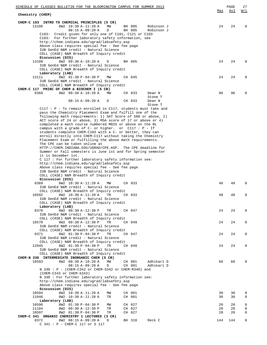| SCHEDULE OF CLASSES BULLETIN FOR THE BLOOMINGTON CAMPUS FOR SUMMER 2013                                                | Max | PAGE<br><u>Avl</u> | 27<br>W/L   |
|------------------------------------------------------------------------------------------------------------------------|-----|--------------------|-------------|
| Chemistry (CHEM)                                                                                                       |     |                    |             |
| CHEM-C 103 INTRO TO CHEMICAL PRINCIPLES (5 CR)                                                                         |     |                    |             |
| 13106<br>8W2 10:30 A-11:20 A<br>MW<br>BH 005<br>Robinson J<br>$08:15 A-09:20 A$<br>D<br>BH 005<br>Robinson J           | 24  | 24                 | $\Omega$    |
| Credit given for only one of C101, C121 or C103<br>C103:                                                               |     |                    |             |
| C103: For further laboratory safety information, see                                                                   |     |                    |             |
| http://chem.indiana.edu/ugrad/labsafety.asp                                                                            |     |                    |             |
| Above class requires special fee - See fee page                                                                        |     |                    |             |
| IUB GenEd N&M credit - Natural Science<br>COLL (CASE) N&M Breadth of Inquiry credit                                    |     |                    |             |
| Discussion (DIS)                                                                                                       |     |                    |             |
| 8W2 09:30 A-10:20 A<br>13108<br>BH 005<br>D                                                                            | 24  | 24                 | $\Omega$    |
| IUB GenEd N&M credit - Natural Science                                                                                 |     |                    |             |
| COLL (CASE) N&M Breadth of Inquiry credit                                                                              |     |                    |             |
| Laboratory (LAB)<br>8W2 01:30 P-04:30 P<br>CH 045<br>13111<br>MW                                                       | 24  | 24                 | O           |
| IUB GenEd N&M credit - Natural Science                                                                                 |     |                    |             |
| COLL (CASE) N&M Breadth of Inquiry credit                                                                              |     |                    |             |
| CHEM-C 117 PRINC OF CHEM & BIOCHEM I (5 CR)                                                                            |     |                    |             |
| 8W2 09:30 A-10:20 A<br>8368<br>MW<br>CH 033<br>Dean N                                                                  | 96  | 96                 |             |
| Stone T                                                                                                                |     |                    |             |
| $08:15 A-09:20 A$<br>CH 033<br>D<br>Dean N<br>Stone T                                                                  |     |                    |             |
| $C117 : P$ - To remain enrolled in $C117$ , students must take and                                                     |     |                    |             |
| pass the Chemistry Placement Exam and fulfill one of the                                                               |     |                    |             |
| following math requirements: 1) SAT Score of 580 or above, 2)                                                          |     |                    |             |
| ACT score of 24 or above, 3) MSA score of 17 or above or 4)                                                            |     |                    |             |
| completed a math course numbered M025 or above on the BL                                                               |     |                    |             |
| campus with a grade of $C-$ or higher. or $C117 : P - If$<br>students complete CHEM-C103 with a C- or better, they can |     |                    |             |
| enroll directly into CHEM-C117 without taking the Chemistry                                                            |     |                    |             |
| Placement Exam or fulfilling the above math requirements.                                                              |     |                    |             |
| The CPE can be taken online at                                                                                         |     |                    |             |
| HTTP://CHEM.INDIANA.EDU/UGRAD/CPE.ASP. The CPE deadline for                                                            |     |                    |             |
| Summer or Fall semesters is June 1st and for Spring semester                                                           |     |                    |             |
| it is December 1st.<br>C 117 : For further laboratory safety information see:                                          |     |                    |             |
| http://chem.indiana.edu/ugrad/labsafety.asp                                                                            |     |                    |             |
| Above class requires special fee - See fee page                                                                        |     |                    |             |
| IUB GenEd N&M credit - Natural Science                                                                                 |     |                    |             |
| COLL (CASE) N&M Breadth of Inquiry credit                                                                              |     |                    |             |
| Discussion (DIS)                                                                                                       |     |                    | 0           |
| 8369<br>8W2 10:30 A-11:20 A<br>MW<br>CH 033<br>IUB GenEd N&M credit - Natural Science                                  | 48  | 48                 |             |
| COLL (CASE) N&M Breadth of Inquiry credit                                                                              |     |                    |             |
| 10592<br>8W2 10:30 A-11:20 A<br>TR<br>CH 033                                                                           | 48  | 48                 | 0           |
| IUB GenEd N&M credit - Natural Science                                                                                 |     |                    |             |
| COLL (CASE) N&M Breadth of Inquiry credit                                                                              |     |                    |             |
| Laboratory (LAB)<br>8W2 09:30 A-12:30 P<br>8370<br>CH 047<br>TR                                                        | 24  | 24                 | $\mathbf 0$ |
| IUB GenEd N&M credit - Natural Science                                                                                 |     |                    |             |
| COLL (CASE) N&M Breadth of Inquiry credit                                                                              |     |                    |             |
| 10570<br>8W2 09:30 A-12:30 P<br>TR<br>CH 049                                                                           | 24  | 24                 | $\mathbf 0$ |
| IUB GenEd N&M credit - Natural Science                                                                                 |     |                    |             |
| COLL (CASE) N&M Breadth of Inquiry credit                                                                              |     |                    |             |
| 8W2 01:30 P-04:30 P<br>8371<br>TR<br>CH 047<br>IUB GenEd N&M credit - Natural Science                                  | 24  | 24                 | $\mathbf 0$ |
| COLL (CASE) N&M Breadth of Inquiry credit                                                                              |     |                    |             |
| 8W2 01:30 P-04:30 P<br>TR<br>CH 049<br>12045                                                                           | 24  | 24                 | $\mathbf 0$ |
| IUB GenEd N&M credit - Natural Science                                                                                 |     |                    |             |
| COLL (CASE) N&M Breadth of Inquiry credit                                                                              |     |                    |             |
| CHEM-N 330 INTERMEDIATE INORGANIC CHEM (5 CR)                                                                          |     |                    |             |
| 10593<br>8W2 09:30 A-10:20 A<br>MW<br>CH 001<br>Adhikari D<br>D<br>CH 001<br>$08:15 A-09:20 A$<br>Adhikari D           | 60  | 60                 | 0           |
| N 330 : P - (CHEM-C342 or CHEM-S342 or CHEM-R340) and                                                                  |     |                    |             |
| (CHEM-C343 or CHEM-S343)                                                                                               |     |                    |             |
| N 330 : For further laboratory safety information see:                                                                 |     |                    |             |
| http://chem.indiana.edu/ugrad/labsafety.asp                                                                            |     |                    |             |
| Above class requires special fee - See fee page                                                                        |     |                    |             |
| Discussion (DIS)<br>10594<br>8W2 10:30 A-11:20 A<br>CH 001<br>МW                                                       | 30  | 30                 | 0           |
| 11046<br>8W2 10:30 A-11:20 A<br>TR<br>CH 001                                                                           | 30  | 30                 | $\mathbf 0$ |
| Laboratory (LAB)                                                                                                       |     |                    |             |
| 8W2 01:30 P-04:30 P<br>10596<br>CH 027<br>MW                                                                           | 20  | 20                 | $\mathsf 0$ |
| CH 027<br>11104<br>8W2 09:30 A-12:30 P<br>TR                                                                           | 20  | 20                 | $\mathsf 0$ |
| 10597<br>8W2 01:30 P-04:30 P<br>TR<br>CH 027                                                                           | 20  | 20                 | 0           |
| CHEM-C 341 ORGANIC CHEMISTRY 1 LECTURES (3 CR)<br>8372<br>8W2 08:15 A-09:20 A<br>D<br>BH 310<br>Reck C                 | 144 | 144                | $\mathbf 0$ |
| C 341 : P - CHEM-C 117 or S 117                                                                                        |     |                    |             |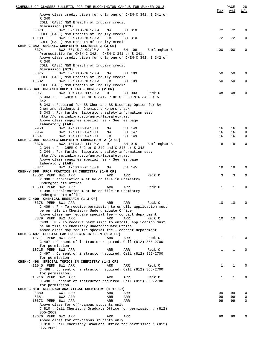| SCHEDULE OF CLASSES BULLETIN FOR THE BLOOMINGTON CAMPUS FOR SUMMER 2013 |              | PAGE        | 28           |
|-------------------------------------------------------------------------|--------------|-------------|--------------|
|                                                                         | Max          | Avl         | W/L          |
| Above class credit given for only one of CHEM-C 341, S 341 or           |              |             |              |
| R 340                                                                   |              |             |              |
| COLL (CASE) N&M Breadth of Inquiry credit                               |              |             |              |
| Discussion (DIS)                                                        |              |             |              |
| 8373<br>8W2 09:30 A-10:20 A<br>MW<br>BH 310                             | 72           | 72          | 0            |
| COLL (CASE) N&M Breadth of Inquiry credit                               |              |             |              |
| 10189<br>8W2 09:30 A-10:20 A<br>TR<br>BH 310                            | 72           | 72          | 0            |
| COLL (CASE) N&M Breadth of Inquiry credit                               |              |             |              |
| CHEM-C 342 ORGANIC CHEMISTRY LECTURES 2 (3 CR)                          |              |             |              |
| 8374<br>8W2 08:15 A-09:20 A<br>Burlingham B<br>D<br>BH 109              | 100          | 100         | 0            |
| Prerequisite for CHEM-C 342: CHEM-C 341 or S 341.                       |              |             |              |
| Above class credit given for only one of CHEM-C 342, S 342 or           |              |             |              |
| R 340                                                                   |              |             |              |
| COLL (CASE) N&M Breadth of Inquiry credit                               |              |             |              |
| Discussion (DIS)                                                        |              |             |              |
| 8W2 09:30 A-10:20 A<br>8375<br>MW<br>BH 109                             | 50           | 50          | 0            |
| COLL (CASE) N&M Breadth of Inquiry credit                               |              |             |              |
| 8W2 09:30 A-10:20 A<br>10532<br>TR<br>BH 109                            | 50           | 50          | 0            |
| COLL (CASE) N&M Breadth of Inquiry credit                               |              |             |              |
| CHEM-S 343 ORGANIC CHEM 1 LAB - HONORS (2 CR)                           |              |             |              |
| 9951<br>8W2 10:30 A-11:20 A<br>D<br>BH 003<br>Reck C                    | 48           | 48          | 0            |
| S 343 : P - CHEM-C 341 or S 341. P or C - CHEM-C 342 or S               |              |             |              |
| 342.                                                                    |              |             |              |
| S 343 : Required for BS Chem and BS Biochem; Option for BA              |              |             |              |
| Chem and students in Chemistry Honors track                             |              |             |              |
| S 343 : For further laboratory safety information see:                  |              |             |              |
| http://chem.indiana.edu/uqrad/labsafety.asp                             |              |             |              |
| Above class requires special fee - See fee page                         |              |             |              |
| Laboratory (LAB)                                                        |              |             |              |
| 9953<br>8W2 12:30 P-04:30 P<br>MW<br>CH 149                             | 16           | 16          | 0            |
| 9954<br>8W2 12:30 P-04:30 P<br>МW<br>CH 147                             | 16           | 16          | 0            |
| 10697<br>8W2 12:30 P-04:30 P<br>CH 149<br>TR                            | 16           | 16          | 0            |
| CHEM-C 344 ORGANIC CHEMISTRY LABORATORY 2 (2 CR)                        |              |             |              |
| 8376<br>8W2 10:30 A-11:20 A<br>D<br>Burlingham B<br>BH 015              | 18           | 18          | $\mathbf{0}$ |
| C 344 : P - CHEM-C 342 or S 342 and C 343 or S 343                      |              |             |              |
| C 344 : For further laboratory safety information see:                  |              |             |              |
| http://chem.indiana.edu/ugrad/labsafety.asp                             |              |             |              |
| Above class requires special fee - See fee page                         |              |             |              |
| Laboratory (LAB)                                                        |              |             |              |
| 8W2 12:30 P-05:30 P<br>8377<br>CH 145<br>MM                             | 18           | 18          | 0            |
| CHEM-Y 398 PROF PRACTICE IN CHEMISTRY (1-6 CR)                          |              |             |              |
| 10502 PERM 8W1 ARR<br>Reck C<br>ARR<br>ARR                              | 3            | 3           | 0            |
| Y 398 : application must be on file in Chemistry                        |              |             |              |
| undergraduate office                                                    |              |             |              |
| 10503 PERM 8W2 ARR<br>Reck C<br>ARR<br>ARR                              | $\mathbf{1}$ | $\mathbf 1$ | 0            |
| Y 398 : application must be on file in Chemistry                        |              |             |              |
| undergraduate office                                                    |              |             |              |
| CHEM-C 409 CHEMICAL RESEARCH (1-3 CR)                                   |              |             |              |
| ARR<br>ARR<br>8378 PERM 8W1 ARR<br>Reck C                               | 10           | 10          | 0            |
| $C$ 409 : P - To receive permission to enroll, application must         |              |             |              |
|                                                                         |              |             |              |
| be on file in Chemistry Undergraduate Office                            |              |             |              |
| Above class may require special fee - contact department                |              |             |              |
| 8379 PERM 8W2 ARR<br>ARR<br>ARR<br>Reck C                               | 10           | 10          | $\Omega$     |
| $C409$ : P - To receive permission to enroll, application must          |              |             |              |
| be on file in Chemistry Undergraduate Office                            |              |             |              |
| Above class may require special fee - contact department                |              |             |              |
| CHEM-C 497 SPECIAL LAB PROJECTS IN CHEM (1-3 CR)                        |              |             |              |
| 10711 PERM 8W1 ARR<br>ARR<br>ARR<br>Reck C                              | 1            | $\mathbf 1$ | 0            |
| C 497: Consent of instructor required. Call (812) 855-2700              |              |             |              |
| for permission.                                                         |              |             |              |
| 10715 PERM 8W2 ARR<br>ARR<br>ARR<br>Reck C                              | $\mathbf{1}$ | $\mathbf 1$ | $\Omega$     |
| C 497: Consent of instructor required. Call (812) 855-2700              |              |             |              |
| for permission.                                                         |              |             |              |
| CHEM-C 498 SPECIAL TOPICS IN CHEMISTRY (1-3 CR)                         |              |             |              |
| 11045 PERM 8W1 ARR<br>ARR<br>ARR<br>Reck C                              | $\mathbf{1}$ | $\mathbf 1$ | 0            |
| C 498: Consent of instructor required. Call (812) 855-2700              |              |             |              |
| for permission.                                                         |              |             |              |
| 10716 PERM 8W2 ARR<br>ARR<br>ARR<br>Reck C                              | $\mathbf{1}$ | $\mathbf 1$ | 0            |
| C 498 : Consent of instructor required. Call (812) 855-2700             |              |             |              |
| for permission.                                                         |              |             |              |
| CHEM-C 810 RESEARCH ANALYTICAL CHEMISTRY (1-12 CR)                      |              |             |              |
| 8380<br>6W1 ARR<br>ARR<br>ARR                                           | 99           | 99          | 0            |
| 8381<br>6W2 ARR<br>ARR<br>ARR                                           | 99           | 99          | 0            |
| 10673 PERM 6W1 ARR<br>ARR<br>ARR                                        | 99           | 99          | 0            |
| Above class for off-campus students only                                |              |             |              |
| C 810: Call Chemistry Graduate Office for permission: (812)             |              |             |              |
| 855-2069                                                                |              |             |              |
| 10676 PERM 6W2 ARR<br>ARR<br>ARR                                        | 99           | 99          | $\Omega$     |
| Above class for off-campus students only                                |              |             |              |
| C 810: Call Chemistry Graduate Office for permission: (812)             |              |             |              |
| 855-2069                                                                |              |             |              |
|                                                                         |              |             |              |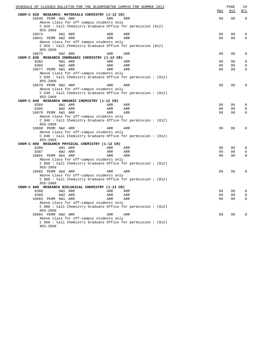|                       |                                                    |            | SCHEDULE OF CLASSES BULLETIN FOR THE BLOOMINGTON CAMPUS FOR SUMMER 2013 | Max | PAGE<br><u>Avl</u> | 29<br>$\overline{\text{W}}$ / $\overline{\text{L}}$ |
|-----------------------|----------------------------------------------------|------------|-------------------------------------------------------------------------|-----|--------------------|-----------------------------------------------------|
|                       | CHEM-C 820 RESEARCH: MATERIALS CHEMISTRY (1-12 CR) |            |                                                                         |     |                    |                                                     |
| 10640 PERM 6W1 ARR    |                                                    | ARR        | ARR                                                                     | 99  | 99                 | $\Omega$                                            |
|                       | Above class for off campus students only           |            |                                                                         |     |                    |                                                     |
|                       |                                                    |            | C 820: Call Chemistry Graduate Office for permission (812)              |     |                    |                                                     |
| $855 - 2069$<br>10674 | 6W1 ARR                                            | ARR        | ARR                                                                     | 99  | 99                 | $\Omega$                                            |
| 10641 PERM 6W2 ARR    |                                                    | ARR        | ARR                                                                     | 99  | 99                 | $\Omega$                                            |
|                       | Above class for off campus students only           |            |                                                                         |     |                    |                                                     |
|                       |                                                    |            | C 820: Call Chemistry Graduate Office for permission (812)              |     |                    |                                                     |
| $855 - 2069$          |                                                    |            |                                                                         |     |                    |                                                     |
| 10675                 | 6W2 ARR                                            | ARR        | ARR                                                                     | 99  | 99                 | $\Omega$                                            |
|                       | CHEM-C 830 RESEARCH INORGANIC CHEMISTRY (1-12 CR)  |            |                                                                         |     |                    |                                                     |
| 8382                  | 6W1 ARR                                            | ARR        | ARR                                                                     | 99  | 99                 | $\Omega$                                            |
| 8383                  | 6W2 ARR                                            | ARR        | ARR                                                                     | 99  | 99                 | $\Omega$                                            |
| 10677 PERM 6W1 ARR    |                                                    | ARR        | ARR                                                                     | 99  | 99                 | $\Omega$                                            |
|                       | Above class for off-campus students only           |            |                                                                         |     |                    |                                                     |
|                       |                                                    |            | C 830 : Call Chemistry Graduate Office for permission : (812)           |     |                    |                                                     |
| 855-2069              |                                                    |            |                                                                         |     |                    |                                                     |
| 10678 PERM 6W2 ARR    |                                                    | ARR        | ARR                                                                     | 99  | 99                 | $\Omega$                                            |
|                       | Above class for off-campus students only           |            |                                                                         |     |                    |                                                     |
| 855-2069              |                                                    |            | C 830: Call Chemistry Graduate Office for permission: (812)             |     |                    |                                                     |
|                       | CHEM-C 840 RESEARCH ORGANIC CHEMISTRY (1-12 CR)    |            |                                                                         |     |                    |                                                     |
| 8384                  | 6W1 ARR                                            | ARR        | ARR                                                                     | 99  | 99                 | $\Omega$                                            |
| 8385                  | 6W2 ARR                                            | ARR        | ARR                                                                     | 99  | 99                 | $\Omega$                                            |
| 10679 PERM 6W1 ARR    |                                                    | <b>ARR</b> | ARR                                                                     | 99  | 99                 | $\Omega$                                            |
|                       | Above class for off-campus students only           |            |                                                                         |     |                    |                                                     |
|                       |                                                    |            | C 840: Call Chemistry Graduate Office for permission: (812)             |     |                    |                                                     |
| 855-2069              |                                                    |            |                                                                         |     |                    |                                                     |
| 10680 PERM 6W2 ARR    |                                                    | ARR        | ARR                                                                     | 99  | 99                 | 0                                                   |
|                       | Above class for off-campus students only           |            |                                                                         |     |                    |                                                     |
|                       |                                                    |            | C 840 : Call Chemistry Graduate Office for permission : (812)           |     |                    |                                                     |
| 855-2069              |                                                    |            |                                                                         |     |                    |                                                     |
|                       | CHEM-C 860 RESEARCH PHYSICAL CHEMISTRY (1-12 CR)   |            |                                                                         |     |                    |                                                     |
| 8386                  | 6W1 ARR                                            | ARR        | ARR                                                                     | 99  | 99                 | $\Omega$                                            |
| 8387                  | 6W2 ARR                                            | <b>ARR</b> | ARR                                                                     | 99  | 99                 | $\Omega$                                            |
| 10681 PERM 6W1 ARR    |                                                    | ARR        | ARR                                                                     | 99  | 99                 | $\Omega$                                            |
|                       | Above class for off-campus students only           |            |                                                                         |     |                    |                                                     |
| 855-2069              |                                                    |            | C 860 : Call Chemistry Graduate Office for permission : (812)           |     |                    |                                                     |
| 10682 PERM 6W2 ARR    |                                                    | ARR        | ARR                                                                     | 99  | 99                 | $\Omega$                                            |
|                       | Above class for off-campus students only           |            |                                                                         |     |                    |                                                     |
|                       |                                                    |            | C 860 : Call Chemistry Graduate Office for permission : (812)           |     |                    |                                                     |
| 855-2069              |                                                    |            |                                                                         |     |                    |                                                     |
|                       | CHEM-C 880 RESEARCH BIOLOGICAL CHEMISTRY (1-12 CR) |            |                                                                         |     |                    |                                                     |
| 8388                  | 6W1 ARR                                            | ARR        | ARR                                                                     | 99  | 99                 | $\Omega$                                            |
| 8389                  | 6W2 ARR                                            | ARR        | <b>ARR</b>                                                              | 99  | 99                 | $\mathbf 0$                                         |
| 10683 PERM 6W1 ARR    |                                                    | ARR        | ARR                                                                     | 99  | 99                 | $\Omega$                                            |
|                       | Above class for off-campus students only           |            |                                                                         |     |                    |                                                     |
|                       |                                                    |            | C 880 : Call Chemistry Graduate Office for permission : (812)           |     |                    |                                                     |
| 855-2069              |                                                    |            |                                                                         |     |                    |                                                     |
| 10684 PERM 6W2 ARR    |                                                    | ARR        | ARR                                                                     | 99  | 99                 | 0                                                   |
|                       | Above class for off-campus students only           |            |                                                                         |     |                    |                                                     |
|                       |                                                    |            | C 860 : Call Chemistry Graduate Office for permission : (812)           |     |                    |                                                     |
| 855-2069              |                                                    |            |                                                                         |     |                    |                                                     |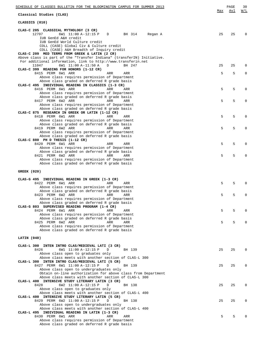| SCHEDULE OF CLASSES BULLETIN FOR THE BLOOMINGTON CAMPUS FOR SUMMER 2013                       |     | PAGE | 30           |
|-----------------------------------------------------------------------------------------------|-----|------|--------------|
| Classical Studies (CLAS)                                                                      | Max | Avl  | W/L          |
| CLASSICS (010)                                                                                |     |      |              |
| CLAS-C 205 CLASSICAL MYTHOLOGY (3 CR)                                                         |     |      |              |
| 12707<br>6W1 11:00 A-12:15 P<br>D<br>BH 314<br>Regan A                                        | 25  | 25   | $\Omega$     |
| IUB GenEd A&H credit<br>IUB GenEd World Culture credit                                        |     |      |              |
| COLL (CASE) Global Civ & Culture credit                                                       |     |      |              |
| COLL (CASE) A&H Breadth of Inquiry credit                                                     |     |      |              |
| CLAS-C 209 MED TERMS FROM GREEK & LATIN (2 CR)                                                |     |      |              |
| Above class is part of the "Transfer Indiana" (transferIN) Initiative.                        |     |      |              |
| For additional information, link to http://www.transferin.net                                 |     |      |              |
| 11047<br>6W1 11:00 A-11:50 A<br>D<br>BH 247                                                   | 25  | 25   | $\Omega$     |
| CLAS-C 399 READING FOR HONORS (1-12 CR)<br>8415 PERM 6W1 ARR<br>ARR<br>ARR                    | 5   | 5    | $\Omega$     |
| Above class requires permission of Department                                                 |     |      |              |
| Above class graded on deferred R grade basis                                                  |     |      |              |
| CLAS-C 495 INDIVIDUAL READING IN CLASSICS (1-3 CR)                                            |     |      |              |
| 8416 PERM 6W1 ARR<br>ARR<br>ARR                                                               | 5   | 5    | $\Omega$     |
| Above class requires permission of Department                                                 |     |      |              |
| Above class graded on deferred R grade basis                                                  |     |      |              |
| 8417 PERM 6W2 ARR<br>ARR<br>ARR                                                               | 5   | 5    | 0            |
| Above class requires permission of Department<br>Above class graded on deferred R grade basis |     |      |              |
| CLAS-C 875 RESEARCH IN GREEK OR LATIN (1-12 CR)                                               |     |      |              |
| 8418 PERM 6W1 ARR<br>ARR<br>ARR                                                               | 5   | 5    | 0            |
| Above class requires permission of Department                                                 |     |      |              |
| Above class graded on deferred R grade basis                                                  |     |      |              |
| 8419 PERM 6W2 ARR<br>ARR<br>ARR                                                               | 5   | 5    | $\Omega$     |
| Above class requires permission of Department                                                 |     |      |              |
| Above class graded on deferred R grade basis                                                  |     |      |              |
| CLAS-C 880 PH D THESIS (1-12 CR)<br>8420 PERM 6W1 ARR<br>ARR<br>ARR                           | 5   | 5    | $\mathbf 0$  |
| Above class requires permission of Department                                                 |     |      |              |
| Above class graded on deferred R grade basis                                                  |     |      |              |
| 8421 PERM 6W2 ARR<br>ARR<br>ARR                                                               | 5   | 5    | $\Omega$     |
| Above class requires permission of Department                                                 |     |      |              |
| Above class graded on deferred R grade basis                                                  |     |      |              |
| <b>GREEK (020)</b>                                                                            |     |      |              |
| CLAS-G 495 INDIVIDUAL READING IN GREEK (1-3 CR)                                               |     |      |              |
| 8422 PERM 6W1 ARR<br>ARR<br>ARR                                                               | 5   | 5    | $\Omega$     |
| Above class requires permission of Department                                                 |     |      |              |
| Above class graded on deferred R grade basis                                                  |     |      |              |
| 8423 PERM 6W2 ARR<br>ARR<br>ARR                                                               | 5   | 5    | $\mathbf 0$  |
| Above class requires permission of Department                                                 |     |      |              |
| Above class graded on deferred R grade basis                                                  |     |      |              |
| CLAS-G 803 SUPERVISED READING PROGRAM (1-4 CR)                                                |     |      |              |
| 8424 PERM 6W1 ARR<br>ARR<br>ARR<br>Above class requires permission of Department              | 5   | 5    | $\Omega$     |
| Above class graded on deferred R grade basis                                                  |     |      |              |
| 8425 PERM 6W2 ARR<br>ARR<br>ARR                                                               | 5   | 5    | $\Omega$     |
| Above class requires permission of Department                                                 |     |      |              |
| Above class graded on deferred R grade basis                                                  |     |      |              |
| LATIN (040)                                                                                   |     |      |              |
|                                                                                               |     |      |              |
| CLAS-L 300 INTEN INTRO CLAS/MEDIEVAL LATI (3 CR)                                              |     |      |              |
| 8426<br>6W1 11:00 A-12:15 P<br>BH 139<br>D                                                    | 25  | 25   | $\Omega$     |
| Above class open to graduates only<br>Above class meets with another section of CLAS-L 300    |     |      |              |
| CLAS-L 300 INTEN INTRO CLAS/MEDIEVAL LATI (5 CR)                                              |     |      |              |
| 8427 PERM 6W1 11:00 A-12:15 P<br>D<br>BH 139                                                  | 25  | 25   | $\Omega$     |
| Above class open to undergraduates only                                                       |     |      |              |
| Obtain on-line authorization for above class from Department                                  |     |      |              |
| Above class meets with another section of CLAS-L 300                                          |     |      |              |
| CLAS-L 400 INTENSIVE STUDY LITERARY LATIN (3 CR)                                              |     |      |              |
| 6W2 11:00 A-12:15 P<br>8428<br>BH 138<br>D                                                    | 25  | 25   | $\Omega$     |
| Above class open to graduates only<br>Above class meets with another section of CLAS-L 400    |     |      |              |
| CLAS-L 400 INTENSIVE STUDY LITERARY LATIN (5 CR)                                              |     |      |              |
| 8429 PERM 6W2 11:00 A-12:15 P<br>BH 138<br>D                                                  | 25  | 25   | $\Omega$     |
| Above class open to undergraduates only                                                       |     |      |              |
| Above class meets with another section of CLAS-L 400                                          |     |      |              |
| CLAS-L 495 INDIVIDUAL READING IN LATIN (1-3 CR)                                               |     |      |              |
| 8430 PERM 6W1 ARR<br>ARR<br>ARR                                                               | 5   | 5    | <sup>0</sup> |
| Above class requires permission of Department                                                 |     |      |              |
| Above class graded on deferred R grade basis                                                  |     |      |              |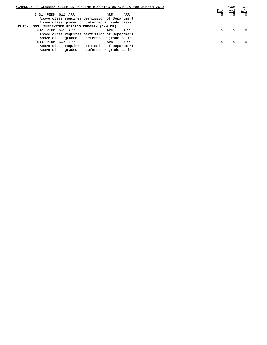| SCHEDULE OF CLASSES BULLETIN FOR THE BLOOMINGTON CAMPUS FOR SUMMER 2013 |     |  |  |     | PAGE | 31       |
|-------------------------------------------------------------------------|-----|--|--|-----|------|----------|
|                                                                         |     |  |  | Max | Avl  | W/L      |
| PERM 6W2 ARR<br>8431<br>ARR                                             | ARR |  |  |     |      | $\Omega$ |
| Above class requires permission of Department                           |     |  |  |     |      |          |
| Above class graded on deferred R grade basis                            |     |  |  |     |      |          |
| CLAS-L 803 SUPERVISED READING PROGRAM (1-4 CR)                          |     |  |  |     |      |          |
| 8432 PERM 6W1 ARR<br>ARR                                                | ARR |  |  |     |      |          |
| Above class requires permission of Department                           |     |  |  |     |      |          |
| Above class graded on deferred R grade basis                            |     |  |  |     |      |          |
| 8433 PERM 6W2 ARR<br>ARR                                                | ARR |  |  |     |      |          |
| Above class requires permission of Department                           |     |  |  |     |      |          |

Above class graded on deferred R grade basis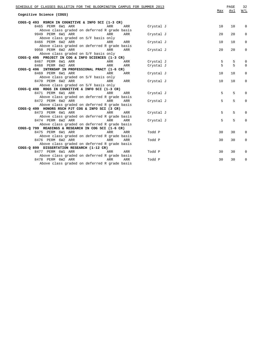| SCHEDULE OF CLASSES BULLETIN FOR THE BLOOMINGTON CAMPUS FOR SUMMER 2013<br>Cognitive Science (COGS) | Max | PAGE<br>Avl | 32<br>W/L    |
|-----------------------------------------------------------------------------------------------------|-----|-------------|--------------|
| COGS-Q 493 RSRCH IN COGNITIVE & INFO SCI (1-3 CR)                                                   |     |             |              |
| 8465 PERM 6W1 ARR<br>ARR<br>ARR<br>Crystal J                                                        | 10  | 10          | $\mathbf 0$  |
| Above class graded on deferred R grade basis                                                        |     |             |              |
| 9949 PERM 6W1 ARR<br>ARR<br>ARR<br>Crystal J                                                        | 20  | 20          | $\Omega$     |
| Above class graded on S/F basis only                                                                |     |             |              |
| 8466 PERM 6W2 ARR<br>Crystal J<br>ARR<br>ARR                                                        | 10  | 10          | 0            |
| Above class graded on deferred R grade basis                                                        |     |             |              |
| 9950 PERM 6W2 ARR<br>ARR<br>ARR<br>Crystal J                                                        | 20  | 20          | 0            |
| Above class graded on S/F basis only                                                                |     |             |              |
| COGS-Q 495 PROJECT IN COG & INFO SCIENCES (1-3 CR)                                                  |     |             |              |
| 8467 PERM 6W1 ARR<br>ARR<br>ARR<br>Crystal J                                                        | 5   | 5           | 0            |
| 8468 PERM 6W2 ARR<br>ARR<br>ARR<br>Crystal J                                                        | 5   | 5           | $\Omega$     |
| COGS-0 496 INTRNSHP IN PROFESSIONAL PRACT (1-6 CR)                                                  |     |             |              |
| 8469 PERM 6W1 ARR<br>ARR<br>Crystal J<br>ARR                                                        | 10  | 10          | 0            |
| Above class graded on S/F basis only                                                                |     |             |              |
| 8470 PERM 6W2 ARR<br>ARR<br>Crystal J<br>ARR                                                        | 10  | 10          | $\mathbf 0$  |
| Above class graded on S/F basis only                                                                |     |             |              |
| COGS-Q 498 RDGS IN COGNITIVE & INFO SCI (1-3 CR)                                                    |     |             |              |
| 8471 PERM 6W1 ARR<br>ARR<br>Crystal J<br>ARR                                                        | 5   | 5           | 0            |
| Above class graded on deferred R grade basis                                                        |     |             |              |
| 8472 PERM 6W2 ARR<br><b>ARR</b><br>ARR<br>Crystal J                                                 | 5   | 5           | $\mathbf 0$  |
| Above class graded on deferred R grade basis                                                        |     |             |              |
| COGS-Q 499 HONORS RSCH PJT COG & INFO SCI (3 CR)                                                    |     |             |              |
| 8473 PERM 6W1 ARR<br>Crystal J<br>ARR<br>ARR                                                        | 5   | 5           | $\Omega$     |
| Above class graded on deferred R grade basis                                                        |     |             |              |
| 8474 PERM 6W2 ARR<br>ARR<br>ARR<br>Crystal J                                                        | 5   | 5           | $\Omega$     |
| Above class graded on deferred R grade basis                                                        |     |             |              |
| COGS-Q 799 READINGS & RESEARCH IN COG SCI (1-6 CR)                                                  |     |             |              |
| 8475 PERM 6W1 ARR<br>Todd P<br>ARR<br>ARR                                                           | 30  | 30          | $\mathbf{0}$ |
| Above class graded on deferred R grade basis                                                        |     |             |              |
| 8476 PERM 6W2 ARR<br>ARR<br>Todd P<br>ARR                                                           | 30  | 30          | $\mathbf{0}$ |
| Above class graded on deferred R grade basis                                                        |     |             |              |
| COGS-Q 899 DISSERTATION RESEARCH (1-12 CR)                                                          |     |             |              |
| 8477 PERM 6W1 ARR<br>ARR<br>ARR<br>Todd P                                                           | 30  | 30          | 0            |
| Above class graded on deferred R grade basis                                                        |     |             |              |
| 8478 PERM 6W2 ARR<br>ARR<br>ARR<br>Todd P                                                           | 30  | 30          | 0            |
| Above class graded on deferred R grade basis                                                        |     |             |              |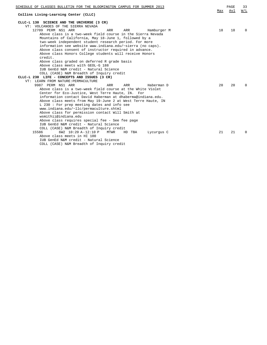| SCHEDULE OF CLASSES BULLETIN FOR THE BLOOMINGTON CAMPUS FOR SUMMER 2013                                              |     | PAGE | 33           |
|----------------------------------------------------------------------------------------------------------------------|-----|------|--------------|
| Collins Living-Learning Center (CLLC)                                                                                | Max | Avl  | W/L          |
| CLLC-L 130 SCIENCE AND THE UNIVERSE (3 CR)                                                                           |     |      |              |
| VT: VOLCANOES OF THE SIERRA NEVADA                                                                                   |     |      |              |
| 12709 PERM NS1 ARR<br>ARR<br>ARR<br>Hamburger M                                                                      | 18  | 18   | <sup>0</sup> |
| Above class is a two-week field course in the Sierra Nevada                                                          |     |      |              |
| Mountains of California, May 18-June 1, followed by a                                                                |     |      |              |
| two-week independent student research period. For more<br>information see website www.indiana.edu/~sierra (no caps). |     |      |              |
| Above class consent of instructor required in advance.                                                               |     |      |              |
| Above class Honors College students will receive Honors                                                              |     |      |              |
| credit.                                                                                                              |     |      |              |
| Above class graded on deferred R grade basis                                                                         |     |      |              |
| Above class meets with GEOL-G 188                                                                                    |     |      |              |
| IUB GenEd N&M credit - Natural Science                                                                               |     |      |              |
| COLL (CASE) N&M Breadth of Inquiry credit                                                                            |     |      |              |
| CLLC-L 230 LIFE - CONCEPTS AND ISSUES (3 CR)                                                                         |     |      |              |
| VT: LEARN FROM NATURE: PERMACULTURE                                                                                  |     |      |              |
| 9987 PERM NS1 ARR<br><b>ARR</b><br><b>ARR</b><br>Haberman D                                                          | 20  | 20   | <sup>0</sup> |
| Above class is a two-week field course at the White Violet                                                           |     |      |              |
| Center for Eco-Justice, West Terre Haute, IN. For                                                                    |     |      |              |
| information contact David Haberman at dhaberma@indiana.edu.                                                          |     |      |              |
| Above class meets from May 19-June 2 at West Terre Haute, IN                                                         |     |      |              |
| $L$ 230 : For prep meeting dates and info see<br>www.indiana.edu/~llc/permaculture.shtml                             |     |      |              |
| Above class for permission contact Will Smith at                                                                     |     |      |              |
| wsmithii@indiana.edu                                                                                                 |     |      |              |
| Above class requires special fee - See fee page                                                                      |     |      |              |
| IUB GenEd N&M credit - Natural Science                                                                               |     |      |              |
| COLL (CASE) N&M Breadth of Inquiry credit                                                                            |     |      |              |
| 6W2 10:20 A-12:10 P<br>15586<br>MTWR<br>HD TBA<br>Lycurqus C                                                         | 21  | 21   | <sup>0</sup> |
| Above class meets in HI 100                                                                                          |     |      |              |
| IUB GenEd N&M credit - Natural Science                                                                               |     |      |              |
| COLL (CASE) N&M Breadth of Inquiry credit                                                                            |     |      |              |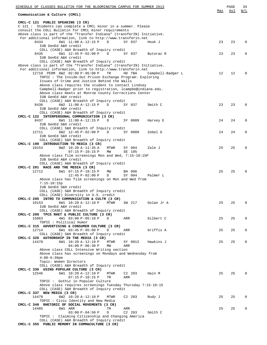| SCHEDULE OF CLASSES BULLETIN FOR THE BLOOMINGTON CAMPUS FOR SUMMER 2013                                                                                                                                                                                     |     | PAGE | 34           |
|-------------------------------------------------------------------------------------------------------------------------------------------------------------------------------------------------------------------------------------------------------------|-----|------|--------------|
| Communication & Culture (CMCL)                                                                                                                                                                                                                              | Max | Avl  | W/L          |
| CMCL-C 121 PUBLIC SPEAKING (3 CR)<br>C 121 : Students can complete a CMCL minor in a summer. Please<br>consult the COLL Bulletin for CMCL minor requirements                                                                                                |     |      |              |
| Above class is part of the "Transfer Indiana" (transferIN) Initiative.<br>For additional information, link to http://www.transferin.net<br>6W1 11:00 A-12:15 P<br>8434<br>D<br>SY 037<br>Hook J<br>IUB GenEd A&H credit                                     | 23  | 23   | $\mathbf 0$  |
| COLL (CASE) A&H Breadth of Inquiry credit<br>6W1 12:45 P-02:00 P<br>8435<br>D<br>SY 037<br>Butorac R<br>IUB GenEd A&H credit                                                                                                                                | 23  | 23   | $\Omega$     |
| COLL (CASE) A&H Breadth of Inquiry credit<br>Above class is part of the "Transfer Indiana" (transferIN) Initiative.<br>For additional information, link to http://www.transferin.net<br>12710 PERM 8W2 02:00 P-05:00 P<br>TR<br>HD TBA<br>Campbell-Badger L | 12  | 12   | $\Omega$     |
| TOPIC: The Inside-Out Prison Exchange Program: Exploring<br>Issues of Crime and Justice Behind the Walls<br>Above class requires the student to contact Lindsey                                                                                             |     |      |              |
| Campbell-Badger prior to registration, lcampbe@indiana.edu.<br>Above class meets at Monroe County Corrections Center<br>IUB GenEd A&H credit                                                                                                                |     |      |              |
| COLL (CASE) A&H Breadth of Inquiry credit<br>6W2 11:00 A-12:15 P<br>8436<br>D<br>SY 037<br>Smith C<br>IUB GenEd A&H credit<br>COLL (CASE) A&H Breadth of Inquiry credit                                                                                     | 23  | 23   | 0            |
| CMCL-C 122 INTERPERSONAL COMMUNICATION (3 CR)<br>8437<br>6W1 11:00 A-12:15 P<br>D<br>SY 0009<br>Harvey E<br>IUB GenEd S&H credit                                                                                                                            | 24  | 24   | 0            |
| COLL (CASE) S&H Breadth of Inquiry credit<br>6W2 12:45 P-02:00 P<br>12711<br>D<br>SY 0009<br>Zobel G<br>IUB GenEd S&H credit                                                                                                                                | 24  | 24   | 0            |
| COLL (CASE) S&H Breadth of Inquiry credit<br>CMCL-C 190 INTRODUCTION TO MEDIA (3 CR)<br>10154<br>8W2 10:20 A-11:35 A<br>MTWR<br>SY 004<br>Zale J                                                                                                            | 25  | 25   | $\Omega$     |
| $07:15 P-10:15 P$<br>MW<br>SE 105<br>Above class film screenings Mon and Wed, 7:15-10:15P<br>IUB GenEd A&H credit                                                                                                                                           |     |      |              |
| COLL (CASE) A&H Breadth of Inquiry credit<br>CMCL-C 201 RACE AND THE MEDIA (3 CR)<br>12712<br>6W1 07:15 P-10:15 P<br>MW<br>BH 006<br>$12:45 P-02:00 P$<br>SY 004<br>D<br>Palmer L                                                                           | 25  | 25   | $\Omega$     |
| Above class has film screenings on Mon and Wed from<br>$7:15 - 10:15p$<br>IUB GenEd S&H credit                                                                                                                                                              |     |      |              |
| COLL (CASE) S&H Breadth of Inquiry credit<br>COLL (CASE) Diversity in U.S. credit<br>CMCL-C 205 INTRO TO COMMUNICATION & CULTR (3 CR)<br>10153<br>6W1 10:20 A-12:10 P<br>MTWR<br>SW 217<br>Golan Jr A                                                       | 25  | 25   | $\mathbf 0$  |
| IUB GenEd A&H credit<br>COLL (CASE) A&H Breadth of Inquiry credit<br>CMCL-C 209 TPCS RHET & PUBLIC CULTURE (3 CR)                                                                                                                                           |     |      |              |
| 4W1 03:00 P-05:10 P<br>15863<br>D<br>ARR<br>Gilbert C<br>TOPIC : Political Humor<br>CMCL-C 315 ADVERTISING & CONSUMER CULTURE (3 CR)                                                                                                                        | 25  | 25   | $\mathbf 0$  |
| 12714<br>6W1 03:45 P-05:00 P<br>D<br>Griffis A<br>ARR<br>COLL (CASE) S&H Breadth of Inquiry credit<br>CMCL-C 326 AUTHORSHIP IN THE MEDIA (3 CR)                                                                                                             | 25  | 25   | $\mathbf 0$  |
| 14470<br>6W1 10:20 A-12:10 P<br>MTWR<br>SY 0013<br>Hawkins J<br>$04:00 P - 06:30 P$<br>MW<br>ARR<br>Above class COLL Intensive Writing section                                                                                                              | 25  | 25   | $\mathbf{0}$ |
| Above class has screenings on Mondays and Wednesday from<br>$4:00-6:30$ pm<br>Topic: Women Directors<br>COLL (CASE) A&H Breadth of Inquiry credit                                                                                                           |     |      |              |
| CMCL-C 336 USING POPULAR CULTURE (3 CR)<br>12546<br>6W1 10:20 A-12:10 P<br>MTWR<br>$C2$ 203<br>Hain M<br>$07:15 P-10:15 P$<br>TR<br>ARR                                                                                                                     | 25  | 25   | $\mathbf{0}$ |
| TOPIC: Gothic in Popular Culture<br>Above class requires screenings Tuesday Thursday 7:15-10:15<br>COLL (CASE) S&H Breadth of Inquiry credit                                                                                                                |     |      |              |
| CMCL-C 337 NEW MEDIA (3 CR)<br>6W2 10:20 A-12:10 P<br>14478<br>MTWR<br>C <sub>2</sub> 203<br>Rudy J<br>TOPIC: Civic Identity and New Media                                                                                                                  | 25  | 25   | $\mathbf 0$  |
| CMCL-C 340 RHETORIC OF SOCIAL MOVEMENTS (3 CR)<br>14485<br>6W1 ARR<br>TR<br>ARR<br>C <sub>2</sub> 203<br>$03:00 P-04:50 P$<br>D<br>Smith C                                                                                                                  | 25  | 25   | 0            |
| TOPIC: Claiming Citizenship and Changing America<br>COLL (CASE) A&H Breadth of Inquiry credit<br>CMCL-C 355 PUBLIC MEMORY IN COMM&CULTURE (3 CR)                                                                                                            |     |      |              |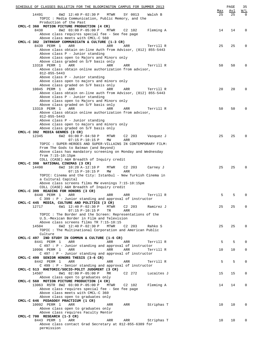| SCHEDULE OF CLASSES BULLETIN FOR THE BLOOMINGTON CAMPUS FOR SUMMER 2013                                |     | PAGE | 35           |
|--------------------------------------------------------------------------------------------------------|-----|------|--------------|
|                                                                                                        | Max | Avl  | W/L          |
| 14491<br>6W2 12:40 P-02:30 P<br>MTWR<br>SY 0013<br>Walsh B                                             | 25  | 25   | $\mathbf 0$  |
| TOPIC: Media Communication, Public Memory, and the<br>Production of the Past                           |     |      |              |
| CMCL-C 360 MOTION PICTURE PRODUCTION (4 CR)                                                            |     |      |              |
| 8438<br>8W2 03:00 P-05:00 P<br>MTWR<br>C <sub>2</sub> 10 <sub>2</sub><br>Fleming A                     | 14  | 14   | 0            |
| Above class requires special fee - See fee page                                                        |     |      |              |
| Above class meets with CMCL-C 560                                                                      |     |      |              |
| CMCL-C 382 INTRNSHP COMMUNICATN & CULTURE (1-3 CR)                                                     |     |      |              |
| 8439 PERM 1<br>ARR<br>ARR<br>ARR<br>Terrill R                                                          | 25  | 25   | 0            |
| Above class obtain on-line Auth from Advisor, (812) 855-5443                                           |     |      |              |
| Above class P - Junior standing                                                                        |     |      |              |
| Above class open to Majors and Minors only                                                             |     |      |              |
| Above class graded on S/F basis only                                                                   |     |      |              |
| 13318 PERM 1<br>ARR<br>ARR<br>Terrill R<br>ARR                                                         | 50  | 50   | $\Omega$     |
| Above class obtain online authorization from advisor,                                                  |     |      |              |
| 812-855-5443<br>Above class P - Junior standing                                                        |     |      |              |
| Above class open to majors and minors only                                                             |     |      |              |
| Above class graded on S/F basis only                                                                   |     |      |              |
| 10045 PERM 1<br>ARR<br>ARR<br>ARR<br>Terrill R                                                         | 20  | 20   | $\Omega$     |
| Above class obtain on-line auth from Advisor, (812) 855-5443                                           |     |      |              |
| Above class P - Junior standing                                                                        |     |      |              |
| Above class open to Majors and Minors only                                                             |     |      |              |
| Above class graded on S/F basis only                                                                   |     |      |              |
| 13319 PERM 1<br>ARR<br>ARR<br>ARR<br>Terrill R                                                         | 50  | 50   | $\Omega$     |
| Above class obtain online authorization from advisor,                                                  |     |      |              |
| 812-855-5443                                                                                           |     |      |              |
| Above class P - Junior standing                                                                        |     |      |              |
| Above class open to majors and minors only                                                             |     |      |              |
| Above class graded on S/F basis only                                                                   |     |      |              |
| CMCL-C 392 MEDIA GENRES (3 CR)                                                                         |     |      |              |
| 12345<br>$C2$ 203<br>6W2 $03:00 P-04:50 P$<br>MTWR<br>Vasquez J                                        | 25  | 25   | $\Omega$     |
| $07:15 P-10:15 P$<br>MW<br>ARR<br>TOPIC : SUPER-HEROES AND SUPER-VILLAINS IN CONTEMPORARY FILM:        |     |      |              |
| From The Gods to Batman (and Beyond)                                                                   |     |      |              |
| Above class has mandatory screening on Monday and Wednesday                                            |     |      |              |
| from $7:15-10:15$ pm                                                                                   |     |      |              |
| COLL (CASE) A&H Breadth of Inquiry credit                                                              |     |      |              |
| CMCL-C 398 NATIONAL CINEMAS (3 CR)                                                                     |     |      |              |
| 14498<br>6W2 10:20 A-12:10 P<br>$C2$ 203<br>MTWR<br>Carney J                                           | 25  | 25   | $\Omega$     |
| $07:15 P-10:15 P$<br>ARR<br>MW                                                                         |     |      |              |
| TOPIC: Cinema and the City: Istanbul - New Turkish Cinema in                                           |     |      |              |
| a Cultural Capital                                                                                     |     |      |              |
| Above class screens films MW evenings 7:15-10:15pm                                                     |     |      |              |
| COLL (CASE) A&H Breadth of Inquiry credit                                                              |     |      |              |
| CMCL-C 399 READING FOR HONORS (3 CR)                                                                   |     |      |              |
| 8440 PERM 1<br>Terrill R<br>ARR<br>ARR<br>ARR                                                          | 5   | 5    | $\Omega$     |
| C 399 : P - Junior standing and approval of instructor                                                 |     |      |              |
| CMCL-C 445 MEDIA, CULTURE AND POLITICS (3 CR)                                                          |     |      |              |
| 12717<br>6W1 12:40 P-02:30 P<br><b>MTWR</b><br>$C2$ 203<br>Ramirez J                                   | 25  | 25   | $\Omega$     |
| $07:15 P-10:15 P$<br>TR<br>ARR                                                                         |     |      |              |
| TOPIC: The Border and the Screen: Representations of the<br>U.S.-Mexican Border in Film and Television |     |      |              |
| Above class screens films TR 7:15-10:15                                                                |     |      |              |
| 6W2 12:40 P-02:30 P<br>14504<br>MTWR<br>$C2$ 203<br>Rahko S                                            | 25  | 25   | $\Omega$     |
| TOPIC : The Multinational Corporation and American Public                                              |     |      |              |
| Culture                                                                                                |     |      |              |
| CMCL-C 497 IND STUDY IN COMMUN & CULTURE (1-6 CR)                                                      |     |      |              |
| 8441 PERM 1<br>ARR<br>ARR<br>Terrill R<br>ARR                                                          | 5   | 5    | $\Omega$     |
| $C$ 497 : P - Junior standing and approval of instructor                                               |     |      |              |
| 10996 PERM 1<br>ARR<br>ARR<br>ARR<br>Terrill R                                                         | 10  | 10   | $\mathbf{0}$ |
| $C$ 497 : P - Junior standing and approval of instructor                                               |     |      |              |
| CMCL-C 499 SENIOR HONORS THESIS (3-6 CR)                                                               |     |      |              |
| 8442 PERM 1<br>ARR<br>ARR<br>ARR<br>Terrill R                                                          | 5   | 5    | 0            |
| $C$ 499 : $P$ - Senior standing and approval of instructor                                             |     |      |              |
| CMCL-C 513 RHETORIC/SOCIO-POLIT JUDGMENT (3 CR)                                                        |     |      |              |
| 8W1 02:00 P-05:00 P<br>14507<br>MR<br>C <sub>2</sub> 272<br>Lucaites J                                 | 15  | 15   | 0            |
| Above class open to graduates only                                                                     |     |      |              |
| CMCL-C 560 MOTION PICTURE PRODUCTION (4 CR)                                                            |     |      |              |
| 13063 RSTR 8W2 03:00 P-05:00 P<br><b>MTWR</b><br>C2 102<br>Fleming A                                   | 14  | 14   | $\mathbf{0}$ |
| Above class requires special fee - See fee page<br>Above class meets with CMCL-C 360                   |     |      |              |
| Above class open to graduates only                                                                     |     |      |              |
| CMCL-C 646 PEDAGOGY PRACTICUM (1 CR)                                                                   |     |      |              |
| 10092 PERM 1<br>ARR<br>ARR<br>ARR<br>Striphas T                                                        | 10  | 10   | $\Omega$     |
| Above class open to graduates only                                                                     |     |      |              |
| Above class requires Faculty Mentor                                                                    |     |      |              |
| CMCL-C 700 RESEARCH (1-3 CR)                                                                           |     |      |              |
| 8443 PERM 1<br>ARR<br>Striphas T<br>ARR<br>ARR                                                         | 10  | 10   | $\mathbf 0$  |
| Above class contact Grad Secretary at 812-855-6389 for                                                 |     |      |              |
| permission                                                                                             |     |      |              |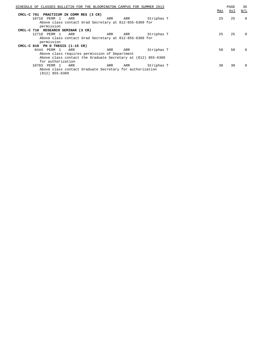| SCHEDULE OF CLASSES BULLETIN FOR THE BLOOMINGTON CAMPUS FOR SUMMER 2013 |                                                              |     |     |            | Max | PAGE<br>Avl | 36<br>W/L |
|-------------------------------------------------------------------------|--------------------------------------------------------------|-----|-----|------------|-----|-------------|-----------|
| CMCL-C 701 PRACTICUM IN COMM RES (3 CR)                                 |                                                              |     |     |            |     |             |           |
| 10710 PERM 1                                                            | ARR                                                          | ARR | ARR | Striphas T | 25  | 25          | $\Omega$  |
|                                                                         |                                                              |     |     |            |     |             |           |
|                                                                         | Above class contact Grad Secretary at 812-855-6389 for       |     |     |            |     |             |           |
| permission                                                              |                                                              |     |     |            |     |             |           |
| CMCL-C 710 RESEARCH SEMINAR (3 CR)                                      |                                                              |     |     |            |     |             |           |
| 12718 PERM 1                                                            | ARR                                                          | ARR | ARR | Striphas T | 25  | 25          | $\Omega$  |
|                                                                         | Above class contact Grad Secretary at 812-855-6389 for       |     |     |            |     |             |           |
| permission                                                              |                                                              |     |     |            |     |             |           |
| CMCL-C 810 PH D THESIS (1-15 CR)                                        |                                                              |     |     |            |     |             |           |
| 8444 PERM 1                                                             | ARR                                                          | ARR | ARR | Striphas T | 50  | 50          | $\Omega$  |
|                                                                         | Above class requires permission of Department                |     |     |            |     |             |           |
|                                                                         | Above class contact the Graduate Secretary at (812) 855-6389 |     |     |            |     |             |           |
| for authorization                                                       |                                                              |     |     |            |     |             |           |
| 10703 PERM 1                                                            | ARR                                                          | ARR | ARR | Striphas T | 30  | 30          | $\Omega$  |
|                                                                         | Above class contact Graduate Secretary for authorization     |     |     |            |     |             |           |
| $(812)$ 855-6389                                                        |                                                              |     |     |            |     |             |           |
|                                                                         |                                                              |     |     |            |     |             |           |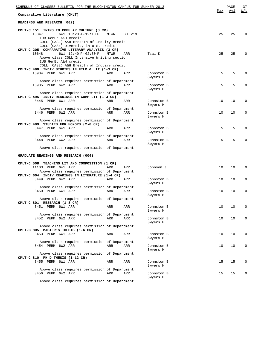| <u>SCHEDULE OF CLASSES BULLETIN FOR THE BLOOMINGTON CAMPUS FOR SUMMER 2013</u>                                                |      |        |                        |     | PAGE | 37          |
|-------------------------------------------------------------------------------------------------------------------------------|------|--------|------------------------|-----|------|-------------|
| Comparative Literature (CMLT)                                                                                                 |      |        |                        | Max | Avl  | W/L         |
| READINGS AND RESEARCH (002)                                                                                                   |      |        |                        |     |      |             |
| CMLT-C 151 INTRO TO POPULAR CULTURE (3 CR)<br>10847<br>6W1 10:20 A-12:10 P                                                    | MTWR | BH 219 |                        | 25  | 25   | $\Omega$    |
| IUB GenEd A&H credit<br>COLL (CASE) A&H Breadth of Inquiry credit<br>COLL (CASE) Diversity in U.S. credit                     |      |        |                        |     |      |             |
| CMLT-C 205 COMPARATIVE LITERARY ANALYSIS (3 CR)<br>6W1 12:40 P-02:30 P<br>10648<br>Above class COLL Intensive Writing section | MTWR | ARR    | Tsai K                 | 25  | 25   | $\Omega$    |
| IUB GenEd A&H credit<br>COLL (CASE) A&H Breadth of Inquiry credit<br>CMLT-C 490 INDIV STUDIES IN FILM & LIT (1-3 CR)          |      |        |                        |     |      |             |
| 10984 PERM 6W1 ARR                                                                                                            | ARR  | ARR    | Johnston B<br>Swyers H | 5   | 5    | 0           |
| Above class requires permission of Department<br>10985 PERM 6W2 ARR                                                           | ARR  | ARR    | Johnston B             | 5   | 5    | $\Omega$    |
| Above class requires permission of Department                                                                                 |      |        | Swyers H               |     |      |             |
| CMLT-C 495 INDIV READINGS IN COMP LIT (1-3 CR)<br>8445 PERM 6W1 ARR                                                           | ARR  | ARR    | Johnston B             | 10  | 10   | $\mathbf 0$ |
| Above class requires permission of Department                                                                                 |      |        | Swyers H               |     |      |             |
| 8446 PERM 6W2 ARR                                                                                                             | ARR  | ARR    | Johnston B<br>Swyers H | 10  | 10   | 0           |
| Above class requires permission of Department<br>CMLT-C 499 STUDIES FOR HONORS (2-6 CR)                                       |      |        |                        |     |      |             |
| 8447 PERM 6W1 ARR                                                                                                             | ARR  | ARR    | Johnston B<br>Swyers H | 5   | 5    | $\Omega$    |
| Above class requires permission of Department<br>8448 PERM 6W2 ARR                                                            | ARR  | ARR    | Johnston B<br>Swyers H | 5   | 5    | $\Omega$    |
| Above class requires permission of Department                                                                                 |      |        |                        |     |      |             |
| GRADUATE READINGS AND RESEARCH (004)                                                                                          |      |        |                        |     |      |             |
| CMLT-C 508 TEACHING LIT AND COMPOSITION (1 CR)<br>11103 PERM 6W1 ARR                                                          | ARR  | ARR    | Johnson J              | 10  | 10   | $\mathbf 0$ |
| Above class requires permission of Department<br>CMLT-C 604 INDIV READINGS IN LITERATURE (1-4 CR)                             |      |        |                        |     |      |             |
| 8449 PERM 6W2 ARR                                                                                                             | ARR  | ARR    | Johnston B<br>Swyers H | 10  | 10   | 0           |
| Above class requires permission of Department<br>8450 PERM 6W1 ARR                                                            | ARR  | ARR    | Johnston B             | 10  | 10   | 0           |
| Above class requires permission of Department<br>CMLT-C 801 RESEARCH (1-8 CR)                                                 |      |        | Swyers H               |     |      |             |
| 8451 PERM 6W1 ARR                                                                                                             | ARR  | ARR    | Johnston B<br>Swyers H | 10  | 10   | 0           |
| Above class requires permission of Department<br>8452 PERM 6W2 ARR                                                            | ARR  | ARR    | Johnston B             | 10  | 10   | $\mathbf 0$ |
| Above class requires permission of Department                                                                                 |      |        | Swyers H               |     |      |             |
| CMLT-C 805 MASTER'S THESIS (1-6 CR)<br>8453 PERM 6W1 ARR                                                                      | ARR  | ARR    | Johnston B             | 10  | 10   | $\mathbf 0$ |
| Above class requires permission of Department                                                                                 |      |        | Swyers H               |     |      |             |
| 8454 PERM 6W2 ARR<br>Above class requires permission of Department                                                            | ARR  | ARR    | Johnston B<br>Swyers H | 10  | 10   | 0           |
| CMLT-C 810 PH D THESIS (1-12 CR)<br>8455 PERM 6W1 ARR                                                                         | ARR  | ARR    | Johnston B             | 15  | 15   | 0           |
| Above class requires permission of Department                                                                                 |      |        | Swyers H               |     |      |             |
| 8456 PERM 6W2 ARR                                                                                                             | ARR  | ARR    | Johnston B<br>Swyers H | 15  | 15   | 0           |

Above class requires permission of Department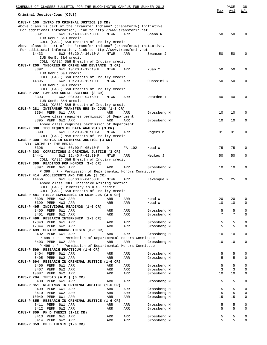| SCHEDULE OF CLASSES BULLETIN FOR THE BLOOMINGTON CAMPUS FOR SUMMER 2013                                                                 |                            | Max      | PAGE<br>Avl | 38<br>W/L         |
|-----------------------------------------------------------------------------------------------------------------------------------------|----------------------------|----------|-------------|-------------------|
| Criminal Justice-Coas (CJUS)                                                                                                            |                            |          |             |                   |
| CJUS-P 100 INTRO TO CRIMINAL JUSTICE (3 CR)<br>Above class is part of the "Transfer Indiana" (transferIN) Initiative.                   |                            |          |             |                   |
| For additional information, link to http://www.transferin.net<br>8391<br>6W1 12:40 P-02:30 P<br>MTWR<br>ARR                             | Spano R                    | 50       | 50          | $\Omega$          |
| IUB GenEd S&H credit<br>COLL (CASE) S&H Breadth of Inquiry credit                                                                       |                            |          |             |                   |
| Above class is part of the "Transfer Indiana" (transferIN) Initiative.<br>For additional information, link to http://www.transferin.net |                            |          |             |                   |
| 14433<br>6W2 08:20 A-10:10 A<br>MTWR<br>ARR<br>IUB GenEd S&H credit                                                                     | Swanson J                  | 50       | 50          | $\Omega$          |
| COLL (CASE) S&H Breadth of Inquiry credit                                                                                               |                            |          |             |                   |
| CJUS-P 200 THEORIES OF CRIME AND DEVIANCE (3 CR)<br>8392<br>6W1 10:20 A-12:10 P<br>MTWR<br>ARR                                          |                            | 50       | 50          | 0                 |
| IUB GenEd S&H credit<br>COLL (CASE) S&H Breadth of Inquiry credit                                                                       | Yuan Y                     |          |             |                   |
| 6W2 10:20 A-12:10 P<br>MTWR<br>14895<br>ARR                                                                                             | Ouassini N                 | 50       | 50          | 0                 |
| IUB GenEd S&H credit                                                                                                                    |                            |          |             |                   |
| COLL (CASE) S&H Breadth of Inquiry credit                                                                                               |                            |          |             |                   |
| CJUS-P 202 LAW AND SOCIAL SCIENCE (3 CR)<br>8393<br>6W2 03:00 P-04:50 P<br>MTWR<br>ARR                                                  | Dearden T                  | 40       | 40          | 0                 |
| IUB GenEd S&H credit                                                                                                                    |                            |          |             |                   |
| COLL (CASE) S&H Breadth of Inquiry credit                                                                                               |                            |          |             |                   |
| CJUS-P 281 INTERNSHP TRANSFER HRS IN CJUS (1-3 CR)<br>8394 PERM 6W1 ARR<br>ARR<br>ARR                                                   | Grossberg M                | 10       | 10          | 0                 |
| Above class requires permission of Department                                                                                           |                            |          |             |                   |
| 8395 PERM 6W2 ARR<br>ARR<br>ARR                                                                                                         | Grossberg M                | 10       | 10          | 0                 |
| Above class requires permission of Department                                                                                           |                            |          |             |                   |
| CJUS-K 300 TECHNIQUES OF DATA ANALYSIS (3 CR)<br>8390<br>6W1 08:20 A-10:10 A<br>MTWR<br>ARR                                             | Rogers M                   | 31       | 31          | 0                 |
| COLL (CASE) N&M Breadth of Inquiry credit                                                                                               |                            |          |             |                   |
| CJUS-P 300 TOPICS IN CRIMINAL JUSTICE (3 CR)                                                                                            |                            |          |             |                   |
| VT: CRIME IN THE MEDIA<br>8396<br>4W1 03:00 P-05:10 P<br>FA 102<br>D                                                                    | Head W                     | 75       | 75          | 0                 |
| CJUS-P 303 CORRECTIONS & CRIMINAL JUSTICE (3 CR)                                                                                        |                            |          |             |                   |
| 6W2 12:40 P-02:30 P<br>14441<br>MTWR<br>ARR                                                                                             | Meckes J                   | 50       | 50          | 0                 |
| COLL (CASE) S&H Breadth of Inquiry credit                                                                                               |                            |          |             |                   |
| CJUS-P 399 READINGS FOR HONORS (3-6 CR)<br>8397 PERM 6W1 ARR<br>ARR<br>ARR                                                              | Grossberg M                | 10       | 10          | 0                 |
| P 399 : P - Permission of Departmental Honors Committee                                                                                 |                            |          |             |                   |
| CJUS-P 414 ADOLESCENTS AND THE LAW (3 CR)                                                                                               |                            |          |             |                   |
| 14456<br>6W1 03:00 P-04:50 P<br>MTWR<br>ARR<br>Above class COLL Intensive Writing section                                               | Levesque R                 | 25       | 25          | 0                 |
| COLL (CASE) Diversity in U.S. credit                                                                                                    |                            |          |             |                   |
| COLL (CASE) S&H Breadth of Inquiry credit                                                                                               |                            |          |             |                   |
| CJUS-P 481 FIELD EXPERIENCE IN CRIM JUS (3-6 CR)                                                                                        |                            |          |             |                   |
| 8398 PERM 4W2 ARR<br>ARR<br>ARR<br>8399 PERM 4W3 ARR<br>ARR<br>ARR                                                                      | Head W<br>Head W           | 20<br>10 | 20<br>10    | 0<br>0            |
| CJUS-P 495 INDIVIDUAL READINGS (1-6 CR)                                                                                                 |                            |          |             |                   |
| 8400 PERM 6W1 ARR<br>ARR<br>ARR                                                                                                         | Grossberg M                | 5        | 5           | 0                 |
| 8401 PERM 6W2 ARR<br>ARR<br>ARR<br>CJUS-P 496 RESEARCH INTERNSHIP (1-3 CR)                                                              | Grossberg M                | 7        | 7           | $\Omega$          |
| 12343 PERM 6W1 ARR<br>ARR<br>ARR                                                                                                        | Grossberg M                | 5        | 5           | 0                 |
| 12344 PERM 6W2 ARR<br>ARR<br>ARR                                                                                                        | Grossberg M                | 5        | 5           | $\Omega$          |
| CJUS-P 499 SENIOR HONORS THESIS (3-6 CR)<br>8402 PERM 6W1 ARR<br>ARR<br>ARR                                                             | Grossberg M                | 10       | 10          | 0                 |
| P 499 : P - Permission of Departmental Honors Committee                                                                                 |                            |          |             |                   |
| 8403 PERM 6W2 ARR<br>ARR<br>ARR                                                                                                         | Grossberg M                | 10       | 10          | $\mathbf{0}$      |
| P 499 : P - Permission of Departmental Honors Committee                                                                                 |                            |          |             |                   |
| CJUS-P 599 RESEARCH PRACTICUM (1-6 CR)<br>8404 PERM 6W1 ARR<br>ARR<br>ARR                                                               | Grossberg M                | 5        | 5           | 0                 |
| 8405 PERM 6W2 ARR<br>ARR<br>ARR                                                                                                         | Grossberg M                | 5        | 5           | 0                 |
| CJUS-P 694 RESEARCH IN CRIMINAL JUSTICE (1-6 CR)                                                                                        |                            |          |             |                   |
| 8406 PERM 6W1 ARR<br>ARR<br>ARR<br>8407 PERM 6W2 ARR<br>ARR<br>ARR                                                                      | Grossberg M<br>Grossberg M | 5<br>3   | 5<br>3      | 0<br>$\mathbf{0}$ |
| 10087 PERM 6W2 ARR<br>ARR<br>ARR                                                                                                        | Grossberg M                | 10       | 10          | $\mathbf 0$       |
| CJUS-P 794 THESIS (A.M.) (6 CR)                                                                                                         |                            |          |             |                   |
| 8408 PERM 6W1 ARR<br>ARR<br>ARR                                                                                                         | Grossberg M                | 5        | 5           | 0                 |
| CJUS-P 851 READINGS IN CRIMINAL JUSTICE (1-6 CR)<br>8409 PERM 6W1 ARR<br>ARR<br>ARR                                                     | Grossberg M                | 5        | 5           | $\mathbf{0}$      |
| 8410 PERM 6W2 ARR<br>ARR<br>ARR                                                                                                         | Grossberg M                | 5        | 5           | $\mathbf 0$       |
| 10049 PERM 6W1 ARR<br>ARR<br>ARR                                                                                                        | Grossberg M                | 15       | 15          | 0                 |
| CJUS-P 855 RESEARCH IN CRIMINAL JUSTICE (1-6 CR)<br>8411 PERM 6W1 ARR<br>ARR<br>ARR                                                     | Grossberg M                | 5        | 5           | 0                 |
| 8412 PERM 6W2 ARR<br>ARR<br>ARR                                                                                                         | Grossberg M                | 5        | 5           | $\mathbf{0}$      |
| CJUS-P 859 PH D THESIS (1-12 CR)                                                                                                        |                            |          |             |                   |
| 8413 PERM 6W1 ARR<br>ARR<br>ARR                                                                                                         | Grossberg M                | 5        | 5           | 0                 |
| 8414 PERM 6W2 ARR<br>ARR<br>ARR<br>CJUS-P 859 PH D THESIS (1-6 CR)                                                                      | Grossberg M                | 5        | 5           | $\mathbf 0$       |
|                                                                                                                                         |                            |          |             |                   |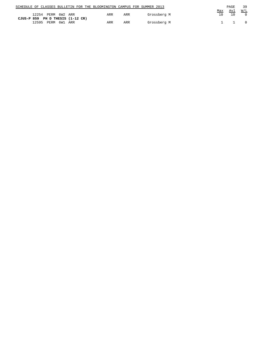|  |                                  |  |  | SCHEDULE OF CLASSES BULLETIN FOR THE BLOOMINGTON CAMPUS FOR SUMMER 2013 |     |  |             |     | PAGE       | 39         |
|--|----------------------------------|--|--|-------------------------------------------------------------------------|-----|--|-------------|-----|------------|------------|
|  |                                  |  |  |                                                                         |     |  |             | Max | <u>Avl</u> | <u>W/L</u> |
|  | 12254 PERM 6W2 ARR               |  |  | ARR                                                                     | ARR |  | Grossberg M |     |            |            |
|  | CJUS-P 859 PH D THESIS (1-12 CR) |  |  |                                                                         |     |  |             |     |            |            |
|  | 12595 PERM 6W1 ARR               |  |  | ARR                                                                     | ARR |  | Grossberg M |     |            |            |
|  |                                  |  |  |                                                                         |     |  |             |     |            |            |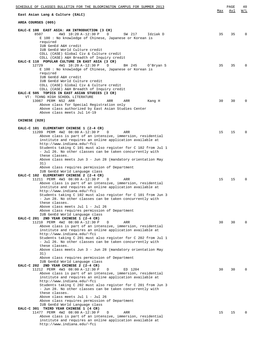| SCHEDULE OF CLASSES BULLETIN FOR THE BLOOMINGTON CAMPUS FOR SUMMER 2013<br>East Asian Lang & Culture (EALC)                                                                                                                                                                                                                                                                                                                                                                                                                                                                                                        | Max | PAGE<br>Avl | 40<br>W/L    |
|--------------------------------------------------------------------------------------------------------------------------------------------------------------------------------------------------------------------------------------------------------------------------------------------------------------------------------------------------------------------------------------------------------------------------------------------------------------------------------------------------------------------------------------------------------------------------------------------------------------------|-----|-------------|--------------|
| AREA COURSES (005)                                                                                                                                                                                                                                                                                                                                                                                                                                                                                                                                                                                                 |     |             |              |
|                                                                                                                                                                                                                                                                                                                                                                                                                                                                                                                                                                                                                    |     |             |              |
| EALC-E 100 EAST ASIA: AN INTRODUCTION (3 CR)<br>8507<br>4W3 10:20 A-12:30 P<br>D<br>SW 217<br>Idziak D<br>E 100 : No knowledge of Chinese, Japanese or Korean is<br>required<br>IUB GenEd A&H credit<br>IUB GenEd World Culture credit<br>COLL (CASE) Global Civ & Culture credit<br>COLL (CASE) A&H Breadth of Inquiry credit                                                                                                                                                                                                                                                                                     | 35  | 35          | <sup>0</sup> |
| EALC-E 110 POPULAR CULTURE IN EAST ASIA (3 CR)<br>12729<br>4W1 10:20 A-12:30 P<br>D<br>BH 245<br>0'Bryan S<br>E 100 : No knowledge of Chinese, Japanese or Korean is<br>required<br>IUB GenEd A&H credit<br>IUB GenEd World Culture credit<br>COLL (CASE) Global Civ & Culture credit<br>COLL (CASE) A&H Breadth of Inquiry credit<br>EALC-E 505 TOPICS IN EAST ASIAN STUDIES (3 CR)                                                                                                                                                                                                                               | 35  | 35          |              |
| VT: TCHNG HIGH SCHOOL LITERATURE<br>13067 PERM NS2 ARR<br>ARR<br>ARR<br>Kang H<br>Above class for Special Registration only<br>Above class authorized by East Asian Studies Center<br>Above class meets Jul 14-19                                                                                                                                                                                                                                                                                                                                                                                                  | 30  | 30          |              |
| CHINESE (020)                                                                                                                                                                                                                                                                                                                                                                                                                                                                                                                                                                                                      |     |             |              |
| EALC-C 101 ELEMENTARY CHINESE 1 (2-4 CR)<br>11209 PERM 4W2 08:00 A-12:30 P<br>D<br>ARR<br>Above class is part of an intensive, immersion, residential<br>institute and requires an online application available at<br>http://www.indiana.edu/~fci<br>Students taking C 101 must also register for C 102 from Jul 1<br>- Jul 26. No other classes can be taken concurrently with<br>these classes.<br>Above class meets Jun 3 - Jun 28 (mandatory orientation May<br>31)                                                                                                                                            | 15  | 15          |              |
| Above class requires permission of Department<br>IUB GenEd World Language class                                                                                                                                                                                                                                                                                                                                                                                                                                                                                                                                    |     |             |              |
| EALC-C 102 ELEMENTARY CHINESE 2 (2-4 CR)<br>11211 PERM 4W3 08:00 A-12:30 P<br>D<br>ARR<br>Above class is part of an intensive, immersion, residential<br>institute and requires an online application available at<br>http://www.indiana.edu/~fci<br>Students taking C 102 must also register for C 101 from Jun 3                                                                                                                                                                                                                                                                                                 | 15  | 15          |              |
| - Jun 28. No other classes can be taken concurrently with<br>these classes.<br>Above class meets Jul 1 - Jul 26<br>Above class requires permission of Department<br>IUB GenEd World Language class<br>EALC-C 201 2ND YEAR CHINESE 1 (2-4 CR)<br>11210 PERM 4W2 08:00 A-12:30 P<br>D<br>ARR<br>Above class is part of an intensive, immersion, residential<br>institute and requires an online application available at<br>http://www.indiana.edu/~fci<br>Students taking C 201 must also register for C 202 from Jul 1<br>- Jul 26. No other classes can be taken concurrently with                                | 30  | 30          |              |
| these classes.<br>Above class meets Jun 3 - Jun 28 (mandatory orientation May<br>31)<br>Above class requires permission of Department<br>IUB GenEd World Language class<br>EALC-C 202 2ND YEAR CHINESE 2 (2-4 CR)<br>11212 PERM 4W3 08:00 A-12:30 P<br>ED 1204<br>D<br>Above class is part of an intensive, immersion, residential<br>institute and requires an online application available at<br>http://www.indiana.edu/~fci<br>Students taking C 202 must also register for C 201 from Jun 3<br>- Jun 28. No other classes can be taken concurrently with<br>these classes.<br>Above class meets Jul 1 - Jul 26 | 30  | 30          |              |
| Above class requires permission of Department<br>IUB GenEd World Language class<br>EALC-C 301 THIRD YEAR CHINESE 1 (4 CR)<br>11477 PERM 4W2 08:00 A-12:30 P<br>D<br>ARR<br>Above class is part of an intensive, immersion, residential<br>institute and requires an online application available at<br>http://www.indiana.edu/~fci                                                                                                                                                                                                                                                                                 | 15  | 15          |              |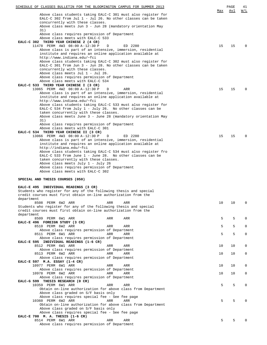| SCHEDULE OF CLASSES BULLETIN FOR THE BLOOMINGTON CAMPUS FOR SUMMER 2013                                                              |     | PAGE | 41           |
|--------------------------------------------------------------------------------------------------------------------------------------|-----|------|--------------|
| Above class students taking EALC-C 301 must also register for<br>EALC-C 302 from Jul 1 - Jul 26. No other classes can be taken       | Max | Avl  | W/L          |
| concurrently with these classes.<br>Above class meets Jun 3 - Jun 28 (mandatory orientation May                                      |     |      |              |
| 31)                                                                                                                                  |     |      |              |
| Above class requires permission of Department<br>Above class meets with EALC-C 533                                                   |     |      |              |
| EALC-C 302 THIRD YEAR CHINESE 2 (4 CR)                                                                                               |     |      | $\Omega$     |
| 11478 PERM 4W3 08:00 A-12:30 P<br>D<br>ED 2280<br>Above class is part of an intensive, immersion, residential                        | 15  | 15   |              |
| institute and requires an online application available at<br>http://www.indiana.edu/~fci                                             |     |      |              |
| Above class students taking EALC-C 302 must also register for                                                                        |     |      |              |
| EALC-C 301 from Jun 3 - Jun 28. No other classes can be taken<br>concurrently with these classes.                                    |     |      |              |
| Above class meets Jul 1 - Jul 26.                                                                                                    |     |      |              |
| Above class requires permission of Department<br>Above class meets with EALC-C 534                                                   |     |      |              |
| EALC-C 533 THIRD YEAR CHINESE I (3 CR)                                                                                               |     |      |              |
| 13065 PERM 4W2 08:00 A-12:30 P<br>D<br>ARR                                                                                           | 15  | 15   | $\Omega$     |
| Above class is part of an intensive, immersion, residential<br>institute and requires an online application available at             |     |      |              |
| http://www.indiana.edu/~fci                                                                                                          |     |      |              |
| Above class students taking EALC-C 533 must also register for<br>EALC-C 534 from July 1 - July 26. No other classes can be           |     |      |              |
| taken concurrently with these classes.                                                                                               |     |      |              |
| Above class meets June 3 - June 28 (mandatory orientation May<br>31)                                                                 |     |      |              |
| Above class requires permission of Department                                                                                        |     |      |              |
| Above class meets with EALC-C 301                                                                                                    |     |      |              |
| EALC-C 534 THIRD YEAR CHINESE II (3 CR)<br>13066 PERM 4W3 08:00 A-12:30 P<br>ED 2280<br>D                                            | 15  | 15   | $\Omega$     |
| Above class is part of an intensive, immersion, residential                                                                          |     |      |              |
| institute and requires an online application available at<br>http://indiana.edu/~fci                                                 |     |      |              |
| Above class students taking EALC-C 534 must also register fro                                                                        |     |      |              |
| EALC-C 533 from June 1 - June 28. No other classes can be                                                                            |     |      |              |
| taken concurrently with these classes.<br>Above class meets July 1 - July 26                                                         |     |      |              |
| Above class requires permission of Department                                                                                        |     |      |              |
| Above class meets with EALC-C 302                                                                                                    |     |      |              |
| SPECIAL AND THESIS COURSES (050)                                                                                                     |     |      |              |
| EALC-E 495 INDIVIDUAL READINGS (3 CR)                                                                                                |     |      |              |
| Students who register for any of the following thesis and special                                                                    |     |      |              |
| credit courses must first obtain on-line authorization from the<br>department                                                        |     |      |              |
| 8508 PERM 6W2 ARR<br>ARR<br>ARR                                                                                                      | 10  | 10   | 0            |
| Students who register for any of the following thesis and special<br>credit courses must first obtain on-line authorization from the |     |      |              |
| department                                                                                                                           |     |      |              |
| 8509 PERM 6W1 ARR<br>ARR<br>ARR<br>EALC-E 496 FOREIGN STUDY (3 CR)                                                                   | 5   | 5    | 0            |
| 8510 PERM 6W2 ARR<br>ARR<br>ARR                                                                                                      | 5   | 5    | $\mathbf{0}$ |
| Above class requires permission of Department<br>8511 PERM 6W1 ARR<br>ARR<br>ARR                                                     | 5   | 5    | $\mathbf 0$  |
| Above class requires permission of Department                                                                                        |     |      |              |
| EALC-E 595 INDIVIDUAL READINGS (1-6 CR)                                                                                              |     |      |              |
| 8512 PERM 6W1 ARR<br>ARR<br>ARR<br>Above class requires permission of Department                                                     | 10  | 10   | 0            |
| 8513 PERM 6W2 ARR<br>ARR<br>ARR                                                                                                      | 10  | 10   | $\mathbf{0}$ |
| Above class requires permission of Department<br>EALC-E 597 M.A. ESSAY (1-4 CR)                                                      |     |      |              |
| 10977 PERM 6W1 ARR<br>ARR<br>ARR                                                                                                     | 10  | 10   | 0            |
| Above class requires permission of Department<br>10978 PERM 6W2 ARR<br>ARR<br>ARR                                                    | 10  | 10   | $\mathbf 0$  |
| Above class requires permission of Department                                                                                        |     |      |              |
| EALC-G 599 THESIS RESEARCH (0 CR)                                                                                                    |     |      |              |
| 10359 PERM 6W1 ARR<br>ARR<br>ARR<br>Obtain on-line authorization for above class from Department                                     | 5   | 5    | 0            |
| Above class graded on S/F basis only                                                                                                 |     |      |              |
| Above class requires special fee - See fee page<br>10360 PERM 6W2 ARR<br>ARR<br>ARR                                                  | 5   | 5    | $\Omega$     |
| Obtain on-line authorization for above class from Department                                                                         |     |      |              |
| Above class graded on S/F basis only                                                                                                 |     |      |              |
| Above class requires special fee - See fee page<br>EALC-E 700 M. A. THESIS (1-6 CR)                                                  |     |      |              |
| 8514 PERM 6W1 ARR<br>ARR<br>ARR                                                                                                      | 5   | 5    | $\Omega$     |
| Above class requires permission of Department                                                                                        |     |      |              |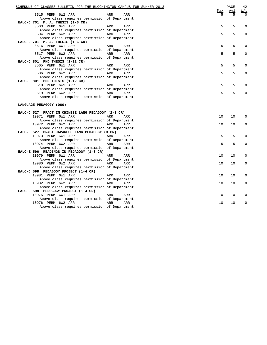| SCHEDULE OF CLASSES BULLETIN FOR THE BLOOMINGTON CAMPUS FOR SUMMER 2013 | Max | PAGE<br>Avl | 42<br>W/L |
|-------------------------------------------------------------------------|-----|-------------|-----------|
| 8515 PERM 6W2 ARR<br>ARR<br>ARR                                         | 5   | 5           | $\Omega$  |
| Above class requires permission of Department                           |     |             |           |
| EALC-C 701 M. A. THESIS (1-6 CR)                                        |     |             |           |
| 8503 PERM 6W1 ARR<br>ARR<br>ARR                                         | 5   | 5           | 0         |
| Above class requires permission of Department                           |     |             |           |
| 8504 PERM 6W2 ARR<br>ARR<br>ARR                                         | 5   | 5           | $\Omega$  |
| Above class requires permission of Department                           |     |             |           |
| EALC-J 701 M. A. THESIS (1-6 CR)                                        |     |             |           |
| 8516 PERM 6W1 ARR<br>ARR<br>ARR                                         | 5   | 5           | 0         |
| Above class requires permission of Department                           |     |             |           |
| 8517 PERM 6W2 ARR<br>ARR<br>ARR                                         | 5   | 5           | 0         |
| Above class requires permission of Department                           |     |             |           |
| EALC-C 801 PHD THESIS (1-12 CR)                                         |     |             |           |
| 8505 PERM 6W1 ARR<br>ARR<br>ARR                                         | 5   | 5           | 0         |
| Above class requires permission of Department                           |     |             |           |
| 8506 PERM 6W2 ARR<br>ARR<br>ARR                                         | 5   | 5           | 0         |
| Above class requires permission of Department                           |     |             |           |
| EALC-J 801 PHD THESIS (1-12 CR)                                         |     |             |           |
| 8518 PERM 6W1 ARR<br>ARR<br>ARR                                         | 5   | 5           |           |
| Above class requires permission of Department                           |     |             |           |
| 8519 PERM 6W2 ARR<br>ARR<br>ARR                                         | 5   | 5           | $\Omega$  |
| Above class requires permission of Department                           |     |             |           |
| LANGUAGE PEDAGOGY (060)                                                 |     |             |           |
| EALC-C 527 PRACT IN CHINESE LANG PEDAGOGY (2-3 CR)                      |     |             |           |
| 10971 PERM 6W1 ARR<br>ARR<br>ARR                                        | 10  | 10          | $\Omega$  |
| Above class requires permission of Department                           |     |             |           |
| 10972 PERM 6W2 ARR<br>ARR<br><b>ARR</b>                                 | 10  | 10          | $\Omega$  |
| Above class requires permission of Department                           |     |             |           |
| EALC-J 527 PRACT JAPANESE LANG PEDAGOGY (3 CR)                          |     |             |           |
| 10973 PERM 6W1 ARR<br>ARR<br>ARR                                        | 5   | 5           | 0         |
| Above class requires permission of Department                           |     |             |           |
| 10974 PERM 6W2 ARR<br>ARR<br>ARR                                        | 5   | 5           | $\Omega$  |
| Above class requires permission of Department                           |     |             |           |
| EALC-E 596 READINGS IN PEDAGOGY (1-3 CR)                                |     |             |           |
| 10979 PERM 6W1 ARR<br>ARR<br>ARR                                        | 10  | 10          | 0         |
| Above class requires permission of Department                           |     |             |           |
| 10980 PERM 6W2 ARR<br>ARR<br>ARR                                        | 10  | 10          | 0         |
| Above class requires permission of Department                           |     |             |           |
| EALC-C 598 PEDAGOGY PROJECT (1-4 CR)                                    |     |             |           |
| 10981 PERM 6W1 ARR<br>ARR<br>ARR                                        | 10  | 10          | 0         |
| Above class requires permission of Department                           |     |             |           |
| 10982 PERM 6W2 ARR<br>ARR<br>ARR                                        | 10  | 10          | 0         |
| Above class requires permission of Department                           |     |             |           |
| EALC-J 598 PEDOGOGY PROJECT (1-4 CR)                                    |     |             |           |
| 10975 PERM 6W1 ARR<br>ARR<br>ARR                                        | 10  | 10          | 0         |
| Above class requires permission of Department                           |     |             |           |
| 10976 PERM 6W2 ARR<br>ARR<br>ARR                                        | 10  | 10          | 0         |
| Above class requires permission of Department                           |     |             |           |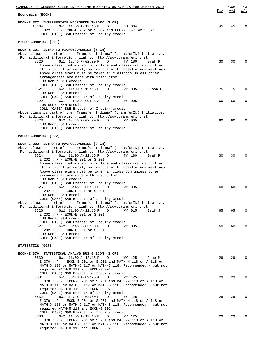| SCHEDULE OF CLASSES BULLETIN FOR THE BLOOMINGTON CAMPUS FOR SUMMER 2013                                                                                                                                                                                                                                                                                                                                                                                                                                                                                                                                                                                                                                                                                                                                                    |          | PAGE     | 43            |
|----------------------------------------------------------------------------------------------------------------------------------------------------------------------------------------------------------------------------------------------------------------------------------------------------------------------------------------------------------------------------------------------------------------------------------------------------------------------------------------------------------------------------------------------------------------------------------------------------------------------------------------------------------------------------------------------------------------------------------------------------------------------------------------------------------------------------|----------|----------|---------------|
| Economics (ECON)                                                                                                                                                                                                                                                                                                                                                                                                                                                                                                                                                                                                                                                                                                                                                                                                           | Max      | Avl      | <u>W/L</u>    |
| ECON-E 322 INTERMEDIATE MACROECON THEORY (3 CR)<br>13334<br>6W1 11:00 A-12:15 P<br>BH 304<br>D<br>E 322 : P - ECON-E 202 or S 202 and ECON-E 321 or S 321<br>COLL (CASE) S&H Breadth of Inquiry credit                                                                                                                                                                                                                                                                                                                                                                                                                                                                                                                                                                                                                     | 45       | 45       | 0             |
| MICROECONOMICS (001)                                                                                                                                                                                                                                                                                                                                                                                                                                                                                                                                                                                                                                                                                                                                                                                                       |          |          |               |
| ECON-E 201 INTRO TO MICROECONOMICS (3 CR)<br>Above class is part of the "Transfer Indiana" (transferIN) Initiative.<br>For additional information, link to http://www.transferin.net<br>6W1 12:45 P-02:00 P<br>8520<br>D<br>TV 180<br>Graf P<br>Above class combination of online and classroom instruction.<br>It is taught primarily online but with face-to-face meetings<br>Above class exams must be taken in classroom unless other<br>arrangements are made with instructor                                                                                                                                                                                                                                                                                                                                         | 30       | 30       | 0             |
| IUB GenEd S&H credit<br>COLL (CASE) S&H Breadth of Inquiry credit<br>8521<br>6W1 11:00 A-12:15 P<br>WY 005<br>Olson P<br>D<br>IUB GenEd S&H credit                                                                                                                                                                                                                                                                                                                                                                                                                                                                                                                                                                                                                                                                         | 75       | 75       | 0             |
| COLL (CASE) S&H Breadth of Inquiry credit<br>6W1 08:10 A-09:25 A<br>8522<br>D<br>WY 005                                                                                                                                                                                                                                                                                                                                                                                                                                                                                                                                                                                                                                                                                                                                    | 60       | 60       | 0             |
| IUB GenEd S&H credit<br>COLL (CASE) S&H Breadth of Inquiry credit<br>Above class is part of the "Transfer Indiana" (transferIN) Initiative.<br>For additional information, link to http://www.transferin.net<br>8523<br>6W2 $12:45 P-02:00 P$<br>D<br>WY 005<br>IUB GenEd S&H credit<br>COLL (CASE) S&H Breadth of Inquiry credit                                                                                                                                                                                                                                                                                                                                                                                                                                                                                          | 60       | 60       | 0             |
| MACROECONOMICS (002)                                                                                                                                                                                                                                                                                                                                                                                                                                                                                                                                                                                                                                                                                                                                                                                                       |          |          |               |
| ECON-E 202 INTRO TO MACROECONOMICS (3 CR)<br>Above class is part of the "Transfer Indiana" (transferIN) Initiative.<br>For additional information, link to http://www.transferin.net<br>8524<br>6W1 11:00 A-12:15 P<br>TV 180<br>Graf P<br>D<br>E 202 : P - ECON-E 201 or S 201<br>Above class combination of online and classroom instruction.<br>It is taught primarily online but with face-to-face meetings<br>Above class exams must be taken in classroom unless other<br>arrangements are made with instructor<br>IUB GenEd S&H credit<br>COLL (CASE) S&H Breadth of Inquiry credit<br>8525<br>6W1 03:45 P-05:00 P<br>WY 005<br>D<br>E 202 : P - ECON-E 201 or S 201<br>IUB GenEd S&H credit<br>COLL (CASE) S&H Breadth of Inquiry credit<br>Above class is part of the "Transfer Indiana" (transferIN) Initiative. | 30<br>60 | 30<br>60 | $\Omega$<br>0 |
| For additional information, link to http://www.transferin.net<br>6W2 11:00 A-12:15 P<br>8526<br>WY 015<br>Self J<br>D                                                                                                                                                                                                                                                                                                                                                                                                                                                                                                                                                                                                                                                                                                      | 65       | 65       | $\mathbf 0$   |
| E 202 : P - ECON-E 201 or S 201<br>IUB GenEd S&H credit<br>COLL (CASE) S&H Breadth of Inquiry credit<br>6W2 03:45 P-05:00 P<br>WY 005<br>8527<br>D<br>E 202 : P - ECON-E 201 or S 201<br>IUB GenEd S&H credit<br>COLL (CASE) S&H Breadth of Inquiry credit                                                                                                                                                                                                                                                                                                                                                                                                                                                                                                                                                                 | 60       | 60       | 0             |
| STATISTICS (003)                                                                                                                                                                                                                                                                                                                                                                                                                                                                                                                                                                                                                                                                                                                                                                                                           |          |          |               |
| ECON-E 370 STATISTICAL ANALYS BUS & ECON (3 CR)<br>6W1 11:00 A-12:15 P<br>8530<br>D<br>WY 125<br>Camp M<br>E 370 : P - ECON-E 201 or S 201 and MATH-M 118 or A 118 or<br>MATH-X 118 or MATH-D 117 or MATH-S 118. Recommended - but not<br>required MATH-M 119 and ECON-E 202                                                                                                                                                                                                                                                                                                                                                                                                                                                                                                                                               | 29       | 29       | $\mathbf 0$   |
| COLL (CASE) N&M Breadth of Inquiry credit<br>6W1 08:10 A-09:25 A<br>8531<br>D<br>WY 125<br>E 370 : P - ECON-E 201 or S 201 and MATH-M 118 or A 118 or<br>MATH-X 118 or MATH-D 117 or MATH-S 118. Recommended - but not<br>required MATH-M 119 and ECON-E 202                                                                                                                                                                                                                                                                                                                                                                                                                                                                                                                                                               | 29       | 29       | 0             |
| COLL (CASE) N&M Breadth of Inquiry credit<br>6W1 12:45 P-02:00 P<br>8532<br>D<br>WY 125<br>E 370 : P - ECON-E 201 or S 201 and MATH-M 118 or A 118 or<br>MATH-X 118 or MATH-D 117 or MATH-S 118. Recommended - but not<br>required MATH-M 119 and ECON-E 202                                                                                                                                                                                                                                                                                                                                                                                                                                                                                                                                                               | 29       | 29       | 0             |
| COLL (CASE) N&M Breadth of Inquiry credit<br>6W2 11:00 A-12:15 P<br>8533<br>D<br>WY 125<br>E 370 : P - ECON-E 201 or S 201 and MATH-M 118 or A 118 or<br>MATH-X 118 or MATH-D 117 or MATH-S 118. Recommended - but not<br>required MATH-M 119 and ECON-E 202                                                                                                                                                                                                                                                                                                                                                                                                                                                                                                                                                               | 29       | 29       | 0             |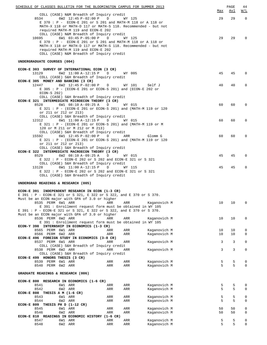| SCHEDULE OF CLASSES BULLETIN FOR THE BLOOMINGTON CAMPUS FOR SUMMER 2013                                                                                           |                             |            |                              | Max    | $\mathop{\mathtt{PAGE}}$<br><u>Avl</u> | 44<br>W/L        |
|-------------------------------------------------------------------------------------------------------------------------------------------------------------------|-----------------------------|------------|------------------------------|--------|----------------------------------------|------------------|
| COLL (CASE) N&M Breadth of Inquiry credit                                                                                                                         |                             |            |                              |        |                                        |                  |
| 6W2 12:45 P-02:00 P<br>8534<br>E 370 : P - ECON-E 201 or S 201 and MATH-M 118 or A 118 or<br>MATH-X 118 or MATH-D 117 or MATH-S 118. Recommended - but not        | D                           | WY 125     |                              | 29     | 29                                     | $\overline{0}$   |
| required MATH-M 119 and ECON-E 202<br>COLL (CASE) N&M Breadth of Inquiry credit<br>6W1 03:45 P-05:00 P<br>10695                                                   | D                           | WY 125     |                              | 29     | 29                                     | $\Omega$         |
| E 370 : P - ECON-E 201 or S 201 and MATH-M 118 or A 118 or<br>MATH-X 118 or MATH-D 117 or MATH-S 118. Recommended - but not<br>required MATH-M 119 and ECON-E 202 |                             |            |                              |        |                                        |                  |
| COLL (CASE) N&M Breadth of Inquiry credit                                                                                                                         |                             |            |                              |        |                                        |                  |
| UNDERGRADUATE COURSES (004)                                                                                                                                       |                             |            |                              |        |                                        |                  |
| ECON-E 303 SURVEY OF INTERNATIONAL ECON (3 CR)<br>13129                                                                                                           | D                           |            |                              | 45     | 45                                     | $\mathbf 0$      |
| 6W2 11:00 A-12:15 P<br>COLL (CASE) S&H Breadth of Inquiry credit                                                                                                  |                             | WY 005     |                              |        |                                        |                  |
| ECON-E 305 MONEY AND BANKING (3 CR)<br>12447<br>6W2 12:45 P-02:00 P                                                                                               | D                           | WY 101     | Self J                       | 40     | 40                                     | $\mathbf 0$      |
| E 305 : P - (ECON-E 201 or ECON-S 201) and (ECON-E 202 or<br>$ECON-S 202)$                                                                                        |                             |            |                              |        |                                        |                  |
| COLL (CASE) S&H Breadth of Inquiry credit<br>ECON-E 321 INTERMEDIATE MICROECON THEORY (3 CR)                                                                      |                             |            |                              |        |                                        |                  |
| 8528<br>6W1 08:10 A-09:25 A                                                                                                                                       | D                           | WY 015     |                              | 60     | 60                                     | $\mathbf{0}$     |
| E 321 : P - (ECON-E 201 or ECON-S 201) and (MATH-M 119 or 120<br>or 211 or 212 or 213)                                                                            |                             |            |                              |        |                                        |                  |
| COLL (CASE) S&H Breadth of Inquiry credit                                                                                                                         |                             |            |                              |        |                                        |                  |
| 12312<br>6W1 11:00 A-12:15 P                                                                                                                                      | $D$ and $D$ and $D$ and $D$ | WY 015     |                              | 60     | 60                                     | $\mathbf 0$      |
| E 321 : P - (ECON-E 201 or ECON-S 201) and (MATH-M 119 or M<br>120 or M 211 or M 212 or M 213)                                                                    |                             |            |                              |        |                                        |                  |
| COLL (CASE) S&H Breadth of Inquiry credit                                                                                                                         |                             |            |                              |        |                                        |                  |
| 15592<br>6W1 12:45 P-02:00 P D ARR                                                                                                                                |                             |            | Glomm G                      | 60     | 60                                     | $\mathbf 0$      |
| E 321 : P - (ECON-E 201 or ECON-S 201) and (MATH-M 119 or 120<br>or 211 or 212 or 213)                                                                            |                             |            |                              |        |                                        |                  |
| COLL (CASE) S&H Breadth of Inquiry credit                                                                                                                         |                             |            |                              |        |                                        |                  |
| ECON-E 322 INTERMEDIATE MACROECON THEORY (3 CR)                                                                                                                   |                             |            |                              |        |                                        |                  |
| 8529<br>6W2 08:10 A-09:25 A                                                                                                                                       | $\mathbb{D}$                | WY 015     |                              | 45     | 45                                     | $\mathbf 0$      |
| E 322 : P - ECON-E 202 or S 202 and ECON-E 321 or S 321<br>COLL (CASE) S&H Breadth of Inquiry credit                                                              |                             |            |                              |        |                                        |                  |
| 6W1 11:00 A-12:15 P<br>13128                                                                                                                                      | D                           | WY 115     |                              | 45     | 45                                     | $\mathbf 0$      |
| E 322 : P - ECON-E 202 or S 202 and ECON-E 321 or S 321                                                                                                           |                             |            |                              |        |                                        |                  |
| COLL (CASE) S&H Breadth of Inquiry credit<br>UNDERGRAD READINGS & RESEARCH (005)                                                                                  |                             |            |                              |        |                                        |                  |
|                                                                                                                                                                   |                             |            |                              |        |                                        |                  |
| ECON-E 391 INDEPENDENT RESEARCH IN ECON (1-3 CR)<br>E 391 : P - ECON-E 321 or S 321, E 322 or S 322, and E 370 or S 370.                                          |                             |            |                              |        |                                        |                  |
| Must be an ECON major with GPA of 3.0 or higher                                                                                                                   |                             |            |                              |        |                                        |                  |
| 8535 PERM 6W1 ARR                                                                                                                                                 | ARR                         | ARR        | Kaganovich M                 | 10     | 10                                     | 0                |
| E 391 : Enrollment request form must be obtained in WY 105<br>E 391 : P - ECON-E 321 or S 321, E 322 or S 322, and E 370 or S 370.                                |                             |            |                              |        |                                        |                  |
| Must be an ECON major with GPA of 3.0 or higher                                                                                                                   |                             |            |                              |        |                                        |                  |
| 8536 PERM 6W2 ARR                                                                                                                                                 | ARR                         | ARR        | Kaganovich M                 | 10     | 10                                     | 0                |
| E 391 : Enrollment request form must be obtained in WY 105                                                                                                        |                             |            |                              |        |                                        |                  |
| ECON-Y 398 INTERNSHIP IN ECONOMICS (1-3 CR)<br>8565 PERM 6W1 ARR                                                                                                  | ARR                         | ARR        | Kaganovich M                 | 10     | 10                                     | 0                |
| 8566 PERM 6W2 ARR                                                                                                                                                 | ARR                         | ARR        | Kaganovich M                 | 10     | 10                                     | 0                |
| ECON-E 496 FOREIGN STUDY IN ECONOMICS (3-8 CR)                                                                                                                    |                             |            |                              |        |                                        |                  |
| 8537 PERM 6W1 ARR<br>COLL (CASE) S&H Breadth of Inquiry credit                                                                                                    | ARR                         | ARR        | Kaganovich M                 | 3      | 3                                      | $\mathbf{0}$     |
| 8538 PERM 6W2 ARR                                                                                                                                                 | ARR                         | ARR        | Kaganovich M                 | 3      | 3                                      | $\mathbf 0$      |
| COLL (CASE) S&H Breadth of Inquiry credit                                                                                                                         |                             |            |                              |        |                                        |                  |
| ECON-E 499 HONORS THESIS (3 CR)                                                                                                                                   |                             |            |                              |        |                                        |                  |
| 8539 PERM 6W1 ARR<br>8540 PERM 6W2 ARR                                                                                                                            | ARR<br>ARR                  | ARR<br>ARR | Kaganovich M<br>Kaganovich M | 5<br>5 | 5<br>5                                 | 0<br>0           |
| GRADUATE READINGS & RESEARCH (006)                                                                                                                                |                             |            |                              |        |                                        |                  |
| ECON-E 800 RESEARCH IN ECONOMICS (1-6 CR)                                                                                                                         |                             |            |                              |        |                                        |                  |
| 6W1 ARR<br>8541                                                                                                                                                   | ARR                         | ARR        | Kaganovich M                 | 5      | 5                                      | 0                |
| 8542<br>6W2 ARR                                                                                                                                                   | ARR                         | ARR        | Kaganovich M                 | 5      | 5                                      | $\mathbf 0$      |
| ECON-E 808 THESIS A M $(1-6$ CR)                                                                                                                                  |                             |            |                              | 5      |                                        |                  |
| 8543<br>6W1 ARR<br>6W2 ARR<br>8544                                                                                                                                | ARR<br>ARR                  | ARR<br>ARR | Kaganovich M<br>Kaganovich M | 5      | 5<br>5                                 | 0<br>$\mathbf 0$ |
| ECON-E 809 THESIS PH D (1-12 CR)                                                                                                                                  |                             |            |                              |        |                                        |                  |
| 6W1 ARR<br>8545                                                                                                                                                   | ARR                         | ARR        | Kaganovich M                 | 50     | 50                                     | 0                |
| 8546<br>6W2 ARR<br>ECON-E 810 READINGS IN ECONOMIC HISTORY (1-6 CR)                                                                                               | ARR                         | ARR        | Kaganovich M                 | 50     | 50                                     | 0                |
| 8547<br>6W1 ARR                                                                                                                                                   | ARR                         | ARR        | Kaganovich M                 | 5      | 5                                      | 0                |
| 8548<br>6W2 ARR                                                                                                                                                   | ARR                         | ARR        | Kaganovich M                 | 5      | 5                                      | $\mathbf 0$      |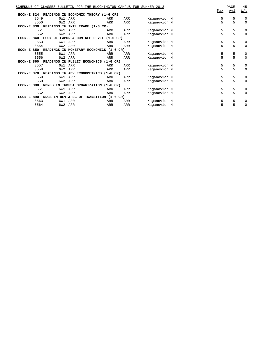|               |      |                    | SCHEDULE OF CLASSES BULLETIN FOR THE BLOOMINGTON CAMPUS FOR SUMMER 2013 |                      |     |              | Max | PAGE<br><u>Avl</u> | 45<br>W/L   |
|---------------|------|--------------------|-------------------------------------------------------------------------|----------------------|-----|--------------|-----|--------------------|-------------|
| $ECON-E$ 824  |      | READINGS           | IN ECONOMIC THEORY (1-6 CR)                                             |                      |     |              |     |                    |             |
|               | 8549 | 6W1                | ARR                                                                     | ARR                  | ARR | Kaganovich M | 5   | 5                  | $\mathbf 0$ |
|               | 8550 | 6W <sub>2</sub>    | ARR                                                                     | ARR                  | ARR | Kaganovich M | 5   | 5                  | $\mathbf 0$ |
| <b>ECON-E</b> | 830  | ΙN<br>READINGS     | INTL TRADE (1-6 CR)                                                     |                      |     |              |     |                    |             |
|               | 8551 | 6W1                | ARR                                                                     | ARR                  | ARR | Kaganovich M | 5   | 5                  | 0           |
|               | 8552 | 6W <sub>2</sub>    | ARR                                                                     | ARR                  | ARR | Kaganovich M | 5   | 5                  | $\mathbf 0$ |
| $ECON-E$      | 840  |                    | ECON OF LABOR & HUM RES DEVEL (1-6 CR)                                  |                      |     |              |     |                    |             |
|               | 8553 | 6W1                | ARR                                                                     | ARR                  | ARR | Kaganovich M | 5   | 5                  | $\mathbf 0$ |
|               | 8554 | 6W <sub>2</sub>    | ARR                                                                     | ARR                  | ARR | Kaganovich M | 5   | 5                  | $\mathbf 0$ |
| ECON-E        | 850  | <b>READINGS IN</b> | MONETARY ECONOMICS                                                      | $(1-6 \text{ CR})$   |     |              |     |                    |             |
|               | 8555 | 6W1                | ARR                                                                     | ARR                  | ARR | Kaganovich M | 5   | 5                  | $\mathbf 0$ |
|               | 8556 | 6W <sub>2</sub>    | ARR                                                                     | ARR                  | ARR | Kaganovich M | 5   | 5                  | $\mathbf 0$ |
| $ECON-E$      | 860  | READINGS IN PUBLIC | <b>ECONOMICS</b>                                                        | $(1-6 \, \text{CR})$ |     |              |     |                    |             |
|               | 8557 | 6W1                | ARR                                                                     | ARR                  | ARR | Kaganovich M | 5   | 5                  | $\mathbf 0$ |
|               | 8558 | 6W <sub>2</sub>    | ARR                                                                     | ARR                  | ARR | Kaganovich M | 5   | 5                  | $\mathbf 0$ |
| <b>ECON-E</b> | 870  | <b>READINGS IN</b> | ADV ECONOMETRICS                                                        | $(1-6 \, \text{CR})$ |     |              |     |                    |             |
|               | 8559 | 6W1                | ARR                                                                     | ARR                  | ARR | Kaganovich M | 5   | 5                  | $\mathbf 0$ |
|               | 8560 | 6W <sub>2</sub>    | ARR                                                                     | ARR                  | ARR | Kaganovich M | 5   | 5                  | $\Omega$    |
| ECON-E        | 880  | <b>RDNGS</b>       | IN INDUST ORGANIZATION                                                  | $(1-6 \, \text{CR})$ |     |              |     |                    |             |
|               | 8561 | 6W1                | ARR                                                                     | ARR                  | ARR | Kaganovich M | 5   | 5                  | 0           |
|               | 8562 | 6W <sub>2</sub>    | ARR                                                                     | ARR                  | ARR | Kaganovich M | 5   | 5                  | $\mathbf 0$ |
| $ECON-E$      | 890  | RDGS<br>IN DEV     | & EC<br>OF                                                              | TRANSITION (1-6 CR)  |     |              |     |                    |             |
|               | 8563 | 6W1                | ARR                                                                     | ARR                  | ARR | Kaganovich M | 5   | 5                  | 0           |
|               | 8564 | 6W <sub>2</sub>    | ARR                                                                     | ARR                  | ARR | Kaganovich M | 5   | 5                  | 0           |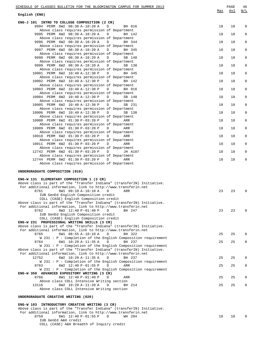| SCHEDULE OF CLASSES BULLETIN FOR THE BLOOMINGTON CAMPUS FOR SUMMER 2013                                                                 |     | PAGE | 46          |
|-----------------------------------------------------------------------------------------------------------------------------------------|-----|------|-------------|
| English (ENG)                                                                                                                           | Max | Avl  | W/L         |
| ENG-J 101 INTRO TO COLLEGE COMPOSITION (2 CR)                                                                                           |     |      |             |
| 9994 PERM 6W2 08:30 A-10:20 A<br>$\mathbb{D}$<br>BH 016<br>Above class requires permission of Department                                | 18  | 18   | 0           |
| 9995 PERM 6W2 08:30 A-10:20 A<br>$\mathbf{D}$<br>BH 142                                                                                 | 18  | 18   | $\mathbf 0$ |
| Above class requires permission of Department<br>9996 PERM 6W2 08:30 A-10:20 A<br>$\Box$<br>BH 344                                      | 18  | 18   | 0           |
| Above class requires permission of Department<br>9997 PERM 6W2 08:30 A-10:20 A<br>BH 345<br>$\Box$                                      | 18  | 18   | $\mathbf 0$ |
| Above class requires permission of Department<br>9998 PERM 6W2 08:30 A-10:20 A<br>$\Box$<br>SB 140                                      | 18  | 18   | 0           |
| Above class requires permission of Department                                                                                           |     |      |             |
| 9999 PERM 6W2 08:30 A-10:20 A<br>$\Box$<br>SB 138<br>Above class requires permission of Department                                      | 18  | 18   | $\mathbf 0$ |
| 10001 PERM 6W2 10:40 A-12:30 P<br>$\Box$<br>BH 345<br>Above class requires permission of Department                                     | 18  | 18   | 0           |
| 10002 PERM 6W2 10:40 A-12:30 P<br>$\mathbb{D}$<br>BH 142                                                                                | 18  | 18   | $\mathbf 0$ |
| Above class requires permission of Department<br>10003 PERM 6W2 10:40 A-12:30 P<br>D<br>BH 016                                          | 18  | 18   | 0           |
| Above class requires permission of Department<br>10004 PERM 6W2 10:40 A-12:30 P<br>$\Box$<br>SB 140                                     | 18  | 18   | $\mathbf 0$ |
| Above class requires permission of Department                                                                                           |     |      |             |
| 10005 PERM 6W2 10:40 A-12:30 P<br>$\Box$<br>SB 231<br>Above class requires permission of Department                                     | 18  | 18   | 0           |
| 10006 PERM 6W2 10:40 A-12:30 P<br>$\Box$<br>SB 138<br>Above class requires permission of Department                                     | 18  | 18   | $\mathbf 0$ |
| 10008 PERM 6W2 01:30 P-03:20 P<br>$\mathbb{D}$<br>ARR                                                                                   | 18  | 18   | 0           |
| Above class requires permission of Department<br>10009 PERM 6W2 01:30 P-03:20 P<br>$\Box$<br>ARR                                        | 18  | 18   | $\mathbf 0$ |
| Above class requires permission of Department<br>10010 PERM 6W2 01:30 P-03:20 P<br>$\mathbb{D}$<br>ARR                                  | 18  | 18   | 0           |
| Above class requires permission of Department                                                                                           |     |      |             |
| 10011 PERM 6W2 01:30 P-03:20 P<br>$\Box$<br>ARR<br>Above class requires permission of Department                                        | 18  | 18   | $\mathbf 0$ |
| 12742 PERM 6W2 01:30 P-03:20 P<br>$\Box$<br>JH A107<br>Above class requires permission of Department                                    | 18  | 18   | 0           |
| 12744 PERM 6W2 01:30 P-03:20 P<br>$\mathbb{D}$<br>ARR                                                                                   | 18  | 18   | $\mathbf 0$ |
| Above class requires permission of Department                                                                                           |     |      |             |
| UNDERGRADUATE COMPOSITION (010)                                                                                                         |     |      |             |
| ENG-W 131 ELEMENTARY COMPOSITION 1 (3 CR)                                                                                               |     |      |             |
| Above class is part of the "Transfer Indiana" (transferIN) Initiative.<br>For additional information, link to http://www.transferin.net |     |      |             |
| 8W1 09:10 A-10:10 A<br>8761<br>ARR<br>D<br>IUB GenEd English Composition credit                                                         | 23  | 23   | $\mathbf 0$ |
| COLL (CASE) English Composition credit                                                                                                  |     |      |             |
| Above class is part of the "Transfer Indiana" (transferIN) Initiative.<br>For additional information, link to http://www.transferin.net |     |      |             |
| 8W2 12:40 P-01:40 P<br>8762<br>D<br>BH 247<br>IUB GenEd English Composition credit                                                      | 23  | 23   | $\mathbf 0$ |
| COLL (CASE) English Composition credit                                                                                                  |     |      |             |
| ENG-W 231 PROFESSIONAL WRITING SKILLS (3 CR)<br>Above class is part of the "Transfer Indiana" (transferIN) Initiative.                  |     |      |             |
| For additional information, link to http://www.transferin.net                                                                           |     |      |             |
| 8765<br>6W1 08:55 A-10:10 A<br>D<br>BH 322<br>$W$ 231 : P - Completion of the English Composition requirement                           | 25  | 25   | 0           |
| 8764<br>6W1 10:20 A-11:35 A<br>BH 237<br>D<br>W 231 : P - Completion of the English Composition requirement                             | 25  | 25   | 0           |
| Above class is part of the "Transfer Indiana" (transferIN) Initiative.                                                                  |     |      |             |
| For additional information, link to http://www.transferin.net<br>12752<br>6W2 10:20 A-11:35 A<br>BH 237<br>D                            | 25  | 25   | 0           |
| W 231 : P - Completion of the English Composition requirement<br>6W2 12:40 P-01:55 P<br>ARR<br>8763<br>D                                | 25  | 25   | 0           |
| W 231 : P - Completion of the English Composition requirement                                                                           |     |      |             |
| ENG-W 350 ADVANCED EXPOSITORY WRITING (3 CR)<br>8766<br>8W1 12:40 P-01:40 P<br>D<br>ARR                                                 | 25  | 25   | 0           |
| Above class COLL Intensive Writing section<br>13116                                                                                     | 25  | 25   |             |
| 8W2 10:20 A-11:20 A<br>D<br>BH 214<br>Above class COLL Intensive Writing section                                                        |     |      | 0           |
| UNDERGRADUATE CREATIVE WRITING (020)                                                                                                    |     |      |             |
| ENG-W 103 INTRODUCTORY CREATIVE WRITING (3 CR)                                                                                          |     |      |             |
| Above class is part of the "Transfer Indiana" (transferIN) Initiative.                                                                  |     |      |             |
| For additional information, link to http://www.transferin.net<br>8759<br>6W1 12:40 P-01:55 P<br>D<br>WH 204                             | 18  | 18   | $\Omega$    |
| IUB GenEd A&H credit                                                                                                                    |     |      |             |

COLL (CASE) A&H Breadth of Inquiry credit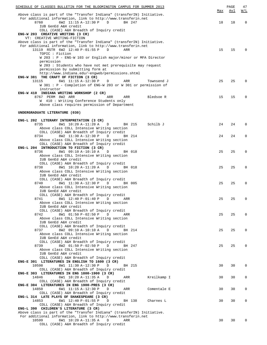| SCHEDULE OF CLASSES BULLETIN FOR THE BLOOMINGTON CAMPUS FOR SUMMER 2013                                                                 |     | PAGE       | 47           |
|-----------------------------------------------------------------------------------------------------------------------------------------|-----|------------|--------------|
|                                                                                                                                         | Max | <u>Avl</u> | <u>W/L</u>   |
| Above class is part of the "Transfer Indiana" (transferIN) Initiative.<br>For additional information, link to http://www.transferin.net |     |            |              |
| 8760<br>6W2 11:15 A-12:30 P<br>BH 247<br>D                                                                                              | 18  | 18         | $\mathbf 0$  |
| IUB GenEd A&H credit                                                                                                                    |     |            |              |
| COLL (CASE) A&H Breadth of Inquiry credit                                                                                               |     |            |              |
| ENG-W 203 CREATIVE WRITING (3 CR)<br>VT: CREATIVE WRITING-FICTION                                                                       |     |            |              |
| Above class is part of the "Transfer Indiana" (transferIN) Initiative.                                                                  |     |            |              |
| For additional information, link to http://www.transferin.net                                                                           |     |            |              |
| 13119 RSTR 6W2 12:40 P-01:55 P<br>D<br>ARR                                                                                              | 15  | 15         | $\Omega$     |
| TOPIC : Fiction                                                                                                                         |     |            |              |
| W 203 : P - ENG-W 103 or English major/minor or MFA Director<br>permission                                                              |     |            |              |
| W 203 : Students who have not met prerequisite may request                                                                              |     |            |              |
| permission by submitting form at                                                                                                        |     |            |              |
| http://www.indiana.edu/~engweb/permissions.shtml                                                                                        |     |            |              |
| ENG-W 381 THE CRAFT OF FICTION (3 CR)<br>13115                                                                                          |     | 25         | $\Omega$     |
| 6W1 11:15 A-12:30 P<br>D<br>ARR<br>Townsend J<br>W 381 : P - Completion of ENG-W 203 or W 301 or permission of                          | 25  |            |              |
| instructor                                                                                                                              |     |            |              |
| ENG-W 410 INDIANA WRITING WORKSHOP (2 CR)                                                                                               |     |            |              |
| 8767 PERM 8W2 ARR<br>ARR<br>ARR<br>Bledsoe R                                                                                            | 15  | 15         | $\Omega$     |
| W 410 : Writing Conference Students only                                                                                                |     |            |              |
| Above class requires permission of Department                                                                                           |     |            |              |
| UNDERGRADUATE LITERATURE (030)                                                                                                          |     |            |              |
|                                                                                                                                         |     |            |              |
| ENG-L 202 LITERARY INTERPRETATION (3 CR)                                                                                                |     |            |              |
| 8735<br>8W1 10:20 A-11:20 A<br>BH 215<br>Schilb J<br>D                                                                                  | 24  | 24         | $\Omega$     |
| Above class COLL Intensive Writing section                                                                                              |     |            |              |
| COLL (CASE) A&H Breadth of Inquiry credit<br>8734<br>8W2 11:30 A-12:30 P<br>D<br>BH 214                                                 | 24  | 24         | 0            |
| Above class COLL Intensive Writing section                                                                                              |     |            |              |
| COLL (CASE) A&H Breadth of Inquiry credit                                                                                               |     |            |              |
| ENG-L 204 INTRODUCTION TO FICTION (3 CR)                                                                                                |     |            |              |
| 8736<br>8W1 09:10 A-10:10 A<br>BH 018<br>D                                                                                              | 25  | 25         | $\Omega$     |
| Above class COLL Intensive Writing section                                                                                              |     |            |              |
| IUB GenEd A&H credit<br>COLL (CASE) A&H Breadth of Inquiry credit                                                                       |     |            |              |
| 8738<br>8W1 10:20 A-11:20 A<br>D<br>BH 018                                                                                              | 25  | 25         | $\mathbf 0$  |
| Above class COLL Intensive Writing section                                                                                              |     |            |              |
| IUB GenEd A&H credit                                                                                                                    |     |            |              |
| COLL (CASE) A&H Breadth of Inquiry credit                                                                                               |     |            |              |
| 8740<br>8W1 11:30 A-12:30 P<br>D<br>BH 005<br>Above class COLL Intensive Writing section                                                | 25  | 25         | 0            |
| IUB GenEd A&H credit                                                                                                                    |     |            |              |
| COLL (CASE) A&H Breadth of Inquiry credit                                                                                               |     |            |              |
| 8741 8W1 12:40 P-01:40 P D ARR                                                                                                          | 25  | 25         |              |
| Above class COLL Intensive Writing section                                                                                              |     |            |              |
| IUB GenEd A&H credit                                                                                                                    |     |            |              |
| COLL (CASE) A&H Breadth of Inquiry credit<br>8W1 01:50 P-02:50 P<br>8742<br>D<br>ARR                                                    | 25  | 25         | 0            |
| Above class COLL Intensive Writing section                                                                                              |     |            |              |
| IUB GenEd A&H credit                                                                                                                    |     |            |              |
| COLL (CASE) A&H Breadth of Inquiry credit                                                                                               |     |            |              |
| 8737<br>8W2 09:10 A-10:10 A<br>D<br>BH 214                                                                                              | 25  | 25         | 0            |
| Above class COLL Intensive Writing section<br>IUB GenEd A&H credit                                                                      |     |            |              |
| COLL (CASE) A&H Breadth of Inquiry credit                                                                                               |     |            |              |
| 8W2 01:50 P-02:50 P<br>8739<br>D<br>BH 247                                                                                              | 25  | 25         | 0            |
| Above class COLL Intensive Writing section                                                                                              |     |            |              |
| IUB GenEd A&H credit                                                                                                                    |     |            |              |
| COLL (CASE) A&H Breadth of Inquiry credit<br>ENG-E 301 LITERATURES IN ENGLISH TO 1600 (3 CR)                                            |     |            |              |
| 10598<br>8W1 11:30 A-12:30 P<br>D<br>BH 215                                                                                             | 30  | 30         | $\mathbf{0}$ |
| COLL (CASE) A&H Breadth of Inquiry credit                                                                                               |     |            |              |
| ENG-E 303 LITERATURES IN ENG 1800-1900 (3 CR)                                                                                           |     |            |              |
| 14846<br>6W1 10:20 A-11:35 A<br>D<br>Kreilkamp I<br>ARR                                                                                 | 30  | 30         | 0            |
| COLL (CASE) A&H Breadth of Inquiry credit                                                                                               |     |            |              |
| ENG-E 304 LITERATURES IN ENG 1900-PRES (3 CR)<br>14850<br>6W1 11:15 A-12:30 P<br>D<br>ARR<br>Comentale E                                | 30  | 30         | 0            |
| COLL (CASE) A&H Breadth of Inquiry credit                                                                                               |     |            |              |
| ENG-L 314 LATE PLAYS OF SHAKESPEARE (3 CR)                                                                                              |     |            |              |
| 14853<br>6W1 12:40 P-01:55 P<br>BH 138<br>Charnes L<br>D                                                                                | 30  | 30         | 0            |
| COLL (CASE) A&H Breadth of Inquiry credit                                                                                               |     |            |              |
| ENG-L 390 CHILDREN'S LITERATURE (3 CR)<br>Above class is part of the "Transfer Indiana" (transferIN) Initiative.                        |     |            |              |
| For additional information, link to http://www.transferin.net                                                                           |     |            |              |
| 10599<br>6W1 10:20 A-11:35 A<br>D<br>ARR                                                                                                | 30  | 30         | 0            |
| COLL (CASE) A&H Breadth of Inquiry credit                                                                                               |     |            |              |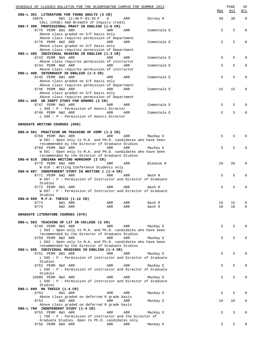| SCHEDULE OF CLASSES BULLETIN FOR THE BLOOMINGTON CAMPUS FOR SUMMER 2013                                         |     |            |             | Max      | PAGE<br><u>Avl</u> | 48<br>W/L         |
|-----------------------------------------------------------------------------------------------------------------|-----|------------|-------------|----------|--------------------|-------------------|
| ENG-L 391 LITERATURE FOR YOUNG ADULTS (3 CR)                                                                    |     |            |             |          |                    |                   |
| 6W1 12:40 P-01:55 P<br>10876                                                                                    | D   | ARR        | Dorsey R    | 30       | 30                 | $\mathbf{0}$      |
| COLL (CASE) A&H Breadth of Inquiry credit<br>ENG-Y 398 PROFESSIONAL PRACT IN ENGLISH (1-6 CR)                   |     |            |             |          |                    |                   |
| 8775 PERM 8W1 ARR                                                                                               | ARR | ARR        | Comentale E |          | 5                  | 5<br>$\Omega$     |
| Above class graded on S/F basis only                                                                            |     |            |             |          |                    |                   |
| Above class requires permission of Department                                                                   |     |            |             |          |                    |                   |
| 8776 PERM 8W2 ARR                                                                                               | ARR | ARR        | Comentale E |          | 5                  | 5<br>0            |
| Above class graded on S/F basis only<br>Above class requires permission of Department                           |     |            |             |          |                    |                   |
| ENG-L 495 INDIVIDUAL READING IN ENGLISH (1-3 CR)                                                                |     |            |             |          |                    |                   |
| 8743 PERM 8W1 ARR                                                                                               | ARR | ARR        | Comentale E |          | 5                  | 5<br>0            |
| Above class requires permission of instructor                                                                   |     |            |             |          |                    |                   |
| 8744 PERM 8W2 ARR                                                                                               | ARR | ARR        | Comentale E |          | 5                  | 5<br>$\mathbf{0}$ |
| Above class requires permission of instructor                                                                   |     |            |             |          |                    |                   |
| ENG-L 498 INTERNSHIP IN ENGLISH (1-3 CR)<br>8745 PERM 8W1 ARR                                                   | ARR | ARR        | Comentale E |          | 5                  | 5<br>0            |
| Above class graded on S/F basis only                                                                            |     |            |             |          |                    |                   |
| Above class requires permission of Department                                                                   |     |            |             |          |                    |                   |
| 8746 PERM 8W2 ARR                                                                                               | ARR | ARR        | Comentale E | 15       | 15                 | 0                 |
| Above class graded on S/F basis only                                                                            |     |            |             |          |                    |                   |
| Above class requires permission of Department                                                                   |     |            |             |          |                    |                   |
| ENG-L 499 SR INDPT STUDY FOR HONORS (2 CR)                                                                      |     |            |             |          |                    |                   |
| 8747 PERM 8W1 ARR<br>L 499 : P - Permission of Honors Director                                                  | ARR | ARR        | Comentale E |          | 5                  | 5<br>0            |
| 8748 PERM 8W2 ARR                                                                                               | ARR | ARR        | Comentale E |          | 5                  | 5<br>$\Omega$     |
| L 499 : P - Permission of Honors Director                                                                       |     |            |             |          |                    |                   |
|                                                                                                                 |     |            |             |          |                    |                   |
| GRADUATE WRITING COURSES (060)                                                                                  |     |            |             |          |                    |                   |
|                                                                                                                 |     |            |             |          |                    |                   |
| ENG-W 501 PRACTICUM ON TEACHING OF COMP (1-2 CR)                                                                |     |            |             |          |                    |                   |
| 8768 PERM 8W1 ARR                                                                                               | ARR | ARR        | MacKay E    |          | 5                  | 5                 |
| W 501 : Open only to M.A. and PH.D. candidates who have been<br>recommended by the Director of Graduate Studies |     |            |             |          |                    |                   |
| 8769 PERM 8W2 ARR                                                                                               | ARR | ARR        | MacKay E    |          | 5                  | 5<br><sup>0</sup> |
| W 501 : Open only to M.A. and PH.D. candidates who have been                                                    |     |            |             |          |                    |                   |
| recommended by the Director of Graduate Studies                                                                 |     |            |             |          |                    |                   |
| ENG-W 610 INDIANA WRITING WORKSHOP (2 CR)                                                                       |     |            |             |          |                    |                   |
| 8770 PERM 8W2 ARR                                                                                               | ARR | ARR        | Bledsoe R   | 20       | 20                 | $\Omega$          |
| W 610 : Writing Conference Students only                                                                        |     |            |             |          |                    |                   |
| ENG-W 697 INDEPENDENT STUDY IN WRITING 1 (1-4 CR)<br>8771 PERM 8W2 ARR                                          | ARR | ARR        | Nash R      |          | 5                  | 5<br>0            |
| W 697 : P - Permission of Instructor and Director of Graduate                                                   |     |            |             |          |                    |                   |
| Studies                                                                                                         |     |            |             |          |                    |                   |
| 8772 PERM 8W1 ARR                                                                                               | ARR | ARR        | Nash R      |          | 5                  | 5                 |
| W 697 : P - Permission of Instructor and Director of Graduate                                                   |     |            |             |          |                    |                   |
| Studies                                                                                                         |     |            |             |          |                    |                   |
| ENG-W 699 $M.F.A.$ THESIS (1-12 CR)                                                                             |     |            |             |          |                    |                   |
| 8773<br>8W1 ARR<br>8774                                                                                         | ARR | ARR<br>ARR | Nash R      | 15<br>10 | 15<br>10           | 0<br>0            |
| 8W2 ARR                                                                                                         | ARR |            | Nash R      |          |                    |                   |
| GRADUATE LITERATURE COURSES (070)                                                                               |     |            |             |          |                    |                   |
|                                                                                                                 |     |            |             |          |                    |                   |
| ENG-L 503 TEACHING OF LIT IN COLLEGE (2 CR)                                                                     |     |            |             |          |                    |                   |
| 8749 PERM 8W1 ARR                                                                                               | ARR | ARR        | MacKay E    |          | 5                  | 5<br>O            |
| L 503 : Open only to M.A. and Ph.D. candidates who have been                                                    |     |            |             |          |                    |                   |
| recommended by the Director of Graduate Studies                                                                 |     |            |             |          |                    |                   |
| 8750 PERM 8W2 ARR                                                                                               | ARR | ARR        | MacKay E    |          | 5                  | 5                 |
| L 503 : Open only to M.A. and Ph.D. candidates who have been<br>recommended by the Director of Graduate Studies |     |            |             |          |                    |                   |
| ENG-L 695 INDIVIDUAL READINGS IN ENGLISH (1-4 CR)                                                               |     |            |             |          |                    |                   |
| 8751 PERM 8W1 ARR                                                                                               | ARR | ARR        | MacKay E    |          | 5                  | 5<br><sup>0</sup> |
| L 595 : P - Permission of instructor and Director of Graduate                                                   |     |            |             |          |                    |                   |
| Studies                                                                                                         |     |            |             |          |                    |                   |
| 8752 PERM 8W2 ARR                                                                                               | ARR | ARR        | MacKay E    |          | 5                  | 5<br>0            |
| L 595 : P - Permission of instructor and Director of Graduate                                                   |     |            |             |          |                    |                   |
| Studies<br>10999 PERM 8W2 ARR                                                                                   | ARR | ARR        | MacKay E    |          | 5                  | 5<br>0            |
| L 595 : P - Permission of instructor and Director of Graduate                                                   |     |            |             |          |                    |                   |
| Studies                                                                                                         |     |            |             |          |                    |                   |
| ENG-L 699 MA THESIS (1-4 CR)                                                                                    |     |            |             |          |                    |                   |
| 8753<br>8W1 ARR                                                                                                 | ARR | ARR        | MacKay E    |          | 5                  | 5<br>O            |
| Above class graded on deferred R grade basis                                                                    |     |            |             |          |                    |                   |
| 8754<br>8W2 ARR                                                                                                 | ARR | ARR        | MacKay E    | 10       | 10                 | 0                 |
| Above class graded on deferred R grade basis                                                                    |     |            |             |          |                    |                   |
| ENG-L 790 INDEPENDENT STUDY (1-4 CR)<br>8755 PERM 8W1 ARR                                                       | ARR | ARR        | MacKay E    |          | 5                  | 5<br>0            |
| $L$ 790 : P - Permission of instructor and the Director of                                                      |     |            |             |          |                    |                   |
| Graduate Studies. Open to Ph.D. candidates only                                                                 |     |            |             |          |                    |                   |
| 8756 PERM 8W2 ARR                                                                                               | ARR | ARR        | MacKay E    |          | 5                  | 5<br><sup>0</sup> |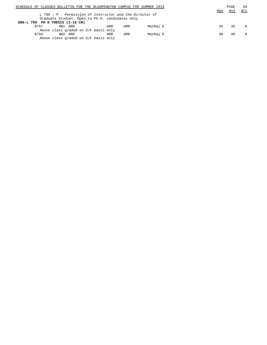| SCHEDULE OF CLASSES BULLETIN FOR THE BLOOMINGTON CAMPUS FOR SUMMER 2013 |     | PAGE | 49       |
|-------------------------------------------------------------------------|-----|------|----------|
|                                                                         | Max | Avl  | W/L      |
| L 790: $P$ - Permission of instructor and the Director of               |     |      |          |
| Graduate Studies. Open to Ph.D. candidates only                         |     |      |          |
| ENG-L 799 PH $D$ THESIS (1-16 CR)                                       |     |      |          |
| 8W1 ARR<br>8757<br>ARR<br>MacKay E<br>ARR                               | 35  | 35   | $\Omega$ |
| Above class graded on S/F basis only                                    |     |      |          |
| 8758<br>8W2 ARR<br>ARR<br>ARR<br>MacKay E                               | 40  | 40   | $\Omega$ |
| Above class graded on S/F basis only                                    |     |      |          |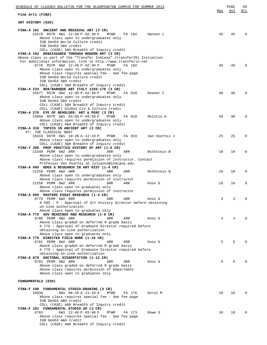| SCHEDULE OF CLASSES BULLETIN FOR THE BLOOMINGTON CAMPUS FOR SUMMER 2013                                                                                                                                                                                                                                                                                                               |            | PAGE | 50         |
|---------------------------------------------------------------------------------------------------------------------------------------------------------------------------------------------------------------------------------------------------------------------------------------------------------------------------------------------------------------------------------------|------------|------|------------|
| Fine Arts (FINA)                                                                                                                                                                                                                                                                                                                                                                      | <u>Max</u> | Avl  | <u>W/L</u> |
| ART HISTORY (020)                                                                                                                                                                                                                                                                                                                                                                     |            |      |            |
| FINA-A 101 ANCIENT AND MEDIEVAL ART (3 CR)<br>15578 RSTR 6W1 12:40 P-02:30 P<br>MTWR<br>FA 102<br>Hansen L<br>Above class open to undergraduates only<br>IUB GenEd World Culture credit<br>IUB GenEd S&H credit<br>COLL (CASE) S&H Breadth of Inquiry credit                                                                                                                          | 45         | 45   | $\Omega$   |
| FINA-A 102 RENAISSANCE THROUGH MODERN ART (3 CR)<br>Above class is part of the "Transfer Indiana" (transferIN) Initiative.<br>For additional information, link to http://www.transferin.net<br>8778 RSTR 6W2 12:40 P-02:30 P<br><b>MTWR</b><br>FA 102<br>Above class open to undergraduates only<br>Above class requires special fee - See fee page<br>IUB GenEd World Culture credit | 40         | 40   |            |
| IUB GenEd S&H credit<br>COLL (CASE) S&H Breadth of Inquiry credit<br>FINA-A 233 REN/BAROQUE ART ITALY 1250-170 (3 CR)<br>15577 RSTR 6W2 12:40 P-02:30 P<br>FA 010<br>MTWR<br>Keener C<br>Above class open to undergraduates only<br>IUB GenEd S&H credit                                                                                                                              | 40         | 40   | $\Omega$   |
| COLL (CASE) S&H Breadth of Inquiry credit<br>COLL (CASE) Global Civ & Culture credit<br>FINA-A 276 EYE OF BEHOLDER: ART & PERC (3 CR)<br>14856 RSTR 6W1 03:00 P-04:50 P<br>MTWR<br>FA 010<br>Molotiu A<br>Above class open to undergraduates only<br>COLL (CASE) A&H Breadth of Inquiry credit                                                                                        | 40         | 40   | $\Omega$   |
| FINA-A 310 TOPICS IN ANCIENT ART (3 CR)<br>VT: THE CLASSICAL BODY<br>15519 RSTR 6W1 10:20 A-12:10 P<br>MTWR<br>FA 010<br>Van Voorhis J<br>Above class open to undergraduates only<br>COLL (CASE) A&H Breadth of Inquiry credit                                                                                                                                                        | 25         | 25   | $\Omega$   |
| FINA-Y 399 PROF PRACTICE HISTORY OF ART (1-6 CR)<br>13340 PERM 6W2 ARR<br>ARR<br>ARR<br>Rothstein B<br>Above class open to undergraduates only<br>Above class requires permission of instructor. Contact                                                                                                                                                                              | 10         | 10   | $\Omega$   |
| Professor Van Voorhis at julvanvo@indiana.edu.<br>FINA-A 495 RDGS & RESEARCH IN ART HIST (1-4 CR)<br>12259 PERM 6W2 ARR<br>ARR<br>ARR<br>Rothstein B<br>Above class open to undergraduates only                                                                                                                                                                                       | 10         | 10   | 0          |
| Above class requires permission of instructor<br>12258 PERM 6W2 ARR<br>ARR<br>ARR<br>Knox G<br>Above class open to graduates only<br>Above class requires permission of instructor                                                                                                                                                                                                    | 10         | 10   | 0          |
| FINA-A 595 MASTERS ESSAY RESEARCH (1-4 CR)<br>8779 PERM 6W2 ARR<br>ARR<br>Knox G<br>ARR<br>A 595 : P - Approval of Art History Director before obtaining<br>on-line authorization<br>Above class open to graduates only                                                                                                                                                               | 3          | 3    |            |
| FINA-A 775 ADV READINGS AND RESEARCH (1-8 CR)<br>8780 PERM 6W2 ARR<br>ARR<br>ARR<br>Knox G<br>Above class graded on deferred R grade basis<br>A 775 : Approval of Graduate Director required before<br>obtaining on-line authorization                                                                                                                                                | 4          | 4    |            |
| Above class open to graduates only<br>FINA-A 779 DIRECTED FIELD WORK (1-16 CR)<br>8781 PERM 6W2 ARR<br>ARR<br>ARR<br>Knox G<br>Above class graded on deferred R grade basis<br>A 779 : Approval of Graduate Director required before                                                                                                                                                  | 5          | 5    |            |
| obtaining on-line authorization<br>FINA-A 879 DOCTORAL DISSERTATION (1-12 CR)<br>8782 PERM 6W2 ARR<br>ARR<br>ARR<br>Knox G<br>Above class graded on deferred R grade basis<br>Above class requires permission of Department<br>Above class open to graduates only                                                                                                                     | 5          | 5    |            |
| FUNDAMENTALS (030)                                                                                                                                                                                                                                                                                                                                                                    |            |      |            |
| FINA-F 100 FUNDAMENTAL STUDIO-DRAWING (3 CR)<br>10038<br>6W1 08:20 A-11:20 A<br>MTWR<br>Korol M<br>FA 176<br>Above class requires special fee - See fee page<br>IUB GenEd A&H credit<br>COLL (CASE) A&H Breadth of Inquiry credit                                                                                                                                                     | 18         | 18   |            |
| FINA-F 101 FUNDAMENTAL STUDIO-3D (3 CR)<br>8783<br>6W1 12:40 P-03:40 P<br>MTWR<br>FA 173<br>Rowe D<br>Above class requires special fee - See fee page<br>IUB GenEd A&H credit<br>COLL (CASE) A&H Breadth of Inquiry credit                                                                                                                                                            | 18         | 18   | 0          |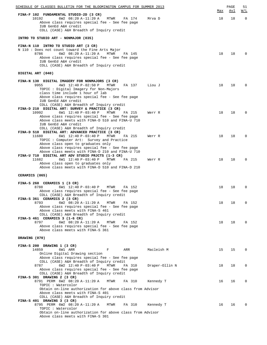| SCHEDULE OF CLASSES BULLETIN FOR THE BLOOMINGTON CAMPUS FOR SUMMER 2013                                                     |                |     | PAGE | 51             |
|-----------------------------------------------------------------------------------------------------------------------------|----------------|-----|------|----------------|
| FINA-F 102 FUNDAMENTAL STUDIO-2D (3 CR)                                                                                     |                | Max | Avl  | <u>W/L</u>     |
| 10192<br>6W2 08:20 A-11:20 A<br>MTWR<br>FA 174<br>Above class requires special fee - See fee page                           | Mrva D         | 18  | 18   | $\overline{0}$ |
| IUB GenEd A&H credit<br>COLL (CASE) A&H Breadth of Inquiry credit                                                           |                |     |      |                |
| INTRO TO STUDIO ART - NONMAJOR (035)                                                                                        |                |     |      |                |
| FINA-N 110 INTRO TO STUDIO ART (3 CR)<br>N 110: Does not count toward the Fine Arts Major                                   |                |     |      |                |
| 8786<br>6W2 08:20 A-11:20 A MTWR<br>FA 145<br>Above class requires special fee - See fee page                               |                | 18  | 18   | $\Omega$       |
| IUB GenEd A&H credit<br>COLL (CASE) A&H Breadth of Inquiry credit                                                           |                |     |      |                |
| DIGITAL ART (040)                                                                                                           |                |     |      |                |
| FINA-N 130 DIGITAL IMAGERY FOR NONMAJORS (3 CR)<br>9955<br>4W3 12:40 P-02:50 P<br>MTWR<br>FA 137                            | Liou J         | 18  | 18   | $\Omega$       |
| TOPIC: Digital Imagery for Non-Majors<br>class time include 1 hour of lab                                                   |                |     |      |                |
| Above class requires special fee - See fee page<br>IUB GenEd A&H credit                                                     |                |     |      |                |
| COLL (CASE) A&H Breadth of Inquiry credit<br>FINA-D 210 DIGITAL ART: SURVEY & PRACTICE (3 CR)                               |                |     |      |                |
| 6W1 12:40 P-03:40 P<br>10992<br>MTWR<br>FA 215                                                                              | Werr R         | 18  | 18   | $\Omega$       |
| Above class requires special fee - See fee page<br>Above class meets with FINA-D 510 and FINA-U 710<br>IUB GenEd A&H credit |                |     |      |                |
| COLL (CASE) A&H Breadth of Inquiry credit                                                                                   |                |     |      |                |
| FINA-D 510 DIGITAL ART: ADVANCED PRACTICE (3 CR)<br>11680<br>6W1 12:40 P-03:40 P<br>MTWR<br>FA 215                          | Werr R         | 18  | 18   | $\Omega$       |
| TOPIC: Computer Art: Survey and Practice<br>Above class open to graduates only                                              |                |     |      |                |
| Above class requires special fee - See fee page                                                                             |                |     |      |                |
| Above class meets with FINA-D 210 and FINA-U 710<br>FINA-U 710 DIGITAL ART ADV STUDIO PRJCTS (1-3 CR)                       |                |     |      |                |
| 6W1 12:40 P-03:40 P<br>11682<br><b>MTWR</b><br>FA 215<br>Above class open to graduates only                                 | Werr R         | 18  | 18   | $\Omega$       |
| Above class meets with FINA-D 510 and FINA-D 210                                                                            |                |     |      |                |
| CERAMICS (065)                                                                                                              |                |     |      |                |
| FINA-S 260 CERAMICS 1 (3 CR)<br>8788                                                                                        |                | 18  | 18   | 0              |
| 6W1 12:40 P-03:40 P<br>MTWR<br>FA 152<br>Above class requires special fee - See fee page                                    |                |     |      |                |
| COLL (CASE) A&H Breadth of Inquiry credit<br>FINA-S 361 CERAMICS 2 (3 CR)                                                   |                |     |      |                |
| 8793<br>6W2 08:20 A-11:20 A<br><b>MTWR</b><br>FA 152                                                                        |                | 18  | 18   | 0              |
| Above class requires special fee - See fee page<br>Above class meets with FINA-S 461                                        |                |     |      |                |
| COLL (CASE) A&H Breadth of Inquiry credit<br>FINA-S 461 CERAMICS 3 (1-6 CR)                                                 |                |     |      |                |
| 8797<br>6W2 08:20 A-11:20 A<br><b>MTWR</b><br>FA 152                                                                        |                | 18  | 18   | $\Omega$       |
| Above class requires special fee - See fee page<br>Above class meets with FINA-S 361                                        |                |     |      |                |
| DRAWING (070)                                                                                                               |                |     |      |                |
| FINA-S 200 DRAWING 1 (3 CR)                                                                                                 |                |     |      |                |
| 14859<br>6W1 ARR<br>F<br>ARR<br>Online Digital Drawing section                                                              | Macleish M     | 15  | 15   | $\Omega$       |
| Above class requires special fee - See fee page<br>COLL (CASE) A&H Breadth of Inquiry credit                                |                |     |      |                |
| 8787<br>6W2 12:40 P-03:40 P<br>MTWR<br>FA 310                                                                               | Draper-Ollin N | 18  | 18   | 0              |
| Above class requires special fee - See fee page<br>COLL (CASE) A&H Breadth of Inquiry credit                                |                |     |      |                |
| FINA-S 301 DRAWING 2 (3 CR)<br>8791 PERM 6W2 08:20 A-11:20 A<br>MTWR<br>FA 310                                              | Kennedy T      | 16  | 16   | $\Omega$       |
| TOPIC : Watercolor                                                                                                          |                |     |      |                |
| Obtain on-line authorization for above class from Advisor<br>Above class meets with FINA-S 401                              |                |     |      |                |
| COLL (CASE) A&H Breadth of Inquiry credit<br>FINA-S 401 DRAWING 3 (3 CR)                                                    |                |     |      |                |
| 8795 PERM 6W2 08:20 A-11:20 A<br>MTWR<br>FA 310                                                                             | Kennedy T      | 16  | 16   | $\Omega$       |
| TOPIC : Watercolor<br>Obtain on-line authorization for above class from Advisor                                             |                |     |      |                |
| Above class meets with FINA-S 301                                                                                           |                |     |      |                |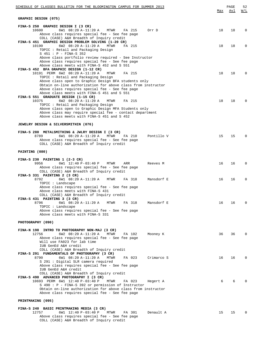| SCHEDULE OF CLASSES BULLETIN FOR THE BLOOMINGTON CAMPUS FOR SUMMER 2013                                                                                                                                                                                                                                          | Max | PAGE<br>Avl | 52<br>W/L   |
|------------------------------------------------------------------------------------------------------------------------------------------------------------------------------------------------------------------------------------------------------------------------------------------------------------------|-----|-------------|-------------|
| GRAPHIC DESIGN (075)                                                                                                                                                                                                                                                                                             |     |             |             |
| FINA-S 250 GRAPHIC DESIGN I (3 CR)<br>10600<br>6W1 08:20 A-11:20 A<br>MTWR<br>FA 215<br>Orr D<br>Above class requires special fee - See fee page                                                                                                                                                                 | 18  | 18          | $\mathbf 0$ |
| COLL (CASE) A&H Breadth of Inquiry credit<br>FINA-S 451 GRAPHIC DESIGN PROBLEM SOLVING (1-20 CR)<br>6W2 08:20 A-11:20 A<br>10190<br>MTWR<br>FA 215<br>TOPIC: Retail and Packaging Design                                                                                                                         | 18  | 18          | $\mathbf 0$ |
| S 451 : P - FINA-S 352<br>Above class portfolio review required - See Instructor<br>Above class requires special fee - See fee page<br>Above class meets with FINA-S 452 and S 551<br>FINA-S 452 BFA GRAPHIC DESIGN (1-12 CR)                                                                                    |     |             |             |
| 10191 PERM 6W2 08:20 A-11:20 A<br>MTWR<br>FA 215<br>TOPIC: Retail and Packaging Design<br>Above class open to Graphic Design BFA students only<br>Obtain on-line authorization for above class from instructor<br>Above class requires special fee - See fee page<br>Above class meets with FINA-S 451 and S 551 | 18  | 18          | $\mathbf 0$ |
| FINA-S 551 GRADUATE DESIGN (1-15 CR)<br>10375<br>6W2 08:20 A-11:20 A<br>FA 215<br>MTWR<br>TOPIC: Retail and Packaging Design<br>Above class open to Graphic Design MFA Students only<br>Above class may require special fee - contact department<br>Above class meets with FINA-S 451 and S 452                  | 18  | 18          | $\Omega$    |
| <b>JEWELRY DESIGN &amp; SILVERSMITHIN (076)</b>                                                                                                                                                                                                                                                                  |     |             |             |
| FINA-S 280 METALSMITHING & JWLRY DESIGN I (3 CR)<br>8789<br>6W1 08:20 A-11:20 A<br>MTWR<br>FA 210<br>Pontillo V<br>Above class requires special fee - See fee page<br>COLL (CASE) A&H Breadth of Inquiry credit                                                                                                  | 15  | 15          | $\Omega$    |
| PAINTING (080)                                                                                                                                                                                                                                                                                                   |     |             |             |
| FINA-S 230 PAINTING 1 (2-3 CR)<br>9956<br>6W1 12:40 P-03:40 P<br>MTWR<br>ARR<br>Reeves M<br>Above class requires special fee - See fee page<br>COLL (CASE) A&H Breadth of Inquiry credit<br>FINA-S 331 PAINTING 2 (3 CR)                                                                                         | 16  | 16          | $\mathbf 0$ |
| 8792<br>6W1 08:20 A-11:20 A<br>MTWR<br>FA 318<br>Mansdorf E<br>TOPIC : Landscape<br>Above class requires special fee - See fee page<br>Above class meets with FINA-S 431<br>COLL (CASE) A&H Breadth of Inquiry credit                                                                                            | 16  | 16          | $\mathbf 0$ |
| FINA-S 431 PAINTING 3 (3 CR)<br>8796<br>6W1 08:20 A-11:20 A<br>FA 318<br>Mansdorf E<br>MTWR<br>TOPIC : Landscape<br>Above class requires special fee - See fee page<br>Above class meets with FINA-S 331                                                                                                         | 16  | 16          | 0           |
| PHOTOGRAPHY (090)                                                                                                                                                                                                                                                                                                |     |             |             |
| FINA-N 198 INTRO TO PHOTOGRAPHY NON-MAJ (3 CR)<br>12756<br>6W2 08:20 A-11:20 A<br>MTWR<br>FA 102<br>Mooney K<br>Above class requires special fee - See fee page<br>Will use FA023 for lab time                                                                                                                   | 36  | 36          | 0           |
| IUB GenEd A&H credit<br>COLL (CASE) A&H Breadth of Inquiry credit<br>FINA-S 291 FUNDAMENTALS OF PHOTOGRAPHY (3 CR)<br>8790<br>6W1 08:20 A-11:20 A<br>FA 023<br>Crimarco S<br>MTWR<br>S 291 : Digital SLR camera required                                                                                         | 16  | 16          | $\mathbf 0$ |
| Above class requires special fee - See fee page<br>IUB GenEd A&H credit<br>COLL (CASE) A&H Breadth of Inquiry credit<br>FINA-S 490 ADVANCED PHOTOGRAPHY I (3 CR)<br>10693 PERM 6W1 12:40 P-03:40 P<br>MTWR<br>FA 023<br>Hegert A<br>S 490 : P - FINA-S 392 or permission of Instructor                           | 6   | 6           |             |
| Obtain on-line authorization for above class from instructor<br>Above class requires special fee - See fee page<br>PRINTMAKING (095)                                                                                                                                                                             |     |             |             |
| FINA-S 240 BASIC PRINTMAKING MEDIA (3 CR)                                                                                                                                                                                                                                                                        |     |             |             |
| 12757<br>6W1 12:40 P-03:40 P<br>MTWR<br>FA 301<br>Denault A<br>Above class requires special fee - See fee page<br>COLL (CASE) A&H Breadth of Inquiry credit                                                                                                                                                      | 15  | 15          | $\mathbf 0$ |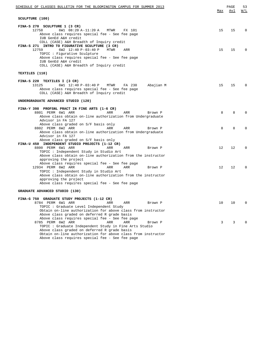| SCHEDULE OF CLASSES BULLETIN FOR THE BLOOMINGTON CAMPUS FOR SUMMER 2013                                                                                                                                                                                | Max | PAGE<br>Avl  | 53<br>W/L   |
|--------------------------------------------------------------------------------------------------------------------------------------------------------------------------------------------------------------------------------------------------------|-----|--------------|-------------|
| SCULPTURE (100)                                                                                                                                                                                                                                        |     |              |             |
| FINA-S 270 SCULPTURE 1 (3 CR)<br>12758<br>6W1 08:20 A-11:20 A<br>MTWR<br>FX 101<br>Above class requires special fee - See fee page<br>IUB GenEd A&H credit<br>COLL (CASE) A&H Breadth of Inquiry credit                                                | 15  | 15           | $\mathbf 0$ |
| FINA-S 271 INTRO TO FIGURATIVE SCULPTURE (3 CR)<br>6W2 12:40 P-03:40 P<br>12759<br>MTWR<br>ARR<br>TOPIC : Figurative Sculpture<br>Above class requires special fee - See fee page<br>IUB GenEd A&H credit<br>COLL (CASE) A&H Breadth of Inquiry credit | 15  | 15           | $\Omega$    |
| TEXTILES (110)                                                                                                                                                                                                                                         |     |              |             |
| FINA-S 220 TEXTILES I (3 CR)<br>6W1 12:40 P-03:40 P<br>13125<br>MTWR<br>FA 230<br>Abajian M<br>Above class requires special fee - See fee page<br>COLL (CASE) A&H Breadth of Inquiry credit                                                            | 15  | 15           | $\Omega$    |
| UNDERGRADUATE ADVANCED STUDIO (120)                                                                                                                                                                                                                    |     |              |             |
| FINA-Y 398 PROFSNL PRACT IN FINE ARTS (1-6 CR)<br>8801 PERM 6W1 ARR<br>ARR<br>ARR<br>Brown P<br>Above class obtain on-line authorization from Undergraduate<br>Advisor in FA 127                                                                       | 8   | 8            | $\Omega$    |
| Above class graded on S/F basis only<br>8802 PERM 6W2 ARR<br>ARR<br>ARR<br>Brown P<br>Above class obtain on-line authorization from Undergraduate                                                                                                      | 8   | 8            | $\Omega$    |
| Advisor in FA 127<br>Above class graded on S/F basis only<br>FINA-U 450 INDEPENDENT STUDIO PROJECTS (1-12 CR)<br>8800 PERM 6W1 ARR<br>ARR<br>ARR<br>Brown P<br>TOPIC: Independent Study in Studio Art                                                  | 12  | $12^{\circ}$ | $\mathbf 0$ |
| Above class obtain on-line authorization from the instructor<br>approving the project<br>Above class requires special fee - See fee page                                                                                                               |     |              |             |
| 12934 PERM 6W2 ARR<br>ARR<br>ARR<br>Brown P<br>TOPIC: Independent Study in Studio Art<br>Above class obtain on-line authorization from the instructor<br>approving the project<br>Above class requires special fee - See fee page                      | 12  | $12^{\circ}$ | $\mathbf 0$ |
| GRADUATE ADVANCED STUDIO (130)                                                                                                                                                                                                                         |     |              |             |
| FINA-G 750 GRADUATE STUDY PROJECTS (1-12 CR)<br>8784 PERM 6W1 ARR<br>ARR<br>ARR<br>Brown P<br>TOPIC: Graduate Level Independent Study<br>Obtain on-line authorization for above class from instructor<br>Above class graded on deferred R grade basis  | 10  | 10           | $\mathbf 0$ |
| Above class requires special fee - See fee page<br>8785 PERM 6W2 ARR<br>ARR<br>Brown P<br>ARR<br>TOPIC : Graduate Independent Study in Fine Arts Studio<br>Above class graded on deferred R grade basis                                                | 3   | 3            | $\Omega$    |

Obtain on-line authorization for above class from instructor

Above class requires special fee - See fee page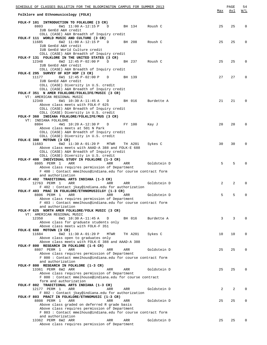| SCHEDULE OF CLASSES BULLETIN FOR THE BLOOMINGTON CAMPUS FOR SUMMER 2013                                     |     | PAGE | 54       |
|-------------------------------------------------------------------------------------------------------------|-----|------|----------|
| Folklore and Ethnomusicology (FOLK)                                                                         | Max | Avl  | W/L      |
| FOLK-F 101 INTRODUCTION TO FOLKLORE (3 CR)                                                                  |     |      |          |
| 8803<br>6W1 11:00 A-12:15 P<br>D<br>BH 134<br>Roush C<br>IUB GenEd A&H credit                               | 25  | 25   | $\Omega$ |
| COLL (CASE) A&H Breadth of Inquiry credit                                                                   |     |      |          |
| FOLK-F 111 WORLD MUSIC AND CULTURE (3 CR)                                                                   |     |      |          |
| 11685<br>6W2 11:00 A-12:15 P<br>BH 208<br>$\Box$<br>Roush C<br>IUB GenEd A&H credit                         | 25  | 25   | $\Omega$ |
| IUB GenEd World Culture credit                                                                              |     |      |          |
| COLL (CASE) A&H Breadth of Inquiry credit                                                                   |     |      |          |
| FOLK-F 131 FOLKLORE IN THE UNITED STATES (3 CR)<br>12348<br>6W2 $12:45 P-02:00 P$<br>BH 237<br>D<br>Roush C | 25  | 25   | $\Omega$ |
| IUB GenEd A&H credit                                                                                        |     |      |          |
| COLL (CASE) A&H Breadth of Inquiry credit                                                                   |     |      |          |
| FOLK-E 295 SURVEY OF HIP HOP (3 CR)<br>11177                                                                |     |      | $\Omega$ |
| 6W1 12:45 P-02:00 P D<br>BH 139<br>IUB GenEd A&H credit                                                     | 27  | 27   |          |
| COLL (CASE) Diversity in U.S. credit                                                                        |     |      |          |
| COLL (CASE) A&H Breadth of Inquiry credit                                                                   |     |      |          |
| FOLK-F 351 N AMER FOLKLORE/FOLKLIFE/MUSIC (3 CR)<br>VT: AMERICAN REGIONAL MUSIC                             |     |      |          |
| 12349<br>6W1 10:30 A-11:45 A<br>BH 016<br>D<br>Burdette A                                                   | 21  | 21   | $\Omega$ |
| Above class meets with FOLK-F 625                                                                           |     |      |          |
| COLL (CASE) A&H Breadth of Inquiry credit                                                                   |     |      |          |
| COLL (CASE) Diversity in U.S. credit<br>FOLK-F 360 INDIANA FOLKLORE/FOLKLIFE/MUS (3 CR)                     |     |      |          |
| VT: INDIANA FOLKLORE                                                                                        |     |      |          |
| 8804<br>4W1 10:20 A-12:30 P<br>FY 100<br>D<br>Kay J                                                         | 20  | 20   | $\Omega$ |
| Above class meets at 501 N Park                                                                             |     |      |          |
| COLL (CASE) A&H Breadth of Inquiry credit                                                                   |     |      |          |
| COLL (CASE) Diversity in U.S. credit<br>FOLK-E 388 MOTOWN (3 CR)                                            |     |      |          |
| 6W2 11:30 A-01:20 P<br>11683<br>MTWR<br>Sykes C<br>TH A201                                                  | 30  | 30   | $\Omega$ |
| Above class meets with AAAD-A 388 and FOLK-E 688                                                            |     |      |          |
| COLL (CASE) A&H Breadth of Inquiry credit<br>COLL (CASE) Diversity in U.S. credit                           |     |      |          |
| FOLK-F 400 INDIVIDUAL STUDY IN FOLKLORE (1-3 CR)                                                            |     |      |          |
| 8805 PERM 1<br>ARR<br>ARR<br>ARR<br>Goldstein D                                                             | 5   | 5    | $\Omega$ |
| Above class requires permission of Department                                                               |     |      |          |
| F 400: Contact mmelhous@indiana.edu for course contract form<br>and authorization                           |     |      |          |
| FOLK-F 402 TRADITIONAL ARTS INDIANA (1-3 CR)                                                                |     |      |          |
| 12763 PERM 1<br>ARR<br>ARR<br>Goldstein D<br>ARR                                                            | 2   | 2    | $\Omega$ |
| F 402: Contact jkay@indiana.edu for authorization<br>FOLK-F 403 PRAC IN FOLKLORE/ETHNOMUSICLGY (1-3 CR)     |     |      |          |
| 8806 PERM 1<br>ARR<br>ARR<br>ARR<br>Goldstein D                                                             | 5   | 5    | 0        |
| Above class requires permission of Department                                                               |     |      |          |
| F 403: Contact mmelhous@indiana.edu for course contract form                                                |     |      |          |
| and authorization<br>FOLK-F 625 NORTH AMER FOLKLORE/FOLK MUSIC (3 CR)                                       |     |      |          |
| VT: AMERICAN REGIONAL MUSIC                                                                                 |     |      |          |
| 12350<br>6W1 10:30 A-11:45 A<br>BH 016<br>Burdette A<br>D                                                   | 3   | 3    | $\Omega$ |
| Above class for graduate students only                                                                      |     |      |          |
| Above class meets with FOLK-F 351<br>FOLK-E 688 MOTOWN (3 CR)                                               |     |      |          |
| 11684<br>6W2 11:30 A-01:20 P<br>TH A201<br>Sykes C<br>MTWR                                                  | 10  | 10   | $\Omega$ |
| Above class open to graduates only                                                                          |     |      |          |
| Above class meets with FOLK-E 388 and AAAD-A 388                                                            |     |      |          |
| FOLK-F 800 RESEARCH IN FOLKLORE (1-6 CR)<br>8807 PERM 1<br>ARR<br>Goldstein D<br>ARR<br>ARR                 | 25  | 25   | $\Omega$ |
| Above class requires permission of Department                                                               |     |      |          |
| F 800: Contact mmelhous@indiana.edu for course contract form                                                |     |      |          |
| and authorization<br>FOLK-F 800 RESEARCH IN FOLKLORE (1-3 CR)                                               |     |      |          |
| 13361 PERM 6W2 ARR<br>ARR<br>ARR<br>Goldstein D                                                             | 25  | 25   | $\Omega$ |
| Above class requires permission of Department                                                               |     |      |          |
| F 800: Contact mmelhouse@indiana.edu for course contract                                                    |     |      |          |
| form and authorization<br>FOLK-F 802 TRADITIONAL ARTS INDIANA (1-3 CR)                                      |     |      |          |
| 12177 PERM 1<br>ARR<br>Goldstein D<br>ARR<br>ARR                                                            | 2   | 2    | $\Omega$ |
| F 802: Contact jkay@indiana.edu for authorization                                                           |     |      |          |
| FOLK-F 803 PRACT IN FOLKLORE/ETHNOMUSIC (1-3 CR)                                                            |     |      |          |
| 8808 PERM 1<br>ARR<br>Goldstein D<br>ARR<br>ARR<br>Above class graded on deferred R grade basis             | 25  | 25   | 0        |
| Above class requires permission of Department                                                               |     |      |          |
| F 803: Contact mmelhous@indiana.edu for course contract form                                                |     |      |          |
| and authorization<br>13362 PERM 6W2 ARR<br>Goldstein D<br>ARR<br>ARR                                        | 25  | 25   | $\Omega$ |
| Above class requires permission of Department                                                               |     |      |          |
|                                                                                                             |     |      |          |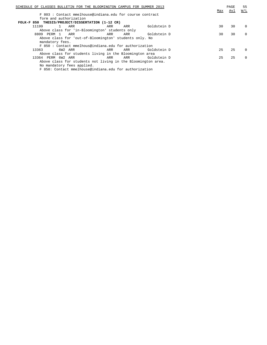| SCHEDULE OF CLASSES BULLETIN FOR THE BLOOMINGTON CAMPUS FOR SUMMER 2013 |     |     |             | Max | PAGE<br>Avl | 55<br>W/L |
|-------------------------------------------------------------------------|-----|-----|-------------|-----|-------------|-----------|
| F 803: Contact mmelhouse@indiana.edu for course contract                |     |     |             |     |             |           |
| form and authorization                                                  |     |     |             |     |             |           |
| FOLK-F 850 THESIS/PROJECT/DISSERTATION (1-12 CR)                        |     |     |             |     |             |           |
| 11199<br>ARR                                                            | ARR | ARR | Goldstein D | 30  | 30          | $\Omega$  |
| Above class for 'in-Bloomington' students only                          |     |     |             |     |             |           |
| 8809 PERM 1<br>ARR                                                      | ARR | ARR | Goldstein D | 30  | 30          | $\Omega$  |
| Above class for 'out-of-Bloomington' students only. No                  |     |     |             |     |             |           |
| mandatory fees.                                                         |     |     |             |     |             |           |
| F 850: Contact mmelhous@indiana.edu for authorization                   |     |     |             |     |             |           |
| 13363<br>6W2 ARR                                                        | ARR | ARR | Goldstein D | 25  | 25          | $\Omega$  |
| Above class for students living in the Bloomington area                 |     |     |             |     |             |           |
| 13364 PERM 6W2 ARR                                                      | ARR | ARR | Goldstein D | 25  | 25          | $\Omega$  |
| Above class for students not living in the Bloomington area.            |     |     |             |     |             |           |
| No mandatory fees applied.                                              |     |     |             |     |             |           |

F 850: Contact mmelhouse@indiana.edu for authorization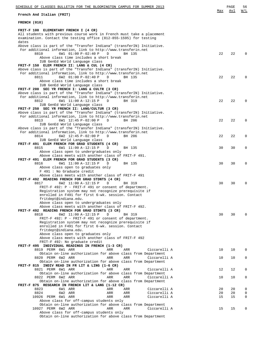| SCHEDULE OF CLASSES BULLETIN FOR THE BLOOMINGTON CAMPUS FOR SUMMER 2013                                         |     | PAGE | 56          |
|-----------------------------------------------------------------------------------------------------------------|-----|------|-------------|
| French And Italian (FRIT)                                                                                       | Max | Avl  | W/L         |
| FRENCH (010)                                                                                                    |     |      |             |
| FRIT-F 100 ELEMENTARY FRENCH I (4 CR)                                                                           |     |      |             |
| All students with previous course work in French must take a placement                                          |     |      |             |
| examination. Contact the testing office (812-855-1595) for testing                                              |     |      |             |
| dates                                                                                                           |     |      |             |
| Above class is part of the "Transfer Indiana" (transferIN) Initiative.                                          |     |      |             |
| For additional information, link to http://www.transferin.net<br>8810<br>D                                      |     |      | $\mathbf 0$ |
| 6W1 01:00 P-02:40 P<br>BH 135<br>Above class time includes a short break                                        | 22  | 22   |             |
| IUB GenEd World Language class                                                                                  |     |      |             |
| FRIT-F 150 ELEM FRENCH II: LANG & CUL (4 CR)                                                                    |     |      |             |
| Above class is part of the "Transfer Indiana" (transferIN) Initiative.                                          |     |      |             |
| For additional information, link to http://www.transferin.net                                                   |     |      |             |
| 8811<br>6W2 01:00 P-02:40 P<br>D<br>BH 135                                                                      | 22  | 22   | $\mathbf 0$ |
| Above class time includes a short break                                                                         |     |      |             |
| IUB GenEd World Language class                                                                                  |     |      |             |
| FRIT-F 200 SEC YR FRENCH I: LANG & CULTR (3 CR)                                                                 |     |      |             |
| Above class is part of the "Transfer Indiana" (transferIN) Initiative.                                          |     |      |             |
| For additional information, link to http://www.transferin.net<br>8812<br>6W1 11:00 A-12:15 P<br>D<br>BH 319     | 22  | 22   | $\mathbf 0$ |
| IUB GenEd World Language class                                                                                  |     |      |             |
| FRIT-F 250 SEC YR FRENCH II: LANG/CULTUR (3 CR)                                                                 |     |      |             |
| Above class is part of the "Transfer Indiana" (transferIN) Initiative.                                          |     |      |             |
| For additional information, link to http://www.transferin.net                                                   |     |      |             |
| 8813<br>6W1 12:45 P-02:00 P<br>D<br>BH 206                                                                      | 22  | 22   | $\mathbf 0$ |
| IUB GenEd World Language class                                                                                  |     |      |             |
| Above class is part of the "Transfer Indiana" (transferIN) Initiative.                                          |     |      |             |
| For additional information, link to http://www.transferin.net                                                   |     |      |             |
| 8814<br>6W2 12:45 P-02:00 P<br>D<br>BH 206                                                                      | 22  | 22   | $\mathbf 0$ |
| IUB GenEd World Language class<br>FRIT-F 491 ELEM FRENCH FOR GRAD STUDENTS (4 CR)                               |     |      |             |
| 8815<br>6W1 11:00 A-12:15 P<br>D<br>BH 135                                                                      | 30  | 30   | $\mathbf 0$ |
| Above class open to undergraduates only                                                                         |     |      |             |
| Above class meets with another class of FRIT-F 491.                                                             |     |      |             |
| FRIT-F 491 ELEM FRENCH FOR GRAD STUDENTS (3 CR)                                                                 |     |      |             |
| 8816<br>6W1 11:00 A-12:15 P<br>D<br>BH 135                                                                      | 30  | 30   | $\mathbf 0$ |
| Above class open to graduates only                                                                              |     |      |             |
| F 491 : No Graduate credit                                                                                      |     |      |             |
| Above class meets with another class of FRIT-F 491                                                              |     |      |             |
| FRIT-F 492 READING FRENCH FOR GRAD STDNTS (4 CR)                                                                |     |      |             |
| 8817<br>6W2 11:00 A-12:15 P<br>D<br>BH 319<br>FRIT-F 492: P - FRIT-F 491 or consent of department.              | 30  | 30   | $\mathbf 0$ |
| Registration system may not recognize prerequisite if                                                           |     |      |             |
| enrolled in F491 for first 6-wk. session. Contact                                                               |     |      |             |
| fritdept@indiana.edu.                                                                                           |     |      |             |
| Above class open to undergraduates only                                                                         |     |      |             |
| Above class meets with another class of FRIT-F 492.                                                             |     |      |             |
| FRIT-F 492 READING FRENCH FOR GRAD STDNTS (3 CR)                                                                |     |      |             |
| 8818<br>6W2 11:00 A-12:15 P<br>BH 319<br>D                                                                      | 30  | 30   | $\Omega$    |
| FRIT-F 492: P - FRIT-F 491 or consent of department.                                                            |     |      |             |
| Registration system may not recognize prerequisite if                                                           |     |      |             |
| enrolled in F491 for first 6-wk. session. Contact<br>fritdept@indiana.edu.                                      |     |      |             |
| Above class open to graduates only                                                                              |     |      |             |
| Above class meets with another class of FRIT-F 492                                                              |     |      |             |
| FRIT-F 492: No graduate credit                                                                                  |     |      |             |
| FRIT-F 495 INDIVIDUAL READINGS IN FRENCH (1-3 CR)                                                               |     |      |             |
| 8819 PERM 6W1 ARR<br>ARR<br>ARR<br>Ciccarelli A                                                                 | 10  | 10   | 0           |
| Obtain on-line authorization for above class from Department                                                    |     |      |             |
| 8820 PERM 6W2 ARR<br>ARR<br>ARR<br>Ciccarelli A                                                                 | 10  | 10   | $\mathbf 0$ |
| Obtain on-line authorization for above class from Department                                                    |     |      |             |
| FRIT-F 815 INDIV READ IN FR LIT & LING (1-6 CR)                                                                 |     |      |             |
| 8821 PERM 6W1 ARR<br>ARR<br>ARR<br>Ciccarelli A                                                                 | 12  | 12   | 0           |
| Obtain on-line authorization for above class from Department<br>8822 PERM 6W2 ARR<br>ARR<br>ARR<br>Ciccarelli A | 10  | 10   | $\mathbf 0$ |
| Obtain on-line authorization for above class from Department                                                    |     |      |             |
| FRIT-F 875 RESEARCH IN FRENCH LIT & LANG (1-12 CR)                                                              |     |      |             |
| 8823<br>6W1 ARR<br><b>ARR</b><br>Ciccarelli A<br>ARR                                                            | 20  | 20   | 0           |
| Ciccarelli A<br>8824<br>6W2 ARR<br>ARR<br>ARR                                                                   | 20  | 20   | $\mathbf 0$ |
| 10926 PERM 6W1 ARR<br>ARR<br>Ciccarelli A<br>ARR                                                                | 15  | 15   | 0           |
| Above class for off-campus students only                                                                        |     |      |             |
| Obtain on-line authorization for above class from Department                                                    |     |      |             |
| 10927 PERM 6W2 ARR<br>ARR<br>ARR<br>Ciccarelli A                                                                | 15  | 15   | 0           |
| Above class for off-campus students only<br>Obtain on-line authorization for above class from Department        |     |      |             |
|                                                                                                                 |     |      |             |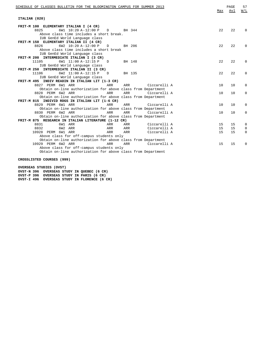| SCHEDULE OF CLASSES BULLETIN FOR THE BLOOMINGTON CAMPUS FOR SUMMER 2013                                                                                                                                                                                                                                                             | Max      | PAGE<br>Avl | 57<br>W/L |
|-------------------------------------------------------------------------------------------------------------------------------------------------------------------------------------------------------------------------------------------------------------------------------------------------------------------------------------|----------|-------------|-----------|
| ITALIAN (020)                                                                                                                                                                                                                                                                                                                       |          |             |           |
| FRIT-M 100 ELEMENTARY ITALIAN I (4 CR)                                                                                                                                                                                                                                                                                              |          |             |           |
| 8825<br>6W1 10:20 A-12:00 P<br>$\Box$<br>BH 344                                                                                                                                                                                                                                                                                     | 2.2.     | 22          | $\Omega$  |
| Above class time includes a short break.                                                                                                                                                                                                                                                                                            |          |             |           |
| IUB GenEd World Language class                                                                                                                                                                                                                                                                                                      |          |             |           |
| FRIT-M 150 ELEMENTARY ITALIAN II (4 CR)                                                                                                                                                                                                                                                                                             |          |             |           |
| 6W2 10:20 A-12:00 P<br>8826<br>BH 206<br>D                                                                                                                                                                                                                                                                                          | 22       | 22          | $\Omega$  |
| Above class time includes a short break                                                                                                                                                                                                                                                                                             |          |             |           |
| IUB GenEd World Language class                                                                                                                                                                                                                                                                                                      |          |             |           |
| FRIT-M 200 INTERMEDIATE ITALIAN I (3 CR)                                                                                                                                                                                                                                                                                            |          |             |           |
| 11105<br>6W1 11:00 A-12:15 P D<br>BH 148                                                                                                                                                                                                                                                                                            | 2.2.     | 2.2.        | $\Omega$  |
| IUB GenEd World Language class                                                                                                                                                                                                                                                                                                      |          |             |           |
| FRIT-M 250 INTERMEDIATE ITALIAN II (3 CR)                                                                                                                                                                                                                                                                                           |          |             |           |
| 6W2 11:00 A-12:15 P<br>11106<br>$\Box$<br>BH 135                                                                                                                                                                                                                                                                                    | 2.2.     | 2.2.        | $\Omega$  |
| IUB GenEd World Language class                                                                                                                                                                                                                                                                                                      |          |             |           |
| FRIT-M 495 INDIV READIN IN ITALIAN LIT (1-3 CR)                                                                                                                                                                                                                                                                                     |          |             |           |
| 8827 PERM 6W1 ARR<br>Ciccarelli A<br>ARR<br>ARR                                                                                                                                                                                                                                                                                     | 10       | 10          | 0         |
| Obtain on-line authorization for above class from Department                                                                                                                                                                                                                                                                        |          |             |           |
| 8828 PERM 6W2 ARR<br>ARR<br>ARR<br>Ciccarelli A                                                                                                                                                                                                                                                                                     | 10       | 10          | $\Omega$  |
| Obtain on-line authorization for above class from Department                                                                                                                                                                                                                                                                        |          |             |           |
| FRIT-M 815 INDIVID RDGS IN ITALIAN LIT (1-6 CR)<br>8829 PERM 6W1 ARR<br>ARR<br>ARR<br>Ciccarelli A                                                                                                                                                                                                                                  | 10       | 10          | $\Omega$  |
| Obtain on-line authorization for above class from Department                                                                                                                                                                                                                                                                        |          |             |           |
| 8830 PERM 6W2 ARR<br>Ciccarelli A<br>ARR<br>ARR                                                                                                                                                                                                                                                                                     | 10       | 10          | $\Omega$  |
| Obtain on-line authorization for above class from Department                                                                                                                                                                                                                                                                        |          |             |           |
| FRIT-M 875 RESEARCH IN ITALIAN LITERATURE (1-12 CR)                                                                                                                                                                                                                                                                                 |          |             |           |
| 8831<br>6W1 ARR<br>ARR<br>ARR<br>Ciccarelli A                                                                                                                                                                                                                                                                                       | 15       | 15          | 0         |
| Ciccarelli A<br>8832<br>6W2 ARR<br>ARR<br>ARR                                                                                                                                                                                                                                                                                       | 15       | 15          | 0         |
|                                                                                                                                                                                                                                                                                                                                     |          |             |           |
|                                                                                                                                                                                                                                                                                                                                     |          |             |           |
|                                                                                                                                                                                                                                                                                                                                     |          |             |           |
|                                                                                                                                                                                                                                                                                                                                     |          |             |           |
|                                                                                                                                                                                                                                                                                                                                     |          |             |           |
|                                                                                                                                                                                                                                                                                                                                     |          |             |           |
| 10928 PERM 6W1 ARR<br>Ciccarelli A<br>ARR<br>ARR<br>Above class for off-campus students only<br>Obtain on-line authorization for above class from Department<br>10929 PERM 6W2 ARR<br><b>ARR</b><br>Ciccarelli A<br>ARR<br>Above class for off-campus students only<br>Obtain on-line authorization for above class from Department | 15<br>15 | 15<br>15    | 0<br>0    |

**CROSSLISTED COURSES (999)**

**OVERSEAS STUDIES (OVST) OVST-N 396 OVERSEAS STUDY IN QUEBEC (6 CR) OVST-P 396 OVERSEAS STUDY IN PARIS (6 CR) OVST-I 496 OVERSEAS STUDY IN FLORENCE (6 CR)**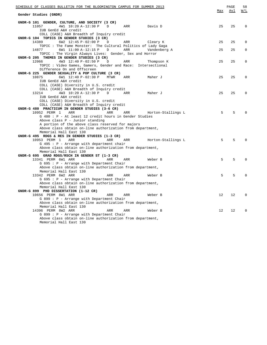| SCHEDULE OF CLASSES BULLETIN FOR THE BLOOMINGTON CAMPUS FOR SUMMER 2013 |     |                    |                   | PAGE | 58          |
|-------------------------------------------------------------------------|-----|--------------------|-------------------|------|-------------|
| Gender Studies (GNDR)                                                   |     |                    | Max               | Avl  | W/L         |
| GNDR-G 101 GENDER, CULTURE, AND SOCIETY (3 CR)                          |     |                    |                   |      |             |
| 4W1 10:20 A-12:30 P D<br>11057                                          | ARR | Davis D            | 25                | 25   | $\Omega$    |
| IUB GenEd A&H credit                                                    |     |                    |                   |      |             |
| COLL (CASE) A&H Breadth of Inquiry credit                               |     |                    |                   |      |             |
| GNDR-G 104 TOPICS IN GENDER STUDIES (3 CR)                              |     |                    |                   |      |             |
| 14389<br>6W2 12:45 P-02:00 P<br>D                                       | ARR | Cleary K           | 25                | 25   | $\Omega$    |
| TOPIC : The Fame Monster: The Cultural Politics of Lady Gaga            |     |                    |                   |      |             |
| 6W1 11:00 A-12:15 P<br>14877<br>$\Box$                                  | ARR | Vandenberg A       | 25                | 25   | $\mathbf 0$ |
| TOPIC : The Virgin Always Lives: Gender, Sex and Horror                 |     |                    |                   |      |             |
| GNDR-G 205 THEMES IN GENDER STUDIES (3 CR)                              |     |                    |                   |      |             |
| 4W3 12:40 P-02:50 P<br>12066<br>$\mathbb{D}$                            | ARR | Thompson K         | 25                | 25   | $\Omega$    |
| TOPIC : Video Games, Gamers, Gender and Race: Intersectional            |     |                    |                   |      |             |
| Difference On and Offscreen                                             |     |                    |                   |      |             |
| GNDR-G 225 GENDER SEXUALITY & POP CULTURE (3 CR)                        |     |                    |                   |      |             |
| 10875<br>6W1 12:40 P-02:30 P<br>MTWR                                    | ARR | Maher J            | 2.5               | 25   | $\Omega$    |
| IUB GenEd A&H credit                                                    |     |                    |                   |      |             |
| COLL (CASE) Diversity in U.S. credit                                    |     |                    |                   |      |             |
| COLL (CASE) A&H Breadth of Inquiry credit                               |     |                    |                   |      | $\Omega$    |
| 4W3 10:20 A-12:30 P<br>13214<br>D<br>IUB GenEd A&H credit               | ARR | Maher J            | 25                | 25   |             |
| COLL (CASE) Diversity in U.S. credit                                    |     |                    |                   |      |             |
| COLL (CASE) A&H Breadth of Inquiry credit                               |     |                    |                   |      |             |
| GNDR-G 480 PRACTICUM IN GENDER STUDIES (3-6 CR)                         |     |                    |                   |      |             |
| 10952 PERM 1<br>ARR<br>ARR                                              | ARR | Horton-Stallings L | 5                 | 5    | $\Omega$    |
| G 480 : P - At least 12 credit hours in Gender Studies                  |     |                    |                   |      |             |
| Above class P - Junior standing                                         |     |                    |                   |      |             |
| A portion of the above class reserved for majors                        |     |                    |                   |      |             |
| Above class obtain on-line authorization from department,               |     |                    |                   |      |             |
| Memorial Hall East 130                                                  |     |                    |                   |      |             |
| GNDR-G 495 RDGS & RES IN GENDER STUDIES (1-3 CR)                        |     |                    |                   |      |             |
| 10953 PERM 1<br>ARR<br>ARR                                              | ARR | Horton-Stallings L | .5                | 5    | $\Omega$    |
| $G$ 495 : P - Arrange with department chair                             |     |                    |                   |      |             |
| Above class obtain on-line authorization from department,               |     |                    |                   |      |             |
| Memorial Hall East 130                                                  |     |                    |                   |      |             |
| GNDR-G 695 GRAD RDGS/RSCH IN GENDER ST (1-3 CR)                         |     |                    |                   |      |             |
| 13341 PERM 6W1 ARR<br>ARR                                               | ARR | Weber B            | 5                 | 5    | $\Omega$    |
| G 695 : P - Arrange with Department Chair                               |     |                    |                   |      |             |
| Above class obtain on-line authorization from department,               |     |                    |                   |      |             |
| Memorial Hall East 130                                                  |     |                    | 5                 | 5    | $\Omega$    |
| 13342 PERM 6W2 ARR<br>ARR<br>G 695 : P - Arrange with Department Chair  | ARR | Weber B            |                   |      |             |
| Above class obtain on-line authorization from department,               |     |                    |                   |      |             |
| Memorial Hall East 130                                                  |     |                    |                   |      |             |
| GNDR-G 899 PHD DISSERTATION (1-12 CR)                                   |     |                    |                   |      |             |
| 10656 PERM 8W1 ARR<br>ARR                                               | ARR | Weber B            | $12 \overline{ }$ | 12   | $\Omega$    |
| G 899 : P - Arrange with Department Chair                               |     |                    |                   |      |             |
| Above class obtain on-line authorization from department,               |     |                    |                   |      |             |
| Memorial Hall East 130                                                  |     |                    |                   |      |             |
| 14396 PERM 8W2 ARR<br>ARR                                               | ARR | Weber B            | $12 \overline{ }$ | 12   | $\Omega$    |
| $G 899 : P - Arrange with Department Chair$                             |     |                    |                   |      |             |
| Above class obtain on-line authorization from department,               |     |                    |                   |      |             |
| Memorial Hall East 130                                                  |     |                    |                   |      |             |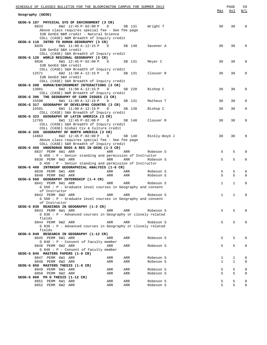| SCHEDULE OF CLASSES BULLETIN FOR THE BLOOMINGTON CAMPUS FOR SUMMER 2013                                                                                                                                                                     |                             | PAGE              | 59            |
|---------------------------------------------------------------------------------------------------------------------------------------------------------------------------------------------------------------------------------------------|-----------------------------|-------------------|---------------|
| Geography (GEOG)                                                                                                                                                                                                                            | Max                         | Avl               | W/L           |
| GEOG-G 107 PHYSICAL SYS OF ENVIRONMENT (3 CR)<br>8833<br>6W2 12:45 P-02:00 P D<br>SB 131 Wright T<br>Above class requires special fee - See fee page<br>IUB GenEd N&M credit - Natural Science<br>COLL (CASE) N&M Breadth of Inquiry credit | 30                          | 30                | $\mathbf 0$   |
| GEOG-G 110 INTRO TO HUMAN GEOGRAPHY (3 CR)<br>8835<br>6W1 11:00 A-12:15 P D SB 140<br>Savener A<br>IUB GenEd S&H credit<br>COLL (CASE) S&H Breadth of Inquiry credit                                                                        | 30                          | 30                | $\Omega$      |
| GEOG-G 120 WORLD REGIONAL GEOGRAPHY (3 CR)<br>8836<br>6W1 12:45 P-02:00 P D SB 131<br>Meyer C<br>IUB GenEd S&H credit                                                                                                                       | 30                          | 30                | 0             |
| COLL (CASE) S&H Breadth of Inquiry credit<br>6W2 11:00 A-12:15 P D SB 131 Clouser R<br>12571<br>IUB GenEd S&H credit                                                                                                                        | 30                          | 30                | $\mathbf 0$   |
| COLL (CASE) S&H Breadth of Inquiry credit<br>GEOG-G 208 HUMAN/ENVIRONMENT INTERACTIONS (3 CR)<br>13081<br>6W2 11:00 A-12:15 P D<br>SB 220<br>Bishop C                                                                                       | 30                          | 30                | 0             |
| COLL (CASE) N&M Breadth of Inquiry credit<br>GEOG-G 306 THE GEOGRAPHY OF CURR ISSUES (3 CR)<br>15590<br>6W1 11:00 A-12:15 P<br>SB 131<br>D<br>Matheus T                                                                                     | 30                          | 30                | $\Omega$      |
| GEOG-G 317 GEOGRAPHY OF DEVELOPNG COUNTRS (3 CR)<br>6W1 11:00 A-12:15 P<br>15591<br>SB 138<br>Bishop C<br>D<br>COLL (CASE) S&H Breadth of Inquiry credit                                                                                    | 30                          | 30                | 0             |
| GEOG-G 323 GEOGRAPHY OF LATIN AMERICA (3 CR)<br>12765<br>6W1 12:45 P-02:00 P D<br>SB 140<br>Clouser R<br>COLL (CASE) S&H Breadth of Inquiry credit<br>COLL (CASE) Global Civ & Culture credit                                               | 30                          | 30                | 0             |
| GEOG-G 326 GEOGRAPHY OF NORTH AMERICA (3 CR)<br>14863<br>6W2 12:45 P-02:00 P D<br>SB 140 Rickly-Boyd J<br>Above class requires special fee - See fee page                                                                                   | 30                          | 30                | 0             |
| COLL (CASE) S&H Breadth of Inquiry credit<br>GEOG-G 450 UNDERGRAD RDGS & RES IN GEOG (1-3 CR)<br>8837 PERM 6W1 ARR<br><b>Example 2</b> ARR<br>ARR<br>Robeson S                                                                              | 5                           | 5                 | 0             |
| G 450 : P - Senior standing and permission of Instructor<br>8838 PERM 6W2 ARR<br>ARR<br>ARR<br>Robeson S<br>G 450 : P - Senior standing and permission of Instructor                                                                        | 5                           | 5                 | 0             |
| GEOG-G 460 INTRNSHP GEOGRAPHICAL ANALYSIS (1-6 CR)<br>8839 PERM 6W1 ARR<br>ARR<br>ARR<br>Robeson S<br>8840 PERM 6W2 ARR<br>ARR<br>ARR<br>Robeson S                                                                                          | 5<br>5                      | 5<br>5            | 0<br>$\Omega$ |
| GEOG-G 560 GEOGRAPHY INTERNSHIP (1-4 CR)<br>8841 PERM 6W1 ARR<br>ARR<br>ARR<br>Robeson S<br>G 560 : P - Graduate level courses in Geography and consent<br>of Instructor                                                                    | $\mathbf{1}$                | $\mathbf{1}$      | 0             |
| 8842 PERM 6W2 ARR<br>ARR<br>ARR<br>Robeson S<br>G 560 : P - Graduate level courses in Geography and consent<br>of Instructor                                                                                                                | $\mathbf{1}$                | $\mathbf 1$       | $\mathbf{0}$  |
| GEOG-G 830 READINGS IN GEOGRAPHY (1-3 CR)<br>8843 PERM 6W1 ARR<br>ARR<br>ARR<br>Robeson S<br>$G 830 : P - Advanced courses in Geography or closely related$                                                                                 | 5                           | 5                 | $\Omega$      |
| fields<br>8844 PERM 6W2 ARR<br>ARR<br>ARR<br>Robeson S<br>$G 830 : P - Advanced courses in Geography or closely related$                                                                                                                    | 5                           | 5                 | 0             |
| fields<br>GEOG-G 840 RESEARCH IN GEOGRAPHY (1-12 CR)<br>8845 PERM 6W1 ARR<br>Robeson S<br>ARR<br>ARR                                                                                                                                        | 5                           | 5                 | 0             |
| $G 840 : P -$ Consent of Faculty member<br>8846 PERM 6W2 ARR<br>ARR<br>ARR<br>Robeson S<br>G 840 : P - Consent of Faculty member                                                                                                            | 5                           | 5                 | 0             |
| GEOG-G 845 MASTERS PAPERS (1-6 CR)<br>8847 PERM 6W1 ARR<br>Robeson S<br>ARR<br>ARR<br>8848 PERM 6W2 ARR<br>ARR<br>ARR<br>Robeson S                                                                                                          | $\mathbf 1$<br>$\mathbf{1}$ | 1<br>$\mathbf{1}$ | 0<br>0        |
| GEOG-G 850 MASTERS THESIS (1-6 CR)<br>8849 PERM 6W1 ARR<br>Robeson S<br>ARR<br>ARR<br>8850 PERM 6W2 ARR<br>ARR<br>ARR<br>Robeson S<br>GEOG-G 860 PH D THESIS (1-12 CR)                                                                      | 5<br>5                      | 5<br>5            | 0<br>0        |
| 8851 PERM 6W1 ARR<br>ARR<br>ARR<br>Robeson S<br>8852 PERM 6W2 ARR<br>ARR<br>ARR<br>Robeson S                                                                                                                                                | 5<br>5                      | 5<br>5            | 0<br>0        |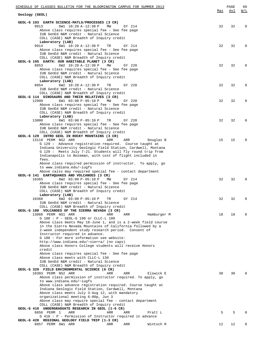| SCHEDULE OF CLASSES BULLETIN FOR THE BLOOMINGTON CAMPUS FOR SUMMER 2013                                                     | Max | PAGE<br>Avl | 60<br><u>W/L</u> |
|-----------------------------------------------------------------------------------------------------------------------------|-----|-------------|------------------|
| Geology (GEOL)                                                                                                              |     |             |                  |
| GEOL-G 103 EARTH SCIENCE-MATLS/PROCESSES (3 CR)                                                                             |     |             |                  |
| 9913<br>6W1 10:20 A-12:30 P<br>MW<br>GY 214                                                                                 | 32  | 32          | $\Omega$         |
| Above class requires special fee - See fee page<br>IUB GenEd N&M credit - Natural Science                                   |     |             |                  |
| COLL (CASE) N&M Breadth of Inquiry credit                                                                                   |     |             |                  |
| Laboratory (LAB)<br>9914<br>6W1 10:20 A-12:30 P<br>TR<br>GY 214                                                             | 32  | 32          | $\Omega$         |
| Above class requires special fee - See fee page                                                                             |     |             |                  |
| IUB GenEd N&M credit - Natural Science                                                                                      |     |             |                  |
| COLL (CASE) N&M Breadth of Inquiry credit                                                                                   |     |             |                  |
| GEOL-G 105 EARTH: OUR HABITABLE PLANET (3 CR)<br>8853<br>6W2 10:20 A-12:30 P<br>МW<br>GY 220                                | 32  | 32          | $\Omega$         |
| Above class requires special fee - See fee page                                                                             |     |             |                  |
| IUB GenEd N&M credit - Natural Science                                                                                      |     |             |                  |
| COLL (CASE) N&M Breadth of Inquiry credit<br>Laboratory (LAB)                                                               |     |             |                  |
| 8854<br>6W2 10:20 A-12:30 P<br>TR<br>GY 220                                                                                 | 32  | 32          | $\Omega$         |
| IUB GenEd N&M credit - Natural Science                                                                                      |     |             |                  |
| COLL (CASE) N&M Breadth of Inquiry credit<br>GEOL-G 114 DINOSAURS AND THEIR RELATIVES (3 CR)                                |     |             |                  |
| 12999<br>6W1 03:00 P-05:10 P<br>МW<br>GY 220                                                                                | 32  | 32          | $\Omega$         |
| Above class requires special fee - See fee page                                                                             |     |             |                  |
| IUB GenEd N&M credit - Natural Science<br>COLL (CASE) N&M Breadth of Inquiry credit                                         |     |             |                  |
| Laboratory (LAB)                                                                                                            |     |             |                  |
| 13000<br>6W1 03:00 P-05:10 P<br>TR<br>GY 220                                                                                | 32  | 32          | $\Omega$         |
| Above class requires special fee - See fee page<br>IUB GenEd N&M credit - Natural Science                                   |     |             |                  |
| COLL (CASE) N&M Breadth of Inquiry credit                                                                                   |     |             |                  |
| GEOL-G 129 INTRO GEOL IN ROCKY MOUNTAINS (3 CR)                                                                             |     |             |                  |
| 13118 PERM NS2 ARR<br>ARR<br>ARR<br>Douglas B<br>G 129 : Advance registration required. Course taught at                    | 15  | 15          | $\Omega$         |
| Indiana University Geologic Field Station, Cardwell, Montana                                                                |     |             |                  |
| G 129 : Meets July 7-21. Students will fly round trip from                                                                  |     |             |                  |
| Indianapolis to Bozeman, with cost of flight included in<br>fees.                                                           |     |             |                  |
| Above class required permission of instructor. To apply, go                                                                 |     |             |                  |
| to www.indiana.edu/~iugfs                                                                                                   |     |             |                  |
| Above calss may required special fee - contact department<br>GEOL-G 141 EARTHQUAKES AND VOLCANOES (3 CR)                    |     |             |                  |
| 10365<br>6W2 03:00 P-05:10 P<br>MW<br>GY 214                                                                                | 32  | 32          | $\Omega$         |
| Above class requires special fee - See fee page                                                                             |     |             |                  |
| IUB GenEd N&M credit - Natural Science                                                                                      |     |             |                  |
| COLL (CASE) N&M Breadth of Inquiry credit<br>Laboratory (LAB)                                                               |     |             |                  |
| 10366<br>$6W2$ 03:00 P-05:10 P<br>GY 214<br>TR                                                                              | 32  | 32          | $^{\circ}$       |
| IUB GenEd N&M credit - Natural Science                                                                                      |     |             |                  |
| COLL (CASE) N&M Breadth of Inquiry credit<br>GEOL-G 188 VOLCANOES OF THE SIERRA NEVADA (3 CR)                               |     |             |                  |
| 13060 PERM NS1 ARR<br>ARR<br>ARR<br>Hamburger M                                                                             | 18  | 18          | <sup>n</sup>     |
| G 188 : P - GEOL-G 190 or CLLC-L 100                                                                                        |     |             |                  |
| Above class meets May 18-June 1, and is a 2-week field course<br>in the Sierra Nevada Mountains of California followed by a |     |             |                  |
| 2-week independent study research period. Consent of                                                                        |     |             |                  |
| Instructor required in advance.                                                                                             |     |             |                  |
| G 188 : For more information see website:<br>http://www.indiana.edu/~sierra/ (no caps)                                      |     |             |                  |
| Above class Honors College students will receive Honors                                                                     |     |             |                  |
| credit                                                                                                                      |     |             |                  |
| Above class requires special fee - See fee page<br>Above class meets with CLLC-L 130                                        |     |             |                  |
| IUB GenEd N&M credit - Natural Science                                                                                      |     |             |                  |
| COLL (CASE) N&M Breadth of Inquiry credit                                                                                   |     |             |                  |
| GEOL-G 329 FIELD ENVIRONMENTAL SCIENCE (6 CR)<br>10303 PERM NS2 ARR<br>ARR<br>ARR<br>Elswick E                              | 30  | 30          | $\Omega$         |
| Above class permission of instructor required. To apply, go                                                                 |     |             |                  |
| to www.indiana.edu/~iugfs                                                                                                   |     |             |                  |
| Above class advance registration required. Course taught at<br>Indiana Geologic Field Station, Cardwell, Montana            |     |             |                  |
| Above class meets July 3-Aug 12, with mandatory                                                                             |     |             |                  |
| organizational meeting 6:00p, Jun 3                                                                                         |     |             |                  |
| Above class may require special fee - contact department<br>COLL (CASE) N&M Breadth of Inquiry credit                       |     |             |                  |
| GEOL-G 410 UNDERGRADUATE RESEARCH IN GEOL (1-6 CR)                                                                          |     |             |                  |
| 8856 PERM 1<br>ARR<br>ARR<br>ARR<br>Pratt L                                                                                 | 5   | 5           | <sup>n</sup>     |
| $G$ 410 : P - Permission of Instructor required in advance<br>GEOL-G 420 REGIONAL GEOLOGY FIELD TRIP (1-3 CR)               |     |             |                  |
| 8857 PERM 6W1 ARR<br>ARR<br>ARR<br>Wintsch R                                                                                | 12  | 12          | 0                |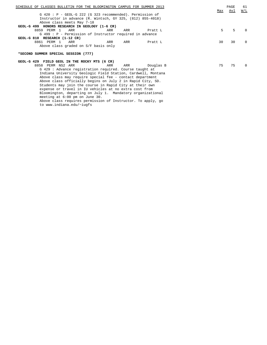| SCHEDULE OF CLASSES BULLETIN FOR THE BLOOMINGTON CAMPUS FOR SUMMER 2013 |     | PAGE | 61           |
|-------------------------------------------------------------------------|-----|------|--------------|
|                                                                         | Max | Avl  | W/L          |
| $G$ 420: P - GEOL-G 222 (G 323 recommended). Permission of              |     |      |              |
| Instructor in advance (R. Wintsch, GY 325, (812) 855-4018)              |     |      |              |
| Above class meets May 7-18                                              |     |      |              |
| GEOL-G 499 HONORS RESEARCH IN GEOLOGY (1-6 CR)                          |     |      |              |
| 8859 PERM 1<br>ARR<br>ARR<br>ARR<br>Pratt L                             | 5   | 5    |              |
| G 499 : P - Permission of Instructor required in advance                |     |      |              |
| GEOL-G 810 RESEARCH (1-12 CR)                                           |     |      |              |
| 8861 PERM 1<br>ARR<br>ARR<br>Pratt L<br>ARR                             | 30  | 30   | $\Omega$     |
| Above class graded on S/F basis only                                    |     |      |              |
|                                                                         |     |      |              |
| *SECOND SUMMER SPECIAL SESSION (777)                                    |     |      |              |
|                                                                         |     |      |              |
| GEOL-G 429 FIELD GEOL IN THE ROCKY MTS (6 CR)                           |     |      |              |
| 8858 PERM NS2 ARR<br>Douglas B<br>ARR<br>ARR                            | 75  | 75   | <sup>0</sup> |
| G 429: Advance registration required. Course taught at                  |     |      |              |
| Indiana University Geologic Field Station, Cardwell, Montana            |     |      |              |
| Above class may require special fee - contact department                |     |      |              |
| Above class officially begins on July 2 in Rapid City, SD.              |     |      |              |
| Students may join the course in Rapid City at their own                 |     |      |              |
| expense or travel in IU vehicles at no extra cost from                  |     |      |              |
|                                                                         |     |      |              |

Bloomington, departing on July 1. Mandatory organizational

meeting at 6:00 pm on June 30. Above class requires permission of Instructor. To apply, go

to www.indiana.edu/~iugfs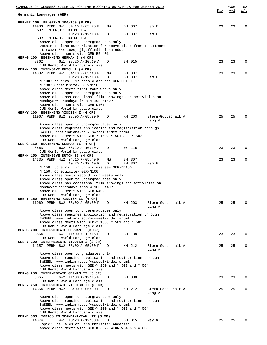| SCHEDULE OF CLASSES BULLETIN FOR THE BLOOMINGTON CAMPUS FOR SUMMER 2013                                        |     | PAGE | 62          |
|----------------------------------------------------------------------------------------------------------------|-----|------|-------------|
| Germanic Languages (GER)                                                                                       | Max | Avl  | W/L         |
| GER-BE 100 BE: GER-N 100/150 (8 CR)                                                                            |     |      |             |
| 14986 PERM 8W1 04:10 P-05:40 P<br>BH 307<br>MW<br>Ham E<br>VT: INTENSIVE DUTCH I & II                          | 23  | 23   | 0           |
| BH 307<br>$10:20 A-12:10 P$<br>D<br>Ham E                                                                      |     |      |             |
| VT: INTENSIVE DUTCH I & II<br>Above class open to undergraduates only                                          |     |      |             |
| Obtain on-line authorization for above class from department                                                   |     |      |             |
| at (812) 855-1080, jigiffin@indiana.edu.<br>Above class meets with GER-BE 401                                  |     |      |             |
| GER-G 100 BEGINNING GERMAN I (4 CR)                                                                            |     |      |             |
| 8862<br>6W1 08:20 A-10:10 A<br>BH 015<br>D<br>IUB GenEd World Language class                                   | 23  | 23   | 0           |
| GER-N 100 INTENSIVE DUTCH I (4 CR)                                                                             |     |      |             |
| 14332 PERM 4W1 04:10 P-05:40 P<br>BH 307<br>МW                                                                 | 23  | 23   | 0           |
| $10:20 A-12:10 P$<br>D<br>BH 307<br>Ham E<br>N 100: to enroll in this class see GER-BE100                      |     |      |             |
| N 100: Corequisite- GER-N150                                                                                   |     |      |             |
| Above class meets first four weeks only<br>Above class open to undergraduates only                             |     |      |             |
| Above class has occasional film showings and activities on                                                     |     |      |             |
| Mondays/Wednesdays from 4:10P-5:40P<br>Above class meets with GER-N401                                         |     |      |             |
| IUB GenEd World Language class                                                                                 |     |      |             |
| GER-Y 100 BEGINNING YIDDISH I (4 CR)                                                                           |     |      |             |
| 11967 PERM 8W2 08:00 A-05:00 P<br>D<br>KH 203<br>Stern-Gottschalk A<br>Lang A                                  | 25  | 25   | $\Omega$    |
| Above class open to undergraduates only                                                                        |     |      |             |
| Above class requires application and registration through<br>SWSEEL, www.indiana.edu/~swseel/index.shtml       |     |      |             |
| Above class meets with GER-Y 150, Y 501 and Y 502                                                              |     |      |             |
| IUB GenEd World Language class<br>GER-G 150 BEGINNING GERMAN II (4 CR)                                         |     |      |             |
| 8863<br>6W2 08:20 A-10:10 A<br>D<br>WY 115                                                                     | 23  | 23   | 0           |
| IUB GenEd World Language class                                                                                 |     |      |             |
| GER-N 150 INTENSIVE DUTCH II (4 CR)<br>14335 PERM 4W2 04:10 P-05:40 P<br>BH 307<br>ΜW                          | 23  | 23   | $\mathbf 0$ |
| $10:20 A-12:10 P$<br>D<br>BH 307<br>Ham E                                                                      |     |      |             |
| N 150: to enroll in this class see GER-BE100<br>N 150: Corequisite- GER-N100                                   |     |      |             |
| Above class meets second four weeks only                                                                       |     |      |             |
| Above class open to undergraduates only<br>Above class has occasional film showings and activities on          |     |      |             |
| Mondays/Wednesdays from 4:10P-5:40P                                                                            |     |      |             |
| Above class meets with GER-N402<br>IUB GenEd World Language class                                              |     |      |             |
| GER-Y 150 BEGINNING YIDDISH II (4 CR)                                                                          |     |      |             |
| 11969 PERM 8W2 08:00 A-05:00 P<br>Stern-Gottschalk A<br>D<br>KH 203                                            | 25  | 25   | 0           |
| Lang A<br>Above class open to undergraduates only                                                              |     |      |             |
| Above class requires application and registration through                                                      |     |      |             |
| SWSEEL, www.indiana.edu/~swseel/index.shtml<br>Above class meets with GER-Y 100, Y 501 and Y 502               |     |      |             |
| IUB GenEd World Language class                                                                                 |     |      |             |
| GER-G 200 INTERMEDIATE GERMAN I (3 CR)<br>8864<br>6W1 11:00 A-12:15 P<br>D<br>BH 138                           | 23  | 23   | 0           |
| IUB GenEd World Language class                                                                                 |     |      |             |
| GER-Y 200 INTERMEDIATE YIDDISH I (3 CR)<br>14357 PERM 8W2 08:00 A-05:00 P<br>KH 212<br>Stern-Gottschalk A<br>D | 25  | 25   | 0           |
| Lang A                                                                                                         |     |      |             |
| Above class open to graduates only<br>Above class requires application and registration through                |     |      |             |
| SWSEEL, www.indiana.edu/~swseel/index.shtml                                                                    |     |      |             |
| Above class meets with GER-Y 250 and Y 503 and Y 504                                                           |     |      |             |
| IUB GenEd World Language class<br>GER-G 250 INTERMEDIATE GERMAN II (3 CR)                                      |     |      |             |
| 8865<br>BH 330<br>6W2 11:00 A-12:15 P<br>D                                                                     | 23  | 23   | 0           |
| IUB GenEd World Language class<br>GER-Y 250 INTERMEDIATE YIDDISH II (3 CR)                                     |     |      |             |
| 14364 PERM 8W2 08:00 A-05:00 P<br>KH 212<br>Stern-Gottschalk A<br>D                                            | 25  | 25   | 0           |
| Lang A<br>Above class open to undergraduates only                                                              |     |      |             |
| Above class requires application and registration through                                                      |     |      |             |
| SWSEEL, www.indiana.edu/~swseel/index.shtml<br>Above class meets with GER-Y 200 and Y 503 and Y 504            |     |      |             |
| IUB GenEd World Language class                                                                                 |     |      |             |
| GER-E 363 TOPICS IN SCANDINAVIAN LIT (3 CR)                                                                    |     |      |             |
| 14874<br>4W1 10:20 A-12:30 P<br>D<br>BH 015<br>May G<br>Topic: The Tales of Hans Christian Andersen            | 25  | 25   | $\Omega$    |
| Above class meets with GER-K 507, WEUR-W 406 & W 605                                                           |     |      |             |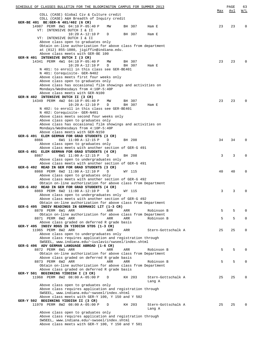| SCHEDULE OF CLASSES BULLETIN FOR THE BLOOMINGTON CAMPUS FOR SUMMER 2013                                      |     | PAGE | 63           |
|--------------------------------------------------------------------------------------------------------------|-----|------|--------------|
|                                                                                                              | Max | Avl  | <u>W/L</u>   |
| COLL (CASE) Global Civ & Culture credit<br>COLL (CASE) A&H Breadth of Inquiry credit                         |     |      |              |
| GER-BE 401 BE: GER-N 401/402 (6 CR)                                                                          |     |      |              |
| 14987 PERM 8W1 04:10 P-05:40 P<br>MW<br>BH 307<br>Ham E                                                      | 23  | 23   | $\Omega$     |
| VT: INTENSIVE DUTCH I & II                                                                                   |     |      |              |
| $10:20 A-12:10 P$<br>BH 307<br>D<br>Ham E                                                                    |     |      |              |
| VT: INTENSIVE DUTCH I & II<br>Above class open to graduates only                                             |     |      |              |
| Obtain on-line authorization for above class from department                                                 |     |      |              |
| at (812) 855-1080, jigiffin@indiana.edu.                                                                     |     |      |              |
| Above class meets with GER-BE 100                                                                            |     |      |              |
| GER-N 401 INTENSIVE DUTCH I (3 CR)                                                                           |     |      |              |
| 14341 PERM 4W1 04:10 P-05:40 P<br>ΜW<br>BH 307                                                               | 23  | 23   | $\Omega$     |
| $10:20 A-12:10 P$<br>BH 307<br>D<br>Ham E                                                                    |     |      |              |
| N 401: to enroll in this class see GER-BE401<br>N 401: Corequisite- GER-N402                                 |     |      |              |
| Above class meets first four weeks only                                                                      |     |      |              |
| Above class open to graduates only                                                                           |     |      |              |
| Above class has occasional film showings and activities on                                                   |     |      |              |
| Mondays/Wednesdays from 4:10P-5:40P                                                                          |     |      |              |
| Above class meets with GER-N100                                                                              |     |      |              |
| GER-N 402 INTENSIVE DUTCH II (3 CR)<br>BH 307                                                                |     | 23   | $\Omega$     |
| 14349 PERM 4W2 04:10 P-05:40 P<br>ΜW<br>$10:20 A-12:10 P$<br>D<br>BH 307<br>Ham E                            | 23  |      |              |
| N 402: to enroll in this class see GER-BE401                                                                 |     |      |              |
| N 402: Corequisite- GER-N401                                                                                 |     |      |              |
| Above class meets second four weeks only                                                                     |     |      |              |
| Above class open to graduates only                                                                           |     |      |              |
| Above class has occasional film showings and activities on                                                   |     |      |              |
| Mondays/Wednesdays from 4:10P-5:40P                                                                          |     |      |              |
| Above class meets with GER-N150<br>GER-G 491 ELEM GERMAN FOR GRAD STUDENTS (3 CR)                            |     |      |              |
| 8866<br>6W1 11:00 A-12:15 P<br>D<br>BH 208                                                                   | 34  | 34   | $\Omega$     |
| Above class open to graduates only                                                                           |     |      |              |
| Above class meets with another section of GER-G 491                                                          |     |      |              |
| GER-G 491 ELEM GERMAN FOR GRAD STUDENTS (4 CR)                                                               |     |      |              |
| 8867<br>6W1 11:00 A-12:15 P<br>D<br>BH 208                                                                   | 3   | 3    | $\Omega$     |
| Above class open to undergraduates only<br>Above class meets with another section of GER-G 491               |     |      |              |
| GER-G 492 READ IN GER FOR GRAD STUDENTS (3 CR)                                                               |     |      |              |
| 8868 PERM 6W2 11:00 A-12:10 P<br>D<br>WY 115                                                                 | 40  | 40   | $\Omega$     |
| Above class open to graduates only                                                                           |     |      |              |
| Above class meets with another section of GER-G 492                                                          |     |      |              |
| Obtain on-line authorization for above class from Department                                                 |     |      |              |
| GER-G 492 READ IN GER FOR GRAD STUDENTS (4 CR)                                                               |     |      |              |
| 8869 PERM 6W2 11:00 A-12:10 P<br>D<br>WY 115<br>Above class open to undergraduates only                      | 3   | 3    | $\Omega$     |
| Above class meets with another section of GER-G 492                                                          |     |      |              |
| Obtain on-line authorization for above class from Department                                                 |     |      |              |
| GER-G 495 INDIV READINGS IN GERMANIC LIT (1-3 CR)                                                            |     |      |              |
| 8870 PERM 6W1 ARR<br>ARR<br>ARR<br>Robinson B                                                                | 5   | 5    | 0            |
| Obtain on-line authorization for above class from Department                                                 |     |      |              |
| 8871 PERM 6W2 ARR<br>ARR<br>ARR<br>Robinson B                                                                | 5   | 5    | 0            |
| Above class graded on deferred R grade basis<br>GER-Y 495 INDIV RDGS IN YIDDISH STDS (1-3 CR)                |     |      |              |
| 11965 PERM 8W2 ARR<br>ARR<br>ARR<br>Stern-Gottschalk A                                                       | 25  | 25   | 0            |
| Above class open to undergraduates only                                                                      |     |      |              |
| Above class requires application and registration through                                                    |     |      |              |
| SWSEEL, www.indiana.edu/~iuslavic/swseel/index.shtml                                                         |     |      |              |
| GER-G 496 ADV GERMAN LANGUAGE ABROAD (1-6 CR)                                                                |     |      |              |
| 8872 PERM 6W1 ARR<br>ARR<br>ARR<br>Robinson B                                                                | 5   | 5    | $\Omega$     |
| Obtain on-line authorization for above class from Department<br>Above class graded on deferred R grade basis |     |      |              |
| 8873 PERM 6W2 ARR<br>ARR<br>Robinson B<br>ARR                                                                | 5   | 5    | $\Omega$     |
| Obtain on-line authorization for above class from Department                                                 |     |      |              |
| Above class graded on deferred R grade basis                                                                 |     |      |              |
| GER-Y 501 BEGINNING YIDDISH I (3 CR)                                                                         |     |      |              |
| 11968 PERM 8W2 08:00 A-05:00 P<br>Stern-Gottschalk A<br>D<br>KH 203                                          | 25  | 25   | $\Omega$     |
| Lang A                                                                                                       |     |      |              |
| Above class open to graduates only<br>Above class requires application and registration through              |     |      |              |
| SWSEEL, www.indiana.edu/~swseel/index.shtml                                                                  |     |      |              |
| Above class meets with GER-Y 100, Y 150 and Y 502                                                            |     |      |              |
| GER-Y 502 BEGINNING YIDDISH II (3 CR)                                                                        |     |      |              |
| 11970 PERM 8W2 08:00 A-05:00 P<br>KH 203<br>Stern-Gottschalk A<br>D                                          | 25  | 25   | <sup>0</sup> |
| Lang A                                                                                                       |     |      |              |
| Above class open to graduates only                                                                           |     |      |              |
| Above class requires application and registration through<br>SWSEEL, www.indiana.edu/~swseel/index.shtml     |     |      |              |
| Above class meets with GER-Y 100, Y 150 and Y 501                                                            |     |      |              |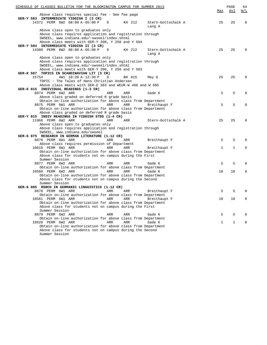| SCHEDULE OF CLASSES BULLETIN FOR THE BLOOMINGTON CAMPUS FOR SUMMER 2013                                   |     | PAGE        | 64           |
|-----------------------------------------------------------------------------------------------------------|-----|-------------|--------------|
| Above class requires special fee - See fee page                                                           | Max | Avl         | W/L          |
| GER-Y 503 INTERMEDIATE YIDDISH I (3 CR)                                                                   |     |             |              |
| 14372 PERM 8W2 08:00 A-05:00 P<br>KH 212<br>D<br>Stern-Gottschalk A<br>Lang A                             | 25  | 25          | $\mathbf 0$  |
| Above class open to graduates only                                                                        |     |             |              |
| Above class requires application and registration through                                                 |     |             |              |
| SWSEEL, www.indiana.edu/~swseel/index.shtml<br>Above class meets with GER-Y 200, Y 250 and Y 504          |     |             |              |
| GER-Y 504 INTERMEDIATE YIDDISH II (3 CR)                                                                  |     |             |              |
| 14380 PERM 8W2 08:00 A-05:00 P<br>KH 212<br>D<br>Stern-Gottschalk A<br>Lang A                             | 25  | 25          | $\Omega$     |
| Above class open to graduates only                                                                        |     |             |              |
| Above class requires application and registration through<br>SWSEEL, www.indiana.edu/~swseel/index.shtml  |     |             |              |
| Above class meets with GER-Y 200, Y 250 and Y 503                                                         |     |             |              |
| GER-K 507 TOPICS IN SCANDINAVIAN LIT (3 CR)                                                               |     |             |              |
| 4W1 10:20 A-12:30 P<br>15754<br>D<br>BH 015<br>May G                                                      | 25  | 25          | $\Omega$     |
| TOPIC: The Tales of Hans Christian Andersen                                                               |     |             |              |
| Above class meets with GER-E 363 and WEUR-W 406 and W 605<br>GER-G 815 INDIVIDUAL READINGS (1-3 CR)       |     |             |              |
| 8874 PERM 6W2 ARR<br>Gade K<br>ARR<br>ARR                                                                 | 5   | 5           | $\Omega$     |
| Above class graded on deferred R grade basis                                                              |     |             |              |
| Obtain on-line authorization for above class from Department                                              |     |             |              |
| 8875 PERM 6W1 ARR<br>ARR<br>ARR<br>Breithaupt F                                                           | 5   | 5           | $\Omega$     |
| Obtain on-line authorization for above class from Department                                              |     |             |              |
| Above class graded on deferred R grade basis<br>GER-Y 815 INDIV READINGS IN YIDDISH STDS (1-4 CR)         |     |             |              |
| 11966 PERM 8W2 ARR<br>ARR<br>ARR<br>Stern-Gottschalk A                                                    | 25  | 25          | $\Omega$     |
| Above class open to graduates only                                                                        |     |             |              |
| Above class requires application and registration through                                                 |     |             |              |
| SWSEEL, www.indiana.edu/swseel                                                                            |     |             |              |
| GER-G 875 RESEARCH IN GERMAN LITERATURE (1-12 CR)<br>8876 PERM 6W1 ARR<br>ARR<br>ARR                      | 5   | 5           | $\Omega$     |
| Breithaupt F<br>Above class requires permission of Department                                             |     |             |              |
| 10619 PERM 6W1 ARR<br>ARR<br>ARR<br>Breithaupt F                                                          | 1   | $\mathbf 1$ | 0            |
| Obtain on-line authorization for above class from Department                                              |     |             |              |
| Above class for students not on campus during the First                                                   |     |             |              |
| Summer Session                                                                                            |     |             |              |
| 8877 PERM 6W2 ARR<br>ARR<br>ARR<br>Gade K<br>Obtain on-line authorization for above class from Department | 5   | 5           | $\Omega$     |
| 10560 PERM 6W2 ARR<br>ARR<br>ARR<br>Gade K                                                                | 10  | 10          | $\Omega$     |
| Obtain on-line authorization for above class from Department                                              |     |             |              |
| Above class for students not on campus during the Second                                                  |     |             |              |
| Summer Session                                                                                            |     |             |              |
| GER-G 885 RSRCH IN GERMANIC LINGUISTICS (1-12 CR)<br>8878 PERM 6W1 ARR<br>ARR<br>ARR<br>Breithaupt F      | 5   | 5           | <sup>0</sup> |
| Obtain on-line authorization for above class from Department                                              |     |             |              |
| 10561 PERM 6W1 ARR<br>ARR<br>ARR<br>Breithaupt F                                                          | 10  | 10          |              |
| Obtain on-line authorization for above class from Department                                              |     |             |              |
| Above class for students not on campus during the First                                                   |     |             |              |
| Summer Session<br>8879 PERM 6W2 ARR<br>ARR<br>Gade K<br>ARR                                               | 5   | 5           |              |
| Obtain on-line authorization for above class from Department                                              |     |             |              |
| 10620 PERM 6W2 ARR<br>ARR<br>ARR<br>Gade K                                                                | 1   | 1           | 0            |
| Obtain on-line authorization for above class from Department                                              |     |             |              |
| Above class for students not on campus during the Second                                                  |     |             |              |
| Summer Session                                                                                            |     |             |              |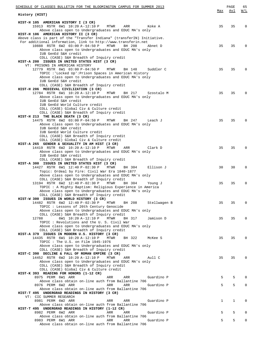| SCHEDULE OF CLASSES BULLETIN FOR THE BLOOMINGTON CAMPUS FOR SUMMER 2013                                                         |     | PAGE        | 65          |
|---------------------------------------------------------------------------------------------------------------------------------|-----|-------------|-------------|
| History (HIST)                                                                                                                  | Max | Avl         | <u>W/L</u>  |
| HIST-H 105 AMERICAN HISTORY I (3 CR)                                                                                            |     |             |             |
| 15913 RSTR 6W1 10:20 A-12:10 P<br>MTWR<br>ARR<br>Koke A                                                                         | 35  | 35          | $\mathbf 0$ |
| Above class open to Undergraduates and EDUC MA's only                                                                           |     |             |             |
| HIST-H 106 AMERICAN HISTORY II (3 CR)<br>Above class is part of the "Transfer Indiana" (transferIN) Initiative.                 |     |             |             |
| For additional information, link to http://www.transferin.net                                                                   |     |             |             |
| 10888 RSTR 6W2 03:00 P-04:50 P<br>MTWR<br>BH 208<br>Abnet D                                                                     | 35  | 35          | $\mathbf 0$ |
| Above class open to Undergraduates and EDUC MA's only                                                                           |     |             |             |
| IUB GenEd S&H credit<br>COLL (CASE) S&H Breadth of Inquiry credit                                                               |     |             |             |
| HIST-A 200 ISSUES IN UNITED STATES HIST (3 CR)                                                                                  |     |             |             |
| VT: PRISONS IN AMERICAN HISTORY                                                                                                 |     |             |             |
| 12779 RSTR 6W1 03:00 P-04:50 P<br>MTWR<br>BH 148<br>Suddler C<br>TOPIC : 'Locked Up': Prison Spaces in American History         | 35  | 35          | 0           |
| Above class open to Undergraduates and EDUC MA's only                                                                           |     |             |             |
| IUB GenEd S&H credit                                                                                                            |     |             |             |
| COLL (CASE) S&H Breadth of Inquiry credit                                                                                       |     |             |             |
| HIST-H 206 MEDIEVAL CIVILIZATION (3 CR)<br>12784 RSTR 6W1 10:20 A-12:10 P<br>MTWR<br>BH 217<br>Szostalo M                       | 35  | 35          | $\Omega$    |
| Above class open to Undergraduates and EDUC MA's only                                                                           |     |             |             |
| IUB GenEd S&H credit                                                                                                            |     |             |             |
| IUB GenEd World Culture credit                                                                                                  |     |             |             |
| COLL (CASE) Global Civ & Culture credit<br>COLL (CASE) S&H Breadth of Inquiry credit                                            |     |             |             |
| HIST-H 213 THE BLACK DEATH (3 CR)                                                                                               |     |             |             |
| 14475 RSTR 6W2 03:00 P-04:50 P<br>MTWR<br>BH 247<br>Leach J                                                                     | 35  | 35          | $\Omega$    |
| Above class open to Undergraduates and EDUC MA's only<br>IUB GenEd S&H credit                                                   |     |             |             |
| IUB GenEd World Culture credit                                                                                                  |     |             |             |
| COLL (CASE) S&H Breadth of Inquiry credit                                                                                       |     |             |             |
| COLL (CASE) Global Civ & Culture credit                                                                                         |     |             |             |
| HIST-A 265 GENDER & SEXUALITY IN AM HIST (3 CR)<br>14419 RSTR 6W2 10:20 A-12:10 P<br>MTWR<br>ARR<br>Clark D                     | 35  | 35          | $\mathbf 0$ |
| Above class open to Undergraduates and EDUC MA's only                                                                           |     |             |             |
| IUB GenEd S&H credit                                                                                                            |     |             |             |
| COLL (CASE) S&H Breadth of Inquiry credit                                                                                       |     |             |             |
| HIST-A 300 ISSUES IN UNITED STATES HIST (3 CR)<br>14427 RSTR 6W1 12:40 P-02:30 P<br>MTWR<br>Ellison J<br>BH 304                 | 30  | 30          | $\mathbf 0$ |
| Topic: Ordeal by Fire: Civil War Era 1840-1877                                                                                  |     |             |             |
| Above class open to Undergraduates and EDUC MA's only                                                                           |     |             |             |
| COLL (CASE) S&H Breadth of Inquiry credit                                                                                       |     |             |             |
| 13194 RSTR 6W2 12:40 P-02:30 P<br><b>MTWR</b><br>BH 304<br>Young J<br>TOPIC : A Mighty Baptism: Religious Experience in America | 35  | 35          | $\mathbf 0$ |
| Above class open to Undergraduates and EDUC MA's only                                                                           |     |             |             |
| COLL (CASE) S&H Breadth of Inquiry credit                                                                                       |     |             |             |
| HIST-W 300 ISSUES IN WORLD HISTORY (3 CR)<br>14482 RSTR 6W2 12:40 P-02:30 P MTWR<br>BH 208<br>Stellwagen B                      | 35  | 35          | 0           |
| TOPIC: Lessons of 20th Century Genocide                                                                                         |     |             |             |
| Above class open to Undergraduates and EDUC MA's only                                                                           |     |             |             |
| COLL (CASE) S&H Breadth of Inquiry credit                                                                                       |     |             |             |
| 12788<br>6W1 10:20 A-12:10 P<br>MTWR<br>BH 317<br>Jamison D<br>TOPIC: Revolutions and the U. S. Civil War                       | 35  | 35          | 0           |
| Above class open to Undergraduates and EDUC MA's only                                                                           |     |             |             |
| COLL (CASE) S&H Breadth of Inquiry credit                                                                                       |     |             |             |
| HIST-A 379 ISSUES IN MODERN U.S. HISTORY (3 CR)<br>14435 RSTR 6W1 10:20 A-12:10 P<br><b>MTWR</b><br>BH 322<br>McKee S           | 35  | 35          | 0           |
| TOPIC: The U.S. on Film 1945-1976                                                                                               |     |             |             |
| Above class open to Undergraduates and EDUC MA's only                                                                           |     |             |             |
| COLL (CASE) S&H Breadth of Inquiry credit                                                                                       |     |             |             |
| HIST-C 390 DECLINE & FALL OF ROMAN EMPIRE (3 CR)<br>14452 RSTR 6W2 10:20 A-12:10 P<br>MTWR<br>ARR<br>Aull C                     | 35  | 35          | $\Omega$    |
| Above class open to Undergraduates and EDUC MA's only                                                                           |     |             |             |
| COLL (CASE) S&H Breadth of Inquiry credit                                                                                       |     |             |             |
| COLL (CASE) Global Civ & Culture credit<br>HIST-K 393 READING FOR HONORS (1-12 CR)                                              |     |             |             |
| 8975 PERM 6W1 ARR<br>ARR<br>ARR<br>Guardino P                                                                                   | 5   | 5           | $\Omega$    |
| Above class obtain on-line auth from Ballantine 706                                                                             |     |             |             |
| 8976 PERM 6W2 ARR<br>ARR<br>Guardino P<br>ARR                                                                                   | 5   | 5           | 0           |
| Above class obtain on-line auth from Ballantine 706<br>HIST-T 495 UNDERGRAD READINGS IN HISTORY (3 CR)                          |     |             |             |
| VT: CIC SUMMER RESEARCH                                                                                                         |     |             |             |
| 8981 PERM 6W2 ARR<br>ARR<br>ARR<br>Guardino P                                                                                   | 1   | $\mathbf 1$ | 0           |
| Above class obtain on-line auth from Ballantine 706                                                                             |     |             |             |
| HIST-T 495 UNDERGRAD READINGS IN HISTORY (1-12 CR)<br>8982 PERM 6W2 ARR<br>ARR<br>Guardino P<br>ARR                             | 5   | 5           | 0           |
| Above class obtain on-line auth from Ballantine 706                                                                             |     |             |             |
| 8983 PERM 6W1 ARR<br>ARR<br>ARR<br>Guardino P                                                                                   | 5   | 5           | $\mathbf 0$ |
| Above class obtain on-line auth from Ballantine 706                                                                             |     |             |             |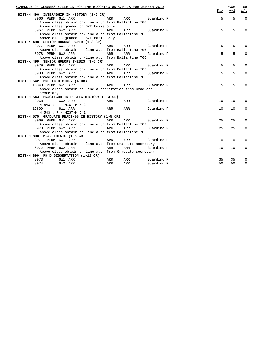| SCHEDULE OF CLASSES BULLETIN FOR THE BLOOMINGTON CAMPUS FOR SUMMER 2013 |     |                |            | Max         | PAGE<br>Avl | 66<br>W/L   |
|-------------------------------------------------------------------------|-----|----------------|------------|-------------|-------------|-------------|
| HIST-H 496 INTERNSHIP IN HISTORY (1-6 CR)                               |     |                |            |             |             |             |
| 8966 PERM 6W1 ARR<br><b>Example 2018</b>                                |     | ARR Guardino P |            | $5^{\circ}$ | 5           | $\Omega$    |
| Above class obtain on-line auth from Ballantine 706                     |     |                |            |             |             |             |
| Above class graded on S/F basis only                                    |     |                |            |             |             |             |
| 8967 PERM 6W2 ARR                                                       | ARR | ARR Guardino P |            | 5           | 5           | $\Omega$    |
| Above class obtain on-line auth from Ballantine 706                     |     |                |            |             |             |             |
| Above class graded on S/F basis only                                    |     |                |            |             |             |             |
| HIST-K 498 SENIOR HONORS PAPER (1-3 CR)                                 |     |                |            |             |             |             |
| 8977 PERM 6W1 ARR                                                       | ARR | ARR Guardino P |            | 5           | 5           | $\Omega$    |
| Above class obtain on-line auth from Ballantine 706                     |     |                |            |             |             |             |
| 8978 PERM 6W2 ARR                                                       | ARR | ARR            | Guardino P | 5           | 5           | $\Omega$    |
| Above class obtain on-line auth from Ballantine 706                     |     |                |            |             |             |             |
| HIST-K 499 SENIOR HONORS THESIS (3-6 CR)                                |     |                |            |             |             |             |
| 8979 PERM 6W1 ARR                                                       | ARR | ARR Guardino P |            | 5           | 5           | $\Omega$    |
| Above class obtain on-line auth from Ballantine 706                     |     |                |            |             |             |             |
| 8980 PERM 6W2 ARR                                                       | ARR | ARR            | Guardino P | 5           | 5           | $\Omega$    |
| Above class obtain on-line auth from Ballantine 706                     |     |                |            |             |             |             |
| HIST-H 542 PUBLIC HISTORY (4 CR)                                        |     |                |            |             |             |             |
| 10048 PERM 6W1 ARR                                                      | ARR | ARR            | Guardino P | 5           | 5           | $\Omega$    |
| Above class obtain on-line authorization from Graduate                  |     |                |            |             |             |             |
| secretary                                                               |     |                |            |             |             |             |
| HIST-H 543 PRACTICUM IN PUBLIC HISTORY (1-4 CR)                         |     |                |            |             |             |             |
| 8968<br>6W2 ARR                                                         | ARR | ARR Guardino P |            | 10          | 10          | $\Omega$    |
| H 543 : P - HIST-H 542                                                  |     |                |            |             |             |             |
| <b>ARR</b><br>12609<br>6W1 ARR                                          |     | ARR            | Guardino P | 10          | 10          | $\Omega$    |
| H 543 : P - HIST-H 542                                                  |     |                |            |             |             |             |
| HIST-H 575 GRADUATE READINGS IN HISTORY (1-5 CR)                        |     |                |            |             |             |             |
| 8969 PERM 6W1 ARR                                                       | ARR | ARR            | Guardino P | 25          | 25          | $\Omega$    |
| Above class obtain on-line auth from Ballantine 702                     |     |                |            |             |             |             |
| 8970 PERM 6W2 ARR                                                       | ARR | ARR            | Guardino P | 25          | 25          | $\Omega$    |
| Above class obtain on-line auth from Ballantine 702                     |     |                |            |             |             |             |
| HIST-H 898 M.A. THESIS (1-6 CR)                                         |     |                |            |             |             |             |
| 8971 PERM 6W1 ARR                                                       | ARR | ARR            | Guardino P | 10          | 10          | $\Omega$    |
| Above class obtain on-line auth from Graduate secretary                 |     |                |            |             |             |             |
| 8972 PERM 6W2 ARR                                                       | ARR | ARR            | Guardino P | 10          | 10          | $\mathbf 0$ |
| Above class obtain on-line auth from Graduate secretary                 |     |                |            |             |             |             |
| HIST-H 899 PH D DISSERTATION (1-12 CR)                                  |     |                |            |             |             |             |
| 6W1 ARR<br>8973                                                         | ARR | ARR            | Guardino P | 35          | 35          | $\mathbf 0$ |
| 8974<br>6W2 ARR                                                         | ARR | ARR            | Guardino P | 50          | 50          | $\mathbf 0$ |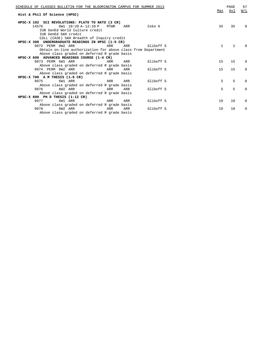| SCHEDULE OF CLASSES BULLETIN FOR THE BLOOMINGTON CAMPUS FOR SUMMER 2013 | Max          | PAGE<br>Avl  | 67<br>W/L |
|-------------------------------------------------------------------------|--------------|--------------|-----------|
| Hist & Phil Of Science (HPSC)                                           |              |              |           |
| HPSC-X 102 SCI REVOLUTIONS: PLATO TO NATO (3 CR)                        |              |              |           |
| 14576<br>6W1 10:20 A-12:10 P<br>MTWR<br>Coko K<br>ARR                   | 35           | 35           | 0         |
| IUB GenEd World Culture credit                                          |              |              |           |
| IUB GenEd S&H credit                                                    |              |              |           |
| COLL (CASE) S&H Breadth of Inquiry credit                               |              |              |           |
| HPSC-X 300 UNDERGRADUATE READINGS IN HPSC (1-5 CR)                      |              |              |           |
| 9072 PERM 8W2 ARR<br>ARR<br>Gliboff S<br>ARR                            | $\mathbf{1}$ | $\mathbf{1}$ | 0         |
| Obtain on-line authorization for above class from Department            |              |              |           |
| Above class graded on deferred R grade basis                            |              |              |           |
| HPSC-X 600 ADVANCED READINGS COURSE (1-4 CR)                            |              |              |           |
| 9073 PERM 6W1 ARR<br>Gliboff S<br>ARR<br>ARR                            | 1.5          | 15           | $\Omega$  |
| Above class graded on deferred R grade basis                            |              |              |           |
| 9074 PERM 8W2 ARR<br>Gliboff S<br>ARR<br>ARR                            | 1.5          | 15           | $\Omega$  |
| Above class graded on deferred R grade basis                            |              |              |           |
| HPSC-X 700 A M THESIS (1-6 CR)                                          |              |              |           |
| Gliboff S<br>9075<br>6W1 ARR<br>ARR<br>ARR                              | 5            | 5            | $\Omega$  |
| Above class graded on deferred R grade basis                            |              |              |           |
| 9076<br>8W2 ARR<br>Gliboff S<br>ARR<br>ARR                              | 5            | 5            | $\Omega$  |
| Above class graded on deferred R grade basis                            |              |              |           |
| HPSC-X 800 PH D THESIS (1-12 CR)                                        |              |              |           |
| Gliboff S<br>9077<br>6W1 ARR<br>ARR<br>ARR                              | 10           | 10           | $\Omega$  |
| Above class graded on deferred R grade basis                            |              |              |           |
| 9078<br>8W2 ARR<br>Gliboff S<br>ARR<br>ARR                              | 10           | 10           | $\Omega$  |
| Above class graded on deferred R grade basis                            |              |              |           |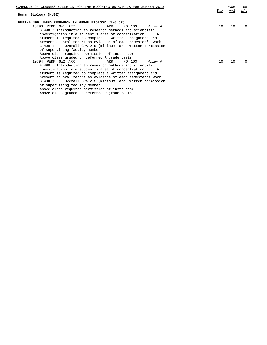| SCHEDULE OF CLASSES BULLETIN FOR THE BLOOMINGTON CAMPUS FOR SUMMER 2013 |     | PAGE       | 68                |
|-------------------------------------------------------------------------|-----|------------|-------------------|
|                                                                         | Max | <u>Avl</u> | $\underline{W/L}$ |
| Human Biology (HUBI)                                                    |     |            |                   |
| HUBI-B 490 UGRD RESEARCH IN HUMAN BIOLOGY (1-6 CR)                      |     |            |                   |
| 10793 PERM 6W1 ARR<br>Wiley A<br>ARR<br>MO 103                          | 10  | 10         | $\Omega$          |
| B 490: Introduction to research methods and scientific                  |     |            |                   |
| investigation in a student's area of concentration.                     |     |            |                   |
| student is required to complete a written assignment and                |     |            |                   |
| present an oral report as evidence of each semester's work              |     |            |                   |
| B 490: P - Overall GPA 2.5 (minimum) and written permission             |     |            |                   |
| of supervising faculty member                                           |     |            |                   |
| Above class requires permission of instructor                           |     |            |                   |
| Above class graded on deferred R grade basis                            |     |            |                   |
| 10794 PERM 6W2 ARR<br>MO 103<br>ARR<br>Wiley A                          | 10  | 10         | 0                 |
| B 490: Introduction to research methods and scientific                  |     |            |                   |
| investigation in a student's area of concentration.                     |     |            |                   |
| student is required to complete a written assignment and                |     |            |                   |
| present an oral report as evidence of each semester's work              |     |            |                   |
| B 490: P - Overall GPA 2.5 (minimum) and written permission             |     |            |                   |
| of supervising faculty member                                           |     |            |                   |
| Above class requires permission of instructor                           |     |            |                   |
| Above class graded on deferred R grade basis                            |     |            |                   |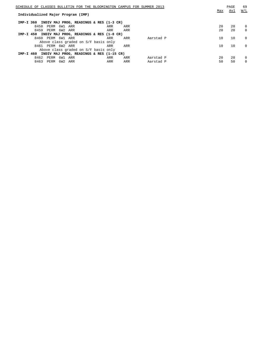| SCHEDULE OF CLASSES BULLETIN FOR THE BLOOMINGTON CAMPUS FOR SUMMER 2013 |     |     |           |     | PAGE | 69          |
|-------------------------------------------------------------------------|-----|-----|-----------|-----|------|-------------|
| Individualized Major Program (IMP)                                      |     |     |           | Max | Avl  | W/L         |
| INDIV MAJ PROG, READINGS & RES (1-3 CR)<br>IMP-I 360                    |     |     |           |     |      |             |
| 8458<br>PERM<br>6W1<br>ARR                                              | ARR | ARR |           | 20  | 20   | $\Omega$    |
| 8459<br>PERM 6W2 ARR                                                    | ARR | ARR |           | 20  | 20   | $\Omega$    |
| INDIV MAJ PROG, READINGS & RES (1-8 CR)<br>IMP-I 450                    |     |     |           |     |      |             |
| 8460<br>PERM 6W1 ARR                                                    | ARR | ARR | Aarstad P | 10  | 10   | $\Omega$    |
| Above class graded on S/F basis only                                    |     |     |           |     |      |             |
| 8461 PERM 6W2 ARR                                                       | ARR | ARR |           | 10  | 10   | $\Omega$    |
| Above class graded on S/F basis only                                    |     |     |           |     |      |             |
| INDIV MAJ PROG, READINGS & RES (1-15 CR)<br>IMP-I 460                   |     |     |           |     |      |             |
| 8462<br>6W1 ARR<br>PERM                                                 | ARR | ARR | Aarstad P | 20  | 20   | $\mathbf 0$ |
| 8463<br>6W2 ARR<br>PERM                                                 | ARR | ARR | Aarstad P | 50  | 50   | $\Omega$    |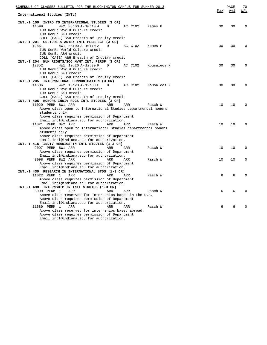| SCHEDULE OF CLASSES BULLETIN FOR THE BLOOMINGTON CAMPUS FOR SUMMER 2013                                                                                               |     | PAGE | 70       |
|-----------------------------------------------------------------------------------------------------------------------------------------------------------------------|-----|------|----------|
| International Studies (INTL)                                                                                                                                          | Max | Avl  | W/L      |
| INTL-I 100 INTRO TO INTERNATIONAL STUDIES (3 CR)<br>14599<br>4W2 08:00 A-10:10 A<br>D<br>AC C102<br>Nemes P<br>IUB GenEd World Culture credit<br>IUB GenEd S&H credit | 30  | 30   | $\Omega$ |
| COLL (CASE) S&H Breadth of Inquiry credit<br>INTL-I 201 CULTURE & ARTS: INTL PERSPECT (3 CR)<br>12851<br>4W1 08:00 A-10:10 A<br>AC C102<br>Nemes P<br>D               | 30  | 30   | $\Omega$ |
| IUB GenEd World Culture credit<br>IUB GenEd A&H credit<br>COLL (CASE) A&H Breadth of Inquiry credit                                                                   |     |      |          |
| INTL-I 204 HUM RIGHTS/SOC MVMT: INTL PERSP (3 CR)                                                                                                                     |     |      |          |
| 4W1 10:20 A-12:30 P<br>12852<br>D<br>AC C102<br>Kousaleos N<br>IUB GenEd World Culture credit<br>IUB GenEd S&H credit                                                 | 30  | 30   | $\Omega$ |
| COLL (CASE) S&H Breadth of Inquiry credit<br>INTL-I 205 INTERNATIONAL COMMUNICATION (3 CR)                                                                            |     |      |          |
| 14606<br>4W2 10:20 A-12:30 P<br>$\mathbb{D}$<br>AC C102<br>Kousaleos N<br>IUB GenEd World Culture credit                                                              | 30  | 30   | $\Omega$ |
| IUB GenEd S&H credit<br>COLL (CASE) S&H Breadth of Inquiry credit                                                                                                     |     |      |          |
| INTL-I 405 HONORS INDIV RDGS INTL STUDIES (3 CR)                                                                                                                      |     |      |          |
| 11020 PERM 8W1 ARR<br>ARR<br>ARR<br>Rasch W                                                                                                                           | 10  | 10   | $\Omega$ |
| Above class open to International Studies departmental honors<br>students only.<br>Above class requires permission of Department                                      |     |      |          |
| Email intl@indiana.edu for authorization.<br>11021 PERM 8W2 ARR<br>ARR<br>ARR<br>Rasch W                                                                              | 10  | 10   | $\Omega$ |
| Above class open to International Studies departmental honors                                                                                                         |     |      |          |
| students only.                                                                                                                                                        |     |      |          |
| Above class requires permission of Department                                                                                                                         |     |      |          |
| Email intl@indiana.edu for authorization.<br>INTL-I 415 INDIV READIGS IN INTL STUDIES (1-3 CR)                                                                        |     |      |          |
| 9097 PERM 8W1 ARR<br>ARR<br>ARR<br>Rasch W                                                                                                                            | 10  | 10   | 0        |
| Above class requires permission of Department                                                                                                                         |     |      |          |
| Email intl@indiana.edu for authorization.                                                                                                                             |     |      |          |
| 9098 PERM 8W2 ARR<br>ARR<br>ARR<br>Rasch W                                                                                                                            | 10  | 10   | $\Omega$ |
| Above class requires permission of Department                                                                                                                         |     |      |          |
| Email intl@indiana.edu for authorization.                                                                                                                             |     |      |          |
| INTL-I 430 RESEARCH IN INTERNATIONAL STDS (1-3 CR)                                                                                                                    |     |      |          |
| 11022 PERM 1<br>ARR<br>ARR<br>ARR<br>Rasch W<br>Above class requires permission of Department                                                                         | 6   | 6    | $\Omega$ |
| Email intl@indiana.edu for authorization.                                                                                                                             |     |      |          |
| INTL-I 498 INTERNSHIP IN INTL STUDIES (1-3 CR)                                                                                                                        |     |      |          |
| 9099 PERM 1<br>ARR<br>ARR<br>ARR<br>Rasch W                                                                                                                           | 6   | 6    | $\Omega$ |
| Above class reserved for internships based in the U.S.                                                                                                                |     |      |          |
| Above class requires permission of Department                                                                                                                         |     |      |          |
| Email intl@indiana.edu for authorization.                                                                                                                             |     |      |          |
| 11689 PERM 1<br>ARR<br>ARR<br>ARR<br>Rasch W                                                                                                                          | 6   | 6    | 0        |
| Above class reserved for internships based abroad.                                                                                                                    |     |      |          |
| Above class requires permission of Department<br>Email intl@indiana.edu for authorization.                                                                            |     |      |          |
|                                                                                                                                                                       |     |      |          |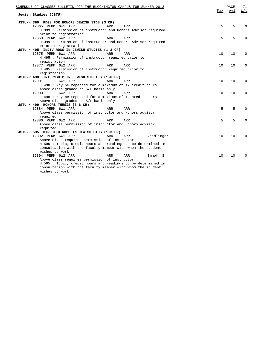| SCHEDULE OF CLASSES BULLETIN FOR THE BLOOMINGTON CAMPUS FOR SUMMER 2013 | Max | PAGE<br>Avl | 71<br>W/L |
|-------------------------------------------------------------------------|-----|-------------|-----------|
| Jewish Studies (JSTU)                                                   |     |             |           |
| JSTU-H 399 RDGS FOR HONORS JEWISH STDS (3 CR)                           |     |             |           |
| 12865 PERM 6W1 ARR<br>ARR<br>ARR                                        | 5   | 5           | $\Omega$  |
| H 399 : Permission of instructor and Honors Advisor required            |     |             |           |
| prior to registration                                                   |     |             |           |
| 12869 PERM 6W2 ARR<br>ARR<br>ARR                                        | 5   | 5           | $\Omega$  |
| H 399 : Permission of instructor and Honors Advisor required            |     |             |           |
| prior to registration                                                   |     |             |           |
| JSTU-H 495 INDIV RDGS IN JEWISH STUDIES (1-3 CR)                        |     |             |           |
| 12875 PERM 6W1 ARR<br>ARR<br>ARR                                        | 10  | 10          | $\Omega$  |
| H 495 : Permission of instructor required prior to                      |     |             |           |
| registration                                                            |     |             |           |
| 12877 PERM 6W2 ARR<br>ARR<br>ARR                                        | 10  | 10          | $\Omega$  |
| H 495 : Permission of instructor required prior to                      |     |             |           |
| registration                                                            |     |             |           |
| JSTU-P 498 INTERNSHIP IN JEWISH STUDIES (1-6 CR)                        |     |             |           |
| 12901<br>6W1 ARR<br><b>ARR</b><br>ARR                                   | 10  | 10          | $\Omega$  |
| J 498 : May be repeated for a maximum of 12 credit hours                |     |             |           |
| Above class graded on S/F basis only                                    |     |             |           |
| 6W2 ARR<br>12903<br>ARR<br>ARR                                          | 10  | 10          | $\Omega$  |
| J 498 : May be repeated for a maximum of 12 credit hours                |     |             |           |
| Above class graded on S/F basis only                                    |     |             |           |
| JSTU-H 499 HONORS THESIS (3-6 CR)                                       |     |             |           |
| 12884 PERM 6W1 ARR<br>ARR<br>ARR                                        | 5   | 5           | $\Omega$  |
| Above class permission of instructor and Honors advisor                 |     |             |           |
| required                                                                |     |             |           |
| 12886 PERM 6W2 ARR<br>ARR<br>ARR                                        | 5   | 5           | $\Omega$  |
| Above class permission of instructor and Honors advisor                 |     |             |           |
| required                                                                |     |             |           |
| JSTU-H 595 DIRECTED RDGS IN JEWISH STDS (1-3 CR)                        |     |             |           |
| 12892 PERM 6W1 ARR<br>ARR<br>ARR<br>Veidlinger J                        | 10  | 10          | $\Omega$  |
| Above class requires permission of instructor                           |     |             |           |
| H 595 : Topic, credit hours and readings to be determined in            |     |             |           |
| consultation with the faculty member with whom the student              |     |             |           |
| wishes to work                                                          |     |             |           |
| 12894 PERM 6W2 ARR<br>ARR<br>Imhoff S<br>ARR                            | 10  | 10          | $\Omega$  |
| Above class requires permission of instructor                           |     |             |           |
| H 595 : Topic, credit hours and readings to be determined in            |     |             |           |
| consultation with the faculty member with whom the student              |     |             |           |
| wishes to work                                                          |     |             |           |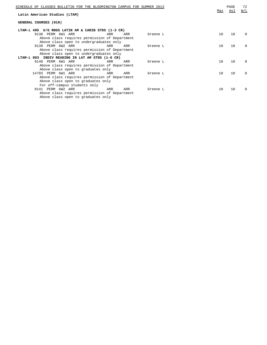| SCHEDULE OF CLASSES BULLETIN FOR THE BLOOMINGTON CAMPUS FOR SUMMER 2013 |     |     |          |     | PAGE | 72       |
|-------------------------------------------------------------------------|-----|-----|----------|-----|------|----------|
| Latin American Studies (LTAM)                                           |     |     |          | Max | Avl  | W/L      |
| GENERAL COURSES (010)                                                   |     |     |          |     |      |          |
| LTAM-L 495 U/G RDGS LATIN AM & CARIB STDS (1-3 CR)                      |     |     |          |     |      |          |
| 9138 PERM 6W1 ARR                                                       | ARR | ARR | Greene L | 10  | 10   | 0        |
| Above class requires permission of Department                           |     |     |          |     |      |          |
| Above class open to undergraduates only                                 |     |     |          |     |      |          |
| 9139 PERM 6W2 ARR                                                       | ARR | ARR | Greene L | 10  | 10   | $\Box$   |
| Above class requires permission of Department                           |     |     |          |     |      |          |
| Above class open to undergraduates only                                 |     |     |          |     |      |          |
| LTAM-L 803 INDIV READING IN LAT AM STDS (1-6 CR)                        |     |     |          |     |      |          |
| 9140 PERM 6W1 ARR                                                       | ARR | ARR | Greene L | 10  | 10   | 0        |
| Above class requires permission of Department                           |     |     |          |     |      |          |
| Above class open to graduates only                                      |     |     |          |     |      |          |
| 14703 PERM 6W1 ARR                                                      | ARR | ARR | Greene L | 10  | 10   | $\Omega$ |
| Above class requires permission of Department                           |     |     |          |     |      |          |
| Above class open to graduates only                                      |     |     |          |     |      |          |
| For off-campus students only                                            |     |     |          |     |      |          |
| 9141 PERM 6W2 ARR                                                       | ARR | ARR | Greene L | 10  | 10   | $\Box$   |
| Above class requires permission of Department                           |     |     |          |     |      |          |
| Above class open to graduates only                                      |     |     |          |     |      |          |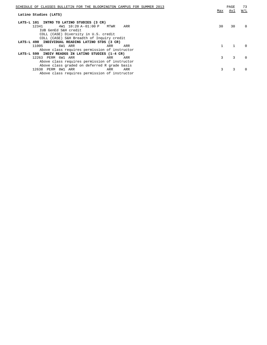| SCHEDULE OF CLASSES BULLETIN FOR THE BLOOMINGTON CAMPUS FOR SUMMER 2013 | Max | PAGE<br>Avl | 73<br>W/L |
|-------------------------------------------------------------------------|-----|-------------|-----------|
| Latino Studies (LATS)                                                   |     |             |           |
| LATS-L 101 INTRO TO LATINO STUDIES (3 CR)                               |     |             |           |
| $4W1$ 10:20 A-01:00 P<br>12341<br>MTWR<br>ARR                           | 30  | 30          | $\Omega$  |
| IUB GenEd S&H credit                                                    |     |             |           |
| COLL (CASE) Diversity in U.S. credit                                    |     |             |           |
| COLL (CASE) S&H Breadth of Inquiry credit                               |     |             |           |
| LATS-L 490 INDIVIDUAL READING LATINO STDS (3 CR)                        |     |             |           |
| 11005<br>6W1 ARR<br>ARR<br>ARR                                          |     |             | $\Omega$  |
| Above class requires permission of instructor                           |     |             |           |
| LATS-L 599 INDIV READGS IN LATINO STUDIES (1-4 CR)                      |     |             |           |
| 12263 PERM 6W1 ARR<br>ARR<br>ARR                                        | 3   | 3           | $\Omega$  |
| Above class requires permission of instructor                           |     |             |           |
| Above class graded on deferred R grade basis                            |     |             |           |
| 12638 PERM 8W1 ARR<br>ARR<br>ARR                                        | 3   |             | $\Box$    |
| Above class requires permission of instructor                           |     |             |           |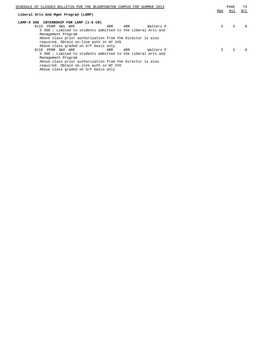| SCHEDULE OF CLASSES BULLETIN FOR THE BLOOMINGTON CAMPUS FOR SUMMER 2013 |     | <b>PAGE</b> | 74       |
|-------------------------------------------------------------------------|-----|-------------|----------|
|                                                                         | Max | Avl         | W/L      |
| Liberal Arts And Mgmt Program (LAMP)                                    |     |             |          |
| LAMP-X 398 INTERNSHIP FOR LAMP (1-6 CR)                                 |     |             |          |
| 9115 PERM 6W1 ARR<br>Walters P<br>ARR<br>ARR                            | 5.  | 5.          | $\Omega$ |
| X 398 : Limited to students admitted to the Liberal Arts and            |     |             |          |
| Management Program                                                      |     |             |          |
| Above class prior authorization from the Director is also               |     |             |          |
| required. Obtain on-line auth in WY 245                                 |     |             |          |
| Above class graded on S/F basis only                                    |     |             |          |
| Walters P<br>9116 PERM 8W2 ARR<br>ARR<br>ARR                            | 5.  | 5.          | $\Omega$ |
| X 398 : Limited to students admitted to the Liberal Arts and            |     |             |          |
| Management Program                                                      |     |             |          |
| Above class prior authorization from the Director is also               |     |             |          |
| required. Obtain on-line auth in WY 245                                 |     |             |          |

Above class graded on S/F basis only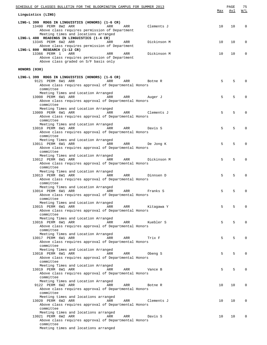| <u>SCHEDULE OF CLASSES BULLETIN FOR THE BLOOMINGTON CAMPUS FOR SUMMER 2013</u>                                                                                                          |     | PAGE | 75           |
|-----------------------------------------------------------------------------------------------------------------------------------------------------------------------------------------|-----|------|--------------|
| Linguistics (LING)                                                                                                                                                                      | Max | Avl  | W/L          |
| LING-L 399 RDGS IN LINGUISTICS (HONORS) (1-6 CR)<br>13400 PERM 8W2 ARR<br>ARR<br>Clements J<br>ARR<br>Above class requires permission of Department                                     | 10  | 10   | $\Omega$     |
| Meeting times and locations arranged<br>LING-L 408 READINGS IN LINGUISTICS (1-4 CR)<br>13345 PERM 6W2 ARR<br>Dickinson M<br>ARR<br>ARR<br>Above class requires permission of Department | 10  | 10   | 0            |
| LING-L 800 RESEARCH (1-12 CR)<br>13366 PERM 1<br>ARR<br>ARR<br>Dickinson M<br>ARR<br>Above class requires permission of Department<br>Above class graded on S/F basis only              | 10  | 10   | $\Omega$     |
| HONORS (030)                                                                                                                                                                            |     |      |              |
| LING-L 399 RDGS IN LINGUISTICS (HONORS) (1-6 CR)                                                                                                                                        |     |      |              |
| 9121 PERM 6W1 ARR<br>ARR<br>ARR<br>Botne R<br>Above class requires approval of Departmental Honors<br>committee                                                                         | 5   | 5    |              |
| Meeting Times and Location Arranged<br>13008 PERM 6W1 ARR<br>ARR<br>ARR<br>Auger J<br>Above class requires approval of Departmental Honors<br>committee                                 | 5   | 5    | <sup>0</sup> |
| Meeting Times and Location Arranged<br>13009 PERM 6W1 ARR<br>ARR<br>ARR<br>Clements J<br>Above class requires approval of Departmental Honors<br>committee                              | 5   | 5    | <sup>0</sup> |
| Meeting Times and Location Arranged<br>13010 PERM 6W1 ARR<br>ARR<br>ARR<br>Davis S<br>Above class requires approval of Departmental Honors<br>committee                                 | 5   | 5    | $\Omega$     |
| Meeting Times and Location Arranged<br>13011 PERM 6W1 ARR<br>ARR<br>ARR<br>De Jong K<br>Above class requires approval of Departmental Honors<br>committee                               | 5   | 5    | $\Omega$     |
| Meeting Times and Location Arranged<br>13012 PERM 6W1 ARR<br>ARR<br>ARR<br>Dickinson M<br>Above class requires approval of Departmental Honors<br>committee                             | 5   | 5    | $\Omega$     |
| Meeting Times and Location Arranged<br>13013 PERM 6W1 ARR<br>ARR<br>ARR<br>Dinnsen D<br>Above class requires approval of Departmental Honors                                            | 5   | 5    | $\Omega$     |
| committee<br>Meeting Times and Location Arranged<br>13014 PERM 6W1 ARR<br>ARR<br>Franks S<br>ARR<br>Above class requires approval of Departmental Honors                                | 5   | 5    |              |
| committee<br>Meeting Times and Location Arranged<br>13015 PERM 6W1 ARR ARR ARR<br>ARR Kitagawa Y<br>Above class requires approval of Departmental Honors                                | 5   | 5.   | <sup>0</sup> |
| committee<br>Meeting Times and Location Arranged<br>13016 PERM 6W1 ARR<br><b>Example 2018</b> ARR<br>ARR<br>Kuebler S<br>Above class requires approval of Departmental Honors           | 5   | 5    | $\Omega$     |
| committee<br>Meeting Times and Location Arranged<br>13017 PERM 6W1 ARR<br><b>Example 2018</b> ARR<br>ARR<br>Trix F<br>Above class requires approval of Departmental Honors              | 5   | 5    | $\Omega$     |
| committee<br>Meeting Times and Location Arranged<br>13018 PERM 6W1 ARR<br><b>Example 2018</b> ARR<br>ARR<br>Obeng S                                                                     | 5   | 5    | $\Omega$     |
| Above class requires approval of Departmental Honors<br>committee<br>Meeting Times and Location Arranged                                                                                |     |      |              |
| <b>Example 21 ARR</b><br>13019 PERM 6W1 ARR<br>ARR<br>Vance B<br>Above class requires approval of Departmental Honors<br>committee<br>Meeting Times and Location Arranged               | 5   | 5    | $\Omega$     |
| 9122 PERM 6W2 ARR<br><b>Example 2018</b> ARR<br>ARR<br>Botne R<br>Above class requires approval of Departmental Honors<br>committee                                                     | 10  | 10   | $\Omega$     |
| Meeting times and locations arranged<br>13020 PERM 6W2 ARR<br><b>Example 28 ARR</b><br>ARR<br>Clements J<br>Above class requires approval of Departmental Honors<br>committee           | 10  | 10   | $\Omega$     |
| Meeting times and locations arranged<br>13021 PERM 6W2 ARR<br><b>Example 21 ARR</b><br>ARR<br>Davis S<br>Above class requires approval of Departmental Honors<br>committee              | 10  | 10   | $\Omega$     |
| Meeting times and locations arranged                                                                                                                                                    |     |      |              |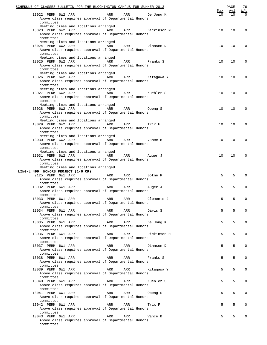| SCHEDULE OF CLASSES BULLETIN FOR THE BLOOMINGTON CAMPUS FOR SUMMER 2013                                                                                               | <u>Max</u> | PAGE<br><u>Avl</u> | 76<br><u>W/L</u> |
|-----------------------------------------------------------------------------------------------------------------------------------------------------------------------|------------|--------------------|------------------|
| 13022 PERM 6W2 ARR<br>ARR<br>ARR<br>De Jong K<br>Above class requires approval of Departmental Honors                                                                 | 10         | 10                 | $\Omega$         |
| committee<br>Meeting times and locations arranged<br>13023 PERM 6W2 ARR<br>ARR<br>ARR<br>Dickinson M                                                                  | 10         | 10                 | $\mathbf 0$      |
| Above class requires approval of Departmental Honors<br>committee<br>Meeting times and locations arranged                                                             |            |                    |                  |
| 13024 PERM 6W2 ARR<br>ARR<br>ARR<br>Dinnsen D<br>Above class requires approval of Departmental Honors<br>committee                                                    | 10         | 10                 | $\mathbf 0$      |
| Meeting times and locations arranged<br>13025 PERM 6W2 ARR<br>ARR<br>ARR<br>Franks S<br>Above class requires approval of Departmental Honors<br>committee             | 10         | 10                 | $\mathbf 0$      |
| Meeting times and locations arranged<br>13026 PERM 6W2 ARR<br>ARR<br>ARR<br>Kitagawa Y<br>Above class requires approval of Departmental Honors<br>committee           | 10         | 10                 | $\mathbf 0$      |
| Meeting times and locations arranged<br>13027 PERM 6W2 ARR<br>ARR<br>ARR<br>Kuebler S<br>Above class requires approval of Departmental Honors                         | 10         | 10                 | $\mathbf 0$      |
| committee<br>Meeting times and locations arranged<br>13028 PERM 6W2 ARR<br>ARR<br>ARR<br>Obeng S<br>Above class requires approval of Departmental Honors              | 10         | 10                 | $\mathbf 0$      |
| committee<br>Meeting times and locations arranged<br>13029 PERM 6W2 ARR<br>ARR<br>ARR<br>Trix F<br>Above class requires approval of Departmental Honors               | 10         | 10                 | $\mathbf 0$      |
| committee<br>Meeting times and locations arranged<br>13030 PERM 6W2 ARR<br>ARR<br>ARR<br>Vance B<br>Above class requires approval of Departmental Honors              | 10         | 10                 | $\mathbf 0$      |
| committee<br>Meeting times and locations arranged<br>13031 PERM 6W2 ARR<br>ARR<br>ARR<br>Auger J<br>Above class requires approval of Departmental Honors<br>committee | 10         | 10                 | $\mathbf 0$      |
| Meeting times and locations arranged<br>LING-L 499 HONORS PROJECT (1-6 CR)                                                                                            |            |                    |                  |
| 9125 PERM 6W1 ARR<br>ARR<br>ARR<br>Botne R<br>Above class requires approval of Departmental Honors<br>committee                                                       | 5          | 5                  | $\mathbf 0$      |
| 13032 PERM 6W1 ARR<br>ARR<br>ARR<br>Auger J<br>Above class requires approval of Departmental Honors                                                                   | 5          | 5                  | $\mathbf 0$      |
| committee<br>13033 PERM 6W1 ARR<br>ARR<br>ARR<br>Clements J<br>Above class requires approval of Departmental Honors                                                   | 5          | 5                  | 0                |
| committee<br>13034 PERM 6W1 ARR<br>ARR<br>ARR<br>Davis S<br>Above class requires approval of Departmental Honors                                                      | 5          | 5                  | $\mathbf 0$      |
| committee<br>13035 PERM 6W1 ARR<br>ARR<br>ARR<br>De Jong K<br>Above class requires approval of Departmental Honors                                                    | 5          | 5                  | 0                |
| committee<br>13036 PERM 6W1 ARR<br>ARR<br>ARR<br>Dickinson M                                                                                                          | 5          | 5                  | $\mathbf 0$      |
| Above class requires approval of Departmental Honors<br>committee<br>13037 PERM 6W1 ARR<br>ARR<br>ARR<br>Dinnsen D                                                    | 5          | 5                  | $\mathbf 0$      |
| Above class requires approval of Departmental Honors<br>committee<br>13038 PERM 6W1 ARR<br>ARR<br>ARR<br>Franks S                                                     | 5          | 5                  | $\mathbf 0$      |
| Above class requires approval of Departmental Honors<br>committee<br>13039 PERM 6W1 ARR<br>ARR<br>ARR<br>Kitagawa Y                                                   | 5          | 5                  | $\mathbf 0$      |
| Above class requires approval of Departmental Honors<br>committee<br>13040 PERM 6W1 ARR<br>ARR<br>ARR<br>Kuebler S                                                    | 5          | 5                  | $\mathbf 0$      |
| Above class requires approval of Departmental Honors<br>committee<br>13041 PERM 6W1 ARR<br>ARR<br>ARR<br>Obeng S                                                      | 5          | 5                  | $\mathbf 0$      |
| Above class requires approval of Departmental Honors<br>committee<br>13042 PERM 6W1 ARR<br>ARR<br>ARR<br>Trix F                                                       | 5          | 5                  | $\mathbf 0$      |
| Above class requires approval of Departmental Honors<br>committee<br>ARR<br>ARR                                                                                       | 5          | 5                  | $\Omega$         |
| 13043 PERM 6W1 ARR<br>Vance B<br>Above class requires approval of Departmental Honors<br>committee                                                                    |            |                    |                  |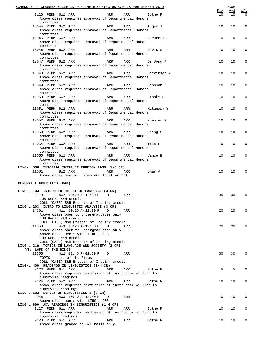| SCHEDULE OF CLASSES BULLETIN FOR THE BLOOMINGTON CAMPUS FOR SUMMER 2013                            |     | PAGE | 77  |
|----------------------------------------------------------------------------------------------------|-----|------|-----|
|                                                                                                    | Max | Avl  | W/L |
| 9126 PERM 6W2 ARR<br>ARR<br>ARR<br>Botne R<br>Above class requires approval of Departmental Honors | 10  | 10   | 0   |
| committee                                                                                          |     |      |     |
| 13044 PERM 6W2 ARR<br>ARR<br>ARR<br>Auger J                                                        | 10  | 10   | 0   |
| Above class requires approval of Departmental Honors                                               |     |      |     |
| committee                                                                                          |     |      |     |
| 13045 PERM 6W2 ARR<br>ARR<br>ARR<br>Clements J                                                     | 10  | 10   | 0   |
| Above class requires approval of Departmental Honors                                               |     |      |     |
| committee                                                                                          |     |      |     |
| 13046 PERM 6W2 ARR<br>ARR<br>ARR<br>Davis S                                                        | 10  | 10   | 0   |
| Above class requires approval of Departmental Honors                                               |     |      |     |
| committee                                                                                          |     |      |     |
| 13047 PERM 6W2 ARR<br>ARR<br>ARR<br>De Jong K                                                      | 10  | 10   | 0   |
| Above class requires approval of Departmental Honors                                               |     |      |     |
| committee                                                                                          |     |      |     |
| 13048 PERM 6W2 ARR<br>ARR<br>ARR<br>Dickinson M                                                    | 10  | 10   | 0   |
| Above class requires approval of Departmental Honors                                               |     |      |     |
| committee                                                                                          |     |      |     |
| 13049 PERM 6W2 ARR<br>ARR<br>ARR<br>Dinnsen D                                                      | 10  | 10   | 0   |
| Above class requires approval of Departmental Honors                                               |     |      |     |
| committee                                                                                          |     |      |     |
| 13050 PERM 6W2 ARR<br>ARR<br>ARR<br>Franks S                                                       | 10  | 10   | 0   |
| Above class requires approval of Departmental Honors                                               |     |      |     |
| committee                                                                                          |     |      |     |
| <b>Example 2</b> ARR<br>13051 PERM 6W2 ARR<br>ARR<br>Kitagawa Y                                    | 10  | 10   | 0   |
| Above class requires approval of Departmental Honors                                               |     |      |     |
| committee                                                                                          |     |      |     |
| 13052 PERM 6W2 ARR<br>ARR<br>ARR<br>Kuebler S                                                      | 10  | 10   | 0   |
| Above class requires approval of Departmental Honors<br>committee                                  |     |      |     |
|                                                                                                    |     | 10   |     |
| 13053 PERM 6W2 ARR<br>ARR<br>ARR<br>Obeng S                                                        | 10  |      | 0   |
| Above class requires approval of Departmental Honors                                               |     |      |     |
| committee<br>13054 PERM 6W2 ARR<br>ARR<br>ARR                                                      | 10  | 10   | 0   |
| Trix F                                                                                             |     |      |     |
| Above class requires approval of Departmental Honors<br>committee                                  |     |      |     |
| 13055 PERM 6W2 ARR<br><b>Example 2</b> ARR<br>ARR                                                  | 10  | 10   | 0   |
| Vance B<br>Above class requires approval of Departmental Honors                                    |     |      |     |
| committee                                                                                          |     |      |     |
| LING-L 506 TUTORIAL INSTRUCT FOREIGN LANG (1-6 CR)                                                 |     |      |     |
| 11001 8W2 ARR<br>ARR<br>Omar A<br>ARR                                                              | 10  | 10   | 0   |
| Above class meeting times and location TBA                                                         |     |      |     |
|                                                                                                    |     |      |     |
| GENERAL LINGUISTICS (040)                                                                          |     |      |     |
|                                                                                                    |     |      |     |
| LING-L 103 INTROD TO THE ST OF LANGUAGE (3 CR)                                                     |     |      |     |
| 9119<br>4W2 10:20 A-12:30 P<br>D<br>ARR                                                            | 30  | 30   | 0   |
| IUB GenEd S&H credit                                                                               |     |      |     |
| COLL (CASE) S&H Breadth of Inquiry credit                                                          |     |      |     |
| LING-L 203 INTRO TO LINGUISTIC ANALYSIS (3 CR)                                                     |     |      |     |
| 14661<br>4W1 10:20 A-12:30 P<br>D<br>ARR                                                           | 20  | 20   | 0   |
| Above class open to undergraduates only                                                            |     |      |     |
| IUB GenEd N&M credit                                                                               |     |      |     |
| COLL (CASE) N&M Breadth of Inquiry credit                                                          |     |      |     |
| 4W3 10:20 A-12:30 P<br>D<br>14668<br>ARR                                                           | 20  | 20   | 0   |
| Above class open to undergraduates only                                                            |     |      |     |
| Above class meets with LING-L 503                                                                  |     |      |     |
| IUB GenEd N&M credit                                                                               |     |      |     |
| COLL (CASE) N&M Breadth of Inquiry credit                                                          |     |      |     |
| LING-L 210 TOPICS IN LANGUAGE AND SOCIETY (3 CR)                                                   |     |      |     |
| VT: LORD OF THE RINGS                                                                              |     |      |     |
| 12655<br>4W2 12:40 P-02:50 P<br>D<br>ARR                                                           | 30  | 30   | 0   |
| TOPIC: Lord of the Rings                                                                           |     |      |     |
| COLL (CASE) S&H Breadth of Inquiry credit                                                          |     |      |     |
| LING-L 408 READINGS IN LINGUISTICS (1-4 CR)<br>ARR                                                 | 5   | 5    | 0   |
| 9123 PERM 6W1 ARR<br>ARR<br>Botne R<br>Above class requires permission of instructor willing to    |     |      |     |
|                                                                                                    |     |      |     |
| supervise readings<br>9124 PERM 6W2 ARR<br>ARR<br>ARR<br>Botne R                                   | 10  | 10   | 0   |
| Above class requires permission of instructor willing to                                           |     |      |     |
| supervise readings                                                                                 |     |      |     |
| LING-L 503 SURVEY OF LINGUISTICS 1 (3 CR)                                                          |     |      |     |
| 9946<br>4W3 10:20 A-12:30 P<br>ARR<br>D                                                            | 10  | 10   | 0   |
| Above class meets with LING-L 203                                                                  |     |      |     |
| LING-L 690 ADV READINGS IN LINGUISTICS (1-4 CR)                                                    |     |      |     |
| 9127 PERM 6W1 ARR<br>ARR<br>ARR<br>Botne R                                                         |     |      |     |
|                                                                                                    |     |      |     |
|                                                                                                    | 10  | 10   | 0   |
| Above class requires permission of instructor willing to                                           |     |      |     |
| supervise readings<br>9128 PERM 6W1 ARR<br>ARR<br>ARR<br>Botne R                                   | 10  | 10   | 0   |
| Above class graded on S/F basis only                                                               |     |      |     |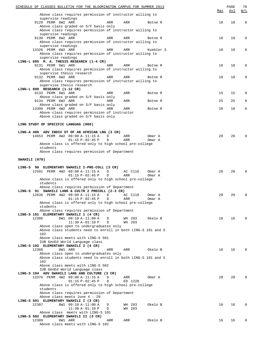| SCHEDULE OF CLASSES BULLETIN FOR THE BLOOMINGTON CAMPUS FOR SUMMER 2013                                 |     | PAGE       | 78          |
|---------------------------------------------------------------------------------------------------------|-----|------------|-------------|
| Above class requires permission of instructor willing to                                                | Max | <u>Avl</u> | W/L         |
| supervise readings                                                                                      |     |            |             |
| 9129 PERM 6W2 ARR<br>ARR<br>ARR<br>Botne R                                                              | 10  | 10         | $\mathbf 0$ |
| Above class graded on S/F basis only                                                                    |     |            |             |
| Above class requires permission of instructor willing to<br>supervise readings                          |     |            |             |
| 9130 PERM 6W2 ARR<br>ARR<br>ARR<br>Botne R                                                              | 10  | 10         | $\Omega$    |
| Above class requires permission of instructor willing to                                                |     |            |             |
| supervise readings                                                                                      |     |            |             |
| 13326 PERM 6W2 ARR<br>ARR<br>ARR<br>Kuebler S                                                           | 10  | 10         | $\Omega$    |
| Above class requires permission of instructor willing to<br>supervise readings                          |     |            |             |
| LING-L 695 M. A. THESIS RESEARCH (1-4 CR)                                                               |     |            |             |
| 9131 PERM 6W1 ARR<br>ARR<br>ARR<br>Botne R                                                              | 10  | 10         | 0           |
| Above class requires permission of instructor willing to                                                |     |            |             |
| supervise thesis research                                                                               |     |            |             |
| 9132 PERM 6W2 ARR<br>ARR<br>ARR<br>Botne R<br>Above class requires permission of instructor willing to  | 10  | 10         | 0           |
| supervise thesis research                                                                               |     |            |             |
| LING-L 800 RESEARCH (1-12 CR)                                                                           |     |            |             |
| 9133 PERM 6W1 ARR<br>ARR<br>ARR<br>Botne R                                                              | 15  | 15         | $\Omega$    |
| Above class graded on S/F basis only                                                                    |     |            |             |
| 9134 PERM 6W2 ARR<br>ARR<br>ARR<br>Botne R<br>Above class graded on S/F basis only                      | 25  | 25         | 0           |
| 13390 PERM 4W2 ARR<br>ARR<br>ARR<br>Botne R                                                             | 10  | 10         | 0           |
| Above class requires permission of instructor                                                           |     |            |             |
| Above class graded on S/F basis only                                                                    |     |            |             |
|                                                                                                         |     |            |             |
| LING STUDY OF SPECIFIC LANGUAG (060)                                                                    |     |            |             |
| LING-A 400 ADV INDIV ST OF AN AFRICAN LNG (3 CR)                                                        |     |            |             |
| 14653 PERM 4W2 09:00 A-11:15 A<br>D<br>ARR<br>Omar A                                                    | 20  | 20         | O           |
| $01:15 P-02:45 P$<br>ARR<br>Omar A<br>D                                                                 |     |            |             |
| Above class is offered only to high school pre-college                                                  |     |            |             |
| students                                                                                                |     |            |             |
| Above class requires permission of Department                                                           |     |            |             |
| SWAHILI (070)                                                                                           |     |            |             |
|                                                                                                         |     |            |             |
| LING-S 90 ELEMENTARY SWAHILI I-PRE-COLL (3 CR)                                                          |     |            |             |
| 12591 PERM 4W2 09:00 A-11:15 A<br>AC C116<br>D<br>Omar A                                                | 20  | 20         | 0           |
| $01:15 P-02:45 P$<br>D<br>ARR<br>Omar A                                                                 |     |            |             |
| Above class is offered only to high school pre-college<br>students                                      |     |            |             |
| Above class requires permission of Department                                                           |     |            |             |
| LING-S 91 SWAHILI LANG & CULTR 2 PRECOLL (2-3 CR)                                                       |     |            |             |
| 12636 PERM 4W2 09:00 A-11:15 A<br>D<br>AC C118<br>Omar A                                                | 20  | 20         | $\Omega$    |
| $01:15 P-02:45 P$<br>D<br>ARR<br>Omar A                                                                 |     |            |             |
| Above class is offered only to high school pre-college<br>students                                      |     |            |             |
| Above class requires permission of Department                                                           |     |            |             |
| LING-S 101 ELEMENTARY SWAHILI 1 (4 CR)                                                                  |     |            |             |
| 12306<br>8W1 09:10 A-11:00 A<br>WH 203<br>Okelo B<br>D                                                  | 16  | 16         | $\Omega$    |
| $11:30 A-01:10 P$<br>D<br>WH 203                                                                        |     |            |             |
| Above class open to undergraduates only<br>Above class students need to enroll in both LING-S 101 and S |     |            |             |
| 102                                                                                                     |     |            |             |
| Above class meets with LING-S 501                                                                       |     |            |             |
| IUB GenEd World Language class                                                                          |     |            |             |
| LING-S 102 ELEMENTARY SWAHILI 2 (4 CR)                                                                  |     |            |             |
| 12308<br>8W1 ARR<br>Okelo B<br>ARR<br>ARR                                                               | 16  | 16         | $\Omega$    |
| Above class open to undergraduates only<br>Above class students need to enroll in both LING-S 101 and S |     |            |             |
| 102                                                                                                     |     |            |             |
| Above class meets with LING-S 502                                                                       |     |            |             |
| IUB GenEd World Language class                                                                          |     |            |             |
| LING-S 104 ADV SWAHILI LANG AND CULTURE (3 CR)                                                          |     |            |             |
| 13376 PERM 4W2 09:00 A-11:15 A<br>D<br>ARR<br>Omar A<br>$01:15 P-02:45 P$<br>D<br>ED 1220               | 20  | 20         |             |
| Above class is offered only to high school pre-college                                                  |     |            |             |
| students                                                                                                |     |            |             |
| Above class requires permission of Department                                                           |     |            |             |
| Above class meets June 4 - 29                                                                           |     |            |             |
| LING-S 501 ELEMENTARY SWAHILI I (3 CR)                                                                  |     |            |             |
| 12307<br>8W1 09:10 A-11:00 A<br>D<br>WH 203<br>Okelo B<br>$11:30 A-01:10 P$<br>WH 203<br>D              | 16  | 16         | 0           |
| Above class meets with LING-S 101                                                                       |     |            |             |
| LING-S 502 ELEMENTARY SWAHILI II (3 CR)                                                                 |     |            |             |
| 12309<br>8W1 ARR<br>ARR<br>ARR<br>Okelo B                                                               | 16  | 16         | 0           |
| Above class meets with LING-S 102                                                                       |     |            |             |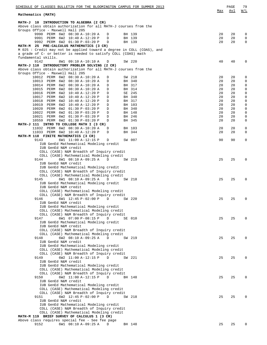| SCHEDULE OF CLASSES BULLETIN FOR THE BLOOMINGTON CAMPUS FOR SUMMER 2013                                                               |          | PAGE       | 79     |
|---------------------------------------------------------------------------------------------------------------------------------------|----------|------------|--------|
| Mathematics (MATH)                                                                                                                    | Max      | <u>Avl</u> | W/L    |
| INTRODUCTION TO ALGEBRA (2 CR)<br>MATH-J 10                                                                                           |          |            |        |
| Above class obtain authorization for all MATH-J courses from the                                                                      |          |            |        |
| Groups Office - Maxwell Hall 205                                                                                                      |          |            |        |
| 9990 PERM 6W2 08:30 A-10:20 A<br>BH 139<br>D<br>9991 PERM 6W2 10:40 A-12:20 P<br>D<br>BH 139                                          | 20<br>20 | 20<br>20   | 0<br>0 |
| 9992 PERM 6W2 01:30 P-03:20 P<br>BH 139<br>D                                                                                          | 20       | 20         | 0      |
| MATH-M 25 PRE-CALCULUS MATHEMATICS (3 CR)                                                                                             |          |            |        |
| M 025: Credit may not be applied toward a degree in COLL (COAS), and<br>a grade of C- or better is needed to satisfy COLL (COAS) math |          |            |        |
| fundamental skills.                                                                                                                   |          |            |        |
| 9142<br>8W1 09:10 A-10:10 A<br>SW 220<br>D                                                                                            | 40       | 40         | 0      |
| MATH-J 110 INTRODUCTORY PROBLEM SOLVING (2 CR)<br>Above class obtain authorization for all MATH-J courses from the                    |          |            |        |
| Groups Office - Maxwell Hall 205                                                                                                      |          |            |        |
| 10012 PERM 6W2 08:30 A-10:20 A<br>SW 218<br>D                                                                                         | 20       | 20         | 0      |
| 10013 PERM 6W2 08:30 A-10:20 A<br>BH 340<br>D                                                                                         | 20       | 20         | 0      |
| 10014 PERM<br>BH 317<br>6W2 08:30 A-10:20 A<br>D<br>10015 PERM 6W2 08:30 A-10:20 A<br>BH 314<br>D                                     | 20<br>20 | 20<br>20   | 0<br>0 |
| 10016<br>PERM<br>SE 245<br>6W2 10:40 A-12:20 P<br>D                                                                                   | 20       | 20         | 0      |
| 10017<br>PERM<br>6W2 10:40 A-12:20 P<br>BH 340<br>D                                                                                   | 20       | 20         | 0      |
| 10018<br>PERM<br>6W2 10:40 A-12:20 P<br>D<br>BH 317                                                                                   | 20       | 20         | 0      |
| 10019 PERM<br>6W2 10:40 A-12:20 P<br>BH 103<br>D<br>10020<br>PERM<br>6W2 01:30 P-03:20 P<br>BH 340<br>D                               | 20<br>20 | 20<br>20   | 0<br>0 |
| 10022 PERM<br>6W2 01:30 P-03:20 P<br>BH 148<br>D                                                                                      | 20       | 20         | 0      |
| 10021 PERM<br>6W2 01:30 P-03:20 P<br>BH 246<br>D                                                                                      | 20       | 20         | 0      |
| 10559 PERM 6W2 01:30 P-03:20 P<br>BH 345<br>D                                                                                         | 20       | 20         | 0      |
| MATH-J 111 INTRO TO COLLEGE MATH I (3 CR)<br>11032 PERM 6W2 08:30 A-10:20 A<br>BH 103<br>D                                            | 20       | 20         | 0      |
| 11033 PERM 6W2 10:40 A-12:20 P<br>BH 344<br>D                                                                                         | 20       | 20         | 0      |
| MATH-M 118 FINITE MATHEMATICS (3 CR)                                                                                                  |          |            |        |
| 9143<br>6W1 11:00 A-12:15 P<br>SW 007<br>D                                                                                            | 90       | 90         | 0      |
| IUB GenEd Mathematical Modeling credit<br>IUB GenEd N&M credit                                                                        |          |            |        |
| COLL (CASE) N&M Breadth of Inquiry credit                                                                                             |          |            |        |
| COLL (CASE) Mathematical Modeling credit                                                                                              |          |            |        |
| 9144<br>6W1 08:10 A-09:25 A<br>SW 219<br>D                                                                                            | 25       | 25         | 0      |
| IUB GenEd N&M credit<br>IUB GenEd Mathematical Modeling credit                                                                        |          |            |        |
| COLL (CASE) N&M Breadth of Inquiry credit                                                                                             |          |            |        |
| COLL (CASE) Mathematical Modeling credit                                                                                              |          |            |        |
| 6W1 08:10 A-09:25 A<br>9145<br>D<br>SW 218                                                                                            | 25       | 25         | 0      |
| IUB GenEd Mathematical Modeling credit<br>IUB GenEd N&M credit                                                                        |          |            |        |
| COLL (CASE) Mathematical Modeling credit                                                                                              |          |            |        |
| COLL (CASE) N&M Breadth of Inquiry credit                                                                                             |          |            |        |
| 9146 6W1 12:45 P-02:00 P D SW 220<br>IUB GenEd N&M credit                                                                             | 25       | 25         | U      |
| IUB GenEd Mathematical Modeling credit                                                                                                |          |            |        |
| COLL (CASE) Mathematical Modeling credit                                                                                              |          |            |        |
| COLL (CASE) N&M Breadth of Inquiry credit                                                                                             |          |            |        |
| 6W1 07:00 P-08:15 P<br>9147<br>D<br>SE 010<br>IUB GenEd Mathematical Modeling credit                                                  | 25       | 25         | 0      |
| IUB GenEd N&M credit                                                                                                                  |          |            |        |
| COLL (CASE) N&M Breadth of Inquiry credit                                                                                             |          |            |        |
| COLL (CASE) Mathematical Modeling credit                                                                                              |          |            | 0      |
| 9148<br>6W2 08:10 A-09:25 A<br>D<br>SW 219<br>IUB GenEd N&M credit                                                                    | 25       | 25         |        |
| IUB GenEd Mathematical Modeling credit                                                                                                |          |            |        |
| COLL (CASE) Mathematical Modeling credit                                                                                              |          |            |        |
| COLL (CASE) N&M Breadth of Inquiry credit<br>9149<br>6W2 11:00 A-12:15 P<br>D<br>SW 221                                               | 25       | 25         | 0      |
| IUB GenEd N&M credit                                                                                                                  |          |            |        |
| IUB GenEd Mathematical Modeling credit                                                                                                |          |            |        |
| COLL (CASE) Mathematical Modeling credit                                                                                              |          |            |        |
| COLL (CASE) N&M Breadth of Inquiry credit<br>6W2 11:00 A-12:15 P<br>9150<br>D<br>BH 148                                               | 25       | 25         | 0      |
| IUB GenEd N&M credit                                                                                                                  |          |            |        |
| IUB GenEd Mathematical Modeling credit                                                                                                |          |            |        |
| COLL (CASE) Mathematical Modeling credit                                                                                              |          |            |        |
| COLL (CASE) N&M Breadth of Inquiry credit<br>6W2 12:45 P-02:00 P<br>9151<br>D<br>SW 218                                               | 25       | 25         | 0      |
| IUB GenEd N&M credit                                                                                                                  |          |            |        |
| IUB GenEd Mathematical Modeling credit                                                                                                |          |            |        |
| COLL (CASE) N&M Breadth of Inquiry credit                                                                                             |          |            |        |
| COLL (CASE) Mathematical Modeling credit<br>MATH-M 119 BRIEF SURVEY OF CALCULUS 1 (3 CR)                                              |          |            |        |
| Above class requires special fee - See fee page                                                                                       |          |            |        |
| 9152<br>6W1 08:10 A-09:25 A<br>BH 148<br>D                                                                                            | 25       | 25         | 0      |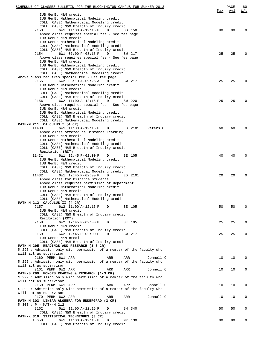| SCHEDULE OF CLASSES BULLETIN FOR THE BLOOMINGTON CAMPUS FOR SUMMER 2013                 |     | PAGE | 80       |
|-----------------------------------------------------------------------------------------|-----|------|----------|
| IUB GenEd N&M credit                                                                    | Max | Avl  | W/L      |
| IUB GenEd Mathematical Modeling credit                                                  |     |      |          |
| COLL (CASE) Mathematical Modeling credit                                                |     |      |          |
| COLL (CASE) N&M Breadth of Inquiry credit                                               |     |      |          |
| 6W1 11:00 A-12:15 P<br>9153<br>D<br>SB 150                                              | 90  | 90   | 0        |
| Above class requires special fee - See fee page<br>IUB GenEd N&M credit                 |     |      |          |
| IUB GenEd Mathematical Modeling credit                                                  |     |      |          |
| COLL (CASE) Mathematical Modeling credit                                                |     |      |          |
| COLL (CASE) N&M Breadth of Inquiry credit                                               |     |      |          |
| 6W1 07:00 P-08:15 P<br>9154<br>D<br>SW 217                                              | 25  | 25   | $\Omega$ |
| Above class requires special fee - See fee page                                         |     |      |          |
| IUB GenEd N&M credit<br>IUB GenEd Mathematical Modeling credit                          |     |      |          |
| COLL (CASE) N&M Breadth of Inquiry credit                                               |     |      |          |
| COLL (CASE) Mathematical Modeling credit                                                |     |      |          |
| Above class requires special fee - See fee page                                         |     |      |          |
| 9155<br>6W2 08:10 A-09:25 A<br>D<br>SW 217                                              | 25  | 25   | $\Omega$ |
| IUB GenEd Mathematical Modeling credit<br>IUB GenEd N&M credit                          |     |      |          |
| COLL (CASE) Mathematical Modeling credit                                                |     |      |          |
| COLL (CASE) N&M Breadth of Inquiry credit                                               |     |      |          |
| 6W2 11:00 A-12:15 P<br>9156<br>D<br>SW 220                                              | 25  | 25   | $\Omega$ |
| Above class requires special fee - See fee page                                         |     |      |          |
| IUB GenEd N&M credit                                                                    |     |      |          |
| IUB GenEd Mathematical Modeling credit                                                  |     |      |          |
| COLL (CASE) N&M Breadth of Inquiry credit<br>COLL (CASE) Mathematical Modeling credit   |     |      |          |
| MATH-M 211 CALCULUS I (4 CR)                                                            |     |      |          |
| 6W1 11:00 A-12:15 P<br>11430<br>D<br>ED 2101<br>Peters G                                | 60  | 60   | $\Omega$ |
| Above class offered as Distance Learning                                                |     |      |          |
| IUB GenEd N&M credit                                                                    |     |      |          |
| IUB GenEd Mathematical Modeling credit<br>COLL (CASE) Mathematical Modeling credit      |     |      |          |
| COLL (CASE) N&M Breadth of Inquiry credit                                               |     |      |          |
| Recitation (RCT)                                                                        |     |      |          |
| 6W1 12:45 P-02:00 P<br>11431<br>D<br>SE 105                                             | 40  | 40   | 0        |
| IUB GenEd Mathematical Modeling credit                                                  |     |      |          |
| IUB GenEd N&M credit                                                                    |     |      |          |
| COLL (CASE) N&M Breadth of Inquiry credit<br>COLL (CASE) Mathematical Modeling credit   |     |      |          |
| 6W1 12:45 P-02:00 P<br>11432<br>D<br>ED 2101                                            | 20  | 20   | $\Omega$ |
| Above class for Distance students                                                       |     |      |          |
| Above class requires permission of Department                                           |     |      |          |
| IUB GenEd Mathematical Modeling credit<br>IUB GenEd N&M credit                          |     |      |          |
| COLL (CASE) N&M Breadth of Inquiry credit                                               |     |      |          |
| COLL (CASE) Mathematical Modeling credit                                                |     |      |          |
| MATH-M 212 CALCULUS II (4 CR)                                                           |     |      |          |
| 9157<br>6W2 11:00 A-12:15 P D<br>SE 105                                                 | 50  | 50   | $\Omega$ |
| IUB GenEd N&M credit                                                                    |     |      |          |
| COLL (CASE) N&M Breadth of Inquiry credit<br>Recitation (RCT)                           |     |      |          |
| 9158<br>6W2 12:45 P-02:00 P<br>D<br>SE 105                                              | 25  | 25   | 0        |
| IUB GenEd N&M credit                                                                    |     |      |          |
| COLL (CASE) N&M Breadth of Inquiry credit                                               |     |      |          |
| 9159<br>6W2 12:45 P-02:00 P<br>D<br>SW 217                                              | 25  | 25   | 0        |
| IUB GenEd N&M credit<br>COLL (CASE) N&M Breadth of Inquiry credit                       |     |      |          |
| MATH-M 295 READINGS AND RESEARCH (1-3 CR)                                               |     |      |          |
| M 295 : Admission only with permission of a member of the faculty who                   |     |      |          |
| will act as supervisor                                                                  |     |      |          |
| 9160 PERM 6W1 ARR<br>ARR<br>ARR<br>Connell C                                            | 10  | 10   | 0        |
| M 295 : Admission only with permission of a member of the faculty who                   |     |      |          |
| will act as supervisor<br>9161 PERM 6W2 ARR<br>ARR<br>ARR<br>Connell C                  | 10  | 10   | 0        |
| MATH-S 299 HONORS READING & RESEARCH (1-3 CR)                                           |     |      |          |
| S 299: Admission only with permission of a member of the faculty who                    |     |      |          |
| will act as supervisor                                                                  |     |      |          |
| 9169 PERM 6W1 ARR<br>ARR<br>Connell C<br>ARR                                            | 10  | 10   | 0        |
| S 299: Admission only with permission of a member of the faculty who                    |     |      |          |
| will act as supervisor<br>9170 PERM 6W2 ARR<br>ARR<br>Connell C<br>ARR                  | 10  | 10   | 0        |
| MATH-M 303 LINEAR ALGEBRA FOR UNDERGRAD (3 CR)                                          |     |      |          |
| M 303 : P - MATH-M 212                                                                  |     |      |          |
| 9162<br>6W1 11:00 A-12:15 P<br>D<br>BH 340                                              | 50  | 50   | 0        |
| COLL (CASE) N&M Breadth of Inquiry credit                                               |     |      |          |
| MATH-K 310 STATISTICAL TECHNIQUES (3 CR)<br>10650<br>6W1 11:00 A-12:15 P<br>D<br>MY 130 | 80  | 80   | 0        |
| COLL (CASE) N&M Breadth of Inquiry credit                                               |     |      |          |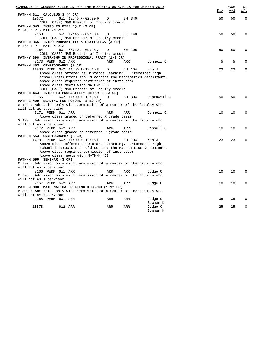| SCHEDULE OF CLASSES BULLETIN FOR THE BLOOMINGTON CAMPUS FOR SUMMER 2013 |     | PAGE | 81          |
|-------------------------------------------------------------------------|-----|------|-------------|
|                                                                         | Max | Avl  | W/L         |
| MATH-M 311 CALCULUS 3 (4 CR)                                            |     |      |             |
| 10672<br>6W1 12:45 P-02:00 P<br>$\mathbb{D}$<br>BH 340                  | 50  | 50   | $\Omega$    |
| COLL (CASE) N&M Breadth of Inquiry credit                               |     |      |             |
| MATH-M 343 INTRO TO DIFF EQ I (3 CR)<br>M 343 : P - MATH-M 212          |     |      |             |
| 9163<br>6W1 12:45 P-02:00 P<br>$\mathbb{D}$<br>SE 140                   | 50  | 50   | $\Omega$    |
| COLL (CASE) N&M Breadth of Inquiry credit                               |     |      |             |
| MATH-M 365 INTRO PROBABILITY & STATISTICS (3 CR)                        |     |      |             |
| M 365 : P - MATH-M 212                                                  |     |      |             |
| 9164<br>6W1 08:10 A-09:25 A<br>SE 105<br>D                              | 50  | 50   | $\Omega$    |
| COLL (CASE) N&M Breadth of Inquiry credit                               |     |      |             |
| MATH-Y 398 INTRNSHP IN PROFESSIONAL PRACT (1-3 CR)                      |     |      |             |
| 9173 PERM 6W2 ARR<br>ARR<br>Connell C<br>ARR                            | 5   | 5    | $\Omega$    |
| MATH-M 453 CRYPTOGRAPHY (3 CR)                                          |     |      |             |
| 14980 PERM 6W2 11:00 A-12:15 P<br>RH 104<br>D<br>Koh J                  | 23  | 23   | $\Omega$    |
| Above class offered as Distance Learning. Interested high               |     |      |             |
| school instructors should contact the Mathematics department.           |     |      |             |
| Above class requires permission of instructor                           |     |      |             |
| Above class meets with MATH-M 553                                       |     |      |             |
| COLL (CASE) N&M Breadth of Inquiry credit                               |     |      |             |
| MATH-M 463 INTRO TO PROBABILITY THEORY 1 (3 CR)                         |     |      |             |
| 6W2 11:00 A-12:15 P<br>9165<br>D<br>BH 304<br>Dabrowski A               | 50  | 50   | $\Omega$    |
| MATH-S 499 READING FOR HONORS (1-12 CR)                                 |     |      |             |
| S 499: Admission only with permission of a member of the faculty who    |     |      |             |
| will act as supervisor                                                  |     |      |             |
| 9171 PERM 6W1 ARR<br>ARR<br>Connell C<br>ARR                            | 10  | 10   | $\Omega$    |
| Above class graded on deferred R grade basis                            |     |      |             |
| S 499 : Admission only with permission of a member of the faculty who   |     |      |             |
| will act as supervisor                                                  |     |      |             |
| 9172 PERM 6W2 ARR<br>ARR<br>ARR<br>Connell C                            | 10  | 10   | $\Omega$    |
| Above class graded on deferred R grade basis                            |     |      |             |
| MATH-M 553 CRYPTOGRAPHY (3 CR)                                          |     |      |             |
| 14981 PERM 6W2 11:00 A-12:15 P<br>$\mathbb D$<br>RH 104<br>Koh J        | 23  | 23   | $\mathbf 0$ |
| Above class offered as Distance Learning. Interested high               |     |      |             |
| school instructors should contact the Mathematics Department.           |     |      |             |
| Above class requires permission of instructor                           |     |      |             |
| Above class meets with MATH-M 453                                       |     |      |             |
| MATH-M 590 SEMINAR (3 CR)                                               |     |      |             |
| M 590 : Admission only with permission of a member of the faculty who   |     |      |             |
| will act as supervisor                                                  |     |      |             |
| 9166 PERM 6W1 ARR<br>ARR<br>ARR<br>Judge C                              | 10  | 10   | $\Omega$    |
| M 590: Admission only with permission of a member of the faculty who    |     |      |             |
| will act as supervisor                                                  |     |      |             |
| 9167 PERM 6W2 ARR<br>Judge C<br>ARR<br>ARR                              | 10  | 10   | $\Omega$    |
| MATH-M 800 MATHEMATICAL READING & RSRCH (1-12 CR)                       |     |      |             |
| M 800: Admission only with permission of a member of the faculty who    |     |      |             |
| will act as supervisor                                                  |     |      |             |
| 9168 PERM 6W1 ARR<br>Judge C<br>ARR<br>ARR                              | 35  | 35   | $\Omega$    |
| Bowman K                                                                |     |      |             |
| 10578<br>6W2 ARR<br>ARR<br>ARR<br>Judge C                               | 25  | 25   | $\Omega$    |
| Bowman K                                                                |     |      |             |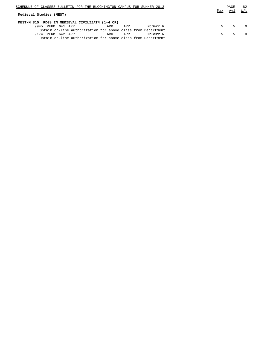| SCHEDULE OF CLASSES BULLETIN FOR THE BLOOMINGTON CAMPUS FOR SUMMER 2013 |                                                              |     |     |          |  |     | PAGE | 82        |
|-------------------------------------------------------------------------|--------------------------------------------------------------|-----|-----|----------|--|-----|------|-----------|
| Medieval Studies (MEST)                                                 |                                                              |     |     |          |  | Max | Avl  | W/L       |
| MEST-M 815 RDGS IN MEDIEVAL CIVILIZATN (1-4 CR)                         |                                                              |     |     |          |  |     |      |           |
|                                                                         | 9945 PERM 6W1 ARR                                            | ARR | ARR | McGerr R |  | 5.  | .5   | $\bigcap$ |
|                                                                         | Obtain on-line authorization for above class from Department |     |     |          |  |     |      |           |
|                                                                         | 9174 PERM 6W2 ARR                                            | ARR | ARR | McGerr R |  | 5   | 5.   | $\bigcap$ |
|                                                                         | Obtain on-line authorization for above class from Department |     |     |          |  |     |      |           |
|                                                                         |                                                              |     |     |          |  |     |      |           |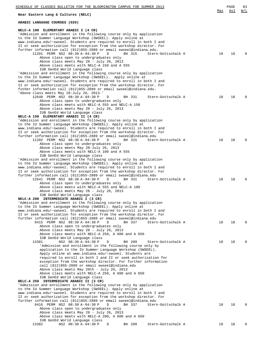| <u>SCHEDULE OF CLASSES BULLETIN FOR THE BLOOMINGTON CAMPUS FOR SUMMER 2013</u>                                                                                                                                                                                                                                                                                                                                                                                                                                                                                                                                                                                                                                                                                                                    | Max      | PAGE<br>Avl | 83<br><u>W/L</u> |
|---------------------------------------------------------------------------------------------------------------------------------------------------------------------------------------------------------------------------------------------------------------------------------------------------------------------------------------------------------------------------------------------------------------------------------------------------------------------------------------------------------------------------------------------------------------------------------------------------------------------------------------------------------------------------------------------------------------------------------------------------------------------------------------------------|----------|-------------|------------------|
| Near Eastern Lang & Cultures (NELC)                                                                                                                                                                                                                                                                                                                                                                                                                                                                                                                                                                                                                                                                                                                                                               |          |             |                  |
| ARABIC LANGUAGE COURSES (020)                                                                                                                                                                                                                                                                                                                                                                                                                                                                                                                                                                                                                                                                                                                                                                     |          |             |                  |
| NELC-A 100 ELEMENTARY ARABIC I (4 CR)<br>'Admission and enrollment in the following course only by application<br>to the IU Summer Language Workshop (SWSEEL). Apply online at<br>www.indiana.edu/~swseel. Students are required to enroll in both I and<br>II or seek authorization for exception from the workshop director. For<br>further information call (812)855-2889 or email swseel@indiana.edu.<br>11201 PERM NS2 08:30 A-04:30 P<br>Stern-Gottschalk A<br>D<br>BH 315<br>Above class open to undergraduates only<br>Above class meets May 28 - July 26, 2013<br>Above class meets with NELC-A 150 and A 555<br>IUB GenEd World Language class<br>'Admission and enrollment in the following course only by application<br>to the IU Summer Language Workshop (SWSEEL). Apply online at | 18       | 18          | $\Omega$         |
| www.indiana.edu/~swseel. Students are required to enroll in both I and<br>II or seek authorization for exception from the workshop director. For<br>futher information call (812)855-2889 or email swseel@indiana.edu.<br>'Above class meets May 28-July 26, 2013.'<br>12640 PERM NS2 08:30 A-04:30 P<br>D<br>BH 331<br>Stern-Gottschalk A<br>Above class open to undergraduates only<br>Above class meets with NELC-A 555 and NELC-A 150<br>Above class meets May 28 - July 26, 2013<br>IUB GenEd World Language class                                                                                                                                                                                                                                                                           | 18       | 18          | $\Omega$         |
| NELC-A 150 ELEMENTARY ARABIC II (4 CR)<br>'Admission and enrollment in the following course only by application<br>to the IU Summer Language Workshop (SWSEEL). Apply online at<br>www.indiana.edu/~swseel. Students are required to enroll in both I and<br>II or seek authorization for exception from the workshop director. For<br>further information call (812)855-2889 or email swseel@indiana.edu<br>11202 PERM NS2 08:30 A-04:30 P<br>BH 315<br>Stern-Gottschalk A<br>D<br>Above class open to undergraduates only<br>Above class meets May 28-July 26, 2013<br>Above class meets with NELC-A 100 and A 555<br>IUB GenEd World Language class                                                                                                                                            | 18       | 18          | $\Omega$         |
| 'Admission and enrollment in the following course only by application<br>to the IU Summer Language Workshop (SWSEEL). Apply online at<br>www.indiana.edu/~swseel. Students are required to enroll in both I and<br>II or seek authorization for exception from the workshop director. For<br>further information call (812)855-2889 or email swseel@indiana.edu<br>12641 PERM NS2 08:30 A-04:30 P<br>D<br>BH 331<br>Stern-Gottschalk A<br>Above class open to undergraduates only<br>Above class meets with NELC-A 555 and NELC-A 100<br>Above class meets May 28 - July 26, 2013<br>IUB GenEd World Language class                                                                                                                                                                               | 18       | 18          | $\Omega$         |
| NELC-A 200 INTERMEDIATE ARABIC I (3 CR)<br>'Admission and enrollment in the following course only by application<br>to the IU Summer Language Workshop (SWSEEL). Apply online at<br>www.indiana.edu/~swseel. Students are required to enroll in both I and<br>II or seek authorization for exception from the workshop director. For<br>further information call (812)855-2889 or email swseel@indiana.edu<br>9415 PERM NS2 08:30 A-04:30 P<br>D<br>BH 337<br>Stern-Gottschalk A<br>Above class open to undergraduates only<br>Above class meets May 28 - July 26, 2013<br>Above class meets with NELC-A 250, A 600 and A 650                                                                                                                                                                     | 18       | 18          | $\mathbf 0$      |
| IUB GenEd World Language class<br>NS2 08:30 A-04:30 P<br>13381<br>BH 209<br>Stern-Gottschalk A<br>D<br>'Admission and enrollment in the following course only by<br>application to the IU Summer Language Workshop (SWSEEL).<br>Apply online at www.indiana.edu/~swseel. Students are<br>required to enroll in both I and II or seek authorization for<br>exception from the workshop director. For further information<br>call (812)855-2889 or email swseel@indiana.edu<br>Above class meets May 28th - July 26, 2013<br>Above class meets with NELC-A 250, A 600 and A 650                                                                                                                                                                                                                     | 18       | 18          | $\mathbf 0$      |
| IUB GenEd World Language class<br>NELC-A 250 INTERMEDIATE ARABIC II (3 CR)<br>'Admission and enrollment in the following course only by application<br>to the IU Summer Language Workshop (SWSEEL). Apply online at<br>www.indiana.edu/~swseel. Students are required to enroll in both I and<br>II or seek authorization for exception from the workshop director. For<br>further information call (812)855-2889 or email swseel@indiana.edu<br>9416 PERM NS2 08:30 A-04:30 P<br>D<br>BH 337<br>Stern-Gottschalk A<br>Above class open to undergraduates only<br>Above class meets May 28 - July 26, 2013<br>Above class meets with NELC-A 200, A 600 and A 650<br>IUB GenEd World Language class<br>13382<br>NS2 08:30 A-04:30 P<br>BH 209<br>Stern-Gottschalk A<br>D                           | 18<br>18 | 18<br>18    | $\mathbf 0$<br>0 |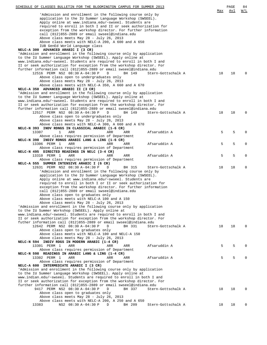| SCHEDULE OF CLASSES BULLETIN FOR THE BLOOMINGTON CAMPUS FOR SUMMER 2013                                                                          |     | PAGE | 84          |
|--------------------------------------------------------------------------------------------------------------------------------------------------|-----|------|-------------|
| 'Admission and enrollment in the following course only by                                                                                        | Max | Avl  | W/L         |
| application to the IU Summer Language Workshop (SWSEEL).                                                                                         |     |      |             |
| Apply online at www.indiana.edu/~swseel. Students are                                                                                            |     |      |             |
| required to enroll in both I and II or seek authorization for                                                                                    |     |      |             |
| exception from the workshop director. For further information                                                                                    |     |      |             |
| call (812)855-2889 or email swseel@indiana.edu                                                                                                   |     |      |             |
| Above class meets May 28 - July 26, 2013<br>Above class meets with NELC-A 200, A 600 and A 650                                                   |     |      |             |
| IUB GenEd World Language class                                                                                                                   |     |      |             |
| NELC-A 300 ADVANCED ARABIC I (3 CR)                                                                                                              |     |      |             |
| 'Admission and enrollment in the following course only by application                                                                            |     |      |             |
| to the IU Summer Language Workshop (SWSEEL). Apply online at                                                                                     |     |      |             |
| www.indiana.edu/~swseel. Students are required to enroll in both I and<br>II or seek authorization for exception from the workshop director. For |     |      |             |
| further information call (812)855-2889 or email swseel@indiana.edu                                                                               |     |      |             |
| 12516 PERM NS2 08:30 A-04:30 P<br>BH 149<br>D<br>Stern-Gottschalk A                                                                              | 18  | 18   | $\Omega$    |
| Above class open to undergraduates only                                                                                                          |     |      |             |
| Above class meets May 28 - July 26, 2013                                                                                                         |     |      |             |
| Above class meets with NELC-A 350, A 660 and A 670                                                                                               |     |      |             |
| NELC-A 350 ADVANCED ARABIC II (3 CR)                                                                                                             |     |      |             |
| 'Admission and enrollment in the following course only by application                                                                            |     |      |             |
| to the IU Summer Language Workshop (SWSEEL). Apply online at<br>www.indiana.edu/~swseel. Students are required to enroll in both I and           |     |      |             |
| II or seek authorization for exception from the workshop director. For                                                                           |     |      |             |
| further information call (812)855-2889 or email swseel@indiana.edu                                                                               |     |      |             |
| 12517 PERM NS2 08:30 A-04:30 P<br>BH 149<br>Stern-Gottschalk A<br>D                                                                              | 18  | 18   | $\Omega$    |
| Above class open to undergraduates only                                                                                                          |     |      |             |
| Above class meets May 28 - July 26, 2013                                                                                                         |     |      |             |
| Above class meets with NELC-A 300, A 660 and A 670                                                                                               |     |      |             |
| NELC-N 393 INDV RDNGS IN CLASSICAL ARABIC (1-6 CR)<br>13307<br>1<br>ARR<br>Afsaruddin A<br>ARR<br>ARR                                            | 5   | 5    | 0           |
| Above class requires permission of Department                                                                                                    |     |      |             |
| NELC-N 398 INDIV RDNGS ARABIC LANG & LING (1-6 CR)                                                                                               |     |      |             |
| 13306 PERM 1<br>Afsaruddin A<br>ARR<br>ARR<br>ARR                                                                                                | 5   | 5    | $\mathbf 0$ |
| Above class requires permission of Department                                                                                                    |     |      |             |
| NELC-N 495 DIRECTED READINGS IN NELC (3-4 CR)                                                                                                    |     |      |             |
| 13310 PERM 1<br>ARR<br>Afsaruddin A<br>ARR<br>ARR                                                                                                | 5   | 5    | 0           |
| Above class requires permission of Department<br>NELC-A 555 SUMMER INTENSIVE ARABIC I (6 CR)                                                     |     |      |             |
| 12631 PERM NS2 08:30 A-04:30 P<br>D<br>BH 315<br>Stern-Gottschalk A                                                                              | 18  | 18   | 0           |
| 'Admission and enrollment in the following course only by                                                                                        |     |      |             |
| application to the IU Summer Language Workshop (SWSEEL).                                                                                         |     |      |             |
| Apply online at www.indiana.edu/~swseel. Students are                                                                                            |     |      |             |
| required to enroll in both I or II or seek authorization for                                                                                     |     |      |             |
| exception from the workshop director. For further information                                                                                    |     |      |             |
| call (812)855-2889 or email swseel@indiana.edu<br>Above class open to graduates only                                                             |     |      |             |
| Above class meets with NELC-A 100 and A 150                                                                                                      |     |      |             |
| Above class meets May 28 - July 26, 2013                                                                                                         |     |      |             |
| 'Admission and enrollment in the following course only by application                                                                            |     |      |             |
| to the IU Summer Workshop (SWSEEL). Apply online at                                                                                              |     |      |             |
| www.indiana.edu/~swseel. Students are required to enroll in both I and                                                                           |     |      |             |
| II or seek authorization for exception from the workshop director. For                                                                           |     |      |             |
| futher information call (812)855-2889 or email swseel@indiana.edu                                                                                |     |      | $\Omega$    |
| 12642 PERM NS2 08:30 A-04:30 P<br>Stern-Gottschalk A<br>D<br>BH 331<br>Above class open to graduates only                                        | 18  | 18   |             |
| Above class meets with NELC-A 100 and NELC-A 150                                                                                                 |     |      |             |
| Above class meets May 28 - July 26, 2013                                                                                                         |     |      |             |
| NELC-N 594 INDIV RDGS IN MODERN ARABIC (1-4 CR)                                                                                                  |     |      |             |
| 13301 PERM 1<br>ARR<br>Afsaruddin A<br>ARR<br>ARR                                                                                                | 5   | 5    | $\Omega$    |
| Above class requires permission of Department                                                                                                    |     |      |             |
| NELC-N 598 READINGS IN ARABIC LANG & LING (1-4 CR)                                                                                               |     |      |             |
| 13302 PERM 1<br>ARR<br>ARR<br>Afsaruddin A<br>ARR<br>Above class requires permission of Department                                               | 5   | 5    | $\Omega$    |
| NELC-A 600 INTERMEDIATE ARABIC I (3 CR)                                                                                                          |     |      |             |
| 'Admission and enrollment in the following course only by application                                                                            |     |      |             |
| to the IU Summer Language Workshop (SWSEEL). Apply online at                                                                                     |     |      |             |
| www.indian.edu/~swseel. Students are required to enroll in both I and                                                                            |     |      |             |
| II or seek authorization for exception from the workshop director. For                                                                           |     |      |             |
| further information call (812)855-2889 or email swseel@indiana.edu                                                                               |     |      |             |
| 9417 PERM NS2 08:30 A-04:30 P<br>BH 337<br>D<br>Stern-Gottschalk A<br>Above class open to graduates only                                         | 18  | 18   | $\Omega$    |
| Above class meets May 28 - July 26, 2013                                                                                                         |     |      |             |
| Above class meets with NELC-A 200, A 250 and A 650                                                                                               |     |      |             |
| NS2 08:30 A-04:30 P<br>Stern-Gottschalk A<br>13383<br>D<br>BH 209                                                                                | 18  | 18   | 0           |
|                                                                                                                                                  |     |      |             |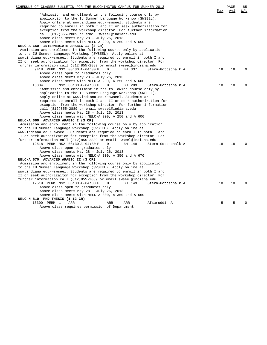| SCHEDULE OF CLASSES BULLETIN FOR THE BLOOMINGTON CAMPUS FOR SUMMER 2013                                                | Max | PAGE<br>Avl | 85<br>W/L |
|------------------------------------------------------------------------------------------------------------------------|-----|-------------|-----------|
| 'Admission and enrollment in the following course only by                                                              |     |             |           |
| application to the IU Summer Language Workshop (SWSEEL).                                                               |     |             |           |
| Apply online at www.indiana.edu/~swseel. Students are                                                                  |     |             |           |
| required to enroll in both I and II or seek authorization for                                                          |     |             |           |
| exception from the workshop director. For further information                                                          |     |             |           |
| call (812)855-2889 or email swseel@indiana.edu                                                                         |     |             |           |
| Above class meets May 28 - July 26, 2013                                                                               |     |             |           |
| Above class meets with NELC-A 200, A 250 and A 650                                                                     |     |             |           |
| NELC-A 650 INTERMEDIATE ARABIC II (3 CR)                                                                               |     |             |           |
| 'Admission and enrollment in the following course only by application                                                  |     |             |           |
| to the IU Summer Language Workshop (SWSEEL). Apply online at                                                           |     |             |           |
| www.indiana.edu/~swseel. Students are required to enroll in both I and                                                 |     |             |           |
| II or seek authorization for exception from the workshop director. For                                                 |     |             |           |
| further information call (812)855-2889 or email swseel@indiana.edu                                                     |     |             |           |
| 9418 PERM NS2 08:30 A-04:30 P<br>D<br>BH 337<br>Stern-Gottschalk A                                                     | 18  | 18          | $\Omega$  |
| Above class open to graduates only                                                                                     |     |             |           |
| Above class meets May 28 - July 26, 2013                                                                               |     |             |           |
| Above class meets with NELC-A 200, A 250 and A 600                                                                     |     |             |           |
| 13384<br>NS2 08:30 A-04:30 P<br>D<br>BH 209<br>Stern-Gottschalk A                                                      | 18  | 18          | $\Omega$  |
| 'Admission and enrollment in the following course only by                                                              |     |             |           |
| application to the IU Summer Language Workshop (SWSEEL).                                                               |     |             |           |
| Apply online at www.indiana.edu/~swseel. Students are<br>required to enroll in both I and II or seek authorization for |     |             |           |
| exception from the workshop director. For further information                                                          |     |             |           |
| call (812)855-2889 or email swseel@indiana.edu                                                                         |     |             |           |
| Above class meets May 28 - July 26, 2013                                                                               |     |             |           |
| Above class meets with NELC-A 200, A 250 and A 600                                                                     |     |             |           |
| NELC-A 660 ADVANCED ARABIC I (3 CR)                                                                                    |     |             |           |
| 'Admission and enrollment in the following course only by application                                                  |     |             |           |
| to the IU Summer Language Workshop (SWSEEL). Apply online at                                                           |     |             |           |
| www.indiana.edu/~swseel. Students are requried to enroll in both I and                                                 |     |             |           |
| II or seek authorization for exception from the workshop director. For                                                 |     |             |           |
| further information call (812)855-2889 or email swseel@indiana.edu                                                     |     |             |           |
| 12518 PERM NS2 08:30 A-04:30 P<br>D<br>BH 149<br>Stern-Gottschalk A                                                    | 18  | 18          | $\Omega$  |
| Above class open to graduates only                                                                                     |     |             |           |
| Above class meets May 28 - July 26, 2013                                                                               |     |             |           |
| Above class meets with NELC-A 300, A 350 and A 670                                                                     |     |             |           |
| NELC-A 670 ADVANCED ARABIC II (3 CR)                                                                                   |     |             |           |
| 'Admission and enrollment in the following course only by application                                                  |     |             |           |
| to the IU Summer Language Workshop (SWSEEL). Apply online at                                                           |     |             |           |
| www.indiana.edu/~swseel. Students are required to enroll in both I and                                                 |     |             |           |
| II or seek authorizaiton for exception from the workshop director. For                                                 |     |             |           |
| further information call (812)855-2889 or email swseel@indiana.edu                                                     |     |             |           |
| 12519 PERM NS2 08:30 A-04:30 P<br>BH 149<br>Stern-Gottschalk A<br>D                                                    | 18  | 18          | $\Omega$  |
| Above class open to graduates only                                                                                     |     |             |           |
| Above class meets May 28 - July 26, 2013                                                                               |     |             |           |
| Above class meets with NELC-A 300, A 350 and A 660                                                                     |     |             |           |
| NELC-N 810 PHD THESIS (1-12 CR)                                                                                        |     |             |           |
| 13300 PERM 1<br>Afsaruddin A<br>ARR<br>ARR<br>ARR                                                                      | 5   | 5           | $\Omega$  |
| Above class requires permission of Department                                                                          |     |             |           |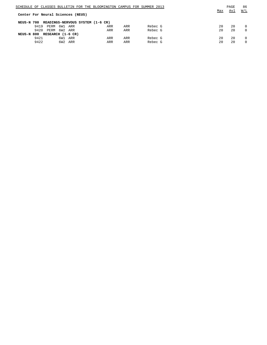|            |      |                                   |     |     |  | SCHEDULE OF CLASSES BULLETIN FOR THE BLOOMINGTON CAMPUS FOR SUMMER 2013 |     |  |         |     | PAGE | 86       |
|------------|------|-----------------------------------|-----|-----|--|-------------------------------------------------------------------------|-----|--|---------|-----|------|----------|
|            |      |                                   |     |     |  |                                                                         |     |  |         | Max | Avl  | W/L      |
|            |      | Center For Neural Sciences (NEUS) |     |     |  |                                                                         |     |  |         |     |      |          |
|            |      |                                   |     |     |  |                                                                         |     |  |         |     |      |          |
| NEUS-N 700 |      |                                   |     |     |  | READINGS-NERVOUS SYSTEM (1-6 CR)                                        |     |  |         |     |      |          |
|            | 9419 | PERM                              | 6W1 | ARR |  | ARR                                                                     | ARR |  | Rebec G | 20  | 20   | $\Omega$ |
|            | 9420 | PERM                              | 6W2 | ARR |  | ARR                                                                     | ARR |  | Rebec G | 20  | 20   | $\Omega$ |
| NEUS-N 800 |      | RESEARCH (1-6 CR)                 |     |     |  |                                                                         |     |  |         |     |      |          |
|            | 9421 |                                   | 6W1 | ARR |  | ARR                                                                     | ARR |  | Rebec G | 20  | 20   | $\Omega$ |
|            | 9422 |                                   | 6W2 | ARR |  | ARR                                                                     | ARR |  | Rebec G | 20  | 20   |          |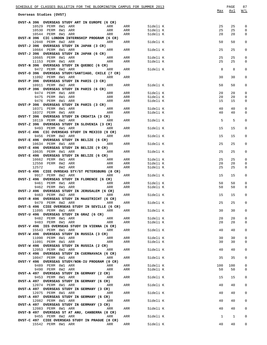| SCHEDULE OF CLASSES BULLETIN FOR THE BLOOMINGTON CAMPUS FOR SUMMER 2013                     |            |                      | Max      | PAGE<br>Avl  | 87<br>W/L        |
|---------------------------------------------------------------------------------------------|------------|----------------------|----------|--------------|------------------|
| Overseas Studies (OVST)                                                                     |            |                      |          |              |                  |
| OVST-A 396 OVERSEAS STUDY ART IN EUROPE (6 CR)                                              |            |                      |          |              |                  |
| 10529 PERM 8W1 ARR<br>ARR                                                                   | ARR        | Sideli K             | 25       | 25           | $\mathbf 0$      |
| 10530 PERM 8W1 ARR<br>ARR<br>10544 PERM 8W1 ARR<br>ARR                                      | ARR<br>ARR | Sideli K<br>Sideli K | 25<br>20 | 25<br>20     | 0<br>0           |
| OVST-H 396 CIC LONDON INTERNSHIP PROGRAM (6 CR)                                             |            |                      |          |              |                  |
| 12048 PERM 8W2 ARR<br><b>ARR</b>                                                            |            | ARR<br>Sideli K      | 50       | 50           | 0                |
| OVST-J 396 OVERSEAS STUDY IN JAPAN (3 CR)                                                   |            |                      |          |              |                  |
| 10664 PERM 8W1 ARR<br><b>Example 2018</b> ARR<br>OVST-J 396 OVERSEAS STUDY IN JAPAN (6 CR)  | ARR        | Sideli K             | 25       | 25           | 0                |
| 10665 PERM 8W1 ARR<br><b>ARR</b>                                                            | ARR        | Sideli K             | 25       | 25           | 0                |
| ARR<br>11153 PERM 8W1 ARR                                                                   | ARR        | Sideli K             | 25       | 25           | 0                |
| OVST-N 396 OVERSEAS STUDY IN QUEBEC (6 CR)<br><b>ARR</b>                                    |            | ARR Sideli K         | 8        | 8            | 0                |
| 9472 PERM 8W2 ARR<br>OVST-O 396 OVERSEAS STUDY/SANTIAGO, CHILE (7 CR)                       |            |                      |          |              |                  |
| 11092 PERM 8W1 ARR<br>ARR                                                                   | ARR        |                      | 30       | 30           | 0                |
| OVST-P 396 OVERSEAS STUDY IN PARIS (3 CR)                                                   |            |                      |          |              |                  |
| <b>Example 2</b> ARR<br>10911 PERM 8W2 ARR<br>OVST-P 396 OVERSEAS STUDY IN PARIS (6 CR)     | ARR        | Sideli K             | 50       | 50           | 0                |
| 9474 PERM 8W1 ARR<br>ARR                                                                    | ARR        | Sideli K             | 20       | 20           | 0                |
| 9475 PERM 8W1 ARR<br>ARR<br>ARR                                                             | ARR        | Sideli K             | 20       | 20           | 0                |
| 9476 PERM 8W1 ARR                                                                           | ARR        | Sideli K             | 15       | 15           | 0                |
| OVST-P 396 OVERSEAS STUDY IN PARIS (3 CR)<br><b>ARR</b><br>10371 PERM 8W1 ARR               | ARR        | Sideli K             | 40       | 40           | 0                |
| 10372 PERM 8W1 ARR<br>ARR                                                                   | ARR        | Sideli K             | 40       | 40           | 0                |
| OVST-T 396 OVERSEAS STUDY IN CROATIA (3 CR)                                                 |            |                      |          |              |                  |
| 10119 PERM 8W2 ARR<br><b>Example 2</b> ARR                                                  |            | ARR<br>Sideli K      | 5        | 5            | 0                |
| OVST-Z 396 OVERSEAS STUDY IN SLOVENIA (3 CR)<br><b>Example 21 ARR</b><br>9493 PERM 8W1 ARR  |            | ARR<br>Sideli K      | 15       | 15           | 0                |
| OVST-C 496 CIC OVERSEAS STUDY IN MEXICO (9 CR)                                              |            |                      |          |              |                  |
| <b>Example 2</b> ARR<br>9456 PERM 8W2 ARR                                                   |            | ARR<br>Sideli K      | 15       | 15           | 0                |
| OVST-E 496 OVERSEAS STUDY IN BELIZE (6 CR)                                                  |            |                      |          |              |                  |
| <b>Example 2018</b> ARR<br>10634 PERM 8W1 ARR<br>OVST-E 496 OVERSEAS STUDY IN BELIZE (9 CR) |            | ARR<br>Sideli K      | 25       | 25           | 0                |
| 10635 PERM 8W1 ARR<br><b>Example 2018</b> ARR                                               | ARR        | Sideli K             | 25       | 25           | 0                |
| OVST-E 496 OVERSEAS STUDY IN BELIZE (6 CR)                                                  |            |                      |          |              |                  |
| <b>Example 21 ARR</b><br>10662 PERM 8W1 ARR<br>12550 PERM 8W2 ARR<br>ARR                    | ARR<br>ARR | Sideli K<br>Sideli K | 25<br>20 | 25<br>20     | $\mathbf 0$<br>0 |
| 12572<br>8W2 ARR<br>ARR                                                                     | ARR        | Sideli K             | 25       | 25           | 0                |
| OVST-G 496 CIEE OVRSEAS STY/ST PETERSBURG (8 CR)                                            |            |                      |          |              |                  |
| 9917 PERM 8W2 ARR<br><b>Example 2018</b>                                                    | ARR        | Sideli K             | 15       | 15           | 0                |
| OVST-I 496 OVERSEAS STUDY IN FLORENCE (6 CR)<br>9461 PERM 8W1 ARR<br>ARR                    | ARR        | Sideli K             | 50       | 50           | 0                |
| 9462 PERM 8W1 ARR<br>ARR                                                                    | ARR        | Sideli K             | 50       | 50           | 0                |
| OVST-J 496 OVERSEAS STUDY IN JERUSALEM (6 CR)                                               |            |                      |          |              |                  |
| 9463 PERM 8W2 ARR<br>ARR<br>OVST-R 496 OVERSEAS STUDY IN MAASTRICHT (6 CR)                  | ARR        | Sideli K             | 15       | 15           | 0                |
| 9479 PERM 8W2 ARR<br><b>Example 21 ARR</b>                                                  |            | Sideli K<br>ARR      | 25       | 25           | 0                |
| OVST-S 496 CIEE OVERSEAS STUDY IN SEVILLE (6 CR)                                            |            |                      |          |              |                  |
| 11095 PERM 8W1 ARR<br>ARR                                                                   |            | ARR<br>Sideli K      | 30       | 30           | 0                |
| OVST-U 496 OVERSEAS STUDY IN GRAZ (6 CR)<br>9482 PERM 8W1 ARR<br>ARR                        | ARR        | Sideli K             | 20       | 20           | $\mathsf 0$      |
| 9483 PERM 8W1 ARR ARR ARR                                                                   | ARR        | Sideli K             | 20       | 20           | 0                |
| OVST-V 496 IES OVERSEAS STUDY IN VIENNA (6 CR)                                              |            |                      |          |              |                  |
| 15543 PERM 8W1 ARR<br>ARR<br>OVST-W 496 OVERSEAS STUDY IN RUSSIA (3 CR)                     |            | ARR Sideli K         | 40       | 40           | $\mathbf 0$      |
| 11090 PERM 8W1 ARR<br>ARR                                                                   | ARR        | Sideli K             | 30       | 30           | $\mathbf 0$      |
| 11091 PERM 8W1 ARR ARR                                                                      | ARR        | Sideli K             | 30       | 30           | $\mathbf 0$      |
| OVST-W 496 OVERSEAS STUDY IN RUSSIA (2 CR)                                                  |            |                      |          |              |                  |
| 12053 PERM 8W2 ARR<br>ARR<br>OVST-X 496 OVERSEAS STUDY IN CUERNAVACA (6 CR)                 |            | ARR<br>Sideli K      | 40       | 40           | $\mathsf 0$      |
| 10047 PERM 8W1 ARR<br>ARR                                                                   |            | ARR<br>Sideli K      | 35       | 35           | $\mathsf 0$      |
| OVST-Y 496 OVERSEAS STUDY/NON-IU PROGRAM (0 CR)                                             |            |                      |          |              |                  |
|                                                                                             |            | ARR Sideli K         | 100      | 100          | $\mathsf 0$      |
| OVST-A 497 OVERSEAS STUDY IN GERMANY (2 CR)                                                 | ARR        | Sideli K             | 50       | 50           | 0                |
| 9453 PERM 8W1 ARR<br>ARR                                                                    |            | ARR Sideli K         | 15       | 15           | 0                |
| OVST-A 497 OVERSEAS STUDY IN GERMANY (6 CR)                                                 |            |                      |          |              |                  |
| 12074 PERM 8W1 ARR<br>ARR                                                                   |            | ARR Sideli K         | 40       | 40           | $\mathbf{0}$     |
| OVST-A 497 OVERSEAS STUDY IN GERMANY (3 CR)<br>12075 PERM 8W1 ARR<br>ARR                    |            | ARR Sideli K         | 40       | 40           | 0                |
| OVST-A 497 OVERSEAS STUDY IN GERMANY (6 CR)                                                 |            |                      |          |              |                  |
| 12082 PERM 8W1 ARR<br>ARR                                                                   |            | ARR Sideli K         | 40       | 40           | $\mathbf{0}$     |
| OVST-A 497 OVERSEAS STUDY IN GERMANY (3 CR)<br>12083 PERM 8W1 ARR ARR                       |            | ARR Sideli K         | 40       | 40           | 0                |
| OVST-B 497 OVERSEAS ST AT ANU, CANBERRA (8 CR)                                              |            |                      |          |              |                  |
| 9455 PERM 8W2 ARR<br>ARR                                                                    |            | ARR Sideli K         | 1        | $\mathbf{1}$ | $\mathbf 0$      |
| OVST-C 497 CIEE OVERSEAS STUDY IN PRAGUE (8 CR)                                             |            | ARR Sideli K         | 40       | 40           | 0                |
|                                                                                             |            |                      |          |              |                  |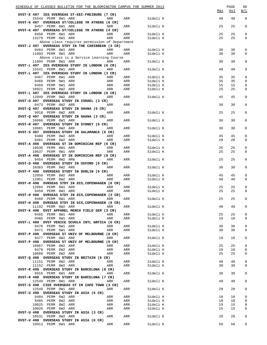| SCHEDULE OF CLASSES BULLETIN FOR THE BLOOMINGTON CAMPUS FOR SUMMER 2013 |            |            |                      | Max      | PAGE<br><u>Avl</u> | 88<br>W/L        |
|-------------------------------------------------------------------------|------------|------------|----------------------|----------|--------------------|------------------|
| OVST-E 497 IES OVERSEAS ST-EEC-FREIBURG (7 CR)<br>15544 PERM 8W1 ARR    | ARR        | ARR        | Sideli K             | 40       | 40                 | $\mathbf 0$      |
| OVST-G 497 OVERSEAS ST/COLLEGE YR ATHENS (8 CR)<br>9457 PERM 8W1 ARR    | ARR        | ARR        | Sideli K             | 25       | 25                 | 0                |
| OVST-G 497 OVERSEAS ST/COLLEGE YR ATHENS (4 CR)<br>9458 PERM 8W1 ARR    | ARR        | ARR        | Sideli K             | 25       | 25                 | 0                |
| 13279 PERM 8W1 ARR                                                      | ARR        | ARR        | Sideli K             | 25       | 25                 | 0                |
| Above class requires permission of Department                           |            |            |                      |          |                    |                  |
| OVST-J 497 OVERSEAS STDY IN THE CARIBBEAN (3 CR)                        |            |            |                      |          |                    |                  |
| 9464 PERM 8W1 ARR                                                       | ARR        | ARR        | Sideli K             | 30       | 30                 | 0                |
| 11093 PERM 8W1 ARR                                                      | ARR        | ARR        | Sideli K             | 30       | 30                 | 0                |
| Above class is a Service Learning Course                                |            |            |                      |          |                    |                  |
| 11094 PERM 8W1 ARR<br><b>Example 28 ARR</b>                             |            | ARR        | Sideli K             | 30       | 30                 | 0                |
| OVST-L 497 IES OVERSEAS STUDY IN LONDON (6 CR)                          |            |            |                      |          |                    |                  |
| 15541 PERM 8W1 ARR                                                      | ARR        | ARR        | Sideli K             | 40       | 40                 | 0                |
| OVST-L 497 IES OVERSEAS STUDY IN LONDON (3 CR)                          |            |            |                      |          |                    |                  |
| 9467 PERM 8W1 ARR                                                       | ARR        | ARR        | Sideli K             | 35       | 35                 | 0                |
| 9468 PERM 8W1 ARR<br>9469 PERM 8W1 ARR                                  | ARR<br>ARR | ARR<br>ARR | Sideli K<br>Sideli K | 35<br>15 | 35<br>15           | 0<br>0           |
| 10921 PERM 8W2 ARR                                                      | ARR        | ARR        | Sideli K             | 25       | 25                 | $\mathbf 0$      |
| OVST-L 497 IES OVERSEAS STUDY IN LONDON (6 CR)                          |            |            |                      |          |                    |                  |
| 12049 PERM 8W2 ARR                                                      | ARR        | ARR        | Sideli K             | 45       | 45                 | 0                |
| OVST-O 497 OVERSEAS STUDY IN ISRAEL (3 CR)                              |            |            |                      |          |                    |                  |
| 9473 PERM 8W2 ARR                                                       | ARR        | ARR        |                      | 30       | 30                 | 0                |
| OVST-Q 497 OVERSEAS STUDY IN GHANA (6 CR)                               |            |            |                      |          |                    |                  |
| 9918 PERM 8W2 ARR                                                       | ARR        | ARR        | Sideli K             | 25       | 25                 | 0                |
| OVST-Q 497 OVERSEAS STUDY IN GHANA (3 CR)                               |            |            |                      |          |                    |                  |
| 10666 PERM 8W1 ARR                                                      | ARR        | ARR        | Sideli K             | 30       | 30                 | 0                |
| OVST-R 497 OVERSEAS STUDY IN SYDNEY (6 CR)                              |            |            |                      |          |                    |                  |
| 10881 PERM 8W2 ARR                                                      | ARR        | ARR        | Sideli K             | 30       | 30                 | 0                |
| OVST-S 497 OVERSEAS STUDY IN SALAMANCA (6 CR)                           |            |            |                      |          | 45                 |                  |
| 9480 PERM 8W2 ARR<br>9481 PERM 8W2 ARR                                  | ARR<br>ARR | ARR<br>ARR | Sideli K<br>Sideli K | 45<br>20 | 20                 | 0<br>$\mathbf 0$ |
| OVST-A 498 OVERSEAS ST IN DOMINICAN REP (6 CR)                          |            |            |                      |          |                    |                  |
| 10636 PERM 8W1 ARR                                                      | ARR        | ARR        | Sideli K             | 25       | 25                 | 0                |
| 10637 PERM 8W1 ARR                                                      | ARR        | ARR        | Sideli K             | 25       | 25                 | 0                |
| OVST-A 498 OVERSEAS ST IN DOMINICAN REP (8 CR)                          |            |            |                      |          |                    |                  |
| 9454 PERM 8W2 ARR                                                       | ARR        | ARR        | Sideli K             | 25       | 25                 | 0                |
| OVST-D 498 OVERSEAS STUDY IN OXFORD (6 CR)                              |            |            |                      |          |                    |                  |
| 10363 PERM 8W2 ARR                                                      | ARR        | ARR        | Sideli K             | 30       | 30                 | 0                |
| OVST-F 498 OVERSEAS STUDY IN DUBLIN (6 CR)                              |            |            |                      |          |                    |                  |
| 12050 PERM 8W2 ARR<br>12051 PERM 8W2 ARR                                | ARR<br>ARR | ARR        | Sideli K             | 45<br>40 | 45<br>40           | 0<br>$\mathbf 0$ |
| OVST-H 498 OVRSEAS STDY IN DIS, COPENHAGEN (6 CR)                       |            | ARR        | Sideli K             |          |                    |                  |
| 12084 PERM 8W1 ARR<br><b>Example 21 ARR</b>                             |            | ARR        | Sideli K             | 25       | 25                 | 0                |
| 9459 PERM 8W1 ARR                                                       | ARR        | ARR        | Sideli K             | 25       | 25                 | $\mathbf 0$      |
| OVST-H 498 OVRSEAS STDY IN DIS, COPENHAGEN (3 CR)                       |            |            |                      |          |                    |                  |
| 9460 PERM 8W1 ARR<br><b>Example 2018</b> ARR                            |            | ARR        | Sideli K             | 25       | 25                 | 0                |
| OVST-H 498 OVRSEAS STDY IN DIS, COPENHAGEN (9 CR)                       |            |            |                      |          |                    |                  |
| 11192 PERM 8W2 ARR                                                      | ARR        | ARR        | Sideli K             | 40       | 40                 | 0                |
| OVST-K 498 OVST APPAREL MERCH FIELD SEM (3 CR)                          |            |            |                      |          |                    |                  |
| 9465 PERM 8W1 ARR                                                       | ARR        | ARR        | Sideli K             | 25       | 25                 | $\mathbf{0}$     |
| 9466 PERM 8W1 ARR                                                       | ARR        | ARR        | Sideli K             | 10       | 10                 | 0                |
| OVST-L 498 OVST VENICE SCUOLA INTL GRFICA (6 CR)                        |            |            |                      |          |                    |                  |
| 9470 PERM 8W1 ARR<br>9471 PERM 8W1 ARR                                  | ARR<br>ARR | ARR<br>ARR | Sideli K<br>Sideli K | 30<br>30 | 30<br>30           | 0<br>0           |
| OVST-P 498 OVERSEAS ST UNIV OF MELBOURNE (8 CR)                         |            |            |                      |          |                    |                  |
| 9477 PERM 8W2 ARR                                                       | ARR        | ARR        | Sideli K             | 10       | 10                 | 0                |
| OVST-P 498 OVERSEAS ST UNIV OF MELBOURNE (6 CR)                         |            |            |                      |          |                    |                  |
| 10667 PERM 8W2 ARR                                                      | ARR        | ARR        | Sideli K             | 25       | 25                 | $\mathsf 0$      |
| 9478 PERM 8W2 ARR                                                       | ARR        | ARR        | Sideli K             | 10       | 10                 | 0                |
| 10668 PERM 8W2 ARR                                                      | ARR        | ARR        | Sideli K             | 25       | 25                 | 0                |
| OVST-Q 498 OVERSEAS STUDY IN BRITAIN (6 CR)                             |            |            |                      |          |                    |                  |
| 11151 PERM 8W2 ARR                                                      | ARR        | ARR        | Sideli K             | 40       | 40                 | $\mathbf 0$      |
| 11152 PERM 8W2 ARR                                                      | ARR        | ARR        | Sideli K             | 30       | 30                 | 0                |
| OVST-R 498 OVERSEAS STUDY IN BARCELONA (8 CR)                           |            |            |                      |          |                    |                  |
| 9916 PERM 8W1 ARR                                                       | ARR        | ARR        | Sideli K             | 30       | 30                 | 0                |
| OVST-R 498 OVERSEAS STUDY IN BARCELONA (7 CR)<br>12549 PERM 8W1 ARR     | ARR        | ARR        | Sideli K             | 40       | 40                 | 0                |
| OVST-S 498 CIEE OVERSEAS ST IN CAPE TOWN (3 CR)                         |            |            |                      |          |                    |                  |
| 12548 PERM 8W1 ARR                                                      | ARR        | ARR        | Sideli K             | 20       | 20                 | 0                |
| OVST-U 498 OVERSEAS STUDY IN ASIA (6 CR)                                |            |            |                      |          |                    |                  |
| 9484 PERM 8W2 ARR                                                       | ARR        | ARR        | Sideli K             | 10       | 10                 | 0                |
| 9485 PERM 8W2 ARR                                                       | ARR        | ARR        | Sideli K             | 10       | 10                 | $\mathbf 0$      |
| 10025 PERM 8W2 ARR                                                      | ARR        | ARR        | Sideli K             | 15       | 15                 | 0                |
| 10026 PERM 8W2 ARR                                                      | ARR        | ARR        | Sideli K             | 15       | 15                 | 0                |
| OVST-U 498 OVERSEAS STUDY IN ASIA (3 CR)                                |            |            |                      |          |                    |                  |
| 10531 PERM 8W2 ARR                                                      | ARR        | ARR        | Sideli K             | 20       | 20                 | 0                |
| OVST-U 498 OVERSEAS STUDY IN ASIA (6 CR)                                |            |            |                      |          |                    |                  |
| 10913 PERM 8W1 ARR                                                      | ARR        | ARR        | Sideli K             | 50       | 50                 | 0                |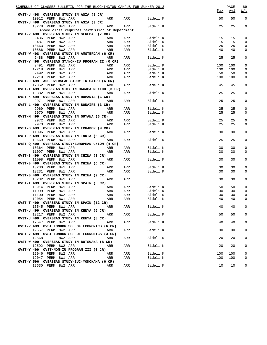| SCHEDULE OF CLASSES BULLETIN FOR THE BLOOMINGTON CAMPUS FOR SUMMER 2013<br>OVST-U 498 OVERSEAS STUDY IN ASIA (8 CR) |            |     |          | Max | PAGE<br>Avl | 89<br>W/L   |
|---------------------------------------------------------------------------------------------------------------------|------------|-----|----------|-----|-------------|-------------|
| 10912 PERM 8W1 ARR                                                                                                  | ARR        | ARR | Sideli K | 50  | 50          | $\mathsf 0$ |
| OVST-U 498 OVERSEAS STUDY IN ASIA (3 CR)                                                                            |            |     |          |     |             |             |
| 13278 PERM 8W1 ARR                                                                                                  | ARR        | ARR | Sideli K | 25  | 25          | 0           |
| Above class requires permission of Department<br>OVST-V 498 OVERSEAS STUDY IN SENEGAL (7 CR)                        |            |     |          |     |             |             |
| 9486 PERM 8W2 ARR                                                                                                   | ARR        | ARR | Sideli K | 15  | 15          | 0           |
| 9487 PERM 8W2 ARR                                                                                                   | ARR        | ARR | Sideli K | 15  | 15          | 0           |
| 10663 PERM 8W2 ARR                                                                                                  | ARR<br>ARR | ARR | Sideli K | 25  | 25          | 0           |
| 10886 PERM 8W2 ARR                                                                                                  | ARR        | ARR | Sideli K | 40  | 40          | 0           |
| OVST-W 498 OVERSEAS STUDY IN AMSTERDAM (6 CR)                                                                       |            |     |          |     |             |             |
| 9488 PERM 8W2 ARR                                                                                                   | ARR        | ARR | Sideli K | 25  | 25          | 0           |
| OVST-Y 498 OVERSEAS ST/NON-IU PROGRAM II (0 CR)                                                                     |            |     |          |     |             |             |
| 9491 PERM 8W1 ARR                                                                                                   | ARR        | ARR | Sideli K | 100 | 100         | 0           |
| 12218 PERM 8W1 ARR                                                                                                  | ARR        | ARR | Sideli K | 100 | 100         | 0           |
| 9492 PERM 8W2 ARR                                                                                                   | ARR        | ARR | Sideli K | 50  | 50          | 0           |
| 12219 PERM 8W2 ARR                                                                                                  | ARR        | ARR | Sideli K | 100 | 100         | 0           |
| OVST-H 499 AUC OVERSEAS STUDY IN CAIRO (6 CR)                                                                       |            |     |          |     |             |             |
| 12052 PERM 8W2 ARR                                                                                                  | ARR        | ARR | Sideli K | 45  | 45          | 0           |
| OVST-I 499 OVERSEAS STDY IN OAXACA MEXICO (3 CR)                                                                    |            |     |          |     |             |             |
| 10882 PERM 8W1 ARR                                                                                                  | ARR        | ARR | Sideli K | 25  | 25          | 0           |
| OVST-K 499 OVERSEAS STUDY IN ROMANIA (6 CR)                                                                         |            |     |          |     |             |             |
| 9971 PERM 8W1 ARR                                                                                                   | ARR        | ARR | Sideli K | 25  | 25          | 0           |
| OVST-L 499 OVERSEAS STUDY IN BONAIRE (3 CR)                                                                         |            |     |          |     |             |             |
| 9969 PERM 8W1 ARR                                                                                                   | ARR        | ARR | Sideli K | 25  | 25          | 0           |
| 9970 PERM 8W1 ARR<br>OVST-M 499 OVERSEAS STUDY IN GUYANA (6 CR)                                                     | ARR        | ARR | Sideli K | 25  | 25          | $\mathbf 0$ |
| 9972 PERM 8W2 ARR                                                                                                   | ARR        | ARR | Sideli K | 25  | 25          | 0           |
| 9973 PERM 8W2 ARR                                                                                                   | ARR        | ARR | Sideli K | 25  | 25          | $\mathbf 0$ |
| OVST-O 499 OVERSEAS STUDY IN ECUADOR (9 CR)                                                                         |            |     |          |     |             |             |
| 11096 PERM 8W1 ARR                                                                                                  | ARR        | ARR | Sideli K | 30  | 30          | 0           |
| OVST-P 499 OVERSEAS STUDY IN INDIA (6 CR)                                                                           |            |     |          |     |             |             |
| 10669 PERM 8W1 ARR                                                                                                  | ARR        | ARR | Sideli K | 25  | 25          | 0           |
| OVST-Q 499 OVERSEAS STUDY/EUROPEAN UNION (4 CR)                                                                     |            |     |          |     |             |             |
| 10364 PERM 8W1 ARR                                                                                                  | ARR        | ARR | Sideli K | 30  | 30          | 0           |
| 11097 PERM 8W1 ARR                                                                                                  | ARR        | ARR | Sideli K | 30  | 30          | 0           |
| OVST-S 499 OVERSEAS STUDY IN CHINA (3 CR)                                                                           |            |     |          |     |             |             |
| 11098 PERM 8W1 ARR                                                                                                  | ARR        | ARR | Sideli K | 30  | 30          | 0           |
| OVST-S 499 OVERSEAS STUDY IN CHINA (6 CR)                                                                           |            |     |          |     |             |             |
| 13230 PERM 8W1 ARR                                                                                                  | ARR        | ARR | Sideli K | 30  | 30          | 0           |
| 13231 PERM 8W1 ARR                                                                                                  | ARR        | ARR | Sideli K | 30  | 30          | 0           |
| OVST-S 499 OVERSEAS STUDY IN CHINA (9 CR)                                                                           |            |     |          |     |             |             |
| 13232 PERM 8W1 ARR                                                                                                  | ARR        | ARR |          | 30  | 30          | 0           |
| OVST-T 499 OVERSEAS STUDY IN SPAIN (6 CR)                                                                           |            |     |          |     |             |             |
| 10914 PERM 8W1 ARR                                                                                                  | ARR        | ARR | Sideli K | 50  | 50          | 0           |
| 11099 PERM 8W1 ARR                                                                                                  | ARR        | ARR | Sideli K | 30  | 30          | 0           |
| 11100 PERM 8W2 ARR                                                                                                  | ARR        | ARR | Sideli K | 30  | 30          | 0           |
| 12054 PERM 8W1 ARR                                                                                                  | ARR        | ARR | Sideli K | 40  | 40          | $\Omega$    |
| OVST-T 499 OVERSEAS STUDY IN SPAIN (12 CR)                                                                          |            |     |          |     |             |             |
| 15545 PERM 8W1 ARR                                                                                                  | ARR        | ARR | Sideli K | 40  | 40          | 0           |
| OVST-U 499 OVERSEAS STUDY IN KENYA (6 CR)                                                                           |            |     |          |     |             |             |
| 12217 PERM 8W2 ARR                                                                                                  | ARR        | ARR | Sideli K | 50  | 50          | 0           |
| OVST-U 499 OVERSEAS STUDY IN KENYA (8 CR)                                                                           |            |     |          |     |             |             |
| 12547 PERM 8W2 ARR                                                                                                  | ARR        | ARR | Sideli K | 40  | 40          | 0           |
| OVST-V 499 OVST LONDON SCH OF ECONOMICS (6 CR)<br>12567 PERM 8W2 ARR                                                | ARR        | ARR | Sideli K | 30  | 30          | 0           |
| OVST-V 499 OVST LONDON SCH OF ECONOMICS (3 CR)                                                                      |            |     |          |     |             |             |
| 12568<br>8W2 ARR                                                                                                    | ARR        | ARR | Sideli K | 20  | 20          | 0           |
| OVST-W 499 OVERSEAS STUDY IN BOTSWANA (8 CR)                                                                        |            |     |          |     |             |             |
| 12592 PERM 8W2 ARR                                                                                                  | ARR        | ARR | Sideli K | 20  | 20          | 0           |
| OVST-Y 499 OVST/NON-IU PROGRAM III (0 CR)                                                                           |            |     |          |     |             |             |
| 12046 PERM 8W2 ARR                                                                                                  | ARR        | ARR | Sideli K | 100 | 100         | 0           |
| 12047 PERM 8W1 ARR                                                                                                  | ARR        | ARR | Sideli K | 100 | 100         | 0           |
| OVST-Y 596 OVERSEAS STUDY-IUC-YOKOHAMA (6 CR)                                                                       |            |     |          |     |             |             |
| 12630 PERM 8W2 ARR                                                                                                  | ARR        | ARR | Sideli K | 10  | 10          | 0           |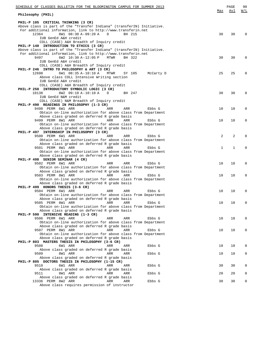| SCHEDULE OF CLASSES BULLETIN FOR THE BLOOMINGTON CAMPUS FOR SUMMER 2013                                                                 |                | PAGE | 90       |
|-----------------------------------------------------------------------------------------------------------------------------------------|----------------|------|----------|
| Philosophy (PHIL)                                                                                                                       | Max            | Avl  | W/L      |
| PHIL-P 105 CRITICAL THINKING (3 CR)                                                                                                     |                |      |          |
| Above class is part of the "Transfer Indiana" (transferIN) Initiative.                                                                  |                |      |          |
| For additional information, link to http://www.transferin.net                                                                           |                |      |          |
| 8W1 08:30 A-09:20 A<br>12364<br>D<br>BH 215<br>IUB GenEd A&H credit                                                                     | 30             | 30   | 0        |
| COLL (CASE) A&H Breadth of Inquiry credit                                                                                               |                |      |          |
| PHIL-P 140 INTRODUCTION TO ETHICS (3 CR)                                                                                                |                |      |          |
| Above class is part of the "Transfer Indiana" (transferIN) Initiative.<br>For additional information, link to http://www.transferin.net |                |      |          |
| 9497<br>6W2 10:30 A-12:05 P<br>MTWR<br>BH 322                                                                                           | 30             | 30   | $\Omega$ |
| IUB GenEd A&H credit                                                                                                                    |                |      |          |
| COLL (CASE) A&H Breadth of Inquiry credit                                                                                               |                |      |          |
| PHIL-P 246 INTRO TO PHILOSOPHY & ART (3 CR)<br>12698                                                                                    | 25             | 25   | 0        |
| 6W1 08:35 A-10:10 A<br>MTWR<br>SY 105<br>McCarty D<br>Above class COLL Intensive Writing section                                        |                |      |          |
| IUB GenEd A&H credit                                                                                                                    |                |      |          |
| COLL (CASE) A&H Breadth of Inquiry credit                                                                                               |                |      |          |
| PHIL-P 250 INTRODUCTORY SYMBOLIC LOGIC (3 CR)                                                                                           |                |      |          |
| 8W2 09:10 A-10:10 A<br>10138<br>D<br>BH 247<br>IUB GenEd N&M credit                                                                     | 30             | 30   | $\Omega$ |
| COLL (CASE) N&M Breadth of Inquiry credit                                                                                               |                |      |          |
| PHIL-P 490 READINGS IN PHILOSOPHY (1-3 CR)                                                                                              |                |      |          |
| 9498 PERM 6W1 ARR<br>ARR<br>ARR<br>Ebbs G                                                                                               | 10             | 10   | 0        |
| Obtain on-line authorization for above class from Department                                                                            |                |      |          |
| Above class graded on deferred R grade basis<br>9499 PERM 8W1 ARR<br>ARR<br>ARR<br>Ebbs G                                               | 10             | 10   | 0        |
| Obtain on-line authorization for above class from Department                                                                            |                |      |          |
| Above class graded on deferred R grade basis                                                                                            |                |      |          |
| PHIL-P 497 INTERNSHIP IN PHILOSOPHY (3 CR)                                                                                              |                |      |          |
| 9500 PERM 6W1 ARR<br>ARR<br>ARR<br>Ebbs G<br>Obtain on-line authorization for above class from Department                               | $\overline{2}$ | 2    | 0        |
| Above class graded on deferred R grade basis                                                                                            |                |      |          |
| 9501 PERM 8W1 ARR<br>ARR<br>ARR<br>Ebbs G                                                                                               | $\mathbf 1$    | 1    | 0        |
| Obtain on-line authorization for above class from Department                                                                            |                |      |          |
| Above class graded on deferred R grade basis<br>PHIL-P 498 SENIOR SEMINAR (4 CR)                                                        |                |      |          |
| 9502 PERM 6W1 ARR<br>ARR<br>ARR<br>Ebbs G                                                                                               | 10             | 10   | 0        |
| Obtain on-line authorization for above class from Department                                                                            |                |      |          |
| Above class graded on deferred R grade basis                                                                                            |                |      |          |
| 9503 PERM 8W1 ARR<br>ARR<br>ARR<br>Ebbs G                                                                                               | 10             | 10   | 0        |
| Obtain on-line authorization for above class from Department<br>Above class graded on deferred R grade basis                            |                |      |          |
| PHIL-P 499 HONORS THESIS (3-6 CR)                                                                                                       |                |      |          |
| 9504 PERM 6W1 ARR<br>ARR<br>ARR<br>Ebbs G                                                                                               | 10             | 10   | 0        |
| Obtain on-line authorization for above class from Department                                                                            |                |      |          |
| Above class graded on deferred R grade basis<br>9505 PERM 8W1 ARR<br>ARR<br>Ebbs G<br>ARR                                               | 10             | 10   | 0        |
| Obtain on-line authorization for above class from Department                                                                            |                |      |          |
| Above class graded on deferred R grade basis                                                                                            |                |      |          |
| PHIL-P 590 INTENSIVE READING (1-3 CR)                                                                                                   |                |      |          |
| 9506 PERM 6W1 ARR<br>Ebbs G<br>ARR<br>ARR                                                                                               | 10             | 10   | 0        |
| Obtain on-line authorization for above class from Department<br>Above class graded on deferred R grade basis                            |                |      |          |
| 9507 PERM 8W1 ARR<br>ARR<br>ARR<br>Ebbs G                                                                                               | 10             | 10   | 0        |
| Obtain on-line authorization for above class from Department                                                                            |                |      |          |
| Above class graded on deferred R grade basis                                                                                            |                |      |          |
| PHIL-P 803 MASTERS THESIS IN PHILOSOPHY (3-6 CR)<br>9508<br>6W1 ARR<br>ARR<br>Ebbs G<br>ARR                                             | 10             | 10   | 0        |
| Above class graded on deferred R grade basis                                                                                            |                |      |          |
| 9509<br>8W1 ARR<br>ARR<br>ARR<br>Ebbs G                                                                                                 | 10             | 10   | 0        |
| Above class graded on deferred R grade basis                                                                                            |                |      |          |
| PHIL-P 805 DOCTORS THESIS IN PHILOSOPHY (1-15 CR)<br>9510                                                                               |                |      |          |
| 6W1 ARR<br>Ebbs G<br>ARR<br>ARR<br>Above class graded on deferred R grade basis                                                         | 30             | 30   | 0        |
| Ebbs G<br>9511<br>8W1 ARR<br>ARR<br>ARR                                                                                                 | 20             | 20   | 0        |
| Above class graded on deferred R grade basis                                                                                            |                |      |          |
| 13336 PERM 8W2 ARR<br>ARR<br>Ebbs G<br>ARR                                                                                              | 30             | 30   | 0        |
| Above class requires permission of instructor                                                                                           |                |      |          |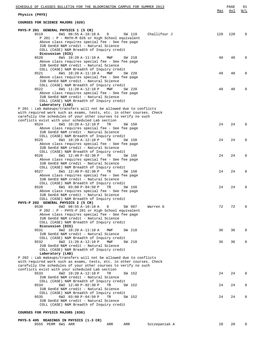| SCHEDULE OF CLASSES BULLETIN FOR THE BLOOMINGTON CAMPUS FOR SUMMER 2013<br>Physics (PHYS)                                                                                                                                                                                                       | Max | PAGE<br>Avl | 91<br>W/L   |
|-------------------------------------------------------------------------------------------------------------------------------------------------------------------------------------------------------------------------------------------------------------------------------------------------|-----|-------------|-------------|
| COURSES FOR SCIENCE MAJORS (020)                                                                                                                                                                                                                                                                |     |             |             |
| PHYS-P 201 GENERAL PHYSICS 1 (5 CR)<br>9519<br>6W1 08:55 A-10:10 A<br>Challifour J<br>D<br>SW 119<br>P 201 : P - MATH-M 026 or High School equivalent<br>Above class requires special fee - See fee page<br>IUB GenEd N&M credit - Natural Science<br>COLL (CASE) N&M Breadth of Inquiry credit | 120 | 120         | $\Omega$    |
| Discussion (DIS)<br>9520<br>6W1 10:20 A-11:10 A<br>MWF<br>SW 218<br>Above class requires special fee - See fee page<br>IUB GenEd N&M credit - Natural Science                                                                                                                                   | 40  | 40          | $\Omega$    |
| COLL (CASE) N&M Breadth of Inquiry credit<br>9521<br>6W1 10:20 A-11:10 A<br>MWF<br>SW 220<br>Above class requires special fee - See fee page<br>IUB GenEd N&M credit - Natural Science                                                                                                          | 40  | 40          | 0           |
| COLL (CASE) N&M Breadth of Inquiry credit<br>9522<br>6W1 11:20 A-12:10 P<br>MWF<br>SW 220<br>Above class requires special fee - See fee page<br>IUB GenEd N&M credit - Natural Science<br>COLL (CASE) N&M Breadth of Inquiry credit                                                             | 40  | 40          | $\Omega$    |
| Laboratory (LAB)<br>P 201 : Lab makeups/transfers will not be allowed due to conflicts<br>with required work such as exams, tests, etc. in other courses. Check<br>carefully the schedules of your other courses to verify no such                                                              |     |             |             |
| conflicts exist with your scheduled Lab section<br>9524<br>6W1 10:20 A-12:10 P<br>TR<br>SW 150<br>Above class requires special fee - See fee page<br>IUB GenEd N&M credit - Natural Science                                                                                                     | 24  | 24          | $\Omega$    |
| COLL (CASE) N&M Breadth of Inquiry credit<br>TR<br>9525<br>6W1 10:20 A-12:10 P<br>SW 158<br>Above class requires special fee - See fee page<br>IUB GenEd N&M credit - Natural Science                                                                                                           | 24  | 24          | $\Omega$    |
| COLL (CASE) N&M Breadth of Inquiry credit<br>9526<br>6W1 12:40 P-02:30 P<br>TR<br>SW 150<br>Above class requires special fee - See fee page<br>IUB GenEd N&M credit - Natural Science                                                                                                           | 24  | 24          | $\Omega$    |
| COLL (CASE) N&M Breadth of Inquiry credit<br>TR<br>9527<br>6W1 12:40 P-02:30 P<br>SW 158<br>Above class requires special fee - See fee page<br>IUB GenEd N&M credit - Natural Science                                                                                                           | 24  | 24          | $\Omega$    |
| COLL (CASE) N&M Breadth of Inquiry credit<br>9528<br>6W1 03:00 P-04:50 P<br>TR<br>SW 150<br>Above class requires special fee - See fee page                                                                                                                                                     | 24  | 24          | 0           |
| IUB GenEd N&M credit - Natural Science<br>COLL (CASE) N&M Breadth of Inquiry credit<br>PHYS-P 202 GENERAL PHYSICS 2 (5 CR)<br>9530<br>6W2 08:55 A-10:10 A<br>D<br>SW 007<br>Warren G                                                                                                            | 72  | 72          | $\Omega$    |
| P 202 : P - PHYS-P 201 or High School equivalent<br>Above class requires special fee - See fee page<br>IUB GenEd N&M credit - Natural Science<br>COLL (CASE) N&M Breadth of Inquiry credit                                                                                                      |     |             |             |
| Discussion (DIS)<br>9531<br>6W2 10:20 A-11:10 A<br>MWF<br>SW 218<br>IUB GenEd N&M credit - Natural Science<br>COLL (CASE) N&M Breadth of Inquiry credit                                                                                                                                         | 36  | 36          | $\mathbf 0$ |
| 9532<br>6W2 11:20 A-12:10 P<br>MWF<br>SW 218<br>IUB GenEd N&M credit - Natural Science<br>COLL (CASE) N&M Breadth of Inquiry credit<br>Laboratory (LAB)                                                                                                                                         | 36  | 36          | 0           |
| P 202: Lab makeups/transfers will not be allowed due to conflicts<br>with required work such as exams, tests, etc. in other courses. Check<br>carefully the schedules of your other courses to verify no such                                                                                   |     |             |             |
| conflicts exist with your scheduled Lab section<br>9533<br>6W2 10:20 A-12:10 P<br>SW 152<br>TR<br>IUB GenEd N&M credit - Natural Science<br>COLL (CASE) N&M Breadth of Inquiry credit                                                                                                           | 24  | 24          | 0           |
| 9534<br>6W2 12:40 P-02:30 P<br>TR.<br>SW 152<br>IUB GenEd N&M credit - Natural Science<br>COLL (CASE) N&M Breadth of Inquiry credit                                                                                                                                                             | 24  | 24          | 0           |
| 9535<br>6W2 03:00 P-04:50 P<br>SW 152<br>TR<br>IUB GenEd N&M credit - Natural Science<br>COLL (CASE) N&M Breadth of Inquiry credit                                                                                                                                                              | 24  | 24          | $\mathbf 0$ |

## **COURSES FOR PHYSICS MAJORS (030)**

## **PHYS-S 405 READINGS IN PHYSICS (1-3 CR)**

| 9555 PERM 6W1 ARR<br>Szczepaniak A<br>20<br>ARR<br>ARR |  |
|--------------------------------------------------------|--|
|--------------------------------------------------------|--|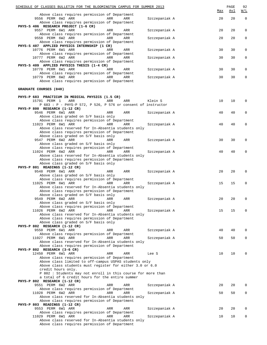| SCHEDULE OF CLASSES BULLETIN FOR THE BLOOMINGTON CAMPUS FOR SUMMER 2013                                |               | Max | PAGE<br><u>Avl</u> | 92<br>W/L   |
|--------------------------------------------------------------------------------------------------------|---------------|-----|--------------------|-------------|
| Above class requires permission of Department                                                          |               |     |                    |             |
| 9556 PERM 6W2 ARR<br>ARR<br>ARR<br>Above class requires permission of Department                       | Szczepaniak A | 20  | 20                 | $\mathbf 0$ |
| PHYS-S 406 RESEARCH PROJECT (1-6 CR)<br>9557 PERM 6W1 ARR<br>ARR<br>ARR                                | Szczepaniak A | 20  | 20                 | 0           |
| Above class requires permission of Department<br>9558 PERM 6W2 ARR<br>ARR<br>ARR                       | Szczepaniak A | 20  | 20                 | 0           |
| Above class requires permission of Department<br>PHYS-S 407 APPLIED PHYSICS INTERNSHIP (1 CR)          |               |     |                    |             |
| 10776 PERM 6W1 ARR<br>ARR<br>ARR                                                                       | Szczepaniak A | 30  | 30                 | 0           |
| Above class requires permission of Department<br>10777 PERM 6W2 ARR<br>ARR<br>ARR                      | Szczepaniak A | 30  | 30                 | 0           |
| Above class requires permission of Department<br>PHYS-S 409 APPLIED PHYSICS THESIS (1-4 CR)            |               |     |                    |             |
| 10778 PERM 6W1 ARR<br>ARR<br>ARR                                                                       | Szczepaniak A | 30  | 30                 | 0           |
| Above class requires permission of Department<br>10779 PERM 6W2 ARR<br>ARR<br><b>ARR</b>               | Szczepaniak A | 30  | 30                 | 0           |
| Above class requires permission of Department                                                          |               |     |                    |             |
| GRADUATE COURSES (040)                                                                                 |               |     |                    |             |
| PHYS-P 683 PRACTICUM IN MEDICAL PHYSICS (1.5 CR)                                                       |               |     |                    |             |
| 15791 PERM 1<br>ARR<br>ARR<br>ARR<br>$P$ 683 : P - PHYS-P 572, P 526, P 576 or consent of instructor   | Klein S       | 10  | 10                 | 0           |
| PHYS-P 800 RESEARCH (1-12 CR)<br>9546 PERM 6W1 ARR<br>ARR<br>ARR                                       | Szczepaniak A | 40  | 40                 | 0           |
| Above class graded on S/F basis only                                                                   |               |     |                    |             |
| Above class requires permission of Department<br>11023 PERM 6W1 ARR<br>ARR<br>ARR                      | Szczepaniak A | 40  | 40                 | 0           |
| Above class reserved for In-Absentia students only<br>Above class requires permission of Department    |               |     |                    |             |
| Above class graded on S/F basis only                                                                   |               |     |                    |             |
| 9547 PERM 6W2 ARR<br>ARR<br>ARR<br>Above class graded on S/F basis only                                | Szczepaniak A | 30  | 30                 | 0           |
| Above class requires permission of Department<br>11024 PERM 6W2 ARR<br>ARR<br>ARR                      |               | 40  | 40                 | 0           |
| Above class reserved for In-Absentia students only                                                     | Szczepaniak A |     |                    |             |
| Above class requires permission of Department<br>Above class graded on S/F basis only                  |               |     |                    |             |
| PHYS-P 801 READINGS (1-12 CR)                                                                          |               |     |                    |             |
| 9548 PERM 6W1 ARR<br>ARR<br>ARR<br>Above class graded on S/F basis only                                | Szczepaniak A | 20  | 20                 | 0           |
| Above class requires permission of Department<br>11025 PERM 6W1 ARR<br>ARR<br>ARR                      | Szczepaniak A | 15  | 15                 | 0           |
| Above class reserved for In-Absentia students only                                                     |               |     |                    |             |
| Above class requires permission of Department<br>Above class graded on S/F basis only                  |               |     |                    |             |
| Above class graded on S/F basis only                                                                   | Szczepaniak A | 20  | 20                 |             |
| Above class requires permission of Department                                                          |               |     |                    |             |
| 11026 PERM 6W2 ARR<br>ARR<br>ARR<br>Above class reserved for In-Absentia students only                 | Szczepaniak A | 15  | 15                 | 0           |
| Above class requires permission of Department<br>Above class graded on S/F basis only                  |               |     |                    |             |
| PHYS-P 802 RESEARCH (1-12 CR)                                                                          |               |     |                    |             |
| 9550 PERM 6W1 ARR<br>ARR<br>ARR<br>Above class requires permission of Department                       | Szczepaniak A | 40  | 40                 | 0           |
| 11027 PERM 6W1 ARR<br>ARR<br>ARR<br>Above class reserved for In-Absentia students only                 | Szczepaniak A | 50  | 50                 | 0           |
| Above class requires permission of Department                                                          |               |     |                    |             |
| PHYS-P 802 RESEARCH (3-6 CR)<br>12450 PERM 6W1 ARR<br>ARR<br>ARR                                       | Lee S         | 10  | 10                 | 0           |
| Above class requires permission of Department<br>Above class limited to off-campus USPAS students only |               |     |                    |             |
| Above class students must register for either 3.0 or 6.0                                               |               |     |                    |             |
| credit hours only.<br>P 802 : Students may not enroll in this course for more than                     |               |     |                    |             |
| a total of 6 credit hours for the entire summer<br>PHYS-P 802 RESEARCH (1-12 CR)                       |               |     |                    |             |
| 9551 PERM 6W2 ARR<br>ARR<br>ARR                                                                        | Szczepaniak A | 20  | 20                 | 0           |
| Above class requires permission of Department<br>11028 PERM 6W2 ARR<br>ARR<br>ARR                      | Szczepaniak A | 50  | 50                 | 0           |
| Above class reserved for In-Absentia students only<br>Above class requires permission of Department    |               |     |                    |             |
| PHYS-P 803 READINGS (1-12 CR)                                                                          |               |     |                    |             |
| 9553 PERM 6W1 ARR<br>ARR<br>ARR<br>Above class requires permission of Department                       | Szczepaniak A | 20  | 20                 | 0           |
| 11029 PERM 6W1 ARR<br>ARR<br>ARR<br>Above class reserved for In-Absentia students only                 | Szczepaniak A | 10  | 10                 | 0           |
| Above class requires permission of Department                                                          |               |     |                    |             |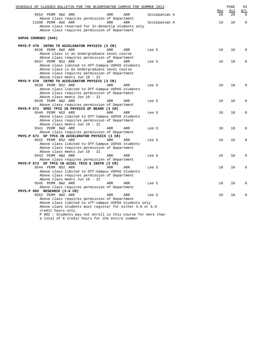| SCHEDULE OF CLASSES BULLETIN FOR THE BLOOMINGTON CAMPUS FOR SUMMER 2013 |            |            |       |               |           | PAGE      | 93              |
|-------------------------------------------------------------------------|------------|------------|-------|---------------|-----------|-----------|-----------------|
| 9554 PERM 6W2 ARR                                                       | ARR        | ARR        |       | Szczepaniak A | Max<br>20 | Avl<br>20 | W/L<br>$\Omega$ |
| Above class requires permission of Department<br>11030 PERM 6W2 ARR     | ARR        | ARR        |       |               | 10        | 10        | $\mathbf 0$     |
| Above class reserved for In-Absentia students only                      |            |            |       | Szczepaniak A |           |           |                 |
| Above class requires permission of Department                           |            |            |       |               |           |           |                 |
|                                                                         |            |            |       |               |           |           |                 |
| USPAS COURSES (045)                                                     |            |            |       |               |           |           |                 |
| PHYS-P 470 INTRO TO ACCELERATOR PHYSICS (3 CR)                          |            |            |       |               |           |           |                 |
| 9536 PERM 6W2 ARR                                                       | ARR        | ARR        | Lee S |               | 10        | 10        | $\Omega$        |
| Above class is an Undergraduate level course                            |            |            |       |               |           |           |                 |
| Above class requires permission of Department                           |            |            |       |               |           |           |                 |
| 9537 PERM NS2 ARR                                                       | ARR        | ARR        | Lee S |               | 10        | 10        | 0               |
| Above class limited to Off-Campus USPAS students                        |            |            |       |               |           |           |                 |
| Above class is an Undergraduate level course                            |            |            |       |               |           |           |                 |
| Above class requires permission of Department                           |            |            |       |               |           |           |                 |
| Above class meets Jun 10 - 21                                           |            |            |       |               |           |           |                 |
| PHYS-P 570 INTRO TO ACCELERATOR PHYSICS (3 CR)                          |            |            |       |               |           |           |                 |
| 9538 PERM NS2 ARR                                                       | ARR        | ARR        | Lee S |               | 10        | 10        | $\Omega$        |
| Above class limited to Off-Campus USPAS students                        |            |            |       |               |           |           |                 |
| Above class requires permission of Department                           |            |            |       |               |           |           |                 |
| Above class meets Jun 10 - 21                                           |            |            |       |               |           |           |                 |
| 9539 PERM 6W2 ARR                                                       | ARR        | ARR        | Lee S |               | 10        | 10        | 0               |
| Above class requires permission of Department                           |            |            |       |               |           |           |                 |
| PHYS-P 571 SPEC TPCS IN PHYSICS OF BEAMS (3 CR)                         |            |            |       |               |           |           |                 |
| 9540 PERM NS2 ARR                                                       | ARR        | ARR        | Lee S |               | 10        | 10        | 0               |
| Above class limited to Off-Campus USPAS students                        |            |            |       |               |           |           |                 |
| Above class requires permission of Department                           |            |            |       |               |           |           |                 |
| Above class meets Jun 10 - 21                                           |            |            |       |               |           |           |                 |
| 9541 PERM 6W2 ARR                                                       | ARR        | ARR        | Lee S |               | 10        | 10        | 0               |
| Above class requires permission of Department                           |            |            |       |               |           |           |                 |
| PHYS-P 671 SP TPCS IN ACCELERATOR PHYSICS (3 CR)                        |            |            |       |               |           |           |                 |
| 9542 PERM NS2 ARR                                                       | ARR        | ARR        | Lee S |               | 10        | 10        | 0               |
| Above class limited to Off-Campus USPAS students                        |            |            |       |               |           |           |                 |
| Above class requires permission of Department                           |            |            |       |               |           |           |                 |
| Above class meets Jun 10 - 21                                           |            |            |       |               |           |           |                 |
| 9543 PERM 6W2 ARR                                                       | ARR        | ARR        | Lee S |               | 10        | 10        | 0               |
| Above class requires permission of Department                           |            |            |       |               |           |           |                 |
| PHYS-P 672 SP TPCS IN ACCEL TECH & INSTR (3 CR)                         |            |            |       |               |           |           |                 |
| 9544 PERM NS2 ARR                                                       | <b>ARR</b> | ARR        | Lee S |               | 10        | 10        | 0               |
| Above class limited to Off-Campus USPAS students                        |            |            |       |               |           |           |                 |
| Above class requires permission of Department                           |            |            |       |               |           |           |                 |
| Above class meets Jun 10 - 21                                           |            |            |       |               |           |           |                 |
| 9545 PERM 6W2 ARR                                                       | ARR        | ARR        | Lee S |               | 10        | 10        | 0               |
| Above class requires permission of Department                           |            |            |       |               |           |           |                 |
| PHYS-P 802 RESEARCH (3-6 CR)                                            |            |            |       |               |           |           |                 |
| 9552 PERM 6W2 ARR                                                       | ARR        | <b>ARR</b> | Lee S |               | 10        | 10        | $\Omega$        |
| Above class requires permission of Department                           |            |            |       |               |           |           |                 |
| Above class limited to off-campus USPAS students only                   |            |            |       |               |           |           |                 |
| Above class students must register for either 3.0 or 6.0                |            |            |       |               |           |           |                 |
| credit hours only.                                                      |            |            |       |               |           |           |                 |
| P 802 : Students may not enroll in this course for more than            |            |            |       |               |           |           |                 |

a total of 6 credit hours for the entire summer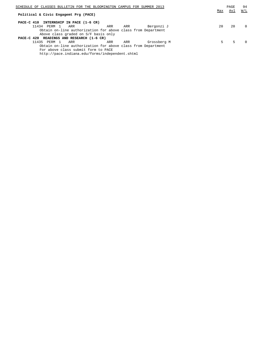| SCHEDULE OF CLASSES BULLETIN FOR THE BLOOMINGTON CAMPUS FOR SUMMER 2013 |     | PAGE | 94       |
|-------------------------------------------------------------------------|-----|------|----------|
| Political & Civic Engagemt Prg (PACE)                                   | Max | Avl  | W/L      |
|                                                                         |     |      |          |
| PACE-C 410 INTERNSHIP IN PACE (1-6 CR)                                  |     |      |          |
| Bergonzi J<br>11434<br>PERM 1<br>ARR<br>ARR<br>ARR                      | 20  | 20   | $\Omega$ |
| Obtain on-line authorization for above class from Department            |     |      |          |
| Above class graded on S/F basis only                                    |     |      |          |
| PACE-C 420 READINGS AND RESEARCH (1-6 CR)                               |     |      |          |
| 11435<br>Grossberg M<br>PERM 1<br>ARR<br>ARR<br>ARR                     | 5.  | 5    | $\Omega$ |
| Obtain on-line authorization for above class from Department            |     |      |          |
| For above class submit form to PACE                                     |     |      |          |

http://pace.indiana.edu/forms/independent.shtml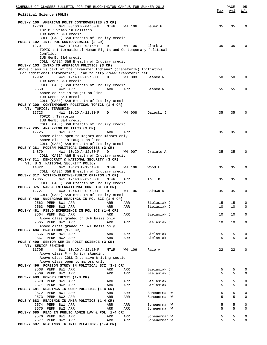| SCHEDULE OF CLASSES BULLETIN FOR THE BLOOMINGTON CAMPUS FOR SUMMER 2013                                                |            |            |                              |        | PAGE   | 95         |
|------------------------------------------------------------------------------------------------------------------------|------------|------------|------------------------------|--------|--------|------------|
| Political Science (POLS)                                                                                               |            |            |                              | Max    | Avl    | <u>W/L</u> |
| POLS-Y 100 AMERICAN POLIT CONTROVERSIES (3 CR)                                                                         |            |            |                              |        |        |            |
| 12700<br>6W1 03:00 P-04:50 P                                                                                           | MTWR       | WH 106     | Bauer N                      | 35     | 35     | $\Omega$   |
| TOPIC: Women in Politics<br>IUB GenEd S&H credit                                                                       |            |            |                              |        |        |            |
| COLL (CASE) S&H Breadth of Inquiry credit                                                                              |            |            |                              |        |        |            |
| POLS-Y 102 INTL POL CONTROVERSIES (3 CR)                                                                               |            |            |                              |        |        |            |
| 12701<br>$4W2$ 12:40 P-02:50 P<br>$\Box$<br>TOPIC : International Human Rights and Contemporary Political              |            | WH 106     | Clark J                      | 35     | 35     | $\Omega$   |
| Conflict                                                                                                               |            |            |                              |        |        |            |
| IUB GenEd S&H credit                                                                                                   |            |            |                              |        |        |            |
| COLL (CASE) S&H Breadth of Inquiry credit                                                                              |            |            |                              |        |        |            |
| POLS-Y 103 INTRO TO AMERICAN POLITICS (3 CR)<br>Above class is part of the "Transfer Indiana" (transferIN) Initiative. |            |            |                              |        |        |            |
| For additional information, link to http://www.transferin.net                                                          |            |            |                              |        |        |            |
| 12982<br>4W1 12:40 P-02:50 P<br>D                                                                                      |            | WH 003     | Bianco W                     | 50     | 50     | 0          |
| IUB GenEd S&H credit                                                                                                   |            |            |                              |        |        |            |
| COLL (CASE) S&H Breadth of Inquiry credit<br>9559<br>4W2 ARR                                                           | ARR        | ARR        | Bianco W                     | 55     | 55     | $\Omega$   |
| Above course is taught on-line                                                                                         |            |            |                              |        |        |            |
| IUB GenEd S&H credit                                                                                                   |            |            |                              |        |        |            |
| COLL (CASE) S&H Breadth of Inquiry credit<br>POLS-Y 200 CONTEMPORARY POLITICAL TOPICS (1-6 CR)                         |            |            |                              |        |        |            |
| VT: TOPICS: TERRORISM                                                                                                  |            |            |                              |        |        |            |
| 12723<br>4W1 10:20 A-12:30 P<br>D                                                                                      |            | WH 008     | Dalecki J                    | 35     | 35     | $\Omega$   |
| TOPIC : Terrorism<br>IUB GenEd S&H credit                                                                              |            |            |                              |        |        |            |
| COLL (CASE) S&H Breadth of Inquiry credit                                                                              |            |            |                              |        |        |            |
| POLS-Y 205 ANALYZING POLITICS (3 CR)                                                                                   |            |            |                              |        |        |            |
| 12725<br>8W1 ARR                                                                                                       | ARR        | ARR        |                              | 35     | 35     | $\Omega$   |
| Above class open to majors and minors only<br>Above class is taught on-line                                            |            |            |                              |        |        |            |
| COLL (CASE) S&H Breadth of Inquiry credit                                                                              |            |            |                              |        |        |            |
| POLS-Y 281 MODERN POLITICAL IDEOLOGIES (3 CR)                                                                          |            |            |                              |        |        |            |
| 4W1 10:20 A-12:30 P<br>14879<br>D<br>COLL (CASE) A&H Breadth of Inquiry credit                                         |            | WH 007     | Craiutu A                    | 35     | 35     | $\Omega$   |
| POLS-Y 311 DEMOCRACY & NATIONAL SECURITY (3 CR)                                                                        |            |            |                              |        |        |            |
| VT: U.S. NATIONAL SECURITY POLICY                                                                                      |            |            |                              |        |        |            |
| 14822<br>6W2 10:20 A-12:10 P                                                                                           | MTWR       | WH 106     | Wood L                       | 35     | 35     | 0          |
| COLL (CASE) S&H Breadth of Inquiry credit<br>POLS-Y 317 VOTING/ELECTNS/PUBLIC OPINION (3 CR)                           |            |            |                              |        |        |            |
| 12365<br>6W1 12:40 P-02:30 P                                                                                           | MTWR       | ARR        | Toll B                       | 35     | 35     | 0          |
| COLL (CASE) S&H Breadth of Inquiry credit                                                                              |            |            |                              |        |        |            |
| POLS-Y 375 WAR & INTERNATIONAL CONFLICT (3 CR)<br>12727<br>4W3 12:40 P-02:30 P<br>D                                    |            |            | Sakuwa K                     | 35     | 35     | 0          |
| COLL (CASE) S&H Breadth of Inquiry credit                                                                              |            | WH 106     |                              |        |        |            |
| POLS-Y 480 UNDERGRAD READINGS IN POL SCI (1-6 CR)                                                                      |            |            |                              |        |        |            |
| 9562 PERM 8W1 ARR                                                                                                      | ARR        | ARR        | Bielasiak J                  | 15     | 15     | 0          |
| 9563 PERM 8W2 ARR<br>POLS-Y 481 FIELD EXPERIENCE IN POL SCI (1-6 CR)                                                   | ARR        | ARR        | Bielasiak J                  | 10     | 10     | 0          |
| 9564 PERM 8W1 ARR                                                                                                      | ARR        | ARR        | Bielasiak J                  | 10     | 10     | 0          |
| Above class graded on S/F basis only                                                                                   |            |            |                              |        |        |            |
| 9565 PERM 8W2 ARR<br>Above class graded on S/F basis only                                                              | ARR        | ARR        | Bielasiak J                  | 10     | 10     | 0          |
| POLS-Y 484 PRACTICUM (1-6 CR)                                                                                          |            |            |                              |        |        |            |
| 9566 PERM 8W1 ARR                                                                                                      | ARR        | ARR        | Bielasiak J                  | 5      | 5      | 0          |
| 9567 PERM 8W2 ARR                                                                                                      | ARR        | ARR        | Bielasiak J                  | 5      | 5      | 0          |
| POLS-Y 490 SENIOR SEM IN POLIT SCIENCE (3 CR)<br>VT: SENIOR SEMINAR                                                    |            |            |                              |        |        |            |
| 11705<br>6W1 10:20 A-12:10 P                                                                                           | MTWR       | WH 106     | Razo A                       | 22     | 22     | 0          |
| Above class P - Junior standing                                                                                        |            |            |                              |        |        |            |
| Above class COLL Intensive Writing section<br>Above class open to majors only                                          |            |            |                              |        |        |            |
| POLS-Y 496 FOREIGN STUDY IN POLITICAL SCI (3-8 CR)                                                                     |            |            |                              |        |        |            |
| 9568 PERM 8W1 ARR                                                                                                      | ARR        | ARR        | Bielasiak J                  | 5      | 5      | 0          |
| 9569 PERM 8W2 ARR                                                                                                      | ARR        | ARR        | Bielasiak J                  | 5      | 5      | 0          |
| POLS-Y 499 HONORS THESIS (1-8 CR)<br>9570 PERM 8W1 ARR                                                                 | ARR        | ARR        | Bielasiak J                  | 5      | 5      | 0          |
| 9571 PERM 8W2 ARR                                                                                                      | ARR        | ARR        | Bielasiak J                  | 5      | 5      | 0          |
| POLS-Y 681 READINGS IN COMP POLITICS (1-4 CR)                                                                          |            |            |                              |        |        |            |
| 9572 PERM 8W1 ARR<br>9573 PERM 8W2 ARR                                                                                 | ARR<br>ARR | ARR<br>ARR | Scheuerman W<br>Scheuerman W | 5<br>5 | 5<br>5 | 0<br>0     |
| POLS-Y 683 READINGS IN AMER POLITICS (1-4 CR)                                                                          |            |            |                              |        |        |            |
| 9574 PERM 8W1 ARR                                                                                                      | ARR        | ARR        | Scheuerman W                 | 5      | 5      | 0          |
| 9575 PERM 8W2 ARR                                                                                                      | ARR        | ARR        | Scheuerman W                 | 5      | 5      | 0          |
| POLS-Y 685 READ IN PUBLIC ADMIN, LAW & POL (1-4 CR)<br>9576 PERM 8W1 ARR                                               | ARR        | ARR        | Scheuerman W                 | 5      | 5      | 0          |
| 9577 PERM 8W2 ARR                                                                                                      | ARR        | ARR        | Scheuerman W                 | 5      | 5      | 0          |
| POLS-Y 687 READINGS IN INTL RELATIONS (1-4 CR)                                                                         |            |            |                              |        |        |            |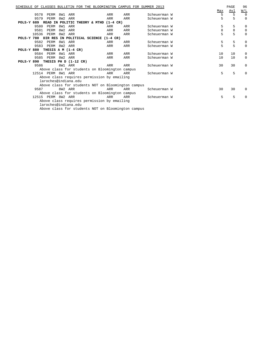|            |       |                       |     |         |                                                   |                      |                                                    | SCHEDULE OF CLASSES BULLETIN FOR THE BLOOMINGTON CAMPUS FOR SUMMER 2013 |  |     | PAGE       | 96          |
|------------|-------|-----------------------|-----|---------|---------------------------------------------------|----------------------|----------------------------------------------------|-------------------------------------------------------------------------|--|-----|------------|-------------|
|            |       |                       |     |         |                                                   |                      |                                                    |                                                                         |  | Max | <u>Avl</u> | W/L         |
|            | 9578  | PERM                  | 8W1 | ARR     |                                                   | ARR                  | ARR                                                | Scheuerman W                                                            |  | 5   | 5          | $\Omega$    |
|            | 9579  | PERM                  | 8W2 | ARR     |                                                   | ARR                  | ARR                                                | Scheuerman W                                                            |  | 5   | 5          | $\mathbf 0$ |
|            |       |                       |     |         | POLS-Y 689 READ IN POLITIC THEORY & MTHD (1-4 CR) |                      |                                                    |                                                                         |  |     |            |             |
|            | 9580  | PERM                  |     | 8W1 ARR |                                                   | ARR                  | ARR                                                | Scheuerman W                                                            |  | 5   | 5          | 0           |
|            | 9581  | PERM                  | 8W2 | ARR     |                                                   | ARR                  | ARR                                                | Scheuerman W                                                            |  | 8   | 8          | 0           |
|            | 10536 | PERM                  | 8W2 | ARR     |                                                   | ARR                  | ARR                                                | Scheuerman W                                                            |  | 5   | 5          | 0           |
| POLS-Y 780 |       |                       |     |         | DIR RES IN POLITICAL SCIENCE                      | $(1-4 \, \text{CR})$ |                                                    |                                                                         |  |     |            |             |
|            | 9582  | PERM                  | 8W1 | ARR     |                                                   | ARR                  | ARR                                                | Scheuerman W                                                            |  | 5   | 5          | $\mathbf 0$ |
|            | 9583  | PERM                  | 8W2 | ARR     |                                                   | ARR                  | ARR                                                | Scheuerman W                                                            |  | 5   | 5          | 0           |
| POLS-Y 880 |       | THESIS A M (1-4 CR)   |     |         |                                                   |                      |                                                    |                                                                         |  |     |            |             |
|            |       | 9584 PERM             |     | 8W1 ARR |                                                   | ARR                  | ARR                                                | Scheuerman W                                                            |  | 10  | 10         | 0           |
|            | 9585  | PERM                  | 8W2 | ARR     |                                                   | ARR                  | ARR                                                | Scheuerman W                                                            |  | 10  | 10         | 0           |
| POLS-Y 890 |       | THESIS PH D (1-12 CR) |     |         |                                                   |                      |                                                    |                                                                         |  |     |            |             |
|            | 9586  |                       |     | 8W1 ARR |                                                   | ARR                  | ARR                                                | Scheuerman W                                                            |  | 30  | 30         | $\mathbf 0$ |
|            |       |                       |     |         |                                                   |                      | Above class for students on Bloomington campus     |                                                                         |  |     |            |             |
|            |       | 12514 PERM 8W1 ARR    |     |         |                                                   | ARR                  | ARR                                                | Scheuerman W                                                            |  | 5   | 5          | $\Omega$    |
|            |       |                       |     |         | Above class requires permission by emailing       |                      |                                                    |                                                                         |  |     |            |             |
|            |       | laroches@indiana.edu  |     |         |                                                   |                      |                                                    |                                                                         |  |     |            |             |
|            |       |                       |     |         |                                                   |                      | Above class for students NOT on Bloomington campus |                                                                         |  |     |            |             |
|            | 9587  |                       |     | 8W2 ARR |                                                   | ARR                  | ARR                                                | Scheuerman W                                                            |  | 30  | 30         | $\Omega$    |
|            |       |                       |     |         |                                                   |                      | Above class for students on Bloomington campus     |                                                                         |  |     |            |             |
|            |       | 12515 PERM 8W2 ARR    |     |         |                                                   | ARR                  | ARR                                                | Scheuerman W                                                            |  | 5   | 5          | $\Omega$    |
|            |       |                       |     |         | Above class requires permission by emailing       |                      |                                                    |                                                                         |  |     |            |             |
|            |       | laroches@indiana.edu  |     |         |                                                   |                      |                                                    |                                                                         |  |     |            |             |
|            |       |                       |     |         |                                                   |                      | Above class for students NOT on Bloomington campus |                                                                         |  |     |            |             |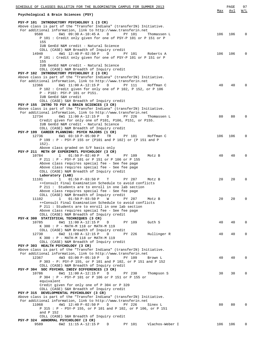| SCHEDULE OF CLASSES BULLETIN FOR THE BLOOMINGTON CAMPUS FOR SUMMER 2013                                                                 |     | PAGE | 97       |
|-----------------------------------------------------------------------------------------------------------------------------------------|-----|------|----------|
|                                                                                                                                         | Max | Avl  | W/L      |
| Psychological & Brain Sciences (PSY)                                                                                                    |     |      |          |
| PSY-P 101 INTRODUCTORY PSYCHOLOGY 1 (3 CR)                                                                                              |     |      |          |
| Above class is part of the "Transfer Indiana" (transferIN) Initiative.                                                                  |     |      |          |
| For additional information, link to http://www.transferin.net                                                                           |     |      |          |
| 6W1 09:30 A-10:45 A<br>9588<br>D<br>PY 101<br>Thomassen L                                                                               | 106 | 106  | $\Omega$ |
| P 101 : Credit only given for one of PSY-P 101 or P 151 or P                                                                            |     |      |          |
| 155                                                                                                                                     |     |      |          |
| IUB GenEd N&M credit - Natural Science                                                                                                  |     |      |          |
| COLL (CASE) N&M Breadth of Inquiry credit                                                                                               |     |      |          |
| 4W1 12:40 P-02:50 P<br>D<br>14940<br>PY 101<br>Roberts A                                                                                | 106 | 106  | $\Omega$ |
| P 101: Credit only given for one of PSY-P 101 or P 151 or P                                                                             |     |      |          |
| 155                                                                                                                                     |     |      |          |
| IUB GenEd N&M credit - Natural Science                                                                                                  |     |      |          |
| COLL (CASE) N&M Breadth of Inquiry credit                                                                                               |     |      |          |
| PSY-P 102 INTRODUCTORY PSYCHOLOGY 2 (3 CR)                                                                                              |     |      |          |
| Above class is part of the "Transfer Indiana" (transferIN) Initiative.                                                                  |     |      |          |
| For additional information, link to http://www.transferin.net                                                                           |     |      |          |
| 12366<br>6W1 11:00 A-12:15 P<br>D<br>PY 111<br>Hoffman C                                                                                | 40  | 40   |          |
| P 102 : Credit given for only one of P 102, P 152, or P 106                                                                             |     |      |          |
| P - P102: PSY-P 101 or P151.                                                                                                            |     |      |          |
| IUB GenEd S&H credit                                                                                                                    |     |      |          |
| COLL (CASE) S&H Breadth of Inquiry credit                                                                                               |     |      |          |
| PSY-P 155 INTRO TO PSY & BRAIN SCIENCES (3 CR)                                                                                          |     |      |          |
| Above class is part of the "Transfer Indiana" (transferIN) Initiative.                                                                  |     |      |          |
| For additional information, link to http://www.transferin.net                                                                           |     |      |          |
| 12734<br>6W1 11:00 A-12:15 P<br>D<br>PY 226<br>Thomassen L                                                                              | 80  | 80   | $\Omega$ |
| Credit given for only one of P101, P106, P151, or P155.                                                                                 |     |      |          |
| IUB GenEd N&M credit - Natural Science                                                                                                  |     |      |          |
| COLL (CASE) N&M Breadth of Inquiry credit                                                                                               |     |      |          |
| PSY-P 199 CAREER PLANNING: PSYCH MAJORS (1 CR)                                                                                          |     |      |          |
| 12736<br>6W1 03:10 P-05:00 P<br>TR<br>PY 101<br>Hoffman C                                                                               | 106 | 106  | $\Omega$ |
| P 199 : P - PSY-P 155 or (P101 and P 102) or (P 151 and P                                                                               |     |      |          |
| $152$ .                                                                                                                                 |     |      |          |
| Above class graded on S/F basis only                                                                                                    |     |      |          |
| PSY-P 211 METH OF EXPERIMNTL PSYCHOLOGY (3 CR)                                                                                          |     |      |          |
| 10784<br>$01:50 P-02:40 P$<br>$\mathbf{1}$<br>M<br>PY 109<br>Motz B                                                                     | 40  | 40   | $\Omega$ |
| P 211 : P - PSY-P 101 or P 151 or P 106 or P 155                                                                                        |     |      |          |
| Above class requires special fee - See fee page                                                                                         |     |      |          |
| Above class requires special fee - See fee page                                                                                         |     |      |          |
| COLL (CASE) N&M Breadth of Inquiry credit                                                                                               |     |      |          |
| Laboratory (LAB)                                                                                                                        |     |      |          |
| 11101<br>1<br>$01:50 P - 03:50 P$<br>Т<br>PY 287<br>Motz B                                                                              | 20  | 20   | $\Omega$ |
| ++Consult Final Examination Schedule to avoid conflicts                                                                                 |     |      |          |
| P 211: Students are to enroll in one lab section                                                                                        |     |      |          |
| Above class requires special fee - See fee page                                                                                         |     |      |          |
| COLL (CASE) N&M Breadth of Inquiry credit                                                                                               |     |      |          |
| 11102<br>1<br>$01:50 P-03:50 P$<br>W<br>PY 287<br>Motz B                                                                                | 20  | 20   | 0        |
| ++Consult Final Examination Schedule to avoid conflicts                                                                                 |     |      |          |
| P 211: Students are to enroll in one lab section                                                                                        |     |      |          |
| Above class requires special fee - See fee page                                                                                         |     |      |          |
| COLL (CASE) N&M Breadth of Inquiry credit                                                                                               |     |      |          |
| PSY-K 300 STATISTICAL TECHNIQUES (3 CR)                                                                                                 |     |      |          |
| 6W1 11:00 A-12:15 P<br>Guth S<br>10785<br>D<br>PY 109                                                                                   | 40  | 40   | 0        |
| K 300 : P - MATH-M 118 or MATH-M 119                                                                                                    |     |      |          |
| COLL (CASE) N&M Breadth of Inquiry credit                                                                                               |     |      |          |
| 12730<br>6W2 11:00 A-12:15 P<br>D<br>PY 226<br>Hullinger R                                                                              | 40  | 40   | $\Omega$ |
| K 300 : P - MATH-M 118 or MATH-M 119                                                                                                    |     |      |          |
| COLL (CASE) N&M Breadth of Inquiry credit                                                                                               |     |      |          |
| PSY-P 303 HEALTH PSYCHOLOGY (3 CR)                                                                                                      |     |      |          |
| Above class is part of the "Transfer Indiana" (transferIN) Initiative.                                                                  |     |      |          |
| For additional information, link to http://www.transferin.net                                                                           |     |      |          |
| 12367<br>4W3 03:00 P-05:10 P<br>$\mathbf{D}$<br>PY 109<br>Brown L                                                                       | 40  | 40   | $\Omega$ |
| P 303 - P: PSY-P 155, or P 101 and P 102, or P 151 and P 152                                                                            |     |      |          |
| COLL (CASE) N&M Breadth of Inquiry credit                                                                                               |     |      |          |
| PSY-P 304 SOC PSYCHOL INDIV DIFFERENCES (3 CR)                                                                                          |     |      |          |
| 10786<br>6W1 11:00 A-12:15 P<br>D<br>PY 230<br>Thompson S                                                                               | 30  | 30   | $\Omega$ |
| P 304 : P - PSY-P 101 or P 106 or P 151 or P 155 or                                                                                     |     |      |          |
| equivalent<br>Credit given for only one of P 304 or P 320                                                                               |     |      |          |
|                                                                                                                                         |     |      |          |
| COLL (CASE) S&H Breadth of Inquiry credit                                                                                               |     |      |          |
| PSY-P 315 DEVELOPMENTAL PSYCHOLOGY (3 CR)                                                                                               |     |      |          |
| Above class is part of the "Transfer Indiana" (transferIN) Initiative.<br>For additional information, link to http://www.transferin.net |     |      |          |
| 11068<br>4W1 12:40 P-02:50 P<br>D<br>PY 226<br>Sinex L                                                                                  | 80  | 80   | $\Omega$ |
| P 315 : P - PSY-P 155, or P 101 and P 102, or P 106, or P 151                                                                           |     |      |          |
| and $P$ 152                                                                                                                             |     |      |          |
| COLL (CASE) S&H Breadth of Inquiry credit                                                                                               |     |      |          |
| PSY-P 324 ABNORMAL PSYCHOLOGY (3 CR)                                                                                                    |     |      |          |
| 9589<br>6W2 11:15 A-12:15 P<br>PY 101<br>Vlachos-Weber I<br>D                                                                           | 106 | 106  | 0        |
|                                                                                                                                         |     |      |          |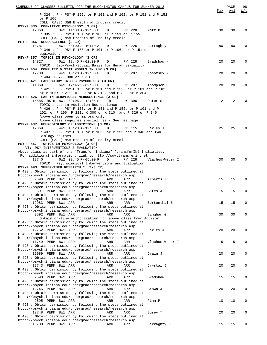| SCHEDULE OF CLASSES BULLETIN FOR THE BLOOMINGTON CAMPUS FOR SUMMER 2013                                                  | Max | PAGE<br>Avl | 98<br>W/L    |
|--------------------------------------------------------------------------------------------------------------------------|-----|-------------|--------------|
| P 324 : P - PSY-P 155, or P 101 and P 102, or P 151 and P 152                                                            |     |             |              |
| or P 106<br>COLL (CASE) S&H Breadth of Inquiry credit                                                                    |     |             |              |
| PSY-P 335 COGNITIVE PSYCHOLOGY (3 CR)                                                                                    |     |             |              |
| 12368<br>8W1 11:30 A-12:30 P<br>Motz B<br>D<br>PY 228<br>P 335 : P - PSY-P 101 or P 106 or P 151 or P 155                | 30  | 30          | 0            |
| COLL (CASE) N&M Breadth of Inquiry credit                                                                                |     |             |              |
| PSY-P 346 NEUROSCIENCE (3 CR)                                                                                            |     |             |              |
| 10787<br>4W1 08:00 A-10:10 A<br>PY 226<br>D<br>Garraghty P<br>P 346 : P - PSY-P 155 or P 101 or P 106, or P 151 or       | 80  | 80          | 0            |
| equivalent                                                                                                               |     |             |              |
| PSY-P 357 TOPICS IN PSYCHOLOGY (3 CR)                                                                                    |     |             |              |
| 6W1 12:45 P-02:00 P<br>PY 228<br>Bradshaw H<br>14827<br>D<br>TOPIC: Bio-Psych-Social Basis for Human Sexuality           | 20  | 20          | 0            |
| PSY-P 404 COMPUTER & STAT MODELS IN PSY (3 CR)                                                                           |     |             |              |
| 4W1 10:20 A-12:30 P<br>12738<br>$\mathbb{D}$<br>PY 287<br>Nosofsky R                                                     | 20  | 20          | 0            |
| P 404: PSY-K 300 or K310.<br>PSY-P 421 LABORATORY IN SOC PSYCHOLOGY (3 CR)                                               |     |             |              |
| 11069<br>6W1 12:45 P-02:00 P<br>D<br>PY 287<br>Thompson S                                                                | 20  | 20          | 0            |
| P 421 : P - PSY-P 155 or P 151 and P 152, or P 101 and P 102,                                                            |     |             |              |
| or P 106; P 211; K 300 or K 310, and P 320 or P 304<br>PSY-P 426 LAB IN BEHAVIORAL NEUROSCIENCE (3 CR)                   |     |             |              |
| 15585 RSTR 8W1 09:05 A-12:35 P<br>PY 396<br>TR<br>Oster S                                                                | 12  | 12          | $\Omega$     |
| TOPIC : Lab in Addiction Neuroscience                                                                                    |     |             |              |
| P 426 : P - PSY-P 155, or P 151 and P 152, or P 101 and P<br>102, or P 106; P 211; K 300 or K 310; and P 326 or P 346    |     |             |              |
| Above class open to majors only                                                                                          |     |             |              |
| Above class requires special fee - See fee page                                                                          |     |             |              |
| PSY-P 437 NEUROBIOLOGY OF ADDICTIONS (3 CR)                                                                              |     |             |              |
| 12369<br>4W1 10:20 A-12:30 P D<br>Farley J<br>PY 115<br>P 437 : P - PSY-P 101 or P 106, or P 155 and P 346 and two       | 25  | 25          | <sup>0</sup> |
| Biology courses                                                                                                          |     |             |              |
| COLL (CASE) N&M Breadth of Inquiry credit                                                                                |     |             |              |
| PSY-P 457 TOPICS IN PSYCHOLOGY (3 CR)<br>VT: PSY INTERVENTIONS & EVALUATION                                              |     |             |              |
| Above class is part of the "Transfer Indiana" (transferIN) Initiative.                                                   |     |             |              |
| For additional information, link to http://www.transferin.net                                                            |     |             |              |
| 6W2 03:45 P-05:00 P<br>12740<br>D<br>PY 228<br>Vlachos-Weber I<br>TOPIC: Psychological Interventions and Evaluation      | 30  | 30          | $\Omega$     |
| PSY-P 493 SUPERVISED RESEARCH 1 (2-3 CR)                                                                                 |     |             |              |
| P 493: Obtain permission by following the steps outlined at                                                              |     |             |              |
| http://psych.indiana.edu/undergrad/research/research.asp<br>9590 PERM 8W1 ARR<br>ARR<br>ARR<br>Alberts J                 | 15  | 15          | $\Omega$     |
| P 493: Obtain permission by following the steps outlined at                                                              |     |             |              |
| http://psych.indiana.edu/undergrad/research/research.asp                                                                 |     |             |              |
| 9591 PERM 8W1 ARR<br>ARR<br>ARR<br>Bates J<br>P 493: Obtain permission by following the steps outlined at                | 15  | 15          | 0            |
| http://psych.indiana.edu/undergrad/research/research.asp                                                                 |     |             |              |
| 12983 PERM 8W1 ARR<br>ARR<br>ARR<br>Bertenthal B                                                                         | 15  | 15          | 0            |
| P 493: Obtain permission by following the steps outlined at<br>http://psych.indiana.edu/undergrad/research/research.asp  |     |             |              |
| 9592 PERM 8W1 ARR<br>ARR<br>ARR<br>Bingham G                                                                             | 30  | 30          | 0            |
| Obtain on-line authorization for above class from Advisor                                                                |     |             |              |
| P 493 : Obtain permission by following the steps outlined at<br>http://psych.indiana.edu/undergrad/research/research.asp |     |             |              |
| 12762 PERM 8W1 ARR<br>Farley J<br>ARR<br>ARR                                                                             | 20  | 20          | 0            |
| P 493 : Obtain permission by following the steps outlined at                                                             |     |             |              |
| http://psych.indiana.edu/undergrad/research/research.asp<br>11749 PERM 8W1 ARR<br>ARR<br>ARR<br>Vlachos-Weber I          | 15  | 15          | 0            |
| P 493 : Obtain permission by following the steps outlined at                                                             |     |             |              |
| http://psych.indiana.edu/undergrad/research/research.asp                                                                 |     |             |              |
| 12989 PERM 8W1 ARR<br>ARR<br>ARR<br>Craig J<br>P 493: Obtain permission by following the steps outlined at               | 20  | 20          | 0            |
| http://psych.indiana.edu/undergrad/research/research.asp                                                                 |     |             |              |
| 12743 PERM 8W1 ARR<br>ARR<br>ARR<br>Crystal J                                                                            | 20  | 20          | 0            |
| P 493 : Obtain permission by following the steps outlined at<br>http://psych.indiana.edu/undergrad/research/research.asp |     |             |              |
| 9593 PERM 8W1 ARR<br>Bradshaw H<br>ARR<br>ARR                                                                            | 15  | 15          | 0            |
| P 493 : Obtain permission by following the steps outlined at                                                             |     |             |              |
| http://psych.indiana.edu/undergrad/research/research.asp<br>12745 PERM 8W1 ARR<br>ARR<br>ARR<br>Brown J                  | 20  | 20          | 0            |
| P 493 : Obtain permission by following the steps outlined at                                                             |     |             |              |
| http://psych.indiana.edu/undergrad/research/research.asp                                                                 |     |             |              |
| 9595 PERM 8W1 ARR<br>ARR<br>Finn P<br>ARR<br>P 493: Obtain permission by following the steps outlined at                 | 10  | 10          | 0            |
| http://psych.indiana.edu/undergrad/research/research.asp                                                                 |     |             |              |
| 12748 PERM 8W1 ARR<br>ARR<br>ARR<br>Busey T                                                                              | 20  | 20          | 0            |
| P 493 : Obtain permission by following the steps outlined at<br>http://psych.indiana.edu/undergrad/research/research.asp |     |             |              |
| 10788 PERM 8W1 ARR<br>Garraghty P<br>ARR<br>ARR                                                                          | 15  | 15          | 0            |
|                                                                                                                          |     |             |              |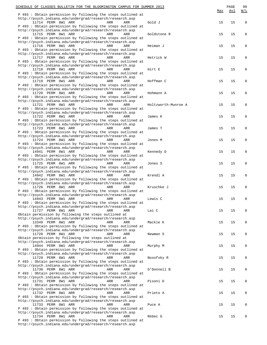| SCHEDULE OF CLASSES BULLETIN FOR THE BLOOMINGTON CAMPUS FOR SUMMER 2013<br>P 493: Obtain permission by following the steps outlined at                                                                                                   | Max | PAGE<br>Avl | 99<br>W/I |
|------------------------------------------------------------------------------------------------------------------------------------------------------------------------------------------------------------------------------------------|-----|-------------|-----------|
| http://psych.indiana.edu/undergrad/research/research.asp<br>11714 PERM 8W1 ARR<br>ARR<br>ARR<br>Gold J<br>P 493: Obtain permission by following the steps outlined at                                                                    | 15  | 15          | $\Omega$  |
| http://psych.indiana.edu/undergrad/research/research.asp<br>11715 PERM 8W1 ARR<br>ARR<br>ARR<br>Goldstone R<br>P 493: Obtain permission by following the steps outlined at                                                               | 15  | 15          | 0         |
| http://psych.indiana.edu/undergrad/research/research.asp<br>11716 PERM 8W1 ARR<br>ARR<br>Heiman J<br>ARR                                                                                                                                 | 15  | 15          | $\Omega$  |
| P 493 : Obtain permission by following the steps outlined at<br>http://psych.indiana.edu/undergrad/research/research.asp<br>11717 PERM 8W1 ARR<br>ARR<br>ARR<br>Hetrick W                                                                | 15  | 15          | 0         |
| P 493: Obtain permission by following the steps outlined at<br>http://psych.indiana.edu/undergrad/research/research.asp<br>11718 PERM 8W1 ARR<br>ARR<br>ARR<br>Hirt E                                                                    | 15  | 15          | O         |
| P 493: Obtain permission by following the steps outlined at<br>http://psych.indiana.edu/undergrad/research/research.asp<br>11719 PERM 8W1 ARR<br>ARR<br>ARR<br>Hoffman C<br>P 493 : Obtain permission by following the steps outlined at | 15  | 15          | 0         |
| http://psych.indiana.edu/undergrad/research/research.asp<br>11720 PERM 8W1 ARR<br>ARR<br>Hohmann A<br>ARR<br>P 493 : Obtain permission by following the steps outlined at                                                                | 15  | 15          | $\Omega$  |
| http://psych.indiana.edu/undergrad/research/research.asp<br>11721 PERM 8W1 ARR<br>ARR<br>ARR<br>Holtzworth-Munroe A<br>P 493: Obtain permission by following the steps outlined at                                                       | 15  | 15          | 0         |
| http://psych.indiana.edu/undergrad/research/research.asp<br>11722 PERM 8W1 ARR<br>ARR<br>ARR<br>James K<br>P 493: Obtain permission by following the steps outlined at                                                                   | 15  | 15          | O         |
| http://psych.indiana.edu/undergrad/research/research.asp<br>11723 PERM 8W1 ARR<br>ARR<br>ARR<br>James T<br>P 493 : Obtain permission by following the steps outlined at                                                                  | 15  | 15          | 0         |
| http://psych.indiana.edu/undergrad/research/research.asp<br>11724 PERM 8W1 ARR<br>ARR<br>ARR<br>Jones M<br>P 493 : Obtain permission by following the steps outlined at                                                                  | 15  | 15          | $\Omega$  |
| http://psych.indiana.edu/undergrad/research/research.asp<br>14941 PERM 8W1 ARR<br>ARR<br>ARR<br>Kennedy D<br>P 493: Obtain permission by following the steps outlined at                                                                 | 15  | 15          | 0         |
| http://psych.indiana.edu/undergrad/research/research.asp<br>11725 PERM 8W1 ARR<br>ARR<br>ARR<br>Jones S<br>P 493: Obtain permission by following the steps outlined at                                                                   | 15  | 15          | O         |
| http://psych.indiana.edu/undergrad/research/research.asp<br>14942 PERM 8W1 ARR<br>ARR<br>Krendl A<br>ARR<br>P 493 : Obtain permission by following the steps outlined at                                                                 | 15  | 15          | Ω         |
| http://psych.indiana.edu/undergrad/research/research.asp<br>11726 PERM 8W1 ARR<br>Kruschke J<br>ARR<br>ARR<br>P 493 : Obtain permission by following the steps outlined at                                                               | 15  | 15          | O         |
| http://psych.indiana.edu/undergrad/research/research.asp<br>14943 PERM 8W1 ARR<br>ARR<br>ARR<br>Lewis C<br>P 493 : Obtain permission by following the steps outlined at                                                                  | 15  | 15          | 0         |
| http://psych.indiana.edu/undergrad/research/research.asp<br>11727 PERM 8W1 ARR<br>ARR<br>Lai C<br>ARR<br>Obtain permission by following the steps outlined at                                                                            | 15  | 15          | 0         |
| http://psych.indiana.edu/undergrad/research/research.asp<br>13349 PERM 8W1 ARR<br>ARR<br>ARR<br>Mackie K<br>P 493 : Obtain permission by following the steps outlined at                                                                 | 15  | 15          | 0         |
| http://psych.indiana.edu/undergrad/research/research.asp<br>11728 PERM 8W1 ARR<br>ARR<br>Newman S<br>ARR<br>Obtain permission by following the steps outlined at                                                                         | 15  | 15          | 0         |
| http://psych.indiana.edu/undergrad/research/research.asp<br>14944 PERM 8W1 ARR<br>ARR<br>ARR<br>Murphy M<br>P 493 : Obtain permission by following the steps outlined at                                                                 | 15  | 15          | 0         |
| http://psych.indiana.edu/undergrad/research/research.asp<br>11729 PERM 8W1 ARR<br>ARR<br>Nosofsky R<br>ARR<br>P 493 : Obtain permission by following the steps outlined at                                                               | 15  | 15          | 0         |
| http://psych.indiana.edu/undergrad/research/research.asp<br>11730 PERM 8W1 ARR<br>ARR<br>ARR<br>O'Donnell B<br>P 493 : Obtain permission by following the steps outlined at                                                              | 15  | 15          | 0         |
| http://psych.indiana.edu/undergrad/research/research.asp<br>11731 PERM 8W1 ARR<br>ARR<br>ARR<br>Pisoni D<br>P 493: Obtain permission by following the steps outlined at                                                                  | 15  | 15          | 0         |
| http://psych.indiana.edu/undergrad/research/research.asp<br>11732 PERM 8W1 ARR<br>ARR<br>ARR<br>Prieto A<br>P 493 : Obtain permission by following the steps outlined at                                                                 | 15  | 15          | Ω         |
| http://psych.indiana.edu/undergrad/research/research.asp<br>11733 PERM 8W1 ARR<br>ARR<br>ARR<br>Puce A<br>P 493 : Obtain permission by following the steps outlined at                                                                   | 15  | 15          | 0         |
| http://psych.indiana.edu/undergrad/research/research.asp<br>11734 PERM 8W1 ARR<br>ARR<br>ARR<br>Rebec G<br>P 493 : Obtain permission by following the steps outlined at<br>http://psych.indiana.edu/undergrad/research/research.asp      | 15  | 15          | O         |
|                                                                                                                                                                                                                                          |     |             |           |

| <u>MER 2013</u>     | Max | $\mathop{\mathtt{PAGE}}$<br>Avl | 99<br>$\underline{W/L}$ |
|---------------------|-----|---------------------------------|-------------------------|
| Gold J              | 15  | 15                              | 0                       |
| Goldstone R         | 15  | 15                              | 0                       |
| Heiman J            | 15  | 15                              | 0                       |
| Hetrick W           | 15  | 15                              | 0                       |
| Hirt E              | 15  | 15                              | 0                       |
| Hoffman C           | 15  | 15                              | 0                       |
| Hohmann A           | 15  | 15                              | 0                       |
| Holtzworth-Munroe A | 15  | 15                              | 0                       |
| James K             | 15  | 15                              | 0                       |
| James T             | 15  | 15                              | 0                       |
| Jones M             | 15  | 15                              | 0                       |
| Kennedy D           | 15  | 15                              | 0                       |
| Jones S             | 15  | 15                              | 0                       |
| Krendl A            | 15  | 15                              | 0                       |
| Kruschke J          | 15  | 15                              | 0                       |
| Lewis C             | 15  | 15                              | 0                       |
| Lai C               | 15  | 15                              | 0                       |
| Mackie K            | 15  | 15                              | 0                       |
| Newman S            | 15  | 15                              | 0                       |
| Murphy M            | 15  | 15                              | 0                       |
| Nosofsky R          | 15  | 15                              | 0                       |
| O'Donnell B         | 15  | 15                              | 0                       |
| Pisoni D            | 15  | 15                              | 0                       |
| Prieto A            | 15  | 15                              | 0                       |
| Puce A              | 15  | 15                              | 0                       |
| Rebec G             | 15  | 15                              | 0                       |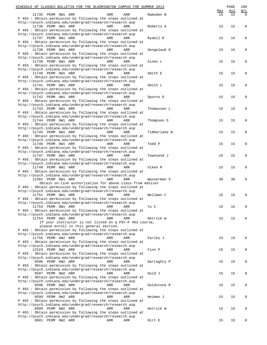| SCHEDULE OF CLASSES BULLETIN FOR THE BLOOMINGTON CAMPUS FOR SUMMER 2013                                                  | Max | $\mathop{\mathtt{PAGE}}$<br>Avl | 100<br>$\underline{W/L}$ |
|--------------------------------------------------------------------------------------------------------------------------|-----|---------------------------------|--------------------------|
| 11735 PERM 8W1 ARR<br>ARR<br>Ramsden B<br>ARR<br>P 493 : Obtain permission by following the steps outlined at            | 15  | 15                              | $\Omega$                 |
| http://psych.indiana.edu/undergrad/research/research.asp<br>11736 PERM 8W1 ARR<br>ARR<br>Roberts A<br>ARR                | 15  | 15                              | $\mathbf 0$              |
| P 493: Obtain permission by following the steps outlined at<br>http://psych.indiana.edu/undergrad/research/research.asp  |     |                                 |                          |
| 11737 PERM 8W1 ARR<br>ARR<br>Rydell R<br>ARR                                                                             | 15  | 15                              | 0                        |
| P 493 : Obtain permission by following the steps outlined at<br>http://psych.indiana.edu/undergrad/research/research.asp |     |                                 |                          |
| 11738 PERM 8W1 ARR<br>ARR<br>Sengelaub D<br>ARR<br>P 493: Obtain permission by following the steps outlined at           | 15  | 15                              | 0                        |
| http://psych.indiana.edu/undergrad/research/research.asp<br>11739 PERM 8W1 ARR<br>ARR<br>ARR<br>Sinex L                  | 15  | 15                              | 0                        |
| P 493 : Obtain permission by following the steps outlined at<br>http://psych.indiana.edu/undergrad/research/research.asp |     |                                 |                          |
| 11740 PERM 8W1 ARR<br>ARR<br>Smith E<br>ARR<br>P 493: Obtain permission by following the steps outlined at               | 15  | 15                              | 0                        |
| http://psych.indiana.edu/undergrad/research/research.asp<br>11741 PERM 8W1 ARR<br>ARR<br>Smith L<br>ARR                  | 15  | 15                              | 0                        |
| P 493 : Obtain permission by following the steps outlined at<br>http://psych.indiana.edu/undergrad/research/research.asp |     |                                 |                          |
| 11742 PERM 8W1 ARR<br>ARR<br>Sporns 0<br>ARR                                                                             | 15  | 15                              | 0                        |
| P 493: Obtain permission by following the steps outlined at<br>http://psych.indiana.edu/undergrad/research/research.asp  |     |                                 |                          |
| 11743 PERM 8W1 ARR<br>ARR<br>ARR<br>Thomassen L<br>P 493 : Obtain permission by following the steps outlined at          | 15  | 15                              | 0                        |
| http://psych.indiana.edu/undergrad/research/research.asp<br>11744 PERM 8W1 ARR<br>ARR<br>Thompson S<br>ARR               | 15  | 15                              | 0                        |
| P 493: Obtain permission by following the steps outlined at<br>http://psych.indiana.edu/undergrad/research/research.asp  |     |                                 |                          |
| 11745 PERM 8W1 ARR<br>ARR<br>ARR<br>Timberlake W<br>P 493: Obtain permission by following the steps outlined at          | 15  | 15                              | 0                        |
| http://psych.indiana.edu/undergrad/research/research.asp<br>11746 PERM 8W1 ARR<br>ARR<br>Todd P<br>ARR                   | 15  | 15                              | 0                        |
| P 493 : Obtain permission by following the steps outlined at<br>http://psych.indiana.edu/undergrad/research/research.asp |     |                                 |                          |
| 11747 PERM 8W1 ARR<br>ARR<br>ARR<br>Townsend J<br>P 493 : Obtain permission by following the steps outlined at           | 15  | 15                              | 0                        |
| http://psych.indiana.edu/undergrad/research/research.asp<br>11748 PERM 8W1 ARR<br>Viken R<br>ARR<br>ARR                  | 15  | 15                              | 0                        |
| P 493: Obtain permission by following the steps outlined at<br>http://psych.indiana.edu/undergrad/research/research.asp  |     |                                 |                          |
| 12381 PERM 8W1 ARR<br>ARR<br>ARR<br>Wasserman S<br>Obtain on-line authorization for above class from Advisor             | 30  | 30                              | 0                        |
| P 493 : Obtain permission by following the steps outlined at                                                             |     |                                 |                          |
| http://psych.indiana.edu/undergrad/research/research.asp<br>11751 PERM 8W1 ARR<br>ARR<br>Wellman C<br>ARR                | 15  | 15                              | 0                        |
| P 493 : Obtain permission by following the steps outlined at<br>http://psych.indiana.edu/undergrad/research/research.asp |     |                                 |                          |
| 11753 PERM 8W1 ARR<br>ARR<br>ARR<br>Yu C<br>P 493: Obtain permission by following the steps outlined at                  | 15  | 15                              | 0                        |
| http://psych.indiana.edu/undergrad/research/research.asp<br>11754 PERM 8W1 ARR<br>ARR<br>ARR<br>Hetrick W                | 15  | 15                              | 0                        |
| If your instructor is not listed on a PSY-P 493 course,<br>please enroll in this general section.                        |     |                                 |                          |
| P 493 : Obtain permission by following the steps outlined at<br>http://psych.indiana.edu/undergrad/research/research.asp |     |                                 |                          |
| 11755 PERM 8W2 ARR<br>ARR<br><b>ARR</b><br>Farley J<br>P 493: Obtain permission by following the steps outlined at       | 15  | 15                              | 0                        |
| http://psych.indiana.edu/undergrad/research/research.asp<br>12523 PERM 8W2 ARR<br>ARR<br>ARR<br>Finn P                   | 15  | 15                              | 0                        |
| P 493 : Obtain permission by following the steps outlined at<br>http://psych.indiana.edu/undergrad/research/research.asp |     |                                 |                          |
| 9596 PERM 8W2 ARR<br>ARR<br>Garraghty P<br>ARR<br>P 493: Obtain permission by following the steps outlined at            | 15  | 15                              | 0                        |
| http://psych.indiana.edu/undergrad/research/research.asp<br>9597 PERM 8W2 ARR<br>ARR<br>ARR<br>Gold J                    | 15  | 15                              | 0                        |
| P 493: Obtain permission by following the steps outlined at<br>http://psych.indiana.edu/undergrad/research/research.asp  |     |                                 |                          |
| 9598 PERM 8W2 ARR<br>ARR<br>Goldstone R<br>ARR<br>P 493: Obtain permission by following the steps outlined at            | 15  | 15                              | 0                        |
| http://psych.indiana.edu/undergrad/research/research.asp<br>9599 PERM 8W2 ARR<br>ARR<br>ARR<br>Heiman J                  | 15  | 15                              | 0                        |
| P 493 : Obtain permission by following the steps outlined at<br>http://psych.indiana.edu/undergrad/research/research.asp |     |                                 |                          |
| 9600 PERM 8W2 ARR<br>ARR<br>Hetrick W<br>ARR<br>P 493 : Obtain permission by following the steps outlined at             | 15  | 15                              | 0                        |
| http://psych.indiana.edu/undergrad/research/research.asp                                                                 |     |                                 |                          |
| 9601 PERM 8W2 ARR<br>ARR<br>ARR<br>Hirt E                                                                                | 15  | 15                              | 0                        |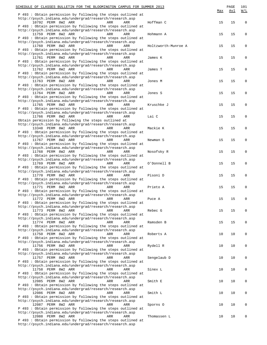| SCHEDULE OF CLASSES BULLETIN FOR THE BLOOMINGTON CAMPUS FOR SUMMER 2013                                                  |                     | Max | PAGE<br><u>Avl</u> | 101<br>W/L   |
|--------------------------------------------------------------------------------------------------------------------------|---------------------|-----|--------------------|--------------|
| P 493: Obtain permission by following the steps outlined at                                                              |                     |     |                    |              |
| http://psych.indiana.edu/undergrad/research/research.asp<br>10792 PERM 8W2 ARR<br>ARR<br>ARR                             | Hoffman C           | 15  | 15                 | $\mathbf{0}$ |
| P 493 : Obtain permission by following the steps outlined at                                                             |                     |     |                    |              |
| http://psych.indiana.edu/undergrad/research/research.asp<br>11759 PERM 8W2 ARR<br>ARR<br>ARR                             | Hohmann A           | 15  | 15                 | 0            |
| P 493: Obtain permission by following the steps outlined at                                                              |                     |     |                    |              |
| http://psych.indiana.edu/undergrad/research/research.asp                                                                 |                     |     |                    |              |
| 11760 PERM 8W2 ARR<br>ARR<br>ARR<br>P 493 : Obtain permission by following the steps outlined at                         | Holtzworth-Munroe A | 15  | 15                 | 0            |
| http://psych.indiana.edu/undergrad/research/research.asp                                                                 |                     |     |                    |              |
| 11761 PERM 8W2 ARR<br>ARR<br>ARR<br>P 493 : Obtain permission by following the steps outlined at                         | James K             | 15  | 15                 | 0            |
| http://psych.indiana.edu/undergrad/research/research.asp                                                                 |                     |     |                    |              |
| 11762 PERM 8W2 ARR<br>ARR<br>ARR                                                                                         | James T             | 15  | 15                 | 0            |
| P 493 : Obtain permission by following the steps outlined at<br>http://psych.indiana.edu/undergrad/research/research.asp |                     |     |                    |              |
| 11763 PERM 8W2 ARR<br>ARR<br>ARR                                                                                         | Jones M             | 15  | 15                 | 0            |
| P 493: Obtain permission by following the steps outlined at<br>http://psych.indiana.edu/undergrad/research/research.asp  |                     |     |                    |              |
| 11764 PERM 8W2 ARR<br>ARR<br>ARR                                                                                         | Jones S             | 15  | 15                 | 0            |
| P 493 : Obtain permission by following the steps outlined at                                                             |                     |     |                    |              |
| http://psych.indiana.edu/undergrad/research/research.asp<br>11765 PERM 8W2 ARR<br>ARR<br>ARR                             | Kruschke J          | 15  | 15                 | 0            |
| P 493 : Obtain permission by following the steps outlined at                                                             |                     |     |                    |              |
| http://psych.indiana.edu/undergrad/research/research.asp<br>11766 PERM 8W2 ARR<br>ARR<br>ARR                             | Lai C               | 15  | 15                 | 0            |
| Obtain permission by following the steps outlined at                                                                     |                     |     |                    |              |
| http://psych.indiana.edu/undergrad/research/research.asp                                                                 |                     |     |                    |              |
| 13348 PERM 8W2 ARR<br>ARR<br>ARR<br>P 493 : Obtain permission by following the steps outlined at                         | Mackie K            | 15  | 15                 | 0            |
| http://psych.indiana.edu/undergrad/research/research.asp                                                                 |                     |     |                    |              |
| 11767 PERM 8W2 ARR<br>ARR<br>ARR<br>P 493 : Obtain permission by following the steps outlined at                         | Newman S            | 15  | 15                 | 0            |
| http://psych.indiana.edu/undergrad/research/research.asp                                                                 |                     |     |                    |              |
| 11768 PERM 8W2 ARR<br>ARR<br>ARR                                                                                         | Nosofsky R          | 15  | 15                 | 0            |
| P 493 : Obtain permission by following the steps outlined at<br>http://psych.indiana.edu/undergrad/research/research.asp |                     |     |                    |              |
| 11769 PERM 8W2 ARR<br>ARR<br>ARR                                                                                         | O'Donnell B         | 15  | 15                 | 0            |
| P 493 : Obtain permission by following the steps outlined at<br>http://psych.indiana.edu/undergrad/research/research.asp |                     |     |                    |              |
| 11770 PERM 8W2 ARR<br>ARR<br>ARR                                                                                         | Pisoni D            | 15  | 15                 | 0            |
| P 493 : Obtain permission by following the steps outlined at                                                             |                     |     |                    |              |
| http://psych.indiana.edu/undergrad/research/research.asp<br>11771 PERM 8W2 ARR<br>ARR<br>ARR                             | Prieto A            | 15  | 15                 | 0            |
| P 493 : Obtain permission by following the steps outlined at                                                             |                     |     |                    |              |
| http://psych.indiana.edu/undergrad/research/research.asp<br>11772 PERM 8W2 ARR ARR ARR ARR                               | Puce A              | 15  | 15                 |              |
| P 493: Obtain permission by following the steps outlined at                                                              |                     |     |                    |              |
| http://psych.indiana.edu/undergrad/research/research.asp<br>11773 PERM 8W2 ARR<br>ARR<br>ARR                             | Rebec G             | 15  | 15                 | 0            |
| P 493 : Obtain permission by following the steps outlined at                                                             |                     |     |                    |              |
| http://psych.indiana.edu/undergrad/research/research.asp                                                                 |                     |     |                    |              |
| 11774 PERM 8W2 ARR<br>ARR<br>ARR<br>P 493 : Obtain permission by following the steps outlined at                         | Ramsden B           | 15  | 15                 | 0            |
| http://psych.indiana.edu/undergrad/research/research.asp                                                                 |                     |     |                    |              |
| 11750 PERM 8W2 ARR<br>ARR<br>ARR<br>P 493 : Obtain permission by following the steps outlined at                         | Roberts A           | 10  | 10                 | 0            |
| http://psych.indiana.edu/undergrad/research/research.asp                                                                 |                     |     |                    |              |
| 11756 PERM 8W2 ARR<br>ARR<br>ARR                                                                                         | Rydell R            | 10  | 10                 | 0            |
| P 493: Obtain permission by following the steps outlined at<br>http://psych.indiana.edu/undergrad/research/research.asp  |                     |     |                    |              |
| 11757 PERM 8W2 ARR<br>ARR<br>ARR                                                                                         | Sengelaub D         | 10  | 10                 | 0            |
| P 493 : Obtain permission by following the steps outlined at<br>http://psych.indiana.edu/undergrad/research/research.asp |                     |     |                    |              |
| 11758 PERM 8W2 ARR<br>ARR<br>ARR                                                                                         | Sinex L             | 10  | 10                 | 0            |
| P 493 : Obtain permission by following the steps outlined at                                                             |                     |     |                    |              |
| http://psych.indiana.edu/undergrad/research/research.asp<br>12085 PERM 8W2 ARR<br>ARR<br>ARR                             | Smith E             | 10  | 10                 | 0            |
| P 493 : Obtain permission by following the steps outlined at                                                             |                     |     |                    |              |
| http://psych.indiana.edu/undergrad/research/research.asp<br>12086 PERM 8W2 ARR<br>ARR<br>ARR                             | Smith L             | 10  | 10                 | 0            |
| P 493: Obtain permission by following the steps outlined at                                                              |                     |     |                    |              |
| http://psych.indiana.edu/undergrad/research/research.asp<br>12087 PERM 8W2 ARR<br>ARR<br>ARR                             | Sporns 0            | 10  | 10                 | 0            |
| P 493 : Obtain permission by following the steps outlined at                                                             |                     |     |                    |              |
| http://psych.indiana.edu/undergrad/research/research.asp                                                                 |                     |     |                    |              |
| 12088 PERM 8W2 ARR<br>ARR<br>ARR<br>P 493 : Obtain permission by following the steps outlined at                         | Thomassen L         | 10  | 10                 | 0            |
| http://psych.indiana.edu/undergrad/research/research.asp                                                                 |                     |     |                    |              |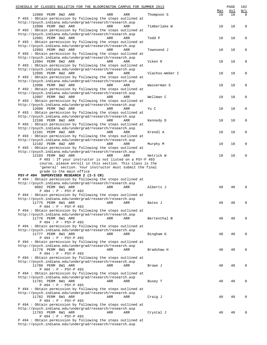| SCHEDULE OF CLASSES BULLETIN FOR THE BLOOMINGTON CAMPUS FOR SUMMER 2013                                                  |                 |           | PAGE<br>Avl | 102                           |
|--------------------------------------------------------------------------------------------------------------------------|-----------------|-----------|-------------|-------------------------------|
| 12089 PERM 8W2 ARR<br>ARR<br>ARR                                                                                         | Thompson S      | Max<br>10 | 10          | $\underline{W/L}$<br>$\Omega$ |
| P 493 : Obtain permission by following the steps outlined at                                                             |                 |           |             |                               |
| http://psych.indiana.edu/undergrad/research/research.asp                                                                 |                 |           |             |                               |
| 12090 PERM 8W2 ARR<br>ARR<br>ARR                                                                                         | Timberlake W    | 10        | 10          | 0                             |
| P 493: Obtain permission by following the steps outlined at<br>http://psych.indiana.edu/undergrad/research/research.asp  |                 |           |             |                               |
| 12091 PERM 8W2 ARR<br>ARR<br>ARR                                                                                         | Todd P          | 10        | 10          | 0                             |
| P 493: Obtain permission by following the steps outlined at                                                              |                 |           |             |                               |
| http://psych.indiana.edu/undergrad/research/research.asp                                                                 |                 |           |             |                               |
| 12093 PERM 8W2 ARR<br>ARR<br>ARR<br>P 493 : Obtain permission by following the steps outlined at                         | Townsend J      | 10        | 10          | 0                             |
| http://psych.indiana.edu/undergrad/research/research.asp                                                                 |                 |           |             |                               |
| 12094 PERM 8W2 ARR<br>ARR<br>ARR                                                                                         | Viken R         | 10        | 10          | 0                             |
| P 493: Obtain permission by following the steps outlined at                                                              |                 |           |             |                               |
| http://psych.indiana.edu/undergrad/research/research.asp                                                                 |                 |           |             |                               |
| 12095 PERM 8W2 ARR<br>ARR<br>ARR<br>P 493: Obtain permission by following the steps outlined at                          | Vlachos-Weber I | 10        | 10          | 0                             |
| http://psych.indiana.edu/undergrad/research/research.asp                                                                 |                 |           |             |                               |
| 12096 PERM 8W2 ARR<br>ARR<br>ARR                                                                                         | Wasserman S     | 10        | 10          | 0                             |
| P 493: Obtain permission by following the steps outlined at                                                              |                 |           |             |                               |
| http://psych.indiana.edu/undergrad/research/research.asp                                                                 |                 |           |             |                               |
| 12097 PERM 8W2 ARR<br>ARR<br>ARR<br>P 493 : Obtain permission by following the steps outlined at                         | Wellman C       | 10        | 10          | 0                             |
| http://psych.indiana.edu/undergrad/research/research.asp                                                                 |                 |           |             |                               |
| 12099 PERM 8W2 ARR<br>ARR<br>ARR                                                                                         | Yu C            | 10        | 10          | 0                             |
| P 493: Obtain permission by following the steps outlined at                                                              |                 |           |             |                               |
| http://psych.indiana.edu/undergrad/research/research.asp<br>12100 PERM 8W2 ARR<br>ARR<br><b>ARR</b>                      | Kennedy D       | 10        | 10          | 0                             |
| P 493: Obtain permission by following the steps outlined at                                                              |                 |           |             |                               |
| http://psych.indiana.edu/undergrad/research/research.asp                                                                 |                 |           |             |                               |
| 12101 PERM 8W2 ARR<br>ARR<br>ARR                                                                                         | Krendl A        | 10        | 10          | 0                             |
| P 493: Obtain permission by following the steps outlined at                                                              |                 |           |             |                               |
| http://psych.indiana.edu/undergrad/research/research.asp<br>12102 PERM 8W2 ARR<br>ARR<br>ARR                             | Murphy M        | 10        | 10          | 0                             |
| P 493 : Obtain permission by following the steps outlined at                                                             |                 |           |             |                               |
| http://psych.indiana.edu/undergrad/research/research.asp                                                                 |                 |           |             |                               |
| 12103 PERM 8W2 ARR<br>ARR<br>ARR                                                                                         | Hetrick W       | 10        | 10          | 0                             |
| P 493 : If your instructor is not listed on a PSY-P 493<br>course, please enroll in this section. This class is the      |                 |           |             |                               |
| 'general' section. Your instructor must submit the final                                                                 |                 |           |             |                               |
| grade to the main office                                                                                                 |                 |           |             |                               |
| PSY-P 494 SUPERVISED RESEARCH 2 (2-3 CR)                                                                                 |                 |           |             |                               |
| P 494 : Obtain permission by following the steps outlined at                                                             |                 |           |             |                               |
| http://psych.indiana.edu/undergrad/research/research.asp<br>9602 PERM 8W1 ARR<br>ARR<br>ARR                              | Alberts J       | 40        | 40          | 0                             |
| P 494 : P - PSY-P 493                                                                                                    |                 |           |             |                               |
| P 494 : Obtain permission by following the steps outlined at                                                             |                 |           |             |                               |
| http://psych.indiana.edu/undergrad/research/research.asp                                                                 |                 |           |             |                               |
| 11775 PERM 8W1 ARR<br>ARR<br>ARR<br>P 494 : P - PSY-P 493                                                                | Bates J         | 40        | 40          | 0                             |
| P 494 : Obtain permission by following the steps outlined at                                                             |                 |           |             |                               |
| http://psych.indiana.edu/undergrad/research/research.asp                                                                 |                 |           |             |                               |
| 11776 PERM 8W1 ARR<br>ARR<br>ARR                                                                                         | Bertenthal B    | 40        | 40          | 0                             |
| P 494 : P - PSY-P 493                                                                                                    |                 |           |             |                               |
| P 494 : Obtain permission by following the steps outlined at<br>http://psych.indiana.edu/undergrad/research/research.asp |                 |           |             |                               |
| 11777 PERM 8W1 ARR<br>ARR<br>ARR                                                                                         | Bingham G       | 40        | 40          | 0                             |
| P 494 : P - PSY-P 493                                                                                                    |                 |           |             |                               |
| P 494 : Obtain permission by following the steps outlined at                                                             |                 |           |             |                               |
| http://psych.indiana.edu/undergrad/research/research.asp<br>11778 PERM 8W1 ARR<br>ARR<br>ARR                             | Bradshaw H      | 40        | 40          | 0                             |
| P 494 : P - PSY-P 493                                                                                                    |                 |           |             |                               |
| P 494 : Obtain permission by following the steps outlined at                                                             |                 |           |             |                               |
| http://psych.indiana.edu/undergrad/research/research.asp                                                                 |                 |           |             |                               |
| 11780 PERM 8W1 ARR<br>ARR<br>ARR                                                                                         | Brown J         | 40        | 40          | 0                             |
| P 494 : P - PSY-P 493<br>P 494 : Obtain permission by following the steps outlined at                                    |                 |           |             |                               |
| http://psych.indiana.edu/undergrad/research/research.asp                                                                 |                 |           |             |                               |
| 11781 PERM 8W1 ARR<br>ARR<br>ARR                                                                                         | Busey T         | 40        | 40          | 0                             |
| P 494 : P - PSY-P 493                                                                                                    |                 |           |             |                               |
| P 494 : Obtain permission by following the steps outlined at                                                             |                 |           |             |                               |
| http://psych.indiana.edu/undergrad/research/research.asp<br>11782 PERM 8W1 ARR<br>ARR<br>ARR                             | Craig J         | 40        | 40          | 0                             |
| P 494 : P - PSY-P 493                                                                                                    |                 |           |             |                               |
| P 494 : Obtain permission by following the steps outlined at                                                             |                 |           |             |                               |
|                                                                                                                          |                 |           |             |                               |
| http://psych.indiana.edu/undergrad/research/research.asp                                                                 |                 |           |             |                               |
| 11783 PERM 8W1 ARR<br>ARR<br>ARR<br>P 494 : P - PSY-P 493                                                                | Crystal J       | 40        | 40          | 0                             |

http://psych.indiana.edu/undergrad/research/research.asp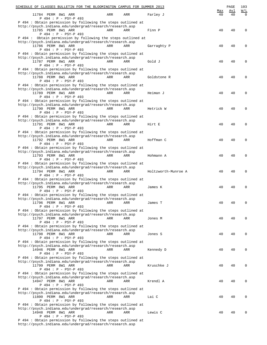| SCHEDULE OF CLASSES BULLETIN FOR THE BLOOMINGTON CAMPUS FOR SUMMER 2013                                                                           |                     |           | PAGE      | 103             |
|---------------------------------------------------------------------------------------------------------------------------------------------------|---------------------|-----------|-----------|-----------------|
| 11784 PERM 8W1 ARR<br>ARR<br>ARR                                                                                                                  | Farley J            | Max<br>40 | Avl<br>40 | W/L<br>$\Omega$ |
| P 494 : P - PSY-P 493<br>P 494 : Obtain permission by following the steps outlined at                                                             |                     |           |           |                 |
| http://psych.indiana.edu/undergrad/research/research.asp<br>11785 PERM 8W1 ARR<br>ARR<br>ARR                                                      | Finn P              | 40        | 40        | 0               |
| P 494 : P - PSY-P 493<br>P 494 : Obtain permission by following the steps outlined at<br>http://psych.indiana.edu/undergrad/research/research.asp |                     |           |           |                 |
| 11786 PERM 8W1 ARR<br>ARR<br>ARR<br>P 494 : P - PSY-P 493                                                                                         | Garraghty P         | 40        | 40        | 0               |
| P 494 : Obtain permission by following the steps outlined at<br>http://psych.indiana.edu/undergrad/research/research.asp                          |                     |           |           |                 |
| 11787 PERM 8W1 ARR<br>ARR<br>ARR<br>P 494 : P - PSY-P 493                                                                                         | Gold J              | 40        | 40        | 0               |
| P 494 : Obtain permission by following the steps outlined at<br>http://psych.indiana.edu/undergrad/research/research.asp                          |                     |           |           |                 |
| 11788 PERM 8W1 ARR<br>ARR<br>ARR<br>P 494 : P - PSY-P 493                                                                                         | Goldstone R         | 40        | 40        | 0               |
| P 494 : Obtain permission by following the steps outlined at<br>http://psych.indiana.edu/undergrad/research/research.asp                          |                     |           |           |                 |
| 11789 PERM 8W1 ARR<br>ARR<br>ARR                                                                                                                  | Heiman J            | 40        | 40        | 0               |
| P 494 : P - PSY-P 493<br>P 494 : Obtain permission by following the steps outlined at                                                             |                     |           |           |                 |
| http://psych.indiana.edu/undergrad/research/research.asp<br>11790 PERM 8W1 ARR<br>ARR<br>ARR                                                      | Hetrick W           | 40        | 40        | 0               |
| P 494 : P - PSY-P 493<br>P 494 : Obtain permission by following the steps outlined at                                                             |                     |           |           |                 |
| http://psych.indiana.edu/undergrad/research/research.asp<br>11791 PERM 8W1 ARR<br>ARR<br>ARR                                                      | Hirt E              | 40        | 40        | 0               |
| P 494 : P - PSY-P 493<br>P 494 : Obtain permission by following the steps outlined at                                                             |                     |           |           |                 |
| http://psych.indiana.edu/undergrad/research/research.asp                                                                                          |                     |           |           |                 |
| 11792 PERM 8W1 ARR<br>ARR<br>ARR<br>P 494 : P - PSY-P 493                                                                                         | Hoffman C           | 40        | 40        | 0               |
| P 494 : Obtain permission by following the steps outlined at<br>http://psych.indiana.edu/undergrad/research/research.asp                          |                     |           |           |                 |
| 11793 PERM 8W1 ARR<br>ARR<br>ARR<br>P 494 : P - PSY-P 493                                                                                         | Hohmann A           | 40        | 40        | 0               |
| P 494 : Obtain permission by following the steps outlined at<br>http://psych.indiana.edu/undergrad/research/research.asp                          |                     |           |           |                 |
| 11794 PERM 8W1 ARR<br>ARR<br>ARR<br>P 494 : P - PSY-P 493                                                                                         | Holtzworth-Munroe A | 40        | 40        | 0               |
| P 494 : Obtain permission by following the steps outlined at<br>http://psych.indiana.edu/undergrad/research/research.asp                          |                     |           |           |                 |
| 11795 PERM 8W1 ARR<br>ARR<br>ARR<br>P 494 : P - PSY-P 493                                                                                         | James K             | 40        | 40        | 0               |
| P 494 : Obtain permission by following the steps outlined at                                                                                      |                     |           |           |                 |
| http://psych.indiana.edu/undergrad/research/research.asp<br>11796 PERM 8W1 ARR<br>ARR<br>ARR                                                      | James T             | 40        | 40        | $\Omega$        |
| P 494 : P - PSY-P 493<br>P 494 : Obtain permission by following the steps outlined at                                                             |                     |           |           |                 |
| http://psych.indiana.edu/undergrad/research/research.asp<br>11797 PERM 8W1 ARR<br>ARR<br>ARR                                                      | Jones M             | 40        | 40        | $\Omega$        |
| P 494 : P - PSY-P 493<br>P 494 : Obtain permission by following the steps outlined at                                                             |                     |           |           |                 |
| http://psych.indiana.edu/undergrad/research/research.asp<br>11798 PERM 8W1 ARR<br>ARR<br>ARR                                                      | Jones S             | 40        | 40        | 0               |
| P 494 : P - PSY-P 493<br>P 494: Obtain permission by following the steps outlined at                                                              |                     |           |           |                 |
| http://psych.indiana.edu/undergrad/research/research.asp<br>14946 PERM 8W1 ARR<br>ARR<br>ARR                                                      |                     | 40        | 40        | 0               |
| P 494 : P - PSY-P 493                                                                                                                             | Kennedy D           |           |           |                 |
| P 494 : Obtain permission by following the steps outlined at<br>http://psych.indiana.edu/undergrad/research/research.asp                          |                     |           |           |                 |
| 11799 PERM 8W1 ARR<br>ARR<br>ARR<br>P 494 : P - PSY-P 493                                                                                         | Kruschke J          | 40        | 40        | 0               |
| P 494 : Obtain permission by following the steps outlined at<br>http://psych.indiana.edu/undergrad/research/research.asp                          |                     |           |           |                 |
| 14947 PERM 8W1 ARR<br>ARR<br>ARR<br>P 494 : P - PSY-P 493                                                                                         | Krendl A            | 40        | 40        | 0               |
| P 494 : Obtain permission by following the steps outlined at<br>http://psych.indiana.edu/undergrad/research/research.asp                          |                     |           |           |                 |
| 11800 PERM 8W1 ARR<br>ARR<br>ARR<br>P 494 : P - PSY-P 493                                                                                         | Lai C               | 40        | 40        | 0               |
| P 494 : Obtain permission by following the steps outlined at                                                                                      |                     |           |           |                 |
| http://psych.indiana.edu/undergrad/research/research.asp<br>14948 PERM 8W1 ARR<br>ARR<br>ARR                                                      | Lewis C             | 40        | 40        | 0               |
| P 494 : P - PSY-P 493<br>P 494 : Obtain permission by following the steps outlined at                                                             |                     |           |           |                 |

http://psych.indiana.edu/undergrad/research/research.asp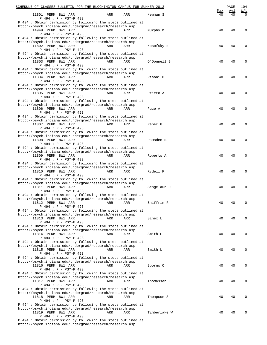| SCHEDULE OF CLASSES BULLETIN FOR THE BLOOMINGTON CAMPUS FOR SUMMER 2013                                                  |              |     | PAGE | 104        |
|--------------------------------------------------------------------------------------------------------------------------|--------------|-----|------|------------|
|                                                                                                                          |              | Max | Avl  | <u>W/L</u> |
| 11801 PERM 8W1 ARR<br>ARR<br><b>ARR</b><br>P 494 : P - PSY-P 493                                                         | Newman S     | 40  | 40   | $\Omega$   |
| P 494 : Obtain permission by following the steps outlined at                                                             |              |     |      |            |
| http://psych.indiana.edu/undergrad/research/research.asp                                                                 |              |     |      |            |
| 14949 PERM 8W1 ARR<br>ARR<br><b>ARR</b>                                                                                  | Murphy M     | 40  | 40   | 0          |
| P 494 : P - PSY-P 493                                                                                                    |              |     |      |            |
| P 494 : Obtain permission by following the steps outlined at<br>http://psych.indiana.edu/undergrad/research/research.asp |              |     |      |            |
| 11802 PERM 8W1 ARR<br>ARR<br><b>ARR</b>                                                                                  | Nosofsky R   | 40  | 40   | 0          |
| P 494 : P - PSY-P 493                                                                                                    |              |     |      |            |
| P 494 : Obtain permission by following the steps outlined at                                                             |              |     |      |            |
| http://psych.indiana.edu/undergrad/research/research.asp<br>11803 PERM 8W1 ARR<br>ARR<br>ARR                             | O'Donnell B  | 40  | 40   | 0          |
| P 494 : P - PSY-P 493                                                                                                    |              |     |      |            |
| P 494 : Obtain permission by following the steps outlined at                                                             |              |     |      |            |
| http://psych.indiana.edu/undergrad/research/research.asp                                                                 |              |     |      |            |
| 11804 PERM 8W1 ARR<br>ARR<br><b>ARR</b>                                                                                  | Pisoni D     | 40  | 40   | 0          |
| P 494 : P - PSY-P 493                                                                                                    |              |     |      |            |
| P 494 : Obtain permission by following the steps outlined at<br>http://psych.indiana.edu/undergrad/research/research.asp |              |     |      |            |
| 11805 PERM 8W1 ARR<br>ARR<br><b>ARR</b>                                                                                  | Prieto A     | 40  | 40   | 0          |
| P 494 : P - PSY-P 493                                                                                                    |              |     |      |            |
| P 494 : Obtain permission by following the steps outlined at                                                             |              |     |      |            |
| http://psych.indiana.edu/undergrad/research/research.asp<br>11806 PERM 8W1 ARR<br>ARR<br>ARR                             | Puce A       | 40  | 40   | 0          |
| P 494 : P - PSY-P 493                                                                                                    |              |     |      |            |
| P 494 : Obtain permission by following the steps outlined at                                                             |              |     |      |            |
| http://psych.indiana.edu/undergrad/research/research.asp                                                                 |              |     |      |            |
| 11807 PERM 8W1 ARR<br>ARR<br>ARR                                                                                         | Rebec G      | 40  | 40   | 0          |
| P 494 : P - PSY-P 493                                                                                                    |              |     |      |            |
| P 494 : Obtain permission by following the steps outlined at<br>http://psych.indiana.edu/undergrad/research/research.asp |              |     |      |            |
| 11808 PERM 8W1 ARR<br>ARR<br><b>ARR</b>                                                                                  | Ramsden B    | 40  | 40   | 0          |
| P 494 : P - PSY-P 493                                                                                                    |              |     |      |            |
| P 494 : Obtain permission by following the steps outlined at                                                             |              |     |      |            |
| http://psych.indiana.edu/undergrad/research/research.asp<br>11809 PERM 8W1 ARR<br>ARR<br><b>ARR</b>                      | Roberts A    | 40  | 40   | 0          |
| P 494 : P - PSY-P 493                                                                                                    |              |     |      |            |
| P 494 : Obtain permission by following the steps outlined at                                                             |              |     |      |            |
| http://psych.indiana.edu/undergrad/research/research.asp                                                                 |              |     |      |            |
| 11810 PERM 8W1 ARR<br>ARR<br>ARR                                                                                         | Rydell R     | 40  | 40   | 0          |
| P 494 : P - PSY-P 493<br>P 494 : Obtain permission by following the steps outlined at                                    |              |     |      |            |
| http://psych.indiana.edu/undergrad/research/research.asp                                                                 |              |     |      |            |
| 11811 PERM 8W1 ARR<br>ARR<br>ARR                                                                                         | Sengelaub D  | 40  | 40   | 0          |
| P 494 : P - PSY-P 493                                                                                                    |              |     |      |            |
| P 494 : Obtain permission by following the steps outlined at                                                             |              |     |      |            |
| http://psych.indiana.edu/undergrad/research/research.asp<br>11812 PERM 8W1 ARR<br>ARR<br>ARR                             | Shiffrin R   | 40  | 40   | 0          |
| P 494 : P - PSY-P 493                                                                                                    |              |     |      |            |
| P 494: Obtain permission by following the steps outlined at                                                              |              |     |      |            |
| http://psych.indiana.edu/undergrad/research/research.asp                                                                 |              |     |      |            |
| 11813 PERM 8W1 ARR<br>ARR<br>ARR                                                                                         | Sinex L      | 40  | 40   | 0          |
| P 494 : P - PSY-P 493<br>P 494: Obtain permission by following the steps outlined at                                     |              |     |      |            |
| http://psych.indiana.edu/undergrad/research/research.asp                                                                 |              |     |      |            |
| 11814 PERM 8W1 ARR<br>ARR<br>ARR                                                                                         | Smith E      | 40  | 40   | 0          |
| P 494 : P - PSY-P 493                                                                                                    |              |     |      |            |
| P 494: Obtain permission by following the steps outlined at                                                              |              |     |      |            |
| http://psych.indiana.edu/undergrad/research/research.asp<br>11815 PERM 8W1 ARR<br>ARR<br>ARR                             | Smith L      | 40  | 40   | 0          |
| P 494 : P - PSY-P 493                                                                                                    |              |     |      |            |
| P 494 : Obtain permission by following the steps outlined at                                                             |              |     |      |            |
| http://psych.indiana.edu/undergrad/research/research.asp                                                                 |              |     |      |            |
| 11816 PERM 8W1 ARR<br>ARR<br>ARR<br>P 494 : P - PSY-P 493                                                                | Sporns 0     | 40  | 40   | 0          |
| P 494 : Obtain permission by following the steps outlined at                                                             |              |     |      |            |
| http://psych.indiana.edu/undergrad/research/research.asp                                                                 |              |     |      |            |
| 11817 PERM 8W1 ARR<br>ARR<br>ARR                                                                                         | Thomassen L  | 40  | 40   | 0          |
| P 494 : P - PSY-P 493                                                                                                    |              |     |      |            |
| P 494 : Obtain permission by following the steps outlined at<br>http://psych.indiana.edu/undergrad/research/research.asp |              |     |      |            |
| 11818 PERM 8W1 ARR<br>ARR<br>ARR                                                                                         | Thompson S   | 40  | 40   | 0          |
| P 494 : P - PSY-P 493                                                                                                    |              |     |      |            |
| P 494 : Obtain permission by following the steps outlined at                                                             |              |     |      |            |
| http://psych.indiana.edu/undergrad/research/research.asp                                                                 |              |     |      |            |
| 11819 PERM 8W1 ARR<br>ARR<br>ARR<br>P 494 : P - PSY-P 493                                                                | Timberlake W | 40  | 40   | 0          |
| P 494 : Obtain permission by following the steps outlined at                                                             |              |     |      |            |
|                                                                                                                          |              |     |      |            |

http://psych.indiana.edu/undergrad/research/research.asp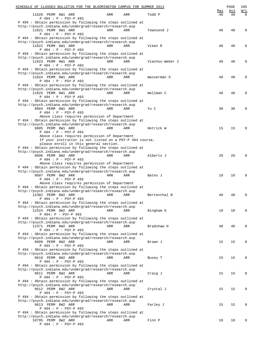| SCHEDULE OF CLASSES BULLETIN FOR THE BLOOMINGTON CAMPUS FOR SUMMER 2013                                                  |     |            |                 |           | PAGE      | 105                                                       |
|--------------------------------------------------------------------------------------------------------------------------|-----|------------|-----------------|-----------|-----------|-----------------------------------------------------------|
| 11820 PERM 8W1 ARR<br>P 494 : P - PSY-P 493                                                                              | ARR | ARR        | Todd P          | Max<br>40 | Avl<br>40 | $\overline{\text{W}}$ / $\overline{\text{L}}$<br>$\Omega$ |
| P 494 : Obtain permission by following the steps outlined at                                                             |     |            |                 |           |           |                                                           |
| http://psych.indiana.edu/undergrad/research/research.asp                                                                 |     |            |                 |           |           |                                                           |
| 11821 PERM 8W1 ARR<br>P 494 : P - PSY-P 493                                                                              | ARR | ARR        | Townsend J      | 40        | 40        | 0                                                         |
| P 494 : Obtain permission by following the steps outlined at                                                             |     |            |                 |           |           |                                                           |
| http://psych.indiana.edu/undergrad/research/research.asp                                                                 |     |            |                 |           |           |                                                           |
| 11822 PERM 8W1 ARR<br>P 494 : P - PSY-P 493                                                                              | ARR | ARR        | Viken R         | 40        | 40        | 0                                                         |
| P 494 : Obtain permission by following the steps outlined at                                                             |     |            |                 |           |           |                                                           |
| http://psych.indiana.edu/undergrad/research/research.asp                                                                 |     |            |                 |           |           |                                                           |
| 11823 PERM 8W1 ARR<br>P 494 : P - PSY-P 493                                                                              | ARR | ARR        | Vlachos-Weber I | 40        | 40        | 0                                                         |
| P 494 : Obtain permission by following the steps outlined at                                                             |     |            |                 |           |           |                                                           |
| http://psych.indiana.edu/undergrad/research/research.asp                                                                 |     |            |                 |           |           |                                                           |
| 11824 PERM 8W1 ARR<br>P 494 : P - PSY-P 493                                                                              | ARR | ARR        | Wasserman S     | 40        | 40        | 0                                                         |
| P 494 : Obtain permission by following the steps outlined at                                                             |     |            |                 |           |           |                                                           |
| http://psych.indiana.edu/undergrad/research/research.asp                                                                 |     |            |                 |           |           |                                                           |
| 11825 PERM 8W1 ARR<br>P 494 : P - PSY-P 493                                                                              | ARR | ARR        | Wellman C       | 40        | 40        | 0                                                         |
| P 494 : Obtain permission by following the steps outlined at                                                             |     |            |                 |           |           |                                                           |
| http://psych.indiana.edu/undergrad/research/research.asp                                                                 |     |            |                 |           |           |                                                           |
| 9604 PERM 8W1 ARR<br>P 494 : P - PSY-P 493                                                                               | ARR | ARR        | Yu C            | 30        | 30        | 0                                                         |
| Above class requires permission of Department                                                                            |     |            |                 |           |           |                                                           |
| P 494 : Obtain permission by following the steps outlined at                                                             |     |            |                 |           |           |                                                           |
| http://psych.indiana.edu/undergrad/research/research.asp<br>9605 PERM 8W1 ARR                                            | ARR | <b>ARR</b> | Hetrick W       | 15        | 15        | $\Omega$                                                  |
| P 494 : P - PSY-P 493                                                                                                    |     |            |                 |           |           |                                                           |
| Above class requires permission of Department                                                                            |     |            |                 |           |           |                                                           |
| If your instructor is not listed on a PSY-P 494 course,                                                                  |     |            |                 |           |           |                                                           |
| please enroll in this general section.<br>P 494 : Obtain permission by following the steps outlined at                   |     |            |                 |           |           |                                                           |
| http://psych.indiana.edu/undergrad/research/research.asp                                                                 |     |            |                 |           |           |                                                           |
| 9606 PERM 8W2 ARR                                                                                                        | ARR | ARR        | Alberts J       | 20        | 20        | 0                                                         |
| P 494 : P - PSY-P 493<br>Above class requires permission of Department                                                   |     |            |                 |           |           |                                                           |
| P 494 : Obtain permission by following the steps outlined at                                                             |     |            |                 |           |           |                                                           |
| http://psych.indiana.edu/undergrad/research/research.asp                                                                 |     | ARR        | Bates J         |           |           | 0                                                         |
| 9607 PERM 8W2 ARR<br>P 494 : P - PSY-P 493                                                                               | ARR |            |                 | 10        | 10        |                                                           |
| Above class requires permission of Department                                                                            |     |            |                 |           |           |                                                           |
| P 494 : Obtain permission by following the steps outlined at<br>http://psych.indiana.edu/undergrad/research/research.asp |     |            |                 |           |           |                                                           |
| 12382 PERM 8W2 ARR                                                                                                       | ARR | ARR        | Bertenthal B    | 40        | 40        | 0                                                         |
| P 494 : P - PSY-P 493                                                                                                    |     |            |                 |           |           |                                                           |
| P 494 : Obtain permission by following the steps outlined at<br>http://psych.indiana.edu/undergrad/research/research.asp |     |            |                 |           |           |                                                           |
| 12524 PERM 8W2 ARR                                                                                                       | ARR | ARR        | Bingham G       | 10        | 10        | $\mathbf 0$                                               |
| P 494: P - PSY-P 493                                                                                                     |     |            |                 |           |           |                                                           |
| P 494 : Obtain permission by following the steps outlined at<br>http://psych.indiana.edu/undergrad/research/research.asp |     |            |                 |           |           |                                                           |
| 12371 PERM 8W2 ARR                                                                                                       | ARR | ARR        | Bradshaw H      | 40        | 40        | $\mathbf 0$                                               |
| P 494 : P - PSY-P 493                                                                                                    |     |            |                 |           |           |                                                           |
| P 494 : Obtain permission by following the steps outlined at<br>http://psych.indiana.edu/undergrad/research/research.asp |     |            |                 |           |           |                                                           |
| 9609 PERM 8W2 ARR                                                                                                        | ARR | ARR        | Brown J         | 15        | 15        | $\mathbf 0$                                               |
| P 494 : P - PSY-P 493                                                                                                    |     |            |                 |           |           |                                                           |
| P 494: Obtain permission by following the steps outlined at<br>http://psych.indiana.edu/undergrad/research/research.asp  |     |            |                 |           |           |                                                           |
| 9610 PERM 8W2 ARR                                                                                                        | ARR | ARR        | Busey T         | 15        | 15        | $\mathbf 0$                                               |
| P 494 : P - PSY-P 493                                                                                                    |     |            |                 |           |           |                                                           |
| P 494 : Obtain permission by following the steps outlined at<br>http://psych.indiana.edu/undergrad/research/research.asp |     |            |                 |           |           |                                                           |
| 9611 PERM 8W2 ARR                                                                                                        | ARR | ARR        | Craig J         | 15        | 15        | $\mathbf 0$                                               |
| P 494 : P - PSY-P 493                                                                                                    |     |            |                 |           |           |                                                           |
| P 494 : Obtain permission by following the steps outlined at<br>http://psych.indiana.edu/undergrad/research/research.asp |     |            |                 |           |           |                                                           |
| 9612 PERM 8W2 ARR                                                                                                        | ARR | ARR        | Crystal J       | 15        | 15        | $\mathbf 0$                                               |
| P 494 : P - PSY-P 493                                                                                                    |     |            |                 |           |           |                                                           |
| P 494 : Obtain permission by following the steps outlined at<br>http://psych.indiana.edu/undergrad/research/research.asp |     |            |                 |           |           |                                                           |
| 9613 PERM 8W2 ARR                                                                                                        | ARR | ARR        | Farley J        | 15        | 15        | $\mathbf 0$                                               |
| P 494 : P - PSY-P 493                                                                                                    |     |            |                 |           |           |                                                           |
| P 494 : Obtain permission by following the steps outlined at                                                             |     |            |                 |           |           |                                                           |
| http://psych.indiana.edu/undergrad/research/research.asp<br>10795 PERM 8W2 ARR                                           | ARR | ARR        | Finn P          | 10        | 10        | 0                                                         |
| P 494 : P - PSY-P 493                                                                                                    |     |            |                 |           |           |                                                           |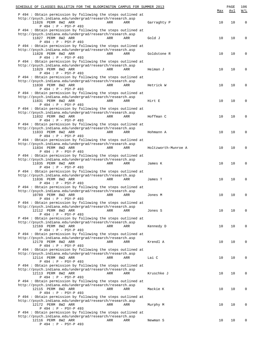| SCHEDULE OF CLASSES BULLETIN FOR THE BLOOMINGTON CAMPUS FOR SUMMER 2013                                     | Max | PAGE<br>Avl | 106<br>W/L  |
|-------------------------------------------------------------------------------------------------------------|-----|-------------|-------------|
| P 494 : Obtain permission by following the steps outlined at                                                |     |             |             |
| http://psych.indiana.edu/undergrad/research/research.asp<br>11826 PERM 8W2 ARR<br>ARR<br>ARR<br>Garraghty P | 10  | 10          | $\mathbf 0$ |
| P 494 : P - PSY-P 493<br>P 494 : Obtain permission by following the steps outlined at                       |     |             |             |
| http://psych.indiana.edu/undergrad/research/research.asp                                                    |     |             |             |
| 11827 PERM 8W2 ARR<br>ARR<br>ARR<br>Gold J                                                                  | 10  | 10          | $\Omega$    |
| P 494 : P - PSY-P 493<br>P 494 : Obtain permission by following the steps outlined at                       |     |             |             |
| http://psych.indiana.edu/undergrad/research/research.asp                                                    |     |             |             |
| 11828 PERM 8W2 ARR<br>ARR<br>ARR<br>Goldstone R                                                             | 10  | 10          | $\Omega$    |
| P 494 : P - PSY-P 493<br>P 494 : Obtain permission by following the steps outlined at                       |     |             |             |
| http://psych.indiana.edu/undergrad/research/research.asp                                                    |     |             |             |
| 11829 PERM 8W2 ARR<br>ARR<br>ARR<br>Heiman J                                                                | 10  | 10          | $\Omega$    |
| P 494 : P - PSY-P 493<br>P 494 : Obtain permission by following the steps outlined at                       |     |             |             |
| http://psych.indiana.edu/undergrad/research/research.asp                                                    |     |             |             |
| 11830 PERM 8W2 ARR<br>ARR<br>ARR<br>Hetrick W                                                               | 10  | 10          | $\Omega$    |
| $P 494 : P - PSY-P 493$<br>P 494 : Obtain permission by following the steps outlined at                     |     |             |             |
| http://psych.indiana.edu/undergrad/research/research.asp                                                    |     |             |             |
| 11831 PERM 8W2 ARR<br>ARR<br>ARR<br>Hirt E                                                                  | 10  | 10          | $\Omega$    |
| P 494 : P - PSY-P 493<br>P 494 : Obtain permission by following the steps outlined at                       |     |             |             |
| http://psych.indiana.edu/undergrad/research/research.asp                                                    |     |             |             |
| 11832 PERM 8W2 ARR<br>ARR<br>ARR<br>Hoffman C                                                               | 10  | 10          | $\Omega$    |
| P 494 : P - PSY-P 493<br>P 494 : Obtain permission by following the steps outlined at                       |     |             |             |
| http://psych.indiana.edu/undergrad/research/research.asp                                                    |     |             |             |
| 11833 PERM 8W2 ARR<br>ARR<br>ARR<br>Hohmann A                                                               | 10  | 10          | $\Omega$    |
| P 494 : P - PSY-P 493<br>P 494 : Obtain permission by following the steps outlined at                       |     |             |             |
| http://psych.indiana.edu/undergrad/research/research.asp                                                    |     |             |             |
| 11834 PERM 8W2 ARR<br>ARR<br>ARR<br>Holtzworth-Munroe A                                                     | 10  | 10          | $\Omega$    |
| P 494 : P - PSY-P 493<br>P 494 : Obtain permission by following the steps outlined at                       |     |             |             |
| http://psych.indiana.edu/undergrad/research/research.asp                                                    |     |             |             |
| 11835 PERM 8W2 ARR<br>ARR<br>ARR<br>James K                                                                 | 10  | 10          | $\Omega$    |
| P 494 : P - PSY-P 493<br>P 494 : Obtain permission by following the steps outlined at                       |     |             |             |
| http://psych.indiana.edu/undergrad/research/research.asp                                                    |     |             |             |
| 11836 PERM 8W2 ARR<br>ARR<br>ARR<br>James T                                                                 | 10  | 10          | $\Omega$    |
| P 494 : P - PSY-P 493<br>P 494 : Obtain permission by following the steps outlined at                       |     |             |             |
| http://psych.indiana.edu/undergrad/research/research.asp                                                    |     |             |             |
| 10789 PERM 8W2 ARR<br>ARR<br>ARR<br>Jones M                                                                 | 10  | 10          | $\mathbf 0$ |
| $P 494 : P - PSY-P 493$<br>P 494 : Obtain permission by following the steps outlined at                     |     |             |             |
| http://psych.indiana.edu/undergrad/research/research.asp                                                    |     |             |             |
| 12112 PERM 8W2 ARR<br>ARR<br>ARR<br>Jones S                                                                 | 10  | 10          | $\mathbf 0$ |
| P 494 : P - PSY-P 493<br>P 494 : Obtain permission by following the steps outlined at                       |     |             |             |
| http://psych.indiana.edu/undergrad/research/research.asp                                                    |     |             |             |
| 12169 PERM 8W2 ARR<br>ARR<br>ARR<br>Kennedy D<br>P 494 : P - PSY-P 493                                      | 10  | 10          | 0           |
| P 494 : Obtain permission by following the steps outlined at                                                |     |             |             |
| http://psych.indiana.edu/undergrad/research/research.asp                                                    |     |             |             |
| 12170 PERM 8W2 ARR<br>ARR<br>Krendl A<br>ARR                                                                | 10  | 10          | 0           |
| P 494 : P - PSY-P 493<br>P 494 : Obtain permission by following the steps outlined at                       |     |             |             |
| http://psych.indiana.edu/undergrad/research/research.asp                                                    |     |             |             |
| 12114 PERM 8W2 ARR<br>Lai C<br>ARR<br>ARR<br>P 494 : P - PSY-P 493                                          | 10  | 10          | $\mathbf 0$ |
| P 494 : Obtain permission by following the steps outlined at                                                |     |             |             |
| http://psych.indiana.edu/undergrad/research/research.asp                                                    |     |             |             |
| 12113 PERM 8W2 ARR<br>Kruschke J<br>ARR<br>ARR<br>P 494 : P - PSY-P 493                                     | 10  | 10          | $\mathbf 0$ |
| P 494 : Obtain permission by following the steps outlined at                                                |     |             |             |
| http://psych.indiana.edu/undergrad/research/research.asp                                                    |     |             |             |
| 12115 PERM 8W2 ARR<br>ARR<br>Mackie K<br>ARR<br>P 494 : P - PSY-P 493                                       | 10  | 10          | 0           |
| P 494 : Obtain permission by following the steps outlined at                                                |     |             |             |
| http://psych.indiana.edu/undergrad/research/research.asp                                                    |     |             |             |
| 12172 PERM 8W2 ARR<br>ARR<br>Murphy M<br>ARR<br>P 494 : P - PSY-P 493                                       | 10  | 10          | 0           |
| P 494 : Obtain permission by following the steps outlined at                                                |     |             |             |
| http://psych.indiana.edu/undergrad/research/research.asp                                                    |     |             |             |
| 12116 PERM 8W2 ARR<br>ARR<br>ARR<br>Newman S<br>P 494 : P - PSY-P 493                                       | 10  | 10          | 0           |
|                                                                                                             |     |             |             |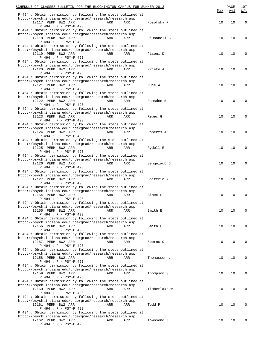| SCHEDULE OF CLASSES BULLETIN FOR THE BLOOMINGTON CAMPUS FOR SUMMER 2013                                                  |              |     | PAGE | 107         |
|--------------------------------------------------------------------------------------------------------------------------|--------------|-----|------|-------------|
| P 494 : Obtain permission by following the steps outlined at                                                             |              | Max | Avl  | W/L         |
| http://psych.indiana.edu/undergrad/research/research.asp<br>12117 PERM 8W2 ARR<br>ARR<br>ARR                             | Nosofsky R   | 10  | 10   | $\mathbf 0$ |
| P 494 : P - PSY-P 493<br>P 494 : Obtain permission by following the steps outlined at                                    |              |     |      |             |
| http://psych.indiana.edu/undergrad/research/research.asp<br>12118 PERM 8W2 ARR<br>ARR<br>ARR                             | O'Donnell B  | 10  | 10   | $\mathbf 0$ |
| P 494 : P - PSY-P 493<br>P 494 : Obtain permission by following the steps outlined at                                    |              |     |      |             |
| http://psych.indiana.edu/undergrad/research/research.asp<br>12119 PERM 8W2 ARR                                           |              |     |      |             |
| ARR<br>ARR<br>$P 494 : P - PSY-P 493$                                                                                    | Pisoni D     | 10  | 10   | $\mathbf 0$ |
| P 494 : Obtain permission by following the steps outlined at<br>http://psych.indiana.edu/undergrad/research/research.asp |              |     |      |             |
| 12120 PERM 8W2 ARR<br>ARR<br>ARR<br>P 494 : P - PSY-P 493                                                                | Prieto A     | 10  | 10   | 0           |
| P 494 : Obtain permission by following the steps outlined at<br>http://psych.indiana.edu/undergrad/research/research.asp |              |     |      |             |
| 12121 PERM 8W2 ARR<br>ARR<br>ARR                                                                                         | Puce A       | 10  | 10   | 0           |
| P 494 : P - PSY-P 493<br>P 494 : Obtain permission by following the steps outlined at                                    |              |     |      |             |
| http://psych.indiana.edu/undergrad/research/research.asp<br>12122 PERM 8W2 ARR<br>ARR<br>ARR                             | Ramsden B    | 10  | 10   | 0           |
| $P 494 : P - PSY-P 493$<br>P 494 : Obtain permission by following the steps outlined at                                  |              |     |      |             |
| http://psych.indiana.edu/undergrad/research/research.asp                                                                 |              |     |      |             |
| 12123 PERM 8W2 ARR<br>ARR<br>ARR<br>P 494 : P - PSY-P 493                                                                | Rebec G      | 10  | 10   | 0           |
| P 494 : Obtain permission by following the steps outlined at<br>http://psych.indiana.edu/undergrad/research/research.asp |              |     |      |             |
| 12124 PERM 8W2 ARR<br>ARR<br>ARR<br>P 494 : P - PSY-P 493                                                                | Roberts A    | 10  | 10   | 0           |
| P 494 : Obtain permission by following the steps outlined at                                                             |              |     |      |             |
| http://psych.indiana.edu/undergrad/research/research.asp<br>12125 PERM 8W2 ARR<br>ARR<br>ARR                             | Rydell R     | 10  | 10   | 0           |
| P 494 : P - PSY-P 493<br>P 494 : Obtain permission by following the steps outlined at                                    |              |     |      |             |
| http://psych.indiana.edu/undergrad/research/research.asp<br>12126 PERM 8W2 ARR<br>ARR<br>ARR                             | Sengelaub D  | 10  | 10   | 0           |
| P 494 : P - PSY-P 493                                                                                                    |              |     |      |             |
| P 494 : Obtain permission by following the steps outlined at<br>http://psych.indiana.edu/undergrad/research/research.asp |              |     |      |             |
| 12127 PERM 8W2 ARR<br>ARR<br>ARR<br>P 494 : P - PSY-P 493                                                                | Shiffrin R   | 10  | 10   | 0           |
| P 494 : Obtain permission by following the steps outlined at<br>http://psych.indiana.edu/undergrad/research/research.asp |              |     |      |             |
| 12154 PERM 8W2 ARR<br>ARR<br>ARR<br>P 494 : P - PSY-P 493                                                                | Sinex L      | 10  | 10   | $\mathbf 0$ |
| P 494 : Obtain permission by following the steps outlined at                                                             |              |     |      |             |
| http://psych.indiana.edu/undergrad/research/research.asp<br>12155 PERM 8W2 ARR<br>ARR<br>ARR                             | Smith E      | 10  | 10   | $\mathbf 0$ |
| P 494 : P - PSY-P 493<br>P 494 : Obtain permission by following the steps outlined at                                    |              |     |      |             |
| http://psych.indiana.edu/undergrad/research/research.asp<br>12156 PERM 8W2 ARR<br>ARR<br>ARR                             | Smith L      | 10  | 10   | 0           |
| P 494 : P - PSY-P 493<br>P 494 : Obtain permission by following the steps outlined at                                    |              |     |      |             |
| http://psych.indiana.edu/undergrad/research/research.asp                                                                 |              |     |      |             |
| 12157 PERM 8W2 ARR<br>ARR<br>ARR<br>P 494 : P - PSY-P 493                                                                | Sporns 0     | 10  | 10   | 0           |
| P 494 : Obtain permission by following the steps outlined at<br>http://psych.indiana.edu/undergrad/research/research.asp |              |     |      |             |
| 12158 PERM 8W2 ARR<br>ARR<br>ARR<br>P 494 : P - PSY-P 493                                                                | Thomassen L  | 10  | 10   | 0           |
| P 494 : Obtain permission by following the steps outlined at                                                             |              |     |      |             |
| http://psych.indiana.edu/undergrad/research/research.asp<br>12159 PERM 8W2 ARR<br>ARR<br>ARR                             | Thompson S   | 10  | 10   | 0           |
| P 494 : P - PSY-P 493<br>P 494 : Obtain permission by following the steps outlined at                                    |              |     |      |             |
| http://psych.indiana.edu/undergrad/research/research.asp<br>12160 PERM 8W2 ARR<br>ARR<br>ARR                             | Timberlake W | 10  | 10   | 0           |
| P 494 : P - PSY-P 493<br>P 494 : Obtain permission by following the steps outlined at                                    |              |     |      |             |
| http://psych.indiana.edu/undergrad/research/research.asp                                                                 |              |     |      |             |
| 12161 PERM 8W2 ARR<br>ARR<br>ARR<br>P 494 : P - PSY-P 493                                                                | Todd P       | 10  | 10   | 0           |
| P 494 : Obtain permission by following the steps outlined at<br>http://psych.indiana.edu/undergrad/research/research.asp |              |     |      |             |
| 12162 PERM 8W2 ARR<br>ARR<br>ARR<br>P 494 : P - PSY-P 493                                                                | Townsend J   | 10  | 10   | 0           |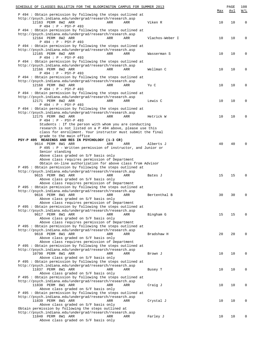| SCHEDULE OF CLASSES BULLETIN FOR THE BLOOMINGTON CAMPUS FOR SUMMER 2013                                                  | Max | PAGE<br>Avl | 108<br>W/L |
|--------------------------------------------------------------------------------------------------------------------------|-----|-------------|------------|
| P 494 : Obtain permission by following the steps outlined at                                                             |     |             |            |
| http://psych.indiana.edu/undergrad/research/research.asp                                                                 |     |             |            |
| 12163 PERM 8W2 ARR<br>ARR<br>Viken R<br>ARR<br>P 494 : P - PSY-P 493                                                     | 10  | 10          | 0          |
| P 494: Obtain permission by following the steps outlined at                                                              |     |             |            |
| http://psych.indiana.edu/undergrad/research/research.asp                                                                 |     |             |            |
| 12164 PERM 8W2 ARR<br>ARR<br>Vlachos-Weber I<br>ARR                                                                      | 10  | 10          | 0          |
| P 494 : P - PSY-P 493<br>P 494 : Obtain permission by following the steps outlined at                                    |     |             |            |
| http://psych.indiana.edu/undergrad/research/research.asp                                                                 |     |             |            |
| 12165 PERM 8W2 ARR<br>ARR<br>Wasserman S<br>ARR                                                                          | 10  | 10          | $\Omega$   |
| P 494 : P - PSY-P 493<br>P 494: Obtain permission by following the steps outlined at                                     |     |             |            |
| http://psych.indiana.edu/undergrad/research/research.asp                                                                 |     |             |            |
| 12166 PERM 8W2 ARR<br>ARR<br>Wellman C<br>ARR                                                                            | 10  | 10          | $\Omega$   |
| P 494 : P - PSY-P 493                                                                                                    |     |             |            |
| P 494 : Obtain permission by following the steps outlined at<br>http://psych.indiana.edu/undergrad/research/research.asp |     |             |            |
| 12168 PERM 8W2 ARR<br>ARR<br>Yu C<br>ARR                                                                                 | 10  | 10          | $\Omega$   |
| P 494 : P - PSY-P 493                                                                                                    |     |             |            |
| P 494: Obtain permission by following the steps outlined at                                                              |     |             |            |
| http://psych.indiana.edu/undergrad/research/research.asp<br>12171 PERM 8W2 ARR<br>ARR<br>Lewis C<br>ARR                  | 10  | 10          | $\Omega$   |
| P 494 : P - PSY-P 493                                                                                                    |     |             |            |
| P 494: Obtain permission by following the steps outlined at                                                              |     |             |            |
| http://psych.indiana.edu/undergrad/research/research.asp                                                                 |     |             | 0          |
| 12175 PERM 8W2 ARR<br>ARR<br>Hetrick W<br>ARR<br>P 494 : P - PSY-P 493                                                   | 10  | 10          |            |
| Students : If the person with whom you are conducting                                                                    |     |             |            |
| research is not listed on a P 494 above, please use this                                                                 |     |             |            |
| class for enrollment. Your instructor must submit the final<br>grade to the main office                                  |     |             |            |
| PSY-P 495 READINGS AND RES IN PSYCHOLOGY (1-3 CR)                                                                        |     |             |            |
| 9614 PERM 8W1 ARR<br>ARR<br>ARR<br>Alberts J                                                                             | 40  | 40          |            |
| P 495 : P - Written permission of instructor, and Junior or                                                              |     |             |            |
| Senior standing<br>Above class graded on S/F basis only                                                                  |     |             |            |
| Above class requires permission of Department                                                                            |     |             |            |
| Obtain on-line authorization for above class from Advisor                                                                |     |             |            |
| P 495: Obtain permission by following the steps outlined at<br>http://psych.indiana.edu/undergrad/research/research.asp  |     |             |            |
| 9615 PERM 8W1 ARR<br>ARR<br>ARR<br>Bates J                                                                               | 15  | 15          | 0          |
| Above class graded on S/F basis only                                                                                     |     |             |            |
| Above class requires permission of Department                                                                            |     |             |            |
| P 495 : Obtain permission by following the steps outlined at<br>http://psych.indiana.edu/undergrad/research/research.asp |     |             |            |
| 9616 PERM 8W1 ARR<br>Bertenthal B<br>ARR<br>ARR                                                                          | 30  | 30          | 0          |
| Above class graded on S/F basis only                                                                                     |     |             |            |
| Above class requires permission of Department                                                                            |     |             |            |
| P 495: Obtain permission by following the steps outlined at<br>http://psych.indiana.edu/undergrad/research/research.asp  |     |             |            |
| 9617 PERM 8W1 ARR<br>Bingham G<br>ARR<br>ARR                                                                             | 15  | 15          | 0          |
| Above class graded on S/F basis only                                                                                     |     |             |            |
| Above class requires permission of Department<br>P 495: Obtain permission by following the steps outlined at             |     |             |            |
| http://psych.indiana.edu/undergrad/research/research.asp                                                                 |     |             |            |
| 9618 PERM 8W1 ARR<br>ARR<br>Bradshaw H<br>ARR                                                                            | 20  | 20          | 0          |
| Above class graded on S/F basis only                                                                                     |     |             |            |
| Above class requires permission of Department<br>P 495: Obtain permission by following the steps outlined at             |     |             |            |
| http://psych.indiana.edu/undergrad/research/research.asp                                                                 |     |             |            |
| 10790 PERM 8W1 ARR<br>ARR<br>ARR<br>Brown J                                                                              | 10  | 10          | 0          |
| Above class graded on S/F basis only                                                                                     |     |             |            |
| P 495: Obtain permission by following the steps outlined at<br>http://psych.indiana.edu/undergrad/research/research.asp  |     |             |            |
| 11837 PERM 8W1 ARR<br>ARR<br>ARR<br>Busey T                                                                              | 10  | 10          | 0          |
| Above class graded on S/F basis only                                                                                     |     |             |            |
| P 495: Obtain permission by following the steps outlined at<br>http://psych.indiana.edu/undergrad/research/research.asp  |     |             |            |
| 11838 PERM 8W1 ARR<br>ARR<br>Craig J<br>ARR                                                                              | 10  | 10          | 0          |
| Above class graded on S/F basis only                                                                                     |     |             |            |
| P 495: Obtain permission by following the steps outlined at                                                              |     |             |            |
| http://psych.indiana.edu/undergrad/research/research.asp<br>11839 PERM 8W1 ARR<br>ARR<br>Crystal J<br>ARR                | 10  | 10          | 0          |
| Above class graded on S/F basis only                                                                                     |     |             |            |
| Obtain permission by following the steps outlined at                                                                     |     |             |            |
| http://psych.indiana.edu/undergrad/research/research.asp                                                                 |     |             |            |
| 11840 PERM 8W1 ARR<br>Farley J<br>ARR<br>ARR<br>Above class graded on S/F basis only                                     | 10  | 10          | 0          |
|                                                                                                                          |     |             |            |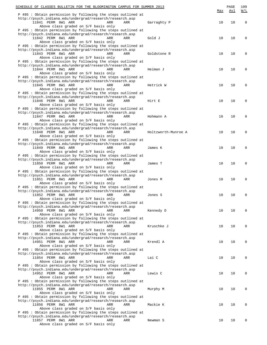| SCHEDULE OF CLASSES BULLETIN FOR THE BLOOMINGTON CAMPUS FOR SUMMER 2013                                                  |                     |     | PAGE | 109         |
|--------------------------------------------------------------------------------------------------------------------------|---------------------|-----|------|-------------|
| P 495: Obtain permission by following the steps outlined at                                                              |                     | Max | Avl  | W/L         |
| http://psych.indiana.edu/undergrad/research/research.asp                                                                 |                     |     |      |             |
| 11841 PERM 8W1 ARR<br>ARR<br>ARR<br>Above class graded on S/F basis only                                                 | Garraghty P         | 10  | 10   | $\mathbf 0$ |
| P 495 : Obtain permission by following the steps outlined at                                                             |                     |     |      |             |
| http://psych.indiana.edu/undergrad/research/research.asp                                                                 |                     |     |      |             |
| 11842 PERM 8W1 ARR<br>ARR<br>ARR<br>Above class graded on S/F basis only                                                 | Gold J              | 10  | 10   | $\mathbf 0$ |
| P 495 : Obtain permission by following the steps outlined at                                                             |                     |     |      |             |
| http://psych.indiana.edu/undergrad/research/research.asp                                                                 |                     |     |      |             |
| 11843 PERM 8W1 ARR<br>ARR<br>ARR                                                                                         | Goldstone R         | 10  | 10   | $\mathbf 0$ |
| Above class graded on S/F basis only<br>P 495 : Obtain permission by following the steps outlined at                     |                     |     |      |             |
| http://psych.indiana.edu/undergrad/research/research.asp                                                                 |                     |     |      |             |
| 11844 PERM 8W1 ARR<br>ARR<br>ARR                                                                                         | Heiman J            | 10  | 10   | $\mathbf 0$ |
| Above class graded on S/F basis only<br>P 495 : Obtain permission by following the steps outlined at                     |                     |     |      |             |
| http://psych.indiana.edu/undergrad/research/research.asp                                                                 |                     |     |      |             |
| 11845 PERM 8W1 ARR<br>ARR<br>ARR                                                                                         | Hetrick W           | 10  | 10   | 0           |
| Above class graded on S/F basis only<br>P 495 : Obtain permission by following the steps outlined at                     |                     |     |      |             |
| http://psych.indiana.edu/undergrad/research/research.asp                                                                 |                     |     |      |             |
| 11846 PERM 8W1 ARR<br>ARR<br>ARR                                                                                         | Hirt E              | 10  | 10   | $\Omega$    |
| Above class graded on S/F basis only                                                                                     |                     |     |      |             |
| P 495 : Obtain permission by following the steps outlined at<br>http://psych.indiana.edu/undergrad/research/research.asp |                     |     |      |             |
| 11847 PERM 8W1 ARR<br>ARR<br>ARR                                                                                         | Hohmann A           | 10  | 10   | $\Omega$    |
| Above class graded on S/F basis only                                                                                     |                     |     |      |             |
| P 495 : Obtain permission by following the steps outlined at<br>http://psych.indiana.edu/undergrad/research/research.asp |                     |     |      |             |
| 11848 PERM 8W1 ARR<br>ARR<br>ARR                                                                                         | Holtzworth-Munroe A | 10  | 10   | $\Omega$    |
| Above class graded on S/F basis only                                                                                     |                     |     |      |             |
| P 495 : Obtain permission by following the steps outlined at                                                             |                     |     |      |             |
| http://psych.indiana.edu/undergrad/research/research.asp<br>11849 PERM 8W1 ARR<br>ARR<br>ARR                             | James K             | 10  | 10   | 0           |
| Above class graded on S/F basis only                                                                                     |                     |     |      |             |
| P 495 : Obtain permission by following the steps outlined at                                                             |                     |     |      |             |
| http://psych.indiana.edu/undergrad/research/research.asp<br>11850 PERM 8W1 ARR<br>ARR<br>ARR                             | James T             | 10  | 10   | $\mathbf 0$ |
| Above class graded on S/F basis only                                                                                     |                     |     |      |             |
| P 495 : Obtain permission by following the steps outlined at                                                             |                     |     |      |             |
| http://psych.indiana.edu/undergrad/research/research.asp<br>11851 PERM 8W1 ARR<br>ARR<br>ARR                             | Jones M             | 10  | 10   | $\mathbf 0$ |
| Above class graded on S/F basis only                                                                                     |                     |     |      |             |
| P 495 : Obtain permission by following the steps outlined at                                                             |                     |     |      |             |
| http://psych.indiana.edu/undergrad/research/research.asp<br>11852 PERM 8W1 ARR<br>ARR<br>ARR                             | Jones S             | 10  | 10   | $\mathbf 0$ |
| Above class graded on S/F basis only                                                                                     |                     |     |      |             |
| P 495: Obtain permission by following the steps outlined at                                                              |                     |     |      |             |
| http://psych.indiana.edu/undergrad/research/research.asp                                                                 |                     |     |      |             |
| 14950 PERM 8W1 ARR<br>ARR<br>ARR<br>Above class graded on S/F basis only                                                 | Kennedy D           | 10  | 10   | 0           |
| P 495: Obtain permission by following the steps outlined at                                                              |                     |     |      |             |
| http://psych.indiana.edu/undergrad/research/research.asp                                                                 |                     |     |      |             |
| 11853 PERM 8W1 ARR<br>ARR<br>ARR<br>Above class graded on S/F basis only                                                 | Kruschke J          | 10  | 10   | 0           |
| P 495: Obtain permission by following the steps outlined at                                                              |                     |     |      |             |
| http://psych.indiana.edu/undergrad/research/research.asp                                                                 |                     |     |      |             |
| 14951 PERM 8W1 ARR<br>ARR<br>ARR                                                                                         | Krendl A            | 10  | 10   | 0           |
| Above class graded on S/F basis only<br>P 495: Obtain permission by following the steps outlined at                      |                     |     |      |             |
| http://psych.indiana.edu/undergrad/research/research.asp                                                                 |                     |     |      |             |
| 11854 PERM 8W1 ARR<br>ARR<br>ARR                                                                                         | Lai C               | 10  | 10   | 0           |
| Above class graded on S/F basis only<br>P 495: Obtain permission by following the steps outlined at                      |                     |     |      |             |
| http://psych.indiana.edu/undergrad/research/research.asp                                                                 |                     |     |      |             |
| 14952 PERM 8W1 ARR<br>ARR<br>ARR                                                                                         | Lewis C             | 10  | 10   | 0           |
| Above class graded on S/F basis only                                                                                     |                     |     |      |             |
| P 495: Obtain permission by following the steps outlined at<br>http://psych.indiana.edu/undergrad/research/research.asp  |                     |     |      |             |
| 11855 PERM 8W1 ARR<br>ARR<br>ARR                                                                                         | Murphy M            | 10  | 10   | 0           |
| Above class graded on S/F basis only                                                                                     |                     |     |      |             |
| P 495: Obtain permission by following the steps outlined at<br>http://psych.indiana.edu/undergrad/research/research.asp  |                     |     |      |             |
| 11856 PERM 8W1 ARR<br>ARR<br>ARR                                                                                         | Mackie K            | 10  | 10   | 0           |
| Above class graded on S/F basis only                                                                                     |                     |     |      |             |
| P 495: Obtain permission by following the steps outlined at                                                              |                     |     |      |             |
| http://psych.indiana.edu/undergrad/research/research.asp<br>11857 PERM 8W1 ARR<br>ARR<br>ARR                             | Newman S            | 10  | 10   | 0           |
| Above class graded on S/F basis only                                                                                     |                     |     |      |             |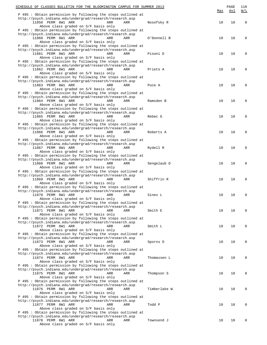| SCHEDULE OF CLASSES BULLETIN FOR THE BLOOMINGTON CAMPUS FOR SUMMER 2013                                                  |              |     | PAGE | 110         |
|--------------------------------------------------------------------------------------------------------------------------|--------------|-----|------|-------------|
| P 495 : Obtain permission by following the steps outlined at                                                             |              | Max | Avl  | W/L         |
| http://psych.indiana.edu/undergrad/research/research.asp                                                                 |              |     |      |             |
| 11858 PERM 8W1 ARR<br>ARR<br>ARR                                                                                         | Nosofsky R   | 10  | 10   | $\mathbf 0$ |
| Above class graded on S/F basis only<br>P 495 : Obtain permission by following the steps outlined at                     |              |     |      |             |
| http://psych.indiana.edu/undergrad/research/research.asp                                                                 |              |     |      |             |
| 11860 PERM 8W1 ARR<br>ARR<br>ARR                                                                                         | O'Donnell B  | 10  | 10   | $\mathbf 0$ |
| Above class graded on S/F basis only<br>P 495 : Obtain permission by following the steps outlined at                     |              |     |      |             |
| http://psych.indiana.edu/undergrad/research/research.asp                                                                 |              |     |      |             |
| 11861 PERM 8W1 ARR<br>ARR<br>ARR                                                                                         | Pisoni D     | 10  | 10   | $\mathbf 0$ |
| Above class graded on S/F basis only                                                                                     |              |     |      |             |
| P 495 : Obtain permission by following the steps outlined at<br>http://psych.indiana.edu/undergrad/research/research.asp |              |     |      |             |
| 11862 PERM 8W1 ARR<br>ARR<br>ARR                                                                                         | Prieto A     | 10  | 10   | $\mathbf 0$ |
| Above class graded on S/F basis only                                                                                     |              |     |      |             |
| P 495 : Obtain permission by following the steps outlined at<br>http://psych.indiana.edu/undergrad/research/research.asp |              |     |      |             |
| 11863 PERM 8W1 ARR<br>ARR<br>ARR                                                                                         | Puce A       | 10  | 10   | $\mathbf 0$ |
| Above class graded on S/F basis only                                                                                     |              |     |      |             |
| P 495 : Obtain permission by following the steps outlined at                                                             |              |     |      |             |
| http://psych.indiana.edu/undergrad/research/research.asp<br>11864 PERM 8W1 ARR<br>ARR<br>ARR                             | Ramsden B    | 10  | 10   | $\mathbf 0$ |
| Above class graded on S/F basis only                                                                                     |              |     |      |             |
| P 495 : Obtain permission by following the steps outlined at                                                             |              |     |      |             |
| http://psych.indiana.edu/undergrad/research/research.asp                                                                 |              |     |      |             |
| 11865 PERM 8W1 ARR<br>ARR<br>ARR<br>Above class graded on S/F basis only                                                 | Rebec G      | 10  | 10   | $\mathbf 0$ |
| P 495 : Obtain permission by following the steps outlined at                                                             |              |     |      |             |
| http://psych.indiana.edu/undergrad/research/research.asp                                                                 |              |     |      |             |
| 11866 PERM 8W1 ARR<br>ARR<br>ARR                                                                                         | Roberts A    | 10  | 10   | $\mathbf 0$ |
| Above class graded on S/F basis only<br>P 495 : Obtain permission by following the steps outlined at                     |              |     |      |             |
| http://psych.indiana.edu/undergrad/research/research.asp                                                                 |              |     |      |             |
| 11867 PERM 8W1 ARR<br>ARR<br>ARR                                                                                         | Rydell R     | 10  | 10   | $\mathbf 0$ |
| Above class graded on S/F basis only<br>P 495 : Obtain permission by following the steps outlined at                     |              |     |      |             |
| http://psych.indiana.edu/undergrad/research/research.asp                                                                 |              |     |      |             |
| 11868 PERM 8W1 ARR<br>ARR<br>ARR                                                                                         | Sengelaub D  | 10  | 10   | $\mathbf 0$ |
| Above class graded on S/F basis only                                                                                     |              |     |      |             |
| P 495 : Obtain permission by following the steps outlined at<br>http://psych.indiana.edu/undergrad/research/research.asp |              |     |      |             |
| 11869 PERM 8W1 ARR<br>ARR<br>ARR                                                                                         | Shiffrin R   | 10  | 10   | $\mathbf 0$ |
| Above class graded on S/F basis only                                                                                     |              |     |      |             |
| P 495 : Obtain permission by following the steps outlined at                                                             |              |     |      |             |
| http://psych.indiana.edu/undergrad/research/research.asp<br>11870 PERM 8W1 ARR<br>ARR<br>ARR                             | Sinex L      | 10  | 10   | $\mathbf 0$ |
| Above class graded on S/F basis only                                                                                     |              |     |      |             |
| P 495 : Obtain permission by following the steps outlined at                                                             |              |     |      |             |
| http://psych.indiana.edu/undergrad/research/research.asp                                                                 |              |     |      |             |
| 11871 PERM 8W1 ARR<br>ARR<br>ARR<br>Above class graded on S/F basis only                                                 | Smith E      | 10  | 10   | $\mathbf 0$ |
| P 495 : Obtain permission by following the steps outlined at                                                             |              |     |      |             |
| http://psych.indiana.edu/undergrad/research/research.asp                                                                 |              |     |      |             |
| 11872 PERM 8W1 ARR<br>ARR<br>ARR<br>Above class graded on S/F basis only                                                 | Smith L      | 10  | 10   | 0           |
| P 495 : Obtain permission by following the steps outlined at                                                             |              |     |      |             |
| http://psych.indiana.edu/undergrad/research/research.asp                                                                 |              |     |      |             |
| 11873 PERM 8W1 ARR<br>ARR<br>ARR                                                                                         | Sporns 0     | 10  | 10   | 0           |
| Above class graded on S/F basis only<br>P 495 : Obtain permission by following the steps outlined at                     |              |     |      |             |
| http://psych.indiana.edu/undergrad/research/research.asp                                                                 |              |     |      |             |
| 11874 PERM 8W1 ARR<br>ARR<br>ARR                                                                                         | Thomassen L  | 10  | 10   | 0           |
| Above class graded on S/F basis only                                                                                     |              |     |      |             |
| P 495 : Obtain permission by following the steps outlined at<br>http://psych.indiana.edu/undergrad/research/research.asp |              |     |      |             |
| 11875 PERM 8W1 ARR<br>ARR<br>ARR                                                                                         | Thompson S   | 10  | 10   | 0           |
| Above class graded on S/F basis only                                                                                     |              |     |      |             |
| P 495 : Obtain permission by following the steps outlined at<br>http://psych.indiana.edu/undergrad/research/research.asp |              |     |      |             |
| 11876 PERM 8W1 ARR<br>ARR<br>ARR                                                                                         | Timberlake W | 10  | 10   | 0           |
| Above class graded on S/F basis only                                                                                     |              |     |      |             |
| P 495 : Obtain permission by following the steps outlined at                                                             |              |     |      |             |
| http://psych.indiana.edu/undergrad/research/research.asp<br>11877 PERM 8W1 ARR<br>ARR<br>ARR                             | Todd P       | 10  | 10   | 0           |
| Above class graded on S/F basis only                                                                                     |              |     |      |             |
| P 495: Obtain permission by following the steps outlined at                                                              |              |     |      |             |
| http://psych.indiana.edu/undergrad/research/research.asp                                                                 |              |     |      |             |
| 11878 PERM 8W1 ARR<br>ARR<br>ARR<br>Above class graded on S/F basis only                                                 | Townsend J   | 10  | 10   | 0           |
|                                                                                                                          |              |     |      |             |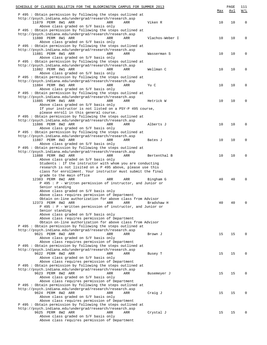| SCHEDULE OF CLASSES BULLETIN FOR THE BLOOMINGTON CAMPUS FOR SUMMER 2013                                                 |     | PAGE | 111         |
|-------------------------------------------------------------------------------------------------------------------------|-----|------|-------------|
| P 495: Obtain permission by following the steps outlined at                                                             | Max | Avl  | <u>W/L</u>  |
| http://psych.indiana.edu/undergrad/research/research.asp                                                                |     |      |             |
| 11879 PERM 8W1 ARR<br>Viken R<br>ARR<br>ARR                                                                             | 10  | 10   | $\mathbf 0$ |
| Above class graded on S/F basis only                                                                                    |     |      |             |
| P 495: Obtain permission by following the steps outlined at<br>http://psych.indiana.edu/undergrad/research/research.asp |     |      |             |
| 11880 PERM 8W1 ARR<br>Vlachos-Weber I<br>ARR<br>ARR                                                                     | 10  | 10   | 0           |
| Above class graded on S/F basis only                                                                                    |     |      |             |
| P 495: Obtain permission by following the steps outlined at                                                             |     |      |             |
| http://psych.indiana.edu/undergrad/research/research.asp                                                                |     |      |             |
| 11881 PERM 8W1 ARR<br>Wasserman S<br>ARR<br>ARR                                                                         | 10  | 10   | 0           |
| Above class graded on S/F basis only<br>P 495: Obtain permission by following the steps outlined at                     |     |      |             |
| http://psych.indiana.edu/undergrad/research/research.asp                                                                |     |      |             |
| 11882 PERM 8W1 ARR<br>Wellman C<br>ARR<br>ARR                                                                           | 10  | 10   | 0           |
| Above class graded on S/F basis only                                                                                    |     |      |             |
| P 495: Obtain permission by following the steps outlined at                                                             |     |      |             |
| http://psych.indiana.edu/undergrad/research/research.asp<br>11884 PERM 8W1 ARR<br>ARR<br>ARR<br>Yu C                    | 10  | 10   | 0           |
| Above class graded on S/F basis only                                                                                    |     |      |             |
| P 495: Obtain permission by following the steps outlined at                                                             |     |      |             |
| http://psych.indiana.edu/undergrad/research/research.asp                                                                |     |      |             |
| 11885 PERM 8W1 ARR<br>Hetrick W<br>ARR<br>ARR                                                                           | 10  | 10   | 0           |
| Above class graded on S/F basis only                                                                                    |     |      |             |
| If your instructor is not listed on a PSY-P 495 course,<br>please enroll in this general course.                        |     |      |             |
| P 495: Obtain permission by following the steps outlined at                                                             |     |      |             |
| http://psych.indiana.edu/undergrad/research/research.asp                                                                |     |      |             |
| 11886 PERM 8W2 ARR<br>ARR<br>ARR<br>Alberts J                                                                           | 10  | 10   | 0           |
| Above class graded on S/F basis only                                                                                    |     |      |             |
| P 495: Obtain permission by following the steps outlined at                                                             |     |      |             |
| http://psych.indiana.edu/undergrad/research/research.asp                                                                |     |      |             |
| 11887 PERM 8W2 ARR<br>ARR<br>ARR<br>Bates J<br>Above class graded on S/F basis only                                     | 10  | 10   | 0           |
| P 495: Obtain permission by following the steps outlined at                                                             |     |      |             |
| http://psych.indiana.edu/undergrad/research/research.asp                                                                |     |      |             |
| 11888 PERM 8W2 ARR<br>ARR<br>ARR<br>Bertenthal B                                                                        | 10  | 10   | 0           |
| Above class graded on S/F basis only                                                                                    |     |      |             |
| Students : If the instructor with whom you are conducting<br>research is not lisited on a P 495 above, please use this  |     |      |             |
| class for enrollment. Your instructor must submit the final                                                             |     |      |             |
| grade to the main office                                                                                                |     |      |             |
| 12383 PERM 8W2 ARR<br>Bingham G<br>ARR<br>ARR                                                                           | 40  | 40   | $\Omega$    |
| P 495 : P - Written permission of instructor, and Junior or                                                             |     |      |             |
| Senior standing<br>Above class graded on S/F basis only                                                                 |     |      |             |
| Above class requires permission of Department                                                                           |     |      |             |
| Obtain on-line authorization for above class from Advisor                                                               |     |      |             |
| 12373 PERM 8W2 ARR<br>ARR<br>Bradshaw H<br>ARR                                                                          | 40  | 40   | 0           |
| P 495 : P - Written permission of instructor, and Junior or                                                             |     |      |             |
| Senior standing                                                                                                         |     |      |             |
| Above class graded on S/F basis only<br>Above class requires permission of Department                                   |     |      |             |
| Obtain on-line authorization for above class from Advisor                                                               |     |      |             |
| P 495: Obtain permission by following the steps outlined at                                                             |     |      |             |
| http://psych.indiana.edu/undergrad/research/research.asp                                                                |     |      |             |
| 9621 PERM 8W2 ARR<br>ARR<br>ARR<br>Brown J                                                                              | 15  | 15   | $\Omega$    |
| Above class graded on S/F basis only                                                                                    |     |      |             |
| Above class requires permission of Department<br>P 495: Obtain permission by following the steps outlined at            |     |      |             |
| http://psych.indiana.edu/undergrad/research/research.asp                                                                |     |      |             |
| 9622 PERM 8W2 ARR<br>ARR<br>ARR<br>Busey T                                                                              | 15  | 15   | 0           |
| Above class graded on S/F basis only                                                                                    |     |      |             |
| Above class requires permission of Department                                                                           |     |      |             |
| P 495: Obtain permission by following the steps outlined at<br>http://psych.indiana.edu/undergrad/research/research.asp |     |      |             |
| 9623 PERM 8W2 ARR<br>ARR<br>ARR<br>Busemeyer J                                                                          | 15  | 15   | $\Omega$    |
| Above class graded on S/F basis only                                                                                    |     |      |             |
| Above class requires permission of Department                                                                           |     |      |             |
| P 495: Obtain permission by following the steps outlined at                                                             |     |      |             |
| http://psych.indiana.edu/undergrad/research/research.asp                                                                |     |      |             |
| 9624 PERM 8W2 ARR<br>ARR<br>ARR<br>Craig J<br>Above class graded on S/F basis only                                      | 15  | 15   | $\Omega$    |
| Above class requires permission of Department                                                                           |     |      |             |
| P 495: Obtain permission by following the steps outlined at                                                             |     |      |             |
| http://psych.indiana.edu/undergrad/research/research.asp                                                                |     |      |             |
| 9625 PERM 8W2 ARR<br>ARR<br>ARR<br>Crystal J                                                                            | 15  | 15   | $\Omega$    |
| Above class graded on S/F basis only                                                                                    |     |      |             |
| Above class requires permission of Department                                                                           |     |      |             |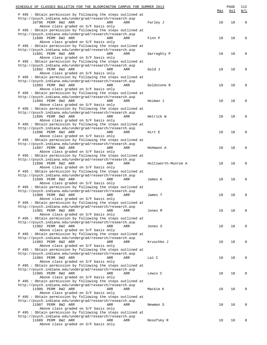| SCHEDULE OF CLASSES BULLETIN FOR THE BLOOMINGTON CAMPUS FOR SUMMER 2013                                                  |                     |     | PAGE | 112         |
|--------------------------------------------------------------------------------------------------------------------------|---------------------|-----|------|-------------|
| P 495: Obtain permission by following the steps outlined at                                                              |                     | Max | Avl  | W/L         |
| http://psych.indiana.edu/undergrad/research/research.asp                                                                 |                     |     |      |             |
| 10796 PERM 8W2 ARR<br>ARR<br>ARR                                                                                         | Farley J            | 10  | 10   | $\mathbf 0$ |
| Above class graded on S/F basis only                                                                                     |                     |     |      |             |
| P 495 : Obtain permission by following the steps outlined at<br>http://psych.indiana.edu/undergrad/research/research.asp |                     |     |      |             |
| 11890 PERM 8W2 ARR<br>ARR<br>ARR                                                                                         | Finn P              | 10  | 10   | $\mathbf 0$ |
| Above class graded on S/F basis only                                                                                     |                     |     |      |             |
| P 495 : Obtain permission by following the steps outlined at                                                             |                     |     |      |             |
| http://psych.indiana.edu/undergrad/research/research.asp<br>11891 PERM 8W2 ARR<br>ARR<br>ARR                             | Garraghty P         | 10  | 10   | $\mathbf 0$ |
| Above class graded on S/F basis only                                                                                     |                     |     |      |             |
| P 495 : Obtain permission by following the steps outlined at                                                             |                     |     |      |             |
| http://psych.indiana.edu/undergrad/research/research.asp                                                                 |                     |     |      |             |
| 11892 PERM 8W2 ARR<br>ARR<br>ARR                                                                                         | Gold J              | 10  | 10   | $\mathbf 0$ |
| Above class graded on S/F basis only<br>P 495 : Obtain permission by following the steps outlined at                     |                     |     |      |             |
| http://psych.indiana.edu/undergrad/research/research.asp                                                                 |                     |     |      |             |
| 11893 PERM 8W2 ARR<br>ARR<br>ARR                                                                                         | Goldstone R         | 10  | 10   | $\mathbf 0$ |
| Above class graded on S/F basis only                                                                                     |                     |     |      |             |
| P 495 : Obtain permission by following the steps outlined at                                                             |                     |     |      |             |
| http://psych.indiana.edu/undergrad/research/research.asp<br>11894 PERM 8W2 ARR<br>ARR<br>ARR                             | Heiman J            | 10  | 10   | $\mathbf 0$ |
| Above class graded on S/F basis only                                                                                     |                     |     |      |             |
| P 495 : Obtain permission by following the steps outlined at                                                             |                     |     |      |             |
| http://psych.indiana.edu/undergrad/research/research.asp                                                                 |                     |     |      |             |
| 11895 PERM 8W2 ARR<br>ARR<br>ARR                                                                                         | Hetrick W           | 10  | 10   | 0           |
| Above class graded on S/F basis only                                                                                     |                     |     |      |             |
| P 495 : Obtain permission by following the steps outlined at<br>http://psych.indiana.edu/undergrad/research/research.asp |                     |     |      |             |
| 11896 PERM 8W2 ARR<br>ARR<br>ARR                                                                                         | Hirt E              | 10  | 10   | 0           |
| Above class graded on S/F basis only                                                                                     |                     |     |      |             |
| P 495 : Obtain permission by following the steps outlined at                                                             |                     |     |      |             |
| http://psych.indiana.edu/undergrad/research/research.asp                                                                 |                     |     |      |             |
| 11897 PERM 8W2 ARR<br>ARR<br>ARR                                                                                         | Hohmann A           | 10  | 10   | 0           |
| Above class graded on S/F basis only<br>P 495 : Obtain permission by following the steps outlined at                     |                     |     |      |             |
| http://psych.indiana.edu/undergrad/research/research.asp                                                                 |                     |     |      |             |
| 11898 PERM 8W2 ARR<br>ARR<br>ARR                                                                                         | Holtzworth-Munroe A | 10  | 10   | 0           |
| Above class graded on S/F basis only                                                                                     |                     |     |      |             |
| P 495 : Obtain permission by following the steps outlined at                                                             |                     |     |      |             |
| http://psych.indiana.edu/undergrad/research/research.asp<br>11899 PERM 8W2 ARR<br>ARR<br>ARR                             | James K             | 10  | 10   | $\mathbf 0$ |
| Above class graded on S/F basis only                                                                                     |                     |     |      |             |
| P 495 : Obtain permission by following the steps outlined at                                                             |                     |     |      |             |
| http://psych.indiana.edu/undergrad/research/research.asp                                                                 |                     |     |      |             |
| 11900 PERM 8W2 ARR<br>ARR<br>ARR                                                                                         | James T             | 10  | 10   | $\mathbf 0$ |
| Above class graded on S/F basis only                                                                                     |                     |     |      |             |
| P 495 : Obtain permission by following the steps outlined at<br>http://psych.indiana.edu/undergrad/research/research.asp |                     |     |      |             |
| 11901 PERM 8W2 ARR<br>ARR<br>ARR                                                                                         | Jones M             | 10  | 10   | 0           |
| Above class graded on S/F basis only                                                                                     |                     |     |      |             |
| P 495: Obtain permission by following the steps outlined at                                                              |                     |     |      |             |
| http://psych.indiana.edu/undergrad/research/research.asp                                                                 |                     |     |      |             |
| 11902 PERM 8W2 ARR<br>ARR<br>ARR<br>Above class graded on S/F basis only                                                 | Jones S             | 10  | 10   | 0           |
| P 495: Obtain permission by following the steps outlined at                                                              |                     |     |      |             |
| http://psych.indiana.edu/undergrad/research/research.asp                                                                 |                     |     |      |             |
| 11903 PERM 8W2 ARR<br>ARR<br>ARR                                                                                         | Kruschke J          | 10  | 10   | 0           |
| Above class graded on S/F basis only                                                                                     |                     |     |      |             |
| P 495: Obtain permission by following the steps outlined at                                                              |                     |     |      |             |
| http://psych.indiana.edu/undergrad/research/research.asp<br>11904 PERM 8W2 ARR<br>ARR<br>ARR                             | Lai C               | 10  | 10   | 0           |
| Above class graded on S/F basis only                                                                                     |                     |     |      |             |
| P 495: Obtain permission by following the steps outlined at                                                              |                     |     |      |             |
| http://psych.indiana.edu/undergrad/research/research.asp                                                                 |                     |     |      |             |
| 11905 PERM 8W2 ARR<br>ARR<br>ARR                                                                                         | Lewis C             | 10  | 10   | 0           |
| Above class graded on S/F basis only<br>P 495: Obtain permission by following the steps outlined at                      |                     |     |      |             |
| http://psych.indiana.edu/undergrad/research/research.asp                                                                 |                     |     |      |             |
| 11906 PERM 8W2 ARR<br>ARR<br>ARR                                                                                         | Mackie K            | 10  | 10   | 0           |
| Above class graded on S/F basis only                                                                                     |                     |     |      |             |
| P 495: Obtain permission by following the steps outlined at                                                              |                     |     |      |             |
| http://psych.indiana.edu/undergrad/research/research.asp<br>11907 PERM 8W2 ARR<br>ARR<br>ARR                             | Newman S            | 10  | 10   | 0           |
| Above class graded on S/F basis only                                                                                     |                     |     |      |             |
| P 495: Obtain permission by following the steps outlined at                                                              |                     |     |      |             |
| http://psych.indiana.edu/undergrad/research/research.asp                                                                 |                     |     |      |             |
| 11889 PERM 8W2 ARR<br>ARR<br>ARR                                                                                         | Nosofsky R          | 10  | 10   | 0           |
| Above class graded on S/F basis only                                                                                     |                     |     |      |             |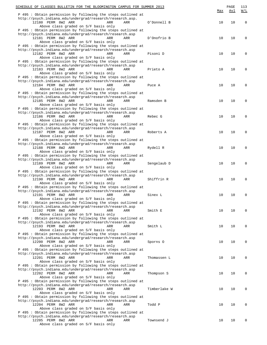| SCHEDULE OF CLASSES BULLETIN FOR THE BLOOMINGTON CAMPUS FOR SUMMER 2013                                                  |              |     | PAGE | 113         |
|--------------------------------------------------------------------------------------------------------------------------|--------------|-----|------|-------------|
| P 495 : Obtain permission by following the steps outlined at                                                             |              | Max | Avl  | W/L         |
| http://psych.indiana.edu/undergrad/research/research.asp.                                                                |              |     |      |             |
| 12180 PERM 8W2 ARR<br>ARR<br>ARR                                                                                         | O'Donnell B  | 10  | 10   | $\mathbf 0$ |
| Above class graded on S/F basis only<br>P 495 : Obtain permission by following the steps outlined at                     |              |     |      |             |
| http://psych.indiana.edu/undergrad/research/research.asp                                                                 |              |     |      |             |
| 12181 PERM 8W2 ARR<br>ARR<br>ARR                                                                                         | D'Onofrio B  | 10  | 10   | $\mathbf 0$ |
| Above class graded on S/F basis only<br>P 495 : Obtain permission by following the steps outlined at                     |              |     |      |             |
| http://psych.indiana.edu/undergrad/research/research.asp                                                                 |              |     |      |             |
| 12182 PERM 8W2 ARR<br>ARR<br>ARR                                                                                         | Pisoni D     | 10  | 10   | $\mathbf 0$ |
| Above class graded on S/F basis only                                                                                     |              |     |      |             |
| P 495 : Obtain permission by following the steps outlined at<br>http://psych.indiana.edu/undergrad/research/research.asp |              |     |      |             |
| 12183 PERM 8W2 ARR<br>ARR<br>ARR                                                                                         | Prieto A     | 10  | 10   | $\mathbf 0$ |
| Above class graded on S/F basis only                                                                                     |              |     |      |             |
| P 495 : Obtain permission by following the steps outlined at<br>http://psych.indiana.edu/undergrad/research/research.asp |              |     |      |             |
| 12184 PERM 8W2 ARR<br>ARR<br>ARR                                                                                         | Puce A       | 10  | 10   | $\mathbf 0$ |
| Above class graded on S/F basis only                                                                                     |              |     |      |             |
| P 495 : Obtain permission by following the steps outlined at                                                             |              |     |      |             |
| http://psych.indiana.edu/undergrad/research/research.asp<br>12185 PERM 8W2 ARR<br>ARR<br>ARR                             | Ramsden B    | 10  | 10   | $\mathbf 0$ |
| Above class graded on S/F basis only                                                                                     |              |     |      |             |
| P 495 : Obtain permission by following the steps outlined at                                                             |              |     |      |             |
| http://psych.indiana.edu/undergrad/research/research.asp                                                                 |              |     |      |             |
| 12186 PERM 8W2 ARR<br>ARR<br>ARR<br>Above class graded on S/F basis only                                                 | Rebec G      | 10  | 10   | $\mathbf 0$ |
| P 495 : Obtain permission by following the steps outlined at                                                             |              |     |      |             |
| http://psych.indiana.edu/undergrad/research/research.asp                                                                 |              |     |      |             |
| 12187 PERM 8W2 ARR<br>ARR<br>ARR                                                                                         | Roberts A    | 10  | 10   | $\mathbf 0$ |
| Above class graded on S/F basis only<br>P 495 : Obtain permission by following the steps outlined at                     |              |     |      |             |
| http://psych.indiana.edu/undergrad/research/research.asp                                                                 |              |     |      |             |
| 12188 PERM 8W2 ARR<br>ARR<br>ARR                                                                                         | Rydell R     | 10  | 10   | $\mathbf 0$ |
| Above class graded on S/F basis only                                                                                     |              |     |      |             |
| P 495 : Obtain permission by following the steps outlined at<br>http://psych.indiana.edu/undergrad/research/research.asp |              |     |      |             |
| 12189 PERM 8W2 ARR<br>ARR<br>ARR                                                                                         | Sengelaub D  | 10  | 10   | 0           |
| Above class graded on S/F basis only                                                                                     |              |     |      |             |
| P 495 : Obtain permission by following the steps outlined at<br>http://psych.indiana.edu/undergrad/research/research.asp |              |     |      |             |
| 12190 PERM 8W2 ARR<br>ARR<br>ARR                                                                                         | Shiffrin R   | 10  | 10   | 0           |
| Above class graded on S/F basis only                                                                                     |              |     |      |             |
| P 495 : Obtain permission by following the steps outlined at<br>http://psych.indiana.edu/undergrad/research/research.asp |              |     |      |             |
| 12191 PERM 8W2 ARR<br>ARR<br>ARR                                                                                         | Sinex L      | 10  | 10   | 0           |
| Above class graded on S/F basis only                                                                                     |              |     |      |             |
| P 495 : Obtain permission by following the steps outlined at                                                             |              |     |      |             |
| http://psych.indiana.edu/undergrad/research/research.asp<br>12192 PERM 8W2 ARR<br>ARR<br>ARR                             | Smith E      | 10  | 10   | 0           |
| Above class graded on S/F basis only                                                                                     |              |     |      |             |
| P 495 : Obtain permission by following the steps outlined at                                                             |              |     |      |             |
| http://psych.indiana.edu/undergrad/research/research.asp                                                                 |              |     |      |             |
| 12193 PERM 8W2 ARR<br>ARR<br>ARR<br>Above class graded on S/F basis only                                                 | Smith L      | 10  | 10   | 0           |
| P 495 : Obtain permission by following the steps outlined at                                                             |              |     |      |             |
| http://psych.indiana.edu/undergrad/research/research.asp                                                                 |              |     |      |             |
| 12200 PERM 8W2 ARR<br>ARR<br>ARR                                                                                         | Sporns 0     | 10  | 10   | 0           |
| Above class graded on S/F basis only<br>P 495 : Obtain permission by following the steps outlined at                     |              |     |      |             |
| http://psych.indiana.edu/undergrad/research/research.asp                                                                 |              |     |      |             |
| 12201 PERM 8W2 ARR<br>ARR<br>ARR                                                                                         | Thomassen L  | 10  | 10   | 0           |
| Above class graded on S/F basis only<br>P 495 : Obtain permission by following the steps outlined at                     |              |     |      |             |
| http://psych.indiana.edu/undergrad/research/research.asp                                                                 |              |     |      |             |
| 12202 PERM 8W2 ARR<br>ARR<br>ARR                                                                                         | Thompson S   | 10  | 10   | 0           |
| Above class graded on S/F basis only                                                                                     |              |     |      |             |
| P 495 : Obtain permission by following the steps outlined at<br>http://psych.indiana.edu/undergrad/research/research.asp |              |     |      |             |
| 12203 PERM 8W2 ARR<br>ARR<br>ARR                                                                                         | Timberlake W | 10  | 10   | 0           |
| Above class graded on S/F basis only                                                                                     |              |     |      |             |
| P 495 : Obtain permission by following the steps outlined at                                                             |              |     |      |             |
| http://psych.indiana.edu/undergrad/research/research.asp<br>12204 PERM 8W2 ARR<br>ARR<br>ARR                             | Todd P       | 10  | 10   | 0           |
| Above class graded on S/F basis only                                                                                     |              |     |      |             |
| P 495: Obtain permission by following the steps outlined at                                                              |              |     |      |             |
| http://psych.indiana.edu/undergrad/research/research.asp<br>12205 PERM 8W2 ARR<br>ARR                                    |              | 10  |      | 0           |
| ARR<br>Above class graded on S/F basis only                                                                              | Townsend J   |     | 10   |             |
|                                                                                                                          |              |     |      |             |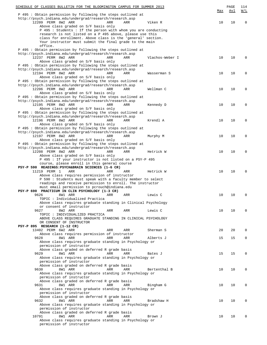| SCHEDULE OF CLASSES BULLETIN FOR THE BLOOMINGTON CAMPUS FOR SUMMER 2013                                                   |                 |     | PAGE | 114          |
|---------------------------------------------------------------------------------------------------------------------------|-----------------|-----|------|--------------|
| P 495: Obtain permission by following the steps outlined at                                                               |                 | Max | Avl  | W/L          |
| http://psych.indiana.edu/undergrad/research/research.asp                                                                  |                 |     |      |              |
| 12209 PERM 8W2 ARR<br>ARR<br>ARR                                                                                          | Viken R         | 10  | 10   | 0            |
| Above class graded on S/F basis only                                                                                      |                 |     |      |              |
| P 495 : Students : If the person with whom you are conducting<br>research is not listed on a P 495 above, please use this |                 |     |      |              |
| class for enrollment. Above class is the 'general' section.                                                               |                 |     |      |              |
| Your instructor must submit the final grade to the main                                                                   |                 |     |      |              |
| office.                                                                                                                   |                 |     |      |              |
| P 495: Obtain permission by following the steps outlined at                                                               |                 |     |      |              |
| http://psych.indiana.edu/undergrad/research/research.asp<br>12237 PERM 8W2 ARR<br>ARR<br>ARR                              | Vlachos-Weber I | 10  | 10   | $\mathbf 0$  |
| Above class graded on S/F basis only                                                                                      |                 |     |      |              |
| P 495: Obtain permission by following the steps outlined at                                                               |                 |     |      |              |
| http://psych.indiana.edu/undergrad/research/research.asp                                                                  |                 |     |      |              |
| 12194 PERM 8W2 ARR<br>ARR<br>ARR                                                                                          | Wasserman S     | 10  | 10   | $\mathbf 0$  |
| Above class graded on S/F basis only<br>P 495: Obtain permission by following the steps outlined at                       |                 |     |      |              |
| http://psych.indiana.edu/undergrad/research/research.asp                                                                  |                 |     |      |              |
| 12206 PERM 8W2 ARR<br>ARR<br>ARR                                                                                          | Wellman C       | 10  | 10   | $\mathbf 0$  |
| Above class graded on S/F basis only                                                                                      |                 |     |      |              |
| P 495: Obtain permission by following the steps outlined at                                                               |                 |     |      |              |
| http://psych.indiana.edu/undergrad/research/research.asp                                                                  |                 |     |      |              |
| 12195 PERM 8W2 ARR<br>ARR<br>ARR<br>Above class graded on S/F basis only                                                  | Kennedy D       | 10  | 10   | $\mathbf 0$  |
| P 495 : Obtain permission by following the steps outlined at                                                              |                 |     |      |              |
| http://psych.indiana.edu/undergrad/research/research.asp                                                                  |                 |     |      |              |
| 12196 PERM 8W2 ARR<br>ARR<br>ARR                                                                                          | Krendl A        | 10  | 10   | $\mathbf 0$  |
| Above class graded on S/F basis only                                                                                      |                 |     |      |              |
| P 495: Obtain permission by following the steps outlined at                                                               |                 |     |      |              |
| http://psych.indiana.edu/undergrad/research/research.asp<br>12197 PERM 8W2 ARR<br>ARR<br>ARR                              | Murphy M        | 10  | 10   | $\mathbf 0$  |
| Above class graded on S/F basis only                                                                                      |                 |     |      |              |
| P 495: Obtain permission by following the steps outlined at                                                               |                 |     |      |              |
| http://psych.indiana.edu/undergrad/research/research.asp                                                                  |                 |     |      |              |
| 12208 PERM 8W2 ARR<br>ARR<br>ARR                                                                                          | Hetrick W       | 10  | 10   | $\mathbf 0$  |
| Above class graded on S/F basis only                                                                                      |                 |     |      |              |
| P 495 : If your instructor is not listed on a PSY-P 495<br>course, please enroll in this general course                   |                 |     |      |              |
| PSY-P 590 READINGS: PSYCH&BRAIN SCIENCES (1-6 CR)                                                                         |                 |     |      |              |
| 11219 PERM 1<br>ARR<br>ARR<br>ARR                                                                                         | Hetrick W       | 10  | 10   | $\mathbf 0$  |
| Above class requires permission of instructor                                                                             |                 |     |      |              |
| P 590 : Students must speak with a faculty member to select                                                               |                 |     |      |              |
| readings and receive permission to enroll. The instructor                                                                 |                 |     |      |              |
| must email permission to pcrouch@indiana.edu<br>PSY-P 690 PRACTICUM IN CLIN PSYCHOLOGY (1-3 CR)                           |                 |     |      |              |
| 9626<br>8W1 ARR<br>ARR<br>ARR                                                                                             | Lewis C         | 10  | 10   | 0            |
| TOPIC : Individualized Practica                                                                                           |                 |     |      |              |
| Above class requires graduate standing in Clinical Psychology                                                             |                 |     |      |              |
| or consent of instructor                                                                                                  |                 |     |      |              |
| 9627<br>8W2 ARR<br>ARR<br>ARR<br>TOPIC : INDIVIDUALIZED PRACTICA                                                          | Lewis C         | 10  | 10   | $\mathbf 0$  |
| ABOVE CLASS REQUIRES GRADUATE STANDING IN CLINICAL PSYCHOLOGY                                                             |                 |     |      |              |
| OR CONSENT OF INSTRUCTOR                                                                                                  |                 |     |      |              |
| PSY-P 895 RESEARCH (1-12 CR)                                                                                              |                 |     |      |              |
| 13402 PERM 6W2 ARR<br>ARR<br>ARR                                                                                          | Sherman S       | 20  | 20   | $\mathbf 0$  |
| Above class requires permission of instructor<br>9628                                                                     |                 |     |      |              |
| 8W1 ARR<br>ARR<br>ARR<br>Above class requires graduate standing in Psychology or                                          | Alberts J       | 15  | 15   | $\mathbf{0}$ |
| permission of instructor                                                                                                  |                 |     |      |              |
| Above class graded on deferred R grade basis                                                                              |                 |     |      |              |
| 9629<br>8W1 ARR<br>ARR<br>ARR                                                                                             | Bates J         | 15  | 15   | $\mathbf 0$  |
| Above class requires graduate standing in Psychology or                                                                   |                 |     |      |              |
| permission of instructor                                                                                                  |                 |     |      |              |
| Above class graded on deferred R grade basis<br>9630<br>8W1 ARR<br>ARR<br>ARR                                             | Bertenthal B    | 10  | 10   | $\mathbf 0$  |
| Above class requires graduate standing in Psychology or                                                                   |                 |     |      |              |
| permission of instructor                                                                                                  |                 |     |      |              |
| Above class graded on deferred R grade basis                                                                              |                 |     |      |              |
| 9631<br>8W1 ARR<br>ARR<br>ARR                                                                                             | Bingham G       | 10  | 10   | $\mathbf 0$  |
| Above class requires graduate standing in Psychology or                                                                   |                 |     |      |              |
| permission of instructor<br>Above class graded on deferred R grade basis                                                  |                 |     |      |              |
| 9632<br>8W1 ARR<br>ARR<br>ARR                                                                                             | Bradshaw H      | 10  | 10   | $\mathbf 0$  |
| Above class requires graduate standing in Psychology or                                                                   |                 |     |      |              |
| permission of instructor                                                                                                  |                 |     |      |              |
| Above class graded on deferred R grade basis                                                                              |                 |     |      |              |
| 10791<br>8W1 ARR<br>ARR<br>ARR                                                                                            | Brown J         | 10  | 10   | $\mathbf 0$  |
| Above class requires graduate standing in Psychology or<br>permission of instructor                                       |                 |     |      |              |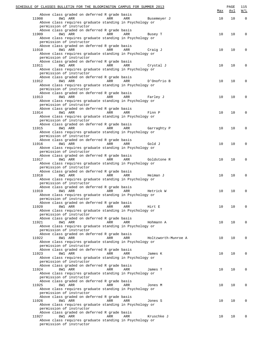| SCHEDULE OF CLASSES BULLETIN FOR THE BLOOMINGTON CAMPUS FOR SUMMER 2013                                  | Max | PAGE<br>Avl | 115<br>W/L   |
|----------------------------------------------------------------------------------------------------------|-----|-------------|--------------|
| Above class graded on deferred R grade basis                                                             | 10  | 10          | $\mathbf{0}$ |
| 8W1 ARR<br>11908<br>ARR<br>ARR<br>Busemeyer J<br>Above class requires graduate standing in Psychology or |     |             |              |
| permission of instructor                                                                                 |     |             |              |
| Above class graded on deferred R grade basis<br>8W1 ARR<br>11909<br>ARR<br>ARR<br>Busey T                | 10  | 10          | $\mathbf 0$  |
| Above class requires graduate standing in Psychology or                                                  |     |             |              |
| permission of instructor                                                                                 |     |             |              |
| Above class graded on deferred R grade basis                                                             |     |             |              |
| 8W1 ARR<br>ARR<br>11910<br>ARR<br>Craig J<br>Above class requires graduate standing in Psychology or     | 10  | 10          | 0            |
| permission of instructor                                                                                 |     |             |              |
| Above class graded on deferred R grade basis                                                             |     |             |              |
| 8W1 ARR<br>11911<br>ARR<br>ARR<br>Crystal J                                                              | 10  | 10          | 0            |
| Above class requires graduate standing in Psychology or                                                  |     |             |              |
| permission of instructor<br>Above class graded on deferred R grade basis                                 |     |             |              |
| 8W1 ARR<br>ARR<br>11912<br>ARR<br>D'Onofrio B                                                            | 10  | 10          | 0            |
| Above class requires graduate standing in Psychology or                                                  |     |             |              |
| permission of instructor                                                                                 |     |             |              |
| Above class graded on deferred R grade basis                                                             |     |             |              |
| 8W1 ARR<br>ARR<br>ARR<br>11913<br>Farley J<br>Above class requires graduate standing in Psychology or    | 10  | 10          | 0            |
| permission of instructor                                                                                 |     |             |              |
| Above class graded on deferred R grade basis                                                             |     |             |              |
| 8W1 ARR<br>11914<br>ARR<br>ARR<br>Finn P                                                                 | 10  | 10          | 0            |
| Above class requires graduate standing in Psychology or                                                  |     |             |              |
| permission of instructor<br>Above class graded on deferred R grade basis                                 |     |             |              |
| 8W1 ARR<br>11915<br>ARR<br>ARR<br>Garraghty P                                                            | 10  | 10          | 0            |
| Above class requires graduate standing in Psychology or                                                  |     |             |              |
| permission of instructor                                                                                 |     |             |              |
| Above class graded on deferred R grade basis<br>8W1 ARR<br>ARR<br>ARR<br>11916<br>Gold J                 | 10  | 10          | 0            |
| Above class requires graduate standing in Psychology or                                                  |     |             |              |
| permission of instructor                                                                                 |     |             |              |
| Above class graded on deferred R grade basis                                                             |     |             |              |
| 8W1 ARR<br>11917<br>ARR<br>ARR<br>Goldstone R                                                            | 10  | 10          | 0            |
| Above class requires graduate standing in Psychology or<br>permission of instructor                      |     |             |              |
| Above class graded on deferred R grade basis                                                             |     |             |              |
| 8W1 ARR<br>ARR<br>ARR<br>11918<br>Heiman J                                                               | 10  | 10          | 0            |
| Above class requires graduate standing in Psychology or                                                  |     |             |              |
| permission of instructor                                                                                 |     |             |              |
| Above class graded on deferred R grade basis<br>8W1 ARR<br>11919<br>ARR<br>ARR<br>Hetrick W              | 10  | 10          | $\mathbf 0$  |
| Above class requires graduate standing in Psychology or                                                  |     |             |              |
| permission of instructor                                                                                 |     |             |              |
| Above class graded on deferred R grade basis                                                             |     |             |              |
| 11920<br>8W1 ARR<br>ARR<br>ARR<br>Hirt E                                                                 | 10  | 10          | $\Omega$     |
| Above class requires graduate standing in Psychology or<br>permission of instructor                      |     |             |              |
| Above class graded on deferred R grade basis                                                             |     |             |              |
| 11921<br>8W1 ARR<br>ARR<br>ARR<br>Hohmann A                                                              | 10  | 10          | $\mathbf 0$  |
| Above class requires graduate standing in Psychology or                                                  |     |             |              |
| permission of instructor                                                                                 |     |             |              |
| Above class graded on deferred R grade basis<br>11922<br>8W1 ARR<br>ARR<br>ARR<br>Holtzworth-Munroe A    | 10  | 10          | $\mathbf 0$  |
| Above class requires graduate standing in Psychology or                                                  |     |             |              |
| permission of instructor                                                                                 |     |             |              |
| Above class graded on deferred R grade basis                                                             |     |             |              |
| 11923<br>8W1 ARR<br>ARR<br>ARR<br>James K<br>Above class requires graduate standing in Psychology or     | 10  | 10          | $\mathbf 0$  |
| permission of instructor                                                                                 |     |             |              |
| Above class graded on deferred R grade basis                                                             |     |             |              |
| 11924<br>8W1 ARR<br>ARR<br>ARR<br>James T                                                                | 10  | 10          | $\mathbf 0$  |
| Above class requires graduate standing in Psychology or                                                  |     |             |              |
| permission of instructor<br>Above class graded on deferred R grade basis                                 |     |             |              |
| 11925<br>8W1 ARR<br>ARR<br>ARR<br>Jones M                                                                | 10  | 10          | $\mathbf 0$  |
| Above class requires graduate standing in Psychology or                                                  |     |             |              |
| permission of instructor                                                                                 |     |             |              |
| Above class graded on deferred R grade basis                                                             |     |             |              |
| 11926<br>8W1 ARR<br>ARR<br>ARR<br>Jones S<br>Above class requires graduate standing in Psychology or     | 10  | 10          | $\mathbf 0$  |
| permission of instructor                                                                                 |     |             |              |
| Above class graded on deferred R grade basis                                                             |     |             |              |
| 11927<br>8W1 ARR<br>ARR<br>ARR<br>Kruschke J                                                             | 10  | 10          | $\Omega$     |
| Above class requires graduate standing in Psychology or                                                  |     |             |              |
| permission of instructor                                                                                 |     |             |              |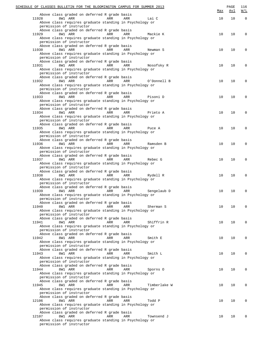| SCHEDULE OF CLASSES BULLETIN FOR THE BLOOMINGTON CAMPUS FOR SUMMER 2013             |     |                     | Max | PAGE<br><u>Avl</u> | 116<br>W/L   |
|-------------------------------------------------------------------------------------|-----|---------------------|-----|--------------------|--------------|
| Above class graded on deferred R grade basis                                        |     |                     |     |                    |              |
| 8W1 ARR<br>11928<br>Above class requires graduate standing in Psychology or         | ARR | ARR<br>Lai C        | 10  | 10                 | $\mathbf{0}$ |
| permission of instructor                                                            |     |                     |     |                    |              |
| Above class graded on deferred R grade basis                                        |     |                     |     |                    |              |
| 8W1 ARR<br>11929                                                                    | ARR | ARR<br>Mackie K     | 10  | 10                 | $\mathbf 0$  |
| Above class requires graduate standing in Psychology or<br>permission of instructor |     |                     |     |                    |              |
| Above class graded on deferred R grade basis                                        |     |                     |     |                    |              |
| 8W1 ARR<br>11930                                                                    | ARR | ARR<br>Newman S     | 10  | 10                 | 0            |
| Above class requires graduate standing in Psychology or                             |     |                     |     |                    |              |
| permission of instructor<br>Above class graded on deferred R grade basis            |     |                     |     |                    |              |
| 8W1 ARR<br>11931                                                                    | ARR | ARR<br>Nosofsky R   | 10  | 10                 | 0            |
| Above class requires graduate standing in Psychology or                             |     |                     |     |                    |              |
| permission of instructor                                                            |     |                     |     |                    |              |
| Above class graded on deferred R grade basis<br>8W1 ARR<br>11932                    | ARR | ARR<br>O'Donnell B  | 10  | 10                 | 0            |
| Above class requires graduate standing in Psychology or                             |     |                     |     |                    |              |
| permission of instructor                                                            |     |                     |     |                    |              |
| Above class graded on deferred R grade basis                                        |     |                     |     |                    |              |
| 8W1 ARR<br>11933<br>Above class requires graduate standing in Psychology or         | ARR | ARR<br>Pisoni D     | 10  | 10                 | 0            |
| permission of instructor                                                            |     |                     |     |                    |              |
| Above class graded on deferred R grade basis                                        |     |                     |     |                    |              |
| 8W1 ARR<br>11934                                                                    | ARR | ARR<br>Prieto A     | 10  | 10                 | 0            |
| Above class requires graduate standing in Psychology or                             |     |                     |     |                    |              |
| permission of instructor<br>Above class graded on deferred R grade basis            |     |                     |     |                    |              |
| 8W1 ARR<br>11935                                                                    | ARR | ARR<br>Puce A       | 10  | 10                 | 0            |
| Above class requires graduate standing in Psychology or                             |     |                     |     |                    |              |
| permission of instructor                                                            |     |                     |     |                    |              |
| Above class graded on deferred R grade basis                                        | ARR |                     | 10  |                    |              |
| 8W1 ARR<br>11936<br>Above class requires graduate standing in Psychology or         |     | ARR<br>Ramsden B    |     | 10                 | 0            |
| permission of instructor                                                            |     |                     |     |                    |              |
| Above class graded on deferred R grade basis                                        |     |                     |     |                    |              |
| 8W1 ARR<br>11937                                                                    | ARR | ARR<br>Rebec G      | 10  | 10                 | 0            |
| Above class requires graduate standing in Psychology or<br>permission of instructor |     |                     |     |                    |              |
| Above class graded on deferred R grade basis                                        |     |                     |     |                    |              |
| 8W1 ARR<br>11938                                                                    | ARR | ARR<br>Rydell R     | 10  | 10                 | 0            |
| Above class requires graduate standing in Psychology or                             |     |                     |     |                    |              |
| permission of instructor<br>Above class graded on deferred R grade basis            |     |                     |     |                    |              |
| 8W1 ARR<br>11939                                                                    | ARR | ARR<br>Sengelaub D  | 10  | 10                 | $\mathbf 0$  |
| Above class requires graduate standing in Psychology or                             |     |                     |     |                    |              |
| permission of instructor                                                            |     |                     |     |                    |              |
| Above class graded on deferred R grade basis                                        |     |                     |     |                    |              |
| 11940<br>8W1 ARR<br>Above class requires graduate standing in Psychology or         | ARR | ARR<br>Sherman S    | 10  | 10                 | $\mathbf 0$  |
| permission of instructor                                                            |     |                     |     |                    |              |
| Above class graded on deferred R grade basis                                        |     |                     |     |                    |              |
| 11941<br>8W1 ARR                                                                    | ARR | ARR<br>Shiffrin R   | 10  | 10                 | $\mathbf 0$  |
| Above class requires graduate standing in Psychology or                             |     |                     |     |                    |              |
| permission of instructor<br>Above class graded on deferred R grade basis            |     |                     |     |                    |              |
| 11942<br>8W1 ARR                                                                    | ARR | ARR<br>Smith E      | 10  | 10                 | $\mathbf 0$  |
| Above class requires graduate standing in Psychology or                             |     |                     |     |                    |              |
| permission of instructor                                                            |     |                     |     |                    |              |
| Above class graded on deferred R grade basis<br>11943<br>8W1 ARR                    | ARR | ARR<br>Smith L      | 10  | 10                 | $\mathbf 0$  |
| Above class requires graduate standing in Psychology or                             |     |                     |     |                    |              |
| permission of instructor                                                            |     |                     |     |                    |              |
| Above class graded on deferred R grade basis                                        |     |                     |     |                    |              |
| 11944<br>8W1 ARR<br>Above class requires graduate standing in Psychology or         | ARR | ARR<br>Sporns 0     | 10  | 10                 | $\mathbf 0$  |
| permission of instructor                                                            |     |                     |     |                    |              |
| Above class graded on deferred R grade basis                                        |     |                     |     |                    |              |
| 11945<br>8W1 ARR                                                                    | ARR | ARR<br>Timberlake W | 10  | 10                 | $\mathbf 0$  |
| Above class requires graduate standing in Psychology or                             |     |                     |     |                    |              |
| permission of instructor<br>Above class graded on deferred R grade basis            |     |                     |     |                    |              |
| 12106<br>8W1 ARR                                                                    | ARR | ARR<br>Todd P       | 10  | 10                 | $\mathbf 0$  |
| Above class requires graduate standing in Psychology or                             |     |                     |     |                    |              |
| permission of instructor                                                            |     |                     |     |                    |              |
| Above class graded on deferred R grade basis<br>12107<br>8W1 ARR                    | ARR | ARR<br>Townsend J   | 10  | 10                 | $\Omega$     |
| Above class requires graduate standing in Psychology or                             |     |                     |     |                    |              |
| permission of instructor                                                            |     |                     |     |                    |              |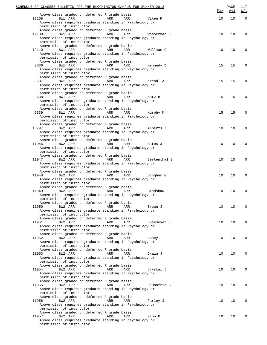|       | SCHEDULE OF CLASSES BULLETIN FOR THE BLOOMINGTON CAMPUS FOR SUMMER 2013                          | Max | PAGE<br><u>Avl</u> | 117<br>W/L   |
|-------|--------------------------------------------------------------------------------------------------|-----|--------------------|--------------|
|       | Above class graded on deferred R grade basis                                                     |     |                    |              |
| 12108 | 8W1 ARR<br>ARR<br>ARR<br>Viken R                                                                 | 10  | 10                 | $\mathbf{0}$ |
|       | Above class requires graduate standing in Psychology or                                          |     |                    |              |
|       | permission of instructor<br>Above class graded on deferred R grade basis                         |     |                    |              |
| 12109 | 8W1 ARR<br>ARR<br>ARR<br>Wasserman S                                                             | 10  | 10                 | $\mathbf 0$  |
|       | Above class requires graduate standing in Psychology or                                          |     |                    |              |
|       | permission of instructor                                                                         |     |                    |              |
|       | Above class graded on deferred R grade basis                                                     |     |                    |              |
| 12110 | 8W1 ARR<br>ARR<br>ARR<br>Wellman C                                                               | 10  | 10                 | 0            |
|       | Above class requires graduate standing in Psychology or<br>permission of instructor              |     |                    |              |
|       | Above class graded on deferred R grade basis                                                     |     |                    |              |
| 9636  | 8W1 ARR<br>ARR<br>ARR<br>Kennedy D                                                               | 15  | 15                 | 0            |
|       | Above class requires graduate standing in Psychology or                                          |     |                    |              |
|       | permission of instructor                                                                         |     |                    |              |
| 9637  | Above class graded on deferred R grade basis<br>8W1 ARR                                          | 15  | 15                 | 0            |
|       | ARR<br>ARR<br>Krendl A<br>Above class requires graduate standing in Psychology or                |     |                    |              |
|       | permission of instructor                                                                         |     |                    |              |
|       | Above class graded on deferred R grade basis                                                     |     |                    |              |
| 9638  | 8W1 ARR<br>ARR<br>ARR<br>Motz B                                                                  | 15  | 15                 | 0            |
|       | Above class requires graduate standing in Psychology or                                          |     |                    |              |
|       | permission of instructor                                                                         |     |                    |              |
| 9639  | Above class graded on deferred R grade basis<br>8W1 ARR<br>ARR<br>ARR<br>Murphy M                | 15  | 15                 | 0            |
|       | Above class requires graduate standing in Psychology or                                          |     |                    |              |
|       | permission of instructor                                                                         |     |                    |              |
|       | Above class graded on deferred R grade basis                                                     |     |                    |              |
| 10797 | 8W2 ARR<br>ARR<br>ARR<br>Alberts J                                                               | 10  | 10                 | 0            |
|       | Above class requires graduate standing in Psychology or                                          |     |                    |              |
|       | permission of instructor<br>Above class graded on deferred R grade basis                         |     |                    |              |
| 11946 | 8W2 ARR<br>ARR<br>ARR<br>Bates J                                                                 | 10  | 10                 | 0            |
|       | Above class requires graduate standing in Psychology or                                          |     |                    |              |
|       | permission of instructor                                                                         |     |                    |              |
|       | Above class graded on deferred R grade basis                                                     |     |                    |              |
| 11947 | 8W2 ARR<br>ARR<br>ARR<br>Bertenthal B<br>Above class requires graduate standing in Psychology or | 10  | 10                 | 0            |
|       | permission of instructor                                                                         |     |                    |              |
|       | Above class graded on deferred R grade basis                                                     |     |                    |              |
| 11948 | 8W2 ARR<br>ARR<br>ARR<br>Bingham G                                                               | 10  | 10                 | 0            |
|       | Above class requires graduate standing in Psychology or                                          |     |                    |              |
|       | permission of instructor                                                                         |     |                    |              |
| 11949 | Above class graded on deferred R grade basis<br>8W2 ARR<br>ARR<br>ARR<br>Bradshaw H              | 10  | 10                 | $\mathbf 0$  |
|       | Above class requires graduate standing in Psychology or                                          |     |                    |              |
|       | permission of instructor                                                                         |     |                    |              |
|       | Above class graded on deferred R grade basis                                                     |     |                    |              |
| 11950 | 8W2 ARR<br>ARR<br>ARR<br>Brown J                                                                 | 10  | 10                 | $\Omega$     |
|       | Above class requires graduate standing in Psychology or                                          |     |                    |              |
|       | permission of instructor<br>Above class graded on deferred R grade basis                         |     |                    |              |
| 11951 | 8W2 ARR<br>ARR<br>ARR<br>Busemeyer J                                                             | 10  | 10                 | $\mathbf 0$  |
|       | Above class requires graduate standing in Psychology or                                          |     |                    |              |
|       | permission of instructor                                                                         |     |                    |              |
|       | Above class graded on deferred R grade basis                                                     |     |                    |              |
| 11952 | 8W2 ARR<br>ARR<br>ARR<br>Busey T                                                                 | 10  | 10                 | $\mathbf 0$  |
|       | Above class requires graduate standing in Psychology or<br>permission of instructor              |     |                    |              |
|       | Above class graded on deferred R grade basis                                                     |     |                    |              |
| 11953 | 8W2 ARR<br>ARR<br>ARR<br>Craig J                                                                 | 10  | 10                 | $\mathbf 0$  |
|       | Above class requires graduate standing in Psychology or                                          |     |                    |              |
|       | permission of instructor                                                                         |     |                    |              |
|       | Above class graded on deferred R grade basis                                                     |     |                    |              |
| 11954 | 8W2 ARR<br>ARR<br>ARR<br>Crystal J<br>Above class requires graduate standing in Psychology or    | 10  | 10                 | $\mathbf 0$  |
|       | permission of instructor                                                                         |     |                    |              |
|       | Above class graded on deferred R grade basis                                                     |     |                    |              |
| 11955 | 8W2 ARR<br>ARR<br>ARR<br>D'Onofrio B                                                             | 10  | 10                 | $\mathbf 0$  |
|       | Above class requires graduate standing in Psychology or                                          |     |                    |              |
|       | permission of instructor<br>Above class graded on deferred R grade basis                         |     |                    |              |
| 11956 | 8W2 ARR<br>ARR<br>ARR<br>Farley J                                                                | 10  | 10                 | $\mathbf 0$  |
|       | Above class requires graduate standing in Psychology or                                          |     |                    |              |
|       | permission of instructor                                                                         |     |                    |              |
|       | Above class graded on deferred R grade basis                                                     |     |                    |              |
| 11957 | 8W2 ARR<br>ARR<br>ARR<br>Finn P                                                                  | 10  | 10                 | $\Omega$     |
|       | Above class requires graduate standing in psychology or<br>permission of instructor              |     |                    |              |
|       |                                                                                                  |     |                    |              |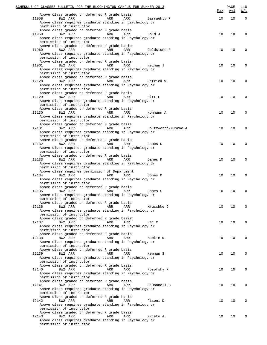| SCHEDULE OF CLASSES BULLETIN FOR THE BLOOMINGTON CAMPUS FOR SUMMER 2013                                  | Max | PAGE<br>Avl | 118<br>W/L  |
|----------------------------------------------------------------------------------------------------------|-----|-------------|-------------|
| Above class graded on deferred R grade basis                                                             |     |             |             |
| 8W2 ARR<br>11958<br>ARR<br>ARR<br>Garraghty P<br>Above class requires graduate standing in psychology or | 10  | 10          | $\Omega$    |
| permission of instructor                                                                                 |     |             |             |
| Above class graded on deferred R grade basis                                                             |     |             |             |
| 8W2 ARR<br>11959<br>ARR<br>ARR<br>Gold J                                                                 | 10  | 10          | 0           |
| Above class requires graduate standing in Psychology or                                                  |     |             |             |
| permission of instructor<br>Above class graded on deferred R grade basis                                 |     |             |             |
| 8W2 ARR<br>ARR<br>ARR<br>11960<br>Goldstone R                                                            | 10  | 10          | 0           |
| Above class requires graduate standing in Psychology or                                                  |     |             |             |
| permission of instructor                                                                                 |     |             |             |
| Above class graded on deferred R grade basis                                                             |     |             |             |
| 8W2 ARR<br>11961<br>ARR<br>ARR<br>Heiman J<br>Above class requires graduate standing in Psychology or    | 10  | 10          | 0           |
| permission of instructor                                                                                 |     |             |             |
| Above class graded on deferred R grade basis                                                             |     |             |             |
| 8W2 ARR<br>12128<br>ARR<br>ARR<br>Hetrick W                                                              | 10  | 10          | 0           |
| Above class requires graduate standing in Psychology or                                                  |     |             |             |
| permission of instructor                                                                                 |     |             |             |
| Above class graded on deferred R grade basis<br>8W2 ARR<br>ARR<br>12129<br>ARR<br>Hirt E                 | 10  | 10          | 0           |
| Above class requires graduate standing in Psychology or                                                  |     |             |             |
| permission of instructor                                                                                 |     |             |             |
| Above class graded on deferred R grade basis                                                             |     |             |             |
| 8W2 ARR<br>ARR<br>12130<br>ARR<br>Hohmann A                                                              | 10  | 10          | 0           |
| Above class requires graduate standing in Psychology or                                                  |     |             |             |
| permission of instructor                                                                                 |     |             |             |
| Above class graded on deferred R grade basis<br>8W2 ARR<br>ARR<br>ARR<br>12131<br>Holtzworth-Munroe A    | 10  | 10          | 0           |
| Above class requires graduate standing in Psychology or                                                  |     |             |             |
| permission of instructor                                                                                 |     |             |             |
| Above class graded on deferred R grade basis                                                             |     |             |             |
| 8W2 ARR<br>ARR<br>12132<br>ARR<br>James K                                                                | 10  | 10          | 0           |
| Above class requires graduate standing in Psychology or                                                  |     |             |             |
| permission of instructor<br>Above class graded on deferred R grade basis                                 |     |             |             |
| 8W2 ARR<br>ARR<br>12133<br>ARR<br>James K                                                                | 10  | 10          | 0           |
| Above class requires graduate standing in Psychology or                                                  |     |             |             |
| permission of instructor                                                                                 |     |             |             |
| Above class requires permission of Department                                                            |     |             |             |
| 8W2 ARR<br>ARR<br>ARR<br>12134<br>Jones M                                                                | 10  | 10          | $\mathbf 0$ |
| Above class requires graduate standing in Psychology or<br>permission of instructor                      |     |             |             |
| Above class graded on deferred R grade basis                                                             |     |             |             |
| 8W2 ARR<br>ARR<br>12135<br>ARR<br>Jones S                                                                | 10  | 10          | $\mathbf 0$ |
| Above class requires graduate standing in Psychology or                                                  |     |             |             |
| permission of instructor                                                                                 |     |             |             |
| Above class graded on deferred R grade basis                                                             |     |             |             |
| 12136<br>8W2 ARR<br>ARR<br>ARR<br>Kruschke J                                                             | 10  | 10          | $\mathbf 0$ |
| Above class requires graduate standing in Psychology or<br>permission of instructor                      |     |             |             |
| Above class graded on deferred R grade basis                                                             |     |             |             |
| 12137<br>8W2 ARR<br>ARR<br>ARR<br>Lai C                                                                  | 10  | 10          | 0           |
| Above class requires graduate standing in Psychology or                                                  |     |             |             |
| permission of instructor                                                                                 |     |             |             |
| Above class graded on deferred R grade basis<br>12138<br>8W2 ARR<br>ARR<br>ARR<br>Mackie K               | 10  | 10          | $\mathbf 0$ |
| Above class requires graduate standing in Psychology or                                                  |     |             |             |
| permission of instructor                                                                                 |     |             |             |
| Above class graded on deferred R grade basis                                                             |     |             |             |
| 12139<br>8W2 ARR<br>ARR<br>ARR<br>Newman S                                                               | 10  | 10          | 0           |
| Above class requires graduate standing in Psychology or                                                  |     |             |             |
| permission of instructor                                                                                 |     |             |             |
| Above class graded on deferred R grade basis<br>12140<br>8W2 ARR<br>ARR<br>ARR<br>Nosofsky R             | 10  | 10          | 0           |
| Above class requires graduate standing in Psychology or                                                  |     |             |             |
| permission of instructor                                                                                 |     |             |             |
| Above class graded on deferred R grade basis                                                             |     |             |             |
| 12141<br>8W2 ARR<br>ARR<br>ARR<br>O'Donnell B                                                            | 10  | 10          | 0           |
| Above class requires graduate standing in Psychology or                                                  |     |             |             |
| permission of instructor<br>Above class graded on deferred R grade basis                                 |     |             |             |
| 12142<br>8W2 ARR<br>ARR<br>ARR<br>Pisoni D                                                               | 10  | 10          | 0           |
| Above class requires graduate standing in Psychology or                                                  |     |             |             |
| permission of instructor                                                                                 |     |             |             |
| Above class graded on deferred R grade basis                                                             |     |             |             |
| 12143<br>8W2 ARR<br>ARR<br>ARR<br>Prieto A                                                               | 10  | 10          | $\Omega$    |
| Above class requires graduate standing in Psychology or<br>permission of instructor                      |     |             |             |
|                                                                                                          |     |             |             |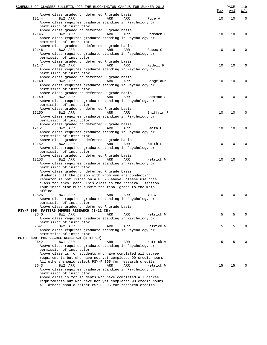| SCHEDULE OF CLASSES BULLETIN FOR THE BLOOMINGTON CAMPUS FOR SUMMER 2013                                                   | <u>Max</u> | PAGE<br><u>Avl</u> | 119<br>W/L  |
|---------------------------------------------------------------------------------------------------------------------------|------------|--------------------|-------------|
| Above class graded on deferred R grade basis                                                                              |            |                    |             |
| 12144<br>8W2 ARR<br>ARR<br>ARR<br>Puce A                                                                                  | 10         | 10                 | $\mathbf 0$ |
| Above class requires graduate standing in Psychology or<br>permission of instructor                                       |            |                    |             |
| Above class graded on deferred R grade basis                                                                              |            |                    |             |
| 12145<br>8W2 ARR<br>ARR<br>ARR<br>Ramsden B<br>Above class requires graduate standing in Psychology or                    | 10         | 10                 | $\mathbf 0$ |
| permission of instructor                                                                                                  |            |                    |             |
| Above class graded on deferred R grade basis                                                                              |            |                    |             |
| 12146<br>8W2 ARR<br>ARR<br>ARR<br>Rebec G                                                                                 | 10         | 10                 | $\mathbf 0$ |
| Above class requires graduate standing in Psychology or                                                                   |            |                    |             |
| permission of instructor                                                                                                  |            |                    |             |
| Above class graded on deferred R grade basis                                                                              |            |                    |             |
| 12147<br>8W2 ARR<br>ARR<br>ARR<br>Rydell R                                                                                | 10         | 10                 | $\mathbf 0$ |
| Above class requires graduate standing in Psychology or<br>permission of instructor                                       |            |                    |             |
| Above class graded on deferred R grade basis                                                                              |            |                    |             |
| 12148<br>8W2 ARR<br>ARR<br>ARR<br>Sengelaub D                                                                             | 10         | 10                 | $\mathbf 0$ |
| Above class requires graduate standing in Psychology or                                                                   |            |                    |             |
| permission of instructor                                                                                                  |            |                    |             |
| Above class graded on deferred R grade basis                                                                              |            |                    |             |
| 12149<br>8W2 ARR<br>ARR<br>ARR<br>Sherman S                                                                               | 10         | 10                 | $\mathbf 0$ |
| Above class requires graduate standing in Psychology or<br>permission of instructor                                       |            |                    |             |
| Above class graded on deferred R grade basis                                                                              |            |                    |             |
| 12150<br>8W2 ARR<br>ARR<br>ARR<br>Shiffrin R                                                                              | 10         | 10                 | $\mathbf 0$ |
| Above class requires graduate standing in Psychology or                                                                   |            |                    |             |
| permission of instructor                                                                                                  |            |                    |             |
| Above class graded on deferred R grade basis                                                                              |            |                    |             |
| 12151<br>8W2 ARR<br>ARR<br>ARR<br>Smith E                                                                                 | 10         | 10                 | $\mathbf 0$ |
| Above class requires graduate standing in Psychology or<br>permission of instructor                                       |            |                    |             |
| Above class graded on deferred R grade basis                                                                              |            |                    |             |
| 12152<br>8W2 ARR<br>ARR<br>ARR<br>Smith L                                                                                 | 10         | 10                 | $\mathbf 0$ |
| Above class requires graduate standing in Psychology or                                                                   |            |                    |             |
| permission of instructor                                                                                                  |            |                    |             |
| Above class graded on deferred R grade basis                                                                              |            |                    |             |
| 12153<br>8W2 ARR<br>ARR<br>ARR<br>Hetrick W                                                                               | 10         | 10                 | $\mathbf 0$ |
| Above class requires graduate standing in Psychology or<br>permission of instructor                                       |            |                    |             |
| Above class graded on deferred R grade basis                                                                              |            |                    |             |
| Students : If the person with whom you are conducting                                                                     |            |                    |             |
| research is not listed on a P 895 above, please use this                                                                  |            |                    |             |
| class for enrollment. This class is the 'general' section.                                                                |            |                    |             |
| Your instructor must submit the final grade to the main                                                                   |            |                    |             |
| office.<br>12525<br>Yu C                                                                                                  | 10         | 10                 | 0           |
| 8W1 ARR<br>ARR<br>ARR<br>Above class requires graduate standing in Psychology or                                          |            |                    |             |
| permission of instructor                                                                                                  |            |                    |             |
| Above class graded on deferred R grade basis                                                                              |            |                    |             |
| PSY-P 898 MASTERS DEGREE RESEARCH (1-12 CR)                                                                               |            |                    |             |
| 9640<br>8W1 ARR<br>ARR<br>ARR<br>Hetrick W                                                                                | 5          | 5                  | 0           |
| Above class requires graduate standing in Psychology or                                                                   |            |                    |             |
| permission of instructor<br>9641<br>8W2 ARR<br>ARR<br>ARR                                                                 | 5          | 5                  | 0           |
| Hetrick W<br>Above class requires graduate standing in Psychology or                                                      |            |                    |             |
| permission of instructor                                                                                                  |            |                    |             |
| PSY-P 899 PHD DEGREE RESEARCH (1-12 CR)                                                                                   |            |                    |             |
| 9642<br>8W1 ARR<br>ARR<br>ARR<br>Hetrick W                                                                                | 15         | 15                 | 0           |
| Above class requires graduate standing in Psychology or                                                                   |            |                    |             |
| permission of instructor                                                                                                  |            |                    |             |
| Above class is for students who have completed all degree<br>requirements but who have not yet completed 90 credit hours. |            |                    |             |
| All others should select PSY-P 895 for research credits                                                                   |            |                    |             |
| 9643<br>8W2 ARR<br>ARR<br>ARR<br>Hetrick W                                                                                | 15         | 15                 | $\Omega$    |
| Above class requires graduate standing in Psychology or                                                                   |            |                    |             |
| permission of instructor                                                                                                  |            |                    |             |
| Above class is for students who have completed all degree                                                                 |            |                    |             |
| requirements but who have not yet completed 90 credit hours.<br>All others should select PSY-P 895 for research credits   |            |                    |             |
|                                                                                                                           |            |                    |             |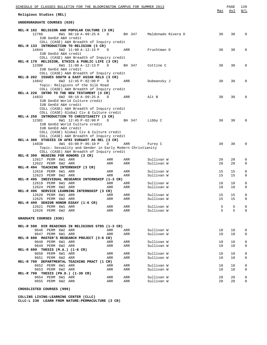| <u>SCHEDULE OF CLASSES BULLETIN FOR THE BLOOMINGTON CAMPUS FOR SUMMER 2013</u>                                                                                                                                                    |            |                           |                          |          | PAGE       | 120                        |
|-----------------------------------------------------------------------------------------------------------------------------------------------------------------------------------------------------------------------------------|------------|---------------------------|--------------------------|----------|------------|----------------------------|
| Religious Studies (REL)                                                                                                                                                                                                           |            |                           |                          | Max      | <u>Avl</u> | W/L                        |
| UNDERGRADUATE COURSES (020)                                                                                                                                                                                                       |            |                           |                          |          |            |                            |
| REL-R 102 RELIGION AND POPULAR CULTURE (3 CR)<br>12766<br>6W1 08:10 A-09:25 A<br>IUB GenEd A&H credit                                                                                                                             | D          | BH 347 Maldonado Rivera D |                          | 30       | 30         | $\Omega$                   |
| COLL (CASE) A&H Breadth of Inquiry credit<br>REL-R 133 INTRODUCTION TO RELIGION (3 CR)<br>14844<br>6W2 11:00 A-12:15 P                                                                                                            | $\Box$     | ARR                       | Fruchtman D              | 30       | 30         | 0                          |
| IUB GenEd A&H credit<br>COLL (CASE) A&H Breadth of Inquiry credit<br>REL-R 170 RELIGION, ETHICS & PUBLIC LIFE (3 CR)                                                                                                              |            |                           |                          |          |            |                            |
| 12300<br>6W1 11:00 A-12:13 P<br>IUB GenEd A&H credit<br>COLL (CASE) A&H Breadth of Inquiry credit                                                                                                                                 | D          | BH 347                    | Cottine C                | 30       | 30         | 0                          |
| REL-B 202 ISSUES SOUTH & EAST ASIAN RELS (3 CR)<br>14842<br>6W2 12:45 P-02:00 P<br>Topic: Religions of the Silk Road<br>COLL (CASE) A&H Breadth of Inquiry credit                                                                 | D          | ARR                       | Dubeansky J              | 30       | 30         | 0                          |
| REL-A 220 INTRO TO THE NEW TESTAMENT (3 CR)<br>14833<br>6W2 08:10 A-09:25 A<br>IUB GenEd World Culture credit                                                                                                                     | D          | ARR                       | Alt B                    | 30       | 30         | $\Omega$                   |
| IUB GenEd A&H credit<br>COLL (CASE) A&H Breadth of Inquiry credit<br>COLL (CASE) Global Civ & Culture credit<br>REL-A 250 INTRODUCTION TO CHRISTIANITY (3 CR)<br>12301<br>6W1 12:45 P-02:00 P                                     | D          | BH 347                    | Libby C                  | 30       | 30         | $\Omega$                   |
| IUB GenEd World Culture credit<br>IUB GenEd A&H credit<br>COLL (CASE) Global Civ & Culture credit<br>COLL (CASE) A&H Breadth of Inquiry credit<br>REL-A 300 STUDIES IN AFRI EUR&WST AS REL (3 CR)<br>14838<br>4W1 03:00 P-05:10 P | D          | ARR                       | Furey C                  | 30       | 30         | 0                          |
| Topic: Sexuality and Gender in Early Modern Christianity<br>COLL (CASE) A&H Breadth of Inquiry credit<br>REL-R 399 READING FOR HONORS (3 CR)<br>12617 PERM 6W1 ARR                                                                | ARR        | ARR                       | Sullivan W               | 20       | 20         | 0                          |
| 12622 PERM 6W2 ARR<br>REL-R 494 TEACHING INTERNSHIP (3 CR)<br>12618 PERM 6W1 ARR                                                                                                                                                  | ARR<br>ARR | ARR<br>ARR                | Sullivan W<br>Sullivan W | 20<br>15 | 20<br>15   | $\mathbf 0$<br>0           |
| 12623 PERM 6W2 ARR<br>REL-R 495 INDIVIDUAL RESEARCH INTERNSHIP (1-3 CR)<br>12619 PERM 6W1 ARR                                                                                                                                     | ARR<br>ARR | ARR<br>ARR                | Sullivan W<br>Sullivan W | 15<br>10 | 15<br>10   | $\mathbf 0$<br>0           |
| 12624 PERM 6W2 ARR<br>REL-R 496 SERVICE LEARNING INTERNSHIP (3 CR)<br>12620 PERM 6W1 ARR                                                                                                                                          | ARR<br>ARR | ARR<br>ARR                | Sullivan W<br>Sullivan W | 10<br>15 | 10<br>15   | $\mathbf 0$<br>$\mathbf 0$ |
| 12625 PERM 6W2 ARR<br>REL-R 499 SENIOR HONOR ESSAY (1-6 CR)<br>12621 PERM 6W1 ARR                                                                                                                                                 | ARR<br>ARR | ARR<br>ARR                | Sullivan W<br>Sullivan W | 15<br>5  | 15<br>5    | 0<br>0                     |
| 12626 PERM 6W2 ARR<br>GRADUATE COURSES (030)                                                                                                                                                                                      | ARR        | ARR                       | Sullivan W               | 5        | 5          | 0                          |
| REL-R 590 DIR READINGS IN RELIGIOUS STDS (1-3 CR)                                                                                                                                                                                 |            |                           |                          |          |            |                            |
| 9646 PERM 6W2 ARR<br>9647 PERM 6W1 ARR<br>REL-R 698 MASTER'S RESEARCH PROJECT (3-6 CR)                                                                                                                                            | ARR<br>ARR | ARR<br>ARR                | Sullivan W<br>Sullivan W | 10<br>10 | 10<br>10   | 0<br>0                     |
| 9648 PERM 6W1 ARR<br>9649 PERM 6W2 ARR<br>REL-R $699$ THESIS $(M.A.)$ $(1-6 CR)$                                                                                                                                                  | ARR<br>ARR | ARR<br>ARR                | Sullivan W<br>Sullivan W | 10<br>10 | 10<br>10   | 0<br>0                     |
| 9650 PERM 6W1 ARR<br>9651 PERM 6W2 ARR<br>REL-R 790 DEPARTMENTAL TEACHING PRACT (1 CR)                                                                                                                                            | ARR<br>ARR | ARR<br>ARR                | Sullivan W<br>Sullivan W | 10<br>10 | 10<br>10   | 0<br>0                     |
| 9652 PERM 6W1 ARR<br>9653 PERM 6W2 ARR<br>REL-R 799 THESIS (PH.D.) (1-30 CR)                                                                                                                                                      | ARR<br>ARR | ARR<br>ARR                | Sullivan W<br>Sullivan W | 10<br>10 | 10<br>10   | 0<br>0                     |
| 9654 PERM 6W1 ARR<br>9655 PERM 6W2 ARR                                                                                                                                                                                            | ARR<br>ARR | ARR<br>ARR                | Sullivan W<br>Sullivan W | 20<br>20 | 20<br>20   | 0<br>0                     |

**CROSSLISTED COURSES (999)**

**COLLINS LIVING-LEARNING CENTER (CLLC) CLLC-L 230 LEARN FROM NATURE:PERMACULTURE (3 CR)**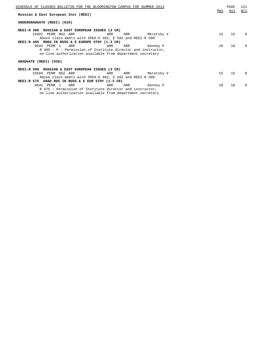| SCHEDULE OF CLASSES BULLETIN FOR THE BLOOMINGTON CAMPUS FOR SUMMER 2013 | Max | PAGE<br>Avl | 121<br>W/L |  |  |  |
|-------------------------------------------------------------------------|-----|-------------|------------|--|--|--|
| Russian & East European Inst (REEI)                                     |     |             |            |  |  |  |
| UNDERGRADUATE (REEI) (010)                                              |     |             |            |  |  |  |
| REEI-R 300 RUSSIAN & EAST EUROPEAN ISSUES (3 CR)                        |     |             |            |  |  |  |
| 15692 PERM NS2 ARR<br>ARR<br>Meretsky V<br>ARR                          | 15  | 15          | $\Omega$   |  |  |  |
| Above class meets with SPEA-E 482, E 582 and REEI-R 500                 |     |             |            |  |  |  |
| REEI-R 495 RDGS IN RUSS & E EUROPE STDY (1-3 CR)                        |     |             |            |  |  |  |
| 9644 PERM 1<br>ARR<br>ARR<br>ARR<br>Kennev P                            | 10  | 10          | 0          |  |  |  |
| R 495: P - Permission of Institute director and instructor;             |     |             |            |  |  |  |
| on-line authorization available from department secretary               |     |             |            |  |  |  |
|                                                                         |     |             |            |  |  |  |
| GRADUATE (REEI) (030)                                                   |     |             |            |  |  |  |
| REEI-R 500 RUSSIAN & EAST EUROPEAN ISSUES (3 CR)                        |     |             |            |  |  |  |
| 15694 PERM NS2 ARR<br>Meretsky V<br>ARR<br>ARR                          | 15  | 15          | $\Omega$   |  |  |  |
| Above class meets with SPEA-E 482, E 582 and REEI-R 300                 |     |             |            |  |  |  |
| REEI-R 575 GRAD RDS IN RUSS & E EUR STDY (1-3 CR)                       |     |             |            |  |  |  |
| 9645 PERM 1<br>ARR<br>ARR<br>ARR<br>Kenney P                            | 10  | 10          | 0          |  |  |  |
| R 575: Permission of Institute director and instructor;                 |     |             |            |  |  |  |
| on-line authorization available from department secretary               |     |             |            |  |  |  |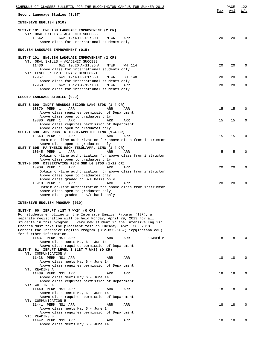| SCHEDULE OF CLASSES BULLETIN FOR THE BLOOMINGTON CAMPUS FOR SUMMER 2013                                                                                                                                                                                                                                                                                                                                                       |     | PAGE | 122          |
|-------------------------------------------------------------------------------------------------------------------------------------------------------------------------------------------------------------------------------------------------------------------------------------------------------------------------------------------------------------------------------------------------------------------------------|-----|------|--------------|
| Second Language Studies (SLST)                                                                                                                                                                                                                                                                                                                                                                                                | Max | Avl  | W/L          |
| INTENSIVE ENGLISH (010)                                                                                                                                                                                                                                                                                                                                                                                                       |     |      |              |
| SLST-T 101 ENGLISH LANGUAGE IMPROVEMENT (2 CR)<br>VT: ORAL SKILLS - ACADEMIC SUCCESS<br>10642<br>6W2 12:40 P-02:30 P<br>MTWR<br>ARR<br>Above class for International students only                                                                                                                                                                                                                                            | 20  | 20   |              |
| ENGLISH LANGUAGE IMPROVEMENT (015)                                                                                                                                                                                                                                                                                                                                                                                            |     |      |              |
| SLST-T 101 ENGLISH LANGUAGE IMPROVEMENT (2 CR)<br>VT: ORAL SKILLS - ACADEMIC SUCCESS                                                                                                                                                                                                                                                                                                                                          |     |      |              |
| 11436<br>6W1 10:20 A-11:35 A<br>MTWR<br>WH 114<br>Above class for international students only                                                                                                                                                                                                                                                                                                                                 | 20  | 20   | $\Omega$     |
| VT: LEVEL 3: L2 LITERACY DEVELOPMT<br>12957<br>6W1 12:40 P-01:55 P<br>MTWR<br>BH 148                                                                                                                                                                                                                                                                                                                                          | 20  | 20   | 0            |
| Above class for international students only<br>12958<br>6W2 10:20 A-12:10 P<br>MTWR<br>ARR<br>Above class for international students only                                                                                                                                                                                                                                                                                     | 20  | 20   | 0            |
| SECOND LANGUAGE STUDIES (020)                                                                                                                                                                                                                                                                                                                                                                                                 |     |      |              |
| SLST-S 690 INDPT READNGS SECOND LANG STDS (1-4 CR)<br>10879 PERM 1<br>ARR<br>ARR<br>ARR                                                                                                                                                                                                                                                                                                                                       | 15  | 15   | $\Omega$     |
| Above class requires permission of Department<br>Above class open to graduates only                                                                                                                                                                                                                                                                                                                                           |     |      |              |
| 10880 PERM 1<br>ARR<br>ARR<br>ARR                                                                                                                                                                                                                                                                                                                                                                                             | 15  | 15   | O            |
| Above class requires permission of Department<br>Above class open to graduates only                                                                                                                                                                                                                                                                                                                                           |     |      |              |
| SLST-T 690 ADV RDGS IN TESOL/APPLIED LING (1-4 CR)<br>10643 PERM 1<br>ARR<br>ARR<br>ARR                                                                                                                                                                                                                                                                                                                                       | 15  | 15   | O            |
| Obtain on-line authorization for above class from instructor<br>Above class open to graduates only                                                                                                                                                                                                                                                                                                                            |     |      |              |
| SLST-T 695 MA THESIS RSCH TESOL/APPL LING (1-4 CR)<br>10645 PERM 1<br>ARR<br>ARR<br>ARR                                                                                                                                                                                                                                                                                                                                       | 5   | 5    |              |
| Obtain on-line authorization for above class from instructor<br>Above class open to graduates only                                                                                                                                                                                                                                                                                                                            |     |      |              |
| SLST-S 800 DISSERTATION RSCH SND LG STDS (1-12 CR)<br>10909 PERM 1<br>ARR<br>ARR<br>ARR                                                                                                                                                                                                                                                                                                                                       | 20  | 20   | O            |
| Obtain on-line authorization for above class from instructor<br>Above class open to graduates only                                                                                                                                                                                                                                                                                                                            |     |      |              |
| Above class graded on S/F basis only<br>10910 PERM 1<br>ARR<br>ARR<br>ARR                                                                                                                                                                                                                                                                                                                                                     | 20  | 20   | U            |
| Obtain on-line authorization for above class from instructor<br>Above class open to graduates only<br>Above class graded on S/F basis only                                                                                                                                                                                                                                                                                    |     |      |              |
| INTENSIVE ENGLISH PROGRAM (030)                                                                                                                                                                                                                                                                                                                                                                                               |     |      |              |
| SLST-T 60 IEP:PT (1ST 7 WKS) (0 CR)<br>For students enrolling in the Intensive English Program (IEP), a<br>separate registration will be held Monday, April 29, 2013 for all<br>students in this program. Every new student in the Intensive English<br>Program must take the placement test on Tuesday, April 30, 2013.<br>Contact the Intensive English Program (812-855-6457; iep@indiana.edu)<br>for further information. |     |      |              |
| 11437 PERM NS1 ARR<br>ARR<br>ARR<br>Howard M<br>Above class meets May 6 - Jun 14                                                                                                                                                                                                                                                                                                                                              | 18  | 18   | <sup>0</sup> |
| Above class requires permission of Department<br>SLST-T 61 IEP: FT LEVEL 1 (1ST 7 WKS) (0 CR)                                                                                                                                                                                                                                                                                                                                 |     |      |              |
| VT: COMMUNICATION A<br>11438 PERM NS1 ARR<br>ARR<br>ARR                                                                                                                                                                                                                                                                                                                                                                       | 18  | 18   | 0            |
| Above class meets May 6 - June 14<br>Above class requires permission of Department<br>VT: READING A                                                                                                                                                                                                                                                                                                                           |     |      |              |
| 11439 PERM NS1 ARR<br>ARR<br>ARR<br>Above class meets May 6 - June 14                                                                                                                                                                                                                                                                                                                                                         | 18  | 18   | 0            |
| Above class requires permission of Department                                                                                                                                                                                                                                                                                                                                                                                 |     |      |              |
| VT: WRITING A<br>11440 PERM NS1 ARR<br>ARR<br>ARR<br>Above class meets May 6 - June 14                                                                                                                                                                                                                                                                                                                                        | 18  | 18   | 0            |
| Above class requires permission of Department<br>VT: COMMUNICATION B                                                                                                                                                                                                                                                                                                                                                          |     |      |              |
| 11441 PERM NS1 ARR<br>ARR<br>ARR<br>Above class meets May 6 - June 14                                                                                                                                                                                                                                                                                                                                                         | 18  | 18   | 0            |
| Above class requires permission of Department<br>VT: READING B                                                                                                                                                                                                                                                                                                                                                                |     |      |              |
| 11442 PERM NS1 ARR<br>ARR<br>ARR<br>Above class meets May 6 - June 14                                                                                                                                                                                                                                                                                                                                                         | 18  | 18   | 0            |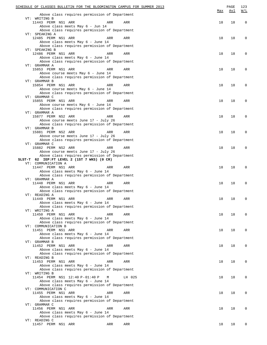| SCHEDULE OF CLASSES BULLETIN FOR THE BLOOMINGTON CAMPUS FOR SUMMER 2013             |     | PAGE       | 123                                               |
|-------------------------------------------------------------------------------------|-----|------------|---------------------------------------------------|
| Above class requires permission of Department                                       | Max | <u>Avl</u> | $\overline{\texttt{W}}$ / $\overline{\texttt{L}}$ |
| VT: WRITING B                                                                       |     |            |                                                   |
| 11443 PERM NS1 ARR<br>ARR<br>ARR<br>Above class meets May 6 - Jun 14                | 18  | 18         | $\mathbf 0$                                       |
| Above class requires permission of Department                                       |     |            |                                                   |
| VT: SPEAKING A                                                                      |     |            |                                                   |
| 12485 PERM NS1 ARR<br>ARR<br>ARR                                                    | 18  | 18         | 0                                                 |
| Above class meets May 6 - June 14                                                   |     |            |                                                   |
| Above class requires permission of Department                                       |     |            |                                                   |
| VT: SPEAKING B                                                                      |     |            |                                                   |
| 12486 PERM NS1 ARR<br>ARR<br>ARR<br>Above class meets May 6 - June 14               | 18  | 18         | $\Omega$                                          |
| Above class requires permission of Department                                       |     |            |                                                   |
| VT: GRAMMAR A                                                                       |     |            |                                                   |
| 15853 PERM NS1 ARR<br>ARR<br>ARR                                                    | 18  | 18         | $\Omega$                                          |
| Above course meets May 6 - June 14                                                  |     |            |                                                   |
| Above class requires permission of Department                                       |     |            |                                                   |
| VT: GRAMMAR B                                                                       |     |            |                                                   |
| 15854 PERM NS1 ARR<br>ARR<br>ARR                                                    | 18  | 18         | 0                                                 |
| Above course meets May 6 - June 14<br>Above class requires permission of Department |     |            |                                                   |
| VT: GRAMMAR C                                                                       |     |            |                                                   |
| 15855 PERM NS1 ARR<br>ARR<br>ARR                                                    | 18  | 18         | 0                                                 |
| Above course meets May 6 - June 14                                                  |     |            |                                                   |
| Above class requires permission of Department                                       |     |            |                                                   |
| VT: GRAMMAR A                                                                       |     |            |                                                   |
| 15877 PERM NS2 ARR<br>ARR<br>ARR                                                    | 18  | 18         | 0                                                 |
| Above course meets June 17 - July 26                                                |     |            |                                                   |
| Above class requires permission of Department<br>VT: GRAMMAR B                      |     |            |                                                   |
| 15881 PERM NS2 ARR<br>ARR<br>ARR                                                    | 18  | 18         | 0                                                 |
| Above course meets June 17 - July 26                                                |     |            |                                                   |
| Above class requires permission of Department                                       |     |            |                                                   |
| VT: GRAMMAR C                                                                       |     |            |                                                   |
| 15882 PERM NS2 ARR<br>ARR<br>ARR                                                    | 18  | 18         | $\Omega$                                          |
| Above course meets June 17 - July 26                                                |     |            |                                                   |
| Above class requires permission of Department                                       |     |            |                                                   |
| SLST-T 62 IEP:FT LEVEL 2 (1ST 7 WKS) (0 CR)<br>VT: COMMUNICATION A                  |     |            |                                                   |
| 11447 PERM NS1 ARR<br>ARR<br>ARR                                                    | 18  | 18         | $\Omega$                                          |
| Above class meets May 6 - June 14                                                   |     |            |                                                   |
| Above class requires permission of Department                                       |     |            |                                                   |
| VT: GRAMMAR A                                                                       |     |            |                                                   |
| 11448 PERM NS1 ARR<br>ARR<br>ARR                                                    | 18  | 18         | $\Omega$                                          |
| Above class meets May 6 - June 14                                                   |     |            |                                                   |
| Above class requires permission of Department<br>VT: READING A                      |     |            |                                                   |
| 11449 PERM NS1 ARR<br>ARR<br>ARR                                                    | 18  | 18         |                                                   |
| Above class meets May 6 - June 14                                                   |     |            |                                                   |
| Above class requires permission of Department                                       |     |            |                                                   |
| VT: WRITING A                                                                       |     |            |                                                   |
| 11450 PERM NS1 ARR<br>ARR<br>ARR                                                    | 18  | 18         | $\Omega$                                          |
| Above class meets May 6 - June 14                                                   |     |            |                                                   |
| Above class requires permission of Department                                       |     |            |                                                   |
| VT: COMMUNICATION B<br>11451 PERM NS1 ARR<br>ARR<br>ARR                             | 18  | 18         | 0                                                 |
| Above class meets May 6 - June 14                                                   |     |            |                                                   |
| Above class requires permission of Department                                       |     |            |                                                   |
| VT: GRAMMAR B                                                                       |     |            |                                                   |
| 11452 PERM NS1 ARR<br>ARR<br>ARR                                                    | 18  | 18         | 0                                                 |
| Above class meets May 6 - June 14                                                   |     |            |                                                   |
| Above class requires permission of Department                                       |     |            |                                                   |
| VT: READING B                                                                       |     |            |                                                   |
| 11453 PERM NS1 ARR<br>ARR<br>ARR                                                    | 18  | 18         | 0                                                 |
| Above class meets May 6 - June 14<br>Above class requires permission of Department  |     |            |                                                   |
| VT: WRITING B                                                                       |     |            |                                                   |
| 11454 PERM NS1 12:40 P-01:40 P<br>М<br>LH 025                                       | 18  | 18         | 0                                                 |
| Above class meets May 6 - June 14                                                   |     |            |                                                   |
| Above class requires permission of Department                                       |     |            |                                                   |
| VT: COMMUNICATION C                                                                 |     |            |                                                   |
| 11455 PERM NS1 ARR<br>ARR<br>ARR                                                    | 18  | 18         | 0                                                 |
| Above class meets May 6 - June 14                                                   |     |            |                                                   |
| Above class requires permission of Department                                       |     |            |                                                   |
| VT: GRAMMAR C<br>11456 PERM NS1 ARR<br>ARR<br>ARR                                   | 18  | 18         | 0                                                 |
| Above class meets May 6 - June 14                                                   |     |            |                                                   |
| Above class requires permission of Department                                       |     |            |                                                   |
| VT: READING C                                                                       |     |            |                                                   |
| 11457 PERM NS1 ARR<br>ARR<br>ARR                                                    | 18  | 18         |                                                   |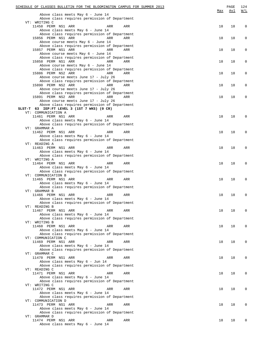| SCHEDULE OF CLASSES BULLETIN FOR THE BLOOMINGTON CAMPUS FOR SUMMER 2013            |     | PAGE | 124                                               |
|------------------------------------------------------------------------------------|-----|------|---------------------------------------------------|
|                                                                                    | Max | Avl  | $\overline{\texttt{W}}$ / $\overline{\texttt{L}}$ |
| Above class meets May 6 - June 14<br>Above class requires permission of Department |     |      |                                                   |
| VT: WRITING C                                                                      |     |      |                                                   |
| 11458 PERM NS1 ARR<br>ARR<br>ARR                                                   | 18  | 18   | $\mathbf 0$                                       |
| Above class meets May 6 - June 14                                                  |     |      |                                                   |
| Above class requires permission of Department                                      |     |      |                                                   |
| 15856 PERM NS1 ARR<br>ARR<br>ARR                                                   | 18  | 18   | $\mathbf 0$                                       |
| Above course meets May 6 - June 14                                                 |     |      |                                                   |
| Above class requires permission of Department                                      |     |      |                                                   |
| 15857 PERM NS1 ARR<br><b>ARR</b><br>ARR<br>Above course meets May 6 - June 14      | 18  | 18   | $\mathbf 0$                                       |
| Above class requires permission of Department                                      |     |      |                                                   |
| 15858 PERM NS1 ARR<br>ARR<br>ARR                                                   | 18  | 18   | 0                                                 |
| Above course meets May 6 - June 14                                                 |     |      |                                                   |
| Above class requires permission of Department                                      |     |      |                                                   |
| 15886 PERM NS2 ARR<br>ARR<br>ARR                                                   | 18  | 18   | 0                                                 |
| Above course meets June 17 - July 26                                               |     |      |                                                   |
| Above class requires permission of Department                                      |     |      |                                                   |
| 15890 PERM NS2 ARR<br>ARR<br>ARR                                                   | 18  | 18   | $\mathbf 0$                                       |
| Above course meets June 17 - July 26                                               |     |      |                                                   |
| Above class requires permission of Department<br>15891 PERM NS2 ARR<br>ARR<br>ARR  | 18  | 18   | $\mathbf 0$                                       |
| Above course meets June 17 - July 26                                               |     |      |                                                   |
| Above class requires permission of Department                                      |     |      |                                                   |
| SLST-T 63 IEP:FT LEVEL 3 (1ST 7 WKS) (0 CR)                                        |     |      |                                                   |
| VT: COMMUNICATION A                                                                |     |      |                                                   |
| 11461 PERM NS1 ARR<br>ARR<br>ARR                                                   | 18  | 18   | U                                                 |
| Above class meets May 6 - June 14                                                  |     |      |                                                   |
| Above class requires permission of Department<br>VT: GRAMMAR A                     |     |      |                                                   |
| 11462 PERM NS1 ARR<br>ARR<br>ARR                                                   | 18  | 18   | O                                                 |
| Above class meets May 6 - June 14                                                  |     |      |                                                   |
| Above class requires permission of Department                                      |     |      |                                                   |
| VT: READING A                                                                      |     |      |                                                   |
| 11463 PERM NS1 ARR<br>ARR<br>ARR                                                   | 18  | 18   | O                                                 |
| Above class meets May 6 - June 14                                                  |     |      |                                                   |
| Above class requires permission of Department                                      |     |      |                                                   |
| VT: WRITING A                                                                      |     |      |                                                   |
| 11464 PERM NS1 ARR<br>ARR<br>ARR<br>Above class meets May 6 - June 14              | 18  | 18   | O                                                 |
| Above class requires permission of Department                                      |     |      |                                                   |
| VT: COMMUNICATION B                                                                |     |      |                                                   |
| 11465 PERM NS1 ARR<br>ARR<br>ARR                                                   | 18  | 18   | O                                                 |
| Above class meets May 6 - June 14                                                  |     |      |                                                   |
| Above class requires permission of Department                                      |     |      |                                                   |
| VT: GRAMMAR B                                                                      |     |      |                                                   |
| 11466 PERM NS1 ARR<br>ARR<br>ARR                                                   | 18  | 18   | $\Omega$                                          |
| Above class meets May 6 - June 14                                                  |     |      |                                                   |
| Above class requires permission of Department<br>VT: READING B                     |     |      |                                                   |
| 11467 PERM NS1 ARR<br>ARR<br>ARR                                                   | 18  | 18   | $\Omega$                                          |
| Above class meets May 6 - June 14                                                  |     |      |                                                   |
| Above class requires permission of Department                                      |     |      |                                                   |
| VT: WRITING B                                                                      |     |      |                                                   |
| 11468 PERM NS1 ARR<br>ARR<br>ARR                                                   | 18  | 18   | $\Omega$                                          |
| Above class meets May 6 - June 14                                                  |     |      |                                                   |
| Above class requires permission of Department                                      |     |      |                                                   |
| VT: COMMUNICATION C<br>11469 PERM NS1 ARR<br>ARR<br>ARR                            | 18  | 18   | $\Omega$                                          |
| Above class meets May 6 - June 14                                                  |     |      |                                                   |
| Above class requires permission of Department                                      |     |      |                                                   |
| VT: GRAMMAR C                                                                      |     |      |                                                   |
| 11470 PERM NS1 ARR<br>ARR<br>ARR                                                   | 18  | 18   | $\Omega$                                          |
| Above class meets May 6 - Jun 14                                                   |     |      |                                                   |
| Above class requires permission of Department                                      |     |      |                                                   |
| VT: READING C                                                                      |     |      |                                                   |
| 11471 PERM NS1 ARR<br>ARR<br>ARR<br>Above class meets May 6 - June 14              | 18  | 18   | 0                                                 |
| Above class requires permission of Department                                      |     |      |                                                   |
| VT: WRITING C                                                                      |     |      |                                                   |
| 11472 PERM NS1 ARR<br>ARR<br>ARR                                                   | 18  | 18   | 0                                                 |
| Above class meets May 6 - June 14                                                  |     |      |                                                   |
| Above class requires permission of Department                                      |     |      |                                                   |
| VT: COMMUNICATION D                                                                |     |      |                                                   |
| 11473 PERM NS1 ARR<br>ARR<br>ARR                                                   | 18  | 18   | $\Omega$                                          |
| Above class meets May 6 - June 14<br>Above class requires permission of Department |     |      |                                                   |
| VT: GRAMMAR D                                                                      |     |      |                                                   |
| 11474 PERM NS1 ARR<br>ARR<br>ARR                                                   | 18  | 18   | U                                                 |
| Above class meets May 6 - June 14                                                  |     |      |                                                   |
|                                                                                    |     |      |                                                   |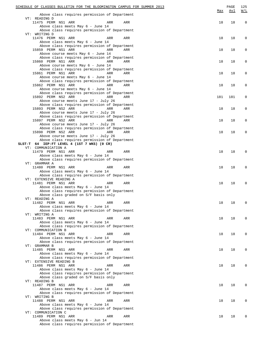| SCHEDULE OF CLASSES BULLETIN FOR THE BLOOMINGTON CAMPUS FOR SUMMER 2013                                                 | <u>Max</u> | PAGE<br>Avl | 125<br>W/L  |
|-------------------------------------------------------------------------------------------------------------------------|------------|-------------|-------------|
| Above class requires permission of Department<br>VT: READING D                                                          |            |             |             |
| 11475 PERM NS1 ARR<br>ARR<br>ARR<br>Above class meets May 6 - June 14                                                   | 18         | 18          | $\mathbf 0$ |
| Above class requires permission of Department<br>VT: WRITING D                                                          |            |             |             |
| 11476 PERM NS1 ARR<br>ARR<br>ARR<br>Above class meets May 6 - June 14                                                   | 18         | 18          | 0           |
| Above class requires permission of Department<br>15859 PERM NS1 ARR<br>ARR<br>ARR                                       | 18         | 18          | 0           |
| Above course meets May 6 - June 14<br>Above class requires permission of Department<br>15860 PERM NS1 ARR<br>ARR<br>ARR | 18         | 18          | 0           |
| Above course meets May 6 - June 14<br>Above class requires permission of Department                                     |            |             |             |
| 15861 PERM NS1 ARR<br>ARR<br>ARR<br>Above course meets May 6 - June 14                                                  | 18         | 18          | 0           |
| Above class requires permission of Department<br>15862 PERM NS1 ARR<br>ARR<br>ARR                                       | 18         | 18          | 0           |
| Above course meets May 6 - June 14<br>Above class requires permission of Department<br>15892 PERM NS2 ARR<br>ARR<br>ARR | 181        | 181         | 0           |
| Above course meets June 17 - July 26<br>Above class requires permission of Department                                   |            |             |             |
| 15893 PERM NS2 ARR<br>ARR<br>ARR<br>Above course meets June 17 - July 26                                                | 18         | 18          | 0           |
| Above class requires permission of Department<br>15897 PERM NS2 ARR<br>ARR<br>ARR                                       | 18         | 18          | 0           |
| Above course meets June 17 - July 26<br>Above class requires permission of Department                                   |            |             |             |
| 15898 PERM NS2 ARR<br>ARR<br>ARR<br>Above course meets June 17 - July 26                                                | 18         | 18          | 0           |
| Above class requires permission of Department<br>SLST-T 64 IEP:FT LEVEL 4 (1ST 7 WKS) (0 CR)                            |            |             |             |
| VT: COMMUNICATION A<br>11479 PERM NS1 ARR<br>ARR<br>ARR<br>Above class meets May 6 - June 14                            | 18         | 18          | 0           |
| Above class requires permission of Department<br>VT: GRAMMAR A                                                          |            |             |             |
| 11480 PERM NS1 ARR<br>ARR<br>ARR<br>Above class meets May 6 - June 14                                                   | 18         | 18          | 0           |
| Above class requires permission of Department<br>VT: EXTENSIVE READING A                                                |            |             |             |
| 11481 PERM NS1 ARR<br>ARR<br>ARR<br>Above class meets May 6 - June 14                                                   | 18         | 18          | 0           |
| Above class requires permission of Department<br>Above class graded on S/F basis only                                   |            |             |             |
| VT: READING A<br>11482 PERM NS1 ARR<br>ARR<br>ARR                                                                       | 18         | 18          | 0           |
| Above class meets May 6 - June 14<br>Above class requires permission of Department<br>VT: WRITING A                     |            |             |             |
| 11483 PERM NS1 ARR<br>ARR<br>ARR<br>Above class meets May 6 - June 14                                                   | 18         | 18          | $\Omega$    |
| Above class requires permission of Department<br>VT: COMMUNICATION B                                                    |            |             |             |
| 11484 PERM NS1 ARR<br>ARR<br>ARR<br>Above class meets May 6 - June 14                                                   | 18         | 18          | $\Omega$    |
| Above class requires permission of Department<br>VT: GRAMMAR B                                                          |            |             |             |
| 11485 PERM NS1 ARR<br>ARR<br>ARR<br>Above class meets May 6 - June 14                                                   | 18         | 18          | $\Omega$    |
| Above class requires permission of Department                                                                           |            |             |             |
| VT: EXTENSIVE READING B<br>11486 PERM NS1 ARR<br>ARR<br>ARR                                                             | 18         | 18          | $\Omega$    |
| Above class meets May 6 - June 14                                                                                       |            |             |             |
| Above class requires permission of Department<br>Above class graded on S/F basis only                                   |            |             |             |
| VT: READING B                                                                                                           |            |             |             |
| 11487 PERM NS1 ARR<br>ARR<br>ARR<br>Above class meets May 6 - June 14                                                   | 18         | 18          | $\Omega$    |
| Above class requires permission of Department<br>VT: WRITING B                                                          |            |             |             |
| 11488 PERM NS1 ARR<br>ARR<br>ARR<br>Above class meets May 6 - June 14                                                   | 18         | 18          | $\Omega$    |
| Above class requires permission of Department                                                                           |            |             |             |
| VT: COMMUNICATION C<br>11489 PERM NS1 ARR<br>ARR<br>ARR                                                                 | 18         | 18          |             |
| Above class meets May 6 - Jun 14<br>Above class requires permission of Department                                       |            |             |             |
|                                                                                                                         |            |             |             |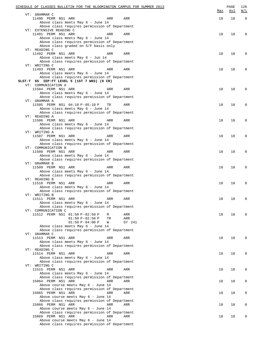| SCHEDULE OF CLASSES BULLETIN FOR THE BLOOMINGTON CAMPUS FOR SUMMER 2013             |            | PAGE       | 126         |
|-------------------------------------------------------------------------------------|------------|------------|-------------|
| VT: GRAMMAR C                                                                       | <u>Max</u> | <u>Avl</u> | W/L         |
| 11490 PERM NS1 ARR<br>ARR<br>ARR                                                    | 18         | 18         | $\mathbf 0$ |
| Above class meets May 6 - June 14                                                   |            |            |             |
| Above class requires permission of Department                                       |            |            |             |
| VT: EXTENSIVE READING C                                                             |            |            |             |
| 11491 PERM NS1 ARR<br>ARR<br>ARR                                                    | 18         | 18         | 0           |
| Above class meets May 6 - June 14<br>Above class requires permission of Department  |            |            |             |
| Above class graded on S/F basis only                                                |            |            |             |
| VT: READING C                                                                       |            |            |             |
| 11492 PERM NS1 ARR<br>ARR<br>ARR                                                    | 18         | 18         | 0           |
| Above class meets May 6 - Jun 14                                                    |            |            |             |
| Above class requires permission of Department<br>VT: WRITING C                      |            |            |             |
| 11493 PERM NS1 ARR<br>ARR<br>ARR                                                    | 18         | 18         | 0           |
| Above class meets May 6 - June 14                                                   |            |            |             |
| Above class requires permission of Department                                       |            |            |             |
| SLST-T 65 IEP: FT LEVEL 5 (1ST 7 WKS) (0 CR)                                        |            |            |             |
| VT: COMMUNICATION A                                                                 |            |            |             |
| 11504 PERM NS1 ARR<br>ARR<br>ARR<br>Above class meets May 6 - June 14               | 18         | 18         | $\Omega$    |
| Above class requires permission of Department                                       |            |            |             |
| VT: GRAMMAR A                                                                       |            |            |             |
| 11505 PERM NS1 04:10 P-05:10 P<br>TR<br>ARR                                         | 18         | 18         | $\Omega$    |
| Above class meets May 6 - June 14                                                   |            |            |             |
| Above class requires permission of Department                                       |            |            |             |
| VT: READING A<br>11506 PERM NS1 ARR<br>ARR<br>ARR                                   | 18         | 18         | 0           |
| Above class meets May 6 - June 14                                                   |            |            |             |
| Above class requires permission of Department                                       |            |            |             |
| VT: WRITING A                                                                       |            |            |             |
| 11507 PERM NS1 ARR<br>ARR<br>ARR                                                    | 18         | 18         | 0           |
| Above class meets May 6 - June 14<br>Above class requires permission of Department  |            |            |             |
| VT: COMMUNICATION B                                                                 |            |            |             |
| 11508 PERM NS1 ARR<br>ARR<br>ARR                                                    | 18         | 18         | 0           |
| Above class meets May 6 - June 14                                                   |            |            |             |
| Above class requires permission of Department                                       |            |            |             |
| VT: GRAMMAR B                                                                       |            |            |             |
| 11509 PERM NS1 ARR<br>ARR<br>ARR<br>Above class meets May 6 - June 14               | 18         | 18         | 0           |
| Above class requires permission of Department                                       |            |            |             |
| VT: READING B                                                                       |            |            |             |
| 11510 PERM NS1 ARR<br>ARR<br>ARR                                                    | 18         | 18         | 0           |
| Above class meets May 6 - June 14                                                   |            |            |             |
| Above class requires permission of Department<br>VT: WRITING B                      |            |            |             |
| 11511 PERM NS1 ARR<br>ARR<br>ARR                                                    | 18         | 18         | 0           |
| Above class meets May 6 - June 14                                                   |            |            |             |
| Above class requires permission of Department                                       |            |            |             |
| VT: COMMUNICATION C                                                                 |            |            |             |
| 11512 PERM NS1 01:50 P-02:50 P<br>ARR<br>М                                          | 18         | 18         | $\Omega$    |
| $01:50 P-02:50 P$<br>TR<br>ARR<br>$01:50 P-04:00 P$<br>W<br>SY 241                  |            |            |             |
| Above class meets May 6 - June 14                                                   |            |            |             |
| Above class requires permission of Department                                       |            |            |             |
| VT: GRAMMAR C                                                                       |            |            |             |
| 11513 PERM NS1 ARR<br>ARR<br>ARR                                                    | 18         | 18         | 0           |
| Above class meets May 6 - June 14<br>Above class requires permission of Department  |            |            |             |
| VT: READING C                                                                       |            |            |             |
| 11514 PERM NS1 ARR<br>ARR<br>ARR                                                    | 18         | 18         | 0           |
| Above class meets May 6 - June 14                                                   |            |            |             |
| Above class requires permission of Department                                       |            |            |             |
| VT: WRITING C                                                                       |            |            |             |
| 11515 PERM NS1 ARR<br>ARR<br>ARR<br>Above class meets May 6 - June 14               | 18         | 18         | 0           |
| Above class requires permission of Department                                       |            |            |             |
| 15864 PERM NS1 ARR<br>ARR<br>ARR                                                    | 18         | 18         | 0           |
| Above course meets May 6 - June 14                                                  |            |            |             |
| Above class requires permission of Department                                       |            |            |             |
| 15865 PERM NS1 ARR<br>ARR<br>ARR                                                    | 18         | 18         | 0           |
| Above course meets May 6 - June 14<br>Above class requires permission of Department |            |            |             |
| 15866 PERM NS1 ARR<br>ARR<br>ARR                                                    | 18         | 18         | 0           |
| Above course meets May 6 - June 14                                                  |            |            |             |
| Above class requires permission of Department                                       |            |            |             |
| 15869 PERM NS1 ARR<br>ARR<br>ARR                                                    | 18         | 18         | 0           |
| Above course meets May 6 - June 14<br>Above class requires permission of Department |            |            |             |
|                                                                                     |            |            |             |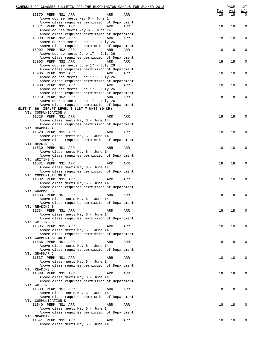| SCHEDULE OF CLASSES BULLETIN FOR THE BLOOMINGTON CAMPUS FOR SUMMER 2013               |     | PAGE | 127                |
|---------------------------------------------------------------------------------------|-----|------|--------------------|
|                                                                                       | Max | Avl  | W/L<br>$\mathbf 0$ |
| 15870 PERM NS1 ARR<br>ARR<br>ARR<br>Above course meets May 6 - June 14                | 18  | 18   |                    |
| Above class requires permission of Department                                         |     |      |                    |
| 15871 PERM NS1 ARR<br>ARR<br>ARR                                                      | 18  | 18   | 0                  |
| Above course meets May 6 - June 14                                                    |     |      |                    |
| Above class requires permission of Department<br>15899 PERM NS2 ARR<br>ARR<br>ARR     | 18  | 18   | 0                  |
| Above course meets June 17 - July 26                                                  |     |      |                    |
| Above class requires permission of Department                                         |     |      |                    |
| 15902 PERM NS2 ARR<br>ARR<br>ARR                                                      | 18  | 18   | 0                  |
| Above course meets June 17 - July 26<br>Above class requires permission of Department |     |      |                    |
| 15903 PERM NS2 ARR<br>ARR<br>ARR                                                      | 18  | 18   | 0                  |
| Above course meets June 17 - July 26                                                  |     |      |                    |
| Above class requires permission of Department                                         |     |      |                    |
| 15906 PERM NS2 ARR<br>ARR<br>ARR                                                      | 18  | 18   | 0                  |
| Above course meets June 17 - July 26<br>Above class requires permission of Department |     |      |                    |
| 15908 PERM NS2 ARR<br>ARR<br>ARR                                                      | 18  | 18   | 0                  |
| Above course meets June 17 - July 26                                                  |     |      |                    |
| Above class requires permission of Department                                         |     |      |                    |
| 15910 PERM NS2 ARR<br>ARR<br>ARR<br>Above course meets June 17 - July 26              | 18  | 18   | 0                  |
| Above class requires permission of Department                                         |     |      |                    |
| SLST-T 66 IEP:FT LEVEL 6 (1ST 7 WKS) (0 CR)                                           |     |      |                    |
| VT: COMMUNICATION A                                                                   |     |      |                    |
| 11528 PERM NS1 ARR<br>ARR<br>ARR<br>Above class meets May 6 - June 14                 | 18  | 18   | 0                  |
| Above class requires permission of Department                                         |     |      |                    |
| VT: GRAMMAR A                                                                         |     |      |                    |
| 11529 PERM NS1 ARR<br>ARR<br>ARR                                                      | 18  | 18   | 0                  |
| Above class meets May 6 - June 14<br>Above class requires permission of Department    |     |      |                    |
| VT: READING A                                                                         |     |      |                    |
| 11530 PERM NS1 ARR<br>ARR<br>ARR                                                      | 18  | 18   | 0                  |
| Above class meets May 6 - June 14                                                     |     |      |                    |
| Above class requires permission of Department                                         |     |      |                    |
| VT: WRITING A<br>11531 PERM NS1 ARR<br>ARR<br>ARR                                     | 18  | 18   | 0                  |
| Above class meets May 6 - June 14                                                     |     |      |                    |
| Above class requires permission of Department                                         |     |      |                    |
| VT: COMMUNICATION B                                                                   |     |      |                    |
| 11532 PERM NS1 ARR<br>ARR<br>ARR<br>Above class meets May 6 - June 14                 | 18  | 18   | 0                  |
| Above class requires permission of Department                                         |     |      |                    |
| VT: GRAMMAR B                                                                         |     |      |                    |
| 11533 PERM NS1 ARR<br>ARR<br>ARR                                                      | 18  | 18   | 0                  |
| Above class meets May 6 - June 14                                                     |     |      |                    |
| Above class requires permission of Department<br>VT: READING B                        |     |      |                    |
| 11534 PERM NS1 ARR<br>ARR<br>ARR                                                      | 18  | 18   | 0                  |
| Above class meets May 6 - June 14                                                     |     |      |                    |
| Above class requires permission of Department                                         |     |      |                    |
| VT: WRITING B<br>11535 PERM NS1 ARR<br>ARR<br>ARR                                     | 18  | 18   | 0                  |
| Above class meets May 6 - June 14                                                     |     |      |                    |
| Above class requires permission of Department                                         |     |      |                    |
| VT: COMMUNICATION C                                                                   |     |      |                    |
| 11536 PERM NS1 ARR<br>ARR<br>ARR<br>Above class meets May 6 - June 14                 | 18  | 18   | 0                  |
| Above class requires permission of Department                                         |     |      |                    |
| VT: GRAMMAR C                                                                         |     |      |                    |
| 11537 PERM NS1 ARR<br>ARR<br>ARR                                                      | 18  | 18   | 0                  |
| Above class meets May 6 - June 14                                                     |     |      |                    |
| Above class requires permission of Department<br>VT: READING C                        |     |      |                    |
| 11538 PERM NS1 ARR<br>ARR<br>ARR                                                      | 18  | 18   | 0                  |
| Above class meets May 6 - June 14                                                     |     |      |                    |
| Above class requires permission of Department                                         |     |      |                    |
| VT: WRITING C<br>11539 PERM NS1 ARR<br>ARR<br>ARR                                     | 18  | 18   | 0                  |
| Above class meets May 6 - June 14                                                     |     |      |                    |
| Above class requires permission of Department                                         |     |      |                    |
| VT: COMMUNICATION D                                                                   |     |      |                    |
| 11540 PERM NS1 ARR<br>ARR<br>ARR                                                      | 18  | 18   | 0                  |
| Above class meets May 6 - June 14<br>Above class requires permission of Department    |     |      |                    |
| VT: GRAMMAR D                                                                         |     |      |                    |
| 11541 PERM NS1 ARR<br>ARR<br>ARR                                                      | 18  | 18   | 0                  |
| Above class meets May 6 - June 14                                                     |     |      |                    |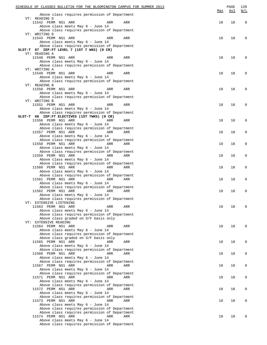| SCHEDULE OF CLASSES BULLETIN FOR THE BLOOMINGTON CAMPUS FOR SUMMER 2013            | Max | PAGE<br>Avl | 128<br>W/L  |
|------------------------------------------------------------------------------------|-----|-------------|-------------|
| Above class requires permission of Department                                      |     |             |             |
| VT: READING D                                                                      |     |             |             |
| 11542 PERM NS1 ARR<br>ARR<br>ARR<br>Above class meets May 6 - June 14              | 18  | 18          | $\mathbf 0$ |
| Above class requires permission of Department                                      |     |             |             |
| VT: WRITING D                                                                      |     |             |             |
| 11543 PERM NS1 ARR<br>ARR<br>ARR                                                   | 18  | 18          | 0           |
| Above class meets May 6 - June 14                                                  |     |             |             |
| Above class requires permission of Department                                      |     |             |             |
| SLST-T 67 IEP:FT LEVEL 7 (1ST 7 WKS) (0 CR)                                        |     |             |             |
| VT: READING A<br>11548 PERM NS1 ARR<br>ARR<br>ARR                                  | 18  | 18          | 0           |
| Above class meets May 6 - June 14                                                  |     |             |             |
| Above class requires permission of Department                                      |     |             |             |
| VT: WRITING A                                                                      |     |             |             |
| 11549 PERM NS1 ARR<br>ARR<br>ARR                                                   | 18  | 18          | 0           |
| Above class meets May 6 - June 14                                                  |     |             |             |
| Above class requires permission of Department                                      |     |             |             |
| VT: READING B<br>11550 PERM NS1 ARR<br>ARR<br>ARR                                  | 18  | 18          | 0           |
| Above class meets May 6 - June 14                                                  |     |             |             |
| Above class requires permission of Department                                      |     |             |             |
| VT: WRITING B                                                                      |     |             |             |
| 11551 PERM NS1 ARR<br>ARR<br>ARR                                                   | 18  | 18          | 0           |
| Above class meets May 6 - June 14                                                  |     |             |             |
| Above class requires permission of Department                                      |     |             |             |
| SLST-T 68 IEP: FT ELECTIVES (1ST 7WKS) (0 CR)                                      |     |             |             |
| 11556 PERM NS1 ARR<br>ARR<br>ARR<br>Above class meets May 6 - June 14              | 18  | 18          | 0           |
| Above class requires permission of Department                                      |     |             |             |
| 11557 PERM NS1 ARR<br>ARR<br>ARR                                                   | 18  | 18          | 0           |
| Above class meets May 6 - June 14                                                  |     |             |             |
| Above class requires permission of Department                                      |     |             |             |
| 11558 PERM NS1 ARR<br>ARR<br>ARR                                                   | 18  | 18          | 0           |
| Above class meets May 6 - June 14                                                  |     |             |             |
| Above class requires permission of Department<br>11559 PERM NS1 ARR<br>ARR<br>ARR  | 18  | 18          | 0           |
| Above class meets May 6 - June 14                                                  |     |             |             |
| Above class requires permission of Department                                      |     |             |             |
| 11560 PERM NS1 ARR<br>ARR<br>ARR                                                   | 18  | 18          | 0           |
| Above class meets May 6 - June 14                                                  |     |             |             |
| Above class requires permission of Department                                      |     |             |             |
| 11561 PERM NS1 ARR<br>ARR<br>ARR                                                   | 18  | 18          | 0           |
| Above class meets May 6 - June 14                                                  |     |             |             |
| Above class requires permission of Department<br>11562 PERM NS1 ARR<br>ARR<br>ARR  | 18  | 18          | 0           |
| Above class meets May 6 - June 14                                                  |     |             |             |
| Above class requires permission of Department                                      |     |             |             |
| VT: EXTENSIVE LISTENING                                                            |     |             |             |
| 11563 PERM NS1 ARR<br>ARR<br>ARR                                                   | 18  | 18          | 0           |
| Above class meets May 6 - June 14                                                  |     |             |             |
| Above class requires permission of Department                                      |     |             |             |
| Above class graded on S/F basis only<br>VT: EXTENSIVE READING                      |     |             |             |
| 11564 PERM NS1 ARR<br>ARR<br>ARR                                                   | 18  | 18          | 0           |
| Above class meets May 6 - June 14                                                  |     |             |             |
| Above class requires permission of Department                                      |     |             |             |
| Above class graded on S/F basis only                                               |     |             |             |
| 11565 PERM NS1 ARR<br>ARR<br>ARR                                                   | 18  | 18          | 0           |
| Above class meets May 6 - June 14                                                  |     |             |             |
| Above class requires permission of Department                                      |     |             |             |
| 11566 PERM NS1 ARR<br>ARR<br>ARR<br>Above class meets May 6 - June 14              | 18  | 18          | 0           |
| Above class requires permission of Department                                      |     |             |             |
| 11567 PERM NS1 ARR<br>ARR<br>ARR                                                   | 18  | 18          | 0           |
| Above class meets May 6 - June 14                                                  |     |             |             |
| Above class requires permission of Department                                      |     |             |             |
| 11571 PERM NS1 ARR<br>ARR<br>ARR                                                   | 18  | 18          | 0           |
| Above class meets May 6 - June 14                                                  |     |             |             |
| Above class requires permission of Department                                      |     |             |             |
| 11572 PERM NS1 ARR<br>ARR<br>ARR                                                   | 18  | 18          | 0           |
| Above class meets May 6 - June 14<br>Above class requires permission of Department |     |             |             |
| 11573 PERM NS1 ARR<br>ARR<br>ARR                                                   | 18  | 18          | 0           |
| Above class meets May 6 - June 14                                                  |     |             |             |
| Above class requires permission of Department                                      |     |             |             |
| Above class requires permission of Department                                      |     |             |             |
| 11574 PERM NS1 ARR<br>ARR<br>ARR                                                   | 18  | 18          | 0           |
| Above class meets May 6 - June 14<br>Above class requires permission of Department |     |             |             |
|                                                                                    |     |             |             |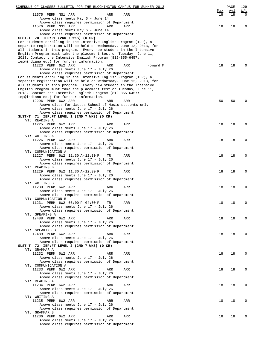| SCHEDULE OF CLASSES BULLETIN FOR THE BLOOMINGTON CAMPUS FOR SUMMER 2013                                                                 |                                                                                      |     |          |           | PAGE      | 129             |
|-----------------------------------------------------------------------------------------------------------------------------------------|--------------------------------------------------------------------------------------|-----|----------|-----------|-----------|-----------------|
| 11575 PERM NS1 ARR                                                                                                                      | ARR                                                                                  | ARR |          | Max<br>18 | Avl<br>18 | W/L<br>$\Omega$ |
|                                                                                                                                         | Above class meets May 6 - June 14                                                    |     |          |           |           |                 |
|                                                                                                                                         | Above class requires permission of Department                                        |     |          |           |           |                 |
| 11576 PERM NS1 ARR                                                                                                                      | ARR<br>Above class meets May 6 - June 14                                             | ARR |          | 18        | 18        | 0               |
|                                                                                                                                         | Above class requires permission of Department                                        |     |          |           |           |                 |
| SLST-T 70 IEP:PT (2ND 7 WKS) (0 CR)                                                                                                     |                                                                                      |     |          |           |           |                 |
| For students enrolling in the Intensive English Program (IEP), a<br>separate registration will be held on Wednesday, June 12, 2013, for |                                                                                      |     |          |           |           |                 |
| all students in this program. Every new student in the Intensive                                                                        |                                                                                      |     |          |           |           |                 |
| English Program must take the placement test on Tuesday, June 11,                                                                       |                                                                                      |     |          |           |           |                 |
| 2013. Contact the Intensive English Program (812-855-6457;                                                                              |                                                                                      |     |          |           |           |                 |
| iep@indiana.edu) for further information.<br>11223 PERM 6W2 ARR                                                                         | ARR                                                                                  | ARR | Howard M | 18        | 18        | O               |
|                                                                                                                                         | Above class meets June 17 - July 26                                                  |     |          |           |           |                 |
|                                                                                                                                         | Above class requires permission of Department                                        |     |          |           |           |                 |
| For students enrolling in the Intensive English Program (IEP), a                                                                        |                                                                                      |     |          |           |           |                 |
| separate registration will be held on Wednesday, June 12, 2013, for<br>all students in this program. Every new student in the Intensive |                                                                                      |     |          |           |           |                 |
| English Program must take the placement test on Tuesday, June 11,                                                                       |                                                                                      |     |          |           |           |                 |
| 2013. Contact the Intensive English Program (812-855-6457;                                                                              |                                                                                      |     |          |           |           |                 |
| iep@indiana.edu) for further information.                                                                                               |                                                                                      |     |          |           |           |                 |
| 12296 PERM 6W2 ARR                                                                                                                      | ARR<br>Above class for Jacobs School of Music students only                          | ARR |          | 50        | 50        | $\Omega$        |
|                                                                                                                                         | Above class meets June 17 - July 26                                                  |     |          |           |           |                 |
|                                                                                                                                         | Above class requires permission of Department                                        |     |          |           |           |                 |
| SLST-T 71 IEP: FT LEVEL 1 (2ND 7 WKS) (0 CR)                                                                                            |                                                                                      |     |          |           |           |                 |
| VT: READING A<br>11225 PERM 6W2 ARR                                                                                                     | ARR                                                                                  | ARR |          | 18        | 18        | 0               |
|                                                                                                                                         | Above class meets June 17 - July 26                                                  |     |          |           |           |                 |
|                                                                                                                                         | Above class requires permission of Department                                        |     |          |           |           |                 |
| VT: WRITING A                                                                                                                           |                                                                                      |     |          |           |           |                 |
| 11226 PERM 6W2 ARR                                                                                                                      | ARR<br>Above class meets June 17 - July 26                                           | ARR |          | 18        | 18        | 0               |
|                                                                                                                                         | Above class requires permission of Department                                        |     |          |           |           |                 |
| VT: COMMUNICATION A                                                                                                                     |                                                                                      |     |          |           |           |                 |
| 11227 PERM 6W2 11:30 A-12:30 P                                                                                                          | TR                                                                                   | ARR |          | 18        | 18        | 0               |
|                                                                                                                                         | Above class meets June 17 - July 26<br>Above class requires permission of Department |     |          |           |           |                 |
| VT: READING B                                                                                                                           |                                                                                      |     |          |           |           |                 |
| 11229 PERM 6W2 11:30 A-12:30 P                                                                                                          | TR                                                                                   | ARR |          | 18        | 18        | 0               |
|                                                                                                                                         | Above class meets June 17 - July 26                                                  |     |          |           |           |                 |
| VT: WRITING B                                                                                                                           | Above class requires permission of Department                                        |     |          |           |           |                 |
| 11230 PERM 6W2 ARR                                                                                                                      | ARR                                                                                  | ARR |          | 18        | 18        | 0               |
|                                                                                                                                         | Above class meets June 17 - July 26                                                  |     |          |           |           |                 |
|                                                                                                                                         | Above class requires permission of Department                                        |     |          |           |           |                 |
| VT: COMMUNICATION B<br>11231 PERM 6W2 03:00 P-04:00 P                                                                                   | TR                                                                                   | ARR |          | 18        | 18        | 0               |
|                                                                                                                                         | Above class meets June 17 - July 26                                                  |     |          |           |           |                 |
|                                                                                                                                         | Above class requires permission of Department                                        |     |          |           |           |                 |
| VT: SPEAKING A                                                                                                                          |                                                                                      |     |          |           | 18        | 0               |
| 12488 PERM 6W2 ARR                                                                                                                      | ARR<br>Above class meets June 17 - July 26                                           | ARR |          | 18        |           |                 |
|                                                                                                                                         | Above class requires permission of Department                                        |     |          |           |           |                 |
| VT: SPEAKING B                                                                                                                          |                                                                                      |     |          |           |           |                 |
| 12489 PERM 6W2 ARR                                                                                                                      | ARR<br>Above class meets June 17 - July 26                                           | ARR |          | 18        | 18        | 0               |
|                                                                                                                                         | Above class requires permission of Department                                        |     |          |           |           |                 |
| SLST-T 72 IEP:FT LEVEL 2 (2ND 7 WKS) (0 CR)                                                                                             |                                                                                      |     |          |           |           |                 |
| VT: GRAMMAR A                                                                                                                           |                                                                                      |     |          |           |           |                 |
| 11232 PERM 6W2 ARR                                                                                                                      | ARR<br>Above class meets June 17 - July 26                                           | ARR |          | 18        | 18        | 0               |
|                                                                                                                                         | Above class requires permission of Department                                        |     |          |           |           |                 |
| VT: COMMUNICATION A                                                                                                                     |                                                                                      |     |          |           |           |                 |
| 11233 PERM 6W2 ARR                                                                                                                      | ARR                                                                                  | ARR |          | 18        | 18        | 0               |
|                                                                                                                                         | Above class meets June 17 - July 26<br>Above class requires permission of Department |     |          |           |           |                 |
| VT: READING A                                                                                                                           |                                                                                      |     |          |           |           |                 |
| 11234 PERM 6W2 ARR                                                                                                                      | ARR                                                                                  | ARR |          | 18        | 18        | 0               |
|                                                                                                                                         | Above class meets June 17 - July 26                                                  |     |          |           |           |                 |
| VT: WRITING A                                                                                                                           | Above class requires permission of Department                                        |     |          |           |           |                 |
| 11235 PERM 6W2 ARR                                                                                                                      | ARR                                                                                  | ARR |          | 18        | 18        | 0               |
|                                                                                                                                         | Above class meets June 17 - July 26                                                  |     |          |           |           |                 |
|                                                                                                                                         | Above class requires permission of Department                                        |     |          |           |           |                 |
| VT: GRAMMAR B<br>11236 PERM 6W2 ARR                                                                                                     | ARR                                                                                  | ARR |          | 18        | 18        | $\Omega$        |
|                                                                                                                                         | Above class meets June 17 - July 26                                                  |     |          |           |           |                 |
|                                                                                                                                         | Above class requires permission of Department                                        |     |          |           |           |                 |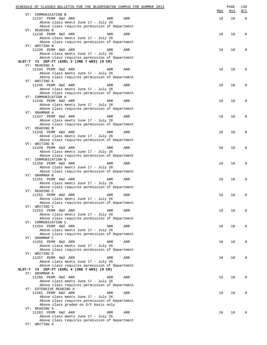| SCHEDULE OF CLASSES BULLETIN FOR THE BLOOMINGTON CAMPUS FOR SUMMER 2013              |     |     | PAGE       | 130                                               |
|--------------------------------------------------------------------------------------|-----|-----|------------|---------------------------------------------------|
| VT: COMMUNICATION B                                                                  |     | Max | <u>Avl</u> | $\overline{\texttt{W}}$ / $\overline{\texttt{L}}$ |
| 11237 PERM 6W2 ARR<br>ARR                                                            | ARR | 18  | 18         | $\overline{0}$                                    |
| Above class meets June 17 - July 26                                                  |     |     |            |                                                   |
| Above class requires permission of Department                                        |     |     |            |                                                   |
| VT: READING B                                                                        |     |     |            |                                                   |
| 11238 PERM 6W2 ARR<br>ARR<br>Above class meets June 17 - July 26                     | ARR | 18  | 18         | 0                                                 |
| Above class requires permission of Department                                        |     |     |            |                                                   |
| VT: WRITING B                                                                        |     |     |            |                                                   |
| 11239 PERM 6W2 ARR<br>ARR                                                            | ARR | 18  | 18         | $\Omega$                                          |
| Above class meets June 17 - July 26                                                  |     |     |            |                                                   |
| Above class requires permission of Department                                        |     |     |            |                                                   |
| SLST-T 73 IEP:FT LEVEL 3 (2ND 7 WKS) (0 CR)<br>VT: READING A                         |     |     |            |                                                   |
| 11244 PERM 6W2 ARR<br>ARR                                                            | ARR | 18  | 18         | $\Omega$                                          |
| Above class meets June 17 - July 26                                                  |     |     |            |                                                   |
| Above class requires permission of Department                                        |     |     |            |                                                   |
| VT: WRITING A                                                                        |     |     |            |                                                   |
| 11245 PERM 6W2 ARR<br>ARR                                                            | ARR | 18  | 18         | 0                                                 |
| Above class meets June 17 - July 26                                                  |     |     |            |                                                   |
| Above class requires permission of Department<br>VT: COMMUNICATION A                 |     |     |            |                                                   |
| 11246 PERM 6W2 ARR<br>ARR                                                            | ARR | 18  | 18         | 0                                                 |
| Above class meets June 17 - July 26                                                  |     |     |            |                                                   |
| Above class requires permission of Department                                        |     |     |            |                                                   |
| VT: GRAMMAR A                                                                        |     |     |            |                                                   |
| 11247 PERM 6W2 ARR<br>ARR                                                            | ARR | 18  | 18         | $\Omega$                                          |
| Above class meets June 17 - July 26                                                  |     |     |            |                                                   |
| Above class requires permission of Department<br>VT: READING B                       |     |     |            |                                                   |
| 11248 PERM 6W2 ARR<br>ARR                                                            | ARR | 18  | 18         | $\Omega$                                          |
| Above class meets June 17 - July 26                                                  |     |     |            |                                                   |
| Above class requires permission of Department                                        |     |     |            |                                                   |
| VT: WRITING B                                                                        |     |     |            |                                                   |
| 11249 PERM 6W2 ARR<br>ARR                                                            | ARR | 18  | 18         | 0                                                 |
| Above class meets June 17 - July 26<br>Above class requires permission of Department |     |     |            |                                                   |
| VT: COMMUNICATION B                                                                  |     |     |            |                                                   |
| 11250 PERM 6W2 ARR<br>ARR                                                            | ARR | 18  | 18         | 0                                                 |
| Above class meets June 17 - July 26                                                  |     |     |            |                                                   |
| Above class requires permission of Department                                        |     |     |            |                                                   |
| VT: GRAMMAR B                                                                        |     |     |            |                                                   |
| 11251 PERM 6W2 ARR<br>ARR                                                            | ARR | 18  | 18         | 0                                                 |
| Above class meets June 17 - July 26<br>Above class requires permission of Department |     |     |            |                                                   |
| VT: READING C                                                                        |     |     |            |                                                   |
| 11252 PERM 6W2 ARR<br>ARR                                                            | ARR | 18  | 18         | $\Omega$                                          |
| Above class meets June 17 - July 26                                                  |     |     |            |                                                   |
| Above class requires permission of Department                                        |     |     |            |                                                   |
| VT: WRITING C                                                                        |     |     |            |                                                   |
| 11253 PERM 6W2 ARR<br>ARR                                                            | ARR | 18  | 18         | 0                                                 |
| Above class meets June 17 - July 26<br>Above class requires permission of Department |     |     |            |                                                   |
| VT: COMMUNICATION C                                                                  |     |     |            |                                                   |
| 11254 PERM 6W2 ARR<br>ARR                                                            | ARR | 18  | 18         | 0                                                 |
| Above class meets June 17 - July 26                                                  |     |     |            |                                                   |
| Above class requires permission of Department                                        |     |     |            |                                                   |
| VT: GRAMMAR C                                                                        |     |     |            |                                                   |
| 11255 PERM 6W2 ARR<br>ARR                                                            | ARR | 18  | 18         | 0                                                 |
| Above class meets June 17 - July 26<br>Above class requires permission of Department |     |     |            |                                                   |
| VT: WRITING D                                                                        |     |     |            |                                                   |
| 11257 PERM 6W2 ARR<br>ARR                                                            | ARR | 18  | 18         | 0                                                 |
| Above class meets June 17 - July 26                                                  |     |     |            |                                                   |
| Above class requires permission of Department                                        |     |     |            |                                                   |
| SLST-T 74 IEP: FT LEVEL 4 (2ND 7 WKS) (0 CR)                                         |     |     |            |                                                   |
| VT: GRAMMAR A<br>11260 PERM 6W2 ARR<br>ARR                                           | ARR | 18  | 18         | 0                                                 |
| Above class meets June 17 - July 26                                                  |     |     |            |                                                   |
| Above class requires permission of Department                                        |     |     |            |                                                   |
| VT: EXTENSIVE READING A                                                              |     |     |            |                                                   |
| 11261 PERM 6W2 ARR<br>ARR                                                            | ARR | 18  | 18         | 0                                                 |
| Above class meets June 17 - July 26                                                  |     |     |            |                                                   |
| Above class requires permission of Department                                        |     |     |            |                                                   |
| Above class graded on S/F basis only<br>VT: READING A                                |     |     |            |                                                   |
| 11262 PERM 6W2 ARR<br>ARR                                                            | ARR | 18  | 18         | 0                                                 |
| Above class meets June 17 - July 26                                                  |     |     |            |                                                   |
| Above class requires permission of Department                                        |     |     |            |                                                   |
| VT: WRITING A                                                                        |     |     |            |                                                   |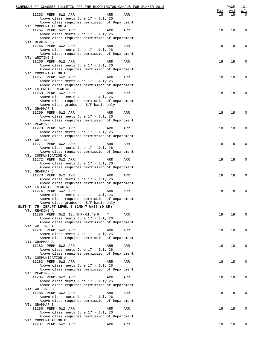| SCHEDULE OF CLASSES BULLETIN FOR THE BLOOMINGTON CAMPUS FOR SUMMER 2013               |           | PAGE      | 131                |
|---------------------------------------------------------------------------------------|-----------|-----------|--------------------|
| 11263 PERM 6W2 ARR<br>ARR<br>ARR                                                      | Max<br>18 | Avl<br>18 | W/L<br>$\mathbf 0$ |
| Above class meets June 17 - July 26                                                   |           |           |                    |
| Above class requires permission of Department<br>VT: COMMUNICATION A                  |           |           |                    |
| 11264 PERM 6W2 ARR<br>ARR<br>ARR                                                      | 18        | 18        | 0                  |
| Above class meets June 17 - July 26                                                   |           |           |                    |
| Above class requires permission of Department                                         |           |           |                    |
| VT: READING B<br>11265 PERM 6W2 ARR<br>ARR<br>ARR                                     | 18        | 18        | 0                  |
| Above class meets June 17 - July 26                                                   |           |           |                    |
| Above class requires permission of Department                                         |           |           |                    |
| VT: WRITING B<br>11266 PERM 6W2 ARR<br>ARR                                            | 18        | 18        | 0                  |
| ARR<br>Above class meets June 17 - July 26                                            |           |           |                    |
| Above class requires permission of Department                                         |           |           |                    |
| VT: COMMUNICATION B                                                                   |           |           |                    |
| 11267 PERM 6W2 ARR<br>ARR<br>ARR<br>Above class meets June 17 - July 26               | 18        | 18        | 0                  |
| Above class requires permission of Department                                         |           |           |                    |
| VT: EXTENSIVE READING B                                                               |           |           |                    |
| 11268 PERM 6W2 ARR<br>ARR<br>ARR<br>Above class meets June 17 - July 26               | 18        | 18        | 0                  |
| Above class requires permission of Department                                         |           |           |                    |
| Above class graded on S/F basis only                                                  |           |           |                    |
| VT: GRAMMAR B                                                                         |           |           |                    |
| 11269 PERM 6W2 ARR<br>ARR<br>ARR<br>Above class meets June 17 - July 26               | 18        | 18        | 0                  |
| Above class requires permission of Department                                         |           |           |                    |
| VT: READING C                                                                         |           |           |                    |
| 11270 PERM 6W2 ARR<br>ARR<br>ARR<br>Above class meets June 17 - July 26               | 18        | 18        | 0                  |
| Above class requires permission of Department                                         |           |           |                    |
| VT: WRITING C                                                                         |           |           |                    |
| 11271 PERM 6W2 ARR<br>ARR<br>ARR                                                      | 18        | 18        | 0                  |
| Above class meets June 17 - July 26<br>Above class requires permission of Department  |           |           |                    |
| VT: COMMUNICATION C                                                                   |           |           |                    |
| 11272 PERM 6W2 ARR<br>ARR<br>ARR                                                      | 18        | 18        | 0                  |
| Above class meets June 17 - July 26<br>Above class requires permission of Department  |           |           |                    |
| VT: GRAMMAR C                                                                         |           |           |                    |
| 11273 PERM 6W2 ARR<br>ARR<br>ARR                                                      | 18        | 18        | 0                  |
| Above class meets June 17 - July 26                                                   |           |           |                    |
| Above class requires permission of Department<br>VT: EXTENSIVE READING C              |           |           |                    |
| 11274 PERM 6W2 ARR<br>ARR<br>ARR                                                      | 18        | 18        | 0                  |
| Above class meets June 17 - July 26                                                   |           |           |                    |
| Above class requires permission of Department<br>Above class graded on S/F basis only |           |           |                    |
| 75 IEP:FT LEVEL 5 (2ND 7 WKS) (0 CR)<br>SLST-T                                        |           |           |                    |
| VT: READING A                                                                         |           |           |                    |
| 11280 PERM 6W2 12:40 P-01:40 P<br>Т<br>ARR                                            | 18        | 18        | $\Omega$           |
| Above class meets June 17 - July 26<br>Above class requires permission of Department  |           |           |                    |
| VT: WRITING A                                                                         |           |           |                    |
| 11281 PERM 6W2 ARR<br>ARR<br>ARR                                                      | 18        | 18        | $\Omega$           |
| Above class meets June 17 - July 26<br>Above class requires permission of Department  |           |           |                    |
| VT: GRAMMAR A                                                                         |           |           |                    |
| 11282 PERM 6W2 ARR<br>ARR<br>ARR                                                      | 18        | 18        | $\Omega$           |
| Above class meets June 17 - July 26                                                   |           |           |                    |
| Above class requires permission of Department<br>VT: COMMUNICATION A                  |           |           |                    |
| 11283 PERM 6W2 ARR<br>ARR<br>ARR                                                      | 18        | 18        | $\Omega$           |
| Above class meets June 17 - July 26                                                   |           |           |                    |
| Above class requires permission of Department<br>VT: READING B                        |           |           |                    |
| 11284 PERM 6W2 ARR<br>ARR<br>ARR                                                      | 18        | 18        | 0                  |
| Above class meets June 17 - July 26                                                   |           |           |                    |
| Above class requires permission of Department                                         |           |           |                    |
| VT: WRITING B<br>11285 PERM 6W2 ARR<br>ARR<br>ARR                                     | 18        | 18        | 0                  |
| Above class meets June 17 - July 26                                                   |           |           |                    |
| Above class requires permission of Department                                         |           |           |                    |
| VT: GRAMMAR B                                                                         |           |           |                    |
| 11286 PERM 6W2 ARR<br>ARR<br>ARR<br>Above class meets June 17 - July 26               | 18        | 18        | 0                  |
| Above class requires permission of Department                                         |           |           |                    |
| VT: COMMUNICATION B                                                                   |           |           |                    |
| 11287 PERM 6W2 ARR<br>ARR<br>ARR                                                      | 18        | 18        | $\Omega$           |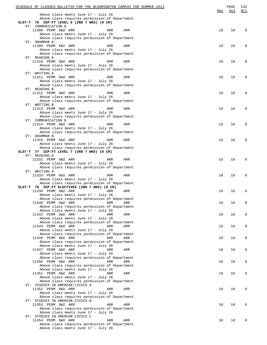| SCHEDULE OF CLASSES BULLETIN FOR THE BLOOMINGTON CAMPUS FOR SUMMER 2013                  | <u>Max</u> | PAGE<br>Avl | 132<br>W/L  |
|------------------------------------------------------------------------------------------|------------|-------------|-------------|
| Above class meets June 17 - July 26<br>Above class requires permission of Department     |            |             |             |
| SLST-T 76 IEP:FT LEVEL 6 (2ND 7 WKS) (0 CR)<br>VT: COMMUNICATION A                       |            |             |             |
| 11308 PERM 6W2 ARR<br>ARR<br>ARR                                                         | 18         | 18          | 0           |
| Above class meets June 17 - July 26<br>Above class requires permission of Department     |            |             |             |
| VT: GRAMMAR A                                                                            |            |             |             |
| 11309 PERM 6W2 ARR<br>ARR<br>ARR<br>Above class meets June 17 - July 26                  | 18         | 18          | 0           |
| Above class requires permission of Department                                            |            |             |             |
| VT: READING A<br>11310 PERM 6W2 ARR<br>ARR<br>ARR                                        | 18         | 18          | 0           |
| Above class meets June 17 - July 26                                                      |            |             |             |
| Above class requires permission of Department<br>VT: WRITING A                           |            |             |             |
| 11311 PERM 6W2 ARR<br>ARR<br>ARR                                                         | 18         | 18          | 0           |
| Above class meets June 17 - July 26<br>Above class requires permission of Department     |            |             |             |
| VT: READING B                                                                            |            |             |             |
| 11312 PERM 6W2 ARR<br>ARR<br>ARR<br>Above class meets June 17 - July 26                  | 18         | 18          | 0           |
| Above class requires permission of Department                                            |            |             |             |
| VT: WRITING B<br>11313 PERM 6W2 ARR<br>ARR<br>ARR                                        | 18         | 18          | 0           |
| Above class meets June 17 - July 26                                                      |            |             |             |
| Above class requires permission of Department<br>VT: COMMUNICATION B                     |            |             |             |
| 11314 PERM 6W2 ARR<br>ARR<br>ARR                                                         | 18         | 18          | 0           |
| Above class meets June 17 - July 26<br>Above class requires permission of Department     |            |             |             |
| VT: GRAMMAR B                                                                            |            |             |             |
| 11315 PERM 6W2 ARR<br>ARR<br>ARR<br>Above class meets June 17 - July 26                  | 18         | 18          | 0           |
| Above class requires permission of Department                                            |            |             |             |
| SLST-T 77 IEP: FT LEVEL 7 (2ND 7 WKS) (0 CR)                                             |            |             |             |
| VT: READING A<br>11332 PERM 6W2 ARR<br><b>ARR</b><br>ARR                                 | 18         | 18          | 0           |
| Above class meets June 17 - July 26                                                      |            |             |             |
| Above class requires permission of Department<br>VT: WRITING A                           |            |             |             |
| 11333 PERM 6W2 ARR<br>ARR<br>ARR                                                         | 18         | 18          | 0           |
| Above class meets June 17 - July 26<br>Above class requires permission of Department     |            |             |             |
| SLST-T 78 IEP:FT ELECTIVES (2ND 7 WKS) (0 CR)                                            |            |             |             |
| 11338 PERM 6W2 ARR<br>ARR<br>ARR<br>Above class meets June 17 - July 26                  | 18         | 18          | 0           |
| Above class requires permission of Department                                            |            |             |             |
| 11340 PERM 6W2 ARR<br>ARR<br>ARR<br>Above class requires permission of Department        | 18         | 18          | $\mathbf 0$ |
| Above class meets June 17 - July 26                                                      |            |             |             |
| 11342 PERM 6W2 ARR<br>ARR<br>ARR<br>Above class meets June 17 - July 26                  | 18         | 18          | 0           |
| Above class requires permission of Department                                            |            |             |             |
| 11344 PERM 6W2 ARR<br>ARR<br>ARR<br>Above class meets June 17 - July 26                  | 18         | 18          | 0           |
| Above class requires permission of Department                                            |            |             |             |
| 11346 PERM 6W2 ARR<br>ARR<br>ARR<br>Above class requires permission of Department        | 18         | 18          | 0           |
| Above class meets June 17 - July 26                                                      |            |             |             |
| 11347 PERM 6W2 ARR<br>ARR<br>ARR<br>Above class meets June 17 - July 26                  | 18         | 18          | 0           |
| Above class requires permission of Department                                            |            |             |             |
| 11350 PERM 6W2 ARR<br><b>ARR</b><br>ARR<br>Above class requires permission of Department | 18         | 18          | 0           |
| Above class meets June 17 - July 26                                                      |            |             |             |
| 11351 PERM 6W2 ARR<br>ARR<br>ARR                                                         | 18         | 18          | 0           |
| Above class meets June 17 - July 26<br>Above class requires permission of Department     |            |             |             |
| VT: STUDIES IN AMERCAN CIVICS A                                                          |            |             |             |
| 11352 PERM 6W2 ARR<br>ARR<br>ARR<br>Above class meets June 17 - July 26                  | 18         | 18          | 0           |
| Above class requires permission of Department                                            |            |             |             |
| VT: STUDIES IN AMERCAN CIVICS B<br>11353 PERM 6W2 ARR<br>ARR<br>ARR                      | 18         | 18          | 0           |
| Above class requires permission of Department                                            |            |             |             |
| Above class meets June 17 - July 26<br>VT: STUDIES IN AMERCAN CIVICS C                   |            |             |             |
| 11354 PERM 6W2 ARR<br>ARR<br>ARR                                                         | 18         | 18          | 0           |
| Above class requires permission of Department<br>Above class meets June 17 - July 26     |            |             |             |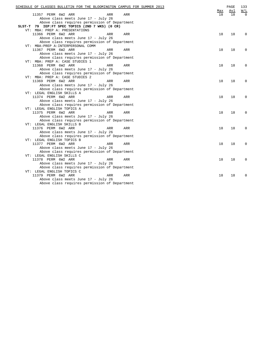| SCHEDULE OF CLASSES BULLETIN FOR THE BLOOMINGTON CAMPUS FOR SUMMER 2013 | Max | PAGE<br>Avl | 133<br>W/L |
|-------------------------------------------------------------------------|-----|-------------|------------|
| 11357 PERM 6W2 ARR<br>ARR<br>ARR                                        | 18  | 18          |            |
| Above class meets June 17 - July 26                                     |     |             |            |
| Above class requires permission of Department                           |     |             |            |
| SLST-T 79 IEP:FT SPEC TOPICS (2ND 7 WKS) (0 CR)                         |     |             |            |
| VT: MBA: PREP A: PRESENTATIONS                                          |     |             |            |
| 11366 PERM 6W2 ARR<br>ARR<br>ARR                                        | 18  | 18          | $\Omega$   |
| Above class meets June 17 - July 26                                     |     |             |            |
| Above class requires permission of Department                           |     |             |            |
| VT: MBA: PREP A: INTERPERSONAL COMM                                     |     |             |            |
| 11367 PERM 6W2 ARR<br>ARR<br>ARR                                        | 18  | 18          | 0          |
| Above class meets June 17 - July 26                                     |     |             |            |
| Above class requires permission of Department                           |     |             |            |
| VT: MBA: PREP A: CASE STUDIES 1                                         |     |             |            |
| 11368 PERM 6W2 ARR<br>ARR<br>ARR                                        | 18  | 18          | $\Omega$   |
| Above class meets June 17 - July 26                                     |     |             |            |
| Above class requires permission of Department                           |     |             |            |
| VT: MBA: PREP A: CASE STUDIES 2                                         |     |             |            |
| 11369 PERM 6W2 ARR<br>ARR<br>ARR                                        | 18  | 18          | 0          |
| Above class meets June 17 - July 26                                     |     |             |            |
| Above class requires permission of Department                           |     |             |            |
| VT: LEGAL ENGLISH SKILLS A                                              |     |             |            |
| 11374 PERM 6W2 ARR<br>ARR<br>ARR                                        | 18  | 18          | $\Omega$   |
| Above class meets June 17 - July 26                                     |     |             |            |
| Above class requires permission of Department                           |     |             |            |
| VT: LEGAL ENGLISH TOPICS A                                              |     |             |            |
| 11375 PERM 6W2 ARR<br>ARR<br>ARR                                        | 18  | 18          | $\Omega$   |
| Above class meets June 17 - July 26                                     |     |             |            |
| Above class requires permission of Department                           |     |             |            |
| VT: LEGAL ENGLISH SKILLS B                                              |     |             |            |
| 11376 PERM 6W2 ARR<br>ARR<br>ARR                                        | 18  | 18          | $\Omega$   |
| Above class meets June 17 - July 26                                     |     |             |            |
| Above class requires permission of Department                           |     |             |            |
| VT: LEGAL ENGLISH TOPICS B                                              |     |             |            |
| 11377 PERM 6W2 ARR<br>ARR<br>ARR                                        | 18  | 18          | $\Omega$   |
| Above class meets June 17 - July 26                                     |     |             |            |
| Above class requires permission of Department                           |     |             |            |
| VT: LEGAL ENGLISH SKILLS C                                              |     |             |            |
| 11378 PERM 6W2 ARR<br>ARR<br>ARR                                        | 18  | 18          | 0          |
| Above class meets June 17 - July 26                                     |     |             |            |
| Above class requires permission of Department                           |     |             |            |
| VT: LEGAL ENGLISH TOPICS C                                              |     |             |            |
| 11379 PERM 6W2 ARR<br><b>ARR</b><br><b>ARR</b>                          | 18  | 18          | $\Omega$   |
| Above class meets June 17 - July 26                                     |     |             |            |
| Above class requires permission of Department                           |     |             |            |
|                                                                         |     |             |            |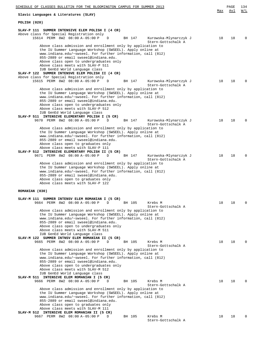| SCHEDULE OF CLASSES BULLETIN FOR THE BLOOMINGTON CAMPUS FOR SUMMER 2013                                                                                                                                                                                                                                                                                                                                                       |     | PAGE | 134          |
|-------------------------------------------------------------------------------------------------------------------------------------------------------------------------------------------------------------------------------------------------------------------------------------------------------------------------------------------------------------------------------------------------------------------------------|-----|------|--------------|
| Slavic Languages & Literatures (SLAV)                                                                                                                                                                                                                                                                                                                                                                                         | Max | Avl  | W/L          |
| POLISH (020)                                                                                                                                                                                                                                                                                                                                                                                                                  |     |      |              |
| SLAV-P 111 SUMMER INTENSIVE ELEM POLISH I (4 CR)<br>Above class for Special Registration only<br>15614 PERM 8W2 08:00 A-05:00 P<br>Kurowska-Mlynarczyk J<br>D<br>BH 147                                                                                                                                                                                                                                                       | 18  | 18   | O            |
| Stern-Gottschalk A<br>Above class admission and enrollment only by application to<br>the IU Summer Language Workshop (SWSEEL). Apply online at<br>www.indiana.edu/~swseel. For further information, call (812)<br>855-2889 or email swseel@indiana.edu.<br>Above class open to undergraduates only<br>Above class meets with SLAV-P 511<br>IUB GenEd World Language class<br>SLAV-P 122 SUMMER INTENSVE ELEM POLISH II (4 CR) |     |      |              |
| Above class for Special Registration only<br>15615 PERM 8W2 08:00 A-05:00 P<br>BH 147<br>Kurowska-Mlynarczyk J<br>D<br>Stern-Gottschalk A                                                                                                                                                                                                                                                                                     | 18  | 18   | <sup>0</sup> |
| Above class admission and enrollment only by application to<br>the IU Summer Language Workshop (SWSEEL). Apply online at<br>www.indiana.edu/~swseel. For further information, call (812)<br>855-2889 or email swseel@indiana.edu.<br>Above class open to undergraduates only<br>Above class meets with SLAV-P 512<br>IUB GenEd World Language class                                                                           |     |      |              |
| SLAV-P 511 INTENSIVE ELEMENTARY POLISH I (5 CR)<br>9670 PERM 8W2 08:00 A-05:00 P<br>D<br>BH 147<br>Kurowska-Mlynarczyk J<br>Stern-Gottschalk A<br>Above class admission and enrollment only by application to                                                                                                                                                                                                                 | 18  | 18   | O            |
| the IU Summer Language Workshop (SWSEEL). Apply online at<br>www.indiana.edu/~swseel. For further information, call (812)<br>855-2889 or email swseel@indiana.edu.<br>Above class open to graduates only<br>Above class meets with SLAV-P 111<br>SLAV-P 512 INTENSIVE ELEMENTARY POLISH II (5 CR)                                                                                                                             |     |      |              |
| 9671 PERM 8W2 08:00 A-05:00 P<br>BH 147<br>Kurowska-Mlynarczyk J<br>D<br>Stern-Gottschalk A<br>Above class admission and enrollment only by application to<br>the IU Summer Language Workshop (SWSEEL). Apply online at<br>www.indiana.edu/~swseel. For further information, call (812)<br>855-2889 or email swseel@indiana.edu.<br>Above class open to graduates only<br>Above class meets with SLAV-P 122                   | 18  | 18   | <sup>0</sup> |
| ROMANIAN (030)                                                                                                                                                                                                                                                                                                                                                                                                                |     |      |              |
| SUMMER INTENSV ELEM ROMANIAN I (5 CR)<br>SLAV-M 111<br>9664 PERM 8W2 08:00 A-05:00 P<br>D<br>BH 105<br>Krebs M<br>Stern-Gottschalk A<br>Above class admission and enrollment only by application to                                                                                                                                                                                                                           | 18  | 18   | O            |
| the IU Summer Language Workshop (SWSEEL). Apply online at<br>www.indiana.edu/~swseel. For further information, call (812)<br>855-2889 or email swseel@indiana.edu.<br>Above class open to undergraduates only<br>Above class meets with SLAV-M 511<br>IUB GenEd World Language class<br>SLAV-M 122 SUMMER INTNSV ELEM ROMANIAN II (5 CR)                                                                                      |     |      |              |
| 9665 PERM 8W2 08:00 A-05:00 P<br>Krebs M<br>D<br>BH 105<br>Stern-Gottschalk A<br>Above class admission and enrollment only by application to                                                                                                                                                                                                                                                                                  | 18  | 18   | <sup>0</sup> |
| the IU Summer Language Workshop (SWSEEL). Apply online at<br>www.indiana.edu/~swseel. For further information, call (812)<br>855-2889 or email swseel@indiana.edu.<br>Above class open to undergraduates only<br>Above class meets with SLAV-M 512<br>IUB GenEd World Language class                                                                                                                                          |     |      |              |
| SLAV-M 511 INTENSIVE ELEM ROMANIAN I (5 CR)<br>9666 PERM 8W2 08:00 A-05:00 P<br>Krebs M<br>D<br>BH 105<br>Stern-Gottschalk A<br>Above class admission and enrollment only by application to<br>the IU Summer Language Workshop (SWSEEL). Apply online at                                                                                                                                                                      | 18  | 18   | O            |
| www.indiana.edu/~swseel. For further information, call (812)<br>855-2889 or email swseel@indiana.edu.<br>Above class open to graduates only<br>Above class meets with SLAV-M 111                                                                                                                                                                                                                                              |     |      |              |
| SLAV-M 512 INTENSIVE ELEM ROMANIAN II (5 CR)<br>9667 PERM 8W2 08:00 A-05:00 P<br>Krebs M<br>BH 105<br>D<br>Stern-Gottschalk A                                                                                                                                                                                                                                                                                                 | 18  | 18   | U            |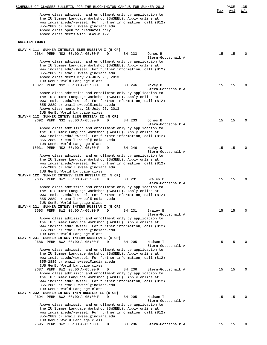|               | Above class admission and enrollment only by application to                                                                                                                                                                                                         | <u>Max</u> | Avl | W/L         |
|---------------|---------------------------------------------------------------------------------------------------------------------------------------------------------------------------------------------------------------------------------------------------------------------|------------|-----|-------------|
|               | the IU Summer Language Workshop (SWSEEL). Apply online at<br>www.indiana.edu/~swseel. For further information, call (812)                                                                                                                                           |            |     |             |
|               | 855-2889 or email swseel@indiana.edu.                                                                                                                                                                                                                               |            |     |             |
|               | Above class open to graduates only<br>Above class meets with SLAV-M 122                                                                                                                                                                                             |            |     |             |
| RUSSIAN (040) |                                                                                                                                                                                                                                                                     |            |     |             |
|               |                                                                                                                                                                                                                                                                     |            |     |             |
|               | SLAV-N 111 SUMMER INTENSVE ELEM RUSSIAN I (5 CR)<br>9684 PERM NS2 08:00 A-05:00 P<br>Oches B<br>D<br>BH 233<br>Stern-Gottschalk A                                                                                                                                   | 15         | 15  | $\Omega$    |
|               | Above class admission and enrollment only by application to<br>the IU Summer Language Workshop (SWSEEL). Apply online at<br>www.indiana.edu/~swseel. For further information, call (812)<br>855-2889 or email swseel@indiana.edu.                                   |            |     |             |
|               | Above class meets May 28-July 26, 2013<br>IUB GenEd World Language class                                                                                                                                                                                            |            |     |             |
|               | 10027 PERM NS2 08:00 A-05:00 P<br>D<br>BH 246<br>McVey D<br>Stern-Gottschalk A                                                                                                                                                                                      | 15         | 15  | $\Omega$    |
|               | Above class admission and enrollment only by application to<br>the IU Summer Language Workshop (SWSEEL). Apply online at                                                                                                                                            |            |     |             |
|               | www.indiana.edu/~swseel. For further information, call (812)<br>855-2889 or email swseel@indiana.edu.                                                                                                                                                               |            |     |             |
|               | Above class meets May 28-July 26, 2013<br>IUB GenEd World Language class                                                                                                                                                                                            |            |     |             |
|               | SLAV-N 112 SUMMER INTNSV ELEM RUSSIAN II (5 CR)<br>9692 PERM NS2 08:00 A-05:00 P<br>BH 233<br>Oches B<br>D                                                                                                                                                          | 15         | 15  | 0           |
|               | Stern-Gottschalk A<br>Above class admission and enrollment only by application to                                                                                                                                                                                   |            |     |             |
|               | the IU Summer Language Workshop (SWSEEL). Apply online at<br>www.indiana.edu/~swseel. For further information, call (812)<br>855-2889 or email swseel@indiana.edu.                                                                                                  |            |     |             |
|               | IUB GenEd World Language class<br>10031 PERM NS2 08:00 A-05:00 P<br>BH 246<br>D<br>McVey D<br>Stern-Gottschalk A                                                                                                                                                    | 15         | 15  | $\Omega$    |
|               | Above class admission and enrollment only by application to<br>the IU Summer Language Workshop (SWSEEL). Apply online at<br>www.indiana.edu/~swseel. For further information, call (812)<br>855-2889 or email swseel@indiana.edu.<br>IUB GenEd World Language class |            |     |             |
|               | SLAV-N 122 SUMMER INTENSV ELEM RUSSIAN II (5 CR)                                                                                                                                                                                                                    |            |     |             |
|               | 9685 PERM 8W2 08:00 A-05:00 P<br>Braley B<br>D<br>BH 231<br>Stern-Gottschalk A                                                                                                                                                                                      | 15         | 15  | $\mathbf 0$ |
|               | Above class admission and enrollment only by application to<br>the IU Summer Language Workshop (SWSEEL). Apply online at<br>www.indiana.edu/~swseel. For further information, call (812)<br>855-2889 or email swseel@indiana.edu.<br>IUB GenEd World Language class |            |     |             |
|               | SLAV-N 221 SUMMER INTNSV INTERM RUSSIAN I (5 CR)<br>9693 PERM 8W2 08:00 A-05:00 P<br>D<br>Braley B<br>BH 231<br>Stern-Gottschalk A                                                                                                                                  | 15         | 15  | $\Omega$    |
|               | Above class admission and enrollment only by application to<br>the IU Summer Language Workshop (SWSEEL). Apply online at                                                                                                                                            |            |     |             |
|               | www.indiana.edu/~swseel. For further information, call (812)<br>855-2889 or email swseel@indiana.edu.                                                                                                                                                               |            |     |             |
|               | IUB GenEd World Language class<br>SLAV-N 231 SUMMER INTNSV INTERM RUSSIAN I (5 CR)                                                                                                                                                                                  |            |     |             |
|               | 9686 PERM 8W2 08:00 A-05:00 P<br>D<br>Madsen T<br>BH 205<br>Stern-Gottschalk A                                                                                                                                                                                      | 15         | 15  | $\Omega$    |
|               | Above class admission and enrollment only by application to<br>the IU Summer Language Workshop (SWSEEL). Apply online at                                                                                                                                            |            |     |             |
|               | www.indiana.edu/~swseel. For further information, call (812)<br>855-2889 or email swseel@indiana.edu.                                                                                                                                                               |            |     |             |
|               | IUB GenEd World Language class<br>9687 PERM 8W2 08:00 A-05:00 P<br>BH 236<br>Stern-Gottschalk A<br>D                                                                                                                                                                | 15         | 15  | $\Omega$    |
|               | Above class admission and enrollment only by application to<br>the IU Summer Language Workshop (SWSEEL). Apply online at                                                                                                                                            |            |     |             |
|               | www.indiana.edu/~swseel. For further information, call (812)<br>855-2889 or email swseel@indiana.edu.<br>IUB GenEd World Language class                                                                                                                             |            |     |             |
|               | SLAV-N 232 SUMMER INTNSV INTM RUSSIAN II (5 CR)                                                                                                                                                                                                                     |            |     |             |
|               | 9694 PERM 8W2 08:00 A-05:00 P<br>Madsen T<br>D<br>BH 205<br>Stern-Gottschalk A                                                                                                                                                                                      | 15         | 15  | $\Omega$    |
|               | Above class admission and enrollment only by application to<br>the IU Summer Language Workshop (SWSEEL). Apply online at                                                                                                                                            |            |     |             |
|               | www.indiana.edu/~swseel. For further information, call (812)                                                                                                                                                                                                        |            |     |             |
|               | 855-2889 or email swseel@indiana.edu.<br>IUB GenEd World Language class                                                                                                                                                                                             |            |     |             |
|               | 9695 PERM 8W2 08:00 A-05:00 P<br>$\mathbf{D}$<br>BH 236<br>Stern-Gottschalk A                                                                                                                                                                                       | 15         | 15  | $\Omega$    |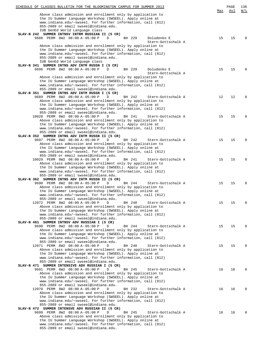| SCHEDULE OF CLASSES BULLETIN FOR THE BLOOMINGTON CAMPUS FOR SUMMER 2013 |     | PAGE | 136      |
|-------------------------------------------------------------------------|-----|------|----------|
|                                                                         | Max | Avl  | W/L      |
| Above class admission and enrollment only by application to             |     |      |          |
| the IU Summer Language Workshop (SWSEEL). Apply online at               |     |      |          |
| www.indiana.edu/~swseel. For further information, call (812)            |     |      |          |
| 855-2889 or email swseel@indiana.edu.                                   |     |      |          |
| IUB GenEd World Language class                                          |     |      |          |
| SLAV-N 242 SUMMER INTNSV INTRM RUSSIAN II (5 CR)                        |     |      |          |
| 9688 PERM 8W2 08:00 A-05:00 P<br>D<br>BH 229<br>Doludenko E             | 15  | 15   | $\Omega$ |
| Stern-Gottschalk A                                                      |     |      |          |
| Above class admission and enrollment only by application to             |     |      |          |
| the IU Summer Language Workshop (SWSEEL). Apply online at               |     |      |          |
| www.indiana.edu/~swseel. For further information, call (812)            |     |      |          |
| 855-2889 or email swseel@indiana.edu.                                   |     |      |          |
| IUB GenEd World Language class                                          |     |      |          |
| SLAV-N 341 SUMMER INTNS ADV INTM RUSSN I (5 CR)                         |     |      |          |
| 9696 PERM 8W2 08:00 A-05:00 P<br>BH 229<br>Doludenko E<br>D             | 15  | 15   | $\Omega$ |
| Stern-Gottschalk A                                                      |     |      |          |
| Above class admission and enrollment only by application to             |     |      |          |
| the IU Summer Language Workshop (SWSEEL). Apply online at               |     |      |          |
| www.indiana.edu/~swseel. For further information, call (812)            |     |      |          |
| 855-2889 or email swseel@indiana.edu.                                   |     |      |          |
| SLAV-N 351 SUMMER INTNS ADV INTM RUSSN I (5 CR)                         |     |      |          |
| 9689 PERM 8W2 08:00 A-05:00 P<br>BH 242<br>Stern-Gottschalk A<br>D      | 12  | 12   | $\Omega$ |
| Above class admission and enrollment only by application to             |     |      |          |
| the IU Summer Language Workshop (SWSEEL). Apply online at               |     |      |          |
| www.indiana.edu/~swseel. For further information, call (812)            |     |      |          |
| 855-2889 or email swseel@indiana.edu.                                   |     |      |          |
| 10028 PERM 8W2 08:00 A-05:00 P<br>D<br>BH 241<br>Stern-Gottschalk A     | 15  | 15   | $\Omega$ |
| Above class admission and enrollment only by application to             |     |      |          |
|                                                                         |     |      |          |
| the IU Summer Language Workshop (SWSEEL). Apply online at               |     |      |          |
| www.indiana.edu/~swseel. For further information, call (812)            |     |      |          |
| 855-2889 or email swseel@indiana.edu.                                   |     |      |          |
| SLAV-N 352 SUMMER INTNS ADV INTM RUSSN II (5 CR)                        |     |      |          |
| 9697 PERM 8W2 08:00 A-05:00 P<br>D<br>BH 242<br>Stern-Gottschalk A      | 15  | 15   | $\Omega$ |
| Above class admission and enrollment only by application to             |     |      |          |
| the IU Summer Language Workshop (SWSEEL). Apply online at               |     |      |          |
| www.indiana.edu/~swseel. For further information, call (812)            |     |      |          |
| 855-2889 or email swseel@indiana.edu.                                   |     |      |          |
| 10029 PERM 8W2 08:00 A-05:00 P<br>D<br>BH 241<br>Stern-Gottschalk A     | 15  | 15   | $\Omega$ |
| Above class admission and enrollment only by application to             |     |      |          |
| the IU Summer Language Workshop (SWSEEL). Apply online at               |     |      |          |
| www.indiana.edu/~swseel. For further information, call (812)            |     |      |          |
| 855-2889 or email swseel@indiana.edu.                                   |     |      |          |
| SLAV-N 362 SUMMER INTNS ADV INTM RUSSN II (5 CR)                        |     |      |          |
| 9690 PERM 8W2 08:00 A-05:00 P<br>D<br>BH 244<br>Stern-Gottschalk A      | 15  | 15   | $\Omega$ |
| Above class admission and enrollment only by application to             |     |      |          |
| the IU Summer Language Workshop (SWSEEL). Apply online at               |     |      |          |
| www.indiana.edu/~swseel. For further information, call (812)            |     |      |          |
| 855-2889 or email swseel@indiana.edu.                                   |     |      |          |
| 12072 PERM 8W2 08:00 A-05:00 P<br>D<br>BH 240<br>Stern-Gottschalk A     | 15  | 15   | 0        |
| Above class admission and enrollment only by application to             |     |      |          |
| the IU Summer Language Workshop (SWSEEL). Apply online at               |     |      |          |
| www.indiana.edu/~swseel. For further information, call (812)            |     |      |          |
| 855-2889 or email swseel@indiana.edu.                                   |     |      |          |
| SLAV-N 461 SUMMER INTNSV ADV RUSSIAN I (5 CR)                           |     |      |          |
| 9698 PERM 8W2 08:00 A-05:00 P<br>D<br>Stern-Gottschalk A<br>BH 244      | 15  | 15   | $\Omega$ |
| Above class admission and enrollment only by application to             |     |      |          |
| the IU Summer Language Workshop (SWSEEL). Apply online at               |     |      |          |
|                                                                         |     |      |          |
| www.indiana.edu/~swseel. For further information, call (812)            |     |      |          |
| 855-2889 or email swseel@indiana.edu.                                   |     |      | $\Omega$ |
| 12071 PERM 8W2 08:00 A-05:00 P<br>BH 240<br>D<br>Stern-Gottschalk A     | 15  | 15   |          |
| Above class admission and enrollment only by application to             |     |      |          |
| the IU Summer Language Workshop (SWSEEL). Apply online at               |     |      |          |
| www.indiana.edu/~swseel. For further information, call (812)            |     |      |          |
| 855-2889 or email swseel@indiana.edu.                                   |     |      |          |
| SLAV-N 471 SUMMER INTENSIVE ADV RUSSIAN I (5 CR)                        |     |      |          |
| 9691 PERM 8W2 08:00 A-05:00 P<br>D<br>BH 245<br>Stern-Gottschalk A      | 16  | 16   | $\Omega$ |
| Above class admission and enrollment only by application to             |     |      |          |
| the IU Summer Language Workshop (SWSEEL). Apply online at               |     |      |          |
| www.indiana.edu/~swseel. For further information, call (812)            |     |      |          |
| 855-2889 or email swseel@indiana.edu.                                   |     |      |          |
| 12070 PERM 8W2 08:00 A-05:00 P<br>D<br>BH 232<br>Stern-Gottschalk A     | 16  | 16   | $\Omega$ |
| Above class admission and enrollment only by application to             |     |      |          |
| the IU Summer Language Workshop (SWSEEL). Apply online at               |     |      |          |
| www.indiana.edu/~swseel. For further information, call (812)            |     |      |          |
| 855-2889 or email swseel@indiana.edu.                                   |     |      |          |
| SLAV-N 472 SUMMER INTENSVE ADV RUSSIAN II (5 CR)                        |     |      |          |
| 9699 PERM 8W2 08:00 A-05:00 P<br>D<br>Stern-Gottschalk A<br>BH 245      | 16  | 16   | $\Omega$ |
| Above class admission and enrollment only by application to             |     |      |          |
| the IU Summer Language Workshop (SWSEEL). Apply online at               |     |      |          |
| www.indiana.edu/~swseel. For further information, call (812)            |     |      |          |
| 855-2889 or email swseel@indiana.edu.                                   |     |      |          |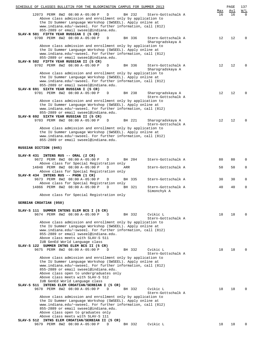| SCHEDULE OF CLASSES BULLETIN FOR THE BLOOMINGTON CAMPUS FOR SUMMER 2013                                                   |           | PAGE      | 137             |
|---------------------------------------------------------------------------------------------------------------------------|-----------|-----------|-----------------|
| 12073 PERM 8W2 08:00 A-05:00 P<br>D<br>BH 232<br>Stern-Gottschalk A                                                       | Max<br>16 | Avl<br>16 | W/L<br>$\Omega$ |
| Above class admission and enrollment only by application to                                                               |           |           |                 |
| the IU Summer Language Workshop (SWSEEL). Apply online at                                                                 |           |           |                 |
| www.indiana.edu/~swseel. For further information, call (812)                                                              |           |           |                 |
| 855-2889 or email swseel@indiana.edu.                                                                                     |           |           |                 |
| SLAV-N 581 FIFTH YEAR RUSSIAN I (5 CR)<br>9700 PERM 8W2 08:00 A-05:00 P<br>D<br>BH 336<br>Stern-Gottschalk A              | 12        | 12        | $\Omega$        |
| Sharogradskaya A                                                                                                          |           |           |                 |
| Above class admission and enrollment only by application to                                                               |           |           |                 |
| the IU Summer Language Workshop (SWSEEL). Apply online at                                                                 |           |           |                 |
| www.indiana.edu/~swseel. For further information, call (812)                                                              |           |           |                 |
| 855-2889 or email swseel@indiana.edu.<br>SLAV-N 582 FIFTH YEAR RUSSIAN II (5 CR)                                          |           |           |                 |
| 9702 PERM 8W2 08:00 A-05:00 P<br>BH 336<br>Stern-Gottschalk A<br>D                                                        | 12        | 12        | $\Omega$        |
| Sharogradskaya A                                                                                                          |           |           |                 |
| Above class admission and enrollment only by application to                                                               |           |           |                 |
| the IU Summer Language Workshop (SWSEEL). Apply online at<br>www.indiana.edu/~swseel. For further information, call (812) |           |           |                 |
| 855-2889 or email swseel@indiana.edu.                                                                                     |           |           |                 |
| SLAV-N 691 SIXTH YEAR RUSSIAN I (5 CR)                                                                                    |           |           |                 |
| 9701 PERM 8W2 08:00 A-05:00 P<br>BH 238<br>Sharogradskaya A<br>D                                                          | 12        | 12        | $\Omega$        |
| Stern-Gottschalk A                                                                                                        |           |           |                 |
| Above class admission and enrollment only by application to                                                               |           |           |                 |
| the IU Summer Language Workshop (SWSEEL). Apply online at<br>www.indiana.edu/~swseel. For further information, call (812) |           |           |                 |
| 855-2889 or email swseel@indiana.edu.                                                                                     |           |           |                 |
| SLAV-N 692 SIXTH YEAR RUSSIAN II (5 CR)                                                                                   |           |           |                 |
| 9703 PERM 8W2 08:00 A-05:00 P<br>BH 221<br>Sharogradskaya A<br>D                                                          | 12        | 12        | $\Omega$        |
| Stern-Gottschalk A                                                                                                        |           |           |                 |
| Above class admission and enrollment only by application to<br>the IU Summer Language Workshop (SWSEEL). Apply online at  |           |           |                 |
| www.indiana.edu/~swseel. For further information, call (812)                                                              |           |           |                 |
| 855-2889 or email swseel@indiana.edu.                                                                                     |           |           |                 |
|                                                                                                                           |           |           |                 |
| RUSSIAN DICTION (045)                                                                                                     |           |           |                 |
| SLAV-R 431 INTENS RUS -- ORAL (2 CR)                                                                                      |           |           |                 |
| 9672 PERM 8W2 08:00 A-05:00 P<br>BH 204<br>Stern-Gottschalk A<br>D                                                        | 80        | 80        | $\Omega$        |
| Above class for Special Registration only                                                                                 |           |           |                 |
| 14848 PERM 8W2 08:00 A-05:00 P<br>ARR<br>Stern-Gottschalk A<br>D                                                          | 50        | 50        | $\mathbf{0}$    |
| Above class for Special Registration only<br>SLAV-R 434 INTENS RUS -- PHON (1 CR)                                         |           |           |                 |
| 9673 PERM 8W2 08:00 A-05:00 P<br>BH 335<br>Stern-Gottschalk A<br>D                                                        | 30        | 30        | 0               |
| Above class for Special Registration only                                                                                 |           |           |                 |
| 14866 PERM 8W2 08:00 A-05:00 P<br>BH 321<br>Stern-Gottschalk A<br>D                                                       | 40        | 40        | 0               |
| Simonchyk A                                                                                                               |           |           |                 |
| Above class for Special Registration only                                                                                 |           |           |                 |
| SERBIAN CROATIAN (050)                                                                                                    |           |           |                 |
|                                                                                                                           |           |           |                 |
| SLAV-S 111 SUMMER INTENS ELEM BCS I (5 CR)                                                                                |           |           |                 |
| 9674 PERM 8W2 08:00 A-05:00 P<br>BH 332<br>Cvikic L<br>D                                                                  | 18        | 18        | $\Omega$        |
| Stern-Gottschalk A<br>Above class admission and enrollment only by application to                                         |           |           |                 |
| the IU Summer Language Workshop (SWSEEL). Apply online at                                                                 |           |           |                 |
| www.indiana.edu/~swseel. For further information, call (812)                                                              |           |           |                 |
| 855-2889 or email swseel@indiana.edu.                                                                                     |           |           |                 |
| Above class meets with SLAV-S 511                                                                                         |           |           |                 |
| IUB GenEd World Language class<br>SLAV-S 122 SUMMER INTNS ELEM BCS II (5 CR)                                              |           |           |                 |
| 9675 PERM 8W2 08:00 A-05:00 P<br>BH 332<br>Cvikic L<br>D                                                                  | 18        | 18        | <sup>0</sup>    |
| Stern-Gottschalk A                                                                                                        |           |           |                 |
| Above class admission and enrollment only by application to                                                               |           |           |                 |
| the IU Summer Language Workshop (SWSEEL). Apply online at                                                                 |           |           |                 |
| www.indiana.edu/~swseel. For further information, call (812)<br>855-2889 or email swseel@indiana.edu.                     |           |           |                 |
| Above class open to undergraduates only                                                                                   |           |           |                 |
| Above class meets with SLAV-S 512                                                                                         |           |           |                 |
| IUB GenEd World Language class                                                                                            |           |           |                 |
| SLAV-S 511 INTENS ELEM CROATIAN/SERBIAN I (5 CR)                                                                          |           |           |                 |
| 9678 PERM 8W2 08:00 A-05:00 P<br>D<br>Cvikic L<br>BH 332                                                                  | 18        | 18        | $\Omega$        |
| Stern-Gottschalk A<br>Above class admission and enrollment only by application to                                         |           |           |                 |
| the IU Summer Language Workshop (SWSEEL). Apply online at                                                                 |           |           |                 |
| www.indiana.edu/~swseel. For further information, call (812)                                                              |           |           |                 |
| 855-2889 or email swseel@indiana.edu.                                                                                     |           |           |                 |
| Above class open to graduates only                                                                                        |           |           |                 |
| Above class meets with SLAV-S 111<br>SLAV-S 512 INTNS ELEM CROATIAN/SERBIAN II (5 CR)                                     |           |           |                 |
| 9679 PERM 8W2 08:00 A-05:00 P<br>Cvikic L<br>D<br>BH 332                                                                  | 18        | 18        | <sup>0</sup>    |
|                                                                                                                           |           |           |                 |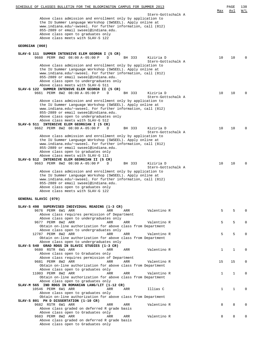| SCHEDULE OF CLASSES BULLETIN FOR THE BLOOMINGTON CAMPUS FOR SUMMER 2013                                                                                                                                                                                                                                                                                                                |              | PAGE         | 138         |
|----------------------------------------------------------------------------------------------------------------------------------------------------------------------------------------------------------------------------------------------------------------------------------------------------------------------------------------------------------------------------------------|--------------|--------------|-------------|
| Stern-Gottschalk A<br>Above class admission and enrollment only by application to<br>the IU Summer Language Workshop (SWSEEL). Apply online at<br>www.indiana.edu/~swseel. For further information, call (812)                                                                                                                                                                         | Max          | Avl          | W/L         |
| 855-2889 or email swseel@indiana.edu.<br>Above class open to graduates only<br>Above class meets with SLAV-S 122                                                                                                                                                                                                                                                                       |              |              |             |
| GEORGIAN (060)                                                                                                                                                                                                                                                                                                                                                                         |              |              |             |
| SLAV-G 111 SUMMER INTENSIVE ELEM GEORGN I (5 CR)                                                                                                                                                                                                                                                                                                                                       |              |              |             |
| 9660 PERM 8W2 08:00 A-05:00 P<br>BH 333<br>Kiziria D<br>D<br>Stern-Gottschalk A                                                                                                                                                                                                                                                                                                        | 10           | 10           | $\Omega$    |
| Above class admission and enrollment only by application to<br>the IU Summer Language Workshop (SWSEEL). Apply online at<br>www.indiana.edu/~swseel. For further information, call (812)<br>855-2889 or email swseel@indiana.edu.<br>Above class open to undergraduates only<br>Above class meets with SLAV-G 511                                                                      |              |              |             |
| SLAV-G 122 SUMMER INTENSVE ELEM GEORGN II (5 CR)<br>9661 PERM 8W2 08:00 A-05:00 P<br>BH 333<br>Kiziria D<br>D                                                                                                                                                                                                                                                                          | 10           | 10           | $\Omega$    |
| Stern-Gottschalk A<br>Above class admission and enrollment only by application to<br>the IU Summer Language Workshop (SWSEEL). Apply online at<br>www.indiana.edu/~swseel. For further information, call (812)<br>855-2889 or email swseel@indiana.edu.<br>Above class open to undergraduates only<br>Above class meets with SLAV-G 512<br>SLAV-G 511 INTENSIVE ELEM GEORGIAN I (5 CR) |              |              |             |
| 9662 PERM 8W2 08:00 A-05:00 P<br>BH 333<br>Kiziria D<br>D                                                                                                                                                                                                                                                                                                                              | 10           | 10           | $\Omega$    |
| Stern-Gottschalk A<br>Above class admission and enrollment only by application to<br>the IU Summer Language Workshop (SWSEEL). Apply online at<br>www.indiana.edu/~swseel. For further information, call (812)<br>855-2889 or email swseel@indiana.edu.<br>Above class open to graduates only<br>Above class meets with SLAV-G 111                                                     |              |              |             |
| SLAV-G 512 INTENSIVE ELEM GEORGIAN II (5 CR)<br>9663 PERM 8W2 08:00 A-05:00 P<br>BH 333<br>Kiziria D<br>D                                                                                                                                                                                                                                                                              | 10           | 10           | $\Omega$    |
| Stern-Gottschalk A<br>Above class admission and enrollment only by application to<br>the IU Summer Language Workshop (SWSEEL). Apply online at<br>www.indiana.edu/~swseel. For further information, call (812)<br>855-2889 or email swseel@indiana.edu.<br>Above class open to graduates only<br>Above class meets with SLAV-G 122                                                     |              |              |             |
| GENERAL SLAVIC (070)                                                                                                                                                                                                                                                                                                                                                                   |              |              |             |
| SLAV-S 498 SUPERVISED INDIVIDUAL READING (1-3 CR)<br>9676 PERM 6W1 ARR<br>ARR<br>ARR<br>Valentino R<br>Above class requires permission of Department                                                                                                                                                                                                                                   | 5            | 5            | $\Omega$    |
| Above class open to undergraduates only                                                                                                                                                                                                                                                                                                                                                |              |              |             |
| 9677 PERM 8W2 ARR<br>ARR<br>ARR<br>Valentino R<br>Obtain on-line authorization for above class from Department                                                                                                                                                                                                                                                                         | 5            | 5            | $\mathbf 0$ |
| Above class open to undergraduates only<br>12787 PERM 8W2 ARR<br>ARR<br>ARR<br>Valentino R                                                                                                                                                                                                                                                                                             | 5            | 5            | $\Omega$    |
| Obtain on-line authorization for above class from Department<br>Above class open to undergraduates only                                                                                                                                                                                                                                                                                |              |              |             |
| SLAV-S 540 GRAD RDGS IN SLAVIC STUDIES (1-3 CR)<br>9680 RSTR 6W1 ARR<br>ARR<br>ARR<br>Valentino R                                                                                                                                                                                                                                                                                      | $\mathbf{1}$ | 1            | $\Omega$    |
| Above class open to Graduates only<br>Above class requires permission of Department                                                                                                                                                                                                                                                                                                    |              |              |             |
| 9681 PERM 8W2 ARR<br>ARR<br>ARR<br>Valentino R                                                                                                                                                                                                                                                                                                                                         | 15           | 15           | $\mathbf 0$ |
| Obtain on-line authorization for above class from Department<br>Above class open to graduates only                                                                                                                                                                                                                                                                                     |              |              |             |
| 11003 PERM 8W2 ARR<br>ARR<br>ARR<br>Valentino R<br>Obtain on-line authorization for above class from Department<br>Above class open to graduates only                                                                                                                                                                                                                                  | $\mathbf{1}$ | 1            | $\Omega$    |
| SLAV-M 565 IND RDGS IN ROMANIAN LANG/LIT (1-12 CR)<br>10546 PERM 6W1 ARR<br>ARR<br>ARR<br>Illias C<br>Above class open to graduates only                                                                                                                                                                                                                                               | $\mathbf{1}$ | $\mathbf{1}$ | $\Omega$    |
| Obtain on-line authorization for above class from Department<br>SLAV-S 801 PH D DISSERTATION (1-10 CR)                                                                                                                                                                                                                                                                                 |              |              |             |
| 9682 RSTR 6W1 ARR<br>ARR<br>ARR<br>Valentino R<br>Above class graded on deferred R grade basis                                                                                                                                                                                                                                                                                         | 8            | 8            | $\Omega$    |
| Above class open to Graduates only<br>9683 PERM 8W2 ARR<br>ARR<br>Valentino R<br>ARR                                                                                                                                                                                                                                                                                                   | 8            | 8            | $\Omega$    |
| Above class graded on deferred R grade basis<br>Above class open to Graduates only                                                                                                                                                                                                                                                                                                     |              |              |             |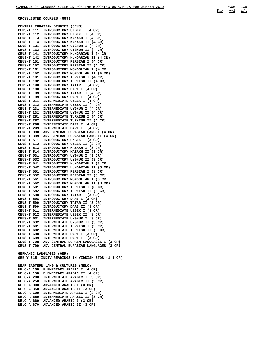**CROSSLISTED COURSES (999)**

**CENTRAL EURASIAN STUDIES (CEUS) CEUS-T 111 INTRODUCTORY UZBEK I (4 CR) CEUS-T 112 INTRODUCTORY UZBEK II (4 CR) CEUS-T 113 INTRODUCTORY KAZAKH I (4 CR) CEUS-T 114 INTRODUCTORY KAZAKH II (4 CR) CEUS-T 131 INTRODUCTORY UYGHUR I (4 CR) CEUS-T 132 INTRODUCTORY UYGHUR II (4 CR) CEUS-T 141 INTRODUCTORY HUNGARIAN I (4 CR) CEUS-T 142 INTRODUCTORY HUNGARIAN II (4 CR) CEUS-T 151 INTRODUCTORY PERSIAN I (4 CR) CEUS-T 152 INTRODUCTORY PERSIAN II (4 CR) CEUS-T 161 INTRODUCTORY MONGOLIAN I (4 CR) CEUS-T 162 INTRODUCTORY MONGOLIAN II (4 CR) CEUS-T 181 INTRODUCTORY TURKISH I (4 CR) CEUS-T 182 INTRODUCTORY TURKISH II (4 CR) CEUS-T 198 INTRODUCTORY TATAR I (4 CR) CEUS-T 198 INTRODUCTORY DARI I (4 CR) CEUS-T 199 INTRODUCTORY TATAR II (4 CR) CEUS-T 199 INTRODUCTORY DARI II (4 CR) CEUS-T 211 INTERMEDIATE UZBEK I (4 CR) CEUS-T 212 INTERMEDIATE UZBEK II (4 CR) CEUS-T 231 INTERMEDIATE UYGHUR I (4 CR) CEUS-T 232 INTERMEDIATE UYGHUR II (4 CR) CEUS-T 281 INTERMEDIATE TURKISH I (4 CR) CEUS-T 282 INTERMEDIATE TURKISH II (4 CR) CEUS-T 298 INTERMEDIATE DARI I (4 CR) CEUS-T 299 INTERMEDIATE DARI II (4 CR) CEUS-T 398 ADV CENTRAL EURASIAN LANG I (4 CR) CEUS-T 399 ADV CENTRAL EURASIAN LANG II (4 CR) CEUS-T 511 INTRODUCTORY UZBEK I (3 CR) CEUS-T 512 INTRODUCTORY UZBEK II (3 CR) CEUS-T 513 INTRODUCTORY KAZAKH I (3 CR) CEUS-T 514 INTRODUCTORY KAZAKH II (3 CR) CEUS-T 531 INTRODUCTORY UYGHUR I (3 CR) CEUS-T 532 INTRODUCTORY UYGHUR II (3 CR) CEUS-T 541 INTRODUCTORY HUNGARIAN I (3 CR) CEUS-T 542 INTRODUCTORY HUNGARIAN II (3 CR) CEUS-T 551 INTRODUCTORY PERSIAN I (3 CR) CEUS-T 552 INTRODUCTORY PERSIAN II (3 CR) CEUS-T 561 INTRODUCTORY MONGOLIAN I (3 CR) CEUS-T 562 INTRODUCTORY MONGOLIAN II (3 CR) CEUS-T 581 INTRODUCTORY TURKISH I (3 CR) CEUS-T 582 INTRODUCTORY TURKISH II (3 CR) CEUS-T 598 INTRODUCTORY TATAR I (3 CR) CEUS-T 598 INTRODUCTORY DARI I (3 CR) CEUS-T 599 INTRODUCTORY TATAR II (3 CR) CEUS-T 599 INTRODUCTORY DARI II (3 CR) CEUS-T 611 INTERMEDIATE UZBEK I (3 CR) CEUS-T 612 INTERMEDIATE UZBEK II (3 CR) CEUS-T 631 INTERMEDIATE UYGHUR I (3 CR) CEUS-T 632 INTERMEDIATE UYGHUR II (3 CR) CEUS-T 681 INTERMEDIATE TURKISH I (3 CR) CEUS-T 682 INTERMEDIATE TURKISH II (3 CR) CEUS-T 698 INTERMEDIATE DARI I (3 CR) CEUS-T 699 INTERMEDIATE DARI II (3 CR) CEUS-T 798 ADV CENTRAL EURASN LANGUAGES I (3 CR) CEUS-T 799 ADV CENTRAL EURASIAN LANGUAGES (3 CR) GERMANIC LANGUAGES (GER) GER-Y 815 INDIV READINGS IN YIDDISH STDS (1-4 CR) NEAR EASTERN LANG & CULTURES (NELC) NELC-A 100 ELEMENTARY ARABIC I (4 CR) NELC-A 150 ELEMENTARY ARABIC II (4 CR) NELC-A 200 INTERMEDIATE ARABIC I (3 CR) NELC-A 250 INTERMEDIATE ARABIC II (3 CR) NELC-A 300 ADVANCED ARABIC I (3 CR) NELC-A 350 ADVANCED ARABIC II (3 CR) NELC-A 600 INTERMEDIATE ARABIC I (3 CR) NELC-A 650 INTERMEDIATE ARABIC II (3 CR) NELC-A 660 ADVANCED ARABIC I (3 CR) NELC-A 670 ADVANCED ARABIC II (3 CR)**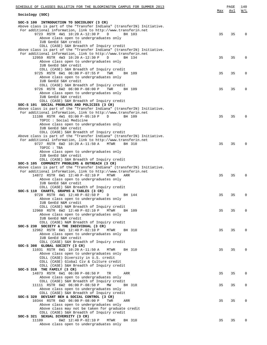| SCHEDULE OF CLASSES BULLETIN FOR THE BLOOMINGTON CAMPUS FOR SUMMER 2013                                                                 |     | PAGE | 140      |
|-----------------------------------------------------------------------------------------------------------------------------------------|-----|------|----------|
| Sociology (SOC)                                                                                                                         | Max | Avl  | W/L      |
|                                                                                                                                         |     |      |          |
| SOC-S 100 INTRODUCTION TO SOCIOLOGY (3 CR)                                                                                              |     |      |          |
| Above class is part of the "Transfer Indiana" (transferIN) Initiative.<br>For additional information, link to http://www.transferin.net |     |      |          |
| 9723 RSTR 4W1 10:20 A-12:30 P<br>$\mathbb{D}$<br>BH 103                                                                                 | 35  | 35   | $\Omega$ |
| Above class open to undergraduates only                                                                                                 |     |      |          |
| IUB GenEd S&H credit                                                                                                                    |     |      |          |
| COLL (CASE) S&H Breadth of Inquiry credit                                                                                               |     |      |          |
| Above class is part of the "Transfer Indiana" (transferIN) Initiative.                                                                  |     |      |          |
| For additional information, link to http://www.transferin.net<br>D                                                                      |     |      | $\Omega$ |
| 12959 RSTR 4W3 10:20 A-12:30 P<br>BH 134<br>Above class open to undergraduates only                                                     | 35  | 35   |          |
| IUB GenEd S&H credit                                                                                                                    |     |      |          |
| COLL (CASE) S&H Breadth of Inquiry credit                                                                                               |     |      |          |
| 9725 RSTR 6W1 06:00 P-07:55 P<br>TWR<br>BH 109                                                                                          | 35  | 35   | $\Omega$ |
| Above class open to undergraduates only                                                                                                 |     |      |          |
| IUB GenEd S&H credit                                                                                                                    |     |      |          |
| COLL (CASE) S&H Breadth of Inquiry credit<br>9726 RSTR 6W2 06:00 P-08:00 P<br>TWR<br>BH 109                                             | 35  | 35   | $\Omega$ |
| Above class open to undergraduates only                                                                                                 |     |      |          |
| IUB GenEd S&H credit                                                                                                                    |     |      |          |
| COLL (CASE) S&H Breadth of Inquiry credit                                                                                               |     |      |          |
| SOC-S 101 SOCIAL PROBLEMS AND POLICIES (3 CR)                                                                                           |     |      |          |
| Above class is part of the "Transfer Indiana" (transferIN) Initiative.                                                                  |     |      |          |
| For additional information, link to http://www.transferin.net                                                                           |     |      |          |
| 11108 RSTR 4W1 03:00 P-05:10 P<br>D<br>BH 109<br>TOPIC: Social Medicine                                                                 | 35  | 35   | $\Omega$ |
| Above class open to undergraduates only                                                                                                 |     |      |          |
| IUB GenEd S&H credit                                                                                                                    |     |      |          |
| COLL (CASE) S&H Breadth of Inquiry credit                                                                                               |     |      |          |
| Above class is part of the "Transfer Indiana" (transferIN) Initiative.                                                                  |     |      |          |
| For additional information, link to http://www.transferin.net                                                                           |     |      |          |
| 9727 RSTR 6W2 10:20 A-11:50 A<br>MTWR<br>BH 310                                                                                         | 35  | 35   | $\Omega$ |
| TOPIC : TBA                                                                                                                             |     |      |          |
| Above class open to undergraduates only<br>IUB GenEd S&H credit                                                                         |     |      |          |
| COLL (CASE) S&H Breadth of Inquiry credit                                                                                               |     |      |          |
| SOC-S 105 COMMUNITY PROBLEMS & OUTREACH (3 CR)                                                                                          |     |      |          |
| Above class is part of the "Transfer Indiana" (transferIN) Initiative.                                                                  |     |      |          |
| For additional information, link to http://www.transferin.net                                                                           |     |      |          |
| 14872 RSTR 6W1 12:40 P-02:10 P<br>MTWR<br>ARR                                                                                           | 35  | 35   | $\Omega$ |
| Above class open to undergraduates only                                                                                                 |     |      |          |
| IUB GenEd S&H credit<br>COLL (CASE) S&H Breadth of Inquiry credit                                                                       |     |      |          |
| SOC-S 110 CHARTS, GRAPHS & TABLES (3 CR)                                                                                                |     |      |          |
| 9728 RSTR 4W1 12:40 P-02:50 P<br>D<br>BH 144                                                                                            | 35  | 35   | $\Omega$ |
| Above class open to undergraduates only                                                                                                 |     |      |          |
| IUB GenEd N&M credit                                                                                                                    |     |      |          |
| COLL (CASE) N&M Breadth of Inquiry credit                                                                                               |     |      |          |
| 12960 RSTR 6W2 12:40 P-02:10 P<br><b>MTWR</b><br>BH 109                                                                                 | 35  | 35   | $\Omega$ |
| Above class open to undergraduates only<br>IUB GenEd N&M credit                                                                         |     |      |          |
| COLL (CASE) N&M Breadth of Inquiry credit                                                                                               |     |      |          |
| SOC-S 230 SOCIETY & THE INDIVIDUAL (3 CR)                                                                                               |     |      |          |
| 12962 RSTR 6W1 12:40 P-02:10 P<br>MTWR<br>BH 310                                                                                        | 35  | 35   | $\Omega$ |
| Above class open to undergraduates only                                                                                                 |     |      |          |
| IUB GenEd S&H credit                                                                                                                    |     |      |          |
| COLL (CASE) S&H Breadth of Inquiry credit                                                                                               |     |      |          |
| SOC-S 308 GLOBAL SOCIETY (3 CR)<br>11031 RSTR 6W1 10:20 A-11:50 A<br><b>MTWR</b><br>BH 310                                              | 35  | 35   | $\Omega$ |
| Above class open to undergraduates only                                                                                                 |     |      |          |
| COLL (CASE) Diversity in U.S. credit                                                                                                    |     |      |          |
| COLL (CASE) Global Civ & Culture credit                                                                                                 |     |      |          |
| COLL (CASE) S&H Breadth of Inquiry credit                                                                                               |     |      |          |
| SOC-S 316 THE FAMILY (3 CR)                                                                                                             |     |      |          |
| 14873 RSTR 6W1 06:00 P-08:50 P<br>TR<br>ARR                                                                                             | 35  | 35   | 0        |
| Above class open to undergraduates only<br>COLL (CASE) S&H Breadth of Inquiry credit                                                    |     |      |          |
| 11111 RSTR 6W2 06:00 P-08:50 P<br>MW<br>BH 310                                                                                          | 35  | 35   | 0        |
| Above class open to undergraduates only                                                                                                 |     |      |          |
| COLL (CASE) S&H Breadth of Inquiry credit                                                                                               |     |      |          |
| SOC-S 320 DEVIANT BEH & SOCIAL CONTROL (3 CR)                                                                                           |     |      |          |
| 10344 RSTR 6W2 06:00 P-08:00 P<br>TWR<br>ARR                                                                                            | 35  | 35   | $\Omega$ |
| Above class open to undergraduates only                                                                                                 |     |      |          |
| Above class may not be taken for graduate credit<br>COLL (CASE) S&H Breadth of Inquiry credit                                           |     |      |          |
| SOC-S 321 SEXUAL DIVERSITY (3 CR)                                                                                                       |     |      |          |
| 11109<br>6W2 12:40 P-02:10 P<br>MTWR<br>BH 310                                                                                          | 35  | 35   | $\Omega$ |
| Above class open to undergraduates only                                                                                                 |     |      |          |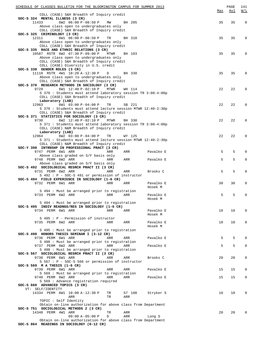| SCHEDULE OF CLASSES BULLETIN FOR THE BLOOMINGTON CAMPUS FOR SUMMER 2013                     |             |        |                      |     | PAGE | 141          |
|---------------------------------------------------------------------------------------------|-------------|--------|----------------------|-----|------|--------------|
|                                                                                             |             |        |                      | Max | Avl  | W/L          |
| COLL (CASE) S&H Breadth of Inquiry credit<br>SOC-S 324 MENTAL ILLNESS (3 CR)                |             |        |                      |     |      |              |
| 6W2 06:00 P-08:50 P MW<br>11433                                                             |             | BH 205 |                      | 35  | 35   | 0            |
| Above class open to undergraduates only                                                     |             |        |                      |     |      |              |
| COLL (CASE) S&H Breadth of Inquiry credit                                                   |             |        |                      |     |      |              |
| SOC-S 325 CRIMINOLOGY (3 CR)                                                                |             |        |                      |     |      |              |
| 6W1 06:00 P-08:50 P<br>12311                                                                | TR          | BH 310 |                      | 35  | 35   | $\mathbf 0$  |
| Above class open to undergraduates only                                                     |             |        |                      |     |      |              |
| COLL (CASE) S&H Breadth of Inquiry credit<br>SOC-S 335 RACE AND ETHNIC RELATIONS (3 CR)     |             |        |                      |     |      |              |
| 10587 RSTR 6W2 07:30 P-09:00 P                                                              | <b>MTWR</b> | BH 103 |                      | 35  | 35   | $\mathbf 0$  |
| Above class open to undergraduates only                                                     |             |        |                      |     |      |              |
| COLL (CASE) S&H Breadth of Inquiry credit                                                   |             |        |                      |     |      |              |
| COLL (CASE) Diversity in U.S. credit                                                        |             |        |                      |     |      |              |
| SOC-S 338 GENDER ROLES (3 CR)                                                               |             |        |                      |     |      |              |
| 11110 RSTR 4W1 10:20 A-12:30 P                                                              | D           | BH 330 |                      | 35  | 35   | $\mathbf 0$  |
| Above class open to undergraduates only                                                     |             |        |                      |     |      |              |
| COLL (CASE) S&H Breadth of Inquiry credit<br>SOC-S 370 RESEARCH METHODS IN SOCIOLOGY (3 CR) |             |        |                      |     |      |              |
| 9729<br>6W1 12:40 P-02:10 P                                                                 | MTWR        | WH 114 |                      | 22  | 22   | $\mathbf 0$  |
| S 370 : Students must attend laboratory session TR 3:00-4:00p                               |             |        |                      |     |      |              |
| COLL (CASE) S&H Breadth of Inquiry credit                                                   |             |        |                      |     |      |              |
| Laboratory (LAB)                                                                            |             |        |                      |     |      |              |
| 6W1 03:00 P-04:00 P<br>12963                                                                | TR          | SB 221 |                      | 22  | 22   | $\mathbf 0$  |
| S 370 : Students must attend lecture session MTWR 12:40-2:30p                               |             |        |                      |     |      |              |
| COLL (CASE) S&H Breadth of Inquiry credit                                                   |             |        |                      |     |      |              |
| SOC-S 371 STATISTICS FOR SOCIOLOGY (3 CR)<br>9730                                           | MTWR        | BH 330 |                      | 22  | 22   | $\mathbf 0$  |
| 6W2 12:40 P-02:10 P<br>S 371 : Students must attend laboratory session TR 3:00-4:00p        |             |        |                      |     |      |              |
| COLL (CASE) N&M Breadth of Inquiry credit                                                   |             |        |                      |     |      |              |
| Laboratory (LAB)                                                                            |             |        |                      |     |      |              |
| 6W2 03:00 P-04:00 P<br>12964                                                                | TR          | WY 125 |                      | 22  | 22   | $\mathbf 0$  |
| S 371: Students must attend lecture session MTWR 12:40-2:30p                                |             |        |                      |     |      |              |
| COLL (CASE) N&M Breadth of Inquiry credit                                                   |             |        |                      |     |      |              |
| SOC-Y 398 INTRNSHP IN PROFESSIONAL PRACT (3 CR)                                             |             |        |                      |     |      | $\mathbf 0$  |
| 9747 PERM 6W1 ARR<br>Above class graded on S/F basis only                                   | ARR         | ARR    | Pavalko E            | 5   | 5    |              |
| 9748 PERM 6W2 ARR                                                                           | ARR         | ARR    | Pavalko E            | 5   | 5    | $\mathbf{0}$ |
| Above class graded on S/F basis only                                                        |             |        |                      |     |      |              |
| SOC-S 492 SOCIOLOGICAL RESRCH PRACT II (3 CR)                                               |             |        |                      |     |      |              |
| 9731 PERM 6W2 ARR                                                                           | ARR         | ARR    | Brooks C             | 5   | 5    | $\mathsf 0$  |
| S 492 : P - SOC-S 491 or permission of instructor                                           |             |        |                      |     |      |              |
| SOC-S 494 FIELD EXPERIENCE IN SOCIOLOGY (1-6 CR)                                            |             |        |                      |     |      |              |
| 9732 PERM 6W1 ARR                                                                           | ARR         | ARR    | Pavalko E<br>Hosek M | 30  | 30   | 0            |
| S 494 : Must be arranged prior to registration                                              |             |        |                      |     |      |              |
| 9733 PERM 6W2 ARR                                                                           | ARR         | ARR    | Pavalko E            | 5   | 5    | 0            |
|                                                                                             |             |        | Hosek M              |     |      |              |
| S 494 : Must be arranged prior to registration                                              |             |        |                      |     |      |              |
| SOC-S 495 INDIV READNGS/RES IN SOCIOLOGY (1-6 CR)                                           |             |        |                      |     |      |              |
| 9734 PERM 6W1 ARR                                                                           | ARR         | ARR    | Pavalko E            | 10  | 10   | 0            |
|                                                                                             |             |        | Hosek M              |     |      |              |
| S 495 : P - Permission of instructor<br>9735 PERM 6W2 ARR                                   | ARR         |        | Pavalko E            | 10  | 10   | 0            |
|                                                                                             |             | ARR    | Hosek M              |     |      |              |
| S 495 : Must be arranged prior to registration                                              |             |        |                      |     |      |              |
| SOC-S 498 HONORS THESIS SEMINAR I (3-12 CR)                                                 |             |        |                      |     |      |              |
| 9736 PERM 6W1 ARR                                                                           | ARR         | ARR    | Pavalko E            | 5   | 5    | $\mathbf 0$  |
| S 498 : Must be arranged prior to registration                                              |             |        |                      |     |      |              |
| 9737 PERM 6W2 ARR                                                                           | ARR         | ARR    | Pavalko E            | 5   | 5    | $\mathbf{0}$ |
| S 498 : Must be arranged prior to registration                                              |             |        |                      |     |      |              |
| SOC-S 567 SOCIOLOGICAL RESRCH PRACT II (3 CR)                                               |             |        | Brooks C             | 20  | 20   | 0            |
| 9738 PERM 6W1 ARR<br>$S$ 567 : P - SOC-S 566 or permission of instructor                    | ARR         | ARR    |                      |     |      |              |
| SOC-S 569 M A THESIS $(1-6 \text{ CR})$                                                     |             |        |                      |     |      |              |
| 9739 PERM 6W1 ARR                                                                           | ARR         | ARR    | Pavalko E            | 15  | 15   | 0            |
| S 569 : Must be arranged prior to registration                                              |             |        |                      |     |      |              |
| 9740 PERM 6W2 ARR                                                                           | ARR         | ARR    | Pavalko E            | 15  | 15   | 0            |
| S 569 : Advance registration required                                                       |             |        |                      |     |      |              |
| SOC-S 660 ADVANCED TOPICS (3 CR)                                                            |             |        |                      |     |      |              |
| VT: SELF/IDENTITY<br>14334 PERM 6W1 10:00 A-12:30 P                                         |             | S7 100 | Stryker S            | 10  | 10   | 0            |
| ARR                                                                                         | TR<br>TR    | ARR    |                      |     |      |              |
| TOPIC : Self Identity                                                                       |             |        |                      |     |      |              |
| Obtain on-line authorization for above class from Department                                |             |        |                      |     |      |              |
| SOC-S 751 SOCIOLOGICAL METHODS 2 (3 CR)                                                     |             |        |                      |     |      |              |
| 14340 PERM 4W1 ARR                                                                          | TR          | ARR    |                      | 20  | 20   | 0            |
| $09:00 A-05:00 P$                                                                           | D           | ARR    | Long S               |     |      |              |
| Obtain on-line authorization for above class from Department                                |             |        |                      |     |      |              |
| SOC-S 864 READINGS IN SOCIOLOGY (0-12 CR)                                                   |             |        |                      |     |      |              |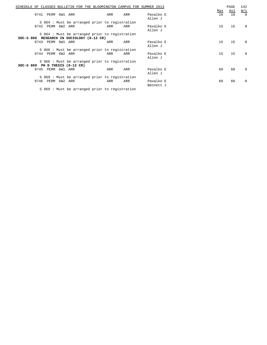| SCHEDULE<br>OF.                           | CLASSES BULLETIN FOR THE BLOOMINGTON CAMPUS FOR SUMMER 2013 |     |     |                        |                        | PAGE             | 142                                              |
|-------------------------------------------|-------------------------------------------------------------|-----|-----|------------------------|------------------------|------------------|--------------------------------------------------|
| PERM 6W1 ARR<br>9741                      |                                                             | ARR | ARR | Pavalko E<br>Allen J   | Max<br>10 <sup>°</sup> | <u>Avl</u><br>10 | $\underline{\texttt{W}}/\texttt{L}$<br>$\bigcap$ |
|                                           | S 864 : Must be arranged prior to registration              |     |     |                        |                        |                  |                                                  |
| 9742 PERM 6W2 ARR                         |                                                             | ARR | ARR | Pavalko E<br>Allen J   | 15                     | 15               | 0                                                |
|                                           | S 864 : Must be arranged prior to registration              |     |     |                        |                        |                  |                                                  |
| SOC-S 866 RESEARCH IN SOCIOLOGY (0-12 CR) |                                                             |     |     |                        |                        |                  |                                                  |
| 9743 PERM 6W1 ARR                         |                                                             | ARR | ARR | Pavalko E<br>Allen J   | 15                     | 15               | $\Omega$                                         |
|                                           | S 866: Must be arranged prior to registration               |     |     |                        |                        |                  |                                                  |
| 9744 PERM 6W2 ARR                         |                                                             | ARR | ARR | Pavalko E<br>Allen J   | 15                     | 15               | $\Omega$                                         |
|                                           | S 866: Must be arranged prior to registration               |     |     |                        |                        |                  |                                                  |
| SOC-S 869 PH D THESIS (0-12 CR)           |                                                             |     |     |                        |                        |                  |                                                  |
| 9745<br>PERM 6W1                          | ARR                                                         | ARR | ARR | Pavalko E<br>Allen J   | 60                     | 60               | $\Omega$                                         |
|                                           | S 869 : Must be arranged prior to registration              |     |     |                        |                        |                  |                                                  |
| PERM 6W2<br>9746                          | ARR                                                         | ARR | ARR | Pavalko E<br>Bennett J | 60                     | 60               | $\Omega$                                         |
|                                           | S 869: Must be arranged prior to registration               |     |     |                        |                        |                  |                                                  |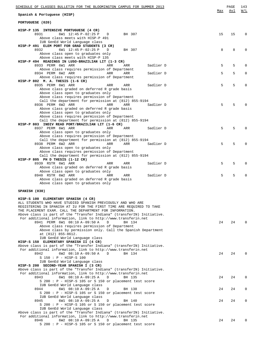| SCHEDULE OF CLASSES BULLETIN FOR THE BLOOMINGTON CAMPUS FOR SUMMER 2013                                                                 |     | PAGE | 143      |
|-----------------------------------------------------------------------------------------------------------------------------------------|-----|------|----------|
| Spanish & Portuguese (HISP)                                                                                                             | Max | Avl  | W/L      |
| PORTUGUESE (020)                                                                                                                        |     |      |          |
| HISP-P 135 INTENSIVE PORTUGUESE (4 CR)                                                                                                  |     |      |          |
| 8931<br>6W1 12:45 P-02:25 P<br>D<br>BH 307<br>Above class meets with HISP-P 491                                                         | 15  | 15   | $\Omega$ |
| IUB GenEd World Language class                                                                                                          |     |      |          |
| HISP-P 491 ELEM PORT FOR GRAD STUDENTS (3 CR)<br>8932<br>D                                                                              | 8   | 8    | $\Omega$ |
| 6W1 12:45 P-02:25 P<br>BH 307<br>Above class open to graduates only                                                                     |     |      |          |
| Above class meets with HISP-P 135                                                                                                       |     |      |          |
| HISP-P 494 READINGS IN LUSO-BRAZILIAN LIT (1-3 CR)<br>8933 PERM 6W1 ARR<br>Sadlier D<br>ARR<br>ARR                                      | 5   | 5    | $\Omega$ |
| Above class requires permission of Department                                                                                           |     |      |          |
| 8934 PERM 6W2 ARR<br>Sadlier D<br>ARR<br>ARR                                                                                            | 5   | 5    | 0        |
| Above class requires permission of Department<br>HISP-P 802 M. A. THESIS (1-6 CR)                                                       |     |      |          |
| 8935 PERM 6W1 ARR<br>ARR<br>Sadlier D<br>ARR                                                                                            | 5   | 5    | $\Omega$ |
| Above class graded on deferred R grade basis                                                                                            |     |      |          |
| Above class open to graduates only<br>Above class requires permission of Department                                                     |     |      |          |
| Call the department for permission at (812) 855-9194                                                                                    |     |      |          |
| 8936 PERM 6W2 ARR<br>ARR<br>Sadlier D<br>ARR                                                                                            | 5   | 5    |          |
| Above class graded on deferred R grade basis<br>Above class open to graduates only                                                      |     |      |          |
| Above class requires permission of Department                                                                                           |     |      |          |
| Call the department for permission at (812) 855-9194                                                                                    |     |      |          |
| HISP-P 803 INDIV READ PORT/BRAZILIAN LIT (1-6 CR)<br>8937 PERM 6W1 ARR<br>ARR<br>Sadlier D<br>ARR                                       | 5   | 5    |          |
| Above class open to graduates only                                                                                                      |     |      |          |
| Above class requires permission of Department                                                                                           |     |      |          |
| Call the department for permission at (812) 855-9194<br>8938 PERM 6W2 ARR<br>ARR<br>ARR<br>Sadlier D                                    | 5   | 5    |          |
| Above class open to graduates only                                                                                                      |     |      |          |
| Above class requires permission of Department                                                                                           |     |      |          |
| Call the department for permission at (812) 855-9194<br>HISP-P 805 PH D THESIS (1-12 CR)                                                |     |      |          |
| 8939 RSTR 6W1 ARR<br>Sadlier D<br>ARR<br>ARR                                                                                            | 5   | 5    | $\Omega$ |
| Above class graded on deferred R grade basis                                                                                            |     |      |          |
| Above class open to graduates only<br>8940 RSTR 6W2 ARR<br>Sadlier D<br>ARR<br>ARR                                                      | 5   | 5    | $\Omega$ |
| Above class graded on deferred R grade basis                                                                                            |     |      |          |
| Above class open to graduates only                                                                                                      |     |      |          |
| SPANISH (030)                                                                                                                           |     |      |          |
|                                                                                                                                         |     |      |          |
| HISP-S 100 ELEMENTARY SPANISH (4 CR)<br>ALL STUDENTS WHO HAVE STUDIED SPANISH PREVIOUSLY AND WHO ARE                                    |     |      |          |
| REGISTERING IN SPANISH AT IU FOR THE FIRST TIME ARE REQUIRED TO TAKE                                                                    |     |      |          |
| THE PLACEMENT EXAM. CALL THE DEPARTMENT FOR INFORMATION.                                                                                |     |      |          |
| Above class is part of the "Transfer Indiana" (transferIN) Initiative.<br>For additional information, link to http://www.transferin.net |     |      |          |
| 8941 PERM 6W1 08:10 A-09:50 A<br>D<br>BH 134                                                                                            | 24  | 24   | $\Omega$ |
| Above class requires permission of Department                                                                                           |     |      |          |
| Above class by permission only. Call the Spanish Department<br>at (812) 855-8612.                                                       |     |      |          |
| IUB GenEd World Language class                                                                                                          |     |      |          |
| HISP-S 150 ELEMENTARY SPANISH II (4 CR)                                                                                                 |     |      |          |
| Above class is part of the "Transfer Indiana" (transferIN) Initiative.<br>For additional information, link to http://www.transferin.net |     |      |          |
| 8942<br>6W2 08:10 A-09:50 A<br>D<br>BH 134                                                                                              | 24  | 24   | $\Omega$ |
| $S$ 150 : $P - HISP-S$ 100                                                                                                              |     |      |          |
| IUB GenEd World Language class<br>HISP-S 200 SECOND-YEAR SPANISH I (3 CR)                                                               |     |      |          |
| Above class is part of the "Transfer Indiana" (transferIN) Initiative.                                                                  |     |      |          |
| For additional information, link to http://www.transferin.net<br>8943<br>6W1 08:10 A-09:25 A<br>D<br>BH 135                             | 24  | 24   | $\Omega$ |
| S 200 : P - HISP-S 105 or S 150 or placement test score                                                                                 |     |      |          |
| IUB GenEd World Language class                                                                                                          |     |      |          |
| 6W1 08:10 A-09:25 A<br>8944<br>D<br>BH 138<br>S 200 : P - HISP-S 105 or S 150 or placement test score                                   | 24  | 24   | 0        |
| IUB GenEd World Language class                                                                                                          |     |      |          |
| 8945<br>6W1 08:10 A-09:25 A<br>D<br>BH 140                                                                                              | 24  | 24   | $\Omega$ |
| S 200: P - HISP-S 105 or S 150 or placement test score<br>IUB GenEd World Language class                                                |     |      |          |
| Above class is part of the "Transfer Indiana" (transferIN) Initiative.                                                                  |     |      |          |
| For additional information, link to http://www.transferin.net                                                                           |     |      |          |
| 8946<br>6W2 08:10 A-09:25 A<br>D<br>BH 135<br>S 200: P - HISP-S 105 or S 150 or placement test score                                    | 24  | 24   | $\Omega$ |
|                                                                                                                                         |     |      |          |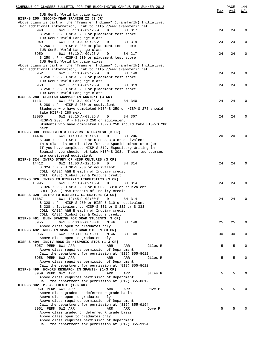| SCHEDULE OF CLASSES BULLETIN FOR THE BLOOMINGTON CAMPUS FOR SUMMER 2013 |     | PAGE | 144         |
|-------------------------------------------------------------------------|-----|------|-------------|
|                                                                         | Max | Avl  | W/L         |
| IUB GenEd World Language class                                          |     |      |             |
| HISP-S 250 SECOND-YEAR SPANISH II (3 CR)                                |     |      |             |
| Above class is part of the "Transfer Indiana" (transferIN) Initiative.  |     |      |             |
| For additional information, link to http://www.transferin.net           |     |      |             |
| 8948<br>6W1 08:10 A-09:25 A<br>D<br>BH 317                              | 24  | 24   | $\mathbf 0$ |
| S 250 : P - HISP-S 200 or placement test score                          |     |      |             |
| IUB GenEd World Language class                                          |     |      |             |
| 8949<br>6W1 08:10 A-09:25 A<br>D<br>BH 319                              | 24  | 24   | 0           |
| S 250 : P - HISP-S 200 or placement test score                          |     |      |             |
| IUB GenEd World Language class                                          |     |      |             |
| 8950<br>6W1 08:10 A-09:25 A<br>D<br>BH 217                              | 24  | 24   | 0           |
| S 250 : P - HISP-S 200 or placement test score                          |     |      |             |
| IUB GenEd World Language class                                          |     |      |             |
| Above class is part of the "Transfer Indiana" (transferIN) Initiative.  |     |      |             |
| For additional information, link to http://www.transferin.net           |     |      |             |
| 8952<br>6W2 08:10 A-09:25 A<br>$\mathbb{D}$<br>BH 140                   | 24  | 24   | 0           |
| S 250 : P - HISP-S 200 or placement test score                          |     |      |             |
| IUB GenEd World Language class                                          |     |      |             |
| 8953<br>6W2 08:10 A-09:25 A<br>D<br>BH 319                              | 24  | 24   | 0           |
| S 250 : P - HISP-S 200 or placement test score                          |     |      |             |
| IUB GenEd World Language class                                          |     |      |             |
| HISP-S 280 SPANISH GRAMMAR IN CONTEXT (3 CR)                            |     |      |             |
| 11131<br>6W1 08:10 A-09:25 A<br>BH 340<br>D                             | 24  | 24   | 0           |
| $S$ 280 : P - HISP-S 250 or equivalent                                  |     |      |             |
|                                                                         |     |      |             |
| Students who have completed HISP-S 250 or HISP-S 275 should             |     |      |             |
| take HISP-S 280 next                                                    |     |      |             |
| 13080<br>6W2 08:10 A-09:25 A<br>D<br>BH 307                             | 24  | 24   | 0           |
| HISP-S 280: P - HISP-S 250 or equivalent                                |     |      |             |
| Students who have completed HISP-S 250 should take HISP-S 280           |     |      |             |
| next.                                                                   |     |      |             |
| HISP-S 308 COMPOSITN & CONVERS IN SPANISH (3 CR)                        |     |      |             |
| 6W1 11:00 A-12:15 P<br>14404<br>D<br>BH 206                             | 20  | 20   | 0           |
| S 308 : P - HISP-S 280 or HISP-S 310 or equivalent                      |     |      |             |
| This class is an elective for the Spanish minor or major.               |     |      |             |
| If you have completed HISP-S 312, Expository Writing in                 |     |      |             |
| Spanish, you should not take HISP-S 308. These two courses              |     |      |             |
| are considered equivalent                                               |     |      |             |
| HISP-S 324 INTRO STUDY OF HISP CULTURES (3 CR)                          |     |      |             |
| 14412<br>6W2 11:00 A-12:15 P<br>D<br>BH 314                             | 24  | 24   | $\Omega$    |
| S 324 : P - HISP-S 280 or equivalent                                    |     |      |             |
| COLL (CASE) A&H Breadth of Inquiry credit                               |     |      |             |
| COLL (CASE) Global Civ & Culture credit                                 |     |      |             |
| HISP-S 326 INTRO TO HISPANIC LINGUISTICS (3 CR)                         |     |      |             |
| 10995<br>6W1 08:10 A-09:15 A<br>D<br>BH 314                             | 24  | 24   | 0           |
| S 326 : P - HISP-S 280 or HISP- S310 or equivalent                      |     |      |             |
| COLL (CASE) N&M Breadth of Inquiry credit                               |     |      |             |
| HISP-S 328 INTRO TO HISPANIC LITERATURE (3 CR)                          |     |      |             |
| 11687<br>$6W1$ 12:45 P-02:00 P<br>D<br>BH 314                           | 24  | 24   | 0           |
| S 328 : P - HISP-S 280 or HISP-S 310 or equivalent                      |     |      |             |
|                                                                         |     |      |             |
| S 328 : Equivalent to HISP-S 331 or S 332 or S 333                      |     |      |             |
| COLL (CASE) A&H Breadth of Inquiry credit                               |     |      |             |
| COLL (CASE) Global Civ & Culture credit                                 |     |      |             |
| HISP-S 491 ELEM SPANISH FOR GRAD STUDENTS (3 CR)                        |     |      |             |
| 6W1 06:30 P-08:30 P<br>8955<br><b>MTWR</b><br>BH 148                    | 25  | 25   | 0           |
| Above class open to graduates only                                      |     |      |             |
| HISP-S 492 RDGS IN SPAN FOR GRAD STUDEN (3 CR)                          |     |      |             |
| 8956<br>6W2 06:30 P-08:30 P<br><b>MTWR</b><br>BH 148                    | 30  | 30   | $\mathbf 0$ |
| Above class open to graduates only                                      |     |      |             |
| HISP-S 494 INDIV RDGS IN HISPANIC STDS (1-3 CR)                         |     |      |             |
| 8957 PERM 6W1 ARR<br>ARR<br>Giles R<br>ARR                              | 5   | 5    | $\Omega$    |
| Above class requires permission of Department                           |     |      |             |
| Call the department for permission at (812) 855-8612                    |     |      |             |
| 8958 PERM 6W2 ARR<br>ARR<br>ARR<br>Giles R                              | 5   | 5    | $\Omega$    |
| Above class requires permission of Department                           |     |      |             |
| Call the department for permission at (812) 855-8612                    |     |      |             |
| HISP-S 499 HONORS RESEARCH IN SPANISH (1-3 CR)                          |     |      |             |
| 8959 PERM 6W2 ARR<br>ARR<br>Giles R<br>ARR                              | 5   | 5    | $\Omega$    |
| Above class requires permission of Department                           |     |      |             |
| Call the department for permission at (812) 855-8612                    |     |      |             |
| HISP-S 802 M. A. THESIS (1-6 CR)                                        |     |      |             |
| 8960 PERM 6W1 ARR<br>ARR<br>Dove P<br>ARR                               | 5   | 5    | $\Omega$    |
| Above class graded on deferred R grade basis                            |     |      |             |
| Above class open to graduates only                                      |     |      |             |
| Above class requires permission of Department                           |     |      |             |
|                                                                         |     |      |             |
| Call the department for permission at (812) 855-9194                    |     |      |             |
| 8961 PERM 6W2 ARR<br>ARR<br>ARR<br>Dove P                               | 5   | 5    | $\Omega$    |
| Above class graded on deferred R grade basis                            |     |      |             |
| Above class open to graduates only                                      |     |      |             |
| Above class requires permission of Department                           |     |      |             |
| Call the department for permission at (812) 855-9194                    |     |      |             |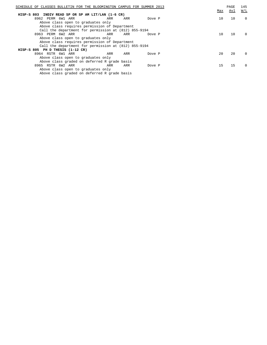| SCHEDULE OF CLASSES BULLETIN FOR THE BLOOMINGTON CAMPUS FOR SUMMER 2013 |     |     |        |  |     | PAGE | 145         |
|-------------------------------------------------------------------------|-----|-----|--------|--|-----|------|-------------|
|                                                                         |     |     |        |  | Max | Avl  | W/L         |
| HISP-S 803 INDIV READ SP OR SP AM LIT/LAN (1-6 CR)                      |     |     |        |  |     |      |             |
| 8962 PERM 6W1 ARR                                                       | ARR | ARR | Dove P |  | 10  | 10   | $\mathbf 0$ |
| Above class open to graduates only                                      |     |     |        |  |     |      |             |
| Above class requires permission of Department                           |     |     |        |  |     |      |             |
| Call the department for permission at (812) 855-9194                    |     |     |        |  |     |      |             |
| 8963 PERM 6W2 ARR                                                       | ARR | ARR | Dove P |  | 10  | 10   | $\Omega$    |
| Above class open to graduates only                                      |     |     |        |  |     |      |             |
| Above class requires permission of Department                           |     |     |        |  |     |      |             |
| Call the department for permission at (812) 855-9194                    |     |     |        |  |     |      |             |
| HISP-S 805 PH D THESIS (1-12 CR)                                        |     |     |        |  |     |      |             |
| 8964 RSTR 6W1 ARR                                                       | ARR | ARR | Dove P |  | 20  | 20   | $\Omega$    |
| Above class open to graduates only                                      |     |     |        |  |     |      |             |
| Above class graded on deferred R grade basis                            |     |     |        |  |     |      |             |
| 8965 RSTR 6W2 ARR                                                       | ARR | ARR | Dove P |  | 15  | 15   | $\Omega$    |
| Above class open to graduates only                                      |     |     |        |  |     |      |             |
| Above class graded on deferred R grade basis                            |     |     |        |  |     |      |             |
|                                                                         |     |     |        |  |     |      |             |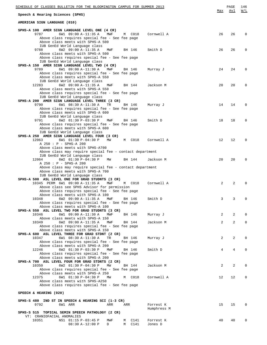| SCHEDULE OF CLASSES BULLETIN FOR THE BLOOMINGTON CAMPUS FOR SUMMER 2013                           |             | Max | PAGE<br>Avl    | 146<br>W/L  |
|---------------------------------------------------------------------------------------------------|-------------|-----|----------------|-------------|
| Speech & Hearing Sciences (SPHS)                                                                  |             |     |                |             |
| AMERICAN SIGN LANGUAGE (010)                                                                      |             |     |                |             |
| SPHS-A 100 AMER SIGN LANGUAGE LEVEL ONE (4 CR)                                                    |             |     |                |             |
| 9787<br>6W1 09:00 A-11:35 A<br>MWF<br>M C018<br>Above class requires special fee - See fee page   | Cornwell A  | 26  | 26             | $\Omega$    |
| Above class meets with SPHS-A 500                                                                 |             |     |                |             |
| IUB GenEd World Language class                                                                    |             |     |                |             |
| 9788<br>6W2 09:00 A-11:35 A<br>MWF<br>BH 146                                                      | Smith D     | 26  | 26             | $\Omega$    |
| Above class meets with SPHS-A 500<br>Above class requires special fee - See fee page              |             |     |                |             |
| IUB GenEd World Language class                                                                    |             |     |                |             |
| SPHS-A 150 AMER SIGN LANGUAGE LEVEL TWO (4 CR)                                                    |             |     |                |             |
| 9789<br>6W1 09:00 A-11:30 A<br>MWF<br>BH 146                                                      | Murray J    | 24  | 24             | $\Omega$    |
| Above class requires special fee - See fee page                                                   |             |     |                |             |
| Above class meets with SPHS-A 550<br>IUB GenEd World Language class                               |             |     |                |             |
| 12283<br>6W2 09:00 A-11:35 A<br>MWF<br>BH 144                                                     | Jackson M   | 20  | 20             | $\Omega$    |
| Above class meets with SPHS-A 550                                                                 |             |     |                |             |
| Above class requires special fee - See fee page                                                   |             |     |                |             |
| IUB GenEd World Language class                                                                    |             |     |                |             |
| SPHS-A 200 AMER SIGN LANGUAGE LEVEL THREE (3 CR)<br>9790<br>6W1 08:30 A-11:30 A                   |             | 14  | 14             | $\Omega$    |
| TR<br>BH 146<br>Above class requires special fee - See fee page                                   | Murray J    |     |                |             |
| Above class meets with SPHS-A 600                                                                 |             |     |                |             |
| IUB GenEd World Language class                                                                    |             |     |                |             |
| 9791<br>6W2 01:30 P-03:30 P<br>MWF<br>BH 146                                                      | Smith D     | 18  | 18             | $\Omega$    |
| Above class requires special fee - See fee page                                                   |             |     |                |             |
| Above class meets with SPHS-A 600                                                                 |             |     |                |             |
| IUB GenEd World Language class<br>SPHS-A 250 AMER SIGN LANGUAGE LEVEL FOUR (3 CR)                 |             |     |                |             |
| 12063<br>6W1 01:30 P-04:30 P<br>MW<br>M C018                                                      | Cornwell A  | 12  | 12             | $\Omega$    |
| A 250 : P - SPHS-A 200                                                                            |             |     |                |             |
| Above class meets with SPHS-A700                                                                  |             |     |                |             |
| Above class may require special fee - contact department                                          |             |     |                |             |
| IUB GenEd World Language class<br>12064<br>6W2 01:30 P-04:30 P<br>МW                              |             | 20  | 20             | $\Omega$    |
| BH 144<br>A 250 : P - SPHS-A 200                                                                  | Jackson M   |     |                |             |
| Above class may require special fee - contact department                                          |             |     |                |             |
| Above class meets with SPHS-A 700                                                                 |             |     |                |             |
| IUB GenEd World Language class                                                                    |             |     |                |             |
| SPHS-A 500 ASL LEVEL ONE FOR GRAD STUDNTS (3 CR)                                                  |             |     |                |             |
| 10345 PERM 6W1 09:00 A-11:35 A<br>MWF<br>M C018<br>Above class see SPHS Advisor for permission    | Cornwell A  | 2   | $\overline{2}$ |             |
| Above class requires special fee - See fee page                                                   |             |     |                |             |
| Above class meets with SPHS-A 100                                                                 |             |     |                |             |
| 10348<br>6W2 09:00 A-11:35 A<br>MWF<br>BH 146                                                     | Smith D     | 3   | 3              | 0           |
| Above class requires special fee - See fee page                                                   |             |     |                |             |
| Above class meets with SPHS-A 100                                                                 |             |     |                |             |
| SPHS-A 550 ASL LEVEL TWO FOR GRAD STUDNTS (3 CR)<br>6W1 09:00 A-11:30 A<br>10346<br>MWF<br>BH 146 | Murray J    | 2   | 2              | $\Omega$    |
| Above class meets with SPHS-A 150                                                                 |             |     |                |             |
| 6W2 09:00 A-11:35 A<br>10349<br>MWF<br>BH 144                                                     | Jackson M   | 2   | $\overline{a}$ | $\Omega$    |
| Above class requires special fee - See fee page                                                   |             |     |                |             |
| Above class meets with SPHS-A 150                                                                 |             |     |                |             |
| SPHS-A 600 ASL LEVEL THREE FOR GRAD STDNT (2 CR)<br>6W1 08:30 A-11:30 A<br>10347<br>TR            | Murray J    | 2   | $\overline{a}$ | $\Omega$    |
| BH 146<br>Above class requires special fee - See fee page                                         |             |     |                |             |
| Above class meets with SPHS-A 200                                                                 |             |     |                |             |
| 6W2 01:30 P-03:30 P<br>12246<br>MWF<br>BH 146                                                     | Smith D     | 4   | 4              | $\Omega$    |
| Above class requires special fee - See fee page                                                   |             |     |                |             |
| Above class meets with SPHS-A 200                                                                 |             |     |                |             |
| SPHS-A 700 ASL LEVEL FOUR FOR GRAD STDNTS (2 CR)<br>6W2 01:30 P-04:30 P<br>10350<br>MW<br>BH 144  | Jackson M   | 2   | 2              | $\Omega$    |
| Above class requires special fee - See fee page                                                   |             |     |                |             |
| Above class meets with SPHS-A 250                                                                 |             |     |                |             |
| 6W1 01:30 P-04:30 P<br>12375<br>M C018<br>MW                                                      | Cornwell A  | 12  | 12             | $\mathbf 0$ |
| Above class meets with SPHS-A250                                                                  |             |     |                |             |
| Above class requires special fee - See fee page                                                   |             |     |                |             |
| SPEECH & HEARING (020)                                                                            |             |     |                |             |
|                                                                                                   |             |     |                |             |
| SPHS-S 480 IND ST IN SPEECH & HEARING SCI (1-3 CR)<br>9792<br>6W1 ARR<br>ARR<br>ARR               | Forrest K   | 15  | 15             | $\Omega$    |
|                                                                                                   | Humphress M |     |                |             |
| SPHS-S 515 TOPICAL SEMIN SPEECH PATHOLOGY (2 CR)                                                  |             |     |                |             |
| VT: CRANIOFACIAL ANOMALIES                                                                        |             |     |                |             |
| 10351<br>NS1 01:15 P-03:45 P<br>M C141<br>MWF                                                     | Forrest K   | 40  | 40             | $\Omega$    |
| 08:30 A-12:00 P<br>C141<br>D<br>M                                                                 | Jones D     |     |                |             |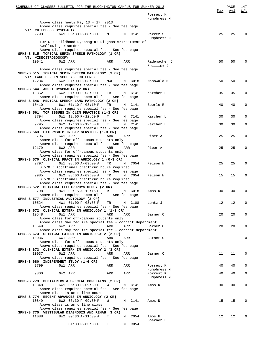|                         | SCHEDULE OF CLASSES BULLETIN FOR THE BLOOMINGTON CAMPUS FOR SUMMER 2013                                                                  |           |     |                  |                            |     | PAGE<br>Avl | 147<br>W/L  |
|-------------------------|------------------------------------------------------------------------------------------------------------------------------------------|-----------|-----|------------------|----------------------------|-----|-------------|-------------|
|                         |                                                                                                                                          |           |     |                  | Forrest K<br>Humphress M   | Max |             |             |
| VT: CHILDHOOD DYSPHAGIA | Above class meets May 13 - 17, 2013<br>Above class requires special fee - See fee page                                                   |           |     |                  |                            |     |             |             |
| 9793                    | 6W1 05:30 P-08:30 P                                                                                                                      | M         |     | M C141           | Parker S                   | 25  | 25          | $\Omega$    |
|                         | TOPIC : Childhood Dysphagia: Diagnosis/Treatment of<br>Swallowing Disorder                                                               |           |     |                  | Humphress M                |     |             |             |
| VT: VIDEOSTROBOSCOPY    | Above class requires special fee - See fee page<br>SPHS-S 515 TOPICAL SEMIN SPEECH PATHOLOGY (1 CR)                                      |           |     |                  |                            |     |             |             |
| 10041                   | 6W2 ARR                                                                                                                                  |           | ARR | ARR              | Rademacher J<br>Phillips J | 50  | 50          | $\Omega$    |
|                         | Above class requires special fee - See fee page<br>SPHS-S 515 TOPICAL SEMIN SPEECH PATHOLOGY (3 CR)<br>VT: LANG DEV IN SCHL AGE CHILDREN |           |     |                  |                            |     |             |             |
| 12234                   | 6W2 01:00 P-03:00 P<br>Above class requires special fee - See fee page<br>SPHS-S 544 ADULT DYSPHAGIA (2 CR)                              |           | MWF | M C018           | Mahowald M                 | 50  | 50          | $\Omega$    |
| 10352                   | 6W2 01:00 P-03:00 P<br>Above class requires special fee - See fee page                                                                   | TR        |     | M C141           | Karcher L                  | 35  | 35          | 0           |
| 10410                   | SPHS-S 546 MEDICAL SPEECH-LANG PATHOLOGY (2 CR)<br>6W1 01:10 P-03:10 P<br>Above class requires special fee - See fee page                | <b>TR</b> |     | M C141           | Eberle R                   | 40  | 40          | 0           |
| 9794                    | SPHS-S 561 TOP ISSUES IN CLIN PRACTICE (1-3 CR)<br>6W1 12:00 P-12:50 P                                                                   | т         |     | M C141           | Karcher L                  | 30  | 30          | 0           |
| 9795                    | Above class requires special fee - See fee page<br>6W2 12:00 P-12:50 P<br>Above class requires special fee - See fee page                | Т         |     | M C141           | Karcher L                  | 30  | 30          | $\mathbf 0$ |
| 9796                    | SPHS-S 563 EXTERNSHIP IN SLP SERVICES (1-3 CR)<br>6W1 ARR<br>Above class for off-campus students only                                    |           | ARR | ARR              | Piper A                    | 25  | 25          | 0           |
| 12179                   | Above class requires special fee - See fee page<br>6W2 ARR<br>Above class for off-campus students only                                   |           | ARR | ARR              | Piper A                    | 25  | 25          | 0           |
|                         | Above class requires special fee - See fee page<br>SPHS-S 570 CLINICAL PRACT IN AUDIOLOGY 1 (0-3 CR)                                     |           |     |                  |                            |     |             |             |
| 9797                    | 6W1 08:00 A-09:00 A<br>S 570 : Additional practicum hours required<br>Above class requires special fee - See fee page                    |           | TR  | M C054           | Nelson N                   | 25  | 25          | 0           |
| 9985                    | 6W2 08:00 A-09:00 A<br>S 570: Additional practicum hours required<br>Above class requires special fee - See fee page                     | TR        |     | M C054           | Nelson N                   | 15  | 15          | 0           |
| 9798                    | SPHS-S 572 CLINICAL ELECTROPHYSIOLOGY (2 CR)<br>8W1 09:15 A-12:15 P<br>Above class requires special fee - See fee page                   | R         |     | M C018           | Amos N                     | 30  | 30          | 0           |
| 10524                   | SPHS-S 577 INDUSTRIAL AUDIOLOGY (2 CR)<br>4W1 01:00 P-03:55 P<br>Above class requires special fee - See fee page                         | TR        |     | M C108           | Lentz J                    | 12  | 12          | 0           |
| 10548                   | SPHS-S 672 CLINICAL EXTERN IN AUDIOLOGY 1 (1-3 CR)<br>6W1 ARR                                                                            |           | ARR | ARR              | Garner C                   | 20  | 20          | 0           |
| 10549                   | Above class for off-campus students only<br>Above class may require special fee - contact department<br>6W2 ARR                          |           | ARR | ARR              | Garner C                   | 20  | 20          | 0           |
| 10036                   | Above class may require special fee - contact department<br>SPHS-S 673 CLINICAL EXTERN IN AUDIOLOGY 2 (2 CR)<br>6W1 ARR                  |           | ARR | ARR              | Garner C                   | 11  | 11          | 0           |
|                         | Above class for off-campus students only<br>Above class requires special fee - See fee page                                              |           |     |                  |                            |     |             |             |
| 10037                   | SPHS-S 673 CLINICAL EXTERN IN AUDIOLOGY 2 (3 CR)<br>6W2 ARR                                                                              |           | ARR | ARR              | Garner C                   | 11  | 11          | 0           |
| 9799                    | Above class requires special fee - See fee page<br>SPHS-S 680 INDEPENDENT STUDY (1-6 CR)<br>6W1 ARR                                      |           | ARR | ARR              | Forrest K                  | 40  | 40          | 0           |
| 9800                    | 6W2 ARR                                                                                                                                  |           | ARR | ARR              | Humphress M<br>Forrest K   | 40  | 40          | 0           |
|                         | SPHS-S 773 PEDIATRICS & SPECIAL POPULATNS (2 CR)                                                                                         |           |     |                  | Humphress M                |     |             |             |
| 10848                   | 6W1 06:30 P-09:30 P<br>Above class requires special fee - See fee page<br>Above class is an online course                                | W         |     | M C141           | Amos N                     | 30  | 30          | 0           |
| 10849                   | SPHS-S 774 RECENT ADVANCES IN AUDIOLOGY (2 CR)<br>6W2 06:30 P-09:30 P<br>Above class is an online class                                  | W         |     | C141<br>M        | Amos N                     | 15  | 15          | $\Omega$    |
| 11088                   | Above class requires special fee - See fee page<br>SPHS-S 775 VESTIBULAR DIAGNOSIS AND REHAB (3 CR)<br>8W2 09:30 A-11:30 A               | Т         | M   | C054             | Amos N                     | 12  | 12          | $\Omega$    |
|                         | $01:00 P-03:30 P$                                                                                                                        | т         | М   | C <sub>054</sub> | Goerner L                  |     |             |             |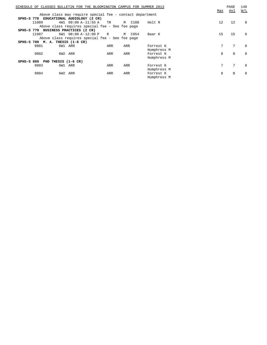|              |                                  |     | SCHEDULE OF CLASSES BULLETIN FOR THE BLOOMINGTON CAMPUS FOR SUMMER 2013 |     |        |             | Max | PAGE<br>Avl | 148<br>W/L |
|--------------|----------------------------------|-----|-------------------------------------------------------------------------|-----|--------|-------------|-----|-------------|------------|
|              |                                  |     | Above class may require special fee - contact department                |     |        |             |     |             |            |
|              |                                  |     | SPHS-S 778 EDUCATIONAL AUDIOLOGY (2 CR)                                 |     |        |             |     |             |            |
|              | 11089                            |     | 4W1 09:00 A-11:55 A TR                                                  |     | M C108 | Holt R      | 12  | 12          | $\Omega$   |
|              |                                  |     | Above class requires special fee - See fee page                         |     |        |             |     |             |            |
|              |                                  |     | SPHS-S 779 BUSINESS PRACTICES (2 CR)                                    |     |        |             |     |             |            |
|              | 11087                            |     | 6W1 08:00 A-12:00 P                                                     | R   | M C054 | Baar K      | 15  | 15          | $\Omega$   |
|              |                                  |     | Above class requires special fee - See fee page                         |     |        |             |     |             |            |
|              | SPHS-S 780 M. A. THESIS (1-6 CR) |     |                                                                         |     |        |             |     |             |            |
|              | 9801                             |     | 6W1 ARR                                                                 | ARR | ARR    | Forrest K   | 7   | 7           | $\Omega$   |
|              |                                  |     |                                                                         |     |        | Humphress M |     |             |            |
|              | 9802                             |     | 6W2 ARR                                                                 | ARR | ARR    | Forrest K   | 8   | 8           | $\Omega$   |
|              |                                  |     |                                                                         |     |        | Humphress M |     |             |            |
| $SPHS-S 880$ |                                  |     | PHD THESIS (1-6 CR)                                                     |     |        |             |     |             |            |
|              | 9803                             |     | 6W1 ARR                                                                 | ARR | ARR    | Forrest K   | 7   | 7           | $\Omega$   |
|              |                                  |     |                                                                         |     |        | Humphress M |     |             |            |
|              | 9804                             | 6W2 | ARR                                                                     | ARR | ARR    | Forrest K   | 8   | 8           | $\Omega$   |
|              |                                  |     |                                                                         |     |        | Humphress M |     |             |            |
|              |                                  |     |                                                                         |     |        |             |     |             |            |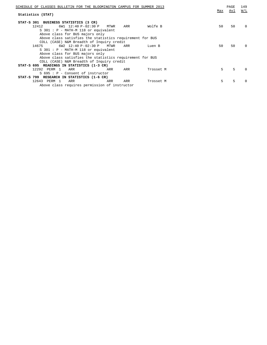| SCHEDULE OF CLASSES BULLETIN FOR THE BLOOMINGTON CAMPUS FOR SUMMER 2013 | Max | PAGE<br>Avl | 149<br>W/L |
|-------------------------------------------------------------------------|-----|-------------|------------|
| Statistics (STAT)                                                       |     |             |            |
| STAT-S 301 BUSINESS STATISTICS (3 CR)                                   |     |             |            |
| $6W1$ 12:40 P-02:30 P<br>12412<br>Wolfe B<br>MTWR<br>ARR                | 50  | 50          | $\Omega$   |
| $S$ 301 : P - MATH-M 118 or equivalent                                  |     |             |            |
| Above class for BUS majors only                                         |     |             |            |
| Above class satisfies the statistics requirement for BUS                |     |             |            |
| COLL (CASE) N&M Breadth of Inquiry credit                               |     |             |            |
| 6W2 12:40 P-02:30 P MTWR<br>14675<br>ARR<br>Luen B                      | 50  | 50          | 0          |
| $S$ 301 : P - MATH-M 118 or equivalent                                  |     |             |            |
| Above class for BUS majors only                                         |     |             |            |
| Above class satisfies the statistics requirement for BUS                |     |             |            |
| COLL (CASE) N&M Breadth of Inquiry credit                               |     |             |            |
| STAT-S 695 READINGS IN STATISTICS (1-3 CR)                              |     |             |            |
| 12292 PERM 1<br>ARR<br>ARR<br>ARR<br>Trosset M                          | 5   | 5           | $\cap$     |
| $S$ 695 : P - Consent of instructor                                     |     |             |            |
| STAT-S 799 RESEARCH IN STATISTICS (1-6 CR)                              |     |             |            |
| 12643 PERM 1<br>ARR<br>ARR<br>ARR<br>Trosset M                          | 5   | 5           |            |
| Above class requires permission of instructor                           |     |             |            |
|                                                                         |     |             |            |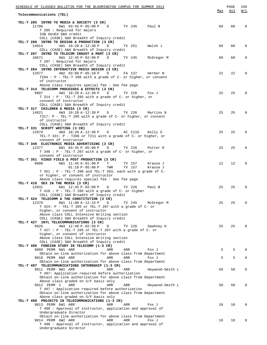| SCHEDULE OF CLASSES BULLETIN FOR THE BLOOMINGTON CAMPUS FOR SUMMER 2013                                  |     | PAGE<br>Avl | 150<br>W/L     |
|----------------------------------------------------------------------------------------------------------|-----|-------------|----------------|
| Telecommunications (TEL)                                                                                 | Max |             |                |
|                                                                                                          |     |             |                |
| TEL-T 205 INTRO TO MEDIA & SOCIETY (3 CR)<br>6W1 03:45 P-05:00 P D TV 245 Paul B<br>11706                | 60  | 60          | 0              |
| T 205 : Required for majors                                                                              |     |             |                |
| IUB GenEd S&H credit                                                                                     |     |             |                |
| COLL (CASE) S&H Breadth of Inquiry credit                                                                |     |             |                |
| TEL-T 206 INTRO TO DESIGN & PRODUCTION (3 CR)<br>14814<br>4W1 10:20 A-12:30 P<br>TV 251<br>Walsh J<br>D  | 60  | 60          | $\mathbf{0}$   |
| COLL (CASE) A&H Breadth of Inquiry credit                                                                |     |             |                |
| TEL-T 207 INTRO TO TELECOM INDUST & MGMT (3 CR)                                                          |     |             |                |
| 10671 6W1 12:45 P-02:00 P D<br>TV 245<br>McGregor M                                                      | 60  | 60          | $\mathbf 0$    |
| T 207 : Required for majors                                                                              |     |             |                |
| COLL (CASE) S&H Breadth of Inquiry credit<br>TEL-T 284 INTRO INTERACTIVE MEDIA DESIGN (3 CR)             |     |             |                |
| 12977 4W2 03:00 P-05:10 P D<br>FA 137 Herber N                                                           | 22  | 22          | $\Omega$       |
| T284 : P - TEL-T 206 with a grade of C- or higher, or consent                                            |     |             |                |
| of instructor                                                                                            |     |             |                |
| Above class requires special fee - See fee page                                                          |     |             |                |
| TEL-T 314 TELECOMM PROCESSES & EFFECTS (3 CR)<br>9807                                                    | 25  | 25          | $\Omega$       |
| 4W1 10:20 A-12:30 P D TV 226<br>Fox J<br>T 314 : P - TEL-T 205 with a grade of C- or higher, or          |     |             |                |
| consent of instructor                                                                                    |     |             |                |
| COLL (CASE) S&H Breadth of Inquiry credit                                                                |     |             |                |
| TEL-T 317 CHILDREN & MEDIA (3 CR)                                                                        |     |             |                |
| 14821<br>4W3 10:20 A-12:30 P D TV 226 Martins N                                                          | 25  | 25          | $\mathbf{0}$   |
| T317: $P$ - TEL-T 205 with a grade of C- or higher, or consent                                           |     |             |                |
| of instructor<br>COLL (CASE) S&H Breadth of Inquiry credit                                               |     |             |                |
| TEL-T 331 SCRIPT WRITING (3 CR)                                                                          |     |             |                |
| 4W3 10:20 A-12:30 P D AC C116 Kelly S<br>12979                                                           | 25  | 25          | $\Omega$       |
| TEL-T 331: P - T206 or T211 with a grade of C- or higher, or                                             |     |             |                |
| consent of instructor                                                                                    |     |             |                |
| TEL-T 340 ELECTRONIC MEDIA ADVERTISING (3 CR)<br>12377 6W1 03:45 P-05:00 P D<br>TV 226 Potter R          | 25  | 25          | $\Omega$       |
| T 340 : P - TEL-T 207 with a grade of C- or higher, or                                                   |     |             |                |
| consent of instructor                                                                                    |     |             |                |
| TEL-T 351 VIDEO FIELD & POST PRODUCTION (3 CR)                                                           |     |             |                |
| 9808<br>6W1 11:45 A-01:00 P<br>TV 157 Krause J<br>$T$ and $T$                                            | 12  | 12          | $\Omega$       |
| $01:10 P-05:00 P$ TWR<br>TV 157 Krause J                                                                 |     |             |                |
| T 351 : P - TEL-T 206 and TEL-T 283, each with a grade of C-<br>or higher, or consent of instructor      |     |             |                |
| Above class requires special fee - See fee page                                                          |     |             |                |
| TEL-T 410 SEX IN THE MEDIA (3 CR)                                                                        |     |             |                |
| 12031<br>6W1 12:45 P-02:00 P<br>TV 226<br>Paul B<br>D                                                    | 25  | 25          | $\overline{0}$ |
| T 410 : P - TEL-T 205 with a grade of C- or higher                                                       |     |             |                |
| COLL (CASE) S&H Breadth of Inquiry credit<br>TEL-T 424 TELECOMM & THE CONSTITUTION (3 CR)                |     |             |                |
| 12378<br>6W1 11:00 A-12:15 P<br>D<br>TV 245<br>McGregor M                                                | 25  | 25          | $\Omega$       |
| T 424: P - TEL-T 205 or TEL-T 207 with a grade of C- or                                                  |     |             |                |
| higher, or consent of instructor                                                                         |     |             |                |
| Above class COLL Intensive Writing section                                                               |     |             |                |
| COLL (CASE) S&H Breadth of Inquiry credit                                                                |     |             |                |
| TEL-T 427 INTL TELECOMMUNICATIONS (3 CR)<br>9926<br>4W3 12:40 P-02:50 P<br>TV 226<br>$\Box$<br>Sawhney H | 25  | 25          | $\Omega$       |
| $T$ 427 : P - TEL-T 205 or TEL-T 207 with a grade of C- or                                               |     |             |                |
| higher, or consent of instructor                                                                         |     |             |                |
| Above class COLL Intensive Writing section                                                               |     |             |                |
| COLL (CASE) S&H Breadth of Inquiry credit                                                                |     |             |                |
| TEL-T 496 FOREIGN STUDY IN TELECOMM (1-3 CR)<br>9809 PERM 6W1 ARR<br>ARR<br>ARR<br>Fox J                 | 5   | 5           | $\Omega$       |
| Obtain on-line authorization for above class from Department                                             |     |             |                |
| 9810 PERM 6W2 ARR<br>ARR<br>ARR<br>Fox J                                                                 | 5   | 5           | 0              |
| Obtain on-line authorization for above class from Department                                             |     |             |                |
| TEL-T 497 TELECOMMUNICATIONS INTERNSHIP (1-3 CR)                                                         |     |             |                |
| 9811 PERM 8W1 ARR<br>ARR<br>ARR<br>Haywood-Smith L<br>T 497: Application required before authorization   | 50  | 50          | 0              |
| Obtain on-line authorization for above class from Department                                             |     |             |                |
| Above class graded on S/F basis only                                                                     |     |             |                |
| 9812 PERM 1<br>ARR<br>ARR<br>Haywood-Smith L<br>ARR                                                      | 50  | 50          | 0              |
| T 497 : Application required before authorization                                                        |     |             |                |
| Obtain on-line authorization for above class from Department                                             |     |             |                |
| Above class graded on S/F basis only<br>TEL-T 498 PROJECTS IN TELECOMMUNICATIONS (1-3 CR)                |     |             |                |
| 9813 PERM 6W1 ARR<br>ARR<br>ARR<br>Fox J                                                                 | 10  | 10          | $\Omega$       |
| T 498 : Approval of instructor, application and approval of                                              |     |             |                |
| Undergraduate Director                                                                                   |     |             |                |
| Obtain on-line authorization for above class from Department                                             |     |             |                |
| 9814 PERM 6W2 ARR<br>ARR<br>ARR<br>Fox J<br>T 498 : Approval of instructor, application and approval of  | 10  | 10          | $\Omega$       |
| Undergraduate Director                                                                                   |     |             |                |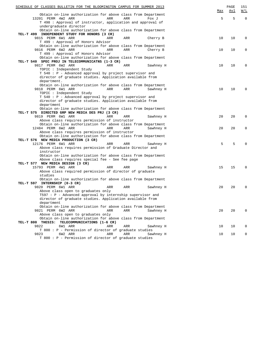| SCHEDULE OF CLASSES BULLETIN FOR THE BLOOMINGTON CAMPUS FOR SUMMER 2013<br>Obtain on-line authorization for above class from Department | <u>Max</u> | PAGE<br>Avl | 151<br><u>W/L</u> |
|-----------------------------------------------------------------------------------------------------------------------------------------|------------|-------------|-------------------|
| 13201 PERM 4W2 ARR<br>ARR<br>ARR<br>Fox J<br>T 498 : Approval of instructor, application and approval of<br>undergraduate director      | 5          | 5           | $\mathbf 0$       |
| Obtain on-line authorization for above class from Department<br>TEL-T 499 INDEPENDENT STUDY FOR HONORS (3 CR)                           |            |             |                   |
| 9815 PERM 6W1 ARR<br>ARR<br>ARR<br>Cherry B                                                                                             | 10         | 10          | $\Omega$          |
| T 499 : Approval of Honors Advisor                                                                                                      |            |             |                   |
| Obtain on-line authorization for above class from Department<br>9816 PERM 6W2 ARR<br>ARR<br>ARR<br>Cherry B                             | 10         | 10          | 0                 |
| T 499 : Approval of Honors Advisor                                                                                                      |            |             |                   |
| Obtain on-line authorization for above class from Department                                                                            |            |             |                   |
| TEL-T 540 SPEC PROJ IN TELECOMMUNICATNS (1-3 CR)                                                                                        |            |             |                   |
| 9817 PERM 6W2 ARR<br>ARR<br>ARR<br>Sawhney H                                                                                            | 10         | 10          | $\Omega$          |
| TOPIC : Independent Study<br>T 540 : P - Advanced approval by project supervisor and                                                    |            |             |                   |
| director of graduate studies. Application available from                                                                                |            |             |                   |
| department.                                                                                                                             |            |             |                   |
| Obtain on-line authorization for above class from Department                                                                            |            |             |                   |
| 9818 PERM 6W1 ARR<br>ARR<br>Sawhney H<br>ARR                                                                                            | 10         | 10          | $\Omega$          |
| TOPIC : Independent Study<br>T 540 : P - Advanced approval by project supervisor and                                                    |            |             |                   |
| director of graduate studies. Application available from                                                                                |            |             |                   |
| department                                                                                                                              |            |             |                   |
| Obtain on-line authorization for above class from Department                                                                            |            |             |                   |
| TEL-T 575 DIRECTED GRP NEW MEDIA DES PRJ (3 CR)                                                                                         |            |             |                   |
| 9819 PERM 6W1 ARR<br>ARR<br>ARR<br>Sawhney H                                                                                            | 20         | 20          | $\Omega$          |
| Above class requires permission of instructor<br>Obtain on-line authorization for above class from Department                           |            |             |                   |
| 12484 PERM 6W2 ARR<br>ARR<br>ARR<br>Sawhney H                                                                                           | 20         | 20          | 0                 |
| Above class requires permission of instructor                                                                                           |            |             |                   |
| Obtain on-line authorization for above class from Department                                                                            |            |             |                   |
| TEL-T 576 NEW MEDIA PRODUCTION (3 CR)                                                                                                   |            |             |                   |
| 12176 PERM 6W1 ARR<br>ARR<br>ARR<br>Sawhney H                                                                                           | 5          | 5           | <sup>0</sup>      |
| Above class requires permission of Graduate Director and<br>instructor                                                                  |            |             |                   |
| Obtain on-line authorization for above class from Department                                                                            |            |             |                   |
| Above class requires special fee - See fee page                                                                                         |            |             |                   |
| TEL-T 577 NEW MEDIA DESIGN (3 CR)                                                                                                       |            |             |                   |
| 15793 PERM 4W1 ARR<br>ARR<br>ARR<br>Sawhney H                                                                                           | 15         | 15          | $\Omega$          |
| Above class required permission of director of graduate<br>studies                                                                      |            |             |                   |
| Obtain on-line authorization for above class from Department                                                                            |            |             |                   |
| TEL-T 597 INTERNSHIP (0-3 CR)                                                                                                           |            |             |                   |
| 9820 PERM 6W1 ARR<br>ARR<br>ARR<br>Sawhney H                                                                                            | 20         | 20          | $\Omega$          |
| Above class open to graduates only                                                                                                      |            |             |                   |
| T597 : P - Advanced approval by internship supervisor and                                                                               |            |             |                   |
| director of graduate studies. Application available from<br>department                                                                  |            |             |                   |
| Obtain on-line authorization for above class from Department                                                                            |            |             |                   |
| 9821 PERM 6W2 ARR<br>ARR<br>ARR<br>Sawhney H                                                                                            | 20         | 20          | $\mathbf 0$       |
| Above class open to graduates only                                                                                                      |            |             |                   |
| Obtain on-line authorization for above class from Department                                                                            |            |             |                   |
| TEL-T 800 THESIS: TELECOMMUNICATIONS (1-6 CR)<br>9822<br>6W1 ARR<br>ARR<br>ARR<br>Sawhney H                                             | 10         | 10          | $\Omega$          |
| T 800 : P - Permission of director of graduate studies                                                                                  |            |             |                   |
| 9823<br>6W2 ARR<br>ARR<br>Sawhney H<br>ARR                                                                                              | 10         | 10          | 0                 |
| T 800 : P - Permission of director of graduate studies                                                                                  |            |             |                   |
|                                                                                                                                         |            |             |                   |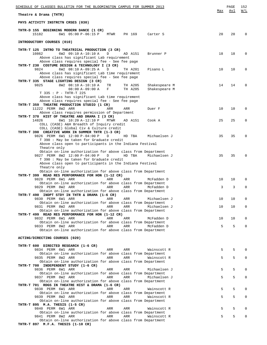| SCHEDULE OF CLASSES BULLETIN FOR THE BLOOMINGTON CAMPUS FOR SUMMER 2013                                           |     | PAGE | 152      |
|-------------------------------------------------------------------------------------------------------------------|-----|------|----------|
| Theatre & Drama (THTR)                                                                                            | Max | Avl  | W/L      |
| PHYS ACTIVITY INSTRCTN CRSES (030)                                                                                |     |      |          |
| THTR-D 155 BEGINNING MODERN DANCE (1 CR)<br>15182<br>6W1 05:00 P-06:15 P<br>MTWR<br>PH 169<br>Carter S            | 20  | 20   | 0        |
| INTRODUCTORY COURSES (010)                                                                                        |     |      |          |
| THTR-T 125 INTRO TO THEATRICAL PRODUCTION (3 CR)                                                                  |     |      |          |
| 6W2 09:10 A-10:10 A<br>10862<br>D<br>AD A151<br>Brunner P<br>Above class has significant Lab requirement          | 18  | 18   | $\Omega$ |
| Above class requires special fee - See fee page                                                                   |     |      |          |
| THTR-T 230 COSTUME DESIGN & TECHNOLOGY I (3 CR)                                                                   |     |      |          |
| 9824<br>6W2 08:10 A-09:25 A<br>Pisano L<br>D<br>TH A201                                                           | 10  | 10   | $\Omega$ |
| Above class has significant Lab time requirement<br>Above class requires special fee - See fee page               |     |      |          |
| THTR-T 335 STAGE LIGHTING DESIGN (3 CR)                                                                           |     |      |          |
| 9825<br>8W2 08:10 A-10:10 A<br>Shakespeare M<br>TR<br>TH A205                                                     | 14  | 14   | 0        |
| $08:00 A-09:00 A$<br>F<br>TH A205<br>Shakespeare M<br>T 335 : P - THTR-T 225                                      |     |      |          |
| Above class has significant Lab time requirement                                                                  |     |      |          |
| Above class requires special fee - See fee page                                                                   |     |      |          |
| THTR-T 359 THEATRE PRODUCTION STUDIO (1 CR)<br>11222 PERM 8W2 ARR<br>ARR<br>ARR<br>Duer F                         | 10  | 10   | 0        |
| Above class requires permission of Department                                                                     |     |      |          |
| THTR-T 370 HIST OF THEATRE AND DRAMA I (3 CR)                                                                     |     |      |          |
| 14826<br>6W1 10:20 A-12:10 P<br>MTWR<br>Cook A<br>AD A151                                                         | 25  | 25   | 0        |
| COLL (CASE) A&H Breadth of Inquiry credit<br>COLL (CASE) Global Civ & Culture credit                              |     |      |          |
| THTR-T 390 CREATIVE WORK IN SUMMER THTR (1-3 CR)                                                                  |     |      |          |
| 9826 PERM 6W1 12:00 P-04:00 P<br>HD TBA<br>Michaelsen J<br>D                                                      | 35  | 35   | 0        |
| T 390 : May be taken for Graduate credit<br>Above class open to participants in the Indiana Festival              |     |      |          |
| Theatre only                                                                                                      |     |      |          |
| Obtain on-line authorization for above class from Department                                                      |     |      |          |
| 9827 PERM 8W2 12:00 P-04:00 P<br>D<br>HD TBA<br>Michaelsen J<br>T 390 : May be taken for Graduate credit          | 35  | 35   | 0        |
| Above class open to participants in the Indiana Festival                                                          |     |      |          |
| Theatre only                                                                                                      |     |      |          |
| Obtain on-line authorization for above class from Department<br>THTR-T 399 READ RES PERFORMANCE FOR HON (1-12 CR) |     |      |          |
| 9828 PERM 6W1 ARR<br>ARR<br>ARR<br>McFadden D                                                                     | 10  | 10   | $\Omega$ |
| Obtain on-line authorization for above class from Department                                                      |     |      |          |
| 9829 PERM 8W2 ARR<br>ARR<br>ARR<br>McFadden D<br>Obtain on-line authorization for above class from Department     | 3   | 3    | 0        |
| THTR-T 490 INDPT STDY IN THTR & DRAMA (1-6 CR)                                                                    |     |      |          |
| 9830 PERM 6W1 ARR<br>Michaelsen J<br>ARR<br>ARR                                                                   | 10  | 10   | 0        |
| Obtain on-line authorization for above class from Department<br>ARR<br>ARR                                        |     | 10   | 0        |
| 9831 PERM 8W2 ARR<br>Michaelsen J<br>Obtain on-line authorization for above class from Department                 | 10  |      |          |
| THTR-T 499 READ RES PERFORMANCE FOR HON (1-12 CR)                                                                 |     |      |          |
| 9832 PERM 6W1 ARR<br>ARR<br>McFadden D<br>ARR                                                                     | 10  | 10   | $\Omega$ |
| Obtain on-line authorization for above class from Department<br>9833 PERM 8W2 ARR<br>ARR<br>ARR<br>McFadden D     | 5   | 5    | $\Omega$ |
| Obtain on-line authorization for above class from Department                                                      |     |      |          |
|                                                                                                                   |     |      |          |
| ACTING/DIRECTING COURSES (020)                                                                                    |     |      |          |
| THTR-T 600 DIRECTED RESEARCH (1-6 CR)                                                                             |     |      |          |
| 9834 PERM 6W1 ARR<br>Wainscott R<br>ARR<br>ARR                                                                    | 5   | 5    |          |
| Obtain on-line authorization for above class from Department<br>9835 PERM 8W2 ARR<br>ARR<br>ARR<br>Wainscott R    | 5   | 5    | 0        |
| Obtain on-line authorization for above class from Department                                                      |     |      |          |
| THTR-T 700 INDEPENDENT STUDY (1-6 CR)                                                                             |     |      |          |
| 9836 PERM 6W1 ARR<br>ARR<br>Michaelsen J<br>ARR                                                                   | 5   | 5    | 0        |
| Obtain on-line authorization for above class from Department<br>9837 PERM 8W2 ARR<br>ARR<br>ARR<br>Michaelsen J   | 5   | 5    | 0        |
| Obtain on-line authorization for above class from Department                                                      |     |      |          |
| THTR-T 701 RDGS IN THEATRE HIST & DRAMA (1-6 CR)                                                                  |     |      |          |
| 9838 PERM 6W1 ARR<br>ARR<br>Wainscott R<br>ARR<br>Obtain on-line authorization for above class from Department    | 5   | 5    | O        |
| 9839 PERM 8W2 ARR<br>ARR<br>ARR<br>Wainscott R                                                                    | 5   | 5    | 0        |
| Obtain on-line authorization for above class from Department                                                      |     |      |          |
| THTR-T 895 M.A. THESIS (1-5 CR)<br>9840 PERM 6W1 ARR<br>ARR<br>ARR<br>Wainscott R                                 | 5   | 5    | 0        |
| Obtain on-line authorization for above class from Department                                                      |     |      |          |
| 9841 PERM 8W2 ARR<br>ARR<br>ARR<br>Wainscott R                                                                    | 5   | 5    |          |
| Obtain on-line authorization for above class from Department<br>THTR-T 897 M.F.A. THESIS (1-10 CR)                |     |      |          |
|                                                                                                                   |     |      |          |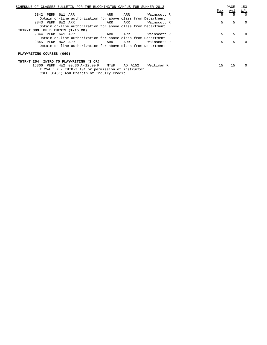| SCHEDULE OF CLASSES BULLETIN FOR THE BLOOMINGTON CAMPUS FOR SUMMER 2013 |     | PAGE | 153               |
|-------------------------------------------------------------------------|-----|------|-------------------|
|                                                                         | Max | Avl  | $\underline{W/L}$ |
| Wainscott R<br>9842 PERM 6W1 ARR<br>ARR<br>ARR                          | 5   | 5    | $\bigcap$         |
| Obtain on-line authorization for above class from Department            |     |      |                   |
| 9843 PERM 8W2 ARR<br>Wainscott R<br>ARR<br>ARR                          | 5   | 5    | $\Omega$          |
| Obtain on-line authorization for above class from Department            |     |      |                   |
| THTR-T 899 PH D THESIS (1-15 CR)                                        |     |      |                   |
| 9844 PERM 6W1 ARR<br>Wainscott R<br>ARR<br>ARR                          | 5   | 5    | $\Omega$          |
| Obtain on-line authorization for above class from Department            |     |      |                   |
| Wainscott R<br>9845 PERM 8W2 ARR<br>ARR<br>ARR                          | 5.  | 5    | $\Omega$          |
| Obtain on-line authorization for above class from Department            |     |      |                   |
| PLAYWRITING COURSES (060)                                               |     |      |                   |
| INTRO TO PLAYWRITING (3 CR)<br>THTR-T 254                               |     |      |                   |
| 15366 PERM 4W2 09:30 A-12:00 P<br>AD A152<br>Weitzman K<br>MTWR         | 15  | 15   | $\Omega$          |

T 254 : P - THTR-T 101 or permission of instructor

COLL (CASE) A&H Breadth of Inquiry credit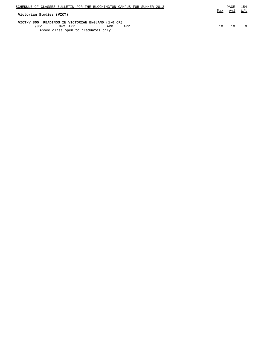| SCHEDULE OF CLASSES BULLETIN FOR THE BLOOMINGTON CAMPUS FOR SUMMER 2013                                                  | Max | PAGE | 154 |
|--------------------------------------------------------------------------------------------------------------------------|-----|------|-----|
| Victorian Studies (VICT)                                                                                                 |     | Avl  | W/L |
| VICT-V 805 READINGS IN VICTORIAN ENGLAND (1-6 CR)<br>9851<br>8W2 ARR<br>ARR<br>ARR<br>Above class open to graduates only | 1 N | 10   |     |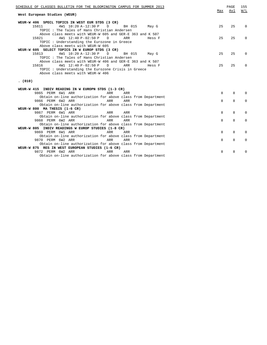| W/L<br>Avl<br>Max<br>West European Studies (WEUR)<br>WEUR-W 406 SPECL TOPICS IN WEST EUR STDS (3 CR)<br>15811<br>4W1 10:20 A-12:30 P<br>D<br>BH 015<br>25<br>25<br>$\Omega$<br>May G<br>TOPIC: The Tales of Hans Christian Andersen<br>Above class meets with WEUR-W 605 and GER-E 363 and K 507<br>4W1 12:40 P-02:50 P<br>25<br>25<br>15821<br>D<br>ARR<br>Hess F<br>$\Omega$<br>TOPIC: Understanding the Eurozone in Greece<br>Above class meets with WEUR-W 605<br>WEUR-W 605 SELECT TOPICS IN W EUROP STDS (3 CR)<br>15813<br>4W1 10:20 A-12:30 P<br>BH 015<br>25<br>25<br>$\mathbb{D}$<br>$\Omega$<br>May G<br>TOPIC: The Tales of Hans Christian Andersen<br>Above class meets with WEUR-W 406 and GER-E 363 and K 507<br>4W1 12:40 P-02:50 P<br>25<br>15816<br>$\mathbb{D}$<br>ARR<br>25<br>Hess F<br>$\Omega$<br>TOPIC: Understanding the Eurozone Crisis in Greece<br>Above class meets with WEUR-W 406<br>(010)<br>WEUR-W 415 INDIV READING IN W EUROPN STDS (1-3 CR)<br>9865 PERM 6W1 ARR<br>8<br>ARR<br>ARR<br>8<br>$\Omega$<br>Obtain on-line authorization for above class from Department<br>9866 PERM 6W2 ARR<br>8<br>8<br>ARR<br>$\Omega$<br>ARR<br>Obtain on-line authorization for above class from Department<br>WEUR-W 800 MA THESIS (1-6 CR)<br>9867 PERM 6W1 ARR<br>8<br>8<br>$\Omega$<br>ARR<br>ARR |
|-----------------------------------------------------------------------------------------------------------------------------------------------------------------------------------------------------------------------------------------------------------------------------------------------------------------------------------------------------------------------------------------------------------------------------------------------------------------------------------------------------------------------------------------------------------------------------------------------------------------------------------------------------------------------------------------------------------------------------------------------------------------------------------------------------------------------------------------------------------------------------------------------------------------------------------------------------------------------------------------------------------------------------------------------------------------------------------------------------------------------------------------------------------------------------------------------------------------------------------------------------------------------------------------------------------------------------|
|                                                                                                                                                                                                                                                                                                                                                                                                                                                                                                                                                                                                                                                                                                                                                                                                                                                                                                                                                                                                                                                                                                                                                                                                                                                                                                                             |
|                                                                                                                                                                                                                                                                                                                                                                                                                                                                                                                                                                                                                                                                                                                                                                                                                                                                                                                                                                                                                                                                                                                                                                                                                                                                                                                             |
|                                                                                                                                                                                                                                                                                                                                                                                                                                                                                                                                                                                                                                                                                                                                                                                                                                                                                                                                                                                                                                                                                                                                                                                                                                                                                                                             |
|                                                                                                                                                                                                                                                                                                                                                                                                                                                                                                                                                                                                                                                                                                                                                                                                                                                                                                                                                                                                                                                                                                                                                                                                                                                                                                                             |
|                                                                                                                                                                                                                                                                                                                                                                                                                                                                                                                                                                                                                                                                                                                                                                                                                                                                                                                                                                                                                                                                                                                                                                                                                                                                                                                             |
|                                                                                                                                                                                                                                                                                                                                                                                                                                                                                                                                                                                                                                                                                                                                                                                                                                                                                                                                                                                                                                                                                                                                                                                                                                                                                                                             |
|                                                                                                                                                                                                                                                                                                                                                                                                                                                                                                                                                                                                                                                                                                                                                                                                                                                                                                                                                                                                                                                                                                                                                                                                                                                                                                                             |
|                                                                                                                                                                                                                                                                                                                                                                                                                                                                                                                                                                                                                                                                                                                                                                                                                                                                                                                                                                                                                                                                                                                                                                                                                                                                                                                             |
|                                                                                                                                                                                                                                                                                                                                                                                                                                                                                                                                                                                                                                                                                                                                                                                                                                                                                                                                                                                                                                                                                                                                                                                                                                                                                                                             |
|                                                                                                                                                                                                                                                                                                                                                                                                                                                                                                                                                                                                                                                                                                                                                                                                                                                                                                                                                                                                                                                                                                                                                                                                                                                                                                                             |
|                                                                                                                                                                                                                                                                                                                                                                                                                                                                                                                                                                                                                                                                                                                                                                                                                                                                                                                                                                                                                                                                                                                                                                                                                                                                                                                             |
|                                                                                                                                                                                                                                                                                                                                                                                                                                                                                                                                                                                                                                                                                                                                                                                                                                                                                                                                                                                                                                                                                                                                                                                                                                                                                                                             |
|                                                                                                                                                                                                                                                                                                                                                                                                                                                                                                                                                                                                                                                                                                                                                                                                                                                                                                                                                                                                                                                                                                                                                                                                                                                                                                                             |
|                                                                                                                                                                                                                                                                                                                                                                                                                                                                                                                                                                                                                                                                                                                                                                                                                                                                                                                                                                                                                                                                                                                                                                                                                                                                                                                             |
|                                                                                                                                                                                                                                                                                                                                                                                                                                                                                                                                                                                                                                                                                                                                                                                                                                                                                                                                                                                                                                                                                                                                                                                                                                                                                                                             |
|                                                                                                                                                                                                                                                                                                                                                                                                                                                                                                                                                                                                                                                                                                                                                                                                                                                                                                                                                                                                                                                                                                                                                                                                                                                                                                                             |
|                                                                                                                                                                                                                                                                                                                                                                                                                                                                                                                                                                                                                                                                                                                                                                                                                                                                                                                                                                                                                                                                                                                                                                                                                                                                                                                             |
|                                                                                                                                                                                                                                                                                                                                                                                                                                                                                                                                                                                                                                                                                                                                                                                                                                                                                                                                                                                                                                                                                                                                                                                                                                                                                                                             |
|                                                                                                                                                                                                                                                                                                                                                                                                                                                                                                                                                                                                                                                                                                                                                                                                                                                                                                                                                                                                                                                                                                                                                                                                                                                                                                                             |
|                                                                                                                                                                                                                                                                                                                                                                                                                                                                                                                                                                                                                                                                                                                                                                                                                                                                                                                                                                                                                                                                                                                                                                                                                                                                                                                             |
|                                                                                                                                                                                                                                                                                                                                                                                                                                                                                                                                                                                                                                                                                                                                                                                                                                                                                                                                                                                                                                                                                                                                                                                                                                                                                                                             |
|                                                                                                                                                                                                                                                                                                                                                                                                                                                                                                                                                                                                                                                                                                                                                                                                                                                                                                                                                                                                                                                                                                                                                                                                                                                                                                                             |
|                                                                                                                                                                                                                                                                                                                                                                                                                                                                                                                                                                                                                                                                                                                                                                                                                                                                                                                                                                                                                                                                                                                                                                                                                                                                                                                             |
|                                                                                                                                                                                                                                                                                                                                                                                                                                                                                                                                                                                                                                                                                                                                                                                                                                                                                                                                                                                                                                                                                                                                                                                                                                                                                                                             |
|                                                                                                                                                                                                                                                                                                                                                                                                                                                                                                                                                                                                                                                                                                                                                                                                                                                                                                                                                                                                                                                                                                                                                                                                                                                                                                                             |
|                                                                                                                                                                                                                                                                                                                                                                                                                                                                                                                                                                                                                                                                                                                                                                                                                                                                                                                                                                                                                                                                                                                                                                                                                                                                                                                             |
| Obtain on-line authorization for above class from Department                                                                                                                                                                                                                                                                                                                                                                                                                                                                                                                                                                                                                                                                                                                                                                                                                                                                                                                                                                                                                                                                                                                                                                                                                                                                |
| 8<br>9868 PERM 6W2 ARR<br>ARR<br>8<br>$\Omega$<br>ARR                                                                                                                                                                                                                                                                                                                                                                                                                                                                                                                                                                                                                                                                                                                                                                                                                                                                                                                                                                                                                                                                                                                                                                                                                                                                       |
| Obtain on-line authorization for above class from Department                                                                                                                                                                                                                                                                                                                                                                                                                                                                                                                                                                                                                                                                                                                                                                                                                                                                                                                                                                                                                                                                                                                                                                                                                                                                |
| WEUR-W 805 INDIV READINGS W EUROP STUDIES (1-8 CR)                                                                                                                                                                                                                                                                                                                                                                                                                                                                                                                                                                                                                                                                                                                                                                                                                                                                                                                                                                                                                                                                                                                                                                                                                                                                          |
| 9869 PERM 6W1 ARR<br>8<br>ARR<br>ARR<br>8<br>$\Omega$                                                                                                                                                                                                                                                                                                                                                                                                                                                                                                                                                                                                                                                                                                                                                                                                                                                                                                                                                                                                                                                                                                                                                                                                                                                                       |
| Obtain on-line authorization for above class from Department                                                                                                                                                                                                                                                                                                                                                                                                                                                                                                                                                                                                                                                                                                                                                                                                                                                                                                                                                                                                                                                                                                                                                                                                                                                                |
|                                                                                                                                                                                                                                                                                                                                                                                                                                                                                                                                                                                                                                                                                                                                                                                                                                                                                                                                                                                                                                                                                                                                                                                                                                                                                                                             |
|                                                                                                                                                                                                                                                                                                                                                                                                                                                                                                                                                                                                                                                                                                                                                                                                                                                                                                                                                                                                                                                                                                                                                                                                                                                                                                                             |
| 9870 PERM 6W2 ARR<br>8<br>8<br>ARR<br>ARR<br>$\Omega$                                                                                                                                                                                                                                                                                                                                                                                                                                                                                                                                                                                                                                                                                                                                                                                                                                                                                                                                                                                                                                                                                                                                                                                                                                                                       |
| Obtain on-line authorization for above class from Department                                                                                                                                                                                                                                                                                                                                                                                                                                                                                                                                                                                                                                                                                                                                                                                                                                                                                                                                                                                                                                                                                                                                                                                                                                                                |
| WEUR-W 875 RES IN WEST EUROPEAN STUDIES (1-6 CR)                                                                                                                                                                                                                                                                                                                                                                                                                                                                                                                                                                                                                                                                                                                                                                                                                                                                                                                                                                                                                                                                                                                                                                                                                                                                            |
| 9872 PERM 6W2 ARR<br>ARR<br>8<br>ARR<br>8<br>$\Omega$<br>Obtain on-line authorization for above class from Department                                                                                                                                                                                                                                                                                                                                                                                                                                                                                                                                                                                                                                                                                                                                                                                                                                                                                                                                                                                                                                                                                                                                                                                                       |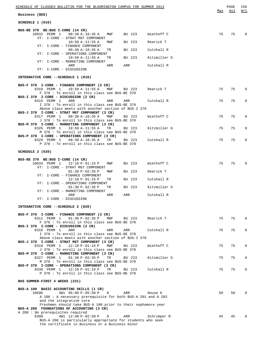|                                                                                                                          | Max | Avl | W/L          |
|--------------------------------------------------------------------------------------------------------------------------|-----|-----|--------------|
| Business (BUS)                                                                                                           |     |     |              |
| SCHEDULE 1 (010)                                                                                                         |     |     |              |
| BUS-BE 370 BE:BUS I-CORE (14 CR)                                                                                         |     |     |              |
| 10032 PERM 1<br>09:30 A-10:35 A<br>BU 223<br>Wiethoff C<br>MWF<br>VT: I-CORE - STRAT MGT COMPONENT                       | 75  | 75  | $\mathbf 0$  |
| $10:50 A-11:55 A$<br>BU 223<br>Rearick T<br>MWF<br>VT: I-CORE - FINANCE COMPONENT                                        |     |     |              |
| BU 223<br>Cutshall R<br>09:30 A-10:35 A<br>TR<br>VT: I-CORE - OPERATIONS COMPONENT                                       |     |     |              |
| $10:50 A-11:55 A$<br>BU 223<br>Kitzmiller G<br>TR                                                                        |     |     |              |
| VT: I-CORE - MARKETING COMPONENT<br>ARR<br>ARR<br>ARR<br>Cutshall R                                                      |     |     |              |
| VT: I-CORE - DISCUSSION                                                                                                  |     |     |              |
| INTEGRATIVE CORE --SCHEDULE 1 (010)                                                                                      |     |     |              |
| BUS-F 370 I-CORE - FINANCE COMPONENT (3 CR)<br>8310 PERM 1<br>$10:50 A-11:55 A$<br>MWF BU 223<br>Rearick T               | 75  | 75  | $\mathbf 0$  |
| F 370: To enroll in this class see BUS-BE 370<br>BUS-I 370 I-CORE - DISCUSSION (2 CR)                                    |     |     |              |
| 8315 PERM 1<br>ARR<br>Cutshall R<br>ARR<br>ARR                                                                           | 75  | 75  | 0            |
| I 370 : To enroll in this class see BUS-BE 370<br>Above class meets with another section of BUS-I 370                    |     |     |              |
| BUS-J 370 I-CORE - STRAT MGT COMPONENT (3 CR)                                                                            |     |     |              |
| 8317 PERM 1<br>09:30 A-10:35 A<br>MWF<br>BU 223<br>Wiethoff C<br>J 370 : To enroll in this class see BUS-BE 370          | 75  | 75  | $\mathbf 0$  |
| BUS-M 370 I-CORE - MARKETING COMPONENT (3 CR)<br>8326 PERM 1<br>10:50 A-11:55 A<br>Kitzmiller G<br>TR<br>BU 223          | 75  | 75  | 0            |
| M 370 : To enroll in this class see BUS-BE 370<br>BUS-P 370 I-CORE - OPERATIONS COMPONENT (3 CR)                         |     |     |              |
| 8329 PERM 1 09:30 A-10:35 A<br>Cutshall R<br>TR<br>BU 223<br>P 370 : To enroll in this class see BUS-BE 370              | 75  | 75  | $\mathbf 0$  |
|                                                                                                                          |     |     |              |
| SCHEDULE 2 (020)                                                                                                         |     |     |              |
| BUS-BE 370 BE:BUS I-CORE (14 CR)<br>10033 PERM 1<br>12:10 P-01:15 P<br>BU 223<br>Wiethoff C<br>MWF                       | 75  | 75  | $\Omega$     |
| VT: I-CORE - STRAT MGT COMPONENT                                                                                         |     |     |              |
| $01:30 P-02:35 P$<br>BU 223<br>Rearick T<br>MWF<br>VT: I-CORE - FINANCE COMPONENT                                        |     |     |              |
| BU 223<br>Cutshall R<br>12:10 P-01:15 P<br>TR<br>VT: I-CORE - OPERATIONS COMPONENT                                       |     |     |              |
| BU 223<br>Kitzmiller G<br>$01:30 P-02:35 P$<br>TR<br>VT: I-CORE - MARKETING COMPONENT                                    |     |     |              |
| Cutshall R<br>ARR<br>ARR<br>ARR<br>VT: I-CORE - DISCUSSION                                                               |     |     |              |
|                                                                                                                          |     |     |              |
| INTEGRATIVE CORE --SCHEDULE 2 (020)                                                                                      |     |     |              |
| BUS-F 370 I-CORE - FINANCE COMPONENT (3 CR)<br>$01:30 P-02:35 P$<br>8311 PERM 1<br>MWF<br>BU 223<br>Rearick T            | 75  | 75  | $\mathbf 0$  |
| F 370 : To enroll in this class see BUS-BE 370                                                                           |     |     |              |
| BUS-I 370 I-CORE - DISCUSSION (2 CR)<br>8316 PERM 1<br>Cutshall R<br>ARR<br>ARR<br>ARR                                   | 75  | 75  | $\mathbf{0}$ |
| I 370: To enroll in this class see BUS-BE 370<br>Above class meets with another section of BUS-I 370                     |     |     |              |
| BUS-J 370 I-CORE - STRAT MGT COMPONENT (3 CR)                                                                            |     |     |              |
| 8318 PERM 1<br>12:10 P-01:15 P<br>MWF<br>BU 223<br>Wiethoff C<br>J 370: To enroll in this class see BUS-BE 370           | 75  | 75  | $\mathbf 0$  |
| BUS-M 370 I-CORE - MARKETING COMPONENT (3 CR)<br>8327 PERM 1<br>$01:30$ P-02:35 P<br>Kitzmiller G<br>TR                  | 75  | 75  | $\mathbf 0$  |
| BU 223<br>M 370 : To enroll in this class see BUS-BE 370                                                                 |     |     |              |
| BUS-P 370 I-CORE - OPERATIONS COMPONENT (3 CR)<br>8330 PERM 1<br>12:10 P-01:15 P<br>TR<br>BU 223<br>Cutshall R           | 75  | 75  | $\Omega$     |
| P 370: To enroll in this class see BUS-BE 370                                                                            |     |     |              |
| BUS SUMMER-FIRST 4 WEEKS (231)                                                                                           |     |     |              |
| BUS-A 100 BASIC ACCOUNTING SKILLS (1 CR)                                                                                 |     |     |              |
| 4W1 05:00 P-05:50 P<br>10696<br>$\Box$<br>ARR<br>House K<br>A 100: A necessary prerequisite for both BUS-A 201 and A 202 | 50  | 50  | $\Omega$     |
| and the integrative core<br>Freshmen should take BUS-A 100 prior to their sophomore year                                 |     |     |              |
| BUS-A 200 FOUNDATIONS OF ACCOUNTING (3 CR)                                                                               |     |     |              |
| A 200: No prerequisites required<br>4W1 12:40 P-02:50 P<br>8300<br>ARR<br>Schrimper R<br>$\Box$                          | 45  | 45  | $\Omega$     |
| BUS-A 200 is particularly appropriate for students who seek<br>the certificate in Business or a Business minor           |     |     |              |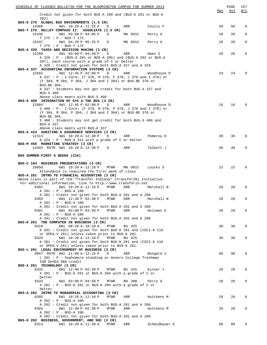| SCHEDULE OF CLASSES BULLETIN FOR THE BLOOMINGTON CAMPUS FOR SUMMER 2013                                                   |     | PAGE | 157          |
|---------------------------------------------------------------------------------------------------------------------------|-----|------|--------------|
| Credit not given for both BUS-A 200 and (BUS-A 201 or BUS-A                                                               | Max | Avl  | <u>W/L</u>   |
| 202)                                                                                                                      |     |      |              |
| BUS-D 270 GLOBAL BUS ENVIRONMENTS (1.5 CR)                                                                                |     |      |              |
| 14388<br>4W1 10:20 A-11:25 A<br>Coulis P<br>ARR<br>D<br>BUS-T 275 KELLEY COMPASS II: ASSOCIATE (1.5 CR)                   | 50  | 50   | 0            |
| 15436<br>4W1 03:00 P-04:05 P<br>MN 001C<br>D<br>Perry A                                                                   | 20  | 20   | $\mathbf{0}$ |
| $T$ 275 : P - BUS-T 175                                                                                                   |     |      |              |
| 15437<br>4W1 04:20 P-05:25 P<br>MN 001C<br>Perry A<br>D<br>T 275 : P - BUS-T 175                                          | 20  | 20   | $\mathbf{0}$ |
| BUS-A 329 TAXES AND DECISION MAKING (3 CR)                                                                                |     |      |              |
| 4W1 03:00 P-04:50 P<br>12399<br>ARR<br>Owen S<br>D                                                                        | 20  | 20   | $\mathbf{0}$ |
| A 329 : P - (BUS-A 201 or BUS-A 205) and (BUS-A 202 or BUS-A<br>207), each course with a grade of C or better             |     |      |              |
| A 329 : Credit not given for both BUS-A 327 and A 329                                                                     |     |      |              |
| BUS-A 337 ACCOUNTING INFORMATION SYSTEMS (3 CR)                                                                           |     |      |              |
| 12682<br>4W1 12:45 P-02:00 P<br>ARR<br>Woodhouse D<br>D<br>A 337 : P - I-Core; (F 370, M 370, P 370, J 370 and I 370) or  | 24  | 24   | $\Omega$     |
| (F 304, M 304, P 304, J 304 and I 304) or BUS-BE 370 or                                                                   |     |      |              |
| BUS-BE 304.                                                                                                               |     |      |              |
| A 337 : Students may not get credit for both BUS-A 337 and<br><b>BUS-S 400</b>                                            |     |      |              |
| Above class meets with BUS-S 400                                                                                          |     |      |              |
| BUS-S 400 INTEGRATION OF SYS & THE BUS (3 CR)                                                                             |     |      |              |
| 12684<br>4W1 12:45 P-02:00 P<br>Woodhouse D<br>D<br>ARR<br>S 400 : P - I-Core; (F 370, M 370, P 370, J 370 and I 370) or  | 16  | 16   | $\Omega$     |
| (F 304, M 304, P 304, J 304 and I 304) or BUS-BE 370 or                                                                   |     |      |              |
| BUS-BE 304.                                                                                                               |     |      |              |
| S 400 : Students may not get credit for both BUS-S 400 and<br>BUS-A 337                                                   |     |      |              |
| Above class meets with BUS-A 337                                                                                          |     |      |              |
| BUS-A 424 AUDITING & ASSURANCE SERVICES (3 CR)                                                                            |     |      |              |
| 12313<br>4W1 10:20 A-12:30 P<br>D<br>ARR<br>Pomeroy D<br>$A$ 424 : P - BUS-A 312 with a grade of C or better              | 30  | 30   | $\mathbf{0}$ |
| BUS-M 450 MARKETING STRATEGY (3 CR)                                                                                       |     |      |              |
| 14403 RSTR 4W1 10:20 A-12:30 P<br>Talbott J<br>ARR<br>D                                                                   | 40  | 40   | $\Omega$     |
| BUS SUMMER-FIRST 6 WEEKS (234)                                                                                            |     |      |              |
|                                                                                                                           |     |      |              |
| BUS-C 104 BUSINESS PRESENTATIONS (3 CR)<br>10850<br>6W1 10:20 A-12:10 P<br>MTWR<br>MN 001C<br>Loucks S                    | 22  | 22   | $\Omega$     |
| Attendance is required the first week of class                                                                            |     |      |              |
| BUS-A 201 INTRO TO FINANCIAL ACCOUNTING (3 CR)                                                                            |     |      |              |
| Above class is part of the "Transfer Indiana" (transferIN) Initiative.                                                    |     |      |              |
| For additional information, link to http://www.transferin.net<br>8302<br>6W1 10:20 A-12:10 P<br>MTWR<br>ARR<br>Marshall N | 20  | 20   | $\mathbf{0}$ |
| A 201 : P - BUS-A 100                                                                                                     |     |      |              |
| A 201 : Credit not given for both BUS-A 201 and A 200                                                                     |     |      |              |
| 8303 6W1 12:40 P-02:30 P MTWR ARR Marshall N<br>A 201 : P - BUS-A 100                                                     | 20  | 20   |              |
| A 201 : Credit not given for both BUS-A 201 and A 200                                                                     |     |      |              |
| 8301<br>6W1 03:00 P-04:50 P<br>MTWR<br>ARR<br>Holzman E                                                                   | 20  | 20   | 0            |
| A 201 : P - BUS-A 100<br>A 201: Credit not given for both BUS-A 201 and A 200                                             |     |      |              |
| BUS-K 201 THE COMPUTER IN BUSINESS (3 CR)                                                                                 |     |      |              |
| 8319<br>6W1 08:20 A-10:10 A<br>MTWR<br>BU 425                                                                             | 30  | 30   | 0            |
| K 201 : Credit not given for both BUS-K 201 and (CSCI-A 110<br>or SPEA-V 261) unless taken prior to BUS-K 201.            |     |      |              |
| 8320<br>6W1 10:20 A-12:10 P<br>MTWR<br>BU 425                                                                             | 30  | 30   | 0            |
| K 201 : Credit not given for both BUS-K 201 and (CSCI-A 110                                                               |     |      |              |
| or SPEA-V 261) unless taken prior to BUS-K 201.<br>BUS-L 201 LEGAL ENVIRONMENT OF BUSINESS (3 CR)                         |     |      |              |
| 9967 RSTR 6W1 11:00 A-12:15 P<br>ARR<br>D<br>Bongard V                                                                    | 90  | 90   | 0            |
| L 201 : P - Sophomore standing or Honors College freshman                                                                 |     |      |              |
| IUB GenEd S&H credit<br>BUS-X 201 TECHNOLOGY (3 CR)                                                                       |     |      |              |
| 8332<br>6W1 12:40 P-02:30 P<br>MTWR<br>BU 425<br>Kinser J                                                                 | 20  | 20   | 0            |
| $X$ 201 : P - BUS-K 201 or BUS-K 204 with a grade of C or                                                                 |     |      |              |
| better<br>8333<br>6W1 03:00 P-04:50 P<br>MTWR<br>BH 308<br>Perry A                                                        | 20  | 20   | $\mathbf{0}$ |
| $X$ 201 : P - BUS-K 201 or BUS-K 204 with a grade of C or                                                                 |     |      |              |
| better                                                                                                                    |     |      |              |
| BUS-A 202 INTRO TO MANAGERIAL ACCOUNTING (3 CR)<br>8305<br>6W1 10:20 A-12:10 P<br>MTWR<br>ARR<br>Hutchens M               | 20  | 20   | 0            |
| A 202 : P - BUS-A 100                                                                                                     |     |      |              |
| A 202: Credit not given for both BUS-A 201 and A 200<br>8304<br>6W1 12:40 P-02:30 P<br>MTWR                               | 20  | 20   | 0            |
| ARR<br>Hutchens M<br>A 202 : P - BUS-A 100                                                                                |     |      |              |
| A 202: Credit not given for both BUS-A 201 and A 200                                                                      |     |      |              |
| BUS-G 202 BUSINESS, GOVERNMENT, AND SOC (2 CR)<br>8314<br>6W1 10:20 A-11:30 A<br>ARR<br>Schmidbauer E<br>MTWR             | 80  | 80   | 0            |
|                                                                                                                           |     |      |              |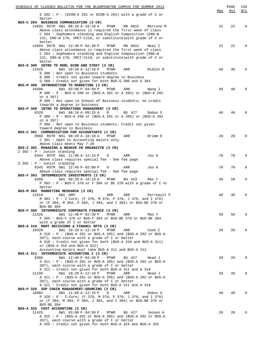| SCHEDULE OF CLASSES BULLETIN FOR THE BLOOMINGTON CAMPUS FOR SUMMER 2013                                                      |     | PAGE | 158         |
|------------------------------------------------------------------------------------------------------------------------------|-----|------|-------------|
| $G$ 202: P - (ECON-E 201 or ECON-S 201) with a grade of C or                                                                 | Max | Avl  | W/L         |
| better                                                                                                                       |     |      |             |
| BUS-C 204 BUSINESS COMMUNICATION (3 CR)                                                                                      |     |      |             |
| 14893 RSTR 6W1 08:20 A-10:10 A<br>MTWR<br>MN 001C<br>Morrone M                                                               | 22  | 22   | $\mathbf 0$ |
| Above class attendance is required the first week of class<br>C 204 : Sophomore standing and English Composition (ENG-W      |     |      |             |
| 131, ENG-W 170, CMCT-C110, or substitute) with grade of C or                                                                 |     |      |             |
| better                                                                                                                       |     |      |             |
| 14894 RSTR 6W1 12:40 P-02:30 P<br>MTWR<br>MN 001C<br>Neal C                                                                  | 22  | 22   | $\Omega$    |
| Above class attendance is required the first week of class                                                                   |     |      |             |
| C 204 : Sophomore standing and English Composition (ENG-W<br>131, ENG-W 170, CMCT-C110, or substitute) with grade of C or    |     |      |             |
| better                                                                                                                       |     |      |             |
| BUS-G 300 INTRO TO MGRL ECON AND STRAT (3 CR)                                                                                |     |      |             |
| 12429<br>6W1 10:20 A-12:10 P<br>MTWR<br>ARR<br>Ridlon R                                                                      | 40  | 40   | $\Omega$    |
| G 300 : Not open to Business students                                                                                        |     |      |             |
| G 300 : Credit not given toward degree in Business<br>G 300: Credit not given for both BUS-G 300 and G 304                   |     |      |             |
| BUS-M 300 INTRODUCTION TO MARKETING (3 CR)                                                                                   |     |      |             |
| 6W1 03:00 P-04:50 P<br><b>MTWR</b><br>10300<br>ARR<br>Wang J                                                                 | 48  | 48   | $\Omega$    |
| M 300 : P - BUS-A 200 or (BUS-A 201 or A 205) or (BUS-A 202                                                                  |     |      |             |
| or A 207)<br>M 300: Not open to School of Business students; no credit                                                       |     |      |             |
| towards a degree in business                                                                                                 |     |      |             |
| BUS-P 300 INTRO TO OPERATIONS MANAGEMENT (3 CR)                                                                              |     |      |             |
| 6W1 08:10 A-09:25 A<br>8328<br>D<br>BU 427<br>Dobos S                                                                        | 40  | 40   | $\Omega$    |
| P 300: P - BUS-A 200 or (BUS-A 201 or A 205) or (BUS-A 202                                                                   |     |      |             |
| or A 207)<br>P 300: Not open to Business students. Credit not given                                                          |     |      |             |
| toward degree in Business                                                                                                    |     |      |             |
| BUS-C 301 COMMUNICATION FOR ACCOUNTANTS (1 CR)                                                                               |     |      |             |
| 9968 RSTR NS1 08:20 A-10:10 A<br>MTWR<br>ARR<br>Brimm D                                                                      | 28  | 28   | $\mathbf 0$ |
| $C$ 301 : Open to Accounting majors only                                                                                     |     |      |             |
| Above class meets May 7-20<br>BUS-Z 302 MANAGING & BEHAVR IN ORGANIZTN (3 CR)                                                |     |      |             |
| $Z$ 302 : P - Junior standing                                                                                                |     |      |             |
| 8344 RSTR 6W1 11:00 A-12:15 P<br>Joo H<br>D<br>ARR                                                                           | 70  | 70   | 0           |
| Above class requires special fee - See fee page                                                                              |     |      |             |
| $Z$ 302 : P - Junior standing                                                                                                |     |      |             |
| 8345 RSTR 6W1 12:45 P-02:00 P<br>ARR<br>Joo H<br>D<br>Above class requires special fee - See fee page                        | 70  | 70   | $\mathbf 0$ |
| BUS-F 303 INTERMEDIATE INVESTMENTS (3 CR)                                                                                    |     |      |             |
| 8309<br>6W1 08:20 A-10:10 A<br>MTWR<br>BU 423<br>Mao Y                                                                       | 50  | 50   | $\mathbf 0$ |
| F 303 : P - BUS-F 370 or F 304 or BE 370 with a grade of C or                                                                |     |      |             |
| better                                                                                                                       |     |      |             |
| BUS-M 303 MARKETING RESEARCH (3 CR)<br>11019<br>6W1 ARR<br>ARR<br>ARR<br>Perreault P                                         | 40  | 40   | $\mathbf 0$ |
| M 303 : P - I Core; (F 370, M 370, P 370, J 370, and I 370)                                                                  |     |      |             |
| or (F 304, M 304, P 304, J 304, and I 304) or BUS-BE 370 or                                                                  |     |      |             |
| BUS-BE 304                                                                                                                   |     |      |             |
| BUS-F 305 INTERMEDIATE CORPORATE FINANCE (3 CR)                                                                              |     |      |             |
| 6W1 12:40 P-02:30 P<br>11426<br>MTWR<br>ARR<br>Mao Y<br>F 305 : BUS-F 370 or BUS-F 304 or BUS-BE 370 or BUS-BE 304           | 50  | 50   | $\Omega$    |
| with a grade of C or better                                                                                                  |     |      |             |
| BUS-A 310 MGMT DECISIONS & FINANCL RPTG (3 CR)                                                                               |     |      |             |
| 10320<br>6W1 10:20 A-12:10 P<br>MTWR<br>ARR<br>Cook C                                                                        | 20  | 20   | 0           |
| A 310: $P - (BUS-A 201 or BUS-A 205)$ and (BUS-A 202 or BUS-A                                                                |     |      |             |
| 207), each course with a grade of C or better<br>A 310: Credit not given for both (BUS-A 310 and BUS-A 311)                  |     |      |             |
| or (BUS-A 310 and BUS-A 312)                                                                                                 |     |      |             |
| Accounting majors must take BUS-A 311 and BUS-A 312                                                                          |     |      |             |
| BUS-A 311 INTERMEDIATE ACCOUNTING I (3 CR)                                                                                   |     |      |             |
| 8306<br>MTWR<br>6W1 12:40 P-02:30 P<br>BU 427<br>Head J                                                                      | 20  | 20   | 0           |
| A 311 : $P - (BUS-A 201 or BUS-A 205)$ and (BUS-A 202 or BUS-A<br>207), each course with a grade of C or better              |     |      |             |
| A 311: Credit not given for both BUS-A 311 and A 310                                                                         |     |      |             |
| 6W1 10:20 A-12:10 P<br>MTWR<br>ARR<br>11195<br>Head J                                                                        | 20  | 20   | 0           |
| A 311 : $P - (BUS-A 201 or BUS-A 205)$ and (BUS-A 202 or BUS-A                                                               |     |      |             |
| 207), each course with a grade of C or better                                                                                |     |      |             |
| A 311 : Credit not given for both BUS-A 311 and A 310                                                                        |     |      |             |
| BUS-P 320 SUP CHAIN MANAGEMENT: SOURCING (3 CR)<br>10903<br>6W1 11:00 A-12:15 P<br>ARR<br>D<br>Dobos S                       | 40  | 40   | 0           |
| P 320: P - I-Core; (F 370, M 370, P 370, J 370, and I 370)                                                                   |     |      |             |
| or (F 304, M 304, P 304, J 304, and I 304) or BUS-BE 370 or                                                                  |     |      |             |
| BUS-BE 304                                                                                                                   |     |      |             |
| BUS-A 325 COST ACCOUNTING (3 CR)                                                                                             |     |      |             |
| 11425<br>$6W1$ 03:00 P-04:50 P<br>MTWR<br>BU 427<br>Jensen A<br>A 325 : P - (BUS-A 201 or BUS-A 205) and (BUS-A 202 or BUS-A | 20  | 20   | 0           |
| 207), each course with a grade of C or better                                                                                |     |      |             |
| A 325: Credit not given for both BUS-A 324 and BUS-A 325                                                                     |     |      |             |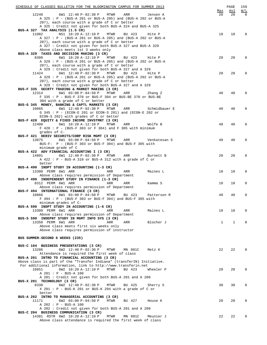| SCHEDULE OF CLASSES BULLETIN FOR THE BLOOMINGTON CAMPUS FOR SUMMER 2013                                                      |              | PAGE         | 159             |
|------------------------------------------------------------------------------------------------------------------------------|--------------|--------------|-----------------|
| 6W1 12:40 P-02:30 P MTWR<br>ARR<br>12240<br>Jensen A                                                                         | Max<br>20    | Avl<br>20    | W/L<br>$\Omega$ |
| A 325 : P - (BUS-A 201 or BUS-A 205) and (BUS-A 202 or BUS-A                                                                 |              |              |                 |
| 207), each course with a grade of C or better                                                                                |              |              |                 |
| A 325 : Credit not given for both BUS-A 324 and BUS-A 325                                                                    |              |              |                 |
| BUS-A 327 TAX ANALYSIS (1.5 CR)<br>NS1 10:20 A-12:10 P<br>11082<br>MTWR<br>BU 423<br>Hite P                                  | 10           | 10           | $\Omega$        |
| A 327 : P - (BUS-A 201 or BUS-A 205) and (BUS-A 202 or BUS-A                                                                 |              |              |                 |
| 207), each course with a grade of C or better                                                                                |              |              |                 |
| A 327 : Credit not given for both BUS-A 327 and BUS-A 329                                                                    |              |              |                 |
| Above class meets 1st 3 weeks only<br>BUS-A 329 TAXES AND DECISION MAKING (3 CR)                                             |              |              |                 |
| 6W1 10:20 A-12:10 P<br>MTWR<br>8308<br>BU 423<br>Hite P                                                                      | 20           | 20           | $\Omega$        |
| A 329 : P - (BUS-A 201 or BUS-A 205) and (BUS-A 202 or BUS-A                                                                 |              |              |                 |
| 207), each course with a grade of C or better<br>A 329 : Credit not given for both BUS-A 327 and A 329                       |              |              |                 |
| 6W1 12:40 P-02:30 P<br>MTWR<br>BU 423<br>11424<br>Hite P                                                                     | 20           | 20           | 0               |
| A 329 : P - (BUS-A 201 or BUS-A 205) and (BUS-A 202 or BUS-A                                                                 |              |              |                 |
| 207), each course with a grade of C or better                                                                                |              |              |                 |
| A 329 : Credit not given for both BUS-A 327 and A 329<br>BUS-F 335 SECRTY TRADING & MARKET MAKING (3 CR)                     |              |              |                 |
| 12314<br>6W1 03:00 P-04:50 P MTWR<br>ARR<br>Zhang Z                                                                          | 40           | 40           | $\mathbf 0$     |
| F 335 : P - BUS-F 370 or BUS-F 304 or BUS-BE 370 or BUS-BE                                                                   |              |              |                 |
| 304 with a grade of C or better                                                                                              |              |              |                 |
| BUS-G 345 MONEY, BANKING & CAPTL MARKETS (3 CR)<br>6W1 12:40 P-02:30 P MTWR<br>10865<br>ARR<br>Schmidbauer E                 | 40           | 40           | $\mathbf 0$     |
| G 345 : P - (ECON-E 201 or ECON-S 201) and (ECON-E 202 or                                                                    |              |              |                 |
| ECON-S 202) with grades of C or better                                                                                       |              |              |                 |
| BUS-F 420 EQUITY & FIXED INCOME INVSTMNT (3 CR)<br>12400                                                                     |              |              |                 |
| 6W1 10:20 A-12:10 P MTWR<br>ARR<br>Wolfe B<br>F 420: P - (BUS-F 303 or F 304) and F 305 with minimum                         | 40           | 40           | $\mathbf 0$     |
| grades of C-                                                                                                                 |              |              |                 |
| BUS-F 421 DERIV SECURITS/CORP RISK MGMT (3 CR)                                                                               |              |              |                 |
| 6W1 03:00 P-04:50 P MTWR<br>13075<br>ARR<br>Venkatesan S<br>BUS-F: P - (BUS-F 303 or BUS-F 304) and BUS-F 305 with           | 40           | 40           | $\mathbf 0$     |
| minimum grade of C                                                                                                           |              |              |                 |
| BUS-A 422 ADV FINANCIAL ACCOUNTING I (3 CR)                                                                                  |              |              |                 |
| 6W1 12:40 P-02:30 P MTWR<br>14891<br>ARR<br>Burnett B                                                                        | 20           | 20           | $\mathbf 0$     |
| A $422 : P - BUS-A 310$ or BUS-A 312 with a grade of C or<br>better                                                          |              |              |                 |
| BUS-A 490 INDPT STUDY IN ACCOUNTING (1-3 CR)                                                                                 |              |              |                 |
| 13308 PERM 6W1 ARR<br>ARR<br>ARR<br>Maines L                                                                                 | 10           | 10           | 0               |
| Above class requires permission of Department<br>BUS-F 490 INDEPENDENT STUDY IN FINANCE (1-3 CR)                             |              |              |                 |
| 8312 PERM 6W1 ARR<br>ARR<br>ARR<br>Kamma S                                                                                   | 10           | 10           | 0               |
| Above class requires permission of Department                                                                                |              |              |                 |
| BUS-F 494 INTERNATIONAL FINANCE (3 CR)<br>10866                                                                              |              |              |                 |
| 6W1 03:00 P-04:50 P MTWR<br>BU 423<br>Patterson R<br>F 494 : P - (BUS-F 303 or BUS-F 304) and BUS-F 305 with                 | 40           | 40           | 0               |
| minimum grades of C-                                                                                                         |              |              |                 |
| BUS-A 590 INDPT STUDY IN ACCOUNTING (1-6 CR)                                                                                 |              |              |                 |
| 13309 PERM 6W1 ARR<br>ARR<br>ARR<br>Maines L<br>Above class requires permission of Department                                | 10           | 10           | $\mathbf 0$     |
| BUS-S 590 INDEPNT STUDY IN MGMT INFO SYS (3 CR)                                                                              |              |              |                 |
| 13350 PERM 6W1 ARR<br>ARR<br>ARR<br>Blocher J                                                                                | $\mathbf{1}$ | $\mathbf{1}$ | $\mathbf 0$     |
| Above class meets first six weeks only                                                                                       |              |              |                 |
| Above class requires permission of instructor                                                                                |              |              |                 |
| BUS SUMMER-SECOND 6 WEEKS (235)                                                                                              |              |              |                 |
|                                                                                                                              |              |              |                 |
| BUS-C 104 BUSINESS PRESENTATIONS (3 CR)<br>13286<br>6W2 12:40 P-02:30 P<br>MTWR<br>MN 001C<br>Metz K                         | 22           | 22           | $\Omega$        |
| Attendance is required the first week of class                                                                               |              |              |                 |
| BUS-A 201 INTRO TO FINANCIAL ACCOUNTING (3 CR)                                                                               |              |              |                 |
| Above class is part of the "Transfer Indiana" (transferIN) Initiative.                                                       |              |              |                 |
| For additional information, link to http://www.transferin.net<br>10851<br>6W2 10:20 A-12:10 P<br>MTWR<br>BU 423<br>Wheeler P | 20           | 20           | $\mathbf 0$     |
| A 201 : P - BUS-A 100                                                                                                        |              |              |                 |
| A 201 : Credit not given for both BUS-A 201 and A 200                                                                        |              |              |                 |
| BUS-X 201 TECHNOLOGY (3 CR)<br>8338                                                                                          | 30           | 30           | 0               |
| 6W2 12:40 P-02:30 P<br>MTWR<br>BU 425<br>Sherry S<br>$X$ 201 : P - BUS-K 201 or BUS-K 204 with a grade of C or               |              |              |                 |
| better                                                                                                                       |              |              |                 |
| BUS-A 202 INTRO TO MANAGERIAL ACCOUNTING (3 CR)                                                                              |              |              |                 |
| 11171<br>6W2 03:00 P-04:50 P<br>MTWR<br>BU 427<br>House K<br>A 202 : P - BUS-A 100                                           | 20           | 20           | $\mathbf 0$     |
| A 202 : Credit not given for both BUS-A 201 and A 200                                                                        |              |              |                 |
| BUS-C 204 BUSINESS COMMUNICATION (3 CR)                                                                                      |              |              |                 |
| 14381 RSTR 6W2 10:20 A-12:10 P<br>MTWR<br>MN 001C<br>Meunier J                                                               | 22           | 22           | $\Omega$        |
| Above class attendance is required the first week of class                                                                   |              |              |                 |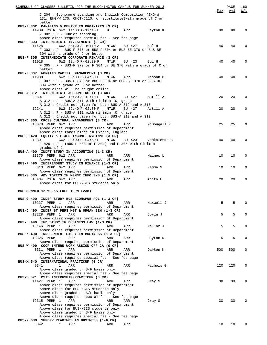| SCHEDULE OF CLASSES BULLETIN FOR THE BLOOMINGTON CAMPUS FOR SUMMER 2013 |              |     | PAGE | 160          |
|-------------------------------------------------------------------------|--------------|-----|------|--------------|
|                                                                         |              | Max | Avl  | W/L          |
| C 204 : Sophomore standing and English Composition (ENG-W               |              |     |      |              |
| 131, ENG-W 170, CMCT-C110, or substitute) with grade of C or            |              |     |      |              |
| better                                                                  |              |     |      |              |
| BUS-Z 302 MANAGING & BEHAVR IN ORGANIZTN (3 CR)                         |              |     |      |              |
| 11989 RSTR 6W2 11:00 A-12:15 P<br>D ARR Dayton K                        |              | 80  | 80   | 0            |
| $Z$ 302 : P - Junior standing                                           |              |     |      |              |
| Above class requires special fee - See fee page                         |              |     |      |              |
| BUS-F 303 INTERMEDIATE INVESTMENTS (3 CR)                               |              |     |      |              |
| 6W2 08:20 A-10:10 A<br>MTWR<br>11428<br>BU 427                          | Sul H        | 40  | 40   | 0            |
|                                                                         |              |     |      |              |
| F 303 : P - BUS-F 370 or BUS-F 304 or BUS-BE 370 or BUS-BE              |              |     |      |              |
| 304 with a grade of C or better                                         |              |     |      |              |
| BUS-F 305 INTERMEDIATE CORPORATE FINANCE (3 CR)                         |              |     |      |              |
| 6W2 12:40 P-02:30 P<br>MTWR<br>11018<br>BU 423                          | Sul H        | 40  | 40   | 0            |
| F 305 : P - BUS-F 370 or F 304 or BE 370 with a grade of C or           |              |     |      |              |
| better                                                                  |              |     |      |              |
| BUS-F 307 WORKING CAPITAL MANAGEMENT (3 CR)                             |              |     |      |              |
| 6W2 03:00 P-04:50 P<br>11988<br>MTWR<br>ARR                             | Masson D     | 40  | 40   | 0            |
| F 307 : P - BUS-F 370 or BUS-F 304 or BUS-BE 370 or BUS-BE              |              |     |      |              |
| 304 with a grade of C or better                                         |              |     |      |              |
| Above class will be taught online                                       |              |     |      |              |
| BUS-A 312 INTERMEDIATE ACCOUNTING II (3 CR)                             |              |     |      |              |
|                                                                         |              |     |      | $\Omega$     |
| 8307<br>6W2 10:20 A-12:10 P<br>MTWR<br>BU 427 Astill A                  |              | 20  | 20   |              |
| A 312 : P - BUS-A 311 with minimum 'C' grade                            |              |     |      |              |
| A 312 : Credit not given for both BUS-A 312 and A 310                   |              |     |      |              |
| 12241<br>6W2 12:40 P-02:30 P<br>MTWR<br>BU 427                          | Astill A     | 20  | 20   | 0            |
| $A$ 312 : P - BUS-A 311 with minimum 'C' grade                          |              |     |      |              |
| A 312: Credit not given for both BUS-A 312 and A 310                    |              |     |      |              |
| BUS-D 365 CROSS CULTURAL MANAGEMENT (3 CR)                              |              |     |      |              |
| 13078 PERM 6W2 ARR<br>ARR<br>ARR                                        | McDougall P  | 25  | 25   | 0            |
| Above class requires permission of Department                           |              |     |      |              |
| Above class takes place in Oxford, England                              |              |     |      |              |
|                                                                         |              |     |      |              |
| BUS-F 420 EQUITY & FIXED INCOME INVSTMNT (3 CR)                         |              |     |      |              |
| 10301<br>6W2 03:00 P-04:50 P<br>MTWR<br>BU 423                          | Venkatesan S | 40  | 40   | 0            |
| $F$ 420 : P - (BUS-F 303 or F 304) and F 305 with minimum               |              |     |      |              |
| grades of C-                                                            |              |     |      |              |
| BUS-A 490 INDPT STUDY IN ACCOUNTING (1-3 CR)                            |              |     |      |              |
| 13375 PERM 6W2 ARR<br>ARR<br>ARR                                        | Maines L     | 10  | 10   | 0            |
| Above class requires permission of Department                           |              |     |      |              |
| BUS-F 490 INDEPENDENT STUDY IN FINANCE (1-3 CR)                         |              |     |      |              |
| 8313 PERM 6W2 ARR<br>ARR<br>ARR                                         | Kamma S      | 10  | 10   | 0            |
| Above class requires permission of Department                           |              |     |      |              |
| BUS-S 535 ADV TOPICS IN MGMNT INFO SYS (1.5 CR)                         |              |     |      |              |
|                                                                         |              |     |      |              |
| 15434 RSTR 6W2 ARR<br>ARR<br>ARR                                        | Acito F      | 20  | 20   | $\Omega$     |
| Above class for BUS-MSIS students only                                  |              |     |      |              |
|                                                                         |              |     |      |              |
| BUS SUMMER-12 WEEKS-FULL TERM (238)                                     |              |     |      |              |
|                                                                         |              |     |      |              |
| BUS-G 490 INDEP STUDY BUS ECON&PUB POL (1-3 CR)                         |              |     |      |              |
| 13227 PERM 1<br>ARR<br>ARR<br>ARR                                       | Maxwell J    | 5   | 5    | 0            |
| Above class requires permission of Department                           |              |     |      |              |
| BUS-J 490 INDEP ST PERS MGT & ORGAN BEH (1-3 CR)                        |              |     |      |              |
| 13228 PERM 1<br>ARR<br>ARR<br>ARR                                       | Covin J      | 5   | 5    | $\Omega$     |
| Above class requires permission of Department                           |              |     |      |              |
|                                                                         |              |     |      |              |
| BUS-L 490 IND STUDY IN BUSINESS LAW (1-3 CR)                            |              |     |      |              |
| 13146 PERM 1<br>ARR<br>ARR<br>ARR                                       | Mallor J     | 5   | 5    | 0            |
| Above class requires permission of Department                           |              |     |      |              |
| BUS-X 490 INDEPENDENT STUDY IN BUSINESS (1-3 CR)                        |              |     |      |              |
| 13325 PERM 1<br>ARR<br>ARR<br>ARR                                       | Dayton K     | 5   | 5    | $\Omega$     |
| Above class requires permission of Department                           |              |     |      |              |
| BUS-W 499 COOP-INTERN WORK ASSIGN-OFF-CA (0 CR)                         |              |     |      |              |
| 8331 PERM 1<br>ARR<br>ARR<br>ARR                                        | Dayton K     | 500 | 500  | $\Omega$     |
| Above class requires permission of Department                           |              |     |      |              |
| Above class requires special fee - See fee page                         |              |     |      |              |
| BUS-X 540 INTERNATIONAL PRACTICUM (0 CR)                                |              |     |      |              |
| 8341<br>1<br>ARR                                                        | Nichols G    | 120 | 120  | $\Omega$     |
| ARR<br>ARR                                                              |              |     |      |              |
| Above class graded on S/F basis only                                    |              |     |      |              |
| Above class requires special fee - See fee page                         |              |     |      |              |
| BUS-S 571 MSIS INTERNSHIP/PRACTICUM (0 CR)                              |              |     |      |              |
| 11427 PERM 1<br>ARR<br>ARR<br>ARR                                       | Gray S       | 30  | 30   | <sup>n</sup> |
| Above class requires permission of Department                           |              |     |      |              |
| Above class for BUS MSIS students only                                  |              |     |      |              |
| Above class graded on S/F basis only                                    |              |     |      |              |
| Above class requires special fee - See fee page                         |              |     |      |              |
| 12315 PERM 1<br>ARR<br>ARR<br>ARR                                       | Gray S       | 30  | 30   |              |
| Above class requires permission of Department                           |              |     |      |              |
| Above class for BUS-MSIS students only                                  |              |     |      |              |
|                                                                         |              |     |      |              |
| Above class graded on S/F basis only                                    |              |     |      |              |
| Above class requires special fee - See fee page                         |              |     |      |              |
| BUS-X 680 SUPERV READINGS IN BUSINESS (1-6 CR)                          |              |     |      |              |
| 8342<br>ARR<br>ARR<br>ARR<br>1                                          |              | 10  | 10   |              |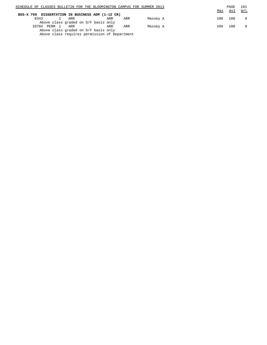| SCHEDULE OF CLASSES BULLETIN FOR THE BLOOMINGTON CAMPUS FOR SUMMER 2013 |     |     |          |     | PAGE | 161      |
|-------------------------------------------------------------------------|-----|-----|----------|-----|------|----------|
|                                                                         |     |     |          | Max | Avl  | W/L      |
| BUS-X 799 DISSERTATION IN BUSINESS ADM (1-12 CR)                        |     |     |          |     |      |          |
| 8343<br>ARR                                                             | ARR | ARR | Massey A | 100 | 100  | $\Omega$ |
| Above class graded on S/F basis only                                    |     |     |          |     |      |          |
| PERM 1<br>10704<br>ARR                                                  | ARR | ARR | Massey A | 100 | 100  | $\Omega$ |
| Above class graded on S/F basis only                                    |     |     |          |     |      |          |
| Above class requires permission of Department                           |     |     |          |     |      |          |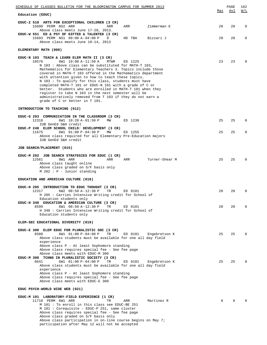| SCHEDULE OF CLASSES BULLETIN FOR THE BLOOMINGTON CAMPUS FOR SUMMER 2013                                                                                                                                                                                                                                                                                                                                                                                                                                                                                                                                                                                                              |     | PAGE | 162         |
|--------------------------------------------------------------------------------------------------------------------------------------------------------------------------------------------------------------------------------------------------------------------------------------------------------------------------------------------------------------------------------------------------------------------------------------------------------------------------------------------------------------------------------------------------------------------------------------------------------------------------------------------------------------------------------------|-----|------|-------------|
| Education (EDUC)                                                                                                                                                                                                                                                                                                                                                                                                                                                                                                                                                                                                                                                                     | Max | Avl  | <u>W/L</u>  |
| EDUC-Z 510 ARTS FOR EXCEPTIONAL CHILDREN (3 CR)<br>15690 PERM NS2 ARR<br>ARR<br>Zimmerman E<br>ARR<br>Above class meets June 17-20, 2013.                                                                                                                                                                                                                                                                                                                                                                                                                                                                                                                                            | 20  | 20   | $\mathbf 0$ |
| EDUC-W 551 ED & PSY OF GIFTED & TALENTED (3 CR)<br>15693 PERM NS1 09:00 A-04:00 P<br>Bizzari J<br>HD TBA<br>D<br>Above class meets June 10-14, 2013                                                                                                                                                                                                                                                                                                                                                                                                                                                                                                                                  | 20  | 20   | 0           |
| ELEMENTARY MATH (008)                                                                                                                                                                                                                                                                                                                                                                                                                                                                                                                                                                                                                                                                |     |      |             |
| EDUC-N 103 TEACH & LEARN ELEM MATH II (3 CR)<br>10576<br>6W1 10:00 A-11:50 A<br>MTWR<br>ED 1225<br>N 103 : Above class can be substituted for MATH-T 103,<br>Mathematics for Elementary Teachers 3. Topics include those<br>covered in MATH-T 103 offered in the Mathematics department<br>with attention given to how to teach these topics.<br>N 103 : To qualify for this class, students must have<br>completed MATH-T 101 or EDUC-N 101 with a grade of C or<br>better. Students who are enrolled in MATH-T 101 when they<br>register to take N 103 in the next semester will be<br>administratively removed from T 103 if they do not earn a<br>grade of C or better in T 101. | 23  | 23   | $\Omega$    |
| INTRODUCTION TO TEACHING (012)                                                                                                                                                                                                                                                                                                                                                                                                                                                                                                                                                                                                                                                       |     |      |             |
| EDUC-G 203 COMMUNICATION IN THE CLASSROOM (3 CR)<br>12318<br>6W1 10:20 A-01:50 P<br>ED 1230<br>MW<br>IUB GenEd S&H credit                                                                                                                                                                                                                                                                                                                                                                                                                                                                                                                                                            | 25  | 25   | $\Omega$    |
| EDUC-P 248 ELEM SCHOOL CHILD: DEVELOPMENT (3 CR)<br>11675<br>6W1 01:00 P-04:30 P<br>ED 1255<br>МW<br>Above class required for all Elementary Pre-Education majors<br>IUB GenEd S&H credit                                                                                                                                                                                                                                                                                                                                                                                                                                                                                            | 25  | 25   | $\mathbf 0$ |
| JOB SEARCH/PLACEMENT (015)                                                                                                                                                                                                                                                                                                                                                                                                                                                                                                                                                                                                                                                           |     |      |             |
| EDUC-M 202 JOB SEARCH STRATEGIES FOR EDUC (1 CR)<br>12561<br>8W1 ARR<br>ARR<br>ARR<br>Turner-Shear M<br>Above class taught online<br>Above class graded on S/F basis only<br>$M$ 202 : P - Junior standing                                                                                                                                                                                                                                                                                                                                                                                                                                                                           | 25  | 25   | $\Omega$    |
| EDUCATION AND AMERICAN CULTURE (018)                                                                                                                                                                                                                                                                                                                                                                                                                                                                                                                                                                                                                                                 |     |      |             |
| EDUC-H 205 INTRODUCTION TO EDUC THOUGHT (3 CR)<br>12317<br>6W2 08:50 A-12:30 P<br>TR<br>ED 0101<br>H 205 : Carries Intensive Writing credit for School of<br>Education students only                                                                                                                                                                                                                                                                                                                                                                                                                                                                                                 | 20  | 20   | 0           |
| EDUC-H 340 EDUCATION & AMERICAN CULTURE (3 CR)<br>8599<br>6W1 08:50 A-12:30 P<br>ED 0101<br>TR<br>H 340 : Carries Intensive Writing credit for School of<br>Education students only                                                                                                                                                                                                                                                                                                                                                                                                                                                                                                  | 20  | 20   | $\Omega$    |
| ELEM-SEC EDUCATIONAL DIVERSITY (019)                                                                                                                                                                                                                                                                                                                                                                                                                                                                                                                                                                                                                                                 |     |      |             |
| EDUC-E 300 ELEM EDUC FOR PLURALISTIC SOC (3 CR)<br>8580<br>6W1 01:00 P-04:00 P<br>TR<br>ED 0101<br>Engebretson K<br>Above class students must be available for one all day field<br>experience<br>Above class P - At least Sophomore standing                                                                                                                                                                                                                                                                                                                                                                                                                                        | 25  | 25   | 0           |
| Above class requires special fee - See fee page<br>Above class meets with EDUC-M 300<br>EDUC-M 300 TCHNG IN PLURALISTIC SOCIETY (3 CR)<br>8641<br>6W1 01:00 P-04:00 P<br>TR<br>ED 0101<br>Engebretson K<br>Above class students must be available for one all day field<br>experience<br>Above class P - At least Sophomore standing<br>Above class requires special fee - See fee page                                                                                                                                                                                                                                                                                              | 25  | 25   |             |
| Above class meets with EDUC-E 300                                                                                                                                                                                                                                                                                                                                                                                                                                                                                                                                                                                                                                                    |     |      |             |
| EDUC PSYCH-WORLD WIDE WEB (021)                                                                                                                                                                                                                                                                                                                                                                                                                                                                                                                                                                                                                                                      |     |      |             |
| EDUC-M 101 LABORATORY-FIELD EXPERIENCE (1 CR)<br>11710 PERM 6W1 ARR<br>TR<br>Martinez R<br>ARR<br>M 101 : To enroll in this class see EDUC-BE 251<br>M 101 : Corequisite - EDUC-P 251, same cluster<br>Above class requires special fee - See fee page<br>Above class graded on S/F basis only<br>Above class participation in on-line course begins on May 7;                                                                                                                                                                                                                                                                                                                       | 8   | 8    |             |

participation after May 12 will not be accepted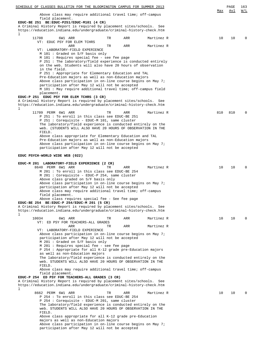| SCHEDULE OF CLASSES BULLETIN FOR THE BLOOMINGTON CAMPUS FOR SUMMER 2013                                                                                                                                                                                                                                                                                                                |     | PAGE | 163              |
|----------------------------------------------------------------------------------------------------------------------------------------------------------------------------------------------------------------------------------------------------------------------------------------------------------------------------------------------------------------------------------------|-----|------|------------------|
| Above class may require additional travel time; off-campus<br>field placement.                                                                                                                                                                                                                                                                                                         | Max | Avl  | $\overline{M/L}$ |
| EDUC-BE 251 BE: EDUC-P251/EDUC-M101 (4 CR)<br>A Criminal History Report is required by placement sites/schools. See<br>https://education.indiana.edu/undergraduate/criminal-history-check.htm<br>ı                                                                                                                                                                                     |     |      |                  |
| 11708<br>6W1 ARR<br>ARR<br>Martinez R<br>TR<br>VT:<br>EDUC PSY FOR ELEM TCHRS                                                                                                                                                                                                                                                                                                          | 10  | 10   | $\Omega$         |
| ARR<br>Martinez R<br>ARR<br>TR<br>VT: LABORATORY-FIELD EXPERIENCE<br>M 101 : Graded on S/F basis only<br>M 101 : Requires special fee - see fee page<br>P 251 : The laboratory/field experience is conducted entirely<br>on the web. Students will also have 20 hours of observation<br>in the field.                                                                                  |     |      |                  |
| P 251 : Appropriate for Elementary Education and TAL<br>Pre-Education majors as well as non-Education majors<br>Above class participation in on-line course begins on May 7;<br>participation after May 12 will not be accepted<br>M 101 : May require additional travel time; off-campus field<br>placement.                                                                          |     |      |                  |
| EDUC-P 251 EDUC PSY FOR ELEM TCHRS (3 CR)<br>A Criminal History Report is required by placement sites/schools. See<br>https://education.indiana.edu/undergraduate/criminal-history-check.htm<br>ı                                                                                                                                                                                      |     |      |                  |
| 11709 PERM 6W1 ARR<br>TR<br>ARR<br>Martinez R<br>P 251: To enroll in this class see EDUC-BE 251<br>P 251 : Corequisite - EDUC-M 101, same cluster<br>The laboratory/field experience is conducted entirely on the<br>web. (STUDENTS WILL ALSO HAVE 20 HOURS OF OBSERVATION IN THE<br>FIELD.                                                                                            | 810 | 810  | $\Omega$         |
| Above class appropriate for Elementary Education and TAL<br>Pre-Education majors as well as non-Education majors<br>Above class participation in on-line course begins on May 7;<br>participation after May 12 will not be accepted                                                                                                                                                    |     |      |                  |
| EDUC PSYCH-WORLD WIDE WEB (022)                                                                                                                                                                                                                                                                                                                                                        |     |      |                  |
| EDUC-M 201 LABORATORY-FIELD EXPERIENCE (2 CR)<br>8640 PERM 6W1 ARR<br>TR<br>ARR<br>Martinez R<br>M 201: To enroll in this class see EDUC-BE 254<br>M 201 : Corequisite - EDUC-P 254, same cluster<br>Above class graded on S/F basis only<br>Above class participation in on-line course begins on May 7;                                                                              | 10  | 10   | $\Omega$         |
| participation after May 12 will not be accepted<br>Above class may require additional travel time; off-campus<br>field placement.<br>Above class requires special fee - See fee page<br>EDUC-BE 254 BE:EDUC-P 254/EDUC-M 201 (5 CR)<br>A Criminal History Report is required by placement sites/schools. See<br>https://education.indiana.edu/undergraduate/criminal-history-check.htm |     |      |                  |
| 1<br>10034<br>6W1 ARR<br>ARR<br>Martinez R<br>TR<br>VT: ED PSY FOR TEACHERS-ALL GRADES                                                                                                                                                                                                                                                                                                 | 10  | 10   | 0                |
| ARR<br>TR<br>ARR<br>Martinez R<br>VT: LABORATORY-FIELD EXPERIENCE                                                                                                                                                                                                                                                                                                                      |     |      |                  |
| Above class participation in on-line course begins on May 7;<br>participation after May 12 will not be accepted<br>M 201 : Graded on S/F basis only<br>M 201 : Requires special fee - see fee page                                                                                                                                                                                     |     |      |                  |
| P 254 : Appropriate for all K-12 grade pre-Education majors<br>as well as non-Education majors<br>The laboratory/field experience is conducted entirely on the<br>web. STUDENTS WILL ALSO HAVE 20 HOURS OF OBSERVATION IN THE<br>FIELD.                                                                                                                                                |     |      |                  |
| Above class may require additional travel time; off-campus<br>field placement.<br>EDUC-P 254 ED PSY FOR TEACHERS-ALL GRADES (3 CR)<br>A Criminal History Report is required by placement sites/schools. See<br>https://education.indiana.edu/undergraduate/criminal-history-check.htm                                                                                                  |     |      |                  |
| 1<br>8662 PERM 6W1 ARR<br>TR<br>ARR<br>Martinez R<br>P 254 : To enroll in this class see EDUC-BE 254<br>P 254 : Corequisite - EDUC-M 201, same cluster<br>The laboratory/field experience is conducted entirely on the<br>web. STUDENTS WILL ALSO HAVE 20 HOURS OF OBSERVATION IN THE<br>FIELD.                                                                                        | 10  | 10   | $\Omega$         |
| Above class appropriate for all K-12 grade pre-Education<br>majors as well as non-Education majors<br>Above class participation in on-line course begins on May 7;<br>participation after May 12 will not be accepted                                                                                                                                                                  |     |      |                  |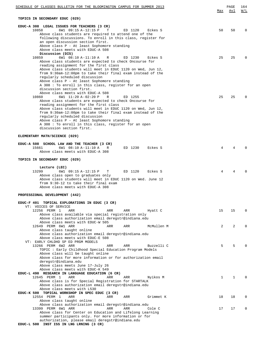| SCHEDULE OF CLASSES BULLETIN FOR THE BLOOMINGTON CAMPUS FOR SUMMER 2013                                                |         |            |              | PAGE<br>Avl    | 164<br>W/L |
|------------------------------------------------------------------------------------------------------------------------|---------|------------|--------------|----------------|------------|
|                                                                                                                        |         |            | Max          |                |            |
| TOPICS IN SECONDARY EDUC (029)                                                                                         |         |            |              |                |            |
| EDUC-A 308 LEGAL ISSUES FOR TEACHERS (3 CR)                                                                            |         |            |              |                |            |
| 10858<br>6W1 09:15 A-12:15 P<br>т                                                                                      | ED 1120 | Eckes S    | 50           | 50             | $\Omega$   |
| Above class students are required to attend one of the<br>following discussions. To enroll in this class, register for |         |            |              |                |            |
| an open discussion section first.                                                                                      |         |            |              |                |            |
| Above class P - At least Sophomore standing<br>Above class meets with EDUC-A 508                                       |         |            |              |                |            |
| Discussion (DIS)                                                                                                       |         |            |              |                |            |
| 10859<br>6W1 08:10 A-11:10 A<br>R                                                                                      | ED 1230 | Eckes S    | 25           | 25             | $\Omega$   |
| Above class students are expected to check Oncourse for                                                                |         |            |              |                |            |
| reading assignment for the first class<br>Above class students will meet in EDUC 1120 on Wed, Jun 12,                  |         |            |              |                |            |
| from 9:30am-12:00pm to take their final exam instead of the                                                            |         |            |              |                |            |
| regularly scheduled discussion                                                                                         |         |            |              |                |            |
| Above class P - At least Sophomore standing                                                                            |         |            |              |                |            |
| A 308 : To enroll in this class, register for an open<br>discussion section first.                                     |         |            |              |                |            |
| Above class meets with EDUC-A 508                                                                                      |         |            |              |                |            |
| 10860<br>6W1 11:20 A-02:20 P<br>R                                                                                      | ED 1255 |            | 25           | 25             | O          |
| Above class students are expected to check Oncourse for<br>reading assignment for the first class                      |         |            |              |                |            |
| Above class students will meet in EDUC 1120 on Wed, Jun 12,                                                            |         |            |              |                |            |
| from 9:30am-12:00pm to take their final exam instead of the                                                            |         |            |              |                |            |
| regularly scheduled discussion                                                                                         |         |            |              |                |            |
| Above class P - At least Sophomore standing<br>A 308 : To enroll in this class, register for an open                   |         |            |              |                |            |
| discussion section first.                                                                                              |         |            |              |                |            |
|                                                                                                                        |         |            |              |                |            |
| ELEMENTARY MATH/SCIENCE (029)                                                                                          |         |            |              |                |            |
| EDUC-A 508 SCHOOL LAW AND THE TEACHER (3 CR)                                                                           |         |            |              |                |            |
| 15661<br>6W1 08:10 A-11:10 A<br>R                                                                                      | ED 1230 | Eckes S    | 4            | 4              |            |
| Above class meets with EDUC-A 308                                                                                      |         |            |              |                |            |
| TOPICS IN SECONDARY EDUC (029)                                                                                         |         |            |              |                |            |
|                                                                                                                        |         |            |              |                |            |
| Lecture (LEC)<br>6W1 09:15 A-12:15 P<br>13299<br>Т                                                                     | ED 1120 | Eckes S    | 4            | 4              |            |
| Above class open to graduates only                                                                                     |         |            |              |                |            |
| Above class students will meet in EDUC 1120 on Wed. June 12                                                            |         |            |              |                |            |
| from 9:30-12 to take their final exam                                                                                  |         |            |              |                |            |
| Above class meets with EDUC-A 308                                                                                      |         |            |              |                |            |
| PROFESSIONAL DEVELOPMENT (442)                                                                                         |         |            |              |                |            |
|                                                                                                                        |         |            |              |                |            |
| EDUC-F 401 TOPICAL EXPLORATIONS IN EDUC (3 CR)<br>VT: VOICES OF SERVICE                                                |         |            |              |                |            |
| 12256 PERM 1<br>ARR<br>ARR                                                                                             | ARR     | Hyatt C    | 15           | 15             | $\Omega$   |
| Above class available via special registration only                                                                    |         |            |              |                |            |
| Above class authorization email deregstr@indiana.edu<br>Above class meets with EDUC-W 505                              |         |            |              |                |            |
| 12649 PERM 6W1 ARR<br>ARR                                                                                              | ARR     | McMullen M | 2            | $\overline{2}$ | $\Omega$   |
| Above class taught online                                                                                              |         |            |              |                |            |
| Above class authorization email deregstr@indiana.edu                                                                   |         |            |              |                |            |
| Above class meets with EDUC-E 508<br>VT: EARLY CHLDHD SP ED PRGM MODELS                                                |         |            |              |                |            |
| 13266 PERM 6W2 ARR<br>ARR                                                                                              | ARR     | Buzzelli C | 5            | 5              |            |
| TOPIC: Early Childhood Special Education Program Models                                                                |         |            |              |                |            |
| Above class will be taught online<br>Above class for more information or for authorization email                       |         |            |              |                |            |
| deregstr@indiana.edu                                                                                                   |         |            |              |                |            |
| Above class meets June 17-July 26                                                                                      |         |            |              |                |            |
| Above class meets with EDUC-K 549                                                                                      |         |            |              |                |            |
| EDUC-L 490 RESEARCH IN LANGUAGE EDUCATION (6 CR)<br>12645 PERM 1<br>ARR<br>ARR                                         | ARR     | Nyikos M   | $\mathbf{1}$ | 1              | $\Omega$   |
| Above class is for Special Registration for STARTALK                                                                   |         |            |              |                |            |
| Above class authorization email deregstr@indiana.edu                                                                   |         |            |              |                |            |
| Above class meets with L530                                                                                            |         |            |              |                |            |
| EDUC-K 500 TOPICAL WORKSHOP IN SPEC EDUC (3 CR)<br>12554 PERM 1<br>ARR<br>ARR                                          | ARR     | Grimmet K  | 18           | 18             | $\Omega$   |
| Above class taught online                                                                                              |         |            |              |                |            |
| Above class authorization email deregstr@indiana.edu                                                                   |         |            |              |                |            |
| 13399 PERM 6W1 ARR<br>ARR<br>Above class for Center on Education and Lifelong Learning                                 | ARR     | Cole C     | 17           | 17             | $\Omega$   |
| summer participants only. For more information or for                                                                  |         |            |              |                |            |
| authorization, please email deregstr@indiana.edu                                                                       |         |            |              |                |            |
| EDUC-L 500 INST ISS IN LNG LRNING (3 CR)                                                                               |         |            |              |                |            |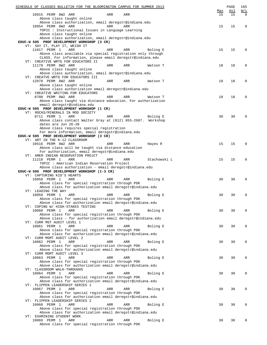| SCHEDULE OF CLASSES BULLETIN FOR THE BLOOMINGTON CAMPUS FOR SUMMER 2013                                      |     |     |              | Max | PAGE<br>Avl | 165<br>$\overline{\text{W}}$ / $\overline{\text{L}}$ |
|--------------------------------------------------------------------------------------------------------------|-----|-----|--------------|-----|-------------|------------------------------------------------------|
| 10915 PERM 8W2 ARR                                                                                           | ARR | ARR |              | 15  | 15          | $\Omega$                                             |
| Above class taught online<br>Above class authorization, email deregstr@indiana.edu                           |     |     |              |     |             |                                                      |
| 10954 PERM 8W2 ARR                                                                                           | ARR | ARR |              | 15  | 15          | $\mathbf 0$                                          |
| TOPIC : Instructional Issues in Language Learning                                                            |     |     |              |     |             |                                                      |
| Above class taught online                                                                                    |     |     |              |     |             |                                                      |
| Above class authorization, email deregstr@indiana.edu<br>EDUC-W 505 PROF DEVELOPMENT WORKSHOP (3 CR)         |     |     |              |     |             |                                                      |
| VT: SAY IT, PLAY IT, WEIGH IT                                                                                |     |     |              |     |             |                                                      |
| 11017 PERM 1<br>ARR                                                                                          | ARR | ARR | Boling E     | 15  | 15          | 0                                                    |
| Above class available via special registration only through                                                  |     |     |              |     |             |                                                      |
| CLASS. For information, please email deregstr@indiana.edu<br>VT: CREATIVE WRTG FOR EDUCATORS II              |     |     |              |     |             |                                                      |
| 11179 PERM 8W2 ARR                                                                                           | ARR | ARR | Watson T     | 18  | 18          | 0                                                    |
| Above class taught online                                                                                    |     |     |              |     |             |                                                      |
| Above class authorization, email deregstr@indiana.edu                                                        |     |     |              |     |             |                                                      |
| VT: CREATVE WRTG FOR EDUCATORS III<br>12078 PERM 8W2 ARR                                                     | ARR | ARR | Watson T     | 18  | 18          | 0                                                    |
| Above class taught online                                                                                    |     |     |              |     |             |                                                      |
| Above class authorization email deregstr@indiana.edu                                                         |     |     |              |     |             |                                                      |
| VT: CREATIVE WRITING FOR EDUCATORS                                                                           |     |     |              |     |             |                                                      |
| 8708 PERM 8W2 ARR<br>Above class taught via distance education. For authorization                            | ARR | ARR | Watson T     | 18  | 18          | 0                                                    |
| email deregstr@indiana.edu                                                                                   |     |     |              |     |             |                                                      |
| EDUC-W 505 PROF DEVELOPMENT WORKSHOP (1 CR)                                                                  |     |     |              |     |             |                                                      |
| VT: ROCKS/MINERALS IN MOD SOCIETY                                                                            |     |     |              |     |             |                                                      |
| 8711 PERM 1<br>ARR                                                                                           | ARR | ARR | Boling E     | 30  | 30          | $\Omega$                                             |
| Above class contact Walter Gray at (812) 855-2687. Workshop<br>dates are Jun 26-28                           |     |     |              |     |             |                                                      |
| Above class requires special registration                                                                    |     |     |              |     |             |                                                      |
| For more information, email deregstr@indiana.edu                                                             |     |     |              |     |             |                                                      |
| EDUC-W 505 PROF DEVELOPMENT WORKSHOP (3 CR)                                                                  |     |     |              |     |             |                                                      |
| VT: ART IN THE K-12 CLASSROOM<br>10516 PERM 8W2 ARR                                                          | ARR | ARR | Hayes R      | 15  | 15          | 0                                                    |
| Above class will be taught via distance education                                                            |     |     |              |     |             |                                                      |
| For authorization, email deregstr@indiana.edu                                                                |     |     |              |     |             |                                                      |
| VT: AMER INDIAN RESERVATION PROJCT<br>11218 PERM 1<br>ARR                                                    | ARR | ARR | Stachowski L | 15  | 15          | $\mathbf 0$                                          |
| TOPIC : American Indian Reservation Project                                                                  |     |     |              |     |             |                                                      |
| Above class authorization - email deregstr@indiana.edu                                                       |     |     |              |     |             |                                                      |
| EDUC-W 505 PROF DEVELOPMENT WORKSHOP (1-3 CR)                                                                |     |     |              |     |             |                                                      |
| VT: CAPTURING KID'S HEARTS<br>10058 PERM 1<br>ARR                                                            | ARR | ARR | Boling E     | 30  | 30          | $\mathbf 0$                                          |
| Above class for special registration through PDK                                                             |     |     |              |     |             |                                                      |
| Above class for authorization email deregstr@indiana.edu                                                     |     |     |              |     |             |                                                      |
| VT: LEADING THE WAY<br>10059 PERM 1<br>ARR                                                                   | ARR | ARR | Boling E     | 30  | 30          | $\mathbf 0$                                          |
| Above class for special registration through PDK                                                             |     |     |              |     |             |                                                      |
| Above class for authorization email deregstr@indiana.edu                                                     |     |     |              |     |             |                                                      |
| VT: COPING W/ HIGH-STAKES TESTING                                                                            |     |     |              |     |             |                                                      |
| 10060 PERM 1<br>ARR<br>Above class for special registration through PDK                                      | ARR | ARR | Boling E     | 30  | 30          | $\mathbf 0$                                          |
| Above class - for authorization email deregstr@indiana.edu                                                   |     |     |              |     |             |                                                      |
| VT: CURR MGT AUDIT LEVEL 1                                                                                   |     |     |              |     |             |                                                      |
| 10061 PERM 1<br>ARR<br>Above class for special registration through PDK                                      | ARR | ARR | Boling E     | 30  | 30          | $\mathbf 0$                                          |
| Above class for authorization email deregstr@indiana.edu                                                     |     |     |              |     |             |                                                      |
| VT: CURR MGMT AUDIT LEVEL 2                                                                                  |     |     |              |     |             |                                                      |
| 10062 PERM 1<br>ARR                                                                                          | ARR | ARR | Boling E     | 30  | 30          | $\mathbf 0$                                          |
| Above class for special registration through PDK<br>Above class for authorization email deregstr@indiana.edu |     |     |              |     |             |                                                      |
| VT: CURR MGMT AUDIT LEVEL 3                                                                                  |     |     |              |     |             |                                                      |
| 10063 PERM 1<br>ARR                                                                                          | ARR | ARR | Boling E     | 30  | 30          | $\mathbf 0$                                          |
| Above class for special registration through PDK                                                             |     |     |              |     |             |                                                      |
| Above class for authorization email deregstr@indiana.edu<br>VT: CLASSROOM WALK-THROUGHS                      |     |     |              |     |             |                                                      |
| 10064 PERM 1<br>ARR                                                                                          | ARR | ARR | Boling E     | 30  | 30          | $\mathbf 0$                                          |
| Above class for special registration through PDK                                                             |     |     |              |     |             |                                                      |
| Above class for authorization email deregstr@indiana.edu<br>VT: FLIPPEN LEADERSHIP SERIES 1                  |     |     |              |     |             |                                                      |
| 10067 PERM 1<br>ARR                                                                                          | ARR | ARR | Boling E     | 30  | 30          | $\mathbf 0$                                          |
| Above class for special registration through PDK                                                             |     |     |              |     |             |                                                      |
| Above class for authorization email deregstr@indiana.edu                                                     |     |     |              |     |             |                                                      |
| VT: FLIPPEN LEADERSHIP SERIES 2<br>10068 PERM 1<br>ARR                                                       | ARR | ARR | Boling E     | 30  | 30          | $\mathbf 0$                                          |
| Above class for special registration through PDK                                                             |     |     |              |     |             |                                                      |
| Above class for authorization email deregstr@indiana.edu                                                     |     |     |              |     |             |                                                      |
| VT: EXAMINING STUDENT WORK                                                                                   |     |     |              |     |             |                                                      |
| 10069 PERM 1<br>ARR<br>Above class for special registration through PDK                                      | ARR | ARR | Boling E     | 30  | 30          | $\mathbf 0$                                          |
|                                                                                                              |     |     |              |     |             |                                                      |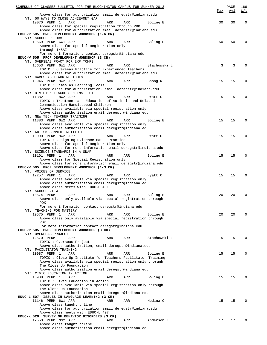| SCHEDULE OF CLASSES BULLETIN FOR THE BLOOMINGTON CAMPUS FOR SUMMER 2013 |     |     |              |     | PAGE | 166         |
|-------------------------------------------------------------------------|-----|-----|--------------|-----|------|-------------|
|                                                                         |     |     |              | Max | Avl  | W/L         |
| Above class for authorization email deregstr@indiana.edu                |     |     |              |     |      |             |
| VT: 50 WAYS TO CLOSE ACHIEVMNT GAP                                      |     |     |              |     |      |             |
| 10070 PERM 1<br>ARR                                                     | ARR | ARR | Boling E     | 30  | 30   | $\mathbf 0$ |
| Above class for special registration through PDK                        |     |     |              |     |      |             |
| Above class for authorization email deregstr@indiana.edu                |     |     |              |     |      |             |
| EDUC-W 505 PROF DEVELOPMENT WORKSHOP (1-6 CR)                           |     |     |              |     |      |             |
| VT: SCHOOL REFORM                                                       |     |     |              |     |      |             |
| 10569 PERM 6W1 ARR                                                      | ARR | ARR | Boling E     | 50  | 50   | 0           |
| Above class for Special Registration only                               |     |     |              |     |      |             |
| through INSAI                                                           |     |     |              |     |      |             |
| For more information, contact deregstr@indiana.edu                      |     |     |              |     |      |             |
| EDUC-W 505 PROF DEVELOPMENT WORKSHOP (3 CR)                             |     |     |              |     |      |             |
| VT: OVERSEAS PRACT FOR EXP TCHRS                                        |     |     |              |     |      |             |
| 15653 PERM 6W1 ARR                                                      | ARR | ARR | Stachowski L | 3   | 3    | $\Omega$    |
|                                                                         |     |     |              |     |      |             |
| TOPIC: Overseas Practice for Experienced Teachers                       |     |     |              |     |      |             |
| Above class for authorization email deregstr@indiana.edu                |     |     |              |     |      |             |
| VT: GAMES AS LEARNING TOOLS                                             |     |     |              |     |      |             |
| 10946 PERM 8W2 ARR                                                      | ARR | ARR | Chong N      | 15  | 15   | 0           |
| TOPIC : Games as Learning Tools                                         |     |     |              |     |      |             |
| Above class for authorization, email deregstr@indiana.edu               |     |     |              |     |      |             |
| VT: DIVISION TEACHH SUM INSTITUTE                                       |     |     |              |     |      |             |
| 8W2 ARR<br>11382                                                        | ARR | ARR | Pratt C      | 15  | 15   | $\Omega$    |
| TOPIC : Treatment and Education of Autistic and Related                 |     |     |              |     |      |             |
| Communication-Handicapped Children                                      |     |     |              |     |      |             |
| Above class available via special registration only                     |     |     |              |     |      |             |
| Above class authorization email deregstr@indiana.edu                    |     |     |              |     |      |             |
| VT: NEW TECH TEACHER TRAINING                                           |     |     |              |     |      |             |
| 11383 PERM 6W2 ARR                                                      | ARR | ARR | Boling E     | 15  | 15   | $\Omega$    |
| Above class available via special registration only                     |     |     |              |     |      |             |
| Above class authorization email deregstr@indiana.edu                    |     |     |              |     |      |             |
| VT: AUTISM SUMMER INSTITUTE                                             |     |     |              |     |      |             |
| 10090 PERM 8W2 ARR                                                      | ARR | ARR | Pratt C      | 15  | 15   | $\mathbf 0$ |
| TOPIC : Designing Evidence Based Practices                              |     |     |              |     |      |             |
| Above class for Special Registration only                               |     |     |              |     |      |             |
| Above class for more information email deregstr@indiana.edu             |     |     |              |     |      |             |
| VT: SCIENCE STANDARDS IN A SNAP                                         |     |     |              |     |      |             |
| 10101 PERM 1<br>ARR                                                     | ARR | ARR | Boling E     | 15  | 15   | $\Omega$    |
| Above class for Special Registration only                               |     |     |              |     |      |             |
| Above class for more information email deregstr@indiana.edu             |     |     |              |     |      |             |
| EDUC-W 505 PROF DEVELOPMENT WORKSHOP (1-3 CR)                           |     |     |              |     |      |             |
| VT: VOICES OF SERVICE                                                   |     |     |              |     |      |             |
| 12257 PERM 1<br>ARR                                                     | ARR | ARR | Hyatt C      | 15  | 15   | $\Omega$    |
| Above class available via special registration only                     |     |     |              |     |      |             |
| Above class authorization email deregstr@indiana.edu                    |     |     |              |     |      |             |
| Above class meets with EDUC-F 401                                       |     |     |              |     |      |             |
| VT: SCHOOL VIEW                                                         |     |     |              |     |      |             |
| 10574 PERM 1<br>ARR                                                     | ARR | ARR | Boling E     | 20  | 20   | $\Omega$    |
| Above class only available via special registration through             |     |     |              |     |      |             |
| PDK                                                                     |     |     |              |     |      |             |
| For more information contact deregstr@indiana.edu                       |     |     |              |     |      |             |
| VT: TEACHING FOR MASTERY                                                |     |     |              |     |      |             |
| 10575 PERM 1                                                            | ARR |     |              | 20  | 20   | $\Omega$    |
| ARR                                                                     |     | ARR | Boling E     |     |      |             |
| Above class only available via special registration through             |     |     |              |     |      |             |
| PDK                                                                     |     |     |              |     |      |             |
| For more information contact deregstr@indiana.edu                       |     |     |              |     |      |             |
| EDUC-W 505 PROF DEVELOPMENT WORKSHOP (3 CR)                             |     |     |              |     |      |             |
| VT: OVERSEAS PROJECT                                                    |     |     |              |     |      |             |
| 12570 PERM 1<br>ARR                                                     | ARR | ARR | Stachowski L | 15  | 15   | $\Omega$    |
| TOPIC : Overseas Project                                                |     |     |              |     |      |             |
| Above class authorization, email deregstr@indiana.edu                   |     |     |              |     |      |             |
| VT: FACILITATOR TRAINING                                                |     |     |              |     |      |             |
| 10987 PERM 1<br>ARR                                                     | ARR | ARR | Boling E     | 15  | 15   | $\Omega$    |
| TOPIC: Close Up Institute for Teachers Facilitator Training             |     |     |              |     |      |             |
| Above class available via special registration only thorugh             |     |     |              |     |      |             |
| The Close Up Foundation                                                 |     |     |              |     |      |             |
| Above class authorization email deregstr@indiana.edu                    |     |     |              |     |      |             |
| VT: CIVIC EDUCATION IN ACTION                                           |     |     |              |     |      |             |
| 10988 PERM 1<br>ARR                                                     | ARR | ARR | Boling E     | 15  | 15   | $\Omega$    |
| TOPIC: Civic Education in Action                                        |     |     |              |     |      |             |
| Above class available via special registration only through             |     |     |              |     |      |             |
| The Close Up Foundation                                                 |     |     |              |     |      |             |
| Above class authorization email deregstr@indiana.edu                    |     |     |              |     |      |             |
| EDUC-L 507 ISSUES IN LANGUAGE LEARNING (3 CR)                           |     |     |              |     |      |             |
| 11146 PERM 6W1 ARR                                                      | ARR | ARR | Medina C     | 15  | 15   | $\Omega$    |
| Above class taught online                                               |     |     |              |     |      |             |
| Above class for authorization email deregstr@indiana.edu                |     |     |              |     |      |             |
| Above class meets with EDUC-L 407                                       |     |     |              |     |      |             |
| EDUC-K 520 SURVEY OF BEHAVIOR DISORDERS (3 CR)                          |     |     |              |     |      |             |
| 12553 PERM NS2 ARR                                                      | ARR | ARR | Anderson J   | 17  | 17   | $\Omega$    |
| Above class taught online                                               |     |     |              |     |      |             |
| Above class authorization email deregstr@indiana.edu                    |     |     |              |     |      |             |
|                                                                         |     |     |              |     |      |             |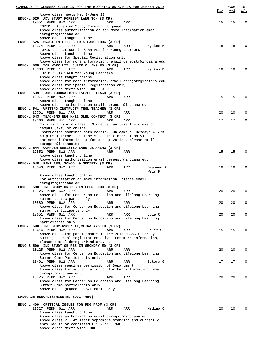| SCHEDULE OF CLASSES BULLETIN FOR THE BLOOMINGTON CAMPUS FOR SUMMER 2013 |     | PAGE | 167                                           |
|-------------------------------------------------------------------------|-----|------|-----------------------------------------------|
|                                                                         | Max | Avl  | $\overline{\text{W}}$ / $\overline{\text{L}}$ |
| Above class meets May 8-June 29                                         |     |      |                                               |
| EDUC-L 520 ADV STUDY FOREIGN LANG TCH (3 CR)                            |     |      |                                               |
| 10551 PERM 8W2 ARR<br>ARR<br>ARR                                        | 15  | 15   | $\mathbf 0$                                   |
| TOPIC : Advanced Study Foreign Language                                 |     |      |                                               |
| Above class authorizatiion or for more information email                |     |      |                                               |
| deregstr@indiana.edu                                                    |     |      |                                               |
| Above class taught online                                               |     |      |                                               |
| EDUC-L 525 PRACT IN LIT, CLTR & LANG EDUC (3 CR)                        |     |      |                                               |
| 13374 PERM 1<br>ARR<br>ARR<br>Nyikos M<br>ARR                           | 18  | 18   | $\Omega$                                      |
| TOPIC : Practicum in STARTALK for Young Learners                        |     |      |                                               |
| Above class taught online                                               |     |      |                                               |
| Above class for Special Registration only                               |     |      |                                               |
| Above class for more information, email deregstr@indiana.edu            |     |      |                                               |
| EDUC-L 530 TOP WORK LIT, CULTR & LANG ED (3 CR)                         |     |      |                                               |
| 13338 PERM 1<br>ARR<br>ARR<br>Nyikos M<br>ARR                           | 18  | 18   | $\Omega$                                      |
| TOPIC : STARTALK for Young Learners                                     |     |      |                                               |
| Above class taught online                                               |     |      |                                               |
| Above class for more information, email deregstr@indiana.edu            |     |      |                                               |
|                                                                         |     |      |                                               |
| Above class for Special Registration only                               |     |      |                                               |
| Above class meets with EDUC-L 490                                       |     |      |                                               |
| EDUC-L 539 LANG FOUNDATIONS-ESL/EFL TEACH (3 CR)                        |     |      |                                               |
| 12077 PERM 8W2 ARR<br>ARR<br>ARR                                        | 15  | 15   | $\Omega$                                      |
| Above class taught online                                               |     |      |                                               |
| Above class authorization email deregstr@indiana.edu                    |     |      |                                               |
| EDUC-L 541 WRITING INSTRUCTN TESL TEACHER (3 CR)                        |     |      |                                               |
| 15701 PERM 8W1 ARR<br>ARR<br>ARR                                        | 20  | 20   | 0                                             |
| EDUC-L 543 TEACHING ENG K-12 GLBL CONTEXT (3 CR)                        |     |      |                                               |
| 13260 PERM 4W1 ARR<br>ARR<br>ARR                                        | 17  | 17   | 0                                             |
| This is a hybrid class. Students can take the class on                  |     |      |                                               |
| campus (f2f) or online                                                  |     |      |                                               |
| Instruction combines both models. On campus Tuesdays 4-5:15             |     |      |                                               |
| pm plus Internet. Online students (Internet only).                      |     |      |                                               |
| For more information or for authorization, please email                 |     |      |                                               |
| deregstr@indiana.edu                                                    |     |      |                                               |
| EDUC-L 544 COMPUER ASSISTED LANG LEARNING (3 CR)                        |     |      |                                               |
| 12552 PERM 8W2 ARR<br>ARR<br>ARR                                        | 15  | 15   | $\Omega$                                      |
| Above class taught online                                               |     |      |                                               |
| Above class authorization email deregstr@indiana.edu                    |     |      |                                               |
| EDUC-K 548 FAMILIES, SCHOOL & SOCIETY (3 CR)                            |     |      |                                               |
| 13346 PERM 8W2 ARR<br>ARR<br>Brannan A<br>ARR                           | 18  | 18   | $\Omega$                                      |
| Weir R                                                                  |     |      |                                               |
| Above class taught online                                               |     |      |                                               |
| For authorization or more information, please email                     |     |      |                                               |
| deregstr@indiana.edu                                                    |     |      |                                               |
| EDUC-E 590 IND STUDY OR RES IN ELEM EDUC (3 CR)                         |     |      |                                               |
| 10126 PERM 6W2 ARR<br>ARR<br>ARR                                        | 20  | 20   | $\Omega$                                      |
| Above class for Center on Education and Lifelong Learning               |     |      |                                               |
| summer participants only                                                |     |      |                                               |
| 10580 PERM 6W2 ARR<br>ARR<br>ARR                                        | 20  | 20   | 0                                             |
| Above class for Center on Education and Lifelong Learning               |     |      |                                               |
|                                                                         |     |      |                                               |
| summer participants only                                                |     |      |                                               |
| 12651 PERM 6W1 ARR<br>Cole C<br>ARR<br>ARR                              | 20  | 20   | $\Omega$                                      |
| Above class for Center on Education and Lifelong Learning               |     |      |                                               |
| participants only                                                       |     |      |                                               |
| EDUC-L 590 IND STDY/RSCH:LIT, CLTR&LANG ED (3 CR)                       |     |      |                                               |
| 13414 PERM 8W2 ARR<br>ARR<br>ARR<br>Daley S                             | 15  | 15   | $\Omega$                                      |
| Above class for participants in the 2013 MCCSC Literacy                 |     |      |                                               |
| Summit, special registration only. For more information,                |     |      |                                               |
| please e-mail deregstr@indiana.edu                                      |     |      |                                               |
| EDUC-S 590 IND STUDY OR RES IN SECNDRY ED (3 CR)                        |     |      |                                               |
| 10125 PERM 6W2 ARR<br>ARR<br>ARR                                        | 20  | 20   | $\Omega$                                      |
| Above class for Center on Education and Lifelong Learning               |     |      |                                               |
| Summer Camp Participants only                                           |     |      |                                               |
| 13401 PERM 6W2 ARR<br>ARR<br>ARR<br>Butera G                            | 17  | 17   | $\Omega$                                      |
| Above class requires permission of Department                           |     |      |                                               |
| Above class for authorization or further information, email             |     |      |                                               |
| deregstr@indiana.edu                                                    |     |      |                                               |
| 10726 PERM 8W2 ARR<br>ARR<br>ARR                                        | 20  | 20   | $\Omega$                                      |
| Above class for Center on Education and Lifelong Learning               |     |      |                                               |
| Summer Camp participants only                                           |     |      |                                               |
| Above class graded on S/F basis only                                    |     |      |                                               |
|                                                                         |     |      |                                               |
| LANGUAGE EDUC/DISTRIBUTED EDUC (450)                                    |     |      |                                               |
|                                                                         |     |      |                                               |
| EDUC-L 409 CRITICAL ISSUES FOR RDG PROF (3 CR)                          |     |      |                                               |
| 12527 PERM 6W1 ARR<br>ARR<br>Medina C<br>ARR                            | 20  | 20   | $\Omega$                                      |
| Above class taught online                                               |     |      |                                               |
| Above class authorization email deregstr@indiana.edu                    |     |      |                                               |
| Above class $P - At$ least Sophomore standing and currently             |     |      |                                               |
| enrolled in or completed E 339 or E 340                                 |     |      |                                               |
| Above class meets with EDUC-L 509                                       |     |      |                                               |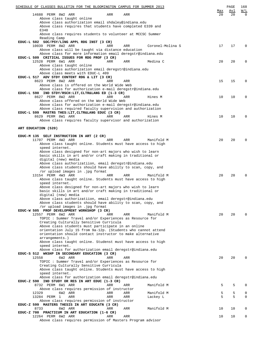| SCHEDULE OF CLASSES BULLETIN FOR THE BLOOMINGTON CAMPUS FOR SUMMER 2013                                               |           | PAGE      | 168                |
|-----------------------------------------------------------------------------------------------------------------------|-----------|-----------|--------------------|
| 14688 PERM 8W2 ARR<br>ARR<br>ARR                                                                                      | Max<br>20 | Avl<br>20 | W/L<br>$\mathbf 0$ |
| Above class taught online                                                                                             |           |           |                    |
| Above class authorization email shdaley@indiana.edu<br>Above class requires that students have completed E339 and     |           |           |                    |
| E340                                                                                                                  |           |           |                    |
| Above class requires students to volunteer at MCCSC Summer                                                            |           |           |                    |
| Reading Camp<br>EDUC-L 502 SOC/PSY/LING APPL RDG INST (3 CR)                                                          |           |           |                    |
| 10039 PERM 8W2 ARR<br>ARR<br>ARR<br>Coronel-Molina S                                                                  | 17        | 17        | $\mathbf 0$        |
| Above class will be taught via distance education                                                                     |           |           |                    |
| Above class for more information email deregstr@indiana.edu<br>EDUC-L 509 CRITICAL ISSUES FOR RDG PROF (3 CR)         |           |           |                    |
| 12528 PERM 6W1 ARR<br>Medina C<br>ARR<br>ARR                                                                          | 20        | 20        | 0                  |
| Above class taught online                                                                                             |           |           |                    |
| Above class authorization email deregstr@indiana.edu<br>Above class meets with EDUC-L 409                             |           |           |                    |
| EDUC-L 517 ADV STDY CONTENT RDG & LIT (3 CR)                                                                          |           |           |                    |
| 8623 PERM 8W2 ARR<br>ARR<br>ARR                                                                                       | 15        | 15        | 0                  |
| Above class is offered on the World Wide Web<br>Above class for authorization e-mail deregstr@indiana.edu             |           |           |                    |
| EDUC-L 590 IND STDY/RSCH:LIT, CLTR&LANG ED (1-3 CR)                                                                   |           |           |                    |
| 8627 PERM 8W2 ARR<br>ARR<br>ARR<br>Hines M                                                                            | 10        | 10        | 0                  |
| Above class offered on the World Wide Web<br>Above class for authorization e-mail deregstr@indiana.edu                |           |           |                    |
| Above class required faculty supervision and authorization                                                            |           |           |                    |
| EDUC-L 599 MASTRS THES: LIT, CLTR&LANG EDUC (3 CR)                                                                    |           |           |                    |
| 8629 PERM 8W1 ARR<br>ARR<br>Hines M<br>ARR<br>Above class requires faculty supervisor and authorization               | 10        | 10        | 0                  |
|                                                                                                                       |           |           |                    |
| ART EDUCATION (520)                                                                                                   |           |           |                    |
| EDUC-M 135 SELF INSTRUCTION IN ART (2 CR)                                                                             |           |           |                    |
| 11707 PERM 4W2 ARR<br>Manifold M<br>ARR<br>ARR                                                                        | 20        | 20        | 0                  |
| Above class taught online. Students must have access to high                                                          |           |           |                    |
| speed internet.<br>Above class designed for non-art majors who wish to learn                                          |           |           |                    |
| basic skills in art and/or craft making in traditional or                                                             |           |           |                    |
| digital (new) media                                                                                                   |           |           |                    |
| Above class authorizatiion, email deregstr@indiana.edu<br>Above class students should have ability to scan, copy, and |           |           |                    |
| /or upload images in .jpg format                                                                                      |           |           |                    |
| 13154 PERM 4W3 ARR<br>ARR<br>ARR<br>Manifold M                                                                        | 20        | 20        | $\Omega$           |
| Above class taught online. Students must have access to high<br>speed internet.                                       |           |           |                    |
| Above class designed for non-art majors who wish to learn                                                             |           |           |                    |
| basic skills in art and/or craft making in traditional or                                                             |           |           |                    |
| digital (new) media<br>Above class authorizatiion, email deregstr@indiana.edu                                         |           |           |                    |
| Above class students should have ability to scan, copy, and                                                           |           |           |                    |
| or upload images in .jpg format                                                                                       |           |           |                    |
| EDUC-W 505 PROF DEVELOPMENT WORKSHOP (3 CR)<br>12557 PERM 6W2 ARR<br>ARR<br>Manifold M<br>ARR                         | 20        | 20        | 0                  |
| TOPIC : Summer Travel and/or Experiences as Resource for                                                              |           |           |                    |
| Creating Culturally Sensitive Curricula                                                                               |           |           |                    |
| Above class students must participate in an online<br>orientation July 15 from 9a-12p. (Students who cannot attend    |           |           |                    |
| orientation should contact instructor to make alternative                                                             |           |           |                    |
| arrangements.)                                                                                                        |           |           |                    |
| Above class taught online. Studenst must have access to high<br>speed internet.                                       |           |           |                    |
| Above class for authorization email deregstr@indiana.edu                                                              |           |           |                    |
| EDUC-S 512 WKSHP IN SECONDARY EDUCATION (3 CR)                                                                        |           |           |                    |
| 12558<br>6W2 ARR<br>ARR<br>ARR<br>TOPIC : Summer Travel and/or Experiences as Resource for                            | 20        | 20        | 0                  |
| Creating Culturally Sensitive Curricula                                                                               |           |           |                    |
| Above class taught online. Students must have access to high                                                          |           |           |                    |
| speed internet.<br>Above class for authorization email deregstr@indiana.edu                                           |           |           |                    |
| EDUC-Z 590 IND STUDY OR RES IN ART EDUC (1-3 CR)                                                                      |           |           |                    |
| 8732 PERM 6W1 ARR<br>Manifold M<br>ARR<br>ARR                                                                         | 5         | 5         | 0                  |
| Above class requires permission of instructor<br>12329<br>6W2 ARR<br>ARR<br>ARR<br>Manifold M                         | 5         | 5         | 0                  |
| 13284 PERM 1<br>ARR<br>ARR<br>ARR<br>Lackey L                                                                         | 5         | 5         | $\mathbf 0$        |
| Above class requires permission of instructor<br>EDUC-Z 599 MASTERS THESIS IN ART EDUCATN (3 CR)                      |           |           |                    |
| 8733<br>Manifold M<br>6W2 ARR<br>ARR<br>ARR                                                                           | 10        | 10        | 0                  |
| EDUC-Z 700 PRACTICUM IN ART EDUCATION (1-6 CR)                                                                        |           |           |                    |
| 12264 PERM 6W2 ARR<br><b>ARR</b><br>ARR                                                                               | 10        | 10        | 0                  |
| Above class requires permission of Masters Program advisor                                                            |           |           |                    |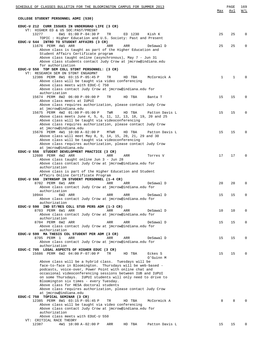| SCHEDULE OF CLASSES BULLETIN FOR THE BLOOMINGTON CAMPUS FOR SUMMER 2013                                                  | <u>Max</u>   | PAGE<br>Avl  | 169<br>W/L  |
|--------------------------------------------------------------------------------------------------------------------------|--------------|--------------|-------------|
| COLLEGE STUDENT PERSONNEL ADMI (530)                                                                                     |              |              |             |
|                                                                                                                          |              |              |             |
| EDUC-U 212 CURR ISSUES IN UNDERGRAD LIFE (3 CR)<br>VT: HIGHER ED & US SOC: PAST/PRESNT                                   |              |              |             |
| 13277<br>6W1 01:00 P-04:30 P<br>TR<br>ED 1230<br>Kish K                                                                  | 25           | 25           | $\Omega$    |
| TOPIC : Higher Education and U.S. Society: Past and Present<br>EDUC-U 544 INTRO TO STUDENT AFFAIRS (3 CR)                |              |              |             |
| 11676 PERM 4W1 ARR<br>ARR<br>ARR<br>DeSawal D                                                                            | 25           | 25           | $\Omega$    |
| Above class is taught as part of the Higher Education and                                                                |              |              |             |
| Student Affairs Certificate program                                                                                      |              |              |             |
| Above class taught online (asynchronous), May 7 - Jun 31<br>Above class students contact Judy Crow at jmcrow@indiana.edu |              |              |             |
| for authorization                                                                                                        |              |              |             |
| EDUC-U 550 TOP SEM COLL STDNT PERSONNEL: (3 CR)                                                                          |              |              |             |
| VT: RESEARCH SEM ON STDNT ENGAGMNT<br>12386 PERM 8W1 03:15 P-05:45 P<br>TR<br>HD TBA<br>McCormick A                      | $\mathbf{1}$ | $\mathbf{1}$ | $\Omega$    |
| Above class will be taught via video conferencing                                                                        |              |              |             |
| Above class meets with EDUC-C 750                                                                                        |              |              |             |
| Above class contact Judy Crow at jmcrow@indiana.edu for<br>authorization                                                 |              |              |             |
| 15674 PERM 8W2 06:00 P-09:00 P<br>TR<br>HD TBA<br>Banta T                                                                | 15           | 15           | $\Omega$    |
| Above class meets at IUPUI                                                                                               |              |              |             |
| Above class requires authorization, please contact Judy Crow                                                             |              |              |             |
| at jmcrow@indiana.edu<br>15675 PERM 4W2 01:00 P-05:00 P<br>TWR<br>HD TBA<br>Patton Davis L                               | 15           | 15           | $\mathbf 0$ |
| Above class meets June 4, 5, 6, 11, 12, 13, 18, 19, 20 and 25                                                            |              |              |             |
| Above class will be taught via videoconferencing                                                                         |              |              |             |
| Above class requires authorization, please contact Judy Crow<br>at jmcrow@indiana.edu                                    |              |              |             |
| 15676 PERM 4W1 10:00 A-02:00 P<br>HD TBA<br>MTWR<br>Patton Davis L                                                       | 15           | 15           | $\Omega$    |
| Above class will meet May 8, 9, 14, 15, 20, 21, 29 and 30                                                                |              |              |             |
| Above class will be taught via videoconferencing                                                                         |              |              |             |
| Above class requires authorization, please contact Judy Crow<br>at jmcrow@indiana.edu                                    |              |              |             |
| EDUC-U 556 STUDENT DEVELOPMENT PRACTICE (3 CR)                                                                           |              |              |             |
| 12600 PERM 4W2 ARR<br>ARR<br>ARR<br>Torres V                                                                             | 17           | 17           | $\Omega$    |
| Above class taught online Jun 3 - Jun 28<br>Above class contact Judy Crow at jmcrow@indiana.edu for                      |              |              |             |
| authorization                                                                                                            |              |              |             |
| Above class is part of the Higher Education and Student                                                                  |              |              |             |
| Affairs Online Certificate Program<br>EDUC-U 560 INTRNSHP IN STUDENT PERSONNEL (1-4 CR)                                  |              |              |             |
| 8702 PERM 6W1 ARR<br>ARR<br>ARR<br>DeSawal D                                                                             | 20           | 20           | $\Omega$    |
| Above class contact Judy Crow at jmcrow@indiana.edu for                                                                  |              |              |             |
| authorization<br>10944                                                                                                   |              | 15           | $\Omega$    |
| 6W2 ARR<br>ARR<br>ARR<br>DeSawal D<br>Above class contact Judy Crow at jmcrow@indiana.edu for                            | 15           |              |             |
| authorization                                                                                                            |              |              |             |
| EDUC-U 590 IND ST/RES COLL STUD PERS ADM (1-3 CR)                                                                        |              |              |             |
| 8703 PERM 6W1 ARR<br>ARR<br>ARR<br>DeSawal D<br>Above class contact Judy Crow at jmcrow@indiana.edu for                  | 10           | 10           | $\mathbf 0$ |
| authorization                                                                                                            |              |              |             |
| 8704 PERM 6W2 ARR<br>ARR<br>ARR<br>DeSawal D                                                                             | 15           | 15           | $\mathbf 0$ |
| Above class contact Judy Crow at jmcrow@indiana.edu for<br>authorization                                                 |              |              |             |
| EDUC-U 599 MA THESIS COL STUDENT PER ADM (3 CR)                                                                          |              |              |             |
| 8705 PERM 1<br>ARR<br>ARR<br>ARR<br>DeSawal D                                                                            | 15           | 15           | 0           |
| Above class contact Judy Crow at jmcrow@indiana.edu for                                                                  |              |              |             |
| authorization<br>EDUC-C 705 LEGAL ASPECTS OF HIGHER EDUC (3 CR)                                                          |              |              |             |
| 15686 PERM 6W2 04:00 P-07:00 P<br>TR<br>HD TBA<br>Eckes S                                                                | 15           | 15           | 0           |
| O'Guinn M                                                                                                                |              |              |             |
| Above class will be a hybrid class. Tuesdays will be<br>face-to-face in Bloomington. Thursdays will be web-based -       |              |              |             |
| podcasts, voice-over, Power Point with online chat and                                                                   |              |              |             |
| occasional videoconferencing sessions between IUB and IUPUI                                                              |              |              |             |
| on some Thursdays. IUPUI students will only need to drive to                                                             |              |              |             |
| Bloomington six times - every Tuesday.<br>Above class for HESA doctoral students                                         |              |              |             |
| Above class requires authorization, please contact Judy Crow                                                             |              |              |             |
| at jmcrow@indiana.edu                                                                                                    |              |              |             |
| EDUC-C 750 TOPICAL SEMINAR (3 CR)<br>12385 PERM 8W1 03:15 P-05:45 P<br>McCormick A<br>TR<br>HD TBA                       | 8            | 8            | $\Omega$    |
| Above class will be taught via video conferencing                                                                        |              |              |             |
| Above class contact Judy Crow at jmcrow@indiana.edu for                                                                  |              |              |             |
| authorization                                                                                                            |              |              |             |
| Above class meets with EDUC-U 550<br>VT: CRITICAL RACE THEORY                                                            |              |              |             |
| 12387<br>4W1 10:00 A-02:00 P<br>ARR<br>HD TBA<br>Patton Davis L                                                          | 15           | 15           | $\Omega$    |
|                                                                                                                          |              |              |             |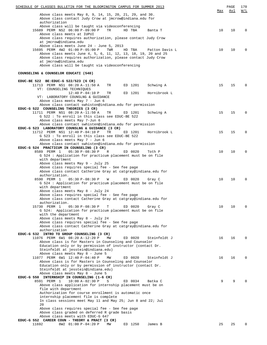| SCHEDULE OF CLASSES BULLETIN FOR THE BLOOMINGTON CAMPUS FOR SUMMER 2013                                                    | Max | PAGE<br>Avl | 170<br>W/L  |
|----------------------------------------------------------------------------------------------------------------------------|-----|-------------|-------------|
| Above class meets May 8, 9, 14, 15, 20, 21, 29, and 30.                                                                    |     |             |             |
| Above class contact Judy Crow at jmcrow@indiana.edu for                                                                    |     |             |             |
| authorization                                                                                                              |     |             |             |
| Above class will be taught via videoconferencing<br>15689 PERM NS2 06:00 P-09:00 P<br>TR<br>HD TBA<br>Banta T              | 10  | 10          | $\mathbf 0$ |
| Above class meets at IUPUI                                                                                                 |     |             |             |
| Above class requires authorization, please contact Judy Crow                                                               |     |             |             |
| at jmcrow@indiana.edu                                                                                                      |     |             |             |
| Above class meets June 24 - June 5, 2013<br>15695 PERM 4W2 01:00 P-05:00 P<br>TWR<br>HD TBA<br>Patton Davis L              | 10  | 10          | $\Omega$    |
| Above class meets June 4, 5, 6, 11, 12, 13, 18, 19, 20 and 25                                                              |     |             |             |
| Above class requires authorization, please contact Judy Crow                                                               |     |             |             |
| at jmcrow@indiana.edu                                                                                                      |     |             |             |
| Above class will be taught via videoconferencing                                                                           |     |             |             |
| COUNSELING & COUNSELOR EDUCATI (540)                                                                                       |     |             |             |
|                                                                                                                            |     |             |             |
| EDUC-BE 522 BE: EDUC-G 522/523 (6 CR)                                                                                      |     | 15          | $\Omega$    |
| 11713 PERM NS1 08:20 A-11:50 A<br>ED 1201<br>Schwing A<br>TR<br>VT: COUNSELING TECHNIQUES                                  | 15  |             |             |
| $12:40 P-04:10 P$<br>TR<br>ED 1201<br>Hornibrook L                                                                         |     |             |             |
| VT: LABORATORY COUNSLNG & GUIDANCE                                                                                         |     |             |             |
| Above class meets May 7 - Jun 6                                                                                            |     |             |             |
| Above class contact swhiston@indiana.edu for permission                                                                    |     |             |             |
| EDUC-G 522 COUNSELING THEORIES (3 CR)                                                                                      |     |             |             |
| 11711 PERM NS1 08:20 A-11:50 A<br>Schwing A<br>TR<br>ED 1201<br>G 522: To enroll in this class see EDUC-BE 522             | 15  | 15          | $\Omega$    |
| Above class meets May 7-Jun 6                                                                                              |     |             |             |
| Above class contact swhisten@indiana.edu for permission                                                                    |     |             |             |
| EDUC-G 523 LABORATORY COUNSLNG & GUIDANCE (3 CR)                                                                           |     |             |             |
| 11712 PERM NS1 12:40 P-04:10 P<br>ED 1201<br>Hornibrook L<br>TR.                                                           | 15  | 15          | 0           |
| G 523 : To enroll in this class see EDUC-BE 522                                                                            |     |             |             |
| Above class meets May 7 - Jun 6                                                                                            |     |             |             |
| Above class contact swhisten@indiana.edu for permission<br>EDUC-G 524 PRACTICUM IN COUNSELING (3 CR)                       |     |             |             |
| 8589 PERM 1<br>$05:30 P-08:30 P$<br>R<br>ED 0020<br>Toth P                                                                 | 10  | 10          | $\Omega$    |
| G 524 : Application for practicum placement must be on file                                                                |     |             |             |
| with department                                                                                                            |     |             |             |
| Above class meets May 9 - July 25                                                                                          |     |             |             |
| Above class requires special fee - See fee page                                                                            |     |             |             |
| Above class contact Catherine Gray at catgray@indiana.edu for<br>authorization.                                            |     |             |             |
| 8590 PERM 1<br>05:30 P-08:30 P<br>ED 0020<br>W<br>Gray C                                                                   | 10  | 10          | $\Omega$    |
| G 524 : Application for practicum placement must be on file                                                                |     |             |             |
| with department                                                                                                            |     |             |             |
| Above class meets May 8 - July 24                                                                                          |     |             |             |
| Above class requires special fee - See fee page                                                                            |     |             |             |
| Above class contact Catherine Gray at catgray@indiana.edu for<br>authorization.                                            |     |             |             |
| 15730 PERM 1<br>$05:30 P-08:30 P$<br>ED 0020<br>Т<br>Gray C                                                                | 10  | 10          | 0           |
| G 524: Application for practicum placement must be on file                                                                 |     |             |             |
| with the department                                                                                                        |     |             |             |
| Above class meets May 8 - July 24                                                                                          |     |             |             |
| Above class requires special fee - See fee page                                                                            |     |             |             |
| Above class contact Catherine Gray at catgray@indiana.edu for<br>authorization                                             |     |             |             |
| EDUC-G 532 INTRO TO GROUP COUNSELING (3 CR)                                                                                |     |             |             |
| 11076 PERM 6W1 08:20 A-12:20 P<br>ED 0020<br>МW<br>Steinfeldt J                                                            | 16  | 16          | 0           |
| Above class is for Masters in Counseling and Counselor                                                                     |     |             |             |
| Education only or by permission of instructor (contact Dr.                                                                 |     |             |             |
| Steinfeldt at jesstein@indiana.edu)                                                                                        |     |             |             |
| Above class meets May 8 - June 5<br>11077 PERM 6W1 12:40 P-04:40 P<br>MW<br>ED 0020<br>Steinfeldt J                        | 16  | 16          | 0           |
| Above class is for Masters in Counseling and Counselor                                                                     |     |             |             |
| Education only or by permission of instructor (contact Dr.                                                                 |     |             |             |
| Steinfeldt at jesstein@indiana.edu)                                                                                        |     |             |             |
| Above class meets May 8 - June 5                                                                                           |     |             |             |
| EDUC-G 550 INTERNSHIP IN COUNSELING (1-6 CR)                                                                               |     |             |             |
| 8591 PERM 1<br>$10:00 A-02:30 P$<br>ED 0034<br>S<br>Batka C<br>Above class application for internship placement must be on | 9   | 9           |             |
| file with department                                                                                                       |     |             |             |
| Authorization for course enrollment is automatic once                                                                      |     |             |             |
| internship placement file is complete                                                                                      |     |             |             |
| In class sessions meet May 11 and May 25; Jun 8 and 22; Jul                                                                |     |             |             |
| 20                                                                                                                         |     |             |             |
| Above class requires special fee - See fee page                                                                            |     |             |             |
| Above class graded on deferred R grade basis<br>Above class meets with EDUC-G 647                                          |     |             |             |
| EDUC-G 552 CAREER COUN - THEORY & PRACT (3 CR)                                                                             |     |             |             |
| 11692<br>8W2 01:00 P-04:20 P<br>ED 1250<br>MW<br>James B                                                                   | 25  | 25          | 0           |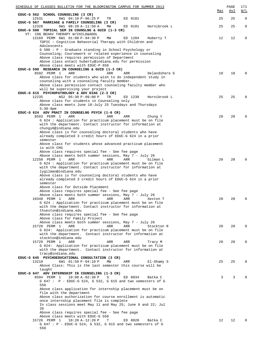| SCHEDULE OF CLASSES BULLETIN FOR THE BLOOMINGTON CAMPUS FOR SUMMER 2013                                                                                                      | <u>Max</u> | PAGE<br><u>Avl</u> | 171<br><u>W/L</u> |
|------------------------------------------------------------------------------------------------------------------------------------------------------------------------------|------------|--------------------|-------------------|
| EDUC-G 562 SCHOOL COUNSELING (3 CR)<br>12531<br>6W1 04:10 P-06:25 P<br>TR<br>ED 0101                                                                                         | 25         | 25                 | $\mathbf 0$       |
| EDUC-G 567 MARRIAGE & FAMILY COUNSELING (3 CR)<br>12328<br>6W1 08:20 A-11:50 A<br>ED 0101<br>Hornibrook L<br>MW                                                              | 25         | 25                 | 0                 |
| EDUC-G 580 TOPICAL SEM IN COUNSLNG & GUID (1-3 CR)<br>VT: COG BEHAV THERAPY W/CHILD&ADOL                                                                                     |            |                    |                   |
| 13169 PERM 6W1 01:00 P-04:30 P<br>ED 1204<br>MW<br>Huberty T<br>TOPIC : Cognitive Behavorial Therapy with Children and                                                       | 12         | 12                 | 0                 |
| Adolescents<br>G 580 : P - Graduate standing in School Psychology or                                                                                                         |            |                    |                   |
| Counseling; Coursework or related experience in counseling<br>Above class requires permission of Department<br>Above class ontact huberty@indiana.edu for permission         |            |                    |                   |
| Above class meets with EDUC-P 650                                                                                                                                            |            |                    |                   |
| EDUC-G 590 RESEARCH IN COUNSELING & GUID (1-3 CR)<br>8592 PERM 1<br>ARR<br>ARR<br>ARR<br>Delandshere G                                                                       | 10         | 10                 | $\Omega$          |
| Above class for students who wish to do independent study in<br>counseling with a counseling faculty member.<br>Above class permission contact counseling faculty member who |            |                    |                   |
| will be supervising your project                                                                                                                                             |            |                    |                   |
| EDUC-G 615 PSYCHOPATHOLOGY & ADV DIAG (2-3 CR)<br>12235<br>NS2 05:30 P-09:00 P<br>ED 1230<br>TR<br>Hornibrook L                                                              | 25         | 25                 | $\Omega$          |
| Above class for students in Counseling only<br>Above class meets June 18-July 25 Tuesdays and Thursdays                                                                      |            |                    |                   |
| $5:30-9$ pm<br>EDUC-G 624 ADV PRACT IN COUNSELNG PSYCH (1-6 CR)                                                                                                              |            |                    |                   |
| 8593 PERM 1<br>ARR<br>ARR<br>ARR<br>Chung Y                                                                                                                                  | 20         | 20                 | $\Omega$          |
| G 624 : Application for practicum placement must be on file<br>with the department. Contact instructor for information at<br>chungy6@indiana.edu                             |            |                    |                   |
| Above class is for counseling doctoral students who have                                                                                                                     |            |                    |                   |
| already completed 3 credit hours of EDUC-G 624 in a prior<br>semester                                                                                                        |            |                    |                   |
| Above class for students whose advanced practicum placement<br>is with CHG                                                                                                   |            |                    |                   |
| Above class requires special fee - See fee page                                                                                                                              |            |                    |                   |
| Above class meets both summer sessions, May 7 - July 26<br>12250 PERM 1<br>ARR<br>ARR<br>ARR<br>Gilman L                                                                     | 20         | 20                 | $\Omega$          |
| G 624 : Application for practicum placement must be on file<br>with the department. Contact instructor for information at                                                    |            |                    |                   |
| lygilman@indiana.edu                                                                                                                                                         |            |                    |                   |
| Above class is for counseling doctoral students who have<br>already completed 3 credit hours of EDUC-G 624 in a prior                                                        |            |                    |                   |
| semester<br>Above class for Outside Placement                                                                                                                                |            |                    |                   |
| Above class requires special fee - See fee page<br>Above class meets both summer sessions, May 7 - July 26                                                                   |            |                    |                   |
| ARR ARR<br>10340 PERM 1 ARR<br>Sexton T                                                                                                                                      | 20         | 20                 |                   |
| G 624 : Application for practicum placement must be on file<br>with the department. Contact instructor for information at                                                    |            |                    |                   |
| thsexton@indiana.edu                                                                                                                                                         |            |                    |                   |
| Above class requires special fee - See fee page<br>Above class for Family Project                                                                                            |            |                    |                   |
| Above class meets both summer sessions, May 7 - July 26<br>15728 PERM 1<br>ARR<br>ARR<br>ARR<br>Stockton R                                                                   | 20         | 20                 | $\Omega$          |
| G 624: Application for practicum placement must be on file                                                                                                                   |            |                    |                   |
| with the department. Contact instructor for information at<br>stockton@indiana.edu                                                                                           |            |                    |                   |
| 15729 PERM 1<br>ARR<br>ARR<br>ARR<br>Tracy M<br>G 624: Application for practicum placement must be on file                                                                   | 20         | 20                 | $\Omega$          |
| with the department. Contact instructor for information at                                                                                                                   |            |                    |                   |
| tracy@indiana.edu<br>EDUC-G 645 PSYCHOEDUCATIONAL CONSULTATION (3 CR)                                                                                                        |            |                    |                   |
| 13210<br>6W1 01:50 P-04:10 P<br>ΜW<br>ARR<br>El-Shamy S<br>Above Class: This is the last semester this course will be                                                        | 25         | 25                 | 0                 |
| taught<br>EDUC-G 647 ADV INTERNSHIP IN COUNSELING (1-3 CR)                                                                                                                   |            |                    |                   |
| 8594 PERM 1<br>$10:00 A-02:30 P$<br>S<br>ED 0034<br>Batka C                                                                                                                  | 3          | 3                  |                   |
| $G$ 647 : $P$ - EDUC-G 524, G 532, G 615 and two semesters of G<br>550                                                                                                       |            |                    |                   |
| Above class application for internship placement must be on<br>file with the department                                                                                      |            |                    |                   |
| Above class authorization for course enrollment is automatic                                                                                                                 |            |                    |                   |
| once internship placement file is complete<br>In class sessions meet May 11 and May 25; June 8 and 22; Jul                                                                   |            |                    |                   |
| 20<br>Above class requires special fee - See fee page                                                                                                                        |            |                    |                   |
| Above class meets with EDUC-G 550                                                                                                                                            |            |                    |                   |
| 15726 PERM 1<br>$10:20 A-12:20 P$<br>Т<br>ED 0020<br>Batka C<br>G $647$ : P – EDUC-G 524, G 532, G $615$ and two semesters of G                                              | 12         | 12                 |                   |
| 550                                                                                                                                                                          |            |                    |                   |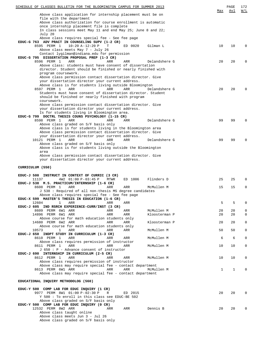|                                         | SCHEDULE OF CLASSES BULLETIN FOR THE BLOOMINGTON CAMPUS FOR SUMMER 2013                            |            |            |                             | Max          | PAGE<br>Avl | 172<br>W/L                 |
|-----------------------------------------|----------------------------------------------------------------------------------------------------|------------|------------|-----------------------------|--------------|-------------|----------------------------|
|                                         | Above class application for internship placement must be on                                        |            |            |                             |              |             |                            |
|                                         | file with the department<br>Above class authorization for course enrollment is automatic           |            |            |                             |              |             |                            |
|                                         | once internship placement file is complete                                                         |            |            |                             |              |             |                            |
| July 20                                 | In class sessions meet May 11 and end May 25; June 8 and 22;                                       |            |            |                             |              |             |                            |
|                                         | Above class requires special fee - See fee page                                                    |            |            |                             |              |             |                            |
| 8595 PERM 1                             | EDUC-G 763 ADV PRACT IN COUNSELING SUPV (1-2 CR)<br>$10:20 A-12:20 P$                              | Т          | ED 0020    | Gilman L                    | 10           | 10          | $\Omega$                   |
|                                         | Above class meets May 7 - July 26                                                                  |            |            |                             |              |             |                            |
|                                         | Contact lygilman@indiana.edu for permission                                                        |            |            |                             |              |             |                            |
| 8596 PERM 1                             | EDUC-G 795 DISSERTATION PROPOSAL PREP (1-3 CR)<br>ARR                                              | ARR        | ARR        | Delandshere G               | 20           | 20          | 0                          |
|                                         | Above class: students must have consent of dissertation                                            |            |            |                             |              |             |                            |
|                                         | director. Student should be finished or nearly finished with<br>program coursework.                |            |            |                             |              |             |                            |
|                                         | Above class permission contact dissertation director. Give                                         |            |            |                             |              |             |                            |
|                                         | your dissertation director your current address.                                                   |            |            |                             |              |             |                            |
| 8597 PERM 1                             | Above class is for students living outside Bloomington<br>ARR                                      | ARR        | ARR        | Delandshere G               | 20           | 20          | $\Omega$                   |
|                                         | Students must have consent of dissertation director. Student                                       |            |            |                             |              |             |                            |
| coursework.                             | should be finished or nearly finished with program                                                 |            |            |                             |              |             |                            |
|                                         | Above class permission contact dissertation director. Give                                         |            |            |                             |              |             |                            |
|                                         | your dissertation director your current address.<br>Is for students living in Bloomington area.    |            |            |                             |              |             |                            |
|                                         | EDUC-G 799 DOCTRL THESIS COUNS PSYCHOLOGY (1-15 CR)                                                |            |            |                             |              |             |                            |
| 8598 PERM 1                             | ARR                                                                                                | ARR        | ARR        | Delandshere G               | 99           | 99          | $\Omega$                   |
|                                         | Above class graded on S/F basis only<br>Above class is for students living in the Bloomington area |            |            |                             |              |             |                            |
|                                         | Above class permission contact dissertation director. Give                                         |            |            |                             |              |             |                            |
| 10121 PERM 1                            | your dissertation director your current address.<br>ARR                                            | ARR        | ARR        | Delandshere G               | 99           | 99          | $\Omega$                   |
|                                         | Above class graded on S/F basis only                                                               |            |            |                             |              |             |                            |
| area                                    | Above class is for students living outside the Bloomington                                         |            |            |                             |              |             |                            |
|                                         | Above class permission contact dissertation director. Give                                         |            |            |                             |              |             |                            |
|                                         | your dissertation director your current address.                                                   |            |            |                             |              |             |                            |
| CURRICULUM (550)                        |                                                                                                    |            |            |                             |              |             |                            |
|                                         | EDUC-J 500 INSTRUCT IN CONTEXT OF CURRIC (3 CR)                                                    |            |            |                             |              |             |                            |
| 11137                                   | 4W2 01:00 P-03:45 P                                                                                | MTWR       | ED 1006    | Flinders D                  | 25           | 25          | $\mathbf 0$                |
|                                         | EDUC-J 538 M.S. PRACTICUM/INTERNSHIP (1-6 CR)                                                      |            |            |                             |              |             |                            |
| 8608 PERM 1                             | ARR<br>J 538 : Required of all non-thesis MS degree candidates                                     | ARR        | ARR        | McMullen M                  | 15           | 15          | $\mathbf 0$                |
|                                         | Above class requires special fee - See fee page                                                    |            |            |                             |              |             |                            |
| 12604                                   | EDUC-X 599 MASTER'S THESIS IN EDUCATION (1-6 CR)<br>$\mathbf{1}$<br>ARR                            | ARR        | ARR        |                             | 5            | 5           | 0                          |
|                                         | EDUC-J 605 IND RSRCH EXPERIENCE-CURR/INST (3 CR)                                                   |            |            |                             |              |             |                            |
| 8609 PERM 6W1 ARR<br>14896 PERM 6W1 ARR |                                                                                                    | ARR<br>ARR | ARR<br>ARR | McMullen M<br>Kloosterman P | 20<br>20     | 20<br>20    | $\mathsf 0$<br>$\mathbf 0$ |
|                                         | Above course for math education students only                                                      |            |            |                             |              |             |                            |
| 14680 PERM 6W2 ARR                      |                                                                                                    | ARR        | ARR        | Kloosterman P               | 20           | 20          | $\mathbf 0$                |
| 10573                                   | Above course for math education students only<br>1<br>ARR                                          | ARR        | ARR        | McMullen M                  | 50           | 50          | $\mathbf 0$                |
|                                         | EDUC-J 650 INDPT STUDY IN CURRICULUM (1-3 CR)                                                      |            |            |                             |              |             |                            |
| 8610 PERM 1                             | ARR<br>Above class requires permission of instructor                                               | ARR        | ARR        | McMullen M                  | 6            | 6           | $\mathbf 0$                |
| 8611 PERM 1                             | ARR                                                                                                | ARR        | ARR        | McMullen M                  | 10           | 10          | $\mathsf{O}$               |
|                                         | $J$ 650 : P - Advance consent of instructor<br>EDUC-J 690 INTERNSHIP IN CURRICULUM (2-5 CR)        |            |            |                             |              |             |                            |
| 8612 PERM 1                             | ARR                                                                                                | ARR        | ARR        | McMullen M                  | 10           | 10          | 0                          |
|                                         | Above class requires permission of instructor                                                      |            |            |                             |              |             |                            |
| 8613 PERM 6W1 ARR                       | Above class may require special fee - contact department                                           | ARR        | ARR        | McMullen M                  | $\mathbf{1}$ | 1           | $\mathbf 0$                |
|                                         | Above class may require special fee - contact department                                           |            |            |                             |              |             |                            |
| EDUCATIONAL INQUIRY METHODOLOG (560)    |                                                                                                    |            |            |                             |              |             |                            |
|                                         |                                                                                                    |            |            |                             |              |             |                            |
|                                         | EDUC-Y 500 COMP LAB FOR EDUC INQUIRY (1 CR)<br>9977 PERM 8W1 01:00 P-02:30 P                       | R          | ED 2015    |                             | 20           | 20          | 0                          |
|                                         | Y 500 : To enroll in this class see EDUC-BE 502                                                    |            |            |                             |              |             |                            |
|                                         | Above class graded on S/F basis only<br>EDUC-Y 500 COMP LAB FOR EDUC INQUIRY (0 CR)                |            |            |                             |              |             |                            |
| 12532 PERM 8W2 ARR                      |                                                                                                    | ARR        | ARR        | Dennis B                    | 20           | 20          | 0                          |
|                                         | Above class taught online<br>Above class meets Jun 3 - Jul 26                                      |            |            |                             |              |             |                            |
|                                         | Above class graded on S/F basis only                                                               |            |            |                             |              |             |                            |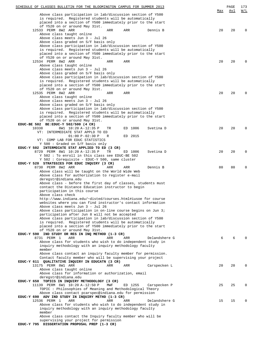| SCHEDULE OF CLASSES BULLETIN FOR THE BLOOMINGTON CAMPUS FOR SUMMER 2013                                                | <u>Max</u> | PAGE<br><u>Avl</u> | 173<br>W/L |
|------------------------------------------------------------------------------------------------------------------------|------------|--------------------|------------|
| Above class participation in lab/discussion section of Y500                                                            |            |                    |            |
| is required. Registered students will be automatically<br>placed into a section of Y500 immediately prior to the start |            |                    |            |
| of Y520 on or around May 31st.                                                                                         |            |                    |            |
| 12533 PERM 8W2 ARR<br>ARR<br>ARR<br>Dennis B<br>Above class taught online                                              | 20         | 20                 | 0          |
| Above class meets Jun 3 - Jul 26                                                                                       |            |                    |            |
| Above class graded on S/F basis only                                                                                   |            |                    |            |
| Above class participation in lab/discussion section of Y500<br>is required. Registered students will be automatically  |            |                    |            |
| placed into a section of Y500 immediately prior to the start                                                           |            |                    |            |
| of Y520 on or around May 31st.                                                                                         | 20         | 20                 | 0          |
| 12534 PERM 8W2 ARR<br>ARR<br>ARR<br>Above class taught online                                                          |            |                    |            |
| Above class meets Jun 3 - Jul 26                                                                                       |            |                    |            |
| Above class graded on S/F basis only<br>Above class participation in lab/discussion section of Y500                    |            |                    |            |
| is required. Registered students will be automatically                                                                 |            |                    |            |
| placed into a section of Y500 immediately prior to the start                                                           |            |                    |            |
| of Y520 on or around May 31st.<br>12535 PERM 8W2 ARR<br>ARR<br>ARR                                                     | 20         | 20                 | 0          |
| Above class taught online                                                                                              |            |                    |            |
| Above class meets Jun 3 - Jul 26                                                                                       |            |                    |            |
| Above class graded on S/F basis only<br>Above class participation in lab/discussion section of Y500                    |            |                    |            |
| is required. Registered students will be automatically                                                                 |            |                    |            |
| placed into a section of Y500 immediately prior to the start                                                           |            |                    |            |
| of Y520 on or around May 31st.<br>EDUC-BE 502 BE: EDUC-Y 502/500 (4 CR)                                                |            |                    |            |
| 10338<br>ED 1006<br>8W1 10:20 A-12:35 P<br>Svetina D<br>TR                                                             | 20         | 20                 | 0          |
| VT: INTERMEDIATE STAT APPLD TO ED<br>$01:00 P-02:30 P$<br>ED 2015<br>R                                                 |            |                    |            |
| VT: COMP LAB FOR EDUC STATISTICS                                                                                       |            |                    |            |
| Y 500 : Graded on S/F basis only                                                                                       |            |                    |            |
| EDUC-Y 502 INTERMDIATE STAT APPLIED TO ED (3 CR)<br>8729 PERM 8W1 10:20 A-12:35 P<br>Svetina D<br>TR<br>ED 1006        | 20         | 20                 | 0          |
| Y 502: To enroll in this class see EDUC-BE 502                                                                         |            |                    |            |
| Y 502 : Corequisite - EDUC-Y 500, same cluster                                                                         |            |                    |            |
| EDUC-Y 520 STRATEGIES FOR EDUC INQUIRY (3 CR)<br>8730 PERM 8W2 ARR<br>ARR<br>ARR<br>Dennis B                           | 80         | 80                 | 0          |
| Above class will be taught on the World Wide Web                                                                       |            |                    |            |
| Above class for authorization to register e-mail<br>deregstr@indiana.edu                                               |            |                    |            |
| Above class - before the first day of classes, students must                                                           |            |                    |            |
| contact the Distance Education instructor to begin                                                                     |            |                    |            |
| participation in this course<br>Above class check                                                                      |            |                    |            |
| http://www.indiana.edu/~disted/courses.html#iusoe for course                                                           |            |                    |            |
| websites where you can find instructor's contact information<br>Above class meets Jun 3 - Jul 26                       |            |                    |            |
| Above class participation in on-line course begins on Jun 3;                                                           |            |                    |            |
| participation after Jun 8 will not be accepted                                                                         |            |                    |            |
| Above class participation in lab/discussion section of Y500<br>is required. Registered students will be automatically  |            |                    |            |
| placed into a section of Y500 immediately prior to the start                                                           |            |                    |            |
| of Y520 on or around May 31st.                                                                                         |            |                    |            |
| EDUC-Y 590 IND STUDY OR RES IN INQ METHOD (1-3 CR)<br>8731 PERM 1<br>ARR<br>ARR<br>ARR<br>Delandshere G                | 6          | 6                  |            |
| Above class for students who wish to do independent study in                                                           |            |                    |            |
| inquiry methodology with an inquiry methodology faculty                                                                |            |                    |            |
| member<br>Above class contact an inquiry faculty member for permission.                                                |            |                    |            |
| Contact faculty member who will be supervising your project                                                            |            |                    |            |
| EDUC-Y 611 QUALITATIVE INQUIRY IN EDUCATN (3 CR)<br>13175 PERM 8W1 ARR                                                 | 20         | 20                 | 0          |
| ARR<br>ARR<br>Carspecken L<br>Above class taught online                                                                |            |                    |            |
| Above class for information or authorization, email                                                                    |            |                    |            |
| deregstr@indiana.edu<br>EDUC-Y 650 TOPICS IN INQUIRY METHODOLOGY (3 CR)                                                |            |                    |            |
| 11139 PERM 6W1 10:20 A-12:50 P<br>MWF<br>ED 1255<br>Carspecken P                                                       | 25         | 25                 | 0          |
| TOPIC : Philosophies of Meaning and Methodological Theory                                                              |            |                    |            |
| Above class contact pcarspec@indiana.edu for permission<br>EDUC-Y 690 ADV IND STUDY IN INQUIRY METHD (1-3 CR)          |            |                    |            |
| 12536 PERM 1<br>ARR<br>ARR<br>ARR<br>Delandshere G                                                                     | 15         | 15                 |            |
| Above class for students who wish to do independent study in                                                           |            |                    |            |
| inquiry methodology with an inquiry methodology faculty<br>member                                                      |            |                    |            |
| Above class contact the Inquiry faculty member who will be                                                             |            |                    |            |
| supervising your project for permission                                                                                |            |                    |            |
| EDUC-Y 795 DISSERTATION PROPOSAL PREP (1-3 CR)                                                                         |            |                    |            |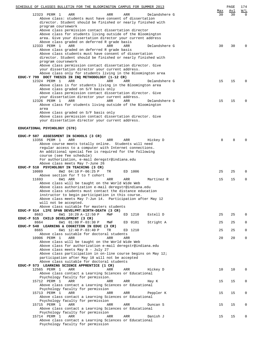| SCHEDULE OF CLASSES BULLETIN FOR THE BLOOMINGTON CAMPUS FOR SUMMER 2013                                            |                  | PAGE      | 174             |
|--------------------------------------------------------------------------------------------------------------------|------------------|-----------|-----------------|
| 12323 PERM 1<br>ARR<br>ARR<br>ARR<br>Delandshere G                                                                 | <u>Max</u><br>30 | Avl<br>30 | W/L<br>$\Omega$ |
| Above class: students must have consent of dissertation                                                            |                  |           |                 |
| director. Student should be finished or nearly finished with                                                       |                  |           |                 |
| program coursework<br>Above class permission contact dissertation director                                         |                  |           |                 |
| Above class for students living outside of the Bloomington                                                         |                  |           |                 |
| area. Give your dissertation director your current address                                                         |                  |           |                 |
| Above class graded on deferred R grade basis<br>12333 PERM 1<br>ARR<br>Delandshere G<br>ARR<br>ARR                 | 30               | 30        | $\Omega$        |
| Above class graded on deferred R grade basis                                                                       |                  |           |                 |
| Above class students must have consent of dissertation                                                             |                  |           |                 |
| director. Student should be finished or nearly finished with                                                       |                  |           |                 |
| program coursework<br>Above class permission contact dissertation director. Give                                   |                  |           |                 |
| your dissertation director your current address.                                                                   |                  |           |                 |
| Above class only for students living in the Bloomington area                                                       |                  |           |                 |
| EDUC-Y 799 DOCT THESIS IN INQ METHODOLOGY (1-12 CR)                                                                |                  |           |                 |
| 12324 PERM 1<br>ARR<br>ARR<br>ARR<br>Delandshere G                                                                 | 15               | 15        | $\Omega$        |
| Above class is for students living in the Bloomington area<br>Above class graded on S/F basis only                 |                  |           |                 |
| Above class permission contact dissertation director. Give                                                         |                  |           |                 |
| your dissertation director your current address.                                                                   |                  |           |                 |
| 12326 PERM 1<br>ARR<br>ARR<br>ARR<br>Delandshere G                                                                 | 15               | 15        | $\Omega$        |
| Above class for students living outside of the Bloomington<br>area                                                 |                  |           |                 |
| Above class graded on S/F basis only                                                                               |                  |           |                 |
| Above class permission contact dissertation director. Give                                                         |                  |           |                 |
| your dissertation director your current address.                                                                   |                  |           |                 |
| EDUCATIONAL PSYCHOLOGY (570)                                                                                       |                  |           |                 |
|                                                                                                                    |                  |           |                 |
| EDUC-P 507 ASSESSMENT IN SCHOOLS (3 CR)                                                                            |                  |           |                 |
| 13356 PERM 1<br>ARR<br>ARR<br>ARR<br>Hickey D                                                                      | 8                | 8         |                 |
| Above course meets totally online. Students will need                                                              |                  |           |                 |
| regular access to a computer with Internet connections.<br>An additional special fee is required for the following |                  |           |                 |
| course (see fee schedule)                                                                                          |                  |           |                 |
| For authorization, e-mail deregstr@indiana.edu                                                                     |                  |           |                 |
| Above class meets May 7-June 26                                                                                    |                  |           |                 |
| EDUC-P 510 PSYCHOLOGY IN TEACHING (3 CR)<br>10089<br>8W2 04:10 P-06:25 P<br>TR<br>ED 1006                          | 25               | 25        | 0               |
| Above section for T to T cohort                                                                                    |                  |           |                 |
| 11693<br>6W1 ARR<br>Martinez R<br>ARR<br>ARR                                                                       | 15               | 15        | $\mathbf 0$     |
| Above class will be taught on the World Wide Web                                                                   |                  |           |                 |
| Above class authorization e-mail deregstr@indiana.edu<br>Above class students must contact the distance education  |                  |           |                 |
| instructor to begin participation in this course.                                                                  |                  |           |                 |
| Above class meets May 7-Jun 14. Participation after May 12                                                         |                  |           |                 |
| will not be accepted.                                                                                              |                  |           |                 |
| Above class suitable for masters students<br>EDUC-P 514 LIFE SPAN DEVELPMT:BIRTH-DEATH (3 CR)                      |                  |           |                 |
| 8663<br>6W1 10:20 A-12:50 P<br>MWF<br>ED 1210<br>Estell D                                                          | 25               | 25        | $\mathbf 0$     |
| EDUC-P 515 CHILD DEVELOPMENT (3 CR)                                                                                |                  |           |                 |
| 8664<br>6W1 01:00 P-03:30 P<br>ED 0101<br>Stright A<br>MWF                                                         | 25               | 25        | $\mathbf 0$     |
| EDUC-P 540 LEARNING & COGNITION IN EDUC (3 CR)<br>8665<br>6W1 12:40 P-03:40 P<br>TR<br>ED 1210                     | 25               | 25        | $\mathbf 0$     |
| Above class suitable for doctoral students                                                                         |                  |           |                 |
| 10906 PERM 1<br>ARR<br>ARR<br><b>ARR</b>                                                                           | 20               | 20        | 0               |
| Above class will be taught on the World Wide Web                                                                   |                  |           |                 |
| Above class for authorization e-mail deregstr@indiana.edu                                                          |                  |           |                 |
| Above class meets May 8 - July 27<br>Above class participation in on-line course begins on May $12i$               |                  |           |                 |
| participation after May 18 will not be accepted                                                                    |                  |           |                 |
| Above class suitable for doctoral students                                                                         |                  |           |                 |
| EDUC-P 573 LEARNING SCIENCE APPRENTICE (1 CR)                                                                      |                  |           |                 |
| 12565 PERM 1<br>ARR<br>ARR<br>ARR<br>Hickey D<br>Above class contact a Learning Sciences or Educational            | 10               | 10        | 0               |
| Psychology faculty for permission.                                                                                 |                  |           |                 |
| 15712 PERM 1<br>ARR<br>ARR<br>ARR<br>Hay K                                                                         | 15               | 15        | $\mathbf 0$     |
| Above class contact a Learning Sciences or Educational                                                             |                  |           |                 |
| Psychology faculty for permission<br>15713 PERM 1<br>ARR<br>ARR<br>ARR<br>Peppler K                                | 15               | 15        | 0               |
| Above class contact a Learning Sciences or Educational                                                             |                  |           |                 |
| Psychology faculty for permission                                                                                  |                  |           |                 |
| 15715 PERM 1<br>ARR<br>ARR<br>ARR<br>Duncan S                                                                      | 15               | 15        | 0               |
| Above class contact a Learning Sciences or Educational                                                             |                  |           |                 |
| Psychology faculty for permission<br>15714 PERM 1<br>ARR<br>ARR<br>Danish J<br>ARR                                 | 15               | 15        | 0               |
| Above class contact a Learning Sciences or Educational                                                             |                  |           |                 |
| Psychology faculty for permission                                                                                  |                  |           |                 |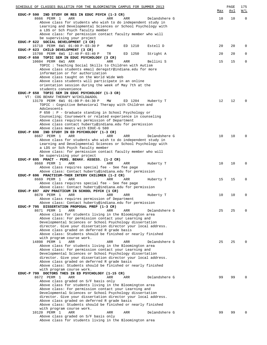| SCHEDULE OF CLASSES BULLETIN FOR THE BLOOMINGTON CAMPUS FOR SUMMER 2013                                           |     | PAGE         | 175         |
|-------------------------------------------------------------------------------------------------------------------|-----|--------------|-------------|
| EDUC-P 590 IND STUDY OR RES IN EDUC PSYCH (1-3 CR)                                                                | Max | Avl          | W/L         |
| 8666 PERM 1<br>ARR<br>ARR<br>ARR<br>Delandshere G                                                                 | 10  | 10           | $\mathbf 0$ |
| Above class for students who wish to do independent study in                                                      |     |              |             |
| Learning and Developmental Sciences or School Psychology with<br>a LDS or Sch Psych faculty member                |     |              |             |
| Above class: for permission contact faculty member who will                                                       |     |              |             |
| be supervising your project                                                                                       |     |              |             |
| EDUC-P 622 SOCIAL DEVELOPMENT (3 CR)                                                                              |     |              |             |
| 15710 PERM 6W1 01:00 P-03:30 P<br>ED 1210<br>Estell D<br>MWF                                                      | 20  | 20           | $\Omega$    |
| EDUC-P 623 CHILD DEVELOPMENT (3 CR)<br>15708 PERM 6W1 12:40 P-03:40 P<br>ED 1250<br>TR<br>Stright A               | 20  | 20           | $\Omega$    |
| EDUC-P 650 TOPIC SEM IN EDUC PSYCHOLOGY (3 CR)                                                                    |     |              |             |
| 10604 PERM 6W1 ARR<br>ARR<br>Bellini S<br>ARR                                                                     | 15  | 15           | 0           |
| TOPIC: Teaching Social Skills to Children with Autism                                                             |     |              |             |
| Above class students email deregstr@indiana.edu for more                                                          |     |              |             |
| information or for authorization                                                                                  |     |              |             |
| Above class taught on the World Wide Web<br>Above class students will participate in an online                    |     |              |             |
| orientation session during the week of May 7th at the                                                             |     |              |             |
| students convenience                                                                                              |     |              |             |
| EDUC-P 650 TOPIC SEM IN EDUC PSYCHOLOGY (1-3 CR)                                                                  |     |              |             |
| VT: COG BEHAV THERAPY W/CHILD&ADOL                                                                                |     |              |             |
| 13170 PERM 6W1 01:00 P-04:30 P<br>MW<br>ED 1204<br>Huberty T                                                      | 12  | $12^{\circ}$ | $\Omega$    |
| TOPIC: Cognitive Behavioral Therapy with Children and<br>Adolescents                                              |     |              |             |
| P 650 : P - Graduate standing in School Psychology or                                                             |     |              |             |
| Counseling; Coursework or related experience in counseling                                                        |     |              |             |
| Above class requires permission of Department                                                                     |     |              |             |
| Above class contact huberty@indiana.edu for permission                                                            |     |              |             |
| Above class meets with EDUC-G 580                                                                                 |     |              |             |
| EDUC-P 690 IND STUDY IN ED PSYCHOLOGY (1-3 CR)<br>8667 PERM 1<br>ARR<br>ARR<br>ARR<br>Delandshere G               | 10  | 10           | $\Omega$    |
| Above class for students who wish to do independent study in                                                      |     |              |             |
| Learning and Developmental Sciences or School Psychology with                                                     |     |              |             |
| a LDS or Sch Psych faculty member                                                                                 |     |              |             |
| Above class: for permission contact faculty member who will                                                       |     |              |             |
| be supervising your project                                                                                       |     |              |             |
| EDUC-P 695 PRACT - PERS. BEHAV. ASSESS. (1-2 CR)<br>8668 PERM 1<br>ARR<br>Huberty T<br>ARR<br>ARR                 | 10  | 10           | $\Omega$    |
| Above class requires special fee - See fee page                                                                   |     |              |             |
| Above class: Contact huberty@indiana.edu for permission                                                           |     |              |             |
| EDUC-P 696 PRACTICUM-THER INTERV CHILDREN (1-2 CR)                                                                |     |              |             |
| 8669 PERM 1<br>ARR<br>Huberty T<br>ARR<br>ARR                                                                     | 15  | 15           | 0           |
| Above class requires special fee - See fee page                                                                   |     |              |             |
| Above class: Contact huberty@indiana.edu for permission<br>EDUC-P 697 ADV PRACTICUM IN SCHOOL PSYCH (1 CR)        |     |              |             |
| 8670 PERM 1<br>ARR<br>ARR<br>ARR<br>Huberty T                                                                     | 10  | 10           | 0           |
| Above class requires permission of Department                                                                     |     |              |             |
| Above class: Contact huberty@indiana.edu for permission                                                           |     |              |             |
| EDUC-P 795 DISSERTATION PROPOSAL PREP (1-3 CR)                                                                    |     |              |             |
| 8671 PERM 1<br>ARR<br>ARR<br>ARR<br>Delandshere G                                                                 | 25  | 25           | $\Omega$    |
| Above class for students living in the Bloomington area                                                           |     |              |             |
| Above class: For permission contact your Learning and<br>Developmental Sciences or School Psychology dissertation |     |              |             |
| director. Give your dissertation director your local address.                                                     |     |              |             |
| Above class graded on deferred R grade basis                                                                      |     |              |             |
| Above class: Students should be finished or nearly finished                                                       |     |              |             |
| with program course work.                                                                                         |     |              |             |
| 14898 PERM 1<br>ARR<br>ARR<br>Delandshere G<br>ARR                                                                | 25  | 25           | 0           |
| Above class for students living in the Bloomington area<br>Above class: For permission contact your Learning and  |     |              |             |
| Developmental Sciences or School Psychology dissertation                                                          |     |              |             |
| director. Give your dissertation director your local address.                                                     |     |              |             |
| Above class graded on deferred R grade basis                                                                      |     |              |             |
| Above class: Students should be finished or nearly finished                                                       |     |              |             |
| with program course work.<br>EDUC-P 799 DOCTORS THES IN ED PSYCHOLOGY (1-15 CR)                                   |     |              |             |
| Delandshere G<br>8672 PERM 1<br>ARR<br>ARR<br>ARR                                                                 | 99  | 99           |             |
| Above class graded on S/F basis only                                                                              |     |              |             |
| Above class for students living in the Bloomington area                                                           |     |              |             |
| Above class: For permission contact your Learning and                                                             |     |              |             |
| Developmental Sciences or School Psychology dissertation                                                          |     |              |             |
| director. Give your dissertation director your local address.<br>Above class graded on deferred R grade basis     |     |              |             |
| Above class: Students should be finished or nearly finished                                                       |     |              |             |
| with program course work.                                                                                         |     |              |             |
| Delandshere G<br>10120 PERM 1<br>ARR<br>ARR<br>ARR                                                                | 99  | 99           |             |
| Above class graded on S/F basis only                                                                              |     |              |             |
| Above class for students living in the Bloomington area                                                           |     |              |             |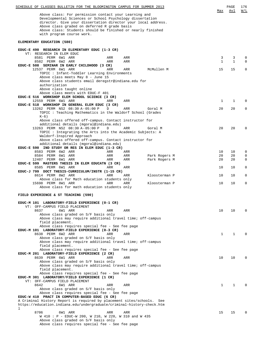| SCHEDULE OF CLASSES BULLETIN FOR THE BLOOMINGTON CAMPUS FOR SUMMER 2013                                                                                                                                                                                                                                                        |              | PAGE     | 176<br>W/L |
|--------------------------------------------------------------------------------------------------------------------------------------------------------------------------------------------------------------------------------------------------------------------------------------------------------------------------------|--------------|----------|------------|
| Above class: For permission contact your Learning and<br>Developmental Sciences or School Psychology dissertation<br>director. Give your dissertation director your local address.<br>Above class graded on deferred R grade basis<br>Above class: Students should be finished or nearly finished<br>with program course work. | Max          | Avl      |            |
| ELEMENTARY EDUCATION (580)                                                                                                                                                                                                                                                                                                     |              |          |            |
| EDUC-E 490 RESEARCH IN ELEMENTARY EDUC (1-3 CR)                                                                                                                                                                                                                                                                                |              |          |            |
| VT: RESEARCH IN ELEM EDUC<br>8581 PERM 6W1 ARR<br>ARR<br>ARR                                                                                                                                                                                                                                                                   | 3            | 3        | 0          |
| 8582 PERM 6W2 ARR<br>ARR<br>ARR                                                                                                                                                                                                                                                                                                | 1            | 1        | $\Omega$   |
| EDUC-E 508 SEMINAR IN EARLY CHILDHOOD (3 CR)<br>12537 PERM 6W1 ARR<br>McMullen M<br>ARR<br>ARR                                                                                                                                                                                                                                 | 15           | 15       | 0          |
| TOPIC: Infant-Toddler Learning Environments                                                                                                                                                                                                                                                                                    |              |          |            |
| Above class meets May 8 - June 15<br>Above class students email deregstr@indiana.edu for                                                                                                                                                                                                                                       |              |          |            |
| authorization                                                                                                                                                                                                                                                                                                                  |              |          |            |
| Above class taught online<br>Above class meets with EDUC-F 401                                                                                                                                                                                                                                                                 |              |          |            |
| EDUC-E 516 WORKSHOP ELEM SCHOOL SCIENCE (3 CR)                                                                                                                                                                                                                                                                                 |              |          |            |
| 12559 PERM 6W1 ARR<br>ARR<br>ARR<br>EDUC-E 518 WORKSHOP IN GENERAL ELEM EDUC (3 CR)                                                                                                                                                                                                                                            | $\mathbf 1$  | 1        | 0          |
| 13262 PERM NS2 08:30 A-05:00 P<br>D<br>ARR<br>Goral M                                                                                                                                                                                                                                                                          | 20           | 20       | 0          |
| TOPIC: Teaching Mathematics in the Waldorf School (Grades<br>$K-6$ )                                                                                                                                                                                                                                                           |              |          |            |
| Above class offered off-campus. Contact instructor for                                                                                                                                                                                                                                                                         |              |          |            |
| additional details (mgoral@indiana.edu)<br>13263 PERM NS2 08:30 A-05:00 P<br>D<br>ARR<br>Goral M                                                                                                                                                                                                                               | 20           | 20       | 0          |
| TOPIC: Integrating the Arts into the Academic Subjects: A                                                                                                                                                                                                                                                                      |              |          |            |
| Waldorf-Inspired Approach<br>Above class offered off-campus. Contact instructor for                                                                                                                                                                                                                                            |              |          |            |
| additional details (mgoral@indiana.edu)                                                                                                                                                                                                                                                                                        |              |          |            |
| EDUC-E 590 IND STUDY OR RES IN ELEM EDUC (1-3 CR)                                                                                                                                                                                                                                                                              |              |          |            |
| 8583 PERM 6W2 ARR<br>ARR<br>ARR<br>8584 PERM 6W1 ARR<br>Park Rogers M<br>ARR<br>ARR                                                                                                                                                                                                                                            | 10<br>20     | 10<br>20 | 0<br>0     |
| 12407 PERM 6W1 ARR<br>ARR<br>ARR<br>Park Rogers M                                                                                                                                                                                                                                                                              | 20           | 20       | 0          |
| EDUC-E 599 MASTERS THESIS IN ELEM EDUCATN (3 CR)<br>8585 PERM 6W1 ARR<br>ARR<br>ARR                                                                                                                                                                                                                                            | 10           | 10       | 0          |
| EDUC-J 799 DOCT THESIS-CURRICULUM/INSTR (1-15 CR)                                                                                                                                                                                                                                                                              |              |          |            |
| 8614 PERM 8W2 ARR<br>ARR<br>ARR<br>Kloosterman P<br>Above class for Math education students only                                                                                                                                                                                                                               | 10           | 10       | 0          |
| 15698 PERM 8W1 ARR<br>ARR<br>ARR<br>Kloosterman P                                                                                                                                                                                                                                                                              | 10           | 10       | 0          |
| Above class for math education students only                                                                                                                                                                                                                                                                                   |              |          |            |
| FIELD EXPERIENCE & ST TEACHING (590)                                                                                                                                                                                                                                                                                           |              |          |            |
| EDUC-M 101 LABORATORY-FIELD EXPERIENCE (0-1 CR)                                                                                                                                                                                                                                                                                |              |          |            |
| VT: OFF-CAMPUS FIELD PLACEMENT                                                                                                                                                                                                                                                                                                 |              |          |            |
| 8637<br>6W1 ARR<br>ARR<br>ARR<br>Above class graded on S/F basis only                                                                                                                                                                                                                                                          | 10           | 10       |            |
| Above class may require additional travel time; off-campus                                                                                                                                                                                                                                                                     |              |          |            |
| field placement.<br>Above class requires special fee - See fee page                                                                                                                                                                                                                                                            |              |          |            |
| EDUC-M 101 LABORATORY-FIELD EXPERIENCE (0-3 CR)                                                                                                                                                                                                                                                                                |              |          |            |
| 8638 PERM 6W2 ARR<br>ARR<br>ARR<br>Above class graded on S/F basis only                                                                                                                                                                                                                                                        | $\mathbf{1}$ | 1        |            |
| Above class may require additional travel time; off-campus                                                                                                                                                                                                                                                                     |              |          |            |
| field placement.                                                                                                                                                                                                                                                                                                               |              |          |            |
| Above class requires special fee - See fee page<br>EDUC-M 201 LABORATORY-FIELD EXPERIENCE (2 CR)                                                                                                                                                                                                                               |              |          |            |
| 8639 PERM 6W1 ARR<br>ARR<br>ARR                                                                                                                                                                                                                                                                                                | 10           | 10       |            |
| Above class graded on S/F basis only<br>Above class may require additional travel time; off-campus                                                                                                                                                                                                                             |              |          |            |
| field placement.                                                                                                                                                                                                                                                                                                               |              |          |            |
| Above class requires special fee - See fee page<br>EDUC-M 301 LABORATORY/FIELD EXPERIENCE (1 CR)                                                                                                                                                                                                                               |              |          |            |
| VT: OFF-CAMPUS FIELD PLACEMENT                                                                                                                                                                                                                                                                                                 |              |          |            |
| 8642<br>6W1 ARR<br>ARR<br>ARR<br>Above class graded on S/F basis only                                                                                                                                                                                                                                                          | $\mathbf{1}$ | 1        |            |
| Above class requires special fee - See fee page                                                                                                                                                                                                                                                                                |              |          |            |
| EDUC-W 410 PRACT IN COMPUTER-BASED EDUC (6 CR)                                                                                                                                                                                                                                                                                 |              |          |            |
| A Criminal History Report is required by placement sites/schools.<br>See<br>https://education.indiana.edu/undergraduate/criminal-history-check.htm                                                                                                                                                                             |              |          |            |
| 1                                                                                                                                                                                                                                                                                                                              |              |          |            |
| 8706<br>6W1 ARR<br>ARR<br>ARR<br>W 410 : P - EDUC-W 200, W 210, W 220, W 310 and W 435                                                                                                                                                                                                                                         | 15           | 15       |            |
| Above class graded on S/F basis only                                                                                                                                                                                                                                                                                           |              |          |            |
| Above class requires special fee - See fee page                                                                                                                                                                                                                                                                                |              |          |            |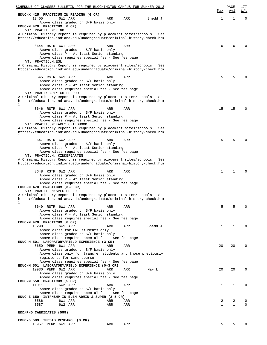| SCHEDULE OF CLASSES BULLETIN FOR THE BLOOMINGTON CAMPUS FOR SUMMER 2013                                                                          |                |              | PAGE         | 177                                               |
|--------------------------------------------------------------------------------------------------------------------------------------------------|----------------|--------------|--------------|---------------------------------------------------|
| EDUC-X 425 PRACTICUM IN READING (6 CR)                                                                                                           |                | Max          | Avl          | $\overline{\texttt{W}}$ / $\overline{\texttt{L}}$ |
| 13405<br>6W1 ARR<br>ARR                                                                                                                          | Shedd J<br>ARR | 1            | 1            | $\mathbf 0$                                       |
| Above class graded on S/F basis only<br>EDUC-M 470 PRACTICUM (6 CR)                                                                              |                |              |              |                                                   |
| VT: PRACTICUM: KIND<br>A Criminal History Report is required by placement sites/schools.                                                         | See            |              |              |                                                   |
| https://education.indiana.edu/undergraduate/criminal-history-check.htm<br>1                                                                      |                |              |              |                                                   |
| 8644 RSTR 6W1 ARR<br>ARR                                                                                                                         | ARR            | 6            | 6            |                                                   |
| Above class graded on S/F basis only<br>Above class P - At least Senior standing                                                                 |                |              |              |                                                   |
| Above class requires special fee - See fee page                                                                                                  |                |              |              |                                                   |
| VT: PRACTICUM: ESL<br>A Criminal History Report is required by placement sites/schools.                                                          | See            |              |              |                                                   |
| https://education.indiana.edu/undergraduate/criminal-history-check.htm<br>1                                                                      |                |              |              |                                                   |
| 8645 RSTR 6W1 ARR<br>ARR                                                                                                                         | ARR            | 5            | 5            |                                                   |
| Above class graded on S/F basis only<br>Above class P - At least Senior standing                                                                 |                |              |              |                                                   |
| Above class requires special fee - See fee page                                                                                                  |                |              |              |                                                   |
| VT: PRACT: EARLY CHILDHOOD                                                                                                                       |                |              |              |                                                   |
| A Criminal History Report is required by placement sites/schools.<br>https://education.indiana.edu/undergraduate/criminal-history-check.htm<br>1 | See            |              |              |                                                   |
| 8646 RSTR 6W1 ARR<br>ARR                                                                                                                         | ARR            | 15           | 15           |                                                   |
| Above class graded on S/F basis only                                                                                                             |                |              |              |                                                   |
| Above class P - At least Senior standing<br>Above class requires special fee - See fee page                                                      |                |              |              |                                                   |
| VT: PRACTICUM: EARLY CHILDHOOD                                                                                                                   |                |              |              |                                                   |
| A Criminal History Report is required by placement sites/schools.<br>https://education.indiana.edu/undergraduate/criminal-history-check.htm      | See            |              |              |                                                   |
| 1<br>8647 RSTR 6W2 ARR<br>ARR                                                                                                                    | ARR            | 15           | 15           | 0                                                 |
| Above class graded on S/F basis only                                                                                                             |                |              |              |                                                   |
| Above class P - At least Senior standing                                                                                                         |                |              |              |                                                   |
| Above class requires special fee - See fee page<br>VT: PRACTICUM: KINDERGARTEN                                                                   |                |              |              |                                                   |
| A Criminal History Report is required by placement sites/schools.<br>https://education.indiana.edu/undergraduate/criminal-history-check.htm<br>1 | See            |              |              |                                                   |
| 8648 RSTR 6W2 ARR<br>ARR                                                                                                                         | ARR            | 1            | 1            |                                                   |
| Above class graded on S/F basis only                                                                                                             |                |              |              |                                                   |
| Above class P - At least Senior standing<br>Above class requires special fee - See fee page                                                      |                |              |              |                                                   |
| EDUC-M 470 PRACTICUM (3-8 CR)                                                                                                                    |                |              |              |                                                   |
| VT: PRACTICUM: SPEC ED-LD                                                                                                                        |                |              |              |                                                   |
| A Criminal History Report is required by placement sites/schools.<br>https://education.indiana.edu/undergraduate/criminal-history-check.htm<br>1 | See            |              |              |                                                   |
| 8649 RSTR 6W1 ARR<br>ARR                                                                                                                         | ARR            | 5            | 5            |                                                   |
| Above class graded on S/F basis only                                                                                                             |                |              |              |                                                   |
| Above class P - At least Senior standing<br>Above class requires special fee - See fee page                                                      |                |              |              |                                                   |
| EDUC-M 470 PRACTICUM (6 CR)                                                                                                                      |                |              |              |                                                   |
| 13298<br>6W1 ARR<br>ARR<br>Above class for ENL students only                                                                                     | ARR<br>Shedd J | 1            | 1            |                                                   |
| Above class graded on S/F basis only                                                                                                             |                |              |              |                                                   |
| Above class requires special fee - See fee page                                                                                                  |                |              |              |                                                   |
| EDUC-M 501 LABORATORY/FIELD EXPERIENCE (3 CR)<br>8650 PERM 6W1 ARR<br>ARR                                                                        | ARR            | 20           | 20           |                                                   |
| Above class graded on S/F basis only                                                                                                             |                |              |              |                                                   |
| Above class only for transfer students and those previously                                                                                      |                |              |              |                                                   |
| registered for same course<br>Above class requires special fee - See fee page                                                                    |                |              |              |                                                   |
| EDUC-M 501 LABORATORY/FIELD EXPERIENCE (0-3 CR)                                                                                                  |                |              |              |                                                   |
| 10930 PERM 6W2 ARR<br>ARR                                                                                                                        | ARR<br>May L   | 20           | 20           | $\Omega$                                          |
| Above class graded on S/F basis only                                                                                                             |                |              |              |                                                   |
| Above class requires special fee - See fee page<br>EDUC-M 550 PRACTICUM (5 CR)                                                                   |                |              |              |                                                   |
| 11011<br>6W2 ARR<br>ARR                                                                                                                          | ARR            | 1            | 1            | $\Omega$                                          |
| Above class graded on S/F basis only                                                                                                             |                |              |              |                                                   |
| Above class requires special fee - See fee page<br>EDUC-E 650 INTRNSHP IN ELEM ADMIN & SUPER (2-5 CR)                                            |                |              |              |                                                   |
| 8586<br>6W1 ARR<br>ARR                                                                                                                           | ARR            | 2            | 2            | 0                                                 |
| 8587<br>6W2 ARR<br>ARR                                                                                                                           | ARR            | $\mathbf{1}$ | $\mathbf{1}$ | $\Omega$                                          |
| EDD/PHD CANDIDATES (599)                                                                                                                         |                |              |              |                                                   |
| EDUC-G 599 THESIS RESEARCH (0 CR)                                                                                                                |                |              |              |                                                   |
| 10957 PERM 6W1 ARR<br>ARR                                                                                                                        | ARR            | 5            | 5            |                                                   |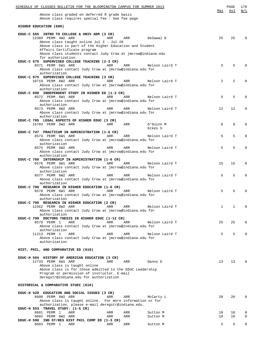| SCHEDULE OF CLASSES BULLETIN FOR THE BLOOMINGTON CAMPUS FOR SUMMER 2013                                                                                                                                                                                                                                                    | Max             | PAGE<br>Avl | 178<br>W/L       |
|----------------------------------------------------------------------------------------------------------------------------------------------------------------------------------------------------------------------------------------------------------------------------------------------------------------------------|-----------------|-------------|------------------|
| Above class graded on deferred R grade basis<br>Above class requires special fee - See fee page                                                                                                                                                                                                                            |                 |             |                  |
| HIGHER EDUCATION (600)                                                                                                                                                                                                                                                                                                     |                 |             |                  |
| EDUC-C 565 INTRO TO COLLEGE & UNIV ADM (3 CR)<br>12389 PERM 4W2 ARR<br>DeSawal D<br>ARR<br>ARR<br>Above class taught online Jul 3 - Jul 28<br>Above class is part of the Higher Education and Student<br>Affairs Certificate program<br>Above class students contact Judy Crow at jmcrow@indiana.edu<br>for authorization. | 25              | 25          | $\Omega$         |
| EDUC-C 675 SUPERVISED COLLEGE TEACHING (2-3 CR)<br>8571 PERM 6W1 ARR<br>ARR<br>ARR<br>Nelson Laird T<br>Above class contact Judy Crow at jmcrow@indiana.edu for<br>authorization                                                                                                                                           | 5               | 5           |                  |
| EDUC-C 675 SUPERVISED COLLEGE TEACHING (3 CR)<br>10719 PERM 6W2 ARR<br>ARR<br>ARR<br>Nelson Laird T<br>Above class contact Judy Crow at jmcrow@indiana.edu for<br>authorization                                                                                                                                            | $\overline{2}$  | 2           | O                |
| EDUC-C 690 INDEPENDENT STUDY IN HIGHER ED (1-3 CR)<br>8572 PERM 6W1 ARR<br>ARR<br>ARR<br>Nelson Laird T<br>Above class contact Judy Crow at jmcrow@indiana.edu for<br>authorization                                                                                                                                        | 5               | 5           | <sup>0</sup>     |
| 8573 PERM 6W2 ARR<br>ARR<br>ARR<br>Nelson Laird T<br>Above class contact Judy Crow at jmcrow@indiana.edu for<br>authorization                                                                                                                                                                                              | 12 <sup>°</sup> | 12          | 0                |
| EDUC-C 705 LEGAL ASPECTS OF HIGHER EDUC (3 CR)<br>15703 PERM 6W2 ARR<br>ARR<br>ARR<br>O'Guinn M<br>Eckes S                                                                                                                                                                                                                 | 8               | 8           | 0                |
| EDUC-C 747 PRACTICUM IN ADMINISTRATION (1-6 CR)<br>8574 PERM 6W1 ARR<br>ARR<br>ARR<br>Nelson Laird T<br>Above class contact Judy Crow at jmcrow@indiana.edu for<br>authorization                                                                                                                                           | 5               | 5           | 0                |
| 8575 PERM 6W2 ARR<br>ARR<br>ARR<br>Nelson Laird T<br>Above class contact Judy Crow at jmcrow@indiana.edu for<br>authorization                                                                                                                                                                                              | 5               | 5           | 0                |
| EDUC-C 760 INTERNSHIP IN ADMINISTRATION (1-6 CR)<br>8576 PERM 6W1 ARR<br>ARR<br>Nelson Laird T<br>ARR<br>Above class contact Judy Crow at jmcrow@indiana.edu for<br>authorization                                                                                                                                          | 15              | 15          | $\Omega$         |
| 8577 PERM 6W2 ARR<br>ARR<br>ARR<br>Nelson Laird T<br>Above class contact Judy Crow at jmcrow@indiana.edu for<br>authorization                                                                                                                                                                                              | 5               | 5           | $\Omega$         |
| EDUC-C 790 RESEARCH IN HIGHER EDUCATION (1-6 CR)<br>8578 PERM 6W1 ARR<br>ARR<br>ARR<br>Nelson Laird T<br>Above class contact Judy Crow at jmcrow@indiana.edu for                                                                                                                                                           | 5               | 5           |                  |
| authorization<br>EDUC-C 790 RESEARCH IN HIGHER EDUCATION (2 CR)<br>12562 PERM 6W2 ARR<br>ARR<br>ARR<br>Nelson Laird T<br>Above class contact Judy Crow at jmcrow@indiana.edu for<br>authorization                                                                                                                          | 1               | 1           | $\Omega$         |
| EDUC-C 799 DOCTORS THESIS IN HIGHER EDUC (1-12 CR)<br>8579 PERM 1<br>ARR<br>ARR<br>ARR<br>Nelson Laird T<br>Above class contact Judy Crow at jmcrow@indiana.edu for                                                                                                                                                        | 25              | 25          | 0                |
| authorization<br>11213 PERM 1<br>ARR<br>ARR<br>ARR<br>Nelson Laird T<br>Above class contact Judy Crow at jmcrow@indiana.edu for<br>authorization                                                                                                                                                                           | 5               | 5           | $\Omega$         |
| HIST, PHIL, AND COMPARATIVE ED (610)                                                                                                                                                                                                                                                                                       |                 |             |                  |
| EDUC-H 504 HISTORY OF AMERICAN EDUCATION (3 CR)<br>12733 PERM 6W1 ARR<br>ARR<br>ARR<br>Danns D<br>Above class is taught online<br>Above class is for those admitted to the EDUC Leadership<br>Program or permission of instructor. E-mail<br>deregstr@indiana.edu for authorization                                        | 13 <sup>°</sup> | 13          | $\Omega$         |
| HISTORICAL & COMPARATIVE STUDI (610)                                                                                                                                                                                                                                                                                       |                 |             |                  |
| EDUC-H 520 EDUCATION AND SOCIAL ISSUES (3 CR)<br>8600 PERM 6W2 ARR<br>ARR<br>ARR<br>McCarty L<br>Above class is taught online. For more information or for<br>authorization, please e-mail deregstr@indiana.edu.                                                                                                           | 20              | 20          | $\Omega$         |
| EDUC-H 553 TRAVEL STUDY: (1-5 CR)<br>8601 PERM 1<br>ARR<br>ARR<br>ARR<br>Sutton M<br>8602 PERM 6W2 ARR<br>ARR<br>ARR<br>Sutton M                                                                                                                                                                                           | 10<br>10        | 10<br>10    | 0<br>$\mathbf 0$ |
| EDUC-H 590 IND ST/RES HIST PHIL COMP ED (1-3 CR)<br>8603 PERM 1<br>ARR<br>ARR<br>ARR<br>Sutton M                                                                                                                                                                                                                           | 5               | 5           | $\Omega$         |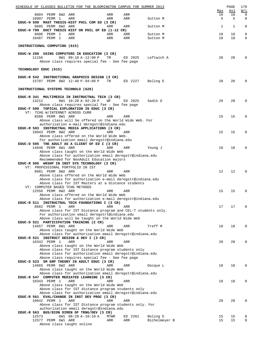| SCHEDULE OF CLASSES BULLETIN FOR THE BLOOMINGTON CAMPUS FOR SUMMER 2013                                        |               |                       | PAGE                  | 179                     |
|----------------------------------------------------------------------------------------------------------------|---------------|-----------------------|-----------------------|-------------------------|
| 8604 PERM 6W2 ARR<br>ARR<br>ARR<br>10997 PERM 1<br>ARR<br>ARR<br>ARR                                           | Sutton M      | <u>Max</u><br>10<br>5 | <u>Avl</u><br>10<br>5 | W/L<br>$\mathbf 0$<br>0 |
| EDUC-H 599 MAST THESIS-HIST PHIL COM ED (3 CR)<br>8605 PERM 6W2 ARR<br>ARR<br>ARR                              | Sutton M      | 1                     | 1                     | $\mathbf 0$             |
| EDUC-H 799 DOCT THESIS HIST OR PHIL OF ED (1-12 CR)<br>8606 PERM 1<br>ARR<br>ARR<br>ARR                        | Sutton M      | 10                    | 10                    | 0                       |
| 10487 PERM 1<br>ARR<br>ARR<br>ARR                                                                              | Sutton M      | 10                    | 10                    | 0                       |
| INSTRUCTIONAL COMPUTING (615)                                                                                  |               |                       |                       |                         |
| EDUC-W 200 USING COMPUTERS IN EDUCATION (3 CR)<br>11156<br>8W1 09:10 A-12:00 P<br>TR<br>ED 2025                | Leftwich A    | 28                    | 28                    | 0                       |
| Above class requires special fee - See fee page                                                                |               |                       |                       |                         |
| TECHNOLOGY EDUC (615)                                                                                          |               |                       |                       |                         |
| EDUC-R 542 INSTRUCTIONAL GRAPHICS DESIGN (3 CR)<br>15707 PERM 8W2 12:40 P-04:00 P<br>TR<br>ED 2227             | Boling E      | 20                    | 20                    | 0                       |
| INSTRUCTIONAL SYSTEMS TECHNOLO (620)                                                                           |               |                       |                       |                         |
| EDUC-R 341 MULTIMEDIA IN INSTRUCTNAL TECH (3 CR)                                                               |               |                       |                       |                         |
| 13212<br>6W1 10:20 A-02:20 P<br>WF<br>ED 2025<br>Above class requires special fee - See fee page               | Sadik O       | 20                    | 20                    | 0                       |
| EDUC-F 500 TOPICAL EXPLORATION IN EDUC (3 CR)<br>VT: TCHG W/INTERNET ACROSS CURR                               |               |                       |                       |                         |
| 8588 PERM 8W1 ARR<br>ARR<br>ARR<br>Above class will be offered on the World Wide Web. For                      |               | 15                    | 15                    | 0                       |
| authorization e-mail deregstr@indiana.edu                                                                      |               |                       |                       |                         |
| EDUC-R 503 INSTRUCTNAL MEDIA APPLICATIONS (3 CR)<br>10043 PERM 8W2 ARR<br>ARR<br>ARR                           |               | 15                    | 15                    | 0                       |
| Above class offered on the World Wide Web.<br>For authorization email deregstr@indiana.edu                     |               |                       |                       |                         |
| EDUC-D 505 THE ADULT AS A CLIENT OF ED I (3 CR)<br>14648 PERM 6W1 ARR<br>ARR                                   |               | 18                    | 18                    | 0                       |
| ARR<br>Above class taught on the World Wide Web                                                                | Young J       |                       |                       |                         |
| Above class for authorization email deregstr@indiana.edu<br>Recommended for NonAdult Education majors          |               |                       |                       |                         |
| EDUC-R 505 WKSHP IN INST SYS TECHNOLOGY (3 CR)<br>VT: PROFESSIONAL PORTFOLIO IN IST                            |               |                       |                       |                         |
| 8681 PERM 8W2 ARR<br>ARR<br>ARR<br>Above class offered on the World Wide Web                                   |               | 12                    | 12                    | $\Omega$                |
| Above class for authorization e-mail deregstr@indiana.edu                                                      |               |                       |                       |                         |
| Above class for IST Masters at a Distance students<br>VT: COMPUTER BASED TCHG METHODS                          |               |                       |                       |                         |
| 12556 PERM 8W2 ARR<br>ARR<br>ARR<br>Above class offered on the World Wide Web                                  |               | 15                    | 15                    | $\mathbf 0$             |
| Above class for authorization e-mail deregstr@indiana.edu                                                      |               |                       |                       |                         |
| EDUC-R 511 INSTRUCTNAL TECH FOUNDATIONS I (3 CR)<br>8682 PERM 1<br>ARR<br>ARR<br>ARR                           |               | 17                    | 17                    | 0                       |
| Above class for IST Distance program and CEL-T students only.<br>For authorization email deregstrt@indiana.edu |               |                       |                       |                         |
| Above class will be taught on the World Wide Web                                                               |               |                       |                       |                         |
| EDUC-D 521 PARTICIPATION TRAINING (2 CR)<br>14657 PERM 6W1 ARR<br>ARR<br>ARR                                   | Treff M       | 18                    | 18                    | 0                       |
| Above class taught on the World Wide Web<br>Above class for authorization email deregstr@indiana.edu           |               |                       |                       |                         |
| EDUC-R 521 INSTRUCT DESIGN & DEV I (3 CR)<br>10342 PERM 1<br>ARR<br><b>ARR</b><br>ARR                          |               | 20                    | 20                    | 0                       |
| Above class taught on the World Wide Web                                                                       |               |                       |                       |                         |
| Above class for IST Distance program students only<br>Above class for authorization email deregstr@indiana.edu |               |                       |                       |                         |
| Above class requires special fee - See fee page<br>EDUC-D 523 SM GRP THEORY IN ADULT EDUC (3 CR)               |               |                       |                       |                         |
| 14665 PERM 6W2 ARR<br>ARR<br>ARR<br>Above class taught on the World Wide Web                                   | Docque L      | 18                    | 18                    | 0                       |
| Above class for authorization email deregstr@indiana.edu                                                       |               |                       |                       |                         |
| EDUC-R 547 COMPUTER MEDIATED LEARNING (3 CR)<br>10343 PERM 1<br>ARR<br>ARR<br>ARR                              |               | 18                    | 18                    | 0                       |
| Above class taught on the World Wide Web<br>Above class for IST distance program students only                 |               |                       |                       |                         |
| Above class for authorization email deregstr@indiana.edu                                                       |               |                       |                       |                         |
| EDUC-R 561 EVAL/CHANGE IN INST DEV PROC (3 CR)<br>10042 PERM 1<br>ARR<br>ARR<br>ARR                            |               | 20                    | 20                    | 0                       |
| Above class for IST Distance program students only. For<br>authorization email deregstr@indiana.edu            |               |                       |                       |                         |
| EDUC-R 563 BUS/ECON DIMEN OF TRNG/DEV (3 CR)<br>12573<br>6W1 08:20 A-10:10 A<br>ED 2261<br>MTWR                | Boling E      | 15                    | 15                    | 0                       |
| 12577 PERM 6W1 ARR<br>ARR<br>ARR                                                                               | Bichelmeyer B | 15                    | 15                    | 0                       |
| Above class taught online                                                                                      |               |                       |                       |                         |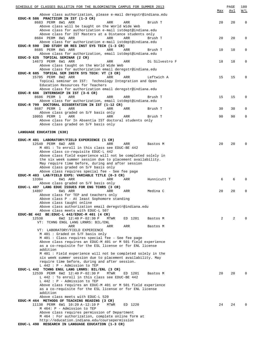| SCHEDULE OF CLASSES BULLETIN FOR THE BLOOMINGTON CAMPUS FOR SUMMER 2013                                                    |      |         |                | Max | PAGE<br>Avl | 180<br>W/L  |
|----------------------------------------------------------------------------------------------------------------------------|------|---------|----------------|-----|-------------|-------------|
| Above class authorization, please e-mail deregstr@indiana.edu<br>EDUC-R 586 PRACTICUM IN IST (1-3 CR)                      |      |         |                |     |             |             |
| 8683 PERM 8W1 ARR                                                                                                          | ARR  | ARR     | Brush T        | 20  | 20          | $\mathbf 0$ |
| Above class will be taught on the World Wide Web                                                                           |      |         |                |     |             |             |
| Above class for authorization e-mail istdept@indiana.edu<br>Above class for IST Masters at a Distance students only        |      |         |                |     |             |             |
| 8684 PERM 8W1 ARR                                                                                                          | ARR  | ARR     | Brush T        | 20  | 20          | 0           |
| Above class for authorization e-mail istdept@indiana.edu<br>EDUC-R 590 IND STUDY OR RES INST SYS TECH (1-3 CR)             |      |         |                |     |             |             |
| 8685 PERM 8W1 ARR                                                                                                          | ARR  | ARR     | Brush T        | 10  | 10          | 0           |
| Above class for authorization, email istdept@indiana.edu                                                                   |      |         |                |     |             |             |
| EDUC-D 625 TOPICAL SEMINAR (2 CR)<br>14673 PERM 6W1 ARR                                                                    | ARR  | ARR     | Di Silvestro F | 18  | 18          | 0           |
| Above class taught on the World Wide Web                                                                                   |      |         |                |     |             |             |
| Above class for authorization email deregstr@indiana.edu                                                                   |      |         |                |     |             |             |
| EDUC-R 685 TOPICAL SEM INSTR SYS TECH: VT (3 CR)<br>15705 PERM 8W2 ARR                                                     | ARR  | ARR     | Leftwich A     | 15  | 15          | 0           |
| Topical seminar on IST: Technology Integration and Open                                                                    |      |         |                |     |             |             |
| Education Resources for Teachers                                                                                           |      |         |                |     |             |             |
| Above class for authorization email deregstr@indiana.edu<br>EDUC-R 686 INTERNSHIP IN IST (3-6 CR)                          |      |         |                |     |             |             |
| 8686 PERM 1<br>ARR                                                                                                         | ARR  | ARR     | Brush T        | 15  | 15          | $\Omega$    |
| Above class for authorization, email istdept@indiana.edu                                                                   |      |         |                |     |             |             |
| EDUC-R 799 DOCTORAL DISSERTATION IN IST (1-12 CR)                                                                          |      |         |                |     |             |             |
| 8687 PERM 1<br>ARR<br>Above class graded on S/F basis only                                                                 | ARR  | ARR     | Brush T        | 30  | 30          | 0           |
| 10055 PERM 1<br>ARR                                                                                                        | ARR  | ARR     | Brush T        | 90  | 90          | 0           |
| Above class for In Absentia IST doctoral students only                                                                     |      |         |                |     |             |             |
| Above class graded on S/F basis only                                                                                       |      |         |                |     |             |             |
| LANGUAGE EDUCATION (630)                                                                                                   |      |         |                |     |             |             |
|                                                                                                                            |      |         |                |     |             |             |
| EDUC-M 401 LABORATORY/FIELD EXPERIENCE (1 CR)<br>12540 PERM 6W2 ARR                                                        | ARR  | ARR     | Bastos M       | 20  | 20          |             |
| M 401 : To enroll in this class see EDUC-BE 442                                                                            |      |         |                |     |             |             |
| Above class co-requisite EDUC-L 442                                                                                        |      |         |                |     |             |             |
| Above class field experience will not be completed solely in<br>the six week summer session due to placement availability. |      |         |                |     |             |             |
| May require time before, during and after session                                                                          |      |         |                |     |             |             |
| Above class graded on S/F basis only                                                                                       |      |         |                |     |             |             |
| Above class requires special fee - See fee page<br>EDUC-M 403 LAB/FIELD EXPS: VARIABLE TITLE (0-3 CR)                      |      |         |                |     |             |             |
| 13304<br>6W1 ARR                                                                                                           | ARR  | ARR     | Hunnicutt T    | 6   | 6           |             |
| Above class graded on S/F basis only                                                                                       |      |         |                |     |             |             |
| EDUC-L 407 LANG EDUC ISSUES FOR ENG TCHRS (3 CR)                                                                           |      |         |                |     |             | 0           |
| 14897<br>6W1 ARR<br>Above class for TEP and teachers only                                                                  | ARR  | ARR     | Medina C       | 20  | 20          |             |
| Above class P - At least Sophomore standing                                                                                |      |         |                |     |             |             |
| Above class taught online                                                                                                  |      |         |                |     |             |             |
| Above class authorization email deregstr@indiana.edu<br>Above class meets with EDUC-L 507                                  |      |         |                |     |             |             |
| EDUC-BE 442 BE: EDUC-L 442/EDUC-M 401 (4 CR)                                                                               |      |         |                |     |             |             |
| 12538<br>6W2 12:40 P-02:30 P                                                                                               | MTWR | ED 1201 | Bastos M       | 2   | 2           |             |
| VT: TCHNG ENGL LANG LRNRS: BIL/ENL<br>ARR                                                                                  | ARR  | ARR     | Bastos M       |     |             |             |
| VT: LABORATORY/FIELD EXPERIENCE                                                                                            |      |         |                |     |             |             |
| M 401 : Graded on S/F basis only                                                                                           |      |         |                |     |             |             |
| M 401 : Class requires special fee - See fee page<br>Above class requires an EDUC-M 401 or M 501 field experience          |      |         |                |     |             |             |
| as a co-requisite for the ESL license or for ENL license                                                                   |      |         |                |     |             |             |
| addition                                                                                                                   |      |         |                |     |             |             |
| M 401 : Field experience will not be completed solely in the                                                               |      |         |                |     |             |             |
| six week summer session due to placement availability. May<br>require time before, during and after session.               |      |         |                |     |             |             |
| L 442 : P - Admission to TEP                                                                                               |      |         |                |     |             |             |
| EDUC-L 442 TCHNG ENGL LANG LRNRS: BIL/ENL (3 CR)                                                                           |      |         |                |     |             | $\Omega$    |
| 12539 PERM 6W2 12:40 P-02:30 P<br>L 442 : To enroll in this class see EDUC-BE 442                                          | MTWR | ED 1201 | Bastos M       | 20  | 20          |             |
| L 442 : P - Admission to TEP                                                                                               |      |         |                |     |             |             |
| Above class requires an EDUC-M 401 or M 501 field experience                                                               |      |         |                |     |             |             |
| as a co-requisite for the ESL license or for ENL license<br>addition                                                       |      |         |                |     |             |             |
| Above class meets with EDUC-L 520                                                                                          |      |         |                |     |             |             |
| EDUC-M 464 METHODS OF TEACHING READING (3 CR)                                                                              |      |         |                |     |             |             |
| 11138 PERM 6W1 10:20 A-12:10 P<br>M 464: P - Admission to TEP                                                              | MTWR | ED 1220 |                | 24  | 24          | O           |
| Above class requires permission of Department                                                                              |      |         |                |     |             |             |
| M 464 : For authorization, complete online form at                                                                         |      |         |                |     |             |             |
| http://education.indiana.edu/coursepermission<br>EDUC-L 490 RESEARCH IN LANGUAGE EDUCATION (1-3 CR)                        |      |         |                |     |             |             |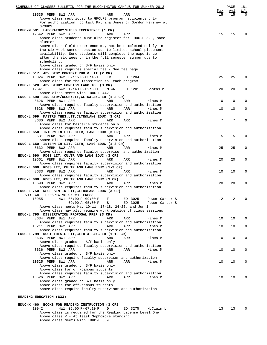| SCHEDULE OF CLASSES BULLETIN FOR THE BLOOMINGTON CAMPUS FOR SUMMER 2013<br>10535 PERM 8W2 ARR<br>ARR<br>ARR                                                                                       | Max<br>15 | PAGE<br>Avl<br>15 | 181<br>W/L<br>$\Omega$ |
|---------------------------------------------------------------------------------------------------------------------------------------------------------------------------------------------------|-----------|-------------------|------------------------|
| Above class restricted to GROUPS program recipients only<br>For authorization, contact Katrina Jones or Gordon Hershey at<br><b>GROUPS</b><br>EDUC-M 501 LABORATORY/FIELD EXPERIENCE (1 CR)       |           |                   |                        |
| 12542 PERM 6W2 ARR<br>ARR<br>ARR<br>Above class students must also register for EDUC-L 520, same                                                                                                  | 15        | 15                | $\mathbf 0$            |
| cluster<br>Above class field experience may not be completed solely in<br>the six week summer session due to limited school placement<br>availability. Some students will complete the experience |           |                   |                        |
| after the six wees or in the full semester summer due to<br>scheduling.<br>Above class graded on S/F basis only                                                                                   |           |                   |                        |
| Above class requires special fee - See fee page<br>EDUC-L 517 ADV STDY CONTENT RDG & LIT (2 CR)<br>10024 PERM 8W2 02:15 P-03:45 P<br>TR<br>ED 1204                                                | 25        | 25                | $\mathbf 0$            |
| Above class for the Transition to Teach program<br>EDUC-L 520 ADV STUDY FOREIGN LANG TCH (3 CR)                                                                                                   |           |                   |                        |
| 6W2 12:40 P-02:30 P<br>12541<br>MTWR<br>ED 1201<br>Bastos M<br>Above class meets with EDUC-L 442<br>EDUC-L 590 IND STDY/RSCH:LIT, CLTR&LANG ED (1-3 CR)                                           | 20        | 20                | $\mathbf 0$            |
| 8626 PERM 8W1 ARR<br>ARR<br>ARR<br>Hines M                                                                                                                                                        | 10        | 10                | 0                      |
| Above class requires faculty supervision and authorization<br>8628 PERM 8W2 ARR<br>ARR<br>ARR<br>Hines M                                                                                          | 10        | 10                | $\mathbf 0$            |
| Above class requires faculty supervision and authorization<br>EDUC-L 599 MASTRS THES: LIT, CLTR&LANG EDUC (3 CR)                                                                                  |           |                   |                        |
| 8630 PERM 8W2 ARR<br>ARR<br>ARR<br>Hines M<br>Above class for Master's students only                                                                                                              | 7         | 7                 | $\mathbf 0$            |
| Above class requires faculty supervision and authorization<br>EDUC-L 650 INTERN IN LIT, CLTR, LANG EDUC (3 CR)                                                                                    |           |                   |                        |
| 8631 PERM 8W1 ARR<br>ARR<br>ARR<br>Hines M<br>Above class requires faculty supervision and authorization                                                                                          | 5         | 5                 | $\mathbf 0$            |
| EDUC-L 650 INTERN IN LIT, CLTR, LANG EDUC (1-3 CR)<br>8632 PERM 8W2 ARR<br>ARR<br>ARR<br>Hines M                                                                                                  | 25        | 25                | $\mathbf 0$            |
| Above class requires faculty supervisor and authorization<br>EDUC-L 690 RDGS LIT, CULTR AND LANG EDUC (3 CR)<br>10661 PERM 8W1 ARR<br>ARR<br>ARR<br>Hines M                                       | 20        | 20                | $\mathbf 0$            |
| Above class requires faculty supervision and authorization<br>EDUC-L 690 RDGS LIT, CULTR AND LANG EDUC (1-3 CR)                                                                                   |           |                   |                        |
| 8633 PERM 8W2 ARR<br>ARR<br>ARR<br>Hines M<br>Above class requires faculty supervision and authorization                                                                                          | 10        | 10                | 0                      |
| EDUC-L 690 RDGS LIT, CULTR AND LANG EDUC (3 CR)<br>10698 PERM 8W2 ARR<br>ARR<br>ARR<br>Hines M                                                                                                    | 20        | 20                | $\mathbf 0$            |
| Above class requires faculty supervision and authorization<br>EDUC-L 750 RSCH SEM IN LIT, CLTR&LANG EDUC (3 CR)                                                                                   |           |                   |                        |
| VT: CRIT PERSPECTVS ON WHITENESS<br>10955<br>4W1 05:00 P-09:00 P<br>ED 3025<br>F<br>Power-Carter S<br>$09:00 A-05:00 P$<br>S<br>ED 3025<br>Power-Carter S                                         | 12        | 12                | 0                      |
| Above class meets May 10-11, 17-18, 24-25, and Jun 1<br>Above class may also require work outside of class sessions                                                                               |           |                   |                        |
| EDUC-L 795 DISSERTATION PROPOSAL PREP (3 CR)<br>8634 PERM 8W1 ARR<br>ARR<br>ARR<br>Hines M                                                                                                        | 10        | 10                | $\mathbf 0$            |
| Above class requires faculty supervision and authorization<br>13211 PERM 8W2 ARR<br>ARR<br>ARR<br>Hines M<br>Above class required faculty supervision and authorization                           | 10        | 10                | $\mathbf 0$            |
| EDUC-L 799 DOCT THESIS LIT, CLTR & LANG ED (1-12 CR)<br>8635 PERM 8W1 ARR<br>ARR<br>ARR<br>Hines M                                                                                                | 10        | 10                | $\mathbf 0$            |
| Above class graded on S/F basis only<br>Above class requires faculty supervision and authorization                                                                                                |           |                   |                        |
| 8636 PERM 8W2 ARR<br>ARR<br>ARR<br>Hines M<br>Above class graded on S/F basis only                                                                                                                | 10        | 10                | $\mathbf 0$            |
| Above class require faculty supervisor and authorization<br>10525 PERM 8W1 ARR<br>ARR<br>ARR<br>Hines M                                                                                           | 10        | 10                | $\mathbf 0$            |
| Above class graded on S/F basis only<br>Above class for off-campus students<br>Above class requires faculty supervision and authorization                                                         |           |                   |                        |
| 10526 PERM 8W2 ARR<br>ARR<br>ARR<br>Hines M<br>Above class graded on S/F basis only                                                                                                               | 10        | 10                | $\mathbf 0$            |
| Above class for off-campus students<br>Above class require faculty supervisor and authorization                                                                                                   |           |                   |                        |
| READING EDUCATION (633)                                                                                                                                                                           |           |                   |                        |
| EDUC-X 460 BOOKS FOR READING INSTRUCTION (3 CR)                                                                                                                                                   |           |                   |                        |
| 4W1 05:00 P-07:10 P<br>10942<br>ED 3275<br>McClain L<br>$\mathbb{D}$                                                                                                                              | 13        | 13                | 0                      |

Above class is required for the Reading License Level One

Above class P - At least Sophomore standing

Above class meets with EDUC-L 559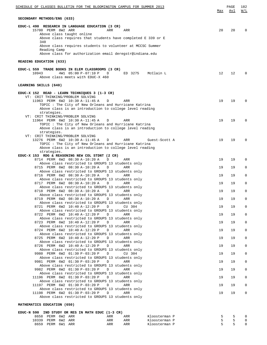| SCHEDULE OF CLASSES BULLETIN FOR THE BLOOMINGTON CAMPUS FOR SUMMER 2013                                                                                                                                                                                                                                                                | Max | PAGE<br>Avl | 182<br>W/L     |
|----------------------------------------------------------------------------------------------------------------------------------------------------------------------------------------------------------------------------------------------------------------------------------------------------------------------------------------|-----|-------------|----------------|
| SECONDARY METHODS/ENG (633)                                                                                                                                                                                                                                                                                                            |     |             |                |
| EDUC-L 490 RESEARCH IN LANGUAGE EDUCATION (3 CR)<br>15700 PERM 8W2 ARR<br>ARR<br>ARR<br>Above class taught online<br>Above class requires that students have completed $E$ 339 or $E$<br>340<br>Above class requires students to volunteer at MCCSC Summer<br>Reading Camp<br>Above class for authorization email deregstr@indiana.edu | 20  | 20          | $\Omega$       |
| READING EDUCATION (633)                                                                                                                                                                                                                                                                                                                |     |             |                |
| EDUC-L 559 TRADE BOOKS IN ELEM CLASSROOMS (3 CR)<br>10943<br>4W1 05:00 P-07:10 P<br>ED 3275<br>McClain L<br>D<br>Above class meets with EDUC-X 460                                                                                                                                                                                     | 12  | 12          | $\Omega$       |
| LEARNING SKILLS (640)                                                                                                                                                                                                                                                                                                                  |     |             |                |
| EDUC-X 152 READ - LEARN TECHNIQUES 3 (1-3 CR)<br>VT: CRIT THINKING/PROBLEM SOLVING<br>11963 PERM 6W2 10:30 A-11:45 A<br>D<br>ARR<br>TOPIC : The City of New Orleans and Hurricane Katrina<br>Above class is an introduction to college level reading<br>strategies.                                                                    | 19  | 19          | $\Omega$       |
| VT: CRIT THINKING/PROBLEM SOLVING<br>11964 PERM 6W2 10:30 A-11:45 A<br>D<br>ARR<br>TOPIC : The City of New Orleans and Hurricane Katrina<br>Above class is an introduction to college level reading<br>strategies.                                                                                                                     | 19  | 19          | $\Omega$       |
| VT: CRIT THINKING/PROBLEM SOLVING<br>13276 PERM 6W2 10:30 A-11:45 A<br>D<br>ARR<br>Guest-Scott A<br>TOPIC : The City of New Orleans and Hurricane Katrina<br>Above class is an introduction to college level reading<br>strategies.                                                                                                    | 19  | 19          | $\Omega$       |
| EDUC-X 153 RDG & REASONING NEW COL STDNT (2 CR)<br>8714 PERM 6W2 08:30 A-10:20 A<br>D<br>ARR                                                                                                                                                                                                                                           | 19  | 19          | $\mathbf 0$    |
| Above class restricted to GROUPS 13 students only<br>8715 PERM 6W2 08:30 A-10:20 A<br>ARR<br>D                                                                                                                                                                                                                                         | 19  | 19          | 0              |
| Above class restricted to GROUPS 13 students only<br>8716 PERM 6W2 08:30 A-10:20 A<br>ARR<br>D                                                                                                                                                                                                                                         | 19  | 19          | $\mathbf 0$    |
| Above class restricted to GROUPS 13 students only<br>8717 PERM 6W2 08:30 A-10:20 A<br>ARR<br>D                                                                                                                                                                                                                                         | 19  | 19          | $\mathbf 0$    |
| Above class restricted to GROUPS 13 students only<br>8718 PERM 6W2 08:30 A-10:20 A<br>ARR<br>D                                                                                                                                                                                                                                         | 19  | 19          | $\mathbf 0$    |
| Above class restricted to GROUPS 13 students only<br>8719 PERM 6W2 08:30 A-10:20 A D<br>ARR                                                                                                                                                                                                                                            | 19  | 19          | $\overline{0}$ |
| Above class restricted to GROUPS 13 students only<br>8721 PERM 6W2 10:40 A-12:20 P D<br>CU 304                                                                                                                                                                                                                                         | 19  | 19          | 0              |
| Above class restricted to GROUPS 13 students only<br>8722 PERM 6W2 10:40 A-12:20 P<br>ARR<br>$\Box$                                                                                                                                                                                                                                    | 19  | 19          | $\mathbf 0$    |
| Above class restricted to GROUPS 13 students only<br>8723 PERM 6W2 10:40 A-12:20 P<br>D<br>ARR                                                                                                                                                                                                                                         | 19  | 19          | 0              |
| Above class restricted to GROUPS 13 students only<br>8724 PERM 6W2 10:40 A-12:20 P<br>ARR<br>$\Box$                                                                                                                                                                                                                                    | 19  | 19          | 0              |
| Above class restricted to GROUPS 13 students only<br>8725 PERM 6W2 10:40 A-12:20 P<br>$\mathbb{D}$<br>ARR                                                                                                                                                                                                                              | 19  | 19          | 0              |
| Above class restricted to GROUPS 13 students only<br>8726 PERM 6W2 10:40 A-12:20 P<br>ARR<br>$\Box$                                                                                                                                                                                                                                    | 19  | 19          | 0              |
| Above class restricted to GROUPS 13 students only<br>9980 PERM 6W2 01:30 P-03:20 P<br>D<br>CU 304                                                                                                                                                                                                                                      | 19  | 19          | 0              |
| Above class restricted to GROUPS 13 students only<br>9981 PERM 6W2 01:30 P-03:20 P<br>ARR<br>$\Box$                                                                                                                                                                                                                                    | 19  | 19          | 0              |
| Above class restricted to GROUPS 13 students only<br>9982 PERM 6W2 01:30 P-03:20 P<br>$\Box$<br>ARR                                                                                                                                                                                                                                    | 19  | 19          | 0              |
| Above class restricted to GROUPS 13 students only<br>11196 PERM 6W2 01:30 P-03:20 P<br>ARR<br>$\Box$                                                                                                                                                                                                                                   | 19  | 19          | 0              |
| Above class restricted to GROUPS 13 students only                                                                                                                                                                                                                                                                                      |     |             |                |
| 11197 PERM 6W2 01:30 P-03:20 P<br>$\Box$<br>ARR<br>Above class restricted to GROUPS 13 students only                                                                                                                                                                                                                                   | 19  | 19          | 0              |
| 11198 PERM 6W2 01:30 P-03:20 P<br>ARR<br>$\Box$<br>Above class restricted to GROUPS 13 students only                                                                                                                                                                                                                                   | 19  | 19          | 0              |
| MATHEMATICS EDUCATION (650)                                                                                                                                                                                                                                                                                                            |     |             |                |

## **EDUC-N 590 IND STUDY OR RES IN MATH EDUC (1-3 CR)** 8658 PERM 6W2 ARR ARR ARR Kloosterman P 5 5 0 10339 PERM 6W2 ARR ARR ARR Kloosterman P 5 5 0 8659 PERM 6W1 ARR ARR ARR Kloosterman P 5 5 0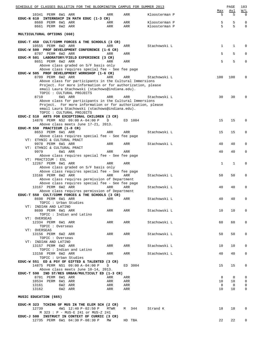| SCHEDULE OF CLASSES BULLETIN FOR THE BLOOMINGTON CAMPUS FOR SUMMER 2013                                                                                                                              |              |                |                                |          | PAGE             | 183                |
|------------------------------------------------------------------------------------------------------------------------------------------------------------------------------------------------------|--------------|----------------|--------------------------------|----------|------------------|--------------------|
| 10341 PERM 6W1 ARR<br>EDUC-N 610 INTERNSHIP IN MATH EDUC (1-3 CR)                                                                                                                                    | ARR          | ARR            | Kloosterman P                  | Max<br>5 | Avl<br>5         | W/L<br>$\mathbf 0$ |
| 8660 PERM 6W1 ARR<br>8661 PERM 6W2 ARR                                                                                                                                                               | ARR<br>ARR   | ARR<br>ARR     | Kloosterman P<br>Kloosterman P | 5<br>5   | 5<br>5           | 0<br>$\mathbf 0$   |
| MULTICULTURAL OPTIONS (660)                                                                                                                                                                          |              |                |                                |          |                  |                    |
| EDUC-T 450 CULT/COMM FORCES & THE SCHOOLS (3 CR)                                                                                                                                                     |              |                |                                |          |                  |                    |
| 10555 PERM 6W2 ARR<br>EDUC-W 500 PROF DEVELOPMENT CONFERENCE (1-6 CR)<br>8707 PERM 6W2 ARR                                                                                                           | ARR<br>ARR   | ARR<br>ARR     | Stachowski L                   | 1<br>5   | $\mathbf 1$<br>5 | $\mathbf 0$<br>0   |
| EDUC-M 501 LABORATORY/FIELD EXPERIENCE (3 CR)<br>8651 PERM 6W2 ARR                                                                                                                                   | ARR          | ARR            |                                | 5        | 5                | $\mathsf 0$        |
| Above class graded on S/F basis only<br>Above class requires special fee - See fee page                                                                                                              |              |                |                                |          |                  |                    |
| EDUC-W 505 PROF DEVELOPMENT WORKSHOP (1-6 CR)<br>8709 PERM 6W2 ARR                                                                                                                                   | ARR          | ARR            | Stachowski L                   | 100      | 100              | 0                  |
| Above class for participants in the Cultural Immersions<br>Project. For more information or for authorization, please<br>email Laura Stachowski (stachows@indiana.edu).                              |              |                |                                |          |                  |                    |
| TOPIC : CULTURAL PROJECTS<br>6W1 ARR<br>8710                                                                                                                                                         | ARR          | ARR            | Stachowski L                   | 30       | 30               | 0                  |
| Above class for participants in the Cultural Immersions<br>Project. For more information or for authorization, please<br>email Laura Stachowski (stachows@indiana.edu).<br>TOPIC : CULTURAL PROJECTS |              |                |                                |          |                  |                    |
| EDUC-Z 510 ARTS FOR EXCEPTIONAL CHILDREN (3 CR)<br>14876 PERM NS2 09:00 A-04:00 P                                                                                                                    | D            | ED 1084        |                                | 15       | 15               | $\mathbf 0$        |
| Above class meets June 17-21, 2013.<br>EDUC-M 550 PRACTICUM (1-8 CR)                                                                                                                                 |              |                |                                |          |                  |                    |
| 8653 PERM 6W1 ARR<br>Above class requires special fee - See fee page                                                                                                                                 | ARR          | ARR            | Stachowski L                   | 15       | 15               | $\mathbf 0$        |
| VT: ETHNIC & CULTURAL PRACT<br>9978 PERM 6W1 ARR                                                                                                                                                     | ARR          | ARR            | Stachowski L                   | 40       | 40               | $\mathbf 0$        |
| VT: ETHNIC & CULTURAL PRACT<br>9979<br>6W1 ARR                                                                                                                                                       | ARR          | ARR            |                                | 40       | 40               | $\mathbf 0$        |
| Above class requires special fee - See fee page<br>VT: PRACTICUM : ESL                                                                                                                               |              |                |                                |          |                  |                    |
| 12267 PERM 6W1 ARR<br>Above class graded on S/F basis only                                                                                                                                           | ARR          | ARR            |                                | 1        | 1                | 0                  |
| Above class requires special fee - See fee page<br>13166 PERM 6W2 ARR<br>Above class requires permission of Department                                                                               | ARR          | ARR            | Stachowski L                   | 50       | 50               | $\mathbf 0$        |
| Above class requires special fee - See fee page<br>13167 PERM 6W2 ARR                                                                                                                                | ARR          | ARR            | Stachowski L                   | 40       | 40               | 0                  |
| Above class requires permission of Department<br>EDUC-T 550 CULT/COMM FORCES & THE SCHOOLS (3 CR)                                                                                                    |              |                |                                |          |                  |                    |
| 8698 PERM 6W1 ARR<br>TOPIC : Urban Studies                                                                                                                                                           | ARR          | ARR            | Stachowski L                   | 40       | 40               | 0                  |
| VT: INDIAN AND LATINO<br>8699 PERM 6W1 ARR<br>TOPIC: Indian and Latino                                                                                                                               | ARR          | ARR            | Stachowski L                   | 10       | 10               | $\mathbf 0$        |
| VT: OVERSEAS<br>12334 PERM 6W1 ARR                                                                                                                                                                   | ARR          | ARR            | Stachowski L                   | 60       | 60               | $\mathbf 0$        |
| TOPIC : Overseas<br>VT: OVERSEAS                                                                                                                                                                     |              |                |                                |          |                  |                    |
| 13156 PERM 6W2 ARR<br>TOPIC : Overseas<br>VT: INDIAN AND LATINO                                                                                                                                      | ARR          | ARR            | Stachowski L                   | 50       | 50               | 0                  |
| 13157 PERM 6W2 ARR<br>TOPIC: Indian and Latino                                                                                                                                                       | ARR          | ARR            | Stachowski L                   | 10       | 10               | 0                  |
| 13158 PERM 6W2 ARR<br>TOPIC : Urban Studies                                                                                                                                                          | ARR          | ARR            | Stachowski L                   | 40       | 40               | 0                  |
| EDUC-W 551 ED & PSY OF GIFTED & TALENTED (3 CR)<br>14875 PERM NS1 09:00 A-04:00 P<br>Above class meets June 10-14, 2013.                                                                             | $\mathbf{D}$ | ED 3004        |                                | 15       | 15               | 0                  |
| EDUC-T 590 IND ST/RES URBAN/MULTICULT ED (1-3 CR)<br>8701 PERM 6W1 ARR                                                                                                                               | ARR          | ARR            |                                | 8        | 8                | 0                  |
| 10534 PERM 6W1 ARR                                                                                                                                                                                   | ARR          | ARR            |                                | 10       | 10               | 0                  |
| 13161<br>6W2 ARR<br>13162<br>6W2 ARR                                                                                                                                                                 | ARR<br>ARR   | ARR<br>ARR     |                                | 8<br>10  | 8<br>10          | 0<br>0             |
| MUSIC EDUCATION (665)                                                                                                                                                                                |              |                |                                |          |                  |                    |
| EDUC-M 323 TCHING OF MUS IN THE ELEM SCH (2 CR)<br>12739<br>4W1 12:40 P-02:50 P                                                                                                                      | MTWR         | M 344 Strand K |                                | 18       | 18               | 0                  |
| M 323 : P - MUS-E 241 or MUS-Z 241<br>EDUC-J 500 INSTRUCT IN CONTEXT OF CURRIC (3 CR)<br>12735 PERM 6W1 04:30 P-08:30 P                                                                              | MW           | HD TBA         |                                | 22       | 22               | 0                  |
|                                                                                                                                                                                                      |              |                |                                |          |                  |                    |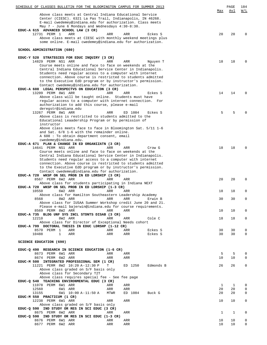| SCHEDULE OF CLASSES BULLETIN FOR THE BLOOMINGTON CAMPUS FOR SUMMER 2013                                                 | Max          | PAGE<br>Avl  | 184<br>W/L       |
|-------------------------------------------------------------------------------------------------------------------------|--------------|--------------|------------------|
| Above class meets at Central Indiana Educational Service                                                                |              |              |                  |
| Center (CIESC). 6321 La Pas Trail, Indianapolis, IN 46268.                                                              |              |              |                  |
| E-mail cwedemey@indiana.edu for authorization. Class meets                                                              |              |              |                  |
| May 7 - June 6 Mondays and Wednesdays 4:30-8:30.<br>EDUC-A 615 ADVANCED SCHOOL LAW (3 CR)                               |              |              |                  |
| 12731 PERM 1<br>ARR<br>ARR<br>ARR<br>Eckes S                                                                            | 20           | 20           | $\Omega$         |
| Above class meets at CIESC with monthly weekend meetings plus                                                           |              |              |                  |
| some online. E-mail cwedemey@indiana.edu for authorization.                                                             |              |              |                  |
| SCHOOL ADMINISTRATION (680)                                                                                             |              |              |                  |
|                                                                                                                         |              |              |                  |
| EDUC-Y 520 STRATEGIES FOR EDUC INQUIRY (3 CR)                                                                           | 18           |              | $\Omega$         |
| 14829 PERM NS1 ARR<br>ARR<br>ARR<br>Nguyen T<br>Course meets online and face to face on weekends at the                 |              | 18           |                  |
| Central Indiana Educational Service Center in Indianapolis.                                                             |              |              |                  |
| Students need regular access to a computer with internet                                                                |              |              |                  |
| connection. Above course is restricted to students admitted                                                             |              |              |                  |
| to the Executive EdD program or by instructor's permission.<br>Contact cwedemey@indiana.edu for authorization.          |              |              |                  |
| EDUC-A 608 LEGAL PERSPECTVS ON EDUCATION (3 CR)                                                                         |              |              |                  |
| 13209 PERM 8W1 ARR<br>ARR<br>ARR<br>Eckes S                                                                             | 14           | 14           | $\Omega$         |
| Above class will be taught online. Students must have                                                                   |              |              |                  |
| regular access to a computer with internet connection. For<br>authorization to add this course, please e-mail           |              |              |                  |
| deregstr@indiana.edu                                                                                                    |              |              |                  |
| 13267 PERM 8W1 ARR<br>ED 1084<br>ARR<br>Eckes S                                                                         | 5            | 5            | <sup>0</sup>     |
| Above class is restricted to students admitted to the                                                                   |              |              |                  |
| Educational Leaadership Program or by permission of<br>instructor                                                       |              |              |                  |
| Above class meets face to face in Bloomington Sat. 5/11 1-6                                                             |              |              |                  |
| and Sat. 6/8 1-6 with the remainder online.                                                                             |              |              |                  |
| A 608 : To obtain department consent, email                                                                             |              |              |                  |
| cwedemey@indiana.edu.<br>EDUC-A 671 PLAN & CHANGE IN ED ORGANIZATN (3 CR)                                               |              |              |                  |
| 14641 PERM NS1 ARR<br>ARR<br>ARR<br>Crow G                                                                              | 18           | 18           | $\Omega$         |
| Course meets online and face to face on weekends at the                                                                 |              |              |                  |
| Central Indiana Educational Service Center in Indianapolis.                                                             |              |              |                  |
| Students need regular access to a computer with internet<br>connection. Above course is restricted to students admitted |              |              |                  |
| to the Executive EdD program or by instructor's permission.                                                             |              |              |                  |
| Contact cwedemey@indiana.edu for authorization.                                                                         |              |              |                  |
| EDUC-A 720 WKSP ON SEL PROB IN ED LDRSHIP (3 CR)<br>8567 PERM 6W2 ARR<br>ARR<br>ARR                                     | 20           | 20           | $\Omega$         |
| Above class for students participating in Indiana NEXT                                                                  |              |              |                  |
| EDUC-A 720 WKSP ON SEL PROB IN ED LDRSHIP (1-3 CR)                                                                      |              |              |                  |
| 10550<br>6W2 ARR<br>ARR<br>ARR                                                                                          | 18           | 18           | 0                |
| Above class for Hamilton Southeastern Leadership Academy<br>8568                                                        | 30           | 30           | $\Omega$         |
| 8W2 ARR<br>ARR<br>ARR<br>Erwin B<br>Above class for IUSAA Summer Workshop credit June 20 and 21.                        |              |              |                  |
| Please e-mail bajerwin@indiana.edu for course requirements.                                                             |              |              |                  |
| 8569 PERM 8W2 ARR<br>ARR<br>ARR                                                                                         | 10           | 10           | $\mathbf 0$      |
| EDUC-A 735 BLDG UNF SYS INCL STDNTS DISAB (3 CR)<br>12210<br>8W2 ARR<br>ARR<br>ARR<br>Cole C                            | 18           |              | 0                |
| Above class for Director of Exceptional Needs cohort                                                                    |              | 18           |                  |
| EDUC-A 799 DOCTORAL THESIS IN EDUC LDRSHP (1-12 CR)                                                                     |              |              |                  |
| 8570 PERM 1<br>ARR<br>ARR<br>Eckes S<br>ARR                                                                             | 30           | 30           | 0                |
| 10488<br>$\mathbf{1}$<br>ARR<br>ARR<br>Eckes S<br>ARR                                                                   | 30           | 30           | $\mathbf 0$      |
| <b>SCIENCE EDUCATION (690)</b>                                                                                          |              |              |                  |
|                                                                                                                         |              |              |                  |
| EDUC-Q 490 RESEARCH IN SCIENCE EDUCATION (1-6 CR)                                                                       |              |              |                  |
| 8673 PERM 6W1 ARR<br>ARR<br>ARR<br>8674 PERM 6W2 ARR<br>ARR<br>ARR                                                      | 5<br>10      | 5<br>10      | 0<br>$\mathbf 0$ |
| EDUC-M 500 INTEGRATED PROFESSIONAL SEM (1 CR)                                                                           |              |              |                  |
| 11221 PERM 8W2 10:20 A-12:30 P<br>T<br>ED 1250<br>Edmonds B                                                             | 26           | 26           | 0                |
| Above class graded on S/F basis only                                                                                    |              |              |                  |
| Above class for Secondary T2T<br>Above class requires special fee - See fee page                                        |              |              |                  |
| EDUC-Q 540 TEACHING ENVIRONMENTAL EDUC (3 CR)                                                                           |              |              |                  |
| 11078 PERM 6W1 ARR<br>ARR<br>ARR                                                                                        | 1            | 1            | 0                |
| 12560<br>6W1 ARR<br>ARR<br>ARR                                                                                          | 20           | 20           | 0                |
| 13155<br>6W1 10:00 A-11:50 A<br>MTWR<br>ED 1084<br>Buck G<br>EDUC-M 550 PRACTICUM (1 CR)                                | 20           | 20           | 0                |
| 12238 PERM 6W1 ARR<br>ARR<br>ARR                                                                                        | 10           | 10           | 0                |
| Above class graded on S/F basis only                                                                                    |              |              |                  |
| EDUC-Q 590 IND STUDY OR RES IN SCI EDUC (3 CR)                                                                          |              |              |                  |
| 8675 PERM 6W2 ARR<br>ARR<br>ARR<br>EDUC-Q 590 IND STUDY OR RES IN SCI EDUC (1-3 CR)                                     | $\mathbf{1}$ | $\mathbf{1}$ | 0                |
| 8676 PERM 6W1 ARR<br>ARR<br>ARR                                                                                         | 10           | 10           | 0                |
| 8677 PERM 6W2 ARR<br>ARR<br>ARR                                                                                         | 10           | 10           | $\overline{0}$   |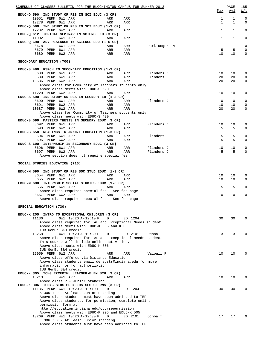| SCHEDULE OF CLASSES BULLETIN FOR THE BLOOMINGTON CAMPUS FOR SUMMER 2013                                        |            |            |               | Max         | PAGE<br><u>Avl</u> | 185<br>W/L              |
|----------------------------------------------------------------------------------------------------------------|------------|------------|---------------|-------------|--------------------|-------------------------|
| EDUC-Q 590 IND STUDY OR RES IN SCI EDUC (3 CR)<br>10051 PERM 6W1 ARR<br>12278 PERM 6W1 ARR                     | ARR<br>ARR | ARR<br>ARR |               | 1<br>1      | 1<br>1             | $\mathbf 0$<br>$\Omega$ |
| EDUC-Q 590 IND STUDY OR RES IN SCI EDUC (1-3 CR)<br>12282 PERM 6W2 ARR                                         | ARR        | <b>ARR</b> |               | $\mathbf 1$ | 1                  | 0                       |
| EDUC-Q 612 TOPICAL SEMINAR IN SCIENCE ED (3 CR)<br>11002<br>6W1 ARR                                            | ARR        | <b>ARR</b> |               | $\mathbf 1$ | 1                  | 0                       |
| EDUC-Q 690 ADV RESEARCH IN SCIENCE EDU (1-6 CR)<br>8678<br>6W1 ARR                                             | ARR        | ARR        | Park Rogers M | 1           | 1                  | 0                       |
| 8679 PERM 6W1 ARR<br>8680 PERM 6W2 ARR                                                                         | ARR<br>ARR | ARR<br>ARR |               | 5<br>10     | 5<br>10            | 0<br>0                  |
| SECONDARY EDUCATION (700)                                                                                      |            |            |               |             |                    |                         |
| EDUC-S 490 RSRCH IN SECONDARY EDUCATION (1-3 CR)<br>8688 PERM 6W1 ARR                                          | ARR        | ARR        | Flinders D    | 10          | 10                 | 0                       |
| 8689 PERM 6W1 ARR                                                                                              | ARR        | ARR        | Flinders D    | 20          | 20                 | $\mathbf 0$             |
| 10686 PERM 6W2 ARR<br>Above class for Community of Teachers students only<br>Above class meets with EDUC-S 590 | ARR        | ARR        |               | 20          | 20                 | 0                       |
| 11220 PERM 6W2 ARR                                                                                             | ARR        | ARR        |               | 10          | 10                 | 0                       |
| EDUC-S 590 IND STUDY OR RES IN SECNDRY ED (1-3 CR)<br>8690 PERM 6W1 ARR                                        | ARR        | ARR        | Flinders D    | 10          | 10                 | 0                       |
| 8691 PERM 6W2 ARR                                                                                              | ARR        | ARR        |               | 10          | 10                 | 0                       |
| 10687 PERM 6W2 ARR<br>Above class for Community of Teachers students only                                      | ARR        | <b>ARR</b> |               | 20          | 20                 | 0                       |
| Above class meets with EDUC-S 490<br>EDUC-S 599 MASTERS THESIS IN SECNDRY EDUC (3 CR)                          |            |            |               |             |                    |                         |
| 8692 PERM 6W1 ARR                                                                                              | ARR        | ARR        | Flinders D    | 10          | 10                 | 0                       |
| 8693 PERM 6W2 ARR<br>EDUC-S 650 READINGS IN JM/M/I EDUCATION (1-3 CR)                                          | ARR        | ARR        |               | 5           | 5                  | 0                       |
| 8694 PERM 6W1 ARR                                                                                              | ARR        | ARR        | Flinders D    | 5           | 5                  | 0                       |
| 8695 PERM 6W2 ARR<br>EDUC-S 690 INTERNSHIP IN SECONDARY EDUC (3 CR)                                            | ARR        | ARR        |               | 5           | 5                  | 0                       |
| 8696 PERM 6W1 ARR                                                                                              | ARR        | ARR        | Flinders D    | 10          | 10                 | 0                       |
| 8697 PERM 6W2 ARR<br>Above section does not require special fee                                                | ARR        | ARR        | Flinders D    | 5           | 5                  | 0                       |
|                                                                                                                |            |            |               |             |                    |                         |
| SOCIAL STUDIES EDUCATION (710)                                                                                 |            |            |               |             |                    |                         |
| EDUC-M 590 IND STUDY OR RES SOC STUD EDUC (1-3 CR)<br>8654 PERM 6W1 ARR                                        | ARR        | ARR        |               | 10          | 10                 | 0                       |
| 8655 PERM 6W2 ARR                                                                                              | ARR        | ARR        |               | 10          | 10                 | $\Omega$                |
| EDUC-M 680 INTERNSHIP SOCIAL STUDIES EDUC (1-6 CR)<br>8656 PERM 6W1 ARR                                        | ARR        | ARR        |               | 5           | 5                  | 0                       |
| Above class requires special fee - See fee page                                                                |            |            |               |             |                    |                         |
| 8657 PERM 6W2 ARR<br>Above class requires special fee - See fee page                                           | ARR        | ARR        |               | 10          | 10                 | 0                       |
| SPECIAL EDUCATION (730)                                                                                        |            |            |               |             |                    |                         |
| EDUC-K 205 INTRO TO EXCEPTIONAL CHILDREN (3 CR)                                                                |            |            |               |             |                    |                         |
| 6W1 10:20 A-12:10 P<br>11136<br>Above class required for TAL and Exceptional Needs student                     | D          | ED 1204    |               | 30          | 30                 | $\Omega$                |
| Above class meets with EDUC-K 505 and K 306                                                                    |            |            |               |             |                    |                         |
| IUB GenEd S&H credit<br>13268<br>4W1 10:20 A-12:30 P                                                           | D          | ED 2101    | Ochoa T       | 3           | 3                  |                         |
| Above class required for TAL and Exceptional Needs student                                                     |            |            |               |             |                    |                         |
| This course will include online activities.<br>Above class meets with EDUC-K 306<br>IUB GenEd S&H credit       |            |            |               |             |                    |                         |
| 12059 PERM 6W2 ARR                                                                                             | ARR        | ARR        | Vaiouli P     | 10          | 10 <sup>°</sup>    | $\Omega$                |
| Above class offered via Distance Education<br>Above class students email deregstr@indiana.edu for more         |            |            |               |             |                    |                         |
| information or for authorization                                                                               |            |            |               |             |                    |                         |
| IUB GenEd S&H credit<br>EDUC-K 305 TCHG EXCEPTNL LEARNER-ELEM SCH (3 CR)                                       |            |            |               |             |                    |                         |
| 13213<br>4W1 ARR                                                                                               | ARR        | ARR        |               | 10          | 10                 | 0                       |
| Above class P - Junior standing<br>EDUC-K 306 TCHNG STDS SP NEEDS SEC CL RMS (3 CR)                            |            |            |               |             |                    |                         |
| 11135 PERM 6W1 10:20 A-12:10 P                                                                                 | D          | ED 1204    |               | 30          | 30                 | 0                       |
| $K$ 306 : P - At least Junior standing<br>Above class students must have been admitted to TEP                  |            |            |               |             |                    |                         |
| Above class students, for permission, complete online<br>permission form at                                    |            |            |               |             |                    |                         |
| http://education.indiana.edu/coursepermission                                                                  |            |            |               |             |                    |                         |
| Above class meets with EDUC-K 205 and EDUC-K 505<br>13269 PERM 4W1 10:20 A-12:30 P                             | D          | ED 2101    | Ochoa T       | 17          | 17                 | $\Omega$                |
| $K$ 306 : P - At least Junior standing                                                                         |            |            |               |             |                    |                         |
| Above class students must have been admitted to TEP                                                            |            |            |               |             |                    |                         |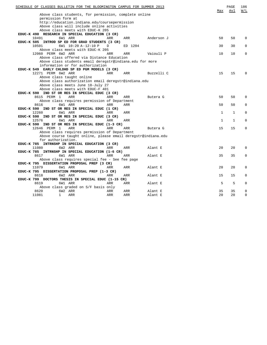| SCHEDULE OF CLASSES BULLETIN FOR THE BLOOMINGTON CAMPUS FOR SUMMER 2013 |                                                                                                        |            |            |            |  |              | PAGE<br>Avl  | 186<br>W/L  |
|-------------------------------------------------------------------------|--------------------------------------------------------------------------------------------------------|------------|------------|------------|--|--------------|--------------|-------------|
|                                                                         | Above class students, for permission, complete online                                                  |            |            |            |  |              |              |             |
|                                                                         | permission form at                                                                                     |            |            |            |  |              |              |             |
|                                                                         | http://education.indiana.edu/coursepermission                                                          |            |            |            |  |              |              |             |
|                                                                         | Above class will include online activities                                                             |            |            |            |  |              |              |             |
|                                                                         | Above class meets with EDUC-K 205                                                                      |            |            |            |  |              |              |             |
|                                                                         | EDUC-K 490 RESEARCH IN SPECIAL EDUCATION (3 CR)                                                        |            |            |            |  |              |              |             |
| 10491                                                                   | 6W1 ARR                                                                                                | ARR        | ARR        | Anderson J |  | 50           | 50           | $\Omega$    |
|                                                                         | EDUC-K 505 INTROD SP ED FOR GRAD STUDENTS (3 CR)                                                       |            |            |            |  |              |              |             |
| 10501                                                                   | 6W1 10:20 A-12:10 P                                                                                    | D          | ED 1204    |            |  | 30           | 30           | $\Omega$    |
| 12060 PERM 6W2 ARR                                                      | Above class meets with EDUC-K 205                                                                      | ARR        |            |            |  |              |              | $\mathbf 0$ |
|                                                                         |                                                                                                        |            | ARR        | Vaiouli P  |  | 10           | 10           |             |
|                                                                         | Above class offered via Distance Education<br>Above class students email deregstr@indiana.edu for more |            |            |            |  |              |              |             |
|                                                                         | information or for authorization                                                                       |            |            |            |  |              |              |             |
|                                                                         | EDUC-K 549 EARLY CHLDHD SP ED PGM MODELS (3 CR)                                                        |            |            |            |  |              |              |             |
| 12271 PERM 6W2 ARR                                                      |                                                                                                        | ARR        | ARR        | Buzzelli C |  | 15           | 15           | $\Omega$    |
|                                                                         | Above class taught online                                                                              |            |            |            |  |              |              |             |
|                                                                         | Above class authorization email deregstr@indiana.edu                                                   |            |            |            |  |              |              |             |
|                                                                         | Above class meets June 18-July 27                                                                      |            |            |            |  |              |              |             |
|                                                                         | Above class meets with EDUC-F 401                                                                      |            |            |            |  |              |              |             |
|                                                                         | EDUC-K 590 IND ST OR RES IN SPECIAL EDUC (3 CR)                                                        |            |            |            |  |              |              |             |
| 8615 PERM 1                                                             | ARR                                                                                                    | <b>ARR</b> | ARR        | Butera G   |  | 50           | 50           | $\Omega$    |
|                                                                         | Above class requires permission of Department                                                          |            |            |            |  |              |              |             |
| 8616                                                                    | 6W1 ARR                                                                                                | ARR        | ARR        |            |  | 50           | 50           | $\Omega$    |
|                                                                         | EDUC-K 590 IND ST OR RES IN SPECIAL EDUC (1 CR)                                                        |            |            |            |  |              |              |             |
| 12260                                                                   | 6W1 ARR                                                                                                | ARR        | ARR        |            |  | 1            | 1            | 0           |
|                                                                         | EDUC-K 590 IND ST OR RES IN SPECIAL EDUC (3 CR)                                                        |            |            |            |  |              |              |             |
| 12576                                                                   | 6W1 ARR                                                                                                | <b>ARR</b> | <b>ARR</b> |            |  | $\mathbf{1}$ | $\mathbf{1}$ | $\Omega$    |
|                                                                         | EDUC-K 590 IND ST OR RES IN SPECIAL EDUC (1-3 CR)                                                      |            |            |            |  |              |              |             |
| 12646 PERM 1                                                            | <b>ARR</b>                                                                                             | <b>ARR</b> | ARR        | Butera G   |  | 15           | 15           | $\mathbf 0$ |
|                                                                         | Above class requires permission of Department                                                          |            |            |            |  |              |              |             |
|                                                                         | Above course taught online, please email deregstr@indiana.edu                                          |            |            |            |  |              |              |             |
|                                                                         | for authorization.                                                                                     |            |            |            |  |              |              |             |
|                                                                         | EDUC-K 785 INTRNSHP IN SPECIAL EDUCATION (3 CR)                                                        |            |            |            |  |              |              |             |
| 11080                                                                   | 6W2 ARR                                                                                                | ARR        | ARR        | Alant E    |  | 20           | 20           | $\Omega$    |
|                                                                         | EDUC-K 785 INTRNSHP IN SPECIAL EDUCATION (1-6 CR)                                                      |            |            |            |  |              |              |             |
| 8617                                                                    | 6W1 ARR                                                                                                | ARR        | ARR        | Alant E    |  | 35           | 35           | $\Omega$    |
|                                                                         | Above class requires special fee - See fee page                                                        |            |            |            |  |              |              |             |
|                                                                         | EDUC-K 795 DISSERTATION PROPOSAL PREP (3 CR)                                                           |            |            |            |  |              |              |             |
| 11079                                                                   | 6W1 ARR                                                                                                | ARR        | ARR        | Alant E    |  | 20           | 20           | 0           |
|                                                                         | EDUC-K 795 DISSERTATION PROPOSAL PREP (1-3 CR)                                                         |            |            |            |  |              |              |             |
| 8618                                                                    | 6W2 ARR                                                                                                | ARR        | ARR        | Alant E    |  | 15           | 15           | $\Omega$    |
|                                                                         | EDUC-K 799 DOCTORS THESIS IN SPECIAL EDUC (1-15 CR)                                                    |            |            |            |  |              |              |             |
| 8619                                                                    | 6W1 ARR                                                                                                | ARR        | ARR        | Alant E    |  | 5            | 5            | $\Omega$    |
|                                                                         | Above class graded on S/F basis only                                                                   |            |            |            |  |              |              |             |
| 8620                                                                    | 6W2 ARR                                                                                                | ARR        | ARR        | Alant E    |  | 35           | 35           | 0           |
| 11081                                                                   | 1<br>ARR                                                                                               | ARR        | ARR        | Alant E    |  | 20           | 20           | 0           |
|                                                                         |                                                                                                        |            |            |            |  |              |              |             |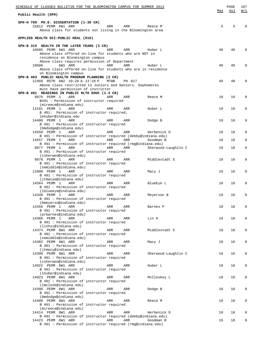| SCHEDULE OF CLASSES BULLETIN FOR THE BLOOMINGTON CAMPUS FOR SUMMER 2013               |      |        |                     |     | PAGE | 187        |
|---------------------------------------------------------------------------------------|------|--------|---------------------|-----|------|------------|
| Public Health (SPH)                                                                   |      |        |                     | Max | Avl  | <u>W/L</u> |
| SPH-H 799 PH.D. DISSERTATION (1-30 CR)                                                |      |        |                     |     |      |            |
| 15812 PERM 6W1 ARR<br>Above class for students not living in the Bloomington area     | ARR  | ARR    | Reece M             | 5   | 5    | 0          |
|                                                                                       |      |        |                     |     |      |            |
| APPLIED HEALTH SCI:PUBLIC HEAL (010)                                                  |      |        |                     |     |      |            |
| SPH-B 315 HEALTH IN THE LATER YEARS (3 CR)                                            |      |        |                     |     |      |            |
| 10605 PERM 6W1 ARR<br>Above class offered on-line for students who are NOT in         | ARR  | ARR    | Huber L             | 40  | 40   | $\Omega$   |
| residence on Bloomington campus                                                       |      |        |                     |     |      |            |
| Above class requires permission of Department<br>10606<br>6W1 ARR                     | ARR  | ARR    | Huber L             | 40  | 40   | 0          |
| Above class offered on-line for students who are in residence                         |      |        |                     |     |      |            |
| on Bloomington campus<br>SPH-B 403 PUBLIC HEALTH PROGRAM PLANNING (3 CR)              |      |        |                     |     |      |            |
| 12468 RSTR 6W2 10:20 A-12:10 P                                                        | MTWR | PH 017 |                     | 40  | 40   | 0          |
| Above class restricted to Juniors and Seniors. Sophomores                             |      |        |                     |     |      |            |
| must have permission of instructor<br>SPH-B 491 READINGS IN PUBLIC HLTH EDUC (1-3 CR) |      |        |                     |     |      |            |
| 9876 PERM 1<br>ARR                                                                    | ARR  | ARR    | Reece M             | 10  | 10   | 0          |
| B491 : Permission of instructor required<br>(mireece@indiana.edu)                     |      |        |                     |     |      |            |
| 13181 PERM 1<br>ARR                                                                   | ARR  | ARR    | Huber L             | 10  | 10   | 0          |
| B 491: Permission of instructor required,<br>lehuber@indiana.edu                      |      |        |                     |     |      |            |
| 14480 PERM 1<br>ARR                                                                   | ARR  | ARR    | Dodge B             | 10  | 10   | 0          |
| B 491 : Permission of instructor required<br>(bmdodge@indiana.edu)                    |      |        |                     |     |      |            |
| 14550 PERM 1<br>ARR                                                                   | ARR  | ARR    | Herbenick D         | 10  | 10   | 0          |
| B 491 : Permission of instructor required (debby@indiana.edu)<br>14557 PERM 1<br>ARR  | ARR  | ARR    | Goodman B           | 10  | 10   | 0          |
| B 491 : Permission of instructor required (rmg@indiana.edu)                           |      |        |                     |     |      |            |
| 9877 PERM 1<br>ARR<br>B 491 : Permission of instructor required                       | ARR  | ARR    | Sherwood-Laughlin C | 10  | 10   | 0          |
| (csherwoo@indiana.edu)                                                                |      |        |                     |     |      |            |
| 9878 PERM 1<br>ARR                                                                    | ARR  | ARR    | Middlestadt S       | 10  | 10   | 0          |
| B 491 : Permission of instructor required<br>(semiddle@indiana.edu)                   |      |        |                     |     |      |            |
| 12800 PERM 1<br>ARR                                                                   | ARR  | ARR    | Macy J              | 10  | 10   | 0          |
| B 491 : Permission of instructor required<br>(jtmacye@indiana.edu)                    |      |        |                     |     |      |            |
| 14564 PERM 1<br>ARR                                                                   | ARR  | ARR    | BlueEye L           | 10  | 10   | 0          |
| B 491 : Permission of instructor required<br>(lblueeye@indiana.edu)                   |      |        |                     |     |      |            |
| 14348 PERM 1<br>ARR                                                                   | ARR  | ARR    | Meyerson B          | 10  | 10   | 0          |
| B 491 : Permission of instructor required<br>(bmeyerso@indiana.edu)                   |      |        |                     |     |      |            |
| 14356 PERM 1<br>ARR                                                                   | ARR  | ARR    | Barnes P            | 10  | 10   | 0          |
| B 491 : Permission of instructor required<br>(prbarnes@indiana.edu)                   |      |        |                     |     |      |            |
| 14366 PERM 1<br>ARR                                                                   | ARR  | ARR    | Lin H               | 10  | 10   | 0          |
| B 491 : Permission of instructor required<br>(linhsi@indiana.edu)                     |      |        |                     |     |      |            |
| 14374 PERM 8W1 ARR                                                                    | ARR  | ARR    | Middlestadt S       | 10  | 10   | 0          |
| B 491 : Permission of instructor required<br>(semiddle@indiana.edu)                   |      |        |                     |     |      |            |
| 14382 PERM 8W1 ARR                                                                    | ARR  | ARR    | Macy J              | 10  | 10   | 0          |
| B 491 : Permission of instructor required                                             |      |        |                     |     |      |            |
| (jtmacy@indiana.edu)<br>14390 PERM 8W1 ARR                                            | ARR  | ARR    | Sherwood-Laughlin C | 10  | 10   | 0          |
| B 491 : Permission of instructor required                                             |      |        |                     |     |      |            |
| (csherwoo@indiana.edu)<br>14922 PERM 8W1 ARR                                          | ARR  | ARR    | Huber L             | 10  | 10   | 0          |
| B 491 : Permission of instructor required                                             |      |        |                     |     |      |            |
| (lhuber@indiana.edu)<br>14923 PERM 8W1 ARR                                            | ARR  | ARR    | McCloskey L         | 10  | 10   | 0          |
| B 491 : Permission of instructor required                                             |      |        |                     |     |      |            |
| (lmclosk@indiana.edu)<br>14398 PERM 8W1 ARR                                           | ARR  | ARR    | Dodge B             | 10  | 10   | 0          |
| B 491 : Permission of instructor required                                             |      |        |                     |     |      |            |
| (bmdodge@indiana.edu)<br>14406 PERM 8W1 ARR                                           | ARR  | ARR    | Reece M             | 10  | 10   | 0          |
| B 491 : Permission of instructor required                                             |      |        |                     |     |      |            |
| (mireece@indiana.edu)<br>14414 PERM 8W1 ARR                                           | ARR  | ARR    | Herbenick D         | 10  | 10   | 0          |
| B 491 : Permission of instructor required (debby@indiana.edu)                         |      |        |                     |     |      |            |
| 14423 PERM 8W1 ARR<br>B 491 : Permission of instructor required (rmg@indiana.edu)     | ARR  | ARR    | Goodman B           | 10  | 10   | 0          |
|                                                                                       |      |        |                     |     |      |            |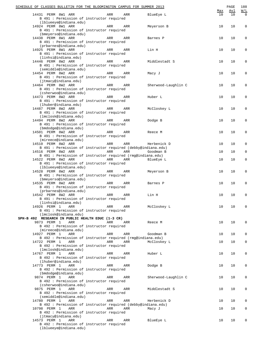|                    | SCHEDULE OF CLASSES BULLETIN FOR THE BLOOMINGTON CAMPUS FOR SUMMER 2013 |            |            |                     | Max | PAGE<br>Avl | 188<br>W/L  |
|--------------------|-------------------------------------------------------------------------|------------|------------|---------------------|-----|-------------|-------------|
| 14431 PERM 8W1 ARR | B 491 : Permission of instructor required                               | ARR        | ARR        | BlueEye L           | 10  | 10          | $\mathbf 0$ |
| 14924 PERM 8W1 ARR | (lblueeye@indiana.edu)                                                  |            |            |                     | 10  | 10          | $\mathsf 0$ |
|                    | B 491 : Permission of instructor required                               | ARR        | ARR        | Meyerson B          |     |             |             |
|                    | (bmeyerso@indiana.edu)                                                  |            |            |                     |     |             |             |
| 14438 PERM 8W1 ARR |                                                                         | ARR        | ARR        | Barnes P            | 10  | 10          | 0           |
|                    | B 491 : Permission of instructor required                               |            |            |                     |     |             |             |
|                    | (prbarnes@indiana.edu)                                                  |            |            |                     |     |             |             |
| 14925 PERM 8W1 ARR | B 491 : Permission of instructor required                               | ARR        | ARR        | Lin H               | 10  | 10          | $\mathsf 0$ |
|                    | (linhsi@indiana.edu)                                                    |            |            |                     |     |             |             |
| 14446 PERM 8W2 ARR |                                                                         | ARR        | ARR        | Middlestadt S       | 10  | 10          | 0           |
|                    | B 491 : Permission of instructor required                               |            |            |                     |     |             |             |
|                    | (semiddle@indiana.edu)                                                  |            |            |                     |     |             |             |
| 14454 PERM 8W2 ARR |                                                                         | ARR        | ARR        | Macy J              | 10  | 10          | 0           |
|                    | B 491 : Permission of instructor required<br>(jtmacy@indiana.edu)       |            |            |                     |     |             |             |
| 14464 PERM 8W2 ARR |                                                                         | ARR        | ARR        | Sherwood-Laughlin C | 10  | 10          | $\mathsf 0$ |
|                    | B 491 : Permission of instructor required                               |            |            |                     |     |             |             |
|                    | (csherwoo@indiana.edu)                                                  |            |            |                     |     |             |             |
| 14473 PERM 8W2 ARR | B 491 : Permission of instructor required                               | ARR        | ARR        | Huber L             | 10  | 10          | $\mathsf 0$ |
|                    | (lhuber@indiana.edu)                                                    |            |            |                     |     |             |             |
| 14487 PERM 8W2 ARR |                                                                         | ARR        | ARR        | McCloskey L         | 10  | 10          | 0           |
|                    | B 491 : Permission of instructor required                               |            |            |                     |     |             |             |
|                    | (lmclosk@indiana.edu)                                                   |            |            |                     |     |             |             |
| 14494 PERM 8W2 ARR | B 491 : Permission of instructor required                               | ARR        | ARR        | Dodge B             | 10  | 10          | 0           |
|                    | (bmdodge@indiana.edu)                                                   |            |            |                     |     |             |             |
| 14501 PERM 8W2 ARR |                                                                         | ARR        | ARR        | Reece M             | 10  | 10          | 0           |
|                    | B 491 : Permission of instructor required                               |            |            |                     |     |             |             |
|                    | (mireece@indiana.edu)                                                   |            |            |                     |     |             |             |
| 14510 PERM 8W2 ARR | B 491 : Permission of instructor required (debby@indiana.edu)           | ARR        | ARR        | Herbenick D         | 10  | 10          | $\mathsf 0$ |
| 14516 PERM 8W2 ARR |                                                                         | <b>ARR</b> | ARR        | Goodman B           | 10  | 10          | $\mathsf 0$ |
|                    | B 491 : Permission of instructor required (rmg@indiana.edu)             |            |            |                     |     |             |             |
| 14522 PERM 8W2 ARR |                                                                         | <b>ARR</b> | ARR        | BlueEye L           | 10  | 10          | $\mathsf 0$ |
|                    | B 491 : Permission of instructor required<br>(lblueeye@indiana.edu)     |            |            |                     |     |             |             |
| 14528 PERM 8W2 ARR |                                                                         | ARR        | ARR        | Meyerson B          | 10  | 10          | 0           |
|                    | B 491 : Permission of instructor required                               |            |            |                     |     |             |             |
|                    | (bmeyerso@indiana.edu)                                                  |            |            |                     |     |             |             |
| 14535 PERM 8W2 ARR |                                                                         | ARR        | ARR        | Barnes P            | 10  | 10          | 0           |
|                    | B 491 : Permission of instructor required<br>(prbarnes@indiana.edu)     |            |            |                     |     |             |             |
| 14542 PERM 8W2 ARR |                                                                         | ARR        | ARR        | Lin H               | 10  | 10          | $\mathsf 0$ |
|                    | B 491 : Permission of instructor required                               |            |            |                     |     |             |             |
|                    | (linhsi@indiana.edu)                                                    |            |            |                     |     |             |             |
| 14926 PERM 1       | ARR                                                                     | ARR        | ARR        | McCloskey L         | 10  | 10          | 0           |
|                    | B 491 : Permission of instructor required<br>(lmclosk@indiana.edu)      |            |            |                     |     |             |             |
|                    | SPH-B 492 RESEARCH IN PUBLIC HEALTH EDUC (1-3 CR)                       |            |            |                     |     |             |             |
| 9873 PERM 1        | ARR                                                                     | ARR        | ARR        | Reece M             | 10  | 10          | 0           |
|                    | B 492 : Permission of instructor required                               |            |            |                     |     |             |             |
| 14927 PERM 1       | (mireece@indiana.edu)<br>ARR                                            | ARR        | ARR        | Goodman B           | 10  | 10          | 0           |
|                    | B 492 : Permission of instructor required (rmg@indiana.edu)             |            |            |                     |     |             |             |
| 14722 PERM 1       | ARR                                                                     | ARR        | ARR        | McCloskey L         | 10  | 10          | 0           |
|                    | B 492 : Permission of instructor required                               |            |            |                     |     |             |             |
|                    | (lmclosk@indiana.edu)                                                   |            |            |                     |     |             |             |
| 14767 PERM 1       | ARR<br>B 492 : Permission of instructor required                        | ARR        | ARR        | Huber L             | 10  | 10          | 0           |
|                    | (lhuber@indiana.edu)                                                    |            |            |                     |     |             |             |
| 14773 PERM 1       | ARR                                                                     | ARR        | ARR        | Dodge B             | 10  | 10          | 0           |
|                    | B 492 : Permission of instructor required                               |            |            |                     |     |             |             |
| 9874 PERM 1        | (bmdodge@indiana.edu)<br>ARR                                            | ARR        | ARR        | Sherwood-Laughlin C | 10  | 10          | 0           |
|                    | B 492 : Permission of instructor required                               |            |            |                     |     |             |             |
|                    | (csherwoo@indiana.edu)                                                  |            |            |                     |     |             |             |
| 9875 PERM 1        | ARR                                                                     | ARR        | ARR        | Middlestadt S       | 10  | 10          | 0           |
|                    | B 492 : Permission of instructor required                               |            |            |                     |     |             |             |
| 14780 PERM 1       | (semiddle@indiana.edu)<br>ARR                                           | ARR        | <b>ARR</b> | Herbenick D         | 10  | 10          | 0           |
|                    | B 492 : Permission of instructor required (debby@indiana.edu)           |            |            |                     |     |             |             |
| 10798 PERM 1       | ARR                                                                     | ARR        | ARR        | Macy J              | 10  | 10          | 0           |
|                    | B 492 : Permission of instructor required                               |            |            |                     |     |             |             |
|                    | (jtmacy@indiana.edu)<br>ARR                                             | ARR        |            |                     |     | 10          |             |
| 14573 PERM 1       | B 492 : Permission of instructor required                               |            | ARR        | BlueEye L           | 10  |             | 0           |
|                    | (lblueeye@indiana.edu)                                                  |            |            |                     |     |             |             |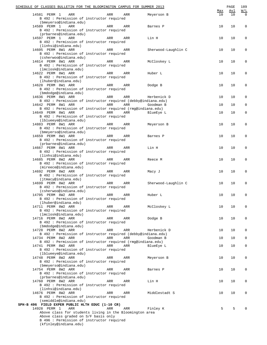| SCHEDULE OF CLASSES BULLETIN FOR THE BLOOMINGTON CAMPUS FOR SUMMER 2013             |     |            |                     |           | PAGE             | 189                              |
|-------------------------------------------------------------------------------------|-----|------------|---------------------|-----------|------------------|----------------------------------|
| 14581 PERM 1<br>ARR<br>B 492 : Permission of instructor required                    | ARR | ARR        | Meyerson B          | Max<br>10 | <u>Avl</u><br>10 | $\underline{W/L}$<br>$\mathbf 0$ |
| (bmeyerso@indiana.edu)                                                              |     |            |                     |           |                  |                                  |
| 14589 PERM 1<br>ARR<br>B 492 : Permission of instructor required                    | ARR | ARR        | Barnes P            | 10        | 10               | $\mathsf 0$                      |
| (prbarnes@indiana.edu)<br>14597 PERM 1<br>ARR                                       | ARR | ARR        | Lin H               | 10        | 10               | 0                                |
| B 492 : Permission of instructor required                                           |     |            |                     |           |                  |                                  |
| (linhsi@indiana.edu)                                                                |     |            |                     |           |                  |                                  |
| 14605 PERM 8W1 ARR<br>B 492 : Permission of instructor required                     | ARR | ARR        | Sherwood-Laughlin C | 10        | 10               | $\mathsf 0$                      |
| (csherwoo@indiana.edu)                                                              |     |            |                     |           |                  |                                  |
| 14614 PERM 8W1 ARR<br>B 492 : Permission of instructor required                     | ARR | ARR        | McCloskey L         | 10        | 10               | $\mathsf 0$                      |
| (lmclosk@indiana.edu)<br>14622 PERM 8W1 ARR                                         | ARR | ARR        | Huber L             | 10        | 10               | 0                                |
| B 492 : Permission of instructor required                                           |     |            |                     |           |                  |                                  |
| (lhuber@indiana.edu)                                                                |     |            |                     |           |                  |                                  |
| 14628 PERM 8W1 ARR<br>B 492 : Permission of instructor required                     | ARR | ARR        | Dodge B             | 10        | 10               | 0                                |
| (bmdodge@indiana.edu)                                                               |     |            |                     |           |                  |                                  |
| 14636 PERM 8W1 ARR                                                                  | ARR | ARR        | Herbenick D         | 10        | 10               | $\mathsf 0$                      |
| B 492 : Permission of instructor required (debby@indiana.edu)                       |     |            |                     |           |                  |                                  |
| 14642 PERM 8W1 ARR<br>B 492 : Permission of instructor required (rmg@indiana.edu)   | ARR | <b>ARR</b> | Goodman B           | 10        | 10               | $\mathsf 0$                      |
| 14649 PERM 8W1 ARR                                                                  | ARR | ARR        | BlueEye L           | 10        | 10               | $\mathsf 0$                      |
| B 492 : Permission of instructor required                                           |     |            |                     |           |                  |                                  |
| (lblueeye@indiana.edu)<br>14883 PERM 8W1 ARR                                        | ARR | ARR        |                     | 10        | 10               | $\mathsf 0$                      |
| B 492 : Permission of instructor required                                           |     |            | Meyerson B          |           |                  |                                  |
| (bmeyerso@indiana.edu)                                                              |     |            |                     |           |                  |                                  |
| 14659 PERM 8W1 ARR                                                                  | ARR | ARR        | Barnes P            | 10        | 10               | 0                                |
| B 492 : Permission of instructor required<br>(prbarnes@indiana.edu)                 |     |            |                     |           |                  |                                  |
| 14667 PERM 8W1 ARR                                                                  | ARR | ARR        | Lin H               | 10        | 10               | 0                                |
| B 492 : Permission of instructor required                                           |     |            |                     |           |                  |                                  |
| (linhsi@indiana.edu)                                                                |     |            |                     |           |                  |                                  |
| 14685 PERM 8W2 ARR<br>B 492 : Permission of instructor required                     | ARR | ARR        | Reece M             | 10        | 10               | $\mathsf 0$                      |
| (mireece@indiana.edu)                                                               |     |            |                     |           |                  |                                  |
| 14692 PERM 8W2 ARR                                                                  | ARR | ARR        | Macy J              | 10        | 10               | 0                                |
| B 492 : Permission of instructor required<br>(jtmacy@indiana.edu)                   |     |            |                     |           |                  |                                  |
| 14699 PERM 8W2 ARR                                                                  | ARR | ARR        | Sherwood-Laughlin C | 10        | 10               | 0                                |
| B 492 : Permission of instructor required                                           |     |            |                     |           |                  |                                  |
| (csherwoo@indiana.edu)                                                              |     |            |                     |           |                  |                                  |
| 14705 PERM 8W2 ARR<br>B 492 : Permission of instructor required                     | ARR | <b>ARR</b> | Huber L             | 10        | 10               | 0                                |
| (lhuber@indiana.edu)                                                                |     |            |                     |           |                  |                                  |
| 14711 PERM 8W2 ARR                                                                  | ARR | ARR        | McCloskey L         | 10        | 10               | 0                                |
| B 492 : Permission of instructor required                                           |     |            |                     |           |                  |                                  |
| (lmclosk@indiana.edu)<br>14716 PERM 8W2 ARR                                         | ARR | ARR        | Dodge B             | 10        | 10               | 0                                |
| B 492 : Permission of instructor required                                           |     |            |                     |           |                  |                                  |
| (bmdodge@indiana.edu)                                                               |     |            |                     |           |                  |                                  |
| 14728 PERM 8W2 ARR<br>B 492 : Permission of instructor required (debby@indiana.edu) | ARR | ARR        | Herbenick D         | 10        | 10               | 0                                |
| 14734 PERM 8W2 ARR                                                                  | ARR | ARR        | Goodman B           | 10        | 10               | 0                                |
| B 492 : Permission of instructor required (rmg@indiana.edu)                         |     |            |                     |           |                  |                                  |
| 14741 PERM 8W2 ARR                                                                  | ARR | ARR        | BlueEye L           | 10        | 10               | $\mathbf 0$                      |
| B 492 : Permission of instructor required<br>(lblueeye@indiana.edu)                 |     |            |                     |           |                  |                                  |
| 14748 PERM 8W2 ARR                                                                  | ARR | ARR        | Meyerson B          | 10        | 10               | 0                                |
| B 492 : Permission of instructor required                                           |     |            |                     |           |                  |                                  |
| (bmeyerso@indiana.edu)                                                              |     |            |                     |           |                  |                                  |
| 14754 PERM 8W2 ARR<br>B 492 : Permission of instructor required                     | ARR | ARR        | Barnes P            | 10        | 10               | 0                                |
| (prbarnes@indiana.edu)                                                              |     |            |                     |           |                  |                                  |
| 14760 PERM 8W2 ARR                                                                  | ARR | ARR        | Lin H               | 10        | 10               | 0                                |
| B 492 : Permission of instructor required                                           |     |            |                     |           |                  |                                  |
| (linhsi@indiana.edu)<br>14676 PERM 8W2 ARR                                          | ARR | ARR        | Middlestadt S       | 10        | 10               | 0                                |
| B 492 : Permission of instructor required                                           |     |            |                     |           |                  |                                  |
| (semiddle@indiana.edu)                                                              |     |            |                     |           |                  |                                  |
| SPH-B 496 FIELD EXPER PUBLIC HLTH EDUC (1-10 CR)                                    |     |            |                     |           |                  |                                  |
| 14928 PERM 1<br>ARR<br>Above class for students living in the Bloomington area      | ARR | <b>ARR</b> | Finley K            | 5         | 5                | $\Omega$                         |
| Above class graded on S/F basis only                                                |     |            |                     |           |                  |                                  |
| B 496 : Permission of instructor required                                           |     |            |                     |           |                  |                                  |
| (kfinley@indiana.edu)                                                               |     |            |                     |           |                  |                                  |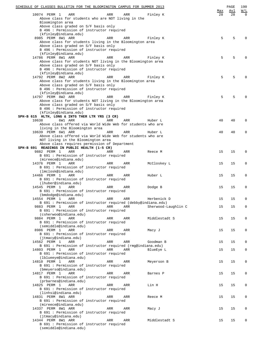| SCHEDULE OF CLASSES BULLETIN FOR THE BLOOMINGTON CAMPUS FOR SUMMER 2013           |     |     |                     |     | PAGE | 190         |
|-----------------------------------------------------------------------------------|-----|-----|---------------------|-----|------|-------------|
|                                                                                   |     |     |                     | Max | Avl  | W/L         |
| 10074 PERM 1<br>ARR<br>Above class for students who are NOT living in the         | ARR | ARR | Finley K            | 28  | 28   | $\Omega$    |
| Bloomington area                                                                  |     |     |                     |     |      |             |
| Above class graded on S/F basis only                                              |     |     |                     |     |      |             |
| B 496 : Permission of instructor required                                         |     |     |                     |     |      |             |
| (kfinley@indiana.edu)                                                             |     |     |                     |     |      |             |
| 8985 PERM 8W1 ARR                                                                 | ARR | ARR | Finley K            | 5   | 5    | $\Omega$    |
| Above class for students living in the Bloomington area                           |     |     |                     |     |      |             |
| Above class graded on S/F basis only                                              |     |     |                     |     |      |             |
| B 496 : Permission of instructor required                                         |     |     |                     |     |      |             |
| (kfinley@indiana.edu)                                                             |     |     |                     |     |      |             |
| 14786 PERM 8W1 ARR<br>Above class for students NOT living in the Bloomington area | ARR | ARR | Finley K            | 5   | 5    | $\Omega$    |
| Above class graded on S/F basis only                                              |     |     |                     |     |      |             |
| B 496 : Permission of instructor required                                         |     |     |                     |     |      |             |
| (kfinley@indiana.edu)                                                             |     |     |                     |     |      |             |
| 14792 PERM 8W2 ARR                                                                | ARR | ARR | Finley K            | 5   | 5    | $\Omega$    |
| Above class for students living in the Bloomington area                           |     |     |                     |     |      |             |
| Above class graded on S/F basis only                                              |     |     |                     |     |      |             |
| B 496 : Permission of instructor required                                         |     |     |                     |     |      |             |
| (kfinley@indiana.edu)                                                             |     |     |                     |     |      |             |
| 14797 PERM 8W2 ARR                                                                | ARR | ARR | Finley K            | 5   | 5    | $\Omega$    |
| Above class for students NOT living in the Bloomington area                       |     |     |                     |     |      |             |
| Above class graded on S/F basis only                                              |     |     |                     |     |      |             |
| B 496 : Permission of instructor required                                         |     |     |                     |     |      |             |
| (kfinley@indiana.edu)                                                             |     |     |                     |     |      |             |
| SPH-B 615 HLTH, LONG & INTG THER LTR YRS (3 CR)<br>6W1 ARR                        |     |     |                     |     |      |             |
| 10638<br>Above class offered via World Wide Web for students who are              | ARR | ARR | Huber L             | 40  | 40   | $\mathbf 0$ |
| living in the Bloomington area                                                    |     |     |                     |     |      |             |
| 10639 PERM 6W1 ARR                                                                | ARR | ARR | Huber L             | 40  | 40   | $\mathbf 0$ |
| Above class offered via World Wide Web for students who are                       |     |     |                     |     |      |             |
| NOT living in the Bloomington area                                                |     |     |                     |     |      |             |
| Above class requires permission of Department                                     |     |     |                     |     |      |             |
| SPH-B 691 READINGS IN PUBLIC HEALTH (1-5 CR)                                      |     |     |                     |     |      |             |
| 9882 PERM 1<br>ARR                                                                | ARR | ARR | Reece M             | 15  | 15   | 0           |
| B 691 : Permission of instructor required                                         |     |     |                     |     |      |             |
| (mireece@indiana.edu)                                                             |     |     |                     |     |      |             |
| 14376 PERM 1<br>ARR                                                               | ARR | ARR | McCloskey L         | 15  | 15   | $\mathbf 0$ |
| B 691 : Permission of instructor required                                         |     |     |                     |     |      |             |
| (lmclosk@indiana.edu)                                                             |     |     |                     |     |      |             |
| 14466 PERM 1<br>ARR                                                               | ARR | ARR | Huber L             | 15  | 15   | 0           |
| B 691 : Permission of instructor required                                         |     |     |                     |     |      |             |
| (lhuber@indiana.edu)                                                              |     |     |                     |     |      |             |
| 14545 PERM 1<br>ARR                                                               | ARR | ARR | Dodge B             | 15  | 15   | 0           |
| B 691 : Permission of instructor required                                         |     |     |                     |     |      |             |
| (bmdodge@indiana.edu)<br>14554 PERM 1<br>ARR                                      | ARR | ARR | Herbenick D         | 15  | 15   | $\mathbf 0$ |
| B 691 : Permission of instructor required (debby@indiana.edu)                     |     |     |                     |     |      |             |
| 9883 PERM 1<br>ARR                                                                | ARR | ARR | Sherwood-Laughlin C | 15  | 15   | 0           |
| B 691 : Permission of instructor required                                         |     |     |                     |     |      |             |
| (csherwoo@indiana.edu)                                                            |     |     |                     |     |      |             |
| 9884 PERM 1<br>ARR                                                                | ARR | ARR | Middlestadt S       | 15  | 15   | 0           |
| B 691 : Permission of instructor required                                         |     |     |                     |     |      |             |
| (semiddle@indiana.edu)                                                            |     |     |                     |     |      |             |
| 8986 PERM 1<br>ARR                                                                | ARR | ARR | Macy J              | 15  | 15   | $\mathbf 0$ |
| B 691 : Permission of instructor required                                         |     |     |                     |     |      |             |
| (jtmacy@indiana.edu)                                                              |     |     |                     |     |      |             |
| 14562 PERM 1<br>ARR                                                               | ARR | ARR | Goodman B           | 15  | 15   | $\mathbf 0$ |
| B 691 : Permission of instructor required (rmq@indiana.edu)                       |     |     |                     |     |      |             |
| 14803 PERM 1<br>ARR                                                               | ARR | ARR | BlueEye L           | 15  | 15   | $\mathbf 0$ |
| B 691 : Permission of instructor required                                         |     |     |                     |     |      |             |
| (lblueeye@indiana.edu)<br>14810 PERM 1<br>ARR                                     | ARR | ARR | Meyerson B          | 15  | 15   | $\mathbf 0$ |
| B 691 : Permission of instructor required                                         |     |     |                     |     |      |             |
| (bmeyerso@indiana.edu)                                                            |     |     |                     |     |      |             |
| 14817 PERM 1<br>ARR                                                               | ARR | ARR | Barnes P            | 15  | 15   | $\mathbf 0$ |
| B 691 : Permission of instructor required                                         |     |     |                     |     |      |             |
| (prbarnes@indiana.edu)                                                            |     |     |                     |     |      |             |
| 14825 PERM 1<br>ARR                                                               | ARR | ARR | Lin H               | 15  | 15   | 0           |
| B 691 : Permission of instructor required                                         |     |     |                     |     |      |             |
| (linhsi@indiana.edu)                                                              |     |     |                     |     |      |             |
| 14831 PERM 8W1 ARR                                                                | ARR | ARR | Reece M             | 15  | 15   | 0           |
| B 691 : Permission of instructor required                                         |     |     |                     |     |      |             |
| (mireece@indiana.edu)                                                             |     |     |                     |     |      |             |
| 14337 PERM 8W1 ARR                                                                | ARR | ARR | Macy J              | 15  | 15   | $\mathbf 0$ |
| B 691 : Permission of instructor required                                         |     |     |                     |     |      |             |
| (jtmacy@indiana.edu)                                                              |     |     |                     |     |      | $\mathbf 0$ |
| 14344 PERM 8W1 ARR<br>B 691 : Permission of instructor required                   | ARR | ARR | Middlestadt S       | 15  | 15   |             |
| (semiddle@indiana.edu)                                                            |     |     |                     |     |      |             |
|                                                                                   |     |     |                     |     |      |             |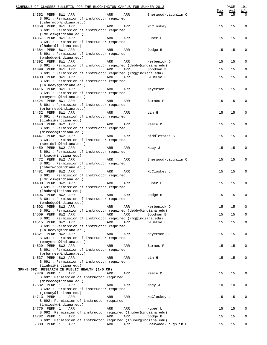|                    | SCHEDULE OF CLASSES BULLETIN FOR THE BLOOMINGTON CAMPUS FOR SUMMER 2013 |     |     |                     |           | PAGE      | 191                |
|--------------------|-------------------------------------------------------------------------|-----|-----|---------------------|-----------|-----------|--------------------|
| 14352 PERM 8W1 ARR | B 691 : Permission of instructor required                               | ARR | ARR | Sherwood-Laughlin C | Max<br>15 | Avl<br>15 | W/L<br>$\mathbf 0$ |
| 14359 PERM 8W1 ARR | (csherwoo@indiana.edu)                                                  | ARR | ARR | McCloskey L         | 15        | 15        | $\mathbf 0$        |
|                    | B 691 : Permission of instructor required<br>(lmclosk@indiana.edu)      |     |     |                     |           |           |                    |
| 14367 PERM 8W1 ARR |                                                                         | ARR | ARR | Huber L             | 15        | 15        | $\mathbf 0$        |
|                    | B 691 : Permission of instructor required<br>(lhuber@indiana.edu)       |     |     |                     |           |           |                    |
| 14384 PERM 8W1 ARR |                                                                         | ARR | ARR | Dodge B             | 15        | 15        | $\mathbf 0$        |
|                    | B 691 : Permission of instructor required<br>(bmdodge@indiana.edu)      |     |     |                     |           |           |                    |
| 14392 PERM 8W1 ARR |                                                                         | ARR | ARR | Herbenick D         | 15        | 15        | 0                  |
| 14399 PERM 8W1 ARR | B 691 : Permission of instructor required (debby@indiana.edu)           | ARR | ARR | Goodman B           | 15        | 15        | $\mathbf 0$        |
|                    | B 691 : Permission of instructor required (rmg@indiana.edu)             |     |     |                     |           |           |                    |
| 14408 PERM 8W1 ARR | B 691 : Permission of instructor required                               | ARR | ARR | BlueEye L           | 15        | 15        | $\mathbf 0$        |
|                    | (lblueeye@indiana.edu)                                                  |     |     |                     |           |           |                    |
| 14416 PERM 8W1 ARR | B 691 : Permission of instructor required                               | ARR | ARR | Meyerson B          | 15        | 15        | 0                  |
|                    | (bmeyerso@indiana.edu)                                                  |     |     |                     |           |           |                    |
| 14424 PERM 8W1 ARR | B 691 : Permission of instructor required                               | ARR | ARR | Barnes P            | 15        | 15        | 0                  |
|                    | (prbarnes@indiana.edu)                                                  |     |     |                     |           |           |                    |
| 14432 PERM 8W1 ARR | B 691 : Permission of instructor required                               | ARR | ARR | Lin H               | 15        | 15        | $\mathbf 0$        |
|                    | (linhsi@indiana.edu)                                                    |     |     |                     |           |           |                    |
| 14440 PERM 8W2 ARR | B 691 : Permission of instructor required                               | ARR | ARR | Reece M             | 15        | 15        | 0                  |
| 14447 PERM 8W2 ARR | (mireece@indiana.edu)                                                   | ARR | ARR | Middlestadt S       | 15        | 15        | 0                  |
|                    | B 691 : Permission of instructor required                               |     |     |                     |           |           |                    |
| 14459 PERM 8W2 ARR | (semiddle@indiana.edu)                                                  | ARR | ARR | Macy J              | 15        | 15        | $\mathbf 0$        |
|                    | B 691 : Permission of instructor required                               |     |     |                     |           |           |                    |
| 14472 PERM 8W2 ARR | (jtmacy@indiana.edu)                                                    | ARR | ARR | Sherwood-Laughlin C | 15        | 15        | $\mathbf 0$        |
|                    | B 691 : Permission of instructor required                               |     |     |                     |           |           |                    |
| 14481 PERM 8W2 ARR | (csherwoo@indiana.edu)                                                  | ARR | ARR | McCloskey L         | 15        | 15        | 0                  |
|                    | B 691 : Permission of instructor required                               |     |     |                     |           |           |                    |
| 14488 PERM 8W2 ARR | (lmclosk@indiana.edu)                                                   | ARR | ARR | Huber L             | 15        | 15        | 0                  |
|                    | B 691 : Permission of instructor required                               |     |     |                     |           |           |                    |
| 14496 PERM 8W2 ARR | (lhuber@indiana.edu)                                                    | ARR | ARR | Dodge B             | 15        | 15        | $\mathbf 0$        |
|                    | B 691 : Permission of instructor required<br>(bmdodge@indiana.edu)      |     |     |                     |           |           |                    |
| 14502 PERM 8W2 ARR |                                                                         | ARR | ARR | Herbenick D         | 15        | 15        | 0                  |
| 14509 PERM 8W2 ARR | B 691 : Permission of instructor required (debby@indiana.edu)           | ARR | ARR | Goodman B           | 15        | 15        | 0                  |
|                    | B 691 : Permission of instructor required (rmg@indiana.edu)             |     |     |                     |           |           |                    |
| 14515 PERM 8W2 ARR | B 691 : Permission of instructor required                               | ARR | ARR | BlueEye L           | 15        | 15        | 0                  |
|                    | (lblueeye@indiana.edu)                                                  |     |     |                     |           |           |                    |
| 14521 PERM 8W2 ARR | B 691 : Permission of instructor required                               | ARR | ARR | Meyerson B          | 15        | 15        | 0                  |
|                    | (bmeyerso@indiana.edu)                                                  |     |     |                     |           |           |                    |
| 14529 PERM 8W2 ARR | B 691 : Permission of instructor required                               | ARR | ARR | Barnes P            | 15        | 15        | 0                  |
|                    | (prbarnes@indiana.edu)                                                  |     |     |                     |           |           |                    |
| 14537 PERM 8W2 ARR | B 691 : Permission of instructor required                               | ARR | ARR | Lin H               | 15        | 15        | 0                  |
|                    | (linhsi@indiana.edu)<br>SPH-B 692 RESEARCH IN PUBLIC HEALTH (1-5 CR)    |     |     |                     |           |           |                    |
| 9879 PERM 1        | ARR                                                                     | ARR | ARR | Reece M             | 15        | 15        | 0                  |
|                    | B 692: Permission of instructor required<br>(mireece@indiana.edu)       |     |     |                     |           |           |                    |
| 12582 PERM 1       | ARR                                                                     | ARR | ARR | Macy J              | 10        | 10        | 0                  |
|                    | B 692 : Permission of instructor required<br>(jtmacy@indiana.edu)       |     |     |                     |           |           |                    |
| 14713 PERM 1       | ARR                                                                     | ARR | ARR | McCloskey L         | 15        | 15        | 0                  |
|                    | B 692: Permission of instructor required<br>(lmclosk@indiana.edu)       |     |     |                     |           |           |                    |
| 14776 PERM 1       | ARR                                                                     | ARR | ARR | Huber L             | 15        | 15        | 0                  |
| 14782 PERM 1       | B 692: Permission of instructor required (lhuber@indiana.edu)<br>ARR    | ARR | ARR | Dodge B             | 15        | 15        | 0                  |
|                    | B 692: Permission of instructor required (lhuber@indiana.edu)           |     |     |                     |           |           |                    |
| 9880 PERM 1        | ARR                                                                     | ARR | ARR | Sherwood-Laughlin C | 15        | 15        | $\overline{0}$     |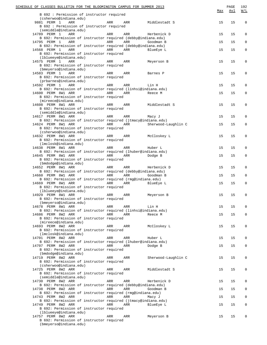| SCHEDULE OF CLASSES BULLETIN FOR THE BLOOMINGTON CAMPUS FOR SUMMER 2013<br>B 692 : Permission of instructor required<br>(csherwoo@indiana.edu) |            |            |                     | Max | PAGE<br>Avl | 192<br><u>W/L</u> |
|------------------------------------------------------------------------------------------------------------------------------------------------|------------|------------|---------------------|-----|-------------|-------------------|
| 9881 PERM 1<br>ARR<br>B 692 : Permission of instructor required<br>(semiddle@indiana.edu)                                                      | ARR        | ARR        | Middlestadt S       | 15  | 15          | $\mathbf 0$       |
| 14789 PERM 1<br>ARR                                                                                                                            | ARR        | ARR        | Herbenick D         | 15  | 15          | $\mathbf 0$       |
| B 692: Permission of instructor required (debby@indiana.edu)<br>14795 PERM 1<br>ARR                                                            | ARR        | ARR        | Goodman B           | 15  | 15          | $\mathbf 0$       |
| B 692: Permission of instructor required (debby@indiana.edu)                                                                                   |            |            |                     |     |             |                   |
| 14568 PERM 1<br>ARR                                                                                                                            | ARR        | ARR        | BlueEye L           | 15  | 15          | $\mathsf 0$       |
| B 692: Permission of instructor required<br>(lblueeye@indiana.edu)                                                                             |            |            |                     |     |             |                   |
| 14575 PERM 1<br>ARR                                                                                                                            | ARR        | ARR        | Meyerson B          | 15  | 15          | $\mathbf 0$       |
| B 692: Permission of instructor required<br>(bmeyerso@indiana.edu)                                                                             |            |            |                     |     |             |                   |
| 14583 PERM 1<br>ARR                                                                                                                            | ARR        | ARR        | Barnes P            | 15  | 15          | $\mathbf 0$       |
| B 692: Permission of instructor required<br>(prbarnes@indiana.edu)                                                                             |            |            |                     |     |             |                   |
| 14592 PERM 1<br>ARR                                                                                                                            | ARR        | ARR        | Lin H               | 15  | 15          | 0                 |
| B 692: Permission of instructor required (linhsi@indiana.edu)                                                                                  |            |            |                     |     |             |                   |
| 14600 PERM 8W1 ARR<br>B 692: Permission of instructor required                                                                                 | ARR        | ARR        | Reece M             | 15  | 15          | $\mathsf 0$       |
| (mireece@indiana.edu)                                                                                                                          |            |            |                     |     |             |                   |
| 14608 PERM 8W1 ARR                                                                                                                             | ARR        | ARR        | Middlestadt S       | 15  | 15          | $\mathbf 0$       |
| B 692: Permission of instructor required<br>(semiddle@indiana.edu)                                                                             |            |            |                     |     |             |                   |
| 14617 PERM 8W1 ARR                                                                                                                             | ARR        | ARR        | Macy J              | 15  | 15          | 0                 |
| B 692: Permission of instructor required (jtmacy@indiana.edu)                                                                                  |            |            |                     |     |             |                   |
| 14624 PERM 8W1 ARR<br>B 692: Permission of instructor required                                                                                 | ARR        | <b>ARR</b> | Sherwood-Laughlin C | 15  | 15          | $\mathbf 0$       |
| (csherwoo@indiana.edu)                                                                                                                         |            |            |                     |     |             |                   |
| 14632 PERM 8W1 ARR                                                                                                                             | ARR        | ARR        | McCloskey L         | 15  | 15          | $\mathbf 0$       |
| B 692: Permission of instructor required<br>(lmclosk@indiana.edu)                                                                              |            |            |                     |     |             |                   |
| 14638 PERM 8W1 ARR                                                                                                                             | ARR        | ARR        | Huber L             | 15  | 15          | $\mathbf 0$       |
| B 692: Permission of instructor required (lhuber@indiana.edu)                                                                                  |            |            |                     |     |             |                   |
| 14645 PERM 8W1 ARR<br>B 692: Permission of instructor required                                                                                 | ARR        | ARR        | Dodge B             | 15  | 15          | $\mathbf 0$       |
| (bmdodge@indiana.edu)                                                                                                                          |            |            |                     |     |             |                   |
| 14652 PERM 8W1 ARR<br>B 692: Permission of instructor required (debby@indiana.edu)                                                             | ARR        | ARR        | Herbenick D         | 15  | 15          | $\mathbf 0$       |
| 14660 PERM 8W1 ARR                                                                                                                             | ARR        | ARR        | Goodman B           | 15  | 15          | $\mathbf 0$       |
| B 692: Permission of instructor required (rmq@indiana.edu)                                                                                     |            |            |                     |     |             |                   |
| 14669 PERM 8W1 ARR<br>B 692: Permission of instructor required                                                                                 | <b>ARR</b> | <b>ARR</b> | BlueEye L           | 15  | 15          | $\mathbf 0$       |
| (lblueeye@indiana.edu)                                                                                                                         |            |            |                     |     |             |                   |
| 14929 PERM 8W1 ARR<br>B 692: Permission of instructor required                                                                                 | ARR        | ARR        | Meyerson B          | 15  | 15          | $\mathbf 0$       |
| (bmeyerso@indiana.edu)                                                                                                                         |            |            |                     |     |             |                   |
| 14678 PERM 8W1 ARR                                                                                                                             | ARR        | ARR        | Lin H               | 15  | 15          | 0                 |
| B 692: Permission of instructor required (linhsi@indiana.edu)<br>14686 PERM 8W2 ARR                                                            | ARR        | ARR        | Reece M             | 15  | 15          | $\mathbf 0$       |
| B 692: Permission of instructor required                                                                                                       |            |            |                     |     |             |                   |
| (mireece@indiana.edu)                                                                                                                          |            |            |                     |     |             |                   |
| 14693 PERM 8W2 ARR<br>B 692: Permission of instructor required                                                                                 | ARR        | ARR        | McCloskey L         | 15  | 15          | $\mathbf 0$       |
| (lmclosk@indiana.edu)                                                                                                                          |            |            |                     |     |             |                   |
| 14701 PERM 8W2 ARR<br>B 692: Permission of instructor required (lhuber@indiana.edu)                                                            | ARR        | ARR        | Huber L             | 15  | 15          | 0                 |
| 14707 PERM 8W2 ARR                                                                                                                             | ARR        | ARR        | Dodge B             | 15  | 15          | $\mathbf 0$       |
| B 692: Permission of instructor required                                                                                                       |            |            |                     |     |             |                   |
| (bmdodge@indiana.edu)<br>14719 PERM 8W2 ARR                                                                                                    | ARR        |            |                     | 15  | 15          | $\mathbf 0$       |
| B 692: Permission of instructor required                                                                                                       |            | ARR        | Sherwood-Laughlin C |     |             |                   |
| (csherwoo@indiana.edu)                                                                                                                         |            |            |                     |     |             |                   |
| 14725 PERM 8W2 ARR<br>B 692: Permission of instructor required                                                                                 | ARR        | ARR        | Middlestadt S       | 15  | 15          | $\mathbf 0$       |
| (semiddle@indiana.edu)                                                                                                                         |            |            |                     |     |             |                   |
| 14730 PERM 8W2 ARR                                                                                                                             | ARR        | ARR        | Herbenick D         | 15  | 15          | 0                 |
| B 692: Permission of instructor required (debby@indiana.edu)<br>14738 PERM 8W2 ARR                                                             | ARR        | ARR        | Goodman B           | 15  | 15          | $\mathbf 0$       |
| B 692: Permission of instructor required (rmq@indiana.edu)                                                                                     |            |            |                     |     |             |                   |
| 14743 PERM 8W2 ARR<br>B 692: Permission of instructor required (jtmacy@indiana.edu)                                                            | ARR        | ARR        | Macy J              | 15  | 15          | 0                 |
| 14749 PERM 8W2 ARR                                                                                                                             | ARR        | ARR        | BlueEye L           | 15  | 15          | $\mathbf 0$       |
| B 692: Permission of instructor required                                                                                                       |            |            |                     |     |             |                   |
| (lblueeye@indiana.edu)<br>14757 PERM 8W2 ARR                                                                                                   | ARR        | ARR        | Meyerson B          | 15  | 15          | $\mathbf 0$       |
| B 692: Permission of instructor required                                                                                                       |            |            |                     |     |             |                   |
| (bmeyerso@indiana.edu)                                                                                                                         |            |            |                     |     |             |                   |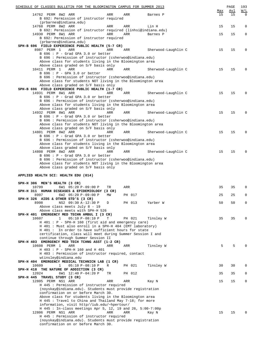| SCHEDULE OF CLASSES BULLETIN FOR THE BLOOMINGTON CAMPUS FOR SUMMER 2013                                                |     |        |                     |     | PAGE | 193         |
|------------------------------------------------------------------------------------------------------------------------|-----|--------|---------------------|-----|------|-------------|
|                                                                                                                        |     |        |                     | Max | Avl  | W/L         |
| 14762 PERM 8W2 ARR<br>B 692: Permission of instructor required                                                         | ARR | ARR    | Barnes P            | 15  | 15   | $\Omega$    |
| (prbarnes@indiana.edu)                                                                                                 |     |        |                     |     |      |             |
| 14768 PERM 8W2 ARR                                                                                                     | ARR | ARR    | Lin H               | 15  | 15   | 0           |
| B 692: Permission of instructor required (linhsi@indiana.edu)                                                          |     |        |                     |     |      |             |
| 14930 PERM 8W1 ARR                                                                                                     | ARR | ARR    | Barnes P            | 15  | 15   | $\mathbf 0$ |
| B 692: Permission of instructor required                                                                               |     |        |                     |     |      |             |
| (prbarnes@indiana.edu)                                                                                                 |     |        |                     |     |      |             |
| SPH-B 696 FIELD EXPERIENCE PUBLIC HEALTH (5-7 CR)<br>8987 PERM 1                                                       | ARR |        |                     |     |      | 0           |
| ARR<br>B 696 : P - Grad GPA 3.0 or better                                                                              |     | ARR    | Sherwood-Laughlin C | 15  | 15   |             |
| B 696 : Permission of instructor (csherwoo@indiana.edu)                                                                |     |        |                     |     |      |             |
| Above class for students living in the Bloomington area                                                                |     |        |                     |     |      |             |
| Above class graded on S/F basis only                                                                                   |     |        |                     |     |      |             |
| 10411 PERM 1<br>ARR                                                                                                    | ARR | ARR    | Sherwood-Laughlin C | 15  | 15   | 0           |
| B 696 : P - GPA 3.0 or better                                                                                          |     |        |                     |     |      |             |
| B 696 : Permission of instructor (csherwoo@indiana.edu)                                                                |     |        |                     |     |      |             |
| Above class for students NOT living in the Bloomington area                                                            |     |        |                     |     |      |             |
| Above class graded on S/F basis only<br>SPH-B 696 FIELD EXPERIENCE PUBLIC HEALTH (1-7 CR)                              |     |        |                     |     |      |             |
| 14931 PERM 8W1 ARR                                                                                                     | ARR | ARR    | Sherwood-Laughlin C | 15  | 15   | 0           |
| B 696 : P - Grad GPA 3.0 or better                                                                                     |     |        |                     |     |      |             |
| B 696 : Permission of instructor (csherwoo@indiana.edu)                                                                |     |        |                     |     |      |             |
| Above class for students living in the Bloomington area                                                                |     |        |                     |     |      |             |
| Above class graded on S/F basis only                                                                                   |     |        |                     |     |      |             |
| 14932 PERM 8W1 ARR                                                                                                     | ARR | ARR    | Sherwood-Laughlin C | 15  | 15   | 0           |
| B 696 : P - Grad GPA 3.0 or better                                                                                     |     |        |                     |     |      |             |
| B 696 : Permission of instructor (csherwoo@indiana.edu)                                                                |     |        |                     |     |      |             |
| Above class for students NOT living in the Bloomington area<br>Above class graded on S/F basis only                    |     |        |                     |     |      |             |
| 14801 PERM 8W2 ARR                                                                                                     | ARR | ARR    | Sherwood-Laughlin C | 15  | 15   | 0           |
| B 696 : P - Grad GPA 3.0 or better                                                                                     |     |        |                     |     |      |             |
| B 696 : Permission of instructor (csherwoo@indiana.edu)                                                                |     |        |                     |     |      |             |
| Above class for students living in the Bloomington area                                                                |     |        |                     |     |      |             |
| Above class graded on S/F basis only                                                                                   |     |        |                     |     |      |             |
| 14808 PERM 8W2 ARR                                                                                                     | ARR | ARR    | Sherwood-Laughlin C | 15  | 15   | 0           |
| B 696 : P - Grad GPA 3.0 or better                                                                                     |     |        |                     |     |      |             |
| B 696 : Permission of instructor (csherwoo@indiana.edu)<br>Above class for students NOT living in the Bloomington area |     |        |                     |     |      |             |
| Above class graded on S/F basis only                                                                                   |     |        |                     |     |      |             |
|                                                                                                                        |     |        |                     |     |      |             |
| APPLIED HEALTH SCI: HEALTH EDU (014)                                                                                   |     |        |                     |     |      |             |
|                                                                                                                        |     |        |                     |     |      |             |
| SPH-H 306 MEN'S HEALTH (3 CR)                                                                                          |     |        |                     |     |      |             |
| 10799<br>6W1 05:20 P-09:00 P                                                                                           | TR  | ARR    |                     | 35  | 35   | 0           |
| SPH-H 311 HUMAN DISEASES & EPIDEMIOLOGY (3 CR)<br>8997                                                                 | МW  | PH 017 |                     | 25  | 25   | 0           |
| $6W2$ 05:20 P-09:00 P<br>SPH-H 326 AIDS & OTHER STD'S (3 CR)                                                           |     |        |                     |     |      |             |
| 8998<br>NS2 09:30 A-12:30 P                                                                                            | D   | PH 013 | Yarber W            | 50  | 50   | 0           |
| Above class meets July 8 - 19                                                                                          |     |        |                     |     |      |             |
| Above class meets with SPH-H 526                                                                                       |     |        |                     |     |      |             |
| SPH-H 401 EMERGENCY MED TECHN AMBUL I (3 CR)                                                                           |     |        |                     |     |      |             |
| 10607<br>$\mathbf{1}$<br>$05:10 P-08:10 P$                                                                             | Т   | PH 021 | Tinsley W           | 35  | 35   | 0           |
| $H$ 401 : P - SPH-H 160 (first aid and emergency care)                                                                 |     |        |                     |     |      |             |
| H 401 : Must also enroll in a SPH-H 404 (EMT laboratory)                                                               |     |        |                     |     |      |             |
| H 401 : In order to have sufficient hours for state<br>certification, class will meet during Summer Session I and      |     |        |                     |     |      |             |
| continue through Summer Session II                                                                                     |     |        |                     |     |      |             |
| SPH-H 403 EMERGENCY MED TECH TCHNG ASST (1-2 CR)                                                                       |     |        |                     |     |      |             |
| 10608 PERM 1<br>ARR                                                                                                    | ARR | ARR    | Tinsley W           | 5   | 5    | $\Omega$    |
| H 403 : P - SPH-H 160 and H 401                                                                                        |     |        |                     |     |      |             |
| H 403 : Permission of instructor required, contact                                                                     |     |        |                     |     |      |             |
| wtinsley@indiana.edu                                                                                                   |     |        |                     |     |      |             |
| SPH-H 404 EMERGENCY MEDICAL TECHNICN LAB (1 CR)                                                                        |     |        |                     |     |      |             |
| 10609<br>$\mathbf 1$<br>$05:10 P-08:10 P$<br>SPH-H 418 THE NATURE OF ADDICTION (3 CR)                                  | R   | PH 021 | Tinsley W           | 30  | 30   | 0           |
| 12024<br>6W1 12:40 P-04:20 P                                                                                           | TR  | PH 012 |                     | 35  | 35   | 0           |
| SPH-H 445 TRAVEL STUDY (3 CR)                                                                                          |     |        |                     |     |      |             |
| 12805 PERM NS1 ARR                                                                                                     | ARR | ARR    | Kay N               | 15  | 15   | 0           |
| H 445 : Permission of instructor required                                                                              |     |        |                     |     |      |             |
| (noyskay@indiana.edu). Students must provide registration                                                              |     |        |                     |     |      |             |
| confirmation on or before March 30.                                                                                    |     |        |                     |     |      |             |
| Above class for students living in the Bloomington area                                                                |     |        |                     |     |      |             |
| H 445 : Travel to China and Thailand May 7-18; for more                                                                |     |        |                     |     |      |             |
|                                                                                                                        |     |        |                     |     |      |             |
| information, visit http//iub.edu/~hpertour/                                                                            |     |        |                     |     |      |             |
| H 445 : In-class meetings Apr 5, 12, 19 and 26, 5:00-7:00p                                                             | ARR | ARR    |                     | 15  |      | $\Omega$    |
| 12806 PERM NS1 ARR                                                                                                     |     |        | Kay N               |     | 15   |             |
| H 445 : Permission of instructor required<br>(noyskay@indiana.edu). Students must provide registration                 |     |        |                     |     |      |             |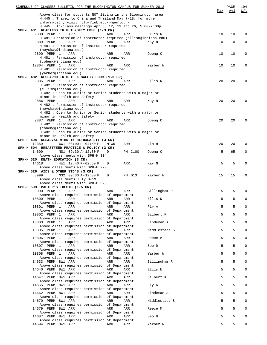| SCHEDULE OF CLASSES BULLETIN FOR THE BLOOMINGTON CAMPUS FOR SUMMER 2013                                                |             |         |               | Max | PAGE<br>Avl | 194<br>W/L   |
|------------------------------------------------------------------------------------------------------------------------|-------------|---------|---------------|-----|-------------|--------------|
| Above class for students NOT living in the Bloomington area<br>H 445 : Travel to China and Thailand May 7-18; for more |             |         |               |     |             |              |
| information, visit http//iub.edu/~hpertour/                                                                            |             |         |               |     |             |              |
| H 445 : In-class meetings Apr 5, 12, 19 and 26, 5:00-7:00p<br>SPH-H 481 READINGS IN HLTH&SFTY EDUC (1-3 CR)            |             |         |               |     |             |              |
| 9888 PERM 1<br>ARR                                                                                                     | ARR         | ARR     | Ellis N       | 10  | 10          | 0            |
| H 481: Permission of instructor required (ellisn@indiana.edu)<br>9889 PERM 1<br>ARR                                    | ARR         | ARR     | Kay N         | 10  | 10          | 0            |
| H 481 : Permission of instructor required                                                                              |             |         |               |     |             |              |
| (noyskay@indiana.edu)<br>9890 PERM 1<br>ARR                                                                            | ARR         | ARR     | Obeng C       | 10  | 10          | 0            |
| H 481 : Permission of instructor required                                                                              |             |         |               |     |             |              |
| (cobeng@indiana.edu)<br>12804 PERM 1<br>ARR                                                                            | ARR         | ARR     | Yarber W      | 10  | 10          | 0            |
| H 481 : Permission of instructor required                                                                              |             |         |               |     |             |              |
| (yarber@indiana.edu)<br>SPH-H 482 RESEARCH IN HLTH & SAFETY EDUC (1-3 CR)                                              |             |         |               |     |             |              |
| 9885 PERM 1<br>ARR                                                                                                     | ARR         | ARR     | Ellis N       | 20  | 20          | 0            |
| H 482 : Permission of instructor required<br>(ellisn@indiana.edu)                                                      |             |         |               |     |             |              |
| H 482 : Open to Junior or Senior students with a major or                                                              |             |         |               |     |             |              |
| minor in Health and Safety<br>9886 PERM 1<br>ARR                                                                       | ARR         | ARR     | Kay N         | 20  | 20          | $\Omega$     |
| H 482 : Permission of instructor required                                                                              |             |         |               |     |             |              |
| (noyskay@indiana.edu)<br>H 482 : Open to Junior or Senior students with a major or                                     |             |         |               |     |             |              |
| minor in Health and Safety                                                                                             |             |         |               |     |             |              |
| 9887 PERM 1<br>ARR<br>H 482 : Permission of instructor required                                                        | ARR         | ARR     | Obeng C       | 20  | 20          | 0            |
| (cobeng@indiana.edu)                                                                                                   |             |         |               |     |             |              |
| H 482 : Open to Junior or Senior students with a major or<br>minor in Health and Safety                                |             |         |               |     |             |              |
| SPH-H 494 RES&EVAL MTHD IN HLTH&SAFETY (3 CR)                                                                          |             |         |               |     |             |              |
| 12359<br>6W1 03:00 P-04:50 P<br>SPH-H 504 BREASTFEED PRACTICE & POLICY (3 CR)                                          | <b>MTWR</b> | ARR     | Lin H         | 20  | 20          | $\Omega$     |
| NS1 09:30 A-12:30 P<br>14609                                                                                           | D           | PH C100 | Obeng C       | 5   | 65          | 0            |
| Above class meets with SPH-H 304<br>SPH-H 520 DEATH EDUCATION (3 CR)                                                   |             |         |               |     |             |              |
| 14618<br>4W1 12:40 P-02:50 P                                                                                           | D           | ARR     | Kay N         | 5   | 5           | 0            |
| Above class meets with SPH-H 220<br>SPH-H 526 AIDS & OTHER STD'S (3 CR)                                                |             |         |               |     |             |              |
| 8999<br>NS2 09:30 A-12:30 P                                                                                            | D           | PH 013  | Yarber W      | 15  | 15          | 0            |
| Above class meets July 8-19<br>Above class meets with SPH-H 326                                                        |             |         |               |     |             |              |
| SPH-H 599 MASTER'S THESIS (1-5 CR)                                                                                     |             |         |               |     |             |              |
| 9000 PERM 1<br>ARR<br>Above class requires permission of Department                                                    | ARR         | ARR     | Billingham R  | 5   | 5           | $\Omega$     |
| 10800 PERM 1<br>ARR                                                                                                    | ARR         | ARR     | Ellis N       | 5   | 5           | 0            |
| Above class requires permission of Department<br>10801 PERM 1<br>ARR                                                   | ARR         | ARR     | Fly A         | 5   | 5           | $\Omega$     |
| Above class requires permission of Department                                                                          |             |         |               |     |             |              |
| 10802 PERM 1<br>ARR<br>Above class requires permission of Department                                                   | ARR         | ARR     | Gilbert K     | 5   | 5           | $\mathbf 0$  |
| 10803 PERM 1<br>ARR                                                                                                    | ARR         | ARR     | Lindeman A    | 5   | 5           | $\mathbf 0$  |
| Above class requires permission of Department<br>10805 PERM 1<br>ARR                                                   | ARR         | ARR     | Middlestadt S | 5   | 5           | $\mathbf 0$  |
| Above class requires permission of Department                                                                          |             |         |               |     |             |              |
| 10806 PERM 1<br>ARR<br>Above class requires permission of Department                                                   | ARR         | ARR     | Reece M       | 5   | 5           | $\mathbf 0$  |
| 10807 PERM 1<br>ARR                                                                                                    | ARR         | ARR     | Seo D         | 5   | 5           | $\mathbf{0}$ |
| Above class requires permission of Department<br>10808 PERM 1<br>ARR                                                   | ARR         | ARR     | Yarber W      | 5   | 5           | $\mathbf 0$  |
| Above class requires permission of Department                                                                          |             |         |               |     |             |              |
| 14633 PERM 8W1 ARR<br>Above class requires permission of Department                                                    | ARR         | ARR     | Billingham R  | 5   | 5           | $\mathbf{0}$ |
| 14640 PERM 8W1 ARR                                                                                                     | ARR         | ARR     | Ellis N       | 5   | 5           | $\mathbf{0}$ |
| Above class requires permission of Department<br>14647 PERM 8W1 ARR                                                    | ARR         | ARR     | Gilbert K     | 5   | 5           | $\mathbf 0$  |
| Above class requires permission of Department                                                                          |             |         |               | 5   | 5           | $\mathbf{0}$ |
| 14655 PERM 8W1 ARR<br>Above class requires permission of Department                                                    | ARR         | ARR     | Fly A         |     |             |              |
| 14662 PERM 8W1 ARR                                                                                                     | ARR         | ARR     | Lindeman A    | 5   | 5           | $\mathbf 0$  |
| Above class requires permission of Department<br>14670 PERM 8W1 ARR                                                    | ARR         | ARR     | Middlestadt S | 5   | 5           | $\mathbf 0$  |
| Above class requires permission of Department<br>14679 PERM 8W1 ARR                                                    | ARR         | ARR     | Reece M       | 5   | 5           | $\mathbf 0$  |
| Above class requires permission of Department                                                                          |             |         |               |     |             |              |
| 14687 PERM 8W1 ARR<br>Above class requires permission of Department                                                    | ARR         | ARR     | Seo D         | 5   | 5           | $\mathbf 0$  |
| 14694 PERM 8W1 ARR                                                                                                     | ARR         | ARR     | Yarber W      | 5   | 5           | $\mathbf{0}$ |
|                                                                                                                        |             |         |               |     |             |              |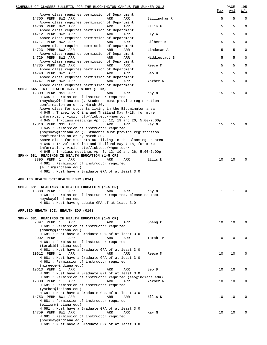| SCHEDULE OF CLASSES BULLETIN FOR THE BLOOMINGTON CAMPUS FOR SUMMER 2013                                                            |               | Max | PAGE<br><u>Avl</u> | 195<br>W/L  |
|------------------------------------------------------------------------------------------------------------------------------------|---------------|-----|--------------------|-------------|
| Above class requires permission of Department<br>14700 PERM 8W2 ARR<br>ARR<br>ARR<br>Above class requires permission of Department | Billingham R  | 5   | 5                  | $\mathbf 0$ |
| 14706 PERM 8W2 ARR<br>ARR<br>ARR<br>Above class requires permission of Department                                                  | Ellis N       | 5   | 5                  | $\mathbf 0$ |
| 14712 PERM 8W2 ARR<br>ARR<br>ARR<br>Above class requires permission of Department                                                  | Fly A         | 5   | 5                  | $\mathbf 0$ |
| 14717 PERM 8W2 ARR<br>ARR<br>ARR                                                                                                   | Gilbert K     | 5   | 5                  | $\mathbf 0$ |
| Above class requires permission of Department<br>14723 PERM 8W2 ARR<br>ARR<br>ARR                                                  | Lindeman A    | 5   | 5                  | $\mathbf 0$ |
| Above class requires permission of Department<br>14729 PERM 8W2 ARR<br>ARR<br>ARR                                                  | Middlestadt S | 5   | 5                  | $\mathsf 0$ |
| Above class requires permission of Department<br>14735 PERM 8W2 ARR<br>ARR<br>ARR                                                  | Reece M       | 5   | 5                  | $\mathbf 0$ |
| Above class requires permission of Department<br>14740 PERM 8W2 ARR<br>ARR<br>ARR                                                  | Seo D         | 5   | 5                  | $\mathsf 0$ |
| Above class requires permission of Department<br>14747 PERM 8W2 ARR<br>ARR<br>ARR                                                  | Yarber W      | 5   | 5                  | $\mathsf 0$ |
| Above class requires permission of Department<br>SPH-H 645 INTL HEALTH TRAVEL STUDY (3 CR)                                         |               |     |                    |             |
| 12809 PERM NS1 ARR<br>ARR<br>ARR<br>H 645 : Permission of instructor required                                                      | Kay N         | 15  | 15                 | 0           |
| (noyskay@indiana.edu). Students must provide registration                                                                          |               |     |                    |             |
| confirmation on or by March 30.<br>Above class for students living in the Bloomington area                                         |               |     |                    |             |
| H 645 : Travel to China and Thailand May 7-18; for more<br>information, visit http//iub.edu/~hpertour/                             |               |     |                    |             |
| H 645 : In-class meetings Apr 5, 12, 19 and 26, 5:00-7:00p                                                                         |               |     |                    |             |
| 12810 PERM NS1 ARR<br>ARR<br>ARR<br>H 645 : Permission of instructor required                                                      | Kay N         | 15  | 15                 | $\Omega$    |
| (noyskay@indiana.edu). Students must provide registration                                                                          |               |     |                    |             |
| confirmation on or by March 30.<br>Above class for students NOT living in the Bloomington area                                     |               |     |                    |             |
| H 645 : Travel to China and Thailand May 7-18; for more                                                                            |               |     |                    |             |
| information, visit http//iub.edu/~hpertour/<br>H $645$ : In-class meetings Apr 5, 12, 19 and 26, 5:00-7:00p                        |               |     |                    |             |
| SPH-H 681 READINGS IN HEALTH EDUCATION (1-5 CR)                                                                                    |               |     |                    |             |
| 9895 PERM 1<br>ARR<br>ARR<br>ARR                                                                                                   | Ellis N       | 10  | 10                 | $\Omega$    |
| H 681 : Permission of instructor required<br>(ellisn@indiana.edu)                                                                  |               |     |                    |             |
| H 681 : Must have a Graduate GPA of at least 3.0                                                                                   |               |     |                    |             |
| APPLIED HEALTH SCI: HEALTH EDUC (014)                                                                                              |               |     |                    |             |
|                                                                                                                                    |               |     |                    |             |
| SPH-H 681 READINGS IN HEALTH EDUCATION (1-5 CR)<br>13388 PERM 1<br>ARR<br>ARR<br>ARR                                               | Kay N         | 1   | 1                  | $\Omega$    |
| H 681 : Permission of instructor required, please contact                                                                          |               |     |                    |             |
| noyskay@indiana.edu<br>H 681 : Must have graduate GPA of at least 3.0                                                              |               |     |                    |             |
| APPLIED HEALTH SCI: HEALTH EDU (014)                                                                                               |               |     |                    |             |
|                                                                                                                                    |               |     |                    |             |
| SPH-H 681 READINGS IN HEALTH EDUCATION (1-5 CR)<br>9897 PERM 1<br>ARR<br>ARR<br>ARR                                                | Obeng C       | 10  | 10                 | 0           |
| H 681 : Permission of instructor required                                                                                          |               |     |                    |             |
| (cobeng@indiana.edu)<br>H 681 : Must have a Graduate GPA of at least 3.0                                                           |               |     |                    |             |
| 9002 PERM 1<br>ARR<br>ARR<br>ARR                                                                                                   | Torabi M      | 10  | 10                 | 0           |
| H 681 : Permission of instructor required<br>(torabi@indiana.edu)                                                                  |               |     |                    |             |
| H 681 : Must have a Graduate GPA of at least 3.0                                                                                   |               |     |                    |             |
| 10612 PERM 1<br>ARR<br>ARR<br>ARR                                                                                                  | Reece M       | 10  | 10                 | 0           |
| H 681 : Must have a Graduate GPA of at least 3.0<br>H 681 : Permission of instructor required                                      |               |     |                    |             |
| (mireece@indiana.edu)                                                                                                              |               |     |                    |             |
| 10613 PERM 1<br>ARR<br>ARR<br>ARR<br>H 681 : Must have a Graduate GPA of at least 3.0                                              | Seo D         | 10  | 10                 | 0           |
| H 681 : Permission of instructor required (seo@indiana.edu)                                                                        |               |     |                    |             |
| 12808 PERM 1<br>ARR<br>ARR<br>ARR<br>H 681 : Permission of instructor required                                                     | Yarber W      | 10  | 10                 | 0           |
| (yarber@indiana.edu)                                                                                                               |               |     |                    |             |
| H 681 : Must have a Graduate GPA of at least 3.0<br>14753 PERM 8W1 ARR<br>ARR<br>ARR                                               | Ellis N       | 10  | 10                 | $\mathbf 0$ |
| H 681 : Permission of instructor required                                                                                          |               |     |                    |             |
| (ellisn@indiana.edu)                                                                                                               |               |     |                    |             |
| H 681 : Must have a Graduate GPA of at least 3.0<br>14759 PERM 8W1 ARR<br>ARR<br>ARR                                               | Kay N         | 10  | 10                 | 0           |
| H 681 : Permission of instructor required                                                                                          |               |     |                    |             |
| (noyskay@indiana.edu)<br>H 681 : Must have a Graduate GPA of at least 3.0                                                          |               |     |                    |             |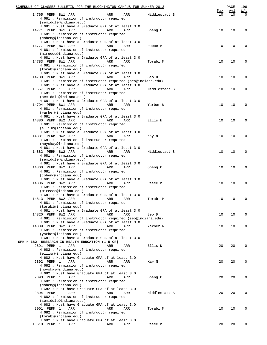|              | SCHEDULE OF CLASSES BULLETIN FOR THE BLOOMINGTON CAMPUS FOR SUMMER 2013           |            |     |               |           | PAGE      | 196             |
|--------------|-----------------------------------------------------------------------------------|------------|-----|---------------|-----------|-----------|-----------------|
|              | 14765 PERM 8W1 ARR                                                                | ARR        | ARR | Middlestadt S | Max<br>10 | Avl<br>10 | W/L<br>$\Omega$ |
|              | H 681 : Permission of instructor required                                         |            |     |               |           |           |                 |
|              | (semiddle@indiana.edu)                                                            |            |     |               |           |           |                 |
|              | H 681 : Must have a Graduate GPA of at least 3.0                                  |            |     |               |           |           |                 |
|              | 14771 PERM 8W1 ARR                                                                | ARR        | ARR | Obeng C       | 10        | 10        | 0               |
|              | H 681 : Permission of instructor required<br>(cobeng@indiana.edu)                 |            |     |               |           |           |                 |
|              | H 681 : Must have a Graduate GPA of at least 3.0                                  |            |     |               |           |           |                 |
|              | 14777 PERM 8W1 ARR                                                                | ARR        | ARR | Reece M       | 10        | 10        | 0               |
|              | H 681 : Permission of instructor required                                         |            |     |               |           |           |                 |
|              | (mireece@indiana.edu)<br>H 681 : Must have a Graduate GPA of at least 3.0         |            |     |               |           |           |                 |
|              | 14783 PERM 8W1 ARR                                                                | ARR        | ARR | Torabi M      | 10        | 10        | 0               |
|              | H 681 : Permission of instructor required                                         |            |     |               |           |           |                 |
|              | (torabi@indiana.edu)                                                              |            |     |               |           |           |                 |
|              | H 681 : Must have a Graduate GPA of at least 3.0                                  |            |     |               |           |           |                 |
|              | 14788 PERM 8W1 ARR<br>H 681 : Permission of instructor required (seo@indiana.edu) | ARR        | ARR | Seo D         | 10        | 10        | 0               |
|              | H 681 : Must have a Graduate GPA of at least 3.0                                  |            |     |               |           |           |                 |
| 10657 PERM 1 | ARR                                                                               | ARR        | ARR | Middlestadt S | 10        | 10        | 0               |
|              | H 681 : Permission of instructor required                                         |            |     |               |           |           |                 |
|              | (semiddle@indiana.edu)                                                            |            |     |               |           |           |                 |
|              | H 681 : Must have a Graduate GPA of at least 3.0                                  |            |     |               |           |           |                 |
|              | 14794 PERM 8W1 ARR<br>H 681 : Permission of instructor required                   | ARR        | ARR | Yarber W      | 10        | 10        | 0               |
|              | (yarber@indiana.edu)                                                              |            |     |               |           |           |                 |
|              | H 681 : Must have a Graduate GPA of at least 3.0                                  |            |     |               |           |           |                 |
|              | 14880 PERM 8W2 ARR                                                                | ARR        | ARR | Ellis N       | 10        | 10        | 0               |
|              | H 681 : Permission of instructor required                                         |            |     |               |           |           |                 |
|              | (ellisn@indiana.edu)                                                              |            |     |               |           |           |                 |
|              | H 681 : Must have a Graduate GPA of at least 3.0<br>14881 PERM 8W2 ARR            | ARR        | ARR | Kay N         | 10        | 10        | 0               |
|              | H 681 : Permission of instructor required                                         |            |     |               |           |           |                 |
|              | (noyskay@indiana.edu)                                                             |            |     |               |           |           |                 |
|              | H 681 : Must have a Graduate GPA of at least 3.0                                  |            |     |               |           |           |                 |
|              | 14882 PERM 8W2 ARR                                                                | ARR        | ARR | Middlestadt S | 10        | 10        | 0               |
|              | H 681 : Permission of instructor required<br>(semiddle@indiana.edu)               |            |     |               |           |           |                 |
|              | H 681 : Must have a Graduate GPA of at least 3.0                                  |            |     |               |           |           |                 |
|              | 14800 PERM 8W2 ARR                                                                | ARR        | ARR | Obeng C       | 10        | 10        | 0               |
|              | H 681 : Permission of instructor required                                         |            |     |               |           |           |                 |
|              | (cobeng@indiana.edu)                                                              |            |     |               |           |           |                 |
|              | H 681 : Must have a Graduate GPA of at least 3.0                                  |            |     |               |           |           |                 |
|              | 14806 PERM 8W2 ARR<br>H 681 : Permission of instructor required                   | ARR        | ARR | Reece M       | 10        | 10        | 0               |
|              | (mireece@indiana.edu)                                                             |            |     |               |           |           |                 |
|              | H 681 : Must have a Graduate GPA of at least 3.0                                  |            |     |               |           |           |                 |
|              | 14813 PERM 8W2 ARR                                                                | ARR        | ARR | Torabi M      | 10        | 10        | 0               |
|              | H 681 : Permission of instructor required                                         |            |     |               |           |           |                 |
|              | (torabi@indiana.edu)                                                              |            |     |               |           |           |                 |
|              | H 681 : Must have a Graduate GPA of at least 3.0<br>14820 PERM 8W2 ARR            | <b>ARR</b> | ARR | Seo D         | 10        | 10        | 0               |
|              | H 681 : Permission of instructor required (seo@indiana.edu)                       |            |     |               |           |           |                 |
|              | H 681 : Must have a Graduate GPA of at least 3.0                                  |            |     |               |           |           |                 |
|              | 14339 PERM 8W2 ARR                                                                | ARR        | ARR | Yarber W      | 10        | 10        | 0               |
|              | H 681 : Permission of instructor required                                         |            |     |               |           |           |                 |
|              | (yarber@indiana.edu)<br>H 681 : Must have a Graduate GPA of at least 3.0          |            |     |               |           |           |                 |
|              | SPH-H 682 RESEARCH IN HEALTH EDUCATION (1-5 CR)                                   |            |     |               |           |           |                 |
| 9891 PERM 1  | ARR                                                                               | ARR        | ARR | Ellis N       | 20        | 20        | $\Omega$        |
|              | H 682 : Permission of instructor required                                         |            |     |               |           |           |                 |
|              | (ellisn@indiana.edu)                                                              |            |     |               |           |           |                 |
|              | H 682 : Must have Graduate GPA of at least 3.0                                    |            |     |               |           |           |                 |
| 9892 PERM 1  | ARR<br>H 682 : Permission of instructor required                                  | ARR        | ARR | Kay N         | 20        | 20        | 0               |
|              | (noyskay@indiana.edu)                                                             |            |     |               |           |           |                 |
|              | H 682 : Must have Graduate GPA of at least 3.0                                    |            |     |               |           |           |                 |
| 9893 PERM 1  | ARR                                                                               | ARR        | ARR | Obeng C       | 20        | 20        | 0               |
|              | H 682 : Permission of instructor required                                         |            |     |               |           |           |                 |
|              | (cobeng@indiana.edu)                                                              |            |     |               |           |           |                 |
| 9894 PERM 1  | H 682 : Must have Graduate GPA of at least 3.0                                    | ARR        | ARR |               |           | 20        | 0               |
|              | ARR<br>H 682 : Permission of instructor required                                  |            |     | Middlestadt S | 20        |           |                 |
|              | (semiddle@indiana.edu)                                                            |            |     |               |           |           |                 |
|              | H 682 : Must have Graduate GPA of at least 3.0                                    |            |     |               |           |           |                 |
| 9001 PERM 1  | ARR                                                                               | ARR        | ARR | Torabi M      | 10        | 10        | 0               |
|              | H 682 : Permission of instructor required                                         |            |     |               |           |           |                 |
|              | (torabi@indiana.edu)<br>H 682 : Must have Graduate GPA of at least 3.0            |            |     |               |           |           |                 |
| 10610 PERM 1 | ARR                                                                               | ARR        | ARR | Reece M       | 20        | 20        | 0               |
|              |                                                                                   |            |     |               |           |           |                 |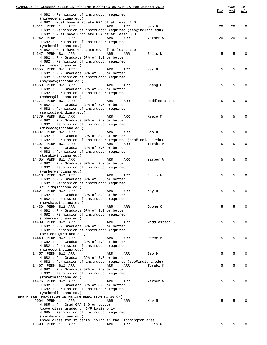| SCHEDULE OF CLASSES BULLETIN FOR THE BLOOMINGTON CAMPUS FOR SUMMER 2013            |     |     |               | <u>Max</u> | PAGE<br><u>Avl</u> | 197<br>W/L  |
|------------------------------------------------------------------------------------|-----|-----|---------------|------------|--------------------|-------------|
| H 682 : Permission of instructor required<br>(mireece@indiana.edu)                 |     |     |               |            |                    |             |
| H 682 : Must have Graduate GPA of at least 3.0                                     |     |     |               |            |                    |             |
| 10611 PERM 1<br>ARR<br>H 682 : Permission of instructor required (seo@indiana.edu) | ARR | ARR | Seo D         | 20         | 20                 | $\mathbf 0$ |
| H 682 : Must have Graduate GPA of at least 3.0                                     |     |     |               |            |                    |             |
| 12942 PERM 1<br>ARR                                                                | ARR | ARR | Yarber W      | 20         | 20                 | $\mathbf 0$ |
| H 682 : Permission of instructor required                                          |     |     |               |            |                    |             |
| (yarber@indiana.edu)                                                               |     |     |               |            |                    |             |
| H 682 : Must have Graduate GPA of at least 3.0                                     |     |     |               |            |                    |             |
| 14347 PERM 8W1 ARR                                                                 | ARR | ARR | Ellis N       | 5          | 5                  | $\mathbf 0$ |
| H 682 : P - Graduate GPA of 3.0 or better                                          |     |     |               |            |                    |             |
| H 682 : Permission of instructor required<br>(ellisn@indiana.edu)                  |     |     |               |            |                    |             |
| 14355 PERM 8W1 ARR                                                                 | ARR | ARR | Kay N         | 5          | 5                  | $\mathbf 0$ |
| $H$ 682 : P - Graduate GPA of 3.0 or better                                        |     |     |               |            |                    |             |
| H 682 : Permission of instructor required                                          |     |     |               |            |                    |             |
| (noyskay@indiana.edu)                                                              |     |     |               |            |                    |             |
| 14363 PERM 8W1 ARR                                                                 | ARR | ARR | Obeng C       | 5          | 5                  | $\mathbf 0$ |
| $H$ 682 : P - Graduate GPA of 3.0 or better                                        |     |     |               |            |                    |             |
| H 682 : Permission of instructor required                                          |     |     |               |            |                    |             |
| (cobeng@indiana.edu)<br>14371 PERM 8W1 ARR                                         | ARR | ARR | Middlestadt S | 5          | 5                  | $\mathbf 0$ |
| $H$ 682 : P - Graduate GPA of 3.0 or better                                        |     |     |               |            |                    |             |
| H 682 : Permission of instructor required                                          |     |     |               |            |                    |             |
| (semiddle@indiana.edu)                                                             |     |     |               |            |                    |             |
| 14379 PERM 8W1 ARR                                                                 | ARR | ARR | Reece M       | 5          | 5                  | $\mathbf 0$ |
| $H$ 682 : P - Graduate GPA of 3.0 or better                                        |     |     |               |            |                    |             |
| H 682 : Permission of instructor required                                          |     |     |               |            |                    |             |
| (mireece@indiana.edu)                                                              |     |     |               |            |                    |             |
| 14387 PERM 8W1 ARR                                                                 | ARR | ARR | Seo D         | 5          | 5                  | $\mathbf 0$ |
| $H$ 682 : P - Graduate GPA of 3.0 or better                                        |     |     |               |            |                    |             |
| H 682 : Permission of instructor required (seo@indiana.edu)<br>14397 PERM 8W1 ARR  | ARR | ARR |               | 5          | 5                  | $\mathbf 0$ |
| H 682 : P - Graduate GPA of 3.0 or better                                          |     |     | Torabi M      |            |                    |             |
| H 682 : Permission of instructor required                                          |     |     |               |            |                    |             |
| (torabi@indiana.edu)                                                               |     |     |               |            |                    |             |
| 14405 PERM 8W1 ARR                                                                 | ARR | ARR | Yarber W      | 5          | 5                  | $\mathbf 0$ |
| H 682 : P - Graduate GPA of 3.0 or better                                          |     |     |               |            |                    |             |
| H 682 : Permission of instructor required                                          |     |     |               |            |                    |             |
| (yarber@indiana.edu)                                                               |     |     |               |            |                    |             |
| 14413 PERM 8W2 ARR                                                                 | ARR | ARR | Ellis N       | 5          | 5                  | $\mathbf 0$ |
| H 682 : P - Graduate GPA of 3.0 or better                                          |     |     |               |            |                    |             |
| H 682 : Permission of instructor required<br>(ellisn@indiana.edu)                  |     |     |               |            |                    |             |
| 14421 PERM 8W2 ARR                                                                 | ARR | ARR | Kay N         | 5          | 5                  | $\mathbf 0$ |
| H 682 : P - Graduate GPA of 3.0 or better                                          |     |     |               |            |                    |             |
| H 682 : Permission of instructor required                                          |     |     |               |            |                    |             |
| (noyskay@indiana.edu)                                                              |     |     |               |            |                    |             |
| 14430 PERM 8W2 ARR                                                                 | ARR | ARR | Obeng C       | 5          | 5                  | $\Omega$    |
| $H$ 682 : P - Graduate GPA of 3.0 or better                                        |     |     |               |            |                    |             |
| H 682 : Permission of instructor required                                          |     |     |               |            |                    |             |
| (cobeng@indiana.edu)                                                               |     |     |               |            |                    |             |
| 14439 PERM 8W2 ARR<br>$H$ 682 : P - Graduate GPA of 3.0 or better                  | ARR | ARR | Middlestadt S | 5          | 5                  | $\Omega$    |
| H 682 : Permission of instructor required                                          |     |     |               |            |                    |             |
| (semiddle@indiana.edu)                                                             |     |     |               |            |                    |             |
| 14449 PERM 8W2 ARR                                                                 | ARR | ARR | Reece M       | 5          | 5                  | $\Omega$    |
| $H$ 682 : P - Graduate GPA of 3.0 or better                                        |     |     |               |            |                    |             |
| H 682 : Permission of instructor required                                          |     |     |               |            |                    |             |
| (mireece@indiana.edu)                                                              |     |     |               |            |                    |             |
| 14457 PERM 8W2 ARR                                                                 | ARR | ARR | Seo D         | 5          | 5                  | $\mathbf 0$ |
| $H$ 682 : P - Graduate GPA of 3.0 or better                                        |     |     |               |            |                    |             |
| H 682 : Permission of instructor required (seo@indiana.edu)                        |     |     |               |            |                    |             |
| 14467 PERM 8W2 ARR<br>$H$ 682 : P - Graduate GPA of 3.0 or better                  | ARR | ARR | Torabi M      | 5          | 5                  | $\mathbf 0$ |
| H 682 : Permission of instructor required                                          |     |     |               |            |                    |             |
| (torabi@indiana.edu)                                                               |     |     |               |            |                    |             |
| 14476 PERM 8W2 ARR                                                                 | ARR | ARR | Yarber W      | 5          | 5                  | 0           |
| $H$ 682 : P - Graduate GPA of 3.0 or better                                        |     |     |               |            |                    |             |
| H 682 : Permission of instructor required                                          |     |     |               |            |                    |             |
| (yarber@indiana.edu)                                                               |     |     |               |            |                    |             |
| SPH-H 685 PRACTICUM IN HEALTH EDUCATION (1-10 CR)                                  |     |     |               |            |                    |             |
| 9004 PERM 1<br>ARR                                                                 | ARR | ARR | Kay N         | 5          | 5                  | $\Omega$    |
| $H$ 685 : P - Grad GPA 3.0 or better                                               |     |     |               |            |                    |             |
| Above class graded on S/F basis only<br>H 685 : Permission of instructor required  |     |     |               |            |                    |             |
| (noyskay@indiana.edu)                                                              |     |     |               |            |                    |             |
| Above class for students living in the Bloomington area                            |     |     |               |            |                    |             |
| 10890 PERM 1<br>ARR                                                                | ARR | ARR | Ellis N       | 5          | 5                  | $\Omega$    |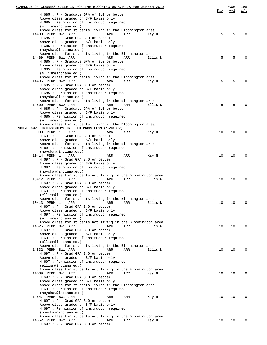| SCHEDULE OF CLASSES BULLETIN FOR THE BLOOMINGTON CAMPUS FOR SUMMER 2013                                      |     | PAGE | 198      |
|--------------------------------------------------------------------------------------------------------------|-----|------|----------|
| $H$ 685 : P - Graduate GPA of 3.0 or better                                                                  | Max | Avl  | W/L      |
| Above class graded on S/F basis only                                                                         |     |      |          |
| H 685 : Permission of instructor required                                                                    |     |      |          |
| (ellisn@indiana.edu)                                                                                         |     |      |          |
| Above class for students living in the Bloomington area<br>14483 PERM 8W1 ARR<br>ARR<br>ARR<br>Kay N         | 5   | 5    | O        |
| $H$ 685 : P - Grad GPA 3.0 or better                                                                         |     |      |          |
| Above class graded on S/F basis only                                                                         |     |      |          |
| H 685 : Permission of instructor required                                                                    |     |      |          |
| (noyskay@indiana.edu)<br>Above class for students living in the Bloomington area                             |     |      |          |
| 14489 PERM 8W1 ARR<br>ARR<br>ARR<br>Ellis N                                                                  | 5   | 5    |          |
| H 685 : P - Graduate GPA of 3.0 or better                                                                    |     |      |          |
| Above class graded on S/F basis only                                                                         |     |      |          |
| H 685 : Permission of instructor required                                                                    |     |      |          |
| (ellisn@indiana.edu)<br>Above class for students living in the Bloomington area                              |     |      |          |
| 14495 PERM 8W2 ARR<br>ARR<br>ARR<br>Kay N                                                                    | 5   | 5    |          |
| $H$ 685 : P - Grad GPA 3.0 or better                                                                         |     |      |          |
| Above class graded on S/F basis only                                                                         |     |      |          |
| H 685 : Permission of instructor required                                                                    |     |      |          |
| (noyskay@indiana.edu)<br>Above class for students living in the Bloomington area                             |     |      |          |
| 14500 PERM 8W2 ARR<br>ARR<br>Ellis N<br>ARR                                                                  | 5   | 5    |          |
| H 685 : P - Graduate GPA of 3.0 or better                                                                    |     |      |          |
| Above class graded on S/F basis only                                                                         |     |      |          |
| H 685 : Permission of instructor required                                                                    |     |      |          |
| (ellisn@indiana.edu)                                                                                         |     |      |          |
| Above class for students living in the Bloomington area<br>SPH-H 697 INTERNSHIPS IN HLTH PROMOTION (1-10 CR) |     |      |          |
| 9003 PERM 1<br>ARR<br>ARR<br>ARR<br>Kay N                                                                    | 10  | 10   | 0        |
| $H$ 697 : P - Grad GPA 3.0 or better                                                                         |     |      |          |
| Above class graded on S/F basis only                                                                         |     |      |          |
| Above class for students living in the Bloomington area                                                      |     |      |          |
| H 697 : Permission of instructor required<br>(noyskay@indiana.edu)                                           |     |      |          |
| 10414 PERM 1<br>ARR<br>ARR<br>ARR<br>Kay N                                                                   | 10  | 10   | 0        |
| H 697 : P - Grad GPA 3.0 or better                                                                           |     |      |          |
| Above class graded on S/F basis only                                                                         |     |      |          |
| H 697 : Permission of instructor required                                                                    |     |      |          |
| (noyskay@indiana.edu)                                                                                        |     |      |          |
| Above class for students not living in the Bloomington area<br>10412 PERM 1<br>ARR<br>Ellis N<br>ARR<br>ARR  | 10  | 10   | 0        |
| $H$ 697 : P - Grad GPA 3.0 or better                                                                         |     |      |          |
| Above class graded on S/F basis only                                                                         |     |      |          |
| H 697 : Permission of instructor required                                                                    |     |      |          |
| (ellisn@indiana.edu)                                                                                         |     |      |          |
| Above class for students living in the Bloomington area<br>10413 PERM 1<br>ARR<br>ARR<br>Ellis N<br>ARR      | 10  | 10   | 0        |
| $H$ 697 : P - Grad GPA 3.0 or better                                                                         |     |      |          |
| Above class graded on S/F basis only                                                                         |     |      |          |
| H 697 : Permission of instructor required                                                                    |     |      |          |
| (ellisn@indiana.edu)                                                                                         |     |      |          |
| Above class for students not living in the Bloomington area<br>14525 PERM 8W1 ARR<br>ARR<br>Ellis N          | 10  | 10   | 0        |
| ARR<br>H 697 : P - Grad GPA 3.0 or better                                                                    |     |      |          |
| Above class graded on S/F basis only                                                                         |     |      |          |
| H 697 : Permission of instructor required                                                                    |     |      |          |
| (ellisn@indiana.edu)                                                                                         |     |      |          |
| Above class for students living in the Bloomington area                                                      |     |      |          |
| 14532 PERM 8W1 ARR<br>ARR<br>ARR<br>Ellis N<br>$H$ 697 : P - Grad GPA 3.0 or better                          | 10  | 10   | $\Omega$ |
| Above class graded on S/F basis only                                                                         |     |      |          |
| H 697 : Permission of instructor required                                                                    |     |      |          |
| (ellisn@indiana.edu)                                                                                         |     |      |          |
| Above class for students not living in the Bloomington area                                                  |     |      |          |
| 14539 PERM 8W1 ARR<br>ARR<br>ARR<br>Kay N<br>$H$ 697 : P - Grad GPA 3.0 or better                            | 10  | 10   | 0        |
| Above class graded on S/F basis only                                                                         |     |      |          |
| Above class for students living in the Bloomington area                                                      |     |      |          |
| H 697 : Permission of instructor required                                                                    |     |      |          |
| (noyskay@indiana.edu)                                                                                        |     |      |          |
| 14547 PERM 8W1 ARR<br>ARR<br>ARR<br>Kay N                                                                    | 10  | 10   | 0        |
| $H$ 697 : P - Grad GPA 3.0 or better<br>Above class graded on S/F basis only                                 |     |      |          |
| H 697 : Permission of instructor required                                                                    |     |      |          |
| (noyskay@indiana.edu)                                                                                        |     |      |          |
| Above class for students not living in the Bloomington area                                                  |     |      |          |
| 14552 PERM 8W2 ARR<br>ARR<br>ARR<br>Kay N                                                                    | 10  | 10   | 0        |
| $H$ 697 : P - Grad GPA 3.0 or better                                                                         |     |      |          |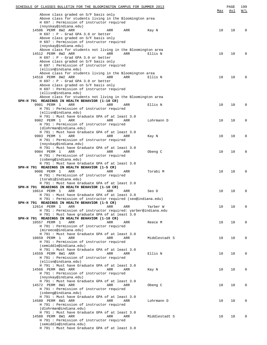| SCHEDULE OF CLASSES BULLETIN FOR THE BLOOMINGTON CAMPUS FOR SUMMER 2013                            |               |     | PAGE | 199                                           |
|----------------------------------------------------------------------------------------------------|---------------|-----|------|-----------------------------------------------|
|                                                                                                    |               | Max | Avl  | $\overline{\text{W}}$ / $\overline{\text{L}}$ |
| Above class graded on S/F basis only<br>Above class for students living in the Bloomington area    |               |     |      |                                               |
| H 697 : Permission of instructor required                                                          |               |     |      |                                               |
| (noyskay@indiana.edu)                                                                              |               |     |      |                                               |
| 14506 PERM 8W2 ARR<br>ARR<br>ARR                                                                   | Kay N         | 10  | 10   | $\Omega$                                      |
| $H$ 697 : P - Grad GPA 3.0 or better                                                               |               |     |      |                                               |
| Above class graded on S/F basis only                                                               |               |     |      |                                               |
| H 697 : Permission of instructor required                                                          |               |     |      |                                               |
| (noyskay@indiana.edu)                                                                              |               |     |      |                                               |
| Above class for students not living in the Bloomington area                                        |               |     |      |                                               |
| 14512 PERM 8W2 ARR<br>ARR<br>ARR                                                                   | Ellis N       | 10  | 10   | $\Omega$                                      |
| $H$ 697 : P - Grad GPA 3.0 or better                                                               |               |     |      |                                               |
| Above class graded on S/F basis only                                                               |               |     |      |                                               |
| H 697 : Permission of instructor required                                                          |               |     |      |                                               |
| (ellisn@indiana.edu)<br>Above class for students living in the Bloomington area                    |               |     |      |                                               |
| 14518 PERM 8W2 ARR<br>ARR<br>ARR                                                                   | Ellis N       | 10  | 10   | $\Omega$                                      |
| $H$ 697 : P - Grad GPA 3.0 or better                                                               |               |     |      |                                               |
| Above class graded on S/F basis only                                                               |               |     |      |                                               |
| H 697 : Permission of instructor required                                                          |               |     |      |                                               |
| (ellisn@indiana.edu)                                                                               |               |     |      |                                               |
| Above class for students not living in the Bloomington area                                        |               |     |      |                                               |
| SPH-H 791 READINGS IN HEALTH BEHAVIOR (1-10 CR)                                                    |               |     |      |                                               |
| 9901 PERM 1<br>ARR<br>ARR<br>ARR                                                                   | Ellis N       | 10  | 10   | $\Omega$                                      |
| H 791 : Permission of instructor required                                                          |               |     |      |                                               |
| (ellisn@indiana.edu)                                                                               |               |     |      |                                               |
| H 791 : Must have Graduate GPA of at least 3.0                                                     |               |     |      |                                               |
| 9902 PERM 1<br>ARR<br>ARR<br>ARR                                                                   | Lohrmann D    | 10  | 10   | 0                                             |
| H 791 : Permission of instructor required                                                          |               |     |      |                                               |
| (dlohrman@indiana.edu)                                                                             |               |     |      |                                               |
| H 791 : Must have Graduate GPA of at least 3.0                                                     |               |     |      |                                               |
| 9903 PERM 1<br>ARR<br>ARR<br>ARR                                                                   | Kay N         | 10  | 10   | 0                                             |
| H 791 : Permission of instructor required                                                          |               |     |      |                                               |
| (noyskay@indiana.edu)                                                                              |               |     |      |                                               |
| H 791 : Must have Graduate GPA of at least 3.0                                                     |               |     |      | $\Omega$                                      |
| 9904 PERM 1<br>ARR<br>ARR<br>ARR<br>H 791 : Permission of instructor required                      | Obeng C       | 10  | 10   |                                               |
| (cobeng@indiana.edu)                                                                               |               |     |      |                                               |
| H 791 : Must have Graduate GPA of at least 3.0                                                     |               |     |      |                                               |
| SPH-H 791 READINGS IN HEALTH BEHAVIOR (1-5 CR)                                                     |               |     |      |                                               |
| 9006 PERM 1<br>ARR<br>ARR<br>ARR                                                                   | Torabi M      | 10  | 10   | $\Omega$                                      |
| H 791 : Permission of instructor required                                                          |               |     |      |                                               |
| (torabi@indiana.edu)                                                                               |               |     |      |                                               |
| H 791 : Must have Graduate GPA of at least 3.0                                                     |               |     |      |                                               |
| SPH-H 791 READINGS IN HEALTH BEHAVIOR (1-10 CR)                                                    |               |     |      |                                               |
| 10614 PERM 1<br>ARR<br>ARR<br>ARR                                                                  | Seo D         | 10  | 10   | $\mathbf 0$                                   |
| H 791 : Must have Graduate GPA of at least 3.0                                                     |               |     |      |                                               |
| H 791 : Permission of instructor required (seo@indiana.edu)                                        |               |     |      |                                               |
| SPH-H 791 READINGS IN HEALTH BEHAVIOR (1-5 CR)                                                     |               |     |      |                                               |
| 12614 PERM 1<br>ARR<br>ARR<br>ARR<br>H 791 : Permission of instructor required: yarber@indiana.edu | Yarber W      | 10  | 10   | 0                                             |
| H 791 : Must have graduate GPA of at least 3.0                                                     |               |     |      |                                               |
| SPH-H 791 READINGS IN HEALTH BEHAVIOR (1-10 CR)                                                    |               |     |      |                                               |
| 10557 PERM 1<br>ARR<br>ARR<br>ARR                                                                  | Reece M       | 10  | 10   | 0                                             |
| H 791 : Permission of instructor required                                                          |               |     |      |                                               |
| (mireece@indiana.edu)                                                                              |               |     |      |                                               |
| H 791 : Must have Graduate GPA of at least 3.0                                                     |               |     |      |                                               |
| 10659 PERM 1<br>ARR<br>ARR<br>ARR                                                                  | Middlestadt S | 10  | 10   | 0                                             |
| H 791 : Permission of instructor required                                                          |               |     |      |                                               |
| (semiddle@indiana.edu)                                                                             |               |     |      |                                               |
| H 791 : Must have Graduate GPA of at least 3.0                                                     |               |     |      |                                               |
| 14559 PERM 8W1 ARR<br>ARR<br>ARR                                                                   | Ellis N       | 10  | 10   | 0                                             |
| H 791 : Permission of instructor required                                                          |               |     |      |                                               |
| (ellisn@indiana.edu)                                                                               |               |     |      |                                               |
| H 791 : Must have Graduate GPA of at least 3.0                                                     |               |     |      |                                               |
| 14566 PERM 8W1 ARR<br>ARR<br>ARR                                                                   | Kay N         | 10  | 10   | 0                                             |
| H 791 : Permission of instructor required                                                          |               |     |      |                                               |
| (noyskay@indiana.edu)<br>H 791 : Must have Graduate GPA of at least 3.0                            |               |     |      |                                               |
| 14572 PERM 8W1 ARR<br>ARR<br>ARR                                                                   | Obeng C       | 10  | 10   | 0                                             |
| H 791 : Permission of instructor required                                                          |               |     |      |                                               |
| (cobeng@indiana.edu)                                                                               |               |     |      |                                               |
| H 791 : Must have Graduate GPA of at least 3.0                                                     |               |     |      |                                               |
| 14580 PERM 8W1 ARR<br>ARR<br>ARR                                                                   | Lohrmann D    | 10  | 10   | 0                                             |
| H 791 : Permission of instructor required                                                          |               |     |      |                                               |
| (dlohrman@indiana.edu)                                                                             |               |     |      |                                               |
| H 791 : Must have Graduate GPA of at least 3.0                                                     |               |     |      |                                               |
| 14588 PERM 8W1 ARR<br>ARR<br>ARR                                                                   | Middlestadt S | 10  | 10   | 0                                             |
| H 791 : Permission of instructor required                                                          |               |     |      |                                               |
| (semiddle@indiana.edu)                                                                             |               |     |      |                                               |
| H 791 : Must have Graduate GPA of at least 3.0                                                     |               |     |      |                                               |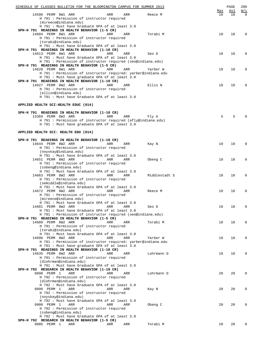| SCHEDULE OF CLASSES BULLETIN FOR THE BLOOMINGTON CAMPUS FOR SUMMER 2013                           |     |     |               |           | PAGE      | 200                                           |
|---------------------------------------------------------------------------------------------------|-----|-----|---------------|-----------|-----------|-----------------------------------------------|
| 14596 PERM 8W1 ARR                                                                                | ARR | ARR | Reece M       | Мах<br>10 | Avl<br>10 | $\overline{\text{W}}$ / $\overline{\text{L}}$ |
| H 791 : Permission of instructor required                                                         |     |     |               |           |           |                                               |
| (mireece@indiana.edu)                                                                             |     |     |               |           |           |                                               |
| H 791 : Must have Graduate GPA of at least 3.0<br>SPH-H 791 READINGS IN HEALTH BEHAVIOR (1-5 CR)  |     |     |               |           |           |                                               |
| 14604 PERM 8W1 ARR                                                                                | ARR | ARR | Torabi M      | 10        | 10        | $\Omega$                                      |
| H 791 : Permission of instructor required                                                         |     |     |               |           |           |                                               |
| (torabi@indiana.edu)                                                                              |     |     |               |           |           |                                               |
| H 791 : Must have Graduate GPA of at least 3.0<br>SPH-H 791 READINGS IN HEALTH BEHAVIOR (1-10 CR) |     |     |               |           |           |                                               |
| 14613 PERM 8W1 ARR                                                                                | ARR | ARR | Seo D         | 10        | 10        | $\mathbf 0$                                   |
| H 791 : Must have Graduate GPA of at least 3.0                                                    |     |     |               |           |           |                                               |
| H 791 : Permission of instructor required (seo@indiana.edu)                                       |     |     |               |           |           |                                               |
| SPH-H 791 READINGS IN HEALTH BEHAVIOR (1-5 CR)<br>14620 PERM 8W1 ARR                              | ARR | ARR | Yarber W      | 10        | 10        | $\mathbf 0$                                   |
| H 791 : Permission of instructor required: yarber@indiana.edu                                     |     |     |               |           |           |                                               |
| H 791 : Must have graduate GPA of at least 3.0                                                    |     |     |               |           |           |                                               |
| SPH-H 791 READINGS IN HEALTH BEHAVIOR (1-10 CR)                                                   |     |     |               |           |           |                                               |
| 14627 PERM 8W2 ARR<br>H 791 : Permission of instructor required                                   | ARR | ARR | Ellis N       | 10        | 10        | $\Omega$                                      |
| (ellisn@indiana.edu)                                                                              |     |     |               |           |           |                                               |
| H 791 : Must have Graduate GPA of at least 3.0                                                    |     |     |               |           |           |                                               |
|                                                                                                   |     |     |               |           |           |                                               |
| APPLIED HEALTH SCI:HEALTH EDUC (014)                                                              |     |     |               |           |           |                                               |
| SPH-H 791 READINGS IN HEALTH BEHAVIOR (1-10 CR)                                                   |     |     |               |           |           |                                               |
| 13369 PERM 6W2 ARR                                                                                | ARR | ARR | Fly A         | 5         | 5         | $\Omega$                                      |
| H 791 : Permission of instructor required (afly@indiana.edu)                                      |     |     |               |           |           |                                               |
| H 791 : Must have graduate GPA of at least 3.0                                                    |     |     |               |           |           |                                               |
| APPLIED HEALTH SCI: HEALTH EDU (014)                                                              |     |     |               |           |           |                                               |
|                                                                                                   |     |     |               |           |           |                                               |
| SPH-H 791 READINGS IN HEALTH BEHAVIOR (1-10 CR)<br>14644 PERM 8W2 ARR                             | ARR | ARR | Kay N         | 10        | 10        | $\mathbf 0$                                   |
| H 791 : Permission of instructor required                                                         |     |     |               |           |           |                                               |
| (noyskay@indiana.edu)                                                                             |     |     |               |           |           |                                               |
| H 791 : Must have Graduate GPA of at least 3.0                                                    |     |     |               |           |           |                                               |
| 14651 PERM 8W2 ARR<br>H 791 : Permission of instructor required                                   | ARR | ARR | Obeng C       | 10        | 10        | $\mathbf 0$                                   |
| (cobeng@indiana.edu)                                                                              |     |     |               |           |           |                                               |
| H 791 : Must have Graduate GPA of at least 3.0                                                    |     |     |               |           |           |                                               |
| 14663 PERM 8W2 ARR                                                                                | ARR | ARR | Middlestadt S | 10        | 10        | $\mathbf 0$                                   |
| H 791 : Permission of instructor required<br>(semiddle@indiana.edu)                               |     |     |               |           |           |                                               |
| H 791 : Must have Graduate GPA of at least 3.0                                                    |     |     |               |           |           |                                               |
| 14672 PERM 8W2 ARR                                                                                | ARR | ARR | Reece M       | 10        | 10        | $\mathbf 0$                                   |
| H 791 : Permission of instructor required                                                         |     |     |               |           |           |                                               |
| (mireece@indiana.edu)<br>H 791 : Must have Graduate GPA of at least 3.0                           |     |     |               |           |           |                                               |
| 14681 PERM 8W2 ARR                                                                                | ARR | ARR | Seo D         | 10        | 10        | 0                                             |
| H 791 : Must have Graduate GPA of at least 3.0                                                    |     |     |               |           |           |                                               |
| H 791 : Permission of instructor required (seo@indiana.edu)                                       |     |     |               |           |           |                                               |
| SPH-H 791 READINGS IN HEALTH BEHAVIOR (1-5 CR)<br>14689 PERM 8W2 ARR                              | ARR | ARR | Torabi M      | 10        | 10        | $\Omega$                                      |
| H 791 : Permission of instructor required                                                         |     |     |               |           |           |                                               |
| (torabi@indiana.edu)                                                                              |     |     |               |           |           |                                               |
| H 791 : Must have Graduate GPA of at least 3.0                                                    |     |     |               |           |           |                                               |
| 14696 PERM 8W2 ARR<br>H 791 : Permission of instructor required: yarber@indiana.edu               | ARR | ARR | Yarber W      | 10        | 10        | $\Omega$                                      |
| H 791 : Must have graduate GPA of at least 3.0                                                    |     |     |               |           |           |                                               |
| SPH-H 791 READINGS IN HEALTH BEHAVIOR (1-10 CR)                                                   |     |     |               |           |           |                                               |
| 14635 PERM 8W2 ARR                                                                                | ARR | ARR | Lohrmann D    | 10        | 10        | $\Omega$                                      |
| H 791 : Permission of instructor required<br>(dlohrman@indiana.edu)                               |     |     |               |           |           |                                               |
| H 791 : Must have Graduate GPA of at least 3.0                                                    |     |     |               |           |           |                                               |
| SPH-H 792 RESEARCH IN HEALTH BEHAVIOR (1-10 CR)                                                   |     |     |               |           |           |                                               |
| 9898 PERM 1<br>ARR                                                                                | ARR | ARR | Lohrmann D    | 20        | 20        | $\Omega$                                      |
| H 792 : Permission of instructor required<br>(dlohrman@indiana.edu)                               |     |     |               |           |           |                                               |
| H 792 : Must have Graduate GPA of at least 3.0                                                    |     |     |               |           |           |                                               |
| 9899 PERM 1<br>ARR                                                                                | ARR | ARR | Kay N         | 20        | 20        | 0                                             |
| H 792 : Permission of instructor required                                                         |     |     |               |           |           |                                               |
| (noyskay@indiana.edu)<br>H 792 : Must have Graduate GPA of at least 3.0                           |     |     |               |           |           |                                               |
| 9900 PERM 1<br>ARR                                                                                | ARR | ARR | Obeng C       | 20        | 20        | $\Omega$                                      |
| H 792 : Permission of instructor required                                                         |     |     |               |           |           |                                               |
| (cobeng@indiana.edu)                                                                              |     |     |               |           |           |                                               |
| H 792 : Must have Graduate GPA of at least 3.0<br>SPH-H 792 RESEARCH IN HEALTH BEHAVIOR (1-5 CR)  |     |     |               |           |           |                                               |
| 9005 PERM 1<br>ARR                                                                                | ARR | ARR | Torabi M      | 20        | 20        | $\Omega$                                      |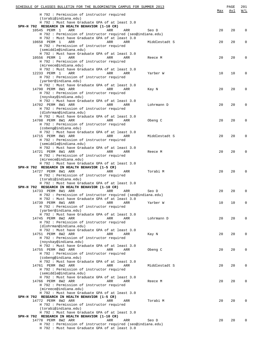| SCHEDULE OF CLASSES BULLETIN FOR THE BLOOMINGTON CAMPUS FOR SUMMER 2013            |               |     | PAGE | 201               |
|------------------------------------------------------------------------------------|---------------|-----|------|-------------------|
|                                                                                    |               | Max | Avl  | $\underline{W/L}$ |
| H 792 : Permission of instructor required<br>(torabi@indiana.edu)                  |               |     |      |                   |
| H 792 : Must have Graduate GPA of at least 3.0                                     |               |     |      |                   |
| SPH-H 792 RESEARCH IN HEALTH BEHAVIOR (1-10 CR)                                    |               |     |      |                   |
| 10545 PERM 1<br>ARR<br>ARR<br>ARR                                                  | Seo D         | 20  | 20   | 0                 |
| H 792 : Permission of instructor required (seo@indiana.edu)                        |               |     |      |                   |
| H 792 : Must have Graduate GPA of at least 3.0                                     |               |     |      |                   |
| 10658 PERM 1<br>ARR<br>ARR<br>ARR                                                  | Middlestadt S | 20  | 20   | 0                 |
| H 792 : Permission of instructor required                                          |               |     |      |                   |
| (semiddle@indiana.edu)                                                             |               |     |      |                   |
| H 792 : Must have Graduate GPA of at least 3.0                                     |               |     |      |                   |
| 10556 PERM 1<br>ARR<br>ARR<br>ARR                                                  | Reece M       | 20  | 20   | 0                 |
| H 792 : Permission of instructor required                                          |               |     |      |                   |
| (mireece@indiana.edu)                                                              |               |     |      |                   |
| H 792 : Must have Graduate GPA of at least 3.0                                     |               |     |      |                   |
| 12233 PERM 1<br>ARR<br>ARR<br>ARR                                                  | Yarber W      | 10  | 10   | 0                 |
| H 792 : Permission of instructor required                                          |               |     |      |                   |
| (yarber@indiana.edu)                                                               |               |     |      |                   |
| H 792 : Must have Graduate GPA of at least 3.0                                     |               |     |      |                   |
| 14790 PERM 8W1 ARR<br>ARR<br>ARR                                                   | Kay N         | 20  | 20   | 0                 |
| H 792 : Permission of instructor required                                          |               |     |      |                   |
| (noyskay@indiana.edu)                                                              |               |     |      |                   |
| H 792 : Must have Graduate GPA of at least 3.0                                     |               |     |      |                   |
| 14702 PERM 8W1 ARR<br>ARR<br>ARR                                                   | Lohrmann D    | 20  | 20   | 0                 |
| H 792 : Permission of instructor required                                          |               |     |      |                   |
| (dlohrman@indiana.edu)                                                             |               |     |      |                   |
| H 792 : Must have Graduate GPA of at least 3.0                                     |               |     |      |                   |
| 14708 PERM 8W1 ARR<br>ARR<br>ARR                                                   | Obeng C       | 20  | 20   | 0                 |
| H 792 : Permission of instructor required                                          |               |     |      |                   |
| (cobeng@indiana.edu)                                                               |               |     |      |                   |
| H 792 : Must have Graduate GPA of at least 3.0                                     |               |     |      |                   |
| 14715 PERM 8W1 ARR<br>ARR<br>ARR                                                   | Middlestadt S | 20  | 20   | 0                 |
| H 792 : Permission of instructor required                                          |               |     |      |                   |
| (semiddle@indiana.edu)                                                             |               |     |      |                   |
| H 792 : Must have Graduate GPA of at least 3.0                                     |               |     |      |                   |
| 14721 PERM 8W1 ARR<br>ARR<br>ARR                                                   | Reece M       | 20  | 20   | 0                 |
| H 792 : Permission of instructor required                                          |               |     |      |                   |
| (mireece@indiana.edu)                                                              |               |     |      |                   |
| H 792 : Must have Graduate GPA of at least 3.0                                     |               |     |      |                   |
| SPH-H 792 RESEARCH IN HEALTH BEHAVIOR (1-5 CR)<br>14727 PERM 8W1 ARR<br>ARR<br>ARR | Torabi M      | 20  | 20   | 0                 |
| H 792 : Permission of instructor required                                          |               |     |      |                   |
| (torabi@indiana.edu)                                                               |               |     |      |                   |
| H 792 : Must have Graduate GPA of at least 3.0                                     |               |     |      |                   |
| SPH-H 792 RESEARCH IN HEALTH BEHAVIOR (1-10 CR)                                    |               |     |      |                   |
| 14733 PERM 8W1 ARR<br>ARR<br>ARR                                                   | Seo D         | 20  | 20   | 0                 |
| H 792 : Permission of instructor required (seo@indiana.edu)                        |               |     |      |                   |
| H 792 : Must have Graduate GPA of at least 3.0                                     |               |     |      |                   |
| 14739 PERM 8W1 ARR<br>ARR<br>ARR                                                   | Yarber W      | 10  | 10   | 0                 |
| H 792 : Permission of instructor required                                          |               |     |      |                   |
| (yarber@indiana.edu)                                                               |               |     |      |                   |
| H 792 : Must have Graduate GPA of at least 3.0                                     |               |     |      |                   |
| 14745 PERM 8W2 ARR<br>ARR<br>ARR                                                   | Lohrmann D    | 20  | 20   | $\Omega$          |
| H 792 : Permission of instructor required                                          |               |     |      |                   |
| (dlohrman@indiana.edu)                                                             |               |     |      |                   |
| H 792 : Must have Graduate GPA of at least 3.0                                     |               |     |      |                   |
| 14751 PERM 8W2 ARR<br>ARR<br>ARR                                                   | Kay N         | 20  | 20   | $\Omega$          |
| H 792 : Permission of instructor required                                          |               |     |      |                   |
| (noyskay@indiana.edu)                                                              |               |     |      |                   |
| H 792 : Must have Graduate GPA of at least 3.0                                     |               |     |      |                   |
| 14755 PERM 8W2 ARR<br>ARR<br>ARR                                                   | Obeng C       | 20  | 20   | $\Omega$          |
| H 792 : Permission of instructor required                                          |               |     |      |                   |
| (cobeng@indiana.edu)                                                               |               |     |      |                   |
| H 792 : Must have Graduate GPA of at least 3.0                                     |               |     |      |                   |
| 14761 PERM 8W2 ARR<br>ARR<br>ARR                                                   | Middlestadt S | 20  | 20   | $\Omega$          |
| H 792 : Permission of instructor required                                          |               |     |      |                   |
| (semiddle@indiana.edu)                                                             |               |     |      |                   |
| H 792 : Must have Graduate GPA of at least 3.0                                     |               |     |      |                   |
| 14766 PERM 8W2 ARR<br>ARR<br>ARR                                                   | Reece M       | 20  | 20   | $\Omega$          |
| H 792 : Permission of instructor required                                          |               |     |      |                   |
| (mireece@indiana.edu)<br>H 792 : Must have Graduate GPA of at least 3.0            |               |     |      |                   |
| SPH-H 792 RESEARCH IN HEALTH BEHAVIOR (1-5 CR)                                     |               |     |      |                   |
| 14772 PERM 8W2 ARR<br>ARR<br>ARR                                                   | Torabi M      | 20  | 20   | $\Omega$          |
| H 792 : Permission of instructor required                                          |               |     |      |                   |
| (torabi@indiana.edu)                                                               |               |     |      |                   |
| H 792 : Must have Graduate GPA of at least 3.0                                     |               |     |      |                   |
| SPH-H 792 RESEARCH IN HEALTH BEHAVIOR (1-10 CR)                                    |               |     |      |                   |
| 14778 PERM 8W2 ARR<br>ARR<br>ARR                                                   | Seo D         | 20  | 20   | $\Omega$          |
| H 792 : Permission of instructor required (seo@indiana.edu)                        |               |     |      |                   |
| H 792 : Must have Graduate GPA of at least 3.0                                     |               |     |      |                   |
|                                                                                    |               |     |      |                   |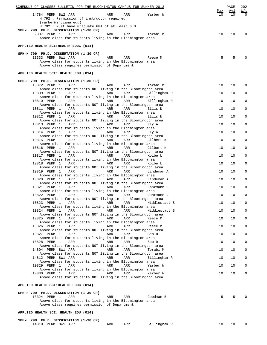| SCHEDULE OF CLASSES BULLETIN FOR THE BLOOMINGTON CAMPUS FOR SUMMER 2013                                           |           | PAGE      | 202             |
|-------------------------------------------------------------------------------------------------------------------|-----------|-----------|-----------------|
| 14784 PERM 8W2 ARR<br>ARR<br>ARR<br>Yarber W<br>H 792 : Permission of instructor required                         | Max<br>10 | Avl<br>10 | W/L<br>$\Omega$ |
| (yarber@indiana.edu)<br>H 792 : Must have Graduate GPA of at least 3.0                                            |           |           |                 |
| SPH-H 799 PH.D. DISSERTATION (1-30 CR)<br>9007 PERM 1<br>ARR<br>Torabi M<br>ARR<br>ARR                            | 10        | 10        | 0               |
| Above class for students living in the Bloomington area                                                           |           |           |                 |
| APPLIED HEALTH SCI:HEALTH EDUC (014)                                                                              |           |           |                 |
| SPH-H 799 PH.D. DISSERTATION (1-30 CR)<br>13333 PERM 6W1 ARR<br>ARR<br>Reece M<br>ARR                             | 5         | 5         |                 |
| Above class for students living in the Bloomington area                                                           |           |           |                 |
| Above class requires permission of Department                                                                     |           |           |                 |
| APPLIED HEALTH SCI: HEALTH EDU (014)                                                                              |           |           |                 |
| SPH-H 799 PH.D. DISSERTATION (1-30 CR)<br>10072 PERM 1<br>ARR<br>Torabi M<br>ARR<br>ARR                           | 10        | 10        | 0               |
| Above class for students NOT living in the Bloomington area<br>10809 PERM 1<br>ARR<br>ARR<br>ARR<br>Billingham R  | 10        | 10        | 0               |
| Above class for students living in the Bloomington area<br>10810 PERM 1<br>ARR<br>ARR<br>ARR<br>Billingham R      | 10        | 10        | $\mathbf 0$     |
| Above class for students NOT living in the Bloomington area<br>10811 PERM 1<br>ARR<br>ARR<br>ARR<br>Ellis N       | 10        | 10        | 0               |
| Above class for students living in the Bloomington area<br>ARR<br>10812 PERM 1<br>ARR<br>ARR<br>Ellis N           | 10        | 10        | 0               |
| Above class for students NOT living in the Bloomington area                                                       |           |           |                 |
| 10813 PERM 1<br>ARR<br>ARR<br><b>ARR</b><br>Fly A<br>Above class for students living in the Bloomington area      | 10        | 10        | 0               |
| 10814 PERM 1<br>ARR<br>ARR<br>ARR<br>Fly A<br>Above class for students NOT living in the Bloomington area         | 10        | 10        | 0               |
| 10815 PERM 1<br>ARR<br>ARR<br>ARR<br>Gilbert K<br>Above class for students living in the Bloomington area         | 10        | 10        | $\mathbf{0}$    |
| 10816 PERM 1<br>ARR<br>ARR<br>ARR<br>Gilbert K<br>Above class for students NOT living in the Bloomington area     | 10        | 10        | 0               |
| 10817 PERM 1<br>ARR<br>ARR<br>ARR<br>Kolbe L<br>Above class for students living in the Bloomington area           | 10        | 10        | $\mathbf 0$     |
| 10818 PERM 1<br>ARR<br>ARR<br>ARR<br>Kolbe L                                                                      | 10        | 10        | 0               |
| Above class for students NOT living in the Bloomington area<br>10819 PERM 1<br>ARR<br>ARR<br>ARR<br>Lindeman A    | 10        | 10        | 0               |
| Above class for students living in the Bloomington area<br>10820 PERM 1<br>ARR<br>ARR<br>ARR<br>Lindeman A        | 10        | 10        | 0               |
| Above class for students NOT living in the Bloomington area<br>10821 PERM 1<br>ARR<br>ARR<br>ARR<br>Lohrmann D    | 10        | 10        | 0               |
| Above class for students living in the Bloomington area<br>10822 PERM 1<br>ARR<br>ARR<br>ARR<br>Lohrmann D        | 10        | 10        | $\mathsf 0$     |
| Above class for students NOT living in the Bloomington area<br>10823 PERM 1<br>ARR<br>ARR<br>Middlestadt S<br>ARR | 10        | 10        | 0               |
| Above class for students living in the Bloomington area<br>10824 PERM 1<br>ARR<br>ARR<br>ARR<br>Middlestadt S     | 10        | 10        | 0               |
| Above class for students NOT living in the Bloomington area                                                       |           |           |                 |
| 10825 PERM 1<br>ARR<br>ARR<br>ARR<br>Reece M<br>Above class for students living in the Bloomington area           | 10        | 10        | 0               |
| 10826 PERM 1<br>ARR<br>ARR<br>ARR<br>Reece M<br>Above class for students NOT living in the Bloomington area       | 10        | 10        | 0               |
| 10827 PERM 1<br>ARR<br>ARR<br>ARR<br>Seo D<br>Above class for students living in the Bloomington area             | 10        | 10        | 0               |
| 10828 PERM 1<br>ARR<br>ARR<br>ARR<br>Seo D<br>Above class for students NOT living in the Bloomington area         | 10        | 10        | 0               |
| 14804 PERM 8W1 ARR<br>ARR<br>ARR<br>Torabi M<br>Above class for students NOT living in the Bloomington area       | 10        | 10        | 0               |
| 14812 PERM 8W1 ARR<br>ARR<br>ARR<br>Billingham R<br>Above class for students living in the Bloomington area       | 10        | 10        | 0               |
| 10829 PERM 1<br>ARR<br>ARR<br>ARR<br>Yarber W                                                                     | 10        | 10        | 0               |
| Above class for students living in the Bloomington area<br>10830 PERM 1<br>ARR<br>ARR<br>ARR<br>Yarber W          | 10        | 10        | 0               |
| Above class for students NOT living in the Bloomington area                                                       |           |           |                 |
| APPLIED HEALTH SCI:HEALTH EDUC (014)                                                                              |           |           |                 |
| SPH-H 799 PH.D. DISSERTATION (1-30 CR)<br>13324 PERM 1<br>ARR<br>Goodman B<br>ARR<br>ARR                          | 5         | 5         |                 |
| Above class for students living in the Bloomington area<br>Above class requires permission of Department          |           |           |                 |
| APPLIED HEALTH SCI: HEALTH EDU (014)                                                                              |           |           |                 |
| SPH-H 799 PH.D. DISSERTATION (1-30 CR)                                                                            |           |           |                 |

| 14819<br>Billingham R<br>PERM 8W1 ARR<br>ARR<br>ARR |  |  | $  -$ |  |
|-----------------------------------------------------|--|--|-------|--|
|                                                     |  |  |       |  |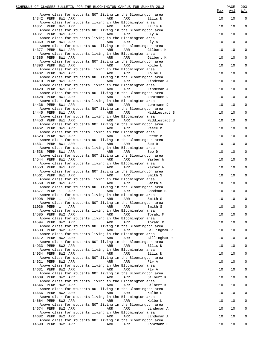| SCHEDULE OF CLASSES BULLETIN FOR THE BLOOMINGTON CAMPUS FOR SUMMER 2013                                             | Max | PAGE<br><u>Avl</u> | 203<br>W/L          |
|---------------------------------------------------------------------------------------------------------------------|-----|--------------------|---------------------|
| Above class for students NOT living in the Bloomington area<br>14342 PERM 8W1 ARR<br>ARR<br>ARR<br>Ellis N          | 10  | 10                 | $\mathsf 0$         |
| Above class for students living in the Bloomington area<br>14351 PERM 8W1 ARR<br>ARR<br>ARR<br>Ellis N              | 10  | 10                 | $\mathsf{O}\xspace$ |
| Above class for students NOT living in the Bloomington area<br>14361 PERM 8W1 ARR<br>ARR<br>ARR<br>Fly A            | 10  | 10                 | $\mathsf 0$         |
| Above class for students living in the Bloomington area<br>14369 PERM 8W1 ARR<br>ARR<br>ARR<br>Fly A                | 10  | 10                 | $\mathsf 0$         |
| Above class for students NOT living in the Bloomington area<br>14377 PERM 8W1 ARR<br>ARR<br>ARR<br>Gilbert K        | 10  | 10                 | $\mathsf 0$         |
| Above class for students living in the Bloomington area<br>14385 PERM 8W1 ARR<br>ARR<br>ARR<br>Gilbert K            | 10  | 10                 | $\mathsf 0$         |
| Above class for students NOT living in the Bloomington area<br>14393 PERM 8W1 ARR<br>ARR<br>ARR<br>Kolbe L          | 10  | 10                 | $\mathsf 0$         |
| Above class for students living in the Bloomington area<br>14402 PERM 8W1 ARR<br>ARR<br>ARR<br>Kolbe L              | 10  | 10                 | $\mathsf 0$         |
| Above class for students NOT living in the Bloomington area<br>14410 PERM 8W1 ARR<br>ARR<br>ARR<br>Lindeman A       | 10  | 10                 | $\mathsf 0$         |
| Above class for students living in the Bloomington area<br>14420 PERM 8W1 ARR<br>ARR<br>ARR<br>Lindeman A           | 10  | 10                 | $\mathsf 0$         |
| Above class for students NOT living in the Bloomington area<br>14428 PERM 8W1 ARR<br>ARR<br>ARR<br>Lohrmann D       | 10  | 10                 | $\mathsf 0$         |
| Above class for students living in the Bloomington area<br>14436 PERM 8W1 ARR<br>ARR<br>ARR<br>Lohrmann D           | 10  | 10                 | $\mathsf 0$         |
| Above class for students NOT living in the Bloomington area<br>14445 PERM 8W1 ARR<br>ARR<br>ARR<br>Middlestadt S    | 10  | 10                 | $\mathsf 0$         |
| Above class for students living in the Bloomington area<br>14453 PERM 8W1 ARR<br>ARR<br>ARR<br>Middlestadt S        | 10  | 10                 | $\mathsf 0$         |
| Above class for students NOT living in the Bloomington area<br>14462 PERM 8W1 ARR<br>ARR<br>ARR<br>Reece M          | 10  | 10                 | $\mathsf 0$         |
| Above class for students living in the Bloomington area<br>14523 PERM 8W1 ARR<br>ARR<br>ARR<br>Reece M              | 10  | 10                 | $\mathsf 0$         |
| Above class for students NOT living in the Bloomington area<br>14531 PERM 8W1 ARR<br>ARR<br>ARR<br>Seo D            | 10  | 10                 | $\mathsf 0$         |
| Above class for students living in the Bloomington area<br>14538 PERM 8W1 ARR<br>ARR<br>ARR<br>Seo D                | 10  | 10                 | $\mathsf 0$         |
| Above class for students NOT living in the Bloomington area<br>14544 PERM 8W1 ARR<br>ARR<br>ARR<br>Yarber W         | 10  | 10                 | $\mathsf 0$         |
| Above class for students living in the Bloomington area<br>14553 PERM 8W1 ARR<br>ARR<br>ARR<br>Yarber W             | 10  | 10                 | $\mathsf 0$         |
| Above class for students NOT living in the Bloomington area<br>14561 PERM 8W1 ARR<br>ARR<br>ARR<br>Smith S          | 10  | 10                 | $\mathsf 0$         |
| Above class for students living in the Bloomington area<br>14569 PERM 8W1 ARR<br>ARR<br>ARR<br>Smith S              | 10  | 10                 | $\mathsf 0$         |
| Above class for students NOT living in the Bloomington area<br>14577 PERM 1<br>ARR<br>ARR<br>ARR<br>Goodman B       | 10  | 10                 | $\mathsf 0$         |
| Above class for students living in the Bloomington area<br>10998 PERM 1 ARR<br><b>Example 28 ARR</b> ARR<br>Smith S | 10  | 10                 | $\mathsf{O}\xspace$ |
| Above class for students NOT living in the Bloomington area<br>11036 PERM 1<br>ARR<br>ARR<br>ARR<br>Smith S         | 10  | 10                 | 0                   |
| Above class for students living in the Bloomington area<br>14585 PERM 8W2 ARR<br>ARR<br>ARR<br>Torabi M             | 10  | 10                 | $\Omega$            |
| Above class for students living in the Bloomington area<br>14594 PERM 8W2 ARR<br>ARR<br>ARR<br>Torabi M             | 10  | 10                 | $\mathbf 0$         |
| Above class for students NOT living in the Bloomington area<br>14603 PERM 8W2 ARR<br>ARR<br>ARR<br>Billingham R     | 10  | 10                 | $\mathbf 0$         |
| Above class for students living in the Bloomington area<br>14612 PERM 8W2 ARR<br>ARR<br>ARR<br>Billingham R         | 10  | 10                 | $\mathbf 0$         |
| Above class for students NOT living in the Bloomington area<br>14933 PERM 8W2 ARR<br>ARR<br>ARR<br>Ellis N          | 10  | 10                 | $\mathbf 0$         |
| Above class for students living in the Bloomington area<br>14934 PERM 8W2 ARR<br>ARR<br>ARR<br>Ellis N              | 10  | 10                 | $\mathbf 0$         |
| Above class for students NOT living in the Bloomington area                                                         | 10  | 10                 | $\mathbf 0$         |
| 14621 PERM 8W2 ARR<br>ARR<br>ARR<br>Fly A<br>Above class for students living in the Bloomington area                |     |                    | $\mathbf 0$         |
| 14631 PERM 8W2 ARR<br>ARR<br>ARR<br>Fly A<br>Above class for students NOT living in the Bloomington area            | 10  | 10                 |                     |
| 14639 PERM 8W2 ARR<br>ARR<br>ARR<br>Gilbert K<br>Above class for students living in the Bloomington area            | 10  | 10                 | $\mathbf 0$         |
| 14646 PERM 8W2 ARR<br>ARR<br>ARR<br>Gilbert K<br>Above class for students NOT living in the Bloomington area        | 10  | 10                 | $\mathbf 0$         |
| 14656 PERM 8W2 ARR<br>ARR<br>ARR<br>Kolbe L<br>Above class for students living in the Bloomington area              | 10  | 10                 | $\mathbf 0$         |
| 14664 PERM 8W2 ARR<br>ARR<br>ARR<br>Kolbe L<br>Above class for students NOT living in the Bloomington area          | 10  | 10                 | $\mathbf 0$         |
| 14674 PERM 8W2 ARR<br>ARR<br>ARR<br>Lindeman A<br>Above class for students living in the Bloomington area           | 10  | 10                 | $\mathbf 0$         |
| 14682 PERM 8W2 ARR<br>ARR<br>ARR<br>Lindeman A<br>Above class for students NOT living in the Bloomington area       | 10  | 10                 | $\mathbf 0$         |
| 14690 PERM 8W2 ARR<br>ARR<br>ARR<br>Lohrmann D                                                                      | 10  | 10                 | 0                   |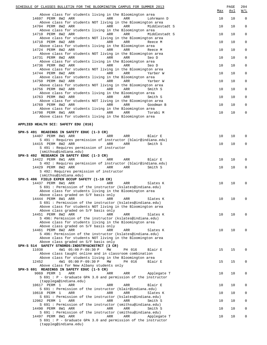| SCHEDULE OF CLASSES BULLETIN FOR THE BLOOMINGTON CAMPUS FOR SUMMER 2013                                              | Max | PAGE<br><u>Avl</u> | 204<br>W/L   |
|----------------------------------------------------------------------------------------------------------------------|-----|--------------------|--------------|
| Above class for students living in the Bloomington area<br>14697 PERM 8W2 ARR<br>ARR<br>ARR<br>Lohrmann D            | 10  | 10                 | $\mathbf 0$  |
| Above class for students NOT living in the Bloomington area<br>14704 PERM 8W2 ARR<br>ARR<br>ARR<br>Middlestadt S     | 10  | 10                 | 0            |
| Above class for students living in the Bloomington area<br>14710 PERM 8W2 ARR<br>ARR<br>ARR<br>Middlestadt S         | 10  | 10                 | $\mathbf 0$  |
| Above class for students NOT living in the Bloomington area<br>14718 PERM 8W2 ARR<br>ARR<br>ARR<br>Reece M           | 10  | 10                 | $\mathbf 0$  |
| Above class for students living in the Bloomington area<br>14724 PERM 8W2 ARR<br>ARR<br>ARR<br>Reece M               | 10  | 10                 | $\mathbf 0$  |
| Above class for students NOT living in the Bloomington area<br>14731 PERM 8W2 ARR<br>ARR<br>ARR<br>Seo D             | 10  | 10                 | $\mathbf 0$  |
| Above class for students living in the Bloomington area<br>14736 PERM 8W2 ARR<br>ARR<br>ARR<br>Seo D                 | 10  | 10                 | $\mathbf 0$  |
| Above class for students NOT living in the Bloomington area<br>14744 PERM 8W2 ARR<br>ARR<br>ARR<br>Yarber W          | 10  | 10                 | $\mathbf 0$  |
| Above class for students living in the Bloomington area<br>14750 PERM 8W2 ARR<br>ARR<br>ARR<br>Yarber W              | 10  | 10                 | $\mathbf 0$  |
| Above class for students NOT living in the Bloomington area<br>14756 PERM 8W2 ARR<br>ARR<br>ARR<br>Smith S           | 10  | 10                 | $\mathbf 0$  |
| Above class for students living in the Bloomington area<br>14763 PERM 8W2 ARR<br>ARR<br>ARR<br>Smith S               | 10  | 10                 | $\mathbf 0$  |
| Above class for students NOT living in the Bloomington area<br>14769 PERM 8W2 ARR<br>ARR<br>ARR<br>Goodman B         | 10  | 10                 | $\mathbf 0$  |
| Above class for students living in the Bloomington area<br>14798 PERM 8W1 ARR<br>ARR<br>ARR<br>Torabi M              | 10  | 10                 | 0            |
| Above class for students living in the Bloomington area                                                              |     |                    |              |
| APPLIED HEALTH SCI: SAFETY EDU (016)                                                                                 |     |                    |              |
| SPH-S 491 READINGS IN SAFETY EDUC (1-3 CR)<br>14407 PERM 8W1 ARR<br>ARR<br>ARR<br>Blair E                            | 10  | 10                 | $\mathbf 0$  |
| S 491 : Requires permission of instructor (blair@indiana.edu)<br>14415 PERM 8W2 ARR<br>ARR<br>ARR<br>Smith S         | 10  | 10                 | 0            |
| S 491 : Requires permission of instructor<br>(smithsu@indiana.edu)                                                   |     |                    |              |
| SPH-S 492 RESEARCH IN SAFETY EDUC (1-3 CR)<br>14422 PERM 8W1 ARR<br>ARR<br>ARR<br>Blair E                            | 10  | 10                 | $\Omega$     |
| S 492 : Requires permission of instructor (blair@indiana.edu)<br>14429 PERM 8W2 ARR<br>ARR<br>ARR<br>Smith S         | 10  | 10                 | 0            |
| S 492: Requires permission of instructor<br>(smithsu@indiana.edu)                                                    |     |                    |              |
| SPH-S 496 FIELD EXPER OCCUP SAFETY (1-10 CR)<br>14437 PERM 8W1 ARR<br>ARR<br>ARR<br>Slates K                         | 10  | 10                 | 0            |
| S 691: Permission of the instructor (kslates@indiana.edu)<br>Above class for students living in the Bloomington area |     |                    |              |
| Above class graded on S/F basis only<br>Slates K<br>S 691 : Permission of the instructor (kslates@indiana.edu)       | 10  | 10                 |              |
| Above class for students NOT living in the Bloomington area<br>Above class graded on S/F basis only                  |     |                    |              |
| 14451 PERM 8W2 ARR<br>ARR<br>ARR<br>Slates K<br>S 496: Permission of the instructor (kslates@indiana.edu)            | 10  | 10                 | 0            |
| Above class for students living in the Bloomington area<br>Above class graded on S/F basis only                      |     |                    |              |
| 14461 PERM 8W2 ARR<br>ARR<br>ARR<br>Slates K<br>S 496: Permission of the instructor (kslates@indiana.edu)            | 10  | 10                 | U            |
| Above class for students NOT living in the Bloomington area<br>Above class graded on S/F basis only                  |     |                    |              |
| SPH-S 514 SAFETY STNDRDS: INDSTRY&CNSTRCT (3 CR)<br>11038<br>4W1 05:00 P-09:30 P<br>MW<br>PH 016<br>Blair E          | 15  | 15                 | <sup>0</sup> |
| Above class taught online and in classroom combination<br>Above class for students living in the Bloomington area    |     |                    |              |
| 12452<br>4W1 05:00 P-09:30 P<br>МW<br>PH 016<br>Blair E<br>Above class for New Albany students only                  | 15  | 15                 | $\Omega$     |
| SPH-S 691 READINGS IN SAFETY EDUC (1-5 CR)<br>9069 PERM 1<br>ARR<br>ARR<br>ARR<br>Applegate T                        | 10  | 10                 | 0            |
| S 691 : P - Graduate GPA 3.0 and permission of the instructor<br>(tapplega@indiana.edu)                              |     |                    |              |
| 10617 PERM 1<br>ARR<br>ARR<br>ARR<br>Blair E<br>S 691 : Permission of the instructor (blair@indiana.edu)             | 10  | 10                 | 0            |
| 10618 PERM 1<br>ARR<br>ARR<br>ARR<br>Slates K<br>S 691: Permission of the instructor (kslates@indiana.edu)           | 10  | 10                 | 0            |
| 12062 PERM 1<br>ARR<br>ARR<br>ARR<br>Smith S<br>S 691 : Permission of the instructor (smithsu@indiana.edu)           | 10  | 10                 | 0            |
| 14490 PERM 8W1 ARR<br>ARR<br>ARR<br>Smith S<br>S 691: Permission of the instructor (smithsu@indiana.edu)             | 10  | 10                 | $\Omega$     |
| 14497 PERM 8W1 ARR<br>ARR<br>ARR<br>Applegate T<br>S 691 : P - Graduate GPA 3.0 and permission of the instructor     | 10  | 10                 | 0            |
| (tappleg@indiana.edu)                                                                                                |     |                    |              |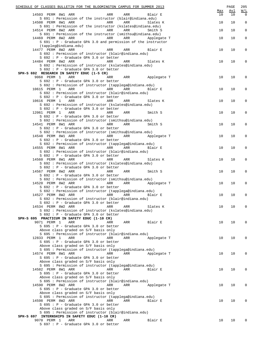| SCHEDULE OF CLASSES BULLETIN FOR THE BLOOMINGTON CAMPUS FOR SUMMER 2013                                 |           | PAGE       | 205                 |
|---------------------------------------------------------------------------------------------------------|-----------|------------|---------------------|
|                                                                                                         | Max<br>10 | <u>Avl</u> | W/L<br>$\Omega$     |
| 14503 PERM 8W1 ARR<br>ARR<br>Blair E<br>ARR<br>S 691 : Permission of the instructor (blair@indiana.edu) |           | 10         |                     |
| 14508 PERM 8W1 ARR<br>ARR<br>ARR<br>Slates K                                                            | 10        | 10         | $\mathsf 0$         |
| S 691 : Permission of the instructor (kslates@indiana.edu)                                              |           |            |                     |
| 14514 PERM 8W2 ARR<br>ARR<br>ARR<br>Smith S                                                             | 10        | 10         | $\mathbf 0$         |
| S 691 : Permission of the instructor (smithsu@indiana.edu)                                              |           |            |                     |
| 14469 PERM 8W2 ARR<br><b>Example 21 ARR</b><br>ARR<br>Applegate T                                       | 10        | 10         | $\mathsf 0$         |
| S 691 : P - Graduate GPA 3.0 and permission of the instructor                                           |           |            |                     |
| (tappleg@indiana.edu)                                                                                   |           |            |                     |
| 14477 PERM 8W2 ARR<br>ARR<br>ARR<br>Blair E                                                             | 10        | 10         | 0                   |
| S 692 : Permission of instructor (blair@indiana.edu)                                                    |           |            |                     |
| S 692 : P - Graduate GPA 3.0 or better                                                                  |           |            |                     |
| 14484 PERM 8W2 ARR<br>ARR<br>ARR<br>Slates K                                                            | 10        | 10         | $\mathbf 0$         |
| S 692 : Permission of instructor (kslates@indiana.edu)<br>S 692 : P - Graduate GPA 3.0 or better        |           |            |                     |
| SPH-S 692 RESEARCH IN SAFETY EDUC (1-5 CR)                                                              |           |            |                     |
| ARR Applegate T<br>9068 PERM 1 ARR<br>ARR                                                               | 10        | 10         | 0                   |
| S 692 : P - Graduate GPA 3.0 or better                                                                  |           |            |                     |
| S 692 : Permission of instructor (tapplega@indiana.edu)                                                 |           |            |                     |
| 10615 PERM 1 ARR<br><b>Example 2</b> ARR<br>ARR<br>Blair E                                              | 10        | 10         | 0                   |
| S 692 : Permission of instructor (blair@indiana.edu)                                                    |           |            |                     |
| S 692 : P - Graduate GPA 3.0 or better                                                                  |           |            |                     |
| 10616 PERM 1 ARR<br><b>Example 2018</b><br>ARR<br>Slates K                                              | 10        | 10         | 0                   |
| S 692 : Permission of instructor (kslates@indiana.edu)                                                  |           |            |                     |
| S 692 : P - Graduate GPA 3.0 or better                                                                  |           |            |                     |
| 12061 PERM 1 ARR<br>ARR<br>Smith S<br>ARR                                                               | 10        | 10         | 0                   |
| S 692 : P - Graduate GPA 3.0 or better                                                                  |           |            |                     |
| S 692 : Permission of instructor (smithsu@indiana.edu)                                                  |           |            |                     |
| 14541 PERM 8W1 ARR<br>ARR<br>ARR<br>Smith S<br>S 692 : P - Graduate GPA 3.0 or better                   | 10        | 10         | $\mathsf{O}\xspace$ |
| S 692 : Permission of instructor (smithsu@indiana.edu)                                                  |           |            |                     |
| 14548 PERM 8W1 ARR<br>ARR Applegate T<br>ARR                                                            | 10        | 10         | 0                   |
| S 692 : P - Graduate GPA 3.0 or better                                                                  |           |            |                     |
| S 692 : Permission of instructor (tapplega@indiana.edu)                                                 |           |            |                     |
| 14555 PERM 8W1 ARR ARR ARR<br>ARR<br>Blair E                                                            | 10        | 10         | 0                   |
| S 692 : Permission of instructor (blair@indiana.edu)                                                    |           |            |                     |
| S 692 : P - Graduate GPA 3.0 or better                                                                  |           |            |                     |
| 14560 PERM 8W1 ARR<br>ARR<br>ARR<br>Slates K                                                            | 10        | 10         | $\mathbf 0$         |
| S 692 : Permission of instructor (kslates@indiana.edu)                                                  |           |            |                     |
| S 692 : P - Graduate GPA 3.0 or better                                                                  |           |            |                     |
| 14567 PERM 8W2 ARR<br>Smith S<br>ARR<br>ARR                                                             | 10        | 10         | $\mathsf{O}\xspace$ |
| S 692 : P - Graduate GPA 3.0 or better                                                                  |           |            |                     |
| S 692 : Permission of instructor (smithsu@indiana.edu)                                                  |           |            |                     |
| 14520 PERM 8W2 ARR<br>ARR<br>ARR<br>Applegate T                                                         | 10        | 10         | 0                   |
| S 692 : P - Graduate GPA 3.0 or better<br>S 692 : Permission of instructor (tapplega@indiana.edu)       |           |            |                     |
| 14527 PERM 8W2 ARR<br>ARR<br>ARR<br>Blair E                                                             | 10        | 10         | 0                   |
| S 692 : Permission of instructor (blair@indiana.edu)                                                    |           |            |                     |
| S 692 : P - Graduate GPA 3.0 or better                                                                  |           |            |                     |
| 14534 PERM 8W2 ARR<br>ARR<br>ARR<br>Slates K                                                            | 10        | 10         | 0                   |
| S 692 : Permission of instructor (kslates@indiana.edu)                                                  |           |            |                     |
| S 692 : P - Graduate GPA 3.0 or better                                                                  |           |            |                     |
| SPH-S 695 PRACTICUM IN SAFETY EDUC (1-10 CR)                                                            |           |            |                     |
| 9071 PERM 1<br>ARR<br>ARR<br>Blair E<br>ARR                                                             | 10        | 10         | 0                   |
| S 695 : P - Graduate GPA 3.0 or better                                                                  |           |            |                     |
| Above class graded on S/F basis only                                                                    |           |            |                     |
| S 695 : Permission of instructor (blair@indiana.edu)                                                    |           |            |                     |
| 12833 PERM 1<br>ARR<br>ARR<br>Applegate T<br>ARR                                                        | 10        | 10         | 0                   |
| S 695 : P - Graduate GPA 3.0 or better                                                                  |           |            |                     |
| Above class graded on S/F basis only<br>S 695 : Permission of instructor (tapplega@indiana.edu)         |           |            |                     |
| 14574 PERM 8W1 ARR<br>ARR<br>ARR<br>Applegate T                                                         | 10        | 10         | 0                   |
| S 695 : P - Graduate GPA 3.0 or better                                                                  |           |            |                     |
| Above class graded on S/F basis only                                                                    |           |            |                     |
| S 695 : Permission of instructor (tapplega@indiana.edu)                                                 |           |            |                     |
| 14582 PERM 8W1 ARR<br>ARR<br>Blair E<br>ARR                                                             | 10        | 10         | 0                   |
| S 695 : P - Graduate GPA 3.0 or better                                                                  |           |            |                     |
| Above class graded on S/F basis only                                                                    |           |            |                     |
| S 695 : Permission of instructor (blair@indiana.edu)                                                    |           |            |                     |
| 14590 PERM 8W2 ARR<br>ARR<br>Applegate T<br>ARR                                                         | 10        | 10         | 0                   |
| S 695 : P - Graduate GPA 3.0 or better                                                                  |           |            |                     |
| Above class graded on S/F basis only                                                                    |           |            |                     |
| S 695 : Permission of instructor (tapplega@indiana.edu)                                                 |           |            |                     |
| 14598 PERM 8W2 ARR<br>ARR<br>Blair E<br>ARR                                                             | 10        | 10         | 0                   |
| S 695 : P - Graduate GPA 3.0 or better                                                                  |           |            |                     |
| Above class graded on S/F basis only                                                                    |           |            |                     |
| S 695 : Permission of instructor (blair@indiana.edu)<br>SPH-S 697 INTERNSHIPS IN SAFETY EDUC (1-10 CR)  |           |            |                     |
| 9070 PERM 1<br>ARR<br>Blair E<br>ARR<br>ARR                                                             | 10        | 10         | 0                   |
| S 697 : P - Graduate GPA 3.0 or better                                                                  |           |            |                     |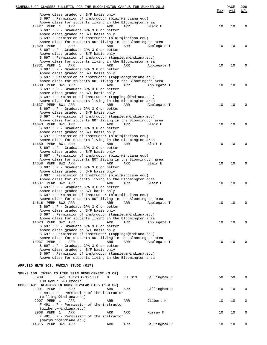| SCHEDULE OF CLASSES BULLETIN FOR THE BLOOMINGTON CAMPUS FOR SUMMER 2013                                                | Max | PAGE<br>Avl | 206<br>W/L |
|------------------------------------------------------------------------------------------------------------------------|-----|-------------|------------|
| Above class graded on S/F basis only                                                                                   |     |             |            |
| S 697 : Permission of instructor (blair@indiana.edu)                                                                   |     |             |            |
| Above class for students living in the Bloomington area<br>10427 PERM 1<br>ARR<br>ARR<br>ARR<br>Blair E                | 10  | 10          | 0          |
| S 697 : P - Graduate GPA 3.0 or better                                                                                 |     |             |            |
| Above class graded on S/F basis only                                                                                   |     |             |            |
| S 697 : Permission of instructor (blair@indiana.edu)                                                                   |     |             |            |
| Above class for students NOT living in the Bloomington area                                                            |     |             |            |
| 12829 PERM 1<br>ARR<br>ARR<br>ARR<br>Applegate T                                                                       | 10  | 10          | 0          |
| S 697 : P - Graduate GPA 3.0 or better<br>Above class graded on S/F basis only                                         |     |             |            |
| S 697 : Permission of instructor (tapplega@indiana.edu)                                                                |     |             |            |
| Above class for students living in the Bloomington area                                                                |     |             |            |
| 12831 PERM 1<br>ARR<br>ARR<br>ARR<br>Applegate T                                                                       | 10  | 10          | 0          |
| $S$ 697 : P - Graduate GPA 3.0 or better                                                                               |     |             |            |
| Above class graded on S/F basis only                                                                                   |     |             |            |
| S 697 : Permission of instructor (tapplega@indiana.edu)<br>Above class for students NOT living in the Bloomington area |     |             |            |
| 14630 PERM 8W1 ARR<br>ARR<br>ARR<br>Applegate T                                                                        | 10  | 10          | $\Omega$   |
| $S$ 697 : P - Graduate GPA 3.0 or better                                                                               |     |             |            |
| Above class graded on S/F basis only                                                                                   |     |             |            |
| S 697 : Permission of instructor (tapplega@indiana.edu)                                                                |     |             |            |
| Above class for students living in the Bloomington area                                                                |     |             |            |
| 14637 PERM 8W1 ARR<br>ARR<br>ARR<br>Applegate T<br>$S$ 697 : P - Graduate GPA 3.0 or better                            | 10  | 10          | 0          |
| Above class graded on S/F basis only                                                                                   |     |             |            |
| S 697 : Permission of instructor (tapplega@indiana.edu)                                                                |     |             |            |
| Above class for students NOT living in the Bloomington area                                                            |     |             |            |
| 14643 PERM 8W1 ARR<br>ARR<br>ARR<br>Blair E                                                                            | 10  | 10          | 0          |
| S 697 : P - Graduate GPA 3.0 or better                                                                                 |     |             |            |
| Above class graded on S/F basis only                                                                                   |     |             |            |
| S 697 : Permission of instructor (blair@indiana.edu)<br>Above class for students living in the Bloomington area        |     |             |            |
| 14650 PERM 8W1 ARR<br>ARR<br>ARR<br>Blair E                                                                            | 10  | 10          | 0          |
| S 697 : P - Graduate GPA 3.0 or better                                                                                 |     |             |            |
| Above class graded on S/F basis only                                                                                   |     |             |            |
| S 697 : Permission of instructor (blair@indiana.edu)                                                                   |     |             |            |
| Above class for students NOT living in the Bloomington area                                                            |     |             |            |
| 14658 PERM 8W2 ARR<br>ARR<br>ARR<br>Blair E<br>$S$ 697 : P - Graduate GPA 3.0 or better                                | 10  | 10          | 0          |
| Above class graded on S/F basis only                                                                                   |     |             |            |
| S 697 : Permission of instructor (blair@indiana.edu)                                                                   |     |             |            |
| Above class for students living in the Bloomington area                                                                |     |             |            |
| 14607 PERM 8W2 ARR<br>ARR<br>ARR<br>Blair E                                                                            | 10  | 10          | 0          |
| $S$ 697 : P - Graduate GPA 3.0 or better                                                                               |     |             |            |
| Above class graded on S/F basis only                                                                                   |     |             |            |
| S 697 : Permission of instructor (blair@indiana.edu)<br>Above class for students NOT living in the Bloomington area    |     |             |            |
| 14616 PERM 8W2 ARR<br>ARR<br>Applegate T<br>ARR                                                                        | 10  | 10          | 0          |
| S 697 : P - Graduate GPA 3.0 or better                                                                                 |     |             |            |
| Above class graded on S/F basis only                                                                                   |     |             |            |
| S 697 : Permission of instructor (tapplega@indiana.edu)                                                                |     |             |            |
| Above class for students living in the Bloomington area                                                                |     |             |            |
| 14623 PERM 8W2 ARR<br>ARR<br>ARR<br>Applegate T<br>S 697 : P - Graduate GPA 3.0 or better                              | 10  | 10          | $\Omega$   |
| Above class graded on S/F basis only                                                                                   |     |             |            |
| S 697 : Permission of instructor (tapplega@indiana.edu)                                                                |     |             |            |
| Above class for students NOT living in the Bloomington area                                                            |     |             |            |
| 14937 PERM 1<br>ARR<br>ARR<br>ARR<br>Applegate T                                                                       | 10  | 10          | $\Omega$   |
| S 697 : P - Graduate GPA 3.0 or better                                                                                 |     |             |            |
| Above class graded on S/F basis only                                                                                   |     |             |            |
| S 697 : Permission of instructor (tapplega@indiana.edu)<br>Above class for students living in the Bloomington area     |     |             |            |
|                                                                                                                        |     |             |            |
| APPLIED HLTH SCI: FAMILY STUDI (017)                                                                                   |     |             |            |
|                                                                                                                        |     |             |            |
| SPH-F 150 INTRO TO LIFE SPAN DEVELOPMENT (3 CR)                                                                        |     |             |            |
| 8989<br>4W1 10:20 A-12:30 P<br>Billingham R<br>D<br>PH 013                                                             | 50  | 50          | 0          |
| IUB GenEd S&H credit                                                                                                   |     |             |            |
| SPH-F 491 READNGS IN HUMN DEV&FAM STDS (1-3 CR)<br>8991 PERM 1<br>ARR<br>Billingham R<br>ARR<br>ARR                    | 10  | 10          | 0          |
| $F$ 491 : P - Permission of the instructor                                                                             |     |             |            |
| (billingh@indiana.edu)                                                                                                 |     |             |            |
| 9907 PERM 1<br>ARR<br>ARR<br>ARR<br>Gilbert K                                                                          | 10  | 10          | 0          |
| $F$ 491 : P - Permission of the instructor                                                                             |     |             |            |
| (gilbertk@indiana.edu)                                                                                                 |     |             |            |
| 9908 PERM 1<br>ARR<br>ARR<br>ARR<br>Murray M<br>$F$ 491 : P - Permission of the instructor                             | 10  | 10          | 0          |
| (marjmurr@indiana.edu)                                                                                                 |     |             |            |
| 14815 PERM 8W1 ARR<br>Billingham R<br>ARR<br>ARR                                                                       | 10  | 10          | 0          |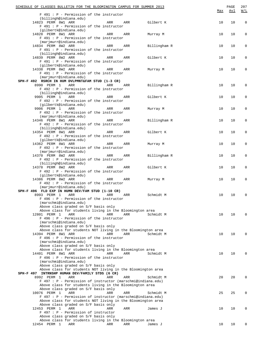| SCHEDULE OF CLASSES BULLETIN FOR THE BLOOMINGTON CAMPUS FOR SUMMER 2013<br>$F$ 491 : P - Permission of the instructor      |     |     |              | Max | PAGE<br><u>Avl</u> | 207<br>W/L   |
|----------------------------------------------------------------------------------------------------------------------------|-----|-----|--------------|-----|--------------------|--------------|
| (billingh@indiana.edu)<br>14823 PERM 8W1 ARR                                                                               | ARR | ARR | Gilbert K    | 10  | 10                 | $\mathbf 0$  |
| $F$ 491 : P - Permission of the instructor<br>(gilbertk@indiana.edu)                                                       |     |     |              |     |                    |              |
| 14828 PERM 8W1 ARR<br>$F$ 491 : $P$ - Permission of the instructor                                                         | ARR | ARR | Murray M     | 10  | 10                 | 0            |
| (marjmurr@indiana.edu)<br>14834 PERM 8W2 ARR<br>$F$ 491 : $P$ - Permission of the instructor                               | ARR | ARR | Billingham R | 10  | 10                 | 0            |
| (billingh@indiana.edu)<br>14839 PERM 8W2 ARR<br>$F$ 491 : $P$ - Permission of the instructor                               | ARR | ARR | Gilbert K    | 10  | 10                 | 0            |
| (gilbertk@indiana.edu)<br>14338 PERM 8W2 ARR                                                                               | ARR | ARR | Murray M     | 10  | 10                 | 0            |
| $F$ 491 : P - Permission of the instructor<br>(marjmurr@indiana.edu)                                                       |     |     |              |     |                    |              |
| SPH-F 492 RSRCH IN HUM DVLPMNT&FAM STUD (1-3 CR)<br>8990 PERM 1<br>ARR                                                     |     |     |              |     |                    | 0            |
| $F$ 492 : $P$ - Permission of the instructor                                                                               | ARR | ARR | Billingham R | 10  | 10                 |              |
| (billingh@indiana.edu)<br>9905 PERM 1<br>ARR                                                                               | ARR | ARR | Gilbert K    | 10  | 10                 | 0            |
| F 492 : P - Permission of the instructor<br>(gilbertk@indiana.edu)                                                         |     |     |              |     |                    |              |
| 9906 PERM 1<br>ARR                                                                                                         | ARR | ARR | Murray M     | 10  | 10                 | 0            |
| $F$ 492 : $P$ - Permission of the instructor<br>(marjmurr@indiana.edu)                                                     |     |     |              |     |                    |              |
| 14346 PERM 8W1 ARR                                                                                                         | ARR | ARR | Billingham R | 10  | 10                 | 0            |
| $F$ 492 : $P$ - Permission of the instructor<br>(billingh@indiana.edu)                                                     |     |     |              |     |                    |              |
| 14354 PERM 8W1 ARR                                                                                                         | ARR | ARR | Gilbert K    | 10  | 10                 | 0            |
| $F$ 492 : $P$ - Permission of the instructor<br>(gilbertk@indiana.edu)                                                     |     |     |              |     |                    |              |
| 14362 PERM 8W1 ARR<br>$F$ 492 : $P$ - Permission of the instructor                                                         | ARR | ARR | Murray M     | 10  | 10                 | 0            |
| (marjmurr@indiana.edu)<br>14370 PERM 8W2 ARR                                                                               | ARR | ARR | Billingham R | 10  | 10                 | 0            |
| $F$ 492 : $P$ - Permission of the instructor<br>(billingh@indiana.edu)                                                     |     |     |              |     |                    |              |
| 14378 PERM 8W2 ARR<br>$F$ 492 : $P$ - Permission of the instructor                                                         | ARR | ARR | Gilbert K    | 10  | 10                 | 0            |
| (gilbertk@indiana.edu)                                                                                                     |     |     |              |     |                    |              |
| 14386 PERM 8W2 ARR<br>F 492 : P - Permission of the instructor                                                             | ARR | ARR | Murray M     | 10  | 10                 | 0            |
| (marjmurr@indiana.edu)<br>SPH-F 496 FLD EXP IN HUMN DEV/FAM STUD (1-10 CR)                                                 |     |     |              |     |                    |              |
| 8993 PERM 1<br>ARR                                                                                                         | ARR | ARR | Schmidt M    | 10  | 10                 | $\mathbf 0$  |
| $F$ 496 : P - Permission of the instructor<br>(marschmi@indiana.edu)                                                       |     |     |              |     |                    |              |
| Above class graded on S/F basis only                                                                                       |     |     |              |     |                    |              |
| Above class for students living in the Bloomington area                                                                    |     |     |              |     |                    |              |
| 12801 PERM 1<br>ARR<br>$F$ 496 : $P$ - Permission of the instructor                                                        | ARR | ARR | Schmidt M    | 10  | 10                 | <sup>0</sup> |
| (marschmi@indiana.edu)                                                                                                     |     |     |              |     |                    |              |
| Above class graded on S/F basis only<br>Above class for students NOT living in the Bloomington area                        |     |     |              |     |                    |              |
| 14394 PERM 8W1 ARR                                                                                                         | ARR | ARR | Schmidt M    | 10  | 10                 | $\Omega$     |
| $F$ 496 : $P$ - Permission of the instructor<br>(marschmi@indiana.edu)                                                     |     |     |              |     |                    |              |
| Above class graded on S/F basis only                                                                                       |     |     |              |     |                    |              |
| Above class for students living in the Bloomington area<br>14401 PERM 8W1 ARR                                              | ARR | ARR | Schmidt M    | 10  | 10                 | $\Omega$     |
| $F$ 496 : $P$ - Permission of the instructor                                                                               |     |     |              |     |                    |              |
| (marschmi@indiana.edu)<br>Above class graded on S/F basis only                                                             |     |     |              |     |                    |              |
| Above class for students NOT living in the Bloomington area                                                                |     |     |              |     |                    |              |
| SPH-F 497 INTRNSHP HUMAN DEV/FAMILY STDS (6 CR)<br>8992 PERM 1<br>ARR                                                      | ARR | ARR | Schmidt M    | 20  | 20                 | $\Omega$     |
| F 497 : P - Permission of instructor (marschmi@indiana.edu)                                                                |     |     |              |     |                    |              |
| Above class for students living in the Bloomington area<br>Above class graded on S/F basis only                            |     |     |              |     |                    |              |
| 10076 PERM 1<br>ARR                                                                                                        | ARR | ARR | Schmidt M    | 25  | 25                 | $\Omega$     |
| F 497 : P - Permission of instructor (marschmi@indiana.edu)<br>Above class for students NOT living in the Bloomington area |     |     |              |     |                    |              |
| Above class graded on S/F basis only                                                                                       |     |     |              |     |                    |              |
| 12453 PERM 1<br>ARR<br>F 497 : P - Permission of instructor                                                                | ARR | ARR | James J      | 10  | 10                 | $\Omega$     |
| Above class graded on S/F basis only                                                                                       |     |     |              |     |                    |              |
| Above class for students living in the Bloomington area                                                                    |     |     |              |     |                    |              |
| 12454 PERM 1<br>ARR                                                                                                        | ARR | ARR | James J      | 10  | 10                 | 0            |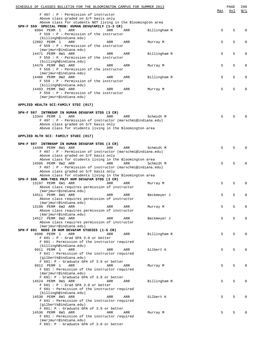| SCHEDULE OF CLASSES BULLETIN FOR THE BLOOMINGTON CAMPUS FOR SUMMER 2013                                          |              | Max | PAGE<br>Avl | 208<br>W/L   |
|------------------------------------------------------------------------------------------------------------------|--------------|-----|-------------|--------------|
| F 497 : P - Permission of instructor                                                                             |              |     |             |              |
| Above class graded on S/F basis only                                                                             |              |     |             |              |
| Above class for students NOT living in the Bloomington area<br>SPH-F 559 SPECIAL PROB: HUMAN DEV&FAMILY (1-3 CR) |              |     |             |              |
| 8994 PERM 1<br>ARR<br>ARR<br>ARR                                                                                 | Billingham R | 5   | 5           | $\Omega$     |
| $F 559 : P - Permission of the instructor$                                                                       |              |     |             |              |
| (billingh@indiana.edu)<br>12802 PERM 1<br>ARR<br>ARR<br>ARR                                                      | Murray M     | 5   | 5           | 0            |
| $F 559 : P - Permission of the instructor$                                                                       |              |     |             |              |
| (marjmurr@indiana.edu)                                                                                           |              |     |             |              |
| 14471 PERM 8W1 ARR<br>ARR<br>ARR                                                                                 | Billingham R | 5   | 5           | $\Omega$     |
| $F 559 : P - Permission of the instructor$<br>(billingh@indiana.edu)                                             |              |     |             |              |
| 14479 PERM 8W1 ARR<br>ARR<br>ARR                                                                                 | Murray M     | 5   | 5           | 0            |
| $F 559 : P - Permission of the instructor$                                                                       |              |     |             |              |
| (marjmurr@indiana.edu)                                                                                           |              |     |             |              |
| 14486 PERM 8W2 ARR<br>ARR<br>ARR                                                                                 | Billingham R | 5   | 5           | $\Omega$     |
| $F 559 : P - Permission of the instructor$<br>(billingh@indiana.edu)                                             |              |     |             |              |
| 14493 PERM 8W2 ARR<br>ARR<br>ARR                                                                                 | Murray M     | 5   | 5           | 0            |
| $F 559 : P - Permission of the instructor$                                                                       |              |     |             |              |
| (marjmurr@indiana.edu)                                                                                           |              |     |             |              |
| APPLIED HEALTH SCI:FAMILY STDI (017)                                                                             |              |     |             |              |
|                                                                                                                  |              |     |             |              |
| SPH-F 597 INTRNSHP IN HUMAN DEV&FAM STDS (3 CR)                                                                  |              |     |             |              |
| 13344 PERM 1<br><b>ARR</b><br><b>ARR</b><br>ARR                                                                  | Schmidt M    | 5   | 5           | $\Omega$     |
| F 497 : P - Permission of instructor (marschmi@indiana.edu)                                                      |              |     |             |              |
| Above class graded on S/F basis only<br>Above class for students living in the Bloomington area                  |              |     |             |              |
|                                                                                                                  |              |     |             |              |
| APPLIED HLTH SCI: FAMILY STUDI (017)                                                                             |              |     |             |              |
|                                                                                                                  |              |     |             |              |
| INTRNSHP IN HUMAN DEV&FAM STDS (3 CR)<br>SPH-F 597<br>14499 PERM 8W1 ARR<br><b>ARR</b><br>ARR                    | Schmidt M    | 5   | 5           | $\Omega$     |
| F 497 : P - Permission of instructor (marschmi@indiana.edu)                                                      |              |     |             |              |
| Above class graded on S/F basis only                                                                             |              |     |             |              |
| Above class for students living in the Bloomington area                                                          |              |     |             |              |
| 14505 PERM 8W2 ARR<br>ARR<br><b>ARR</b><br>F 497 : P - Permission of instructor (marschmi@indiana.edu)           | Schmidt M    | 5   | 5           | 0            |
| Above class graded on S/F basis only                                                                             |              |     |             |              |
| Above class for students living in the Bloomington area                                                          |              |     |             |              |
| SPH-F 598 NON-THES PRJT HUM DEV&FAM STDS (3 CR)                                                                  |              |     |             |              |
| 13197 PERM 6W1 ARR<br>ARR<br>ARR                                                                                 | Murray M     | 5   | 5           | 0            |
| Above class requires permission of instructor<br>(marjmurr@indiana.edu)                                          |              |     |             |              |
| 14511 PERM 6W1 ARR<br>ARR<br>ARR                                                                                 | Beckmeyer J  | 5   | 5           | $\Omega$     |
| Above class requires permission of instructor                                                                    |              |     |             |              |
| (marjmurr@indiana.edu)                                                                                           |              |     |             |              |
| 13198 PERM 6W2 ARR<br>ARR<br>ARR<br>Above class requires permission of instructor                                | Murray M     | 5   | 5           | $\mathbf{0}$ |
| (marjmurr@indiana.edu)                                                                                           |              |     |             |              |
| 14517 PERM 6W2 ARR<br>ARR<br>ARR                                                                                 | Beckmeyer J  | 5   | 5           | $\mathbf 0$  |
| Above class requires permission of instructor                                                                    |              |     |             |              |
| (marjmurr@indiana.edu)<br>SPH-F 691 RDGS IN HUM DEV&FAM STUDIES (1-5 CR)                                         |              |     |             |              |
| 8996 PERM 1<br>ARR<br>ARR<br>ARR                                                                                 | Billingham R | 5   | 5           | $\Omega$     |
| $F$ 691 : P - Grad GPA 3.0 or better                                                                             |              |     |             |              |
| F 691 : Permission of the instructor required                                                                    |              |     |             |              |
| (billingh@indiana.edu)<br>9911 PERM 1<br>ARR                                                                     |              | 5   | 5           | $\Omega$     |
| ARR<br>ARR<br>F 641 : Permission of the instructor required                                                      | Gilbert K    |     |             |              |
| (gilbertk@indiana.edu)                                                                                           |              |     |             |              |
| F 691: P - Graduate GPA of 3.0 or better                                                                         |              |     |             |              |
| 9912 PERM 1<br>ARR<br>ARR<br>ARR                                                                                 | Murray M     | 5   | 5           | $\Omega$     |
| F 691 : Permission of the instructor required<br>(marjmurr@indiana.edu)                                          |              |     |             |              |
| F 691: P - Graduate GPA of 3.0 or better                                                                         |              |     |             |              |
| 14524 PERM 8W1 ARR<br>ARR<br>ARR                                                                                 | Billingham R | 5   | 5           | $\Omega$     |
| $F$ 691 : P - Grad GPA 3.0 or better                                                                             |              |     |             |              |
| F 691 : Permission of the instructor required<br>(billingh@indiana.edu)                                          |              |     |             |              |
| 14530 PERM 8W1 ARR<br>ARR<br>ARR                                                                                 | Gilbert K    | 5   | 5           | $\mathbf 0$  |
| F 641 : Permission of the instructor required                                                                    |              |     |             |              |
| (gilbertk@indiana.edu)                                                                                           |              |     |             |              |
| F 691: P - Graduate GPA of 3.0 or better<br>14536 PERM 8W1 ARR<br>ARR<br>ARR                                     |              | 5   | 5           | $\mathbf 0$  |
| F 691 : Permission of the instructor required                                                                    | Murray M     |     |             |              |
| (marjmurr@indiana.edu)                                                                                           |              |     |             |              |

F 691: P - Graduate GPA of 3.0 or better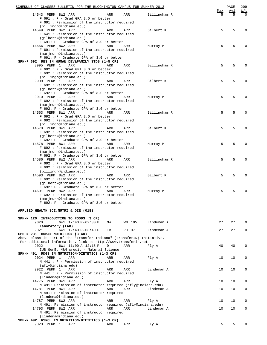| SCHEDULE OF CLASSES BULLETIN FOR THE BLOOMINGTON CAMPUS FOR SUMMER 2013               |     |        |              |                 | PAGE     | 209             |
|---------------------------------------------------------------------------------------|-----|--------|--------------|-----------------|----------|-----------------|
| 14543 PERM 8W2 ARR                                                                    | ARR | ARR    | Billingham R | <u>Max</u><br>5 | Avl<br>5 | W/L<br>$\Omega$ |
| $F$ 691 : P - Grad GPA 3.0 or better<br>F 691 : Permission of the instructor required |     |        |              |                 |          |                 |
| (billingh@indiana.edu)                                                                |     |        |              |                 |          |                 |
| 14549 PERM 8W2 ARR                                                                    | ARR | ARR    | Gilbert K    | 5               | 5        | $\Omega$        |
| F 641 : Permission of the instructor required<br>(gilbertk@indiana.edu)               |     |        |              |                 |          |                 |
| F 691: P - Graduate GPA of 3.0 or better                                              |     |        |              |                 |          |                 |
| 14556 PERM 8W2 ARR                                                                    | ARR | ARR    | Murray M     | 5               | 5        | 0               |
| F 691 : Permission of the instructor required<br>(marjmurr@indiana.edu)               |     |        |              |                 |          |                 |
| F 691: P - Graduate GPA of 3.0 or better                                              |     |        |              |                 |          |                 |
| SPH-F 692 RES IN HUMAN DEV&FAMILY STDS (1-5 CR)                                       |     |        |              |                 |          |                 |
| 8995 PERM 1<br>ARR<br>$F$ 692 : P - Grad GPA 3.0 or better                            | ARR | ARR    | Billingham R | 5               | 5        | 0               |
| F 692 : Permission of the instructor required                                         |     |        |              |                 |          |                 |
| (billingh@indiana.edu)<br>9909 PERM 1<br>ARR                                          | ARR |        | Gilbert K    | 5               | 5        | 0               |
| F 692 : Permission of the instructor required                                         |     | ARR    |              |                 |          |                 |
| (gilbertk@indiana.edu)                                                                |     |        |              |                 |          |                 |
| F 692: P - Graduate GPA of 3.0 or better<br>9910 PERM 1<br>ARR                        | ARR |        |              | 5               | 5        | $\Omega$        |
| F 692 : Permission of the instructor required                                         |     | ARR    | Murray M     |                 |          |                 |
| (marjmurr@indiana.edu)                                                                |     |        |              |                 |          |                 |
| F 692: P - Graduate GPA of 3.0 or better<br>14563 PERM 8W1 ARR                        | ARR |        | Billingham R | 5               | 5        | 0               |
| $F$ 692 : P - Grad GPA 3.0 or better                                                  |     | ARR    |              |                 |          |                 |
| F 692 : Permission of the instructor required                                         |     |        |              |                 |          |                 |
| (billingh@indiana.edu)<br>14570 PERM 8W1 ARR                                          | ARR | ARR    | Gilbert K    | 5               | 5        | 0               |
| F 692 : Permission of the instructor required                                         |     |        |              |                 |          |                 |
| (gilbertk@indiana.edu)                                                                |     |        |              |                 |          |                 |
| F 692: P - Graduate GPA of 3.0 or better<br>14578 PERM 8W1 ARR                        | ARR | ARR    |              | 5               | 5        | $\Omega$        |
| F 692 : Permission of the instructor required                                         |     |        | Murray M     |                 |          |                 |
| (marjmurr@indiana.edu)                                                                |     |        |              |                 |          |                 |
| F 692: P - Graduate GPA of 3.0 or better<br>14586 PERM 8W2 ARR                        | ARR | ARR    |              | 5               | 5        | 0               |
| $F$ 692 : P - Grad GPA 3.0 or better                                                  |     |        | Billingham R |                 |          |                 |
| F 692 : Permission of the instructor required                                         |     |        |              |                 |          |                 |
| (billingh@indiana.edu)<br>14593 PERM 8W2 ARR                                          | ARR | ARR    | Gilbert K    | 5               | 5        | 0               |
| F 692 : Permission of the instructor required                                         |     |        |              |                 |          |                 |
| (gilbertk@indiana.edu)                                                                |     |        |              |                 |          |                 |
| F 692: P - Graduate GPA of 3.0 or better<br>14601 PERM 8W2 ARR                        | ARR | ARR    | Murray M     | 5               | 5        | $\Omega$        |
| F 692: Permission of the instructor required                                          |     |        |              |                 |          |                 |
| (marjmurr@indiana.edu)                                                                |     |        |              |                 |          |                 |
| F 692: P - Graduate GPA of 3.0 or better                                              |     |        |              |                 |          |                 |
| APPLIED HEALTH SCI:NUTRI & DIE (018)                                                  |     |        |              |                 |          |                 |
| SPH-N 120 INTRODUCTION TO FOODS (3 CR)                                                |     |        |              |                 |          |                 |
| 9020<br>6W1 12:40 P-02:30 P                                                           | MM  | WM 195 | Lindeman A   | 27              | 27       | 0               |
| Laboratory (LAB)                                                                      |     |        |              |                 |          |                 |
| 9021<br>6W1 12:40 P-03:40 P<br>SPH-N 231 HUMAN NUTRITION (3 CR)                       | TR  | PH 07  | Lindeman A   | 27              | 27       | 0               |
| Above class is part of the "Transfer Indiana" (transferIN) Initiative.                |     |        |              |                 |          |                 |
| For additional information, link to http://www.transferin.net                         |     |        |              |                 |          |                 |
| 9022<br>6W1 11:00 A-12:15 P<br>IUB GenEd N&M credit - Natural Science                 | D   | ARR    | Fly A        | 40              | 40       | 0               |
| SPH-N 491 RDGS IN NUTRITION/DIETETICS (1-3 CR)                                        |     |        |              |                 |          |                 |
| 9024 PERM 1<br>ARR                                                                    | ARR | ARR    | Fly A        | 10              | 10       | 0               |
| $N$ 441 : P - Permission of instructor required<br>(afly@indiana.edu)                 |     |        |              |                 |          |                 |
| 9922 PERM 1<br>ARR                                                                    | ARR | ARR    | Lindeman A   | 10              | 10       | 0               |
| N 441 : P - Permission of instructor required                                         |     |        |              |                 |          |                 |
| (lindema@indiana.edu)<br>14775 PERM 8W1 ARR                                           | ARR | ARR    | Fly A        | 10              | 10       | 0               |
| N 491: Permission of instructor required (afly@indiana.edu)                           |     |        |              |                 |          |                 |
| 14781 PERM 8W1 ARR                                                                    | ARR | ARR    | Lindeman A   | 10              | 10       | 0               |
| N 491: Permission of instructor required<br>(lindema@indiana.edu)                     |     |        |              |                 |          |                 |
| 14787 PERM 8W2 ARR                                                                    | ARR | ARR    | Fly A        | 10              | 10       | 0               |
| N 491: Permission of instructor required (afly@indiana.edu)                           |     |        |              |                 |          |                 |
| 14793 PERM 8W2 ARR<br>N 491: Permission of instructor required                        | ARR | ARR    | Lindeman A   | 10              | 10       | 0               |
| (lindema@indiana.edu)                                                                 |     |        |              |                 |          |                 |
| SPH-N 492 RSRCH IN NUTRITION/DIETETICS (1-3 CR)                                       |     |        |              |                 |          |                 |
| 9023 PERM 1<br>ARR                                                                    | ARR | ARR    | Fly A        | 5               | 5        | $\mathbf{0}$    |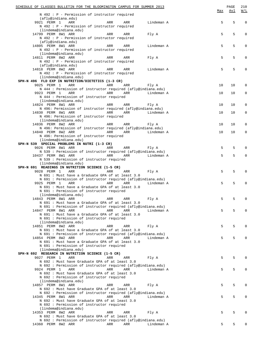| SCHEDULE OF CLASSES BULLETIN FOR THE BLOOMINGTON CAMPUS FOR SUMMER 2013                                          |     | PAGE | 210         |
|------------------------------------------------------------------------------------------------------------------|-----|------|-------------|
| N 492 : P - Permission of instructor required                                                                    | Max | Avl  | W/L         |
| (afly@indiana.edu)                                                                                               |     |      |             |
| 9921 PERM 1<br>ARR<br>ARR<br>ARR<br>Lindeman A<br>N 492 : P - Permission of instructor required                  | 5   | 5    | $\mathbf 0$ |
| (lindema@indiana.edu)                                                                                            |     |      |             |
| 14799 PERM 8W1 ARR<br>ARR<br>ARR<br>Fly A                                                                        | 5   | 5    | $\mathbf 0$ |
| N 492 : P - Permission of instructor required                                                                    |     |      |             |
| (afly@indiana.edu)<br>14805 PERM 8W1 ARR<br>ARR<br>Lindeman A<br>ARR                                             | 5   | 5    | 0           |
| N 492 : P - Permission of instructor required                                                                    |     |      |             |
| (lindema@indiana.edu)                                                                                            |     |      |             |
| 14811 PERM 8W2 ARR<br>ARR<br>Fly A<br>ARR<br>N 492 : P - Permission of instructor required                       | 5   | 5    | 0           |
| (afly@indiana.edu)                                                                                               |     |      |             |
| 14818 PERM 8W2 ARR<br>ARR<br>ARR<br>Lindeman A                                                                   | 5   | 5    | $\mathbf 0$ |
| N 492 : P - Permission of instructor required<br>(lindema@indiana.edu)                                           |     |      |             |
| SPH-N 496 FLD EXP IN NUTRITION/DIETETICS (1-3 CR)                                                                |     |      |             |
| 9025 PERM 1<br>ARR<br>ARR<br>ARR<br>Fly A                                                                        | 10  | 10   | 0           |
| N 444 : Permission of instructor required (afly@indiana.edu)                                                     |     |      |             |
| 9923 PERM 1<br>ARR<br>ARR<br>ARR<br>Lindeman A<br>N 444 : Permission of instructor required                      | 10  | 10   | 0           |
| (lindema@indiana.edu)                                                                                            |     |      |             |
| 14824 PERM 8W1 ARR<br>ARR<br>ARR<br>Fly A                                                                        | 10  | 10   | 0           |
| N 496: Permission of instructor required (afly@indiana.edu)                                                      |     |      |             |
| 14830 PERM 8W1 ARR<br>ARR<br>ARR<br>Lindeman A                                                                   | 10  | 10   | $\mathbf 0$ |
| N 496: Permission of instructor required<br>(lindema@indiana.edu)                                                |     |      |             |
| 14836 PERM 8W2 ARR<br>ARR<br>ARR<br>Fly A                                                                        | 10  | 10   | 0           |
| N 496: Permission of instructor required (afly@indiana.edu)                                                      |     |      |             |
| 14840 PERM 8W2 ARR<br>ARR<br>ARR<br>Lindeman A                                                                   | 10  | 10   | $\mathbf 0$ |
| N 496: Permission of instructor required<br>(lindema@indiana.edu)                                                |     |      |             |
| SPH-N 539 SPECIAL PROBLEMS IN NUTRI (1-3 CR)                                                                     |     |      |             |
| 9026 PERM 8W1 ARR<br>ARR<br>ARR<br>Fly A                                                                         | 5   | 5    | 0           |
| N 539 : Permission of instructor required (afly@indiana.edu)                                                     |     |      |             |
| 10437 PERM 8W1 ARR<br>ARR<br>ARR<br>Lindeman A<br>N 539 : Permission of instructor required                      | 5   | 5    | $\mathbf 0$ |
| (lindema@indiana.edu)                                                                                            |     |      |             |
| SPH-N 691 READINGS IN NUTRITION SCIENCE (1-5 CR)                                                                 |     |      |             |
| ARR<br>9028 PERM 1<br>ARR<br>ARR<br>Fly A                                                                        | 5   | 5    | 0           |
| N 691 : Must have a Graduate GPA of at least 3.0<br>N 691 : Permission of instructor required (afly@indiana.edu) |     |      |             |
| 9925 PERM 1<br>ARR<br>ARR<br>ARR<br>Lindeman A                                                                   | 5   | 5    | $\mathbf 0$ |
| N 691 : Must have a Graduate GPA of at least 3.0                                                                 |     |      |             |
| N 691 : Permission of instructor required<br>(lindema@indiana.edu)                                               |     |      |             |
| 14843 PERM 8W1 ARR<br>Fly A<br>ARR<br>ARR                                                                        | 5   | 5    | 0           |
| N 691 : Must have a Graduate GPA of at least 3.0                                                                 |     |      |             |
| N 691 : Permission of instructor required (afly@indiana.edu)                                                     |     |      |             |
| 14847 PERM 8W1 ARR<br>ARR<br>ARR<br>Lindeman A<br>N 691 : Must have a Graduate GPA of at least 3.0               | 5   | 5    | $\mathbf 0$ |
| N 691 : Permission of instructor required                                                                        |     |      |             |
| (lindema@indiana.edu)                                                                                            |     |      |             |
| 14851 PERM 8W2 ARR<br>ARR<br>ARR<br>Fly A                                                                        | 5   | 5    | $\mathbf 0$ |
| N 691 : Must have a Graduate GPA of at least 3.0                                                                 |     |      |             |
| N 691 : Permission of instructor required (afly@indiana.edu)<br>14854 PERM 8W2 ARR<br>ARR<br>ARR<br>Lindeman A   | 5   | 5    | 0           |
| N 691 : Must have a Graduate GPA of at least 3.0                                                                 |     |      |             |
| N 691 : Permission of instructor required                                                                        |     |      |             |
| (lindema@indiana.edu)<br>SPH-N 692 RESEARCH IN NUTRITION SCIENCE (1-5 CR)                                        |     |      |             |
| 9027 PERM 1<br>ARR<br>ARR<br>ARR<br>Fly A                                                                        | 5   | 5    | 0           |
| N 692 : Must have Graduate GPA of at least 3.0                                                                   |     |      |             |
| N 692 : Permission of instructor required (afly@indiana.edu)                                                     |     |      |             |
| 9924 PERM 1<br>ARR<br>ARR<br>ARR<br>Lindeman A<br>N 692 : Must have Graduate GPA of at least 3.0                 | 5   | 5    | 0           |
| N 692 : Permission of instructor required                                                                        |     |      |             |
| (lindema@indiana.edu)                                                                                            |     |      |             |
| 14857 PERM 8W1 ARR<br>ARR<br>ARR<br>Fly A                                                                        | 5   | 5    | 0           |
| N 692 : Must have Graduate GPA of at least 3.0<br>N 692 : Permission of instructor required (afly@indiana.edu)   |     |      |             |
| 14345 PERM 8W1 ARR<br>ARR<br>ARR<br>Lindeman A                                                                   | 5   | 5    | 0           |
| N 692 : Must have Graduate GPA of at least 3.0                                                                   |     |      |             |
| N 692 : Permission of instructor required                                                                        |     |      |             |
| (lindema@indiana.edu)<br>14353 PERM 8W2 ARR<br>ARR<br>ARR<br>Fly A                                               | 5   | 5    | 0           |
| N 692 : Must have Graduate GPA of at least 3.0                                                                   |     |      |             |
| N 692 : Permission of instructor required (afly@indiana.edu)                                                     |     |      |             |
| 14360 PERM 8W2 ARR<br>ARR<br>ARR<br>Lindeman A                                                                   | 5   | 5    | 0           |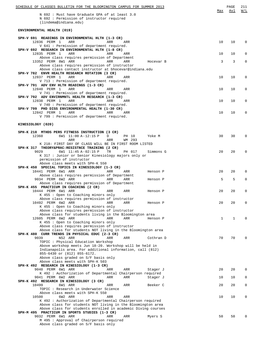| SCHEDULE OF CLASSES BULLETIN FOR THE BLOOMINGTON CAMPUS FOR SUMMER 2013                                                   |     | PAGE | 211<br>W/L   |
|---------------------------------------------------------------------------------------------------------------------------|-----|------|--------------|
| N 692 : Must have Graduate GPA of at least 3.0<br>N 692 : Permission of instructor required<br>(lindema@indiana.edu)      | Max | Avl  |              |
| ENVIRONMENTAL HEALTH (019)                                                                                                |     |      |              |
| SPH-V 691 READINGS IN ENVIRONMENTAL HLTH (1-3 CR)                                                                         |     |      |              |
| 12836 PERM 1<br>ARR<br>ARR<br>ARR<br>V 641 : Permission of department required.                                           | 10  | 10   | $\Omega$     |
| SPH-V 692 RESEARCH IN ENVIRONMENTAL HLTH (1-8 CR)                                                                         |     |      |              |
| 12835 PERM 1<br>ARR<br>ARR<br>ARR<br>Above class requires permission of Department                                        | 10  | 10   | O            |
| 13352 PERM 8W1 ARR<br>ARR<br>ARR<br>Hocevar B<br>Above class requires permission of instructor                            | 3   | 3    | $\Omega$     |
| Above class contact instructor at bhocevar@indiana.edu<br>SPH-V 782 ENVR HEALTH RESEARCH ROTATION (3 CR)                  |     |      |              |
| 12837 PERM 1<br>ARR<br>ARR<br>ARR                                                                                         | 10  | 10   | $\Omega$     |
| V 713 : Permission of department required.<br>SPH-V 791 ADV ENV HLTH READINGS (1-3 CR)                                    |     |      |              |
| 12840 PERM 1<br>ARR<br>ARR<br>ARR<br>V 741 : Permission of department required.                                           | 10  | 10   | 0            |
| SPH-V 792 ADV ENVIRNMNTL HEALTH RESEARCH (1-3 CR)                                                                         |     |      |              |
| 12838 PERM 1<br>ARR<br>ARR<br>ARR<br>V 740 : Permission of department required.                                           | 10  | 10   | 0            |
| SPH-V 799 PHD DISS ENVIRONMENTAL HEALTH (1-30 CR)<br>12842 PERM 1<br>ARR<br>ARR<br>ARR                                    | 10  | 10   | $\Omega$     |
| V 799 : Permission of department required.                                                                                |     |      |              |
| KINESIOLOGY (020)                                                                                                         |     |      |              |
| SPH-K 218 MTHDS PERS FITNESS INSTRUCTION (3 CR)                                                                           |     |      |              |
| 12360<br>6W1 11:00 A-12:15 P<br>D<br>Yoke M<br>PH 10<br>ARR<br>WM 293<br>ARR                                              | 30  | 30   | $\Omega$     |
| K 218: FIRST DAY OF CLASS WILL BE IN FIRST ROOM LISTED                                                                    |     |      |              |
| SPH-K 317 THEORY&PRAC:RESISTNCE TRAINING (2 CR)<br>6W1 11:45 A-02:15 P<br>9029<br>TR<br>PH 017<br>Simmons G               | 20  | 20   | O            |
| K 317 : Junior or Senior Kinesiology majors only or<br>permission of instructor                                           |     |      |              |
| Above class meets with SPH-K 550<br>SPH-K 450 SPECIAL TOPICS IN KINESIOLOGY (1-3 CR)                                      |     |      |              |
| 10441 PERM 6W1 ARR<br>ARR<br>ARR<br>Henson P                                                                              | 20  | 20   | <sup>0</sup> |
| Above class requires permission of Department<br>9034 PERM 6W2 ARR<br>ARR<br>ARR<br>Henson P                              | 5   | 5    | $\Omega$     |
| Above class requires permission of Department<br>SPH-K 455 PRACTICUM IN COACHING (2 CR)                                   |     |      |              |
| 10444 PERM 6W1 ARR<br>ARR<br>ARR<br>Henson P                                                                              | 20  | 20   | O            |
| K 455: Open to Coaching minors only<br>Above class requires permission of instructor                                      |     |      |              |
| 10492 PERM 6W2 ARR<br>ARR<br>ARR<br>Henson P<br>K 455: Open to Coaching minors only                                       | 20  | 20   | $\Omega$     |
| Above class requires permission of instructor                                                                             |     |      |              |
| Above class for students living in the Bloomington area<br>12605 PERM 6W2 ARR<br>ARR<br>ARR<br>Henson P                   | 1   | 1    |              |
| K 455: Open to Coaching minors only<br>Above class requires permission of instructor                                      |     |      |              |
| Above class for students NOT living in the Bloomington area                                                               |     |      |              |
| SPH-K 480 CURR TRENDS IN PHYSICAL EDUC (2-3 CR)<br>9039<br>NS2 ARR<br>ARR<br>Cothran D<br>ARR                             | 70  | 70   | U            |
| TOPIC: Physical Education Workshop<br>Above workshop meets Jun 18-20. Workshop will be held in                            |     |      |              |
| Indianapolis area. For additional information, call (812)<br>855-6430 or (812) 855-6172.                                  |     |      |              |
| Above class graded on S/F basis only                                                                                      |     |      |              |
| Above class meets with SPH-K 503<br>SPH-K 492 RESEARCH IN KINESIOLOGY (1-3 CR)                                            |     |      |              |
| 9040 PERM 6W1 ARR<br>ARR<br>ARR<br>Stager J<br>K 492 : Authorization of Departmental Chairperson required                 | 20  | 20   | 0            |
| 9041 PERM 6W2 ARR<br>ARR<br>ARR<br>Stager J                                                                               | 10  | 10   | 0            |
| SPH-K 492 RESEARCH IN KINESIOLOGY (3 CR)<br>10499<br>6W1 ARR<br>Beeker C<br>ARR<br>ARR                                    | 20  | 20   | 0            |
| TOPIC: Research in Underwater Science<br>Above class meets with SPH-K 550                                                 |     |      |              |
| 10500<br>6W2 ARR<br>ARR<br>ARR                                                                                            | 10  | 10   | 0            |
| K 492 : Authorization of Departmental Chairperson required<br>Above class for students NOT living in the Bloomington area |     |      |              |
| Above class for students enrolled in academic Diving courses<br>SPH-M 495 PRACTICUM IN SPORTS STUDIES (1-3 CR)            |     |      |              |
| 9032 PERM 6W1 ARR<br>ARR<br>ARR<br>Myers S                                                                                | 50  | 50   | U            |
| M 495 : Approval of Chairperson required<br>Above class graded on S/F basis only                                          |     |      |              |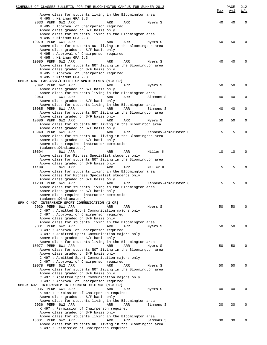| <u>SCHEDULE OF CLASSES BULLETIN FOR THE BLOOMINGTON CAMPUS FOR SUMMER 2013</u>                              |                           | PAGE | 212         |
|-------------------------------------------------------------------------------------------------------------|---------------------------|------|-------------|
|                                                                                                             | Max                       | Avl  | W/L         |
| Above class for students living in the Bloomington area                                                     |                           |      |             |
| M 495 : Minimum GPA 2.3                                                                                     |                           |      |             |
| 9033 PERM 6W2 ARR<br>ARR<br>ARR                                                                             | 40<br>Myers S             | 40   | $\mathbf 0$ |
| M 495 : Approval of Chairperson required                                                                    |                           |      |             |
| Above class graded on S/F basis only                                                                        |                           |      |             |
| Above class for students living in the Bloomington area<br>M 495 : Minimum GPA 2.3                          |                           |      |             |
| 10079 PERM 6W1 ARR<br>ARR<br>ARR                                                                            | 50<br>Myers S             | 50   | $\mathbf 0$ |
| Above class for students NOT living in the Bloomington area                                                 |                           |      |             |
| Above class graded on S/F basis only                                                                        |                           |      |             |
| M 495 : Approval of Chairperson required                                                                    |                           |      |             |
| M 495 : Minimum GPA 2.3                                                                                     |                           |      |             |
| 10080 PERM 6W2 ARR<br>ARR<br>ARR                                                                            | 40<br>Myers S             | 40   | 0           |
| Above class for students NOT living in the Bloomington area                                                 |                           |      |             |
| Above class graded on S/F basis only                                                                        |                           |      |             |
| M 495 : Approval of Chairperson required                                                                    |                           |      |             |
| M 495 : Minimum GPA 2.3                                                                                     |                           |      |             |
| SPH-K 496 LAB ASST/FIELD EXP SPRTS KINES (1-3 CR)                                                           |                           |      |             |
| 9042 PERM 6W2 ARR<br>ARR<br>ARR                                                                             | 50<br>Myers S             | 50   | $\mathbf 0$ |
| Above class graded on S/F basis only                                                                        |                           |      |             |
| Above class for students living in the Bloomington area                                                     |                           |      |             |
| 6W1 ARR<br>ARR<br>9043<br>ARR                                                                               | Simmons S<br>40           | 40   | 0           |
| Above class graded on S/F basis only                                                                        |                           |      |             |
| Above class for students living in the Bloomington area                                                     |                           |      |             |
| 10085 PERM 6W1 ARR<br>ARR<br><b>ARR</b>                                                                     | 40<br>Simmons S           | 40   | 0           |
| Above class for students NOT living in the Bloomington area                                                 |                           |      |             |
| Above class graded on S/F basis only<br>10086 PERM 6W2 ARR<br>ARR<br>ARR                                    | 50<br>Myers S             | 50   | 0           |
| Above class for students NOT living in the Bloominton area                                                  |                           |      |             |
| Above class graded on S/F basis only                                                                        |                           |      |             |
| 10949 PERM 6W1 ARR<br>ARR<br>ARR                                                                            | Kennedy-Armbruster C<br>5 | 5    | $\mathbf 0$ |
| Above class for students NOT living in the Bloomington area                                                 |                           |      |             |
| Above class graded on S/F basis only                                                                        |                           |      |             |
| Above class requires instructor permission                                                                  |                           |      |             |
| (cakenned@indiana.edu)                                                                                      |                           |      |             |
| 10694<br>6W1 ARR<br>ARR<br>ARR                                                                              | Miller K<br>10            | 10   | $\mathbf 0$ |
| Above class for Fitness Specialist students only                                                            |                           |      |             |
| Above class for students NOT living in the Bloomington area                                                 |                           |      |             |
| Above class graded on S/F basis only                                                                        |                           |      |             |
| 11189<br>6W1 ARR<br>ARR<br><b>ARR</b>                                                                       | Miller K<br>5             | 5    | 0           |
| Above class for students living in the Bloomington area<br>Above class for Fitness Specialist students only |                           |      |             |
| Above class graded on S/F basis only                                                                        |                           |      |             |
| 11200 PERM 6W1 ARR<br>ARR<br>ARR                                                                            | Kennedy-Armbruster C<br>5 | 5    | 0           |
| Above class for students living in the Bloomington area                                                     |                           |      |             |
| Above class graded on S/F basis only                                                                        |                           |      |             |
| Above class requires instructor permission                                                                  |                           |      |             |
| (cakenned@indiana.edu)                                                                                      |                           |      |             |
| INTERNSHIP SPORT COMMUNICATION (3 CR)<br>SPH-C 497                                                          |                           |      |             |
| 9030 PERM 6W1 ARR<br>ARR<br>ARR                                                                             | 50<br>Myers S             | 50   | 0           |
| C 497 : Admitted Sport Communication majors only                                                            |                           |      |             |
| C 497 : Approval of Chairperson required                                                                    |                           |      |             |
| Above class graded on S/F basis only                                                                        |                           |      |             |
| Above class for students living in the Bloomington area<br>9031 PERM 6W2 ARR<br>ARR<br>ARR                  | 50<br>Myers S             | 50   | $\Omega$    |
| C 497 : Approval of Chairperson required                                                                    |                           |      |             |
| C 497 : Admitted Sport Communication majors only                                                            |                           |      |             |
| Above class graded on S/F basis only                                                                        |                           |      |             |
| Above class for students living in the Bloomington area                                                     |                           |      |             |
| 10077 PERM 6W1 ARR<br>ARR<br>ARR                                                                            | 50<br>Myers S             | 50   | 0           |
| Above class for students NOT living in the Bloomington area                                                 |                           |      |             |
| Above class graded on S/F basis only                                                                        |                           |      |             |
| C 497 : Admitted Sport Communication majors only                                                            |                           |      |             |
| C 497 : Approval of Chairperson required                                                                    |                           |      |             |
| 10078 PERM 6W2 ARR<br>ARR<br><b>ARR</b>                                                                     | 50<br>Myers S             | 50   | 0           |
| Above class for students NOT living in the Bloomington area                                                 |                           |      |             |
| Above class graded on S/F basis only                                                                        |                           |      |             |
| C 497 : Admitted Sport Communication majors only                                                            |                           |      |             |
| C 497 : Approval of Chairperson required                                                                    |                           |      |             |
| SPH-K 497 INTERNSHIP IN EXERCISE SCIENCE (1-3 CR)<br>9035 PERM 6W1 ARR<br>ARR<br>ARR                        | 40<br>Myers S             | 40   | 0           |
| K 497 : Permission of Chairperson required                                                                  |                           |      |             |
| Above class graded on S/F basis only                                                                        |                           |      |             |
| Above class for students living in the Bloomington area                                                     |                           |      |             |
| 9036 PERM 6W2 ARR<br>ARR<br>ARR                                                                             | Simmons S<br>30           | 30   | $\mathbf 0$ |
| K 497 : Permission of Chairperson required                                                                  |                           |      |             |
| Above class graded on S/F basis only                                                                        |                           |      |             |
| Above class for students living in the Bloomington area                                                     |                           |      |             |
| 10081 PERM 6W2 ARR<br>ARR<br><b>ARR</b>                                                                     | 30<br>Simmons S           | 30   | 0           |
| Above class for students NOT living in the Bloomington area                                                 |                           |      |             |
| K 497 : Permission of Chairperson required                                                                  |                           |      |             |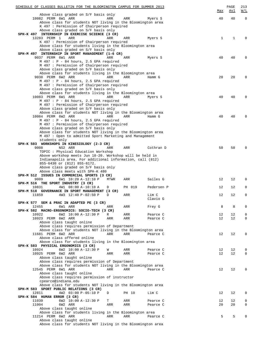| SCHEDULE OF CLASSES BULLETIN FOR THE BLOOMINGTON CAMPUS FOR SUMMER 2013                                                | Max         | PAGE<br>Avl | 213<br>W/L                 |
|------------------------------------------------------------------------------------------------------------------------|-------------|-------------|----------------------------|
| Above class graded on S/F basis only                                                                                   |             |             |                            |
| 10082 PERM 6W1 ARR<br>ARR<br>ARR<br>Myers S                                                                            | 40          | 40          | $\mathbf 0$                |
| Above class for students NOT living in the Bloomington area                                                            |             |             |                            |
| K 497 : Permission of Chairperson required                                                                             |             |             |                            |
| Above class graded on S/F basis only<br>SPH-K 497 INTERNSHIP IN EXERCISE SCIENCE (3 CR)                                |             |             |                            |
| 13283 PERM 1<br>ARR<br>ARR<br>ARR<br>Myers S                                                                           | $\mathbf 1$ | 1           | $\Omega$                   |
| K 497 : Permission of Chairperson required                                                                             |             |             |                            |
| Above class for students living in the Bloomington area                                                                |             |             |                            |
| Above class graded on S/F basis only<br>SPH-M 497 INTERNSHIP IN SPORT MANAGEMENT (1-6 CR)                              |             |             |                            |
| 9037 PERM 6W1 ARR<br>ARR<br>ARR<br>Myers S                                                                             | 40          | 40          | $\Omega$                   |
| $M$ 497 : P - 84 hours, 2.5 GPA required                                                                               |             |             |                            |
| M 497 : Permission of Chairperson required                                                                             |             |             |                            |
| Above class graded on S/F basis only<br>Above class for students living in the Bloomington area                        |             |             |                            |
| 9038 PERM 6W2 ARR<br>ARR<br>ARR<br>Hamm G                                                                              | 20          | 20          | $\mathbf 0$                |
| M 497 : P - 84 hours, 2.5 GPA required                                                                                 |             |             |                            |
| M 497 : Permission of Chairperson required                                                                             |             |             |                            |
| Above class graded on S/F basis only                                                                                   |             |             |                            |
| Above class for students living in the Bloomington area<br>10083 PERM 6W1 ARR<br>ARR<br>ARR<br>Myers S                 | 40          | 40          | $\Omega$                   |
| M 497 : P - 84 hours, 2.5 GPA required                                                                                 |             |             |                            |
| M 497 : Permission of Chairperson required                                                                             |             |             |                            |
| Above class graded on S/F basis only                                                                                   |             |             |                            |
| Above class for students NOT living in the Bloomington area<br>10084 PERM 6W2 ARR<br>ARR<br>ARR<br>Hamm G              | 40          | 40          | $\Omega$                   |
| M 497 : P - 84 hours, 2.5 GPA required                                                                                 |             |             |                            |
| M 497 : Permission of Chairperson required                                                                             |             |             |                            |
| Above class graded on S/F basis only                                                                                   |             |             |                            |
| Above class for students NOT living in the Bloomington area<br>M 497 : Open to admitted Sport Marketing and Management |             |             |                            |
| students only                                                                                                          |             |             |                            |
| SPH-K 503 WORKSHOPS IN KINESIOLOGY (2-3 CR)                                                                            |             |             |                            |
| 9008<br>NS2 ARR<br>ARR<br>ARR<br>Cothran D                                                                             | 50          | 50          | $\Omega$                   |
| TOPIC : Physical Education Workshop                                                                                    |             |             |                            |
| Above workshop meets Jun 18-20. Workshop will be held in<br>Indianapolis area. For additional information, call (812)  |             |             |                            |
| 855-6430 or (812) 855-6172.                                                                                            |             |             |                            |
| Above class graded on S/F basis only                                                                                   |             |             |                            |
| Above class meets with SPH-K 480                                                                                       |             |             |                            |
| SPH-M 512 ISSUES IN COMMERCIAL SPORTS (3 CR)<br>9009<br>Sailes G<br>6W1 10:20 A-12:10 P<br>MTWR<br>ARR                 | 12          | 12          | 0                          |
| SPH-M 516 THE SPORT INDUSTRY (3 CR)                                                                                    |             |             |                            |
| 10831<br>4W1 08:00 A-10:10 A<br>PH 019<br>D<br>Pedersen P                                                              | 12          | 12          | $\mathbf 0$                |
| SPH-M 518 GOVERNANCE IN SPORT MANAGEMENT (3 CR)                                                                        |             |             |                            |
| 11859<br>4W3 12:40 P-02:50 P<br>D<br>ARR<br>Lim C<br>Clavio G                                                          | 12          | 12          | $\mathbf 0$                |
| SPH-K 577 SEM & PRAC IN ADAPTED PE (3 CR)                                                                              |             |             |                            |
| 12455<br>6W1 ARR<br>ARR<br>ARR<br>Frey G                                                                               | 8           | 8           | $\mathbf 0$                |
| SPH-K 582 MACRO-ERGONOMICS: SOCIO-TECH (3 CR)                                                                          |             |             |                            |
| 6W2 10:00 A-12:30 P<br>10922<br>R<br>ARR<br>Pearce C<br>10923 PERM 6W2 ARR<br>ARR<br>Pearce C<br>ARR                   | 12<br>12    | 12<br>12    | $\mathbf 0$<br>$\mathbf 0$ |
| Above class taught online                                                                                              |             |             |                            |
| Above class requires permission of Department                                                                          |             |             |                            |
| Above class for students NOT living in the Bloomington area                                                            |             |             |                            |
| 11681 PERM 6W2 ARR<br>ARR<br>ARR<br>Pearce C                                                                           | 12          | 12          | 0                          |
| Above class offered online<br>Above class for students living in the Bloomington area                                  |             |             |                            |
| SPH-K 583 PHYSICAL ERGONOMICS (3 CR)                                                                                   |             |             |                            |
| 10924<br>6W2 10:00 A-12:30 P<br>ARR<br>Pearce C<br>W                                                                   | 12          | 12          | 0                          |
| 10925 PERM 6W2 ARR<br>ARR<br>ARR<br>Pearce C                                                                           | 12          | 12          | $\mathbf 0$                |
| Above class taught online<br>Above class requires permission of Department                                             |             |             |                            |
| Above class for students NOT living in the Bloomington area                                                            |             |             |                            |
| 12545 PERM 6W1 ARR<br>ARR<br>ARR<br>Pearce C                                                                           | 12          | 12          | $\mathbf 0$                |
| Above class taught online                                                                                              |             |             |                            |
| Above class requires permission of instructor<br>cpearce@indiana.edu                                                   |             |             |                            |
| Above class for students NOT living in the Bloomington area                                                            |             |             |                            |
| SPH-M 583 SPORT PUBLIC RELATIONS (3 CR)                                                                                |             |             |                            |
| 12811<br>4W2 03:00 P-05:10 P<br>PH 10<br>Lim C<br>D                                                                    | 12          | 12          | $\mathbf 0$                |
| SPH-K 584 HUMAN ERROR (3 CR)                                                                                           |             |             |                            |
| 6W2 10:00 A-12:30 P<br>11039<br>Pearce C<br>Т<br>ARR<br>11004<br>6W2 ARR<br>ARR<br>ARR<br>Pearce C                     | 12<br>20    | 12<br>20    | 0<br>$\mathbf 0$           |
| Above class taught online                                                                                              |             |             |                            |
| Above class for students living in the Bloomington area                                                                |             |             |                            |
| 11214 PERM 6W2 ARR<br>Pearce C<br>ARR<br>ARR                                                                           | 5           | 5           | $\Omega$                   |
| Above class taught online<br>Above class for students NOT living in the Bloomington area                               |             |             |                            |
|                                                                                                                        |             |             |                            |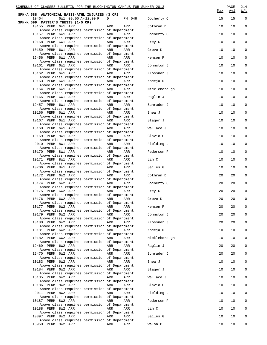| SCHEDULE OF CLASSES BULLETIN FOR THE BLOOMINGTON CAMPUS FOR SUMMER 2013<br>SPH-A 588 ANATOMICAL BASIS-ATHL INJURIES (3 CR) |             |                 | Max | PAGE<br><u>Avl</u> | 214<br>W/L  |
|----------------------------------------------------------------------------------------------------------------------------|-------------|-----------------|-----|--------------------|-------------|
| 10464<br>6W1 09:00 A-12:00 P                                                                                               | D<br>PH 048 | Docherty C      | 15  | 15                 | $\mathbf 0$ |
| SPH-K 599 MASTER'S THESIS (1-5 CR)<br>10155 PERM 6W1 ARR<br>Above class requires permission of Department                  | ARR<br>ARR  | Cothran D       | 10  | 10                 | $\mathbf 0$ |
| 10157 PERM 6W1 ARR<br>Above class requires permission of Department                                                        | ARR<br>ARR  | Docherty C      | 10  | 10                 | 0           |
| 10158 PERM 6W1 ARR                                                                                                         | ARR<br>ARR  | Frey G          | 10  | 10                 | 0           |
| Above class requires permission of Department<br>10159 PERM 6W1 ARR                                                        | ARR<br>ARR  | Grove K         | 10  | 10                 | 0           |
| Above class requires permission of Department<br>12456 PERM 6W1 ARR                                                        | ARR<br>ARR  | Henson P        | 10  | 10                 | 0           |
| Above class requires permission of Department<br>10161 PERM 6W1 ARR                                                        | ARR<br>ARR  | Johnston J      | 10  | 10                 | 0           |
| Above class requires permission of Department<br>10162 PERM 6W1 ARR                                                        | ARR<br>ARR  | Klossner J      | 10  | 10                 | 0           |
| Above class requires permission of Department<br>10163 PERM 6W1 ARR                                                        | ARR<br>ARR  | Koceja D        | 10  | 10                 | 0           |
| Above class requires permission of Department<br>10164 PERM 6W1 ARR                                                        | ARR<br>ARR  | Mickleborough T | 10  | 10                 | 0           |
| Above class requires permission of Department                                                                              |             |                 |     | 10                 | 0           |
| 10165 PERM 6W1 ARR<br>Above class requires permission of Department                                                        | ARR<br>ARR  | Raglin J        | 10  |                    |             |
| 12457 PERM 6W1 ARR<br>Above class requires permission of Department                                                        | ARR<br>ARR  | Schrader J      | 10  | 10                 | 0           |
| 10166 PERM 6W1 ARR<br>Above class requires permission of Department                                                        | ARR<br>ARR  | Shea J          | 10  | 10                 | 0           |
| 10167 PERM 6W1 ARR<br>Above class requires permission of Department                                                        | ARR<br>ARR  | Stager J        | 10  | 10                 | 0           |
| 10168 PERM 6W1 ARR<br>Above class requires permission of Department                                                        | ARR<br>ARR  | Wallace J       | 10  | 10                 | 0           |
| 10169 PERM 8W1 ARR<br>Above class requires permission of Department                                                        | ARR<br>ARR  | Clavio G        | 10  | 10                 | 0           |
| 9010 PERM 8W1 ARR                                                                                                          | ARR<br>ARR  | Fielding L      | 10  | 10                 | 0           |
| Above class requires permission of Department<br>10170 PERM 8W1 ARR                                                        | ARR<br>ARR  | Pedersen P      | 10  | 10                 | 0           |
| Above class requires permission of Department<br>10171 PERM 8W1 ARR                                                        | ARR<br>ARR  | Lim C           | 10  | 10                 | 0           |
| Above class requires permission of Department<br>10706 PERM 8W1 ARR                                                        | ARR<br>ARR  | Sailes G        | 10  | 10                 | 0           |
| Above class requires permission of Department<br>10172 PERM 6W2 ARR                                                        | ARR<br>ARR  | Cothran D       | 20  | 20                 | 0           |
| Above class requires permission of Department<br>10174 PERM 6W2 ARR                                                        | ARR<br>ARR  | Docherty C      | 20  | 20                 | 0           |
| Above class requires permission of Department<br>10175 PERM 6W2 ARR                                                        | ARR<br>ARR  | Frey G          | 20  | 20                 | 0           |
| Above class requires permission of Department<br>10176 PERM 6W2 ARR                                                        | ARR<br>ARR  | Grove K         | 20  | 20                 | 0           |
| Above class requires permission of Department<br>10177 PERM 6W2 ARR                                                        | ARR<br>ARR  | Henson P        | 20  | 20                 | 0           |
| Above class requires permission of Department                                                                              |             |                 |     |                    |             |
| 10179 PERM 6W2 ARR<br>Above class requires permission of Department                                                        | ARR<br>ARR  | Johnston J      | 20  | 20                 | $\Omega$    |
| 10180 PERM 6W2 ARR<br>Above class requires permission of Department                                                        | ARR<br>ARR  | Klossner J      | 20  | 20                 | 0           |
| 10181 PERM 6W2 ARR<br>Above class requires permission of Department                                                        | ARR<br>ARR  | Koceja D        | 10  | 10                 | 0           |
| 10182 PERM 6W2 ARR<br>Above class requires permission of Department                                                        | ARR<br>ARR  | Mickleborough T | 10  | 10                 | 0           |
| 12469 PERM 6W2 ARR<br>Above class requires permission of Department                                                        | ARR<br>ARR  | Raglin J        | 20  | 20                 | 0           |
| 12470 PERM 6W2 ARR<br>Above class requires permission of Department                                                        | ARR<br>ARR  | Schrader J      | 20  | 20                 | 0           |
| 10183 PERM 6W2 ARR                                                                                                         | ARR<br>ARR  | Shea J          | 10  | 10                 | 0           |
| Above class requires permission of Department<br>10184 PERM 6W2 ARR                                                        | ARR<br>ARR  | Stager J        | 10  | 10                 | 0           |
| Above class requires permission of Department<br>10185 PERM 6W2 ARR                                                        | ARR<br>ARR  | Wallace J       | 10  | 10                 | 0           |
| Above class requires permission of Department<br>10186 PERM 8W2 ARR                                                        | ARR<br>ARR  | Clavio G        | 10  | 10                 | 0           |
| Above class requires permission of Department<br>9011 PERM 8W2 ARR                                                         | ARR<br>ARR  | Fielding L      | 10  | 10                 | $\Omega$    |
| Above class requires permission of Department<br>10187 PERM 8W2 ARR                                                        | ARR<br>ARR  | Pedersen P      | 10  | 10                 | 0           |
| Above class requires permission of Department<br>10188 PERM 8W2 ARR                                                        | ARR<br>ARR  | Lim C           | 10  | 10                 | $\Omega$    |
| Above class requires permission of Department<br>10897 PERM 8W2 ARR                                                        | ARR<br>ARR  | Sailes G        | 10  | 10                 | 0           |
| Above class requires permission of Department                                                                              |             |                 |     |                    |             |
| 10960 PERM 8W2 ARR                                                                                                         | ARR<br>ARR  | Walsh P         | 10  | 10                 | 0           |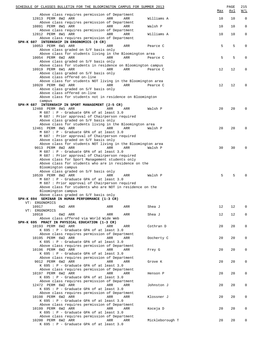| SCHEDULE OF CLASSES BULLETIN FOR THE BLOOMINGTON CAMPUS FOR SUMMER 2013                                    |     |     |                 | Max | PAGE<br><u>Avl</u> | 215<br>W/L   |
|------------------------------------------------------------------------------------------------------------|-----|-----|-----------------|-----|--------------------|--------------|
| Above class requires permission of Department                                                              |     |     |                 |     |                    |              |
| 12813 PERM 8W2 ARR<br>Above class requires permission of Department                                        | ARR | ARR | Williams A      | 10  | 10                 | $\mathbb O$  |
| 10891 PERM 8W1 ARR                                                                                         | ARR | ARR | Walsh P         | 10  | 10                 | $\mathbf 0$  |
| Above class requires permission of Department                                                              |     |     |                 |     |                    |              |
| 12812 PERM 8W1 ARR<br>Above class requires permission of Department                                        | ARR | ARR | Williams A      | 10  | 10                 | $\mathbf{0}$ |
| SPH-K 607 INTERNSHIP IN ERGONOMICS (8 CR)                                                                  |     |     |                 |     |                    |              |
| 10053 PERM 6W1 ARR<br>Above class graded on S/F basis only                                                 | ARR | ARR | Pearce C        | 5   | 5                  | 0            |
| Above class for students living in the Bloomington area                                                    |     |     |                 |     |                    |              |
| 10054 PERM 6W2 ARR                                                                                         | ARR | ARR | Pearce C        | 5   | 5                  | 0            |
| Above class graded on S/F basis only<br>Above class for students in residence on Bloomington campus        |     |     |                 |     |                    |              |
| 10919 PERM 6W1 ARR                                                                                         | ARR | ARR | Pearce C        | 12  | 12                 | 0            |
| Above class graded on S/F basis only                                                                       |     |     |                 |     |                    |              |
| Above class offered on-line<br>Above class for students NOT living in the Bloomington area                 |     |     |                 |     |                    |              |
| 10920 PERM 6W2 ARR                                                                                         | ARR | ARR | Pearce C        | 12  | 12                 | 0            |
| Above class graded on S/F basis only                                                                       |     |     |                 |     |                    |              |
| Above class offered on-line<br>Above class for students not in residence on Bloomington                    |     |     |                 |     |                    |              |
| campus                                                                                                     |     |     |                 |     |                    |              |
| SPH-M 687 INTERNSHIP IN SPORT MANAGEMENT (2-5 CR)                                                          |     |     |                 |     |                    |              |
| 12460 PERM 8W1 ARR<br>M 687 : P - Graduate GPA of at least 3.0                                             | ARR | ARR | Walsh P         | 20  | 20                 | 0            |
| M 687 : Prior approval of Chairperson required                                                             |     |     |                 |     |                    |              |
| Above class graded on S/F basis only                                                                       |     |     |                 |     |                    |              |
| Above class for students living in the Bloomington area<br>12461 PERM 8W1 ARR                              | ARR | ARR | Walsh P         | 20  | 20                 | 0            |
| M 687 : P - Graduate GPA of at least 3.0                                                                   |     |     |                 |     |                    |              |
| M 687 : Prior approval of Chairperson required                                                             |     |     |                 |     |                    |              |
| Above class graded on S/F basis only<br>Above class for students NOT living in the Bloomington area        |     |     |                 |     |                    |              |
| 9013 PERM 8W2 ARR                                                                                          | ARR | ARR | Walsh P         | 30  | 30                 | 0            |
| M 687 : P - Graduate GPA of at least 3.0                                                                   |     |     |                 |     |                    |              |
| M 687 : Prior approval of Chairperson required<br>Above class for Sport Management students only           |     |     |                 |     |                    |              |
| Above class for students who are in residence on the                                                       |     |     |                 |     |                    |              |
| Bloomington campus<br>Above class graded on S/F basis only                                                 |     |     |                 |     |                    |              |
| 10539 PERM 8W2 ARR                                                                                         | ARR | ARR | Walsh P         | 5   | 5                  |              |
| M 687 : P - Graduate GPA of at least 3.0                                                                   |     |     |                 |     |                    |              |
| M 687 : Prior approval of Chairperson required<br>Above class for students who are NOT in residence on the |     |     |                 |     |                    |              |
| Bloomington campus                                                                                         |     |     |                 |     |                    |              |
| Above class graded on S/F basis only                                                                       |     |     |                 |     |                    |              |
| SPH-K 694 SEMINAR IN HUMAN PERFORMANCE (1-3 CR)<br>VT: ERGONOMICS                                          |     |     |                 |     |                    |              |
| 10917<br>6W2 ARR                                                                                           | ARR | ARR | Shea J          | 12  | 12                 | 0            |
| VT: ERGONOMICS                                                                                             |     |     |                 |     |                    |              |
| 10918<br>6W2 ARR<br>Above class offered via World Wide Web                                                 | ARR | ARR | Shea J          | 12  | 12                 | 0            |
| SPH-K 695 PRACT IN PHYSICAL EDUCATION (1-3 CR)                                                             |     |     |                 |     |                    |              |
| 10193 PERM 6W2 ARR                                                                                         | ARR | ARR | Cothran D       | 20  | 20                 | 0            |
| K 695 : P - Graduate GPA of at least 3.0<br>Above class requires permission of Department                  |     |     |                 |     |                    |              |
| 10195 PERM 6W2 ARR                                                                                         | ARR | ARR | Docherty C      | 20  | 20                 | 0            |
| K 695 : P - Graduate GPA of at least 3.0                                                                   |     |     |                 |     |                    |              |
| Above class requires permission of Department<br>10196 PERM 6W2 ARR                                        | ARR | ARR | Frey G          | 20  | 20                 | 0            |
| K 695 : P - Graduate GPA of at least 3.0                                                                   |     |     |                 |     |                    |              |
| Above class requires permission of Department                                                              |     |     |                 |     |                    |              |
| 9012 PERM 6W2 ARR<br>K 695 : P - Graduate GPA of at least 3.0                                              | ARR | ARR | Grove K         | 20  | 20                 | 0            |
| Above class requires permission of Department                                                              |     |     |                 |     |                    |              |
| 10197 PERM 6W2 ARR                                                                                         | ARR | ARR | Henson P        | 20  | 20                 | 0            |
| K 695 : P - Graduate GPA of at least 3.0<br>Above class requires permission of Department                  |     |     |                 |     |                    |              |
| 12472 PERM 6W2 ARR                                                                                         | ARR | ARR | Johnston J      | 20  | 20                 | 0            |
| K 695 : P - Graduate GPA of at least 3.0                                                                   |     |     |                 |     |                    |              |
| Above class requires permission of Department<br>10198 PERM 6W2 ARR                                        | ARR | ARR | Klossner J      | 20  | 20                 | 0            |
| K 695 : P - Graduate GPA of at least 3.0                                                                   |     |     |                 |     |                    |              |
| Above class requires permission of Department                                                              |     |     |                 |     |                    |              |
| 10199 PERM 6W2 ARR<br>$K$ 695 : P - Graduate GPA of at least 3.0                                           | ARR | ARR | Koceja D        | 20  | 20                 | 0            |
| Above class requires permission of Department                                                              |     |     |                 |     |                    |              |
| 10200 PERM 6W2 ARR                                                                                         | ARR | ARR | Mickleborough T | 20  | 20                 | 0            |
| K 695 : P - Graduate GPA of at least 3.0                                                                   |     |     |                 |     |                    |              |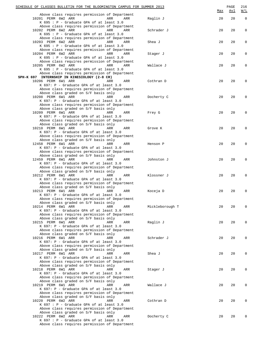| SCHEDULE OF CLASSES BULLETIN FOR THE BLOOMINGTON CAMPUS FOR SUMMER 2013                                                                                                                                                  |                 | Max | PAGE<br><u>Avl</u> | 216<br>$\underline{W/L}$ |
|--------------------------------------------------------------------------------------------------------------------------------------------------------------------------------------------------------------------------|-----------------|-----|--------------------|--------------------------|
| Above class requires permission of Department<br>10201 PERM 6W2 ARR<br>ARR<br>ARR<br>K 695 : P - Graduate GPA of at least 3.0                                                                                            | Raglin J        | 20  | 20                 | $\mathbf{0}$             |
| Above class requires permission of Department<br>10202 PERM 6W2 ARR<br>ARR<br>ARR<br>K 695 : P - Graduate GPA of at least 3.0                                                                                            | Schrader J      | 20  | 20                 | 0                        |
| Above class requires permission of Department<br>10203 PERM 6W2 ARR<br>ARR<br>ARR<br>K 695 : P - Graduate GPA of at least 3.0                                                                                            | Shea J          | 20  | 20                 | 0                        |
| Above class requires permission of Department<br>10204 PERM 6W2 ARR<br>ARR<br>ARR<br>K $695: P - Graduate GPA of at least 3.0$                                                                                           | Stager J        | 20  | 20                 | 0                        |
| Above class requires permission of Department<br>10205 PERM 6W2 ARR<br>ARR<br>ARR<br>K 695 : P - Graduate GPA of at least 3.0<br>Above class requires permission of Department                                           | Wallace J       | 20  | 20                 | 0                        |
| SPH-K 697 INTERNSHIP IN KINESIOLOGY (2-8 CR)<br>10206 PERM 6W1 ARR<br>ARR<br>ARR<br>K 697: P - Graduate GPA of at least 3.0                                                                                              | Cothran D       | 20  | 20                 |                          |
| Above class requires permission of Department<br>Above class graded on S/F basis only<br>10208 PERM 6W1 ARR<br>ARR<br>ARR<br>K 697: P - Graduate GPA of at least 3.0<br>Above class requires permission of Department    | Docherty C      | 20  | 20                 |                          |
| Above class graded on S/F basis only<br>10209 PERM 6W1 ARR<br>ARR<br>ARR<br>K 697: P - Graduate GPA of at least 3.0<br>Above class requires permission of Department                                                     | Frey G          | 20  | 20                 |                          |
| Above class graded on S/F basis only<br>10210 PERM 6W1 ARR<br>ARR<br>ARR<br>K 697: P - Graduate GPA of at least 3.0<br>Above class requires permission of Department                                                     | Grove K         | 20  | 20                 |                          |
| Above class graded on S/F basis only<br>12458 PERM 6W1 ARR<br>ARR<br>ARR<br>K 697: P - Graduate GPA of at least 3.0<br>Above class requires permission of Department                                                     | Henson P        | 20  | 20                 |                          |
| Above class graded on S/F basis only<br>12459 PERM 6W1 ARR<br>ARR<br>ARR<br>K 697: P - Graduate GPA of at least 3.0<br>Above class requires permission of Department                                                     | Johnston J      | 20  | 20                 |                          |
| Above class graded on S/F basis only<br>10212 PERM 6W1 ARR<br>ARR<br>ARR<br>K 697: P - Graduate GPA of at least 3.0<br>Above class requires permission of Department                                                     | Klossner J      | 20  | 20                 |                          |
| Above class graded on S/F basis only<br>10213 PERM 6W1 ARR<br>ARR<br>ARR<br>K 697: P - Graduate GPA of at least 3.0                                                                                                      | Koceja D        | 20  | 20                 |                          |
| Above class requires permission of Department<br>Above class graded on S/F basis only<br>10214 PERM 6W1 ARR<br>ARR<br>ARR<br>K 697: P - Graduate GPA of at least 3.0<br>Above class requires permission of Department    | Mickleborough T | 20  | 20                 | O                        |
| Above class graded on S/F basis only<br>10215 PERM 6W1 ARR<br>ARR<br>ARR<br>K 697: P - Graduate GPA of at least 3.0                                                                                                      | Raglin J        | 20  | 20                 |                          |
| Above class requires permission of Department<br>Above class graded on S/F basis only<br>10216 PERM 6W1 ARR<br>ARR<br>ARR<br>K 697: P - Graduate GPA of at least 3.0<br>Above class requires permission of Department    | Schrader J      | 20  | 20                 |                          |
| Above class graded on S/F basis only<br>10217 PERM 6W1 ARR<br>ARR<br>ARR<br>K 697: P - Graduate GPA of at least 3.0<br>Above class requires permission of Department                                                     | Shea J          | 20  | 20                 |                          |
| Above class graded on S/F basis only<br>10218 PERM 6W1 ARR<br>ARR<br>ARR<br>K 697: P - Graduate GPA of at least 3.0<br>Above class requires permission of Department                                                     | Stager J        | 20  | 20                 |                          |
| Above class graded on S/F basis only<br>10219 PERM 6W1 ARR<br>ARR<br>ARR<br>K 697: P - Graduate GPA of at least 3.0                                                                                                      | Wallace J       | 20  | 20                 |                          |
| Above class requires permission of Department<br>Above class graded on S/F basis only<br>10220 PERM 6W2 ARR<br>ARR<br>ARR<br>$K$ 697 : P - Graduate GPA of at least 3.0                                                  | Cothran D       | 20  | 20                 |                          |
| Above class requires permission of Department<br>Above class graded on S/F basis only<br>10222 PERM 6W2 ARR<br>ARR<br>ARR<br>$K$ 697 : P - Graduate GPA of at least 3.0<br>Above class requires permission of Department | Docherty C      | 20  | 20                 |                          |
|                                                                                                                                                                                                                          |                 |     |                    |                          |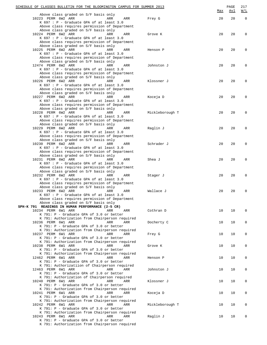| SCHEDULE OF CLASSES BULLETIN FOR THE BLOOMINGTON CAMPUS FOR SUMMER 2013                                              |                 | Max | PAGE<br><u>Avl</u> | 217<br>W/L   |
|----------------------------------------------------------------------------------------------------------------------|-----------------|-----|--------------------|--------------|
| Above class graded on S/F basis only<br>10223 PERM 6W2 ARR<br>ARR<br>ARR<br>K 697 : P - Graduate GPA of at least 3.0 | Frey G          | 20  | 20                 | $\mathbf 0$  |
| Above class requires permission of Department                                                                        |                 |     |                    |              |
| Above class graded on S/F basis only<br>10224 PERM 6W2 ARR<br>ARR<br>ARR                                             | Grove K         | 20  | 20                 | $\mathbf{0}$ |
| K 697 : P - Graduate GPA of at least 3.0                                                                             |                 |     |                    |              |
| Above class requires permission of Department<br>Above class graded on S/F basis only                                |                 |     |                    |              |
| 10225 PERM 6W2 ARR<br>ARR<br>ARR                                                                                     | Henson P        | 20  | 20                 | $\mathbf 0$  |
| K 697 : P - Graduate GPA of at least 3.0<br>Above class requires permission of Department                            |                 |     |                    |              |
| Above class graded on S/F basis only<br>12474 PERM 6W2 ARR<br>ARR                                                    |                 | 20  | 20                 | 0            |
| ARR<br>K 697 : P - Graduate GPA of at least 3.0                                                                      | Johnston J      |     |                    |              |
| Above class requires permission of Department<br>Above class graded on S/F basis only                                |                 |     |                    |              |
| 10226 PERM 6W2 ARR<br>ARR<br>ARR                                                                                     | Klossner J      | 20  | 20                 | 0            |
| K 697 : P - Graduate GPA of at least 3.0                                                                             |                 |     |                    |              |
| Above class requires permission of Department<br>Above class graded on S/F basis only                                |                 |     |                    |              |
| 10227 PERM 6W2 ARR<br>ARR<br>ARR                                                                                     | Koceja D        | 20  | 20                 | 0            |
| K 697 : P - Graduate GPA of at least 3.0<br>Above class requires permission of Department                            |                 |     |                    |              |
| Above class graded on S/F basis only                                                                                 |                 |     |                    |              |
| 10228 PERM 6W2 ARR<br>ARR<br>ARR<br>K 697 : P - Graduate GPA of at least 3.0                                         | Mickleborough T | 20  | 20                 | $\mathbf{0}$ |
| Above class requires permission of Department                                                                        |                 |     |                    |              |
| Above class graded on S/F basis only<br>10229 PERM 6W2 ARR<br>ARR<br>ARR                                             | Raglin J        | 20  | 20                 | $\mathbf{0}$ |
| K 697 : P - Graduate GPA of at least 3.0                                                                             |                 |     |                    |              |
| Above class requires permission of Department<br>Above class graded on S/F basis only                                |                 |     |                    |              |
| 10230 PERM 6W2 ARR<br>ARR<br>ARR                                                                                     | Schrader J      | 20  | 20                 | 0            |
| K 697 : P - Graduate GPA of at least 3.0<br>Above class requires permission of Department                            |                 |     |                    |              |
| Above class graded on S/F basis only                                                                                 |                 |     |                    |              |
| 10231 PERM 6W2 ARR<br>ARR<br>ARR<br>K 697 : P - Graduate GPA of at least 3.0                                         | Shea J          | 20  | 20                 | 0            |
| Above class requires permission of Department                                                                        |                 |     |                    |              |
| Above class graded on S/F basis only<br>10232 PERM 6W2 ARR                                                           |                 |     |                    |              |
| ARR<br>ARR<br>K 697 : P - Graduate GPA of at least 3.0                                                               | Stager J        | 20  | 20                 | 0            |
| Above class requires permission of Department                                                                        |                 |     |                    |              |
| Above class graded on S/F basis only<br>10233 PERM 6W2 ARR<br>ARR<br>ARR                                             | Wallace J       | 20  | 20                 | $\mathbf 0$  |
| K 697 : P - Graduate GPA of at least 3.0                                                                             |                 |     |                    |              |
| Above class requires permission of Department<br>Above class graded on S/F basis only                                |                 |     |                    |              |
| SPH-K 791 READINGS IN HUMAN PERFORMANCE (2-5 CR)                                                                     |                 |     |                    |              |
| 10234 PERM 6W1 ARR<br>ARR<br>ARR<br>K 791: P - Graduate GPA of 3.0 or better                                         | Cothran D       | 10  | 10                 | $\mathbf 0$  |
| K 791: Authorization from Chairperson required                                                                       |                 |     |                    |              |
| 10236 PERM 6W1 ARR<br>ARR<br>ARR<br>K 791: P - Graduate GPA of 3.0 or better                                         | Docherty C      | 10  | 10                 | 0            |
| K 791: Authorization from Chairperson required                                                                       |                 |     |                    |              |
| 10237 PERM 6W1 ARR<br>ARR<br>ARR<br>K 791: P - Graduate GPA of 3.0 or better                                         | Frey G          | 10  | 10                 | 0            |
| K 791: Authorization from Chairperson required                                                                       |                 |     |                    |              |
| 10238 PERM 6W1 ARR<br>ARR<br>ARR<br>K 791: P - Graduate GPA of 3.0 or better                                         | Grove K         | 10  | 10                 | 0            |
| K 791: Authorization from Chairperson required                                                                       |                 |     |                    |              |
| 12462 PERM 6W1 ARR<br>ARR<br>ARR<br>K 791: P - Graduate GPA of 3.0 or better                                         | Henson P        | 10  | 10                 | 0            |
| K 791: Authorizatiion of Chairperson required                                                                        |                 |     |                    |              |
| 12463 PERM 6W1 ARR<br>ARR<br>ARR<br>K 791: P - Graduate GPA of 3.0 or better                                         | Johnston J      | 10  | 10                 | 0            |
| K 791: Authorization of Chairperson required                                                                         |                 |     |                    |              |
| 10240 PERM 6W1 ARR<br>ARR<br>ARR<br>K 791: P - Graduate GPA of 3.0 or better                                         | Klossner J      | 10  | 10                 | 0            |
| K 791: Authorization from Chairperson required                                                                       |                 |     |                    |              |
| 10241 PERM 6W1 ARR<br>ARR<br>ARR<br>K 791: P - Graduate GPA of 3.0 or better                                         | Koceja D        | 10  | 10                 | 0            |
| K 791: Authorization from Chairperson required                                                                       |                 |     |                    |              |
| 10242 PERM 6W1 ARR<br>ARR<br>ARR                                                                                     | Mickleborough T | 10  | 10                 | 0            |
| K 791: P - Graduate GPA of 3.0 or better<br>K 791: Authorization from Chairperson required                           |                 |     |                    |              |
| 10243 PERM 6W1 ARR<br>ARR<br>ARR                                                                                     | Raglin J        | 10  | 10                 | 0            |
| K 791: P - Graduate GPA of 3.0 or better<br>K 791: Authorization from Chairperson required                           |                 |     |                    |              |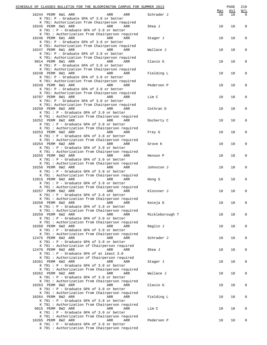|  | SCHEDULE OF CLASSES BULLETIN FOR THE BLOOMINGTON CAMPUS FOR SUMMER 2013<br>10244 PERM 6W1 ARR                                                                           | ARR        | ARR        | Schrader J      | Max<br>10 | PAGE<br>Avl<br>10 | 218<br>$\underline{W}/\underline{I}$<br>$\Omega$ |
|--|-------------------------------------------------------------------------------------------------------------------------------------------------------------------------|------------|------------|-----------------|-----------|-------------------|--------------------------------------------------|
|  | K 791: P - Graduate GPA of 3.0 or better<br>K 791: Authorization from Chairperson required<br>10245 PERM 6W1 ARR                                                        | ARR        | ARR        | Shea J          | 10        | 10                | $\mathbf 0$                                      |
|  | K 791 : P - Graduate GPA of 3.0 or better<br>K 791 : Authorization from Chairperson required                                                                            |            |            |                 |           |                   |                                                  |
|  | 10246 PERM 6W1 ARR<br>K 791: P - Graduate GPA of 3.0 or better<br>K 791: Authorization from Chairperson required                                                        | ARR        | <b>ARR</b> | Stager J        | 10        | 10                | $\mathbf 0$                                      |
|  | 10247 PERM 6W1 ARR<br>K 791: P - Graduate GPA of 3.0 or better<br>K 791: Authorization from Chairperson required                                                        | <b>ARR</b> | ARR        | Wallace J       | 10        | 10                | 0                                                |
|  | 9014 PERM 8W1 ARR<br>K 791: P - Graduate GPA of 3.0 or better<br>K 791: Authorization from Chairperson required                                                         | ARR        | ARR        | Clavio G        | 10        | 10                | 0                                                |
|  | 10248 PERM 8W1 ARR<br>K 791: P - Graduate GPA of 3.0 or better                                                                                                          | ARR        | ARR        | Fielding L      | 10        | 10                | 0                                                |
|  | K 791: Authorization from Chairperson required<br>10249 PERM 8W1 ARR<br>K 791: P - Graduate GPA of 3.0 or better                                                        | ARR        | ARR        | Pedersen P      | 10        | 10                | $\mathbf 0$                                      |
|  | K 791: Authorization from Chairperson required<br>10707 PERM 8W1 ARR<br>K 791: P - Graduate GPA of 3.0 or better                                                        | <b>ARR</b> | ARR        | Lim C           | 10        | 10                | 0                                                |
|  | K 791: Authorization from Chairperson required<br>10250 PERM 6W2 ARR<br>K 791 : P - Graduate GPA of 3.0 or better                                                       | ARR        | ARR        | Cothran D       | 10        | 10                | 0                                                |
|  | K 791 : Authorization from Chairperson required<br>10252 PERM 6W2 ARR<br>K 791 : P - Graduate GPA of 3.0 or better                                                      | ARR        | ARR        | Docherty C      | 10        | 10                | $\mathbf 0$                                      |
|  | K 791 : Authorization from Chairperson required<br>10253 PERM 6W2 ARR<br>K 791 : P - Graduate GPA of 3.0 or better                                                      | ARR        | ARR        | Frey G          | 10        | 10                | $\mathbf 0$                                      |
|  | K 791 : Authorization from Chairperson required<br>10254 PERM 6W2 ARR<br>K 791 : P - Graduate GPA of 3.0 or better                                                      | <b>ARR</b> | ARR        | Grove K         | 10        | 10                | 0                                                |
|  | K 791 : Authorization from Chairperson required<br>10255 PERM 6W2 ARR<br>K 791 : P - Graduate GPA of 3.0 or better                                                      | ARR        | ARR        | Henson P        | 10        | 10                | 0                                                |
|  | K 791 : Authorization from Chairperson required<br>10256 PERM 6W2 ARR<br>K 791 : P - Graduate GPA of 3.0 or better                                                      | ARR        | ARR        | Johnston J      | 10        | 10                | 0                                                |
|  | K 791 : Authorization from Chairperson required<br>12815 PERM 6W2 ARR<br>K 791 : P - Graduate GPA of 3.0 or better                                                      | ARR        | ARR        | Hong S          | 10        | 10                | 0                                                |
|  | K 791 : Authorization from Chairperson required<br>10257 PERM 6W2 ARR<br>$K$ 791 : P - Graduate GPA of 3.0 or better                                                    | ARR        | ARR        | Klossner J      | 10        | 10                | 0                                                |
|  | K 791 : Authorization from Chairperson required<br>10258 PERM 6W2 ARR<br>K 791 : P - Graduate GPA of 3.0 or better                                                      | ARR        | ARR        | Koceja D        | 10        | 10                | 0                                                |
|  | K 791 : Authorization from Chairperson required<br>10259 PERM 6W2 ARR<br>K 791 : P - Graduate GPA of 3.0 or better                                                      | ARR        | ARR        | Mickleborough T | 10        | 10                | 0                                                |
|  | K 791 : Authorization from Chairperson required<br>10260 PERM 6W2 ARR<br>K 791 : P - Graduate GPA of 3.0 or better                                                      | ARR        | ARR        | Raglin J        | 10        | 10                | 0                                                |
|  | K 791 : Authorization from Chairperson required<br>12475 PERM 6W2 ARR<br>K 791 : P - Graduate GPA of 3.0 or better                                                      | ARR        | ARR        | Schrader J      | 10        | 10                | 0                                                |
|  | K 791 : Authorization of Chairperson required<br>12476 PERM 6W2 ARR<br>$K$ 791 : $P$ - Graduate GPA of at least 3.0                                                     | ARR        | ARR        | Shea J          | 10        | 10                | 0                                                |
|  | K 791 : Authorization of Chairperson required<br>10261 PERM 6W2 ARR<br>K 791 : P - Graduate GPA of 3.0 or better                                                        | ARR        | ARR        | Stager J        | 10        | 10                | 0                                                |
|  | K 791 : Authorization from Chairperson required<br>10262 PERM 6W2 ARR<br>$K$ 791 : P - Graduate GPA of 3.0 or better                                                    | ARR        | ARR        | Wallace J       | 10        | 10                | 0                                                |
|  | K 791 : Authorization from Chairperson required<br>10263 PERM 8W2 ARR<br>K 791 : P - Graduate GPA of 3.0 or better                                                      | ARR        | ARR        | Clavio G        | 10        | 10                | 0                                                |
|  | K 791 : Authorization from Chairperson required<br>10264 PERM 8W2 ARR<br>K 791 : P - Graduate GPA of 3.0 or better                                                      | ARR        | ARR        | Fielding L      | 10        | 10                | 0                                                |
|  | K 791 : Authorization from Chairperson required<br>9015 PERM 8W2 ARR<br>$K$ 791 : P - Graduate GPA of 3.0 or better                                                     | ARR        | ARR        | Lim C           | 10        | 10                | $\mathsf 0$                                      |
|  | K 791 : Authorization from Chairperson required<br>10265 PERM 8W2 ARR<br>$K$ 791 : P - Graduate GPA of 3.0 or better<br>K 791 : Authorization from Chairperson required | ARR        | ARR        | Pedersen P      | 10        | 10                |                                                  |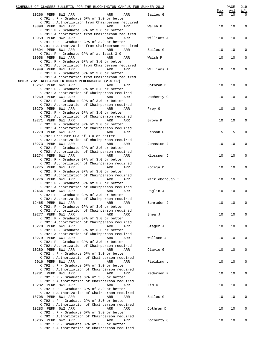| SCHEDULE OF CLASSES BULLETIN FOR THE BLOOMINGTON CAMPUS FOR SUMMER 2013                                              |     |                        | Max | PAGE<br>Avl | 219<br>W/L  |
|----------------------------------------------------------------------------------------------------------------------|-----|------------------------|-----|-------------|-------------|
| 10266 PERM 8W2 ARR<br>$K$ 791 : P - Graduate GPA of 3.0 or better<br>K 791 : Authorization from Chairperson required | ARR | Sailes G<br>ARR        | 10  | 10          | $\mathbf 0$ |
| 10898 PERM 8W1 ARR<br>K 791: P - Graduate GPA of 3.0 or better                                                       | ARR | ARR<br>Walsh P         | 10  | 10          | 0           |
| K 791: Authorization from Chairperson required<br>10959 PERM 8W2 ARR<br>K 791 : P - Graduate GPA of 3.0 or better    | ARR | ARR<br>Williams A      | 10  | 10          | 0           |
| K 791 : Authorization from Chairperson required<br>10894 PERM 8W1 ARR<br>K 791: P - Graduate GPA of at least 3.0     | ARR | <b>ARR</b><br>Sailes G | 10  | 10          | 0           |
| 10958 PERM 8W1 ARR<br>K 791: P - Graduate GPA of 3.0 or better<br>K 791: Authorization from Chairperson required     | ARR | Walsh P<br>ARR         | 10  | 10          | 0           |
| 12949 PERM 8W1 ARR<br>K 791: P - Graduate GPA of 3.0 or better<br>K 791: Authorization from Chairperson required     | ARR | ARR<br>Williams A      | 10  | 10          | 0           |
| SPH-K 792 RESEARCH IN HUMAN PERFORMANCE (2-5 CR)                                                                     |     |                        |     |             |             |
| 10267 PERM 6W1 ARR<br>K 792: P - Graduate GPA of 3.0 or better                                                       | ARR | Cothran D<br>ARR       | 10  | 10          | 0           |
| K 792: Authorization of Chairperson required<br>10269 PERM 6W1 ARR<br>K 792: P - Graduate GPA of 3.0 or better       | ARR | Docherty C<br>ARR      | 10  | 10          | 0           |
| K 792: Authorization of Chairperson required<br>10270 PERM 6W1 ARR<br>K 792: P - Graduate GPA of 3.0 or better       | ARR | ARR<br>Frey G          | 10  | 10          | 0           |
| K 792: Authorization of Chairperson required<br>10271 PERM 6W1 ARR<br>K 792: P - Graduate GPA of 3.0 or better       | ARR | ARR<br>Grove K         | 10  | 10          | 0           |
| K 792: Authorization of Chairperson required<br>12270 PERM 6W1 ARR<br>K 792: Graduate GPA of 3.0 or better           | ARR | ARR<br>Henson P        | 5   | 5           | $\mathbf 0$ |
| K 792: Authorization of chairperson required<br>10273 PERM 6W1 ARR<br>K 792: P - Graduate GPA of 3.0 or better       | ARR | ARR<br>Johnston J      | 10  | 10          | $\mathsf 0$ |
| K 792: Authorization of Chairperson required<br>10274 PERM 6W1 ARR<br>K 792: P - Graduate GPA of 3.0 or better       | ARR | ARR<br>Klossner J      | 10  | 10          | 0           |
| K 792: Authorization of Chairperson required<br>10275 PERM 6W1 ARR<br>K 792: P - Graduate GPA of 3.0 or better       | ARR | Koceja D<br>ARR        | 10  | 10          | 0           |
| K 792: Authorization of Chairperson required<br>10276 PERM 6W1 ARR<br>K 792: P - Graduate GPA of 3.0 or better       | ARR | ARR<br>Mickleborough T | 10  | 10          | 0           |
| K 792: Authorization of Chairperson required<br>12464 PERM 6W1 ARR<br>K 792: P - Graduate GPA of 3.0 or better       | ARR | ARR<br>Raglin J        | 10  | 10          | $\Omega$    |
| K 792: Authorization of Chairperson required<br>12465 PERM 6W1 ARR<br>K 792: P - Graduate GPA of 3.0 or better       | ARR | Schrader J<br>ARR      | 10  | 10          | 0           |
| K 792: Authorization of Chairperson required<br>10277 PERM 6W1 ARR<br>K 792: P - Graduate GPA of 3.0 or better       | ARR | Shea J<br>ARR          | 10  | 10          | 0           |
| K 792: Authorization of Chairperson required<br>10278 PERM 6W1 ARR<br>K 792: P - Graduate GPA of 3.0 or better       | ARR | ARR<br>Stager J        | 10  | 10          | 0           |
| K 792: Authorization of Chairperson required<br>10279 PERM 6W1 ARR<br>K 792: P - Graduate GPA of 3.0 or better       | ARR | Wallace J<br>ARR       | 10  | 10          | 0           |
| K 792: Authorization of Chairperson required<br>10280 PERM 8W1 ARR<br>K 792 : P - Graduate GPA of 3.0 or better      | ARR | Clavio G<br>ARR        | 10  | 10          | 0           |
| K 792 : Authorization of Chairperson required<br>9016 PERM 8W1 ARR<br>$K$ 792 : P - Graduate GPA of 3.0 or better    | ARR | Fielding L<br>ARR      | 10  | 10          | 0           |
| K 792 : Authorization of Chairperson required<br>10281 PERM 8W1 ARR<br>K 792 : P - Graduate GPA of 3.0 or better     | ARR | Pedersen P<br>ARR      | 10  | 10          | 0           |
| K 792 : Authorization of Chairperson required<br>10282 PERM 8W1 ARR<br>K 792 : P - Graduate GPA of 3.0 or better     | ARR | Lim C<br>ARR           | 10  | 10          | 0           |
| K 792 : Authorization of Chairperson required<br>10708 PERM 8W1 ARR<br>K 792 : P - Graduate GPA of 3.0 or better     | ARR | Sailes G<br>ARR        | 10  | 10          | 0           |
| K 792 : Authorization of Chairperson required<br>10283 PERM 6W2 ARR<br>$K$ 792 : P - Graduate GPA of 3.0 or better   | ARR | Cothran D<br>ARR       | 10  | 10          | 0           |
| K 792 : Authorization of Chairperson required<br>10285 PERM 6W2 ARR<br>$K$ 792 : P - Graduate GPA of 3.0 or better   | ARR | Docherty C<br>ARR      | 10  | 10          |             |
| K 792 : Authorization of Chairperson required                                                                        |     |                        |     |             |             |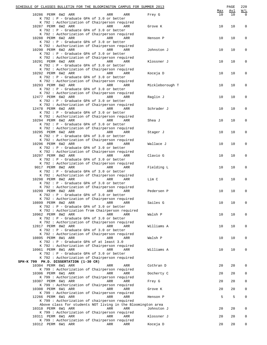|  | SCHEDULE OF CLASSES BULLETIN FOR THE BLOOMINGTON CAMPUS FOR SUMMER 2013                                              |            |            |                     |           | PAGE      | 220                              |
|--|----------------------------------------------------------------------------------------------------------------------|------------|------------|---------------------|-----------|-----------|----------------------------------|
|  | 10286 PERM 6W2 ARR<br>K 792 : P - Graduate GPA of 3.0 or better                                                      | ARR        | ARR        | Frey G              | Max<br>10 | Avl<br>10 | $\underline{W/L}$<br>$\mathbf 0$ |
|  | K 792 : Authorization of Chairperson required<br>10287 PERM 6W2 ARR<br>K 792 : P - Graduate GPA of 3.0 or better     | ARR        | ARR        | Grove K             | 10        | 10        | $\mathbf 0$                      |
|  | K 792 : Authorization of Chairperson required<br>10288 PERM 6W2 ARR<br>K 792 : P - Graduate GPA of 3.0 or better     | ARR        | ARR        | Henson P            | 10        | 10        | 0                                |
|  | K 792 : Authorization of Chairperson required<br>10290 PERM 6W2 ARR<br>K 792 : P - Graduate GPA of 3.0 or better     | <b>ARR</b> | ARR        | Johnston J          | 10        | 10        | 0                                |
|  | K 792 : Authorization of Chairperson required<br>10291 PERM 6W2 ARR<br>K 792 : P - Graduate GPA of 3.0 or better     | ARR        | ARR        | Klossner J          | 10        | 10        | 0                                |
|  | K 792 : Authorization of Chairperson required<br>10292 PERM 6W2 ARR<br>K 792 : P - Graduate GPA of 3.0 or better     | ARR        | ARR        | Koceja D            | 10        | 10        | 0                                |
|  | K 792 : Authorization of Chairperson required<br>10293 PERM 6W2 ARR<br>K 792 : P - Graduate GPA of 3.0 or better     | ARR        | ARR        | Mickleborough T     | 10        | 10        | 0                                |
|  | K 792 : Authorization of Chairperson required<br>12477 PERM 6W2 ARR<br>K 792 : P - Graduate GPA of 3.0 or better     | <b>ARR</b> | ARR        | Raglin J            | 10        | 10        | 0                                |
|  | K 792 : Authorization of Chairperson required<br>12478 PERM 6W2 ARR<br>K 792 : P - Graduate GPA of 3.0 or better     | ARR        | ARR        | Schrader J          | 10        | 10        | 0                                |
|  | K 792 : Authorization of Chairperson required<br>10294 PERM 6W2 ARR<br>K 792 : P - Graduate GPA of 3.0 or better     | ARR        | ARR        | Shea J              | 10        | 10        | 0                                |
|  | K 792 : Authorization of Chairperson required<br>10295 PERM 6W2 ARR<br>K 792 : P - Graduate GPA of 3.0 or better     | ARR        | ARR        | Stager J            | 10        | 10        | 0                                |
|  | K 792 : Authorization of Chairperson required<br>10296 PERM 6W2 ARR<br>K 792 : P - Graduate GPA of 3.0 or better     | ARR        | ARR        | Wallace J           | 10        | 10        | 0                                |
|  | K 792 : Authorization of Chairperson required<br>10297 PERM 8W2 ARR<br>K 792 : P - Graduate GPA of 3.0 or better     | ARR        | ARR        | Clavio G            | 10        | 10        | 0                                |
|  | K 792 : Authorization of Chairperson required<br>9017 PERM 8W2 ARR<br>K 792 : P - Graduate GPA of 3.0 or better      | ARR        | ARR        | Fielding L          | 10        | 10        | 0                                |
|  | K 792 : Authorization of Chairperson required<br>10298 PERM 8W2 ARR<br>K 792 : P - Graduate GPA of 3.0 or better     | ARR        | ARR        | Lim C               | 10        | 10        | $\mathbf 0$                      |
|  | K 792 : Authorization of Chairperson required<br>10299 PERM 8W2 ARR<br>K 792 : P - Graduate GPA of 3.0 or better     | ARR        | ARR        | Pedersen P          | 10        | 10        | 0                                |
|  | K 792 : Authorization of Chairperson required<br>10899 PERM 8W2 ARR<br>K 792 : P - Graduate GPA of 3.0 or better     | ARR        | ARR        | Sailes G            | 10        | 10        | 0                                |
|  | K 792 : Authorization from Chairperson required<br>10962 PERM 8W2 ARR<br>K 792 : P - Graduate GPA of 3.0 or better   | ARR        | ARR        | Walsh P             | 10        | 10        | 0                                |
|  | K 792 : Authorization of Chairperson required<br>12817 PERM 8W2 ARR<br>K 792 : P - Graduate GPA of 3.0 or better     | ARR        | ARR        | Williams A          | 10        | 10        | 0                                |
|  | K 792 : Authorization of Chairperson required<br>10895 PERM 8W1 ARR<br>K 792 : P - Graduate GPA of at least 3.0      | ARR        | ARR        | Walsh P             | 10        | 10        | 0                                |
|  | K 792 : Authorization of Chairperson required<br>10961 PERM 8W1 ARR<br>K 792 : P - Graduate GPA of 3.0 or better     | ARR        | ARR        | Williams A          | 10        | 10        | 0                                |
|  | K 792 : Authorization of Chairperson required<br>SPH-K 799 PH.D. DISSERTATION (1-30 CR)                              |            |            |                     |           |           |                                  |
|  | 10304 PERM 6W1 ARR                                                                                                   | ARR        | ARR        | Cothran D           | 20        | 20        | 0                                |
|  | K 799 : Authorization of Chairperson required<br>10306 PERM 6W1 ARR<br>K 799 : Authorization of Chairperson required | ARR        | ARR        | Docherty C          | 20        | 20        | 0                                |
|  | 10307 PERM 6W1 ARR<br>K 799 : Authorization of Chairperson required                                                  | ARR        | ARR        | Frey G              | 20        | 20        | 0                                |
|  | 10308 PERM 6W1 ARR<br>K 799 : Authorization of Chairperson required<br>12266 PERM 6W1 ARR                            | ARR<br>ARR | ARR<br>ARR | Grove K<br>Henson P | 20<br>5   | 20<br>5   | 0<br>0                           |
|  | K 799 : Authorization of chairperson required<br>Above class for students NOT living in the Bloomington area         |            |            |                     |           |           |                                  |
|  | 10310 PERM 6W1 ARR<br>K 799 : Authorization of Chairperson required                                                  | ARR        | ARR        | Johnston J          | 20        | 20        | 0                                |
|  | 10311 PERM 6W1 ARR<br>K 799 : Authorization of Chairperson required                                                  | ARR<br>ARR | ARR<br>ARR | Klossner J          | 20<br>20  | 20<br>20  | 0<br>0                           |
|  | 10312 PERM 6W1 ARR                                                                                                   |            |            | Koceja D            |           |           |                                  |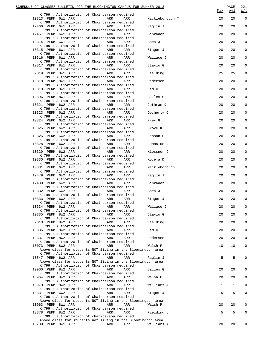| SCHEDULE OF CLASSES BULLETIN FOR THE BLOOMINGTON CAMPUS FOR SUMMER 2013                                              |                         |     |                 | Max | PAGE<br><u>Avl</u> | 221<br>$\underline{W}/\underline{L}$ |
|----------------------------------------------------------------------------------------------------------------------|-------------------------|-----|-----------------|-----|--------------------|--------------------------------------|
| K 799 : Authorization of Chairperson required<br>10313 PERM 6W1 ARR                                                  | <b>Example 21 ARR</b>   | ARR | Mickleborough T | 20  | 20                 | $\mathbf 0$                          |
| K 799 : Authorization of Chairperson required<br>12466 PERM 6W1 ARR<br>K 799 : Authorization of Chairperson required | <b>Example 2018</b> ARR | ARR | Raglin J        | 20  | 20                 | $\mathbf 0$                          |
| 12467 PERM 6W1 ARR<br>K 799 : Authorization of Chairperson required                                                  | ARR                     | ARR | Schrader J      | 20  | 20                 | $\mathbf 0$                          |
| 10314 PERM 6W1 ARR<br>K 799 : Authorization of Chairperson required                                                  | <b>Example 2018</b> ARR | ARR | Shea J          | 20  | 20                 | $\mathbf 0$                          |
| 10315 PERM 6W1 ARR<br>K 799 : Authorization of Chairperson required                                                  | <b>Example 2018</b> ARR | ARR | Stager J        | 20  | 20                 | $\mathbf 0$                          |
| 10316 PERM 6W1 ARR<br>K 799 : Authorization of Chairperson required                                                  | <b>Example 2018</b> ARR | ARR | Wallace J       | 20  | 20                 | $\mathbf 0$                          |
| 10317 PERM 8W1 ARR<br>K 799 : Authorization of Chairperson required                                                  | <b>Example 2018</b> ARR | ARR | Clavio G        | 20  | 20                 | $\mathbf 0$                          |
| 9019 PERM 8W1 ARR<br>K 799 : Authorization of Chairperson required                                                   | <b>Example 2018</b> ARR | ARR | Fielding L      | 25  | 25                 | $\mathbf 0$                          |
| 10318 PERM 8W1 ARR<br>K 799 : Authorization of Chairperson required                                                  | <b>Example 2018</b> ARR | ARR | Pedersen P      | 20  | 20                 | $\mathbf 0$                          |
| 10319 PERM 8W1 ARR                                                                                                   | <b>Example 2018</b> ARR | ARR | Lim C           | 20  | 20                 | $\mathbf 0$                          |
| K 799 : Authorization of Chairperson required<br>10896 PERM 8W1 ARR<br>K 799 : Authorization of Chairperson required | <b>Example 2018</b> ARR | ARR | Sailes G        | 20  | 20                 | $\mathbf 0$                          |
| 10321 PERM 6W2 ARR                                                                                                   | <b>Example 2018</b>     | ARR | Cothran D       | 20  | 20                 | $\mathbf 0$                          |
| K 799 : Authorization of Chairperson required<br>10323 PERM 6W2 ARR                                                  | <b>Example 2018</b> ARR | ARR | Docherty C      | 20  | 20                 | $\mathbf 0$                          |
| K 799 : Authorization of Chairperson required<br>10324 PERM 6W2 ARR                                                  | <b>Example 21 ARR</b>   | ARR | Frey G          | 20  | 20                 | $\mathbf 0$                          |
| K 799 : Authorization of Chairperson required<br>10325 PERM 6W2 ARR                                                  | <b>Example 2018</b> ARR | ARR | Grove K         | 20  | 20                 | $\mathbf 0$                          |
| K 799 : Authorization of Chairperson required<br>10326 PERM 6W2 ARR                                                  | <b>Example 21 ARR</b>   | ARR | Henson P        | 20  | 20                 | $\mathbf 0$                          |
| K 799 : Authorization of Chairperson required<br>10328 PERM 6W2 ARR                                                  | <b>Example 2018</b> ARR | ARR | Johnston J      | 20  | 20                 | 0                                    |
| K 799 : Authorization of Chairperson required<br>10329 PERM 6W2 ARR                                                  | ARR                     | ARR | Klossner J      | 20  | 20                 | $\mathbf 0$                          |
| K 799 : Authorization of Chairperson required<br>10330 PERM 6W2 ARR                                                  | <b>Example 2018</b> ARR | ARR | Koceja D        | 20  | 20                 | 0                                    |
| K 799 : Authorization of Chairperson required<br>10331 PERM 6W2 ARR                                                  | ARR                     | ARR | Mickleborough T | 20  | 20                 | 0                                    |
| K 799 : Authorization of Chairperson required<br>12479 PERM 6W2 ARR                                                  | <b>Example 2018</b> ARR | ARR | Raglin J        | 20  | 20                 | $\mathbf 0$                          |
| K 799 : Authorization of Chairperson required<br>12480 PERM 6W2 ARR                                                  | ARR                     | ARR | Schrader J      | 20  | 20                 | 0                                    |
| K 799 : Authorization of Chairperson required<br>10332 PERM 6W2 ARR                                                  | ARR                     | ARR | Shea J          | 20  | 20                 | $\mathbf 0$                          |
| K 799 : Authorization of Chairperson required<br>10333 PERM 6W2 ARR                                                  | ARR ARR                 |     | Stager J        | 20  | 20                 | $\Omega$                             |
| K 799 : Authorization of Chairperson required<br>10334 PERM 6W2 ARR                                                  | <b>Example 2018</b> ARR | ARR | Wallace J       | 20  | 20                 | 0                                    |
| K 799 : Authorization of Chairperson required<br>10335 PERM 8W2 ARR                                                  | ARR                     | ARR | Clavio G        | 20  | 20                 | 0                                    |
| K 799 : Authorization of Chairperson required<br>9018 PERM 8W2 ARR                                                   | ARR                     | ARR | Fielding L      | 20  | 20                 | 0                                    |
| K 799 : Authorization of Chairperson required<br>10336 PERM 8W2 ARR                                                  | ARR                     | ARR | Lim C           | 20  | 20                 | $\mathbf 0$                          |
| K 799 : Authorization of Chairperson required<br>10337 PERM 8W2 ARR                                                  | ARR                     | ARR | Pedersen P      | 20  | 20                 | 0                                    |
| K 799 : Authorization of Chairperson required<br>10073 PERM 8W2 ARR                                                  | ARR                     | ARR | Walsh P         | 10  | 10                 | 0                                    |
| Above class for students NOT living in the Bloomington area<br>K 799 : Authorization of Chairperson required         |                         |     |                 |     | 5                  | $\Omega$                             |
| 10547 PERM 6W2 ARR<br>Above class for students NOT living in the Bloomington area                                    | ARR                     | ARR | Raglin J        | 5   |                    |                                      |
| K 799 : Authorization of Chairperson required<br>10900 PERM 8W2 ARR                                                  | ARR                     | ARR | Sailes G        | 20  | 20                 | 0                                    |
| K 799 : Authorization of Chairperson required<br>10964 PERM 8W2 ARR                                                  | ARR                     | ARR | Walsh P         | 20  | 20                 | 0                                    |
| K 799 : Authorization of Chairperson required<br>10970 PERM 8W2 ARR                                                  | ARR                     | ARR | Williams A      | 1   | 1                  | 0                                    |
| K 799 : Authorization of Chairperson required<br>13331 PERM 6W2 ARR                                                  | ARR                     | ARR | Stager J        | 5   | 5                  | $\mathbf 0$                          |
| K 799 : Authorization of Chairperson required<br>Above class for students NOT living in the Bloomington area         |                         |     |                 |     |                    |                                      |
| 10963 PERM 8W1 ARR<br>K 799 : Authorization of Chairperson required                                                  | ARR                     | ARR | Walsh P         | 20  | 20                 | 0                                    |
| 13378 PERM 8W2 ARR<br>K 799 : authorization of chariperson required                                                  | ARR                     | ARR | Fielding L      | 5   | 5                  | $\Omega$                             |
| Above class for students not living in the Bloomington area<br>10709 PERM 8W1 ARR                                    | ARR                     | ARR | Williams A      | 20  | 20                 | $\mathbf 0$                          |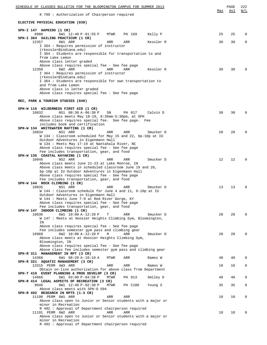| SCHEDULE OF CLASSES BULLETIN FOR THE BLOOMINGTON CAMPUS FOR SUMMER 2013                                              |     | PAGE | 222          |
|----------------------------------------------------------------------------------------------------------------------|-----|------|--------------|
| K 799 : Authorization of Chairperson required                                                                        | Max | Avl  | W/L          |
| ELECTIVE PHYSICAL EDUCATION (030)                                                                                    |     |      |              |
| SPH-I 147 HAPKIDO (1 CR)                                                                                             |     |      |              |
| 8988<br>6W1 12:40 P-01:55 P<br>MTWR<br>PH 169<br>Kelly P<br>SPH-I 364 SAILING PRACTICUM (1 CR)                       | 25  | 25   | $\Omega$     |
| 12357<br>8W1 ARR<br>ARR<br>ARR<br>Kessler R                                                                          | 30  | 30   | 0            |
| I 364 : Requires permission of instructor<br>(rkessler@indiana.edu)                                                  |     |      |              |
| I 364 : Students are responsible for transportation to and<br>from Lake Lemon                                        |     |      |              |
| Above class letter graded                                                                                            |     |      |              |
| Above class requires special fee - See fee page<br>6W2 ARR<br>12358<br>ARR<br>ARR<br>Kessler R                       | 30  | 30   |              |
| I 364 : Requires permission of instructor                                                                            |     |      |              |
| (rkessler@indiana.edu)<br>I 364 : Students are responsible for own transportation to                                 |     |      |              |
| and from Lake Lemon<br>Above class is letter graded                                                                  |     |      |              |
| Above class requires special fee - See fee page                                                                      |     |      |              |
| REC, PARK & TOURISM STUDIES (040)                                                                                    |     |      |              |
| SPH-W 116 WILDERNESS FIRST AID (1 CR)                                                                                |     |      |              |
| 10832<br>NS1 08:30 A-06:30 P<br>SN<br>PH 017<br>Calvin D                                                             | 30  | 30   | $\Omega$     |
| Above class meets May 18-19, 8:30am-5:30pm, at SPH<br>Above class requires special fee. See fee page. Fee            |     |      |              |
| includes book and certification                                                                                      |     |      |              |
| SPH-W 134 WHITEWATER RAFTING (1 CR)<br>10834<br>NS1 ARR<br>ARR<br>ARR<br>Smucker D                                   | 20  | 20   | $\Omega$     |
| W 134 : Classroom scheduled for May 15 and 22, 6p-10p at IU                                                          |     |      |              |
| Outdoor Adventures in Eigenmann Hall<br>W 134 : Meets May 17-19 at Nantahala River, NC                               |     |      |              |
| Above class requires special fee - See fee page<br>Fee includes transportation, gear, and food                       |     |      |              |
| SPH-W 136 COASTAL KAYAKING (1 CR)                                                                                    |     |      |              |
| 10846<br>NS2 ARR<br>ARR<br>ARR<br>Smucker D<br>Above class meets June 21-23 at Lake Monroe, IN                       | 12  | 12   | $\Omega$     |
| Above class meets in scheduled classroom June 19 and 26,                                                             |     |      |              |
| 6p-10p at IU Outdoor Adventures in Eigenmann Hall<br>Above class requires special fee - See fee page                 |     |      |              |
| Fee includes transportation, gear, and food<br>SPH-W 144 ROCK CLIMBING (1 CR)                                        |     |      |              |
| 10835<br>NS1 ARR<br>ARR<br>ARR<br>Smucker D                                                                          | 13  | 13   | $\Omega$     |
| W 144 : Classroom schedule for June 4 and 11, 6-10p at IU<br>Outdoor Adventures in Eigenmann Hall                    |     |      |              |
| W 144 : Meets June 7-9 at Red River Gorge, KY                                                                        |     |      |              |
| Above class requires special fee - See fee page<br>Fee includes transportation, gear, and food                       |     |      |              |
| SPH-W 147 INDOOR CLIMBING (1 CR)                                                                                     |     |      |              |
| 10836<br>6W1 10:00 A-12:20 P<br>т<br>ARR<br>Smucker D<br>W 147 : Meets at Hoosier Heights Climbing Gym, Bloomington, | 20  | 20   | $\Omega$     |
| ΙN<br>Above class requires special fee - See fee page                                                                |     |      |              |
| Fee includes semester gym pass and climbing gear                                                                     |     |      |              |
| 10969<br>6W2 10:00 A-12:20 P<br>M<br>ARR<br>Smucker D<br>Above class meets at Hoosier Heights Climbing Gym,          | 20  | 20   | <sup>0</sup> |
| Bloomington, IN                                                                                                      |     |      |              |
| Above class requires special fee - See fee page<br>Above class fee includes semester gym pass and climbing gear      |     |      |              |
| SPH-R 311 MANAGEMENT IN RPT (3 CR)<br>6W1 08:20 A-10:10 A<br>14368<br>MTWR<br>ARR<br>Ramos W                         | 40  | 40   | $\Omega$     |
| SPH-R 321 AQUATIC MANAGEMENT (3 CR)                                                                                  |     |      |              |
| 13315 PERM 4W3 ARR<br>ARR<br>ARR<br>Ramos W<br>Obtain on-line authorization for above class from Department          | 10  | 10   | 0            |
| SPH-T 410 EVENT PLANNING & PROG DEVELOP (3 CR)                                                                       |     |      |              |
| 14666<br>6W1 03:00 P-04:50 P<br>PH 013<br>Smiley D<br>MTWR<br>SPH-R 414 LEGAL ASPECTS OF RECREATION (3 CR)           | 40  | 40   | 0            |
| 9046<br>6W1 12:40 P-02:30 P<br>MTWR<br>PH C100<br>Young S<br>Above class meets with SPH-0 594                        | 35  | 35   | 0            |
| SPH-R 492 RESEARCH IN RPTS (1-3 CR)                                                                                  |     |      |              |
| 11190 PERM 6W1 ARR<br>ARR<br>ARR<br>Above class open to Junior or Senior students with a major or                    | 10  | 10   | 0            |
| minor in Recreation                                                                                                  |     |      |              |
| R 492 : Approval of Department chairperson required<br>11191 PERM 6W2 ARR<br>ARR<br>ARR                              | 10  | 10   | $\Omega$     |
| Above class open to Junior or Senior students with a major or                                                        |     |      |              |
| minor in Recreation<br>R 492 : Approval of Department chairperson required                                           |     |      |              |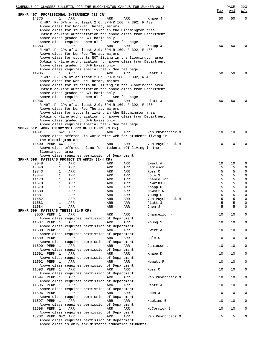| SCHEDULE OF CLASSES BULLETIN FOR THE BLOOMINGTON CAMPUS FOR SUMMER 2013                               |            |            |                           | Max    | $\mathop{\mathtt{PAGE}}$<br><u>Avl</u> | 223<br><u>W/L</u> |
|-------------------------------------------------------------------------------------------------------|------------|------------|---------------------------|--------|----------------------------------------|-------------------|
| SPH-R 497 PROFESSIONAL INTERNSHIP (12 CR)<br>14375<br>1                                               |            |            |                           | 50     | 50                                     | $\mathbf 0$       |
| ARR<br>R 497: P- GPA of at least 2.0; SPH-R 160, R 392, R 430                                         | ARR        | <b>ARR</b> | Knapp J                   |        |                                        |                   |
| Above class for Non-Rec Therapy majors                                                                |            |            |                           |        |                                        |                   |
| Above class for students living in the Bloomington area                                               |            |            |                           |        |                                        |                   |
| Obtain on-line authorization for above class from Department                                          |            |            |                           |        |                                        |                   |
| Above class graded on S/F basis only                                                                  |            |            |                           |        |                                        |                   |
| Above class requires special fee - See fee page                                                       |            |            |                           |        |                                        |                   |
| $\mathbf{1}$<br>ARR<br>14383                                                                          | ARR        | ARR        | Knapp J                   | 50     | 50                                     |                   |
| R 497: P- GPA of at least 2.0; SPH-R 160, R 392, R 430                                                |            |            |                           |        |                                        |                   |
| Above class for Non-Rec Therapy majors<br>Above class for students NOT living in the Bloomington area |            |            |                           |        |                                        |                   |
| Obtain on-line authorization for above class from Department                                          |            |            |                           |        |                                        |                   |
| Above class graded on S/F basis only                                                                  |            |            |                           |        |                                        |                   |
| Above class requires special fee - See fee page                                                       |            |            |                           |        |                                        |                   |
| 14935<br>1<br>ARR                                                                                     | <b>ARR</b> | ARR        | Piatt J                   | 50     | 50                                     |                   |
| R 497: P- GPA of at least 2.0; SPH-R 160, R 392, R 430                                                |            |            |                           |        |                                        |                   |
| Above class for Non-Rec Therapy majors                                                                |            |            |                           |        |                                        |                   |
| Above class for students NOT living in the Bloomington area                                           |            |            |                           |        |                                        |                   |
| Obtain on-line authorization for above class from Department<br>Above class graded on S/F basis only  |            |            |                           |        |                                        |                   |
| Above class requires special fee - See fee page                                                       |            |            |                           |        |                                        |                   |
| 14936<br>$\mathbf{1}$<br>ARR                                                                          | ARR        | ARR        | Piatt J                   | 50     | 50                                     |                   |
| R 497: P- GPA of at least 2.0; SPH-R 160, R 392, R 430                                                |            |            |                           |        |                                        |                   |
| Above class for Non-Rec Therapy majors                                                                |            |            |                           |        |                                        |                   |
| Above class for students living in the Bloomington area                                               |            |            |                           |        |                                        |                   |
| Obtain on-line authorization for above class from Department                                          |            |            |                           |        |                                        |                   |
| Above class graded on S/F basis only                                                                  |            |            |                           |        |                                        |                   |
| Above class requires special fee - See fee page                                                       |            |            |                           |        |                                        |                   |
| SPH-R 512 ADMN THEORY/MGT PRC OF LEISURE (3 CR)                                                       |            |            |                           |        |                                        |                   |
| 14391<br>6W1 ARR                                                                                      | ARR        | ARR        | Van Puymbroeck M          | 10     | 10                                     | O                 |
| Above class offered via World Wide Web for students living in                                         |            |            |                           |        |                                        |                   |
| the Bloomington area<br>14400 PERM 6W1 ARR                                                            | ARR        | ARR        | Van Puymbroeck M          | 10     | 10                                     | O                 |
| Above class offered online for students NOT living in the                                             |            |            |                           |        |                                        |                   |
| Bloomington area                                                                                      |            |            |                           |        |                                        |                   |
| Above class requires permission of Department                                                         |            |            |                           |        |                                        |                   |
| SPH-R 598 MASTER'S PROJECT IN ADMIN (2-4 CR)                                                          |            |            |                           |        |                                        |                   |
| 9048<br>1<br>ARR                                                                                      | ARR        | ARR        | Ewert A                   | 10     | 10                                     | 0                 |
| 10840<br>1<br>ARR                                                                                     | ARR        | ARR        | Jamieson L                | 5      | 5                                      | 0                 |
| 10843<br>1<br>ARR                                                                                     | ARR        | ARR        | Ross C                    | 5      | 5                                      | 0                 |
| 10844<br>1<br>ARR<br>$\mathbf{1}$                                                                     | ARR        | ARR        | Cole S                    | 5<br>5 | 5<br>5                                 | 0                 |
| 11173<br>ARR<br>11578<br>1<br>ARR                                                                     | ARR<br>ARR | ARR<br>ARR | Chancellor H<br>Hawkins B | 5      | 5                                      | 0<br>0            |
| $\mathbf{1}$<br>11579<br>ARR                                                                          | ARR        | ARR        | Knapp D                   | 5      | 5                                      | 0                 |
| 11580<br>1<br>ARR                                                                                     | ARR        | ARR        | Mowatt R                  | 5      | 5                                      | 0                 |
| $\mathbf{1}$<br>11581<br>ARR                                                                          | ARR        | ARR        | Young S                   | 5      | 5                                      | O                 |
| 11582<br>1<br>ARR                                                                                     | ARR        | ARR        | Van Puymbroeck M          | 5      | 5                                      | $\Omega$          |
| $\mathbf{1}$<br>11583<br>ARR                                                                          | ARR        | ARR        | Piatt J                   | 5      | 5                                      | 0                 |
| $\mathbf 1$<br>11584<br>ARR                                                                           | ARR        | ARR        | Chen J                    | 5      | 5                                      | 0                 |
| SPH-R 599 MASTER'S THESIS (1-5 CR)                                                                    |            |            |                           |        |                                        |                   |
| 9050 PERM 1<br>ARR                                                                                    | ARR        | ARR        | Chancellor H              | 10     | 10                                     | 0                 |
| Above class requires permission of Department<br>11587 PERM 1<br>ARR                                  | ARR        | ARR        |                           | 10     | 10                                     | 0                 |
| Above class requires permission of Department                                                         |            |            | Young S                   |        |                                        |                   |
| 11588 PERM 1<br>ARR                                                                                   | ARR        | ARR        | Ewert A                   | 10     | 10                                     | 0                 |
| Above class requires permission of Department                                                         |            |            |                           |        |                                        |                   |
| 11589 PERM 1<br>ARR                                                                                   | ARR        | ARR        | Cole S                    | 10     | 10                                     | 0                 |
| Above class requires permission of Department                                                         |            |            |                           |        |                                        |                   |
| 11590 PERM 1<br>ARR                                                                                   | ARR        | ARR        | Jamieson L                | 10     | 10                                     | 0                 |
| Above class requires permission of Department                                                         |            |            |                           |        |                                        |                   |
| 11591 PERM 1<br>ARR                                                                                   | ARR        | ARR        | Knapp D                   | 10     | 10                                     | 0                 |
| Above class requires permission of Department                                                         |            |            |                           |        |                                        |                   |
| 11592 PERM 1<br>ARR                                                                                   | ARR        | ARR        | Mowatt R                  | 10     | 10                                     | 0                 |
| Above class requires permission of Department<br>ARR                                                  | ARR        | ARR        | Ross C                    | 10     | 10                                     | 0                 |
| 11593 PERM 1<br>Above class requires permission of Department                                         |            |            |                           |        |                                        |                   |
| 11594 PERM 1<br>ARR                                                                                   | ARR        | ARR        | Van Puymbroeck M          | 10     | 10                                     | 0                 |
| Above class requires permission of Department                                                         |            |            |                           |        |                                        |                   |
| 11595 PERM 1<br>ARR                                                                                   | ARR        | ARR        | Piatt J                   | 10     | 10                                     | 0                 |
| Above class requires permission of Department                                                         |            |            |                           |        |                                        |                   |
| 11596 PERM 1<br>ARR                                                                                   | ARR        | ARR        | Chen J                    | 10     | 10                                     | 0                 |
| Above class requires permission of Department                                                         |            |            |                           |        |                                        |                   |
| 11597 PERM 1<br>ARR                                                                                   | ARR        | ARR        | Hawkins B                 | 10     | 10                                     | 0                 |
| Above class requires permission of Department                                                         |            |            |                           |        |                                        |                   |
| 11598 PERM 1<br>ARR                                                                                   | ARR        | ARR        | McCormick B               | 10     | 10                                     | 0                 |
| Above class requires permission of Department                                                         |            |            |                           | 5      | 5                                      | $\mathbf 0$       |
| 13202 PERM 6W2 ARR<br>Above class requires permission of Department                                   | ARR        | ARR        | Van Puymbroeck M          |        |                                        |                   |
| Above class is only for distance education students                                                   |            |            |                           |        |                                        |                   |
|                                                                                                       |            |            |                           |        |                                        |                   |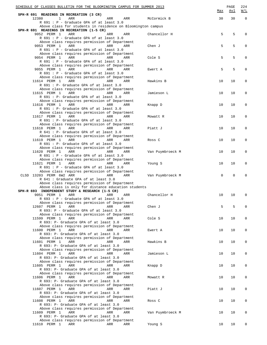| SCHEDULE OF CLASSES BULLETIN FOR THE BLOOMINGTON CAMPUS FOR SUMMER 2013                                  |                  | Max          | PAGE<br><u>Avl</u> | 224<br>W/L  |
|----------------------------------------------------------------------------------------------------------|------------------|--------------|--------------------|-------------|
| SPH-R 691 READINGS IN RECREATION (3 CR)<br>$\mathbf{1}$<br>12380<br>ARR<br>ARR<br>ARR                    | McCormick B      | 30           | 30                 | $\mathbf 0$ |
| R 691 : P - Graduate GPA of at least 3.0                                                                 |                  |              |                    |             |
| Above class for students in residence on Bloomington campus<br>SPH-R 691 READINGS IN RECREATION (1-5 CR) |                  |              |                    |             |
| 9052 PERM 1<br>ARR<br>ARR<br>ARR                                                                         | Chancellor H     | 5            | 5                  | 0           |
| R 691 : P - Graduate GPA of at least 3.0                                                                 |                  |              |                    |             |
| Above class requires permission of Department                                                            |                  |              |                    |             |
| 9053 PERM 1<br>ARR<br>ARR<br>ARR<br>R 691 : P - Graduate GPA of at least 3.0                             | Chen J           | 5            | 5                  | 0           |
| Above class requires permission of Department                                                            |                  |              |                    |             |
| 9054 PERM 1<br>ARR<br>ARR<br>ARR                                                                         | Cole S           | 5            | 5                  | 0           |
| R 691 : P - Graduate GPA of at least 3.0<br>Above class requires permission of Department                |                  |              |                    |             |
| 9055 PERM 1<br>ARR<br>ARR<br>ARR                                                                         | Ewert A          | 5            | 5                  | 0           |
| R 691 : P - Graduate GPA of at least 3.0                                                                 |                  |              |                    |             |
| Above class requires permission of Department                                                            |                  |              |                    |             |
| 11614 PERM 1<br>ARR<br>ARR<br>ARR<br>R 691 : P- Graduate GPA of at least 3.0                             | Hawkins B        | 10           | 10                 | 0           |
| Above class requires permission of Department                                                            |                  |              |                    |             |
| 11615 PERM 1<br>ARR<br>ARR<br>ARR                                                                        | Jamieson L       | 10           | 10                 | 0           |
| R 691 : P- Graduate GPA of at least 3.0<br>Above class requires permission of Department                 |                  |              |                    |             |
| 11616 PERM 1<br>ARR<br>ARR<br>ARR                                                                        | Knapp D          | 10           | 10                 | 0           |
| R 691 : P- Graduate GPA of at least 3.0                                                                  |                  |              |                    |             |
| Above class requires permission of Department                                                            |                  |              |                    |             |
| 11617 PERM 1<br>ARR<br>ARR<br>ARR<br>R 691 : P- Graduate GPA of at least 3.0                             | Mowatt R         | 10           | 10                 | 0           |
| Above class requires permission of Department                                                            |                  |              |                    |             |
| 11618 PERM 1<br>ARR<br>ARR<br>ARR                                                                        | Piatt J          | 10           | 10                 | 0           |
| R 641 : P- Graduate GPA of at least 3.0                                                                  |                  |              |                    |             |
| Above class requires permission of Department<br>11619 PERM 1<br>ARR<br>ARR<br>ARR                       | Ross C           | 10           | 10                 | 0           |
| R 691 : P- Graduate GPA of at least 3.0                                                                  |                  |              |                    |             |
| Above class requires permission of Department                                                            |                  |              |                    |             |
| 11620 PERM 1<br>ARR<br>ARR<br>ARR                                                                        | Van Puymbroeck M | 10           | 10                 | 0           |
| R 691 : P - Graduate GPA of at least 3.0<br>Above class requires permission of Department                |                  |              |                    |             |
| 11621 PERM 1<br>ARR<br>ARR<br>ARR                                                                        | Young S          | 10           | 10                 | 0           |
| R 691 : P - Graduate GPA of at least 3.0                                                                 |                  |              |                    |             |
| Above class requires permission of Department<br>CLSD 13203 PERM 6W2 ARR<br>ARR                          |                  | $\mathbf{0}$ | $\Omega$           | O           |
| ARR<br>R 641 : Graduate GPA of at least 3.0                                                              | Van Puymbroeck M |              |                    |             |
| Above class requires permission of Department                                                            |                  |              |                    |             |
| Above class is only for distance education students                                                      |                  |              |                    |             |
| SPH-R 693 INDEPENDENT STUDY & RESEARCH (1-5 CR)<br>9051 PERM 1<br>ARR<br>ARR<br>ARR                      | Chancellor H     | 10           | 10                 | $\Omega$    |
| R 693 : P - Graduate GPA of at least 3.0                                                                 |                  |              |                    |             |
| Above class requires permission of Department                                                            |                  |              |                    |             |
| ARR<br>12607 PERM 1<br>ARR<br>ARR                                                                        | Chen J           | 5            | 5                  | 0           |
| R 693: P - Graduate GPA of at least 3.0<br>Above class requires permission of Department                 |                  |              |                    |             |
| 11599 PERM 1<br>ARR<br>ARR<br>ARR                                                                        | Cole S           | 10           | 10                 | 0           |
| R 693: P- Graduate GPA of at least 3.0                                                                   |                  |              |                    |             |
| Above class requires permission of Department<br>11600 PERM 1<br>ARR<br>ARR<br>ARR                       | Ewert A          | 10           | 10                 | 0           |
| R 693: P- Graduate GPA of at least 3.0                                                                   |                  |              |                    |             |
| Above class requires permission of Department                                                            |                  |              |                    |             |
| 11601 PERM 1<br>ARR<br>ARR<br>ARR<br>R 693: P- Graduate GPA of at least 3.0                              | Hawkins B        | 10           | 10                 | 0           |
| Above class requires permission of Department                                                            |                  |              |                    |             |
| ARR<br>11604 PERM 1<br>ARR<br>ARR                                                                        | Jamieson L       | 10           | 10                 | 0           |
| R 693: P- Graduate GPA of at least 3.0                                                                   |                  |              |                    |             |
| Above class requires permission of Department<br>11605 PERM 1<br>ARR<br>ARR<br>ARR                       | Knapp D          | 10           | 10                 | 0           |
| R 693: P- Graduate GPA of at least 3.0                                                                   |                  |              |                    |             |
| Above class requires permission of Department                                                            |                  |              |                    |             |
| 11606 PERM 1<br>ARR<br>ARR<br>ARR                                                                        | Mowatt R         | 10           | 10                 | 0           |
| R 693: P- Graduate GPA of at least 3.0<br>Above class requires permission of Department                  |                  |              |                    |             |
| 11607 PERM 1<br>ARR<br>ARR<br>ARR                                                                        | Piatt J          | 10           | 10                 | 0           |
| R 693: P- Graduate GPA of at least 3.0                                                                   |                  |              |                    |             |
| Above class requires permission of Department                                                            |                  |              |                    |             |
| 11608 PERM 1<br>ARR<br>ARR<br>ARR<br>R 693: P- Graduate GPA of at least 3.0                              | Ross C           | 10           | 10                 | 0           |
| Above class requires permission of Department                                                            |                  |              |                    |             |
| 11609 PERM 1<br>ARR<br>ARR<br>ARR                                                                        | Van Puymbroeck M | 10           | 10                 | 0           |
| R 693: P- Graduate GPA of at least 3.0<br>Above class requires permission of Department                  |                  |              |                    |             |
| 11610 PERM 1<br>ARR<br>ARR<br>ARR                                                                        | Young S          | 10           | 10                 | 0           |
|                                                                                                          |                  |              |                    |             |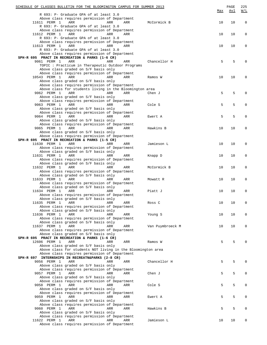| SCHEDULE OF CLASSES BULLETIN FOR THE BLOOMINGTON CAMPUS FOR SUMMER 2013                         |            |                  |     | PAGE | 225         |
|-------------------------------------------------------------------------------------------------|------------|------------------|-----|------|-------------|
| R 693: P- Graduate GPA of at least 3.0                                                          |            |                  | Max | Avl  | W/L         |
| Above class requires permission of Department                                                   |            |                  |     |      |             |
| 11611 PERM 1<br>ARR                                                                             | ARR<br>ARR | McCormick B      | 10  | 10   | $\mathbf 0$ |
| R 693: P- Graduate GPA of at least 3.0                                                          |            |                  |     |      |             |
| Above class requires permission of Department<br>11612 PERM 1<br>ARR                            | ARR<br>ARR |                  | 10  | 10   | $\mathbf 0$ |
| R 693: P- Graduate GPA of at least 3.0                                                          |            |                  |     |      |             |
| Above class requires permission of Department                                                   |            |                  |     |      |             |
| 11613 PERM 1<br>ARR                                                                             | ARR<br>ARR |                  | 10  | 10   | 0           |
| R 693: P- Graduate GPA of at least 3.0                                                          |            |                  |     |      |             |
| Above class requires permission of Department<br>SPH-R 695 PRACT IN RECREATION & PARKS (1-6 CR) |            |                  |     |      |             |
| 9061 PERM 1<br>ARR                                                                              | ARR<br>ARR | Chancellor H     | 5   | 5    | 0           |
| TOPIC : Practicum in Therapeutic Outdoor Programs                                               |            |                  |     |      |             |
| Above class graded on S/F basis only                                                            |            |                  |     |      |             |
| Above class requires permission of Department                                                   |            |                  |     |      |             |
| 10543 PERM 1<br>ARR<br>Above class graded on S/F basis only                                     | ARR<br>ARR | Ramos W          | 10  | 10   | 0           |
| Above class requires permission of Department                                                   |            |                  |     |      |             |
| Above class for students living in the Bloomington area                                         |            |                  |     |      |             |
| 9062 PERM 1<br>ARR                                                                              | ARR<br>ARR | Chen J           | 5   | 5    | 0           |
| Above class graded on S/F basis only                                                            |            |                  |     |      |             |
| Above class requires permission of Department<br>9063 PERM 1<br>ARR                             | ARR<br>ARR | Cole S           | 5   | 5    | 0           |
| Above class graded on S/F basis only                                                            |            |                  |     |      |             |
| Above class requires permission of Department                                                   |            |                  |     |      |             |
| 9064 PERM 1<br>ARR                                                                              | ARR<br>ARR | Ewert A          | 5   | 5    | 0           |
| Above class graded on S/F basis only                                                            |            |                  |     |      |             |
| Above class requires permission of Department<br>9065 PERM 1<br>ARR                             | ARR<br>ARR | Hawkins B        | 10  | 10   | 0           |
| Above class graded on S/F basis only                                                            |            |                  |     |      |             |
| Above class requires permission of Department                                                   |            |                  |     |      |             |
| SPH-R 695 PRACT IN RECREATION & PARKS (1-5 CR)                                                  |            |                  |     |      |             |
| 11630 PERM 1<br>ARR<br>Above class requires permission of Department                            | ARR<br>ARR | Jamieson L       | 10  | 10   | 0           |
| Above class graded on S/F basis only                                                            |            |                  |     |      |             |
| 11631 PERM 1<br>ARR                                                                             | ARR<br>ARR | Knapp D          | 10  | 10   | 0           |
| Above class requires permission of Department                                                   |            |                  |     |      |             |
| Above class graded on S/F basis only                                                            |            |                  |     |      |             |
| 11632 PERM 1<br>ARR<br>Above class requires permission of Department                            | ARR<br>ARR | McCormick B      | 10  | 10   | 0           |
| Above class graded on S/F basis only                                                            |            |                  |     |      |             |
| 11633 PERM 1<br>ARR                                                                             | ARR<br>ARR | Mowatt R         | 10  | 10   | 0           |
| Above class requires permission of Department                                                   |            |                  |     |      |             |
| Above class graded on S/F basis only                                                            |            |                  |     |      |             |
| 11634 PERM 1<br>ARR<br>Above class requires permission of Department                            | ARR<br>ARR | Piatt J          | 10  | 10   | 0           |
| Above class graded on S/F basis only                                                            |            |                  |     |      |             |
| 11635 PERM 1<br>ARR                                                                             | ARR<br>ARR | Ross C           | 10  | 10   | $\mathbf 0$ |
| Above class requires permission of Department                                                   |            |                  |     |      |             |
| Above class graded on S/F basis only                                                            |            |                  |     |      |             |
| 11636 PERM 1<br>ARR<br>Above class requires permission of Department                            | ARR<br>ARR | Young S          | 10  | 10   | 0           |
| Above class graded on S/F basis only                                                            |            |                  |     |      |             |
| 11637 PERM 1<br>ARR                                                                             | ARR<br>ARR | Van Puymbroeck M | 10  | 10   | 0           |
| Above class requires permission of Department                                                   |            |                  |     |      |             |
| Above class graded on S/F basis only<br>SPH-R 695 PRACT IN RECREATION & PARKS (1-6 CR)          |            |                  |     |      |             |
| 12606 PERM 1<br>ARR                                                                             | ARR<br>ARR | Ramos W          | 5   | 5    | 0           |
| Above class graded on S/F basis only                                                            |            |                  |     |      |             |
| Above class for students NOT living in the Bloomington area                                     |            |                  |     |      |             |
| Above class requires permission of Department                                                   |            |                  |     |      |             |
| SPH-R 697 INTERNSHIPS IN RECREATN&PARKS (2-8 CR)                                                |            |                  |     |      |             |
| 9056 PERM 1<br>ARR<br>Above class graded on S/F basis only                                      | ARR<br>ARR | Chancellor H     | 5   | 5    | $\Omega$    |
| Above class requires permission of Department                                                   |            |                  |     |      |             |
| 9057 PERM 1<br>ARR                                                                              | ARR<br>ARR | Chen J           | 5   | 5    | 0           |
| Above class graded on S/F basis only                                                            |            |                  |     |      |             |
| Above class requires permission of Department                                                   |            |                  |     |      |             |
| 9058 PERM 1<br>ARR<br>Above class graded on S/F basis only                                      | ARR<br>ARR | Cole S           | 5   | 5    | 0           |
| Above class requires permission of Department                                                   |            |                  |     |      |             |
| 9059 PERM 1<br>ARR                                                                              | ARR<br>ARR | Ewert A          | 5   | 5    | $\mathbf 0$ |
| Above class graded on S/F basis only                                                            |            |                  |     |      |             |
| Above class requires permission of Department                                                   |            |                  |     |      |             |
| 9060 PERM 1<br>ARR<br>Above class graded on S/F basis only                                      | ARR<br>ARR | Hawkins B        | 5   | 5    | 0           |
| Above class requires permission of Department                                                   |            |                  |     |      |             |
| 11622 PERM 1<br>ARR                                                                             | ARR<br>ARR | Jamieson L       | 10  | 10   | 0           |
| Above class requires permission of Department                                                   |            |                  |     |      |             |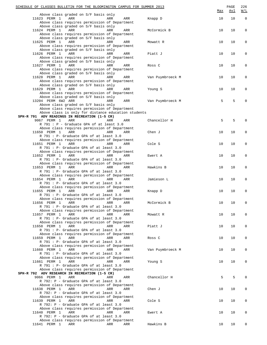| SCHEDULE OF CLASSES BULLETIN FOR THE BLOOMINGTON CAMPUS FOR SUMMER 2013                              |     |     |                  | Max | PAGE<br>Avl | 226<br>$\underline{\texttt{W}}/\texttt{L}$ |
|------------------------------------------------------------------------------------------------------|-----|-----|------------------|-----|-------------|--------------------------------------------|
| Above class graded on S/F basis only<br>11623 PERM 1<br>ARR                                          | ARR | ARR | Knapp D          | 10  | 10          | $\mathbf 0$                                |
| Above class requires permission of Department                                                        |     |     |                  |     |             |                                            |
| Above class graded on S/F basis only                                                                 |     |     |                  |     |             |                                            |
| 11624 PERM 1<br>ARR<br>Above class requires permission of Department                                 | ARR | ARR | McCormick B      | 10  | 10          | $\mathbf 0$                                |
| Above class graded on S/F basis only                                                                 |     |     |                  |     |             |                                            |
| 11625 PERM 1<br>ARR                                                                                  | ARR | ARR | Mowatt R         | 10  | 10          |                                            |
| Above class requires permission of Department<br>Above class graded on S/F basis only                |     |     |                  |     |             |                                            |
| 11626 PERM 1<br>ARR                                                                                  | ARR | ARR | Piatt J          | 10  | 10          | $\Omega$                                   |
| Above class requires permission of Department                                                        |     |     |                  |     |             |                                            |
| Above class graded on S/F basis only<br>11627 PERM 1<br>ARR                                          | ARR | ARR | Ross C           | 10  | 10          | $\Omega$                                   |
| Above class requires permission of Department                                                        |     |     |                  |     |             |                                            |
| Above class graded on S/F basis only                                                                 |     |     |                  |     |             |                                            |
| 11628 PERM 1<br>ARR<br>Above class requires permission of Department                                 | ARR | ARR | Van Puymbroeck M | 10  | 10          | $\Omega$                                   |
| Above class graded on S/F basis only                                                                 |     |     |                  |     |             |                                            |
| 11629 PERM 1<br>ARR                                                                                  | ARR | ARR | Young S          | 10  | 10          |                                            |
| Above class requires permission of Department<br>Above class graded on S/F basis only                |     |     |                  |     |             |                                            |
| 13204 PERM 6W2 ARR                                                                                   | ARR | ARR | Van Puymbroeck M | 5   | 5           |                                            |
| Above class graded on S/F basis only                                                                 |     |     |                  |     |             |                                            |
| Above class requires permission of Department<br>Above class is only for distance education students |     |     |                  |     |             |                                            |
| SPH-R 791 ADV READINGS IN RECREATION (1-5 CR)                                                        |     |     |                  |     |             |                                            |
| 9067 PERM 1<br>ARR                                                                                   | ARR | ARR | Chancellor H     | 5   | 5           |                                            |
| R 791 : P - Graduate GPA of at least 3.0<br>Above class requires permission of Department            |     |     |                  |     |             |                                            |
| 11650 PERM 1<br>ARR                                                                                  | ARR | ARR | Chen J           | 10  | 10          | <sup>0</sup>                               |
| R 791 : P- Graduate GPA of at least 3.0                                                              |     |     |                  |     |             |                                            |
| Above class requires permission of Department<br>11651 PERM 1<br>ARR                                 | ARR | ARR | Cole S           | 10  | 10          | $\Omega$                                   |
| R 791 : P- Graduate GPA of at least 3.0                                                              |     |     |                  |     |             |                                            |
| Above class requires permission of Department                                                        |     |     |                  |     |             |                                            |
| 11652 PERM 1<br>ARR<br>R 791 : P- Graduate GPA of at least 3.0                                       | ARR | ARR | Ewert A          | 10  | 10          | $\Omega$                                   |
| Above class requires permission of Department                                                        |     |     |                  |     |             |                                            |
| 11653 PERM 1<br>ARR                                                                                  | ARR | ARR | Hawkins B        | 10  | 10          |                                            |
| R 791 : P- Graduate GPA of at least 3.0<br>Above class requires permission of Department             |     |     |                  |     |             |                                            |
| 11654 PERM 1<br>ARR                                                                                  | ARR | ARR | Jamieson L       | 10  | 10          | <sup>0</sup>                               |
| R 791 : P- Graduate GPA of at least 3.0                                                              |     |     |                  |     |             |                                            |
| Above class requires permission of Department<br>ARR<br>11655 PERM 1                                 | ARR | ARR | Knapp D          | 10  | 10          |                                            |
| R 791 : P- Graduate GPA of at least 3.0                                                              |     |     |                  |     |             |                                            |
| Above class requires permission of Department                                                        |     |     |                  |     |             |                                            |
| 11656 PERM 1<br>ARR<br>R 791 : P- Graduate GPA of at least 3.0                                       | ARR | ARR | McCormick B      | 10  | 10          | $\Omega$                                   |
| Above class requires permission of Department                                                        |     |     |                  |     |             |                                            |
| 11657 PERM 1<br>ARR                                                                                  | ARR | ARR | Mowatt R         | 10  | 10          | $\Omega$                                   |
| R 791 : P- Graduate GPA of at least 3.0<br>Above class requires permission of Department             |     |     |                  |     |             |                                            |
| 11658 PERM 1<br>ARR                                                                                  | ARR | ARR | Piatt J          | 10  | 10          | 0                                          |
| R 791 : P- Graduate GPA of at least 3.0                                                              |     |     |                  |     |             |                                            |
| Above class requires permission of Department<br>11659 PERM 1<br>ARR                                 | ARR | ARR | Ross C           | 10  | 10          | O                                          |
| R 791 : P- Graduate GPA of at least 3.0                                                              |     |     |                  |     |             |                                            |
| Above class requires permission of Department<br>11660 PERM 1<br>ARR                                 | ARR |     |                  | 10  |             | $\Omega$                                   |
| R 791 : P- Graduate GPA of at least 3.0                                                              |     | ARR | Van Puymbroeck M |     | 10          |                                            |
| Above class requires permission of Department                                                        |     |     |                  |     |             |                                            |
| 11661 PERM 1<br>ARR                                                                                  | ARR | ARR | Young S          | 10  | 10          | O                                          |
| R 791 : P- Graduate GPA of at least 3.0<br>Above class requires permission of Department             |     |     |                  |     |             |                                            |
| SPH-R 792 ADV RESEARCH IN RECREATION (1-5 CR)                                                        |     |     |                  |     |             |                                            |
| 9066 PERM 1<br>ARR                                                                                   | ARR | ARR | Chancellor H     | 5   | 5           |                                            |
| R 792: P - Graduate GPA of at least 3.0<br>Above class requires permission of Department             |     |     |                  |     |             |                                            |
| 11638 PERM 1<br>ARR                                                                                  | ARR | ARR | Chen J           | 10  | 10          | $\Omega$                                   |
| R 792: P - Graduate GPA of at least 3.0                                                              |     |     |                  |     |             |                                            |
| Above class requires permission of Department<br>11639 PERM 1<br>ARR                                 | ARR | ARR | Cole S           | 10  | 10          |                                            |
| R 792: P - Graduate GPA of at least 3.0                                                              |     |     |                  |     |             |                                            |
| Above class requires permission of Department                                                        |     |     |                  |     |             |                                            |
| 11640 PERM 1<br>ARR<br>R 792: P - Graduate GPA of at least 3.0                                       | ARR | ARR | Ewert A          | 10  | 10          | <sup>0</sup>                               |
| Above class requires permission of Department                                                        |     |     |                  |     |             |                                            |
| 11641 PERM 1<br>ARR                                                                                  | ARR | ARR | Hawkins B        | 10  | 10          | $\Omega$                                   |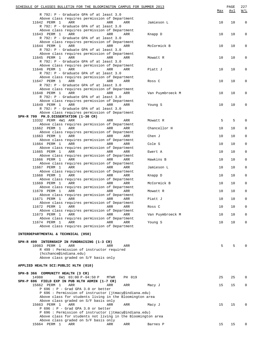| SCHEDULE OF CLASSES BULLETIN FOR THE BLOOMINGTON CAMPUS FOR SUMMER 2013<br>R 792: P - Graduate GPA of at least 3.0 |                  | Max | PAGE<br><u>Avl</u> | 227<br>W/L  |
|--------------------------------------------------------------------------------------------------------------------|------------------|-----|--------------------|-------------|
| Above class requires permission of Department                                                                      |                  |     |                    |             |
| 11642 PERM 1<br>ARR<br>ARR<br>ARR                                                                                  | Jamieson L       | 10  | 10                 | $\mathbf 0$ |
| R 792: P - Graduate GPA of at least 3.0                                                                            |                  |     |                    |             |
| Above class requires permission of Department                                                                      |                  |     |                    |             |
| 11643 PERM 1<br>ARR<br>ARR<br>ARR                                                                                  | Knapp D          | 10  | 10                 | 0           |
| R 792: P - Graduate GPA of at least 3.0                                                                            |                  |     |                    |             |
| Above class requires permission of Department<br>11644 PERM 1<br>ARR<br>ARR<br>ARR                                 | McCormick B      | 10  | 10                 | 0           |
| R 792: P - Graduate GPA of at least 3.0                                                                            |                  |     |                    |             |
| Above class requires permission of Department                                                                      |                  |     |                    |             |
| 11645 PERM 1<br>ARR<br>ARR<br>ARR                                                                                  | Mowatt R         | 10  | 10                 | 0           |
| R 792: P - Graduate GPA of at least 3.0                                                                            |                  |     |                    |             |
| Above class requires permission of Department                                                                      |                  |     |                    |             |
| 11646 PERM 1<br>ARR<br>ARR<br>ARR                                                                                  | Piatt J          | 10  | 10                 | 0           |
| R 792: P - Graduate GPA of at least 3.0<br>Above class requires permission of Department                           |                  |     |                    |             |
| 11647 PERM 1<br>ARR<br>ARR<br>ARR                                                                                  | Ross C           | 10  | 10                 | 0           |
| R 792: P - Graduate GPA of at least 3.0                                                                            |                  |     |                    |             |
| Above class requires permission of Department                                                                      |                  |     |                    |             |
| 11648 PERM 1<br>ARR<br>ARR<br>ARR                                                                                  | Van Puymbroeck M | 10  | 10                 | 0           |
| R 792: P - Graduate GPA of at least 3.0                                                                            |                  |     |                    |             |
| Above class requires permission of Department                                                                      |                  |     |                    |             |
| 11649 PERM 1<br>ARR<br>ARR<br>ARR                                                                                  | Young S          | 10  | 10                 | 0           |
| R 792: P - Graduate GPA of at least 3.0                                                                            |                  |     |                    |             |
| Above class requires permission of Department<br>SPH-R 799 PH.D.DISSERTATION (1-30 CR)                             |                  |     |                    |             |
| 13332 PERM 4W1 ARR<br>ARR<br>ARR                                                                                   | Mowatt R         | 5   | 5                  | 0           |
| Above class requires permission of Department                                                                      |                  |     |                    |             |
| 11662 PERM 1<br>ARR<br>ARR<br>ARR                                                                                  | Chancellor H     | 10  | 10                 | 0           |
| Above class requires permission of Department                                                                      |                  |     |                    |             |
| 11663 PERM 1<br>ARR<br>ARR<br>ARR                                                                                  | Chen J           | 10  | 10                 | 0           |
| Above class requires permission of Department                                                                      |                  |     |                    |             |
| 11664 PERM 1<br>ARR<br>ARR<br>ARR<br>Above class requires permission of Department                                 | Cole S           | 10  | 10                 | 0           |
| 11665 PERM 1<br>ARR<br>ARR<br>ARR                                                                                  | Ewert A          | 10  | 10                 | 0           |
| Above class requires permission of Department                                                                      |                  |     |                    |             |
| 11666 PERM 1<br>ARR<br>ARR<br>ARR                                                                                  | Hawkins B        | 10  | 10                 | 0           |
| Above class requires permission of Department                                                                      |                  |     |                    |             |
| 11667 PERM 1<br>ARR<br>ARR<br>ARR                                                                                  | Jamieson L       | 10  | 10                 | 0           |
| Above class requires permission of Department                                                                      |                  |     |                    |             |
| 11668 PERM 1<br>ARR<br>ARR<br>ARR                                                                                  | Knapp D          | 10  | 10                 | 0           |
| Above class requires permission of Department<br>11669 PERM 1<br>ARR<br>ARR<br>ARR                                 | McCormick B      | 10  | 10                 | 0           |
| Above class requires permission of Department                                                                      |                  |     |                    |             |
| 11670 PERM 1<br>ARR<br>ARR<br>ARR                                                                                  | Mowatt R         | 10  | 10                 | 0           |
| Above class requires permission of Department                                                                      |                  |     |                    |             |
| 11671 PERM 1 ARR 6 ARR ARR ARR                                                                                     | Piatt J          | 10  | 10                 | 0           |
| Above class requires permission of Department                                                                      |                  |     |                    |             |
| 11672 PERM 1<br>ARR<br>ARR<br>ARR                                                                                  | Ross C           | 10  | 10                 | 0           |
| Above class requires permission of Department                                                                      |                  |     |                    |             |
| 11673 PERM 1<br>ARR<br>ARR<br>ARR<br>Above class requires permission of Department                                 | Van Puymbroeck M | 10  | 10                 | $\Omega$    |
| 11674 PERM 1<br>ARR<br>ARR<br>ARR                                                                                  | Young S          | 10  | 10                 | 0           |
| Above class requires permission of Department                                                                      |                  |     |                    |             |
|                                                                                                                    |                  |     |                    |             |
| INTERDEPARTMENTAL & TECHNICAL (050)                                                                                |                  |     |                    |             |
|                                                                                                                    |                  |     |                    |             |
| SPH-R 499 INTERNSHIP IN FUNDRAISING (1-3 CR)                                                                       |                  |     |                    |             |
| 10983 PERM 1<br>ARR<br>ARR<br>ARR                                                                                  |                  | 5   | 5                  |             |
| R 499 : Permission of instructor required<br>(hcchance@indiana.edu)                                                |                  |     |                    |             |
| Above class graded on S/F basis only                                                                               |                  |     |                    |             |
|                                                                                                                    |                  |     |                    |             |
| APPLIED HEALTH SCI: PUBLIC HLTH (010)                                                                              |                  |     |                    |             |
|                                                                                                                    |                  |     |                    |             |
| SPH-B 366 COMMUNITY HEALTH (3 CR)                                                                                  |                  |     |                    |             |
| 14988<br>6W1 03:00 P-04:50 P<br>PH 019<br>MTWR                                                                     |                  | 25  | 25                 | 0           |
| SPH-P 696 FIELD EXP IN PUB HLTH ADMIN (1-7 CR)                                                                     |                  |     |                    |             |
| 15662 PERM 1<br>ARR<br>ARR<br>ARR                                                                                  | Macy J           | 15  | 15                 | 0           |
| $P$ 696 : $P$ - Grad GPA 3.0 or better<br>P 696 : Permission of instructor (jtmacy@indiana.edu)                    |                  |     |                    |             |
| Above class for students living in the Bloomington area                                                            |                  |     |                    |             |
| Above class graded on S/F basis only                                                                               |                  |     |                    |             |
| 15663 PERM 1<br>ARR<br>ARR<br>ARR                                                                                  | Macy J           | 15  | 15                 | U           |
| P 696 : P - Grad GPA 3.0 or better                                                                                 |                  |     |                    |             |
| P 696 : Permission of instructor (jtmacy@indiana.edu)                                                              |                  |     |                    |             |
| Above class for students not living in the Bloomington area                                                        |                  |     |                    |             |
| Above class graded on S/F basis only                                                                               |                  |     |                    |             |
| 15664 PERM 1<br>ARR<br>ARR<br>ARR                                                                                  | Barnes P         | 15  | 15                 | 0           |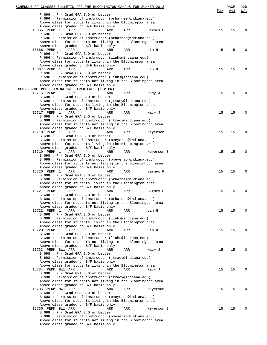| SCHEDULE OF CLASSES BULLETIN FOR THE BLOOMINGTON CAMPUS FOR SUMMER 2013                                          |     | PAGE | 228         |
|------------------------------------------------------------------------------------------------------------------|-----|------|-------------|
| $P$ 696 : $P$ - Grad GPA 3.0 or better                                                                           | Max | Avl  | W/L         |
| P 696 : Permission of instructor (prbarnes@indiana.edu)                                                          |     |      |             |
| Above class for students living in the Bloomington area                                                          |     |      |             |
| Above class graded on S/F basis only                                                                             |     |      |             |
| 15665 PERM 1<br>ARR<br>ARR<br>ARR<br>Barnes P                                                                    | 15  | 15   | $\Omega$    |
| $P$ 696 : $P$ - Grad GPA 3.0 or better                                                                           |     |      |             |
| P 696 : Permission of instructor (prbarnes@indiana.edu)                                                          |     |      |             |
| Above class for students not living in the Bloomington area<br>Above class graded on S/F basis only              |     |      |             |
| 15666 PERM 1<br>ARR<br>ARR<br>ARR<br>Lin H                                                                       | 15  | 15   | $\Omega$    |
| $P$ 696 : $P$ - Grad GPA 3.0 or better                                                                           |     |      |             |
| P 696 : Permission of instructor (linhs@indiana.edu)                                                             |     |      |             |
| Above class for students living in the Bloomington area                                                          |     |      |             |
| Above class graded on S/F basis only                                                                             |     |      |             |
| 15667 PERM 1<br>ARR<br>ARR<br>ARR<br>Lin H<br>$P$ 696 : $P$ - Grad GPA 3.0 or better                             | 15  | 15   | $\Omega$    |
| P 696 : Permission of instructor (linhs@indiana.edu)                                                             |     |      |             |
| Above class for students not living in the Bloomington area                                                      |     |      |             |
| Above class graded on S/F basis only                                                                             |     |      |             |
| SPH-B 698 MPH CULMINATING EXPERIENCE (1-2 CR)                                                                    |     |      |             |
| 15716 PERM 1<br>ARR<br>ARR<br>ARR<br>Macy J                                                                      | 15  | 15   | $\Omega$    |
| B 698 : P - Grad GPA 3.0 or better                                                                               |     |      |             |
| B 698 : Permission of instructor (jtmacy@indiana.edu)<br>Above class for students living in the Bloomington area |     |      |             |
| Above class graded on S/F basis only                                                                             |     |      |             |
| 15717 PERM 1<br>ARR<br>ARR<br>ARR<br>Macy J                                                                      | 15  | 15   | $\Omega$    |
| B 698 : P - Grad GPA 3.0 or better                                                                               |     |      |             |
| B 698 : Permission of instructor (jtmacy@indiana.edu)                                                            |     |      |             |
| Above class for students not living in the Bloomington area                                                      |     |      |             |
| Above class graded on S/F basis only                                                                             |     |      |             |
| 15718 PERM 1<br>ARR<br>ARR<br>ARR<br>Meyerson B                                                                  | 15  | 15   | $\Omega$    |
| B 698 : P - Grad GPA 3.0 or better<br>B 698 : Permission of instructor (bmeyerso@indiana.edu)                    |     |      |             |
| Above class for students living in the Bloomington area                                                          |     |      |             |
| Above class graded on S/F basis only                                                                             |     |      |             |
| 15719 PERM 1<br>ARR<br>ARR<br>ARR<br>Meyerson B                                                                  | 15  | 15   | $\Omega$    |
| B 698 : P - Grad GPA 3.0 or better                                                                               |     |      |             |
| B 698 : Permission of instructor (bmeyerso@indiana.edu)                                                          |     |      |             |
| Above class for students not living in the Bloomington area                                                      |     |      |             |
| Above class graded on S/F basis only<br>15720 PERM 1<br>ARR<br>ARR<br>ARR<br>Barnes P                            | 15  | 15   | $\Omega$    |
| B 698 : P - Grad GPA 3.0 or better                                                                               |     |      |             |
| B 698 : Permission of instructor (prbarnes@indiana.edu)                                                          |     |      |             |
| Above class for students living in the Bloomington area                                                          |     |      |             |
| Above class graded on S/F basis only                                                                             |     |      |             |
| 15721 PERM 1<br>ARR<br>ARR<br>ARR<br>Barnes P                                                                    | 15  | 15   | $\mathbf 0$ |
| B 698 : P - Grad GPA 3.0 or better                                                                               |     |      |             |
| B 698 : Permission of instructor (prbarnes@indiana.edu)                                                          |     |      |             |
| Above class for students not living in the Bloomington area<br>Above class graded on S/F basis only              |     |      |             |
| 15722 PERM 1<br>ARR<br>ARR<br>ARR<br>Lin H                                                                       | 15  | 15   | $\Omega$    |
| B 698 : P - Grad GPA 3.0 or better                                                                               |     |      |             |
| B 698 : Permission of instructor (linhs@indiana.edu)                                                             |     |      |             |
| Above class for students living in the Bloomington area                                                          |     |      |             |
| Above class graded on S/F basis only                                                                             |     |      |             |
| 15723 PERM 1<br>ARR<br>ARR<br>Lin H<br>ARR                                                                       | 15  | 15   | $\Omega$    |
| B 698 : P - Grad GPA 3.0 or better<br>B 698 : Permission of instructor (linhs@indiana.edu)                       |     |      |             |
| Above class for students not living in the Bloomington area                                                      |     |      |             |
| Above class graded on S/F basis only                                                                             |     |      |             |
| 15733 PERM 8W1 ARR<br>ARR<br>ARR<br>Macy J                                                                       | 15  | 15   | $\Omega$    |
| B 698 : P - Grad GPA 3.0 or better                                                                               |     |      |             |
| B 698 : Permission of instructor (jtmacy@indiana.edu)                                                            |     |      |             |
| Above class graded on S/F basis only                                                                             |     |      |             |
| Above class for students living in the Bloomington area                                                          |     |      |             |
| 15734 PERM 8W1 ARR<br>ARR<br>ARR<br>Macy J<br>B 698 : P - Grad GPA 3.0 or better                                 | 15  | 15   | $\Omega$    |
| B 698 : Permission of instructor (jtmacy@indiana.edu)                                                            |     |      |             |
| Above class for students not living in the Bloomington area                                                      |     |      |             |
| Above class graded on S/F basis only                                                                             |     |      |             |
| 15735 PERM 8W1 ARR<br>ARR<br>ARR<br>Meyerson B                                                                   | 15  | 15   | $\Omega$    |
| B 698 : P - Grad GPA 3.0 or better                                                                               |     |      |             |
| B 698 : Permission of instructor (bmeyerso@indiana.edu)                                                          |     |      |             |
| Above class for students living in the Bloomington area                                                          |     |      |             |
| Above class graded on S/F basis only<br>15736 PERM 8W1 ARR<br>ARR<br>ARR                                         |     |      | $\Omega$    |
| Meyerson B<br>B 698 : P - Grad GPA 3.0 or better                                                                 | 15  | 15   |             |
| B 698 : Permission of instructor (bmeyerso@indiana.edu)                                                          |     |      |             |
| Above class for students not living in the Bloomington area                                                      |     |      |             |
| Above class graded on S/F basis only                                                                             |     |      |             |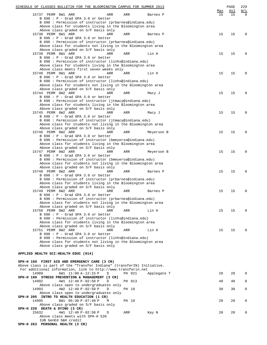| SCHEDULE OF CLASSES BULLETIN FOR THE BLOOMINGTON CAMPUS FOR SUMMER 2013                             |     |        |             |     | PAGE | 229         |
|-----------------------------------------------------------------------------------------------------|-----|--------|-------------|-----|------|-------------|
|                                                                                                     |     |        |             | Max | Avl  | W/L         |
| 15737 PERM 8W1 ARR<br>ARR                                                                           | ARR |        | Barnes P    | 15  | 15   | $\Omega$    |
| B 698 : P - Grad GPA 3.0 or better<br>B 698 : Permission of instructor (prbarnes@indiana.edu)       |     |        |             |     |      |             |
| Above class for students living in the Bloomington area                                             |     |        |             |     |      |             |
| Above class graded on S/F basis only                                                                |     |        |             |     |      |             |
| 15738 PERM 8W1 ARR<br>ARR                                                                           | ARR |        | Barnes P    | 15  | 15   | $\Omega$    |
| B 698 : P - Grad GPA 3.0 or better                                                                  |     |        |             |     |      |             |
| B 698 : Permission of instructor (prbarnes@indiana.edu)                                             |     |        |             |     |      |             |
| Above class for students not living in the Bloomington area                                         |     |        |             |     |      |             |
| Above class graded on S/F basis only                                                                |     |        |             |     |      |             |
| 15739 PERM 8W1 ARR<br>ARR                                                                           | ARR |        | Lin H       | 15  | 15   | $\Omega$    |
| B 698 : P - Grad GPA 3.0 or better                                                                  |     |        |             |     |      |             |
| B 698 : Permission of instructor (linhs@indiana.edu)                                                |     |        |             |     |      |             |
| Above class for students living in the Bloomington area                                             |     |        |             |     |      |             |
| Above class meets first seven weeks only                                                            |     |        |             |     |      |             |
| 15740 PERM 8W1 ARR<br>ARR                                                                           | ARR |        | Lin H       | 15  | 15   | $\Omega$    |
| B 698 : P - Grad GPA 3.0 or better                                                                  |     |        |             |     |      |             |
| B 698 : Permission of instructor (linhs@indiana.edu)                                                |     |        |             |     |      |             |
| Above class for students not living in the Bloomington area                                         |     |        |             |     |      |             |
| Above class graded on S/F basis only                                                                |     |        |             |     |      |             |
| 15744 PERM 8W2 ARR<br>ARR                                                                           | ARR |        | Macy J      | 15  | 15   | $\Omega$    |
| B 698 : P - Grad GPA 3.0 or better                                                                  |     |        |             |     |      |             |
| B 698 : Permission of instructor (jtmacy@indiana.edu)                                               |     |        |             |     |      |             |
| Above class for students living in the Bloomington area                                             |     |        |             |     |      |             |
| Above class graded on S/F basis only                                                                |     |        |             |     |      |             |
| 15745 PERM 8W2 ARR<br>ARR                                                                           | ARR |        | Macy J      | 15  | 15   | $\Omega$    |
| B 698 : P - Grad GPA 3.0 or better                                                                  |     |        |             |     |      |             |
| B 698 : Permission of instructor (jtmacy@indiana.edu)                                               |     |        |             |     |      |             |
| Above class for students not living in the Bloomington area                                         |     |        |             |     |      |             |
| Above class graded on S/F basis only                                                                |     |        |             |     |      |             |
| 15746 PERM 8W2 ARR<br>ARR                                                                           | ARR |        | Meyerson B  | 15  | 15   | $\Omega$    |
| B 698 : P - Grad GPA 3.0 or better                                                                  |     |        |             |     |      |             |
| B 698 : Permission of instructor (bmeyerso@indiana.edu)                                             |     |        |             |     |      |             |
| Above class for students living in the Bloomington area                                             |     |        |             |     |      |             |
| Above class graded on S/F basis only                                                                |     |        |             |     |      |             |
| 15747 PERM 8W2 ARR<br>ARR                                                                           | ARR |        | Meyerson B  | 15  | 15   | $\Omega$    |
| B 698 : P - Grad GPA 3.0 or better                                                                  |     |        |             |     |      |             |
| B 698 : Permission of instructor (bmeyerso@indiana.edu)                                             |     |        |             |     |      |             |
| Above class for students not living in the Bloomington area                                         |     |        |             |     |      |             |
| Above class graded on S/F basis only                                                                |     |        |             |     |      |             |
| 15748 PERM 8W2 ARR<br>ARR                                                                           | ARR |        | Barnes P    | 15  | 15   | $\Omega$    |
| B 698 : P - Grad GPA 3.0 or better                                                                  |     |        |             |     |      |             |
| B 698 : Permission of instructor (prbarnes@indiana.edu)                                             |     |        |             |     |      |             |
| Above class for students living in the Bloomington area                                             |     |        |             |     |      |             |
| Above class graded on S/F basis only                                                                |     |        |             |     |      |             |
| 15749 PERM 8W2 ARR<br>ARR                                                                           | ARR |        | Barnes P    | 15  | 15   | $\mathbf 0$ |
| B 698 : P - Grad GPA 3.0 or better                                                                  |     |        |             |     |      |             |
| B 698 : Permission of instructor (prbarnes@indiana.edu)                                             |     |        |             |     |      |             |
| Above class for students not living in the Bloomington area<br>Above class graded on S/F basis only |     |        |             |     |      |             |
| 15750 PERM 8W2 ARR<br>ARR                                                                           | ARR |        | Lin H       | 15  | 15   | $\Omega$    |
| $B$ 698 : P - Grad GPA 3.0 or better                                                                |     |        |             |     |      |             |
| B 698 : Permission of instructor (linhs@indiana.edu)                                                |     |        |             |     |      |             |
| Above class for students living in the Bloomington area                                             |     |        |             |     |      |             |
| Above class graded on S/F basis only                                                                |     |        |             |     |      |             |
| 15751 PERM 8W2 ARR<br>ARR                                                                           | ARR |        | Lin H       | 15  | 15   | $\Omega$    |
| B 698 : P - Grad GPA 3.0 or better                                                                  |     |        |             |     |      |             |
| B 698 : Permission of instructor (linhs@indiana.edu)                                                |     |        |             |     |      |             |
| Above class for students not living in the Bloomington area                                         |     |        |             |     |      |             |
| Above class graded on S/F basis only                                                                |     |        |             |     |      |             |
|                                                                                                     |     |        |             |     |      |             |
| APPLIED HEALTH SCI: HEALTH EDUC (014)                                                               |     |        |             |     |      |             |
|                                                                                                     |     |        |             |     |      |             |
| SPH-H 160 FIRST AID AND EMERGENCY CARE (3 CR)                                                       |     |        |             |     |      |             |
| Above class is part of the "Transfer Indiana" (transferIN) Initiative.                              |     |        |             |     |      |             |
| For additional information, link to http://www.transferin.net                                       |     |        |             |     |      |             |
| 14989<br>6W1 11:00 A-12:15 P<br>D                                                                   |     | PH 021 | Applegate T | 28  | 28   | 0           |
| SPH-H 180 STRESS PREVENTION & MANAGEMENT (3 CR)                                                     |     |        |             |     |      |             |
| 14992<br>4W1 12:40 P-02:50 P<br>D                                                                   |     | PH 013 |             | 40  | 40   | 0           |
| Above class open to undergraduates only                                                             |     |        |             |     |      |             |
| 4W2 12:40 P-02:50 P<br>14993<br>D                                                                   |     | PH 10  |             | 30  | 30   | 0           |
| Above class open to undergraduates only                                                             |     |        |             |     |      |             |
| SPH-H 205 INTRO TO HEALTH EDUCATION (1 CR)                                                          |     |        |             |     |      |             |
| 8W1 05:30 P-07:40 P<br>14995<br>М                                                                   |     | PH 10  |             | 20  | 20   | 0           |
| Above class graded on S/F basis only                                                                |     |        |             |     |      |             |
| SPH-H 220 DEATH & DYING (3 CR)                                                                      |     |        |             |     |      |             |
| 4W1 12:40 P-02:50 P<br>15632<br>D                                                                   | ARR |        | Kay N       | 20  | 20   | $\mathbf 0$ |
| Above class meets with SPH-H 520                                                                    |     |        |             |     |      |             |
| IUB GenEd S&H credit                                                                                |     |        |             |     |      |             |
| SPH-H 263 PERSONAL HEALTH (3 CR)                                                                    |     |        |             |     |      |             |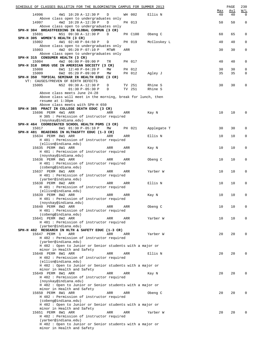| SCHEDULE OF CLASSES BULLETIN FOR THE BLOOMINGTON CAMPUS FOR SUMMER 2013                    |             |     |         |             | Max | PAGE<br>Avl | 230<br>W/L   |
|--------------------------------------------------------------------------------------------|-------------|-----|---------|-------------|-----|-------------|--------------|
| 14996<br>4W1 10:20 A-12:30 P<br>Above class open to undergraduates only                    | D           |     | WH 002  | Ellis N     | 40  | 40          | $\mathbf 0$  |
| 14997<br>4W2 10:20 A-12:30 P                                                               | D           |     | PH 013  |             | 50  | 50          | $\mathbf 0$  |
| Above class open to undergraduates only<br>SPH-H 304 BREASTFEEDING IN GLOBAL COMMUN (3 CR) |             |     |         |             |     |             |              |
| 15691<br>NS1 09:30 A-12:30 P<br>SPH-H 305 WOMEN'S HEALTH (3 CR)                            | D           |     | PH C100 | Obeng C     | 60  | 65          | 0            |
| 4W1 02:40 P-04:50 P<br>15002                                                               | D           |     | PH 019  | McCloskey L | 40  | 40          | $\mathbf 0$  |
| Above class open to undergraduates only<br>4W2 05:20 P-07:10 P<br>15003                    | <b>MTWR</b> | ARR |         |             | 30  | 30          | $\mathbf 0$  |
| Above class open to undergraduates only<br>SPH-H 315 CONSUMER HEALTH (3 CR)                |             |     |         |             |     |             |              |
| 15004<br>4W2 06:00 P-09:00 P                                                               | TR          |     | PH 017  |             | 40  | 40          | 0            |
| SPH-H 318 DRUG USE IN AMERICAN SOCIETY (3 CR)<br>15008<br>6W1 12:40 P-04:20 P              | MW          |     | PH 012  |             | 30  | 30          | $\mathbf 0$  |
| 6W2 05:20 P-09:00 P<br>15009                                                               | MW          |     | PH 012  | Agley J     | 35  | 35          | $\mathbf 0$  |
| SPH-H 350 TOPICAL SEMINAR IN HEALTH EDUC (3 CR)<br>VT: CAUSES/PREVEN OF BIRTH DEFECTS      |             |     |         |             |     |             |              |
| 15005<br>NS2 09:30 A-12:30 P                                                               | D           |     | TV 251  | Rhine S     | 30  | 30          | $\mathbf 0$  |
| $01:30 P-05:30 P$<br>Above class meets June 24-28                                          | $\mathbb D$ |     | TV 251  | Rhine S     |     |             |              |
| Above class will meet in the morning, break for lunch, then<br>resume at 1:30pm            |             |     |         |             |     |             |              |
| Above class meets with SPH-H 650                                                           |             |     |         |             |     |             |              |
| SPH-H 385 PRACT IN COLLEGE DEATH EDUC (3 CR)<br>15696 PERM 4W1 ARR                         | ARR         | ARR |         | Kay N       | 10  | 10          | $\mathbf 0$  |
| H 385 : Permission of instructor required                                                  |             |     |         |             |     |             |              |
| (noyskay@indiana.edu)<br>SPH-H 464 COORDINATED SCHOOL HEALTH PGMS (3 CR)                   |             |     |         |             |     |             |              |
| 6W1 01:30 P-05:10 P<br>15017                                                               | MW          |     | PH 021  | Applegate T | 30  | 30          | $\mathbf 0$  |
| SPH-H 481 READINGS IN HLTH&SFTY EDUC (1-3 CR)<br>15634 PERM 8W1 ARR                        | ARR         | ARR |         | Ellis N     | 10  | 10          | 0            |
| H 481 : Permission of instructor required                                                  |             |     |         |             |     |             |              |
| (ellisn@indiana.edu)<br>15635 PERM 8W1 ARR                                                 | ARR         | ARR |         | Kay N       | 10  | 10          | 0            |
| H 481 : Permission of instructor required<br>(noyskay@indiana.edu)                         |             |     |         |             |     |             |              |
| 15636 PERM 8W1 ARR                                                                         | ARR         | ARR |         | Obeng C     | 10  | 10          | $\mathbf{0}$ |
| H 481 : Permission of instructor required<br>(cobeng@indiana.edu)                          |             |     |         |             |     |             |              |
| 15637 PERM 8W1 ARR                                                                         | ARR         | ARR |         | Yarber W    | 10  | 10          | 0            |
| H 481 : Permission of instructor required<br>(yarber@indiana.edu)                          |             |     |         |             |     |             |              |
| 15638 PERM 8W2 ARR<br>H 481 : Permission of instructor required                            | ARR         | ARR |         | Ellis N     | 10  | 10          | 0            |
| (ellisn@indiana.edu)                                                                       |             |     |         |             |     |             |              |
| 15639 PERM 8W2 ARR<br>H 481 : Permission of instructor required                            | ARR         | ARR |         | Kay N       | 10  | 10          | $\mathbf 0$  |
| (noyskay@indiana.edu)                                                                      |             |     |         |             |     |             |              |
| 15640 PERM 8W2 ARR<br>H 481 : Permission of instructor required                            | ARR         | ARR |         | Obeng C     | 10  | 10          | $\mathbf{0}$ |
| (cobeng@indiana.edu)                                                                       |             |     |         |             |     |             |              |
| 15641 PERM 8W2 ARR<br>H 481 : Permission of instructor required                            | ARR         | ARR |         | Yarber W    | 10  | 10          | 0            |
| (yarber@indiana.edu)<br>SPH-H 482 RESEARCH IN HLTH & SAFETY EDUC (1-3 CR)                  |             |     |         |             |     |             |              |
| 15647 PERM 1<br>ARR                                                                        | ARR         | ARR |         | Yarber W    | 20  | 20          | 0            |
| H 482 : Permission of instructor required<br>(yarber@indiana.edu)                          |             |     |         |             |     |             |              |
| H 482 : Open to Junior or Senior students with a major or                                  |             |     |         |             |     |             |              |
| minor in Health and Safety<br>15648 PERM 8W1 ARR                                           | ARR         | ARR |         | Ellis N     | 20  | 20          | 0            |
| H 482 : Permission of instructor required                                                  |             |     |         |             |     |             |              |
| (ellisn@indiana.edu)<br>H 482 : Open to Junior or Senior students with a major or          |             |     |         |             |     |             |              |
| minor in Health and Safety<br>15649 PERM 8W1 ARR                                           |             |     |         |             |     |             | 0            |
| H 482 : Permission of instructor required                                                  | ARR         | ARR |         | Kay N       | 20  | 20          |              |
| (noyskay@indiana.edu)<br>H 482 : Open to Junior or Senior students with a major or         |             |     |         |             |     |             |              |
| minor in Health and Safety                                                                 |             |     |         |             |     |             |              |
| 15650 PERM 8W1 ARR<br>H 482 : Permission of instructor required                            | ARR         | ARR |         | Obeng C     | 20  | 20          | 0            |
| (cobeng@indiana.edu)                                                                       |             |     |         |             |     |             |              |
| H 482 : Open to Junior or Senior students with a major or<br>minor in Health and Safety    |             |     |         |             |     |             |              |
| 15651 PERM 8W1 ARR                                                                         | ARR         | ARR |         | Yarber W    | 20  | 20          | 0            |
| H 482 : Permission of instructor required<br>(yarber@indiana.edu)                          |             |     |         |             |     |             |              |
| H 482 : Open to Junior or Senior students with a major or<br>minor in Health and Safety    |             |     |         |             |     |             |              |
|                                                                                            |             |     |         |             |     |             |              |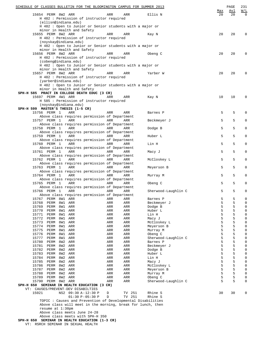| SCHEDULE OF CLASSES BULLETIN FOR THE BLOOMINGTON CAMPUS FOR SUMMER 2013                                               |            |                     |                     |           | PAGE      | 231                        |
|-----------------------------------------------------------------------------------------------------------------------|------------|---------------------|---------------------|-----------|-----------|----------------------------|
| 15654 PERM 8W2 ARR<br>H 482 : Permission of instructor required                                                       | ARR        | ARR                 | Ellis N             | Max<br>20 | Avl<br>20 | W/L<br>$\Omega$            |
| (ellisn@indiana.edu)<br>H 482 : Open to Junior or Senior students with a major or<br>minor in Health and Safety       |            |                     |                     |           |           |                            |
| 15655 PERM 8W2 ARR<br>H 482 : Permission of instructor required                                                       | ARR        | ARR                 | Kay N               | 20        | 20        | 0                          |
| (noyskay@indiana.edu)<br>H 482 : Open to Junior or Senior students with a major or                                    |            |                     |                     |           |           |                            |
| minor in Health and Safety<br>15656 PERM 8W2 ARR                                                                      | ARR        | ARR                 | Obeng C             | 20        | 20        | 0                          |
| H 482 : Permission of instructor required<br>(cobeng@indiana.edu)                                                     |            |                     |                     |           |           |                            |
| H 482 : Open to Junior or Senior students with a major or<br>minor in Health and Safety                               |            |                     |                     |           |           |                            |
| 15657 PERM 8W2 ARR<br>H 482 : Permission of instructor required                                                       | ARR        | ARR                 | Yarber W            | 20        | 20        | 0                          |
| (yarber@indiana.edu)<br>H 482 : Open to Junior or Senior students with a major or                                     |            |                     |                     |           |           |                            |
| minor in Health and Safety                                                                                            |            |                     |                     |           |           |                            |
| SPH-H 585 PRACT IN COLLEGE DEATH EDUC (3 CR)<br>15697 PERM 4W1 ARR                                                    | ARR        | ARR                 | Kay N               | 10        | 10        | 0                          |
| H 585 : Permission of instructor required<br>(noyskay@indiana.edu)                                                    |            |                     |                     |           |           |                            |
| SPH-H 599 MASTER'S THESIS (1-5 CR)                                                                                    |            |                     |                     |           |           |                            |
| 15756 PERM 1<br>ARR<br>Above class requires permission of Department                                                  | ARR        | ARR                 | Barnes P            | 5         | 5         | 0                          |
| 15757 PERM 1<br>ARR<br>Above class requires permission of Department                                                  | ARR        | ARR                 | Beckmeyer J         | 5         | 5         | 0                          |
| 15758 PERM 1<br>ARR                                                                                                   | ARR        | ARR                 | Dodge B             | 5         | 5         | 0                          |
| Above class requires permission of Department<br>15759 PERM 1<br>ARR                                                  | ARR        | <b>ARR</b>          | Huber L             | 5         | 5         | 0                          |
| Above class requires permission of Department<br>15760 PERM 1<br>ARR                                                  | ARR        | <b>ARR</b>          | Lin H               | 5         | 5         | 0                          |
| Above class requires permission of Department<br>15761 PERM 1<br>ARR                                                  | ARR        | ARR                 | Macy J              | 5         | 5         | 0                          |
| Above class requires permission of Department<br>15762 PERM 1<br>ARR                                                  | ARR        | <b>ARR</b>          | McCloskey L         | 5         | 5         | $\mathbf{0}$               |
| Above class requires permission of Department<br>15763 PERM 1<br>ARR                                                  | ARR        | ARR                 | Meyerson B          | 5         | 5         | 0                          |
| Above class requires permission of Department<br>15764 PERM 1<br>ARR<br>Above class requires permission of Department | ARR        | <b>ARR</b>          | Murray M            | 5         | 5         | $\mathbf{0}$               |
| 15765 PERM 1<br><b>ARR</b><br>Above class requires permission of Department                                           | ARR        | ARR                 | Obeng C             | 5         | 5         | 0                          |
| 15766 PERM 1<br>ARR                                                                                                   | ARR        | ARR                 | Sherwood-Laughlin C | 5         | 5         | 0                          |
| Above class requires permission of Department<br>15767 PERM 8W1 ARR                                                   | ARR        | ARR                 | Barnes P            | 5         | 5         | 0                          |
| 15768<br>PERM<br>8W1<br>ARR                                                                                           | ARR        | ARR                 | Beckmeyer J         | 5         | 5         | $\mathsf 0$                |
| 15769<br>PERM<br>8W1<br>ARR                                                                                           | ARR        | ARR                 | Dodge B             | 5         | 5         | $\mathsf 0$                |
| 15770<br>PERM<br>8W1<br>ARR                                                                                           | ARR        | ARR                 | Huber L             | 5         | 5         | $\mathsf 0$                |
| 15771<br>PERM<br>8W1<br>ARR<br>15772<br>PERM<br>8W1<br>ARR                                                            | ARR<br>ARR | ARR<br>ARR          | Lin H<br>Macy J     | 5<br>5    | 5<br>5    | $\mathsf 0$<br>$\mathsf 0$ |
| 15773<br>PERM<br>8W1<br>ARR                                                                                           | ARR        | ARR                 | McCloskey L         | 5         | 5         | $\mathsf 0$                |
| 15774<br>PERM<br>8W1<br>ARR                                                                                           | ARR        | ARR                 | Meyerson B          | 5         | 5         | 0                          |
| 15775<br>PERM<br>8W1<br>ARR                                                                                           | ARR        | ARR                 | Murray M            | 5         | 5         | $\mathsf 0$                |
| 15776<br>PERM<br>8W1<br>ARR                                                                                           | ARR        | ARR                 | Obeng C             | 5         | 5         | $\mathsf 0$                |
| 15777<br>PERM<br>8W1<br>ARR                                                                                           | ARR        | ARR                 | Sherwood-Laughlin C | 5         | 5         | $\mathsf 0$                |
| 15780<br>PERM<br>8W2<br>ARR                                                                                           | ARR        | ARR                 | Barnes P            | 5         | 5         | $\mathsf 0$                |
| 15781<br>PERM<br>8W2<br>ARR                                                                                           | ARR        | ARR                 | Beckmeyer J         | 5         | 5         | $\mathsf 0$                |
| 15782<br>PERM<br>8W2<br>ARR                                                                                           | ARR        | ARR                 | Dodge B             | 5<br>5    | 5<br>5    | $\mathsf 0$<br>$\mathsf 0$ |
| 15783<br>PERM<br>8W2<br>ARR<br>15784<br>PERM<br>8W2<br>ARR                                                            | ARR<br>ARR | ARR<br>ARR          | Huber L<br>Lin H    | 5         | 5         | $\mathsf 0$                |
| 15785<br>PERM<br>8W2<br>ARR                                                                                           | ARR        | ARR                 | Macy J              | 5         | 5         | $\mathsf 0$                |
| 15786<br>PERM<br>8W2 ARR                                                                                              | ARR        | ARR                 | McCloskey L         | 5         | 5         | $\mathsf 0$                |
| 15787<br>PERM<br>8W2<br>ARR                                                                                           | ARR        | ARR                 | Meyerson B          | 5         | 5         | $\mathsf 0$                |
| 15788<br>PERM<br>8W2<br>ARR                                                                                           | ARR        | ARR                 | Murray M            | 5         | 5         | $\mathsf 0$                |
| 15789<br>PERM<br>8W2 ARR                                                                                              | ARR        | ARR                 | Obeng C             | 5         | 5         | 0                          |
| 15790 PERM 8W2 ARR                                                                                                    | ARR        | ARR                 | Sherwood-Laughlin C | 5         | 5         | 0                          |
| SPH-H 650 SEMINAR IN HEALTH EDUCATION (3 CR)                                                                          |            |                     |                     |           |           |                            |
| VT: CAUSES/PREVENT-DEV DISABILTIES                                                                                    |            |                     |                     |           |           |                            |
| 15021<br>NS2 09:30 A-12:30 P<br>$01:30 P - 05:30 P$                                                                   | D<br>D     | TV<br>251<br>TV 251 | Rhine S<br>Rhine S  | 30        | 30        | 0                          |
| TOPIC: Causes and Prevention of Developmental Disabilities                                                            |            |                     |                     |           |           |                            |
| Above class will meet in the morning, break for lunch, then                                                           |            |                     |                     |           |           |                            |
| resume at 1:30pm<br>Above class meets June 24-28                                                                      |            |                     |                     |           |           |                            |
| Above class meets with SPH-H 350                                                                                      |            |                     |                     |           |           |                            |
| SPH-H 650 SEMINAR IN HEALTH EDUCATION (1-3 CR)                                                                        |            |                     |                     |           |           |                            |
| VT: RSRCH SEMINAR IN SEXUAL HEALTH                                                                                    |            |                     |                     |           |           |                            |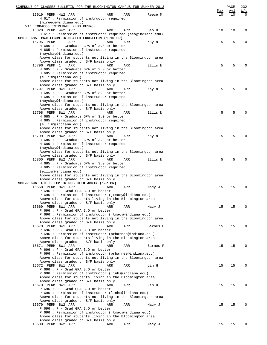| SCHEDULE OF CLASSES BULLETIN FOR THE BLOOMINGTON CAMPUS FOR SUMMER 2013                             |     |     |          |     | PAGE | 232         |
|-----------------------------------------------------------------------------------------------------|-----|-----|----------|-----|------|-------------|
|                                                                                                     |     |     |          | Max | Avl  | W/L         |
| 15019 PERM 4W2 ARR                                                                                  | ARR | ARR | Reece M  | 10  | 10   | $\Omega$    |
| H 617 : Permission of instructor required<br>(mireece@indiana.edu)                                  |     |     |          |     |      |             |
| VT: TOBACCO CNTRL&WELLNESS RESRCH                                                                   |     |     |          |     |      |             |
| 15020 PERM 4W2 ARR                                                                                  | ARR | ARR | Seo D    | 10  | 10   | 0           |
| H 617 : Permission of instructor required (seo@indiana.edu)                                         |     |     |          |     |      |             |
| SPH-H 685 PRACTICUM IN HEALTH EDUCATION (1-10 CR)                                                   |     |     |          |     |      |             |
| 15795 PERM 1<br>ARR                                                                                 | ARR | ARR | Kay N    | 5   | 5    | 0           |
| H 685 : P - Graduate GPA of 3.0 or better                                                           |     |     |          |     |      |             |
| H 685 : Permission of instructor required                                                           |     |     |          |     |      |             |
| (noyskay@indiana.edu)                                                                               |     |     |          |     |      |             |
| Above class for students not living in the Bloomington area<br>Above class graded on S/F basis only |     |     |          |     |      |             |
| 15796 PERM 1<br>ARR                                                                                 | ARR | ARR | Ellis N  | 5   | 5    | $\Omega$    |
| H 685 : P - Graduate GPA of 3.0 or better                                                           |     |     |          |     |      |             |
| H 685 : Permission of instructor required                                                           |     |     |          |     |      |             |
| (ellisn@indiana.edu)                                                                                |     |     |          |     |      |             |
| Above class for students not living in the Bloomington area                                         |     |     |          |     |      |             |
| Above class graded on S/F basis only                                                                |     |     |          |     |      |             |
| 15797 PERM 8W1 ARR                                                                                  | ARR | ARR | Kay N    | 5   | 5    | $\Omega$    |
| H 685 : P - Graduate GPA of 3.0 or better                                                           |     |     |          |     |      |             |
| H 685 : Permission of instructor required                                                           |     |     |          |     |      |             |
| (noyskay@indiana.edu)<br>Above class for students not living in the Bloomington area                |     |     |          |     |      |             |
| Above class graded on S/F basis only                                                                |     |     |          |     |      |             |
| 15798 PERM 8W1 ARR                                                                                  | ARR | ARR | Ellis N  | 5   | 5    | $\Omega$    |
| H 685 : P - Graduate GPA of 3.0 or better                                                           |     |     |          |     |      |             |
| H 685 : Permission of instructor required                                                           |     |     |          |     |      |             |
| (ellisn@indiana.edu)                                                                                |     |     |          |     |      |             |
| Above class for students not living in the Bloomington area                                         |     |     |          |     |      |             |
| Above class graded on S/F basis only                                                                |     |     |          |     |      |             |
| 15799 PERM 8W2 ARR                                                                                  | ARR | ARR | Kay N    | 5   | 5    | $\Omega$    |
| H 685 : P - Graduate GPA of 3.0 or better                                                           |     |     |          |     |      |             |
| H 685 : Permission of instructor required<br>(noyskay@indiana.edu)                                  |     |     |          |     |      |             |
| Above class for students not living in the Bloomington area                                         |     |     |          |     |      |             |
| Above class graded on S/F basis only                                                                |     |     |          |     |      |             |
| 15800 PERM 8W2 ARR                                                                                  | ARR | ARR | Ellis N  | 5   | 5    | $\Omega$    |
| H 685 : P - Graduate GPA of 3.0 or better                                                           |     |     |          |     |      |             |
| H 685 : Permission of instructor required                                                           |     |     |          |     |      |             |
| (ellisn@indiana.edu)                                                                                |     |     |          |     |      |             |
| Above class for students not living in the Bloomington area                                         |     |     |          |     |      |             |
| Above class graded on S/F basis only<br>SPH-P 696 FIELD EXP IN PUB HLTH ADMIN (1-7 CR)              |     |     |          |     |      |             |
| 15668 PERM 8W1 ARR                                                                                  | ARR | ARR | Macy J   | 15  | 15   | 0           |
| $P$ 696 : $P$ - Grad GPA 3.0 or better                                                              |     |     |          |     |      |             |
| P 696 : Permission of instructor (jtmacy@indiana.edu)                                               |     |     |          |     |      |             |
| Above class for students living in the Bloomington area                                             |     |     |          |     |      |             |
| Above class graded on S/F basis only                                                                |     |     |          |     |      |             |
| 15669 PERM 8W1 ARR                                                                                  | ARR | ARR | Macy J   | 15  | 15   | 0           |
| $P$ 696 : $P$ - Grad GPA 3.0 or better                                                              |     |     |          |     |      |             |
| P 696 : Permission of instructor (jtmacy@indiana.edu)                                               |     |     |          |     |      |             |
| Above class for students not living in the Bloomington area<br>Above class graded on S/F basis only |     |     |          |     |      |             |
| 15670 PERM 8W1 ARR                                                                                  | ARR | ARR | Barnes P | 15  | 15   | $\Omega$    |
| $P$ 696 : $P$ - Grad GPA 3.0 or better                                                              |     |     |          |     |      |             |
| P 696 : Permission of instructor (prbarnes@indiana.edu)                                             |     |     |          |     |      |             |
| Above class for students living in the Bloomington area                                             |     |     |          |     |      |             |
| Above class graded on S/F basis only                                                                |     |     |          |     |      |             |
| 15671 PERM 8W1 ARR                                                                                  | ARR | ARR | Barnes P | 15  | 15   | $\Omega$    |
| $P$ 696 : $P$ - Grad GPA 3.0 or better                                                              |     |     |          |     |      |             |
| P 696 : Permission of instructor (prbarnes@indiana.edu)                                             |     |     |          |     |      |             |
| Above class for students not living in the Bloomington area<br>Above class graded on S/F basis only |     |     |          |     |      |             |
| 15672 PERM 8W1 ARR                                                                                  | ARR | ARR | Lin H    | 15  | 15   | 0           |
| $P$ 696 : $P$ - Grad GPA 3.0 or better                                                              |     |     |          |     |      |             |
| P 696 : Permission of instructor (linhs@indiana.edu)                                                |     |     |          |     |      |             |
| Above class for students living in the Bloomington area                                             |     |     |          |     |      |             |
| Above class graded on S/F basis only                                                                |     |     |          |     |      |             |
| 15673 PERM 8W1 ARR                                                                                  | ARR | ARR | Lin H    | 15  | 15   | $\mathbf 0$ |
| $P$ 696 : $P$ - Grad GPA 3.0 or better                                                              |     |     |          |     |      |             |
| P 696 : Permission of instructor (linhs@indiana.edu)                                                |     |     |          |     |      |             |
| Above class for students not living in the Bloomington area<br>Above class graded on S/F basis only |     |     |          |     |      |             |
| 15679 PERM 8W2 ARR                                                                                  | ARR | ARR | Macy J   | 15  | 15   | $\Omega$    |
| $P$ 696 : $P$ - Grad GPA 3.0 or better                                                              |     |     |          |     |      |             |
| P 696 : Permission of instructor (jtmacy@indiana.edu)                                               |     |     |          |     |      |             |
| Above class for students living in the Bloomington area                                             |     |     |          |     |      |             |
| Above class graded on S/F basis only                                                                |     |     |          |     |      |             |
| 15680 PERM 8W2 ARR                                                                                  | ARR | ARR | Macy J   | 15  | 15   | 0           |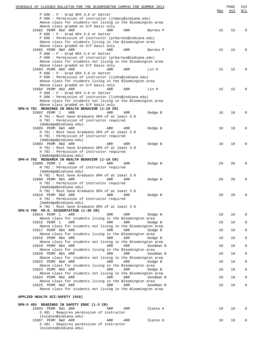| $P$ 696 : $P$ - Grad GPA 3.0 or better                                                                 | Max | Avl | W/L         |
|--------------------------------------------------------------------------------------------------------|-----|-----|-------------|
| P 696 : Permission of instructor (jtmacy@indiana.edu)                                                  |     |     |             |
| Above class for students not living in the Bloomington area<br>Above class graded on S/F basis only    |     |     |             |
| 15681 PERM 8W2 ARR<br>ARR<br>ARR<br>Barnes P                                                           | 15  | 15  | 0           |
| $P$ 696 : $P$ - Grad GPA 3.0 or better                                                                 |     |     |             |
| P 696 : Permission of instructor (prbarnes@indiana.edu)                                                |     |     |             |
| Above class for students living in the Bloomington area                                                |     |     |             |
| Above class graded on S/F basis only                                                                   |     |     |             |
| 15682 PERM 8W2 ARR<br>ARR<br>ARR<br>Barnes P<br>$P$ 696 : $P$ - Grad GPA 3.0 or better                 | 15  | 15  | 0           |
| P 696 : Permission of instructor (prbarnes@indiana.edu)                                                |     |     |             |
| Above class for students not living in the Bloomington area                                            |     |     |             |
| Above class graded on S/F basis only                                                                   |     |     |             |
| 15683 PERM 8W2 ARR<br>ARR<br>ARR<br>Lin H                                                              | 15  | 15  | 0           |
| $P$ 696 : $P$ - Grad GPA 3.0 or better                                                                 |     |     |             |
| P 696 : Permission of instructor (linhs@indiana.edu)                                                   |     |     |             |
| Above class for students living in the Bloomington area<br>Above class graded on S/F basis only        |     |     |             |
| 15684 PERM 8W2 ARR<br>ARR<br>ARR<br>Lin H                                                              | 15  | 15  | 0           |
| $P$ 696 : $P$ - Grad GPA 3.0 or better                                                                 |     |     |             |
| P 696 : Permission of instructor (linhs@indiana.edu)                                                   |     |     |             |
| Above class for students not living in the Bloomington area                                            |     |     |             |
| Above class graded on S/F basis only                                                                   |     |     |             |
| SPH-H 791 READINGS IN HEALTH BEHAVIOR (1-10 CR)<br>15802 PERM 1                                        |     | 10  |             |
| ARR<br>ARR<br>Dodge B<br>ARR<br>H 791 : Must have Graduate GPA of at least 3.0                         | 10  |     | $\mathbf 0$ |
| H 791 : Permission of instructor required                                                              |     |     |             |
| (bmdodge@indiana.edu)                                                                                  |     |     |             |
| 15803 PERM 8W1 ARR<br>ARR<br>ARR<br>Dodge B                                                            | 10  | 10  | 0           |
| H 791 : Must have Graduate GPA of at least 3.0                                                         |     |     |             |
| H 791 : Permission of instructor required                                                              |     |     |             |
| (bmdodge@indiana.edu)<br>15804 PERM 8W2 ARR<br>ARR<br>ARR                                              | 10  | 10  | 0           |
| Dodge B<br>H 791 : Must have Graduate GPA of at least 3.0                                              |     |     |             |
| H 791 : Permission of instructor required                                                              |     |     |             |
| (bmdodge@indiana.edu)                                                                                  |     |     |             |
| SPH-H 792 RESEARCH IN HEALTH BEHAVIOR (1-10 CR)                                                        |     |     |             |
| 15808 PERM 1<br>ARR<br>ARR<br>ARR<br>Dodge B                                                           | 20  | 20  | 0           |
| H 792 : Permission of instructor required                                                              |     |     |             |
| (bmdodge@indiana.edu)<br>H 792 : Must have Graduate GPA of at least 3.0                                |     |     |             |
| 15809 PERM 8W1 ARR<br>ARR<br>ARR<br>Dodge B                                                            | 20  | 20  | 0           |
| H 792 : Permission of instructor required                                                              |     |     |             |
| (bmdodge@indiana.edu)                                                                                  |     |     |             |
| H 792 : Must have Graduate GPA of at least 3.0                                                         |     |     |             |
| 15810 PERM 8W2 ARR<br>ARR<br>ARR<br>Dodge B                                                            | 20  | 20  | 0           |
| H 792 : Permission of instructor required                                                              |     |     |             |
| (bmdodge@indiana.edu)<br>H 792 : Must have Graduate GPA of at least 3.0                                |     |     |             |
| SPH-H 799 PH.D. DISSERTATION (1-30 CR)                                                                 |     |     |             |
| 15814 PERM 1<br>ARR<br>ARR<br>ARR<br>Dodge B                                                           | 10  | 10  | $\mathbf 0$ |
| Above class for students living in the Bloomington area                                                |     |     |             |
| 15815 PERM 1<br>ARR<br>ARR<br>ARR<br>Dodge B                                                           | 10  | 10  | $\mathbf 0$ |
| Above class for students not living in the Bloomington area                                            |     |     |             |
| 15817 PERM 8W1 ARR<br>ARR<br>ARR<br>Dodge B                                                            | 10  | 10  | 0           |
| Above class for students living in the Bloomington area<br>15818 PERM 8W1 ARR<br>ARR<br>ARR<br>Dodge B | 10  | 10  | $\mathbf 0$ |
| Above class for students not living in the Bloomington area                                            |     |     |             |
| 15819 PERM 8W1 ARR<br>ARR<br>ARR<br>Goodman B                                                          | 10  | 10  | $\mathbf 0$ |
| Above class for students living in the Bloomington area                                                |     |     |             |
| 15820 PERM 8W1 ARR<br>ARR<br>ARR<br>Goodman B                                                          | 10  | 10  | $\mathbf 0$ |
| Above class for students not living in the Bloomington area                                            |     |     |             |
| 15822 PERM 8W2 ARR<br>ARR<br>ARR<br>Dodge B                                                            | 10  | 10  | $\mathbf 0$ |
| Above class for students living in the Bloomington area<br>15823 PERM 8W2 ARR<br>ARR<br>ARR<br>Dodge B | 10  | 10  | $\mathbf 0$ |
| Above class for students not living in the Bloomington area                                            |     |     |             |
| 15824 PERM 8W2 ARR<br>ARR<br>ARR<br>Goodman B                                                          | 10  | 10  | $\mathbf 0$ |
| Above class for students living in the Bloomington area                                                |     |     |             |
| 15825 PERM 8W2 ARR<br>ARR<br>ARR<br>Goodman B                                                          | 10  | 10  | $\mathbf 0$ |
| Above class for students not living in the Bloomington area                                            |     |     |             |
|                                                                                                        |     |     |             |
| APPLIED HEALTH SCI: SAFETY (016)                                                                       |     |     |             |
| SPH-S 491 READINGS IN SAFETY EDUC (1-3 CR)                                                             |     |     |             |
| 15844 PERM 8W1 ARR<br>ARR<br>ARR<br>Slates K                                                           | 10  | 10  | $\mathbf 0$ |
| S 491 : Requires permission of instructor                                                              |     |     |             |
| (kslates@indiana.edu)                                                                                  |     |     |             |
| 15867 PERM 8W2 ARR<br>ARR<br>ARR<br>Slates K                                                           | 10  | 10  | 0           |
| S 491 : Requires permission of instructor                                                              |     |     |             |
| (kslates@indiana.edu)                                                                                  |     |     |             |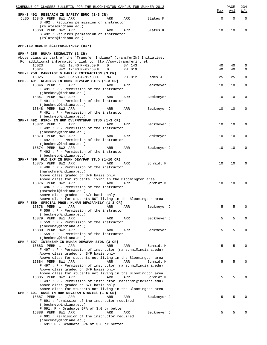| SCHEDULE OF CLASSES BULLETIN FOR THE BLOOMINGTON CAMPUS FOR SUMMER 2013                                       |             | PAGE        | 234          |
|---------------------------------------------------------------------------------------------------------------|-------------|-------------|--------------|
| SPH-S 492 RESEARCH IN SAFETY EDUC (1-3 CR)                                                                    | Max         | <u>Avl</u>  | W/L          |
| CLSD 15845 PERM 8W1 ARR<br>ARR<br>Slates K<br>ARR<br>S 492 : Requires permission of instructor                | $\mathbf 0$ | $\mathbf 0$ | $\mathbf 0$  |
| (kslates@indiana.edu)<br>15868 PERM 8W2 ARR<br>ARR<br>ARR<br>Slates K                                         | 10          | 10          | 0            |
| S 492 : Requires permission of instructor<br>(kslates@indiana.edu)                                            |             |             |              |
| APPLIED HEALTH SCI: FAMILY/DEV (017)                                                                          |             |             |              |
|                                                                                                               |             |             |              |
| SPH-F 255 HUMAN SEXUALITY (3 CR)<br>Above class is part of the "Transfer Indiana" (transferIN) Initiative.    |             |             |              |
| For additional information, link to http://www.transferin.net                                                 |             |             |              |
| 15023<br>4W1 12:40 P-02:50 P<br>D<br>GY 143<br>15024                                                          | 40<br>40    | 40          | 0            |
| 4W2 12:40 P-02:50 P<br>PH 019<br>D<br>SPH-F 258 MARRIAGE & FAMILY INTERACTION (3 CR)                          |             | 40          | 0            |
| 15025<br>6W1 08:50 A-12:30 P<br>PH 012<br>МW<br>James J                                                       | 25          | 25          | 0            |
| SPH-F 491 READNGS IN HUMN DEV&FAM STDS (1-3 CR)<br>15846 PERM 1<br>ARR<br>ARR<br>ARR<br>Beckmeyer J           | 10          | 10          | 0            |
| $F$ 491 : P - Permission of the instructor                                                                    |             |             |              |
| (jbeckmey@indiana.edu)<br>15847 PERM 8W1 ARR<br>ARR<br>ARR                                                    | 10          | 10          | 0            |
| Beckmeyer J<br>$F$ 491 : P - Permission of the instructor                                                     |             |             |              |
| (jbeckmey@indiana.edu)                                                                                        |             |             |              |
| 15848 PERM 8W2 ARR<br>ARR<br>ARR<br>Beckmeyer J<br>F 491 : P - Permission of the instructor                   | 10          | 10          | 0            |
| (jbeckmey@indiana.edu)                                                                                        |             |             |              |
| SPH-F 492 RSRCH IN HUM DVLPMNT&FAM STUD (1-3 CR)<br>ARR                                                       | 10          |             |              |
| 15872 PERM 1<br>ARR<br>ARR<br>Beckmeyer J<br>$F$ 492 : $P$ - Permission of the instructor                     |             | 10          | 0            |
| (jbeckmey@indiana.edu)                                                                                        |             |             |              |
| 15873 PERM 8W1 ARR<br>ARR<br>ARR<br>Beckmeyer J<br>$F$ 492 : P - Permission of the instructor                 | 10          | 10          | 0            |
| (jbeckmey@indiana.edu)                                                                                        |             |             |              |
| 15874 PERM 8W2 ARR<br>ARR<br>Beckmeyer J<br>ARR                                                               | 10          | 10          | 0            |
| $F$ 492 : P - Permission of the instructor<br>(jbeckmey@indiana.edu)                                          |             |             |              |
| SPH-F 496 FLD EXP IN HUMN DEV/FAM STUD (1-10 CR)                                                              |             |             |              |
| 15875 PERM 8W2 ARR<br>Schmidt M<br>ARR<br>ARR<br>F 496 : P - Permission of the instructor                     | 10          | 10          | 0            |
| (marschmi@indiana.edu)                                                                                        |             |             |              |
| Above class graded on S/F basis only                                                                          |             |             |              |
| Above class for students living in the Bloomington area<br>15876 PERM 8W2 ARR<br>Schmidt M<br>ARR<br>ARR      | 10          | 10          | 0            |
| $F$ 496 : $P$ - Permission of the instructor                                                                  |             |             |              |
| (marschmi@indiana.edu)<br>Above class graded on S/F basis only                                                |             |             |              |
| Above class for students NOT living in the Bloomington area                                                   |             |             |              |
| SPH-F 559 SPECIAL PROB: HUMAN DEV&FAMILY (1-3 CR)                                                             |             |             |              |
| 15878 PERM 1<br>ARR<br>ARR<br>ARR<br>Beckmeyer J<br>$F 559 : P - Permission of the instructor$                | 5           | 5           | 0            |
| (jbeckmey@indiana.edu)                                                                                        |             |             |              |
| 15879 PERM 8W1 ARR<br>Beckmeyer J<br>ARR<br>ARR<br>$F 559 : P - Permission of the instructor$                 | 5           | 5           | 0            |
| (jbeckmey@indiana.edu)                                                                                        |             |             |              |
| 15880 PERM 8W2 ARR<br>Beckmeyer J<br>ARR<br>ARR                                                               | 5           | 5           | $\Omega$     |
| $F$ 559 : P - Permission of the instructor<br>(jbeckmey@indiana.edu)                                          |             |             |              |
| SPH-F 597 INTRNSHP IN HUMAN DEV&FAM STDS (3 CR)                                                               |             |             |              |
| 15883 PERM 1<br>ARR<br>ARR<br>ARR<br>Schmidt M<br>F 497 : P - Permission of instructor (marschmi@indiana.edu) | 5           | 5           | 0            |
| Above class graded on S/F basis only                                                                          |             |             |              |
| Above class for students not living in the Bloomington area                                                   |             |             |              |
| 15884 PERM 8W1 ARR<br>ARR<br>ARR<br>Schmidt M<br>F 497 : P - Permission of instructor (marschmi@indiana.edu)  | 5           | 5           | 0            |
| Above class graded on S/F basis only                                                                          |             |             |              |
| Above class for students not living in the Bloomington area<br>15885 PERM 8W2 ARR<br>ARR<br>ARR               | 5           | 5           | <sup>0</sup> |
| Schmidt M<br>F 497 : P - Permission of instructor (marschmi@indiana.edu)                                      |             |             |              |
| Above class graded on S/F basis only                                                                          |             |             |              |
| Above class for students not living in the Bloomington area<br>SPH-F 691 RDGS IN HUM DEV&FAM STUDIES (1-5 CR) |             |             |              |
| 15887 PERM 1<br>ARR<br>ARR<br>ARR<br>Beckmeyer J                                                              | 5           | 5           |              |
| F 691 : Permission of the instructor required                                                                 |             |             |              |
| (jbeckmey@indiana.edu)<br>F 691: P - Graduate GPA of 3.0 or better                                            |             |             |              |
| 15888 PERM 8W1 ARR<br>ARR<br>ARR<br>Beckmeyer J                                                               | 5           | 5           |              |
| F 691 : Permission of the instructor required<br>(jbeckmey@indiana.edu)                                       |             |             |              |
| F 691: P - Graduate GPA of 3.0 or better                                                                      |             |             |              |
|                                                                                                               |             |             |              |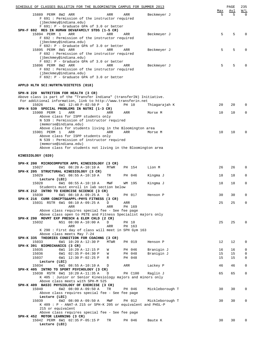| SCHEDULE OF CLASSES BULLETIN FOR THE BLOOMINGTON CAMPUS FOR SUMMER 2013                                                                                                          |          |                  |                 |          | PAGE     | 235                    |
|----------------------------------------------------------------------------------------------------------------------------------------------------------------------------------|----------|------------------|-----------------|----------|----------|------------------------|
| 15889 PERM 8W2 ARR<br>F 691 : Permission of the instructor required                                                                                                              | ARR      | ARR              | Beckmeyer J     | Max<br>5 | Avl<br>5 | <u>W/L</u><br>$\Omega$ |
| (jbeckmey@indiana.edu)<br>F 691: P - Graduate GPA of 3.0 or better<br>SPH-F 692 RES IN HUMAN DEV&FAMILY STDS (1-5 CR)                                                            |          |                  |                 |          |          |                        |
| 15894 PERM 1<br>ARR<br>F 692 : Permission of the instructor required<br>(jbeckmey@indiana.edu)                                                                                   | ARR      | ARR              | Beckmeyer J     | 5        | 5        | $\Omega$               |
| F 692: P - Graduate GPA of 3.0 or better<br>15895 PERM 8W1 ARR<br>F 692 : Permission of the instructor required<br>(jbeckmey@indiana.edu)                                        | ARR      | ARR              | Beckmeyer J     | 5        | 5        | $\Omega$               |
| F 692: P - Graduate GPA of 3.0 or better<br>15896 PERM 8W2 ARR<br>F 692 : Permission of the instructor required<br>(jbeckmey@indiana.edu)                                        | ARR      | ARR              | Beckmeyer J     | 5        | 5        | $\Omega$               |
| F 692: P - Graduate GPA of 3.0 or better                                                                                                                                         |          |                  |                 |          |          |                        |
| APPLD HLTH SCI:NUTRTN/DIETETCS (018)                                                                                                                                             |          |                  |                 |          |          |                        |
| SPH-N 220 NUTRITION FOR HEALTH (3 CR)<br>Above class is part of the "Transfer Indiana" (transferIN) Initiative.<br>For additional information, link to http://www.transferin.net |          |                  |                 |          |          |                        |
| 15026<br>4W1 12:40 P-02:50 P<br>SPH-N 539 SPECIAL PROBLEMS IN NUTRI (1-3 CR)                                                                                                     | D        | PH 10            | Thiagarajah K   | 20       | 20       | $\Omega$               |
| 15900 PERM 1<br>ARR<br>Above class for ISPP students only<br>N 539 : Permission of instructor required                                                                           | ARR      | ARR              | Morse M         | 10       | 10       | 0                      |
| (memorse@indiana.edu)<br>Above class for students living in the Bloomington area                                                                                                 |          |                  |                 |          |          |                        |
| 15901 PERM 1<br>ARR<br>Above class for ISPP students only<br>N 539 : Permission of instructor required                                                                           | ARR      | ARR              | Morse M         | 10       | 10       | 0                      |
| (memorse@indiana.edu)<br>Above class for students not living in the Bloomington area                                                                                             |          |                  |                 |          |          |                        |
| KINESIOLOGY (020)                                                                                                                                                                |          |                  |                 |          |          |                        |
| SPH-K 200 MICROCOMPUTER APPL KINESIOLOGY (3 CR)<br>15027                                                                                                                         |          |                  |                 | 26       |          | 0                      |
| 6W1 08:20 A-10:10 A<br>SPH-K 205 STRUCTURAL KINESIOLOGY (3 CR)                                                                                                                   | MTWR     | PH 154           | Lion M          |          | 26       |                        |
| 15029<br>6W1 08:55 A-10:10 A<br>Lecture (LEC)                                                                                                                                    | TR       | PH 046           | Kingma J        | 18       | 18       | 0                      |
| 15028<br>6W1 08:55 A-10:10 A<br>Students must enroll in lab section below<br>SPH-K 212 INTRO TO EXERCISE SCIENCE (3 CR)                                                          | MWF      | WM 195           | Kingma J        | 18       | 18       | $\mathbf 0$            |
| 15030<br>6W1 08:10 A-09:25 A<br>SPH-K 216 CURR CONCPTS&APPL-PHYS FITNESS (3 CR)                                                                                                  | D        | PH 017           | Henson P        | 30       | 30       | $\mathbf 0$            |
| 15031 RSTR 6W1 08:10 A-09:25 A<br>ARR                                                                                                                                            | D<br>ARR | ARR<br>PH 169    |                 | 25       | 25       | $\mathbf{0}$           |
| Above class requires special fee - See fee page<br>Above class open to PETE and Fitness Specialist majors only<br>SPH-K 290 MOVMT EXP PRESCH & ELEM CHLD (2 CR)                  |          |                  |                 |          |          |                        |
| 15032<br>NS1 08:00 A-10:00 A<br>ARR                                                                                                                                              | D<br>ARR | PH 10<br>PH 163  |                 | 25       | 25       | 0                      |
| K 290: First day of class will meet in SPH Gym 163<br>Above class meets May 7-24                                                                                                 |          |                  |                 |          |          |                        |
| SPH-K 335 THEORIES CONDITION FOR COACHNG (3 CR)<br>6W1 10:20 A-12:30 P<br>15033<br>SPH-K 391 BIOMECHANICS (3 CR)                                                                 | MTWR     | PH 019           | Henson P        | 12       | 12       | 0                      |
| 6W1 10:20 A-12:15 P<br>15035                                                                                                                                                     | W        | PH 046           | Branigin J      | 16       | 16       | 0                      |
| 15036<br>6W1 02:35 P-04:30 P<br>15037<br>6W1 12:30 P-02:25 P                                                                                                                     | W<br>R   | PH 048<br>PH 048 | Branigin J      | 15<br>15 | 15<br>15 | 0<br>0                 |
| Lecture (LEC)<br>6W1 08:55 A-10:10 A<br>15034                                                                                                                                    | D        | ARR              | Lackey P        | 46       | 46       | 0                      |
| SPH-K 405 INTRO TO SPORT PSYCHOLOGY (3 CR)                                                                                                                                       |          |                  |                 |          |          |                        |
| 15038 RSTR 6W1 10:20 A-11:35 A<br>K 405 : Junior or Senior Kinesiology majors and minors only<br>Above class meets with SPH-M 525                                                | D        | PH C100          | Raglin J        | 65       | 65       | $\mathbf 0$            |
| SPH-K 409 BASIC PHYSIOLOGY OF EXERCISE (3 CR)<br>15040<br>6W2 08:00 A-09:50 A<br>Above class requires special fee - See fee page                                                 | TR       | PH 046           | Mickleborough T | 30       | 30       | 0                      |
| Lecture (LEC)<br>15039<br>6W2 08:00 A-09:50 A<br>K 409 : P - ANAT-A 215 or SPH-K 205 or equivalent and PHSL-P                                                                    | MWF      | PH 012           | Mickleborough T | 30       | 30       | 0                      |
| 215 or equivalent<br>Above class requires special fee - See fee page<br>SPH-K 452 MOTOR LEARNING (3 CR)                                                                          |          |                  |                 |          |          |                        |
| 15042 PERM 6W1 02:35 P-05:15 P<br>Lecture (LEC)                                                                                                                                  | TR       | PH 046           | Baute K         | 30       | 30       | 0                      |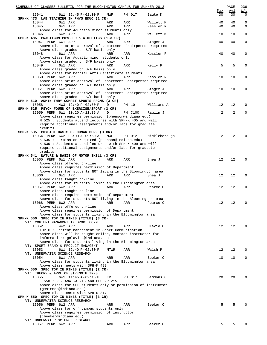| SCHEDULE OF CLASSES BULLETIN FOR THE BLOOMINGTON CAMPUS FOR SUMMER 2013                 |      |         |                 |                 | PAGE | 236          |
|-----------------------------------------------------------------------------------------|------|---------|-----------------|-----------------|------|--------------|
|                                                                                         |      |         |                 | Max             | Avl  | W/L          |
| 15041<br>6W1 12:45 P-02:00 P<br>SPH-K 473 LAB TEACHING IN PHYS EDUC (1 CR)              | MWF  | PH 017  | Baute K         | 30              | 30   | $\mathbf 0$  |
| 15044<br>6W1 ARR                                                                        | ARR  | ARR     | Willett M       | 40              | 40   | $\mathbf 0$  |
| 15045<br>6W1 ARR                                                                        | ARR  | ARR     | Kessler R       | 40              | 40   | $\mathbf{0}$ |
| Above class for Aquatics minor students only                                            |      |         |                 |                 |      |              |
| 6W2 ARR<br>15046                                                                        | ARR  | ARR     | Willett M       | 10              | 10   | $\mathbf 0$  |
| SPH-K 485 PRACTICUM PHYS ED & ATHLETICS (1-3 CR)                                        |      |         |                 |                 |      |              |
| 15047 PERM 6W1 ARR                                                                      | ARR  | ARR     | Stager J        | 40              | 40   | $\mathbf 0$  |
| Above class prior approval of Department Chairperson required                           |      |         |                 |                 |      |              |
| Above class graded on S/F basis only<br>15048<br>6W1 ARR                                | ARR  | ARR     | Kessler R       | 40              | 40   | $\mathbf 0$  |
| Above class for Aquatic minor students only                                             |      |         |                 |                 |      |              |
| Above class graded on S/F basis only                                                    |      |         |                 |                 |      |              |
| 15049<br>6W1 ARR                                                                        | ARR  | ARR     | Kelly P         | 5               | 5    | $\mathbf 0$  |
| Above class graded on S/F basis only                                                    |      |         |                 |                 |      |              |
| Above class for Martial Arts Certificate students                                       |      |         |                 |                 |      |              |
| 15050 PERM 6W2 ARR                                                                      | ARR  | ARR     | Kessler R       | 10              | 10   | $\mathbf 0$  |
| Above class prior approval of Department Chairperson required                           |      |         |                 |                 |      |              |
| Above class graded on S/F basis only                                                    |      |         |                 |                 |      |              |
| 15051 PERM 6W2 ARR                                                                      | ARR  | ARR     | Stager J        | 10              | 10   | $\mathbf 0$  |
| Above class prior approval of Department Chairperson required                           |      |         |                 |                 |      |              |
| Above class graded on S/F basis only<br>SPH-M 510 ADMIN THRY COMPET SPORTS PRGMS (3 CR) |      |         |                 |                 |      |              |
| 4W3 12:40 P-02:50 P<br>15058                                                            | D    | PH 10   | Williams A      | 12              | 12   | $\mathbf 0$  |
| SPH-M 525 PSYCH FOUND OF EXERCISE/SPORT (3 CR)                                          |      |         |                 |                 |      |              |
| 15059 PERM 6W1 10:20 A-11:35 A                                                          | D    | PH C100 | Raglin J        | 2               | 2    | $\mathbf 0$  |
| Above class requires permission (phenson@indiana.edu)                                   |      |         |                 |                 |      |              |
| M 525 : Students attend lectures with SPH-K 405 and will                                |      |         |                 |                 |      |              |
| require additional assignments and/or labs for graduate                                 |      |         |                 |                 |      |              |
| credits                                                                                 |      |         |                 |                 |      |              |
| SPH-K 535 PHYSIOL BASIS OF HUMAN PERF (3 CR)                                            |      |         |                 |                 |      |              |
| 15064 PERM 6W2 08:00 A-09:50 A                                                          | MWF  | PH 012  | Mickleborough T | 2               | 2    | $\Omega$     |
| K 535 : Permission required (phenson@indiana.edu)                                       |      |         |                 |                 |      |              |
| K 535 : Students attend lectures with SPH-K 409 and will                                |      |         |                 |                 |      |              |
| require additional assignments and/or labs for graduate<br>credits                      |      |         |                 |                 |      |              |
| SPH-K 541 NATURE & BASIS OF MOTOR SKILL (3 CR)                                          |      |         |                 |                 |      |              |
| 15065 PERM 6W1 ARR                                                                      | ARR  | ARR     | Shea J          | 12              | 12   | $\mathbf 0$  |
| Above class offered on-line                                                             |      |         |                 |                 |      |              |
| Above class requires permission of Department                                           |      |         |                 |                 |      |              |
| Above class for students NOT living in the Bloomington area                             |      |         |                 |                 |      |              |
| 15066<br>6W1 ARR                                                                        | ARR  | ARR     | Shea J          | 12              | 12   | $\mathbf 0$  |
| Above class taught on-line                                                              |      |         |                 |                 |      |              |
| Above class for students living in the Bloomington area                                 |      |         |                 |                 |      |              |
| 15067 PERM 6W2 ARR                                                                      | ARR  | ARR     | Pearce C        | 12              | 12   | $\mathbf 0$  |
| Above class taught on-line                                                              |      |         |                 |                 |      |              |
| Above class requires permission of Department                                           |      |         |                 |                 |      |              |
| Above class for students NOT living in the Bloomington area                             |      |         |                 |                 |      |              |
| 15068 PERM 6W2 ARR<br>Above class offered on-line                                       | ARR  | ARR     | Pearce C        | 12              | 12   | 0            |
| Above class requires permission of Department                                           |      |         |                 |                 |      |              |
| Above class for students living in the Bloomington area                                 |      |         |                 |                 |      |              |
| SPH-K 550 SPEC TOP IN KINES (TITLE) (3 CR)                                              |      |         |                 |                 |      |              |
| VT: CONTENT MANAGMNT IN SPORT COMM                                                      |      |         |                 |                 |      |              |
| 15052<br>4W2 ARR                                                                        | ARR  | ARR     | Clavio G        | 12              | 12   | $\Omega$     |
| TOPIC: Content Management in Sport Communication                                        |      |         |                 |                 |      |              |
| Above class will be taught online, contact instructor for                               |      |         |                 |                 |      |              |
| information: gclavio2@indiana.edu                                                       |      |         |                 |                 |      |              |
| Above class for students living in the Bloomington area                                 |      |         |                 |                 |      |              |
| VT: SPORT BRAND & PRODUCT MANAGEMT<br>6W1 12:40 P-02:30 P<br>15053                      | MTWR | ARR     | Walsh P         | 12 <sup>°</sup> | 12   | $\mathbf 0$  |
| VT: UNDERWATER SCIENCE RESEARCH                                                         |      |         |                 |                 |      |              |
| 15054<br>6W1 ARR                                                                        | ARR  | ARR     | Beeker C        | 10              | 10   | $\mathbf{0}$ |
| Above class for students living in the Bloomington area                                 |      |         |                 |                 |      |              |
| Above class meets with SPH-K 492                                                        |      |         |                 |                 |      |              |
| SPH-K 550 SPEC TOP IN KINES (TITLE) (2 CR)                                              |      |         |                 |                 |      |              |
| VT: THEORY & APPL OF STRENGTH TRNG                                                      |      |         |                 |                 |      |              |
| 15055<br>6W1 11:45 A-02:15 P                                                            | TR   | PH 017  | Simmons G       | 20              | 20   | $\Omega$     |
| K 550 : P - ANAT-A 215 and PHSL-P 215                                                   |      |         |                 |                 |      |              |
| Above class for SPH students only or permission of instructor                           |      |         |                 |                 |      |              |
| (gmsimmon@indiana.edu)                                                                  |      |         |                 |                 |      |              |
| Above class meets with SPH-K 317                                                        |      |         |                 |                 |      |              |
| SPH-K 550 SPEC TOP IN KINES (TITLE) (3 CR)<br>VT: UNDERWATER SCIENCE RESEARCH           |      |         |                 |                 |      |              |
| 15056 PERM 6W2 ARR                                                                      | ARR  | ARR     | Beeker C        | 5               | 5    | $\Omega$     |
| Above class for off campus students only                                                |      |         |                 |                 |      |              |
| Above class requires permission of instructor                                           |      |         |                 |                 |      |              |
| (cbeeker@indiana.edu)                                                                   |      |         |                 |                 |      |              |
| VT: UNDERWATER SCIENCE RESEARCH                                                         |      |         |                 |                 |      |              |
| 15057 PERM 6W2 ARR                                                                      | ARR  | ARR     | Beeker C        | 5               | 5    | $\Omega$     |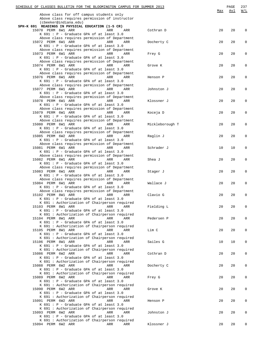| SCHEDULE OF CLASSES BULLETIN FOR THE BLOOMINGTON CAMPUS FOR SUMMER 2013<br>Above class for off campus students only |                 | Max | PAGE<br>Avl | 237<br>W/L |
|---------------------------------------------------------------------------------------------------------------------|-----------------|-----|-------------|------------|
| Above class requires permission of instructor<br>(cbeeker@indiana.edu)                                              |                 |     |             |            |
| SPH-K 691 READINGS IN PHYSICAL EDUCATION (1-5 CR)                                                                   |                 |     |             |            |
| 15070 PERM 6W1 ARR<br>ARR<br>ARR                                                                                    | Cothran D       | 20  | 20          | 0          |
| K 691 : P - Graduate GPA of at least 3.0<br>Above class requires permission of Department                           |                 |     |             |            |
| 15072 PERM 6W1 ARR<br>ARR<br>ARR                                                                                    | Docherty C      | 20  | 20          | 0          |
| K 691 : P - Graduate GPA of at least 3.0                                                                            |                 |     |             |            |
| Above class requires permission of Department<br>15073 PERM 6W1 ARR<br>ARR<br>ARR                                   | Frey G          | 20  | 20          | 0          |
| K 691 : P - Graduate GPA of at least 3.0                                                                            |                 |     |             |            |
| Above class requires permission of Department<br>15074 PERM 6W1 ARR<br>ARR<br>ARR                                   | Grove K         | 20  | 20          | 0          |
| K 691 : P - Graduate GPA of at least 3.0                                                                            |                 |     |             |            |
| Above class requires permission of Department                                                                       |                 |     |             |            |
| 15076 PERM 6W1 ARR<br>ARR<br>ARR<br>K 691 : P - Graduate GPA of at least 3.0                                        | Henson P        | 20  | 20          | 0          |
| Above class requires permission of Department                                                                       |                 |     |             |            |
| 15077 PERM 6W1 ARR<br>ARR<br>ARR                                                                                    | Johnston J      | 20  | 20          | 0          |
| K 691 : P - Graduate GPA of at least 3.0<br>Above class requires permission of Department                           |                 |     |             |            |
| 15078 PERM 6W1 ARR<br>ARR<br>ARR                                                                                    | Klossner J      | 20  | 20          | 0          |
| K 691 : P - Graduate GPA of at least 3.0                                                                            |                 |     |             |            |
| Above class requires permission of Department<br>15079 PERM 6W1 ARR<br>ARR<br>ARR                                   | Koceja D        | 20  | 20          | 0          |
| K 691 : P - Graduate GPA of at least 3.0                                                                            |                 |     |             |            |
| Above class requires permission of Department                                                                       |                 |     |             |            |
| 15080 PERM 6W1 ARR<br>ARR<br>ARR<br>K 691 : P - Graduate GPA of at least 3.0                                        | Mickleborough T | 20  | 20          | 0          |
| Above class requires permission of Department                                                                       |                 |     |             |            |
| 15085 PERM 6W2 ARR<br>ARR<br>ARR                                                                                    | Raglin J        | 20  | 20          | 0          |
| K 691 : P - Graduate GPA of at least 3.0<br>Above class requires permission of Department                           |                 |     |             |            |
| 15081 PERM 6W1 ARR<br>ARR<br>ARR                                                                                    | Schrader J      | 10  | 10          | 0          |
| K 691 : P - Graduate GPA of at least 3.0                                                                            |                 |     |             |            |
| Above class requires permission of Department<br>15082 PERM 6W1 ARR<br>ARR<br>ARR                                   | Shea J          | 20  | 20          | 0          |
| K 691 : P - Graduate GPA of at least 3.0                                                                            |                 |     |             |            |
| Above class requires permission of Department                                                                       |                 | 20  | 20          | 0          |
| 15083 PERM 6W1 ARR<br>ARR<br>ARR<br>K 691 : P - Graduate GPA of at least 3.0                                        | Stager J        |     |             |            |
| Above class requires permission of Department                                                                       |                 |     |             |            |
| 15084 PERM 6W1 ARR<br>ARR<br>ARR<br>K 691 : P - Graduate GPA of at least 3.0                                        | Wallace J       | 20  | 20          | 0          |
| Above class requires permission of Department                                                                       |                 |     |             |            |
| 15102 PERM 8W1 ARR<br>ARR<br>ARR                                                                                    | Clavio G        | 20  | 20          | 0          |
| $K$ 691 : P - Graduate GPA of at least 3.0<br>K 691 : Authorization of Chairperson required                         |                 |     |             |            |
| 15103 PERM 8W1 ARR<br>ARR<br>ARR                                                                                    | Fielding L      | 20  | 20          | 0          |
| K 691 : P - Graduate GPA of at least 3.0                                                                            |                 |     |             |            |
| K 691 : Authorization of Chairperson required<br>15104 PERM 8W1 ARR<br>ARR<br>ARR                                   | Pedersen P      | 20  | 20          | 0          |
| $K$ 691 : P - Graduate GPA of at least 3.0                                                                          |                 |     |             |            |
| K 691 : Authorization of Chairperson required                                                                       |                 |     |             |            |
| 15105 PERM 8W1 ARR<br>ARR<br>ARR<br>K 691 : P - Graduate GPA of at least 3.0                                        | Lim C           | 20  | 20          | 0          |
| K 691 : Authorization of Chairperson required                                                                       |                 |     |             |            |
| 15106 PERM 8W1 ARR<br>ARR<br>ARR                                                                                    | Sailes G        | 10  | 10          | 0          |
| $K$ 691 : P - Graduate GPA of at least 3.0<br>K 691 : Authorization of Chairperson required                         |                 |     |             |            |
| 15086 PERM 6W2 ARR<br>ARR<br>ARR                                                                                    | Cothran D       | 20  | 20          | 0          |
| K 691 : P - Graduate GPA of at least 3.0                                                                            |                 |     |             |            |
| K 691 : Authorization of Chairperson required<br>15088 PERM 6W2 ARR<br>ARR<br>ARR                                   | Docherty C      | 20  | 20          | 0          |
| $K$ 691 : P - Graduate GPA of at least 3.0                                                                          |                 |     |             |            |
| K 691 : Authorization of Chairperson required                                                                       |                 |     |             |            |
| 15089 PERM 6W2 ARR<br>ARR<br>ARR<br>K 691 : P - Graduate GPA of at least 3.0                                        | Frey G          | 20  | 20          | 0          |
| K 691 : Authorization of Chairperson required                                                                       |                 |     |             |            |
| 15090 PERM 6W2 ARR<br>ARR<br>ARR                                                                                    | Grove K         | 20  | 20          | 0          |
| $K$ 691 : P - Graduate GPA of at least 3.0<br>K 691 : Authorization of Chairperson required                         |                 |     |             |            |
| 15091 PERM 6W2 ARR<br>ARR<br>ARR                                                                                    | Henson P        | 20  | 20          | 0          |
| K 691 : P - Graduate GPA of at least 3.0<br>K 691 : Authorization of Chairperson required                           |                 |     |             |            |
| 15093 PERM 6W2 ARR<br>ARR<br>ARR                                                                                    | Johnston J      | 20  | 20          | 0          |
| $K$ 691 : P - Graduate GPA of at least 3.0                                                                          |                 |     |             |            |
| K 691 : Authorization of Chairperson required<br>15094 PERM 6W2 ARR<br>ARR<br>ARR                                   | Klossner J      | 20  | 20          | 0          |
|                                                                                                                     |                 |     |             |            |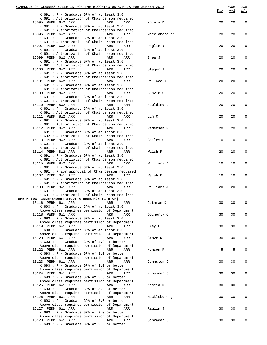| SCHEDULE OF CLASSES BULLETIN FOR THE BLOOMINGTON CAMPUS FOR SUMMER 2013                          |                 | Max | PAGE<br><u>Avl</u> | 238<br>$\underline{W/L}$ |
|--------------------------------------------------------------------------------------------------|-----------------|-----|--------------------|--------------------------|
| $K$ 691 : P - Graduate GPA of at least 3.0                                                       |                 |     |                    |                          |
| K 691 : Authorization of Chairperson required                                                    |                 |     |                    |                          |
| 15095 PERM 6W2 ARR<br>ARR<br>ARR<br>K 691 : P - Graduate GPA of at least 3.0                     | Koceja D        | 20  | 20                 | $\mathsf 0$              |
| K 691 : Authorization of Chairperson required                                                    |                 |     |                    |                          |
| 15096 PERM 6W2 ARR<br>ARR<br>ARR                                                                 | Mickleborough T | 20  | 20                 | 0                        |
| K 691 : P - Graduate GPA of at least 3.0<br>K 691 : Authorization of Chairperson required        |                 |     |                    |                          |
| 15097 PERM 6W2 ARR<br>ARR<br>ARR                                                                 | Raglin J        | 20  | 20                 | 0                        |
| K 691 : P - Graduate GPA of at least 3.0                                                         |                 |     |                    |                          |
| K 691 : Authorization of Chairperson required                                                    |                 |     |                    |                          |
| 15099 PERM 6W2 ARR<br>ARR<br>ARR<br>K 691 : P - Graduate GPA of at least 3.0                     | Shea J          | 20  | 20                 | $\mathbf 0$              |
| K 691 : Authorization of Chairperson required                                                    |                 |     |                    |                          |
| 15100 PERM 6W2 ARR<br>ARR<br>ARR                                                                 | Stager J        | 20  | 20                 | $\mathsf 0$              |
| K 691 : P - Graduate GPA of at least 3.0                                                         |                 |     |                    |                          |
| K 691 : Authorization of Chairperson required<br>15101 PERM 6W2 ARR<br>ARR<br>ARR                |                 | 20  | 20                 | 0                        |
| K 691 : P - Graduate GPA of at least 3.0                                                         | Wallace J       |     |                    |                          |
| K 691 : Authorization of Chairperson required                                                    |                 |     |                    |                          |
| 15109 PERM 8W2 ARR<br>ARR<br>ARR                                                                 | Clavio G        | 20  | 20                 | 0                        |
| K 691 : P - Graduate GPA of at least 3.0<br>K 691 : Authorization of Chairperson required        |                 |     |                    |                          |
| 15110 PERM 8W2 ARR<br>ARR<br>ARR                                                                 | Fielding L      | 20  | 20                 | $\mathbf 0$              |
| K 691 : P - Graduate GPA of at least 3.0                                                         |                 |     |                    |                          |
| K 691 : Authorization of Chairperson required                                                    |                 |     |                    |                          |
| 15111 PERM 8W2 ARR<br><b>ARR</b><br>ARR                                                          | Lim C           | 20  | 20                 | $\mathsf 0$              |
| K 691 : P - Graduate GPA of at least 3.0<br>K 691 : Authorization of Chairperson required        |                 |     |                    |                          |
| 15112 PERM 8W2 ARR<br>ARR<br>ARR                                                                 | Pedersen P      | 20  | 20                 | 0                        |
| K 691 : P - Graduate GPA of at least 3.0                                                         |                 |     |                    |                          |
| K 692 : Authorization of Chairperson required                                                    |                 | 10  |                    |                          |
| 15113 PERM 8W2 ARR<br>ARR<br>ARR<br>K 691 : P - Graduate GPA of at least 3.0                     | Sailes G        |     | 10                 | 0                        |
| K 691 : Authorization of Chairperson required                                                    |                 |     |                    |                          |
| 15114 PERM 8W2 ARR<br>ARR<br>ARR                                                                 | Walsh P         | 20  | 20                 | $\mathbf 0$              |
| K 691 : P - Graduate GPA of at least 3.0<br>K 691 : Authorization of Chairperson required        |                 |     |                    |                          |
| 15115 PERM 8W2 ARR<br>ARR<br>ARR                                                                 | Williams A      | 10  | 10                 | $\mathsf 0$              |
| K 691 : P - Graduate GPA of at least 3.0                                                         |                 |     |                    |                          |
| K 691 : Prior approval of Chairperson required                                                   |                 |     |                    |                          |
| 15107 PERM 8W1 ARR<br>ARR<br>ARR                                                                 | Walsh P         | 10  | 10                 | 0                        |
| $K$ 691 : P - Graduate GPA of at least 3.0<br>K 691 : Authorization of Chairperson required      |                 |     |                    |                          |
| 15108 PERM 8W1 ARR<br>ARR<br>ARR                                                                 | Williams A      | 20  | 20                 | 0                        |
| $K$ 691 : P - Graduate GPA of at least 3.0                                                       |                 |     |                    |                          |
| K 691 : Authorization of Chairperson required<br>SPH-K 693 INDEPENDENT STUDY & RESEARCH (1-5 CR) |                 |     |                    |                          |
| 15116 PERM 6W1 ARR<br>ARR<br>ARR                                                                 | Cothran D       | 30  | 30                 | $\mathbf 0$              |
| K 693 : P - Graduate GPA of at least 3.0                                                         |                 |     |                    |                          |
| Above class requires permission of Department                                                    |                 |     |                    |                          |
| 15118 PERM 6W1 ARR<br>ARR<br>ARR                                                                 | Docherty C      | 30  | 30                 | 0                        |
| $K$ 693 : P - Graduate GPA of at least 3.0<br>Above class requires permission of Department      |                 |     |                    |                          |
| 15119 PERM 6W1 ARR<br>ARR<br>ARR                                                                 | Frey G          | 30  | 30                 | 0                        |
| K 693 : P - Graduate GPA of at least 3.0                                                         |                 |     |                    |                          |
| Above class requires permission of Department<br>15120 PERM 6W1 ARR<br>ARR<br>ARR                | Grove K         | 30  | 30                 | 0                        |
| K 693 : P - Graduate GPA of 3.0 or better                                                        |                 |     |                    |                          |
| Above class requires permission of Department                                                    |                 |     |                    |                          |
| 15122 PERM 6W1 ARR<br>ARR<br>ARR                                                                 | Henson P        | 5   | 5                  | $\mathbf 0$              |
| K 693 : P - Graduate GPA of 3.0 or better<br>Above class requires permission of Department       |                 |     |                    |                          |
| 15123 PERM 6W1 ARR<br>ARR<br>ARR                                                                 | Johnston J      | 30  | 30                 | 0                        |
| $K$ 693 : P - Graduate GPA of 3.0 or better                                                      |                 |     |                    |                          |
| Above class requires permission of Department                                                    |                 |     |                    |                          |
| 15124 PERM 6W1 ARR<br>ARR<br>ARR<br>K 693 : P - Graduate GPA of 3.0 or better                    | Klossner J      | 30  | 30                 | 0                        |
| Above class requires permission of Department                                                    |                 |     |                    |                          |
| 15125 PERM 6W1 ARR<br>ARR<br>ARR                                                                 | Koceja D        | 30  | 30                 | 0                        |
| K 693 : P - Graduate GPA of 3.0 or better                                                        |                 |     |                    |                          |
| Above class requires permission of Department<br>15126 PERM 6W1 ARR<br>ARR<br>ARR                | Mickleborough T | 30  | 30                 | 0                        |
| K 693 : P - Graduate GPA of 3.0 or better                                                        |                 |     |                    |                          |
| Above class requires permission of Department                                                    |                 |     |                    |                          |
| 15127 PERM 6W1 ARR<br>ARR<br>ARR                                                                 | Raglin J        | 30  | 30                 | 0                        |
| $K$ 693 : P - Graduate GPA of 3.0 or better<br>Above class requires permission of Department     |                 |     |                    |                          |
| 15128 PERM 6W1 ARR<br>ARR<br>ARR                                                                 | Schrader J      | 30  | 30                 |                          |
| K 693 : P - Graduate GPA of 3.0 or better                                                        |                 |     |                    |                          |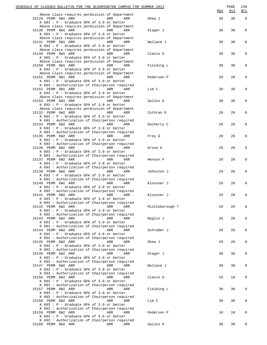| SCHEDULE OF CLASSES BULLETIN FOR THE BLOOMINGTON CAMPUS FOR SUMMER 2013                                                                                                  |     |                 | <u>Max</u> | PAGE<br><u>Avl</u> | 239<br>$\underline{\texttt{W}}/\texttt{L}$ |
|--------------------------------------------------------------------------------------------------------------------------------------------------------------------------|-----|-----------------|------------|--------------------|--------------------------------------------|
| Above class requires permission of Department<br>15129 PERM 6W1 ARR<br>ARR                                                                                               | ARR | Shea J          | 30         | 30                 | $\mathbf 0$                                |
| K 693 : P - Graduate GPA of 3.0 or better<br>Above class requires permission of Department<br>15130 PERM 6W1 ARR<br>ARR<br>K 693 : P - Graduate GPA of 3.0 or better     | ARR | Stager J        | 30         | 30                 | 0                                          |
| Above class requires permission of Department<br>15131 PERM 6W1 ARR<br>ARR<br>K 693 : P - Graduate GPA of 3.0 or better                                                  | ARR | Wallace J       | 30         | 30                 | 0                                          |
| Above class requires permission of Department<br>15149 PERM 8W1 ARR<br><b>Example 2018</b> ARR<br>K 693 : P - Graduate GPA of 3.0 or better                              | ARR | Clavio G        | 30         | 30                 | 0                                          |
| Above class requires permission of Department<br>15150 PERM 8W1 ARR<br>ARR<br>K 693 : P - Graduate GPA of 3.0 or better                                                  | ARR | Fielding L      | 30         | 30                 | 0                                          |
| Above class requires permission of Department<br>15151 PERM 8W1 ARR<br>ARR<br>K 693 : P - Graduate GPA of 3.0 or better                                                  | ARR | Pedersen P      | 20         | 20                 | 0                                          |
| K 693 : Authorization of Chairperson required<br>15152 PERM 8W1 ARR<br>ARR<br>K 693 : P - Graduate GPA of 3.0 or better<br>Above class requires permission of Department | ARR | Lim C           | 30         | 30                 | 0                                          |
| 15153 PERM 8W1 ARR<br><b>Example 21 ARR</b><br>K 693 : P - Graduate GPA of 3.0 or better<br>Above class requires permission of Department                                | ARR | Sailes G        | 30         | 30                 | 0                                          |
| 15132 PERM 6W2 ARR<br>ARR<br>K 693 : P - Graduate GPA of 3.0 or better<br>K 693 : Authorization of Chairperson required                                                  | ARR | Cothran D       | 20         | 20                 | 0                                          |
| 15134 PERM 6W2 ARR<br>ARR<br>K 693 : P - Graduate GPA of 3.0 or better<br>K 693 : Authorization of Chairperson required                                                  | ARR | Docherty C      | 20         | 20                 | 0                                          |
| 15135 PERM 6W2 ARR<br>ARR<br>K 693 : P - Graduate GPA of 3.0 or better<br>K 693 : Authorization of Chairperson required                                                  | ARR | Frey G          | 20         | 20                 | 0                                          |
| 15136 PERM 6W2 ARR<br>ARR<br>K 693 : P - Graduate GPA of 3.0 or better<br>K 693 : Authorization of Chairperson required                                                  | ARR | Grove K         | 20         | 20                 | 0                                          |
| 15137 PERM 6W2 ARR<br>ARR<br>K 693 : P - Graduate GPA of 3.0 or better<br>K 693 : Authorization of Chairperson required                                                  | ARR | Henson P        | 20         | 20                 | 0                                          |
| 15139 PERM 6W2 ARR<br>ARR<br>K 693 : P - Graduate GPA of 3.0 or better<br>K 693 : Authorization of Chairperson required                                                  | ARR | Johnston J      | 20         | 20                 | $\mathsf 0$                                |
| 15140 PERM 6W2 ARR<br>ARR<br>K 693 : P - Graduate GPA of 3.0 or better<br>K 693 : Authorization of Chairperson required                                                  | ARR | Klossner J      | 20         | 20                 | $\Omega$                                   |
| 15141 PERM 6W2 ARR<br>ARR<br>K 693 : P - Graduate GPA of 3.0 or better<br>K 693 : Authorization of Chairperson required                                                  | ARR | Klossner J      | 20         | 20                 | 0                                          |
| 15142 PERM 6W2 ARR<br>ARR<br>K 693 : P - Graduate GPA of 3.0 or better<br>K 693 : Authorization of Chairperson required                                                  | ARR | Mickleborough T | 20         | 20                 | 0                                          |
| 15143 PERM 6W2 ARR<br>ARR<br>K 693 : P - Graduate GPA of 3.0 or better<br>K 693 : Authorization of Chairperson required                                                  | ARR | Raglin J        | 20         | 20                 | 0                                          |
| 15144 PERM 6W2 ARR<br>ARR<br>K 693 : P - Graduate GPA of 3.0 or better<br>K 693 : Authorization of Chairperson required                                                  | ARR | Schrader J      | 20         | 20                 | 0                                          |
| 15145 PERM 6W2 ARR<br>ARR<br>K 693 : P - Graduate GPA of 3.0 or better<br>K 693 : Authorization of Chairperson required                                                  | ARR | Shea J          | 20         | 20                 | $\mathsf{O}\xspace$                        |
| 15146 PERM 6W2 ARR<br>ARR<br>K 693 : P - Graduate GPA of 3.0 or better<br>K 693 : Authorization of Chairperson required                                                  | ARR | Stager J        | 30         | 30                 | $\mathbf 0$                                |
| 15147 PERM 6W2 ARR<br>ARR<br>K 693 : P - Graduate GPA of 3.0 or better<br>K 693 : Authorization of Chairperson required                                                  | ARR | Wallace J       | 30         | 30                 | 0                                          |
| 15156 PERM 8W2 ARR<br>ARR<br>K 693 : P - Graduate GPA of 3.0 or better<br>K 693 : Authorization of Chairperson required                                                  | ARR | Clavio G        | 10         | 10                 | 0                                          |
| 15157 PERM 8W2 ARR<br>ARR<br>K 693 : P - Graduate GPA of 3.0 or better                                                                                                   | ARR | Fielding L      | 30         | 30                 | $\mathsf{O}\xspace$                        |
| K 693 : Authorization of Chairperson required<br>15158 PERM 8W2 ARR<br>ARR<br>K 693 : P - Graduate GPA of 3.0 or better                                                  | ARR | Lim C           | 30         | 30                 | 0                                          |
| K 693 : Authorization of Chairperson required<br>15159 PERM 8W2 ARR<br>ARR<br>K 693 : P - Graduate GPA of 3.0 or better<br>K 693 : Authorization of Chairperson required | ARR | Pedersen P      | 10         | 10                 | 0                                          |
| 15160 PERM 8W2 ARR<br>ARR                                                                                                                                                | ARR | Sailes G        | 30         | 30                 | $\mathbf 0$                                |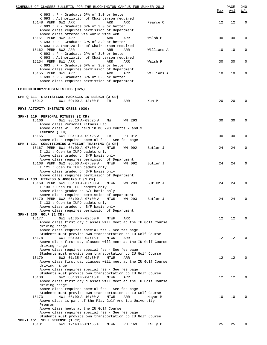| SCHEDULE OF CLASSES BULLETIN FOR THE BLOOMINGTON CAMPUS FOR SUMMER 2013                                                                                                                                                                        | <u>Max</u> | PAGE<br><u>Avl</u> | 240<br>W/L   |
|------------------------------------------------------------------------------------------------------------------------------------------------------------------------------------------------------------------------------------------------|------------|--------------------|--------------|
| $K$ 693 : P - Graduate GPA of 3.0 or better<br>K 693 : Authorization of Chairperson required<br>15148 PERM 6W2 ARR<br>ARR<br>ARR<br>Pearce C<br>K 693 : P - Graduate GPA of 3.0 or better                                                      | 12         | 12                 | $\mathbf 0$  |
| Above class requires permission of Department<br>Above class offered via World Wide Web<br>15161 PERM 8W2 ARR<br>ARR<br>ARR<br>Walsh P<br>$K$ 693 : P - Graduate GPA of 3.0 or better                                                          | 30         | 30                 | 0            |
| K 693 : Authorization of Chairperson required<br>15162 PERM 8W2 ARR<br>ARR<br>ARR<br>Williams A<br>$K$ 693 : P - Graduate GPA of 3.0 or better                                                                                                 | 10         | 10                 | 0            |
| K 693 : Authorization of Chairperson required<br>15154 PERM 8W1 ARR<br>ARR<br>ARR<br>Walsh P<br>$K$ 693 : P - Graduate GPA of 3.0 or better<br>Above class requires permission of Department                                                   | 30         | 30                 | 0            |
| 15155 PERM 8W1 ARR<br>ARR<br>ARR<br>Williams A<br>$K$ 693 : P - Graduate GPA of 3.0 or better<br>Above class requires permission of Department                                                                                                 | 10         | 10                 | 0            |
| EPIDEMIOLOGY/BIOSTATISTICS (025)                                                                                                                                                                                                               |            |                    |              |
| SPH-Q 611 STATISTICAL PACKAGES IN RESRCH (3 CR)<br>15912<br>6W1 09:00 A-12:00 P<br>TR<br>ARR<br>Xun P                                                                                                                                          | 20         | 20                 | 0            |
| PHYS ACTIVITY INSTRCTN CRSES (030)                                                                                                                                                                                                             |            |                    |              |
| SPH-I 119 PERSONAL FITNESS (2 CR)<br>6W1 08:10 A-09:25 A<br>15166<br>WM 293<br>MW<br>Above class Personal Fitness Lab                                                                                                                          | 30         | 30                 | 0            |
| Above class will be held in MG 293 courts 2 and 3<br>Lecture (LEC)<br>15165<br>6W1 08:10 A-09:25 A<br>TR<br>PH 012<br>Above class requires special fee - See fee page                                                                          | 30         | 30                 | 0            |
| SPH-I 121 CONDITIONING & WEIGHT TRAINING (1 CR)<br>15167 PERM 6W1 06:00 A-07:00 A<br>MTWR<br>WM 092<br>Butler J<br>I 121 : Open to IUPD cadets only                                                                                            | 24         | 24                 | 0            |
| Above class graded on S/F basis only<br>Above class requires permission of Department<br>15168 PERM 6W2 06:00 A-07:00 A<br>MTWR<br>WM 092<br>Butler J<br>I 121 : Open to IUPD cadets only                                                      | 24         | 24                 | 0            |
| Above class graded on S/F basis only<br>Above class requires permission of Department                                                                                                                                                          |            |                    |              |
| SPH-I 133 FITNESS & JOGGING I (1 CR)<br>15169 PERM 6W1 06:00 A-07:00 A<br>Butler J<br>MTWR<br>WM 293<br>I 133 : Open to IUPD cadets only                                                                                                       | 24         | 24                 | 0            |
| Above class graded on S/F basis only<br>Above class requires permission of Department<br>15170 PERM 6W2 06:00 A-07:00 A MTWR WM 293<br>Butler J<br>I 133 : Open to IUPD cadets only                                                            | 24         | 24                 |              |
| Above class graded on S/F basis only<br>Above class requires permission of Department<br>SPH-I 135 GOLF (1 CR)                                                                                                                                 |            |                    |              |
| 15177<br>6W1 01:35 P-02:50 P<br>MTWR<br>ARR<br>Above class first day classes will meet at the IU Golf Course<br>driving range<br>Above class requires special fee - See fee page                                                               | 12         | 12                 | O            |
| Students must provide own transportation to IU Golf Course<br>6W1 03:00 P-04:15 P<br>15178<br>MTWR<br>ARR<br>Above class first day classes will meet at the IU Golf Course<br>driving range                                                    | 12         | 12                 | <sup>0</sup> |
| Above class requires special fee - See fee page<br>Students must provide own transportation to IU Golf Course<br>6W2 01:35 P-02:50 P<br>15179<br>MTWR<br>ARR<br>Above class first day classes will meet at the IU Golf Course                  | 12         | 12                 | O            |
| driving range<br>Above class requires special fee - See fee page<br>Students must provide own transportation to IU Golf Course<br>6W2 03:00 P-04:15 P<br>MTWR<br>15180<br>ARR<br>Above class first day classes will meet at the IU Golf Course | 12         | 12                 | 0            |
| driving range<br>Above class requires special fee - See fee page<br>Students must provide own transportation to IU Golf Course<br>4W1 08:00 A-10:00 A<br>MTWR<br>15173<br>ARR<br>Mayer M                                                       | 10         | 10                 |              |
| Above class is part of the Play Golf America University<br>Program<br>Above class meets at the IU Golf Course<br>Above class requires special fee - See fee page                                                                               |            |                    |              |
| Students must provide own transportation to IU Golf Course<br>SPH-I 151 SELF DEFENSE (1 CR)                                                                                                                                                    |            |                    |              |
| 15181<br>6W1 12:40 P-01:55 P<br>PH 169<br>Kelly P<br>MTWR                                                                                                                                                                                      | 25         | 25                 |              |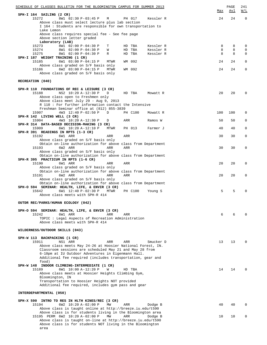| SPH-I 164 SAILING (2 CR)<br>15272<br>8W1 02:30 P-03:45 P<br>24<br>$\Omega$<br>М<br>PH 017<br>Kessler R<br>24<br>Above class must select lecture plus lab section<br>I 164 : Students are responsible for own transportation to<br>Lake Lemon<br>Above class requires special fee - See fee page<br>Above section letter graded<br>Laboratory (LAB)<br>8W1 02:00 P-04:30 P<br>15273<br>T<br>HD TBA<br>Kessler R<br>8<br>8<br>$\mathbf 0$<br>8<br>15274<br>8W1 02:00 P-04:30 P<br>HD TBA<br>Kessler R<br>8<br>$\Omega$<br>W<br>8<br>15275<br>8W1 02:00 P-04:30 P<br>Kessler R<br>8<br>$\Omega$<br>R<br>HD TBA<br>SPH-I 187 WEIGHT TRAINING (1 CR)<br>6W1 03:00 P-04:15 P<br>WM 092<br>24<br>15185<br>MTWR<br>24<br>$\Omega$<br>Above class graded on S/F basis only<br>15186<br>6W2 03:00 P-04:15 P<br>24<br>MTWR<br>WM 092<br>24<br>$\Omega$<br>Above class graded on S/F basis only<br>RECREATION (040)<br>SPH-R 110 FOUNDATIONS OF REC & LEISURE (3 CR)<br>NS2 10:20 A-12:30 P<br>20<br>15188<br>D<br>20<br>$\Omega$<br>HD TBA<br>Mowatt R<br>Above class open to Freshmen only<br>Above class meet July 29 - Aug 9, 2013<br>R 110 : For further information contact the Intensive<br>Freshman Seminar office at (812) 855-3839<br>4W3 12:40 P-02:50 P<br>15907<br>D<br>PH C100<br>100<br>100<br>0<br>Mowatt R<br>SPH-R 142 LIVING WELL (3 CR)<br>4W3 10:20 A-12:30 P<br>15904<br>ARR<br>Ramos W<br>50<br>50<br>0<br>D<br>SPH-R 314 DATA-BASED DECISION-MAKING (3 CR)<br>15909<br>$\Omega$<br>6W1 10:20 A-12:10 P<br>MTWR<br>PH 013<br>Farmer J<br>40<br>40<br>SPH-R 391 READINGS IN RPTS (1-3 CR)<br>15192<br>6W1 ARR<br>$\mathbf 0$<br>30<br>30<br>ARR<br>ARR<br>Above class graded on S/F basis only<br>Obtain on-line authorization for above class from Department<br>15193<br>6W2 ARR<br>30<br>ARR<br>ARR<br>30<br>0<br>Above class graded on S/F basis only<br>Obtain on-line authorization for above class from Department<br>SPH-R 395 PRACTICUM IN RPTS (1-6 CR)<br>15190<br>6W1 ARR<br>20<br>ARR<br>ARR<br>20<br>$\Omega$<br>Above class graded on S/F basis only<br>Obtain on-line authorization for above class from Department<br>6W2 ARR<br>15191<br>ARR<br>ARR<br>20<br>20<br>0<br>Above class graded on S/F basis only<br>Obtain on-line authorization for above class from Department<br>SPH-O 594 SEMINAR: HEALTH, LIFE, & ENVIR (3 CR)<br>6W1 12:40 P-02:30 P<br>5<br>5<br>15642<br>MTWR<br>$\Omega$<br>PH C100<br>Young S<br>Above class meets with SPH-R 414<br>OUTDR REC/PARKS/HUMAN ECOLOGY (042)<br>SPH-O 594 SEMINAR: HEALTH, LIFE, & ENVIR (3 CR)<br>15242<br>ARR<br>6W1 ARR<br>ARR<br>6<br>6<br>TOPIC: Legal Aspects of Recreation Administration<br>Above class meets with SPH-R 414<br>WILDERNESS/OUTDOOR SKILLS (043)<br>SPH-W 113 BACKPACKING (1 CR)<br>15911<br>13<br>NS1 ARR<br>ARR<br>ARR<br>Smucker D<br>13<br>$\Omega$<br>Above class meets May 24-26 at Hoosier National Forest, IN.<br>Classroom sessions are scheduled May 21 and May 28 from<br>6-10pm at IU Outdoor Adventures in Eigenmann Hall.<br>Additional fee required (includes transportation, gear and<br>food)<br>SPH-W 148 INDOOR CLIMBING-INTERMEDIATE (1 CR)<br>6W1 10:00 A-12:20 P<br>14<br>15189<br>W<br>HD TBA<br>14<br>$\Omega$<br>Above class meets at Hoosier Heights Climbing Gym,<br>Bloomington, IN<br>Transportation to Hoosier Heights NOT provided<br>Additional fee required, includes gym pass and gear<br>INTERDEPARTMENTAL (050)<br>SPH-X 590 INTRO TO RES IN HLTH KINES/REC (3 CR)<br>15194<br>6W2 10:20 A-02:00 P<br>MW<br>40<br>ARR<br>Dodge B<br>40<br>$\Omega$<br>Above class is taught online at http://breeze.iu.edu/t590<br>Above class is for students living in the Bloomington area<br>15195 PERM 6W2 10:20 A-02:00 P<br>ARR<br>10<br>10<br>$\Omega$<br>MW<br>Dodge B<br>Above class is taught on-line at http://breeze.iu.edu/t590<br>Above class is for students NOT living in the Bloomington | SCHEDULE OF CLASSES BULLETIN FOR THE BLOOMINGTON CAMPUS FOR SUMMER 2013 | Max | PAGE<br>Avl | 241<br>W/L |
|-------------------------------------------------------------------------------------------------------------------------------------------------------------------------------------------------------------------------------------------------------------------------------------------------------------------------------------------------------------------------------------------------------------------------------------------------------------------------------------------------------------------------------------------------------------------------------------------------------------------------------------------------------------------------------------------------------------------------------------------------------------------------------------------------------------------------------------------------------------------------------------------------------------------------------------------------------------------------------------------------------------------------------------------------------------------------------------------------------------------------------------------------------------------------------------------------------------------------------------------------------------------------------------------------------------------------------------------------------------------------------------------------------------------------------------------------------------------------------------------------------------------------------------------------------------------------------------------------------------------------------------------------------------------------------------------------------------------------------------------------------------------------------------------------------------------------------------------------------------------------------------------------------------------------------------------------------------------------------------------------------------------------------------------------------------------------------------------------------------------------------------------------------------------------------------------------------------------------------------------------------------------------------------------------------------------------------------------------------------------------------------------------------------------------------------------------------------------------------------------------------------------------------------------------------------------------------------------------------------------------------------------------------------------------------------------------------------------------------------------------------------------------------------------------------------------------------------------------------------------------------------------------------------------------------------------------------------------------------------------------------------------------------------------------------------------------------------------------------------------------------------------------------------------------------------------------------------------------------------------------------------------------------------------------------------------------------------------------------------------------------------------------------------------------------------------------------------------------------------------------------------------------------------------------------------------------------------------------------------------------------------------------------------------------------------------------------------------------------------------------------------------------------------------------------------------------------------------------------------------------------------------------------------------------------------|-------------------------------------------------------------------------|-----|-------------|------------|
|                                                                                                                                                                                                                                                                                                                                                                                                                                                                                                                                                                                                                                                                                                                                                                                                                                                                                                                                                                                                                                                                                                                                                                                                                                                                                                                                                                                                                                                                                                                                                                                                                                                                                                                                                                                                                                                                                                                                                                                                                                                                                                                                                                                                                                                                                                                                                                                                                                                                                                                                                                                                                                                                                                                                                                                                                                                                                                                                                                                                                                                                                                                                                                                                                                                                                                                                                                                                                                                                                                                                                                                                                                                                                                                                                                                                                                                                                                                                     |                                                                         |     |             |            |
|                                                                                                                                                                                                                                                                                                                                                                                                                                                                                                                                                                                                                                                                                                                                                                                                                                                                                                                                                                                                                                                                                                                                                                                                                                                                                                                                                                                                                                                                                                                                                                                                                                                                                                                                                                                                                                                                                                                                                                                                                                                                                                                                                                                                                                                                                                                                                                                                                                                                                                                                                                                                                                                                                                                                                                                                                                                                                                                                                                                                                                                                                                                                                                                                                                                                                                                                                                                                                                                                                                                                                                                                                                                                                                                                                                                                                                                                                                                                     |                                                                         |     |             |            |
|                                                                                                                                                                                                                                                                                                                                                                                                                                                                                                                                                                                                                                                                                                                                                                                                                                                                                                                                                                                                                                                                                                                                                                                                                                                                                                                                                                                                                                                                                                                                                                                                                                                                                                                                                                                                                                                                                                                                                                                                                                                                                                                                                                                                                                                                                                                                                                                                                                                                                                                                                                                                                                                                                                                                                                                                                                                                                                                                                                                                                                                                                                                                                                                                                                                                                                                                                                                                                                                                                                                                                                                                                                                                                                                                                                                                                                                                                                                                     |                                                                         |     |             |            |
|                                                                                                                                                                                                                                                                                                                                                                                                                                                                                                                                                                                                                                                                                                                                                                                                                                                                                                                                                                                                                                                                                                                                                                                                                                                                                                                                                                                                                                                                                                                                                                                                                                                                                                                                                                                                                                                                                                                                                                                                                                                                                                                                                                                                                                                                                                                                                                                                                                                                                                                                                                                                                                                                                                                                                                                                                                                                                                                                                                                                                                                                                                                                                                                                                                                                                                                                                                                                                                                                                                                                                                                                                                                                                                                                                                                                                                                                                                                                     |                                                                         |     |             |            |
|                                                                                                                                                                                                                                                                                                                                                                                                                                                                                                                                                                                                                                                                                                                                                                                                                                                                                                                                                                                                                                                                                                                                                                                                                                                                                                                                                                                                                                                                                                                                                                                                                                                                                                                                                                                                                                                                                                                                                                                                                                                                                                                                                                                                                                                                                                                                                                                                                                                                                                                                                                                                                                                                                                                                                                                                                                                                                                                                                                                                                                                                                                                                                                                                                                                                                                                                                                                                                                                                                                                                                                                                                                                                                                                                                                                                                                                                                                                                     |                                                                         |     |             |            |
|                                                                                                                                                                                                                                                                                                                                                                                                                                                                                                                                                                                                                                                                                                                                                                                                                                                                                                                                                                                                                                                                                                                                                                                                                                                                                                                                                                                                                                                                                                                                                                                                                                                                                                                                                                                                                                                                                                                                                                                                                                                                                                                                                                                                                                                                                                                                                                                                                                                                                                                                                                                                                                                                                                                                                                                                                                                                                                                                                                                                                                                                                                                                                                                                                                                                                                                                                                                                                                                                                                                                                                                                                                                                                                                                                                                                                                                                                                                                     |                                                                         |     |             |            |
|                                                                                                                                                                                                                                                                                                                                                                                                                                                                                                                                                                                                                                                                                                                                                                                                                                                                                                                                                                                                                                                                                                                                                                                                                                                                                                                                                                                                                                                                                                                                                                                                                                                                                                                                                                                                                                                                                                                                                                                                                                                                                                                                                                                                                                                                                                                                                                                                                                                                                                                                                                                                                                                                                                                                                                                                                                                                                                                                                                                                                                                                                                                                                                                                                                                                                                                                                                                                                                                                                                                                                                                                                                                                                                                                                                                                                                                                                                                                     |                                                                         |     |             |            |
|                                                                                                                                                                                                                                                                                                                                                                                                                                                                                                                                                                                                                                                                                                                                                                                                                                                                                                                                                                                                                                                                                                                                                                                                                                                                                                                                                                                                                                                                                                                                                                                                                                                                                                                                                                                                                                                                                                                                                                                                                                                                                                                                                                                                                                                                                                                                                                                                                                                                                                                                                                                                                                                                                                                                                                                                                                                                                                                                                                                                                                                                                                                                                                                                                                                                                                                                                                                                                                                                                                                                                                                                                                                                                                                                                                                                                                                                                                                                     |                                                                         |     |             |            |
|                                                                                                                                                                                                                                                                                                                                                                                                                                                                                                                                                                                                                                                                                                                                                                                                                                                                                                                                                                                                                                                                                                                                                                                                                                                                                                                                                                                                                                                                                                                                                                                                                                                                                                                                                                                                                                                                                                                                                                                                                                                                                                                                                                                                                                                                                                                                                                                                                                                                                                                                                                                                                                                                                                                                                                                                                                                                                                                                                                                                                                                                                                                                                                                                                                                                                                                                                                                                                                                                                                                                                                                                                                                                                                                                                                                                                                                                                                                                     |                                                                         |     |             |            |
|                                                                                                                                                                                                                                                                                                                                                                                                                                                                                                                                                                                                                                                                                                                                                                                                                                                                                                                                                                                                                                                                                                                                                                                                                                                                                                                                                                                                                                                                                                                                                                                                                                                                                                                                                                                                                                                                                                                                                                                                                                                                                                                                                                                                                                                                                                                                                                                                                                                                                                                                                                                                                                                                                                                                                                                                                                                                                                                                                                                                                                                                                                                                                                                                                                                                                                                                                                                                                                                                                                                                                                                                                                                                                                                                                                                                                                                                                                                                     |                                                                         |     |             |            |
|                                                                                                                                                                                                                                                                                                                                                                                                                                                                                                                                                                                                                                                                                                                                                                                                                                                                                                                                                                                                                                                                                                                                                                                                                                                                                                                                                                                                                                                                                                                                                                                                                                                                                                                                                                                                                                                                                                                                                                                                                                                                                                                                                                                                                                                                                                                                                                                                                                                                                                                                                                                                                                                                                                                                                                                                                                                                                                                                                                                                                                                                                                                                                                                                                                                                                                                                                                                                                                                                                                                                                                                                                                                                                                                                                                                                                                                                                                                                     |                                                                         |     |             |            |
|                                                                                                                                                                                                                                                                                                                                                                                                                                                                                                                                                                                                                                                                                                                                                                                                                                                                                                                                                                                                                                                                                                                                                                                                                                                                                                                                                                                                                                                                                                                                                                                                                                                                                                                                                                                                                                                                                                                                                                                                                                                                                                                                                                                                                                                                                                                                                                                                                                                                                                                                                                                                                                                                                                                                                                                                                                                                                                                                                                                                                                                                                                                                                                                                                                                                                                                                                                                                                                                                                                                                                                                                                                                                                                                                                                                                                                                                                                                                     |                                                                         |     |             |            |
|                                                                                                                                                                                                                                                                                                                                                                                                                                                                                                                                                                                                                                                                                                                                                                                                                                                                                                                                                                                                                                                                                                                                                                                                                                                                                                                                                                                                                                                                                                                                                                                                                                                                                                                                                                                                                                                                                                                                                                                                                                                                                                                                                                                                                                                                                                                                                                                                                                                                                                                                                                                                                                                                                                                                                                                                                                                                                                                                                                                                                                                                                                                                                                                                                                                                                                                                                                                                                                                                                                                                                                                                                                                                                                                                                                                                                                                                                                                                     |                                                                         |     |             |            |
|                                                                                                                                                                                                                                                                                                                                                                                                                                                                                                                                                                                                                                                                                                                                                                                                                                                                                                                                                                                                                                                                                                                                                                                                                                                                                                                                                                                                                                                                                                                                                                                                                                                                                                                                                                                                                                                                                                                                                                                                                                                                                                                                                                                                                                                                                                                                                                                                                                                                                                                                                                                                                                                                                                                                                                                                                                                                                                                                                                                                                                                                                                                                                                                                                                                                                                                                                                                                                                                                                                                                                                                                                                                                                                                                                                                                                                                                                                                                     |                                                                         |     |             |            |
|                                                                                                                                                                                                                                                                                                                                                                                                                                                                                                                                                                                                                                                                                                                                                                                                                                                                                                                                                                                                                                                                                                                                                                                                                                                                                                                                                                                                                                                                                                                                                                                                                                                                                                                                                                                                                                                                                                                                                                                                                                                                                                                                                                                                                                                                                                                                                                                                                                                                                                                                                                                                                                                                                                                                                                                                                                                                                                                                                                                                                                                                                                                                                                                                                                                                                                                                                                                                                                                                                                                                                                                                                                                                                                                                                                                                                                                                                                                                     |                                                                         |     |             |            |
|                                                                                                                                                                                                                                                                                                                                                                                                                                                                                                                                                                                                                                                                                                                                                                                                                                                                                                                                                                                                                                                                                                                                                                                                                                                                                                                                                                                                                                                                                                                                                                                                                                                                                                                                                                                                                                                                                                                                                                                                                                                                                                                                                                                                                                                                                                                                                                                                                                                                                                                                                                                                                                                                                                                                                                                                                                                                                                                                                                                                                                                                                                                                                                                                                                                                                                                                                                                                                                                                                                                                                                                                                                                                                                                                                                                                                                                                                                                                     |                                                                         |     |             |            |
|                                                                                                                                                                                                                                                                                                                                                                                                                                                                                                                                                                                                                                                                                                                                                                                                                                                                                                                                                                                                                                                                                                                                                                                                                                                                                                                                                                                                                                                                                                                                                                                                                                                                                                                                                                                                                                                                                                                                                                                                                                                                                                                                                                                                                                                                                                                                                                                                                                                                                                                                                                                                                                                                                                                                                                                                                                                                                                                                                                                                                                                                                                                                                                                                                                                                                                                                                                                                                                                                                                                                                                                                                                                                                                                                                                                                                                                                                                                                     |                                                                         |     |             |            |
|                                                                                                                                                                                                                                                                                                                                                                                                                                                                                                                                                                                                                                                                                                                                                                                                                                                                                                                                                                                                                                                                                                                                                                                                                                                                                                                                                                                                                                                                                                                                                                                                                                                                                                                                                                                                                                                                                                                                                                                                                                                                                                                                                                                                                                                                                                                                                                                                                                                                                                                                                                                                                                                                                                                                                                                                                                                                                                                                                                                                                                                                                                                                                                                                                                                                                                                                                                                                                                                                                                                                                                                                                                                                                                                                                                                                                                                                                                                                     |                                                                         |     |             |            |
|                                                                                                                                                                                                                                                                                                                                                                                                                                                                                                                                                                                                                                                                                                                                                                                                                                                                                                                                                                                                                                                                                                                                                                                                                                                                                                                                                                                                                                                                                                                                                                                                                                                                                                                                                                                                                                                                                                                                                                                                                                                                                                                                                                                                                                                                                                                                                                                                                                                                                                                                                                                                                                                                                                                                                                                                                                                                                                                                                                                                                                                                                                                                                                                                                                                                                                                                                                                                                                                                                                                                                                                                                                                                                                                                                                                                                                                                                                                                     |                                                                         |     |             |            |
|                                                                                                                                                                                                                                                                                                                                                                                                                                                                                                                                                                                                                                                                                                                                                                                                                                                                                                                                                                                                                                                                                                                                                                                                                                                                                                                                                                                                                                                                                                                                                                                                                                                                                                                                                                                                                                                                                                                                                                                                                                                                                                                                                                                                                                                                                                                                                                                                                                                                                                                                                                                                                                                                                                                                                                                                                                                                                                                                                                                                                                                                                                                                                                                                                                                                                                                                                                                                                                                                                                                                                                                                                                                                                                                                                                                                                                                                                                                                     |                                                                         |     |             |            |
|                                                                                                                                                                                                                                                                                                                                                                                                                                                                                                                                                                                                                                                                                                                                                                                                                                                                                                                                                                                                                                                                                                                                                                                                                                                                                                                                                                                                                                                                                                                                                                                                                                                                                                                                                                                                                                                                                                                                                                                                                                                                                                                                                                                                                                                                                                                                                                                                                                                                                                                                                                                                                                                                                                                                                                                                                                                                                                                                                                                                                                                                                                                                                                                                                                                                                                                                                                                                                                                                                                                                                                                                                                                                                                                                                                                                                                                                                                                                     |                                                                         |     |             |            |
|                                                                                                                                                                                                                                                                                                                                                                                                                                                                                                                                                                                                                                                                                                                                                                                                                                                                                                                                                                                                                                                                                                                                                                                                                                                                                                                                                                                                                                                                                                                                                                                                                                                                                                                                                                                                                                                                                                                                                                                                                                                                                                                                                                                                                                                                                                                                                                                                                                                                                                                                                                                                                                                                                                                                                                                                                                                                                                                                                                                                                                                                                                                                                                                                                                                                                                                                                                                                                                                                                                                                                                                                                                                                                                                                                                                                                                                                                                                                     |                                                                         |     |             |            |
|                                                                                                                                                                                                                                                                                                                                                                                                                                                                                                                                                                                                                                                                                                                                                                                                                                                                                                                                                                                                                                                                                                                                                                                                                                                                                                                                                                                                                                                                                                                                                                                                                                                                                                                                                                                                                                                                                                                                                                                                                                                                                                                                                                                                                                                                                                                                                                                                                                                                                                                                                                                                                                                                                                                                                                                                                                                                                                                                                                                                                                                                                                                                                                                                                                                                                                                                                                                                                                                                                                                                                                                                                                                                                                                                                                                                                                                                                                                                     |                                                                         |     |             |            |
|                                                                                                                                                                                                                                                                                                                                                                                                                                                                                                                                                                                                                                                                                                                                                                                                                                                                                                                                                                                                                                                                                                                                                                                                                                                                                                                                                                                                                                                                                                                                                                                                                                                                                                                                                                                                                                                                                                                                                                                                                                                                                                                                                                                                                                                                                                                                                                                                                                                                                                                                                                                                                                                                                                                                                                                                                                                                                                                                                                                                                                                                                                                                                                                                                                                                                                                                                                                                                                                                                                                                                                                                                                                                                                                                                                                                                                                                                                                                     |                                                                         |     |             |            |
|                                                                                                                                                                                                                                                                                                                                                                                                                                                                                                                                                                                                                                                                                                                                                                                                                                                                                                                                                                                                                                                                                                                                                                                                                                                                                                                                                                                                                                                                                                                                                                                                                                                                                                                                                                                                                                                                                                                                                                                                                                                                                                                                                                                                                                                                                                                                                                                                                                                                                                                                                                                                                                                                                                                                                                                                                                                                                                                                                                                                                                                                                                                                                                                                                                                                                                                                                                                                                                                                                                                                                                                                                                                                                                                                                                                                                                                                                                                                     |                                                                         |     |             |            |
|                                                                                                                                                                                                                                                                                                                                                                                                                                                                                                                                                                                                                                                                                                                                                                                                                                                                                                                                                                                                                                                                                                                                                                                                                                                                                                                                                                                                                                                                                                                                                                                                                                                                                                                                                                                                                                                                                                                                                                                                                                                                                                                                                                                                                                                                                                                                                                                                                                                                                                                                                                                                                                                                                                                                                                                                                                                                                                                                                                                                                                                                                                                                                                                                                                                                                                                                                                                                                                                                                                                                                                                                                                                                                                                                                                                                                                                                                                                                     |                                                                         |     |             |            |
|                                                                                                                                                                                                                                                                                                                                                                                                                                                                                                                                                                                                                                                                                                                                                                                                                                                                                                                                                                                                                                                                                                                                                                                                                                                                                                                                                                                                                                                                                                                                                                                                                                                                                                                                                                                                                                                                                                                                                                                                                                                                                                                                                                                                                                                                                                                                                                                                                                                                                                                                                                                                                                                                                                                                                                                                                                                                                                                                                                                                                                                                                                                                                                                                                                                                                                                                                                                                                                                                                                                                                                                                                                                                                                                                                                                                                                                                                                                                     |                                                                         |     |             |            |
|                                                                                                                                                                                                                                                                                                                                                                                                                                                                                                                                                                                                                                                                                                                                                                                                                                                                                                                                                                                                                                                                                                                                                                                                                                                                                                                                                                                                                                                                                                                                                                                                                                                                                                                                                                                                                                                                                                                                                                                                                                                                                                                                                                                                                                                                                                                                                                                                                                                                                                                                                                                                                                                                                                                                                                                                                                                                                                                                                                                                                                                                                                                                                                                                                                                                                                                                                                                                                                                                                                                                                                                                                                                                                                                                                                                                                                                                                                                                     |                                                                         |     |             |            |
|                                                                                                                                                                                                                                                                                                                                                                                                                                                                                                                                                                                                                                                                                                                                                                                                                                                                                                                                                                                                                                                                                                                                                                                                                                                                                                                                                                                                                                                                                                                                                                                                                                                                                                                                                                                                                                                                                                                                                                                                                                                                                                                                                                                                                                                                                                                                                                                                                                                                                                                                                                                                                                                                                                                                                                                                                                                                                                                                                                                                                                                                                                                                                                                                                                                                                                                                                                                                                                                                                                                                                                                                                                                                                                                                                                                                                                                                                                                                     |                                                                         |     |             |            |
|                                                                                                                                                                                                                                                                                                                                                                                                                                                                                                                                                                                                                                                                                                                                                                                                                                                                                                                                                                                                                                                                                                                                                                                                                                                                                                                                                                                                                                                                                                                                                                                                                                                                                                                                                                                                                                                                                                                                                                                                                                                                                                                                                                                                                                                                                                                                                                                                                                                                                                                                                                                                                                                                                                                                                                                                                                                                                                                                                                                                                                                                                                                                                                                                                                                                                                                                                                                                                                                                                                                                                                                                                                                                                                                                                                                                                                                                                                                                     |                                                                         |     |             |            |
|                                                                                                                                                                                                                                                                                                                                                                                                                                                                                                                                                                                                                                                                                                                                                                                                                                                                                                                                                                                                                                                                                                                                                                                                                                                                                                                                                                                                                                                                                                                                                                                                                                                                                                                                                                                                                                                                                                                                                                                                                                                                                                                                                                                                                                                                                                                                                                                                                                                                                                                                                                                                                                                                                                                                                                                                                                                                                                                                                                                                                                                                                                                                                                                                                                                                                                                                                                                                                                                                                                                                                                                                                                                                                                                                                                                                                                                                                                                                     |                                                                         |     |             |            |
|                                                                                                                                                                                                                                                                                                                                                                                                                                                                                                                                                                                                                                                                                                                                                                                                                                                                                                                                                                                                                                                                                                                                                                                                                                                                                                                                                                                                                                                                                                                                                                                                                                                                                                                                                                                                                                                                                                                                                                                                                                                                                                                                                                                                                                                                                                                                                                                                                                                                                                                                                                                                                                                                                                                                                                                                                                                                                                                                                                                                                                                                                                                                                                                                                                                                                                                                                                                                                                                                                                                                                                                                                                                                                                                                                                                                                                                                                                                                     |                                                                         |     |             |            |
|                                                                                                                                                                                                                                                                                                                                                                                                                                                                                                                                                                                                                                                                                                                                                                                                                                                                                                                                                                                                                                                                                                                                                                                                                                                                                                                                                                                                                                                                                                                                                                                                                                                                                                                                                                                                                                                                                                                                                                                                                                                                                                                                                                                                                                                                                                                                                                                                                                                                                                                                                                                                                                                                                                                                                                                                                                                                                                                                                                                                                                                                                                                                                                                                                                                                                                                                                                                                                                                                                                                                                                                                                                                                                                                                                                                                                                                                                                                                     |                                                                         |     |             |            |
|                                                                                                                                                                                                                                                                                                                                                                                                                                                                                                                                                                                                                                                                                                                                                                                                                                                                                                                                                                                                                                                                                                                                                                                                                                                                                                                                                                                                                                                                                                                                                                                                                                                                                                                                                                                                                                                                                                                                                                                                                                                                                                                                                                                                                                                                                                                                                                                                                                                                                                                                                                                                                                                                                                                                                                                                                                                                                                                                                                                                                                                                                                                                                                                                                                                                                                                                                                                                                                                                                                                                                                                                                                                                                                                                                                                                                                                                                                                                     |                                                                         |     |             |            |
|                                                                                                                                                                                                                                                                                                                                                                                                                                                                                                                                                                                                                                                                                                                                                                                                                                                                                                                                                                                                                                                                                                                                                                                                                                                                                                                                                                                                                                                                                                                                                                                                                                                                                                                                                                                                                                                                                                                                                                                                                                                                                                                                                                                                                                                                                                                                                                                                                                                                                                                                                                                                                                                                                                                                                                                                                                                                                                                                                                                                                                                                                                                                                                                                                                                                                                                                                                                                                                                                                                                                                                                                                                                                                                                                                                                                                                                                                                                                     |                                                                         |     |             |            |
|                                                                                                                                                                                                                                                                                                                                                                                                                                                                                                                                                                                                                                                                                                                                                                                                                                                                                                                                                                                                                                                                                                                                                                                                                                                                                                                                                                                                                                                                                                                                                                                                                                                                                                                                                                                                                                                                                                                                                                                                                                                                                                                                                                                                                                                                                                                                                                                                                                                                                                                                                                                                                                                                                                                                                                                                                                                                                                                                                                                                                                                                                                                                                                                                                                                                                                                                                                                                                                                                                                                                                                                                                                                                                                                                                                                                                                                                                                                                     |                                                                         |     |             |            |
|                                                                                                                                                                                                                                                                                                                                                                                                                                                                                                                                                                                                                                                                                                                                                                                                                                                                                                                                                                                                                                                                                                                                                                                                                                                                                                                                                                                                                                                                                                                                                                                                                                                                                                                                                                                                                                                                                                                                                                                                                                                                                                                                                                                                                                                                                                                                                                                                                                                                                                                                                                                                                                                                                                                                                                                                                                                                                                                                                                                                                                                                                                                                                                                                                                                                                                                                                                                                                                                                                                                                                                                                                                                                                                                                                                                                                                                                                                                                     |                                                                         |     |             |            |
|                                                                                                                                                                                                                                                                                                                                                                                                                                                                                                                                                                                                                                                                                                                                                                                                                                                                                                                                                                                                                                                                                                                                                                                                                                                                                                                                                                                                                                                                                                                                                                                                                                                                                                                                                                                                                                                                                                                                                                                                                                                                                                                                                                                                                                                                                                                                                                                                                                                                                                                                                                                                                                                                                                                                                                                                                                                                                                                                                                                                                                                                                                                                                                                                                                                                                                                                                                                                                                                                                                                                                                                                                                                                                                                                                                                                                                                                                                                                     |                                                                         |     |             |            |
|                                                                                                                                                                                                                                                                                                                                                                                                                                                                                                                                                                                                                                                                                                                                                                                                                                                                                                                                                                                                                                                                                                                                                                                                                                                                                                                                                                                                                                                                                                                                                                                                                                                                                                                                                                                                                                                                                                                                                                                                                                                                                                                                                                                                                                                                                                                                                                                                                                                                                                                                                                                                                                                                                                                                                                                                                                                                                                                                                                                                                                                                                                                                                                                                                                                                                                                                                                                                                                                                                                                                                                                                                                                                                                                                                                                                                                                                                                                                     |                                                                         |     |             |            |
|                                                                                                                                                                                                                                                                                                                                                                                                                                                                                                                                                                                                                                                                                                                                                                                                                                                                                                                                                                                                                                                                                                                                                                                                                                                                                                                                                                                                                                                                                                                                                                                                                                                                                                                                                                                                                                                                                                                                                                                                                                                                                                                                                                                                                                                                                                                                                                                                                                                                                                                                                                                                                                                                                                                                                                                                                                                                                                                                                                                                                                                                                                                                                                                                                                                                                                                                                                                                                                                                                                                                                                                                                                                                                                                                                                                                                                                                                                                                     |                                                                         |     |             |            |
|                                                                                                                                                                                                                                                                                                                                                                                                                                                                                                                                                                                                                                                                                                                                                                                                                                                                                                                                                                                                                                                                                                                                                                                                                                                                                                                                                                                                                                                                                                                                                                                                                                                                                                                                                                                                                                                                                                                                                                                                                                                                                                                                                                                                                                                                                                                                                                                                                                                                                                                                                                                                                                                                                                                                                                                                                                                                                                                                                                                                                                                                                                                                                                                                                                                                                                                                                                                                                                                                                                                                                                                                                                                                                                                                                                                                                                                                                                                                     |                                                                         |     |             |            |
|                                                                                                                                                                                                                                                                                                                                                                                                                                                                                                                                                                                                                                                                                                                                                                                                                                                                                                                                                                                                                                                                                                                                                                                                                                                                                                                                                                                                                                                                                                                                                                                                                                                                                                                                                                                                                                                                                                                                                                                                                                                                                                                                                                                                                                                                                                                                                                                                                                                                                                                                                                                                                                                                                                                                                                                                                                                                                                                                                                                                                                                                                                                                                                                                                                                                                                                                                                                                                                                                                                                                                                                                                                                                                                                                                                                                                                                                                                                                     |                                                                         |     |             |            |
|                                                                                                                                                                                                                                                                                                                                                                                                                                                                                                                                                                                                                                                                                                                                                                                                                                                                                                                                                                                                                                                                                                                                                                                                                                                                                                                                                                                                                                                                                                                                                                                                                                                                                                                                                                                                                                                                                                                                                                                                                                                                                                                                                                                                                                                                                                                                                                                                                                                                                                                                                                                                                                                                                                                                                                                                                                                                                                                                                                                                                                                                                                                                                                                                                                                                                                                                                                                                                                                                                                                                                                                                                                                                                                                                                                                                                                                                                                                                     |                                                                         |     |             |            |
|                                                                                                                                                                                                                                                                                                                                                                                                                                                                                                                                                                                                                                                                                                                                                                                                                                                                                                                                                                                                                                                                                                                                                                                                                                                                                                                                                                                                                                                                                                                                                                                                                                                                                                                                                                                                                                                                                                                                                                                                                                                                                                                                                                                                                                                                                                                                                                                                                                                                                                                                                                                                                                                                                                                                                                                                                                                                                                                                                                                                                                                                                                                                                                                                                                                                                                                                                                                                                                                                                                                                                                                                                                                                                                                                                                                                                                                                                                                                     |                                                                         |     |             |            |
|                                                                                                                                                                                                                                                                                                                                                                                                                                                                                                                                                                                                                                                                                                                                                                                                                                                                                                                                                                                                                                                                                                                                                                                                                                                                                                                                                                                                                                                                                                                                                                                                                                                                                                                                                                                                                                                                                                                                                                                                                                                                                                                                                                                                                                                                                                                                                                                                                                                                                                                                                                                                                                                                                                                                                                                                                                                                                                                                                                                                                                                                                                                                                                                                                                                                                                                                                                                                                                                                                                                                                                                                                                                                                                                                                                                                                                                                                                                                     |                                                                         |     |             |            |
|                                                                                                                                                                                                                                                                                                                                                                                                                                                                                                                                                                                                                                                                                                                                                                                                                                                                                                                                                                                                                                                                                                                                                                                                                                                                                                                                                                                                                                                                                                                                                                                                                                                                                                                                                                                                                                                                                                                                                                                                                                                                                                                                                                                                                                                                                                                                                                                                                                                                                                                                                                                                                                                                                                                                                                                                                                                                                                                                                                                                                                                                                                                                                                                                                                                                                                                                                                                                                                                                                                                                                                                                                                                                                                                                                                                                                                                                                                                                     |                                                                         |     |             |            |
|                                                                                                                                                                                                                                                                                                                                                                                                                                                                                                                                                                                                                                                                                                                                                                                                                                                                                                                                                                                                                                                                                                                                                                                                                                                                                                                                                                                                                                                                                                                                                                                                                                                                                                                                                                                                                                                                                                                                                                                                                                                                                                                                                                                                                                                                                                                                                                                                                                                                                                                                                                                                                                                                                                                                                                                                                                                                                                                                                                                                                                                                                                                                                                                                                                                                                                                                                                                                                                                                                                                                                                                                                                                                                                                                                                                                                                                                                                                                     |                                                                         |     |             |            |
|                                                                                                                                                                                                                                                                                                                                                                                                                                                                                                                                                                                                                                                                                                                                                                                                                                                                                                                                                                                                                                                                                                                                                                                                                                                                                                                                                                                                                                                                                                                                                                                                                                                                                                                                                                                                                                                                                                                                                                                                                                                                                                                                                                                                                                                                                                                                                                                                                                                                                                                                                                                                                                                                                                                                                                                                                                                                                                                                                                                                                                                                                                                                                                                                                                                                                                                                                                                                                                                                                                                                                                                                                                                                                                                                                                                                                                                                                                                                     |                                                                         |     |             |            |
|                                                                                                                                                                                                                                                                                                                                                                                                                                                                                                                                                                                                                                                                                                                                                                                                                                                                                                                                                                                                                                                                                                                                                                                                                                                                                                                                                                                                                                                                                                                                                                                                                                                                                                                                                                                                                                                                                                                                                                                                                                                                                                                                                                                                                                                                                                                                                                                                                                                                                                                                                                                                                                                                                                                                                                                                                                                                                                                                                                                                                                                                                                                                                                                                                                                                                                                                                                                                                                                                                                                                                                                                                                                                                                                                                                                                                                                                                                                                     |                                                                         |     |             |            |
|                                                                                                                                                                                                                                                                                                                                                                                                                                                                                                                                                                                                                                                                                                                                                                                                                                                                                                                                                                                                                                                                                                                                                                                                                                                                                                                                                                                                                                                                                                                                                                                                                                                                                                                                                                                                                                                                                                                                                                                                                                                                                                                                                                                                                                                                                                                                                                                                                                                                                                                                                                                                                                                                                                                                                                                                                                                                                                                                                                                                                                                                                                                                                                                                                                                                                                                                                                                                                                                                                                                                                                                                                                                                                                                                                                                                                                                                                                                                     |                                                                         |     |             |            |
|                                                                                                                                                                                                                                                                                                                                                                                                                                                                                                                                                                                                                                                                                                                                                                                                                                                                                                                                                                                                                                                                                                                                                                                                                                                                                                                                                                                                                                                                                                                                                                                                                                                                                                                                                                                                                                                                                                                                                                                                                                                                                                                                                                                                                                                                                                                                                                                                                                                                                                                                                                                                                                                                                                                                                                                                                                                                                                                                                                                                                                                                                                                                                                                                                                                                                                                                                                                                                                                                                                                                                                                                                                                                                                                                                                                                                                                                                                                                     |                                                                         |     |             |            |
|                                                                                                                                                                                                                                                                                                                                                                                                                                                                                                                                                                                                                                                                                                                                                                                                                                                                                                                                                                                                                                                                                                                                                                                                                                                                                                                                                                                                                                                                                                                                                                                                                                                                                                                                                                                                                                                                                                                                                                                                                                                                                                                                                                                                                                                                                                                                                                                                                                                                                                                                                                                                                                                                                                                                                                                                                                                                                                                                                                                                                                                                                                                                                                                                                                                                                                                                                                                                                                                                                                                                                                                                                                                                                                                                                                                                                                                                                                                                     |                                                                         |     |             |            |
|                                                                                                                                                                                                                                                                                                                                                                                                                                                                                                                                                                                                                                                                                                                                                                                                                                                                                                                                                                                                                                                                                                                                                                                                                                                                                                                                                                                                                                                                                                                                                                                                                                                                                                                                                                                                                                                                                                                                                                                                                                                                                                                                                                                                                                                                                                                                                                                                                                                                                                                                                                                                                                                                                                                                                                                                                                                                                                                                                                                                                                                                                                                                                                                                                                                                                                                                                                                                                                                                                                                                                                                                                                                                                                                                                                                                                                                                                                                                     |                                                                         |     |             |            |
|                                                                                                                                                                                                                                                                                                                                                                                                                                                                                                                                                                                                                                                                                                                                                                                                                                                                                                                                                                                                                                                                                                                                                                                                                                                                                                                                                                                                                                                                                                                                                                                                                                                                                                                                                                                                                                                                                                                                                                                                                                                                                                                                                                                                                                                                                                                                                                                                                                                                                                                                                                                                                                                                                                                                                                                                                                                                                                                                                                                                                                                                                                                                                                                                                                                                                                                                                                                                                                                                                                                                                                                                                                                                                                                                                                                                                                                                                                                                     |                                                                         |     |             |            |
|                                                                                                                                                                                                                                                                                                                                                                                                                                                                                                                                                                                                                                                                                                                                                                                                                                                                                                                                                                                                                                                                                                                                                                                                                                                                                                                                                                                                                                                                                                                                                                                                                                                                                                                                                                                                                                                                                                                                                                                                                                                                                                                                                                                                                                                                                                                                                                                                                                                                                                                                                                                                                                                                                                                                                                                                                                                                                                                                                                                                                                                                                                                                                                                                                                                                                                                                                                                                                                                                                                                                                                                                                                                                                                                                                                                                                                                                                                                                     |                                                                         |     |             |            |

area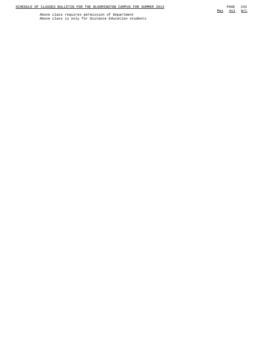Above class requires permission of Department Above class is only for Distance Education students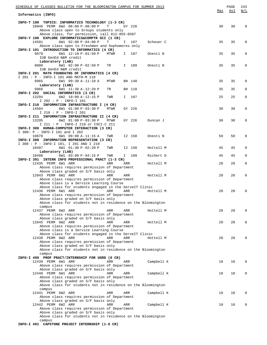| SCHEDULE OF CLASSES BULLETIN FOR THE BLOOMINGTON CAMPUS FOR SUMMER 2013                                         |     | PAGE | 243          |
|-----------------------------------------------------------------------------------------------------------------|-----|------|--------------|
| Informatics (INFO)                                                                                              | Max | Avl  | W/L          |
| INFO-T 100 TOPICS: INFORMATICS TECHNOLOGY (1-3 CR)                                                              |     |      |              |
| 10046 PERM 6W2 06:00 P-08:00 P<br>Т<br>GY 226                                                                   | 30  | 30   | $\mathbf 0$  |
| Above class open to Groups students only<br>Above class, for permission, call 812-855-0507                      |     |      |              |
| INFO-Y 100 EXPLORE INFORMATICS&COMPTR SCI (1 CR)                                                                |     |      |              |
| 14591<br>6W1 02:00 P-04:00 P<br>T<br>I.<br>107<br>Scheuer C<br>Above class open to Freshmen and Sophomores only | 35  | 35   | 0            |
| INFO-I 101 INTRODUCTION TO INFORMATICS (4 CR)                                                                   |     |      |              |
| 9079<br>6W1 12:10 P-01:50 P<br>MTWR<br>Onesti N<br>I.<br>107                                                    | 35  | 35   | 0            |
| IUB GenEd N&M credit<br>Laboratory (LAB)                                                                        |     |      |              |
| 6W1 02:00 P-02:50 P<br>109<br>9080<br>I<br>Onesti N<br>TR                                                       | 35  | 35   | 0            |
| IUB GenEd N&M credit                                                                                            |     |      |              |
| INFO-I 201 MATH FOUNDATNS OF INFORMATICS (4 CR)<br>I 201 : P - INFO-I 101 AND MATH-M 118                        |     |      |              |
| 9965<br>6W1 09:30 A-11:10 A<br>BH 140<br>MTWR                                                                   | 35  | 35   | 0            |
| Laboratory (LAB)<br>9966<br>6W1 11:30 A-12:20 P<br>TR<br>BH 118                                                 | 35  | 35   | $\mathbf 0$  |
| INFO-I 202 SOCIAL INFORMATICS (3 CR)                                                                            |     |      |              |
| 13294<br>6W2 10:00 A-12:15 P<br>I 107<br>TWR                                                                    | 25  | 25   | $\mathbf 0$  |
| I 202 : P - INFO-I 101<br>INFO-I 210 INFORMATION INFRASTRUCTURE I (4 CR)                                        |     |      |              |
| 14584<br>6W1 01:00 P-03:30 P<br>MTWR<br>GY 226                                                                  | 30  | 30   | $\mathbf 0$  |
| I 210 : P - INFO-I 201                                                                                          |     |      |              |
| INFO-I 211 INFORMATION INFRASTRUCTURE II (4 CR)<br>13295<br>6W2 01:00 P-03:30 P<br>MTWR<br>GY 226<br>Duncan J   | 30  | 30   | 0            |
| I 211 : P - INFO-I 210 or CSCI-C 211                                                                            |     |      |              |
| INFO-I 300 HUMAN-COMPUTER INTERACTION (3 CR)                                                                    |     |      |              |
| I 300: P - INFO-I 101 and I 202<br>10878<br>6W1 09:00 A-11:15 A<br>I2 150<br>Onesti N<br>TWR                    | 50  | 50   | 0            |
| INFO-I 308 INFORMATION REPRESENTATION (3 CR)                                                                    |     |      |              |
| I 308 : P - INFO-I 101, I 201 AND I 210                                                                         |     |      |              |
| 6W1 01:30 P-02:20 P<br>10497<br>I2 150<br>Hottell M<br>TWR<br>Laboratory (LAB)                                  | 45  | 45   | 0            |
| 6W1 03:00 P-04:15 P<br>10498<br>TWR<br>I 109<br>Richert D                                                       | 45  | 45   | 0            |
| INFO-I 391 INTERN INFO PROFESSIONAL PRACT (1-3 CR)                                                              | 20  | 20   | $\mathbf 0$  |
| 12435 PERM 6W1 ARR<br>ARR<br>ARR<br>Hottell M<br>Above class requires permission of Department                  |     |      |              |
| Above class graded on S/F basis only                                                                            |     |      |              |
| 12843 PERM 6W1 ARR<br>ARR<br>Hottell M<br>ARR<br>Above class requires permission of Department                  | 20  | 20   | $\mathbf{0}$ |
| Above class is a Service Learning Course                                                                        |     |      |              |
| Above class for students engaged in the ServeIT Clinic                                                          |     |      |              |
| 12436 PERM 6W1 ARR<br>ARR<br>ARR<br>Hottell M<br>Above class requires permission of Department                  | 20  | 20   | 0            |
| Above class graded on S/F basis only                                                                            |     |      |              |
| Above class for students not in residence on the Bloomington                                                    |     |      |              |
| campus<br>12437 PERM 6W2 ARR<br>ARR<br>ARR<br>Hottell M                                                         | 20  | 20   | 0            |
| Above class requires permission of Department                                                                   |     |      |              |
| Above class graded on S/F basis only                                                                            |     |      |              |
| 12845 PERM 6W2 ARR<br>ARR<br>Hottell M<br>ARR<br>Above class requires permission of Department                  | 20  | 20   | 0            |
| Above class is a Service Learning Course                                                                        |     |      |              |
| Above class for students engaged in the ServeIT Clinic                                                          |     |      |              |
| 12438 PERM 6W2 ARR<br>ARR<br>ARR<br>Hottell M<br>Above class requires permission of Department                  | 20  | 20   | 0            |
| Above class graded on S/F basis only                                                                            |     |      |              |
| Above class for students not in residence on the Bloomington                                                    |     |      |              |
| campus<br>INFO-I 490 PROF PRACT/INTERNSHIP FOR UGRD (0 CR)                                                      |     |      |              |
| 12439 PERM 6W1 ARR<br>ARR<br>Campbell K<br>ARR                                                                  | 10  | 10   | 0            |
| Above class requires permission of Department                                                                   |     |      |              |
| Above class graded on S/F basis only<br>12440 PERM 6W1 ARR<br>ARR<br>Campbell K<br>ARR                          | 10  | 10   | 0            |
| Above class requires permission of Department                                                                   |     |      |              |
| Above class graded on S/F basis only                                                                            |     |      |              |
| Above class for students not in residence on the Bloomington<br>campus                                          |     |      |              |
| 12441 PERM 6W2 ARR<br>ARR<br>ARR<br>Campbell K                                                                  | 10  | 10   | 0            |
| Above class requires permission of Department                                                                   |     |      |              |
| Above class graded on S/F basis only<br>12442 PERM 6W2 ARR<br>ARR<br>Campbell K<br>ARR                          | 10  | 10   | 0            |
| Above class requires permission of Department                                                                   |     |      |              |
| Above class graded on S/F basis only<br>Above class for students not in residence on the Bloomington            |     |      |              |
| campus                                                                                                          |     |      |              |

**INFO-I 491 CAPSTONE PROJECT INTERNSHIP (1-6 CR)**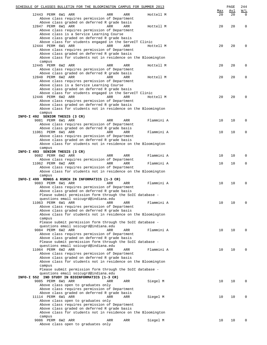| SCHEDULE OF CLASSES BULLETIN FOR THE BLOOMINGTON CAMPUS FOR SUMMER 2013                                                                                       |            |                  | PAGE      | 244                    |
|---------------------------------------------------------------------------------------------------------------------------------------------------------------|------------|------------------|-----------|------------------------|
| 12443 PERM 6W1 ARR<br>ARR<br>ARR<br>Above class requires permission of Department                                                                             | Hottell M  | <u>Max</u><br>20 | Avl<br>20 | <u>W/L</u><br>$\Omega$ |
| Above class graded on deferred R grade basis<br>12847 PERM 6W1 ARR<br>ARR<br>ARR                                                                              | Hottell M  | 20               | 20        | $\mathbf 0$            |
| Above class requires permission of Department<br>Above class is a Service Learning Course<br>Above class graded on deferred R grade basis                     |            |                  |           |                        |
| Above class for students engaged in the ServeIT Clinic<br>12444 PERM 6W1 ARR<br>ARR<br>ARR<br>Above class requires permission of Department                   | Hottell M  | 20               | 20        | 0                      |
| Above class graded on deferred R grade basis<br>Above class for students not in residence on the Bloomington<br>campus                                        |            |                  |           |                        |
| 12445 PERM 6W2 ARR<br>ARR<br>ARR<br>Above class requires permission of Department                                                                             | Hottell M  | 20               | 20        | 0                      |
| Above class graded on deferred R grade basis<br>12848 PERM 6W2 ARR<br>ARR<br>ARR<br>Above class requires permission of Department                             | Hottell M  | 20               | 20        | 0                      |
| Above class is a Service Learning Course<br>Above class graded on deferred R grade basis                                                                      |            |                  |           |                        |
| Above class for students engaged in the ServeIT Clinic<br>12446 PERM 6W2 ARR<br>ARR<br>ARR                                                                    | Hottell M  | 20               | 20        | $\Omega$               |
| Above class requires permission of Department<br>Above class graded on deferred R grade basis<br>Above class for students not in residence on the Bloomington |            |                  |           |                        |
| campus<br>INFO-I 492 SENIOR THESIS (3 CR)                                                                                                                     |            |                  |           |                        |
| 9081 PERM 6W1 ARR<br>ARR<br>ARR<br>Above class requires permission of Department                                                                              | Flammini A | 10               | 10        | 0                      |
| Above class graded on deferred R grade basis<br>11061 PERM 6W1 ARR<br>ARR<br>ARR                                                                              | Flammini A | 10               | 10        | 0                      |
| Above class requires permission of Department<br>Above class graded on deferred R grade basis                                                                 |            |                  |           |                        |
| Above class for students not in residence on the Bloomington<br>campus                                                                                        |            |                  |           |                        |
| INFO-I 493 SENIOR THESIS (3 CR)<br>9082 PERM 6W2 ARR<br>ARR<br>ARR                                                                                            | Flammini A | 10               | 10        | 0                      |
| Above class requires permission of Department<br>11062 PERM 6W2 ARR<br>ARR<br>ARR                                                                             | Flammini A | 10               | 10        | $\mathbf 0$            |
| Above class requires permission of Department<br>Above class for students not in residence on the Bloomington                                                 |            |                  |           |                        |
| campus<br>INFO-I 499 RDNGS & RSRCH IN INFORMATICS (1-3 CR)                                                                                                    |            |                  |           |                        |
| 9083 PERM 6W1 ARR<br>ARR<br>ARR<br>Above class requires permission of Department<br>Above class graded on deferred R grade basis                              | Flammini A | 10               | 10        | 0                      |
| Please submit permission form through the SoIC database -                                                                                                     |            |                  |           |                        |
| questions email soicugrd@indiana.edu<br>11063 PERM 6W1 ARR<br>ARR<br>ARR                                                                                      | Flammini A | 10               | 10        | 0                      |
| Above class requires permission of Department<br>Above class graded on deferred R grade basis                                                                 |            |                  |           |                        |
| Above class for students not in residence on the Bloomington<br>campus                                                                                        |            |                  |           |                        |
| Please submit permission form through the SoIC database -<br>questions email soicugrd@indiana.edu                                                             |            |                  |           |                        |
| 9084 PERM 6W2 ARR<br>ARR<br>ARR<br>Above class requires permission of Department                                                                              | Flammini A | 10               | 10        | $\Omega$               |
| Above class graded on deferred R grade basis<br>Please submit permission form through the SoIC database -                                                     |            |                  |           |                        |
| questions email soicugrd@indiana.edu<br>11064 PERM 6W2 ARR<br>ARR<br>ARR                                                                                      | Flammini A | 10               | 10        | $\Omega$               |
| Above class requires permission of Department<br>Above class graded on deferred R grade basis                                                                 |            |                  |           |                        |
| Above class for students not in residence on the Bloomington<br>campus                                                                                        |            |                  |           |                        |
| Please submit permission form through the SoIC database -<br>questions email soicugrd@indiana.edu<br>INFO-I 552 IND STUDY IN BIOINFORMATICS (1-3 CR)          |            |                  |           |                        |
| 9085 PERM 6W1 ARR<br>ARR<br>ARR<br>Above class open to graduates only<br>Above class requires permission of Department                                        | Siegel M   | 10               | 10        | $\Omega$               |
| Above class graded on deferred R grade basis<br>11114 PERM 6W1 ARR<br>ARR<br>ARR                                                                              | Siegel M   | 10               | 10        | 0                      |
| Above class open to graduates only<br>Above class requires permission of Department                                                                           |            |                  |           |                        |
| Above class graded on deferred R grade basis<br>Above class for students not in residence on the Bloomington                                                  |            |                  |           |                        |
| campus<br>9086 PERM 6W2 ARR<br>ARR<br>ARR                                                                                                                     | Siegel M   | 10               | 10        | $\Omega$               |
| Above class open to graduates only                                                                                                                            |            |                  |           |                        |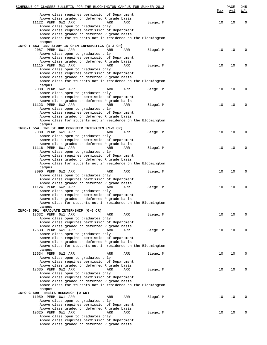| SCHEDULE OF CLASSES BULLETIN FOR THE BLOOMINGTON CAMPUS FOR SUMMER 2013                       |     |          |     | PAGE | 245                                 |
|-----------------------------------------------------------------------------------------------|-----|----------|-----|------|-------------------------------------|
|                                                                                               |     |          | Max | Avl  | $\underline{\texttt{W}}/\texttt{L}$ |
| Above class requires permission of Department                                                 |     |          |     |      |                                     |
| Above class graded on deferred R grade basis                                                  |     |          |     |      |                                     |
| 11122 PERM 6W2 ARR<br>ARR                                                                     | ARR | Siegel M | 10  | 10   | $\mathbf 0$                         |
| Above class open to graduates only                                                            |     |          |     |      |                                     |
| Above class requires permission of Department                                                 |     |          |     |      |                                     |
| Above class graded on deferred R grade basis                                                  |     |          |     |      |                                     |
| Above class for students not in residence on the Bloomington                                  |     |          |     |      |                                     |
| campus                                                                                        |     |          |     |      |                                     |
| INFO-I 553 IND STUDY IN CHEM INFORMATICS (1-3 CR)                                             |     |          |     |      |                                     |
| 9087 PERM 6W1 ARR<br>ARR                                                                      | ARR | Siegel M | 10  | 10   | $\Omega$                            |
| Above class open to graduates only                                                            |     |          |     |      |                                     |
| Above class requires permission of Department                                                 |     |          |     |      |                                     |
| Above class graded on deferred R grade basis                                                  |     |          |     |      |                                     |
| 11115 PERM 6W1 ARR<br>ARR                                                                     | ARR | Siegel M | 10  | 10   | $\Omega$                            |
| Above class open to graduates only                                                            |     |          |     |      |                                     |
| Above class requires permission of Department                                                 |     |          |     |      |                                     |
| Above class graded on deferred R grade basis                                                  |     |          |     |      |                                     |
| Above class for students not in residence on the Bloomington                                  |     |          |     |      |                                     |
| campus<br>9088 PERM 6W2 ARR<br>ARR                                                            | ARR |          | 10  | 10   | 0                                   |
|                                                                                               |     | Siegel M |     |      |                                     |
| Above class open to graduates only                                                            |     |          |     |      |                                     |
| Above class requires permission of Department<br>Above class graded on deferred R grade basis |     |          |     |      |                                     |
| 11123 PERM 6W2 ARR<br>ARR                                                                     | ARR | Siegel M | 10  | 10   | 0                                   |
| Above class open to graduates only                                                            |     |          |     |      |                                     |
|                                                                                               |     |          |     |      |                                     |
| Above class requires permission of Department<br>Above class graded on deferred R grade basis |     |          |     |      |                                     |
| Above class for students not in residence on the Bloomington                                  |     |          |     |      |                                     |
| campus                                                                                        |     |          |     |      |                                     |
| INFO-I 554 IND ST HUM COMPUTER INTERACTN (1-3 CR)                                             |     |          |     |      |                                     |
| 9089 PERM 6W1 ARR<br>ARR                                                                      | ARR | Siegel M | 10  | 10   | $\Omega$                            |
| Above class open to graduates only                                                            |     |          |     |      |                                     |
| Above class requires permission of Department                                                 |     |          |     |      |                                     |
| Above class graded on deferred R grade basis                                                  |     |          |     |      |                                     |
| 11116 PERM 6W1 ARR<br>ARR                                                                     | ARR | Siegel M | 10  | 10   | $\Omega$                            |
| Above class open to graduates only                                                            |     |          |     |      |                                     |
| Above class requires permission of Department                                                 |     |          |     |      |                                     |
| Above class graded on deferred R grade basis                                                  |     |          |     |      |                                     |
| Above class for students not in residence on the Bloomington                                  |     |          |     |      |                                     |
| campus                                                                                        |     |          |     |      |                                     |
| 9090 PERM 6W2 ARR<br>ARR                                                                      | ARR | Siegel M | 10  | 10   | 0                                   |
| Above class open to graduates only                                                            |     |          |     |      |                                     |
| Above class requires permission of Department                                                 |     |          |     |      |                                     |
| Above class graded on deferred R grade basis                                                  |     |          |     |      |                                     |
| 11124 PERM 6W2 ARR<br>ARR                                                                     | ARR | Siegel M | 10  | 10   | 0                                   |
| Above class open to graduates only                                                            |     |          |     |      |                                     |
| Above class requires permission of Department                                                 |     |          |     |      |                                     |
| Above class graded on deferred R grade basis                                                  |     |          |     |      |                                     |
| Above class for students not in residence on the Bloomington                                  |     |          |     |      |                                     |
| campus                                                                                        |     |          |     |      |                                     |
| INFO-I 591 GRADUATE INTERNSHIP (0-6 CR)                                                       |     |          |     |      |                                     |
| 12632 PERM 6W1 ARR<br>ARR                                                                     | ARR | Siegel M | 10  | 10   | $\Omega$                            |
| Above class open to graduates only                                                            |     |          |     |      |                                     |
| Above class requires permission of Department                                                 |     |          |     |      |                                     |
| Above class graded on deferred R grade basis                                                  |     |          |     |      |                                     |
| 12633 PERM 6W1 ARR<br>ARR                                                                     | ARR | Siegel M | 10  | 10   | $\Omega$                            |
| Above class open to graduates only                                                            |     |          |     |      |                                     |
| Above class requires permission of Department                                                 |     |          |     |      |                                     |
| Above class graded on deferred R grade basis                                                  |     |          |     |      |                                     |
| Above class for students not in residence on the Bloomington                                  |     |          |     |      |                                     |
| campus                                                                                        |     |          |     |      |                                     |
| 12634 PERM 6W2 ARR<br>ARR                                                                     | ARR | Siegel M | 10  | 10   | $\Omega$                            |
| Above class open to graduates only                                                            |     |          |     |      |                                     |
| Above class requires permission of Department                                                 |     |          |     |      |                                     |
| Above class graded on deferred R grade basis                                                  |     |          |     |      |                                     |
| 12635 PERM 6W2 ARR<br>ARR                                                                     | ARR | Siegel M | 10  | 10   | $\Omega$                            |
| Above class open to graduates only                                                            |     |          |     |      |                                     |
| Above class requires permission of Department                                                 |     |          |     |      |                                     |
| Above class graded on deferred R grade basis                                                  |     |          |     |      |                                     |
| Above class for students not in residence on the Bloomington                                  |     |          |     |      |                                     |
| campus                                                                                        |     |          |     |      |                                     |
| INFO-G 599 THESIS RESEARCH (0 CR)                                                             |     |          |     |      |                                     |
| 11059 PERM 6W1 ARR<br>ARR                                                                     | ARR | Siegel M | 10  | 10   | $\Omega$                            |
| Above class open to graduates only                                                            |     |          |     |      |                                     |
| Above class requires permission of Department                                                 |     |          |     |      |                                     |
| Above class graded on deferred R grade basis                                                  |     |          |     |      |                                     |
| 10625 PERM 6W1 ARR<br>ARR                                                                     | ARR | Siegel M | 10  | 10   | $\Omega$                            |
| Above class open to graduates only                                                            |     |          |     |      |                                     |
| Above class requires permission of Department                                                 |     |          |     |      |                                     |
| Above class graded on deferred R grade basis                                                  |     |          |     |      |                                     |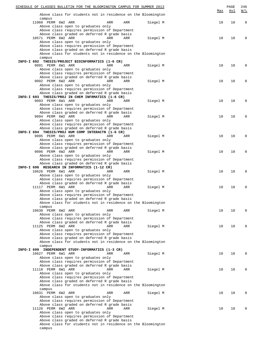| SCHEDULE OF CLASSES BULLETIN FOR THE BLOOMINGTON CAMPUS FOR SUMMER 2013                                      |     | PAGE | 246         |
|--------------------------------------------------------------------------------------------------------------|-----|------|-------------|
| Above class for students not in residence on the Bloomington                                                 | Max | Avl  | W/L         |
| campus<br>11060 PERM 6W2 ARR<br>ARR<br>ARR<br>Siegel M<br>Above class open to graduates only                 | 10  | 10   | $\mathbf 0$ |
| Above class requires permission of Department                                                                |     |      |             |
| Above class graded on deferred R grade basis<br>10571 PERM 6W2 ARR<br>ARR<br>ARR<br>Siegel M                 | 10  | 10   | 0           |
| Above class open to graduates only                                                                           |     |      |             |
| Above class requires permission of Department                                                                |     |      |             |
| Above class graded on deferred R grade basis<br>Above class for students not in residence on the Bloomington |     |      |             |
| campus                                                                                                       |     |      |             |
| INFO-I 692 THESIS/PROJECT BIOINFORMATICS (1-6 CR)<br>9091 PERM 6W1 ARR<br>ARR<br>ARR<br>Siegel M             | 10  | 10   | $\Omega$    |
| Above class open to graduates only                                                                           |     |      |             |
| Above class requires permission of Department                                                                |     |      |             |
| Above class graded on deferred R grade basis<br>9092 PERM 6W2 ARR<br>ARR<br>ARR<br>Siegel M                  | 10  | 10   | $\mathbf 0$ |
| Above class open to graduates only                                                                           |     |      |             |
| Above class requires permission of Department<br>Above class graded on deferred R grade basis                |     |      |             |
| INFO-I 693 THESIS/PROJ IN CHEM INFRMATICS (1-6 CR)                                                           |     |      |             |
| 9093 PERM 6W1 ARR<br>ARR<br>ARR<br>Siegel M                                                                  | 10  | 10   | 0           |
| Above class open to graduates only<br>Above class requires permission of Department                          |     |      |             |
| Above class graded on deferred R grade basis                                                                 |     |      |             |
| 9094 PERM 6W2 ARR<br>ARR<br>ARR<br>Siegel M                                                                  | 10  | 10   | 0           |
| Above class open to graduates only<br>Above class requires permission of Department                          |     |      |             |
| Above class graded on deferred R grade basis                                                                 |     |      |             |
| INFO-I 694 THESIS/PROJ HUM COMP INTERACTN (1-6 CR)<br>9095 PERM 6W1 ARR<br>ARR<br>ARR<br>Siegel M            | 10  | 10   | $\mathbf 0$ |
| Above class open to graduates only                                                                           |     |      |             |
| Above class requires permission of Department                                                                |     |      |             |
| Above class graded on deferred R grade basis<br>9096 PERM 6W2 ARR<br>ARR<br>ARR<br>Siegel M                  | 10  | 10   | $\mathbf 0$ |
| Above class open to graduates only                                                                           |     |      |             |
| Above class requires permission of Department<br>Above class graded on deferred R grade basis                |     |      |             |
| INFO-I 698 RESEARCH IN INFORMATICS (1-12 CR)                                                                 |     |      |             |
| 10626 PERM 6W1 ARR<br>ARR<br>ARR<br>Siegel M                                                                 | 10  | 10   | $\mathbf 0$ |
| Above class open to graduates only<br>Above class requires permission of Department                          |     |      |             |
| Above class graded on deferred R grade basis                                                                 |     |      |             |
| 11117 PERM 6W1 ARR<br>ARR<br>ARR<br>Siegel M<br>Above class open to graduates only                           | 10  | 10   | $\mathbf 0$ |
| Above class requires permission of Department                                                                |     |      |             |
| Above class graded on deferred R grade basis                                                                 |     |      |             |
| Above class for students not in residence on the Bloomington<br>campus                                       |     |      |             |
| 10630 PERM 6W2 ARR<br>ARR<br>ARR<br>Siegel M                                                                 | 10  | 10   | 0           |
| Above class open to graduates only<br>Above class requires permission of Department                          |     |      |             |
| Above class graded on deferred R grade basis                                                                 |     |      |             |
| 11125 PERM 6W2 ARR<br>ARR<br>ARR<br>Siegel M                                                                 | 10  | 10   | 0           |
| Above class open to graduates only<br>Above class requires permission of Department                          |     |      |             |
| Above class graded on deferred R grade basis                                                                 |     |      |             |
| Above class for students not in residence on the Bloomington<br>campus                                       |     |      |             |
| INFO-I 699 INDEPENDENT STUDY-INFORMATICS (1-3 CR)                                                            |     |      |             |
| 10627 PERM 6W1 ARR<br>ARR<br>Siegel M<br>ARR                                                                 | 10  | 10   | 0           |
| Above class open to graduates only<br>Above class requires permission of Department                          |     |      |             |
| Above class graded on deferred R grade basis                                                                 |     |      |             |
| 11118 PERM 6W1 ARR<br><b>ARR</b><br>Siegel M<br>ARR                                                          | 10  | 10   | $\mathbf 0$ |
| Above class open to graduates only<br>Above class requires permission of Department                          |     |      |             |
| Above class graded on deferred R grade basis                                                                 |     |      |             |
| Above class for students not in residence on the Bloomington<br>campus                                       |     |      |             |
| 10631 PERM 6W2 ARR<br>Siegel M<br>ARR<br>ARR                                                                 | 10  | 10   | 0           |
| Above class open to graduates only                                                                           |     |      |             |
| Above class requires permission of Department<br>Above class graded on deferred R grade basis                |     |      |             |
| 11126 PERM 6W2 ARR<br>ARR<br>ARR<br>Siegel M                                                                 | 10  | 10   | 0           |
| Above class open to graduates only                                                                           |     |      |             |
| Above class requires permission of Department<br>Above class graded on deferred R grade basis                |     |      |             |
| Above class for students not in residence on the Bloomington                                                 |     |      |             |
| campus                                                                                                       |     |      |             |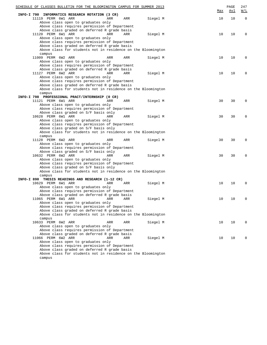|            |                    | SCHEDULE OF CLASSES BULLETIN FOR THE BLOOMINGTON CAMPUS FOR SUMMER 2013 |     |     |          | Max | PAGE<br><u>Avl</u> | 247<br>W/L  |
|------------|--------------------|-------------------------------------------------------------------------|-----|-----|----------|-----|--------------------|-------------|
| INFO-I 790 |                    | INFORMATICS RESEARCH ROTATION (3 CR)                                    |     |     |          |     |                    |             |
|            | 11119 PERM 6W1 ARR |                                                                         | ARR | ARR | Siegel M | 10  | 10                 | $\mathbf 0$ |
|            |                    | Above class open to graduates only                                      |     |     |          |     |                    |             |
|            |                    | Above class requires permission of Department                           |     |     |          |     |                    |             |
|            |                    | Above class graded on deferred R grade basis                            |     |     |          |     |                    |             |
|            | 11120 PERM 6W1 ARR |                                                                         | ARR | ARR | Siegel M | 10  | 10                 | 0           |
|            |                    | Above class open to graduates only                                      |     |     |          |     |                    |             |
|            |                    | Above class requires permission of Department                           |     |     |          |     |                    |             |
|            |                    | Above class graded on deferred R grade basis                            |     |     |          |     |                    |             |
|            |                    | Above class for students not in residence on the Bloomington            |     |     |          |     |                    |             |
|            | campus             |                                                                         |     |     |          |     |                    |             |
|            | 11009 PERM 6W2 ARR |                                                                         | ARR | ARR | Siegel M | 10  | 10                 | 0           |
|            |                    | Above class open to graduates only                                      |     |     |          |     |                    |             |
|            |                    | Above class requires permission of Department                           |     |     |          |     |                    |             |
|            |                    | Above class graded on deferred R grade basis                            |     |     |          |     |                    |             |
|            | 11127 PERM 6W2 ARR |                                                                         | ARR | ARR | Siegel M | 10  | 10                 | 0           |
|            |                    | Above class open to graduates only                                      |     |     |          |     |                    |             |
|            |                    | Above class requires permission of Department                           |     |     |          |     |                    |             |
|            |                    | Above class graded on deferred R grade basis                            |     |     |          |     |                    |             |
|            |                    | Above class for students not in residence on the Bloomington            |     |     |          |     |                    |             |
|            | campus             |                                                                         |     |     |          |     |                    |             |
|            |                    | INFO-I 798 PROFESSIONAL PRACT/INTERNSHIP (0 CR)                         |     |     |          |     |                    |             |
|            | 11121 PERM 6W1 ARR |                                                                         | ARR | ARR | Siegel M | 30  | 30                 | 0           |
|            |                    | Above class open to graduates only                                      |     |     |          |     |                    |             |
|            |                    | Above class requires permission of Department                           |     |     |          |     |                    |             |
|            | 10628 PERM 6W1 ARR | Above class graded on S/F basis only                                    | ARR | ARR | Siegel M | 30  | 30                 | 0           |
|            |                    | Above class open to graduates only                                      |     |     |          |     |                    |             |
|            |                    | Above class requires permission of Department                           |     |     |          |     |                    |             |
|            |                    | Above class graded on S/F basis only                                    |     |     |          |     |                    |             |
|            |                    | Above class for students not in residence on the Bloomington            |     |     |          |     |                    |             |
|            | campus             |                                                                         |     |     |          |     |                    |             |
|            | 11128 PERM 6W2 ARR |                                                                         | ARR | ARR | Siegel M | 30  | 30                 | 0           |
|            |                    | Above class open to graduates only                                      |     |     |          |     |                    |             |
|            |                    | Above class requires permission of Department                           |     |     |          |     |                    |             |
|            |                    | Above class graded on S/F basis only                                    |     |     |          |     |                    |             |
|            | 10632 PERM 6W2 ARR |                                                                         | ARR | ARR | Siegel M | 30  | 30                 | 0           |
|            |                    | Above class open to graduates only                                      |     |     |          |     |                    |             |
|            |                    | Above class requires permission of Department                           |     |     |          |     |                    |             |
|            |                    | Above class graded on S/F basis only                                    |     |     |          |     |                    |             |
|            |                    | Above class for students not in residence on the Bloomington            |     |     |          |     |                    |             |
|            | campus             |                                                                         |     |     |          |     |                    |             |
|            |                    | INFO-I 890 THESIS READINGS AND RESEARCH (1-12 CR)                       |     |     |          |     |                    |             |
|            | 10629 PERM 6W1 ARR |                                                                         | ARR | ARR | Siegel M | 10  | 10                 | 0           |
|            |                    | Above class open to graduates only                                      |     |     |          |     |                    |             |
|            |                    | Above class requires permission of Department                           |     |     |          |     |                    |             |
|            |                    | Above class graded on deferred R grade basis                            |     |     |          |     |                    |             |
|            |                    |                                                                         |     | ARR | Siegel M | 10  | 10                 |             |
|            |                    | Above class open to graduates only                                      |     |     |          |     |                    |             |
|            |                    | Above class requires permission of Department                           |     |     |          |     |                    |             |
|            |                    | Above class graded on deferred R grade basis                            |     |     |          |     |                    |             |
|            |                    | Above class for students not in residence on the Bloomington            |     |     |          |     |                    |             |
|            | campus             |                                                                         |     |     |          |     |                    |             |
|            | 10633 PERM 6W2 ARR |                                                                         | ARR | ARR | Siegel M | 10  | 10                 | U           |
|            |                    | Above class open to graduates only                                      |     |     |          |     |                    |             |
|            |                    | Above class requires permission of Department                           |     |     |          |     |                    |             |
|            |                    | Above class graded on deferred R grade basis                            |     |     |          |     |                    |             |
|            | 11066 PERM 6W2 ARR |                                                                         | ARR | ARR | Siegel M | 10  | 10                 | U           |
|            |                    | Above class open to graduates only                                      |     |     |          |     |                    |             |
|            |                    | Above class requires permission of Department                           |     |     |          |     |                    |             |
|            |                    | Above class graded on deferred R grade basis                            |     |     |          |     |                    |             |
|            |                    | Above class for students not in residence on the Bloomington            |     |     |          |     |                    |             |
|            | campus             |                                                                         |     |     |          |     |                    |             |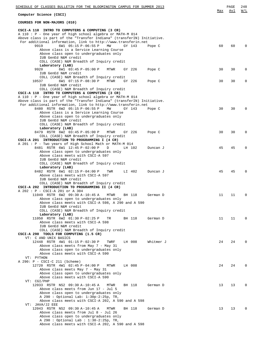| SCHEDULE OF CLASSES BULLETIN FOR THE BLOOMINGTON CAMPUS FOR SUMMER 2013                                                             | Max | PAGE<br>Avl | 248<br>W/L  |
|-------------------------------------------------------------------------------------------------------------------------------------|-----|-------------|-------------|
| Computer Science (CSCI)                                                                                                             |     |             |             |
| COURSES FOR NON-MAJORS (010)                                                                                                        |     |             |             |
| CSCI-A 110 INTRO TO COMPUTERS & COMPUTING (3 CR)                                                                                    |     |             |             |
| A 110 : P - One year of high school algebra or MATH-M 014<br>Above class is part of the "Transfer Indiana" (transferIN) Initiative. |     |             |             |
| For additional information, link to http://www.transferin.net                                                                       |     |             |             |
| 9919<br>6W1 05:15 P-06:55 P<br>MW<br>GY 143<br>Pope C                                                                               | 60  | 60          | $\Omega$    |
| Above class is a Service Learning Course                                                                                            |     |             |             |
| Above class open to undergraduates only<br>IUB GenEd N&M credit                                                                     |     |             |             |
| COLL (CASE) N&M Breadth of Inquiry credit                                                                                           |     |             |             |
| Laboratory (LAB)                                                                                                                    |     |             |             |
| 9920<br>6W1 03:45 P-05:00 P<br>MTWR<br>GY 226<br>Pope C                                                                             | 30  | 30          | 0           |
| IUB GenEd N&M credit<br>COLL (CASE) N&M Breadth of Inquiry credit                                                                   |     |             |             |
| 10537<br>6W1 07:15 P-08:30 P<br>GY 226<br>MTWR<br>Pope C                                                                            | 30  | 30          | 0           |
| IUB GenEd N&M credit                                                                                                                |     |             |             |
| COLL (CASE) N&M Breadth of Inquiry credit                                                                                           |     |             |             |
| CSCI-A 110 INTRO TO COMPUTERS & COMPUTING (3 CR)                                                                                    |     |             |             |
| A 110 : P - One year of high school algebra or MATH-M 014<br>Above class is part of the "Transfer Indiana" (transferIN) Initiative. |     |             |             |
| For additional information, link to http://www.transferin.net                                                                       |     |             |             |
| 8480 RSTR 6W2 05:15 P-06:55 P<br>MW<br>GY 143<br>Pope C                                                                             | 30  | 30          | $\Omega$    |
| Above class is a Service Learning Course                                                                                            |     |             |             |
| Above class open to undergraduates only<br>IUB GenEd N&M credit                                                                     |     |             |             |
| COLL (CASE) N&M Breadth of Inquiry credit                                                                                           |     |             |             |
| Laboratory (LAB)                                                                                                                    |     |             |             |
| 8479 RSTR 6W2 03:45 P-05:00 P<br>Pope C<br>MTWR<br>GY 226                                                                           | 30  | 30          | $\Omega$    |
| COLL (CASE) N&M Breadth of Inquiry credit<br>CSCI-A 201 INTRODUCTION TO PROGRAMMING I (4 CR)                                        |     |             |             |
| A 201: P - Two years of High School Math or MATH-M 014                                                                              |     |             |             |
| 8481 RSTR 6W1 12:45 P-02:00 P<br>D<br>LH 102<br>Duncan J                                                                            | 45  | 45          | $\Omega$    |
| Above class open to undergraduates only                                                                                             |     |             |             |
| Above class meets with CSCI-A 597                                                                                                   |     |             |             |
| IUB GenEd N&M credit<br>COLL (CASE) N&M Breadth of Inquiry credit                                                                   |     |             |             |
| Laboratory (LAB)                                                                                                                    |     |             |             |
| 8482 RSTR 6W1 02:15 P-04:00 P<br>LI 402<br>TWR<br>Duncan J                                                                          | 45  | 45          | $\Omega$    |
| Above class meets with CSCI-A 597                                                                                                   |     |             |             |
| IUB GenEd N&M credit<br>COLL (CASE) N&M Breadth of Inquiry credit                                                                   |     |             |             |
| CSCI-A 202 INTRODUCTION TO PROGRAMMING II (4 CR)                                                                                    |     |             |             |
| A 202 : P - CSCI-A 201 or A 304                                                                                                     |     |             |             |
| 11049 RSTR 6W2 09:30 A-10:45 A<br>MTWR<br>BH 118<br>German D                                                                        | 11  | 11          | $\Omega$    |
| Above class open to undergraduates only                                                                                             |     |             |             |
| Above class meets with CSCI-A 598, A 290 and A 590<br>IUB GenEd N&M credit                                                          |     |             |             |
| COLL (CASE) N&M Breadth of Inquiry credit                                                                                           |     |             |             |
| Laboratory (LAB)                                                                                                                    |     |             |             |
| 11050 RSTR 6W2 01:30 P-02:25 P<br>BH 118<br>German D<br>TR                                                                          | 11  | 11          | $\Omega$    |
| Above class meets with CSCI-A 598<br>IUB GenEd N&M credit                                                                           |     |             |             |
| COLL (CASE) N&M Breadth of Inquiry credit                                                                                           |     |             |             |
| CSCI-A 290 TOOLS FOR COMPUTING (1.5 CR)                                                                                             |     |             |             |
| VT: C AND UNIX BASICS                                                                                                               |     |             | $\Omega$    |
| 12448 RSTR 4W1 01:15 P-02:30 P<br>LH 008<br>Whitmer J<br>TWRF<br>Above class meets from May 7 - May 31                              | 24  | 24          |             |
| Above class open to undergraduates only                                                                                             |     |             |             |
| Above class meets with CSCI-A 590                                                                                                   |     |             |             |
| VT: PYTHON                                                                                                                          |     |             |             |
| A 290: P - CSCI-C 211 (Scheme)<br>12720 RSTR 4W1 02:45 P-04:00 P<br>MTWR<br>LH 008                                                  | 24  | 24          | $\Omega$    |
| Above class meets May 7 - May 31                                                                                                    |     |             |             |
| Above class open to undergraduates only                                                                                             |     |             |             |
| Above class meets with CSCI-A 590                                                                                                   |     |             |             |
| VT: CGI/PHP<br>12033 RSTR NS2 09:30 A-10:45 A<br>BH 118<br>MTWR<br>German D                                                         | 13  | 13          | $\mathbf 0$ |
| Above class meets from Jun 17 - Jul 5                                                                                               |     |             |             |
| Above class open to undergraduates only                                                                                             |     |             |             |
| A 290 : Optional Lab: 1:30p-2:25p, TR,                                                                                              |     |             |             |
| Above class meets with CSCI-A 202, A 590 and A 598<br>VT: JAVA/J2 EEE                                                               |     |             |             |
| 12043 RSTR NS2 09:30 A-10:45 A<br>MTWR<br>BH 118<br>German D                                                                        | 13  | 13          | $\circ$     |
| Above class meets from Jul 8 - Jul 26                                                                                               |     |             |             |
| Above class open to undergraduates only                                                                                             |     |             |             |
| A 290 : Optional Lab : 1:30-2:25p, TR,<br>Above class meets with CSCI-A 202, A 590 and A 598                                        |     |             |             |
|                                                                                                                                     |     |             |             |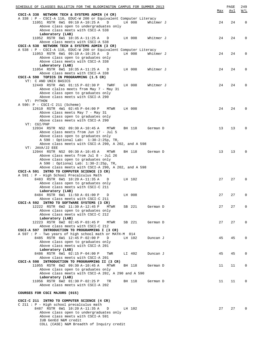| SCHEDULE OF CLASSES BULLETIN FOR THE BLOOMINGTON CAMPUS FOR SUMMER 2013                                                 |     | PAGE | 249         |
|-------------------------------------------------------------------------------------------------------------------------|-----|------|-------------|
| CSCI-A 338 NETWORK TECH & SYSTEMS ADMIN (4 CR)                                                                          | Max | Avl  | W/L         |
| A 338 : P - CSCI-A 110, EDUC-W 200 or Equivalent Computer Literacy                                                      |     |      |             |
| 11051 RSTR 6W1 09:10 A-10:25 A<br>D<br>LH 008<br>Whitmer J                                                              | 24  | 24   | $\mathbf 0$ |
| Above class open to undergraduates only                                                                                 |     |      |             |
| Above class meets with CSCI-A 538                                                                                       |     |      |             |
| Laboratory (LAB)<br>11052 RSTR 6W1 10:35 A-11:25 A<br>LH 008<br>Whitmer J<br>$\Box$                                     | 24  | 24   | $\Omega$    |
| Above class meets with CSCI-A 538                                                                                       |     |      |             |
| CSCI-A 538 NETWORK TECH & SYSTEMS ADMIN (3 CR)                                                                          |     |      |             |
| A 538 : P - CSCI-A 110, EDUC-W 200 or Equivalent Computer Literacy                                                      |     |      |             |
| 11053 RSTR 6W1 09:10 A-10:25 A<br>D<br>LH 008<br>Whitmer J                                                              | 24  | 24   | $\Omega$    |
| Above class open to graduates only                                                                                      |     |      |             |
| Above class meets with CSCI-A 338<br>Laboratory (LAB)                                                                   |     |      |             |
| 11054 RSTR 6W1 10:35 A-11:25 A<br>LH 008<br>Whitmer J<br>D                                                              | 24  | 24   | $\Omega$    |
| Above class meets with CSCI-A 338                                                                                       |     |      |             |
| CSCI-A 590 TOPICS IN PROGRAMMING (1.5 CR)                                                                               |     |      |             |
| VT: C AND UNIX BASICS                                                                                                   |     |      |             |
| 12449 RSTR 4W1 01:15 P-02:30 P<br>LH 008<br>Whitmer J<br>TWRF                                                           | 24  | 24   | $\Omega$    |
| Above clalss meets from May 7 - May 31<br>Above class open to graduates only                                            |     |      |             |
| Above class meets with CSCI-A 290                                                                                       |     |      |             |
| VT: PYTHON                                                                                                              |     |      |             |
| A 590: P - CSCI-C 211 (Scheme)                                                                                          |     |      |             |
| 12610 RSTR 4W1 02:45 P-04:00 P<br>LH 008<br>MTWR                                                                        | 24  | 24   | $\Omega$    |
| Above class meets May 7 - May 31                                                                                        |     |      |             |
| Above class open to graduates only                                                                                      |     |      |             |
| Above class meets with CSCI-A 290<br>VT: CGI/PHP                                                                        |     |      |             |
| 12034 RSTR NS2 09:30 A-10:45 A<br>MTWR<br>BH 118<br>German D                                                            | 13  | 13   | $\Omega$    |
| Above class meets from Jun 17 - Jul 5                                                                                   |     |      |             |
| Above class open to graduates only                                                                                      |     |      |             |
| A 590 : Optional Lab: $1:30-2:25p$ , TR,                                                                                |     |      |             |
| Above class meets with CSCI-A 290, A 202, and A 598                                                                     |     |      |             |
| VT: JAVA/J2 EEE<br>12044 RSTR NS2 09:30 A-10:45 A<br>MTWR                                                               | 13  | 13   | $\Omega$    |
| BH 118<br>German D<br>Above class meets from Jul 8 - Jul 26                                                             |     |      |             |
| Above class open to graduates only                                                                                      |     |      |             |
| A 590 : Optional Lab: 1:30-2:25p, TR,                                                                                   |     |      |             |
| Above class meets with CSCI-A 290, A 202, and A 598                                                                     |     |      |             |
| CSCI-A 591 INTRO TO COMPUTER SCIENCE (3 CR)                                                                             |     |      |             |
| A 591 : P - High School Precalculus Math                                                                                | 27  | 27   | $\Omega$    |
| 8483 RSTR 6W1 10:20 A-11:35 A<br>D<br>LH 102<br>Above class open to graduates only                                      |     |      |             |
| Above class meets with CSCI-C 211                                                                                       |     |      |             |
| Laboratory (LAB)                                                                                                        |     |      |             |
| 8484 RSTR 6W1 11:50 A-01:00 P<br>D<br>LH 008                                                                            | 27  | 27   | $\Omega$    |
| Above class meets with CSCI-C 211                                                                                       |     |      |             |
| CSCI-A 592 INTRO TO SOFTWARE SYSTEMS (3 CR)                                                                             |     |      |             |
| 12222 RSTR 6W2 11:30 A-12:45 P<br>MTWR<br>SB 221<br>German D<br>Above class open to graduates only                      | 27  | 27   | $\mathbf 0$ |
| Above class meets with CSCI-C 212                                                                                       |     |      |             |
| Laboratory (LAB)                                                                                                        |     |      |             |
| 12223 RSTR 6W2 02:45 P-03:45 P<br>SB 221<br>MTWR<br>German D                                                            | 27  | 27   | $\Omega$    |
| Above class meets with CSCI-C 212                                                                                       |     |      |             |
| CSCI-A 597 INTRODUCTION TO PROGRAMMING I (3 CR)                                                                         |     |      |             |
| A 597: P - Two years of high school math or MATH-M 014<br>8485 RSTR 6W1 12:45 P-02:00 P<br>D<br>LH 102<br>Duncan J      | 45  | 45   | $\Omega$    |
| Above class open to graduates only                                                                                      |     |      |             |
| Above class meets with CSCI-A 201                                                                                       |     |      |             |
| Laboratory (LAB)                                                                                                        |     |      |             |
| 8486 RSTR 6W1 02:15 P-04:00 P<br>TWR<br>LI 402<br>Duncan J                                                              | 45  | 45   | $\mathbf 0$ |
| Above class meets with CSCI-A 201                                                                                       |     |      |             |
| CSCI-A 598 INTRODUCTION TO PROGRAMMING II (3 CR)<br>11055 RSTR 6W2 09:30 A-10:45 A<br><b>MTWR</b><br>BH 118<br>German D | 11  | 11   | 0           |
| Above class open to graduates only                                                                                      |     |      |             |
| Above class meets with CSCI-A 202, A 290 and A 590                                                                      |     |      |             |
| Laboratory (LAB)                                                                                                        |     |      |             |
| 11056 RSTR 6W2 01:30 P-02:25 P<br>BH 118<br>German D<br>TR                                                              | 11  | 11   | $\Omega$    |
| Above class meets with CSCI-A 202                                                                                       |     |      |             |
| COURSES FOR CSCI MAJORS (015)                                                                                           |     |      |             |
|                                                                                                                         |     |      |             |
| CSCI-C 211 INTRO TO COMPUTER SCIENCE (4 CR)                                                                             |     |      |             |
| $C$ 211 : P - High school precalculus math                                                                              |     |      |             |
| 8487 RSTR 6W1 10:20 A-11:35 A<br>D<br>LH 102                                                                            | 27  | 27   | $\Omega$    |
| Above class open to undergraduates only<br>Above class meets with CSCI-A 591                                            |     |      |             |
| IUB GenEd N&M credit                                                                                                    |     |      |             |
| COLL (CASE) N&M Breadth of Inquiry credit                                                                               |     |      |             |
|                                                                                                                         |     |      |             |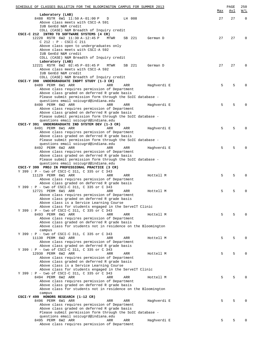| SCHEDULE OF CLASSES BULLETIN FOR THE BLOOMINGTON CAMPUS FOR SUMMER 2013                                      |     | $\mathop{\mathtt{PAGE}}$<br>Avl | 250<br>$\overline{\text{W}}$ / $\overline{\text{L}}$ |
|--------------------------------------------------------------------------------------------------------------|-----|---------------------------------|------------------------------------------------------|
| Laboratory (LAB)                                                                                             | Max |                                 |                                                      |
| 8488 RSTR 6W1 11:50 A-01:00 P<br>D<br>LH 008                                                                 | 27  | 27                              | $\Omega$                                             |
| Above class meets with CSCI-A 591                                                                            |     |                                 |                                                      |
| IUB GenEd N&M credit<br>COLL (CASE) N&M Breadth of Inquiry credit                                            |     |                                 |                                                      |
| CSCI-C 212 INTRO TO SOFTWARE SYSTEMS (4 CR)                                                                  |     |                                 |                                                      |
| 12220 RSTR 6W2 11:30 A-12:45 P<br>MTWR<br>SB 221<br>German D                                                 | 27  | 27                              | $\Omega$                                             |
| $C$ 212 : P - CSCI-C 211                                                                                     |     |                                 |                                                      |
| Above class open to undergraduates only<br>Above class meets with CSCI-A 592                                 |     |                                 |                                                      |
| IUB GenEd N&M credit                                                                                         |     |                                 |                                                      |
| COLL (CASE) N&M Breadth of Inquiry credit                                                                    |     |                                 |                                                      |
| Laboratory (LAB)                                                                                             |     |                                 |                                                      |
| 12221 RSTR 6W2 02:45 P-03:45 P<br>MTWR<br>SB 221<br>German D                                                 | 27  | 27                              | $\Omega$                                             |
| Above class meets with CSCI-A 592<br>IUB GenEd N&M credit                                                    |     |                                 |                                                      |
| COLL (CASE) N&M Breadth of Inquiry credit                                                                    |     |                                 |                                                      |
| CSCI-Y 390 UNDERGRADUATE INDPT STUDY (1-3 CR)                                                                |     |                                 |                                                      |
| 8489 PERM 6W1 ARR<br>Haghverdi E<br>ARR<br>ARR                                                               | 5   | 5                               | $\Omega$                                             |
| Above class requires permission of Department<br>Above class graded on deferred R grade basis                |     |                                 |                                                      |
| Please submit permission form through the SoIC database -                                                    |     |                                 |                                                      |
| questions email soicugrd@indiana.edu                                                                         |     |                                 |                                                      |
| 8490 PERM 6W2 ARR<br>ARR<br>ARR<br>Haghverdi E                                                               | 5   | 5                               |                                                      |
| Above class requires permission of Department                                                                |     |                                 |                                                      |
| Above class graded on deferred R grade basis<br>Please submit permission form through the SoIC database -    |     |                                 |                                                      |
| questions email soicugrd@indiana.edu                                                                         |     |                                 |                                                      |
| CSCI-Y 391 UNDERGRADUATE IND SYSTEM DEV (1-3 CR)                                                             |     |                                 |                                                      |
| 8491 PERM 6W1 ARR<br>ARR<br>Haghverdi E<br>ARR                                                               | 5   | 5                               | <sup>0</sup>                                         |
| Above class requires permission of Department                                                                |     |                                 |                                                      |
| Above class graded on deferred R grade basis<br>Please submit permission form through the SoIC database -    |     |                                 |                                                      |
| questions email soicugrd@indiana.edu                                                                         |     |                                 |                                                      |
| 8492 PERM 6W2 ARR<br>Haghverdi E<br>ARR<br>ARR                                                               | 5   | 5                               |                                                      |
| Above class requires permission of Department                                                                |     |                                 |                                                      |
| Above class graded on deferred R grade basis<br>Please submit permission form through the SoIC database -    |     |                                 |                                                      |
| questions email soicugrd@indiana.edu                                                                         |     |                                 |                                                      |
| CSCI-Y 399 PROJ IN PROFESSIONAL PRACTICE (3 CR)                                                              |     |                                 |                                                      |
| Y 399 : P - two of CSCI-C 311, C 335 or C 343                                                                |     |                                 |                                                      |
| 11129 PERM 6W1 ARR<br>ARR<br>ARR<br>Hottell M<br>Above class requires permission of Department               | 5   | 5                               |                                                      |
| Above class graded on deferred R grade basis                                                                 |     |                                 |                                                      |
| Y 399 : P - two of CSCI-C 311, C 335 or C 343                                                                |     |                                 |                                                      |
| 12721 PERM 6W1 ARR<br>ARR<br>ARR<br>Hottell M                                                                | 5   | 5                               | 0                                                    |
| Above class requires permission of Department<br>Above class graded on deferred R grade basis                |     |                                 |                                                      |
| Above class is a Service Learning Course                                                                     |     |                                 |                                                      |
| Above class for students engaged in the ServeIT Clinic                                                       |     |                                 |                                                      |
| Y 399 : P - two of CSCI-C 311, C 335 or C 343                                                                |     |                                 |                                                      |
| 8493 PERM 6W1 ARR<br>ARR<br>Hottell M<br>ARR                                                                 | 5   | 5                               |                                                      |
| Above class requires permission of Department<br>Above class graded on deferred R grade basis                |     |                                 |                                                      |
| Above class for students not in residence on the Bloomington                                                 |     |                                 |                                                      |
| campus                                                                                                       |     |                                 |                                                      |
| Y 399 : P - two of CSCI-C 311, C 335 or C 343                                                                |     |                                 |                                                      |
| 11130 PERM 6W2 ARR<br>ARR<br>ARR<br>Hottell M<br>Above class requires permission of Department               | 5   | 5                               |                                                      |
| Above class graded on deferred R grade basis                                                                 |     |                                 |                                                      |
| Y 399 : P - two of CSCI-C 311, C 335 or C 343                                                                |     |                                 |                                                      |
| 12930 PERM 6W2 ARR<br>ARR<br>ARR<br>Hottell M                                                                | 5   | 5                               |                                                      |
| Above class requires permission of Department                                                                |     |                                 |                                                      |
| Above class graded on deferred R grade basis<br>Above class is a Service Learning Course                     |     |                                 |                                                      |
| Above class for students engaged in the ServeIT Clinic                                                       |     |                                 |                                                      |
| Y 399 : P - two of CSCI-C 311, C 335 or C 343                                                                |     |                                 |                                                      |
| 8494 PERM 6W2 ARR<br>ARR<br>ARR<br>Hottell M                                                                 | 5   | 5                               |                                                      |
| Above class requires permission of Department                                                                |     |                                 |                                                      |
| Above class graded on deferred R grade basis<br>Above class for students not in residence on the Bloomington |     |                                 |                                                      |
| campus                                                                                                       |     |                                 |                                                      |
| CSCI-Y 499 HONORS RESEARCH (1-12 CR)                                                                         |     |                                 |                                                      |
| 8496 PERM 6W1 ARR<br>ARR<br>ARR<br>Haghverdi E                                                               | 5   | 5                               |                                                      |
| Above class requires permission of Department                                                                |     |                                 |                                                      |
| Above class graded on deferred R grade basis<br>Please submit permission form through the SoIC database -    |     |                                 |                                                      |
| questions email soicugrd@indiana.edu                                                                         |     |                                 |                                                      |
| 8495 PERM 6W2 ARR<br>ARR<br>ARR<br>Haghverdi E                                                               | 5   | 5                               |                                                      |
| Above class requires permission of Department                                                                |     |                                 |                                                      |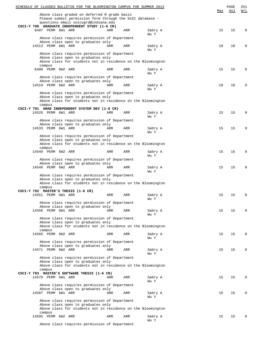| SCHEDULE OF CLASSES BULLETIN FOR THE BLOOMINGTON CAMPUS FOR SUMMER 2013                            |     |     |                 |     | PAGE | 251         |
|----------------------------------------------------------------------------------------------------|-----|-----|-----------------|-----|------|-------------|
| Above class graded on deferred R grade basis                                                       |     |     |                 | Max | Avl  | W/L         |
| Please submit permission form through the SoIC database -                                          |     |     |                 |     |      |             |
| questions email soicugrd@indiana.edu<br>CSCI-Y 790 GRADUATE INDEPENDENT STUDY (1-6 CR)             |     |     |                 |     |      |             |
| 8497 PERM 6W1 ARR                                                                                  | ARR | ARR | Sabry A         | 15  | 15   | 0           |
| Above class requires permission of Department                                                      |     |     | Wu Y            |     |      |             |
| Above class open to graduates only<br>14513 PERM 6W1 ARR                                           | ARR | ARR | Sabry A         | 10  | 10   | 0           |
|                                                                                                    |     |     | Wu Y            |     |      |             |
| Above class requires permission of Department                                                      |     |     |                 |     |      |             |
| Above class open to graduates only<br>Above class for students not in residence on the Bloomington |     |     |                 |     |      |             |
| campus<br>8498 PERM 6W2 ARR                                                                        | ARR | ARR | Sabry A<br>Wu Y | 15  | 15   | $\Omega$    |
| Above class requires permission of Department<br>Above class open to graduates only                |     |     |                 |     |      |             |
| 14519 PERM 6W2 ARR                                                                                 | ARR | ARR | Sabry A         | 10  | 10   | 0           |
|                                                                                                    |     |     | Wu Y            |     |      |             |
| Above class requires permission of Department<br>Above class open to graduates only                |     |     |                 |     |      |             |
| Above class for students not in residence on the Bloomington                                       |     |     |                 |     |      |             |
| campus<br>CSCI-Y 791 GRAD INDEPENDENT SYSTEM DEV (1-6 CR)                                          |     |     |                 |     |      |             |
| 14526 PERM 6W1 ARR                                                                                 | ARR | ARR | Sabry A         | 15  | 15   | 0           |
|                                                                                                    |     |     | Wu Y            |     |      |             |
| Above class requires permission of Department<br>Above class open to graduates only                |     |     |                 |     |      |             |
| 14533 PERM 6W1 ARR                                                                                 | ARR | ARR | Sabry A         | 15  | 15   | $\mathbf 0$ |
| Above class requires permission of Department                                                      |     |     | Wu Y            |     |      |             |
| Above class open to graduates only                                                                 |     |     |                 |     |      |             |
| Above class for students not in residence on the Bloomington<br>campus                             |     |     |                 |     |      |             |
| 14540 PERM 6W2 ARR                                                                                 | ARR | ARR | Sabry A         | 15  | 15   | 0           |
|                                                                                                    |     |     | Wu Y            |     |      |             |
| Above class requires permission of Department<br>Above class open to graduates only                |     |     |                 |     |      |             |
| 14546 PERM 6W2 ARR                                                                                 | ARR | ARR | Sabry A         | 15  | 15   | 0           |
| Above class requires permission of Department                                                      |     |     | Wu Y            |     |      |             |
| Above class open to graduates only                                                                 |     |     |                 |     |      |             |
| Above class for students not in residence on the Bloomington                                       |     |     |                 |     |      |             |
| campus<br>CSCI-Y 792 MASTER'S THESIS (1-6 CR)                                                      |     |     |                 |     |      |             |
| 14551 PERM 6W1 ARR                                                                                 | ARR | ARR | Sabry A         | 15  | 15   | 0           |
| Above class requires permission of Department                                                      |     |     | Wu Y            |     |      |             |
| Above class open to graduates only                                                                 |     |     |                 |     |      |             |
| 14558 PERM 6W1 ARR                                                                                 | ARR | ARR | Sabry A         | 15  | 15   | $\Omega$    |
| Above class requires permission of Department                                                      |     |     | Wu Y            |     |      |             |
| Above class open to graduates only                                                                 |     |     |                 |     |      |             |
| Above class for students not in residence on the Bloomington<br>campus                             |     |     |                 |     |      |             |
| 14565 PERM 6W2 ARR                                                                                 | ARR | ARR | Sabry A         | 15  | 15   | $\Omega$    |
|                                                                                                    |     |     | Wu Y            |     |      |             |
| Above class requires permission of Department<br>Above class open to graduates only                |     |     |                 |     |      |             |
| 14571 PERM 6W2 ARR                                                                                 | ARR | ARR | Sabry A         | 15  | 15   | $\Omega$    |
| Above class requires permission of Department                                                      |     |     | Wu Y            |     |      |             |
| Above class open to graduates only                                                                 |     |     |                 |     |      |             |
| Above class for students not in residence on the Bloomington                                       |     |     |                 |     |      |             |
| campus<br>CSCI-Y 793 MASTER'S SOFTWARE THESIS (1-6 CR)                                             |     |     |                 |     |      |             |
| 14579 PERM 6W1 ARR                                                                                 | ARR | ARR | Sabry A         | 15  | 15   | $\mathbf 0$ |
| Above class requires permission of Department                                                      |     |     | Wu Y            |     |      |             |
| Above class open to graduates only                                                                 |     |     |                 |     |      |             |
| 14587 PERM 6W1 ARR                                                                                 | ARR | ARR | Sabry A         | 15  | 15   | $\mathbf 0$ |
| Above class requires permission of Department                                                      |     |     | Wu Y            |     |      |             |
| Above class open to graduates only                                                                 |     |     |                 |     |      |             |
| Above class for students not in residence on the Bloomington<br>campus                             |     |     |                 |     |      |             |
| 14595 PERM 6W2 ARR                                                                                 | ARR | ARR | Sabry A         | 15  | 15   | $\Omega$    |
| Above class requires permission of Department                                                      |     |     | Wu Y            |     |      |             |
|                                                                                                    |     |     |                 |     |      |             |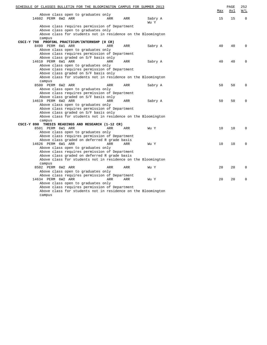| SCHEDULE OF CLASSES BULLETIN FOR THE BLOOMINGTON CAMPUS FOR SUMMER 2013 |            |     |                 | Max | PAGE<br>Avl | 252<br>W/L  |
|-------------------------------------------------------------------------|------------|-----|-----------------|-----|-------------|-------------|
| Above class open to graduates only                                      |            |     |                 |     |             |             |
| 14602 PERM 6W2 ARR                                                      | ARR        | ARR | Sabry A<br>Wu Y | 15  | 15          | $\mathbf 0$ |
| Above class requires permission of Department                           |            |     |                 |     |             |             |
| Above class open to graduates only                                      |            |     |                 |     |             |             |
| Above class for students not in residence on the Bloomington            |            |     |                 |     |             |             |
| campus                                                                  |            |     |                 |     |             |             |
| CSCI-Y 798 PROFSNL PRACTICUM/INTERNSHP (0 CR)                           |            |     |                 |     |             |             |
| 8499 PERM 6W1 ARR                                                       | ARR        | ARR | Sabry A         | 40  | 40          | $\Omega$    |
| Above class open to graduates only                                      |            |     |                 |     |             |             |
| Above class requires permission of Department                           |            |     |                 |     |             |             |
| Above class graded on S/F basis only                                    |            |     |                 |     |             |             |
| 14610 PERM 6W1 ARR                                                      | ARR        | ARR | Sabry A         | 40  | 40          | $\Omega$    |
| Above class open to graduates only                                      |            |     |                 |     |             |             |
| Above class requires permission of Department                           |            |     |                 |     |             |             |
| Above class graded on S/F basis only                                    |            |     |                 |     |             |             |
| Above class for students not in residence on the Bloomington            |            |     |                 |     |             |             |
| campus                                                                  |            |     |                 |     |             |             |
| 8500 PERM 6W2 ARR                                                       | ARR        | ARR | Sabry A         | 50  | 50          | 0           |
| Above class open to graduates only                                      |            |     |                 |     |             |             |
| Above class requires permission of Department                           |            |     |                 |     |             |             |
| Above class graded on S/F basis only                                    |            |     |                 |     |             |             |
| 14619 PERM 6W2 ARR                                                      | <b>ARR</b> | ARR |                 | 50  | 50          | 0           |
|                                                                         |            |     | Sabry A         |     |             |             |
| Above class open to graduates only                                      |            |     |                 |     |             |             |
| Above class requires permission of Department                           |            |     |                 |     |             |             |
| Above class graded on S/F basis only                                    |            |     |                 |     |             |             |
| Above class for students not in residence on the Bloomington            |            |     |                 |     |             |             |
| campus                                                                  |            |     |                 |     |             |             |
| CSCI-Y 890 THESIS READINGS AND RESEARCH (1-12 CR)                       |            |     |                 |     |             |             |
| 8501 PERM 6W1 ARR                                                       | <b>ARR</b> | ARR | Wu Y            | 10  | 10          | $\Omega$    |
| Above class open to graduates only                                      |            |     |                 |     |             |             |
| Above class requires permission of Department                           |            |     |                 |     |             |             |
| Above class graded on deferred R grade basis                            |            |     |                 |     |             |             |
| 14626 PERM 6W1 ARR                                                      | <b>ARR</b> | ARR | Wu Y            | 10  | 10          | $\Omega$    |
| Above class open to graduates only                                      |            |     |                 |     |             |             |
| Above class requires permission of Department                           |            |     |                 |     |             |             |
| Above class graded on deferred R grade basis                            |            |     |                 |     |             |             |
| Above class for students not in residence on the Bloomington            |            |     |                 |     |             |             |
| campus                                                                  |            |     |                 |     |             |             |
| 8502 PERM 6W2 ARR                                                       | ARR        | ARR | Wu Y            | 20  | 20          | 0           |
| Above class open to graduates only                                      |            |     |                 |     |             |             |
| Above class requires permission of Department                           |            |     |                 |     |             |             |
| 14634 PERM 6W2 ARR                                                      | ARR        | ARR | Wu Y            | 20  | 20          | $\Omega$    |
| Above class open to graduates only                                      |            |     |                 |     |             |             |
| Above class requires permission of Department                           |            |     |                 |     |             |             |
| Above class for students not in residence on the Bloomington            |            |     |                 |     |             |             |
| campus                                                                  |            |     |                 |     |             |             |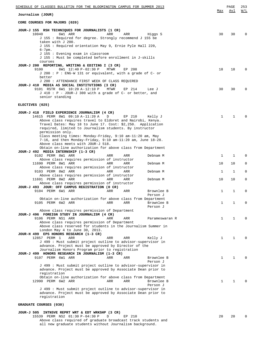|                                 | SCHEDULE OF CLASSES BULLETIN FOR THE BLOOMINGTON CAMPUS FOR SUMMER 2013                                                                                                                                                                                                                                                                                                                                                                                       |      |            |                        | Max          | PAGE<br>Avl | 253<br>W/L |
|---------------------------------|---------------------------------------------------------------------------------------------------------------------------------------------------------------------------------------------------------------------------------------------------------------------------------------------------------------------------------------------------------------------------------------------------------------------------------------------------------------|------|------------|------------------------|--------------|-------------|------------|
| Journalism (JOUR)               |                                                                                                                                                                                                                                                                                                                                                                                                                                                               |      |            |                        |              |             |            |
| CORE COURSES FOR MAJORS (020)   |                                                                                                                                                                                                                                                                                                                                                                                                                                                               |      |            |                        |              |             |            |
| 10040<br>$6 - 7$ pm.<br>courses | JOUR-J 155 RSH TECHNIQUES FOR JOURNALISTS (1 CR)<br>6W1 ARR<br>J 155 : Required for degree. Strongly recommend J 155 be<br>taken with J 200.<br>J 155 : Required orientation May 9, Ernie Pyle Hall 220,<br>J 155 : Evening exam in classroom<br>J 155 : Must be completed before enrollment in J-skills                                                                                                                                                      | ARR  | ARR        | Higgs S                | 30           | 30          | 0          |
| 9100<br>better                  | JOUR-J 200 REPORTING, WRITING & EDITING I (3 CR)<br>6W1 12:40 P-02:30 P<br>$J$ 200 : P : ENG-W 131 or equivalent, with a grade of C- or<br>J 200 : ATTENDANCE FIRST WEEK OF CLASS REQUIRED                                                                                                                                                                                                                                                                    | MTWR | EP 208     |                        | 18           | 18          | $\Omega$   |
|                                 | JOUR-J 410 MEDIA AS SOCIAL INSTITUTIONS (3 CR)<br>9101 RSTR 6W1 10:20 A-12:10 P<br>J 410 : P - JOUR-J 300 with a grade of C- or better, and<br>senior standing                                                                                                                                                                                                                                                                                                | MTWR | EP 214     | Lee J                  | 30           | 30          | 0          |
| ELECTIVES (025)                 |                                                                                                                                                                                                                                                                                                                                                                                                                                                               |      |            |                        |              |             |            |
|                                 | JOUR-J 418 FIELD EXPERIENCE JOURNALISM (4 CR)<br>14615 PERM 8W1 09:10 A-11:20 A<br>Above class requires travel to Eldoret and Nairobi, Kenya.<br>Travel Dates: May 18 to June 17. Cost: \$2,250. Application<br>required, limited to Journalism students. By instructor<br>permission only.<br>Class meeting times: Monday-Friday, 9:10 am-11:20 am, May<br>7-16, and then Monday-Friday, 9:10 am-11:20 am, June 18-28.<br>Above class meets with JOUR-J 518. | D    | EP 210     | Kelly J                | $\mathbf{1}$ | 1           |            |
|                                 | Obtain on-line authorization for above class from Department<br>JOUR-J 492 MEDIA INTERNSHIP (1-3 CR)                                                                                                                                                                                                                                                                                                                                                          |      |            |                        |              |             |            |
|                                 | 9102 PERM 8W1 ARR                                                                                                                                                                                                                                                                                                                                                                                                                                             | ARR  | ARR        | Debnam M               | $\mathbf{1}$ | 1           | 0          |
|                                 | Above class requires permission of instructor<br>11690 PERM 8W1 ARR                                                                                                                                                                                                                                                                                                                                                                                           | ARR  | ARR        | Debnam M               | 10           | 10          | 0          |
|                                 | Above class requires permission of instructor<br>9103 PERM 8W2 ARR                                                                                                                                                                                                                                                                                                                                                                                            | ARR  | ARR        | Debnam M               | 1            | 1           | 0          |
|                                 | Above class requires permission of instructor<br>11691 PERM 8W2 ARR<br>Above class requires permission of instructor<br>JOUR-J 493 JOUR: OFF CAMPUS REGISTRATION (0 CR)                                                                                                                                                                                                                                                                                       | ARR  | ARR        | Debnam M               | 10           | 10          | 0          |
|                                 | 9104 PERM 6W1 ARR                                                                                                                                                                                                                                                                                                                                                                                                                                             | ARR  | <b>ARR</b> | Brownlee B<br>Person J | 1            | 1           | 0          |
|                                 | Obtain on-line authorization for above class from Department<br>9105 PERM 6W2 ARR<br>Above class requires permission of Department                                                                                                                                                                                                                                                                                                                            | ARR  | ARR        | Brownlee B<br>Person J | 1            | 1           | 0          |
|                                 | JOUR-J 496 FOREIGN STUDY IN JOURNALISM (4 CR)<br>9106 PERM NS1 ARR<br>Above class requires permission of Department<br>Above class reserved for students in the Journalism Summer in<br>London May 4 to June 30, 2013.                                                                                                                                                                                                                                        | ARR  | ARR        | Parameswaran R         | $\mathbf{1}$ | 1           | 0          |
| 12857 PERM 1                    | JOUR-H 499 EPS HONORS RESEARCH (1-3 CR)<br>ARR<br>J 499 : Must submit project outline to advisor-supervisor in<br>advance. Project must be approved by Director of the                                                                                                                                                                                                                                                                                        | ARR  | ARR        | Kelly J                | $\mathbf{1}$ | 1           |            |
|                                 | Journalism Honors Program prior to registration<br>JOUR-J 499 HONORS RESEARCH IN JOURNALISM (1-3 CR)<br>9107 PERM 6W1 ARR                                                                                                                                                                                                                                                                                                                                     | ARR  | ARR        | Brownlee B<br>Person J | $\mathbf{1}$ | 1           | U          |
|                                 | J 499 : Must submit project outline to advisor-supervisor in<br>advance. Project must be approved by Associate Dean prior to<br>registration<br>Obtain on-line authorization for above class from Department                                                                                                                                                                                                                                                  |      |            |                        |              |             |            |
|                                 | 12990 PERM 6W2 ARR                                                                                                                                                                                                                                                                                                                                                                                                                                            | ARR  | ARR        | Brownlee B             | $\mathbf{1}$ | 1           |            |
|                                 | J 499 : Must submit project outline to advisor-supervisor in<br>advance. Project must be approved by Associate Dean prior to<br>registration                                                                                                                                                                                                                                                                                                                  |      |            | Person J               |              |             |            |
| GRADUATE COURSES (030)          |                                                                                                                                                                                                                                                                                                                                                                                                                                                               |      |            |                        |              |             |            |
|                                 |                                                                                                                                                                                                                                                                                                                                                                                                                                                               |      |            |                        |              |             |            |

**JOUR-J 505 INTNSVE REPRT WRT & EDT WRKSHP (3 CR)** 15539 PERM NS2 01:30 P-04:30 P D EP 210 20 20 20 0 Above class required of graduate broadcast track students and all new graduate students without Journalism background.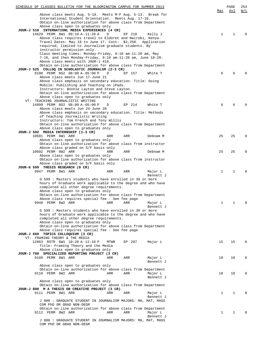| Above class meets Aug. 5-18. Meets M-F Aug. 5-13. Break for<br>International Student Orientation. Meets Aug. 17-18.<br>Obtain on-line authorization for above class from Department<br>Above class open to graduates only<br>JOUR-J 518 INTERNATIONL MEDIA EXPERIENCES (4 CR)<br>14629 PERM 8W1 09:10 A-11:20 A<br>$\mathbf 1$<br>D<br>EP 210<br>Kelly J<br>1<br>0<br>Above class requires travel to Eldoret and Nairobi, Kenya.<br>Travel Dates: May 18 to June 17. Cost: \$2,250. Application<br>required, limited to Journalism graduate students. By<br>instructor permission only.<br>Class meeting times: Monday-Friday, 9:10 am-11:20 am, May<br>$7-16$ , and then Monday-Friday, 9:10 am-11:20 am, June 18-28.<br>Above class meets with JOUR-J 418.<br>Obtain on-line authorization for above class from Department<br>JOUR-J 525 COLLOQ IN SCHOLASTIC JOURNALSM (2-3 CR)<br>9108 PERM NS2 08:00 A-05:00 P<br>D<br>6<br>EP 157<br>White T<br>6<br>Above class meets Jun 17-June 21<br>Above class emphasis on secondary education. Title: Going<br>Mobile: Publishing and Teaching on iPads.<br>Instructors: Bonnie Layton and Steve Layton.<br>Obtain on-line authorization for above class from Department<br>Above class open to graduates only<br>VT: TEACHING JOURNALISTIC WRITING<br>14899 PERM NS2 08:00 A-05:00 P<br>D<br>EP 214<br>White T<br>6<br>6<br>Above class meets Jun 24-June 28<br>Above class emphasis on secondary education. Title: Methods<br>of Teaching Journalistic Writing<br>Instructors: Tom French and Tony Willis<br>Obtain on-line authorization for above class from Department<br>Above class open to graduates only<br>JOUR-J 592 MEDIA INTERNSHIP (1-3 CR)<br>10691 PERM 8W1 ARR<br>25<br>25<br>$\Omega$<br>ARR<br>ARR<br>Debnam M<br>Above class open to graduates only<br>Obtain on-line authorization for above class from instructor<br>Above class graded on S/F basis only<br>10692 PERM 8W2 ARR<br>25<br>25<br>0<br>ARR<br>ARR<br>Debnam M<br>Above class open to graduates only<br>Obtain on-line authorization for above class from instructor<br>Above class graded on S/F basis only<br>JOUR-G 599 THESIS RESEARCH (0 CR)<br>9947 PERM 8W1 ARR<br>1<br>1<br>ARR<br>ARR<br>Major L<br>Bennett J<br>G 599 : Masters students who have enrolled in 30 or more<br>hours of Graduate work applicable to the degree and who have<br>completed all other degree requirements.<br>Above class open to graduates only<br>Obtain on-line authorization for above class from Department<br>Above class requires special fee - See fee page<br>$\mathbf{1}$<br>9948 PERM 8W2 ARR<br>1<br>ARR<br>ARR<br>Major L<br>0<br>Bennett J<br>G 599 : Masters students who have enrolled in 30 or more<br>hours of Graduate work applicable to the degree and who have<br>completed all other degree requirements.<br>Above class open to graduates only<br>Obtain on-line authorization for above class from Department<br>Above class requires special fee - See fee page<br>JOUR-J 660 TOPICS COLLOQUIUM (3 CR)<br>VT: FRAMING THEORY & THE MEDIA<br>12863 RSTR 6W1 10:20 A-12:10 P<br>MTWR<br>EP 207<br>Major L<br>15<br>15<br>0<br>Title: Framing Theory and the Media<br>Above class open to graduates only<br>JOUR-J 700 SPECIALIZED REPORTING PROJECT (3 CR)<br>9109 PERM 8W1 ARR<br>10<br>ARR<br>ARR<br>Major L<br>10<br>0<br>Bennett J<br>Above class open to graduates only<br>Obtain on-line authorization for above class from Department<br>9110 PERM 8W2 ARR<br>10<br>ARR<br>ARR<br>Major L<br>10<br>0<br>Bennett J<br>Above class open to graduates only<br>Obtain on-line authorization for above class from Department<br>JOUR-J 800 M A THESIS OR CREATIVE PROJECT (3 CR)<br>9111 PERM 8W1 ARR<br>1<br>ARR<br>ARR<br>Major L<br>1<br>Bennett J<br>J 800 : GRADUATE STUDENT IN JOURNALISM MAJORS: MA, MAT, MASS<br>COM PhD OR GRAD NON-DEGR<br>Obtain on-line authorization for above class from Department<br>9112 PERM 8W2 ARR<br>$\mathbf{1}$<br>ARR<br>ARR<br>Major L<br>1<br>Bennett J<br>J 800 : GRADUATE STUDENT IN JOURNALISM MAJORS: MA, MAT, MASS<br>COM PhD OR GRAD NON-DEGR | SCHEDULE OF CLASSES BULLETIN FOR THE BLOOMINGTON CAMPUS FOR SUMMER 2013 |     | PAGE | 254 |
|--------------------------------------------------------------------------------------------------------------------------------------------------------------------------------------------------------------------------------------------------------------------------------------------------------------------------------------------------------------------------------------------------------------------------------------------------------------------------------------------------------------------------------------------------------------------------------------------------------------------------------------------------------------------------------------------------------------------------------------------------------------------------------------------------------------------------------------------------------------------------------------------------------------------------------------------------------------------------------------------------------------------------------------------------------------------------------------------------------------------------------------------------------------------------------------------------------------------------------------------------------------------------------------------------------------------------------------------------------------------------------------------------------------------------------------------------------------------------------------------------------------------------------------------------------------------------------------------------------------------------------------------------------------------------------------------------------------------------------------------------------------------------------------------------------------------------------------------------------------------------------------------------------------------------------------------------------------------------------------------------------------------------------------------------------------------------------------------------------------------------------------------------------------------------------------------------------------------------------------------------------------------------------------------------------------------------------------------------------------------------------------------------------------------------------------------------------------------------------------------------------------------------------------------------------------------------------------------------------------------------------------------------------------------------------------------------------------------------------------------------------------------------------------------------------------------------------------------------------------------------------------------------------------------------------------------------------------------------------------------------------------------------------------------------------------------------------------------------------------------------------------------------------------------------------------------------------------------------------------------------------------------------------------------------------------------------------------------------------------------------------------------------------------------------------------------------------------------------------------------------------------------------------------------------------------------------------------------------------------------------------------------------------------------------------------------------------------------------------------------------------------------------------------------------------------------------------------------------------------------------------------------------------------------------------------------------------------------------------------------------------------------------------------------------------------------------------------------------------------------------------------------|-------------------------------------------------------------------------|-----|------|-----|
|                                                                                                                                                                                                                                                                                                                                                                                                                                                                                                                                                                                                                                                                                                                                                                                                                                                                                                                                                                                                                                                                                                                                                                                                                                                                                                                                                                                                                                                                                                                                                                                                                                                                                                                                                                                                                                                                                                                                                                                                                                                                                                                                                                                                                                                                                                                                                                                                                                                                                                                                                                                                                                                                                                                                                                                                                                                                                                                                                                                                                                                                                                                                                                                                                                                                                                                                                                                                                                                                                                                                                                                                                                                                                                                                                                                                                                                                                                                                                                                                                                                                                                                                            |                                                                         | Max | Avl  | W/L |
|                                                                                                                                                                                                                                                                                                                                                                                                                                                                                                                                                                                                                                                                                                                                                                                                                                                                                                                                                                                                                                                                                                                                                                                                                                                                                                                                                                                                                                                                                                                                                                                                                                                                                                                                                                                                                                                                                                                                                                                                                                                                                                                                                                                                                                                                                                                                                                                                                                                                                                                                                                                                                                                                                                                                                                                                                                                                                                                                                                                                                                                                                                                                                                                                                                                                                                                                                                                                                                                                                                                                                                                                                                                                                                                                                                                                                                                                                                                                                                                                                                                                                                                                            |                                                                         |     |      |     |
|                                                                                                                                                                                                                                                                                                                                                                                                                                                                                                                                                                                                                                                                                                                                                                                                                                                                                                                                                                                                                                                                                                                                                                                                                                                                                                                                                                                                                                                                                                                                                                                                                                                                                                                                                                                                                                                                                                                                                                                                                                                                                                                                                                                                                                                                                                                                                                                                                                                                                                                                                                                                                                                                                                                                                                                                                                                                                                                                                                                                                                                                                                                                                                                                                                                                                                                                                                                                                                                                                                                                                                                                                                                                                                                                                                                                                                                                                                                                                                                                                                                                                                                                            |                                                                         |     |      |     |
|                                                                                                                                                                                                                                                                                                                                                                                                                                                                                                                                                                                                                                                                                                                                                                                                                                                                                                                                                                                                                                                                                                                                                                                                                                                                                                                                                                                                                                                                                                                                                                                                                                                                                                                                                                                                                                                                                                                                                                                                                                                                                                                                                                                                                                                                                                                                                                                                                                                                                                                                                                                                                                                                                                                                                                                                                                                                                                                                                                                                                                                                                                                                                                                                                                                                                                                                                                                                                                                                                                                                                                                                                                                                                                                                                                                                                                                                                                                                                                                                                                                                                                                                            |                                                                         |     |      |     |
|                                                                                                                                                                                                                                                                                                                                                                                                                                                                                                                                                                                                                                                                                                                                                                                                                                                                                                                                                                                                                                                                                                                                                                                                                                                                                                                                                                                                                                                                                                                                                                                                                                                                                                                                                                                                                                                                                                                                                                                                                                                                                                                                                                                                                                                                                                                                                                                                                                                                                                                                                                                                                                                                                                                                                                                                                                                                                                                                                                                                                                                                                                                                                                                                                                                                                                                                                                                                                                                                                                                                                                                                                                                                                                                                                                                                                                                                                                                                                                                                                                                                                                                                            |                                                                         |     |      |     |
|                                                                                                                                                                                                                                                                                                                                                                                                                                                                                                                                                                                                                                                                                                                                                                                                                                                                                                                                                                                                                                                                                                                                                                                                                                                                                                                                                                                                                                                                                                                                                                                                                                                                                                                                                                                                                                                                                                                                                                                                                                                                                                                                                                                                                                                                                                                                                                                                                                                                                                                                                                                                                                                                                                                                                                                                                                                                                                                                                                                                                                                                                                                                                                                                                                                                                                                                                                                                                                                                                                                                                                                                                                                                                                                                                                                                                                                                                                                                                                                                                                                                                                                                            |                                                                         |     |      |     |
|                                                                                                                                                                                                                                                                                                                                                                                                                                                                                                                                                                                                                                                                                                                                                                                                                                                                                                                                                                                                                                                                                                                                                                                                                                                                                                                                                                                                                                                                                                                                                                                                                                                                                                                                                                                                                                                                                                                                                                                                                                                                                                                                                                                                                                                                                                                                                                                                                                                                                                                                                                                                                                                                                                                                                                                                                                                                                                                                                                                                                                                                                                                                                                                                                                                                                                                                                                                                                                                                                                                                                                                                                                                                                                                                                                                                                                                                                                                                                                                                                                                                                                                                            |                                                                         |     |      |     |
|                                                                                                                                                                                                                                                                                                                                                                                                                                                                                                                                                                                                                                                                                                                                                                                                                                                                                                                                                                                                                                                                                                                                                                                                                                                                                                                                                                                                                                                                                                                                                                                                                                                                                                                                                                                                                                                                                                                                                                                                                                                                                                                                                                                                                                                                                                                                                                                                                                                                                                                                                                                                                                                                                                                                                                                                                                                                                                                                                                                                                                                                                                                                                                                                                                                                                                                                                                                                                                                                                                                                                                                                                                                                                                                                                                                                                                                                                                                                                                                                                                                                                                                                            |                                                                         |     |      |     |
|                                                                                                                                                                                                                                                                                                                                                                                                                                                                                                                                                                                                                                                                                                                                                                                                                                                                                                                                                                                                                                                                                                                                                                                                                                                                                                                                                                                                                                                                                                                                                                                                                                                                                                                                                                                                                                                                                                                                                                                                                                                                                                                                                                                                                                                                                                                                                                                                                                                                                                                                                                                                                                                                                                                                                                                                                                                                                                                                                                                                                                                                                                                                                                                                                                                                                                                                                                                                                                                                                                                                                                                                                                                                                                                                                                                                                                                                                                                                                                                                                                                                                                                                            |                                                                         |     |      |     |
|                                                                                                                                                                                                                                                                                                                                                                                                                                                                                                                                                                                                                                                                                                                                                                                                                                                                                                                                                                                                                                                                                                                                                                                                                                                                                                                                                                                                                                                                                                                                                                                                                                                                                                                                                                                                                                                                                                                                                                                                                                                                                                                                                                                                                                                                                                                                                                                                                                                                                                                                                                                                                                                                                                                                                                                                                                                                                                                                                                                                                                                                                                                                                                                                                                                                                                                                                                                                                                                                                                                                                                                                                                                                                                                                                                                                                                                                                                                                                                                                                                                                                                                                            |                                                                         |     |      |     |
|                                                                                                                                                                                                                                                                                                                                                                                                                                                                                                                                                                                                                                                                                                                                                                                                                                                                                                                                                                                                                                                                                                                                                                                                                                                                                                                                                                                                                                                                                                                                                                                                                                                                                                                                                                                                                                                                                                                                                                                                                                                                                                                                                                                                                                                                                                                                                                                                                                                                                                                                                                                                                                                                                                                                                                                                                                                                                                                                                                                                                                                                                                                                                                                                                                                                                                                                                                                                                                                                                                                                                                                                                                                                                                                                                                                                                                                                                                                                                                                                                                                                                                                                            |                                                                         |     |      |     |
|                                                                                                                                                                                                                                                                                                                                                                                                                                                                                                                                                                                                                                                                                                                                                                                                                                                                                                                                                                                                                                                                                                                                                                                                                                                                                                                                                                                                                                                                                                                                                                                                                                                                                                                                                                                                                                                                                                                                                                                                                                                                                                                                                                                                                                                                                                                                                                                                                                                                                                                                                                                                                                                                                                                                                                                                                                                                                                                                                                                                                                                                                                                                                                                                                                                                                                                                                                                                                                                                                                                                                                                                                                                                                                                                                                                                                                                                                                                                                                                                                                                                                                                                            |                                                                         |     |      |     |
|                                                                                                                                                                                                                                                                                                                                                                                                                                                                                                                                                                                                                                                                                                                                                                                                                                                                                                                                                                                                                                                                                                                                                                                                                                                                                                                                                                                                                                                                                                                                                                                                                                                                                                                                                                                                                                                                                                                                                                                                                                                                                                                                                                                                                                                                                                                                                                                                                                                                                                                                                                                                                                                                                                                                                                                                                                                                                                                                                                                                                                                                                                                                                                                                                                                                                                                                                                                                                                                                                                                                                                                                                                                                                                                                                                                                                                                                                                                                                                                                                                                                                                                                            |                                                                         |     |      |     |
|                                                                                                                                                                                                                                                                                                                                                                                                                                                                                                                                                                                                                                                                                                                                                                                                                                                                                                                                                                                                                                                                                                                                                                                                                                                                                                                                                                                                                                                                                                                                                                                                                                                                                                                                                                                                                                                                                                                                                                                                                                                                                                                                                                                                                                                                                                                                                                                                                                                                                                                                                                                                                                                                                                                                                                                                                                                                                                                                                                                                                                                                                                                                                                                                                                                                                                                                                                                                                                                                                                                                                                                                                                                                                                                                                                                                                                                                                                                                                                                                                                                                                                                                            |                                                                         |     |      |     |
|                                                                                                                                                                                                                                                                                                                                                                                                                                                                                                                                                                                                                                                                                                                                                                                                                                                                                                                                                                                                                                                                                                                                                                                                                                                                                                                                                                                                                                                                                                                                                                                                                                                                                                                                                                                                                                                                                                                                                                                                                                                                                                                                                                                                                                                                                                                                                                                                                                                                                                                                                                                                                                                                                                                                                                                                                                                                                                                                                                                                                                                                                                                                                                                                                                                                                                                                                                                                                                                                                                                                                                                                                                                                                                                                                                                                                                                                                                                                                                                                                                                                                                                                            |                                                                         |     |      |     |
|                                                                                                                                                                                                                                                                                                                                                                                                                                                                                                                                                                                                                                                                                                                                                                                                                                                                                                                                                                                                                                                                                                                                                                                                                                                                                                                                                                                                                                                                                                                                                                                                                                                                                                                                                                                                                                                                                                                                                                                                                                                                                                                                                                                                                                                                                                                                                                                                                                                                                                                                                                                                                                                                                                                                                                                                                                                                                                                                                                                                                                                                                                                                                                                                                                                                                                                                                                                                                                                                                                                                                                                                                                                                                                                                                                                                                                                                                                                                                                                                                                                                                                                                            |                                                                         |     |      |     |
|                                                                                                                                                                                                                                                                                                                                                                                                                                                                                                                                                                                                                                                                                                                                                                                                                                                                                                                                                                                                                                                                                                                                                                                                                                                                                                                                                                                                                                                                                                                                                                                                                                                                                                                                                                                                                                                                                                                                                                                                                                                                                                                                                                                                                                                                                                                                                                                                                                                                                                                                                                                                                                                                                                                                                                                                                                                                                                                                                                                                                                                                                                                                                                                                                                                                                                                                                                                                                                                                                                                                                                                                                                                                                                                                                                                                                                                                                                                                                                                                                                                                                                                                            |                                                                         |     |      |     |
|                                                                                                                                                                                                                                                                                                                                                                                                                                                                                                                                                                                                                                                                                                                                                                                                                                                                                                                                                                                                                                                                                                                                                                                                                                                                                                                                                                                                                                                                                                                                                                                                                                                                                                                                                                                                                                                                                                                                                                                                                                                                                                                                                                                                                                                                                                                                                                                                                                                                                                                                                                                                                                                                                                                                                                                                                                                                                                                                                                                                                                                                                                                                                                                                                                                                                                                                                                                                                                                                                                                                                                                                                                                                                                                                                                                                                                                                                                                                                                                                                                                                                                                                            |                                                                         |     |      |     |
|                                                                                                                                                                                                                                                                                                                                                                                                                                                                                                                                                                                                                                                                                                                                                                                                                                                                                                                                                                                                                                                                                                                                                                                                                                                                                                                                                                                                                                                                                                                                                                                                                                                                                                                                                                                                                                                                                                                                                                                                                                                                                                                                                                                                                                                                                                                                                                                                                                                                                                                                                                                                                                                                                                                                                                                                                                                                                                                                                                                                                                                                                                                                                                                                                                                                                                                                                                                                                                                                                                                                                                                                                                                                                                                                                                                                                                                                                                                                                                                                                                                                                                                                            |                                                                         |     |      |     |
|                                                                                                                                                                                                                                                                                                                                                                                                                                                                                                                                                                                                                                                                                                                                                                                                                                                                                                                                                                                                                                                                                                                                                                                                                                                                                                                                                                                                                                                                                                                                                                                                                                                                                                                                                                                                                                                                                                                                                                                                                                                                                                                                                                                                                                                                                                                                                                                                                                                                                                                                                                                                                                                                                                                                                                                                                                                                                                                                                                                                                                                                                                                                                                                                                                                                                                                                                                                                                                                                                                                                                                                                                                                                                                                                                                                                                                                                                                                                                                                                                                                                                                                                            |                                                                         |     |      |     |
|                                                                                                                                                                                                                                                                                                                                                                                                                                                                                                                                                                                                                                                                                                                                                                                                                                                                                                                                                                                                                                                                                                                                                                                                                                                                                                                                                                                                                                                                                                                                                                                                                                                                                                                                                                                                                                                                                                                                                                                                                                                                                                                                                                                                                                                                                                                                                                                                                                                                                                                                                                                                                                                                                                                                                                                                                                                                                                                                                                                                                                                                                                                                                                                                                                                                                                                                                                                                                                                                                                                                                                                                                                                                                                                                                                                                                                                                                                                                                                                                                                                                                                                                            |                                                                         |     |      |     |
|                                                                                                                                                                                                                                                                                                                                                                                                                                                                                                                                                                                                                                                                                                                                                                                                                                                                                                                                                                                                                                                                                                                                                                                                                                                                                                                                                                                                                                                                                                                                                                                                                                                                                                                                                                                                                                                                                                                                                                                                                                                                                                                                                                                                                                                                                                                                                                                                                                                                                                                                                                                                                                                                                                                                                                                                                                                                                                                                                                                                                                                                                                                                                                                                                                                                                                                                                                                                                                                                                                                                                                                                                                                                                                                                                                                                                                                                                                                                                                                                                                                                                                                                            |                                                                         |     |      |     |
|                                                                                                                                                                                                                                                                                                                                                                                                                                                                                                                                                                                                                                                                                                                                                                                                                                                                                                                                                                                                                                                                                                                                                                                                                                                                                                                                                                                                                                                                                                                                                                                                                                                                                                                                                                                                                                                                                                                                                                                                                                                                                                                                                                                                                                                                                                                                                                                                                                                                                                                                                                                                                                                                                                                                                                                                                                                                                                                                                                                                                                                                                                                                                                                                                                                                                                                                                                                                                                                                                                                                                                                                                                                                                                                                                                                                                                                                                                                                                                                                                                                                                                                                            |                                                                         |     |      |     |
|                                                                                                                                                                                                                                                                                                                                                                                                                                                                                                                                                                                                                                                                                                                                                                                                                                                                                                                                                                                                                                                                                                                                                                                                                                                                                                                                                                                                                                                                                                                                                                                                                                                                                                                                                                                                                                                                                                                                                                                                                                                                                                                                                                                                                                                                                                                                                                                                                                                                                                                                                                                                                                                                                                                                                                                                                                                                                                                                                                                                                                                                                                                                                                                                                                                                                                                                                                                                                                                                                                                                                                                                                                                                                                                                                                                                                                                                                                                                                                                                                                                                                                                                            |                                                                         |     |      |     |
|                                                                                                                                                                                                                                                                                                                                                                                                                                                                                                                                                                                                                                                                                                                                                                                                                                                                                                                                                                                                                                                                                                                                                                                                                                                                                                                                                                                                                                                                                                                                                                                                                                                                                                                                                                                                                                                                                                                                                                                                                                                                                                                                                                                                                                                                                                                                                                                                                                                                                                                                                                                                                                                                                                                                                                                                                                                                                                                                                                                                                                                                                                                                                                                                                                                                                                                                                                                                                                                                                                                                                                                                                                                                                                                                                                                                                                                                                                                                                                                                                                                                                                                                            |                                                                         |     |      |     |
|                                                                                                                                                                                                                                                                                                                                                                                                                                                                                                                                                                                                                                                                                                                                                                                                                                                                                                                                                                                                                                                                                                                                                                                                                                                                                                                                                                                                                                                                                                                                                                                                                                                                                                                                                                                                                                                                                                                                                                                                                                                                                                                                                                                                                                                                                                                                                                                                                                                                                                                                                                                                                                                                                                                                                                                                                                                                                                                                                                                                                                                                                                                                                                                                                                                                                                                                                                                                                                                                                                                                                                                                                                                                                                                                                                                                                                                                                                                                                                                                                                                                                                                                            |                                                                         |     |      |     |
|                                                                                                                                                                                                                                                                                                                                                                                                                                                                                                                                                                                                                                                                                                                                                                                                                                                                                                                                                                                                                                                                                                                                                                                                                                                                                                                                                                                                                                                                                                                                                                                                                                                                                                                                                                                                                                                                                                                                                                                                                                                                                                                                                                                                                                                                                                                                                                                                                                                                                                                                                                                                                                                                                                                                                                                                                                                                                                                                                                                                                                                                                                                                                                                                                                                                                                                                                                                                                                                                                                                                                                                                                                                                                                                                                                                                                                                                                                                                                                                                                                                                                                                                            |                                                                         |     |      |     |
|                                                                                                                                                                                                                                                                                                                                                                                                                                                                                                                                                                                                                                                                                                                                                                                                                                                                                                                                                                                                                                                                                                                                                                                                                                                                                                                                                                                                                                                                                                                                                                                                                                                                                                                                                                                                                                                                                                                                                                                                                                                                                                                                                                                                                                                                                                                                                                                                                                                                                                                                                                                                                                                                                                                                                                                                                                                                                                                                                                                                                                                                                                                                                                                                                                                                                                                                                                                                                                                                                                                                                                                                                                                                                                                                                                                                                                                                                                                                                                                                                                                                                                                                            |                                                                         |     |      |     |
|                                                                                                                                                                                                                                                                                                                                                                                                                                                                                                                                                                                                                                                                                                                                                                                                                                                                                                                                                                                                                                                                                                                                                                                                                                                                                                                                                                                                                                                                                                                                                                                                                                                                                                                                                                                                                                                                                                                                                                                                                                                                                                                                                                                                                                                                                                                                                                                                                                                                                                                                                                                                                                                                                                                                                                                                                                                                                                                                                                                                                                                                                                                                                                                                                                                                                                                                                                                                                                                                                                                                                                                                                                                                                                                                                                                                                                                                                                                                                                                                                                                                                                                                            |                                                                         |     |      |     |
|                                                                                                                                                                                                                                                                                                                                                                                                                                                                                                                                                                                                                                                                                                                                                                                                                                                                                                                                                                                                                                                                                                                                                                                                                                                                                                                                                                                                                                                                                                                                                                                                                                                                                                                                                                                                                                                                                                                                                                                                                                                                                                                                                                                                                                                                                                                                                                                                                                                                                                                                                                                                                                                                                                                                                                                                                                                                                                                                                                                                                                                                                                                                                                                                                                                                                                                                                                                                                                                                                                                                                                                                                                                                                                                                                                                                                                                                                                                                                                                                                                                                                                                                            |                                                                         |     |      |     |
|                                                                                                                                                                                                                                                                                                                                                                                                                                                                                                                                                                                                                                                                                                                                                                                                                                                                                                                                                                                                                                                                                                                                                                                                                                                                                                                                                                                                                                                                                                                                                                                                                                                                                                                                                                                                                                                                                                                                                                                                                                                                                                                                                                                                                                                                                                                                                                                                                                                                                                                                                                                                                                                                                                                                                                                                                                                                                                                                                                                                                                                                                                                                                                                                                                                                                                                                                                                                                                                                                                                                                                                                                                                                                                                                                                                                                                                                                                                                                                                                                                                                                                                                            |                                                                         |     |      |     |
|                                                                                                                                                                                                                                                                                                                                                                                                                                                                                                                                                                                                                                                                                                                                                                                                                                                                                                                                                                                                                                                                                                                                                                                                                                                                                                                                                                                                                                                                                                                                                                                                                                                                                                                                                                                                                                                                                                                                                                                                                                                                                                                                                                                                                                                                                                                                                                                                                                                                                                                                                                                                                                                                                                                                                                                                                                                                                                                                                                                                                                                                                                                                                                                                                                                                                                                                                                                                                                                                                                                                                                                                                                                                                                                                                                                                                                                                                                                                                                                                                                                                                                                                            |                                                                         |     |      |     |
|                                                                                                                                                                                                                                                                                                                                                                                                                                                                                                                                                                                                                                                                                                                                                                                                                                                                                                                                                                                                                                                                                                                                                                                                                                                                                                                                                                                                                                                                                                                                                                                                                                                                                                                                                                                                                                                                                                                                                                                                                                                                                                                                                                                                                                                                                                                                                                                                                                                                                                                                                                                                                                                                                                                                                                                                                                                                                                                                                                                                                                                                                                                                                                                                                                                                                                                                                                                                                                                                                                                                                                                                                                                                                                                                                                                                                                                                                                                                                                                                                                                                                                                                            |                                                                         |     |      |     |
|                                                                                                                                                                                                                                                                                                                                                                                                                                                                                                                                                                                                                                                                                                                                                                                                                                                                                                                                                                                                                                                                                                                                                                                                                                                                                                                                                                                                                                                                                                                                                                                                                                                                                                                                                                                                                                                                                                                                                                                                                                                                                                                                                                                                                                                                                                                                                                                                                                                                                                                                                                                                                                                                                                                                                                                                                                                                                                                                                                                                                                                                                                                                                                                                                                                                                                                                                                                                                                                                                                                                                                                                                                                                                                                                                                                                                                                                                                                                                                                                                                                                                                                                            |                                                                         |     |      |     |
|                                                                                                                                                                                                                                                                                                                                                                                                                                                                                                                                                                                                                                                                                                                                                                                                                                                                                                                                                                                                                                                                                                                                                                                                                                                                                                                                                                                                                                                                                                                                                                                                                                                                                                                                                                                                                                                                                                                                                                                                                                                                                                                                                                                                                                                                                                                                                                                                                                                                                                                                                                                                                                                                                                                                                                                                                                                                                                                                                                                                                                                                                                                                                                                                                                                                                                                                                                                                                                                                                                                                                                                                                                                                                                                                                                                                                                                                                                                                                                                                                                                                                                                                            |                                                                         |     |      |     |
|                                                                                                                                                                                                                                                                                                                                                                                                                                                                                                                                                                                                                                                                                                                                                                                                                                                                                                                                                                                                                                                                                                                                                                                                                                                                                                                                                                                                                                                                                                                                                                                                                                                                                                                                                                                                                                                                                                                                                                                                                                                                                                                                                                                                                                                                                                                                                                                                                                                                                                                                                                                                                                                                                                                                                                                                                                                                                                                                                                                                                                                                                                                                                                                                                                                                                                                                                                                                                                                                                                                                                                                                                                                                                                                                                                                                                                                                                                                                                                                                                                                                                                                                            |                                                                         |     |      |     |
|                                                                                                                                                                                                                                                                                                                                                                                                                                                                                                                                                                                                                                                                                                                                                                                                                                                                                                                                                                                                                                                                                                                                                                                                                                                                                                                                                                                                                                                                                                                                                                                                                                                                                                                                                                                                                                                                                                                                                                                                                                                                                                                                                                                                                                                                                                                                                                                                                                                                                                                                                                                                                                                                                                                                                                                                                                                                                                                                                                                                                                                                                                                                                                                                                                                                                                                                                                                                                                                                                                                                                                                                                                                                                                                                                                                                                                                                                                                                                                                                                                                                                                                                            |                                                                         |     |      |     |
|                                                                                                                                                                                                                                                                                                                                                                                                                                                                                                                                                                                                                                                                                                                                                                                                                                                                                                                                                                                                                                                                                                                                                                                                                                                                                                                                                                                                                                                                                                                                                                                                                                                                                                                                                                                                                                                                                                                                                                                                                                                                                                                                                                                                                                                                                                                                                                                                                                                                                                                                                                                                                                                                                                                                                                                                                                                                                                                                                                                                                                                                                                                                                                                                                                                                                                                                                                                                                                                                                                                                                                                                                                                                                                                                                                                                                                                                                                                                                                                                                                                                                                                                            |                                                                         |     |      |     |
|                                                                                                                                                                                                                                                                                                                                                                                                                                                                                                                                                                                                                                                                                                                                                                                                                                                                                                                                                                                                                                                                                                                                                                                                                                                                                                                                                                                                                                                                                                                                                                                                                                                                                                                                                                                                                                                                                                                                                                                                                                                                                                                                                                                                                                                                                                                                                                                                                                                                                                                                                                                                                                                                                                                                                                                                                                                                                                                                                                                                                                                                                                                                                                                                                                                                                                                                                                                                                                                                                                                                                                                                                                                                                                                                                                                                                                                                                                                                                                                                                                                                                                                                            |                                                                         |     |      |     |
|                                                                                                                                                                                                                                                                                                                                                                                                                                                                                                                                                                                                                                                                                                                                                                                                                                                                                                                                                                                                                                                                                                                                                                                                                                                                                                                                                                                                                                                                                                                                                                                                                                                                                                                                                                                                                                                                                                                                                                                                                                                                                                                                                                                                                                                                                                                                                                                                                                                                                                                                                                                                                                                                                                                                                                                                                                                                                                                                                                                                                                                                                                                                                                                                                                                                                                                                                                                                                                                                                                                                                                                                                                                                                                                                                                                                                                                                                                                                                                                                                                                                                                                                            |                                                                         |     |      |     |
|                                                                                                                                                                                                                                                                                                                                                                                                                                                                                                                                                                                                                                                                                                                                                                                                                                                                                                                                                                                                                                                                                                                                                                                                                                                                                                                                                                                                                                                                                                                                                                                                                                                                                                                                                                                                                                                                                                                                                                                                                                                                                                                                                                                                                                                                                                                                                                                                                                                                                                                                                                                                                                                                                                                                                                                                                                                                                                                                                                                                                                                                                                                                                                                                                                                                                                                                                                                                                                                                                                                                                                                                                                                                                                                                                                                                                                                                                                                                                                                                                                                                                                                                            |                                                                         |     |      |     |
|                                                                                                                                                                                                                                                                                                                                                                                                                                                                                                                                                                                                                                                                                                                                                                                                                                                                                                                                                                                                                                                                                                                                                                                                                                                                                                                                                                                                                                                                                                                                                                                                                                                                                                                                                                                                                                                                                                                                                                                                                                                                                                                                                                                                                                                                                                                                                                                                                                                                                                                                                                                                                                                                                                                                                                                                                                                                                                                                                                                                                                                                                                                                                                                                                                                                                                                                                                                                                                                                                                                                                                                                                                                                                                                                                                                                                                                                                                                                                                                                                                                                                                                                            |                                                                         |     |      |     |
|                                                                                                                                                                                                                                                                                                                                                                                                                                                                                                                                                                                                                                                                                                                                                                                                                                                                                                                                                                                                                                                                                                                                                                                                                                                                                                                                                                                                                                                                                                                                                                                                                                                                                                                                                                                                                                                                                                                                                                                                                                                                                                                                                                                                                                                                                                                                                                                                                                                                                                                                                                                                                                                                                                                                                                                                                                                                                                                                                                                                                                                                                                                                                                                                                                                                                                                                                                                                                                                                                                                                                                                                                                                                                                                                                                                                                                                                                                                                                                                                                                                                                                                                            |                                                                         |     |      |     |
|                                                                                                                                                                                                                                                                                                                                                                                                                                                                                                                                                                                                                                                                                                                                                                                                                                                                                                                                                                                                                                                                                                                                                                                                                                                                                                                                                                                                                                                                                                                                                                                                                                                                                                                                                                                                                                                                                                                                                                                                                                                                                                                                                                                                                                                                                                                                                                                                                                                                                                                                                                                                                                                                                                                                                                                                                                                                                                                                                                                                                                                                                                                                                                                                                                                                                                                                                                                                                                                                                                                                                                                                                                                                                                                                                                                                                                                                                                                                                                                                                                                                                                                                            |                                                                         |     |      |     |
|                                                                                                                                                                                                                                                                                                                                                                                                                                                                                                                                                                                                                                                                                                                                                                                                                                                                                                                                                                                                                                                                                                                                                                                                                                                                                                                                                                                                                                                                                                                                                                                                                                                                                                                                                                                                                                                                                                                                                                                                                                                                                                                                                                                                                                                                                                                                                                                                                                                                                                                                                                                                                                                                                                                                                                                                                                                                                                                                                                                                                                                                                                                                                                                                                                                                                                                                                                                                                                                                                                                                                                                                                                                                                                                                                                                                                                                                                                                                                                                                                                                                                                                                            |                                                                         |     |      |     |
|                                                                                                                                                                                                                                                                                                                                                                                                                                                                                                                                                                                                                                                                                                                                                                                                                                                                                                                                                                                                                                                                                                                                                                                                                                                                                                                                                                                                                                                                                                                                                                                                                                                                                                                                                                                                                                                                                                                                                                                                                                                                                                                                                                                                                                                                                                                                                                                                                                                                                                                                                                                                                                                                                                                                                                                                                                                                                                                                                                                                                                                                                                                                                                                                                                                                                                                                                                                                                                                                                                                                                                                                                                                                                                                                                                                                                                                                                                                                                                                                                                                                                                                                            |                                                                         |     |      |     |
|                                                                                                                                                                                                                                                                                                                                                                                                                                                                                                                                                                                                                                                                                                                                                                                                                                                                                                                                                                                                                                                                                                                                                                                                                                                                                                                                                                                                                                                                                                                                                                                                                                                                                                                                                                                                                                                                                                                                                                                                                                                                                                                                                                                                                                                                                                                                                                                                                                                                                                                                                                                                                                                                                                                                                                                                                                                                                                                                                                                                                                                                                                                                                                                                                                                                                                                                                                                                                                                                                                                                                                                                                                                                                                                                                                                                                                                                                                                                                                                                                                                                                                                                            |                                                                         |     |      |     |
|                                                                                                                                                                                                                                                                                                                                                                                                                                                                                                                                                                                                                                                                                                                                                                                                                                                                                                                                                                                                                                                                                                                                                                                                                                                                                                                                                                                                                                                                                                                                                                                                                                                                                                                                                                                                                                                                                                                                                                                                                                                                                                                                                                                                                                                                                                                                                                                                                                                                                                                                                                                                                                                                                                                                                                                                                                                                                                                                                                                                                                                                                                                                                                                                                                                                                                                                                                                                                                                                                                                                                                                                                                                                                                                                                                                                                                                                                                                                                                                                                                                                                                                                            |                                                                         |     |      |     |
|                                                                                                                                                                                                                                                                                                                                                                                                                                                                                                                                                                                                                                                                                                                                                                                                                                                                                                                                                                                                                                                                                                                                                                                                                                                                                                                                                                                                                                                                                                                                                                                                                                                                                                                                                                                                                                                                                                                                                                                                                                                                                                                                                                                                                                                                                                                                                                                                                                                                                                                                                                                                                                                                                                                                                                                                                                                                                                                                                                                                                                                                                                                                                                                                                                                                                                                                                                                                                                                                                                                                                                                                                                                                                                                                                                                                                                                                                                                                                                                                                                                                                                                                            |                                                                         |     |      |     |
|                                                                                                                                                                                                                                                                                                                                                                                                                                                                                                                                                                                                                                                                                                                                                                                                                                                                                                                                                                                                                                                                                                                                                                                                                                                                                                                                                                                                                                                                                                                                                                                                                                                                                                                                                                                                                                                                                                                                                                                                                                                                                                                                                                                                                                                                                                                                                                                                                                                                                                                                                                                                                                                                                                                                                                                                                                                                                                                                                                                                                                                                                                                                                                                                                                                                                                                                                                                                                                                                                                                                                                                                                                                                                                                                                                                                                                                                                                                                                                                                                                                                                                                                            |                                                                         |     |      |     |
|                                                                                                                                                                                                                                                                                                                                                                                                                                                                                                                                                                                                                                                                                                                                                                                                                                                                                                                                                                                                                                                                                                                                                                                                                                                                                                                                                                                                                                                                                                                                                                                                                                                                                                                                                                                                                                                                                                                                                                                                                                                                                                                                                                                                                                                                                                                                                                                                                                                                                                                                                                                                                                                                                                                                                                                                                                                                                                                                                                                                                                                                                                                                                                                                                                                                                                                                                                                                                                                                                                                                                                                                                                                                                                                                                                                                                                                                                                                                                                                                                                                                                                                                            |                                                                         |     |      |     |
|                                                                                                                                                                                                                                                                                                                                                                                                                                                                                                                                                                                                                                                                                                                                                                                                                                                                                                                                                                                                                                                                                                                                                                                                                                                                                                                                                                                                                                                                                                                                                                                                                                                                                                                                                                                                                                                                                                                                                                                                                                                                                                                                                                                                                                                                                                                                                                                                                                                                                                                                                                                                                                                                                                                                                                                                                                                                                                                                                                                                                                                                                                                                                                                                                                                                                                                                                                                                                                                                                                                                                                                                                                                                                                                                                                                                                                                                                                                                                                                                                                                                                                                                            |                                                                         |     |      |     |
|                                                                                                                                                                                                                                                                                                                                                                                                                                                                                                                                                                                                                                                                                                                                                                                                                                                                                                                                                                                                                                                                                                                                                                                                                                                                                                                                                                                                                                                                                                                                                                                                                                                                                                                                                                                                                                                                                                                                                                                                                                                                                                                                                                                                                                                                                                                                                                                                                                                                                                                                                                                                                                                                                                                                                                                                                                                                                                                                                                                                                                                                                                                                                                                                                                                                                                                                                                                                                                                                                                                                                                                                                                                                                                                                                                                                                                                                                                                                                                                                                                                                                                                                            |                                                                         |     |      |     |
|                                                                                                                                                                                                                                                                                                                                                                                                                                                                                                                                                                                                                                                                                                                                                                                                                                                                                                                                                                                                                                                                                                                                                                                                                                                                                                                                                                                                                                                                                                                                                                                                                                                                                                                                                                                                                                                                                                                                                                                                                                                                                                                                                                                                                                                                                                                                                                                                                                                                                                                                                                                                                                                                                                                                                                                                                                                                                                                                                                                                                                                                                                                                                                                                                                                                                                                                                                                                                                                                                                                                                                                                                                                                                                                                                                                                                                                                                                                                                                                                                                                                                                                                            |                                                                         |     |      |     |
|                                                                                                                                                                                                                                                                                                                                                                                                                                                                                                                                                                                                                                                                                                                                                                                                                                                                                                                                                                                                                                                                                                                                                                                                                                                                                                                                                                                                                                                                                                                                                                                                                                                                                                                                                                                                                                                                                                                                                                                                                                                                                                                                                                                                                                                                                                                                                                                                                                                                                                                                                                                                                                                                                                                                                                                                                                                                                                                                                                                                                                                                                                                                                                                                                                                                                                                                                                                                                                                                                                                                                                                                                                                                                                                                                                                                                                                                                                                                                                                                                                                                                                                                            |                                                                         |     |      |     |
|                                                                                                                                                                                                                                                                                                                                                                                                                                                                                                                                                                                                                                                                                                                                                                                                                                                                                                                                                                                                                                                                                                                                                                                                                                                                                                                                                                                                                                                                                                                                                                                                                                                                                                                                                                                                                                                                                                                                                                                                                                                                                                                                                                                                                                                                                                                                                                                                                                                                                                                                                                                                                                                                                                                                                                                                                                                                                                                                                                                                                                                                                                                                                                                                                                                                                                                                                                                                                                                                                                                                                                                                                                                                                                                                                                                                                                                                                                                                                                                                                                                                                                                                            |                                                                         |     |      |     |
|                                                                                                                                                                                                                                                                                                                                                                                                                                                                                                                                                                                                                                                                                                                                                                                                                                                                                                                                                                                                                                                                                                                                                                                                                                                                                                                                                                                                                                                                                                                                                                                                                                                                                                                                                                                                                                                                                                                                                                                                                                                                                                                                                                                                                                                                                                                                                                                                                                                                                                                                                                                                                                                                                                                                                                                                                                                                                                                                                                                                                                                                                                                                                                                                                                                                                                                                                                                                                                                                                                                                                                                                                                                                                                                                                                                                                                                                                                                                                                                                                                                                                                                                            |                                                                         |     |      |     |
|                                                                                                                                                                                                                                                                                                                                                                                                                                                                                                                                                                                                                                                                                                                                                                                                                                                                                                                                                                                                                                                                                                                                                                                                                                                                                                                                                                                                                                                                                                                                                                                                                                                                                                                                                                                                                                                                                                                                                                                                                                                                                                                                                                                                                                                                                                                                                                                                                                                                                                                                                                                                                                                                                                                                                                                                                                                                                                                                                                                                                                                                                                                                                                                                                                                                                                                                                                                                                                                                                                                                                                                                                                                                                                                                                                                                                                                                                                                                                                                                                                                                                                                                            |                                                                         |     |      |     |
|                                                                                                                                                                                                                                                                                                                                                                                                                                                                                                                                                                                                                                                                                                                                                                                                                                                                                                                                                                                                                                                                                                                                                                                                                                                                                                                                                                                                                                                                                                                                                                                                                                                                                                                                                                                                                                                                                                                                                                                                                                                                                                                                                                                                                                                                                                                                                                                                                                                                                                                                                                                                                                                                                                                                                                                                                                                                                                                                                                                                                                                                                                                                                                                                                                                                                                                                                                                                                                                                                                                                                                                                                                                                                                                                                                                                                                                                                                                                                                                                                                                                                                                                            |                                                                         |     |      |     |
|                                                                                                                                                                                                                                                                                                                                                                                                                                                                                                                                                                                                                                                                                                                                                                                                                                                                                                                                                                                                                                                                                                                                                                                                                                                                                                                                                                                                                                                                                                                                                                                                                                                                                                                                                                                                                                                                                                                                                                                                                                                                                                                                                                                                                                                                                                                                                                                                                                                                                                                                                                                                                                                                                                                                                                                                                                                                                                                                                                                                                                                                                                                                                                                                                                                                                                                                                                                                                                                                                                                                                                                                                                                                                                                                                                                                                                                                                                                                                                                                                                                                                                                                            |                                                                         |     |      |     |
|                                                                                                                                                                                                                                                                                                                                                                                                                                                                                                                                                                                                                                                                                                                                                                                                                                                                                                                                                                                                                                                                                                                                                                                                                                                                                                                                                                                                                                                                                                                                                                                                                                                                                                                                                                                                                                                                                                                                                                                                                                                                                                                                                                                                                                                                                                                                                                                                                                                                                                                                                                                                                                                                                                                                                                                                                                                                                                                                                                                                                                                                                                                                                                                                                                                                                                                                                                                                                                                                                                                                                                                                                                                                                                                                                                                                                                                                                                                                                                                                                                                                                                                                            |                                                                         |     |      |     |
|                                                                                                                                                                                                                                                                                                                                                                                                                                                                                                                                                                                                                                                                                                                                                                                                                                                                                                                                                                                                                                                                                                                                                                                                                                                                                                                                                                                                                                                                                                                                                                                                                                                                                                                                                                                                                                                                                                                                                                                                                                                                                                                                                                                                                                                                                                                                                                                                                                                                                                                                                                                                                                                                                                                                                                                                                                                                                                                                                                                                                                                                                                                                                                                                                                                                                                                                                                                                                                                                                                                                                                                                                                                                                                                                                                                                                                                                                                                                                                                                                                                                                                                                            |                                                                         |     |      |     |
|                                                                                                                                                                                                                                                                                                                                                                                                                                                                                                                                                                                                                                                                                                                                                                                                                                                                                                                                                                                                                                                                                                                                                                                                                                                                                                                                                                                                                                                                                                                                                                                                                                                                                                                                                                                                                                                                                                                                                                                                                                                                                                                                                                                                                                                                                                                                                                                                                                                                                                                                                                                                                                                                                                                                                                                                                                                                                                                                                                                                                                                                                                                                                                                                                                                                                                                                                                                                                                                                                                                                                                                                                                                                                                                                                                                                                                                                                                                                                                                                                                                                                                                                            |                                                                         |     |      |     |
|                                                                                                                                                                                                                                                                                                                                                                                                                                                                                                                                                                                                                                                                                                                                                                                                                                                                                                                                                                                                                                                                                                                                                                                                                                                                                                                                                                                                                                                                                                                                                                                                                                                                                                                                                                                                                                                                                                                                                                                                                                                                                                                                                                                                                                                                                                                                                                                                                                                                                                                                                                                                                                                                                                                                                                                                                                                                                                                                                                                                                                                                                                                                                                                                                                                                                                                                                                                                                                                                                                                                                                                                                                                                                                                                                                                                                                                                                                                                                                                                                                                                                                                                            |                                                                         |     |      |     |
|                                                                                                                                                                                                                                                                                                                                                                                                                                                                                                                                                                                                                                                                                                                                                                                                                                                                                                                                                                                                                                                                                                                                                                                                                                                                                                                                                                                                                                                                                                                                                                                                                                                                                                                                                                                                                                                                                                                                                                                                                                                                                                                                                                                                                                                                                                                                                                                                                                                                                                                                                                                                                                                                                                                                                                                                                                                                                                                                                                                                                                                                                                                                                                                                                                                                                                                                                                                                                                                                                                                                                                                                                                                                                                                                                                                                                                                                                                                                                                                                                                                                                                                                            |                                                                         |     |      |     |
|                                                                                                                                                                                                                                                                                                                                                                                                                                                                                                                                                                                                                                                                                                                                                                                                                                                                                                                                                                                                                                                                                                                                                                                                                                                                                                                                                                                                                                                                                                                                                                                                                                                                                                                                                                                                                                                                                                                                                                                                                                                                                                                                                                                                                                                                                                                                                                                                                                                                                                                                                                                                                                                                                                                                                                                                                                                                                                                                                                                                                                                                                                                                                                                                                                                                                                                                                                                                                                                                                                                                                                                                                                                                                                                                                                                                                                                                                                                                                                                                                                                                                                                                            |                                                                         |     |      |     |
|                                                                                                                                                                                                                                                                                                                                                                                                                                                                                                                                                                                                                                                                                                                                                                                                                                                                                                                                                                                                                                                                                                                                                                                                                                                                                                                                                                                                                                                                                                                                                                                                                                                                                                                                                                                                                                                                                                                                                                                                                                                                                                                                                                                                                                                                                                                                                                                                                                                                                                                                                                                                                                                                                                                                                                                                                                                                                                                                                                                                                                                                                                                                                                                                                                                                                                                                                                                                                                                                                                                                                                                                                                                                                                                                                                                                                                                                                                                                                                                                                                                                                                                                            |                                                                         |     |      |     |
|                                                                                                                                                                                                                                                                                                                                                                                                                                                                                                                                                                                                                                                                                                                                                                                                                                                                                                                                                                                                                                                                                                                                                                                                                                                                                                                                                                                                                                                                                                                                                                                                                                                                                                                                                                                                                                                                                                                                                                                                                                                                                                                                                                                                                                                                                                                                                                                                                                                                                                                                                                                                                                                                                                                                                                                                                                                                                                                                                                                                                                                                                                                                                                                                                                                                                                                                                                                                                                                                                                                                                                                                                                                                                                                                                                                                                                                                                                                                                                                                                                                                                                                                            |                                                                         |     |      |     |
|                                                                                                                                                                                                                                                                                                                                                                                                                                                                                                                                                                                                                                                                                                                                                                                                                                                                                                                                                                                                                                                                                                                                                                                                                                                                                                                                                                                                                                                                                                                                                                                                                                                                                                                                                                                                                                                                                                                                                                                                                                                                                                                                                                                                                                                                                                                                                                                                                                                                                                                                                                                                                                                                                                                                                                                                                                                                                                                                                                                                                                                                                                                                                                                                                                                                                                                                                                                                                                                                                                                                                                                                                                                                                                                                                                                                                                                                                                                                                                                                                                                                                                                                            |                                                                         |     |      |     |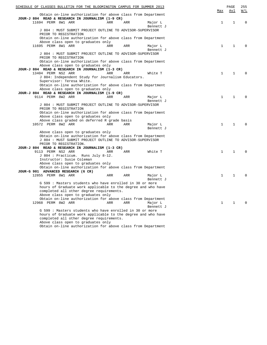| SCHEDULE OF CLASSES BULLETIN FOR THE BLOOMINGTON CAMPUS FOR SUMMER 2013 |     |     |                      |  | Max          | PAGE<br>Avl  | 255<br>W/L   |
|-------------------------------------------------------------------------|-----|-----|----------------------|--|--------------|--------------|--------------|
| Obtain on-line authorization for above class from Department            |     |     |                      |  |              |              |              |
| JOUR-J 804 READ & RESEARCH IN JOURNALISM (1-9 CR)<br>11694 PERM 8W1 ARR | ARR | ARR | Major L              |  | $\mathbf{1}$ | 1            | $\Omega$     |
|                                                                         |     |     | Bennett J            |  |              |              |              |
| J 804 : MUST SUBMIT PROJECT OUTLINE TO ADVISOR-SUPERVISOR               |     |     |                      |  |              |              |              |
| PRIOR TO REGISTRATION                                                   |     |     |                      |  |              |              |              |
| Obtain on-line authorization for above class from Department            |     |     |                      |  |              |              |              |
| Above class open to graduates only                                      |     |     |                      |  |              |              |              |
| 11695 PERM 8W1 ARR                                                      | ARR | ARR | Major L              |  | $\mathbf{1}$ | 1            | $\mathbf{0}$ |
|                                                                         |     |     | Bennett J            |  |              |              |              |
| J 804 : MUST SUBMIT PROJECT OUTLINE TO ADVISOR-SUPERVISOR               |     |     |                      |  |              |              |              |
| PRIOR TO REGISTRATION                                                   |     |     |                      |  |              |              |              |
| Obtain on-line authorization for above class from Department            |     |     |                      |  |              |              |              |
| Above class open to graduates only                                      |     |     |                      |  |              |              |              |
| JOUR-J 804 READ & RESEARCH IN JOURNALISM (1-3 CR)                       |     |     |                      |  |              |              |              |
| 13404 PERM NS2 ARR                                                      | ARR | ARR | White T              |  | $\mathbf{1}$ | $\mathbf{1}$ | $\Omega$     |
| J 804: Independent Study for Journalism Educators.                      |     |     |                      |  |              |              |              |
| Supervisor: Teresa White.                                               |     |     |                      |  |              |              |              |
| Obtain on-line authorization for above class from Department            |     |     |                      |  |              |              |              |
| Above class open to graduates only                                      |     |     |                      |  |              |              |              |
| JOUR-J 804 READ & RESEARCH IN JOURNALISM (1-9 CR)                       |     |     |                      |  |              |              |              |
| 9114 PERM 8W2 ARR                                                       | ARR | ARR | Major L              |  | 1            | 1            | $\Omega$     |
|                                                                         |     |     | Bennett J            |  |              |              |              |
| J 804 : MUST SUBMIT PROJECT OUTLINE TO ADVISOR-SUPERVISOR               |     |     |                      |  |              |              |              |
| PRIOR TO REGISTRATION                                                   |     |     |                      |  |              |              |              |
| Obtain on-line authorization for above class from Department            |     |     |                      |  |              |              |              |
| Above class open to graduates only                                      |     |     |                      |  |              |              |              |
| Above class graded on deferred R grade basis                            |     |     |                      |  |              |              |              |
| 10572 PERM 8W2 ARR                                                      | ARR | ARR | Major L              |  | $\mathbf{1}$ | $\mathbf{1}$ | $\Omega$     |
|                                                                         |     |     | Bennett J            |  |              |              |              |
| Above class open to graduates only                                      |     |     |                      |  |              |              |              |
| Obtain on-line authorization for above class from Department            |     |     |                      |  |              |              |              |
| J 804 : MUST SUBMIT PROJECT OUTLINE TO ADVISOR-SUPERVISOR               |     |     |                      |  |              |              |              |
| PRIOR TO REGISTRATION.                                                  |     |     |                      |  |              |              |              |
| JOUR-J 804 READ & RESEARCH IN JOURNALISM (1-3 CR)                       |     |     |                      |  |              |              |              |
| 9113 PERM NS2 ARR                                                       | ARR | ARR | White T              |  | $\mathbf{1}$ | $\mathbf{1}$ | $\Omega$     |
| J 804 : Practicum. Runs July 8-12.                                      |     |     |                      |  |              |              |              |
| Instructor: Susie Coleman                                               |     |     |                      |  |              |              |              |
| Above class open to graduates only                                      |     |     |                      |  |              |              |              |
| Obtain on-line authorization for above class from Department            |     |     |                      |  |              |              |              |
| JOUR-G 901 ADVANCED RESEARCH (6 CR)                                     |     |     |                      |  |              |              |              |
| 12855 PERM 8W1 ARR                                                      | ARR | ARR | Major L<br>Bennett J |  | $\mathbf{1}$ | $\mathbf{1}$ | $\Omega$     |
| G 599 : Masters students who have enrolled in 30 or more                |     |     |                      |  |              |              |              |
| hours of Graduate work applicable to the degree and who have            |     |     |                      |  |              |              |              |
| completed all other degree requirements.                                |     |     |                      |  |              |              |              |
| Above class open to graduates only                                      |     |     |                      |  |              |              |              |
| Obtain on-line authorization for above class from Department            |     |     |                      |  |              |              |              |
| 12968 PERM 8W2 ARR                                                      | ARR | ARR | Major L              |  | $\mathbf{1}$ | $\mathbf 1$  | $\Omega$     |
|                                                                         |     |     | Bennett J            |  |              |              |              |
| G 599 : Masters students who have enrolled in 30 or more                |     |     |                      |  |              |              |              |
| hours of Graduate work applicable to the degree and who have            |     |     |                      |  |              |              |              |
| completed all other degree requirements.                                |     |     |                      |  |              |              |              |
| Above class open to graduates only                                      |     |     |                      |  |              |              |              |

Obtain on-line authorization for above class from Department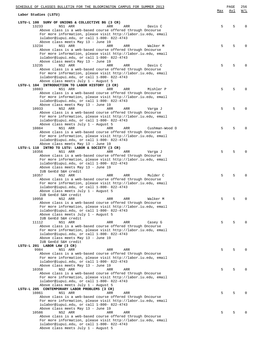| SCHEDULE OF CLASSES BULLETIN FOR THE BLOOMINGTON CAMPUS FOR SUMMER 2013                                     |     | PAGE | 256          |
|-------------------------------------------------------------------------------------------------------------|-----|------|--------------|
| Labor Studies (LSTU)                                                                                        | Max | Avl  | W/L          |
| LSTU-L 100 SURV OF UNIONS & COLLECTIVE BG (3 CR)                                                            |     |      |              |
| NS1 ARR<br>13233<br>ARR<br>ARR<br>Davis C                                                                   | 5   | 5    | $\Omega$     |
| Above class is a web-based course offered through Oncourse                                                  |     |      |              |
| For more information, please visit http://labor.iu.edu, email                                               |     |      |              |
| iulabor@iupui.edu, or call 1-800- 822-4743                                                                  |     |      |              |
| Above class meets May 13 - June 19                                                                          |     |      |              |
| 13234<br>NS1 ARR<br>ARR<br>ARR<br>Walker M                                                                  | 5   | 5    | $\Omega$     |
| Above class is a web-based course offered through Oncourse                                                  |     |      |              |
| For more information, please visit http://labor.iu.edu, email                                               |     |      |              |
| iulabor@iupui.edu, or call 1-800- 822-4743                                                                  |     |      |              |
| Above class meets May 13 - June 19<br>13235<br>NS2 ARR<br>ARR<br>ARR<br>Davis C                             | 5   | 5    | $\Omega$     |
| Above class is a web-based course offered through Oncourse                                                  |     |      |              |
| For more information, please visit http://labor.iu.edu, email                                               |     |      |              |
| iulabor@iupui.edu, or call 1-800- 822-4743                                                                  |     |      |              |
| Above class meets July 1 - August 5                                                                         |     |      |              |
| LSTU-L 104 INTRODUCTION TO LABOR HISTORY (3 CR)                                                             |     |      |              |
| 10883<br>NS1 ARR<br>ARR<br>ARR<br>Mishler P                                                                 | 5   | 5    | $\Omega$     |
| Above class is a web-based course offered through Oncourse                                                  |     |      |              |
| For more information, please visit http://labor.iu.edu, email                                               |     |      |              |
| iulabor@iupui.edu, or call 1-800- 822-4743                                                                  |     |      |              |
| Above class meets May 13 - June 19                                                                          |     |      |              |
| 10933<br>NS2 ARR<br>ARR<br>ARR<br>Varga J                                                                   | 5   | 5    | <sup>0</sup> |
| Above class is a web-based course offered through Oncourse                                                  |     |      |              |
| For more information, please visit http://labor.iu.edu, email                                               |     |      |              |
| iulabor@iupui.edu, or call 1-800- 822-4743                                                                  |     |      |              |
| Above class meets July 1 - August 5<br>10884<br>NS1 ARR<br>ARR<br>ARR<br>Cushman-Wood D                     | 5   | 5    | $\Omega$     |
| Above class is a web-based course offered through Oncourse                                                  |     |      |              |
| For more information, please visit http://labor.iu.edu, email                                               |     |      |              |
| iulabor@iupui.edu, or call 1-800- 822-4743                                                                  |     |      |              |
| Above class meets May 13 - June 19                                                                          |     |      |              |
| LSTU-L 110 INTRO TO LSTU: LABOR & SOCIETY (3 CR)                                                            |     |      |              |
| 10356<br>NS1 ARR<br>ARR<br>ARR<br>Varga J                                                                   | 5   | 5    | $\Omega$     |
| Above class is a web-based course offered through Oncourse                                                  |     |      |              |
| For more information, please visit http://labor.iu.edu, email                                               |     |      |              |
| iulabor@iupui.edu, or call 1-800- 822-4743                                                                  |     |      |              |
| Above class meets May 13 - June 19                                                                          |     |      |              |
| IUB GenEd S&H credit                                                                                        |     |      |              |
| 10357<br>NS2 ARR<br>Mulder C<br>ARR<br>ARR                                                                  | 5   | 5    | $\Omega$     |
| Above class is a web-based course offered through Oncourse                                                  |     |      |              |
| For more information, please visit http://labor.iu.edu, email                                               |     |      |              |
| iulabor@iupui.edu, or call 1-800- 822-4743                                                                  |     |      |              |
| Above class meets July 1 - August 5                                                                         |     |      |              |
| IUB GenEd S&H credit                                                                                        |     |      |              |
| 10950<br>Walker M<br>NS2 ARR<br>ARR<br>ARR                                                                  | 5   | 5    | $\Omega$     |
| Above class is a web-based course offered through Oncourse                                                  |     |      |              |
| For more information, please visit http://labor.iu.edu, email<br>iulabor@iupui.edu, or call 1-800- 822-4743 |     |      |              |
| Above class meets July 1 - August 5                                                                         |     |      |              |
| IUB GenEd S&H credit                                                                                        |     |      |              |
| NS1 ARR<br>11112<br>ARR<br>ARR<br>Casey G                                                                   | 5   | 5    | $\Omega$     |
| Above class is a web-based course offered through Oncourse                                                  |     |      |              |
| For more information, please visit http://labor.iu.edu, email                                               |     |      |              |
| iulabor@iupui.edu, or call 1-800- 822-4743                                                                  |     |      |              |
| Above class meets May 13 - June 19                                                                          |     |      |              |
| IUB GenEd S&H credit                                                                                        |     |      |              |
| LSTU-L 201 LABOR LAW (3 CR)                                                                                 |     |      |              |
| 9984<br>NS1 ARR<br>ARR<br>ARR                                                                               | 5   | 5    | $\Omega$     |
| Above class is a web-based course offered through Oncourse                                                  |     |      |              |
| For more information, please visit http://labor.iu.edu, email                                               |     |      |              |
| iulabor@iupui.edu, or call 1-800- 822-4743                                                                  |     |      |              |
| Above class meets May 13 - June 19                                                                          |     |      |              |
| 10358<br>NS2 ARR<br>ARR<br>ARR                                                                              | 5   | 5    | $\Omega$     |
| Above class is a web-based course offered through Oncourse                                                  |     |      |              |
| For more information, please visit http://labor.iu.edu, email                                               |     |      |              |
| iulabor@iupui.edu, or call 1-800- 822-4743                                                                  |     |      |              |
| Above class meets July 1 - August 5<br>LSTU-L 205 CONTEMPORARY LABOR PROBLEMS (3 CR)                        |     |      |              |
| 10861<br>NS1 ARR<br>ARR<br>ARR                                                                              | 5   | 5    | $\Omega$     |
| Above class is a web-based course offered through Oncourse                                                  |     |      |              |
| For more information, please visit http://labor.iu.edu, email                                               |     |      |              |
| iulabor@iupui.edu, or call 1-800- 822-4743                                                                  |     |      |              |
| Above class meets May 13 - June 19                                                                          |     |      |              |
| 10586<br>NS2 ARR<br>ARR<br>ARR                                                                              | 5   | 5    | $\Omega$     |
| Above class is a web-based course offered through Oncourse                                                  |     |      |              |
| For more information, please visit http://labor.iu.edu, email                                               |     |      |              |
| iulabor@iupui.edu, or call 1-800- 822-4743                                                                  |     |      |              |
| Above class meets July 1 - August 5                                                                         |     |      |              |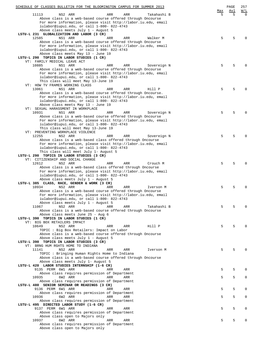|                                    | SCHEDULE OF CLASSES BULLETIN FOR THE BLOOMINGTON CAMPUS FOR SUMMER 2013                                     |     |     |             |     | PAGE | 257         |
|------------------------------------|-------------------------------------------------------------------------------------------------------------|-----|-----|-------------|-----|------|-------------|
|                                    |                                                                                                             |     |     |             | Max | Avl  | W/L         |
| 11113                              | NS2 ARR<br>Above class is a web-based course offered through Oncourse                                       | ARR | ARR | Takahashi B | 5   | 5    | $\Omega$    |
|                                    | For more information, please visit http://labor.iu.edu, email                                               |     |     |             |     |      |             |
|                                    | iulabor@iupui.edu, or call 1-800- 822-4743                                                                  |     |     |             |     |      |             |
|                                    | Above class meets July 1 - August 5                                                                         |     |     |             |     |      |             |
|                                    | LSTU-L 231 GLOBALIZATION AND LABOR (3 CR)                                                                   |     |     |             |     |      |             |
| 12585                              | NS1 ARR                                                                                                     | ARR | ARR | Walker M    | 5   | 5    | $\Omega$    |
|                                    | Above class is a web-based course offered through Oncourse                                                  |     |     |             |     |      |             |
|                                    | For more information, please visit http://labor.iu.edu, email<br>iulabor@iupui.edu, or call 1-800- 822-4743 |     |     |             |     |      |             |
|                                    | Above class meets May 13 - June 19                                                                          |     |     |             |     |      |             |
|                                    | LSTU-L 290 TOPICS IN LABOR STUDIES (1 CR)                                                                   |     |     |             |     |      |             |
| VT: FAMILY MEDICAL LEAVE ACT       |                                                                                                             |     |     |             |     |      |             |
| 10885                              | NS1 ARR                                                                                                     | ARR | ARR | Sovereign N | 5   | 5    | $\Omega$    |
|                                    | Above class is a web-based course offered through Oncourse                                                  |     |     |             |     |      |             |
|                                    | For more information, please visit http://labor.iu.edu, email                                               |     |     |             |     |      |             |
|                                    | iulabor@iupui.edu, or call 1-800- 822-4743                                                                  |     |     |             |     |      |             |
|                                    | This class will meet May 13-June 19                                                                         |     |     |             |     |      |             |
| VT: HOW TV FRAMES WORKING CLASS    |                                                                                                             |     |     |             |     |      |             |
| 13061                              | NS1 ARR<br>Above class is a web-based course offered through Oncourse.                                      | ARR | ARR | Hill P      | 5   | 5    | $\Omega$    |
|                                    | For more information, please visit http://labor.iu.edu, email                                               |     |     |             |     |      |             |
|                                    | iulabor@iupui.edu, or call 1-800- 822-4743                                                                  |     |     |             |     |      |             |
|                                    | Above class meets May 13 - June 19                                                                          |     |     |             |     |      |             |
| VT: SEXUAL HARASSMENT IN WORKPLACE |                                                                                                             |     |     |             |     |      |             |
| 10931                              | NS1 ARR                                                                                                     | ARR | ARR | Sovereign N | 5   | 5    | $\Omega$    |
|                                    | Above class is a web-based course offered through Oncourse                                                  |     |     |             |     |      |             |
|                                    | For more information, please visit http://labor.iu.edu, email                                               |     |     |             |     |      |             |
|                                    | iulabor@iupui.edu, or call 1-800- 822-4743                                                                  |     |     |             |     |      |             |
|                                    | This class will meet May 13-June 19                                                                         |     |     |             |     |      |             |
| VT: PREVENTING WORKPLACE VIOLENCE  |                                                                                                             |     |     |             |     |      |             |
| 12255                              | NS2 ARR<br>Above class is a web-based class offered through Oncourse                                        | ARR | ARR | Sovereign N | 5   | 5    | $\Omega$    |
|                                    | For more information, please visit http://labor.iu.edu, email                                               |     |     |             |     |      |             |
|                                    | iulabor@iupui.edu, or call 1-800- 822-4743                                                                  |     |     |             |     |      |             |
|                                    | This class will meet July 1- August 5                                                                       |     |     |             |     |      |             |
|                                    | LSTU-L 290 TOPICS IN LABOR STUDIES (3 CR)                                                                   |     |     |             |     |      |             |
| VT: CITIZENSHIP AND SOCIAL CHANGE  |                                                                                                             |     |     |             |     |      |             |
| 12612                              | NS2 ARR                                                                                                     | ARR | ARR | Crouch M    | 5   | 5    | $\Omega$    |
|                                    | Above class is a web-based class offered through Oncourse                                                   |     |     |             |     |      |             |
|                                    | For more information, please visit http://labor.iu.edu, email                                               |     |     |             |     |      |             |
|                                    | iulabor@iupui.edu, or call 1-800- 822-4743                                                                  |     |     |             |     |      |             |
|                                    | Above class meets July 1 - August 5                                                                         |     |     |             |     |      |             |
|                                    | LSTU-L 385 CLASS, RACE, GENDER & WORK (3 CR)                                                                | ARR | ARR |             |     | 5    | $\Omega$    |
| 10934                              | NS2 ARR<br>Above class is a web-based course offered through Oncourse                                       |     |     | Iverson M   | 5   |      |             |
|                                    | For more information, please visit http://labor.iu.edu, email                                               |     |     |             |     |      |             |
|                                    | iulabor@iupui.edu, or call 1-800- 822-4743                                                                  |     |     |             |     |      |             |
|                                    | Above class meets July 1 - August 5                                                                         |     |     |             |     |      |             |
| 11067                              | NS2 ARR                                                                                                     | ARR | ARR | Takahashi B | 5   | 5    | $\Omega$    |
|                                    | Above class is a web-based course offered through Oncourse                                                  |     |     |             |     |      |             |
|                                    | Above class meets June 25 - Aug 6                                                                           |     |     |             |     |      |             |
|                                    | LSTU-L 390 TOPICS IN LABOR STUDIES (1 CR)                                                                   |     |     |             |     |      |             |
| VT: BIG BOX RETAILERS IMPACT       |                                                                                                             |     |     |             |     |      |             |
| 10649                              | NS2 ARR                                                                                                     | ARR | ARR | Hill P      | 5   | 5    | $\Omega$    |
|                                    | TOPIC : Big Box Retailers: Impact on Labor                                                                  |     |     |             |     |      |             |
|                                    | Above class is a web-based course offered through Oncourse<br>Above class meets July 1 - August 5           |     |     |             |     |      |             |
|                                    | LSTU-L 390 TOPICS IN LABOR STUDIES (3 CR)                                                                   |     |     |             |     |      |             |
| VT: BRNG HUM RGHTS HOME TO INDIANA |                                                                                                             |     |     |             |     |      |             |
| 11141                              | NS2 ARR                                                                                                     | ARR | ARR | Iverson M   | 5   | 5    | $\Omega$    |
|                                    | TOPIC: Bringing Human Rights Home to Indiana                                                                |     |     |             |     |      |             |
|                                    | Above class is a web-based course offered through Oncourse                                                  |     |     |             |     |      |             |
|                                    | Above class meets July 1- August 5                                                                          |     |     |             |     |      |             |
|                                    | LSTU-L 420 LABOR STUDIES INTERNSHIP (1-6 CR)                                                                |     |     |             |     |      |             |
| 9135 PERM 6W1 ARR                  |                                                                                                             | ARR | ARR |             | 5   | 5    | $\Omega$    |
|                                    | Above class requires permission of Department                                                               |     |     |             |     |      |             |
| 10935                              | 6W2 ARR                                                                                                     | ARR | ARR |             | 5   | 5    | $\mathbf 0$ |
|                                    | Above class requires permission of Department<br>LSTU-L 480 SENIOR SEMINAR OR READINGS (3 CR)               |     |     |             |     |      |             |
| 9136 PERM 6W1 ARR                  |                                                                                                             | ARR | ARR |             | 5   | 5    | $\Omega$    |
|                                    | Above class requires permission of Department                                                               |     |     |             |     |      |             |
| 10936                              | 6W2 ARR                                                                                                     | ARR | ARR |             | 5   | 5    | 0           |
|                                    | Above class requires permission of Department                                                               |     |     |             |     |      |             |
|                                    | LSTU-L 495 DIRECTED LABOR STUDY (1-6 CR)                                                                    |     |     |             |     |      |             |
| 9137 PERM 6W1 ARR                  |                                                                                                             | ARR | ARR |             | 5   | 5    | $\mathbf 0$ |
|                                    | Above class requires permission of Department                                                               |     |     |             |     |      |             |
|                                    | Above class open to Majors only                                                                             |     |     |             |     |      |             |
| 10937                              | 6W2 ARR                                                                                                     | ARR | ARR |             | 5   | 5    | $\Omega$    |
|                                    | Above class requires permission of Department                                                               |     |     |             |     |      |             |
|                                    | Above class open to Majors only                                                                             |     |     |             |     |      |             |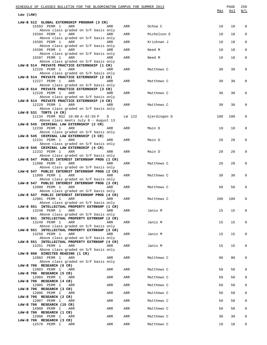| SCHEDULE OF CLASSES BULLETIN FOR THE BLOOMINGTON CAMPUS FOR SUMMER 2013<br>Law (LAW)    |     |                |              | Max | PAGE<br>Avl | 258<br>$\underline{W/L}$ |
|-----------------------------------------------------------------------------------------|-----|----------------|--------------|-----|-------------|--------------------------|
|                                                                                         |     |                |              |     |             |                          |
| LAW-B 512 GLOBAL EXTERNSHIP PROGRAM (3 CR)<br>15593 PERM 1<br>ARR                       | ARR | ARR            | Ochoa C      | 10  | 10          | $\mathbf 0$              |
| Above class graded on S/F basis only<br>15594 PERM 1<br>ARR                             | ARR | ARR            | Michelson E  | 10  | 10          | $\mathbf 0$              |
| Above class graded on S/F basis only<br>15595 PERM 1<br>ARR                             | ARR | ARR            | Krishnan J   | 10  | 10          | 0                        |
| Above class graded on S/F basis only                                                    |     |                |              |     |             |                          |
| 15596 PERM 1<br>ARR<br>Above class graded on S/F basis only                             | ARR | ARR            | Need M       | 10  | 10          | $\mathbf 0$              |
| 15597 PERM 1<br>ARR<br>Above class graded on S/F basis only                             | ARR | ARR            | Need M       | 10  | 10          | 0                        |
| LAW-B 514 PRIVATE PRACTICE EXTERNSHIP (1 CR)                                            |     |                |              |     |             |                          |
| 12226 PERM 1<br>ARR<br>Above class graded on S/F basis only                             | ARR | ARR            | Matthews C   | 30  | 30          | 0                        |
| LAW-B 514 PRIVATE PRACTICE EXTERNSHIP (2 CR)<br>12227 PERM 1<br>ARR                     | ARR | ARR            | Matthews C   | 30  | 30          | 0                        |
| Above class graded on S/F basis only                                                    |     |                |              |     |             |                          |
| LAW-B 514 PRIVATE PRACTICE EXTERNSHIP (3 CR)<br>12228 PERM 1<br>ARR                     | ARR | ARR            | Matthews C   | 30  | 30          | 0                        |
| Above class graded on S/F basis only<br>LAW-B 514 PRIVATE PRACTICE EXTERNSHIP (4 CR)    |     |                |              |     |             |                          |
| 12229 PERM 1<br>ARR<br>Above class graded on S/F basis only                             | ARR | ARR Matthews C |              | 30  | 30          | 0                        |
| LAW-B 531 TORTS (4 CR)                                                                  |     |                |              |     |             |                          |
| 11134 PERM NS2 10:00 A-02:55 P D<br>Above class meets July 8 - August 13                |     | LW 122         | Gjerdingen D | 100 | 100         | 0                        |
| LAW-B 545 CRIMINAL LAW EXTERNSHIP (2 CR)<br>12230 PERM 1<br>ARR                         | ARR | ARR            | Main D       | 10  | 10          | 0                        |
| Above class graded on S/F basis only                                                    |     |                |              |     |             |                          |
| LAW-B 545 CRIMINAL LAW EXTERNSHIP (3 CR)<br>12231 PERM 1<br>ARR                         | ARR | ARR            | Main D       | 20  | 20          | 0                        |
| Above class graded on S/F basis only<br>LAW-B 545 CRIMINAL LAW EXTERNSHIP (4 CR)        |     |                |              |     |             |                          |
| 12232 PERM 1<br>ARR                                                                     | ARR | ARR            | Main D       | 20  | 20          | 0                        |
| Above class graded on S/F basis only<br>LAW-B 547 PUBLIC INTEREST INTERNSHP PROG (1 CR) |     |                |              |     |             |                          |
| 11998 PERM 1<br>ARR<br>Above class graded on S/F basis only                             | ARR | ARR            | Matthews C   | 20  | 20          | 0                        |
| LAW-B 547 PUBLIC INTEREST INTERNSHP PROG (2 CR)<br>11999 PERM 1<br>ARR                  | ARR | ARR            | Matthews C   | 30  | 30          | 0                        |
| Above class graded on S/F basis only                                                    |     |                |              |     |             |                          |
| LAW-B 547 PUBLIC INTEREST INTERNSHP PROG (3 CR)<br>12000 PERM 1<br>ARR                  | ARR | ARR            | Matthews C   | 50  | 50          | $\mathbf 0$              |
| Above class graded on S/F basis only<br>LAW-B 547 PUBLIC INTEREST INTERNSHP PROG (4 CR) |     |                |              |     |             |                          |
| 12001 PERM 1<br>ARR                                                                     | ARR | ARR            | Matthews C   | 100 | 100         | 0                        |
| Above class graded on S/F basis only<br>LAW-B 551 INTELLECTUAL PROPERTY EXTRNSHP (1 CR) |     |                |              |     |             |                          |
| 13248 PERM 1<br>ARR<br>Above class graded on S/F basis only                             | ARR | ARR            | Janis M      | 15  | 15          | $\mathbf 0$              |
| LAW-B 551 INTELLECTUAL PROPERTY EXTRNSHP (2 CR)<br>13249 PERM 1<br>ARR                  |     |                |              | 15  |             | $\Omega$                 |
| Above class graded on S/F basis only                                                    | ARR | ARR            | Janis M      |     | 15          |                          |
| LAW-B 551 INTELLECTUAL PROPERTY EXTRNSHP (3 CR)<br>13250 PERM 1<br>ARR                  | ARR | ARR            | Janis M      | 15  | 15          | 0                        |
| Above class graded on S/F basis only<br>LAW-B 551 INTELLECTUAL PROPERTY EXTRNSHP (4 CR) |     |                |              |     |             |                          |
| 13251 PERM 1<br>ARR                                                                     | ARR | ARR            | Janis M      | 15  | 15          | $\Omega$                 |
| Above class graded on S/F basis only<br>LAW-B 600 DIRECTED READING (1 CR)               |     |                |              |     |             |                          |
| 12002 PERM 1<br>ARR<br>Above class graded on S/F basis only                             | ARR | ARR            | Matthews C   | 90  | 90          | $\mathbf 0$              |
| LAW-B 706 RESEARCH (6 CR)                                                               |     |                |              |     |             |                          |
| 12003 PERM 1<br>ARR<br>LAW-B 706 RESEARCH (5 CR)                                        | ARR | ARR            | Matthews C   | 50  | 50          | $\Omega$                 |
| 12004 PERM 1<br>ARR<br>LAW-B 706 RESEARCH (4 CR)                                        | ARR | ARR            | Matthews C   | 50  | 50          | $\mathbf 0$              |
| 12005 PERM 1<br>ARR                                                                     | ARR | ARR            | Matthews C   | 50  | 50          | 0                        |
| LAW-B 706 RESEARCH (3 CR)<br>12006 PERM 1<br>ARR                                        | ARR | ARR            | Matthews C   | 50  | 50          | $\mathbf 0$              |
| LAW-B 706 RESEARCH (2 CR)<br>12007 PERM 1<br>ARR                                        | ARR | ARR            | Matthews C   | 50  | 50          | 0                        |
| LAW-B 706 RESEARCH (15 CR)<br>14900 PERM 1<br>ARR                                       | ARR | ARR            | Matthews C   | 50  | 50          | $\mathbf 0$              |
| LAW-B 706 RESEARCH (1 CR)                                                               |     |                |              |     |             |                          |
| 12008 PERM 1<br>ARR<br>LAW-B 706 RESEARCH (3 CR)                                        | ARR | ARR            | Matthews C   | 30  | 30          | $\mathbf 0$              |
| 12578 PERM 1<br>ARR                                                                     | ARR | ARR            | Matthews C   | 10  | 10          | $\mathbf 0$              |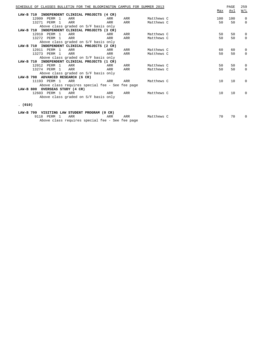| SCHEDULE OF CLASSES BULLETIN FOR THE BLOOMINGTON CAMPUS FOR SUMMER 2013 |     |     |            |     | PAGE | 259          |
|-------------------------------------------------------------------------|-----|-----|------------|-----|------|--------------|
|                                                                         |     |     |            | Max | Avl  | W/L          |
| LAW-B 710<br>INDEPENDENT CLINICAL PROJECTS (4 CR)                       |     |     |            |     |      |              |
| 12009 PERM 1<br>ARR                                                     | ARR | ARR | Matthews C | 100 | 100  | 0            |
| 13271 PERM 1<br>ARR                                                     | ARR | ARR | Matthews C | 50  | 50   | 0            |
| Above class graded on S/F basis only                                    |     |     |            |     |      |              |
| LAW-B 710 INDEPENDENT CLINICAL PROJECTS (3 CR)                          |     |     |            |     |      |              |
| 12010 PERM 1<br>ARR                                                     | ARR | ARR | Matthews C | 50  | 50   | $\Omega$     |
| 13272 PERM 1<br>ARR                                                     | ARR | ARR | Matthews C | 50  | 50   | $\Omega$     |
| Above class graded on S/F basis only                                    |     |     |            |     |      |              |
| LAW-B 710 INDEPENDENT CLINICAL PROJECTS (2 CR)                          |     |     |            |     |      |              |
| 12011 PERM 1<br>ARR                                                     | ARR | ARR | Matthews C | 60  | 60   | 0            |
| 13273 PERM 1<br>ARR                                                     | ARR | ARR | Matthews C | 50  | 50   | $\Omega$     |
| Above class graded on S/F basis only                                    |     |     |            |     |      |              |
| LAW-B 710 INDEPENDENT CLINICAL PROJECTS (1 CR)                          |     |     |            |     |      |              |
| 12012 PERM 1<br>ARR                                                     | ARR | ARR | Matthews C | 50  | 50   | 0            |
| 13274 PERM 1<br>ARR                                                     | ARR | ARR | Matthews C | 50  | 50   | $\Omega$     |
| Above class graded on S/F basis only                                    |     |     |            |     |      |              |
| LAW-B 798 ADVANCED RESEARCH (6 CR)                                      |     |     |            |     |      |              |
| 11193 PERM 1<br>ARR                                                     | ARR | ARR | Matthews C | 10  | 10   | $\Omega$     |
| Above class requires special fee - See fee page                         |     |     |            |     |      |              |
| LAW-B 800 OVERSEAS STUDY (4 CR)                                         |     |     |            |     |      |              |
| 12603 PERM 1<br>ARR                                                     | ARR | ARR | Matthews C | 10  | 10   | $\Omega$     |
| Above class graded on S/F basis only                                    |     |     |            |     |      |              |
|                                                                         |     |     |            |     |      |              |
| (010)                                                                   |     |     |            |     |      |              |
| LAW-B 799 VISITING LAW STUDENT PROGRAM (0 CR)                           |     |     |            |     |      |              |
| 9118 PERM 1<br>ARR                                                      | ARR | ARR | Matthews C | 70  | 70   | <sup>0</sup> |
| Above class requires special fee - See fee page                         |     |     |            |     |      |              |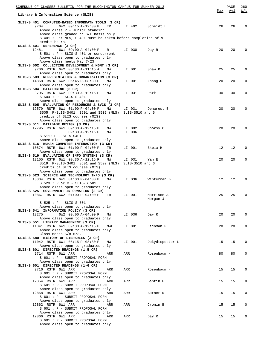| SCHEDULE OF CLASSES BULLETIN FOR THE BLOOMINGTON CAMPUS FOR SUMMER 2013                                                                                                                                                |     |        |                        |          | PAGE     | 260                                               |
|------------------------------------------------------------------------------------------------------------------------------------------------------------------------------------------------------------------------|-----|--------|------------------------|----------|----------|---------------------------------------------------|
| Library & Information Science (SLIS)                                                                                                                                                                                   |     |        |                        | Max      | Avl      | $\overline{\texttt{W}}$ / $\overline{\texttt{L}}$ |
| SLIS-S 401 COMPUTER-BASED INFORMATN TOOLS (3 CR)<br>6W2 09:15 A-12:30 P<br>9704<br>TR<br>Above class P - Junior standing                                                                                               |     |        | LI 402 Scheidt L       | 26       | 26       | $\Omega$                                          |
| Above class graded on S/F basis only<br>S 401 : For MLS, S 401 must be taken before completion of 9<br>credit hours.<br>SLIS-S 501 REFERENCE (3 CR)                                                                    |     |        |                        |          |          |                                                   |
| 6W1 09:00 A-04:00 P R<br>12481<br>$S$ 501 : P - SLIS-S 401 or concurrent<br>Above class open to graduates only<br>Above class meets May 7-23                                                                           |     | LI 030 | Day R                  | 20       | 20       | $\Omega$                                          |
| SLIS-S 502 COLLECTION DEVELOPMENT & MGMT (3 CR)<br>9706 RSTR 6W2 08:30 A-11:15 A<br>MW<br>Above class open to graduates only                                                                                           |     | LI 001 | Shaw D                 | 25       | 25       | 0                                                 |
| SLIS-S 503 REPRESENTATION & ORGANIZATION (3 CR)<br>14868 RSTR 6W2 05:45 P-08:30 P<br>MW<br>Above class open to graduates only                                                                                          |     | LI 001 | Zhang G                | 20       | 20       | 0                                                 |
| SLIS-S 504 CATALOGING (3 CR)<br>9705 RSTR 6W2 09:30 A-12:15 P<br>MW<br>S 504 : P - SLIS-S 401<br>Above class open to graduates only                                                                                    |     | LI 031 | Park T                 | 30       | 30       | 0                                                 |
| SLIS-S 505 EVALUATION OF RESOURCES & SVCS (3 CR)<br>12579 RSTR 6W1 01:00 P-04:00 P<br>MW<br>S505: P-SLIS-S401, S501 and S502 (MLS); SLIS-S510 and 6<br>credits of SLIS courses (MIS)                                   |     | LI 031 | Demarest B             | 20       | 20       | $\Omega$                                          |
| Above class open to graduates only<br>SLIS-S 511 DATABASE DESIGN (3 CR)<br>12795 RSTR 6W1 09:30 A-12:15 P<br>MW                                                                                                        |     | LI 002 | Choksy C               | 20       | 20       | $\Omega$                                          |
| $09:30 A-12:15 P$<br>MW<br>$S$ 511: $P - SLIS-S401$<br>Above class open to graduates only<br>SLIS-S 516 HUMAN-COMPUTER INTERACTION (3 CR)                                                                              |     | LI 036 |                        |          |          |                                                   |
| 10874 RSTR 6W1 01:00 P-04:00 P<br>TR<br>Above class open to graduates only                                                                                                                                             |     | LI 001 | Ekbia H                | 12       | 12       | $\Omega$                                          |
| SLIS-S 519 EVALUATION OF INFO SYSTEMS (3 CR)<br>12105 RSTR 6W1 09:30 A-12:15 P<br>МW<br>S519: P-SLIS-S401, S501 and S502 (MLS); SLIS-S510 and 6<br>credits of SLIS courses (MIS)<br>Above class open to graduates only |     | LI 031 | Yan E                  | 20       | 20       | 0                                                 |
| SLIS-S 523 SCIENCE AND TECHNOLOGY INFO (3 CR)<br>10804 RSTR 6W1 01:00 P-04:00 P<br>MW<br>S 523 : P or C - SLIS-S 501<br>Above class open to graduates only                                                             |     | LI 036 | Winterman B            | 12       | 12       | $\Omega$                                          |
| SLIS-S 525 GOVERNMENT INFORMATION (3 CR)<br>10867 RSTR 6W2 01:00 P-04:00 P<br>TR<br>S 525 : P - SLIS-S 501                                                                                                             |     | LI 001 | Morrison A<br>Morgan J | 25       | 25       | $\mathbf 0$                                       |
| Above class open to graduates only<br>SLIS-S 541 INFORMATION POLICY (3 CR)<br>13275<br>6W2 09:00 A-04:00 P<br>MW<br>Above class open to graduates only                                                                 |     | LI 036 | Day R                  | 20       | 20       | 0                                                 |
| SLIS-S 551 LIBRARY MANAGEMENT (3 CR)<br>11041 RSTR 6W1 09:30 A-12:15 P<br>MWF<br>Above class open to graduates only<br>Class meets $5/8-6/3$ .                                                                         |     | LI 001 | Fichman P              | 20       | 20       | 0                                                 |
| SLIS-S 580 HISTORY OF LIBRARIES (3 CR)<br>11042 RSTR 6W1 05:15 P-08:30 P<br>MM<br>Above class open to graduates only                                                                                                   |     | LI 001 | Dekydtspotter L        | 15       | 15       | 0                                                 |
| SLIS-S 601 DIRECTED READINGS (1.5 CR)<br>9714 RSTR 6W1 ARR<br>ARR<br>S 601 : P - SUBMIT PROPOSAL FORM<br>Above class open to graduates only                                                                            | ARR |        | Rosenbaum H            | 80       | 80       | 0                                                 |
| SLIS-S 601 DIRECTED READINGS (1-6 CR)<br>9716 RSTR 6W1 ARR<br>ARR<br>S 601 : P - SUBMIT PROPOSAL FORM<br>Above class open to graduates only                                                                            | ARR |        | Rosenbaum H            | 15       | 15       | 0                                                 |
| 12854 RSTR 6W1 ARR<br>ARR<br>S 601 : P - SUBMIT PROPOSAL FORM<br>Above class open to graduates only                                                                                                                    | ARR |        | Bantin P               | 15       | 15       | 0                                                 |
| 12858 RSTR 6W1 ARR<br>ARR<br>S 601 : P - SUBMIT PROPOSAL FORM<br>Above class open to graduates only                                                                                                                    | ARR |        | Borner K               | 15       | 15       | 0                                                 |
| 12862 RSTR 6W1 ARR<br>ARR<br>S 601 : P - SUBMIT PROPOSAL FORM<br>Above class open to graduates only<br>12866 RSTR 6W1 ARR<br>ARR                                                                                       | ARR |        | Cronin B               | 15<br>15 | 15<br>15 | 0<br>0                                            |
| S 601 : P - SUBMIT PROPOSAL FORM<br>Above class open to graduates only                                                                                                                                                 | ARR |        | Day R                  |          |          |                                                   |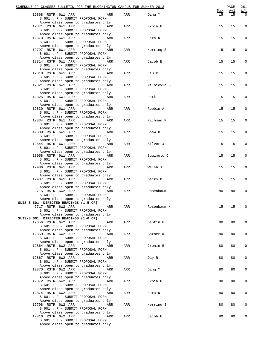|                                       | SCHEDULE OF CLASSES BULLETIN FOR THE BLOOMINGTON CAMPUS FOR SUMMER 2013 |     |             |     | PAGE | 261         |
|---------------------------------------|-------------------------------------------------------------------------|-----|-------------|-----|------|-------------|
|                                       |                                                                         |     |             | Max | Avl  | W/L         |
| 12868 RSTR 6W1 ARR                    | ARR                                                                     | ARR | Ding Y      | 15  | 15   | $\mathbf 0$ |
|                                       | S 601 : P - SUBMIT PROPOSAL FORM<br>Above class open to graduates only  |     |             |     |      |             |
| 12871 RSTR 6W1 ARR                    | ARR                                                                     | ARR | Ekbia H     | 15  | 15   | $\mathbf 0$ |
|                                       | S 601 : P - SUBMIT PROPOSAL FORM                                        |     |             |     |      |             |
|                                       | Above class open to graduates only                                      |     |             |     |      |             |
|                                       | 12873 RSTR 6W1 ARR ARR                                                  | ARR | Hara N      | 15  | 15   | 0           |
|                                       | S 601 : P - SUBMIT PROPOSAL FORM                                        |     |             |     |      |             |
|                                       | Above class open to graduates only                                      |     |             |     |      |             |
| 12797 RSTR 6W1 ARR                    | ARR                                                                     | ARR | Herring S   | 15  | 15   | 0           |
|                                       | S 601 : P - SUBMIT PROPOSAL FORM                                        |     |             |     |      |             |
|                                       | Above class open to graduates only                                      |     |             |     |      |             |
| 12814 RSTR 6W1 ARR                    | ARR                                                                     | ARR | Jacob E     | 15  | 15   | 0           |
|                                       | S 601 : P - SUBMIT PROPOSAL FORM                                        |     |             |     |      |             |
|                                       | Above class open to graduates only                                      |     |             | 15  |      | 0           |
|                                       | 12818 RSTR 6W1 ARR<br>ARR<br>S 601 : P - SUBMIT PROPOSAL FORM           | ARR | Liu X       |     | 15   |             |
|                                       | Above class open to graduates only                                      |     |             |     |      |             |
|                                       | 12821 RSTR 6W1 ARR ARR                                                  | ARR | Milojevic S | 15  | 15   | 0           |
|                                       | S 601 : P - SUBMIT PROPOSAL FORM                                        |     |             |     |      |             |
|                                       | Above class open to graduates only                                      |     |             |     |      |             |
| 12825 RSTR 6W1 ARR                    | ARR                                                                     | ARR | Park T      | 15  | 15   | $\mathbf 0$ |
|                                       | S 601 : P - SUBMIT PROPOSAL FORM                                        |     |             |     |      |             |
|                                       | Above class open to graduates only                                      |     |             |     |      |             |
| 12830 RSTR 6W1 ARR                    | ARR                                                                     | ARR | Robbin A    | 15  | 15   | 0           |
|                                       | S 601 : P - SUBMIT PROPOSAL FORM                                        |     |             |     |      |             |
|                                       | Above class open to graduates only                                      |     |             |     |      |             |
|                                       | 12834 RSTR 6W1 ARR<br>ARR<br>S 601 : P - SUBMIT PROPOSAL FORM           | ARR | Fichman P   | 15  | 15   | 0           |
|                                       | Above class open to graduates only                                      |     |             |     |      |             |
|                                       | 12839 RSTR 6W1 ARR ARR                                                  | ARR | Shaw D      | 15  | 15   | 0           |
|                                       | S 601 : P - SUBMIT PROPOSAL FORM                                        |     |             |     |      |             |
|                                       | Above class open to graduates only                                      |     |             |     |      |             |
| 12844 RSTR 6W1 ARR                    | ARR                                                                     | ARR | Silver J    | 15  | 15   | 0           |
|                                       | S 601 : P - SUBMIT PROPOSAL FORM                                        |     |             |     |      |             |
|                                       | Above class open to graduates only                                      |     |             |     |      |             |
| 13058 RSTR 6W1 ARR                    | ARR                                                                     | ARR | Sugimoto C  | 15  | 15   | 0           |
|                                       | S 601 : P - SUBMIT PROPOSAL FORM                                        |     |             |     |      |             |
|                                       | Above class open to graduates only                                      |     |             |     |      |             |
|                                       | 12986 RSTR 6W1 ARR<br>ARR                                               | ARR | Walsh J     | 15  | 15   | 0           |
|                                       | S 601 : P - SUBMIT PROPOSAL FORM<br>Above class open to graduates only  |     |             |     |      |             |
| 12987 RSTR 6W1 ARR                    | <b>Example 2018</b> ARR                                                 | ARR | Backs D     | 15  | 15   | 0           |
|                                       | S 601 : P - SUBMIT PROPOSAL FORM                                        |     |             |     |      |             |
|                                       | Above class open to graduates only                                      |     |             |     |      |             |
| 9715 RSTR 6W2 ARR                     | ARR                                                                     | ARR | Rosenbaum H | 80  | 80   | 0           |
|                                       | S 601 : P - SUBMIT PROPOSAL FORM                                        |     |             |     |      |             |
|                                       | Above class open to graduates only                                      |     |             |     |      |             |
| SLIS-S 601 DIRECTED READINGS (1.5 CR) |                                                                         |     |             |     |      |             |
| 9717 RSTR 6W2 ARR                     | ARR                                                                     | ARR | Rosenbaum H | 15  | 15   | 0           |
|                                       | S 601 : P - SUBMIT PROPOSAL FORM                                        |     |             |     |      |             |
|                                       | Above class open to graduates only                                      |     |             |     |      |             |
|                                       | SLIS-S 601 DIRECTED READINGS (1-6 CR)                                   |     |             |     |      |             |
| 12856 RSTR 6W2 ARR                    | ARR<br>S 601 : P - SUBMIT PROPOSAL FORM                                 | ARR | Bantin P    | 80  | 80   | 0           |
|                                       | Above class open to graduates only                                      |     |             |     |      |             |
| 12859 RSTR 6W2 ARR                    | ARR                                                                     | ARR | Borner K    | 80  | 80   | 0           |
|                                       | S 601 : P - SUBMIT PROPOSAL FORM                                        |     |             |     |      |             |
|                                       | Above class open to graduates only                                      |     |             |     |      |             |
| 12864 RSTR 6W2 ARR                    | ARR                                                                     | ARR | Cronin B    | 80  | 80   | 0           |
|                                       | S 601 : P - SUBMIT PROPOSAL FORM                                        |     |             |     |      |             |
|                                       | Above class open to graduates only                                      |     |             |     |      |             |
| 12867 RSTR 6W2 ARR                    | ARR                                                                     | ARR | Day R       | 80  | 80   | 0           |
|                                       | S 601 : P - SUBMIT PROPOSAL FORM                                        |     |             |     |      |             |
|                                       | Above class open to graduates only                                      |     |             |     |      |             |
| 12870 RSTR 6W2 ARR                    | ARR                                                                     | ARR | Ding Y      | 80  | 80   | 0           |
|                                       | S 601 : P - SUBMIT PROPOSAL FORM<br>Above class open to graduates only  |     |             |     |      |             |
| 12872 RSTR 6W2 ARR                    | ARR                                                                     | ARR | Ekbia H     | 80  | 80   | 0           |
|                                       | S 601 : P - SUBMIT PROPOSAL FORM                                        |     |             |     |      |             |
|                                       | Above class open to graduates only                                      |     |             |     |      |             |
| 12874 RSTR 6W2 ARR                    | ARR                                                                     | ARR | Hara N      | 80  | 80   | 0           |
|                                       | S 601 : P - SUBMIT PROPOSAL FORM                                        |     |             |     |      |             |
|                                       | Above class open to graduates only                                      |     |             |     |      |             |
| 12798 RSTR 6W2 ARR                    | ARR                                                                     | ARR | Herring S   | 80  | 80   | 0           |
|                                       | S 601 : P - SUBMIT PROPOSAL FORM                                        |     |             |     |      |             |
|                                       | Above class open to graduates only                                      |     |             |     |      |             |
| 12816 RSTR 6W2 ARR                    | ARR                                                                     | ARR | Jacob E     | 80  | 80   | 0           |
|                                       | S 601 : P - SUBMIT PROPOSAL FORM<br>Above class open to graduates only  |     |             |     |      |             |
|                                       |                                                                         |     |             |     |      |             |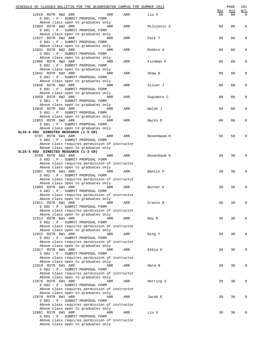| SCHEDULE OF CLASSES BULLETIN FOR THE BLOOMINGTON CAMPUS FOR SUMMER 2013                                                                       |     |     |             | Max | PAGE<br>Avl | 262<br>W/L  |
|-----------------------------------------------------------------------------------------------------------------------------------------------|-----|-----|-------------|-----|-------------|-------------|
| 12819 RSTR 6W2 ARR<br>S 601 : P - SUBMIT PROPOSAL FORM                                                                                        | ARR | ARR | Liu X       | 80  | 80          | $\Omega$    |
| Above class open to graduates only<br>12984 RSTR 6W2 ARR<br>S 601 : P - SUBMIT PROPOSAL FORM                                                  | ARR | ARR | Milojevic S | 80  | 80          | 0           |
| Above class open to graduates only<br>12827 RSTR 6W2 ARR<br>S 601 : P - SUBMIT PROPOSAL FORM                                                  | ARR | ARR | Park T      | 80  | 80          | 0           |
| Above class open to graduates only<br>12832 RSTR 6W2 ARR<br>S 601 : P - SUBMIT PROPOSAL FORM                                                  | ARR | ARR | Robbin A    | 80  | 80          | 0           |
| Above class open to graduates only<br>12985 RSTR 6W2 ARR<br>S 601 : P - SUBMIT PROPOSAL FORM                                                  | ARR | ARR | Fichman P   | 80  | 80          | 0           |
| Above class open to graduates only<br>12841 RSTR 6W2 ARR<br>S 601 : P - SUBMIT PROPOSAL FORM                                                  | ARR | ARR | Shaw D      | 80  | 80          | 0           |
| Above class open to graduates only<br>12846 RSTR 6W2 ARR<br>S 601 : P - SUBMIT PROPOSAL FORM                                                  | ARR | ARR | Silver J    | 80  | 80          | 0           |
| Above class open to graduates only<br>13059 RSTR 6W2 ARR<br>S 601 : P - SUBMIT PROPOSAL FORM                                                  | ARR | ARR | Sugimoto C  | 80  | 80          | 0           |
| Above class open to graduates only<br>12849 RSTR 6W2 ARR<br>S 601 : P - SUBMIT PROPOSAL FORM                                                  | ARR | ARR | Walsh J     | 80  | 80          | 0           |
| Above class open to graduates only<br>12853 RSTR 6W2 ARR<br>S 601 : P - SUBMIT PROPOSAL FORM                                                  | ARR | ARR | Backs D     | 80  | 80          | 0           |
| Above class open to graduates only<br>SLIS-S 602 DIRECTED RESEARCH (1.5 CR)<br>9707 RSTR 6W1 ARR                                              | ARR | ARR | Rosenbaum H | 50  | 50          | $\mathbf 0$ |
| S 602 : P - SUBMIT PROPOSAL FORM<br>Above class requires permission of instructor<br>Above class open to graduates only                       |     |     |             |     |             |             |
| SLIS-S 602 DIRECTED RESEARCH (1-3 CR)<br>9709 RSTR 6W1 ARR<br>S 602 : P - SUBMIT PROPOSAL FORM                                                | ARR | ARR | Rosenbaum H | 30  | 30          | 0           |
| Above class requires permission of instructor<br>Above class open to graduates only<br>12907 RSTR 6W1 ARR<br>S 602 : P - SUBMIT PROPOSAL FORM | ARR | ARR | Bantin P    | 30  | 30          | $\mathsf 0$ |
| Above class requires permission of instructor<br>Above class open to graduates only<br>12909 RSTR 6W1 ARR                                     | ARR | ARR | Borner K    | 30  | 30          | $\mathsf 0$ |
| S 602 : P - SUBMIT PROPOSAL FORM<br>Above class requires permission of instructor<br>Above class open to graduates only                       |     |     |             |     |             |             |
| 12911 RSTR 6W1 ARR<br>S 602 : P - SUBMIT PROPOSAL FORM<br>Above class requires permission of instructor                                       | ARR | ARR | Cronin B    | 30  | 30          | 0           |
| Above class open to graduates only<br>12913 RSTR 6W1 ARR<br>S 602 : P - SUBMIT PROPOSAL FORM                                                  | ARR | ARR | Day R       | 30  | 30          | $\mathbf 0$ |
| Above class requires permission of instructor<br>Above class open to graduates only<br>12915 RSTR 6W1 ARR                                     | ARR | ARR | Ding Y      | 30  | 30          | 0           |
| S 602 : P - SUBMIT PROPOSAL FORM<br>Above class requires permission of instructor<br>Above class open to graduates only                       |     |     |             |     |             |             |
| 12917 RSTR 6W1 ARR<br>S 602 : P - SUBMIT PROPOSAL FORM<br>Above class requires permission of instructor                                       | ARR | ARR | Ekbia H     | 30  | 30          | 0           |
| Above class open to graduates only<br>12919 RSTR 6W1 ARR<br>S 602 : P - SUBMIT PROPOSAL FORM<br>Above class requires permission of instructor | ARR | ARR | Hara N      | 30  | 30          | 0           |
| Above class open to graduates only<br>12876 RSTR 6W1 ARR<br>S 602 : P - SUBMIT PROPOSAL FORM                                                  | ARR | ARR | Herring S   | 30  | 30          | 0           |
| Above class requires permission of instructor<br>Above class open to graduates only<br>12879 RSTR 6W1 ARR<br>S 602 : P - SUBMIT PROPOSAL FORM | ARR | ARR | Jacob E     | 30  | 30          | 0           |
| Above class requires permission of instructor<br>Above class open to graduates only<br>12881 RSTR 6W1 ARR                                     | ARR | ARR | Liu X       | 30  | 30          | 0           |
| S 602 : P - SUBMIT PROPOSAL FORM<br>Above class requires permission of instructor<br>Above class open to graduates only                       |     |     |             |     |             |             |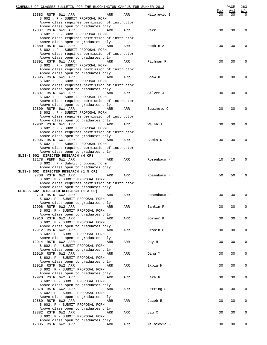| SCHEDULE OF CLASSES BULLETIN FOR THE BLOOMINGTON CAMPUS FOR SUMMER 2013             |     |             |                  | PAGE      | 263             |
|-------------------------------------------------------------------------------------|-----|-------------|------------------|-----------|-----------------|
| 12883 RSTR 6W1 ARR<br>ARR                                                           | ARR | Milojevic S | <u>Max</u><br>30 | Avl<br>30 | W/L<br>$\Omega$ |
| S 602 : P - SUBMIT PROPOSAL FORM                                                    |     |             |                  |           |                 |
| Above class requires permission of instructor<br>Above class open to graduates only |     |             |                  |           |                 |
| 12887 RSTR 6W1 ARR<br>ARR                                                           | ARR | Park T      | 30               | 30        | 0               |
| S 602 : P - SUBMIT PROPOSAL FORM<br>Above class requires permission of instructor   |     |             |                  |           |                 |
| Above class open to graduates only                                                  |     |             |                  |           |                 |
| 12889 RSTR 6W1 ARR<br>ARR<br>S 602 : P - SUBMIT PROPOSAL FORM                       | ARR | Robbin A    | 30               | 30        | 0               |
| Above class requires permission of instructor                                       |     |             |                  |           |                 |
| Above class open to graduates only<br>12891 RSTR 6W1 ARR<br>ARR                     | ARR | Fichman P   | 30               | 30        | 0               |
| S 602 : P - SUBMIT PROPOSAL FORM                                                    |     |             |                  |           |                 |
| Above class requires permission of instructor<br>Above class open to graduates only |     |             |                  |           |                 |
| 12895 RSTR 6W1 ARR<br>ARR                                                           | ARR | Shaw D      | 30               | 30        | 0               |
| S 602 : P - SUBMIT PROPOSAL FORM                                                    |     |             |                  |           |                 |
| Above class requires permission of instructor<br>Above class open to graduates only |     |             |                  |           |                 |
| 12897 RSTR 6W1 ARR<br>ARR                                                           | ARR | Silver J    | 30               | 30        | 0               |
| S 602 : P - SUBMIT PROPOSAL FORM<br>Above class requires permission of instructor   |     |             |                  |           |                 |
| Above class open to graduates only                                                  |     |             |                  |           |                 |
| 12899 RSTR 6W1 ARR<br>ARR<br>S 602 : P - SUBMIT PROPOSAL FORM                       | ARR | Sugimoto C  | 30               | 30        | 0               |
| Above class requires permission of instructor                                       |     |             |                  |           |                 |
| Above class open to graduates only                                                  |     |             |                  |           |                 |
| 12902 RSTR 6W1 ARR<br>ARR<br>S 602 : P - SUBMIT PROPOSAL FORM                       | ARR | Walsh J     | 30               | 30        | 0               |
| Above class requires permission of instructor                                       |     |             |                  |           |                 |
| Above class open to graduates only<br>12905 RSTR 6W1 ARR<br>ARR                     | ARR | Backs D     | 30               | 30        | 0               |
| S 602 : P - SUBMIT PROPOSAL FORM                                                    |     |             |                  |           |                 |
| Above class requires permission of instructor                                       |     |             |                  |           |                 |
| Above class open to graduates only<br>SLIS-S 602 DIRECTED RESEARCH (4 CR)           |     |             |                  |           |                 |
| 12178 PERM 6W1 ARR<br>ARR                                                           | ARR | Rosenbaum H | 10               | 10        | 0               |
| S 602 : P - Submit proposal form<br>Above class open to graduates only              |     |             |                  |           |                 |
| SLIS-S 602 DIRECTED RESEARCH (1.5 CR)                                               |     |             |                  |           |                 |
| 9708 RSTR 6W2 ARR<br>ARR<br>S 602: P - SUBMIT PROPOSAL FORM                         | ARR | Rosenbaum H | 50               | 50        | 0               |
| Above class requires permission of instructor                                       |     |             |                  |           |                 |
| Above class open to graduates only                                                  |     |             |                  |           |                 |
| SLIS-S 602 DIRECTED RESEARCH (1-3 CR)<br>9710 RSTR 6W2 ARR<br>ARR                   | ARR | Rosenbaum H | 30               | 30        | 0               |
| S 602: P - SUBMIT PROPOSAL FORM                                                     |     |             |                  |           |                 |
| Above class open to graduates only<br>12908 RSTR 6W2 ARR ARR                        | ARR | Bantin P    | 30               | 30        | 0               |
| S 602: P - SUBMIT PROPOSAL FORM                                                     |     |             |                  |           |                 |
| Above class open to graduates only                                                  |     |             |                  |           |                 |
| 12910 RSTR 6W2 ARR<br>ARR<br>S 602: P - SUBMIT PROPOSAL FORM                        | ARR | Borner K    | 30               | 30        | 0               |
| Above class open to graduates only                                                  |     |             |                  |           |                 |
| 12912 RSTR 6W2 ARR<br>ARR<br>S 602: P - SUBMIT PROPOSAL FORM                        | ARR | Cronin B    | 30               | 30        | 0               |
| Above class open to graduates only                                                  |     |             |                  |           |                 |
| 12914 RSTR 6W2 ARR<br>ARR<br>S 602: P - SUBMIT PROPOSAL FORM                        | ARR | Day R       | 30               | 30        | 0               |
| Above class open to graduates only                                                  |     |             |                  |           |                 |
| 12916 RSTR 6W2 ARR<br>ARR                                                           | ARR | Ding Y      | 30               | 30        | 0               |
| S 602: P - SUBMIT PROPOSAL FORM<br>Above class open to graduates only               |     |             |                  |           |                 |
| 12918 RSTR 6W2 ARR<br>ARR                                                           | ARR | Ekbia H     | 30               | 30        | 0               |
| S 602: P - SUBMIT PROPOSAL FORM<br>Above class open to graduates only               |     |             |                  |           |                 |
| 12920 RSTR 6W2 ARR<br>ARR                                                           | ARR | Hara N      | 30               | 30        | 0               |
| S 602: P - SUBMIT PROPOSAL FORM<br>Above class open to graduates only               |     |             |                  |           |                 |
| 12878 RSTR 6W2 ARR<br>ARR                                                           | ARR | Herring S   | 30               | 30        | 0               |
| S 602: P - SUBMIT PROPOSAL FORM                                                     |     |             |                  |           |                 |
| Above class open to graduates only<br>12880 RSTR 6W2 ARR<br>ARR                     | ARR | Jacob E     | 30               | 30        | 0               |
| S 602: P - SUBMIT PROPOSAL FORM                                                     |     |             |                  |           |                 |
| Above class open to graduates only<br>12882 RSTR 6W2 ARR<br>ARR                     | ARR | Liu X       | 30               | 30        | 0               |
| S 602: P - SUBMIT PROPOSAL FORM                                                     |     |             |                  |           |                 |
| Above class open to graduates only                                                  |     |             |                  |           |                 |
| 12885 RSTR 6W2 ARR<br>ARR                                                           | ARR | Milojevic S | 30               | 30        | 0               |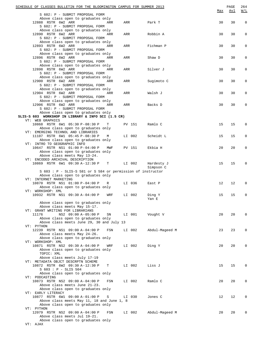|                                                    |                                                                       |                     |                                            |        |        | SCHEDULE OF CLASSES BULLETIN FOR THE BLOOMINGTON CAMPUS FOR SUMMER 2013 |     | PAGE       | 264         |
|----------------------------------------------------|-----------------------------------------------------------------------|---------------------|--------------------------------------------|--------|--------|-------------------------------------------------------------------------|-----|------------|-------------|
|                                                    |                                                                       |                     |                                            |        |        |                                                                         | Max | <u>Avl</u> | W/L         |
|                                                    | S 602: P - SUBMIT PROPOSAL FORM<br>Above class open to graduates only |                     |                                            |        |        |                                                                         |     |            |             |
| 12888 RSTR 6W2 ARR                                 |                                                                       |                     | ARR                                        |        | ARR    | Park T                                                                  | 30  | 30         | $\mathbf 0$ |
|                                                    | S 602: P - SUBMIT PROPOSAL FORM                                       |                     |                                            |        |        |                                                                         |     |            |             |
|                                                    | Above class open to graduates only                                    |                     |                                            |        |        |                                                                         |     |            |             |
| 12890 RSTR 6W2 ARR                                 |                                                                       |                     | ARR                                        | ARR    |        | Robbin A                                                                | 30  | 30         | 0           |
|                                                    | S 602: P - SUBMIT PROPOSAL FORM                                       |                     |                                            |        |        |                                                                         |     |            |             |
|                                                    | Above class open to graduates only                                    |                     |                                            |        |        |                                                                         |     |            |             |
| 12893 RSTR 6W2 ARR                                 |                                                                       |                     | ARR                                        | ARR    |        | Fichman P                                                               | 30  | 30         | 0           |
|                                                    | S 602: P - SUBMIT PROPOSAL FORM                                       |                     |                                            |        |        |                                                                         |     |            |             |
|                                                    | Above class open to graduates only                                    |                     |                                            |        |        |                                                                         |     |            |             |
| 12896 RSTR 6W2 ARR                                 |                                                                       |                     | ARR                                        | ARR    |        | Shaw D                                                                  | 30  | 30         | 0           |
|                                                    | S 602: P - SUBMIT PROPOSAL FORM                                       |                     |                                            |        |        |                                                                         |     |            |             |
|                                                    | Above class open to graduates only                                    |                     |                                            |        |        |                                                                         |     |            |             |
| 12898 RSTR 6W2 ARR                                 | S 602: P - SUBMIT PROPOSAL FORM                                       |                     | ARR                                        | ARR    |        | Silver J                                                                | 30  | 30         | 0           |
|                                                    | Above class open to graduates only                                    |                     |                                            |        |        |                                                                         |     |            |             |
| 12900 RSTR 6W2 ARR                                 |                                                                       |                     | ARR                                        | ARR    |        | Sugimoto C                                                              | 30  | 30         | 0           |
|                                                    | S 602: P - SUBMIT PROPOSAL FORM                                       |                     |                                            |        |        |                                                                         |     |            |             |
|                                                    |                                                                       |                     | Above class open to graduates only         |        |        |                                                                         |     |            |             |
| 12904 RSTR 6W2 ARR                                 |                                                                       |                     | ARR                                        | ARR    |        | Walsh J                                                                 | 30  | 30         | 0           |
|                                                    | S 602: P - SUBMIT PROPOSAL FORM                                       |                     |                                            |        |        |                                                                         |     |            |             |
|                                                    | Above class open to graduates only                                    |                     |                                            |        |        |                                                                         |     |            |             |
| 12906 RSTR 6W2 ARR                                 |                                                                       |                     | ARR                                        | ARR    |        | Backs D                                                                 | 30  | 30         | 0           |
|                                                    | S 602: P - SUBMIT PROPOSAL FORM                                       |                     |                                            |        |        |                                                                         |     |            |             |
|                                                    | Above class open to graduates only                                    |                     |                                            |        |        |                                                                         |     |            |             |
| SLIS-S 603 WORKSHOP IN LIBRARY & INFO SCI (1.5 CR) |                                                                       |                     |                                            |        |        |                                                                         |     |            |             |
| VT: WEB GRAPHICS                                   |                                                                       |                     |                                            |        |        |                                                                         |     |            |             |
| 10868 RSTR 6W1 05:30 P-08:30 P                     |                                                                       |                     | T                                          |        | PV 151 | Ramlo C                                                                 | 15  | 15         | 0           |
|                                                    | Above class open to graduates only                                    |                     |                                            |        |        |                                                                         |     |            |             |
| VT: EMERGING TECHNOL AND LIBRARIES                 |                                                                       |                     |                                            |        |        |                                                                         |     |            |             |
| 11107 RSTR 6W1 05:45 P-08:30 P                     |                                                                       |                     | М                                          |        | LI 002 | Scheidt L                                                               | 15  | 15         | 0           |
| VT: INTRO TO GEOGRAPHIC INFO                       | Above class open to graduates only                                    |                     |                                            |        |        |                                                                         |     |            |             |
| 10647 RSTR NS1 01:00 P-04:00 P                     |                                                                       |                     | MWF                                        |        | PV 151 | Ekbia H                                                                 | 20  | 20         | 0           |
|                                                    | Above class open to graduates only                                    |                     |                                            |        |        |                                                                         |     |            |             |
|                                                    | Above class meets May 13-24.                                          |                     |                                            |        |        |                                                                         |     |            |             |
| VT: ENCODED ARCHIVAL DESCRIPTION                   |                                                                       |                     |                                            |        |        |                                                                         |     |            |             |
| 10869 RSTR 6W1 09:30 A-12:30 P T LI 002            |                                                                       |                     |                                            |        |        | Hardesty J                                                              | 15  | 15         | 0           |
|                                                    |                                                                       |                     |                                            |        |        | Simpson C                                                               |     |            |             |
|                                                    |                                                                       |                     |                                            |        |        | S 603 : P - SLIS-S 581 or S 584 or permission of instructor             |     |            |             |
|                                                    | Above class open to graduates only                                    |                     |                                            |        |        |                                                                         |     |            |             |
| VT: INTERNET MARKETING                             |                                                                       |                     |                                            |        |        |                                                                         |     |            |             |
| 10870 RSTR NS1 01:00 P-04:00 P                     |                                                                       |                     | R                                          | LI 036 |        | East P                                                                  | 12  | 12         | 0           |
|                                                    | Above class open to graduates only                                    |                     |                                            |        |        |                                                                         |     |            |             |
| VT: WORKSHOP: XML                                  |                                                                       |                     |                                            |        |        |                                                                         |     |            |             |
| 10932 RSTR NS1 09:30 A-04:00 P                     |                                                                       |                     | WRF                                        |        | LI 002 | Ding Y                                                                  | 15  | 15         | $\mathsf 0$ |
|                                                    |                                                                       |                     |                                            |        |        | Yan E                                                                   |     |            |             |
|                                                    | Above class open to graduates only                                    |                     |                                            |        |        |                                                                         |     |            |             |
|                                                    | Above class meets May 15-17.                                          |                     |                                            |        |        |                                                                         |     |            |             |
| VT: GRANT WRITING FOR LIBRARIANS<br>11176          |                                                                       | NS2 09:00 A-05:00 P |                                            |        | LI 001 | Vought V                                                                | 20  | 20         | $\mathbf 0$ |
|                                                    | Above class open to graduates only                                    |                     | SN                                         |        |        |                                                                         |     |            |             |
|                                                    |                                                                       |                     | Above class meets June 29, 30 and July 13  |        |        |                                                                         |     |            |             |
| VT: PYTHON                                         |                                                                       |                     |                                            |        |        |                                                                         |     |            |             |
| 12239 RSTR NS1 09:00 A-04:00 P                     |                                                                       |                     | FSN                                        |        | LI 002 | Abdul-Mageed M                                                          | 23  | 23         | 0           |
|                                                    | Above class meets May 24-26.                                          |                     |                                            |        |        |                                                                         |     |            |             |
|                                                    | Above class open to graduates only                                    |                     |                                            |        |        |                                                                         |     |            |             |
| VT: WORKSHOP: XML                                  |                                                                       |                     |                                            |        |        |                                                                         |     |            |             |
| 10871 RSTR NS2 09:30 A-04:00 P                     |                                                                       |                     | WRF                                        |        | LI 002 | Ding Y                                                                  | 20  | 20         | 0           |
|                                                    | Above class open to graduates only                                    |                     |                                            |        |        |                                                                         |     |            |             |
| TOPIC: XML                                         |                                                                       |                     |                                            |        |        |                                                                         |     |            |             |
|                                                    | Above class meets July 17-19                                          |                     |                                            |        |        |                                                                         |     |            |             |
| VT: METADATA OBJCT DESCRPTN SCHEME                 |                                                                       |                     |                                            |        |        |                                                                         |     |            |             |
| 10872 RSTR 6W2 09:30 A-12:30 P                     |                                                                       |                     | т                                          |        | LI 002 | Liss J                                                                  | 15  | 15         | 0           |
|                                                    | $S$ 603 : P - SLIS 504                                                |                     |                                            |        |        |                                                                         |     |            |             |
|                                                    | Above class open to graduates only                                    |                     |                                            |        |        |                                                                         |     |            |             |
| VT: PODCASTING<br>10873 RSTR NS2 09:00 A-04:00 P   |                                                                       |                     | FSN                                        |        | LI 002 | Ramlo C                                                                 | 20  | 20         | $\mathbf 0$ |
|                                                    | Above class meets June 21-23.                                         |                     |                                            |        |        |                                                                         |     |            |             |
|                                                    | Above class open to graduates only                                    |                     |                                            |        |        |                                                                         |     |            |             |
| VT: EARLY LITERACY                                 |                                                                       |                     |                                            |        |        |                                                                         |     |            |             |
| 10877 RSTR 6W1 09:00 A-01:00 P                     |                                                                       |                     | S                                          |        | LI 030 | Jones C                                                                 | 12  | 12         | 0           |
|                                                    |                                                                       |                     | Above class meets May 11, 18 and June 1, 8 |        |        |                                                                         |     |            |             |
|                                                    | Above class open to graduates only                                    |                     |                                            |        |        |                                                                         |     |            |             |
| VT: PYTHON                                         |                                                                       |                     |                                            |        |        |                                                                         |     |            |             |
| 12079 RSTR NS2 09:00 A-04:00 P                     |                                                                       |                     | FSN                                        |        | LI 002 | Abdul-Mageed M                                                          | 20  | 20         | 0           |
|                                                    | Above class meets Jul 19-21.                                          |                     |                                            |        |        |                                                                         |     |            |             |
|                                                    | Above class open to graduates only                                    |                     |                                            |        |        |                                                                         |     |            |             |
| VT: AJAX                                           |                                                                       |                     |                                            |        |        |                                                                         |     |            |             |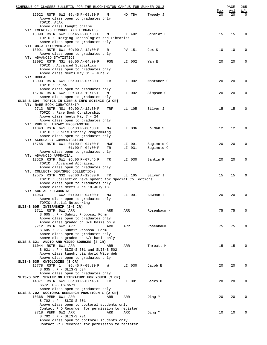| SCHEDULE OF CLASSES BULLETIN FOR THE BLOOMINGTON CAMPUS FOR SUMMER 2013               |     |     |        |             |           | PAGE      | 265             |
|---------------------------------------------------------------------------------------|-----|-----|--------|-------------|-----------|-----------|-----------------|
| 12922 RSTR 6W2 05:45 P-08:30 P                                                        | M   |     | HD TBA |             | Max<br>20 | Avl<br>20 | W/L<br>$\Omega$ |
| Above class open to graduates only                                                    |     |     |        | Tweedy J    |           |           |                 |
| TOPIC: AJAX                                                                           |     |     |        |             |           |           |                 |
| Above class taught online                                                             |     |     |        |             |           |           |                 |
| VT: EMERGING TECHNOL AND LIBRARIES                                                    |     |     |        |             |           |           |                 |
| 13090 RSTR 6W2 05:45 P-08:30 P<br>TOPIC : Emerging Technologies and Libraries         | М   |     | LI 402 | Scheidt L   | 15        | 15        | $\Omega$        |
| Above class open to graduates only                                                    |     |     |        |             |           |           |                 |
| VT: UNIX INTERMEDIATE                                                                 |     |     |        |             |           |           |                 |
| 13091 RSTR 6W1 09:00 A-12:00 P                                                        | R   |     | PV 151 | Cox S       | 10        | 10        | $\mathbf 0$     |
| Above class open to graduates only<br>VT: ADVANCED STATISTICS                         |     |     |        |             |           |           |                 |
| 13092 RSTR NS1 09:00 A-04:00 P                                                        | FSN |     | LI 002 | Yan E       | 20        | 20        | $\Omega$        |
| TOPIC : Advanced Statistics                                                           |     |     |        |             |           |           |                 |
| Above class open to graduates only                                                    |     |     |        |             |           |           |                 |
| Above class meets May 31 - June 2.                                                    |     |     |        |             |           |           |                 |
| VT: DRUPAL<br>13093 RSTR 6W1 06:00 P-07:30 P                                          | TR  |     | LI 002 | Montanez G  | 20        | 20        | $\mathbf 0$     |
| TOPIC : Drupal                                                                        |     |     |        |             |           |           |                 |
| Above class open to graduates only                                                    |     |     |        |             |           |           |                 |
| 15794 RSTR 6W2 09:30 A-12:15 P                                                        | M   |     | LI 002 | Simpson G   | 20        | 20        | $\mathbf 0$     |
| Above class open to graduates only                                                    |     |     |        |             |           |           |                 |
| SLIS-S 604 TOPICS IN LIBR & INFO SCIENCE (3 CR)<br>VT: RARE BOOK CURATORSHIP          |     |     |        |             |           |           |                 |
| 9713 RSTR NS1 09:00 A-12:30 P                                                         | TRF |     | LL 105 | Silver J    | 15        | 15        | $\Omega$        |
| TOPIC : Rare Book Curatorship                                                         |     |     |        |             |           |           |                 |
| Above class meets May 7 - 24                                                          |     |     |        |             |           |           |                 |
| Above class open to graduates only                                                    |     |     |        |             |           |           |                 |
| VT: PUBLIC LIBRARY PROGRAMMING<br>11043 RSTR 6W1 05:30 P-08:30 P                      | MW  |     | LI 036 | Holman S    | 12        | 12        | $\mathbf 0$     |
| TOPIC : Public Library Programming                                                    |     |     |        |             |           |           |                 |
| Above class open to graduates only                                                    |     |     |        |             |           |           |                 |
| VT: SCHOLARLY COMMUNICATION                                                           |     |     |        |             |           |           |                 |
| 15755 RSTR 6W1 01:00 P-04:00 P                                                        | MWF |     | LI 001 | Sugimoto C  | 20        | 20        | $\mathbf 0$     |
| $01:00 P - 04:00 P$<br>Above class open to graduates only                             | TR  |     | LI 031 | Sugimoto C  |           |           |                 |
| VT: ADVANCED APPRAISAL                                                                |     |     |        |             |           |           |                 |
| 12526 RSTR 6W1 05:00 P-07:45 P                                                        | TR  |     | LI 030 | Bantin P    | 20        | 20        | $\mathbf 0$     |
| TOPIC: Advanced Appraisal                                                             |     |     |        |             |           |           |                 |
| Above class open to graduates only                                                    |     |     |        |             |           |           |                 |
| VT: COLLECTN DEV/SPEC COLLECTIONS<br>12575 RSTR NS2 09:00 A-12:30 P                   | TR  |     | LL 105 | Silver J    | 15        | 15        | $\mathbf 0$     |
| TOPIC: Collection Development for Special Collections                                 |     |     |        |             |           |           |                 |
| Above class open to graduates only                                                    |     |     |        |             |           |           |                 |
| Above class meets June 18-July 18.                                                    |     |     |        |             |           |           |                 |
| VT: SOCIAL NETWORKING<br>14953                                                        |     |     | LI 001 |             | 20        | 20        | $\Omega$        |
| 6W2 01:00 P-04:00 P<br>Above class open to graduates only                             | MW  |     |        | Bowman T    |           |           |                 |
| TOPIC: Social Networking                                                              |     |     |        |             |           |           |                 |
| SLIS-S 605 INTERNSHIP (2-6 CR)                                                        |     |     |        |             |           |           |                 |
| 9711 RSTR 6W1 ARR                                                                     | ARR | ARR |        | Rosenbaum H | 75        | 75        | $\mathbf 0$     |
| $S$ 605 : $P$ - Submit Proposal Form                                                  |     |     |        |             |           |           |                 |
| Above class open to graduates only<br>Above class graded on S/F basis only            |     |     |        |             |           |           |                 |
| 9712 RSTR 6W2 ARR                                                                     | ARR | ARR |        | Rosenbaum H | 75        | 75        | $\Omega$        |
| S 605 : P - Submit Proposal Form                                                      |     |     |        |             |           |           |                 |
| Above class open to graduates only                                                    |     |     |        |             |           |           |                 |
| Above class graded on S/F basis only<br>SLIS-S 621 AUDIO AND VIDEO SOURCES (3 CR)     |     |     |        |             |           |           |                 |
| 11044 RSTR 6W1 ARR                                                                    | ARR | ARR |        | Threatt M   | 15        | 15        | $\Omega$        |
| S 621 : P - SLIS-S 501 and SLIS-S 502                                                 |     |     |        |             |           |           |                 |
| Above class taught via World Wide Web                                                 |     |     |        |             |           |           |                 |
| Above class open to graduates only                                                    |     |     |        |             |           |           |                 |
| SLIS-S 635 ONTOLOGIES (3 CR)<br>15778 RSTR 1                                          |     |     |        |             |           |           | $\Omega$        |
| $05:45 P-08:30 P$<br>$S$ 635 : P - SLIS-S 634                                         | W   |     | LI 030 | Jacob E     | 20        | 20        |                 |
| Above class open to graduates only                                                    |     |     |        |             |           |           |                 |
| SLIS-S 672 SEMINR ON LITERATURE FOR YOUTH (3 CR)                                      |     |     |        |             |           |           |                 |
| 14871 RSTR 6W1 05:00 P-07:45 P                                                        | TR  |     | LI 001 | Backs D     | 20        | 20        | $\mathbf 0$     |
| S672: P-SLIS-S571                                                                     |     |     |        |             |           |           |                 |
| Above class open to graduates only<br>SLIS-S 702 DOCTORAL RESEARCH PRACTICUM I (2 CR) |     |     |        |             |           |           |                 |
| 10368 PERM 6W1 ARR                                                                    | ARR | ARR |        | Ding Y      | 20        | 20        | 0               |
| S 702 : P - SLIS-S 701                                                                |     |     |        |             |           |           |                 |
| Above class open to doctoral students only                                            |     |     |        |             |           |           |                 |
| Contact PhD Recorder for permission to register                                       |     |     |        |             |           |           |                 |
| 9718 PERM 6W2 ARR<br>S 702 : P - SLIS-S 701                                           | ARR | ARR |        | Ding Y      | 10        | 10        | 0               |
| Above class open to doctoral students only                                            |     |     |        |             |           |           |                 |
| Contact PhD Recorder for permission to register                                       |     |     |        |             |           |           |                 |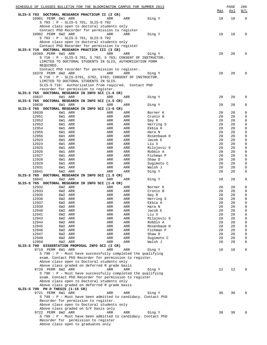| SCHEDULE OF CLASSES BULLETIN FOR THE BLOOMINGTON CAMPUS FOR SUMMER 2013                              |                    |            |            |                                                                         |            | PAGE       | 266<br>W/L                 |
|------------------------------------------------------------------------------------------------------|--------------------|------------|------------|-------------------------------------------------------------------------|------------|------------|----------------------------|
| SLIS-S 703 DOCTORAL RESEARCH PRACTICUM II (2 CR)                                                     |                    |            |            |                                                                         | <u>Max</u> | <u>Avl</u> |                            |
| 10901 PERM 6W1 ARR                                                                                   |                    | ARR        | ARR        | Ding Y                                                                  | 10         | 10         | $\mathbf 0$                |
| S 703 : P - SLIS-S 701, SLIS-S 702                                                                   |                    |            |            |                                                                         |            |            |                            |
| Above class open to doctoral students only<br>Contact PhD Recorder for permission to register        |                    |            |            |                                                                         |            |            |                            |
| 10902 PERM 6W2 ARR                                                                                   |                    | ARR        | <b>ARR</b> | Ding Y                                                                  | 10         | 10         | 0                          |
| S 703 : P - SLIS-S 701, SLIS-S 702                                                                   |                    |            |            |                                                                         |            |            |                            |
| Above class open to doctoral students only                                                           |                    |            |            |                                                                         |            |            |                            |
| Contact PhD Recorder for permission to register                                                      |                    |            |            |                                                                         |            |            |                            |
| SLIS-S 710 DOCTORAL RESEARCH PRACTICM III (3 CR)<br>10369 PERM 6W1 ARR                               |                    | ARR        | ARR        | Ding Y                                                                  | 20         | 20         | 0                          |
|                                                                                                      |                    |            |            | S 710 : P - SLIS-S 701, S 702, S 703; CONSENT OF INSTRUCTOR.            |            |            |                            |
| LIMITED TO DOCTORAL STUDENTS IN SLIS, AUTHORIZATION FORM                                             |                    |            |            |                                                                         |            |            |                            |
| REQUIRED.                                                                                            |                    |            |            |                                                                         |            |            |                            |
| Contact PhD recorder for permission to register.                                                     |                    |            |            |                                                                         |            |            |                            |
| 10370 PERM 6W2 ARR                                                                                   |                    | ARR        | <b>ARR</b> | Ding Y                                                                  | 20         | 20         | 0                          |
| $S$ 710 : P - SLIS-S701, S702, S703; CONSENT OF INSTRUCTOR.<br>LIMITED TO DOCTORAL STUDENTS IN SLIS. |                    |            |            |                                                                         |            |            |                            |
| SLIS-S 710: Authorization from required. Contact PHD                                                 |                    |            |            |                                                                         |            |            |                            |
| recorder for permission to register.                                                                 |                    |            |            |                                                                         |            |            |                            |
| SLIS-S 765 DOCTORAL RESEARCH IN INFO SCI (1-6 CR)                                                    |                    |            |            |                                                                         |            |            |                            |
| 10837                                                                                                | 6W1 ARR            | ARR        | ARR        | Ding Y                                                                  | 20         | 20         | 0                          |
| SLIS-S 765 DOCTORAL RESEARCH IN INFO SCI (1.5 CR)<br>10838                                           | 6W1 ARR            | ARR        | ARR        | Ding Y                                                                  | 20         | 20         | 0                          |
| SLIS-S 765 DOCTORAL RESEARCH IN INFO SCI (1-6 CR)                                                    |                    |            |            |                                                                         |            |            |                            |
| 10839                                                                                                | 6W1 ARR            | ARR        | ARR        | Borner K                                                                | 20         | 20         | $\mathsf 0$                |
| 12951                                                                                                | 6W1 ARR            | ARR        | ARR        | Cronin B                                                                | 20         | 20         | 0                          |
| 12952                                                                                                | 6W1 ARR            | ARR        | ARR        | Day R                                                                   | 20         | 20         | 0                          |
| 12953                                                                                                | 6W1 ARR            | ARR        | ARR        | Herring S                                                               | 20         | 20         | $\mathsf 0$                |
| 12954<br>12955                                                                                       | 6W1 ARR<br>6W1 ARR | ARR<br>ARR | ARR<br>ARR | Ekbia H<br>Hara N                                                       | 20<br>20   | 20<br>20   | $\mathsf 0$<br>0           |
| 12956                                                                                                | 6W1 ARR            | ARR        | ARR        | Rosenbaum H                                                             | 20         | 20         | 0                          |
| 12923                                                                                                | 6W1 ARR            | ARR        | ARR        | Jacob E                                                                 | 20         | 20         | $\mathsf 0$                |
| 12924                                                                                                | 6W1 ARR            | ARR        | ARR        | Liu X                                                                   | 20         | 20         | $\mathsf 0$                |
| 12925                                                                                                | 6W1 ARR            | ARR        | ARR        | Milojevic S                                                             | 20         | 20         | $\mathsf 0$                |
| 12926                                                                                                | 6W1 ARR            | ARR        | ARR        | Robbin A                                                                | 20         | 20         | 0                          |
| 12927<br>12928                                                                                       | 6W1 ARR<br>6W1 ARR | ARR<br>ARR | ARR<br>ARR | Fichman P<br>Shaw D                                                     | 20<br>20   | 20<br>20   | $\mathsf 0$<br>0           |
| 12929                                                                                                | 6W1 ARR            | ARR        | ARR        | Sugimoto C                                                              | 20         | 20         | 0                          |
| 12931                                                                                                | 6W1 ARR            | ARR        | ARR        | Walsh J                                                                 | 20         | 20         | 0                          |
| 10841                                                                                                | 6W2 ARR            | ARR        | ARR        | Ding Y                                                                  | 20         | 20         | 0                          |
| SLIS-S 765 DOCTORAL RESEARCH IN INFO SCI (1.5 CR)                                                    |                    |            |            |                                                                         |            |            |                            |
| 10842                                                                                                | 6W2 ARR            | ARR        | <b>ARR</b> | Ding Y                                                                  | 20         | 20         | 0                          |
| SLIS-S 765 DOCTORAL RESEARCH IN INFO SCI (1-6 CR)<br>12932                                           | 6W2 ARR            | ARR        | ARR        | Borner K                                                                | 20         | 20         | 0                          |
| 12933                                                                                                | 6W2 ARR            | ARR        | ARR        | Cronin B                                                                | 20         | 20         | 0                          |
| 12935                                                                                                | 6W2 ARR            | ARR        | ARR        | Day R                                                                   | 20         | 20         | $\mathsf 0$                |
| 12936                                                                                                | 6W2 ARR            | ARR        | ARR        | Herring S                                                               | 20         | 20         | 0                          |
| 12937                                                                                                | 6W2 ARR            | ARR        | ARR        | Ekbia H                                                                 | 20         | 20         | 0                          |
| 12939<br>12940                                                                                       | 6W2 ARR<br>6W2 ARR | ARR<br>ARR | ARR<br>ARR | Hara N<br>Jacob E                                                       | 20<br>20   | 20<br>20   | $\mathsf 0$<br>$\mathsf 0$ |
| 12941                                                                                                | 6W2 ARR            | ARR        | ARR        | Liu X                                                                   | 20         | 20         | $\mathsf 0$                |
| 12943                                                                                                | 6W2 ARR            | ARR        | ARR        | Milojevic S                                                             | 20         | 20         | 0                          |
| 12944                                                                                                | 6W2 ARR            | ARR        | ARR        | Robbin A                                                                | 20         | 20         | 0                          |
| 12945                                                                                                | 6W2 ARR            | ARR        | ARR        | Rosenbaum H                                                             | 20         | 20         | 0                          |
| 12946                                                                                                | 6W2 ARR<br>6W2 ARR | ARR        | ARR        | Fichman P                                                               | 20         | 20         | 0                          |
| 12947<br>12948                                                                                       | 6W2 ARR            | ARR<br>ARR | ARR<br>ARR | Shaw D<br>Sugimoto C                                                    | 20<br>20   | 20<br>20   | 0<br>0                     |
| 12950                                                                                                | 6W2 ARR            | ARR        | ARR        | Walsh J                                                                 | 20         | 20         | 0                          |
| SLIS-S 790 DISSERTATION PROPOSAL INFO SCI (3 CR)                                                     |                    |            |            |                                                                         |            |            |                            |
| 9719 PERM 6W1 ARR                                                                                    |                    | ARR        | ARR        | Ding Y                                                                  | 10         | 10         | 0                          |
|                                                                                                      |                    |            |            | $S$ 790 : P - Must have successfully completed the qualifying           |            |            |                            |
| exam. Contact PhD Recorder for permission to register.                                               |                    |            |            |                                                                         |            |            |                            |
| Above class open to Doctoral students only<br>Above class graded on deferred R grade basis           |                    |            |            |                                                                         |            |            |                            |
| 9720 PERM 6W2 ARR                                                                                    |                    | ARR        | ARR        | Ding Y                                                                  | 12         | 12         | 0                          |
|                                                                                                      |                    |            |            | S 790 : P - Must have successfully completed the qualifying             |            |            |                            |
| exam. Contact PhD Recorder for permission to register                                                |                    |            |            |                                                                         |            |            |                            |
| Above class open to Doctoral students only                                                           |                    |            |            |                                                                         |            |            |                            |
| Above class graded on deferred R grade basis                                                         |                    |            |            |                                                                         |            |            |                            |
| SLIS-S 799 PH D THESIS (1-15 CR)                                                                     |                    |            |            |                                                                         |            |            |                            |
| 9721 PERM 6W1 ARR                                                                                    |                    | ARR        | <b>ARR</b> | Ding Y<br>S 799 : P - Must have been admitted to candidacy. Contact PhD | 30         | 30         | 0                          |
| Recorder for permission to register.                                                                 |                    |            |            |                                                                         |            |            |                            |
| Above class open to Doctoral students only                                                           |                    |            |            |                                                                         |            |            |                            |
| Above class graded on S/F basis only                                                                 |                    |            |            |                                                                         |            |            |                            |
| 9722 PERM 6W2 ARR                                                                                    |                    | ARR        | ARR        | Ding Y                                                                  | 30         | 30         | 0                          |
|                                                                                                      |                    |            |            | S 799 : P - Must have been admitted to candidacy. Contact PhD           |            |            |                            |
| Recorder for permission to register<br>Above class open to graduates only                            |                    |            |            |                                                                         |            |            |                            |
|                                                                                                      |                    |            |            |                                                                         |            |            |                            |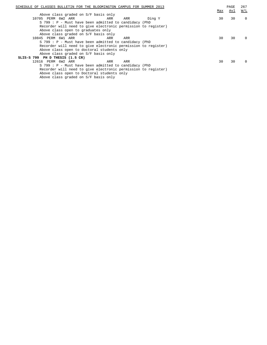| SCHEDULE OF CLASSES BULLETIN FOR THE BLOOMINGTON CAMPUS FOR SUMMER 2013 |     | PAGE | 267                                |
|-------------------------------------------------------------------------|-----|------|------------------------------------|
|                                                                         | Max | Avl  | $\overline{\texttt{W}}/\texttt{L}$ |
| Above class graded on S/F basis only                                    |     |      |                                    |
| 10705 PERM 6W2 ARR<br>Ding Y<br>ARR<br>ARR                              | 30  | 30   | $\mathbf 0$                        |
| S 799 : P - Must have been admitted to candidacy (PhD                   |     |      |                                    |
| Recorder will need to give electronic permission to register)           |     |      |                                    |
| Above class open to graduates only                                      |     |      |                                    |
| Above class graded on S/F basis only                                    |     |      |                                    |
| 10845 PERM 6W1 ARR<br>ARR<br>ARR                                        | 30  | 30   | $\Omega$                           |
| S 799 : P - Must have been admitted to candidacy (PhD                   |     |      |                                    |
| Recorder will need to give electronic permission to register)           |     |      |                                    |
| Above class open to doctoral students only                              |     |      |                                    |
| Above class graded on S/F basis only                                    |     |      |                                    |
| SLIS-S 799 PH D THESIS (1.5 CR)                                         |     |      |                                    |
| 12616 PERM 6W2 ARR<br>ARR<br>ARR                                        | 30  | 30   | $\Omega$                           |
| S 799 : P - Must have been admitted to candidacy (PhD                   |     |      |                                    |
| Recorder will need to give electronic permission to register)           |     |      |                                    |
| Above class open to Doctoral students only                              |     |      |                                    |
| Above class graded on S/F basis only                                    |     |      |                                    |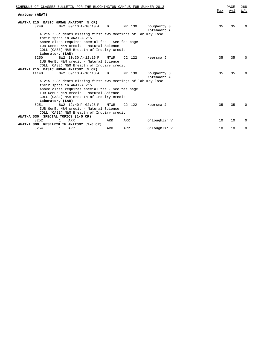| SCHEDULE OF CLASSES BULLETIN FOR THE BLOOMINGTON CAMPUS FOR SUMMER 2013                   |     | PAGE<br>Avl | 268<br>W/L   |
|-------------------------------------------------------------------------------------------|-----|-------------|--------------|
| Anatomy (ANAT)                                                                            | Max |             |              |
| ANAT-A 215 BASIC HUMAN ANATOMY (5 CR)                                                     |     |             |              |
| 8249<br>8W2 09:10 A-10:10 A<br>MY 130<br>$\Box$<br>Dougherty G<br>Notebaert A             | 35  | 35          | $\Omega$     |
| A 215: Students missing first two meetings of lab may lose<br>their space in ANAT-A 215   |     |             |              |
| Above class requires special fee - See fee page<br>IUB GenEd N&M credit - Natural Science |     |             |              |
| COLL (CASE) N&M Breadth of Inquiry credit                                                 |     |             |              |
| Laboratory (LAB)                                                                          |     |             |              |
| 8W2 10:30 A-12:15 P<br>$C2$ 122<br>8250<br>MTWR<br>Heersma J                              | 35  | 35          | <sup>0</sup> |
| IUB GenEd N&M credit - Natural Science                                                    |     |             |              |
| COLL (CASE) N&M Breadth of Inquiry credit                                                 |     |             |              |
| ANAT-A 215 BASIC HUMAN ANATOMY (5 CR)                                                     |     |             |              |
| 8W2 09:10 A-10:10 A<br>11140<br>MY 130<br>$\Box$<br>Dougherty G<br>Notebaert A            | 35  | 35          | <sup>0</sup> |
| A 215: Students missing first two meetings of lab may lose                                |     |             |              |
| their space in ANAT-A 215                                                                 |     |             |              |
| Above class requires special fee - See fee page                                           |     |             |              |
| IUB GenEd N&M credit - Natural Science                                                    |     |             |              |
| COLL (CASE) N&M Breadth of Inquiry credit                                                 |     |             |              |
| Laboratory (LAB)                                                                          |     |             |              |
| 8W2 12:40 P-02:25 P<br>$C2 \quad 122$<br>8251<br>MTWR<br>Heersma J                        | 35  | 35          | $\Omega$     |
| IUB GenEd N&M credit - Natural Science                                                    |     |             |              |
| COLL (CASE) N&M Breadth of Inquiry credit                                                 |     |             |              |
| ANAT-A 530 SPECIAL TOPICS (1-5 CR)                                                        |     |             |              |
| 8252<br><b>ARR</b><br>$\mathbf{1}$<br>ARR<br>O'Loughlin V<br>ARR                          | 10  | 10          | $\Omega$     |
| ANAT-A 800 RESEARCH IN ANATOMY (1-6 CR)                                                   |     |             |              |
| 8254<br>ARR<br>1<br>ARR<br>O'Loughlin V<br>ARR                                            | 10  | 10          | 0            |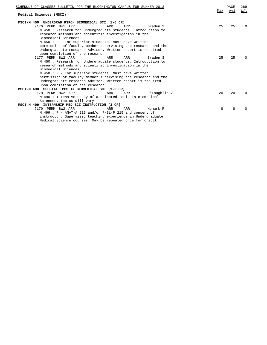| SCHEDULE OF CLASSES BULLETIN FOR THE BLOOMINGTON CAMPUS FOR SUMMER 2013 |     | PAGE | 269      |
|-------------------------------------------------------------------------|-----|------|----------|
| Medical Sciences (MSCI)                                                 | Max | Avl  | W/L      |
| MSCI-M 450 UNDERGRAD RSRCH BIOMEDICAL SCI (1-6 CR)                      |     |      |          |
| 9176 PERM 8W1 ARR<br>ARR<br>ARR<br>Braden S                             | 2.5 | 25   | $\Omega$ |
| M 450: Research for Undergraduate students. Introduction to             |     |      |          |
| research methods and scientific investigation in the                    |     |      |          |
| Biomedical Sciences                                                     |     |      |          |
| M 450: P - For superior students. Must have written                     |     |      |          |
| permission of faculty member supervising the research and the           |     |      |          |
| Undergraduate research Advisor. Written report is required              |     |      |          |
| upon completion of the research                                         |     |      |          |
| 9177 PERM 8W2 ARR<br>ARR<br>ARR<br>Braden S                             | 25  | 25   | $\Omega$ |
| M 450: Research for Undergraduate students. Introduction to             |     |      |          |
| research methods and scientific investigation in the                    |     |      |          |
| Biomedical Sciences                                                     |     |      |          |
| M 450 : P - For superior students. Must have written                    |     |      |          |
| permission of faculty member supervising the research and the           |     |      |          |
| Undergraduate research Advisor. Written report is required              |     |      |          |
| upon completion of the research                                         |     |      |          |
| MSCI-M 490 SPECIAL TPCS IN BIOMEDICAL SCI (1-6 CR)                      |     |      |          |
| 9178 PERM 8W2 ARR<br>ARR<br>ARR<br>O'Loughlin V                         | 20  | 20   | $\Omega$ |
| M 490 : Intensive study of a selected topic in Biomedical               |     |      |          |
| Sciences. Topics will vary                                              |     |      |          |
| INTERNSHIP MED SCI INSTRUCTION (3 CR)<br>MSCI-M 499                     |     |      |          |
| 9179 PERM 8W2 ARR<br>ARR<br>ARR<br>Mynark R                             | 8   | 8    | $\Omega$ |
| $M$ 499 : P - ANAT-A 215 and/or PHSL-P 215 and consent of               |     |      |          |
| instructor. Supervised teaching experience in Undergraduate             |     |      |          |

Medical Science courses. May be repeated once for credit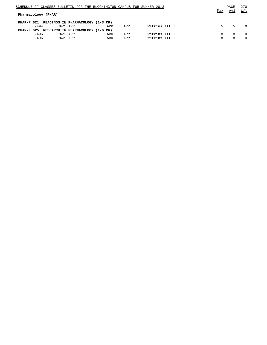| SCHEDULE OF CLASSES BULLETIN FOR THE BLOOMINGTON CAMPUS FOR SUMMER 2013 |    | PAGE | 270      |
|-------------------------------------------------------------------------|----|------|----------|
| Max                                                                     |    | Avl  | W/L      |
| Pharmacology (PHAR)                                                     |    |      |          |
|                                                                         |    |      |          |
| PHAR-F 621 READINGS IN PHARMACOLOGY (1-3 CR)                            |    |      |          |
| Watkins III J<br>9494<br>8W2 ARR<br>ARR<br>ARR                          | 5. | 5.   | $\Omega$ |
| PHAR-F 625 RESEARCH IN PHARMACOLOGY (1-6 CR)                            |    |      |          |
| Watkins III J<br>9495<br>8W1 ARR<br>ARR<br>ARR                          |    | 8    | - 0      |
| Watkins III J<br>9496<br>8W2 ARR<br>ARR<br>ARR                          |    | R    | $\Omega$ |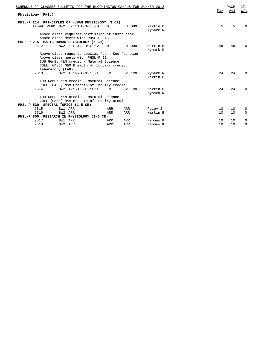| SCHEDULE OF CLASSES BULLETIN FOR THE BLOOMINGTON CAMPUS FOR SUMMER 2013                                                                                                     |          |                      |     | PAGE | 271          |
|-----------------------------------------------------------------------------------------------------------------------------------------------------------------------------|----------|----------------------|-----|------|--------------|
| Physiology (PHSL)                                                                                                                                                           |          |                      | Max | Avl  | W/L          |
| PHSL-P 214 PRINCIPLES OF HUMAN PHYSIOLOGY (3 CR)                                                                                                                            |          |                      |     |      |              |
| 12699 PERM 8W2 09:10 A-10:30 A<br>D                                                                                                                                         | JH 009   | Martin B<br>Mynark R | 5   | 5    | <sup>0</sup> |
| Above class requires permission of instructor<br>Above class meets with PHSL-P 215                                                                                          |          |                      |     |      |              |
| PHSL-P 215 BASIC HUMAN PHYSIOLOGY (5 CR)<br>8W2 09:10 A-10:30 A<br>9512<br>$\Box$                                                                                           | JH 009   | Martin B<br>Mynark R | 48  | 48   | $\Omega$     |
| Above class requires special fee - See fee page<br>Above class meets with PHSL-P 214<br>IUB GenEd N&M credit - Natural Science<br>COLL (CASE) N&M Breadth of Inquiry credit |          |                      |     |      |              |
| Laboratory (LAB)                                                                                                                                                            |          |                      |     |      |              |
| 8W2 10:45 A-12:35 P<br>9513<br>TR                                                                                                                                           | $C2$ 120 | Mynark R<br>Martin B | 24  | 24   | 0            |
| IUB GenEd N&M credit - Natural Science<br>COLL (CASE) N&M Breadth of Inquiry credit                                                                                         |          |                      |     |      |              |
| 8W2 12:50 P-02:40 P<br>9514<br>TR                                                                                                                                           | $C2$ 120 | Martin B<br>Mynark R | 2.4 | 24   | $\Omega$     |
| IUB GenEd N&M credit - Natural Science                                                                                                                                      |          |                      |     |      |              |
| COLL (CASE) N&M Breadth of Inquiry credit                                                                                                                                   |          |                      |     |      |              |
| PHSL-P 530 SPECIAL TOPICS (1-5 CR)                                                                                                                                          |          |                      |     |      |              |
| 9515<br>8W1 ARR<br>ARR                                                                                                                                                      | ARR      | Foley J              | 10  | 10   | 0            |
| 9516<br>8W2 ARR<br>ARR                                                                                                                                                      | ARR      | Martin B             | 10  | 10   | 0            |
| PHSL-P 800 RESEARCH IN PHYSIOLOGY (1-6 CR)                                                                                                                                  |          |                      |     |      |              |
| 9517<br>8W1 ARR<br>ARR                                                                                                                                                      | ARR      | Nephew K             | 10  | 10   | 0            |
| 9518<br>8W2 ARR<br>ARR                                                                                                                                                      | ARR      | Nephew K             | 10  | 10   | 0            |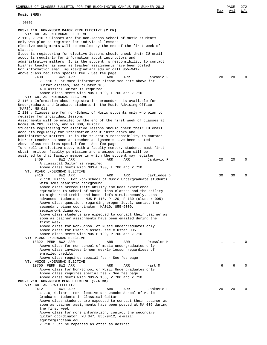**Music (MUS)**

| (000)                                                                                                                                                                                         |    |    |   |
|-----------------------------------------------------------------------------------------------------------------------------------------------------------------------------------------------|----|----|---|
| MUS-Z 110 NON-MUSIC MAJOR PERF ELECTIVE (2 CR)<br>VT: GUITAR UNDERGRAD ELECTIVE                                                                                                               |    |    |   |
| Z 110, Z 710: Classes are for non-Jacobs School of Music students<br>only who plan to register for individual lessons<br>Elective assignments will be emailed by the end of the first week of |    |    |   |
| classes                                                                                                                                                                                       |    |    |   |
| Students registering for elective lessons should check their IU email<br>accounts regularly for information about instructors and                                                             |    |    |   |
| administrative matters. It is the student''s responsibility to contact                                                                                                                        |    |    |   |
| his/her teacher as soon as teacher assignments have been posted<br>For information email squitar@indiana.edu or call 855-9412                                                                 |    |    |   |
| Above class requires special fee - See fee page                                                                                                                                               |    |    |   |
| 9408<br>4W1 ARR<br>ARR<br>ARR<br>Jankovic P<br>Z 110: For more information please see note above for                                                                                          | 20 | 20 | N |
| Guitar classes, see cluster 100                                                                                                                                                               |    |    |   |
| A Classical Guitar is required                                                                                                                                                                |    |    |   |
| Above class meets with MUS-L 100, L 700 and Z 710<br>VT: GUITAR UNDERGRAD ELECTIVE                                                                                                            |    |    |   |
| Z 110 : Information about registration procedures is available for                                                                                                                            |    |    |   |
| Undergraduate and Graduate students in the Music Advising Office<br>(MARS), MU 011                                                                                                            |    |    |   |
| Z 110 : Classes are for non-School of Music students only who plan to                                                                                                                         |    |    |   |
| register for individual lessons<br>Assignments will be emailed by the end of the first week of classes at                                                                                     |    |    |   |
| Rooms MA 283, Piano, and MA 009, Guitar                                                                                                                                                       |    |    |   |
| Students registering for elective lessons should check their IU email<br>accounts regularly for information about instructors and                                                             |    |    |   |
| administrative matters. It is the student's responsibility to contact                                                                                                                         |    |    |   |
| his/her teacher as soon as teacher assignments have been posted<br>Above class requires special fee - See fee page                                                                            |    |    |   |
| To enroll in elective study with a faculty member, students must first                                                                                                                        |    |    |   |
| obtain written faculty permission and a unique section will be<br>assigned to that faculty member in which the student may register                                                           |    |    |   |
| 9409<br>8W2 ARR<br><b>ARR</b><br>ARR<br>Jankovic P                                                                                                                                            | 20 | 20 | Ω |
| A classical Guitar is required<br>Above class meets with MUS-L 100, L 700 and Z 710                                                                                                           |    |    |   |
| VT: PIANO UNDERGRAD ELECTIVE                                                                                                                                                                  |    |    |   |
| 9410<br>8W2 ARR<br>ARR<br>ARR<br>Cartledge D<br>Z 110, Piano: For Non-School of Music Undergraduate students                                                                                  | 30 | 30 | Ω |
| with some pianistic background                                                                                                                                                                |    |    |   |
| Above class prerequisite ability includes experience                                                                                                                                          |    |    |   |
| equivalent to School of Music Piano classes and the ability<br>to sight-read treble and bass clefs simultaneously. Less                                                                       |    |    |   |
| advanced students see MUS-P 110, P 120, P 130 (cluster 005)                                                                                                                                   |    |    |   |
| Above class questions regarding proper level, contact the<br>secondary piano coordinator, MA010, 855-9009,                                                                                    |    |    |   |
| secpiano@indiana.edu                                                                                                                                                                          |    |    |   |
| Above class students are expected to contact their teacher as<br>soon as teacher assignments have been emailed during the                                                                     |    |    |   |
| first week                                                                                                                                                                                    |    |    |   |
| Above class for Non-School of Music Undergraduates only<br>Above class for Piano classes, see cluster 005                                                                                     |    |    |   |
| Above class meets with MUS-P 100, P 700 and Z 710                                                                                                                                             |    |    |   |
| VT: PIANO UNDERGRAD ELECTIVE<br>13322 PERM 8W2 ARR<br>ARR<br>ARR<br>Pressler M                                                                                                                | 1  | 1  |   |
| Above class for non-school of music undergraduates only                                                                                                                                       |    |    |   |
| Above class involves 1-hour weekly lesson regardless of<br>enrolled credits                                                                                                                   |    |    |   |
| Above class requires special fee - See fee page                                                                                                                                               |    |    |   |
| VT: VOICE UNDERGRAD ELECTIVE<br>10700 PERM 8W2 ARR<br>ARR<br>ARR<br>Hart M                                                                                                                    | 6  | 6  |   |
| Above class for Non-School of Music Undergraduates only                                                                                                                                       |    |    |   |
| Above class requires special fee - See fee page<br>Above class meets with MUS-V 100, V 700 and Z 710                                                                                          |    |    |   |
| MUS-Z 710 NON-MUSIC PERF ELECTIVE (2-4 CR)                                                                                                                                                    |    |    |   |
| VT: GUITAR GRAD ELECTIVE<br>9412<br>4W1 ARR<br>ARR<br>ARR<br>Jankovic P                                                                                                                       | 20 | 20 |   |
| Z 710, Guitar: For elective Non-Jacobs School of Music                                                                                                                                        |    |    |   |
| Graduate students in Classical Guitar<br>Above class students are expected to contact their teacher as                                                                                        |    |    |   |
| soon as teacher assignments have been posted at MA 009 during                                                                                                                                 |    |    |   |
| the first week<br>Above class for more information, contact the secondary                                                                                                                     |    |    |   |
| guitar coordinator, MU 347, 855-9412, e-mail:                                                                                                                                                 |    |    |   |
| squitar@indiana.edu<br>Z 710 : Can be repeated as often as desired                                                                                                                            |    |    |   |
|                                                                                                                                                                                               |    |    |   |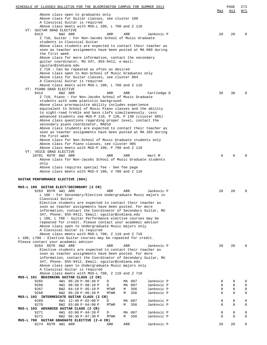| SCHEDULE OF CLASSES BULLETIN FOR THE BLOOMINGTON CAMPUS FOR SUMMER 2013                                                        | Max | PAGE<br>Avl | 273<br>W/L  |
|--------------------------------------------------------------------------------------------------------------------------------|-----|-------------|-------------|
| Above class open to graduates only                                                                                             |     |             |             |
| Above class for Guitar classes, see cluster 100                                                                                |     |             |             |
| A Classical Guitar is required<br>Above class meets with MUS-L 100, L 700 and Z 110                                            |     |             |             |
| VT: GUITAR GRAD ELECTIVE                                                                                                       |     |             |             |
| 9413<br>8W2 ARR<br>ARR<br>ARR<br>Jankovic P                                                                                    | 20  | 20          |             |
| Z 710, Guitar: For Non-Jacobs School of Music Graduate                                                                         |     |             |             |
| students in Classical Guitar                                                                                                   |     |             |             |
| Above class students are expected to contact their teacher as<br>soon as teacher assignments have been posted at MA 009 during |     |             |             |
| the first week                                                                                                                 |     |             |             |
| Above class for more information, contact the secondary                                                                        |     |             |             |
| guitar coordinator, MU 347, 855-9412, e-mail:                                                                                  |     |             |             |
| sguitar@indiana.edu                                                                                                            |     |             |             |
| Z 710 : Can be repeated as often as desired<br>Above class open to Non-School of Music Graduates only                          |     |             |             |
| Above class for Guitar classes, see cluster 004                                                                                |     |             |             |
| A Classical Guitar is required                                                                                                 |     |             |             |
| Above class meets with MUS-L 100, L 700 and Z 110                                                                              |     |             |             |
| VT: PIANO GRAD ELECTIVE                                                                                                        |     |             |             |
| 8W2 ARR<br>9414<br>ARR<br>ARR<br>Cartledge D                                                                                   | 30  | 30          |             |
| Z 710, Piano: For Non-Jacobs School of Music Graduate<br>students with some pianistic background                               |     |             |             |
| Above class prerequisite ability includes experience                                                                           |     |             |             |
| equivalent to School of Music Piano classes and the ability                                                                    |     |             |             |
| to sight-read treble and bass clefs simultaneously. Less                                                                       |     |             |             |
| advanced students see MUS-P 110, P 120, P 130 (cluster 005)                                                                    |     |             |             |
| Above class questions regarding proper level, contact the                                                                      |     |             |             |
| secondary piano coordinator, MA010<br>Above class students are expected to contact their teacher as                            |     |             |             |
| soon as teacher assignments have been posted at MA 283 during                                                                  |     |             |             |
| the first week                                                                                                                 |     |             |             |
| Above class for Non-School of Music Graduate students only                                                                     |     |             |             |
| Above class for Piano classes, see cluster 005                                                                                 |     |             |             |
| Above class meets with MUS-P 100, P 700 and Z 110<br>VT: VOICE GRAD ELECTIVE                                                   |     |             |             |
| 10701 RSTR 8W2 ARR<br>ARR<br>ARR<br>Hart M                                                                                     | 6   | 6           |             |
| Above class for Non-Jacobs School of Music Graduate students                                                                   |     |             |             |
| only                                                                                                                           |     |             |             |
| Above class requires special fee - See fee page                                                                                |     |             |             |
| Above class meets with MUS-V 100, V 700 and Z 110                                                                              |     |             |             |
| GUITAR PERFORMANCE ELECTIVE (004)                                                                                              |     |             |             |
|                                                                                                                                |     |             |             |
| MUS-L 100 GUITAR ELECT/SECONDARY (2 CR)                                                                                        |     |             |             |
| 9263 RSTR 4W1 ARR<br>ARR<br>ARR<br>Jankovic P<br>L 100: For Secondary/Elective Undergraduate Music majors in                   | 20  | 20          |             |
| Classical Guitar                                                                                                               |     |             |             |
| Elective students are expected to contact their teacher as                                                                     |     |             |             |
| soon as teacher assignments have been posted. For more                                                                         |     |             |             |
| information, contact the Coordinator of Secondary Guitar, MU                                                                   |     |             |             |
| 347, Phone: 855-9412, Email: squitar@indiana.edu                                                                               |     |             |             |
| L 100, L 700 : Guitar Performance elective courses may be<br>repeated for credit. Please contact your academic advisor         |     |             |             |
| Above class open to Undergraduate Music majors only                                                                            |     |             |             |
| A Classical Guitar is required                                                                                                 |     |             |             |
| Above class meets with MUS-L 700, Z 110 and Z 710                                                                              |     |             |             |
| L 100, L700: Elective Guitar courses may be repeated for credit.                                                               |     |             |             |
| Please contact your academic advisor<br>9264 RSTR 8W2 ARR<br>ARR<br>ARR<br>Jankovic P                                          | 20  | 20          |             |
| Elective students are expected to contact their teacher as                                                                     |     |             |             |
| soon as teacher assignments have been posted. For more                                                                         |     |             |             |
| information, contact the Coordinator of Secondary Guitar, MU                                                                   |     |             |             |
| 347, Phone: 855-9412, Email: sguitar@indiana.edu                                                                               |     |             |             |
| Above class open to Undergraduate Music majors only                                                                            |     |             |             |
| A Classical Guitar is required<br>Above class meets with MUS-L 700, Z 110 and Z 710                                            |     |             |             |
| MUS-L 101 BEGINNING GUITAR CLASS (2 CR)                                                                                        |     |             |             |
| 9265<br>4W1 05:20 P-06:40 P<br>MA 007<br>Jankovic P<br>D                                                                       | 8   | 8           | 0           |
| 9266<br>007<br>Jankovic P<br>4W1 06:50 P-08:10 P<br>D<br>MA                                                                    | 8   | 8           | 0           |
| 9267<br>356<br>Jankovic P<br>8W2 04:10 P-05:10 P<br>MTWR<br>М                                                                  | 8   | 8           | $\mathbf 0$ |
| 9268<br>356<br>8W2 05:20 P-06:20 P<br>MTWR<br>Jankovic P<br>М<br>MUS-L 102 INTERMEDIATE GUITAR CLASS (2 CR)                    | 8   | 8           | 0           |
| 9269<br>4W1 12:40 P-02:00 P<br>007<br>Jankovic P<br>D<br>МA                                                                    | 8   | 8           | 0           |
| 9270<br>8W2 03:00 P-04:00 P<br>356<br>Jankovic P<br>MTWR<br>М                                                                  | 8   | 8           | 0           |
| MUS-L 103 ADVANCED GUITAR CLASS (2 CR)                                                                                         |     |             |             |
| 9271<br>4W1 03:00 P-04:20 P<br>Jankovic P<br>D<br>007<br>MA                                                                    | 8   | 8           | 0           |
| 9272<br>356<br>Jankovic P<br>8W2 06:30 P-07:30 P<br>MTWR<br>М                                                                  | 8   | 8           | 0           |
| MUS-L 700 GUITAR GRADUATE ELECTIVE (2-4 CR)<br>9274 RSTR 4W1 ARR<br>ARR<br>ARR<br>Jankovic P                                   | 20  | 20          | 0           |
|                                                                                                                                |     |             |             |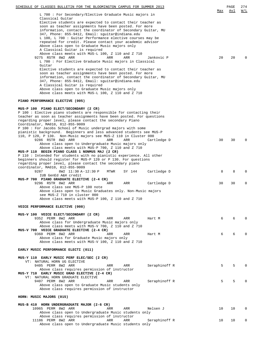| SCHEDULE OF CLASSES BULLETIN FOR THE BLOOMINGTON CAMPUS FOR SUMMER 2013                                                |     | PAGE            | 274      |
|------------------------------------------------------------------------------------------------------------------------|-----|-----------------|----------|
|                                                                                                                        | Max | Avl             | W/L      |
| L 700 : For Secondary/Elective Graduate Music majors in<br>Classical Guitar                                            |     |                 |          |
| Elective students are expected to contact their teacher as                                                             |     |                 |          |
| soon as teacher assignments have been posted. For more                                                                 |     |                 |          |
| information, contact the coordinator of Secondary Guitar, MU                                                           |     |                 |          |
| 347, Phone: 855-9412, Email: sguitar@indiana.edu                                                                       |     |                 |          |
| L 100, L 700 : Guitar Performance elective courses may be<br>repeated for credit. Please contact your academic advisor |     |                 |          |
| Above class open to Graduate Music majors only                                                                         |     |                 |          |
| A Classical Guitar is required                                                                                         |     |                 |          |
| Above class meets with MUS-L 100, Z 110 and Z 710                                                                      |     |                 |          |
| 9275 RSTR 8W2 ARR<br>ARR<br>ARR<br>Jankovic P                                                                          | 20  | 20              | $\Omega$ |
| L 700 : For Elective Graduate Music majors in Classical<br>Guitar                                                      |     |                 |          |
| Elective students are expected to contact their teacher as                                                             |     |                 |          |
| soon as teacher assignments have been posted. For more                                                                 |     |                 |          |
| information, contact the coordinator of Secondary Guitar, MU                                                           |     |                 |          |
| 347, Phone: 855-9412, Email: sguitar@indiana.edu<br>A Classical Guitar is required                                     |     |                 |          |
| Above class open to Graduate Music majors only                                                                         |     |                 |          |
| Above class meets with MUS-L 100, Z 110 and Z 710                                                                      |     |                 |          |
|                                                                                                                        |     |                 |          |
| PIANO PERFORMANCE ELECTIVE (005)                                                                                       |     |                 |          |
| MUS-P 100 PIANO ELECT/SECONDARY (2 CR)                                                                                 |     |                 |          |
| P 100 : Elective piano students are responsible for contacting their                                                   |     |                 |          |
| teacher as soon as teacher assignments have been posted. For questions                                                 |     |                 |          |
| regarding proper level, please contact the secondary Piano                                                             |     |                 |          |
| Coordinator, MA010, 812-855-9009<br>P 100: For Jacobs School of Music undergrad majors with some                       |     |                 |          |
| pianistic background. Beginners and less advanced students see MUS-P                                                   |     |                 |          |
| 110, P 120, P 130. Non-Music majors see MUS-Z 110 in Cluster 000                                                       |     |                 |          |
| 9286 RSTR 8W2 ARR<br>ARR<br>ARR<br>Cartledge D                                                                         | 30  | 30              | 0        |
| Above class open to Undergraduate Music majors only                                                                    |     |                 |          |
| Above class meets with MUS-P 700, Z 110 and Z 710<br>MUS-P 110 BEGIN PIANO CLASS 1 NONMUS MAJ (2 CR)                   |     |                 |          |
| P 110: Intended for students with no pianistic experience. All other                                                   |     |                 |          |
| beginners should register for MUS-P 120 or P 130. For questions                                                        |     |                 |          |
| regarding proper level, please contact the secondary piano                                                             |     |                 |          |
| coordinator, MA010, 812-855-9009                                                                                       |     |                 |          |
| 9287<br>8W2 11:30 A-12:30 P<br>Cartledge D<br>MTWR<br>SY 144<br>IUB GenEd A&H credit                                   | 8   | 8               | 0        |
| MUS-P 700 PIANO GRADUATE ELECTIVE (2-4 CR)                                                                             |     |                 |          |
| 9296 RSTR 8W2 ARR<br>Cartledge D<br>ARR<br>ARR                                                                         | 30  | 30              | 0        |
| Above class see MUS-P 100 note                                                                                         |     |                 |          |
| Above class open to Music Graduates only. Non-Music majors<br>see MUS-Z 710 in cluster 000                             |     |                 |          |
| Above class meets with MUS-P 100, Z 110 and Z 710                                                                      |     |                 |          |
|                                                                                                                        |     |                 |          |
| VOICE PERFORMANCE ELECTIVE (008)                                                                                       |     |                 |          |
|                                                                                                                        |     |                 |          |
| MUS-V 100 VOICE ELECT/SECONDARY (2 CR)<br>9352 PERM 8W2 ARR<br>ARR<br>ARR<br>Hart M                                    | 6   | 6               | $\Omega$ |
| Above class for Undergraduate Music majors only                                                                        |     |                 |          |
| Above class meets with MUS-V 700, Z 110 and Z 710                                                                      |     |                 |          |
| MUS-V 700 VOICE GRADUATE ELECTIVE (2-4 CR)                                                                             |     |                 |          |
| 9360 PERM 8W2 ARR<br>Hart M<br>ARR<br>ARR                                                                              | 6   | 6               | $\Omega$ |
| Above class for Graduate Music majors only<br>Above class meets with MUS-V 100, Z 110 and Z 710                        |     |                 |          |
|                                                                                                                        |     |                 |          |
| EARLY MUSIC PERFORMANCE ELECTI (011)                                                                                   |     |                 |          |
|                                                                                                                        |     |                 |          |
| MUS-Y 110 EARLY MUSIC PERF ELEC/SEC (2 CR)<br>VT: NATURAL HORN UG ELECTIVE                                             |     |                 |          |
| 9405 PERM 8W2 ARR<br>Seraphinoff R<br>ARR<br>ARR                                                                       | 5   | 5               | $\Omega$ |
| Above class requires permission of instructor                                                                          |     |                 |          |
| MUS-Y 710 EARLY MUSIC GRAD ELECTIVE (2-4 CR)                                                                           |     |                 |          |
| VT: NATURAL HORN GRADUATE ELECTIVE                                                                                     |     |                 |          |
| 9407 PERM 8W2 ARR<br>Seraphinoff R<br>ARR<br>ARR<br>Above class open to Graduate Music students only                   | 5   | 5               | $\Omega$ |
| Above class requires permission of instructor                                                                          |     |                 |          |
|                                                                                                                        |     |                 |          |
| HORN: MUSIC MAJORS (015)                                                                                               |     |                 |          |
|                                                                                                                        |     |                 |          |
| MUS-B 410 HORN UNDERGRADUATE MAJOR (2-6 CR)<br>10965 PERM 8W2 ARR<br>Nelsen J<br>ARR<br>ARR                            | 10  | 10              | $\Omega$ |
| Above class open to Undergraduate Music students only                                                                  |     |                 |          |
| Above class requires permission of instructor                                                                          |     |                 |          |
| 11186 PERM 8W2 ARR<br>ARR<br>Seraphinoff R<br>ARR                                                                      | 10  | 10 <sup>1</sup> | 0        |
| Above class open to Undergraduate Music students only                                                                  |     |                 |          |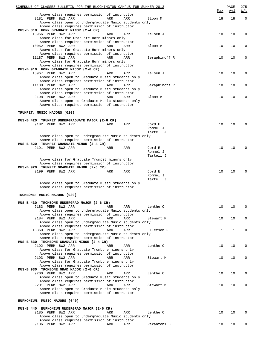| SCHEDULE OF CLASSES BULLETIN FOR THE BLOOMINGTON CAMPUS FOR SUMMER 2013                                |     |            |                       | Max | PAGE<br>Avl | 275<br>W/L |
|--------------------------------------------------------------------------------------------------------|-----|------------|-----------------------|-----|-------------|------------|
| Above class requires permission of instructor                                                          |     |            |                       |     |             |            |
| 9181 PERM 8W2 ARR                                                                                      | ARR | ARR        | Bloom M               | 18  | 18          | $\Omega$   |
| Above class open to Undergraduate Music students only<br>Above class requires permission of instructor |     |            |                       |     |             |            |
| MUS-B 810 HORN GRADUATE MINOR (2-4 CR)                                                                 |     |            |                       |     |             |            |
| 10966 PERM 8W2 ARR                                                                                     | ARR | ARR        | Nelsen J              | 10  | 10          | 0          |
| Above class for Graduate Horn minors only<br>Above class requires permission of instructor             |     |            |                       |     |             |            |
| 10052 PERM 8W2 ARR                                                                                     | ARR | ARR        | Bloom M               | 10  | 10          | 0          |
| Above class for Graduate Horn minors only                                                              |     |            |                       |     |             |            |
| Above class requires permission of instructor<br>11187 PERM 8W2 ARR                                    | ARR | ARR        | Seraphinoff R         | 10  | 10          | 0          |
| Above class for Graduate Horn minors only                                                              |     |            |                       |     |             |            |
| Above class requires permission of instructor                                                          |     |            |                       |     |             |            |
| MUS-B 910 HORN GRADUATE MAJOR (2-6 CR)<br>10967 PERM 8W2 ARR                                           | ARR | ARR        | Nelsen J              | 10  | 10          | 0          |
| Above class open to Graduate Music students only                                                       |     |            |                       |     |             |            |
| Above class requires permission of instructor                                                          |     |            |                       |     |             |            |
| 11188 PERM 8W2 ARR<br>Above class open to Graduate Music students only                                 | ARR | ARR        | Seraphinoff R         | 10  | 10          | 0          |
| Above class requires permission of instructor                                                          |     |            |                       |     |             |            |
| 9198 PERM 8W2 ARR                                                                                      | ARR | <b>ARR</b> | Bloom M               | 10  | 10          | 0          |
| Above class open to Graduate Music students only<br>Above class requires permission of instructor      |     |            |                       |     |             |            |
|                                                                                                        |     |            |                       |     |             |            |
| TRUMPET: MUSIC MAJORS (020)                                                                            |     |            |                       |     |             |            |
|                                                                                                        |     |            |                       |     |             |            |
| MUS-B 420 TRUMPET UNDERGRADUATE MAJOR (2-6 CR)<br>9182 PERM 8W2 ARR                                    | ARR | ARR        | Cord E                | 10  | 10          | $\Omega$   |
|                                                                                                        |     |            | Rommel J              |     |             |            |
|                                                                                                        |     |            | Tartell J             |     |             |            |
| Above class open to Undergraduate Music students only<br>Above class requires permission of instructor |     |            |                       |     |             |            |
| MUS-B 820 TRUMPET GRADUATE MINOR (2-4 CR)                                                              |     |            |                       |     |             |            |
| 9191 PERM 8W2 ARR                                                                                      | ARR | ARR        | Cord E                | 10  | 10          | $\Omega$   |
|                                                                                                        |     |            | Rommel J<br>Tartell J |     |             |            |
| Above class for Graduate Trumpet minors only                                                           |     |            |                       |     |             |            |
| Above class requires permission of instructor                                                          |     |            |                       |     |             |            |
| MUS-B 920 TRUMPET GRADUATE MAJOR (2-6 CR)<br>9199 PERM 8W2 ARR                                         | ARR | ARR        | Cord E                | 10  | 10          | $\Omega$   |
|                                                                                                        |     |            | Rommel J              |     |             |            |
|                                                                                                        |     |            | Tartell J             |     |             |            |
| Above class open to Graduate Music students only<br>Above class requires permission of instructor      |     |            |                       |     |             |            |
|                                                                                                        |     |            |                       |     |             |            |
| TROMBONE: MUSIC MAJORS (030)                                                                           |     |            |                       |     |             |            |
| MUS-B 430 TROMBONE UNDERGRAD MAJOR (2-6 CR)                                                            |     |            |                       |     |             |            |
| 9183 PERM 8W2 ARR                                                                                      | ARR | ARR        | Lenthe C              | 10  | 10          | $\Omega$   |
| Above class open to Undergraduate Music students only                                                  |     |            |                       |     |             |            |
| Above class requires permission of instructor<br>9184 PERM 8W2 ARR                                     | ARR | ARR        | Stewart M             | 10  | 10          | 0          |
| Above class open to Undergraduate Music students only                                                  |     |            |                       |     |             |            |
| Above class requires permission of instructor                                                          |     |            |                       |     |             |            |
| 13360 PERM 8W2 ARR<br>Above class open to Undergraduate Music students only                            | ARR | ARR        | Ellefson P            | 1   | 1           | $\Omega$   |
| Above class requires permission of instructor                                                          |     |            |                       |     |             |            |
| MUS-B 830 TROMBONE GRADUATE MINOR (2-4 CR)                                                             |     |            |                       |     |             |            |
| 9192 PERM 8W2 ARR<br>Above class for Graduate Trombone minors only                                     | ARR | ARR        | Lenthe C              | 10  | 10          | $\Omega$   |
| Above class requires permission of instructor                                                          |     |            |                       |     |             |            |
| 9193 PERM 8W2 ARR                                                                                      | ARR | ARR        | Stewart M             | 10  | 10          | $\Omega$   |
| Above class for Graduate Trombone minors only<br>Above class requires permission of instructor         |     |            |                       |     |             |            |
| MUS-B 930 TROMBONE GRAD MAJOR (2-6 CR)                                                                 |     |            |                       |     |             |            |
| 9200 PERM 8W2 ARR                                                                                      | ARR | ARR        | Lenthe C              | 10  | 10          | 0          |
| Above class open to Graduate Music students only                                                       |     |            |                       |     |             |            |
| Above class requires permission of instructor<br>9201 PERM 8W2 ARR                                     | ARR | ARR        | Stewart M             | 10  | 10          | $\Omega$   |
| Above class open to Graduate Music students only                                                       |     |            |                       |     |             |            |
| Above class requires permission of instructor                                                          |     |            |                       |     |             |            |
| EUPHONIUM: MUSIC MAJORS (040)                                                                          |     |            |                       |     |             |            |
|                                                                                                        |     |            |                       |     |             |            |
| MUS-B 440 EUPHONIUM UNDERGRAD MAJOR (2-6 CR)<br>9185 PERM 8W2 ARR                                      |     |            | Lenthe C              | 10  | 10          |            |
| Above class open to Undergraduate Music students only                                                  | ARR | ARR        |                       |     |             |            |
| Above class requires permission of instructor                                                          |     |            |                       |     |             |            |

9186 PERM 8W2 ARR ARR ARR Perantoni D 10 10 0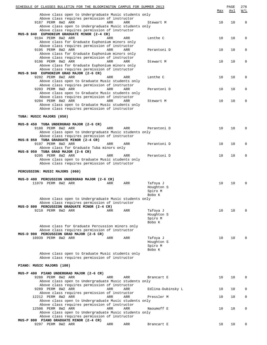| SCHEDULE OF CLASSES BULLETIN FOR THE BLOOMINGTON CAMPUS FOR SUMMER 2013                           |     |     |                        | Max | PAGE<br>Avl | 276<br>W/L  |
|---------------------------------------------------------------------------------------------------|-----|-----|------------------------|-----|-------------|-------------|
| Above class open to Undergraduate Music students only                                             |     |     |                        |     |             |             |
| Above class requires permission of instructor<br>9187 PERM 8W2 ARR                                | ARR | ARR | Stewart M              | 10  | 10          | $\mathbf 0$ |
| Above class open to Undergraduate Music students only                                             |     |     |                        |     |             |             |
| Above class requires permission of instructor                                                     |     |     |                        |     |             |             |
| MUS-B 840 EUPHONIUM GRADUATE MINOR (2-4 CR)                                                       |     |     |                        |     |             |             |
| 9194 PERM 8W2 ARR                                                                                 | ARR | ARR | Lenthe C               | 10  | 10          | 0           |
| Above class for Graduate Euphonium minors only                                                    |     |     |                        |     |             |             |
| Above class requires permission of instructor<br>9195 PERM 8W2 ARR                                | ARR | ARR |                        | 10  | 10          | 0           |
| Above class for Graduate Euphonium minors only                                                    |     |     | Perantoni D            |     |             |             |
| Above class requires permission of instructor                                                     |     |     |                        |     |             |             |
| 9196 PERM 8W2 ARR                                                                                 | ARR | ARR | Stewart M              | 10  | 10          | 0           |
| Above class for Graduate Euphonium minors only                                                    |     |     |                        |     |             |             |
| Above class requires permission of instructor                                                     |     |     |                        |     |             |             |
| MUS-B 940 EUPHONIUM GRAD MAJOR (2-6 CR)                                                           |     |     |                        |     |             |             |
| 9202 PERM 8W2 ARR                                                                                 | ARR | ARR | Lenthe C               | 10  | 10          | 0           |
| Above class open to Graduate Music students only<br>Above class requires permission of instructor |     |     |                        |     |             |             |
| 9203 PERM 8W2 ARR                                                                                 | ARR | ARR | Perantoni D            | 10  | 10          | 0           |
| Above class open to Graduate Music students only                                                  |     |     |                        |     |             |             |
| Above class requires permission of instructor                                                     |     |     |                        |     |             |             |
| 9204 PERM 8W2 ARR                                                                                 | ARR | ARR | Stewart M              | 10  | 10          | 0           |
| Above class open to Graduate Music students only                                                  |     |     |                        |     |             |             |
| Above class requires permission of instructor                                                     |     |     |                        |     |             |             |
| TUBA: MUSIC MAJORS (050)                                                                          |     |     |                        |     |             |             |
|                                                                                                   |     |     |                        |     |             |             |
| MUS-B 450 TUBA UNDERGRAD MAJOR (2-6 CR)                                                           |     |     |                        |     |             |             |
| 9188 PERM 8W2 ARR                                                                                 | ARR | ARR | Perantoni D            | 10  | 10          | $\Omega$    |
| Above class open to Undergraduate Music students only                                             |     |     |                        |     |             |             |
| Above class requires permission of instructor                                                     |     |     |                        |     |             |             |
| MUS-B 850 TUBA GRADUATE MINOR (2-4 CR)<br>9197 PERM 8W2 ARR                                       | ARR |     |                        | 10  | 10          | 0           |
| Above class for Graduate Tuba minors only                                                         |     | ARR | Perantoni D            |     |             |             |
| MUS-B 950 TUBA GRAD MAJOR (2-6 CR)                                                                |     |     |                        |     |             |             |
| 9205 PERM 8W2 ARR                                                                                 | ARR | ARR | Perantoni D            | 10  | 10          | 0           |
| Above class open to Graduate Music students only                                                  |     |     |                        |     |             |             |
| Above class requires permission of instructor                                                     |     |     |                        |     |             |             |
| PERCUSSION: MUSIC MAJORS (060)                                                                    |     |     |                        |     |             |             |
|                                                                                                   |     |     |                        |     |             |             |
| MUS-D 400 PERCUSSION UNDERGRAD MAJOR (2-6 CR)                                                     |     |     |                        |     |             |             |
| 11070 PERM 8W2 ARR                                                                                | ARR | ARR | Tafoya J<br>Houghton S | 10  | 10          |             |
|                                                                                                   |     |     | Spiro M                |     |             |             |
|                                                                                                   |     |     | Bobo K                 |     |             |             |
| Above class open to Undergraduate Music students only                                             |     |     |                        |     |             |             |
| Above class requires permission of instructor                                                     |     |     |                        |     |             |             |
| MUS-D 800 PERCUSSION GRADUATE MINOR (2-4 CR)                                                      |     |     |                        |     |             |             |
| 9210 PERM 8W2 ARR                                                                                 | ARR | ARR | Tafoya J               | 10  | 10          | $\Omega$    |
|                                                                                                   |     |     | Houghton S             |     |             |             |
|                                                                                                   |     |     | Spiro M<br>Bobo K      |     |             |             |
| Above class for Graduate Percussion minors only                                                   |     |     |                        |     |             |             |
| Above class requires permission of instructor                                                     |     |     |                        |     |             |             |
| MUS-D 900 PERCUSSION GRAD MAJOR (2-6 CR)                                                          |     |     |                        |     |             |             |
| 10939 PERM 8W2 ARR                                                                                | ARR | ARR | Tafoya J               | 10  | 10          |             |
|                                                                                                   |     |     | Houghton S             |     |             |             |
|                                                                                                   |     |     | Spiro M                |     |             |             |
|                                                                                                   |     |     | Bobo K                 |     |             |             |
| Above class open to Graduate Music students only<br>Above class requires permission of instructor |     |     |                        |     |             |             |
|                                                                                                   |     |     |                        |     |             |             |
| PIANO: MUSIC MAJORS (100)                                                                         |     |     |                        |     |             |             |
| MUS-P 400 PIANO UNDERGRAD MAJOR (2-6 CR)                                                          |     |     |                        |     |             |             |
| 9288 PERM 8W2 ARR                                                                                 | ARR | ARR | Brancart E             | 10  | 10          | 0           |
| Above class open to Undergraduate Music students only                                             |     |     |                        |     |             |             |
| Above class requires permission of instructor                                                     |     |     |                        |     |             |             |
| 9289 PERM 8W2 ARR                                                                                 | ARR | ARR | Edlina-Dubinsky L      | 10  | 10          | 0           |
| Above class requires permission of instructor                                                     |     |     |                        |     |             |             |
| 12212 PERM 8W2 ARR<br>Above class open to Undergraduate Music students only                       | ARR | ARR | Pressler M             | 10  | 10          | 0           |
| Above class requires permission of instructor                                                     |     |     |                        |     |             |             |
| 12508 PERM 8W2 ARR                                                                                | ARR | ARR | Naoumoff E             | 10  | 10          | 0           |
| Above class open to Undergraduate Music students only                                             |     |     |                        |     |             |             |
| Above class requires permission of instructor                                                     |     |     |                        |     |             |             |
| MUS-P 800 PIANO GRADUATE MINOR (2-4 CR)                                                           |     |     |                        |     |             |             |
| 9297 PERM 8W2 ARR                                                                                 | ARR | ARR | Brancart E             | 10  | 10          | 0           |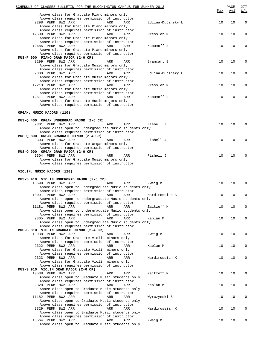| SCHEDULE OF CLASSES BULLETIN FOR THE BLOOMINGTON CAMPUS FOR SUMMER 2013                      |     |                   | Max | PAGE<br>Avl | 277<br>W/L  |
|----------------------------------------------------------------------------------------------|-----|-------------------|-----|-------------|-------------|
| Above class for Graduate Piano minors only                                                   |     |                   |     |             |             |
| Above class requires permission of instructor<br>9298 PERM 8W2 ARR<br>ARR                    | ARR | Edlina-Dubinsky L | 10  | 10          | $\mathbf 0$ |
| Above class for Graduate Piano minors only                                                   |     |                   |     |             |             |
| Above class requires permission of instructor                                                |     |                   |     |             |             |
| 12509 PERM 8W2 ARR<br>ARR                                                                    | ARR | Pressler M        | 10  | 10          | $\mathbf 0$ |
| Above class for Graduate Piano minors only                                                   |     |                   |     |             |             |
| Above class requires permission of instructor                                                |     |                   |     |             |             |
| 12685 PERM 8W2 ARR<br>ARR                                                                    | ARR | Naoumoff E        | 10  | 10          | O           |
| Above class for Graduate Piano minors only                                                   |     |                   |     |             |             |
| Above class requires permission of instructor<br>MUS-P 900 PIANO GRAD MAJOR (2-6 CR)         |     |                   |     |             |             |
| 9299 PERM 8W2 ARR<br>ARR                                                                     | ARR | Brancart E        | 10  | 10          | 0           |
| Above class for Graduate Music majors only                                                   |     |                   |     |             |             |
| Above class requires permission of instructor                                                |     |                   |     |             |             |
| 9300 PERM 8W2 ARR<br>ARR                                                                     | ARR | Edlina-Dubinsky L | 10  | 10          | $\mathbf 0$ |
| Above class for Graduate Music majors only                                                   |     |                   |     |             |             |
| Above class requires permission of instructor                                                |     |                   |     |             |             |
| 12213 PERM 8W2 ARR<br>ARR                                                                    | ARR | Pressler M        | 10  | 10          | $\mathbf 0$ |
| Above class for Graduate Music majors only<br>Above class requires permission of instructor  |     |                   |     |             |             |
| 12511 PERM 8W2 ARR<br>ARR                                                                    | ARR | Naoumoff E        | 10  | 10          | 0           |
| Above class for Graduate Music majors only                                                   |     |                   |     |             |             |
| Above class requires permission of instructor                                                |     |                   |     |             |             |
|                                                                                              |     |                   |     |             |             |
| ORGAN: MUSIC MAJORS (110)                                                                    |     |                   |     |             |             |
|                                                                                              |     |                   |     |             |             |
| MUS-Q 400 ORGAN UNDERGRAD MAJOR (2-6 CR)                                                     |     |                   |     |             |             |
| 9301 PERM 8W2 ARR<br>ARR                                                                     | ARR | Fishell J         | 10  | 10          |             |
| Above class open to Undergraduate Music students only                                        |     |                   |     |             |             |
| Above class requires permission of instructor                                                |     |                   |     |             |             |
| MUS-Q 800 ORGAN GRADUATE MINOR (2-4 CR)<br>9303 PERM 8W2 ARR<br>ARR                          | ARR | Fishell J         | 10  | 10          |             |
| Above class for Graduate Organ minors only                                                   |     |                   |     |             |             |
| Above class requires permission of instructor                                                |     |                   |     |             |             |
| MUS-Q 900 ORGAN GRAD MAJOR (2-6 CR)                                                          |     |                   |     |             |             |
| 9304 PERM 8W2 ARR<br>ARR                                                                     | ARR | Fishell J         | 10  | 10          |             |
| Above class for Graduate Music majors only                                                   |     |                   |     |             |             |
| Above class requires permission of instructor                                                |     |                   |     |             |             |
|                                                                                              |     |                   |     |             |             |
| VIOLIN: MUSIC MAJORS (120)                                                                   |     |                   |     |             |             |
| MUS-S 410 VIOLIN UNDERGRAD MAJOR (2-6 CR)                                                    |     |                   |     |             |             |
| 10699 PERM 8W2 ARR<br>ARR                                                                    | ARR | Zweig M           | 10  | 10          | O           |
| Above class open to Undergraduate Music students only                                        |     |                   |     |             |             |
| Above class requires permission of instructor                                                |     |                   |     |             |             |
| 10091 PERM 8W2 ARR<br>ARR                                                                    | ARR | Mardirossian K    | 10  | 10          | $\Omega$    |
| Above class open to Undergraduate Music students only                                        |     |                   |     |             |             |
| Above class requires permission of instructor                                                |     |                   |     |             |             |
| 11181 PERM 8W2 ARR<br>ARR                                                                    | ARR | Zaitzeff M        | 10  | 10          | $\mathbf 0$ |
| Above class open to Undergraduate Music students only                                        |     |                   |     |             |             |
| Above class requires permission of instructor<br>9305 PERM 8W2 ARR<br>ARR                    | ARR | Kaplan M          | 10  | 10          | 0           |
| Above class open to Undergraduate Music students only                                        |     |                   |     |             |             |
| Above class requires permission of instructor                                                |     |                   |     |             |             |
| MUS-S 810 VIOLIN GRADUATE MINOR (2-4 CR)                                                     |     |                   |     |             |             |
| 10938 PERM 8W2 ARR<br>ARR                                                                    | ARR | Zweig M           | 10  | 10          | $\mathbf 0$ |
| Above class for Graduate Violin minors only                                                  |     |                   |     |             |             |
| Above class requires permission of instructor                                                |     |                   |     |             |             |
| 9322 PERM 8W2 ARR<br>ARR                                                                     | ARR | Kaplan M          | 10  | 10          | $\mathbf 0$ |
| Above class for Graduate Violin minors only                                                  |     |                   |     |             |             |
| Above class requires permission of instructor                                                |     |                   |     |             |             |
| 9323 PERM 8W2 ARR<br>ARR                                                                     | ARR | Mardirossian K    | 10  | 10          | 0           |
| Above class for Graduate Violin minors only<br>Above class requires permission of instructor |     |                   |     |             |             |
| MUS-S 910 VIOLIN GRAD MAJOR (2-6 CR)                                                         |     |                   |     |             |             |
| 10538 PERM 8W2 ARR<br>ARR                                                                    | ARR | Zaitzeff M        | 10  | 10          | 0           |
| Above class open to Graduate Music students only                                             |     |                   |     |             |             |
| Above class requires permission of instructor                                                |     |                   |     |             |             |
| 9328 PERM 8W2 ARR<br>ARR                                                                     | ARR | Kaplan M          | 10  | 10          | 0           |
| Above class open to Graduate Music students only                                             |     |                   |     |             |             |
| Above class requires permission of instructor                                                |     |                   |     |             |             |
| 11182 PERM 8W2 ARR<br>ARR                                                                    | ARR | Wyrczynski S      | 10  | 10          | 0           |
| Above class open to Graduate Music students only                                             |     |                   |     |             |             |
| Above class requires permission of instructor                                                |     |                   |     |             |             |
| 9329 PERM 8W2 ARR<br>ARR<br>Above class open to Graduate Music students only                 | ARR | Mardirossian K    | 10  | 10          | 0           |
| Above class requires permission of instructor                                                |     |                   |     |             |             |
| 10564 PERM 8W2 ARR<br>ARR                                                                    | ARR | Zweig M           | 10  | 10          | O           |
| Above class open to Graduate Music students only                                             |     |                   |     |             |             |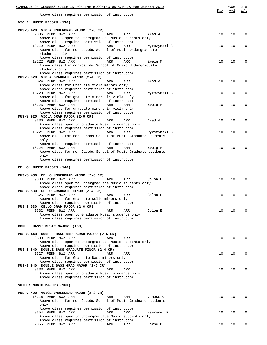| SCHEDULE OF CLASSES BULLETIN FOR THE BLOOMINGTON CAMPUS FOR SUMMER 2013                                 |     | PAGE | 278      |
|---------------------------------------------------------------------------------------------------------|-----|------|----------|
| Above class requires permission of instructor                                                           | Max | Avl  | W/L      |
| VIOLA: MUSIC MAJORS (130)                                                                               |     |      |          |
| MUS-S 420 VIOLA UNDERGRAD MAJOR (2-6 CR)                                                                |     |      |          |
| 9306 PERM 8W2 ARR<br>ARR<br>ARR<br>Arad A                                                               | 10  | 10   | $\Omega$ |
| Above class open to Undergraduate Music students only<br>Above class requires permission of instructor  |     |      |          |
| 13219 PERM 8W2 ARR<br>ARR<br>ARR<br>Wyrczynski S                                                        | 10  | 10   | 0        |
| Above class for non-Jacobs School of Music Undergraduate                                                |     |      |          |
| students only                                                                                           |     |      |          |
| Above class requires permission of instructor                                                           |     |      |          |
| 13222 PERM 8W2 ARR<br>ARR<br>ARR<br>Zweig M<br>Above class for non-Jacobs School of Music Undergraduate | 10  | 10   | $\Omega$ |
| students only                                                                                           |     |      |          |
| Above class requires permission of instructor                                                           |     |      |          |
| MUS-S 820 VIOLA GRADUATE MINOR (2-4 CR)                                                                 |     |      |          |
| 9324 PERM 8W2 ARR<br>Arad A<br>ARR<br>ARR<br>Above class for Graduate Viola minors only                 | 10  | 10   | 0        |
| Above class requires permission of instructor                                                           |     |      |          |
| 13220 PERM 8W2 ARR<br>ARR<br>ARR<br>Wyrczynski S                                                        | 10  | 10   | 0        |
| Above class for graduate minors in viola only                                                           |     |      |          |
| Above class requires permission of instructor                                                           |     |      |          |
| 13223 PERM 8W2 ARR<br>ARR<br>ARR<br>Zweig M<br>Above class for graduate minors in viola only            | 10  | 10   | 0        |
| Above class requires permission of instructor                                                           |     |      |          |
| MUS-S 920 VIOLA GRAD MAJOR (2-6 CR)                                                                     |     |      |          |
| 9330 PERM 8W2 ARR<br>ARR<br>ARR<br>Arad A                                                               | 10  | 10   | 0        |
| Above class open to Graduate Music students only                                                        |     |      |          |
| Above class requires permission of instructor<br>13221 PERM 8W2 ARR<br>ARR<br>ARR<br>Wyrczynski S       | 10  | 10   | 0        |
| Above class for non-Jacobs School of Music Graduate students                                            |     |      |          |
| only                                                                                                    |     |      |          |
| Above class requires permission of instructor                                                           |     |      |          |
| 13224 PERM 8W2 ARR<br>ARR<br>ARR<br>Zweig M                                                             | 10  | 10   | $\Omega$ |
| Above class for non-Jacobs School of Music Graduate students                                            |     |      |          |
| only<br>Above class requires permission of instructor                                                   |     |      |          |
|                                                                                                         |     |      |          |
| CELLO: MUSIC MAJORS (140)                                                                               |     |      |          |
|                                                                                                         |     |      |          |
| MUS-S 430 CELLO UNDERGRAD MAJOR (2-6 CR)<br>9308 PERM 8W2 ARR<br>ARR<br>Colon E<br>ARR                  | 10  | 10   | $\Omega$ |
| Above class open to Undergraduate Music students only                                                   |     |      |          |
| Above class requires permission of instructor                                                           |     |      |          |
| MUS-S 830 CELLO GRADUATE MINOR (2-4 CR)                                                                 |     |      |          |
| 9326 PERM 8W2 ARR<br>Colon E<br>ARR<br>ARR                                                              | 10  | 10   | 0        |
| Above class for Graduate Cello minors only<br>Above class requires permission of instructor             |     |      |          |
| MUS-S 930 CELLO GRAD MAJOR (2-6 CR)                                                                     |     |      |          |
| 9332 PERM 8W2 ARR<br>Colon E<br>ARR<br>ARR                                                              | 10  | 10   | $\Omega$ |
| Above class open to Graduate Music students only                                                        |     |      |          |
| Above class requires permission of instructor                                                           |     |      |          |
| DOUBLE BASS: MUSIC MAJORS (150)                                                                         |     |      |          |
|                                                                                                         |     |      |          |
| MUS-S 440 DOUBLE BASS UNDERGRAD MAJOR (2-6 CR)                                                          |     |      |          |
| 9309 PERM 8W2 ARR<br>ARR<br>ARR                                                                         | 10  | 10   | $\Omega$ |
| Above class open to Undergraduate Music students only                                                   |     |      |          |
| Above class requires permission of instructor<br>MUS-S 840 DOUBLE BASS GRADUATE MINOR (2-4 CR)          |     |      |          |
| 9327 PERM 8W2 ARR<br>ARR<br>ARR                                                                         | 10  | 10   | $\Omega$ |
| Above class for Graduate Bass minors only                                                               |     |      |          |
| Above class requires permission of instructor                                                           |     |      |          |
| MUS-S 940 DOUBLE BASS GRAD MAJOR (2-6 CR)                                                               |     |      |          |
| 9333 PERM 8W2 ARR<br>ARR<br>ARR                                                                         | 10  | 10   | $\Omega$ |
| Above class open to Graduate Music students only<br>Above class requires permission of instructor       |     |      |          |
|                                                                                                         |     |      |          |
| VOICE: MUSIC MAJORS (160)                                                                               |     |      |          |
|                                                                                                         |     |      |          |
| MUS-V 400 VOICE UNDERGRAD MAJOR (2-3 CR)<br>13216 PERM 8W2 ARR<br>ARR<br>ARR<br>Vaness C                | 10  | 10   | 0        |
| Above class for non-Jacobs School of Music Graduate students                                            |     |      |          |
| only                                                                                                    |     |      |          |
| Above class requires permission of instructor                                                           |     |      |          |
| 9354 PERM 8W2 ARR<br>ARR<br>ARR<br>Havranek P                                                           | 10  | 10   | $\Omega$ |
| Above class open to Undergraduate Music students only                                                   |     |      |          |
| Above class requires permission of instructor<br>9355 PERM 8W2 ARR<br>ARR<br>ARR<br>Horne B             | 10  | 10   | 0        |
|                                                                                                         |     |      |          |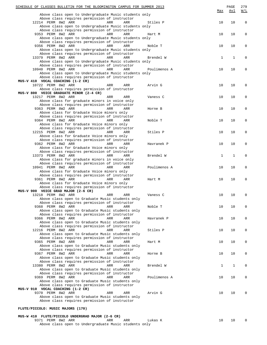| SCHEDULE OF CLASSES BULLETIN FOR THE BLOOMINGTON CAMPUS FOR SUMMER 2013                   |              |              | PAGE<br>Avl  | 279<br><u>W/L</u> |
|-------------------------------------------------------------------------------------------|--------------|--------------|--------------|-------------------|
| Above class open to Undergraduate Music students only                                     |              | Max          |              |                   |
| Above class requires permission of instructor                                             |              |              |              |                   |
| 12214 PERM 8W2 ARR<br>ARR<br>ARR<br>Above class open to Undergraduate Music students only | Stiles P     | 10           | 10           | $\mathbf 0$       |
| Above class requires permission of instructor                                             |              |              |              |                   |
| 9353 PERM 8W2 ARR<br>ARR<br>ARR                                                           | Hart M       | 10           | 10           | 0                 |
| Above class open to Undergraduate Music students only                                     |              |              |              |                   |
| Above class requires permission of instructor<br>9356 PERM 8W2 ARR<br>ARR<br>ARR          | Noble T      | 10           | 10           | 0                 |
| Above class open to Undergraduate Music students only                                     |              |              |              |                   |
| Above class requires permission of instructor                                             |              |              |              |                   |
| 13379 PERM 8W2 ARR<br>ARR<br>ARR<br>Above class open to Undergraduate Music students only | Brendel W    | 1            | $\mathbf{1}$ | 0                 |
| Above class requires permission of instructor                                             |              |              |              |                   |
| 10940 PERM 8W2 ARR<br>ARR<br>ARR                                                          | Poulimenos A | 10           | 10           | 0                 |
| Above class open to Undergraduate Music students only                                     |              |              |              |                   |
| Above class requires permission of instructor<br>MUS-V 410 VOCAL COACHING (1-2 CR)        |              |              |              |                   |
| 10722 PERM 8W2 ARR<br>ARR<br>ARR                                                          | Arvin G      | 10           | 10           | 0                 |
| Above class requires permission of instructor                                             |              |              |              |                   |
| MUS-V 800 VOICE GRADUATE MINOR (2-4 CR)<br>13217 PERM 8W2 ARR<br>ARR<br>ARR               | Vaness C     | 10           | 10           | 0                 |
| Above class for graduate minors in voice only                                             |              |              |              |                   |
| Above class requires permission of instructor                                             |              |              |              |                   |
| 9363 PERM 8W2 ARR<br>ARR<br>ARR<br>Above class for Graduate Voice minors only             | Horne B      | 10           | 10           | 0                 |
| Above class requires permission of instructor                                             |              |              |              |                   |
| 9364 PERM 8W2 ARR<br>ARR<br>ARR                                                           | Noble T      | 10           | 10           | 0                 |
| Above class for Graduate Voice minors only                                                |              |              |              |                   |
| Above class requires permission of instructor<br>12215 PERM 8W2 ARR<br>ARR<br>ARR         | Stiles P     | 10           | 10           | 0                 |
| Above class for Graduate Voice minors only                                                |              |              |              |                   |
| Above class requires permission of instructor                                             |              |              |              |                   |
| 9362 PERM 8W2 ARR<br>ARR<br>ARR<br>Above class for Graduate Voice minors only             | Havranek P   | 10           | 10           | 0                 |
| Above class requires permission of instructor                                             |              |              |              |                   |
| 13373 PERM 8W2 ARR<br>ARR<br>ARR                                                          | Brendel W    | $\mathbf{1}$ | $\mathbf{1}$ | 0                 |
| Above class for graduate minors in voice only                                             |              |              |              |                   |
| Above class requires permission of instructor<br>10941 PERM 8W2 ARR<br>ARR<br>ARR         | Poulimenos A | 10           | 10           | 0                 |
| Above class for Graduate Voice minors only                                                |              |              |              |                   |
| Above class requires permission of instructor                                             |              |              |              |                   |
| 9361 PERM 8W2 ARR<br>ARR<br>ARR<br>Above class for Graduate Voice minors only             | Hart M       | 10           | 10           | 0                 |
| Above class requires permission of instructor                                             |              |              |              |                   |
| MUS-V 900 VOICE GRAD MAJOR (2-6 CR)                                                       |              |              |              |                   |
| 13218 PERM 8W2 ARR<br>ARR<br>ARR<br>Above class open to Graduate Music students only      | Vaness C     | 10           | 10           | 0                 |
| Above class requires permission of instructor                                             |              |              |              |                   |
| 9368 PERM 8W2 ARR<br>ARR<br>ARR                                                           | Noble T      | 10           | 10           | 0                 |
| Above class open to Graduate Music students only                                          |              |              |              |                   |
| Above class requires permission of instructor<br>9366 PERM 8W2 ARR<br>ARR<br>ARR          | Havranek P   | 10           | 10           | 0                 |
| Above class open to Graduate Music students only                                          |              |              |              |                   |
| Above class requires permission of instructor                                             |              |              |              |                   |
| 12216 PERM 8W2 ARR<br>ARR<br>ARR<br>Above class open to Graduate Music students only      | Stiles P     | 10           | 10           | 0                 |
| Above class requires permission of instructor                                             |              |              |              |                   |
| 9365 PERM 8W2 ARR<br>ARR<br>ARR                                                           | Hart M       | 10           | 10           | 0                 |
| Above class open to Graduate Music students only                                          |              |              |              |                   |
| Above class requires permission of instructor<br>9367 PERM 8W2 ARR<br>ARR<br>ARR          | Horne B      | 10           | 10           | 0                 |
| Above class open to Graduate Music students only                                          |              |              |              |                   |
| Above class requires permission of instructor                                             |              |              |              |                   |
| 13380 PERM 8W2 ARR<br>ARR<br>ARR<br>Above class open to Graduate Music students only      | Brendel W    | 1            | 1            | 0                 |
| Above class requires permission of instructor                                             |              |              |              |                   |
| 9369 PERM 8W2 ARR<br>ARR<br>ARR                                                           | Poulimenos A | 10           | 10           | 0                 |
| Above class open to Graduate Music students only                                          |              |              |              |                   |
| Above class requires permission of instructor<br>MUS-V 910 VOCAL COACHING (1-2 CR)        |              |              |              |                   |
| 9370 PERM 8W2 ARR<br>ARR<br>ARR                                                           | Arvin G      | 10           | 10           | 0                 |
| Above class open to Graduate Music students only                                          |              |              |              |                   |
| Above class requires permission of instructor                                             |              |              |              |                   |
| FLUTE/PICCOLO: MUSIC MAJORS (170)                                                         |              |              |              |                   |
| MUS-W 410 FLUTE/PICCOLO UNDERGRAD MAJOR (2-6 CR)                                          |              |              |              |                   |

9371 PERM 8W2 ARR ARR ARR ARR Lukas K 10 10 0 Above class open to Undergraduate Music students only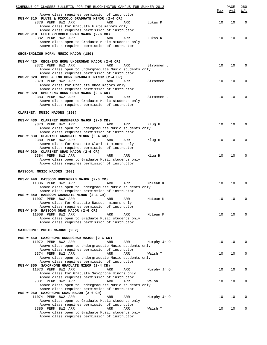| SCHEDULE OF CLASSES BULLETIN FOR THE BLOOMINGTON CAMPUS FOR SUMMER 2013                                |     | PAGE | 280      |
|--------------------------------------------------------------------------------------------------------|-----|------|----------|
| Above class requires permission of instructor                                                          | Max | Avl  | W/L      |
| MUS-W 810 FLUTE & PICCOLO GRADUATE MINOR (2-4 CR)                                                      |     |      |          |
| 9378 PERM 8W2 ARR<br>ARR<br>ARR<br>Lukas K                                                             | 10  | 10   | 0        |
| Above class for Graduate Flute minors only                                                             |     |      |          |
| Above class requires permission of instructor                                                          |     |      |          |
| MUS-W 910 FLUTE/PICCOLO GRAD MAJOR (2-6 CR)<br>9382 PERM 8W2 ARR<br>ARR<br>ARR<br>Lukas K              | 10  | 10   | 0        |
| Above class open to Graduate Music students only                                                       |     |      |          |
| Above class requires permission of instructor                                                          |     |      |          |
|                                                                                                        |     |      |          |
| OBOE/ENGLISH HORN: MUSIC MAJOR (180)                                                                   |     |      |          |
| MUS-W 420 OBOE/ENG HORN UNDERGRAD MAJOR (2-6 CR)                                                       |     |      |          |
| 9372 PERM 8W2 ARR<br>ARR<br>ARR<br>Strommen L                                                          | 10  | 10   | 0        |
| Above class open to Undergraduate Music students only                                                  |     |      |          |
| Above class requires permission of instructor                                                          |     |      |          |
| MUS-W 820 OBOE & ENG HORN GRADUATE MINOR (2-4 CR)                                                      |     |      |          |
| 9379 PERM 8W2 ARR<br>ARR<br>ARR<br>Strommen L<br>Above class for Graduate Oboe majors only             | 10  | 10   | 0        |
| Above class requires permission of instructor                                                          |     |      |          |
| MUS-W 920 OBOE/ENG HORN GRAD MAJOR (2-6 CR)                                                            |     |      |          |
| 9383 PERM 8W2 ARR<br>ARR<br>Strommen L<br>ARR                                                          | 10  | 10   | 0        |
| Above class open to Graduate Music students only                                                       |     |      |          |
| Above class requires permission of instructor                                                          |     |      |          |
| CLARINET: MUSIC MAJORS (190)                                                                           |     |      |          |
|                                                                                                        |     |      |          |
| MUS-W 430 CLARINET UNDERGRAD MAJOR (2-6 CR)                                                            |     |      |          |
| 9373 PERM 8W2 ARR<br>ARR<br>ARR<br>Klug H                                                              | 10  | 10   | 0        |
| Above class open to Undergraduate Music students only<br>Above class requires permission of instructor |     |      |          |
| MUS-W 830 CLARINET GRADUATE MINOR (2-4 CR)                                                             |     |      |          |
| 9380 PERM 8W2 ARR<br>ARR<br>Klug H<br>ARR                                                              | 10  | 10   | 0        |
| Above class for Graduate Clarinet minors only                                                          |     |      |          |
| Above class requires permission of instructor                                                          |     |      |          |
| MUS-W 930 CLARINET GRAD MAJOR (2-6 CR)<br>9384 PERM 8W2 ARR<br>Klug H<br>ARR<br>ARR                    | 10  | 10   | 0        |
| Above class open to Graduate Music students only                                                       |     |      |          |
| Above class requires permission of instructor                                                          |     |      |          |
|                                                                                                        |     |      |          |
| BASSOON: MUSIC MAJORS (200)                                                                            |     |      |          |
| MUS-W 440 BASSOON UNDERGRAD MAJOR (2-6 CR)                                                             |     |      |          |
| 11006 PERM 8W2 ARR<br>ARR<br>ARR<br>McLean K                                                           | 10  | 10   | 0        |
| Above class open to Undergraduate Music students only                                                  |     |      |          |
| Above class requires permission of instructor                                                          |     |      |          |
| MUS-W 840 BASSOON GRADUATE MINOR (2-4 CR)<br>11007 PERM 8W2 ARR                                        |     | 10   | 0        |
| ARR<br>ARR<br>McLean K<br>Above class for Graduate Bassoon minors only                                 | 10  |      |          |
| Above class requires permission of instructor                                                          |     |      |          |
| MUS-W 940 BASSOON GRAD MAJOR (2-6 CR)                                                                  |     |      |          |
| 11008 PERM 8W2 ARR<br>ARR<br>ARR<br>McLean K                                                           | 10  | 10   | $\Omega$ |
| Above class open to Graduate Music students only                                                       |     |      |          |
| Above class requires permission of instructor                                                          |     |      |          |
| SAXOPHONE: MUSIC MAJORS (202)                                                                          |     |      |          |
|                                                                                                        |     |      |          |
| MUS-W 450 SAXOPHONE UNDERGRAD MAJOR (2-6 CR)                                                           |     |      |          |
| 11072 PERM 8W2 ARR<br>ARR<br>ARR<br>Murphy Jr 0                                                        | 10  | 10   | 0        |
| Above class open to Undergraduate Music students only<br>Above class requires permission of instructor |     |      |          |
| 9374 PERM 8W2 ARR<br>ARR<br>ARR<br>Walsh T                                                             | 10  | 10   | $\Omega$ |
| Above class open to Undergraduate Music students only                                                  |     |      |          |
| Above class requires permission of instructor                                                          |     |      |          |
| MUS-W 850 SAXOPHONE GRADUATE MINOR (2-4 CR)                                                            |     |      |          |
| 11073 PERM 8W2 ARR<br>ARR<br>ARR<br>Murphy Jr 0<br>Above class for Graduate Saxophone minors only      | 10  | 10   | 0        |
| Above class requires permission of instructor                                                          |     |      |          |
| 9381 PERM 8W2 ARR<br>ARR<br>ARR<br>Walsh T                                                             | 10  | 10   | 0        |
| Above class open to Undergraduate Music students only                                                  |     |      |          |
| Above class requires permission of instructor                                                          |     |      |          |
| MUS-W 950 SAXOPHONE GRAD MAJOR (2-6 CR)<br>11074 PERM 8W2 ARR<br>ARR<br>ARR<br>Murphy Jr 0             | 10  | 10   | 0        |
| Above class open to Graduate Music students only                                                       |     |      |          |
| Above class requires permission of instructor                                                          |     |      |          |
| 9385 PERM 8W2 ARR<br>Walsh T<br>ARR<br>ARR                                                             | 10  | 10   | 0        |
| Above class open to Graduate Music students only                                                       |     |      |          |
| Above class requires permission of instructor                                                          |     |      |          |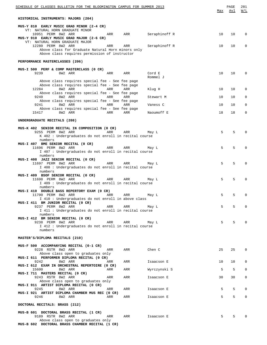| SCHEDULE OF CLASSES BULLETIN FOR THE BLOOMINGTON CAMPUS FOR SUMMER 2013                                                                                                                    | Max | PAGE<br>Avl | 281<br>W/L   |
|--------------------------------------------------------------------------------------------------------------------------------------------------------------------------------------------|-----|-------------|--------------|
| HISTORICAL INSTRUMENTS: MAJORS (204)                                                                                                                                                       |     |             |              |
| MUS-Y 810 EARLY MUSIC GRAD MINOR (2-4 CR)                                                                                                                                                  |     |             |              |
| VT: NATURAL HORN GRADUATE MINOR<br>10951 PERM 8W2 ARR<br>Seraphinoff R<br>ARR<br>ARR<br>MUS-Y 910 EARLY MUSIC GRAD MAJOR (2-6 CR)                                                          | 10  | 10          | 0            |
| VT: NATURAL HORN GRADUATE MAJOR<br>12280 PERM 8W2 ARR<br>Seraphinoff R<br>ARR<br>ARR<br>Above class for Graduate Natural Horn minors only<br>Above class requires permission of instructor | 10  | 10          | 0            |
| PERFORMANCE MASTERCLASSES (206)                                                                                                                                                            |     |             |              |
| MUS-I 500 PERF & COMP MASTERCLASS (0 CR)                                                                                                                                                   |     |             |              |
| 9239<br>8W2 ARR<br>ARR<br>ARR<br>Cord E<br>Rommel J                                                                                                                                        | 10  | 10          | $\Omega$     |
| Above class requires special fee - See fee page<br>Above class requires special fee - See fee page<br>8W2 ARR<br>12284<br>ARR<br>ARR<br>Klug H                                             | 10  | 10          | 0            |
| Above class requires special fee - See fee page<br>9240<br>8W2 ARR<br>ARR<br>ARR<br>Stewart M                                                                                              | 10  | 10          | $\Omega$     |
| Above class requires special fee - See fee page                                                                                                                                            |     |             |              |
| 9241<br>8W2 ARR<br>ARR<br>ARR<br>Vaness C<br>Above class requires special fee - See fee page                                                                                               | 10  | 10          | 0            |
| 15417<br>8W2 ARR<br>ARR<br>ARR<br>Naoumoff E                                                                                                                                               | 18  | 18          | 0            |
| UNDERGRADUATE RECITALS (208)                                                                                                                                                               |     |             |              |
| MUS-K 402 SENIOR RECITAL IN COMPOSITION (0 CR)<br>9255 PERM 8W2 ARR<br>ARR<br>ARR<br>May L<br>K 402 : Undergraduates do not enroll in recital course                                       | 5   | 5           |              |
| numbers                                                                                                                                                                                    |     |             |              |
| MUS-I 407 BME SENIOR RECITAL (0 CR)<br>11696 PERM 8W2 ARR<br>ARR<br>ARR<br>May L<br>I 407 : Undergraduates do not enroll in recital course                                                 | 5   | 5           | $\Omega$     |
| numbers<br>MUS-I 408 JAZZ SENIOR RECITAL (0 CR)                                                                                                                                            |     |             |              |
| 11697 PERM 8W2 ARR<br>ARR<br>ARR<br>May L                                                                                                                                                  | 5   | 5           | 0            |
| I 408 : Undergraduates do not enroll in recital course<br>numbers                                                                                                                          |     |             |              |
| MUS-I 409 BSOF SENIOR RECITAL (0 CR)<br>11698 PERM 8W2 ARR<br>ARR<br>ARR<br>May L<br>I 409 : Undergraduates do not enroll in recital course                                                | 5   | 5           | $\Omega$     |
| numbers<br>MUS-I 410 DOUBLE BASS REPERTORY EXAM (0 CR)                                                                                                                                     |     |             |              |
| 11700 PERM 8W2 ARR<br>ARR<br>ARR<br>May L<br>I 410 : Undergraduates do not enroll in above class                                                                                           | 5   | 5           | $\Omega$     |
| MUS-I 411 BM JUNIOR RECITAL (0 CR)                                                                                                                                                         |     |             |              |
| 9237 PERM 8W2 ARR<br>ARR<br>ARR<br>May L<br>I 411 : Undergraduates do not enroll in recital course                                                                                         | 5   | 5           | $\Omega$     |
| numbers<br>MUS-I 412 BM SENIOR RECITAL (0 CR)                                                                                                                                              |     |             |              |
| 9238 PERM 8W2 ARR<br>ARR<br>ARR<br>May L                                                                                                                                                   | 5   | 5           | 0            |
| I 412 : Undergraduates do not enroll in recital course<br>numbers                                                                                                                          |     |             |              |
| MASTER'S/DIPLOMA RECITALS (210)                                                                                                                                                            |     |             |              |
| MUS-F 500 ACCOMPANYING RECITAL (0-1 CR)                                                                                                                                                    |     |             |              |
| 9228 RSTR 8W2 ARR<br>ARR<br>Chen C<br>ARR<br>Above class open to graduates only<br>MUS-I 611 PERFORMER DIPLOMA RECITAL (0 CR)                                                              | 25  | 25          | 0            |
| 9242<br>8W2 ARR<br>ARR<br>ARR<br>Isaacson E<br>MUS-I 612 EXAM IN ORCHESTRAL REPERTOIRE (0 CR)                                                                                              | 10  | 10          | 0            |
| 15600<br>8W2 ARR<br>Wyrczynski S<br>ARR<br>ARR                                                                                                                                             | 5   | 5           | 0            |
| MUS-I 711 MASTERS RECITAL (0 CR)<br>9243 RSTR 8W2 ARR<br>ARR<br>ARR<br>Isaacson E                                                                                                          | 30  | 30          | 0            |
| Above class open to graduates only<br>MUS-I 911 ARTIST DIPLOMA RECITAL (0 CR)                                                                                                              |     |             |              |
| 9245<br>8W2 ARR<br>ARR<br>Isaacson E<br>ARR<br>MUS-I 921 ARTIST DIPLOMA CHAMBER MUS REC (0 CR)                                                                                             | 5   | 5           | 0            |
| 8W2 ARR<br>ARR<br>9246<br>ARR<br>Isaacson E                                                                                                                                                | 5   | 5           | $\mathbf{0}$ |
| DOCTORAL RECITALS: BRASS (212)                                                                                                                                                             |     |             |              |
| MUS-B 601 DOCTORAL BRASS RECITAL (1 CR)<br>9189 RSTR 8W2 ARR<br>ARR<br>ARR<br>Isaacson E                                                                                                   | 5   | 5           | $\Omega$     |
| Above class open to graduates only<br>MUS-B 602 DOCTORAL BRASS CHAMBER RECITAL (1 CR)                                                                                                      |     |             |              |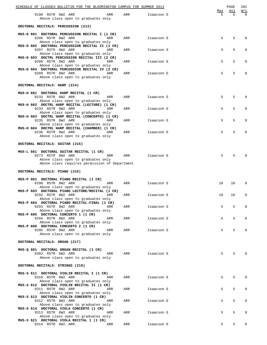| SCHEDULE OF CLASSES BULLETIN FOR THE BLOOMINGTON CAMPUS FOR SUMMER 2013                                           |     |            |          | PAGE     | 282<br>W/L   |
|-------------------------------------------------------------------------------------------------------------------|-----|------------|----------|----------|--------------|
| 9190 RSTR 8W2 ARR<br>ARR<br>Above class open to graduates only                                                    | ARR | Isaacson E | Max<br>5 | Avl<br>5 | <sup>0</sup> |
| DOCTORAL RECITALS: PERCUSSION (213)                                                                               |     |            |          |          |              |
| MUS-D 601 DOCTORAL PERCUSSION RECITAL I (1 CR)<br>9206 RSTR 8W2 ARR<br>ARR<br>Above class open to graduates only  | ARR | Isaacson E | 5        | 5        | $\mathbf 0$  |
| MUS-D 602 DOCTORAL PERCUSSION RECITAL II (1 CR)<br>9207 RSTR 8W2 ARR<br>ARR                                       | ARR | Isaacson E | 5        | 5        | 0            |
| Above class open to graduates only<br>MUS-D 603 DOCTRL PERCUSSION RECITAL III (2 CR)<br>9208 RSTR 8W2 ARR<br>ARR  | ARR | Isaacson E | 5        | 5        | $\mathbf 0$  |
| Above class open to graduates only<br>MUS-D 604 DOCTORAL PERCUSSION RECITAL IV (2 CR)<br>9209 RSTR 8W2 ARR<br>ARR | ARR | Isaacson E | 5        | 5        | 0            |
| Above class open to graduates only                                                                                |     |            |          |          |              |
| DOCTORAL RECITALS: HARP (214)                                                                                     |     |            |          |          |              |
| MUS-H 601 DOCTORAL HARP RECITAL (1 CR)<br>9233 RSTR 8W2 ARR<br>ARR<br>Above class open to graduates only          | ARR | Isaacson E | 5        | 5        | $\Omega$     |
| MUS-H 602 DOCTRL HARP RECITAL (LECTURE) (1 CR)<br>9234 RSTR 8W2 ARR<br>ARR<br>Above class open to graduates only  | ARR | Isaacson E | 5        | 5        | $\mathbf 0$  |
| MUS-H 603 DOCTRL HARP RECITAL (CONCERTO) (1 CR)<br>9235 RSTR 8W2 ARR<br>ARR                                       | ARR | Isaacson E | 5        | 5        | $\mathbf 0$  |
| Above class open to graduates only<br>MUS-H 604 DOCTRL HARP RECITAL (CHAMBER) (1 CR)<br>9236 RSTR 8W2 ARR<br>ARR  | ARR | Isaacson E | 5        | 5        | 0            |
| Above class open to graduates only                                                                                |     |            |          |          |              |
| DOCTORAL RECITALS: GUITAR (215)                                                                                   |     |            |          |          |              |
| MUS-L 661 DOCTORAL GUITAR RECITAL (1 CR)<br>9273 RSTR 8W2 ARR<br>ARR<br>Above class open to graduates only        | ARR | Isaacson E | 5        | 5        | $\Omega$     |
| Above class requires permission of Department                                                                     |     |            |          |          |              |
| DOCTORAL RECITALS: PIANO (216)                                                                                    |     |            |          |          |              |
| MUS-P 601 DOCTORAL PIANO RECITAL (1 CR)<br>9290 RSTR 8W2 ARR<br>ARR                                               | ARR | Isaacson E | 10       | 10       | $\mathbf 0$  |
| Above class open to graduates only<br>MUS-P 603 DOCTORAL PIANO LECTURE/RECITAL (1 CR)<br>9292 RSTR 8W2 ARR<br>ARR | ARR | Isaacson E | 10       | 10       | 0            |
| Above class open to graduates only<br>MUS-P 604 DOCTORAL PIANO RECITAL-FINAL (1 CR)<br>9293 RSTR 8W2 ARR<br>ARR   | ARR | Isaacson E | 5        | 5        | $\mathbf 0$  |
| Above class open to graduates only<br>MUS-P 605 DOCTORAL CONCERTO 1 (1 CR)<br>9294 RSTR 8W2 ARR<br>ARR            | ARR |            | 5        | 5        | 0            |
| Above class open to graduates only<br>MUS-P 606 DOCTORAL CONCERTO 2 (1 CR)                                        |     | Isaacson E |          |          |              |
| 9295 RSTR 8W2 ARR<br>ARR<br>Above class open to graduates only                                                    | ARR | Isaacson E | 5        | 5        | $\Omega$     |
| DOCTORAL RECITALS: ORGAN (217)                                                                                    |     |            |          |          |              |
| MUS-Q 601 DOCTORAL ORGAN RECITAL (1 CR)<br>9302 RSTR 8W2 ARR<br>ARR<br>Above class open to graduates only         | ARR | Isaacson E | 5        | 5        | $\Omega$     |
| DOCTORAL RECITALS: STRINGS (218)                                                                                  |     |            |          |          |              |
| MUS-S 611 DOCTORAL VIOLIN RECITAL I (1 CR)                                                                        |     |            |          |          |              |
| 9310 RSTR 8W2 ARR<br>ARR<br>Above class open to graduates only                                                    | ARR | Isaacson E | 5        | 5        | $\mathbf 0$  |
| MUS-S 612 DOCTORAL VIOLIN RECITAL II (1 CR)<br>9311 RSTR 8W2 ARR<br>ARR<br>Above class open to graduates only     | ARR | Isaacson E | 5        | 5        | 0            |
| MUS-S 613 DOCTORAL VIOLIN CONCERTO (1 CR)<br>9312 RSTR 8W2 ARR<br>ARR<br>Above class open to graduates only       | ARR | Isaacson E | 5        | 5        | 0            |
| MUS-S 614 DOCTORAL VIOLA CONCERTO (1 CR)<br>9313 RSTR 8W2 ARR<br>ARR                                              | ARR | Isaacson E | 5        | 5        | 0            |
| Above class open to graduates only<br>MUS-S 621 DOCTORAL VIOLA RECITAL 1 (1 CR)<br>9314 RSTR 8W2 ARR<br>ARR       | ARR | Isaacson E | 5        | 5        | 0            |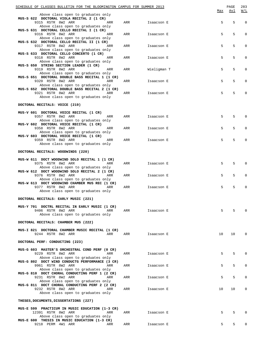| SCHEDULE OF CLASSES BULLETIN FOR THE BLOOMINGTON CAMPUS FOR SUMMER 2013                                            |     |             |     | PAGE  | 283            |
|--------------------------------------------------------------------------------------------------------------------|-----|-------------|-----|-------|----------------|
| Above class open to graduates only<br>MUS-S 622 DOCTORAL VIOLA RECITAL 2 (1 CR)                                    |     |             | Max | Avl   | W/L            |
| 9315 RSTR 8W2 ARR<br>ARR<br>Above class open to graduates only<br>MUS-S 631 DOCTORAL CELLO RECITAL I (1 CR)        | ARR | Isaacson E  | 5   | 5     | $\mathbf 0$    |
| 9316 RSTR 8W2 ARR<br>ARR<br>Above class open to graduates only                                                     | ARR | Isaacson E  | 5   | 5     | $\mathbf 0$    |
| MUS-S 632 DOCTORAL CELLO RECITAL II (1 CR)<br>9317 RSTR 8W2 ARR<br>ARR<br>Above class open to graduates only       | ARR | Isaacson E  | 5   | 5     | $\mathbf 0$    |
| MUS-S 633 DOCTORAL CELLO CONCERTO (1 CR)<br>9318 RSTR 8W2 ARR<br>ARR<br>Above class open to graduates only         | ARR | Isaacson E  | 5   | 5     | $\mathbf 0$    |
| MUS-S 650 STRING SECTION LEADER (1 CR)<br>9319 RSTR 8W2 ARR<br>ARR<br>Above class open to graduates only           | ARR | Wieligman T | 5   | 5     | $\mathbf 0$    |
| MUS-S 651 DOCTORAL DOUBLE BASS RECITAL 1 (1 CR)<br>9320 RSTR 8W2 ARR<br>ARR                                        | ARR | Isaacson E  | 5   | 5     | $\mathbf 0$    |
| Above class open to graduates only<br>MUS-S 652 DOCTORAL DOUBLE BASS RECITAL 2 (1 CR)<br>9321 RSTR 8W2 ARR<br>ARR  | ARR | Isaacson E  | 5   | 5     | $\mathbf 0$    |
| Above class open to graduates only<br>DOCTORAL RECITALS: VOICE (219)                                               |     |             |     |       |                |
| MUS-V 601 DOCTORAL VOICE RECITAL (1 CR)                                                                            |     |             |     |       |                |
| 9357 RSTR 8W2 ARR<br>ARR<br>Above class open to graduates only<br>MUS-V 602 DOCTORAL VOICE RECITAL (1 CR)          | ARR | Isaacson E  | 5   | 5     | $\Omega$       |
| 9358 RSTR 8W2 ARR<br>ARR<br>Above class open to graduates only                                                     | ARR | Isaacson E  | 5   | 5     | $\mathbf 0$    |
| MUS-V 603 DOCTORAL VOICE RECITAL (1 CR)<br>9359 RSTR 8W2 ARR<br>ARR<br>Above class open to graduates only          | ARR | Isaacson E  | 5   | 5     | $\Omega$       |
| DOCTORAL RECITALS: WOODWINDS (220)                                                                                 |     |             |     |       |                |
| MUS-W 611 DOCT WOODWIND SOLO RECITAL 1 (1 CR)<br>9375 RSTR 8W2 ARR<br>ARR                                          | ARR | Isaacson E  | 5   | 5     | $\Omega$       |
| Above class open to graduates only<br>MUS-W 612 DOCT WOODWIND SOLO RECITAL 2 (1 CR)<br>9376 RSTR 8W2 ARR<br>ARR    | ARR | Isaacson E  | 5   | 5     | $\mathbf 0$    |
| Above class open to graduates only<br>MUS-W 613 DOCT WOODWIND CHAMBER MUS REC (1 CR)<br>9377 RSTR 8W2 ARR<br>ARR   | ARR | Isaacson E  | 5   | 5     | $\Omega$       |
| Above class open to graduates only                                                                                 |     |             |     |       |                |
| DOCTORAL RECITALS: EARLY MUSIC (221)                                                                               |     |             |     |       |                |
| MUS-Y 701 DOCTRL RECITAL IN EARLY MUSIC (1 CR)<br>9406 RSTR 8W2 ARR<br>ARR<br>Above class open to graduates only   | ARR | Isaacson E  | 5   | 5     | $\Omega$       |
| DOCTORAL RECITALS: CHAMBER MUS (222)                                                                               |     |             |     |       |                |
| MUS-I 821 DOCTORAL CHAMBER MUSIC RECITAL (1 CR)<br>9244 RSTR 8W2 ARR<br>ARR                                        | ARR | Isaacson E  | 10  | 10    | $\overline{0}$ |
| DOCTORAL PERF: CONDUCTING (223)                                                                                    |     |             |     |       |                |
| MUS-G 603 MASTER'S ORCHESTRAL COND PERF (0 CR)<br>9229 RSTR 8W2 ARR<br>ARR                                         | ARR | Isaacson E  | 5   | 5     | 0              |
| Above class open to graduates only<br>MUS-G 802 DOCT WIND CONDUCTG PERFORMANCE (3 CR)<br>9961 RSTR 8W2 ARR<br>ARR  | ARR | Isaacson E  | 5   | 5     | 0              |
| Above class open to graduates only<br>MUS-G 810 DOCT CHORAL CONDUCTING PERF 1 (2 CR)<br>9231 RSTR 8W2 ARR<br>ARR   | ARR | Isaacson E  | 5   | 5     | $\mathbf 0$    |
| Above class open to graduates only<br>MUS-G 811 DOCT CHORAL CONDUCTING PERF 2 (2 CR)<br>9232 RSTR 8W2 ARR<br>ARR   | ARR | Isaacson E  | 10  | 10    | $\mathbf 0$    |
| Above class open to graduates only<br>THESES, DOCUMENTS, DISSERTATIONS (227)                                       |     |             |     |       |                |
|                                                                                                                    |     |             |     |       |                |
| MUS-E 599 PRACTICUM IN MUSIC EDUCATION (1-3 CR)<br>12391 RSTR 8W2 ARR<br>ARR<br>Above class open to graduates only | ARR | Isaacson E  | 5   | 5     | $\Omega$       |
| MUS-E 600 THESIS IN MUSIC EDUCATION (1-3 CR)<br>9218 PERM 4W1 ARR<br>ARR                                           | ARR | Isaacson E  | 5   | $5 -$ | $\mathbf{0}$   |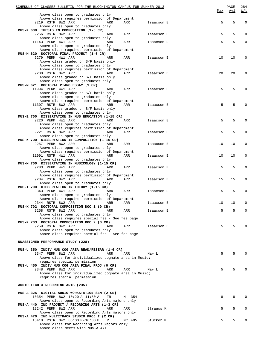| SCHEDULE OF CLASSES BULLETIN FOR THE BLOOMINGTON CAMPUS FOR SUMMER 2013                |        |            |     | PAGE | 284                                               |
|----------------------------------------------------------------------------------------|--------|------------|-----|------|---------------------------------------------------|
| Above class open to graduates only                                                     |        |            | Max | Avl  | $\overline{\texttt{W}}$ / $\overline{\texttt{L}}$ |
| Above class requires permission of Department                                          |        |            |     |      |                                                   |
| 9219 RSTR 8W2 ARR<br>ARR                                                               | ARR    | Isaacson E | 5   | 5    | 0                                                 |
| Above class open to graduates only                                                     |        |            |     |      |                                                   |
| MUS-K 600 THESIS IN COMPOSITION (1-5 CR)<br>9256 RSTR 8W2 ARR<br>ARR                   | ARR    | Isaacson E | 5   | 5    | $\Omega$                                          |
| Above class open to graduates only                                                     |        |            |     |      |                                                   |
| 11143 PERM 4W1 ARR<br>ARR                                                              | ARR    | Isaacson E | 5   | 5    | $\mathbf 0$                                       |
| Above class open to graduates only                                                     |        |            |     |      |                                                   |
| Above class requires permission of Department                                          |        |            |     |      |                                                   |
| MUS-M 620 DOCTORAL FINAL PROJECT (1-6 CR)<br>9279 PERM 4W1 ARR<br>ARR                  | ARR    | Isaacson E | 10  | 10   | 0                                                 |
| Above class graded on S/F basis only                                                   |        |            |     |      |                                                   |
| Above class open to graduates only                                                     |        |            |     |      |                                                   |
| Above class requires permission of Department                                          |        |            |     |      |                                                   |
| 9280 RSTR 8W2 ARR<br>ARR<br>Above class graded on S/F basis only                       | ARR    | Isaacson E | 20  | 20   | 0                                                 |
| Above class open to graduates only                                                     |        |            |     |      |                                                   |
| MUS-M 621 DOCTORAL PIANO ESSAY (1 CR)                                                  |        |            |     |      |                                                   |
| 11994 PERM 4W1 ARR<br>ARR                                                              | ARR    | Isaacson E | 5   | 5    | 0                                                 |
| Above class graded on S/F basis only                                                   |        |            |     |      |                                                   |
| Above class open to graduates only<br>Above class requires permission of Department    |        |            |     |      |                                                   |
| 11307 RSTR 8W2 ARR<br>ARR                                                              | ARR    | Isaacson E | 5   | 5    | 0                                                 |
| Above class graded on S/F basis only                                                   |        |            |     |      |                                                   |
| Above class open to graduates only                                                     |        |            |     |      |                                                   |
| MUS-E 700 DISSERTATION IN MUS EDUCATION (1-15 CR)<br>9220 PERM 4W1 ARR<br>ARR          | ARR    | Isaacson E | 5   | 5    | $\Omega$                                          |
| Above class open to graduates only                                                     |        |            |     |      |                                                   |
| Above class requires permission of Department                                          |        |            |     |      |                                                   |
| 9221 RSTR 8W2 ARR<br>ARR                                                               | ARR    | Isaacson E | 5   | 5    | $\Omega$                                          |
| Above class open to graduates only<br>MUS-K 700 DISSERTATION IN COMPOSITION (1-15 CR)  |        |            |     |      |                                                   |
| 9257 PERM 8W2 ARR<br>ARR                                                               | ARR    | Isaacson E | 10  | 10   | 0                                                 |
| Above class open to graduates only                                                     |        |            |     |      |                                                   |
| Above class requires permission of Department                                          |        |            |     |      |                                                   |
| 11991 RSTR 4W1 ARR<br>ARR<br>Above class open to graduates only                        | ARR    | Isaacson E | 10  | 10   | 0                                                 |
| MUS-M 700 DISSERTATION IN MUSICOLOGY (1-15 CR)                                         |        |            |     |      |                                                   |
| 9283 PERM 4W1 ARR<br>ARR                                                               | ARR    | Isaacson E | 5   | 5    | $\Omega$                                          |
| Above class open to graduates only                                                     |        |            |     |      |                                                   |
| Above class requires permission of Department<br>9284 RSTR 8W2 ARR<br>ARR              | ARR    | Isaacson E | 15  | 15   | $\Omega$                                          |
| Above class open to graduates only                                                     |        |            |     |      |                                                   |
| MUS-T 700 DISSERTATION IN THEORY (1-15 CR)                                             |        |            |     |      |                                                   |
| 9343 PERM 4W1 ARR<br>ARR                                                               | ARR    | Isaacson E | 5   | 5    | $\mathbf 0$                                       |
| Above class open to graduates only<br>Above class requires permission of Department    |        |            |     |      |                                                   |
| 9344 RSTR 8W2 ARR<br>ARR                                                               | ARR    | Isaacson E | 10  | 10   | 0                                                 |
| MUS-K 702 DOCTORAL COMPOSITION DOC 1 (0 CR)                                            |        |            |     |      |                                                   |
| 9258 RSTR 8W2 ARR<br>ARR                                                               | ARR    | Isaacson E | 5   | 5    | $\Omega$                                          |
| Above class open to graduates only<br>Above class requires special fee - See fee page  |        |            |     |      |                                                   |
| MUS-K 703 DOCTORAL COMPOSITION DOC 2 (0 CR)                                            |        |            |     |      |                                                   |
| 9259 RSTR 8W2 ARR<br>ARR                                                               | ARR    | Isaacson E | 5   | 5    |                                                   |
| Above class open to graduates only                                                     |        |            |     |      |                                                   |
| Above class requires special fee - See fee page                                        |        |            |     |      |                                                   |
| UNASSIGNED PERFORMANCE STUDY (228)                                                     |        |            |     |      |                                                   |
|                                                                                        |        |            |     |      |                                                   |
| MUS-U 350 INDIV MUS COG AREA READ/RESEAR (1-6 CR)                                      |        |            |     | 5    |                                                   |
| 9347 PERM 8W2 ARR<br>ARR<br>Above class for individualized cognate area in Music;      | ARR    | May L      | 5   |      |                                                   |
| requires special permission                                                            |        |            |     |      |                                                   |
| MUS-U 450 INDIV MUS COG AREA FINAL PROJ (0 CR)                                         |        |            |     |      |                                                   |
| 9348 PERM 8W2 ARR<br>ARR                                                               | ARR    | May L      | 5   | 5    |                                                   |
| Above class for individualized cognate area in Music;<br>requires special permission   |        |            |     |      |                                                   |
|                                                                                        |        |            |     |      |                                                   |
| AUDIO TECH & RECORDING ARTS (235)                                                      |        |            |     |      |                                                   |
|                                                                                        |        |            |     |      |                                                   |
| MUS-A 325 DIGITAL AUDIO WORKSTATION SEM (2 CR)<br>10354 PERM 8W2 10:20 A-11:50 A<br>TR | M 354  |            | 8   | 8    | 0                                                 |
| Above class open to Recording Arts majors only                                         |        |            |     |      |                                                   |
| MUS-A 440 IND PROJECT / RECORDING ARTS (1-3 CR)                                        |        |            |     |      |                                                   |
| 12242 PERM 8W2 ARR<br>ARR<br>Above class open to Recording Arts majors only            | ARR    | Strauss K  | 5   | 5    | 0                                                 |
| MUS-A 470 IND MULTITRACK STUDIO PROJ I (2 CR)                                          |        |            |     |      |                                                   |
| 15418 RSTR 8W2 06:00 P-10:00 P<br>R                                                    | MC 405 | Stucker M  | 5   | 5    | 0                                                 |
| Above class for Recording Arts Majors only<br>Above class meets with MUS-A 471         |        |            |     |      |                                                   |
|                                                                                        |        |            |     |      |                                                   |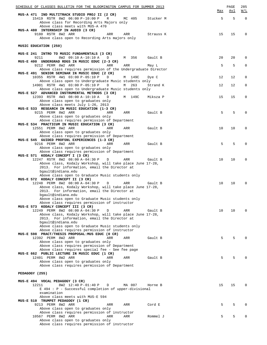| SCHEDULE OF CLASSES BULLETIN FOR THE BLOOMINGTON CAMPUS FOR SUMMER 2013                   |          |           |     | PAGE | 285         |
|-------------------------------------------------------------------------------------------|----------|-----------|-----|------|-------------|
| MUS-A 471 IND MULTITRACK STUDIO PROJ II (2 CR)                                            |          |           | Max | Avl  | W/L         |
| 15419 RSTR 8W2 06:00 P-10:00 P<br>R                                                       | MC 405   | Stucker M | 5   | 5    | $\Omega$    |
| Above class for Recording Arts Majors only                                                |          |           |     |      |             |
| Above class meets with MUS-A 470<br>MUS-A 480 INTERNSHIP IN AUDIO (3 CR)                  |          |           |     |      |             |
| 9180 RSTR 8W2 ARR<br>ARR                                                                  | ARR      | Strauss K | 15  | 15   | $\mathbf 0$ |
| Above class open to Recording Arts majors only                                            |          |           |     |      |             |
| MUSIC EDUCATION (250)                                                                     |          |           |     |      |             |
|                                                                                           |          |           |     |      |             |
| MUS-E 241 INTRO TO MUSIC FUNDAMENTALS (3 CR)                                              |          |           |     |      |             |
| 8W2 09:10 A-10:10 A<br>9211<br>D<br>MUS-E 400 UNDERGRAD RDGS IN MUSIC EDUC (2-3 CR)       | M 356    | Gault B   | 20  | 20   | $\Omega$    |
| 9212 PERM 8W2 ARR<br>ARR                                                                  | ARR      | May L     | 5   | 5    | 0           |
| Above class requires permission of the Undergraduate Director                             |          |           |     |      |             |
| MUS-E 491 SENIOR SEMINAR IN MUSIC EDUC (2 CR)<br>10355 RSTR 4W1 03:00 P-05:10 P<br>$\Box$ | M 149C   |           | 12  | 12   | 0           |
| Above class open to Undergraduate Music students only                                     |          | Dye C     |     |      |             |
| 14901 RSTR 4W1 03:00 P-05:10 P<br>$\Box$                                                  | 263<br>M | Strand K  | 12  | 12   | 0           |
| Above class open to Undergraduate Music students only                                     |          |           |     |      |             |
| MUS-E 527 ADVANCED INSTRUMENTAL METHODS (3 CR)<br>12393 RSTR 4W3 08:00 A-10:10 A<br>D     | M 149C   | Miksza P  | 15  | 15   | 0           |
| Above class open to graduates only                                                        |          |           |     |      |             |
| Above class meets July 1-26, 2013                                                         |          |           |     |      |             |
| MUS-E 533 RESEARCH IN MUSIC EDUCATION (1-3 CR)<br>9215 PERM 8W2 ARR<br>ARR                | ARR      | Gault B   | 5   | 5    | $\Omega$    |
| Above class open to graduates only                                                        |          |           |     |      |             |
| Above class requires permission of Department                                             |          |           |     |      |             |
| MUS-E 534 PRACTICUM IN MUSIC EDUCATION (3 CR)<br>12551 PERM 8W2 ARR<br>ARR                | ARR      | Gault B   | 10  | 10   | 0           |
| Above class open to graduates only                                                        |          |           |     |      |             |
| Above class requires permission of Department                                             |          |           |     |      |             |
| MUS-E 545 GUIDED PROFSNL EXPERIENCES (1-3 CR)<br>9216 PERM 8W2 ARR<br>ARR                 | ARR      | Gault B   | 5   | 5    | $\Omega$    |
| Above class open to graduates only                                                        |          |           |     |      |             |
| Above class requires permission of Department                                             |          |           |     |      |             |
| MUS-E 571 KODALY CONCEPT I (3 CR)<br>12247 RSTR 8W2 08:00 A-04:30 P<br>D                  | ARR      | Gault B   | 10  | 10   | 0           |
| Above class, Kodaly Workshop, will take place June 17-28,                                 |          |           |     |      |             |
| 2013. For information, email the Director at                                              |          |           |     |      |             |
| bgault@indiana.edu                                                                        |          |           |     |      |             |
| Above class open to Graduate Music students only<br>MUS-E 572 KODALY CONCEPT II (3 CR)    |          |           |     |      |             |
| 12248 PERM 8W2 08:00 A-04:30 P<br>D                                                       | ARR      | Gault B   | 10  | 10   | $\Omega$    |
| Above class, Kodaly Workshop, will take place June 17-28,                                 |          |           |     |      |             |
| 2013. For information, email the Director at<br>bgault@indiana.edu                        |          |           |     |      |             |
| Above class open to Graduate Music students only                                          |          |           |     |      |             |
| Above class requires permission of instructor                                             |          |           |     |      |             |
| MUS-E 573 KODALY CONCEPT III (3 CR)<br>12249 PERM 8W2 08:00 A-04:30 P<br>D                | ARR      | Gault B   | 10  | 10   | $\Omega$    |
| Above class, Kodaly Workshop, will take place June 17-28,                                 |          |           |     |      |             |
| 2013. For information, email the Director at                                              |          |           |     |      |             |
| bgault@indiana.edu<br>Above class open to Graduate Music students only                    |          |           |     |      |             |
| Above class requires permission of instructor                                             |          |           |     |      |             |
| MUS-E 598 PRACT/THESIS PROPOSAL: MUS EDUC (0 CR)                                          |          |           |     |      |             |
| 12392 PERM 8W2 ARR<br>ARR<br>Above class open to graduates only                           | ARR      | Gault B   | 5   | 5    | 0           |
| Above class requires permission of Department                                             |          |           |     |      |             |
| Above class requires special fee - See fee page                                           |          |           |     |      |             |
| MUS-E 662 PUBLIC LECTURE IN MUSIC EDUC (1 CR)<br>12401 PERM 8W2 ARR<br>ARR                | ARR      | Gault B   | 5   | 5    | 0           |
| Above class open to graduates only                                                        |          |           |     |      |             |
| Above class requires permission of Department                                             |          |           |     |      |             |
| PEDAGOGY (255)                                                                            |          |           |     |      |             |
|                                                                                           |          |           |     |      |             |
| MUS-E 494 VOCAL PEDAGOGY (3 CR)                                                           |          |           |     |      |             |
| 8W2 12:40 P-01:40 P<br>12211<br>D                                                         | MA 007   | Horne B   | 15  | 15   | $\Omega$    |
| E 494 : P - Successful completion of upper-divisional<br>examination                      |          |           |     |      |             |
| Above class meets with MUS-E 594                                                          |          |           |     |      |             |
| MUS-E 510 TRUMPET PEDAGOGY (1 CR)                                                         |          |           |     |      |             |
| 9213 PERM 8W2 ARR<br>ARR<br>Above class open to graduates only                            | ARR      | Cord E    | 5   | 5    | $\Omega$    |
| Above class requires permission of instructor                                             |          |           |     |      |             |
| 10567 PERM 8W2 ARR<br>ARR                                                                 | ARR      | Rommel J  | 5   | 5    | $\Omega$    |
| Above class open to graduates only<br>Above class requires permission of instructor       |          |           |     |      |             |
|                                                                                           |          |           |     |      |             |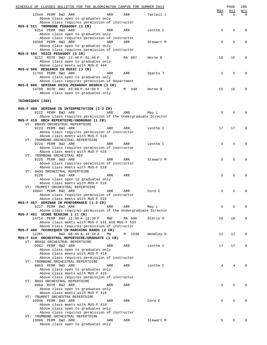|                  | SCHEDULE OF CLASSES BULLETIN FOR THE BLOOMINGTON CAMPUS FOR SUMMER 2013                           |     |        |           |     | PAGE | 286          |
|------------------|---------------------------------------------------------------------------------------------------|-----|--------|-----------|-----|------|--------------|
|                  |                                                                                                   |     |        |           | Max | Avl  | W/L          |
|                  | 12544 PERM 8W2 ARR<br>Above class open to graduates only                                          | ARR | ARR    | Tartell J | 5   | 5    | <sup>0</sup> |
|                  | Above class requires permission of instructor                                                     |     |        |           |     |      |              |
|                  | MUS-E 511 TROMBONE PEDAGOGY (1 CR)                                                                |     |        |           |     |      |              |
|                  | 9214 PERM 8W2 ARR                                                                                 | ARR | ARR    | Lenthe C  | 5   | 5    | 0            |
|                  | Above class open to graduates only                                                                |     |        |           |     |      |              |
|                  | Above class requires permission of instructor                                                     |     |        |           |     |      |              |
|                  | 10568 PERM 8W2 ARR                                                                                | ARR | ARR    | Stewart M | 5   | 5    | $\Omega$     |
|                  | Above class open to graduates only                                                                |     |        |           |     |      |              |
|                  | Above class requires permission of instructor<br>MUS-E 594 VOICE PEDAGOGY (3 CR)                  |     |        |           |     |      |              |
|                  | 9217 RSTR 8W2 12:40 P-01:40 P                                                                     | D   | MA 007 | Horne B   | 15  | 15   | 0            |
|                  | Above class open to graduates only                                                                |     |        |           |     |      |              |
|                  | Above class meets with MUS-E 494                                                                  |     |        |           |     |      |              |
|                  | MUS-U 596 RESEARCH IN MUSIC (3 CR)                                                                |     |        |           |     |      |              |
|                  | 11703 PERM 8W2 ARR                                                                                | ARR | ARR    | Sparks T  | 5   | 5    | $\Omega$     |
|                  | Above class open to graduates only                                                                |     |        |           |     |      |              |
|                  | Above class requires permission of Department                                                     |     |        |           |     |      |              |
|                  | MUS-E 695 SEMINAR VOICE PEDAGOGY RESRCH (3 CR)                                                    |     |        |           |     |      | $\Omega$     |
|                  | 14709 RSTR 8W2 03:00 P-04:00 P<br>Above class open to graduates only                              | D   | M 340  | Horne B   | 15  | 15   |              |
|                  |                                                                                                   |     |        |           |     |      |              |
| TECHNIQUES (260) |                                                                                                   |     |        |           |     |      |              |
|                  |                                                                                                   |     |        |           |     |      |              |
|                  | MUS-F 400 SEMINAR IN INTERPRETATION (2-3 CR)                                                      |     |        |           |     |      |              |
|                  | 9222 PERM 8W2 ARR                                                                                 | ARR | ARR    | May L     | 5   | 5    |              |
|                  | Above class requires permission of the Undergraduate Director                                     |     |        |           |     |      |              |
|                  | MUS-F 419 ORCH REPERTOIRE/UNDRGRAD (1 CR)                                                         |     |        |           |     |      |              |
|                  | VT: BRASS ORCHESTRAL REPERTOIRE                                                                   |     |        |           |     |      |              |
|                  | 9223 PERM 8W2 ARR<br>Above class requires permission of instructor                                | ARR | ARR    | Lenthe C  | 17  | 17   | $\mathbf 0$  |
|                  | Above class meets with MUS-F 519                                                                  |     |        |           |     |      |              |
|                  | VT: TROMBONE ORCHESTRAL REPERTOIRE                                                                |     |        |           |     |      |              |
|                  | 9224 PERM 8W2 ARR                                                                                 | ARR | ARR    | Lenthe C  | 4   | 4    | $\Omega$     |
|                  | Above class requires permission of instructor                                                     |     |        |           |     |      |              |
|                  | Above class meets with MUS-F 519                                                                  |     |        |           |     |      |              |
|                  | VT: TROMBONE ORCHESTRAL REP                                                                       |     |        |           |     |      |              |
|                  | 9225 PERM 8W2 ARR                                                                                 | ARR | ARR    | Stewart M | 5   | 5    | $\Omega$     |
|                  | Above class requires permission of instructor                                                     |     |        |           |     |      |              |
|                  | Above class meets with MUS-F 519                                                                  |     |        |           |     |      |              |
| 9226             | VT: BASS ORCHESTRAL REPERTOIRE<br>8W2 ARR                                                         | ARR | ARR    |           | 5   | 5    | $\Omega$     |
|                  | Above class open to graduates only                                                                |     |        |           |     |      |              |
|                  | Above class meets with MUS-F 519                                                                  |     |        |           |     |      |              |
|                  | VT: TRUMPET ORCHESTRAL REPERTOIRE                                                                 |     |        |           |     |      |              |
|                  | 10947 PERM 8W2 ARR                                                                                | ARR | ARR    | Cord E    | 5   | 5    | $\Omega$     |
|                  | Above class requires permission of instructor                                                     |     |        |           |     |      |              |
|                  | Above class meets with MUS-F 519                                                                  |     |        |           |     |      |              |
|                  | MUS-F 457 SEMINAR IN PERFORMANCE (1-3 CR)                                                         |     |        |           |     |      |              |
|                  | 9227 PERM 8W2 ARR                                                                                 | ARR | ARR    | May L     | 5   | 5    | 0            |
|                  | Above class requires permission of the Undergraduate Director<br>MUS-F 461 SCORE READING 1 (1 CR) |     |        |           |     |      |              |
|                  | 14714 PERM 8W2 11:30 A-12:30 P                                                                    | MWF | MA 006 | DiOrio D  | 10  | 10   | 0            |
|                  | Above class meets with MUS-F 531 and MUS-F 533                                                    |     |        |           |     |      |              |
|                  | Above class requires permission of instructor                                                     |     |        |           |     |      |              |
|                  | MUS-F 466 TECHNIQUES IN MARCHING BANDS (2 CR)                                                     |     |        |           |     |      |              |
| 12361            | 8W2 08:45 A-10:10 A                                                                               | MW  | M 153A | Woodley D | 12  | 12   | 0            |
|                  | MUS-F 519 ORCHESTRAL REPERTOIRE/GRADUATE (1 CR)                                                   |     |        |           |     |      |              |
|                  | VT: BRASS ORCHESTRAL REPERTOIRE<br>9962 PERM 8W2 ARR                                              |     |        |           |     |      | 0            |
|                  | Above class open to graduates only                                                                | ARR | ARR    | Lenthe C  | 17  | 17   |              |
|                  | Above class meets with MUS-F 419                                                                  |     |        |           |     |      |              |
|                  | Above class requires permission of instructor                                                     |     |        |           |     |      |              |
|                  | VT: TROMBONE ORCHESTRAL REPERTOIRE                                                                |     |        |           |     |      |              |
|                  | 9963 PERM 8W2 ARR                                                                                 | ARR | ARR    | Lenthe C  | 4   | 4    |              |
|                  | Above class open to graduates only                                                                |     |        |           |     |      |              |
|                  | Above class meets with MUS-F 419                                                                  |     |        |           |     |      |              |
|                  | Above class requires permission of instructor                                                     |     |        |           |     |      |              |
|                  | VT: BASS ORCHESTRAL REPERTOIRE<br>9964 RSTR 8W2 ARR                                               |     | ARR    |           | 5   | 5    | $\Omega$     |
|                  | Above class open to graduates only                                                                | ARR |        |           |     |      |              |
|                  | Above class meets with MUS-F 419                                                                  |     |        |           |     |      |              |
|                  | VT: TRUMPET ORCHESTRA REPERTOIRE                                                                  |     |        |           |     |      |              |
|                  | 10948 PERM 8W2 ARR                                                                                | ARR | ARR    | Cord E    | 5   | 5    | $\Omega$     |
|                  | Above class meets with MUS-F 419                                                                  |     |        |           |     |      |              |
|                  | Above class open to graduates only                                                                |     |        |           |     |      |              |
|                  | Above class requires permission of instructor                                                     |     |        |           |     |      |              |
|                  | VT: TROMBONE ORCHESTRAL REPERTOIRE                                                                |     |        |           |     |      |              |
|                  | 13086 PERM 8W2 ARR                                                                                | ARR | ARR    | Stewart M | 5   | 5    | $\Omega$     |
|                  | Above class open to graduates only                                                                |     |        |           |     |      |              |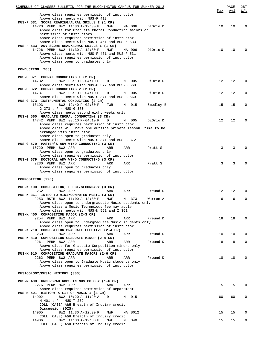| SCHEDULE OF CLASSES BULLETIN FOR THE BLOOMINGTON CAMPUS FOR SUMMER 2013                                      | Max | $\mathop{\mathtt{PAGE}}$<br>Avl | 287<br>W/L |
|--------------------------------------------------------------------------------------------------------------|-----|---------------------------------|------------|
| Above class requires permission of instructor                                                                |     |                                 |            |
| Above class meets with MUS-F 419                                                                             |     |                                 |            |
| MUS-F 531 SCORE READING/AURAL SKILLS I (1 CR)<br>14720 PERM 8W2 11:30 A-12:30 P<br>MWF<br>MA 006<br>DiOrio D | 10  | 10                              | 0          |
| Above class for Graduate Choral Conducting majors or                                                         |     |                                 |            |
| permission of instructors                                                                                    |     |                                 |            |
| Above class requires permission of instructor                                                                |     |                                 |            |
| Above class meets with MUS-F 461 and MUS-5 533<br>MUS-F 533 ADV SCORE READ/AURAL SKILLS I (1 CR)             |     |                                 |            |
| 14726 PERM 8W2 11:30 A-12:30 P<br>MWF<br>DiOrio D<br>MA 006                                                  | 10  | 10                              | 0          |
| Above class meets with MUS-F 461 and MUS-F 531                                                               |     |                                 |            |
| Above class requires permission of instructor                                                                |     |                                 |            |
| Above class open to graduates only                                                                           |     |                                 |            |
| CONDUCTING (265)                                                                                             |     |                                 |            |
|                                                                                                              |     |                                 |            |
| MUS-G 371 CHORAL CONDUCTING I (2 CR)                                                                         |     |                                 |            |
| 14732<br>8W2 03:10 P-04:10 P<br>005<br>DiOrio D<br>D<br>M                                                    | 12  | 12                              | $\Omega$   |
| Above class meets with MUS-G 372 and MUS-G 560<br>MUS-G 372 CHORAL CONDUCTING 2 (2 CR)                       |     |                                 |            |
| 14737<br>8W2 03:10 P-04:10 P<br>005<br>D<br>DiOrio D<br>М                                                    | 12  | 12                              | 0          |
| Above class meets with MUS-G 371 and MUS-G 560                                                               |     |                                 |            |
| MUS-G 373 INSTRUMENTAL CONDUCTING (2 CR)                                                                     |     |                                 |            |
| 13193<br>8W2 12:40 P-02:50 P<br>TWR<br>015<br>Smedley E<br>М                                                 | 15  | 15                              | 0          |
| G 373 : P - MUS-G 370<br>Above class meets second eight weeks only                                           |     |                                 |            |
| MUS-G 560 GRADUATE CHORAL CONDUCTING (3 CR)                                                                  |     |                                 |            |
| 14742 PERM 8W2 03:10 P-04:10 P<br>D<br>005<br>DiOrio D<br>M                                                  | 12  | 12                              | 0          |
| Above class requires permission of instructor                                                                |     |                                 |            |
| Above class will have one outside private lesson; time to be<br>arranged with instructor.                    |     |                                 |            |
| Above class open to graduates only                                                                           |     |                                 |            |
| Above class meets with MUS-G 371 and MUS-G 372                                                               |     |                                 |            |
| MUS-G 579 MASTER'S ADV WIND CONDUCTING (3 CR)                                                                |     |                                 |            |
| 10720 PERM 8W2 ARR<br>ARR<br>ARR<br>Pratt S                                                                  | 3   | 3                               | 0          |
| Above class open to graduates only<br>Above class requires permission of instructor                          |     |                                 |            |
| MUS-G 679 DOCTORAL ADV WIND CONDUCTING (3 CR)                                                                |     |                                 |            |
| 9230 PERM 8W2 ARR<br>ARR<br>ARR<br>Pratt S                                                                   | 3   | 3                               | 0          |
| Above class open to graduates only                                                                           |     |                                 |            |
| Above class requires permission of instructor                                                                |     |                                 |            |
| COMPOSITION (290)                                                                                            |     |                                 |            |
|                                                                                                              |     |                                 |            |
| MUS-K 100 COMPOSITION, ELECT/SECONDARY (3 CR)                                                                |     |                                 |            |
| 9252<br>8W2 ARR<br>ARR<br>Freund D<br>ARR<br>MUS-K 361 INTRO TO MIDI/COMPUTER MUSIC (3 CR)                   | 12  | 12                              | $\Omega$   |
| 9253 RSTR 8W2 11:00 A-12:30 P<br>373<br>MWF<br>Warren A<br>M                                                 | 6   | 6                               | U          |
| Above class open to Undergraduate Music students only                                                        |     |                                 |            |
| Above class a Music Technology fee may apply                                                                 |     |                                 |            |
| Above class meets with MUS-N 561 and Z 361                                                                   |     |                                 |            |
| MUS-K 400 COMPOSITION MAJOR (2-3 CR)<br>9254 PERM 8W2 ARR<br>ARR<br>ARR<br>Freund D                          | 18  | 18                              | $\Omega$   |
| Above class open to Undergraduate Music students only                                                        |     |                                 |            |
| Above class requires permission of instructor                                                                |     |                                 |            |
| MUS-K 710 COMPOSITION GRADUATE ELECTIVE (2-4 CR)                                                             |     |                                 |            |
| 9260<br>8W2 ARR<br>ARR<br>ARR<br>Freund D<br>MUS-K 810 COMPOSITION GRADUATE MINOR (2-4 CR)                   | 10  | 10                              | 0          |
| 9261 PERM 8W2 ARR<br>ARR<br>ARR<br>Freund D                                                                  | 18  | 18                              | 0          |
| Above class for Graduate Composition minors only                                                             |     |                                 |            |
| Above class requires permission of instructor                                                                |     |                                 |            |
| MUS-K 910 COMPOSITION GRADUATE MAJORS (2-6 CR)                                                               |     |                                 |            |
| 9262 PERM 8W2 ARR<br>ARR<br>ARR<br>Freund D<br>Above class open to Graduate Music students only              | 18  | 18                              | 0          |
| Above class requires permission of instructor                                                                |     |                                 |            |
|                                                                                                              |     |                                 |            |
| MUSICOLOGY/MUSIC HISTORY (300)                                                                               |     |                                 |            |
| MUS-M 400 UNDERGRAD RDGS IN MUSICOLOGY (1-6 CR)                                                              |     |                                 |            |
| 9276 PERM 8W2 ARR<br>ARR<br>ARR                                                                              | 5   | 5                               |            |
| Above class requires permission of Department                                                                |     |                                 |            |
| MUS-M 401 HISTORY & LIT OF MUSIC I (4 CR)                                                                    |     |                                 |            |
| 14902<br>8W2 10:20 A-11:20 A<br>015<br>D<br>M                                                                | 60  | 60                              | 0          |
| M 401 : P - MUS-T 252                                                                                        |     |                                 |            |
| COLL (CASE) A&H Breadth of Inquiry credit<br>Discussion (DIS)                                                |     |                                 |            |
| 14905<br>8W2 11:30 A-12:30 P<br>MA B012<br>MWF                                                               | 15  | 15                              | 0          |
| COLL (CASE) A&H Breadth of Inquiry credit                                                                    |     |                                 |            |
| 14906<br>8W2 11:30 A-12:30 P<br>MWF<br>340<br>М                                                              | 15  | 15                              | 0          |
| COLL (CASE) A&H Breadth of Inquiry credit                                                                    |     |                                 |            |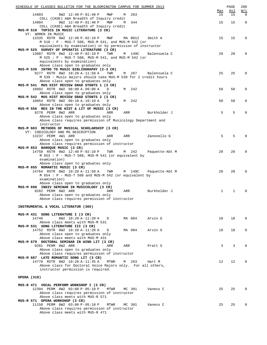|             | SCHEDULE OF CLASSES BULLETIN FOR THE BLOOMINGTON CAMPUS FOR SUMMER 2013                              |          |                |           | PAGE        | 288                                                           |
|-------------|------------------------------------------------------------------------------------------------------|----------|----------------|-----------|-------------|---------------------------------------------------------------|
| 14903       | 8W2 12:40 P-01:40 P<br>MWF                                                                           | 263<br>М |                | Max<br>15 | Avl<br>15   | $\overline{\texttt{W}}$ / $\overline{\texttt{L}}$<br>$\Omega$ |
|             | COLL (CASE) A&H Breadth of Inquiry credit                                                            |          |                |           |             |                                                               |
| 14904       | 8W2 12:40 P-01:40 P<br>MWF                                                                           | 344<br>M |                | 15        | 15          | $\overline{0}$                                                |
|             | COLL (CASE) A&H Breadth of Inquiry credit                                                            |          |                |           |             |                                                               |
|             | MUS-M 510 TOPICS IN MUSIC LITERATURE (3 CR)<br>VT: WOMEN IN MUSIC                                    |          |                |           |             |                                                               |
|             | 13335 RSTR 8W2 12:40 P-02:10 P<br>MWF                                                                | MA B012  | Smith A        | 15        | 15          | 0                                                             |
|             | M 510 : P - MUS-T 508, MUS-M 541, and MUS-M 542 (or                                                  |          |                |           |             |                                                               |
|             | equivalents by examination) or by permission of instructor                                           |          |                |           |             |                                                               |
|             | MUS-M 525 SURVEY OF OPERATIC LITERATURE (3 CR)<br>13087 RSTR 8W2 12:40 P-02:10 P<br>TWR              | M 149C   | Balensuela C   | 20        | 20          | $\mathbf 0$                                                   |
|             | M 525 : P - MUS-T 508, MUS-M 541, and MUS-M 542 (or                                                  |          |                |           |             |                                                               |
|             | equivalents by examination)                                                                          |          |                |           |             |                                                               |
|             | Above class open to graduates only                                                                   |          |                |           |             |                                                               |
|             | MUS-M 539 INTRO TO MUSIC BIBLIOGRAPHY (2-3 CR)                                                       |          |                |           |             |                                                               |
|             | 9277 RSTR 8W2 10:20 A-11:50 A<br>TWR<br>M 539: Music majors should take MUS-M 539 for 2 credit hours | M 267    | Balensuela C   | 25        | 25          | 0                                                             |
|             | Above class open to graduates only                                                                   |          |                |           |             |                                                               |
|             | MUS-M 541 MUS HIST REVIEW GRAD STDNTS 1 (3 CR)                                                       |          |                |           |             |                                                               |
|             | 10892 RSTR 8W2 08:00 A-09:00 A<br>D                                                                  | M 242    |                | 50        | 50          | $\mathbf 0$                                                   |
|             | Above class open to graduates only<br>MUS-M 542 MUS HIST REVIEW GRAD STDNTS 2 (3 CR)                 |          |                |           |             |                                                               |
|             | 10854 RSTR 8W2 09:10 A-10:10 A<br>D                                                                  | M 242    |                | 50        | 50          | $\mathbf 0$                                                   |
|             | Above class open to graduates only                                                                   |          |                |           |             |                                                               |
|             | MUS-M 556 RES IN THE HIST & LIT OF MUSIC (3 CR)                                                      |          |                |           |             |                                                               |
|             | 9278 PERM 8W2 ARR<br>ARR                                                                             | ARR      | Burkholder J   | 5         | 5           | $\Omega$                                                      |
|             | Above class open to graduates only<br>Above class requires permission of Musicology Department and   |          |                |           |             |                                                               |
|             | instructor                                                                                           |          |                |           |             |                                                               |
|             | MUS-M 603 METHODS OF MUSICAL SCHOLARSHIP (3 CR)                                                      |          |                |           |             |                                                               |
|             | VT: CODICOLOGY AND MS DESCRIPTION<br>13237 PERM 4W1 ARR<br>ARR                                       | ARR      | Zanovello G    | 5         | 5           | $\Omega$                                                      |
|             | Above class open to graduates only                                                                   |          |                |           |             |                                                               |
|             | Above class requires permission of instructor                                                        |          |                |           |             |                                                               |
|             | MUS-M 653 BAROQUE MUSIC (3 CR)                                                                       |          |                |           |             |                                                               |
|             | 14758 RSTR 8W2 12:40 P-02:10 P<br>TWR                                                                | M 242    | Paquette-Abt M | 20        | 20          | $\mathbf 0$                                                   |
|             | M 653 : P - MUS-T 508, MUS-M 541 (or equivalent by<br>examination)                                   |          |                |           |             |                                                               |
|             | Above class open to graduates only                                                                   |          |                |           |             |                                                               |
|             | MUS-M 655 ROMANTIC MUSIC (3 CR)                                                                      |          |                |           |             |                                                               |
|             | 14764 RSTR 8W2 10:20 A-11:50 A TWR                                                                   | M 149C   | Paquette-Abt M | 20        | 20          | $\Omega$                                                      |
|             | M 654 : P - MUS-T 508 and MUS-M 542 (or equivalent by<br>examination)                                |          |                |           |             |                                                               |
|             | Above class open to graduates only                                                                   |          |                |           |             |                                                               |
|             | MUS-M 698 INDIV SEMINAR IN MUSICOLOGY (3 CR)                                                         |          |                |           |             |                                                               |
|             | 9282 PERM 8W2 ARR<br>ARR                                                                             | ARR      | Burkholder J   | 1         | $\mathbf 1$ | $\mathbf 0$                                                   |
|             | Above class open to graduates only<br>Above class requires permission of instructor                  |          |                |           |             |                                                               |
|             |                                                                                                      |          |                |           |             |                                                               |
|             | INSTRUMENTAL & VOCAL LITERATUR (305)                                                                 |          |                |           |             |                                                               |
|             | MUS-M 431 SONG LITERATURE I (3 CR)                                                                   |          |                |           |             |                                                               |
| 14746       | 8W2 10:20 A-11:20 A<br>D                                                                             | MA 004   | Arvin G        | 18        | 18          | $\mathbf 0$                                                   |
|             | Above class meets with MUS-M 531                                                                     |          |                |           |             |                                                               |
|             | MUS-M 531 SONG LITERATURE III (3 CR)                                                                 |          |                |           |             |                                                               |
|             | 14752 RSTR 8W2 10:20 A-11:20 A<br>D                                                                  | MA 004   | Arvin G        | 18        | 18          | 0                                                             |
|             | Above class open to graduates only<br>Above class meets with MUS-M 431                               |          |                |           |             |                                                               |
|             | MUS-M 679 DOCTORAL SEMINAR IN WIND LIT (3 CR)                                                        |          |                |           |             |                                                               |
|             | 9281 PERM 8W2 ARR<br>ARR                                                                             | ARR      | Pratt S        | 3         | 3           | $\Omega$                                                      |
|             | Above class open to graduates only                                                                   |          |                |           |             |                                                               |
|             | Above class requires permission of instructor<br>MUS-M 687 LATE ROMANTIC SONG LIT (3 CR)             |          |                |           |             |                                                               |
|             | 14770 RSTR 8W2 10:20 A-11:35 A<br>MTWR                                                               | M 263    | Hart M         | 12        | 12          | $\mathbf{0}$                                                  |
|             | Above class for Doctoral Voice Majors only. For all others,                                          |          |                |           |             |                                                               |
|             | instructor permission is required.                                                                   |          |                |           |             |                                                               |
| OPERA (310) |                                                                                                      |          |                |           |             |                                                               |
|             |                                                                                                      |          |                |           |             |                                                               |
|             | MUS-R 471 VOCAL PERFORM WORKSHOP I (3 CR)                                                            |          |                |           |             |                                                               |
|             | 12394 PERM 8W2 03:00 P-05:10 P<br>MTWR                                                               | MC 301   | Vaness C       | 25        | 25          | $\Omega$                                                      |
|             | Above class requires permission of instructor<br>Above class meets with MUS-R 571                    |          |                |           |             |                                                               |
|             | MUS-R 571 OPERA WORKSHOP (3 CR)                                                                      |          |                |           |             |                                                               |
|             | 11150 PERM 8W2 03:00 P-05:10 P<br>MTWR                                                               | MC 301   | Vaness C       | 25        | 25          | $\mathbf 0$                                                   |
|             | Above class requires permission of instructor                                                        |          |                |           |             |                                                               |
|             | Above class meets with MUS-R 471                                                                     |          |                |           |             |                                                               |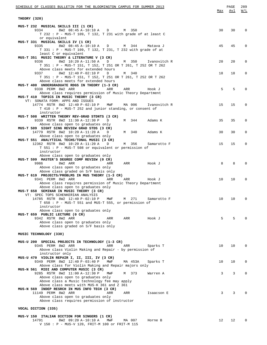| <u>SCHEDULE OF CLASSES BULLETIN FOR THE BLOOMINGTON CAMPUS FOR SUMMER 2013</u>                                                | Max             | PAGE<br>Avl | 289<br>W/L   |
|-------------------------------------------------------------------------------------------------------------------------------|-----------------|-------------|--------------|
|                                                                                                                               |                 |             |              |
| THEORY (320)                                                                                                                  |                 |             |              |
| MUS-T 232 MUSICAL SKILLS III (1 CR)                                                                                           |                 |             |              |
| 8W2 08:45 A-10:10 A D<br>9334<br>M 350                                                                                        | 30              | 30          | 0            |
| T 232 : P - MUS-T 109, T 132, T 231 with grade of at least C<br>or equivalent                                                 |                 |             |              |
| MUS-T 331 MUSICAL SKILLS IV (1 CR)                                                                                            |                 |             |              |
| M 344<br>9335<br>8W2 08:45 A-10:10 A D<br>Matava J                                                                            | 45              | 45          | 0            |
| T 331 : P - MUS-T 109, T 132, T 231, T 232 with grade of at                                                                   |                 |             |              |
| least C or equivalent<br>MUS-T 351 MUSIC THEORY & LITERATURE V (3 CR)                                                         |                 |             |              |
| 9336<br>8W2 10:20 A-11:50 A<br>M 350<br>D<br>Ivanovitch R                                                                     | 20              | 20          | 0            |
| T 351 : P - MUS-T 151, T 152, T 251 OR T 261, T 252 OR T 262                                                                  |                 |             |              |
| Above class meets for extended hours<br>8W2 12:40 P-02:10 P<br>9337<br>D<br>M 340                                             | 18              | 18          | 0            |
| T 351 : P - MUS-T 151, T 152, T 251 OR T 261, T 252 OR T 262                                                                  |                 |             |              |
| Above class meets for extended hours                                                                                          |                 |             |              |
| MUS-T 400 UNDERGRADUATE RDGS IN THEORY (1-3 CR)<br>9338 PERM 8W2 ARR<br>ARR<br>ARR<br>Hook J                                  | 5               | 5           | $\Omega$     |
| Above class requires permission of Music Theory Department                                                                    |                 |             |              |
| MUS-T 410 TOPICS IN MUSIC THEORY (3 CR)                                                                                       |                 |             |              |
| VT: SONATA FORM: APPS AND ISSUES                                                                                              |                 |             |              |
| MA 006<br>14774 RSTR 8W2 12:40 P-02:10 P<br>MWF<br>Ivanovitch R<br>$T$ 410 : P - MUS-T 252 and junior standing, or consent of | 15              | 15          | $\mathbf 0$  |
| instructor                                                                                                                    |                 |             |              |
| MUS-T 508 WRITTEN THEORY REV-GRAD STDNTS (3 CR)                                                                               |                 |             |              |
| 9339 RSTR 8W2 11:30 A-12:30 P<br>M 344<br>D<br>Adams K<br>Above class open to graduates only                                  | 35              | 35          | 0            |
| MUS-T 509 SIGHT SING REVIEW GRAD STDS (3 CR)                                                                                  |                 |             |              |
| 14779 RSTR 8W2 10:20 A-11:20 A<br>M 340<br>D<br>Adams K                                                                       | 30              | 30          | 0            |
| Above class open to graduates only                                                                                            |                 |             |              |
| MUS-T 551 ANALYTICAL TECHS/TONAL MUSIC (3 CR)<br>M 356<br>12362 RSTR 8W2 10:20 A-11:20 A<br>D<br>Samarotto F                  | 15              | 15          | $\mathbf 0$  |
| T 551 : P - MUS-T 508 or equivalent or permission of                                                                          |                 |             |              |
| instructor                                                                                                                    |                 |             |              |
| Above class open to graduates only<br>MUS-T 599 MASTER'S DEGREE COMP REVIEW (0 CR)                                            |                 |             |              |
| 9986<br>8W2 ARR<br>ARR<br>ARR<br>Hook J                                                                                       | 8               | 8           | $\Omega$     |
| Above class open to graduates only                                                                                            |                 |             |              |
| Above class graded on S/F basis only                                                                                          |                 |             |              |
| MUS-T 619 PROJECTS/PROBLMS IN MUS THEORY (1-3 CR)<br>9341 PERM 8W2 ARR<br>ARR<br>ARR<br>Hook J                                | 10              | 10          | $\mathbf 0$  |
| Above class requires permission of Music Theory Department                                                                    |                 |             |              |
| Above class open to graduates only                                                                                            |                 |             |              |
| MUS-T 658 SEMINAR IN MUSIC THEORY (3 CR)                                                                                      |                 |             |              |
| VT: SPEC TOPS SCHENKERIAN ANALYSIS<br>271<br>14785 RSTR 8W2 12:40 P-02:10 P<br>MWF<br>Samarotto F<br>M                        | 10 <sup>°</sup> | 10          | 0            |
| $T$ 658 : P - MUS-T 551 and MUS-T 555, or permission of                                                                       |                 |             |              |
| instructor                                                                                                                    |                 |             |              |
| Above class open to graduates only<br>MUS-T 659 PUBLIC LECTURE (0 CR)                                                         |                 |             |              |
| 9342 RSTR 8W2 ARR<br>ARR<br>ARR<br>Hook J                                                                                     | 5               | 5           | $\Omega$     |
| Above class open to graduates only                                                                                            |                 |             |              |
| Above class graded on S/F basis only                                                                                          |                 |             |              |
| MUSIC TECHNOLOGY (330)                                                                                                        |                 |             |              |
|                                                                                                                               |                 |             |              |
| MUS-U 200 SPECIAL PROJECTS IN TECHNOLOGY (1-3 CR)                                                                             |                 |             |              |
| 9345 PERM 8W2 ARR<br>ARR<br>ARR<br>Sparks T<br>Above class Violin Making and Repair - by permission of                        | 10              | 10          | $\mathbf{0}$ |
| instructor only                                                                                                               |                 |             |              |
| MUS-U 470 VIOLIN REPAIR I, II, III, IV (3 CR)                                                                                 |                 |             |              |
| 9349 PERM 8W2 12:40 P-03:40 P<br>MA 453A<br>MWF<br>Sparks T                                                                   | 10              | 10          | 0            |
| Above class for Violin Making and Repair majors only<br>MUS-N 561 MIDI AND COMPUTER MUSIC (3 CR)                              |                 |             |              |
| 9285 RSTR 8W2 11:00 A-12:30 P<br>M 373<br>MWF<br>Warren A                                                                     | 3               | 3           | $\mathbf 0$  |
| Above class open to graduates only                                                                                            |                 |             |              |
| Above class a Music technology fee may apply<br>Above class meets with MUS-K 361 and Z 361                                    |                 |             |              |
| MUS-N 569 INDEP RESRCH IN MUS INFO TECH (3 CR)                                                                                |                 |             |              |
| 11149 PERM 8W2 ARR<br>ARR<br>ARR<br>Isaacson E                                                                                | 3               | 3           | $\mathbf{0}$ |
| Above class open to graduates only                                                                                            |                 |             |              |
| Above class requires permission of instructor                                                                                 |                 |             |              |
| VOCAL DICTION (335)                                                                                                           |                 |             |              |
|                                                                                                                               |                 |             |              |
| MUS-V 150 ITALIAN DICTION FOR SINGERS (1 CR)<br>8W2 09:20 A-10:10 A<br>14791<br>MWF<br>MA 007<br>Horne B                      | 12              | 12          | $\mathbf 0$  |
| V 150 : P - MUS-V 120, FRIT-M 100 or FRIT-M 115                                                                               |                 |             |              |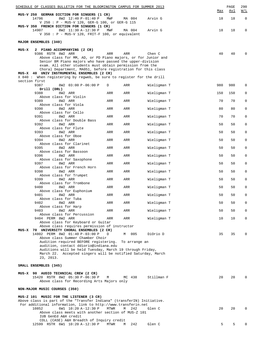|       | SCHEDULE OF CLASSES BULLETIN FOR THE BLOOMINGTON CAMPUS FOR SUMMER 2013                                                  |      |               |             |     | PAGE<br><u>Avl</u> | 290<br>W/L  |
|-------|--------------------------------------------------------------------------------------------------------------------------|------|---------------|-------------|-----|--------------------|-------------|
|       | MUS-V 250 GERMAN DICTION FOR SINGERS (1 CR)                                                                              |      |               |             | Max |                    |             |
|       | 14796<br>8W2 12:40 P-01:40 P<br>V 250 : P - MUS-V 120, GER-G 100, or GER-G 115                                           | MWF  | MA 004        | Arvin G     | 18  | 18                 | $\mathbf 0$ |
|       | MUS-V 350 FRENCH DICTION FOR SINGERS (1 CR)<br>8W2 11:30 A-12:30 P<br>14907                                              | MWF  | MA 004        | Arvin G     | 18  | 18                 | 0           |
|       | V 350 : $P$ - MUS-V 120, FRIT-F 100, or equivalent                                                                       |      |               |             |     |                    |             |
|       | MAJOR ENSEMBLES (340)                                                                                                    |      |               |             |     |                    |             |
| MUS-X | 2 PIANO ACCOMPANYING (2 CR)                                                                                              |      |               |             |     |                    |             |
|       | 9386 RSTR 8W2 ARR<br>Above class for MM, AD, or PD Piano majors, or for Junior and                                       | ARR  | ARR           | Chen C      | 40  | 40                 | $\Omega$    |
|       | Senior BM Piano majors who have passed the upper-division                                                                |      |               |             |     |                    |             |
|       | exam. All other students must obtain permission from the<br>Choral Department, MA051, before registration for this class |      |               |             |     |                    |             |
|       | MUS-X 40 UNIV INSTRUMENTAL ENSEMBLES (2 CR)<br>X 040: When registering by regweb, be sure to register for the drill      |      |               |             |     |                    |             |
|       | section first                                                                                                            |      |               |             |     |                    |             |
|       | 9387<br>8W2 03:00 P-06:00 P<br>Drill (DRL)                                                                               | D    | ARR           | Wieligman T | 980 | 980                | $\mathbf 0$ |
|       | 9388<br>8W2 ARR<br>Above class for Violin                                                                                | ARR  | ARR           | Wieligman T | 150 | 150                | $\mathbf 0$ |
|       | 9389<br>8W2 ARR                                                                                                          | ARR  | ARR           | Wieligman T | 70  | 70                 | $\mathsf 0$ |
|       | Above class for Viola<br>9390<br>8W2 ARR                                                                                 | ARR  | ARR           | Wieligman T | 80  | 80                 | $\mathbf 0$ |
|       | Above class for Cello<br>8W2 ARR<br>9391                                                                                 | ARR  | ARR           | Wieligman T | 70  | 70                 | $\mathsf 0$ |
|       | Above class for Double Bass                                                                                              |      |               |             |     |                    |             |
|       | 9392<br>8W2 ARR<br>Above class for Flute                                                                                 | ARR  | ARR           | Wieligman T | 50  | 50                 | $\mathbf 0$ |
|       | 9393<br>8W2 ARR<br>Above class for Oboe                                                                                  | ARR  | ARR           | Wieligman T | 50  | 50                 | $\mathsf 0$ |
|       | 9394<br>8W2 ARR<br>Above class for Clarinet                                                                              | ARR  | ARR           | Wieligman T | 50  | 50                 | $\mathbf 0$ |
|       | 9395<br>8W2 ARR                                                                                                          | ARR  | ARR           | Wieligman T | 50  | 50                 | $\mathsf 0$ |
|       | Above class for Bassoon<br>9396<br>8W2 ARR                                                                               | ARR  | ARR           | Wieligman T | 50  | 50                 | $\mathbf 0$ |
|       | Above class for Saxophone<br>8W2 ARR<br>9397                                                                             | ARR  | ARR           | Wieligman T | 50  | 50                 | $\mathsf 0$ |
|       | Above class for French Horn                                                                                              |      |               |             |     |                    |             |
|       | 9398<br>8W2 ARR<br>Above class for Trumpet                                                                               | ARR  | ARR           | Wieligman T | 50  | 50                 | 0           |
|       | 8W2 ARR<br>9399<br>Above class for Trombone                                                                              | ARR  | ARR           | Wieligman T | 50  | 50                 | $\mathsf 0$ |
|       | 9400<br>8W2 ARR                                                                                                          | ARR  | ARR           | Wieligman T | 50  | 50                 | 0           |
|       | Above class for Euphonium<br>9401<br>8W2 ARR                                                                             | ARR  | ARR           | Wieligman T | 50  | 50                 | 0           |
|       | Above class for Tuba<br>9402<br>8W2 ARR                                                                                  | ARR  | ARR           | Wieligman T | 50  | 50                 | 0           |
|       | Above class for Harp                                                                                                     |      |               |             |     |                    |             |
|       | 9403<br>8W2 ARR<br>Above class for Percussion                                                                            | ARR  | ARR           | Wieligman T | 50  | 50                 | $\mathbf 0$ |
|       | 9404 PERM 8W2 ARR<br>Above class for Keyboard or Guitar                                                                  | ARR  | ARR           | Wieligman T | 10  | 10                 | 0           |
|       | Above class requires permission of instructor                                                                            |      |               |             |     |                    |             |
|       | MUS-X 70 UNIVERSITY CHORAL ENSEMBLES (2 CR)<br>14802 PERM 8W2 01:40 P-03:00 P                                            | D    | M 005         | DiOrio D    | 35  | 35                 | 0           |
|       | Above class Summer Chamber Choir<br>Audition required BEFORE registering.                                                |      | To arrange an |             |     |                    |             |
|       | audition, contact ddiorio@indiana.edu                                                                                    |      |               |             |     |                    |             |
|       | Auditions will be held Tuesday, March 19 through Friday,<br>March 22. Accepted singers will be notified Saturday, March  |      |               |             |     |                    |             |
|       | 23, 2013.                                                                                                                |      |               |             |     |                    |             |
|       | SMALL ENSEMBLES (345)                                                                                                    |      |               |             |     |                    |             |
|       | MUS-X 90 AUDIO TECHNICAL CREW (2 CR)                                                                                     |      |               |             |     |                    |             |
|       | 15420 RSTR 8W2 05:30 P-06:30 P<br>Above class for Recording Arts Majors only                                             | М    | MC 438        | Stillman F  | 20  | 20                 | $\Omega$    |
|       | NON-MAJOR MUSIC COURSES (350)                                                                                            |      |               |             |     |                    |             |
|       | MUS-Z 101 MUSIC FOR THE LISTENER (3 CR)                                                                                  |      |               |             |     |                    |             |
|       | Above class is part of the "Transfer Indiana" (transferIN) Initiative.                                                   |      |               |             |     |                    |             |
|       | For additional information, link to http://www.transferin.net<br>10852<br>6W1 10:20 A-12:30 P                            | MTWR | 242<br>М      | Glen C      | 20  | 20                 | 0           |
|       | Above class meets with another section of MUS-Z 101<br>IUB GenEd A&H credit                                              |      |               |             |     |                    |             |
|       | COLL (CASE) A&H Breadth of Inquiry credit                                                                                |      |               |             |     | 5                  |             |
|       | 12599 RSTR 6W1 10:20 A-12:30 P                                                                                           | MTWR | 242<br>M      | Glen C      | 5   |                    |             |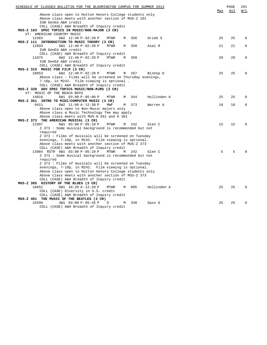| SCHEDULE OF CLASSES BULLETIN FOR THE BLOOMINGTON CAMPUS FOR SUMMER 2013           | Max | PAGE<br>Avl | 291<br>W/L |
|-----------------------------------------------------------------------------------|-----|-------------|------------|
| Above class open to Hutton Honors College students only                           |     |             |            |
| Above class meets with another section of MUS-Z 101                               |     |             |            |
| IUB GenEd A&H credit                                                              |     |             |            |
| COLL (CASE) A&H Breadth of Inquiry credit                                         |     |             |            |
| MUS-Z 103 SPEC TOPICS IN MUSIC/NON-MAJOR (3 CR)                                   |     |             |            |
| VT: AMERICAN COUNTRY MUSIC                                                        |     |             |            |
| 356<br>Grieb S<br>12363<br>6W2 12:40 P-02:20 P<br>MTWR<br>M                       | 25  | 25          | 0          |
| MUS-Z 111 INTRODUCTION TO MUSIC THEORY (3 CR)                                     |     |             |            |
| 12693<br>350<br>Asai R<br>6W1 12:40 P-02:20 P<br><b>MTWR</b><br>M                 | 21  | 21          | $\Omega$   |
| IUB GenEd A&H credit                                                              |     |             |            |
| COLL (CASE) A&H Breadth of Inquiry credit                                         |     |             |            |
| 6W2 12:40 P-02:20 P<br>11075<br>MTWR<br>350<br>M                                  | 20  | 20          | $\Omega$   |
| IUB GenEd A&H credit                                                              |     |             |            |
| COLL (CASE) A&H Breadth of Inquiry credit                                         |     |             |            |
| MUS-Z 315 MUSIC FOR FILM (3 CR)<br>10853<br>6W2 12:40 P-02:20 P<br><b>MTWR</b>    | 25  | 25          | $\Omega$   |
| М<br>267<br>Bishop D<br>Above class: Films will be screened on Thursday evenings, |     |             |            |
| 7-10p, in M242. Film viewing is optional.                                         |     |             |            |
| COLL (CASE) A&H Breadth of Inquiry credit                                         |     |             |            |
| MUS-Z 320 ADV SPEC TOPICS MUSIC/NON-MJRS (3 CR)                                   |     |             |            |
| VT: MUSIC OF THE BEACH BOYS                                                       |     |             |            |
| 14816<br>6W1 03:00 P-05:00 P<br>344<br>Hollinden A<br>MTWR<br>M                   | 25  | 25          | $\Omega$   |
| MUS-Z 361 INTRO TO MIDI/COMPUTER MUSIC (3 CR)                                     |     |             |            |
| 9411<br>8W2 11:00 A-12:30 P<br>MWF<br>373<br>М<br>Warren A                        | 18  | 18          | 0          |
| Above class open to Non-Music majors only                                         |     |             |            |
| Above class a Music Technology fee may apply                                      |     |             |            |
| Above class meets with MUS-N 561 and K 361                                        |     |             |            |
| MUS-Z 373 THE AMERICAN MUSICAL (3 CR)                                             |     |             |            |
| 11997<br>6W1 03:00 P-05:10 P<br><b>MTWR</b><br>242<br>Glen C<br>M                 | 15  | 15          | $\Omega$   |
| Z 373 : Some musical background is recommended but not                            |     |             |            |
| required                                                                          |     |             |            |
| Z 373 : Films of musicals will be screened on Tuesday                             |     |             |            |
| evenings, 7-10p, in M242. Film viewing is optional.                               |     |             |            |
| Above class meets with another section of MUS-Z 373                               |     |             |            |
| COLL (CASE) A&H Breadth of Inquiry credit                                         |     |             |            |
| 13084 RSTR 6W1 03:00 P-05:10 P<br><b>MTWR</b><br>M<br>242<br>Glen C               | 5   | 5           |            |
| Z 373 : Some musical background is recommended but not                            |     |             |            |
| required                                                                          |     |             |            |
| Z 373 : Films of musicals will be screened on Tuesday                             |     |             |            |
| evenings, 7-10p, in M242. Film viewing is optional.                               |     |             |            |
| Above class open to Hutton Honors College students only                           |     |             |            |
| Above class meets with another section of MUS-Z 373                               |     |             |            |
| COLL (CASE) A&H Breadth of Inquiry credit                                         |     |             |            |
| MUS-Z 385 HISTORY OF THE BLUES (3 CR)                                             |     |             |            |
| 10652<br>6W1 10:20 A-12:20 P<br>M<br>005<br>Hollinden A<br>MTWR                   | 25  | 25          | $\Omega$   |
| COLL (CASE) Diversity in U.S. credit                                              |     |             |            |
| COLL (CASE) A&H Breadth of Inquiry credit                                         |     |             |            |
| MUS-Z 401 THE MUSIC OF THE BEATLES (3 CR)<br>15599<br>340<br>Gass G<br>D<br>M     | 25  | 25          | $\Omega$   |
| 4W1 03:00 P-05:45 P<br>COLL (CASE) A&H Breadth of Inquiry credit                  |     |             |            |
|                                                                                   |     |             |            |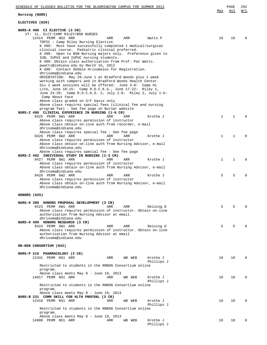| SCHEDULE OF CLASSES BULLETIN FOR THE BLOOMINGTON CAMPUS FOR SUMMER 2013                                                      |              | PAGE         | 292      |
|------------------------------------------------------------------------------------------------------------------------------|--------------|--------------|----------|
| Nursing (NURS)                                                                                                               | Max          | Avl          | W/L      |
| ELECTIVES (020)                                                                                                              |              |              |          |
| NURS-K 490 CI ELECTIVE (3 CR)                                                                                                |              |              |          |
| VT: CL. ELCT: CAMP RILEY/BSN NURSES                                                                                          |              |              |          |
| 12414 PERM NS2 ARR<br>ARR<br>ARR<br>Watts P<br>TOPIC: Camp Riley Nursing Elective                                            | 10           | 10           | $\Omega$ |
| K 490: Must have successfully completed 1 medical/surgical                                                                   |              |              |          |
| clinical course. Pediatric clinical preferred.                                                                               |              |              |          |
| K 490: Open to BSN Nursing majors only. Preference given to                                                                  |              |              |          |
| IUB, IUPUI and IUPUC nursing students.                                                                                       |              |              |          |
| K 490: Obtain class authorization from Prof. Pat Watts.<br>pwatts@indiana.edu by March 15, 2012                              |              |              |          |
| K 490: Contact Debbie Hrisomalos for Registration.                                                                           |              |              |          |
| dhrisoma@indiana.edu                                                                                                         |              |              |          |
| ORIENTATION: May 28-June 1 at Bradford Woods plus 1 week                                                                     |              |              |          |
| working with campers and in Bradford Woods Health Center.                                                                    |              |              |          |
| Six 1 week sessions will be offered: June 3-8: Camp Hi                                                                       |              |              |          |
| Lite, June $10-15$ : Camp R.O.C.K.S., June $17-22$ : Riley 1,<br>June 24-29: Camp R.O.C.K.S. 2, July 1-6: Riley 2, July 1-6: |              |              |          |
| Camp About Face                                                                                                              |              |              |          |
| Above class graded on S/F basis only                                                                                         |              |              |          |
| Above class requires special fees (clinical fee and nursing                                                                  |              |              |          |
| program fee) - See fee page on Bursar website                                                                                |              |              |          |
| NURS-Z 490 CLINICAL EXPERIENCE IN NURSING (1-6 CR)<br>9425 PERM 6W1 ARR<br>ARR<br>Krothe J<br>ARR                            | $\mathbf{1}$ | $\mathbf{1}$ | $\Omega$ |
| Above class requires permission of instructor                                                                                |              |              |          |
| Above class obtain on-line auth from recorder, e-mail                                                                        |              |              |          |
| dhrisoma@indiana.edu                                                                                                         |              |              |          |
| Above class requires special fee - See fee page                                                                              |              |              |          |
| 9426 PERM 6W2 ARR<br>Krothe J<br>ARR<br>ARR<br>Above class requires permission of instructor                                 | $\mathbf 1$  | $\mathbf{1}$ | $\Omega$ |
| Above class obtain on-line auth from Nursing Advisor, e-mail                                                                 |              |              |          |
| dhrisoma@indiana.edu                                                                                                         |              |              |          |
| Above class requires special fee - See fee page                                                                              |              |              |          |
| NURS-Z 492 INDIVIDUAL STUDY IN NURSING (1-3 CR)                                                                              |              |              |          |
| 9427 PERM 6W1 ARR<br>ARR<br>Krothe J<br>ARR<br>Above class requires permission of instructor                                 | $\mathbf{1}$ | $\mathbf{1}$ | $\Omega$ |
| Above class obtain on-line auth from Nursing Advisor, e-mail                                                                 |              |              |          |
| dhrisoma@indiana.edu                                                                                                         |              |              |          |
| 9428 PERM 6W2 ARR<br>Krothe J<br>ARR<br>ARR                                                                                  | 5            | 5            | $\Omega$ |
| Above class requires permission of instructor                                                                                |              |              |          |
| Above class obtain on-line auth from Nursing Advisor, e-mail<br>dhrisoma@indiana.edu                                         |              |              |          |
|                                                                                                                              |              |              |          |
| HONORS (025)                                                                                                                 |              |              |          |
| NURS-H 399 HONORS PROPOSAL DEVELOPMENT (3 CR)                                                                                |              |              |          |
| 9423 PERM 6W1 ARR<br>ARR<br>ARR<br>Reising D                                                                                 | 5            | 5            | $\Omega$ |
| Above class requires permission of instructor. Obtain on-line                                                                |              |              |          |
| authorization from Nursing Advisor at email<br>dhrisoma@indiana.edu                                                          |              |              |          |
| NURS-H 499 HONORS RESEARCH (3 CR)                                                                                            |              |              |          |
| 9424 PERM 6W1 ARR<br>ARR<br>ARR<br>Reising D                                                                                 | 5            | 5            | $\Omega$ |
| Above class requires permission of instructor. Obtain on-line                                                                |              |              |          |
| authorization from Nursing Advisor at email                                                                                  |              |              |          |
| dhrisoma@indiana.edu                                                                                                         |              |              |          |
| RN-BSN CONSORTIUM (042)                                                                                                      |              |              |          |
|                                                                                                                              |              |              |          |
| NURS-P 216 PHARMACOLOGY (3 CR)                                                                                               |              |              |          |
| 12431 PERM NS1 ARR<br>ARR<br>WB WEB<br>Krothe J<br>Phillips J                                                                | 10           | 10           | $\Omega$ |
| Restricted to students in the RNBSN Consortium online                                                                        |              |              |          |
| program.                                                                                                                     |              |              |          |
| Above class meets May 8 - June 19, 2013                                                                                      |              |              |          |
| 14917 PERM NS1 ARR<br>Krothe J<br>ARR<br>WB WEB                                                                              | 10           | 10           | $\Omega$ |
| Phillips J<br>Restricted to students in the RNBSN Consortium online                                                          |              |              |          |
| program.                                                                                                                     |              |              |          |
| Above class meets May 8 - June 19, 2013                                                                                      |              |              |          |
| NURS-B 231 COMM SKILL FOR HLTH PROFSNL (3 CR)                                                                                |              |              |          |
| 12418 PERM NS1 ARR<br>Krothe J<br>ARR<br>WB WEB                                                                              | 10           | 10           | $\Omega$ |
| Phillips J<br>Restricted to students in the RNBSN Consortium online                                                          |              |              |          |
| program.                                                                                                                     |              |              |          |
| Above class meets May 8 - June 19, 2013                                                                                      |              |              |          |
| 14908 PERM NS1 ARR<br>ARR<br>WB WEB<br>Krothe J                                                                              | 10           | 10           | $\Omega$ |
| Phillips J                                                                                                                   |              |              |          |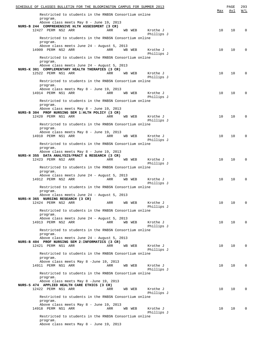| SCHEDULE OF CLASSES BULLETIN FOR THE BLOOMINGTON CAMPUS FOR SUMMER 2013                                                |     | PAGE | 293      |
|------------------------------------------------------------------------------------------------------------------------|-----|------|----------|
| Restricted to students in the RNBSN Consortium online<br>program.                                                      | Max | Avl  | W/L      |
| Above class meets May 8 - June 19, 2013<br>NURS-B 244 COMPREHENSIVE HLTH ASSESSMENT (3 CR)                             |     |      |          |
| 12427 PERM NS2 ARR<br>ARR<br>Krothe J<br>WB WEB                                                                        | 10  | 10   | $\Omega$ |
| Phillips J<br>Restricted to students in the RNBSN Consortium online                                                    |     |      |          |
| program.<br>Above class meets June 24 - August 5, 2013<br>14909 PERM NS2 ARR<br>ARR<br>WB WEB<br>Krothe J              | 10  | 10   | 0        |
| Phillips J<br>Restricted to students in the RNBSN Consortium online                                                    |     |      |          |
| program.<br>Above class meets June 24 - August 5, 2013                                                                 |     |      |          |
| NURS-K 301 COMPLEMENTARY HEALTH THERAPIES (3 CR)<br>12522 PERM NS1 ARR<br>Krothe J<br>ARR<br>WB WEB                    | 10  | 10   | $\Omega$ |
| Phillips J<br>Restricted to students in the RNBSN Consortium online                                                    |     |      |          |
| program.                                                                                                               |     |      |          |
| Above class meets May 8 - June 19, 2013<br>14914 PERM NS1 ARR<br>ARR<br>Krothe J<br>WB WEB                             | 10  | 10   | 0        |
| Phillips J                                                                                                             |     |      |          |
| Restricted to students in the RNBSN Consortium online<br>program.<br>Above class meets May 8 - June 19, 2013           |     |      |          |
| NURS-B 304 PROF NURSING SEM 1: HLTH POLICY (3 CR)                                                                      |     |      |          |
| 12420 PERM NS1 ARR<br>ARR<br>Krothe J<br>WB WEB<br>Phillips J                                                          | 10  | 10   | $\Omega$ |
| Restricted to students in the RNBSN Consortium online<br>program.                                                      |     |      |          |
| Above class meets May 8 - June 19, 2013<br>14910 PERM NS1 ARR<br>WB WEB<br>ARR<br>Krothe J                             | 10  | 10   | $\Omega$ |
| Phillips J<br>Restricted to students in the RNBSN Consortium online<br>program.                                        |     |      |          |
| Above class meets May 8 - June 19, 2013                                                                                |     |      |          |
| NURS-H 355 DATA ANALYSIS/PRACT & RESEARCH (3 CR)<br>12423 PERM NS2 ARR<br>ARR<br>WB WEB<br>Krothe J                    | 10  | 10   | 0        |
| Phillips J<br>Restricted to students in the RNBSN Consortium online                                                    |     |      |          |
| program.<br>Above class meets June 24 - August 5, 2013                                                                 |     |      |          |
| 14912 PERM NS2 ARR<br>ARR<br>WB WEB<br>Krothe J<br>Phillips J                                                          | 10  | 10   | $\Omega$ |
| Restricted to students in the RNBSN Consortium online<br>program.                                                      |     |      |          |
| Above class meets June 24 - August 5, 2013<br>NURS-H 365 NURSING RESEARCH (3 CR)                                       |     |      |          |
| Krothe J<br>12424 PERM NS2 ARR<br>ARR<br>WB WEB<br>Phillips J                                                          | 10  | 10   | 0        |
| Restricted to students in the RNBSN Consortium online<br>program.                                                      |     |      |          |
| Above class meets June 24 - August 5, 2013                                                                             |     |      |          |
| 14913 PERM NS2 ARR<br>ARR<br>WB WEB<br>Krothe J<br>Phillips J                                                          | 10  | 10   | $\Omega$ |
| Restricted to students in the RNBSN Consortium online<br>program.                                                      |     |      |          |
| Above class meets June 24 - August 5, 2013                                                                             |     |      |          |
| NURS-B 404 PROF NURSING SEM 2: INFORMATICS (3 CR)<br>12421 PERM NS1 ARR<br>ARR<br>WB WEB<br>Krothe J                   | 10  | 10   | $\Omega$ |
| Phillips J<br>Restricted to students in the RNBSN Consortium online                                                    |     |      |          |
| program.<br>Above class meets May 8 -June 19, 2013                                                                     |     |      |          |
| 14911 PERM NS1 ARR<br>Krothe J<br>ARR<br>WB WEB<br>Phillips J<br>Restricted to students in the RNBSN Consortium online | 10  | 10   | 0        |
| program.<br>Above class meets May 8 -June 19, 2013                                                                     |     |      |          |
| NURS-S 474 APPLIED HEALTH CARE ETHICS (3 CR)<br>12422 PERM NS1 ARR<br>Krothe J<br>ARR<br>WB WEB                        | 10  | 10   | $\Omega$ |
| Phillips J<br>Restricted to students in the RNBSN Consortium online                                                    |     |      |          |
| program.<br>Above class meets May 8 - June 19, 2013                                                                    |     |      |          |
| 14918 PERM NS1 ARR<br>ARR<br>WB WEB<br>Krothe J<br>Phillips J                                                          | 10  | 10   | 0        |
| Restricted to students in the RNBSN Consortium online<br>program.                                                      |     |      |          |
| Above class meets May 8 - June 19, 2013                                                                                |     |      |          |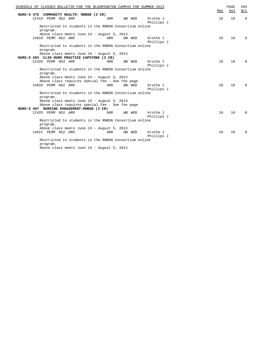| SCHEDULE OF CLASSES BULLETIN FOR THE BLOOMINGTON CAMPUS FOR SUMMER 2013 | Max | PAGE<br>Avl | 294<br>W/L  |
|-------------------------------------------------------------------------|-----|-------------|-------------|
| NURS-S 475 COMMUNITY HEALTH: RNBSN (3 CR)                               |     |             |             |
| 12419 PERM NS2 ARR<br>Krothe J<br>ARR<br>WB WEB                         | 10  | 10          | $\Omega$    |
| Phillips J                                                              |     |             |             |
| Restricted to students in the RNBSN Consortium online<br>program.       |     |             |             |
| Above class meets June 24 - August 5, 2013                              |     |             |             |
| 14919 PERM NS2 ARR<br>ARR<br>WB WEB<br>Krothe J                         | 10  | 10          | $\Omega$    |
| Phillips J                                                              |     |             |             |
| Restricted to students in the RNBSN Consortium online<br>program.       |     |             |             |
| Above class meets June 24 - August 5, 2013                              |     |             |             |
| NURS-S 483 CLIN NURS PRACTICE CAPSTONE (3 CR)                           |     |             |             |
| 12426 PERM NS2 ARR<br>Krothe J<br>ARR<br>WВ<br>WEB                      | 10  | 10          | $\mathbf 0$ |
| Phillips J                                                              |     |             |             |
| Restricted to students in the RNBSN Consortium online                   |     |             |             |
| program.                                                                |     |             |             |
| Above class meets June 24 - August 5, 2013                              |     |             |             |
| Above class requires special fee - See fee page                         |     |             |             |
| 14920 PERM NS2 ARR<br>Krothe J<br>ARR<br>WB WEB                         | 10  | 10          | $\Omega$    |
| Phillips J                                                              |     |             |             |
| Restricted to students in the RNBSN Consortium online<br>program.       |     |             |             |
| Above class meets June 24 - August 5, 2013                              |     |             |             |
| Above class requires special fee - See fee page                         |     |             |             |
| NURS-S 487 NURSING MANAGEMENT: RNBSN (3 CR)                             |     |             |             |
| 12425 PERM NS2 ARR<br>Krothe J<br>ARR<br>WEB<br><b>WB</b>               | 10  | 10          | $\Omega$    |
| Phillips J                                                              |     |             |             |
| Restricted to students in the RNBSN Consortium online                   |     |             |             |
| program.                                                                |     |             |             |
| Above class meets June 24 - August 5, 2013                              |     |             |             |
| 14921 PERM NS2 ARR<br>Krothe J<br><b>ARR</b><br>WB WEB                  | 10  | 10          | $\Omega$    |
| Phillips J                                                              |     |             |             |
| Restricted to students in the RNBSN Consortium online<br>program.       |     |             |             |
| Above class meets June 24 - August 5, 2013                              |     |             |             |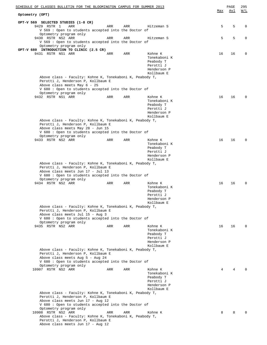| SCHEDULE OF CLASSES BULLETIN FOR THE BLOOMINGTON CAMPUS FOR SUMMER 2013<br>Optometry (OPT)     |     |     |                           | Max | PAGE<br>Avl | 295<br>$\overline{M}$ / $\overline{L}$ |
|------------------------------------------------------------------------------------------------|-----|-----|---------------------------|-----|-------------|----------------------------------------|
|                                                                                                |     |     |                           |     |             |                                        |
| OPT-V 569 SELECTED STUDIES (1-8 CR)<br>9429 RSTR 1<br>ARR                                      | ARR | ARR | Hitzeman S                | 5   | 5           | 0                                      |
| V 569 : Open to students accepted into the Doctor of                                           |     |     |                           |     |             |                                        |
| Optometry program only                                                                         |     |     |                           |     |             |                                        |
| 9430 RSTR NS2 ARR                                                                              | ARR | ARR | Hitzeman S                | 5   | 5           | $\mathbf 0$                            |
| V 569 : Open to students accepted into the Doctor of                                           |     |     |                           |     |             |                                        |
| Optometry program only<br>OPT-V 680 INTRODUCTION TO CLINIC (2.5 CR)                            |     |     |                           |     |             |                                        |
| 9431 RSTR NS1 ARR                                                                              | ARR | ARR | Kohne K                   | 16  | 16          | 0                                      |
|                                                                                                |     |     | Tonekaboni K              |     |             |                                        |
|                                                                                                |     |     | Peabody T                 |     |             |                                        |
|                                                                                                |     |     | Perotti J<br>Henderson P  |     |             |                                        |
|                                                                                                |     |     | Kollbaum E                |     |             |                                        |
| Above class - Faculty: Kohne K, Tonekaboni K, Peabody T,                                       |     |     |                           |     |             |                                        |
| Perotti J, Henderson P, Kollbaum E                                                             |     |     |                           |     |             |                                        |
| Above class meets May 6 - 25<br>V 680 : Open to students accepted into the Doctor of           |     |     |                           |     |             |                                        |
| Optometry program only                                                                         |     |     |                           |     |             |                                        |
| 9432 RSTR NS1 ARR                                                                              | ARR | ARR | Kohne K                   | 16  | 16          | $\Omega$                               |
|                                                                                                |     |     | Tonekaboni K              |     |             |                                        |
|                                                                                                |     |     | Peabody T<br>Perotti J    |     |             |                                        |
|                                                                                                |     |     | Henderson P               |     |             |                                        |
|                                                                                                |     |     | Kollbaum E                |     |             |                                        |
| Above class - Faculty: Kohne K, Tonekaboni K, Peabody T,                                       |     |     |                           |     |             |                                        |
| Perotti J, Henderson P, Kollbaum E<br>Above class meets May 28 - Jun 15                        |     |     |                           |     |             |                                        |
| V 680: Open to students accepted into the Doctor of                                            |     |     |                           |     |             |                                        |
| Optometry program only                                                                         |     |     |                           |     |             |                                        |
| 9433 RSTR NS2 ARR                                                                              | ARR | ARR | Kohne K                   | 16  | 16          | $\Omega$                               |
|                                                                                                |     |     | Tonekaboni K<br>Peabody T |     |             |                                        |
|                                                                                                |     |     | Perotti J                 |     |             |                                        |
|                                                                                                |     |     | Henderson P               |     |             |                                        |
|                                                                                                |     |     | Kollbaum E                |     |             |                                        |
| Above class - Faculty: Kohne K, Tonekaboni K, Peabody T,<br>Perotti J, Henderson P, Kollbaum E |     |     |                           |     |             |                                        |
| Above class meets Jun 17 - Jul 13                                                              |     |     |                           |     |             |                                        |
| V 680 : Open to students accepted into the Doctor of                                           |     |     |                           |     |             |                                        |
| Optometry program only                                                                         |     |     |                           |     |             |                                        |
| 9434 RSTR NS2 ARR                                                                              | ARR | ARR | Kohne K<br>Tonekaboni K   | 16  | 16          | $\Omega$                               |
|                                                                                                |     |     | Peabody T                 |     |             |                                        |
|                                                                                                |     |     | Perotti J                 |     |             |                                        |
|                                                                                                |     |     | Henderson P               |     |             |                                        |
| Above class - Faculty: Kohne K, Tonekaboni K, Peabody T,                                       |     |     | Kollbaum E                |     |             |                                        |
| Perotti J, Henderson P, Kollbaum E                                                             |     |     |                           |     |             |                                        |
| Above class meets Jul 15 - Aug 3                                                               |     |     |                           |     |             |                                        |
| V 680: Open to students accepted into the Doctor of                                            |     |     |                           |     |             |                                        |
| Optometry program only<br>9435 RSTR NS2 ARR                                                    | ARR | ARR | Kohne K                   | 16  | 16          | $\Omega$                               |
|                                                                                                |     |     | Tonekaboni K              |     |             |                                        |
|                                                                                                |     |     | Peabody T                 |     |             |                                        |
|                                                                                                |     |     | Perotti J                 |     |             |                                        |
|                                                                                                |     |     | Henderson P               |     |             |                                        |
| Above class - Faculty: Kohne K, Tonekaboni K, Peabody T,                                       |     |     | Kollbaum E                |     |             |                                        |
| Perotti J, Henderson P, Kollbaum E                                                             |     |     |                           |     |             |                                        |
| Above class meets Aug 5 - Aug 24                                                               |     |     |                           |     |             |                                        |
| V 680: Open to students accepted into the Doctor of                                            |     |     |                           |     |             |                                        |
| Optometry program only<br>10907 RSTR NS2 ARR                                                   | ARR | ARR | Kohne K                   | 4   | 4           |                                        |
|                                                                                                |     |     | Tonekaboni K              |     |             |                                        |
|                                                                                                |     |     | Peabody T                 |     |             |                                        |
|                                                                                                |     |     | Perotti J                 |     |             |                                        |
|                                                                                                |     |     | Henderson P<br>Kollbaum E |     |             |                                        |
| Above class - Faculty: Kohne K, Tonekaboni K, Peabody T,                                       |     |     |                           |     |             |                                        |
| Perotti J, Henderson P, Kollbaum E                                                             |     |     |                           |     |             |                                        |
| Above class meets Jun 17 - Aug 12                                                              |     |     |                           |     |             |                                        |
| V 680: Open to students accepted into the Doctor of                                            |     |     |                           |     |             |                                        |
| Optometry program only<br>10908 RSTR NS2 ARR                                                   | ARR | ARR | Kohne K                   | 8   | 8           |                                        |
| Above class - Faculty: Kohne K, Tonekaboni K, Peabody T,                                       |     |     |                           |     |             |                                        |
| Perotti J, Henderson P, Kollbaum E                                                             |     |     |                           |     |             |                                        |
| Above class meets Jun 17 - Aug 12                                                              |     |     |                           |     |             |                                        |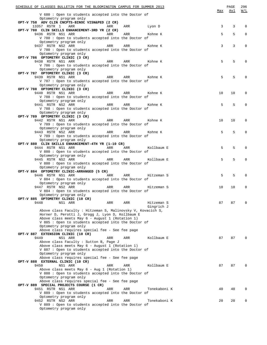| SCHEDULE OF CLASSES BULLETIN FOR THE BLOOMINGTON CAMPUS FOR SUMMER 2013                                                                                                                                                                                                  |     | PAGE | 296          |
|--------------------------------------------------------------------------------------------------------------------------------------------------------------------------------------------------------------------------------------------------------------------------|-----|------|--------------|
|                                                                                                                                                                                                                                                                          | Max | Avl  | W/L          |
| V 680 : Open to students accepted into the Doctor of<br>Optometry program only                                                                                                                                                                                           |     |      |              |
| OPT-V 758 ADV CLIN CNCPTS-BINOC VISN&PED (2 CR)                                                                                                                                                                                                                          |     |      |              |
| ARR<br>13357 RSTR 1<br>ARR<br>ARR<br>Lyon D                                                                                                                                                                                                                              | 3   | 3    | $\Omega$     |
| OPT-V 780 CLIN SKILLS ENHANCEMENT-3RD YR (2 CR)                                                                                                                                                                                                                          |     |      |              |
| 9436 RSTR NS1 ARR<br>ARR<br>ARR<br>Kohne K                                                                                                                                                                                                                               | 5   | 5    | $\mathbf{0}$ |
| V 780 : Open to students accepted into the Doctor of                                                                                                                                                                                                                     |     |      |              |
| Optometry program only                                                                                                                                                                                                                                                   |     |      |              |
| 9437 RSTR NS2 ARR<br>ARR<br>ARR<br>Kohne K                                                                                                                                                                                                                               | 3   | 3    | 0            |
| V 780 : Open to students accepted into the Doctor of                                                                                                                                                                                                                     |     |      |              |
| Optometry program only                                                                                                                                                                                                                                                   |     |      |              |
| OPT-V 786 OPTOMETRY CLINIC (3 CR)<br>9438 RSTR NS1 ARR<br>ARR<br>ARR<br>Kohne K                                                                                                                                                                                          | 5   | 5    | $\Omega$     |
| V 786 : Open to students accepted into the Doctor of                                                                                                                                                                                                                     |     |      |              |
| Optometry program only                                                                                                                                                                                                                                                   |     |      |              |
| OPT-V 787 OPTOMETRY CLINIC (3 CR)                                                                                                                                                                                                                                        |     |      |              |
| 9439 RSTR NS1 ARR<br>ARR<br>ARR<br>Kohne K                                                                                                                                                                                                                               | 5   | 5    | $\Omega$     |
| V 787 : Open to students accepted into the Doctor of                                                                                                                                                                                                                     |     |      |              |
| Optometry program only                                                                                                                                                                                                                                                   |     |      |              |
| OPT-V 788 OPTOMETRY CLINIC (3 CR)                                                                                                                                                                                                                                        |     |      |              |
| 9440 RSTR NS1 ARR<br>ARR<br>ARR<br>Kohne K                                                                                                                                                                                                                               | 10  | 10   | 0            |
| V 788 : Open to students accepted into the Doctor of                                                                                                                                                                                                                     |     |      |              |
| Optometry program only                                                                                                                                                                                                                                                   | 5   | 5    | $\Omega$     |
| 9441 RSTR NS2 ARR<br>ARR<br>ARR<br>Kohne K<br>V 788 : Open to students accepted into the Doctor of                                                                                                                                                                       |     |      |              |
| Optometry program only                                                                                                                                                                                                                                                   |     |      |              |
| OPT-V 789 OPTOMETRY CLINIC (3 CR)                                                                                                                                                                                                                                        |     |      |              |
| 9442 RSTR NS1 ARR<br>Kohne K<br>ARR<br>ARR                                                                                                                                                                                                                               | 10  | 10   | 0            |
| V 789 : Open to students accepted into the Doctor of                                                                                                                                                                                                                     |     |      |              |
| Optometry program only                                                                                                                                                                                                                                                   |     |      |              |
| end and the set of the set of the set of the set of the set of the set of the set of the set of the set of the<br>Set of the set of the set of the set of the set of the set of the set of the set of the set of the set of the s<br>9443 RSTR NS2 ARR<br>ARR<br>Kohne K | 5   | 5    | $\Omega$     |
| V 789 : Open to students accepted into the Doctor of                                                                                                                                                                                                                     |     |      |              |
| Optometry program only                                                                                                                                                                                                                                                   |     |      |              |
| OPT-V 880 CLIN SKILLS ENHANCEMENT-4TH YR (1-10 CR)                                                                                                                                                                                                                       |     |      |              |
| 9444 RSTR NS1 ARR<br>ARR<br>ARR<br>Kollbaum E                                                                                                                                                                                                                            | 5   | 5    | $\Omega$     |
| V 880 : Open to students accepted into the Doctor of                                                                                                                                                                                                                     |     |      |              |
| Optometry program only<br>9445 RSTR NS2 ARR<br>Kollbaum E<br>ARR<br>ARR                                                                                                                                                                                                  | 5   | 5    | $\Omega$     |
| V 880 : Open to students accepted into the Doctor of                                                                                                                                                                                                                     |     |      |              |
| Optometry program only                                                                                                                                                                                                                                                   |     |      |              |
| OPT-V 884 OPTOMETRY CLINIC-ARRANGED (5 CR)                                                                                                                                                                                                                               |     |      |              |
| 9446 RSTR NS1 ARR<br>ARR<br>ARR<br>Hitzeman S                                                                                                                                                                                                                            | 5   | 5    | $\Omega$     |
| V 884 : Open to students accepted into the Doctor of                                                                                                                                                                                                                     |     |      |              |
| Optometry program only                                                                                                                                                                                                                                                   |     |      |              |
| 9447 RSTR NS2 ARR<br>ARR<br>ARR<br>Hitzeman S                                                                                                                                                                                                                            | 10  | 10   | $\mathbf 0$  |
| V 884 : Open to students accepted into the Doctor of                                                                                                                                                                                                                     |     |      |              |
| Optometry program only                                                                                                                                                                                                                                                   |     |      |              |
| OPT-V 885 OPTOMETRY CLINIC (10 CR)                                                                                                                                                                                                                                       |     |      |              |
| 9448<br>ARR<br>NS1 ARR<br>ARR<br>Hitzeman S                                                                                                                                                                                                                              | 87  | 87   | 0            |
| Gingrich J                                                                                                                                                                                                                                                               |     |      |              |
| Above class Faculty : Hitzeman S, Malinovsky V, Kovacich S,<br>Horner D, Perotti J, Grogg J, Lyon D, Kollbaum E                                                                                                                                                          |     |      |              |
| Above class meets May 6 - August 1 (Rotation 1)                                                                                                                                                                                                                          |     |      |              |
| V 885 : Open to students accepted into the Doctor of                                                                                                                                                                                                                     |     |      |              |
| Optometry program only                                                                                                                                                                                                                                                   |     |      |              |
| Above class requires special fee - See fee page                                                                                                                                                                                                                          |     |      |              |
| OPT-V 887 EXTENSION CLINIC (10 CR)                                                                                                                                                                                                                                       |     |      |              |
| 9449<br>NS1 ARR<br>ARR<br>ARR<br>Kollbaum E                                                                                                                                                                                                                              | 87  | 87   |              |
| Above class Faculty : Sutton B, Page J                                                                                                                                                                                                                                   |     |      |              |
| Above class meets May 6 - August 1 (Rotation 1)                                                                                                                                                                                                                          |     |      |              |
| V 887 : Open to students accepted into the Doctor of                                                                                                                                                                                                                     |     |      |              |
| Optometry program only                                                                                                                                                                                                                                                   |     |      |              |
| Above class requires special fee - See fee page                                                                                                                                                                                                                          |     |      |              |
| OPT-V 888 EXTERNAL CLINIC (10 CR)                                                                                                                                                                                                                                        |     |      |              |
| 9450<br>NS1 ARR<br>ARR<br>ARR<br>Kollbaum E<br>Above class meets May 6 - Aug 1 (Rotation 1)                                                                                                                                                                              | 87  | 87   | <sup>n</sup> |
| V 888 : Open to students accepted into the Doctor of                                                                                                                                                                                                                     |     |      |              |
| Optometry program only                                                                                                                                                                                                                                                   |     |      |              |
| Above class requires special fee - See fee page                                                                                                                                                                                                                          |     |      |              |
| OPT-V 889 SPECIAL PROJECTS COURSE (1 CR)                                                                                                                                                                                                                                 |     |      |              |
| 9451 RSTR NS1 ARR<br>ARR<br>ARR<br>Tonekaboni K                                                                                                                                                                                                                          | 40  | 40   | $\Omega$     |
| V 889 : Open to students accepted into the Doctor of                                                                                                                                                                                                                     |     |      |              |
| Optometry program only                                                                                                                                                                                                                                                   |     |      |              |
| 9452 RSTR NS2 ARR<br>ARR<br>ARR<br>Tonekaboni K                                                                                                                                                                                                                          | 20  | 20   | $\Omega$     |
| V 889 : Open to students accepted into the Doctor of                                                                                                                                                                                                                     |     |      |              |
| Optometry program only                                                                                                                                                                                                                                                   |     |      |              |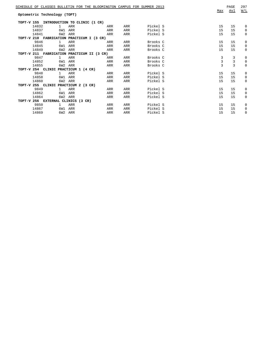|                   |                              | SCHEDULE OF CLASSES BULLETIN FOR THE BLOOMINGTON CAMPUS FOR SUMMER 2013 |            |     |          | Max            | PAGE<br>Avl    | 297<br>W/L  |
|-------------------|------------------------------|-------------------------------------------------------------------------|------------|-----|----------|----------------|----------------|-------------|
|                   | Optometric Technology (TOPT) |                                                                         |            |     |          |                |                |             |
| TOPT-V 155        |                              | INTRODUCTION TO CLINIC (1 CR)                                           |            |     |          |                |                |             |
| 14832             | $\mathbf{1}$                 | ARR                                                                     | ARR        | ARR | Pickel S | 15             | 15             | 0           |
| 14837             | 6W1                          | ARR                                                                     | ARR        | ARR | Pickel S | 15             | 15             | 0           |
| 14841             | 6W2                          | ARR                                                                     | ARR        | ARR | Pickel S | 15             | 15             | 0           |
|                   |                              | TOPT-V 210 FABRICATION PRACTICUM I (3 CR)                               |            |     |          |                |                |             |
| 9846              | $\mathbf{1}$                 | ARR                                                                     | ARR        | ARR | Brooks C | 15             | 15             | 0           |
| 14845             | 6W1                          | ARR                                                                     | ARR        | ARR | Brooks C | 15             | 15             | 0           |
| 14849             | 6W <sub>2</sub>              | ARR                                                                     | ARR        | ARR | Brooks C | 15             | 15             | 0           |
| TOPT-V 211        |                              | FABRICATION PRACTICUM II (3 CR)                                         |            |     |          |                |                |             |
| 9847              | $\mathbf{1}$                 | ARR                                                                     | ARR        | ARR | Brooks C | 3              | 3              | 0           |
| 14852             | 6W1                          | ARR                                                                     | <b>ARR</b> | ARR | Brooks C | $\mathbf{3}$   | $\mathbf{3}$   | $\mathbf 0$ |
| 14855             | 6W <sub>2</sub>              | ARR                                                                     | ARR        | ARR | Brooks C | $\overline{3}$ | $\overline{3}$ | $\mathbf 0$ |
|                   |                              | TOPT-V 254 CLINIC PRACTICUM 1 (4 CR)                                    |            |     |          |                |                |             |
| 9848              | $\mathbf{1}$                 | ARR                                                                     | ARR        | ARR | Pickel S | 15             | 15             | 0           |
| 14858             | 6W1                          | ARR                                                                     | ARR        | ARR | Pickel S | 15             | 15             | 0           |
| 14860             | 6W <sub>2</sub>              | ARR                                                                     | ARR        | ARR | Pickel S | 15             | 15             | 0           |
| TOPT-V 255 CLINIC |                              | PRACTICUM 2 (3 CR)                                                      |            |     |          |                |                |             |
| 9849              | 1                            | ARR                                                                     | ARR        | ARR | Pickel S | 15             | 15             | 0           |
| 14862             | 6W1                          | ARR                                                                     | ARR        | ARR | Pickel S | 15             | 15             | 0           |
| 14864             |                              | 6W2 ARR                                                                 | ARR        | ARR | Pickel S | 15             | 15             | 0           |
|                   | TOPT-V 256 EXTERNAL CLINICS  | $(3 \text{ CR})$                                                        |            |     |          |                |                |             |
| 9850              | $\mathbf{1}$                 | ARR                                                                     | ARR        | ARR | Pickel S | 15             | 15             | 0           |
| 14867             | 6W1                          | ARR                                                                     | ARR        | ARR | Pickel S | 15             | 15             | 0           |
| 14869             | 6W <sub>2</sub>              | ARR                                                                     | ARR        | ARR | Pickel S | 15             | 15             | $\mathbf 0$ |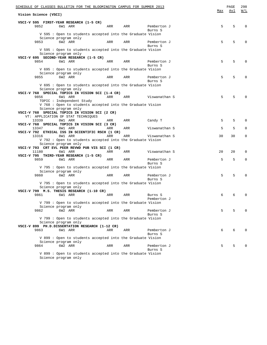| SCHEDULE OF CLASSES BULLETIN FOR THE BLOOMINGTON CAMPUS FOR SUMMER 2013            |     |                        |     | PAGE | 298                                               |
|------------------------------------------------------------------------------------|-----|------------------------|-----|------|---------------------------------------------------|
| Vision Science (VSCI)                                                              |     |                        | Max | Avl  | $\overline{\texttt{W}}$ / $\overline{\texttt{L}}$ |
| VSCI-V 595 FIRST-YEAR RESEARCH (1-5 CR)                                            |     |                        |     |      |                                                   |
| 9852<br>6W1 ARR<br>ARR                                                             | ARR | Pemberton J            | 5   | 5    | $\Omega$                                          |
|                                                                                    |     | Burns S                |     |      |                                                   |
| V 595 : Open to students accepted into the Graduate Vision                         |     |                        |     |      |                                                   |
| Science program only                                                               |     |                        |     |      |                                                   |
| 9853<br>6W2 ARR<br>ARR                                                             | ARR | Pemberton J            | 5   | 5    | $\Omega$                                          |
|                                                                                    |     | Burns S                |     |      |                                                   |
| V 595 : Open to students accepted into the Graduate Vision                         |     |                        |     |      |                                                   |
| Science program only                                                               |     |                        |     |      |                                                   |
| VSCI-V 695 SECOND-YEAR RESEARCH (1-5 CR)                                           |     |                        |     |      |                                                   |
| 9854<br>6W1 ARR<br>ARR                                                             | ARR | Pemberton J            | 5   | 5    |                                                   |
|                                                                                    |     | Burns S                |     |      |                                                   |
| V 695 : Open to students accepted into the Graduate Vision<br>Science program only |     |                        |     |      |                                                   |
| 6W2 ARR<br>9855<br>ARR                                                             | ARR | Pemberton J            | 5   | 5    |                                                   |
|                                                                                    |     | Burns S                |     |      |                                                   |
| V 695 : Open to students accepted into the Graduate Vision                         |     |                        |     |      |                                                   |
| Science program only                                                               |     |                        |     |      |                                                   |
| VSCI-V 768 SPECIAL TOPICS IN VISION SCI (1-4 CR)                                   |     |                        |     |      |                                                   |
| 9856<br>6W1 ARR<br>ARR                                                             | ARR | Viswanathan S          | 5   | 5    | $\Omega$                                          |
| TOPIC : Independent Study                                                          |     |                        |     |      |                                                   |
| V 768 : Open to students accepted into the Graduate Vision                         |     |                        |     |      |                                                   |
| Science program only                                                               |     |                        |     |      |                                                   |
| VSCI-V 768 SPECIAL TOPICS IN VISION SCI (2 CR)                                     |     |                        |     |      |                                                   |
| VT: APPLICATION OF STAT TECHNIQUES                                                 |     |                        |     |      |                                                   |
| 13339<br>8W1 ARR<br>ARR                                                            | ARR | Candy T                | 5   | 5    | $\Omega$                                          |
| VSCI-V 768 SPECIAL TOPICS IN VISION SCI (3 CR)                                     |     |                        |     | 5    | $\Omega$                                          |
| 8W1 ARR<br>13347<br>ARR<br>VSCI-V 792 ETHICAL ISS IN SCIENTIFIC RSCH (1 CR)        | ARR | Viswanathan S          | 5   |      |                                                   |
| 13316<br>8W1 ARR<br>ARR                                                            | ARR | Viswanathan S          | 30  | 30   | 0                                                 |
| V 792 : Open to students accepted into the Graduate Vision                         |     |                        |     |      |                                                   |
| Science program only                                                               |     |                        |     |      |                                                   |
| VSCI-V 793 CRT EVL PEER REVWD PUB VIS SCI (1 CR)                                   |     |                        |     |      |                                                   |
| 11180<br>6W1 ARR<br>ARR                                                            | ARR | Viswanathan S          | 20  | 20   | $\Omega$                                          |
| VSCI-V 795 THIRD-YEAR RESEARCH (1-5 CR)                                            |     |                        |     |      |                                                   |
| 9859<br>6W1 ARR<br>ARR                                                             | ARR | Pemberton J            | 5   | 5    | $\Omega$                                          |
|                                                                                    |     | Burns S                |     |      |                                                   |
| V 795 : Open to students accepted into the Graduate Vision                         |     |                        |     |      |                                                   |
| Science program only                                                               |     |                        |     |      |                                                   |
| 9860<br>6W2 ARR<br>ARR                                                             | ARR | Pemberton J            | 5   | 5    | $\Omega$                                          |
|                                                                                    |     | Burns S                |     |      |                                                   |
| V 795 : Open to students accepted into the Graduate Vision                         |     |                        |     |      |                                                   |
| Science program only<br>VSCI-V 799 M.S. THESIS RESEARCH (1-10 CR)                  |     |                        |     |      |                                                   |
| 9861<br>6W1 ARR<br>ARR                                                             | ARR | Burns S                | 6   | 6    | $\Omega$                                          |
|                                                                                    |     | Pemberton J            |     |      |                                                   |
| V 799 : Open to students accepted into the Graduate Vision                         |     |                        |     |      |                                                   |
| Science program only                                                               |     |                        |     |      |                                                   |
| 6W2 ARR<br>9862<br>ARR                                                             | ARR | Pemberton J            | 5   | 5    | $\Omega$                                          |
|                                                                                    |     | Burns S                |     |      |                                                   |
| V 799 : Open to students accepted into the Graduate Vision                         |     |                        |     |      |                                                   |
| Science program only                                                               |     |                        |     |      |                                                   |
| VSCI-V 899 PH.D.DISSERTATION RESEARCH (1-12 CR)                                    |     |                        |     |      |                                                   |
| 9863<br>6W1 ARR<br>ARR                                                             | ARR | Pemberton J            | 6   | 6    | $\Omega$                                          |
|                                                                                    |     | Burns S                |     |      |                                                   |
| V 899 : Open to students accepted into the Graduate Vision                         |     |                        |     |      |                                                   |
| Science program only                                                               |     |                        |     |      |                                                   |
| 6W2 ARR<br>9864<br>ARR                                                             | ARR | Pemberton J<br>Burns S | 5   | 5    | $\Omega$                                          |
| V 899 : Open to students accepted into the Graduate Vision                         |     |                        |     |      |                                                   |
| Science program only                                                               |     |                        |     |      |                                                   |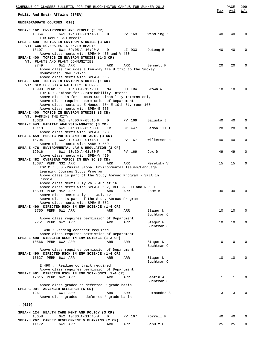| SCHEDULE OF CLASSES BULLETIN FOR THE BLOOMINGTON CAMPUS FOR SUMMER 2013                                                                                              |          |               |                        |              | PAGE         | 299                        |
|----------------------------------------------------------------------------------------------------------------------------------------------------------------------|----------|---------------|------------------------|--------------|--------------|----------------------------|
| Public And Envir Affairs (SPEA)                                                                                                                                      |          |               |                        | Max          | Avl          | W/L                        |
| UNDERGRADUATE COURSES (010)                                                                                                                                          |          |               |                        |              |              |                            |
| SPEA-E 162 ENVIRONMENT AND PEOPLE (3 CR)<br>10864<br>6W1 12:30 P-01:45 P D                                                                                           |          | PV 163        | Wendling Z             | 40           | 40           | $\Omega$                   |
| IUB GenEd S&H credit<br>SPEA-E 400 TOPICS IN ENVIRON STUDIES (3 CR)<br>VT: CONTROVERSIES IN ENVIR HEALTH                                                             |          |               |                        |              |              |                            |
| 13107<br>6W1 09:05 A-10:20 A<br>Above class meets with SPEA-H 455 and V 450<br>SPEA-E 400 TOPICS IN ENVIRON STUDIES (1-3 CR)                                         | D        | LI 033        | DeLong B               | 40           | 40           | $\mathbf 0$                |
| VT: PLANTS AND PLANT COMMUNITIES<br>9749<br>6W1 ARR                                                                                                                  | ARR      | ARR           | Bennett M              | 20           | 20           | $\Omega$                   |
| Above class includes a ten-day field trip to the Smokey<br>Mountains: May 7-17th<br>Above class meets with SPEA-E 555<br>SPEA-E 400 TOPICS IN ENVIRON STUDIES (1 CR) |          |               |                        |              |              |                            |
| VT: SEM FOR SUSTAINABILITY INTERNS<br>10993 PERM 1<br>$10:30 A-12:20 P$                                                                                              | MM       | HD TBA        | Brown W                | 18           | 18           | $\Omega$                   |
| TOPIC : Seminar for Sustainability Interns                                                                                                                           |          |               |                        |              |              |                            |
| Above class is for Campus Sustainability Interns only<br>Above class requires permission of Department                                                               |          |               |                        |              |              |                            |
| Above class meets at E-House, 704 E 10th St, room 100<br>Above class meets with SPEA-E 555                                                                           |          |               |                        |              |              |                            |
| SPEA-E 400 TOPICS IN ENVIRON STUDIES (3 CR)<br>VT: FARMING THE CITY                                                                                                  |          |               |                        |              |              |                            |
| 15628<br>6W1 04:00 P-05:15 P<br>SPEA-E 443 HABITAT ANALYSIS-AQUATIC (3 CR)                                                                                           | D        | PV 169        | Galuska J              | 40           | 40           | $\Omega$                   |
| 6W1 01:00 P-05:00 P<br>13113<br>Above class meets with SPEA-E 523                                                                                                    | TR       | GY 447        | Simon III T            | 20           | 20           | $\mathbf 0$                |
| SPEA-A 459 PUBLIC POLICY AND THE ARTS (3 CR)<br>6W2 12:30 P-01:45 P<br>15704                                                                                         | D        | PV 167        | Wilkerson M            | 40           | 40           | $\mathbf 0$                |
| Above class meets with AADM-Y 559<br>SPEA-E 476 ENVIRONMENTAL LAW & REGULATION (3 CR)<br>12016<br>6W1 10:30 A-01:30 P                                                | TR.      | PV 169        | Cox D                  | 49           | 49           | $\mathbf 0$                |
| Above class meets with SPEA-V 450<br>SPEA-E 482 OVERSEAS TOPICS IN ENV SC (3 CR)                                                                                     |          |               |                        |              |              |                            |
| 15687 PERM NS2 ARR<br>TOPIC : U.S.-Russia Global Environmental Issues/Language                                                                                       | ARR      | ARR           | Meretsky V             | 15           | 15           | $\mathbf 0$                |
| Learning Courses Study Program<br>Above class is part of the Study Abroad Program - SPEA in<br>Russia                                                                |          |               |                        |              |              |                            |
| Above class meets July 26 - August 16                                                                                                                                |          |               |                        |              |              |                            |
| Above class meets with SPEA-E 582, REEI-R 300 and R 500<br>15699 PERM NS2 ARR                                                                                        | ARR      | ARR           | Lame M                 | 30           | 30           | 0                          |
| Above class meets July 1 - July 12<br>Above class is part of the Study Abroad Program                                                                                |          |               |                        |              |              |                            |
| Above class meets with SPEA-E 582<br>SPEA-E 490 DIRECTED RSCH IN ENV SCIENCE (1-4 CR)                                                                                |          |               |                        |              |              |                            |
| 9750 PERM 6W1 ARR                                                                                                                                                    | ARR      | ARR           | Stager N<br>Buchtman C | 10           | 10           | $\mathbf 0$                |
| Above class requires permission of Department                                                                                                                        |          |               |                        |              |              |                            |
| 9751 PERM 6W2 ARR                                                                                                                                                    | ARR      | ARR           | Stager N<br>Buchtman C | 10           | 10           | 0                          |
| E 490 : Reading contract required<br>Above class requires permission of Department                                                                                   |          |               |                        |              |              |                            |
| SPEA-E 490 DIRECTED RSCH IN ENV SCIENCE (1-3 CR)                                                                                                                     |          |               |                        |              |              |                            |
| 10566 PERM 6W2 ARR                                                                                                                                                   | ARR      | ARR           | Stager N<br>Buchtman C | 10           | 10           | $\mathbf 0$                |
| Above class requires permission of Department<br>SPEA-E 490 DIRECTED RSCH IN ENV SCIENCE (1-4 CR)                                                                    |          |               |                        |              |              |                            |
| 15627 PERM 6W1 ARR                                                                                                                                                   | ARR      | ARR           | Stager N<br>Buchtman C | 10           | 10           | $\Omega$                   |
| E 490: Reading contract required<br>Above class requires permission of Department                                                                                    |          |               |                        |              |              |                            |
| SPEA-E 491 DIRECTED RSCH IN ENV SCI-HONRS (1-4 CR)<br>12615 PERM 6W2 ARR                                                                                             | ARR      | ARR           | Bastin A               | $\mathbf{1}$ | $\mathbf{1}$ | $\mathbf 0$                |
| Above class graded on deferred R grade basis<br>SPEA-G 901 ADVANCED RESEARCH (6 CR)                                                                                  |          |               | Buchtman C             |              |              |                            |
| 12611<br>6W1 ARR<br>Above class graded on deferred R grade basis                                                                                                     | ARR      | ARR           | Fernandez S            | 3            | 3            | $\mathbf 0$                |
| (020)                                                                                                                                                                |          |               |                        |              |              |                            |
| SPEA-H 124 HEALTH CARE MGMT AND POLICY (3 CR)                                                                                                                        |          |               |                        |              |              |                            |
| 15658<br>6W2 10:30 A-11:45 A<br>SPEA-H 267 CAREER DEVELOPMENT & PLANNING (2 CR)<br>11172<br>6W1 ARR                                                                  | D<br>ARR | PV 167<br>ARR | Norrell M<br>Schulz G  | 40<br>25     | 40<br>25     | $\mathbf 0$<br>$\mathbf 0$ |
|                                                                                                                                                                      |          |               |                        |              |              |                            |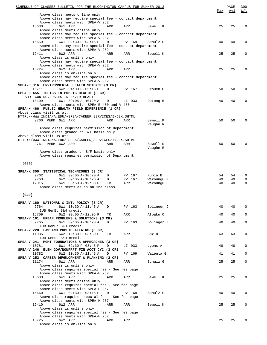| SCHEDULE OF CLASSES BULLETIN FOR THE BLOOMINGTON CAMPUS FOR SUMMER 2013                                           | Max      | PAGE<br>Avl | 300<br>W/L                 |
|-------------------------------------------------------------------------------------------------------------------|----------|-------------|----------------------------|
| Above class meets online only                                                                                     |          |             |                            |
| Above class may require special fee - contact department<br>Above class meets with SPEA-V 252                     |          |             |                            |
| 6W1 ARR<br>15630<br>ARR<br>ARR<br>Sewell K                                                                        | 25       | 25          | $\Omega$                   |
| Above class meets online only                                                                                     |          |             |                            |
| Above class may require special fee - contact department<br>Above class meets with SPEA-V 252                     |          |             |                            |
| 6W1 02:30 P-03:45 P<br>15659<br>$\mathbb{D}$<br>PV 169<br>Schulz G                                                | 40       | 40          | 0                          |
| Above class may require special fee - contact department                                                          |          |             |                            |
| Above class meets with SPEA-V 252                                                                                 |          |             |                            |
| 12411<br>6W2 ARR<br>ARR<br>ARR<br>Sewell K<br>Above class is online only                                          | 25       | 25          | 0                          |
| Above class may require special fee - contact department                                                          |          |             |                            |
| Above class meets with SPEA-V 252                                                                                 |          |             |                            |
| 15724<br>6W2 ARR<br>ARR<br>ARR<br>Above class is on-line only                                                     | 25       | 25          | $\Omega$                   |
| Above class may require special fee - contact department                                                          |          |             |                            |
| Above class meets with SPEA-V 252                                                                                 |          |             |                            |
| SPEA-H 316 ENVIRONMENTAL HEALTH SCIENCE (3 CR)                                                                    |          |             |                            |
| 15711<br>6W2 04:00 P-05:15 P<br>PV 167<br>Crouch G<br>D<br>SPEA-H 455 TOPICS IN PUBLIC HEALTH (3 CR)              | 50       | 50          | 0                          |
| VT: CONTROVERSIES IN ENVIR HEALTH                                                                                 |          |             |                            |
| 13109<br>6W1 09:05 A-10:20 A<br>LI 033<br>DeLong B<br>D                                                           | 40       | 40          | 0                          |
| Above class meets with SPEA-E 400 and V 450<br>SPEA-H 466 PUBLIC HEALTH FIELD EXPERIENCE (1 CR)                   |          |             |                            |
| Above class visit us at:                                                                                          |          |             |                            |
| HTTP://WWW.INDIANA.EDU/~SPEA/CAREER_SERVICES/INDEX.SHTML                                                          |          |             |                            |
| 9760 PERM 6W1 ARR<br>ARR<br>ARR<br>Sewell K                                                                       | 50       | 50          | $\Omega$                   |
| Vaughn R<br>Above class requires permission of Department                                                         |          |             |                            |
| Above class graded on S/F basis only                                                                              |          |             |                            |
| Above class visit us at:                                                                                          |          |             |                            |
| HTTP://WWW.INDIANA.EDU/~SPEA/CAREER_SERVICES/INDEX.SHTML<br>9761 PERM 6W2 ARR<br>ARR<br>ARR<br>Sewell K           | 50       | 50          | $\Omega$                   |
| Vaughn R                                                                                                          |          |             |                            |
| Above class graded on S/F basis only                                                                              |          |             |                            |
| Above class requires permission of Department                                                                     |          |             |                            |
| (030)                                                                                                             |          |             |                            |
|                                                                                                                   |          |             |                            |
| SPEA-K 300 STATISTICAL TECHNIQUES (3 CR)                                                                          |          |             |                            |
| 9762<br>6W1 09:05 A-10:20 A<br>PV 167<br>Rubin B<br>D<br>9763<br>6W2 09:05 A-10:20 A<br>D<br>PV 167<br>Wakhungu P | 54<br>49 | 54<br>49    | $\mathbf 0$<br>$\mathbf 0$ |
| 6W1 08:50 A-12:30 P<br>Wakhungu H<br>12015<br>TR<br>ARR                                                           | 40       | 40          | $\mathbf 0$                |
| Above class meets as an online class                                                                              |          |             |                            |
|                                                                                                                   |          |             |                            |
| (040)                                                                                                             |          |             |                            |
| SPEA-V 160 NATIONAL & INTL POLICY (3 CR)                                                                          |          |             |                            |
| 9764<br>6W1 10:30 A-11:45 A<br>PV 163<br>Bolinger J<br>D                                                          | 40       | 40          | 0                          |
| IUB GenEd S&H credit<br>15709<br>6W2 09:05 A-12:05 P<br>ARR<br>Afoaku O<br>TR                                     | 40       | 40          | $\mathbf 0$                |
| SPEA-V 161 URBAN PROBLEMS & SOLUTIONS (3 CR)                                                                      |          |             |                            |
| Bolinger J<br>9765<br>6W1 09:05 A-10:20 A<br>PV 163<br>D                                                          | 40       | 40          | $\mathbf 0$                |
| IUB GenEd S&H credit<br>SPEA-V 220 LAW AND PUBLIC AFFAIRS (3 CR)                                                  |          |             |                            |
| 11035<br>6W2 12:30 P-03:30 P<br>Cox D<br>TR<br>ARR                                                                | 63       | 63          | 0                          |
| IUB GenEd S&H credit                                                                                              |          |             |                            |
| SPEA-V 241 MGMT FOUNDATIONS & APPROACHES (3 CR)                                                                   |          |             |                            |
| 10781<br>6W1 02:30 P-03:45 P<br>LI 033<br>Lyons A<br>D<br>SPEA-V 246 ELEM GOV/NONPRFT FIN ACCT CYC (3 CR)         | 48       | 48          | 0                          |
| 10782<br>6W2 10:30 A-11:45 A<br>PV 169<br>Valenta G<br>D                                                          | 41       | 41          | $\mathbf{0}$               |
| SPEA-V 252 CAREER DEVELOPMENT & PLANNING (2 CR)                                                                   |          |             |                            |
| 6W1 ARR<br>Schulz G<br>11174<br>ARR<br>ARR                                                                        | 25       | 25          | $\mathbf 0$                |
| Above class is online only<br>Above class requires special fee - See fee page                                     |          |             |                            |
| Above class meets with SPEA-H 267                                                                                 |          |             |                            |
| 6W1 ARR<br>15633<br>ARR<br>Sewell K<br>ARR                                                                        | 25       | 25          | 0                          |
| Above class meets online only<br>Above class requires special fee - See fee page                                  |          |             |                            |
| Above class meets with SPEA-H 267                                                                                 |          |             |                            |
| 6W1 02:30 P-03:45 P<br>Schulz G<br>15660<br>D<br>PV 169                                                           | 40       | 40          | 0                          |
| Above class requires special fee - See fee page                                                                   |          |             |                            |
| Above class meets with SPEA-H 267<br>12410<br>6W2 ARR<br>Sewell K<br>ARR<br>ARR                                   | 25       | 25          | 0                          |
| Above class is online only                                                                                        |          |             |                            |
| Above class requires special fee - See fee page                                                                   |          |             |                            |
| Above class meets with SPEA-H 267                                                                                 |          |             |                            |
| 15725<br>6W2 ARR<br>ARR<br>ARR<br>Above class is on-line only                                                     | 25       | 25          | 0                          |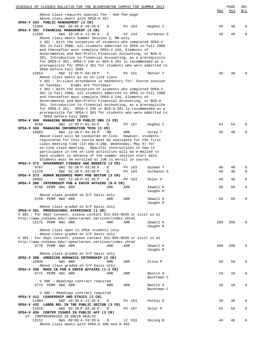| SCHEDULE OF CLASSES BULLETIN FOR THE BLOOMINGTON CAMPUS FOR SUMMER 2013<br>Above class requires special fee - See fee page                                                                                                                                 |     |                  |                        | Max      | PAGE<br>Avl | 301<br>W/L       |
|------------------------------------------------------------------------------------------------------------------------------------------------------------------------------------------------------------------------------------------------------------|-----|------------------|------------------------|----------|-------------|------------------|
| Above class meets with SPEA-H 267<br>SPEA-V 263 PUBLIC MANAGEMENT (3 CR)                                                                                                                                                                                   |     |                  |                        |          |             |                  |
| 11569<br>6W2 09:05 A-10:20 A<br>D                                                                                                                                                                                                                          |     | PV 163           | Hughes C               | 40       | 40          | 0                |
| SPEA-V 361 FINANCIAL MANAGEMENT (3 CR)<br>11568<br>6W1 10:30 A-11:45 A<br>D<br>Above class meets Summer Session I, MW only                                                                                                                                 |     | GY 143           | Kurbanov S             | 49       | 49          | $\mathbf 0$      |
| V 361 : With the exception of students who completed SPEA-V<br>361 in Fall 2006, all students admitted to SPEA in Fall 2006<br>and thereafter must complete SPEA-V 246, Elements of                                                                        |     |                  |                        |          |             |                  |
| Governmental and Non-Profit Financial Accounting, or BUS-A<br>201, Introduction to Financial Accounting, as a prerequisite<br>for SPEA-V 361. SPEA-V 246 or BUS-A 201 is recommended as a<br>prerequisite for SPEA-V 361 for students who were admitted to |     |                  |                        |          |             |                  |
| SPEA before Fall 2006<br>12014<br>6W2 12:20 P-04:20 P<br>Т<br>Above class meets as an on-line class                                                                                                                                                        |     | PV 151           | Renner T               | 30       | 30          |                  |
| V 361 : In-class attendance is mandatory for: Course session<br>Exams are Thursdays:<br>on Tuesday,                                                                                                                                                        |     |                  |                        |          |             |                  |
| V 361 : With the exception of students who completed SPEA-V<br>361 in Fall 2006, all students admitted to SPEA in Fall 2006<br>and thereafter must complete SPEA-V 246, Elements of                                                                        |     |                  |                        |          |             |                  |
| Governmental and Non-Profit Financial Accounting, or BUS-A<br>201, Introduction to Financial Accounting, as a prerequisite<br>for SPEA-V 361. SPEA-V 246 or BUS-A 201 is recommended as a                                                                  |     |                  |                        |          |             |                  |
| prerequisite for SPEA-V 361 for students who were admitted to<br>SPEA before Fall 2006                                                                                                                                                                     |     |                  |                        |          |             |                  |
| SPEA-V 366 MANAGING BEHAVR IN PUBLIC ORG (3 CR)<br>9766<br>6W1 12:30 P-01:45 P<br>D                                                                                                                                                                        |     | PV 167           | Hughes C               | 54       | 54          | O                |
| SPEA-V 369 MANAGING INFORMATION TECH (3 CR)<br>10863<br>6W1 12:40 P-04:20 P<br>МW                                                                                                                                                                          | ARR |                  | Usrey T                | 40       | 40          | 0                |
| Above class will be conducted on-line. However, students<br>registered for this course must be available for the first                                                                                                                                     |     |                  |                        |          |             |                  |
| class meeting time (12:40p-4:20p, Wednesday, May 9) for<br>on-line class meeting. Specific instructions on how to<br>participate in the on-line activities will be e-mailed to                                                                             |     |                  |                        |          |             |                  |
| each student in advance of the summer session start date.<br>Students must be enrolled at IUB to enroll in course.                                                                                                                                         |     |                  |                        |          |             |                  |
| SPEA-V 372 GOVERNMENT FINANCE AND BUDGETS (3 CR)<br>9767<br>D<br>6W1 02:30 P-03:45 P<br>11570<br>6W2 02:30 P-03:45 P<br>D                                                                                                                                  |     | PV 163<br>PV 163 | Guzman T<br>Kurbanov S | 40<br>40 | 40<br>40    | 0<br>$\mathbf 0$ |
| SPEA-V 373 HUMAN RESOURCE MGMT PUB SECTOR (3 CR)<br>10602<br>6W2 12:30 P-01:45 P<br>D                                                                                                                                                                      |     | PV 163           | Sklar P                | 40       | 40          | 0                |
| SPEA-V 380 INTERNSHIP PUB & ENVIR AFFAIRS (0-6 CR)<br>9768 PERM 6W1 ARR<br>ARR                                                                                                                                                                             | ARR |                  | Sewell K<br>Vaughn R   | 50       | 50          | $\mathbf 0$      |
| Above class graded on S/F basis only                                                                                                                                                                                                                       |     |                  |                        |          |             |                  |
| 9769 PERM 6W2 ARR<br>ARR                                                                                                                                                                                                                                   | ARR |                  | Sewell K               | 50       | 50          | 0                |
| Above class graded on S/F basis only<br>SPEA-V 381 PROFESSIONAL EXPERIENCE (1 CR)                                                                                                                                                                          |     |                  | Vaughn R               |          |             |                  |
| V 381: For dept consent, please contact 812-855-9639 or visit us at<br>http://www.indiana.edu/~spea/career_services/index.shtml                                                                                                                            |     |                  |                        |          |             |                  |
| 11175 PERM 6W1 ARR<br>ARR<br>Above class open to SPEA students only                                                                                                                                                                                        | ARR |                  | Sewell K<br>Vaughn R   | 200      | 200         | <sup>0</sup>     |
| Above class graded on S/F basis only<br>V 381: For dept consent, please contact 812-855-9639 or visit us at                                                                                                                                                |     |                  |                        |          |             |                  |
| http://www.indiana.edu/~spea/career_services/index.shtml<br>9770 PERM 6W2 ARR<br>ARR                                                                                                                                                                       | ARR |                  | Sewell K               | 200      | 200         | $\Omega$         |
| Above class graded on S/F basis only<br>SPEA-V 388 AMERICAN HUMANICS INTERNSHIP (3 CR)                                                                                                                                                                     |     |                  | Vaughn R               |          |             |                  |
| 10945<br>6W1 ARR<br>ARR<br>Above class graded on S/F basis only                                                                                                                                                                                            | ARR |                  | Stice P                | 50       | 50          | $\mathbf 0$      |
| SPEA-V 390 RDGS IN PUB & ENVIR AFFAIRS (1-3 CR)<br>9771 PERM 6W1 ARR<br>ARR                                                                                                                                                                                | ARR |                  | Bastin A<br>Buchtman C | 10       | 10          | 0                |
| V 390 : Readings contract required<br>9772 PERM 6W2 ARR<br>ARR                                                                                                                                                                                             | ARR |                  | Bastin A<br>Buchtman C | 10       | 10          | 0                |
| V 390 : Readings contract required                                                                                                                                                                                                                         |     |                  |                        |          |             |                  |
| SPEA-V 412 LEADERSHIP AND ETHICS (3 CR)<br>11084<br>6W2 10:30 A-11:45 A<br>D<br>SPEA-V 432 LABOR REL IN THE PUBLIC SECTOR (3 CR)                                                                                                                           |     | PV 163           | Petkus D               | 40       | 40          | 0                |
| 12018<br>6W2 02:30 P-03:45 P<br>D<br>SPEA-V 450 CONTEM ISSUES IN PUBLIC AFF (3 CR)                                                                                                                                                                         |     | PV 167           | Sklar P                | 55       | 55          | $\mathbf 0$      |
| VT: CONTROVERSIES IN ENVIR HEALTH<br>13112<br>6W1 09:05 A-10:20 A<br>D                                                                                                                                                                                     |     | LI 033           | DeLong B               | 40       | 40          | 0                |
| Above class meets with SPEA-E 400 and H 455                                                                                                                                                                                                                |     |                  |                        |          |             |                  |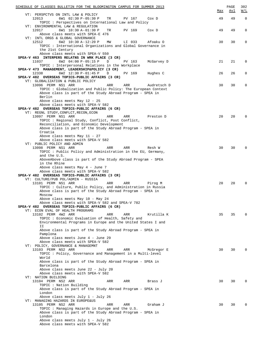| SCHEDULE OF CLASSES BULLETIN FOR THE BLOOMINGTON CAMPUS FOR SUMMER 2013                                          |     | PAGE       | 302          |
|------------------------------------------------------------------------------------------------------------------|-----|------------|--------------|
| VT: PERSPCTVS ON INTL LAW & POLICY                                                                               | Max | <u>Avl</u> | W/L          |
| 12013<br>6W1 02:30 P-05:30 P<br>TR<br>PV 167<br>Cox D                                                            | 49  | 49         | $\mathbf 0$  |
| TOPIC : Perspectives on International Law and Policy                                                             |     |            |              |
| VT: ENVIRONMENTAL LAW & REGULATION                                                                               |     |            |              |
| 12017<br>6W1 10:30 A-01:30 P<br>TR<br>PV 169<br>Cox D                                                            | 49  | 49         | 0            |
| Above class meets with SPEA-E 476                                                                                |     |            |              |
| VT: INTL ORGS & GLOBAL GOVERNANCE<br>12512<br>6W2 10:30 A-12:20 P<br>LI 033<br>MW<br>Afoaku O                    | 30  | 30         | 0            |
| TOPIC: International Organizations and Global Governance in                                                      |     |            |              |
| the 21st Century                                                                                                 |     |            |              |
| Above class meets with SPEA-V 550                                                                                |     |            |              |
| SPEA-V 463 INTERPERS RELATNS IN WRK PLACE (3 CR)                                                                 |     |            |              |
| 11037<br>6W2 04:00 P-05:15 P<br>PV 163<br>McGarvey D<br>$\Box$                                                   | 21  | 21         | 0            |
| TOPIC: Interpersonal Relations in the Workplace<br>SPEA-V 473 MANAGEMENT, LEADERSHIP&POLICY (3 CR)               |     |            |              |
| 12338<br>6W2 12:30 P-01:45 P<br>PV 169<br>Hughes C<br>D                                                          | 26  | 26         | 0            |
| SPEA-V 482 OVERSEAS TOPICS-PUBLIC AFFAIRS (3 CR)                                                                 |     |            |              |
| VT: GLOBALIZATION & PUBLIC POLICY                                                                                |     |            |              |
| 13096 PERM NS1 ARR<br>ARR<br>ARR<br>Audretsch D                                                                  | 30  | 30         | 0            |
| TOPIC: Globalization and Public Policy: The European Context                                                     |     |            |              |
| Above class is part of the Study Abroad Program - SPEA in<br>Berlin                                              |     |            |              |
| Above class meets May 12 - 25                                                                                    |     |            |              |
| Above class meets with SPEA-V 582                                                                                |     |            |              |
| SPEA-V 482 OVERSEAS TOPICS-PUBLIC AFFAIRS (6 CR)                                                                 |     |            |              |
| VT: REGNL STUDY, CONFLCT, RECON, ECON                                                                            |     |            |              |
| 13097 PERM NS1 ARR<br>ARR<br>ARR<br>Preston D<br>TOPIC : Regional Study, Conflict, Post Conflict,                | 20  | 20         | <sup>0</sup> |
| Reconciliation, and Economic Development                                                                         |     |            |              |
| Above class is part of the Study Abroad Program - SPEA in                                                        |     |            |              |
| Croatia                                                                                                          |     |            |              |
| Above class meets May 11 - 27                                                                                    |     |            |              |
| Above class meets with SPEA-V 582                                                                                |     |            |              |
| VT: PUBLIC POLICY AND ADMIN<br>13098 PERM NS1 ARR<br>ARR<br>ARR<br>Resh W                                        | 30  | 30         | <sup>0</sup> |
| TOPIC: Public Policy and Administration in the EU, Germany,                                                      |     |            |              |
| and the U.S.                                                                                                     |     |            |              |
| AboveAbove class is part of the Study Abroad Program - SPEA                                                      |     |            |              |
| in the Rhine                                                                                                     |     |            |              |
| Above class meets May 4 - June 7<br>Above class meets with SPEA-V 582                                            |     |            |              |
| SPEA-V 482 OVERSEAS TOPICS-PUBLIC AFFAIRS (3 CR)                                                                 |     |            |              |
| VT: CULTURE/PUB POL/ADMIN - RUSSIA                                                                               |     |            |              |
| 13101 PERM NS1 ARR<br>ARR<br>ARR<br>Pirog M                                                                      | 20  | 20         |              |
| TOPIC : Culture, Public Policy, and Administration in Russia                                                     |     |            |              |
| Above class is part of the Study Abroad Program - SPEA in<br>Moscow                                              |     |            |              |
| Above class meets May 10 - May 24                                                                                |     |            |              |
| Above class meets with SPEA-V 582 and SPEA-V 782                                                                 |     |            |              |
| SPEA-V 482 OVERSEAS TOPICS-PUBLIC AFFAIRS (6 CR)                                                                 |     |            |              |
| VT: ECON EVAL OF HEALTH PROGRAMS                                                                                 |     |            |              |
| 13102 PERM 4W2 ARR<br>ARR<br>ARR<br>Krutilla K                                                                   | 35  | 35         |              |
| TOPIC: Economic Evaluation of Health, Safety and<br>Environmental Programs in Europe and the United States I and |     |            |              |
| ΙI                                                                                                               |     |            |              |
| Above class is part of the Study Abroad Program - SPEA in                                                        |     |            |              |
| Pamplona                                                                                                         |     |            |              |
| Above class meets June 4 - June 29                                                                               |     |            |              |
| Above class meets with SPEA-V 582<br>VT: POLICY, GOVERNANCE & MANAGEMNT                                          |     |            |              |
| 13103 PERM NS2 ARR<br>ARR<br>ARR<br>McGregor E                                                                   | 30  | 30         |              |
| TOPIC : Policy, Governance and Management in a Multi-level                                                       |     |            |              |
| World                                                                                                            |     |            |              |
| Above class is part of the Study Abroad Program - SPEA in                                                        |     |            |              |
| Barcelona<br>Above class meets June 22 - July 20                                                                 |     |            |              |
| Above class meets with SPEA-V 582                                                                                |     |            |              |
| VT: NATION BUILDING                                                                                              |     |            |              |
| 13104 PERM NS2 ARR<br>ARR<br>ARR<br>Brass J                                                                      | 30  | 30         | <sup>0</sup> |
| TOPIC: Nation Building                                                                                           |     |            |              |
| Above class is part of the Study Abroad Program - SPEA in<br>London                                              |     |            |              |
| Above class meets July 1 - July 26                                                                               |     |            |              |
| VT: MANAGING HAZARDS IN EUROPE&US                                                                                |     |            |              |
| 13105 PERM NS2 ARR<br>ARR<br>ARR<br>Graham J                                                                     | 30  | 30         |              |
| TOPIC: Managing Hazards in Europe and the U.S.                                                                   |     |            |              |
| Above class is part of the Study Abroad Program - SPEA in                                                        |     |            |              |
| London<br>Above class meets July 1 - July 26                                                                     |     |            |              |
| Above class meets with SPEA-V 582                                                                                |     |            |              |
|                                                                                                                  |     |            |              |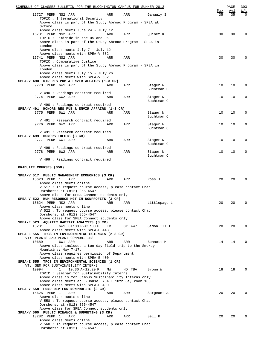| SCHEDULE OF CLASSES BULLETIN FOR THE BLOOMINGTON CAMPUS FOR SUMMER 2013                              |        |                        |           | PAGE      | 303             |
|------------------------------------------------------------------------------------------------------|--------|------------------------|-----------|-----------|-----------------|
| 15727 PERM NS2 ARR<br>ARR                                                                            | ARR    | Ganguly S              | Max<br>35 | Avl<br>35 | W/L<br>$\Omega$ |
| TOPIC: International Security<br>Above class is part of the Study Abroad Program - SPEA at<br>Oxford |        |                        |           |           |                 |
| Above class meets June 24 - July 12<br>15731 PERM NS2 ARR<br>ARR                                     | ARR    | Quinet K               | 30        | 30        | $\mathbf 0$     |
| TOPIC: Homicide in the US and UK<br>Above class is part of the Study Abroad Program - SPEA in        |        |                        |           |           |                 |
| London<br>Above class meets July 7 - July 12                                                         |        |                        |           |           |                 |
| Above class meets with SPEA-V 582<br>15741 PERM NS2 ARR<br>ARR                                       | ARR    |                        | 30        | 30        | $\Omega$        |
| TOPIC : Comparative Justice<br>Above class is part of the Study Abroad Program - SPEA in<br>London   |        |                        |           |           |                 |
| Above class meets July 15 - July 26<br>Above class meets with SPEA-V 582                             |        |                        |           |           |                 |
| SPEA-V 490 DIR RES PUB & ENVIR AFFAIRS (1-3 CR)                                                      |        |                        |           |           |                 |
| 9773 PERM 6W1 ARR<br>ARR                                                                             | ARR    | Stager N<br>Buchtman C | 10        | 10        | 0               |
| V 490 : Readings contract required                                                                   |        |                        |           |           |                 |
| 9774 PERM 6W2 ARR<br>ARR                                                                             | ARR    | Stager N<br>Buchtman C | 10        | 10        | 0               |
| V 490 : Readings contract required                                                                   |        |                        |           |           |                 |
| SPEA-V 491 HONORS RES PUB & ENVIR AFFAIRS $(1-3 \text{ CR})$<br>9775 PERM 6W1 ARR<br>ARR             | ARR    |                        | 10        | 10        | $\mathbf 0$     |
|                                                                                                      |        | Stager N<br>Buchtman C |           |           |                 |
| V 491 : Research contract required<br>9776 PERM 6W2 ARR<br>ARR                                       | ARR    | Stager N<br>Buchtman C | 10        | 10        | 0               |
| V 491 : Research contract required                                                                   |        |                        |           |           |                 |
| SPEA-V 499 HONORS THESIS (3 CR)                                                                      |        |                        |           |           |                 |
| 9777 PERM 6W1 ARR<br>ARR                                                                             | ARR    | Stager N<br>Buchtman C | 10        | 10        | 0               |
| V 499 : Readings contract required<br>9778 PERM 6W2 ARR<br>ARR                                       | ARR    | Stager N               | 10        | 10        | 0               |
| V 499 : Readings contract required                                                                   |        | Buchtman C             |           |           |                 |
| GRADUATE COURSES (050)                                                                               |        |                        |           |           |                 |
|                                                                                                      |        |                        |           |           |                 |
| SPEA-V 517 PUBLIC MANAGEMENT ECONOMICS (3 CR)<br>15623 PERM 1<br>ARR<br>ARR                          | ARR    | Ross J                 | 20        | 20        | $\Omega$        |
| Above class meets online<br>V 517 : To request course access, please contact Chad                    |        |                        |           |           |                 |
| Dorshorst at (812) 855-4547<br>Above class for SPEA Connect students only                            |        |                        |           |           |                 |
| SPEA-V 522 HUM RESOURCE MGT IN NONPROFITS (3 CR)                                                     |        |                        |           |           |                 |
| 15624 PERM NS2 ARR<br>ARR<br>Above class meets online                                                | ARR    | Littlepage L           | 20        | 20        | 0               |
| V 522: To request course access, please contact Chad<br>Dorshorst at (812) 855-4547                  |        |                        |           |           |                 |
| Above class for SPEA Connect students only<br>SPEA-E 523 AQUATIC HABITAT ANALYSIS (3 CR)             |        |                        |           |           |                 |
| 13281<br>6W1 01:00 P-05:00 P<br>TR                                                                   | GY 447 | Simon III T            | 20        | 20        | $\Omega$        |
| Above class meets with SPEA-E 443<br>SPEA-E 555 TPCS IN ENVIRONMENTAL SCIENCES (2-3 CR)              |        |                        |           |           |                 |
| VT: PLANTS AND PLANT COMMUNITIES                                                                     |        |                        |           |           |                 |
| 10689<br>6W1 ARR<br>ARR<br>Above class includes a ten-day field trip to the Smokey                   | ARR    | Bennett M              | 14        | 14        | $\Omega$        |
| Mountains: May 7-17th<br>Above class requires permission of Department                               |        |                        |           |           |                 |
| Above class meets with SPEA-E 400                                                                    |        |                        |           |           |                 |
| SPEA-E 555 TPCS IN ENVIRONMENTAL SCIENCES (1 CR)                                                     |        |                        |           |           |                 |
| VT: SEM FOR SUSTAINABILITY INTERNS                                                                   |        |                        |           |           |                 |
| 10994<br>$10:30 A-12:20 P$<br>$\mathbf{1}$<br>ΜW<br>TOPIC: Seminar for Sustainability Interns        | HD TBA | Brown W                | 18        | 18        | $\Omega$        |
| Above class is for Campus Sustainability Interns only                                                |        |                        |           |           |                 |
| Above class meets at E-House, 704 E 10th St, room 100                                                |        |                        |           |           |                 |
| Above class meets with SPEA-E 400<br>SPEA-V 558 FUND DEV FOR NONPROFITS (3 CR)                       |        |                        |           |           |                 |
| 15625 PERM 1<br>ARR<br>ARR                                                                           | ARR    | Sargeant A             | 20        | 20        | $\Omega$        |
| Above class meets online                                                                             |        |                        |           |           |                 |
| V 558 : To request course access, please contact Chad                                                |        |                        |           |           |                 |
| Dorshorst at (812) 855-4547<br>Above class for SPEA Connect students only                            |        |                        |           |           |                 |
| SPEA-V 560 PUBLIC FINANCE & BUDGETING (3 CR)                                                         |        |                        |           |           |                 |
| 13282 PERM 1<br>ARR<br>ARR                                                                           | ARR    | Sell R                 | 20        | 20        |                 |
| Above class meets online<br>V 560: To request course access, please contact Chad                     |        |                        |           |           |                 |
| Dorshorst at (812) 855-4547.                                                                         |        |                        |           |           |                 |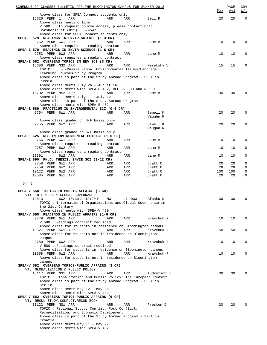|         | SCHEDULE OF CLASSES BULLETIN FOR THE BLOOMINGTON CAMPUS FOR SUMMER 2013                                                   |            |            |                      | Max       | PAGE<br><u>Avl</u> | 304<br>W/L  |
|---------|---------------------------------------------------------------------------------------------------------------------------|------------|------------|----------------------|-----------|--------------------|-------------|
|         | Above class for SPEA Connect students only<br>15626 PERM 1<br>ARR                                                         | ARR        | ARR        | Sell R               | 20        | 20                 | $\mathbf 0$ |
|         | Above class meets online                                                                                                  |            |            |                      |           |                    |             |
|         | V 560 : To request course access, please contact Chad<br>Dorshorst at (812) 855-4547                                      |            |            |                      |           |                    |             |
|         | Above class for SPEA Connect students only<br>SPEA-E 579 READINGS IN ENVIR SCIENCE (1-3 CR)                               |            |            |                      |           |                    |             |
|         | 9752 PERM 6W1 ARR                                                                                                         | ARR        | ARR        | Lame M               | 10        | 10                 | 0           |
|         | Above class requires a reading contract<br>SPEA-E 579 READINGS IN ENVIR SCIENCE (1-6 CR)                                  |            |            |                      |           |                    |             |
|         | 9753 PERM 6W2 ARR                                                                                                         | ARR        | ARR        | Lame M               | 10        | 10                 | 0           |
|         | Above class requires a reading contract<br>SPEA-E 582 OVERSEAS TOPICS IN ENV SCI (3 CR)                                   |            |            |                      |           |                    |             |
|         | 15688 PERM NS2 ARR                                                                                                        | ARR        | ARR        | Meretsky V           | 15        | 15                 | 0           |
|         | TOPIC : U.S.-Russia Global Environmental Issues/Language                                                                  |            |            |                      |           |                    |             |
|         | Learning Courses Study Program<br>Above class is part of the Study Abroad Program - SPEA in                               |            |            |                      |           |                    |             |
|         | Russia                                                                                                                    |            |            |                      |           |                    |             |
|         | Above class meets July 26 - August 16<br>Above class meets with SPEA-E 482, REEI-R 300 and R 500                          |            |            |                      |           |                    |             |
|         | 15702 PERM NS2 ARR                                                                                                        | ARR        | ARR        | Lame M               | 30        | 30                 | 0           |
|         | Above class meets July 1 - July 12                                                                                        |            |            |                      |           |                    |             |
|         | Above class is part of the Study Abroad Program<br>Above class meets with SPEA-E 482                                      |            |            |                      |           |                    |             |
|         | SPEA-E 589 PRACTICUM IN ENVIRONMENTAL SCI (0-6 CR)                                                                        |            |            |                      |           |                    |             |
|         | 9754 PERM 6W1 ARR                                                                                                         | ARR        | ARR        | Sewell K<br>Vaughn R | 20        | 20                 | 0           |
|         | Above class graded on S/F basis only                                                                                      |            |            |                      |           |                    |             |
|         | 9755 PERM 6W2 ARR                                                                                                         | ARR        | ARR        | Sewell K             | 20        | 20                 | 0           |
|         | Above class graded on S/F basis only                                                                                      |            |            | Vaughn R             |           |                    |             |
|         | SPEA-E 625 RES IN ENVIRONMENTAL SCIENCE (1-6 CR)                                                                          |            |            |                      |           |                    |             |
|         | 9756 PERM 6W1 ARR<br>Above class requires a reading contract                                                              | ARR        | ARR        | Lame M               | 10        | 10                 | 0           |
|         | 9757 PERM 6W2 ARR                                                                                                         | ARR        | ARR        | Lame M               | 10        | 10                 | 0           |
|         | Above class requires a reading contract                                                                                   |            |            |                      |           |                    |             |
|         | 13391<br>6W2 ARR<br>SPEA-E 890 PH.D. THESIS: ENVIR SCI (1-12 CR)                                                          | ARR        | ARR        | Lame M               | 10        | 10                 | 0           |
|         | 9758 PERM 6W1 ARR                                                                                                         | ARR        | ARR        | Craft C              | 20        | 20                 | 0           |
|         | 9759 PERM 6W2 ARR<br>10122 PERM 6W2 ARR                                                                                   | ARR<br>ARR | ARR<br>ARR | Craft C<br>Craft C   | 28<br>100 | 28<br>100          | 0<br>0      |
|         | 10585 PERM 6W1 ARR                                                                                                        | ARR        | ARR        | Craft C              | 20        | 20                 | $\mathbf 0$ |
|         |                                                                                                                           |            |            |                      |           |                    |             |
| . (060) |                                                                                                                           |            |            |                      |           |                    |             |
|         | SPEA-V 550 TOPICS IN PUBLIC AFFAIRS (3 CR)                                                                                |            |            |                      |           |                    |             |
|         | VT: INTL ORGS & GLOBAL GOVERNANCE<br>12513<br>6W2 10:30 A-12:20 P                                                         | ΜW         | LI 033     | Afoaku O             | 30        | 30                 | 0           |
|         | TOPIC: International Organizations and Global Governance in                                                               |            |            |                      |           |                    |             |
|         | the 21st Century                                                                                                          |            |            |                      |           |                    |             |
|         | Above class meets with SPEA-V 450<br>SPEA-V 580 READINGS IN PUBLIC AFFAIRS (1-6 CR)                                       |            |            |                      |           |                    |             |
|         | 9779 PERM 6W1 ARR                                                                                                         | ARR        | ARR        | Kravchuk R           | 10        | 10                 | 0           |
|         | V 580 : Readings contract required<br>Above class for students in residence on Bloomington campus                         |            |            |                      |           |                    |             |
|         | 10527 PERM 6W1 ARR                                                                                                        | ARR        | ARR        | Kravchuk R           | 50        | 50                 | 0           |
|         | Above class for students not in residence on Bloomington                                                                  |            |            |                      |           |                    |             |
|         | campus<br>9780 PERM 6W2 ARR                                                                                               | ARR        | ARR        | Kravchuk R           | 10        | 10                 | 0           |
|         | V 580 : Readings contract required                                                                                        |            |            |                      |           |                    |             |
|         | Above class for students in residence on Bloomington campus<br>10558 PERM 6W2 ARR                                         | ARR        | ARR        | Kravchuk R           | 10        | 10                 | 0           |
|         | Above class for students not in residence on Bloomington                                                                  |            |            |                      |           |                    |             |
|         | campus<br>SPEA-V 582 OVERSEAS TOPICS-PUBLIC AFFAIRS (3 CR)                                                                |            |            |                      |           |                    |             |
|         | VT: GLOBALIZATION & PUBLIC POLICY                                                                                         |            |            |                      |           |                    |             |
|         | 13117 PERM NS1 ARR                                                                                                        | ARR        | ARR        | Audretsch D          | 30        | 30                 | 0           |
|         | TOPIC: Globalization and Public Policy: The European Context<br>Above class is part of the Study Abroad Program - SPEA in |            |            |                      |           |                    |             |
|         | Berlin                                                                                                                    |            |            |                      |           |                    |             |
|         | Above class meets May 12 - May 25                                                                                         |            |            |                      |           |                    |             |
|         | Above class meets with SPEA-V 482<br>SPEA-V 582 OVERSEAS TOPICS-PUBLIC AFFAIRS (6 CR)                                     |            |            |                      |           |                    |             |
|         | VT: REGNL STUDY, CONFLCT, RECON, ECON                                                                                     |            |            |                      |           |                    |             |
|         | 13122 PERM NS1 ARR                                                                                                        | ARR        | ARR        | Preston D            | 20        | 20                 | O           |
|         | TOPIC : Regional Study, Conflic, Post Conflict,<br>Reconciliation, and Economic Development                               |            |            |                      |           |                    |             |
|         | Above class is part of the Study Abroad Program - SPEA in                                                                 |            |            |                      |           |                    |             |
|         | Croatia<br>Above class meets May 11 - May 27                                                                              |            |            |                      |           |                    |             |
|         | Above class meets with SPEA-V 482                                                                                         |            |            |                      |           |                    |             |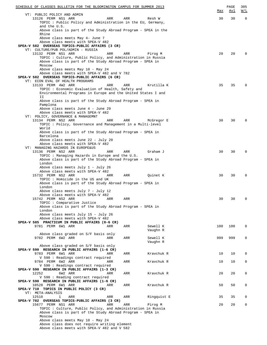| SCHEDULE OF CLASSES BULLETIN FOR THE BLOOMINGTON CAMPUS FOR SUMMER 2013                         |     |             |     | PAGE | 305         |
|-------------------------------------------------------------------------------------------------|-----|-------------|-----|------|-------------|
| VT: PUBLIC POLICY AND ADMIN                                                                     |     |             | Max | Avl  | W/L         |
| 13126 PERM NS1 ARR<br>ARR                                                                       | ARR | Resh W      | 30  | 30   | $\mathbf 0$ |
| TOPIC: Public Policy and Administration in the EU, Germany,                                     |     |             |     |      |             |
| and the U.S.                                                                                    |     |             |     |      |             |
| Above class is part of the Study Abroad Program - SPEA in the                                   |     |             |     |      |             |
| Rhine                                                                                           |     |             |     |      |             |
| Above class meets May 4- June 7                                                                 |     |             |     |      |             |
| Above class meets with SPEA-V 482<br>SPEA-V 582 OVERSEAS TOPICS-PUBLIC AFFAIRS (3 CR)           |     |             |     |      |             |
| VT: CULTURE/PUB POL/ADMIN - RUSSIA                                                              |     |             |     |      |             |
| 13132 PERM NS1 ARR<br>ARR                                                                       | ARR | Pirog M     | 20  | 20   | 0           |
| TOPIC : Culture, Public Policy, and Administration in Russia                                    |     |             |     |      |             |
| Above class is part of the Study Abroad Program - SPEA in                                       |     |             |     |      |             |
| Moscow                                                                                          |     |             |     |      |             |
| Above class meets May 10 - May 24                                                               |     |             |     |      |             |
| Above class meets with SPEA-V 482 and V 782<br>SPEA-V 582 OVERSEAS TOPICS-PUBLIC AFFAIRS (6 CR) |     |             |     |      |             |
| VT: ECON EVAL OF HEALTH PROGRAMS                                                                |     |             |     |      |             |
| 13133 PERM 4W2 ARR<br>ARR                                                                       | ARR | Krutilla K  | 35  | 35   | 0           |
| TOPIC: Economic Evaluation of Health, Safety and                                                |     |             |     |      |             |
| Environmental Programs in Europe and the United States I and                                    |     |             |     |      |             |
| IΙ                                                                                              |     |             |     |      |             |
| Above class is part of the Study Abroad Program - SPEA in                                       |     |             |     |      |             |
| Pamplona<br>Above class meets June 4 - June 29                                                  |     |             |     |      |             |
| Above class meets with SPEA-V 482                                                               |     |             |     |      |             |
| VT: POLICY, GOVERNANCE & MANAGEMNT                                                              |     |             |     |      |             |
| 13134 PERM NS2 ARR<br>ARR                                                                       | ARR | McGregor E  | 30  | 30   | $\mathbf 0$ |
| TOPIC: Policy, Governance and Management in a Multi-level                                       |     |             |     |      |             |
| World                                                                                           |     |             |     |      |             |
| Above class is part of the Study Abroad Program - SPEA in                                       |     |             |     |      |             |
| Barcelona<br>Above class meets June 22 - July 20                                                |     |             |     |      |             |
| Above class meets with SPEA-V 482                                                               |     |             |     |      |             |
| VT: MANAGING HAZARDS IN EUROPE&US                                                               |     |             |     |      |             |
| 13136 PERM NS2 ARR<br>ARR                                                                       | ARR | Graham J    | 30  | 30   | $\mathbf 0$ |
| TOPIC: Managing Hazards in Europe and the U.S.                                                  |     |             |     |      |             |
| Above class is part of the Study Abroad Program - SPEA in                                       |     |             |     |      |             |
| London                                                                                          |     |             |     |      |             |
| Above class meets July 1 - July 26<br>Above class meets with SPEA-V 482                         |     |             |     |      |             |
| 15732 PERM NS2 ARR<br>ARR                                                                       | ARR | Quinet K    | 30  | 30   | $\mathbf 0$ |
| TOPIC: Homicide in the US and UK                                                                |     |             |     |      |             |
| Above class is part of the Study Abroad Program - SPEA in                                       |     |             |     |      |             |
| London                                                                                          |     |             |     |      |             |
| Above class meets July 7 - July 12                                                              |     |             |     |      |             |
| Above class meets with SPEA-V 482<br>15742 PERM NS2 ARR                                         |     |             |     |      | 0           |
| ARR<br>TOPIC: Comparative Justice                                                               | ARR |             | 30  | 30   |             |
| Above class is part of the Study Abroad Program - SPEA in                                       |     |             |     |      |             |
| London                                                                                          |     |             |     |      |             |
| Above class meets July 15 - July 26                                                             |     |             |     |      |             |
| Above class meets with SPEA-V 482                                                               |     |             |     |      |             |
| SPEA-V 585 PRACTICUM IN PUBLIC AFFAIRS (0-6 CR)                                                 |     |             |     |      |             |
| 9781 PERM 6W1 ARR<br>ARR                                                                        | ARR | Sewell K    | 100 | 100  | $\mathbf 0$ |
| Above class graded on S/F basis only                                                            |     | Vaughn R    |     |      |             |
| 9782 PERM 6W2 ARR<br>ARR                                                                        | ARR | Sewell K    | 999 | 999  | $\mathbf 0$ |
|                                                                                                 |     | Vaughn R    |     |      |             |
| Above class graded on S/F basis only                                                            |     |             |     |      |             |
| SPEA-V 590 RESEARCH IN PUBLIC AFFAIRS (1-6 CR)                                                  |     |             |     |      |             |
| 9783 PERM 6W1 ARR<br>ARR                                                                        | ARR | Kravchuk R  | 10  | 10   | 0           |
| V 590 : Readings contract required                                                              |     |             |     |      |             |
| 9784 PERM 6W2 ARR<br>ARR<br>V 590 : Readings contract required                                  | ARR | Kravchuk R  | 10  | 10   | 0           |
| SPEA-V 590 RESEARCH IN PUBLIC AFFAIRS (1-3 CR)                                                  |     |             |     |      |             |
| 12252<br>6W2 ARR<br>ARR                                                                         | ARR | Kravchuk R  | 20  | 20   | $\mathbf 0$ |
| V 590 : Reading contract required                                                               |     |             |     |      |             |
| SPEA-V 590 RESEARCH IN PUBLIC AFFAIRS (1-6 CR)                                                  |     |             |     |      |             |
| 10528 PERM 6W1 ARR<br>ARR                                                                       | ARR | Kravchuk R  | 50  | 50   | $\mathbf 0$ |
| SPEA-V 710 TOPICS IN PUBLIC POLICY (3 CR)<br>VT: META-ANALYSIS                                  |     |             |     |      |             |
| 12510<br>1<br>ARR<br>ARR                                                                        | ARR | Ringquist E | 35  | 35   | 0           |
| SPEA-V 782 OVERSEAS TOPICS-PUBLIC AFFAIRS (3 CR)                                                |     |             |     |      |             |
| 15677 PERM NS1 ARR<br>ARR                                                                       | ARR | Pirog M     | 20  | 20   | 0           |
| TOPIC: Culture, Public Policy, and Administration in Russia                                     |     |             |     |      |             |
| Above class is part of the Study Abroad Program - SPEA in                                       |     |             |     |      |             |
| Moscow                                                                                          |     |             |     |      |             |
| Above class meets May 10 - May 24<br>Above class does not require writing element               |     |             |     |      |             |
| Above class meets with SPEA-V 482 and V 582                                                     |     |             |     |      |             |
|                                                                                                 |     |             |     |      |             |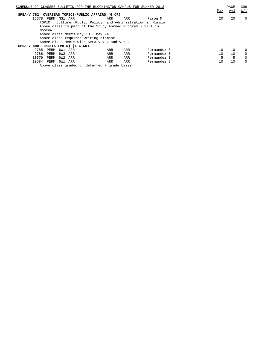| SCHEDULE OF CLASSES BULLETIN FOR THE BLOOMINGTON CAMPUS FOR SUMMER 2013 |     | PAGE | 306      |
|-------------------------------------------------------------------------|-----|------|----------|
|                                                                         | Max | Avl  | W/L      |
| SPEA-V 782 OVERSEAS TOPICS-PUBLIC AFFAIRS (6 CR)                        |     |      |          |
| 15678 PERM NS1 ARR<br>Pirog M<br>ARR<br>ARR                             | 20  | 20   | $\Omega$ |
| TOPIC: Culture, Public Policy, and Administration in Russia             |     |      |          |
| Above class is part of the Study Abroad Program - SPEA in               |     |      |          |
| Moscow                                                                  |     |      |          |
| Above class meets May 10 - May 24                                       |     |      |          |
| Above class requires writing element                                    |     |      |          |
| Above class meets with SPEA-V 482 and V 582                             |     |      |          |
| SPEA-V 890 THESIS (PH D) $(1-6 \text{ CR})$                             |     |      |          |
| 9785 PERM<br>6W1 ARR<br>Fernandez S<br>ARR<br>ARR                       | 10  | 10   | $\Omega$ |
| 9786<br>PERM<br>6W2 ARR<br>Fernandez S<br>ARR<br>ARR                    | 10  | 10   | $\Omega$ |
| 10579<br>6W2 ARR<br>Fernandez S<br>PERM<br>ARR<br>ARR                   | 5   | 5    | $\Omega$ |
| 10584 PERM 6W1 ARR<br>Fernandez S<br>ARR<br>ARR                         | 10  | 10   | $\Omega$ |
| Above class graded on deferred R grade basis                            |     |      |          |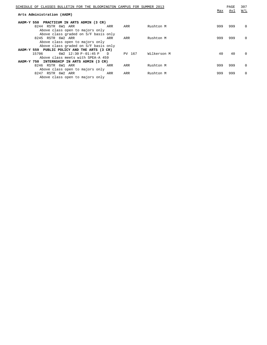|                                              |        |             |                                                                         | PAGE | 307          |
|----------------------------------------------|--------|-------------|-------------------------------------------------------------------------|------|--------------|
|                                              |        |             | Max                                                                     | Avl  | W/L          |
| PRACTICUM IN ARTS ADMIN (3 CR)               |        |             |                                                                         |      |              |
| ARR                                          | ARR    | Rushton M   | 999                                                                     | 999  | 0            |
|                                              |        |             |                                                                         |      |              |
| Above class graded on S/F basis only         |        |             |                                                                         |      |              |
| ARR                                          | ARR    | Rushton M   | 999                                                                     | 999  | $\Omega$     |
| Above class open to majors only              |        |             |                                                                         |      |              |
| Above class graded on S/F basis only         |        |             |                                                                         |      |              |
| AADM-Y 559 PUBLIC POLICY AND THE ARTS (3 CR) |        |             |                                                                         |      |              |
| $\Box$                                       | PV 167 | Wilkerson M | 40                                                                      | 40   | <sup>0</sup> |
| Above class meets with SPEA-A 459            |        |             |                                                                         |      |              |
| AADM-Y 750 INTERNSHIP IN ARTS ADMIN (3 CR)   |        |             |                                                                         |      |              |
| ARR                                          | ARR    | Rushton M   | 999                                                                     | 999  | $\Omega$     |
| Above class open to majors only              |        |             |                                                                         |      |              |
| ARR                                          | ARR    | Rushton M   | 999                                                                     | 999  | $\Omega$     |
|                                              |        |             |                                                                         |      |              |
|                                              |        |             | SCHEDULE OF CLASSES BULLETIN FOR THE BLOOMINGTON CAMPUS FOR SUMMER 2013 |      |              |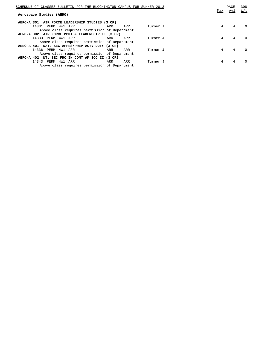| SCHEDULE OF CLASSES BULLETIN FOR THE BLOOMINGTON CAMPUS FOR SUMMER 2013 |     |     |          | Max | PAGE<br>Avl | 308<br>W/L |
|-------------------------------------------------------------------------|-----|-----|----------|-----|-------------|------------|
| Aerospace Studies (AERO)                                                |     |     |          |     |             |            |
| AIR FORCE LEADERSHIP STUDIES (3 CR)<br>AERO-A 301                       |     |     |          |     |             |            |
| 14331<br>PERM 4W1 ARR                                                   | ARR | ARR | Turner J | 4   | 4           | $\Omega$   |
| Above class requires permission of Department                           |     |     |          |     |             |            |
| AERO-A 302 AIR FORCE MGMT & LEADERSHIP II (3 CR)                        |     |     |          |     |             |            |
| 14333 PERM 4W1 ARR                                                      | ARR | ARR | Turner J | 4   | 4           | $\cap$     |
| Above class requires permission of Department                           |     |     |          |     |             |            |
| AERO-A 401 NATL SEC AFFRS/PREP ACTV DUTY (3 CR)                         |     |     |          |     |             |            |
| 14336<br>PERM 4W1 ARR                                                   | ARR | ARR | Turner J | 4   | 4           | $\Omega$   |
| Above class requires permission of Department                           |     |     |          |     |             |            |
| AERO-A 402 NTL SEC FRC IN CONT AM SOC II (3 CR)                         |     |     |          |     |             |            |
| 14343<br>PERM 4W1<br>ARR                                                | ARR | ARR | Turner J | 4   | 4           |            |
| Above class requires permission of Department                           |     |     |          |     |             |            |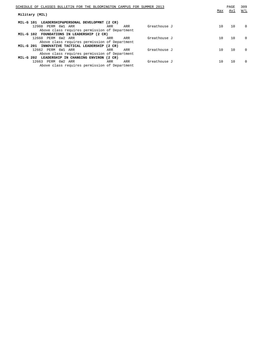| SCHEDULE OF CLASSES BULLETIN FOR THE BLOOMINGTON CAMPUS FOR SUMMER 2013 |     |     |              | Max | PAGE<br>Avl | 309<br>W/L |
|-------------------------------------------------------------------------|-----|-----|--------------|-----|-------------|------------|
| Military (MIL)                                                          |     |     |              |     |             |            |
| MIL-G 101 LEADERSHIP&PERSONAL DEVELOPMNT (2 CR)                         |     |     |              |     |             |            |
| 12988<br>PERM 6W1 ARR                                                   | ARR | ARR | Greathouse J | 10  | 10          | $\Omega$   |
| Above class requires permission of Department                           |     |     |              |     |             |            |
| FOUNDATIONS IN LEADERSHIP (2 CR)<br>MIL-G 102                           |     |     |              |     |             |            |
| 12660 PERM 6W2 ARR                                                      | ARR | ARR | Greathouse J | 10  | 10          | $\Omega$   |
| Above class requires permission of Department                           |     |     |              |     |             |            |
| MIL-G 201 INNOVATIVE TACTICAL LEADERSHIP (2 CR)                         |     |     |              |     |             |            |
| 12662 PERM 6W1 ARR                                                      | ARR | ARR | Greathouse J | 10  | 10          | $\Omega$   |
| Above class requires permission of Department                           |     |     |              |     |             |            |
| LEADERSHIP IN CHANGING ENVIRON (2 CR)<br>MIL-G 202                      |     |     |              |     |             |            |
| 12663 PERM 6W2 ARR                                                      | ARR | ARR | Greathouse J | 10  | 10          | $\Omega$   |
| Above class requires permission of Department                           |     |     |              |     |             |            |